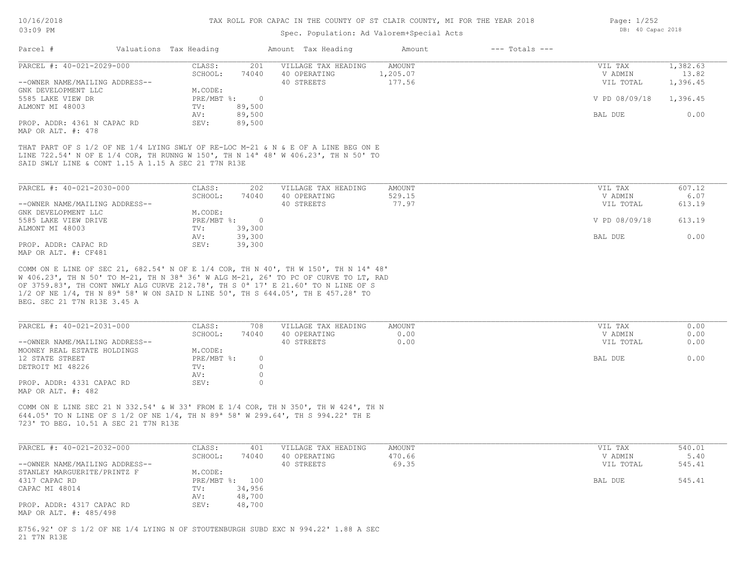### Spec. Population: Ad Valorem+Special Acts

| Parcel #                       | Valuations Tax Heading    |          | Amount Tax Heading  | Amount   | $---$ Totals $---$ |               |          |
|--------------------------------|---------------------------|----------|---------------------|----------|--------------------|---------------|----------|
| PARCEL #: 40-021-2029-000      | CLASS:                    | 201      | VILLAGE TAX HEADING | AMOUNT   |                    | VIL TAX       | 1,382.63 |
|                                | SCHOOL:                   | 74040    | 40 OPERATING        | 1,205.07 |                    | V ADMIN       | 13.82    |
| --OWNER NAME/MAILING ADDRESS-- |                           |          | 40 STREETS          | 177.56   |                    | VIL TOTAL     | 1,396.45 |
| GNK DEVELOPMENT LLC            | M.CODE:                   |          |                     |          |                    |               |          |
| 5585 LAKE VIEW DR              | $PRE/MBT$ $\frac{1}{6}$ : | $\Omega$ |                     |          |                    | V PD 08/09/18 | 1,396.45 |
| ALMONT MI 48003                | TV:                       | 89,500   |                     |          |                    |               |          |
|                                | AV:                       | 89,500   |                     |          |                    | BAL DUE       | 0.00     |
| PROP. ADDR: 4361 N CAPAC RD    | SEV:                      | 89,500   |                     |          |                    |               |          |
| MAP OR ALT. #: 478             |                           |          |                     |          |                    |               |          |

SAID SWLY LINE & CONT 1.15 A 1.15 A SEC 21 T7N R13E LINE 722.54' N OF E 1/4 COR, TH RUNNG W 150', TH N 14ª 48' W 406.23', TH N 50' TO THAT PART OF S 1/2 OF NE 1/4 LYING SWLY OF RE-LOC M-21 & N & E OF A LINE BEG ON E

| PARCEL #: 40-021-2030-000      | CLASS:     | 202    | VILLAGE TAX HEADING | AMOUNT | VIL TAX       | 607.12 |
|--------------------------------|------------|--------|---------------------|--------|---------------|--------|
|                                | SCHOOL:    | 74040  | 40 OPERATING        | 529.15 | V ADMIN       | 6.07   |
| --OWNER NAME/MAILING ADDRESS-- |            |        | 40 STREETS          | 77.97  | VIL TOTAL     | 613.19 |
| GNK DEVELOPMENT LLC            | M.CODE:    |        |                     |        |               |        |
| 5585 LAKE VIEW DRIVE           | PRE/MBT %: |        |                     |        | V PD 08/09/18 | 613.19 |
| ALMONT MI 48003                | TV:        | 39,300 |                     |        |               |        |
|                                | AV:        | 39,300 |                     |        | BAL DUE       | 0.00   |
| PROP. ADDR: CAPAC RD           | SEV:       | 39,300 |                     |        |               |        |
| MAP OR ALT. #: CF481           |            |        |                     |        |               |        |

BEG. SEC 21 T7N R13E 3.45 A 1/2 OF NE 1/4, TH N 89ª 58' W ON SAID N LINE 50', TH S 644.05', TH E 457.28' TO OF 3759.83', TH CONT NWLY ALG CURVE 212.78', TH S 0ª 17' E 21.60' TO N LINE OF S W 406.23', TH N 50' TO M-21, TH N 38ª 36' W ALG M-21, 26' TO PC OF CURVE TO LT, RAD COMM ON E LINE OF SEC 21, 682.54' N OF E 1/4 COR, TH N 40', TH W 150', TH N 14ª 48'

| PARCEL #: 40-021-2031-000                       | CLASS:     | 708   | VILLAGE TAX HEADING | AMOUNT | VIL TAX   | 0.00 |
|-------------------------------------------------|------------|-------|---------------------|--------|-----------|------|
|                                                 | SCHOOL:    | 74040 | 40 OPERATING        | 0.00   | V ADMIN   | 0.00 |
| --OWNER NAME/MAILING ADDRESS--                  |            |       | 40 STREETS          | 0.00   | VIL TOTAL | 0.00 |
| MOONEY REAL ESTATE HOLDINGS                     | M.CODE:    |       |                     |        |           |      |
| 12 STATE STREET                                 | PRE/MBT %: |       |                     |        | BAL DUE   | 0.00 |
| DETROIT MI 48226                                | TV:        |       |                     |        |           |      |
|                                                 | AV:        |       |                     |        |           |      |
| PROP. ADDR: 4331 CAPAC RD<br>MAP OR ALT. #: 482 | SEV:       |       |                     |        |           |      |

723' TO BEG. 10.51 A SEC 21 T7N R13E 644.05' TO N LINE OF S 1/2 OF NE 1/4, TH N 89ª 58' W 299.64', TH S 994.22' TH E COMM ON E LINE SEC 21 N 332.54' & W 33' FROM E 1/4 COR, TH N 350', TH W 424', TH N

| PARCEL #: 40-021-2032-000      | CLASS:       | 401    | VILLAGE TAX HEADING | AMOUNT | VIL TAX   | 540.01 |
|--------------------------------|--------------|--------|---------------------|--------|-----------|--------|
|                                | SCHOOL:      | 74040  | 40 OPERATING        | 470.66 | V ADMIN   | 5.40   |
| --OWNER NAME/MAILING ADDRESS-- |              |        | 40 STREETS          | 69.35  | VIL TOTAL | 545.41 |
| STANLEY MARGUERITE/PRINTZ F    | M.CODE:      |        |                     |        |           |        |
| 4317 CAPAC RD                  | $PRE/MBT$ %: | 100    |                     |        | BAL DUE   | 545.41 |
| CAPAC MI 48014                 | TV:          | 34,956 |                     |        |           |        |
|                                | AV:          | 48,700 |                     |        |           |        |
| PROP. ADDR: 4317 CAPAC RD      | SEV:         | 48,700 |                     |        |           |        |
| MAP OR ALT. #: 485/498         |              |        |                     |        |           |        |

21 T7N R13E E756.92' OF S 1/2 OF NE 1/4 LYING N OF STOUTENBURGH SUBD EXC N 994.22' 1.88 A SEC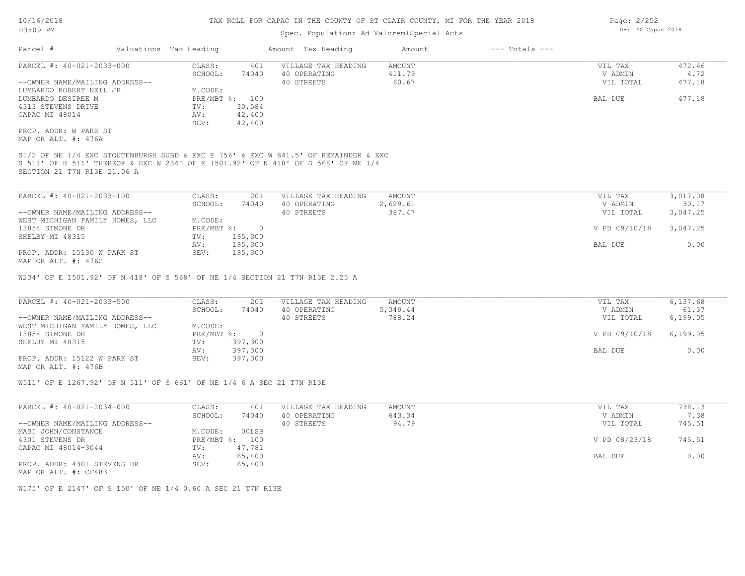# Spec. Population: Ad Valorem+Special Acts

| Parcel #                       |  | Valuations Tax Heading |        | Amount Tax Heading                                                                  | Amount | $---$ Totals $---$ |           |        |
|--------------------------------|--|------------------------|--------|-------------------------------------------------------------------------------------|--------|--------------------|-----------|--------|
| PARCEL #: 40-021-2033-000      |  | CLASS:                 | 401    | VILLAGE TAX HEADING                                                                 | AMOUNT |                    | VIL TAX   | 472.46 |
|                                |  | SCHOOL:                | 74040  | 40 OPERATING                                                                        | 411.79 |                    | V ADMIN   | 4.72   |
| --OWNER NAME/MAILING ADDRESS-- |  |                        |        | 40 STREETS                                                                          | 60.67  |                    | VIL TOTAL | 477.18 |
| LUMBARDO ROBERT NEIL JR        |  | M.CODE:                |        |                                                                                     |        |                    |           |        |
| LUMBARDO DESIREE M             |  | PRE/MBT %: 100         |        |                                                                                     |        |                    | BAL DUE   | 477.18 |
| 4313 STEVENS DRIVE             |  | TV:                    | 30,584 |                                                                                     |        |                    |           |        |
| CAPAC MI 48014                 |  | AV:                    | 42,400 |                                                                                     |        |                    |           |        |
|                                |  | SEV:                   | 42,400 |                                                                                     |        |                    |           |        |
| PROP. ADDR: W PARK ST          |  |                        |        |                                                                                     |        |                    |           |        |
| MAP OR ALT. #: 476A            |  |                        |        |                                                                                     |        |                    |           |        |
|                                |  |                        |        |                                                                                     |        |                    |           |        |
|                                |  |                        |        | S1/2 OF NE 1/4 EXC STOUTENBURGH SUBD & EXC E 756' & EXC W 841.5' OF REMAINDER & EXC |        |                    |           |        |
|                                |  |                        |        | S 511' OF E 511' THEREOF & EXC W 234' OF E 1501.92' OF N 418' OF S 568' OF NE 1/4   |        |                    |           |        |

SECTION 21 T7N R13E 21.06 A

| PARCEL #: 40-021-2033-100       | CLASS:     | 201     | VILLAGE TAX HEADING | AMOUNT   | VIL TAX       | 3,017.08 |
|---------------------------------|------------|---------|---------------------|----------|---------------|----------|
|                                 | SCHOOL:    | 74040   | 40 OPERATING        | 2,629.61 | V ADMIN       | 30.17    |
| --OWNER NAME/MAILING ADDRESS--  |            |         | 40 STREETS          | 387.47   | VIL TOTAL     | 3,047.25 |
| WEST MICHIGAN FAMILY HOMES, LLC | M.CODE:    |         |                     |          |               |          |
| 13854 SIMONE DR                 | PRE/MBT %: |         |                     |          | V PD 09/10/18 | 3,047.25 |
| SHELBY MI 48315                 | TV:        | 195,300 |                     |          |               |          |
|                                 | AV:        | 195,300 |                     |          | BAL DUE       | 0.00     |
| PROP. ADDR: 15130 W PARK ST     | SEV:       | 195,300 |                     |          |               |          |
| MAP OR ALT. #: 476C             |            |         |                     |          |               |          |

W234' OF E 1501.92' OF N 418' OF S 568' OF NE 1/4 SECTION 21 T7N R13E 2.25 A

| PARCEL #: 40-021-2033-500       | CLASS:     | 201     | VILLAGE TAX HEADING | AMOUNT   | VIL TAX       | 6,137.68  |
|---------------------------------|------------|---------|---------------------|----------|---------------|-----------|
|                                 | SCHOOL:    | 74040   | 40 OPERATING        | 5,349.44 | V ADMIN       | 61.37     |
| --OWNER NAME/MAILING ADDRESS--  |            |         | 40 STREETS          | 788.24   | VIL TOTAL     | 6, 199.05 |
| WEST MICHIGAN FAMILY HOMES, LLC | M.CODE:    |         |                     |          |               |           |
| 13854 SIMONE DR                 | PRE/MBT %: | $\cap$  |                     |          | V PD 09/10/18 | 6,199.05  |
| SHELBY MI 48315                 | TV:        | 397,300 |                     |          |               |           |
|                                 | AV:        | 397,300 |                     |          | BAL DUE       | 0.00      |
| PROP. ADDR: 15122 W PARK ST     | SEV:       | 397,300 |                     |          |               |           |
| MAP OR ALT. #: 476B             |            |         |                     |          |               |           |

 $\mathcal{L}_\mathcal{L} = \mathcal{L}_\mathcal{L} = \mathcal{L}_\mathcal{L} = \mathcal{L}_\mathcal{L} = \mathcal{L}_\mathcal{L} = \mathcal{L}_\mathcal{L} = \mathcal{L}_\mathcal{L} = \mathcal{L}_\mathcal{L} = \mathcal{L}_\mathcal{L} = \mathcal{L}_\mathcal{L} = \mathcal{L}_\mathcal{L} = \mathcal{L}_\mathcal{L} = \mathcal{L}_\mathcal{L} = \mathcal{L}_\mathcal{L} = \mathcal{L}_\mathcal{L} = \mathcal{L}_\mathcal{L} = \mathcal{L}_\mathcal{L}$ 

W511' OF E 1267.92' OF N 511' OF S 661' OF NE 1/4 6 A SEC 21 T7N R13E

| PARCEL #: 40-021-2034-000      | CLASS:       | 401    | VILLAGE TAX HEADING | AMOUNT | VIL TAX       | 738.13 |
|--------------------------------|--------------|--------|---------------------|--------|---------------|--------|
|                                | SCHOOL:      | 74040  | 40 OPERATING        | 643.34 | V ADMIN       | 7.38   |
| --OWNER NAME/MAILING ADDRESS-- |              |        | 40 STREETS          | 94.79  | VIL TOTAL     | 745.51 |
| MASI JOHN/CONSTANCE            | M.CODE:      | 00LSB  |                     |        |               |        |
| 4301 STEVENS DR                | $PRE/MBT$ %: | 100    |                     |        | V PD 08/23/18 | 745.51 |
| CAPAC MI 48014-3044            | TV:          | 47,781 |                     |        |               |        |
|                                | AV:          | 65,400 |                     |        | BAL DUE       | 0.00   |
| PROP. ADDR: 4301 STEVENS DR    | SEV:         | 65,400 |                     |        |               |        |
| MAP OR ALT. #: CF483           |              |        |                     |        |               |        |

W175' OF E 2147' OF S 150' OF NE 1/4 0.60 A SEC 21 T7N R13E

Page: 2/252 DB: 40 Capac 2018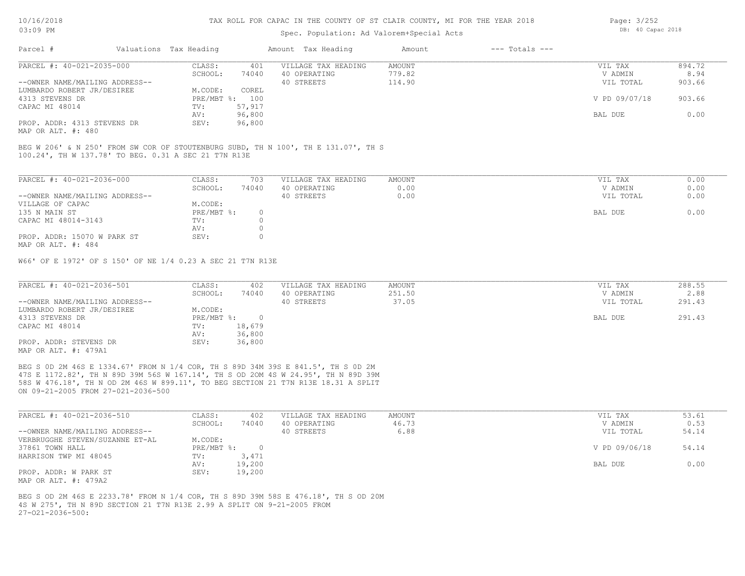### Spec. Population: Ad Valorem+Special Acts

| Parcel #                       | Valuations Tax Heading |        | Amount Tax Heading  | Amount | $---$ Totals $---$ |               |        |
|--------------------------------|------------------------|--------|---------------------|--------|--------------------|---------------|--------|
| PARCEL #: 40-021-2035-000      | CLASS:                 | 401    | VILLAGE TAX HEADING | AMOUNT |                    | VIL TAX       | 894.72 |
|                                | SCHOOL:                | 74040  | 40 OPERATING        | 779.82 |                    | V ADMIN       | 8.94   |
| --OWNER NAME/MAILING ADDRESS-- |                        |        | 40 STREETS          | 114.90 |                    | VIL TOTAL     | 903.66 |
| LUMBARDO ROBERT JR/DESIREE     | M.CODE:                | COREL  |                     |        |                    |               |        |
| 4313 STEVENS DR                | PRE/MBT %: 100         |        |                     |        |                    | V PD 09/07/18 | 903.66 |
| CAPAC MI 48014                 | TV:                    | 57,917 |                     |        |                    |               |        |
|                                | AV:                    | 96,800 |                     |        |                    | BAL DUE       | 0.00   |
| PROP. ADDR: 4313 STEVENS DR    | SEV:                   | 96,800 |                     |        |                    |               |        |
|                                |                        |        |                     |        |                    |               |        |

MAP OR ALT. #: 480

100.24', TH W 137.78' TO BEG. 0.31 A SEC 21 T7N R13E BEG W 206' & N 250' FROM SW COR OF STOUTENBURG SUBD, TH N 100', TH E 131.07', TH S

| PARCEL #: 40-021-2036-000      | CLASS:     | 703   | VILLAGE TAX HEADING | AMOUNT | VIL TAX<br>0.00   |
|--------------------------------|------------|-------|---------------------|--------|-------------------|
|                                | SCHOOL:    | 74040 | 40 OPERATING        | 0.00   | 0.00<br>V ADMIN   |
| --OWNER NAME/MAILING ADDRESS-- |            |       | 40 STREETS          | 0.00   | 0.00<br>VIL TOTAL |
| VILLAGE OF CAPAC               | M.CODE:    |       |                     |        |                   |
| 135 N MAIN ST                  | PRE/MBT %: |       |                     |        | 0.00<br>BAL DUE   |
| CAPAC MI 48014-3143            | TV:        |       |                     |        |                   |
|                                | AV:        |       |                     |        |                   |
| PROP. ADDR: 15070 W PARK ST    | SEV:       |       |                     |        |                   |
| MAP OR ALT. #: 484             |            |       |                     |        |                   |

W66' OF E 1972' OF S 150' OF NE 1/4 0.23 A SEC 21 T7N R13E

| PARCEL #: 40-021-2036-501      | CLASS:     | 402    | VILLAGE TAX HEADING | AMOUNT | VIL TAX   | 288.55 |
|--------------------------------|------------|--------|---------------------|--------|-----------|--------|
|                                | SCHOOL:    | 74040  | 40 OPERATING        | 251.50 | V ADMIN   | 2.88   |
| --OWNER NAME/MAILING ADDRESS-- |            |        | 40 STREETS          | 37.05  | VIL TOTAL | 291.43 |
| LUMBARDO ROBERT JR/DESIREE     | M.CODE:    |        |                     |        |           |        |
| 4313 STEVENS DR                | PRE/MBT %: |        |                     |        | BAL DUE   | 291.43 |
| CAPAC MI 48014                 | TV:        | 18,679 |                     |        |           |        |
|                                | AV:        | 36,800 |                     |        |           |        |
| PROP. ADDR: STEVENS DR         | SEV:       | 36,800 |                     |        |           |        |
| MAP OR ALT. #: 479A1           |            |        |                     |        |           |        |

58S W 476.18', TH N OD 2M 46S W 899.11', TO BEG SECTION 21 T7N R13E 18.31 A SPLIT 47S E 1172.82', TH N 89D 39M 56S W 167.14', TH S OD 2OM 4S W 24.95', TH N 89D 39M BEG S 0D 2M 46S E 1334.67' FROM N 1/4 COR, TH S 89D 34M 39S E 841.5', TH S 0D 2M

ON 09-21-2005 FROM 27-021-2036-500

| PARCEL #: 40-021-2036-510       | CLASS:       | 402    | VILLAGE TAX HEADING | AMOUNT | VIL TAX       | 53.61 |
|---------------------------------|--------------|--------|---------------------|--------|---------------|-------|
|                                 | SCHOOL:      | 74040  | 40 OPERATING        | 46.73  | V ADMIN       | 0.53  |
| --OWNER NAME/MAILING ADDRESS--  |              |        | 40 STREETS          | 6.88   | VIL TOTAL     | 54.14 |
| VERBRUGGHE STEVEN/SUZANNE ET-AL | M.CODE:      |        |                     |        |               |       |
| 37861 TOWN HALL                 | $PRE/MBT$ %: |        |                     |        | V PD 09/06/18 | 54.14 |
| HARRISON TWP MI 48045           | TV:          | 3,471  |                     |        |               |       |
|                                 | AV:          | 19,200 |                     |        | BAL DUE       | 0.00  |
| PROP. ADDR: W PARK ST           | SEV:         | 19,200 |                     |        |               |       |
| MAP OR ALT. #: 479A2            |              |        |                     |        |               |       |

 $27-021-2036-500$ : 4S W 275', TH N 89D SECTION 21 T7N R13E 2.99 A SPLIT ON 9-21-2005 FROM BEG S OD 2M 46S E 2233.78' FROM N 1/4 COR, TH S 89D 39M 58S E 476.18', TH S OD 20M Page: 3/252 DB: 40 Capac 2018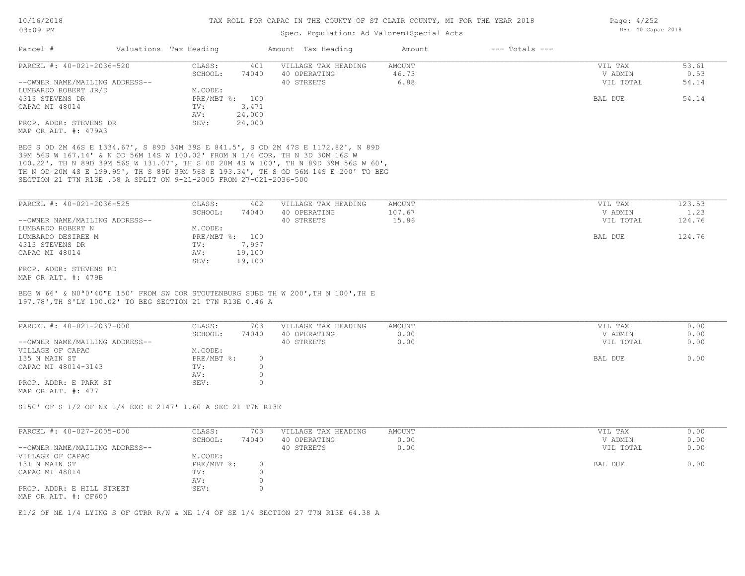## Spec. Population: Ad Valorem+Special Acts

| Parcel #                       | Valuations Tax Heading |        | Amount Tax Heading  | Amount | $---$ Totals $---$ |           |       |
|--------------------------------|------------------------|--------|---------------------|--------|--------------------|-----------|-------|
| PARCEL #: 40-021-2036-520      | CLASS:                 | 401    | VILLAGE TAX HEADING | AMOUNT |                    | VIL TAX   | 53.61 |
|                                | SCHOOL:                | 74040  | 40 OPERATING        | 46.73  |                    | V ADMIN   | 0.53  |
| --OWNER NAME/MAILING ADDRESS-- |                        |        | 40 STREETS          | 6.88   |                    | VIL TOTAL | 54.14 |
| LUMBARDO ROBERT JR/D           | M.CODE:                |        |                     |        |                    |           |       |
| 4313 STEVENS DR                | PRE/MBT %:             | 100    |                     |        |                    | BAL DUE   | 54.14 |
| CAPAC MI 48014                 | TV:                    | 3,471  |                     |        |                    |           |       |
|                                | AV:                    | 24,000 |                     |        |                    |           |       |
| PROP. ADDR: STEVENS DR         | SEV:                   | 24,000 |                     |        |                    |           |       |
| MAP OR ALT. #: 479A3           |                        |        |                     |        |                    |           |       |

SECTION 21 T7N R13E .58 A SPLIT ON 9-21-2005 FROM 27-021-2036-500 TH N OD 20M 4S E 199.95', TH S 89D 39M 56S E 193.34', TH S OD 56M 14S E 200' TO BEG 100.22', TH N 89D 39M 56S W 131.07', TH S 0D 20M 4S W 100', TH N 89D 39M 56S W 60', 39M 56S W 167.14' & N OD 56M 14S W 100.02' FROM N 1/4 COR, TH N 3D 30M 16S W BEG S 0D 2M 46S E 1334.67', S 89D 34M 39S E 841.5', S OD 2M 47S E 1172.82', N 89D

| PARCEL #: 40-021-2036-525      | CLASS:       | 402    | VILLAGE TAX HEADING | AMOUNT | VIL TAX   | 123.53 |
|--------------------------------|--------------|--------|---------------------|--------|-----------|--------|
|                                | SCHOOL:      | 74040  | 40 OPERATING        | 107.67 | V ADMIN   | 1.23   |
| --OWNER NAME/MAILING ADDRESS-- |              |        | 40 STREETS          | 15.86  | VIL TOTAL | 124.76 |
| LUMBARDO ROBERT N              | M.CODE:      |        |                     |        |           |        |
| LUMBARDO DESIREE M             | $PRE/MBT$ %: | 100    |                     |        | BAL DUE   | 124.76 |
| 4313 STEVENS DR                | TV:          | 7,997  |                     |        |           |        |
| CAPAC MI 48014                 | AV:          | 19,100 |                     |        |           |        |
|                                | SEV:         | 19,100 |                     |        |           |        |
| PROP. ADDR: STEVENS RD         |              |        |                     |        |           |        |
| MAP OR ALT. #: 479B            |              |        |                     |        |           |        |

197.78',TH S'LY 100.02' TO BEG SECTION 21 T7N R13E 0.46 A BEG W 66' & N0ª0'40"E 150' FROM SW COR STOUTENBURG SUBD TH W 200',TH N 100',TH E

| PARCEL #: 40-021-2037-000      | CLASS:       | 703   | VILLAGE TAX HEADING | AMOUNT | VIL TAX   | 0.00 |
|--------------------------------|--------------|-------|---------------------|--------|-----------|------|
|                                | SCHOOL:      | 74040 | 40 OPERATING        | 0.00   | V ADMIN   | 0.00 |
| --OWNER NAME/MAILING ADDRESS-- |              |       | 40 STREETS          | 0.00   | VIL TOTAL | 0.00 |
| VILLAGE OF CAPAC               | M.CODE:      |       |                     |        |           |      |
| 135 N MAIN ST                  | $PRE/MBT$ %: |       |                     |        | BAL DUE   | 0.00 |
| CAPAC MI 48014-3143            | TV:          |       |                     |        |           |      |
|                                | AV:          |       |                     |        |           |      |
| PROP. ADDR: E PARK ST          | SEV:         |       |                     |        |           |      |
| MAP OR ALT. $\#: 477$          |              |       |                     |        |           |      |

S150' OF S 1/2 OF NE 1/4 EXC E 2147' 1.60 A SEC 21 T7N R13E

| PARCEL #: 40-027-2005-000                         | CLASS:     | 703   | VILLAGE TAX HEADING | AMOUNT | VIL TAX   | 0.00 |
|---------------------------------------------------|------------|-------|---------------------|--------|-----------|------|
|                                                   | SCHOOL:    | 74040 | 40 OPERATING        | 0.00   | V ADMIN   | 0.00 |
| --OWNER NAME/MAILING ADDRESS--                    |            |       | 40 STREETS          | 0.00   | VIL TOTAL | 0.00 |
| VILLAGE OF CAPAC                                  | M.CODE:    |       |                     |        |           |      |
| 131 N MAIN ST                                     | PRE/MBT %: |       |                     |        | BAL DUE   | 0.00 |
| CAPAC MI 48014                                    | TV:        |       |                     |        |           |      |
|                                                   | AV:        |       |                     |        |           |      |
| PROP. ADDR: E HILL STREET<br>MAP OR ALT. #: CF600 | SEV:       |       |                     |        |           |      |

 $\mathcal{L}_\mathcal{L} = \mathcal{L}_\mathcal{L} = \mathcal{L}_\mathcal{L} = \mathcal{L}_\mathcal{L} = \mathcal{L}_\mathcal{L} = \mathcal{L}_\mathcal{L} = \mathcal{L}_\mathcal{L} = \mathcal{L}_\mathcal{L} = \mathcal{L}_\mathcal{L} = \mathcal{L}_\mathcal{L} = \mathcal{L}_\mathcal{L} = \mathcal{L}_\mathcal{L} = \mathcal{L}_\mathcal{L} = \mathcal{L}_\mathcal{L} = \mathcal{L}_\mathcal{L} = \mathcal{L}_\mathcal{L} = \mathcal{L}_\mathcal{L}$ 

E1/2 OF NE 1/4 LYING S OF GTRR R/W & NE 1/4 OF SE 1/4 SECTION 27 T7N R13E 64.38 A

Page: 4/252 DB: 40 Capac 2018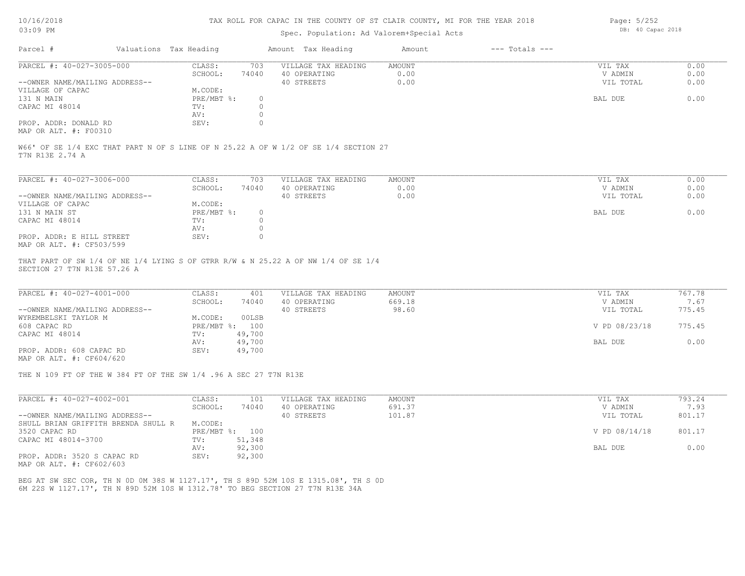### Spec. Population: Ad Valorem+Special Acts

| Parcel #                       | Valuations Tax Heading |       | Amount Tax Heading  | Amount | $---$ Totals $---$ |           |      |
|--------------------------------|------------------------|-------|---------------------|--------|--------------------|-----------|------|
| PARCEL #: 40-027-3005-000      | CLASS:                 | 703   | VILLAGE TAX HEADING | AMOUNT |                    | VIL TAX   | 0.00 |
|                                | SCHOOL:                | 74040 | 40 OPERATING        | 0.00   |                    | V ADMIN   | 0.00 |
| --OWNER NAME/MAILING ADDRESS-- |                        |       | 40 STREETS          | 0.00   |                    | VIL TOTAL | 0.00 |
| VILLAGE OF CAPAC               | M.CODE:                |       |                     |        |                    |           |      |
| 131 N MAIN                     | PRE/MBT %:             |       |                     |        |                    | BAL DUE   | 0.00 |
| CAPAC MI 48014                 | TV:                    |       |                     |        |                    |           |      |
|                                | AV:                    |       |                     |        |                    |           |      |
| PROP. ADDR: DONALD RD          | SEV:                   |       |                     |        |                    |           |      |
|                                |                        |       |                     |        |                    |           |      |

MAP OR ALT. #: F00310

T7N R13E 2.74 A W66' OF SE 1/4 EXC THAT PART N OF S LINE OF N 25.22 A OF W 1/2 OF SE 1/4 SECTION 27

| PARCEL #: 40-027-3006-000      | CLASS:     | 703   | VILLAGE TAX HEADING | AMOUNT | VIL TAX   | 0.00 |
|--------------------------------|------------|-------|---------------------|--------|-----------|------|
|                                | SCHOOL:    | 74040 | 40 OPERATING        | 0.00   | V ADMIN   | 0.00 |
| --OWNER NAME/MAILING ADDRESS-- |            |       | 40 STREETS          | 0.00   | VIL TOTAL | 0.00 |
| VILLAGE OF CAPAC               | M.CODE:    |       |                     |        |           |      |
| 131 N MAIN ST                  | PRE/MBT %: |       |                     |        | BAL DUE   | 0.00 |
| CAPAC MI 48014                 | TV:        |       |                     |        |           |      |
|                                | AV:        |       |                     |        |           |      |
| PROP. ADDR: E HILL STREET      | SEV:       |       |                     |        |           |      |
| MAP OR ALT. #: CF503/599       |            |       |                     |        |           |      |

SECTION 27 T7N R13E 57.26 A THAT PART OF SW 1/4 OF NE 1/4 LYING S OF GTRR R/W & N 25.22 A OF NW 1/4 OF SE 1/4

| PARCEL #: 40-027-4001-000      | CLASS:  | 401            | VILLAGE TAX HEADING | AMOUNT | VIL TAX       | 767.78 |
|--------------------------------|---------|----------------|---------------------|--------|---------------|--------|
|                                | SCHOOL: | 74040          | 40 OPERATING        | 669.18 | V ADMIN       | 7.67   |
| --OWNER NAME/MAILING ADDRESS-- |         |                | 40 STREETS          | 98.60  | VIL TOTAL     | 775.45 |
| WYREMBELSKI TAYLOR M           | M.CODE: | 00LSB          |                     |        |               |        |
| 608 CAPAC RD                   |         | PRE/MBT %: 100 |                     |        | V PD 08/23/18 | 775.45 |
| CAPAC MI 48014                 | TV:     | 49,700         |                     |        |               |        |
|                                | AV:     | 49,700         |                     |        | BAL DUE       | 0.00   |
| PROP. ADDR: 608 CAPAC RD       | SEV:    | 49,700         |                     |        |               |        |
|                                |         |                |                     |        |               |        |

MAP OR ALT. #: CF604/620

THE N 109 FT OF THE W 384 FT OF THE SW 1/4 .96 A SEC 27 T7N R13E

| PARCEL #: 40-027-4002-001           | CLASS:       | 101    | VILLAGE TAX HEADING | AMOUNT | VIL TAX       | 793.24 |
|-------------------------------------|--------------|--------|---------------------|--------|---------------|--------|
|                                     | SCHOOL:      | 74040  | 40 OPERATING        | 691.37 | V ADMIN       | 7.93   |
| --OWNER NAME/MAILING ADDRESS--      |              |        | 40 STREETS          | 101.87 | VIL TOTAL     | 801.17 |
| SHULL BRIAN GRIFFITH BRENDA SHULL R | M.CODE:      |        |                     |        |               |        |
| 3520 CAPAC RD                       | $PRE/MBT$ %: | 100    |                     |        | V PD 08/14/18 | 801.17 |
| CAPAC MI 48014-3700                 | TV:          | 51,348 |                     |        |               |        |
|                                     | AV:          | 92,300 |                     |        | BAL DUE       | 0.00   |
| PROP. ADDR: 3520 S CAPAC RD         | SEV:         | 92,300 |                     |        |               |        |

MAP OR ALT. #: CF602/603

6M 22S W 1127.17', TH N 89D 52M 10S W 1312.78' TO BEG SECTION 27 T7N R13E 34A BEG AT SW SEC COR, TH N 0D 0M 38S W 1127.17', TH S 89D 52M 10S E 1315.08', TH S 0D Page: 5/252 DB: 40 Capac 2018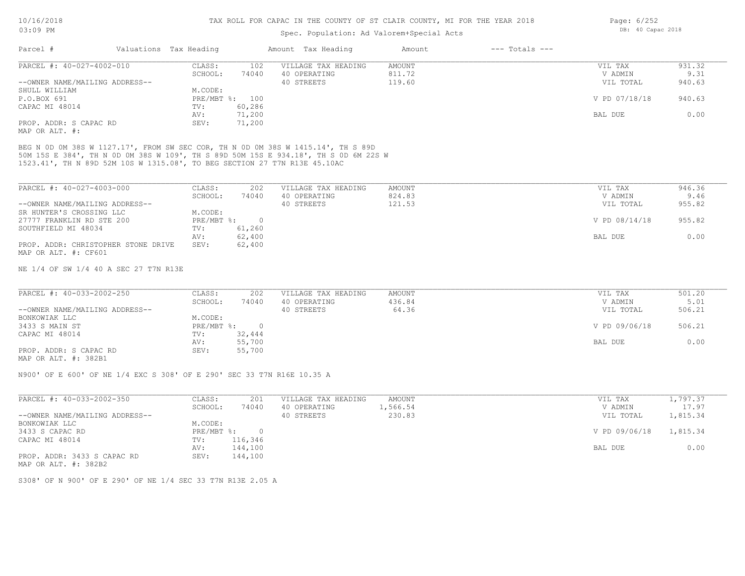### Spec. Population: Ad Valorem+Special Acts

| Parcel #                            | Valuations Tax Heading |        | Amount Tax Heading  | Amount | $---$ Totals $---$ |               |        |
|-------------------------------------|------------------------|--------|---------------------|--------|--------------------|---------------|--------|
| PARCEL #: 40-027-4002-010           | CLASS:                 | 102    | VILLAGE TAX HEADING | AMOUNT |                    | VIL TAX       | 931.32 |
|                                     | SCHOOL:                | 74040  | 40 OPERATING        | 811.72 |                    | V ADMIN       | 9.31   |
| --OWNER NAME/MAILING ADDRESS--      |                        |        | 40 STREETS          | 119.60 |                    | VIL TOTAL     | 940.63 |
| SHULL WILLIAM                       | M.CODE:                |        |                     |        |                    |               |        |
| P.O.BOX 691                         | PRE/MBT %: 100         |        |                     |        |                    | V PD 07/18/18 | 940.63 |
| CAPAC MI 48014                      | TV:                    | 60,286 |                     |        |                    |               |        |
|                                     | AV:                    | 71,200 |                     |        |                    | BAL DUE       | 0.00   |
| PROP. ADDR: S CAPAC RD              | SEV:                   | 71,200 |                     |        |                    |               |        |
| $\cdots$ $\cdots$ $\cdots$ $\cdots$ |                        |        |                     |        |                    |               |        |

MAP OR ALT. #:

1523.41', TH N 89D 52M 10S W 1315.08', TO BEG SECTION 27 T7N R13E 45.10AC 50M 15S E 384', TH N 0D 0M 38S W 109', TH S 89D 50M 15S E 934.18', TH S 0D 6M 22S W BEG N 0D 0M 38S W 1127.17', FROM SW SEC COR, TH N 0D 0M 38S W 1415.14', TH S 89D

| PARCEL #: 40-027-4003-000           | CLASS:       | 202    | VILLAGE TAX HEADING | AMOUNT | VIL TAX       | 946.36 |
|-------------------------------------|--------------|--------|---------------------|--------|---------------|--------|
|                                     | SCHOOL:      | 74040  | 40 OPERATING        | 824.83 | V ADMIN       | 9.46   |
| --OWNER NAME/MAILING ADDRESS--      |              |        | 40 STREETS          | 121.53 | VIL TOTAL     | 955.82 |
| SR HUNTER'S CROSSING LLC            | M.CODE:      |        |                     |        |               |        |
| 27777 FRANKLIN RD STE 200           | $PRE/MBT$ %: |        |                     |        | V PD 08/14/18 | 955.82 |
| SOUTHFIELD MI 48034                 | TV:          | 61,260 |                     |        |               |        |
|                                     | AV:          | 62,400 |                     |        | BAL DUE       | 0.00   |
| PROP. ADDR: CHRISTOPHER STONE DRIVE | SEV:         | 62,400 |                     |        |               |        |
| MAP OR ALT. #: CF601                |              |        |                     |        |               |        |

NE 1/4 OF SW 1/4 40 A SEC 27 T7N R13E

| PARCEL #: 40-033-2002-250                                      | CLASS:       | 202    | VILLAGE TAX HEADING | AMOUNT | VIL TAX       | 501.20 |
|----------------------------------------------------------------|--------------|--------|---------------------|--------|---------------|--------|
|                                                                | SCHOOL:      | 74040  | 40 OPERATING        | 436.84 | V ADMIN       | 5.01   |
| --OWNER NAME/MAILING ADDRESS--                                 |              |        | 40 STREETS          | 64.36  | VIL TOTAL     | 506.21 |
| BONKOWIAK LLC                                                  | M.CODE:      |        |                     |        |               |        |
| 3433 S MAIN ST                                                 | $PRE/MBT$ %: |        |                     |        | V PD 09/06/18 | 506.21 |
| CAPAC MI 48014                                                 | TV:          | 32,444 |                     |        |               |        |
|                                                                | AV:          | 55,700 |                     |        | BAL DUE       | 0.00   |
| PROP. ADDR: S CAPAC RD                                         | SEV:         | 55,700 |                     |        |               |        |
| $\cdots$ $\cdots$ $\cdots$ $\cdots$ $\cdots$ $\cdots$ $\cdots$ |              |        |                     |        |               |        |

MAP OR ALT. #: 382B1

N900' OF E 600' OF NE 1/4 EXC S 308' OF E 290' SEC 33 T7N R16E 10.35 A

| PARCEL #: 40-033-2002-350      | CLASS:     | 201     | VILLAGE TAX HEADING | AMOUNT   | VIL TAX       | 1,797.37 |
|--------------------------------|------------|---------|---------------------|----------|---------------|----------|
|                                | SCHOOL:    | 74040   | 40 OPERATING        | 1,566.54 | V ADMIN       | 17.97    |
| --OWNER NAME/MAILING ADDRESS-- |            |         | 40 STREETS          | 230.83   | VIL TOTAL     | 1,815.34 |
| BONKOWIAK LLC                  | M.CODE:    |         |                     |          |               |          |
| 3433 S CAPAC RD                | PRE/MBT %: |         |                     |          | V PD 09/06/18 | 1,815.34 |
| CAPAC MI 48014                 | TV:        | 116,346 |                     |          |               |          |
|                                | AV:        | 144,100 |                     |          | BAL DUE       | 0.00     |
| PROP. ADDR: 3433 S CAPAC RD    | SEV:       | 144,100 |                     |          |               |          |

MAP OR ALT. #: 382B2

S308' OF N 900' OF E 290' OF NE 1/4 SEC 33 T7N R13E 2.05 A

Page: 6/252 DB: 40 Capac 2018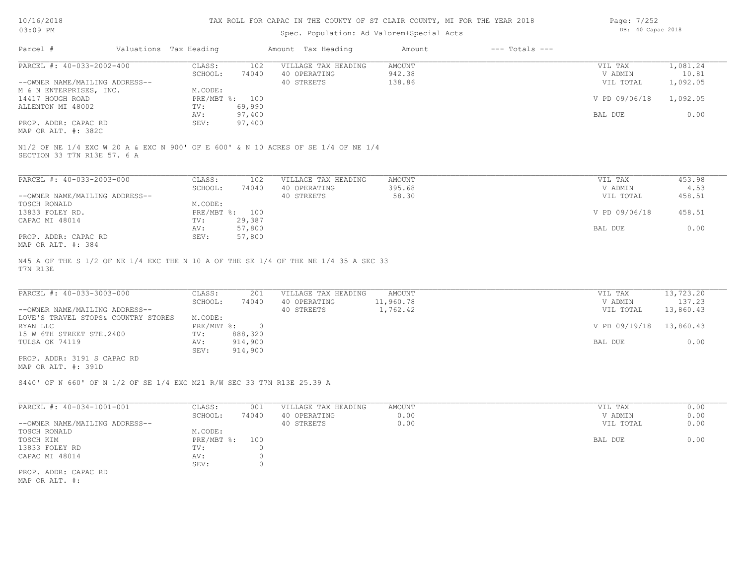# Spec. Population: Ad Valorem+Special Acts

| Page: 7/252 |                   |  |
|-------------|-------------------|--|
|             | DB: 40 Capac 2018 |  |

| Parcel #                       |         | Valuations Tax Heading |                | Amount Tax Heading  | Amount | $---$ Totals $---$ |               |          |
|--------------------------------|---------|------------------------|----------------|---------------------|--------|--------------------|---------------|----------|
| PARCEL #: 40-033-2002-400      |         | CLASS:                 | 102            | VILLAGE TAX HEADING | AMOUNT |                    | VIL TAX       | 1,081.24 |
|                                | SCHOOL: | 74040                  | 40 OPERATING   | 942.38              |        | V ADMIN            | 10.81         |          |
| --OWNER NAME/MAILING ADDRESS-- |         |                        |                | 40 STREETS          | 138.86 |                    | VIL TOTAL     | 1,092.05 |
| M & N ENTERPRISES, INC.        |         | M.CODE:                |                |                     |        |                    |               |          |
| 14417 HOUGH ROAD               |         |                        | PRE/MBT %: 100 |                     |        |                    | V PD 09/06/18 | 1,092.05 |
| ALLENTON MI 48002              |         | TV:                    | 69,990         |                     |        |                    |               |          |
|                                |         | AV:                    | 97,400         |                     |        |                    | BAL DUE       | 0.00     |
| PROP. ADDR: CAPAC RD           |         | SEV:                   | 97,400         |                     |        |                    |               |          |
| MAP OR ALT. #: 382C            |         |                        |                |                     |        |                    |               |          |

SECTION 33 T7N R13E 57. 6 A

| PARCEL #: 40-033-2003-000      | CLASS:       | 102    | VILLAGE TAX HEADING | AMOUNT | VIL TAX       | 453.98 |
|--------------------------------|--------------|--------|---------------------|--------|---------------|--------|
|                                | SCHOOL:      | 74040  | 40 OPERATING        | 395.68 | V ADMIN       | 4.53   |
| --OWNER NAME/MAILING ADDRESS-- |              |        | 40 STREETS          | 58.30  | VIL TOTAL     | 458.51 |
| TOSCH RONALD                   | M.CODE:      |        |                     |        |               |        |
| 13833 FOLEY RD.                | $PRE/MBT$ %: | 100    |                     |        | V PD 09/06/18 | 458.51 |
| CAPAC MI 48014                 | TV:          | 29,387 |                     |        |               |        |
|                                | AV:          | 57,800 |                     |        | BAL DUE       | 0.00   |
| PROP. ADDR: CAPAC RD           | SEV:         | 57,800 |                     |        |               |        |
| MAP OR ALT. #: 384             |              |        |                     |        |               |        |

T7N R13E N45 A OF THE S 1/2 OF NE 1/4 EXC THE N 10 A OF THE SE 1/4 OF THE NE 1/4 35 A SEC 33

| PARCEL #: 40-033-3003-000           | CLASS:     | 201     | VILLAGE TAX HEADING | AMOUNT    | VIL TAX       | 13,723.20 |
|-------------------------------------|------------|---------|---------------------|-----------|---------------|-----------|
|                                     | SCHOOL:    | 74040   | 40 OPERATING        | 11,960.78 | V ADMIN       | 137.23    |
| --OWNER NAME/MAILING ADDRESS--      |            |         | 40 STREETS          | 1,762.42  | VIL TOTAL     | 13,860.43 |
| LOVE'S TRAVEL STOPS& COUNTRY STORES | M.CODE:    |         |                     |           |               |           |
| RYAN LLC                            | PRE/MBT %: |         |                     |           | V PD 09/19/18 | 13,860.43 |
| 15 W 6TH STREET STE.2400            | TV:        | 888,320 |                     |           |               |           |
| TULSA OK 74119                      | AV:        | 914,900 |                     |           | BAL DUE       | 0.00      |
|                                     | SEV:       | 914,900 |                     |           |               |           |
| PROP. ADDR: 3191 S CAPAC RD         |            |         |                     |           |               |           |

MAP OR ALT. #: 391D

S440' OF N 660' OF N 1/2 OF SE 1/4 EXC M21 R/W SEC 33 T7N R13E 25.39 A

| PARCEL #: 40-034-1001-001      | CLASS:        | 001   | VILLAGE TAX HEADING | AMOUNT | VIL TAX   | 0.00 |
|--------------------------------|---------------|-------|---------------------|--------|-----------|------|
|                                | SCHOOL:       | 74040 | 40 OPERATING        | 0.00   | V ADMIN   | 0.00 |
| --OWNER NAME/MAILING ADDRESS-- |               |       | 40 STREETS          | 0.00   | VIL TOTAL | 0.00 |
| TOSCH RONALD                   | M.CODE:       |       |                     |        |           |      |
| TOSCH KIM                      | $PRE/MBT$ %:  | 100   |                     |        | BAL DUE   | 0.00 |
| 13833 FOLEY RD                 | $\text{TV}$ : |       |                     |        |           |      |
| CAPAC MI 48014                 | AV:           |       |                     |        |           |      |
|                                | SEV:          |       |                     |        |           |      |
| PROP. ADDR: CAPAC RD           |               |       |                     |        |           |      |

MAP OR ALT. #: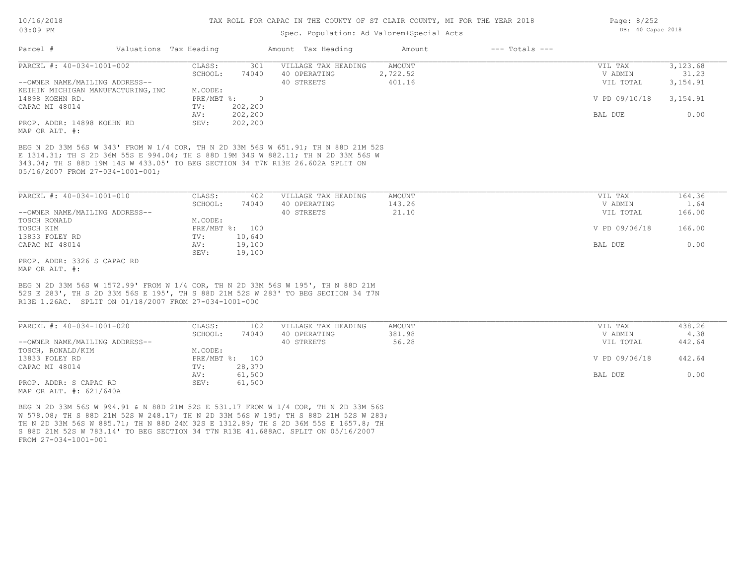## Spec. Population: Ad Valorem+Special Acts

| PARCEL #: 40-034-1001-002                                                                                                                                                                                                                                                                                                  | CLASS:<br>301                  | VILLAGE TAX HEADING | AMOUNT        | VIL TAX       | 3,123.68  |
|----------------------------------------------------------------------------------------------------------------------------------------------------------------------------------------------------------------------------------------------------------------------------------------------------------------------------|--------------------------------|---------------------|---------------|---------------|-----------|
|                                                                                                                                                                                                                                                                                                                            | SCHOOL:<br>74040               | 40 OPERATING        | 2,722.52      | V ADMIN       | 31.23     |
| --OWNER NAME/MAILING ADDRESS--                                                                                                                                                                                                                                                                                             |                                | 40 STREETS          | 401.16        | VIL TOTAL     | 3, 154.91 |
| KEIHIN MICHIGAN MANUFACTURING, INC                                                                                                                                                                                                                                                                                         | M.CODE:                        |                     |               |               |           |
| 14898 KOEHN RD.                                                                                                                                                                                                                                                                                                            | $PRE/MBT$ %:<br>$\overline{0}$ |                     |               | V PD 09/10/18 | 3, 154.91 |
| CAPAC MI 48014                                                                                                                                                                                                                                                                                                             | 202,200<br>TV:                 |                     |               |               |           |
|                                                                                                                                                                                                                                                                                                                            | 202,200<br>AV:                 |                     |               | BAL DUE       | 0.00      |
| PROP. ADDR: 14898 KOEHN RD                                                                                                                                                                                                                                                                                                 | 202,200<br>SEV:                |                     |               |               |           |
| MAP OR ALT. #:                                                                                                                                                                                                                                                                                                             |                                |                     |               |               |           |
|                                                                                                                                                                                                                                                                                                                            |                                |                     |               |               |           |
| BEG N 2D 33M 56S W 343' FROM W 1/4 COR, TH N 2D 33M 56S W 651.91; TH N 88D 21M 52S<br>E 1314.31; TH S 2D 36M 55S E 994.04; TH S 88D 19M 34S W 882.11; TH N 2D 33M 56S W<br>343.04; TH S 88D 19M 14S W 433.05' TO BEG SECTION 34 T7N R13E 26.602A SPLIT ON<br>05/16/2007 FROM 27-034-1001-001;<br>PARCEL #: 40-034-1001-010 | CLASS:<br>402                  | VILLAGE TAX HEADING | <b>AMOUNT</b> | VIL TAX       | 164.36    |
|                                                                                                                                                                                                                                                                                                                            | SCHOOL:<br>74040               | 40 OPERATING        | 143.26        | V ADMIN       | 1.64      |
| --OWNER NAME/MAILING ADDRESS--                                                                                                                                                                                                                                                                                             |                                | 40 STREETS          | 21.10         | VIL TOTAL     | 166.00    |
| TOSCH RONALD                                                                                                                                                                                                                                                                                                               | M.CODE:                        |                     |               |               |           |
| TOSCH KIM                                                                                                                                                                                                                                                                                                                  | PRE/MBT %: 100                 |                     |               | V PD 09/06/18 | 166.00    |
| 13833 FOLEY RD                                                                                                                                                                                                                                                                                                             | 10,640<br>TV:                  |                     |               |               |           |
| CAPAC MI 48014                                                                                                                                                                                                                                                                                                             | 19,100<br>AV:                  |                     |               | BAL DUE       | 0.00      |
| PROP. ADDR: 3326 S CAPAC RD                                                                                                                                                                                                                                                                                                | 19,100<br>SEV:                 |                     |               |               |           |

R13E 1.26AC. SPLIT ON 01/18/2007 FROM 27-034-1001-000

| PARCEL #: 40-034-1001-020      | CLASS:       | 102    | VILLAGE TAX HEADING | AMOUNT | VIL TAX       | 438.26 |
|--------------------------------|--------------|--------|---------------------|--------|---------------|--------|
|                                | SCHOOL:      | 74040  | 40 OPERATING        | 381.98 | V ADMIN       | 4.38   |
| --OWNER NAME/MAILING ADDRESS-- |              |        | 40 STREETS          | 56.28  | VIL TOTAL     | 442.64 |
| TOSCH, RONALD/KIM              | M.CODE:      |        |                     |        |               |        |
| 13833 FOLEY RD                 | $PRE/MBT$ %: | 100    |                     |        | V PD 09/06/18 | 442.64 |
| CAPAC MI 48014                 | TV:          | 28,370 |                     |        |               |        |
|                                | AV:          | 61,500 |                     |        | BAL DUE       | 0.00   |
| PROP. ADDR: S CAPAC RD         | SEV:         | 61,500 |                     |        |               |        |
| MAP OR ALT. #: 621/640A        |              |        |                     |        |               |        |

FROM 27-034-1001-001 S 88D 21M 52S W 783.14' TO BEG SECTION 34 T7N R13E 41.688AC. SPLIT ON 05/16/2007 TH N 2D 33M 56S W 885.71; TH N 88D 24M 32S E 1312.89; TH S 2D 36M 55S E 1657.8; TH W 578.08; TH S 88D 21M 52S W 248.17; TH N 2D 33M 56S W 195; TH S 88D 21M 52S W 283; BEG N 2D 33M 56S W 994.91 & N 88D 21M 52S E 531.17 FROM W 1/4 COR, TH N 2D 33M 56S

Page: 8/252 DB: 40 Capac 2018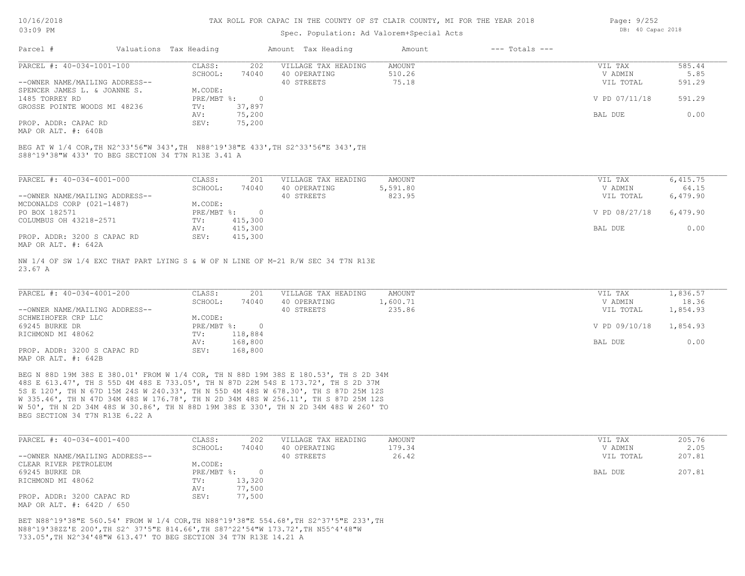## Spec. Population: Ad Valorem+Special Acts

| Parcel #                       | Valuations Tax Heading |        | Amount Tax Heading  | Amount | --- Totals --- |               |        |
|--------------------------------|------------------------|--------|---------------------|--------|----------------|---------------|--------|
| PARCEL #: 40-034-1001-100      | CLASS:                 | 202    | VILLAGE TAX HEADING | AMOUNT |                | VIL TAX       | 585.44 |
|                                | SCHOOL:                | 74040  | 40 OPERATING        | 510.26 |                | V ADMIN       | 5.85   |
| --OWNER NAME/MAILING ADDRESS-- |                        |        | 40 STREETS          | 75.18  |                | VIL TOTAL     | 591.29 |
| SPENCER JAMES L. & JOANNE S.   | M.CODE:                |        |                     |        |                |               |        |
| 1485 TORREY RD                 | $PRE/MBT$ %:           |        |                     |        |                | V PD 07/11/18 | 591.29 |
| GROSSE POINTE WOODS MI 48236   | TV:                    | 37,897 |                     |        |                |               |        |
|                                | AV:                    | 75,200 |                     |        |                | BAL DUE       | 0.00   |
| PROP. ADDR: CAPAC RD           | SEV:                   | 75,200 |                     |        |                |               |        |
|                                |                        |        |                     |        |                |               |        |

MAP OR ALT. #: 640B

S88^19'38"W 433' TO BEG SECTION 34 T7N R13E 3.41 A BEG AT W 1/4 COR,TH N2^33'56"W 343',TH N88^19'38"E 433',TH S2^33'56"E 343',TH

| PARCEL #: 40-034-4001-000      | CLASS:     | 201     | VILLAGE TAX HEADING | AMOUNT   | VIL TAX       | 6,415.75 |
|--------------------------------|------------|---------|---------------------|----------|---------------|----------|
|                                | SCHOOL:    | 74040   | 40 OPERATING        | 5,591.80 | V ADMIN       | 64.15    |
| --OWNER NAME/MAILING ADDRESS-- |            |         | 40 STREETS          | 823.95   | VIL TOTAL     | 6,479.90 |
| MCDONALDS CORP (021-1487)      | M.CODE:    |         |                     |          |               |          |
| PO BOX 182571                  | PRE/MBT %: |         |                     |          | V PD 08/27/18 | 6,479.90 |
| COLUMBUS OH 43218-2571         | TV:        | 415,300 |                     |          |               |          |
|                                | AV:        | 415,300 |                     |          | BAL DUE       | 0.00     |
| PROP. ADDR: 3200 S CAPAC RD    | SEV:       | 415,300 |                     |          |               |          |
| MAP OR ALT. #: 642A            |            |         |                     |          |               |          |

23.67 A NW 1/4 OF SW 1/4 EXC THAT PART LYING S & W OF N LINE OF M-21 R/W SEC 34 T7N R13E

| PARCEL #: 40-034-4001-200      | CLASS:       | 201     | VILLAGE TAX HEADING | AMOUNT   | VIL TAX       | 1,836.57 |
|--------------------------------|--------------|---------|---------------------|----------|---------------|----------|
|                                | SCHOOL:      | 74040   | 40 OPERATING        | 1,600.71 | V ADMIN       | 18.36    |
| --OWNER NAME/MAILING ADDRESS-- |              |         | 40 STREETS          | 235.86   | VIL TOTAL     | 1,854.93 |
| SCHWEIHOFER CRP LLC            | M.CODE:      |         |                     |          |               |          |
| 69245 BURKE DR                 | $PRE/MBT$ %: |         |                     |          | V PD 09/10/18 | 1,854.93 |
| RICHMOND MI 48062              | TV:          | 118,884 |                     |          |               |          |
|                                | AV:          | 168,800 |                     |          | BAL DUE       | 0.00     |
| PROP. ADDR: 3200 S CAPAC RD    | SEV:         | 168,800 |                     |          |               |          |
| MAP OR ALT. #: 642B            |              |         |                     |          |               |          |

BEG SECTION 34 T7N R13E 6.22 A W 50', TH N 2D 34M 48S W 30.86', TH N 88D 19M 38S E 330', TH N 2D 34M 48S W 260' TO W 335.46', TH N 47D 34M 48S W 176.78', TH N 2D 34M 48S W 256.11', TH S 87D 25M 12S 5S E 120', TH N 67D 15M 24S W 240.33', TH N 55D 4M 48S W 678.30', TH S 87D 25M 12S 48S E 613.47', TH S 55D 4M 48S E 733.05', TH N 87D 22M 54S E 173.72', TH S 2D 37M BEG N 88D 19M 38S E 380.01' FROM W 1/4 COR, TH N 88D 19M 38S E 180.53', TH S 2D 34M

| PARCEL #: 40-034-4001-400      | CLASS:       | 202    | VILLAGE TAX HEADING | AMOUNT | VIL TAX   | 205.76 |
|--------------------------------|--------------|--------|---------------------|--------|-----------|--------|
|                                | SCHOOL:      | 74040  | 40 OPERATING        | 179.34 | V ADMIN   | 2.05   |
| --OWNER NAME/MAILING ADDRESS-- |              |        | 40 STREETS          | 26.42  | VIL TOTAL | 207.81 |
| CLEAR RIVER PETROLEUM          | M.CODE:      |        |                     |        |           |        |
| 69245 BURKE DR                 | $PRE/MBT$ %: |        |                     |        | BAL DUE   | 207.81 |
| RICHMOND MI 48062              | TV:          | 13,320 |                     |        |           |        |
|                                | AV:          | 77,500 |                     |        |           |        |
| PROP. ADDR: 3200 CAPAC RD      | SEV:         | 77,500 |                     |        |           |        |
| MAP OR ALT. #: 642D / 650      |              |        |                     |        |           |        |

733.05',TH N2^34'48"W 613.47' TO BEG SECTION 34 T7N R13E 14.21 A N88^19'38ZZ'E 200',TH S2^ 37'5"E 814.66',TH S87^22'54"W 173.72',TH N55^4'48"W BET N88^19'38"E 560.54' FROM W 1/4 COR,TH N88^19'38"E 554.68',TH S2^37'5"E 233',TH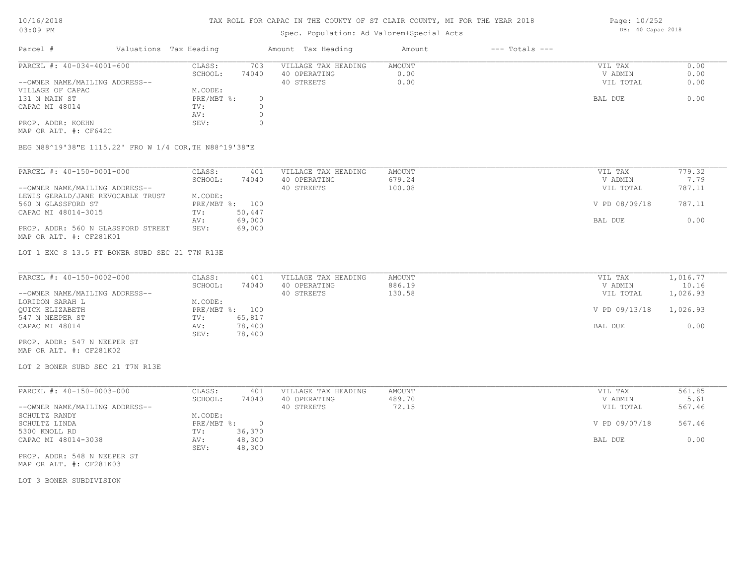# Spec. Population: Ad Valorem+Special Acts

| Parcel #                       |        | Valuations Tax Heading |                     | Amount Tax Heading | Amount | $---$ Totals $---$ |           |      |
|--------------------------------|--------|------------------------|---------------------|--------------------|--------|--------------------|-----------|------|
| PARCEL #: 40-034-4001-600      | CLASS: | 703                    | VILLAGE TAX HEADING | AMOUNT             |        | VIL TAX            | 0.00      |      |
|                                |        | SCHOOL:                | 74040               | 40 OPERATING       | 0.00   |                    | V ADMIN   | 0.00 |
| --OWNER NAME/MAILING ADDRESS-- |        |                        |                     | 40 STREETS         | 0.00   |                    | VIL TOTAL | 0.00 |
| VILLAGE OF CAPAC               |        | M.CODE:                |                     |                    |        |                    |           |      |
| 131 N MAIN ST                  |        | PRE/MBT %:             |                     |                    |        |                    | BAL DUE   | 0.00 |
| CAPAC MI 48014                 |        | TV:                    |                     |                    |        |                    |           |      |
|                                |        | AV:                    |                     |                    |        |                    |           |      |
| PROP. ADDR: KOEHN              |        | SEV:                   |                     |                    |        |                    |           |      |
|                                |        |                        |                     |                    |        |                    |           |      |

MAP OR ALT. #: CF642C

BEG N88^19'38"E 1115.22' FRO W 1/4 COR,TH N88^19'38"E

| PARCEL #: 40-150-0001-000          | CLASS:  | 401            | VILLAGE TAX HEADING | AMOUNT | VIL TAX       | 779.32 |
|------------------------------------|---------|----------------|---------------------|--------|---------------|--------|
|                                    | SCHOOL: | 74040          | 40 OPERATING        | 679.24 | V ADMIN       | 7.79   |
| --OWNER NAME/MAILING ADDRESS--     |         |                | 40 STREETS          | 100.08 | VIL TOTAL     | 787.11 |
| LEWIS GERALD/JANE REVOCABLE TRUST  | M.CODE: |                |                     |        |               |        |
| 560 N GLASSFORD ST                 |         | PRE/MBT %: 100 |                     |        | V PD 08/09/18 | 787.11 |
| CAPAC MI 48014-3015                | TV:     | 50,447         |                     |        |               |        |
|                                    | AV:     | 69,000         |                     |        | BAL DUE       | 0.00   |
| PROP. ADDR: 560 N GLASSFORD STREET | SEV:    | 69,000         |                     |        |               |        |
| MAP OR ALT. #: CF281K01            |         |                |                     |        |               |        |

LOT 1 EXC S 13.5 FT BONER SUBD SEC 21 T7N R13E

| PARCEL #: 40-150-0002-000      | CLASS:         | 401    | VILLAGE TAX HEADING | AMOUNT | VIL TAX       | 1,016.77 |
|--------------------------------|----------------|--------|---------------------|--------|---------------|----------|
|                                | SCHOOL:        | 74040  | 40 OPERATING        | 886.19 | V ADMIN       | 10.16    |
| --OWNER NAME/MAILING ADDRESS-- |                |        | 40 STREETS          | 130.58 | VIL TOTAL     | 1,026.93 |
| LORIDON SARAH L                | M.CODE:        |        |                     |        |               |          |
| OUICK ELIZABETH                | PRE/MBT %: 100 |        |                     |        | V PD 09/13/18 | 1,026.93 |
| 547 N NEEPER ST                | TV:            | 65,817 |                     |        |               |          |
| CAPAC MI 48014                 | AV:            | 78,400 |                     |        | BAL DUE       | 0.00     |
|                                | SEV:           | 78,400 |                     |        |               |          |
| PROP. ADDR: 547 N NEEPER ST    |                |        |                     |        |               |          |

MAP OR ALT. #: CF281K02

LOT 2 BONER SUBD SEC 21 T7N R13E

| PARCEL #: 40-150-0003-000      | CLASS:     | 401    | VILLAGE TAX HEADING | AMOUNT | VIL TAX       | 561.85 |
|--------------------------------|------------|--------|---------------------|--------|---------------|--------|
|                                | SCHOOL:    | 74040  | 40 OPERATING        | 489.70 | V ADMIN       | 5.61   |
| --OWNER NAME/MAILING ADDRESS-- |            |        | 40 STREETS          | 72.15  | VIL TOTAL     | 567.46 |
| SCHULTZ RANDY                  | M.CODE:    |        |                     |        |               |        |
| SCHULTZ LINDA                  | PRE/MBT %: |        |                     |        | V PD 09/07/18 | 567.46 |
| 5300 KNOLL RD                  | TV:        | 36,370 |                     |        |               |        |
| CAPAC MI 48014-3038            | AV:        | 48,300 |                     |        | BAL DUE       | 0.00   |
|                                | SEV:       | 48,300 |                     |        |               |        |
|                                |            |        |                     |        |               |        |

MAP OR ALT. #: CF281K03 PROP. ADDR: 548 N NEEPER ST

LOT 3 BONER SUBDIVISION

Page: 10/252 DB: 40 Capac 2018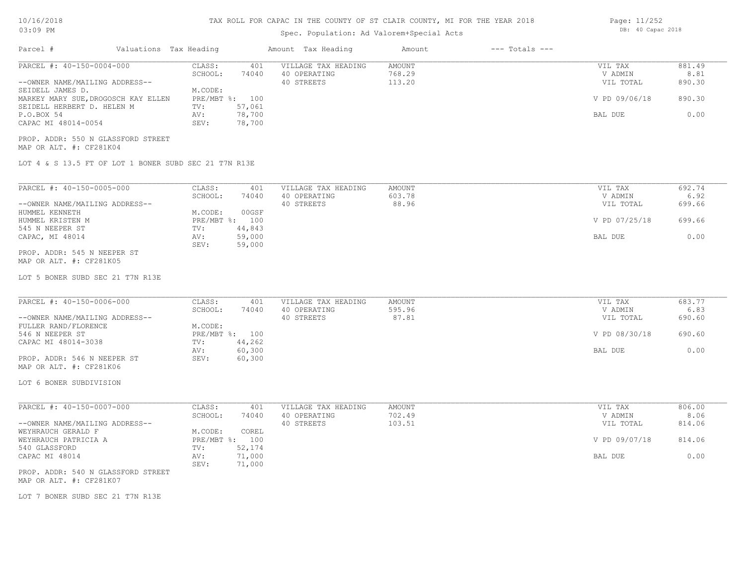# TAX ROLL FOR CAPAC IN THE COUNTY OF ST CLAIR COUNTY, MI FOR THE YEAR 2018

# Spec. Population: Ad Valorem+Special Acts

| Parcel #                                                                              | Valuations Tax Heading                                | Amount Tax Heading                                | Amount                     | $---$ Totals $---$ |                                 |                          |
|---------------------------------------------------------------------------------------|-------------------------------------------------------|---------------------------------------------------|----------------------------|--------------------|---------------------------------|--------------------------|
| PARCEL #: 40-150-0004-000<br>--OWNER NAME/MAILING ADDRESS--                           | CLASS:<br>401<br>SCHOOL:<br>74040                     | VILLAGE TAX HEADING<br>40 OPERATING<br>40 STREETS | AMOUNT<br>768.29<br>113.20 |                    | VIL TAX<br>V ADMIN<br>VIL TOTAL | 881.49<br>8.81<br>890.30 |
| SEIDELL JAMES D.<br>MARKEY MARY SUE, DROGOSCH KAY ELLEN<br>SEIDELL HERBERT D. HELEN M | M.CODE:<br>PRE/MBT %: 100<br>TV:<br>57,061            |                                                   |                            |                    | V PD 09/06/18                   | 890.30                   |
| P.O.BOX 54<br>CAPAC MI 48014-0054                                                     | AV:<br>78,700<br>SEV:<br>78,700                       |                                                   |                            |                    | BAL DUE                         | 0.00                     |
| PROP. ADDR: 550 N GLASSFORD STREET<br>MAP OR ALT. #: CF281K04                         |                                                       |                                                   |                            |                    |                                 |                          |
|                                                                                       | LOT 4 & S 13.5 FT OF LOT 1 BONER SUBD SEC 21 T7N R13E |                                                   |                            |                    |                                 |                          |
| PARCEL #: 40-150-0005-000                                                             | CLASS:<br>401                                         | VILLAGE TAX HEADING                               | AMOUNT                     |                    | VIL TAX                         | 692.74                   |
| --OWNER NAME/MAILING ADDRESS--                                                        | SCHOOL:<br>74040                                      | 40 OPERATING<br>40 STREETS                        | 603.78<br>88.96            |                    | V ADMIN<br>VIL TOTAL            | 6.92<br>699.66           |
| HUMMEL KENNETH<br>HUMMEL KRISTEN M<br>545 N NEEPER ST                                 | M.CODE:<br>00GSF<br>PRE/MBT %: 100<br>TV:<br>44,843   |                                                   |                            |                    | V PD 07/25/18                   | 699.66                   |
| CAPAC, MI 48014                                                                       | AV:<br>59,000<br>59,000<br>SEV:                       |                                                   |                            |                    | BAL DUE                         | 0.00                     |
| PROP. ADDR: 545 N NEEPER ST<br>MAP OR ALT. #: CF281K05                                |                                                       |                                                   |                            |                    |                                 |                          |
| LOT 5 BONER SUBD SEC 21 T7N R13E                                                      |                                                       |                                                   |                            |                    |                                 |                          |
| PARCEL #: 40-150-0006-000                                                             | CLASS:<br>401<br>74040<br>SCHOOL:                     | VILLAGE TAX HEADING<br>40 OPERATING               | AMOUNT<br>595.96           |                    | VIL TAX<br>V ADMIN              | 683.77<br>6.83           |
| --OWNER NAME/MAILING ADDRESS--<br>FULLER RAND/FLORENCE                                | M.CODE:                                               | 40 STREETS                                        | 87.81                      |                    | VIL TOTAL                       | 690.60                   |
| 546 N NEEPER ST<br>CAPAC MI 48014-3038                                                | PRE/MBT %: 100<br>TV:<br>44,262                       |                                                   |                            |                    | V PD 08/30/18                   | 690.60                   |
| PROP. ADDR: 546 N NEEPER ST<br>MAP OR ALT. #: CF281K06                                | 60,300<br>AV:<br>60,300<br>SEV:                       |                                                   |                            |                    | BAL DUE                         | 0.00                     |
| LOT 6 BONER SUBDIVISION                                                               |                                                       |                                                   |                            |                    |                                 |                          |
| PARCEL #: 40-150-0007-000                                                             | CLASS:<br>401                                         | VILLAGE TAX HEADING                               | AMOUNT                     |                    | VIL TAX                         | 806.00                   |
| --OWNER NAME/MAILING ADDRESS--                                                        | 74040<br>SCHOOL:                                      | 40 OPERATING<br>40 STREETS                        | 702.49<br>103.51           |                    | V ADMIN<br>VIL TOTAL            | 8.06<br>814.06           |
| WEYHRAUCH GERALD F<br>WEYHRAUCH PATRICIA A<br>540 GLASSFORD                           | M.CODE:<br>COREL<br>PRE/MBT %: 100<br>TV:<br>52,174   |                                                   |                            |                    | V PD 09/07/18                   | 814.06                   |
| CAPAC MI 48014                                                                        | 71,000<br>AV:<br>SEV:<br>71,000                       |                                                   |                            |                    | BAL DUE                         | 0.00                     |
| PROP. ADDR: 540 N GLASSFORD STREET<br>MAP OR ALT. #: CF281K07                         |                                                       |                                                   |                            |                    |                                 |                          |
| LOT 7 BONER SUBD SEC 21 T7N R13E                                                      |                                                       |                                                   |                            |                    |                                 |                          |
|                                                                                       |                                                       |                                                   |                            |                    |                                 |                          |

Page: 11/252 DB: 40 Capac 2018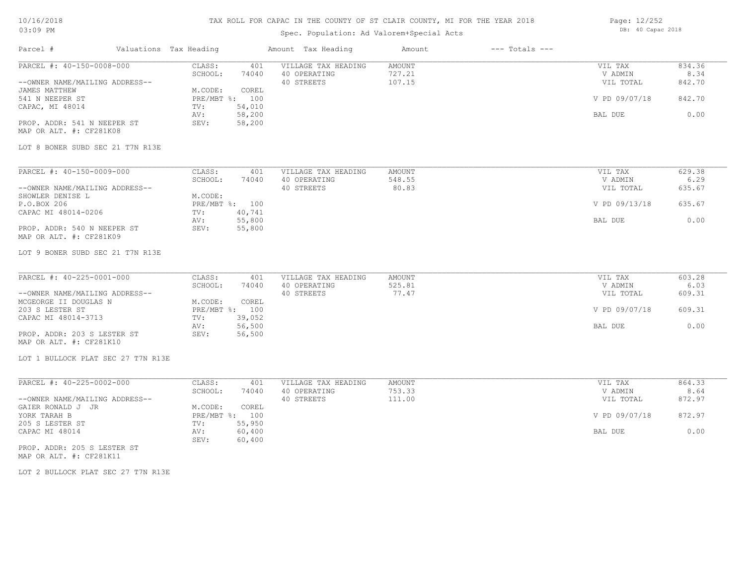## TAX ROLL FOR CAPAC IN THE COUNTY OF ST CLAIR COUNTY, MI FOR THE YEAR 2018

# Spec. Population: Ad Valorem+Special Acts

Parcel # Valuations Tax Heading Amount Tax Heading Amount --- Totals ---

| Page: 12/252 |                   |  |
|--------------|-------------------|--|
|              | DB: 40 Capac 2018 |  |

| PARCEL #: 40-150-0008-000          | CLASS:<br>401<br>SCHOOL:<br>74040 | VILLAGE TAX HEADING<br>40 OPERATING | AMOUNT<br>727.21 | VIL TAX<br>V ADMIN | 834.36<br>8.34 |
|------------------------------------|-----------------------------------|-------------------------------------|------------------|--------------------|----------------|
| --OWNER NAME/MAILING ADDRESS--     |                                   | 40 STREETS                          | 107.15           | VIL TOTAL          | 842.70         |
| <b>JAMES MATTHEW</b>               | M.CODE:<br>COREL                  |                                     |                  |                    |                |
| 541 N NEEPER ST                    | PRE/MBT %: 100                    |                                     |                  | V PD 09/07/18      | 842.70         |
| CAPAC, MI 48014                    | 54,010<br>TV:                     |                                     |                  |                    |                |
|                                    | 58,200<br>AV:                     |                                     |                  | BAL DUE            | 0.00           |
| PROP. ADDR: 541 N NEEPER ST        | 58,200<br>SEV:                    |                                     |                  |                    |                |
| MAP OR ALT. #: CF281K08            |                                   |                                     |                  |                    |                |
| LOT 8 BONER SUBD SEC 21 T7N R13E   |                                   |                                     |                  |                    |                |
| PARCEL #: 40-150-0009-000          | CLASS:<br>401                     | VILLAGE TAX HEADING                 | AMOUNT           | VIL TAX            | 629.38         |
|                                    | SCHOOL:<br>74040                  | 40 OPERATING                        | 548.55           | V ADMIN            | 6.29           |
| --OWNER NAME/MAILING ADDRESS--     |                                   | 40 STREETS                          | 80.83            | VIL TOTAL          | 635.67         |
| SHOWLER DENISE L                   | M.CODE:                           |                                     |                  |                    |                |
| P.O.BOX 206                        | PRE/MBT %: 100                    |                                     |                  | V PD 09/13/18      | 635.67         |
| CAPAC MI 48014-0206                | TV:<br>40,741                     |                                     |                  |                    |                |
|                                    | 55,800<br>AV:                     |                                     |                  | BAL DUE            | 0.00           |
| PROP. ADDR: 540 N NEEPER ST        | 55,800<br>SEV:                    |                                     |                  |                    |                |
| MAP OR ALT. #: CF281K09            |                                   |                                     |                  |                    |                |
| LOT 9 BONER SUBD SEC 21 T7N R13E   |                                   |                                     |                  |                    |                |
|                                    |                                   |                                     |                  |                    |                |
| PARCEL #: 40-225-0001-000          | CLASS:<br>401                     | VILLAGE TAX HEADING                 | AMOUNT           | VIL TAX            | 603.28         |
|                                    | SCHOOL:<br>74040                  | 40 OPERATING                        | 525.81           | V ADMIN            | 6.03           |
| --OWNER NAME/MAILING ADDRESS--     |                                   | 40 STREETS                          | 77.47            | VIL TOTAL          | 609.31         |
| MCGEORGE II DOUGLAS N              | M.CODE:<br>COREL                  |                                     |                  |                    |                |
| 203 S LESTER ST                    | PRE/MBT %: 100                    |                                     |                  | V PD 09/07/18      | 609.31         |
| CAPAC MI 48014-3713                | 39,052<br>TV:                     |                                     |                  |                    |                |
|                                    | 56,500<br>AV:                     |                                     |                  | BAL DUE            | 0.00           |
| PROP. ADDR: 203 S LESTER ST        | 56,500<br>SEV:                    |                                     |                  |                    |                |
| MAP OR ALT. #: CF281K10            |                                   |                                     |                  |                    |                |
| LOT 1 BULLOCK PLAT SEC 27 T7N R13E |                                   |                                     |                  |                    |                |
| PARCEL #: 40-225-0002-000          | CLASS:<br>401                     | VILLAGE TAX HEADING                 | AMOUNT           | VIL TAX            | 864.33         |
|                                    | SCHOOL:<br>74040                  | 40 OPERATING                        | 753.33           | V ADMIN            | 8.64           |
| --OWNER NAME/MAILING ADDRESS--     |                                   | 40 STREETS                          | 111.00           | VIL TOTAL          | 872.97         |
| GAIER RONALD J JR                  | M.CODE:<br>COREL                  |                                     |                  |                    |                |
| YORK TARAH B                       | PRE/MBT %: 100                    |                                     |                  | V PD 09/07/18      | 872.97         |
| 205 S LESTER ST                    | 55,950<br>TV:                     |                                     |                  |                    |                |
| CAPAC MI 48014                     | 60,400<br>AV:                     |                                     |                  | BAL DUE            | 0.00           |
|                                    | SEV:<br>60,400                    |                                     |                  |                    |                |
| PROP. ADDR: 205 S LESTER ST        |                                   |                                     |                  |                    |                |

MAP OR ALT. #: CF281K11

LOT 2 BULLOCK PLAT SEC 27 T7N R13E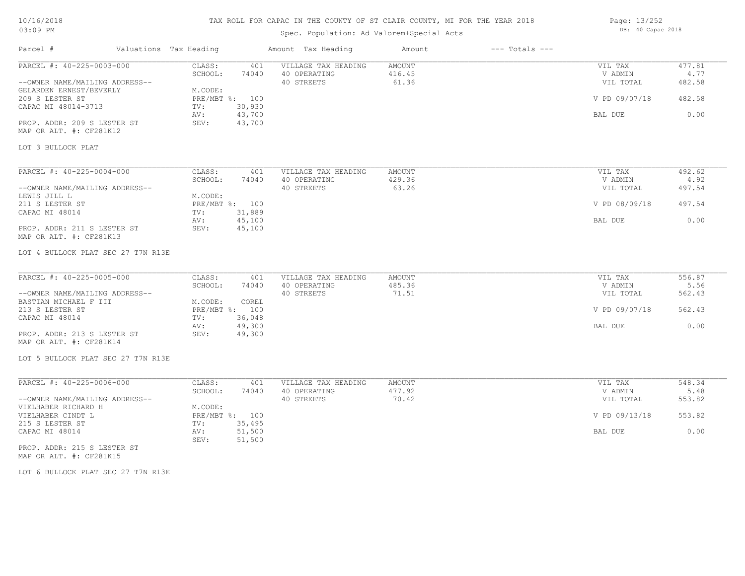## TAX ROLL FOR CAPAC IN THE COUNTY OF ST CLAIR COUNTY, MI FOR THE YEAR 2018

# Spec. Population: Ad Valorem+Special Acts

| Page: 13/252      |  |
|-------------------|--|
| DB: 40 Capac 2018 |  |

| Parcel #<br>Valuations Tax Heading                        |                                   | Amount Tax Heading                  | $---$ Totals $---$<br>Amount |                    |                |
|-----------------------------------------------------------|-----------------------------------|-------------------------------------|------------------------------|--------------------|----------------|
| PARCEL #: 40-225-0003-000                                 | CLASS:<br>401<br>SCHOOL:<br>74040 | VILLAGE TAX HEADING<br>40 OPERATING | AMOUNT<br>416.45             | VIL TAX<br>V ADMIN | 477.81<br>4.77 |
| --OWNER NAME/MAILING ADDRESS--<br>GELARDEN ERNEST/BEVERLY | M.CODE:                           | 40 STREETS                          | 61.36                        | VIL TOTAL          | 482.58         |
| 209 S LESTER ST<br>CAPAC MI 48014-3713                    | PRE/MBT %: 100<br>30,930<br>TV:   |                                     |                              | V PD 09/07/18      | 482.58         |
| PROP. ADDR: 209 S LESTER ST<br>MAP OR ALT. #: CF281K12    | AV:<br>43,700<br>43,700<br>SEV:   |                                     |                              | BAL DUE            | 0.00           |
| LOT 3 BULLOCK PLAT                                        |                                   |                                     |                              |                    |                |
| PARCEL #: 40-225-0004-000                                 | CLASS:<br>401                     | VILLAGE TAX HEADING                 | <b>AMOUNT</b>                | VIL TAX            | 492.62         |
|                                                           | SCHOOL:<br>74040                  | 40 OPERATING                        | 429.36                       | V ADMIN            | 4.92           |
| --OWNER NAME/MAILING ADDRESS--                            |                                   | 40 STREETS                          | 63.26                        | VIL TOTAL          | 497.54         |
| LEWIS JILL L                                              | M.CODE:                           |                                     |                              |                    |                |
| 211 S LESTER ST                                           | PRE/MBT %: 100                    |                                     |                              | V PD 08/09/18      | 497.54         |
| CAPAC MI 48014                                            | 31,889<br>TV:                     |                                     |                              |                    |                |
|                                                           | 45,100<br>AV:                     |                                     |                              | BAL DUE            | 0.00           |
| PROP. ADDR: 211 S LESTER ST<br>MAP OR ALT. #: CF281K13    | SEV:<br>45,100                    |                                     |                              |                    |                |
| LOT 4 BULLOCK PLAT SEC 27 T7N R13E                        |                                   |                                     |                              |                    |                |
| PARCEL #: 40-225-0005-000                                 | CLASS:<br>401                     | VILLAGE TAX HEADING                 | AMOUNT                       | VIL TAX            | 556.87         |
|                                                           | SCHOOL:<br>74040                  | 40 OPERATING                        | 485.36                       | V ADMIN            | 5.56           |
| --OWNER NAME/MAILING ADDRESS--                            |                                   | 40 STREETS                          | 71.51                        | VIL TOTAL          | 562.43         |
| BASTIAN MICHAEL F III                                     | M.CODE:<br>COREL                  |                                     |                              |                    |                |
| 213 S LESTER ST                                           | PRE/MBT %: 100                    |                                     |                              | V PD 09/07/18      | 562.43         |
| CAPAC MI 48014                                            | 36,048<br>TV:                     |                                     |                              |                    |                |
|                                                           | 49,300<br>AV:                     |                                     |                              | BAL DUE            | 0.00           |
| PROP. ADDR: 213 S LESTER ST<br>MAP OR ALT. #: CF281K14    | SEV:<br>49,300                    |                                     |                              |                    |                |
| LOT 5 BULLOCK PLAT SEC 27 T7N R13E                        |                                   |                                     |                              |                    |                |
| PARCEL #: 40-225-0006-000                                 | CLASS:<br>401                     | VILLAGE TAX HEADING                 | <b>AMOUNT</b>                | VIL TAX            | 548.34         |
|                                                           | SCHOOL:<br>74040                  | 40 OPERATING                        | 477.92                       | V ADMIN            | 5.48           |
| --OWNER NAME/MAILING ADDRESS--                            |                                   | 40 STREETS                          | 70.42                        | VIL TOTAL          | 553.82         |
| VIELHABER RICHARD H                                       | M.CODE:                           |                                     |                              |                    |                |
| VIELHABER CINDT L                                         | PRE/MBT %: 100                    |                                     |                              | V PD 09/13/18      | 553.82         |
| 215 S LESTER ST                                           | TV:<br>35,495                     |                                     |                              |                    |                |
| CAPAC MI 48014                                            | 51,500                            |                                     |                              | BAL DUE            | 0.00           |
|                                                           | AV:<br>SEV:<br>51,500             |                                     |                              |                    |                |
| PROP. ADDR: 215 S LESTER ST                               |                                   |                                     |                              |                    |                |
|                                                           |                                   |                                     |                              |                    |                |

MAP OR ALT. #: CF281K15

LOT 6 BULLOCK PLAT SEC 27 T7N R13E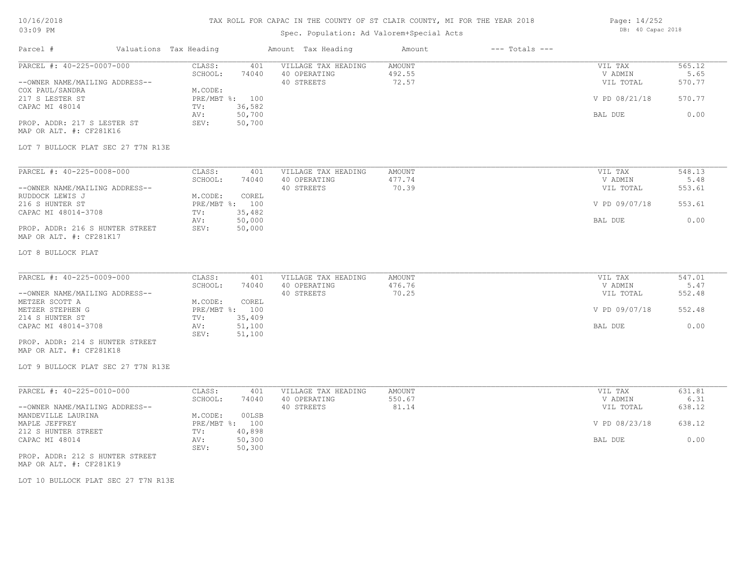## TAX ROLL FOR CAPAC IN THE COUNTY OF ST CLAIR COUNTY, MI FOR THE YEAR 2018

# Spec. Population: Ad Valorem+Special Acts

| Page: 14/252      |  |
|-------------------|--|
| DB: 40 Capac 2018 |  |

| Parcel #                                                                                                                                                                                                                                        | Valuations Tax Heading |                                                                                                                             | Amount Tax Heading                                | Amount                           | $---$ Totals $---$ |                                                             |                                            |
|-------------------------------------------------------------------------------------------------------------------------------------------------------------------------------------------------------------------------------------------------|------------------------|-----------------------------------------------------------------------------------------------------------------------------|---------------------------------------------------|----------------------------------|--------------------|-------------------------------------------------------------|--------------------------------------------|
| PARCEL #: 40-225-0007-000<br>--OWNER NAME/MAILING ADDRESS--<br>COX PAUL/SANDRA<br>217 S LESTER ST<br>CAPAC MI 48014<br>PROP. ADDR: 217 S LESTER ST<br>MAP OR ALT. #: CF281K16<br>LOT 7 BULLOCK PLAT SEC 27 T7N R13E                             |                        | CLASS:<br>401<br>SCHOOL:<br>74040<br>M.CODE:<br>PRE/MBT %: 100<br>36,582<br>TV:<br>50,700<br>AV:<br>50,700<br>SEV:          | VILLAGE TAX HEADING<br>40 OPERATING<br>40 STREETS | AMOUNT<br>492.55<br>72.57        |                    | VIL TAX<br>V ADMIN<br>VIL TOTAL<br>V PD 08/21/18<br>BAL DUE | 565.12<br>5.65<br>570.77<br>570.77<br>0.00 |
| PARCEL #: 40-225-0008-000<br>--OWNER NAME/MAILING ADDRESS--<br>RUDDOCK LEWIS J<br>216 S HUNTER ST<br>CAPAC MI 48014-3708<br>PROP. ADDR: 216 S HUNTER STREET<br>MAP OR ALT. #: CF281K17<br>LOT 8 BULLOCK PLAT                                    |                        | CLASS:<br>401<br>SCHOOL:<br>74040<br>M.CODE:<br>COREL<br>PRE/MBT %: 100<br>TV:<br>35,482<br>50,000<br>AV:<br>SEV:<br>50,000 | VILLAGE TAX HEADING<br>40 OPERATING<br>40 STREETS | AMOUNT<br>477.74<br>70.39        |                    | VIL TAX<br>V ADMIN<br>VIL TOTAL<br>V PD 09/07/18<br>BAL DUE | 548.13<br>5.48<br>553.61<br>553.61<br>0.00 |
| PARCEL #: 40-225-0009-000<br>--OWNER NAME/MAILING ADDRESS--<br>METZER SCOTT A<br>METZER STEPHEN G<br>214 S HUNTER ST<br>CAPAC MI 48014-3708<br>PROP. ADDR: 214 S HUNTER STREET<br>MAP OR ALT. #: CF281K18<br>LOT 9 BULLOCK PLAT SEC 27 T7N R13E |                        | CLASS:<br>401<br>SCHOOL:<br>74040<br>COREL<br>M.CODE:<br>PRE/MBT %: 100<br>35,409<br>TV:<br>51,100<br>AV:<br>51,100<br>SEV: | VILLAGE TAX HEADING<br>40 OPERATING<br>40 STREETS | AMOUNT<br>476.76<br>70.25        |                    | VIL TAX<br>V ADMIN<br>VIL TOTAL<br>V PD 09/07/18<br>BAL DUE | 547.01<br>5.47<br>552.48<br>552.48<br>0.00 |
| PARCEL #: 40-225-0010-000<br>--OWNER NAME/MAILING ADDRESS--<br>MANDEVILLE LAURINA<br>MAPLE JEFFREY<br>212 S HUNTER STREET<br>CAPAC MI 48014<br>PROP. ADDR: 212 S HUNTER STREET                                                                  |                        | CLASS:<br>401<br>SCHOOL:<br>74040<br>M.CODE:<br>00LSB<br>PRE/MBT %: 100<br>40,898<br>TV:<br>50,300<br>AV:<br>SEV:<br>50,300 | VILLAGE TAX HEADING<br>40 OPERATING<br>40 STREETS | <b>AMOUNT</b><br>550.67<br>81.14 |                    | VIL TAX<br>V ADMIN<br>VIL TOTAL<br>V PD 08/23/18<br>BAL DUE | 631.81<br>6.31<br>638.12<br>638.12<br>0.00 |

MAP OR ALT. #: CF281K19

LOT 10 BULLOCK PLAT SEC 27 T7N R13E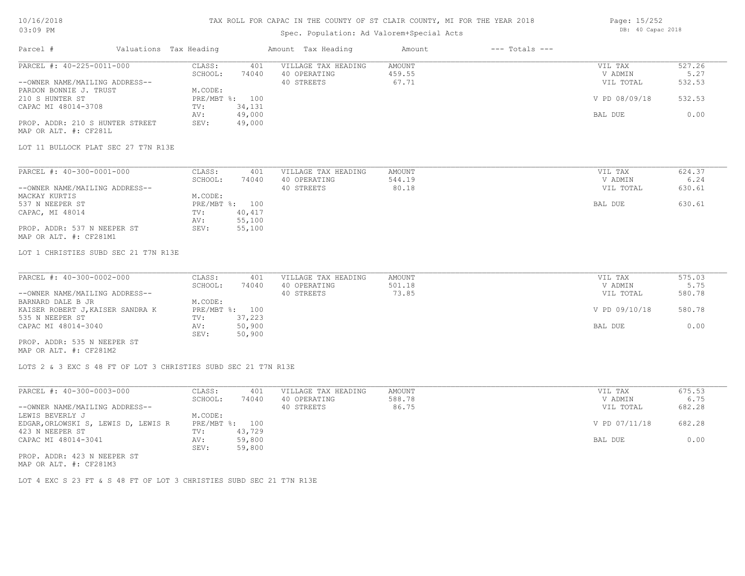### TAX ROLL FOR CAPAC IN THE COUNTY OF ST CLAIR COUNTY, MI FOR THE YEAR 2018

## Spec. Population: Ad Valorem+Special Acts

| Page: 15/252 |                   |  |
|--------------|-------------------|--|
|              | DB: 40 Capac 2018 |  |

| Parcel #                                                       | Valuations Tax Heading |                | Amount Tax Heading         | Amount        | $---$ Totals $---$ |                |        |
|----------------------------------------------------------------|------------------------|----------------|----------------------------|---------------|--------------------|----------------|--------|
| PARCEL #: 40-225-0011-000                                      | CLASS:                 |                | VILLAGE TAX HEADING<br>401 | <b>AMOUNT</b> |                    | VIL TAX        | 527.26 |
|                                                                | SCHOOL:                | 74040          | 40 OPERATING               | 459.55        |                    | V ADMIN        | 5.27   |
| --OWNER NAME/MAILING ADDRESS--                                 |                        |                | 40 STREETS                 | 67.71         |                    | VIL TOTAL      | 532.53 |
| PARDON BONNIE J. TRUST                                         | M.CODE:                |                |                            |               |                    |                |        |
| 210 S HUNTER ST                                                |                        | PRE/MBT %: 100 |                            |               |                    | V PD 08/09/18  | 532.53 |
| CAPAC MI 48014-3708                                            | TV:                    | 34,131         |                            |               |                    |                |        |
|                                                                | AV:                    | 49,000         |                            |               |                    | BAL DUE        | 0.00   |
| PROP. ADDR: 210 S HUNTER STREET<br>MAP OR ALT. #: CF281L       | SEV:                   | 49,000         |                            |               |                    |                |        |
| LOT 11 BULLOCK PLAT SEC 27 T7N R13E                            |                        |                |                            |               |                    |                |        |
|                                                                |                        |                |                            |               |                    |                |        |
| PARCEL #: 40-300-0001-000                                      | CLASS:                 |                | 401<br>VILLAGE TAX HEADING | <b>AMOUNT</b> |                    | VIL TAX        | 624.37 |
|                                                                | SCHOOL:                | 74040          | 40 OPERATING               | 544.19        |                    | V ADMIN        | 6.24   |
| --OWNER NAME/MAILING ADDRESS--                                 |                        |                | 40 STREETS                 | 80.18         |                    | VIL TOTAL      | 630.61 |
| MACKAY KURTIS                                                  | M.CODE:                |                |                            |               |                    |                |        |
| 537 N NEEPER ST                                                |                        | PRE/MBT %: 100 |                            |               |                    | <b>BAL DUE</b> | 630.61 |
| CAPAC, MI 48014                                                | TV:                    | 40,417         |                            |               |                    |                |        |
|                                                                | AV:                    | 55,100         |                            |               |                    |                |        |
| PROP. ADDR: 537 N NEEPER ST<br>MAP OR ALT. #: CF281M1          | SEV:                   | 55,100         |                            |               |                    |                |        |
| LOT 1 CHRISTIES SUBD SEC 21 T7N R13E                           |                        |                |                            |               |                    |                |        |
| PARCEL #: 40-300-0002-000                                      | CLASS:                 |                | VILLAGE TAX HEADING<br>401 | <b>AMOUNT</b> |                    | VIL TAX        | 575.03 |
|                                                                | SCHOOL:                | 74040          | 40 OPERATING               | 501.18        |                    | V ADMIN        | 5.75   |
| --OWNER NAME/MAILING ADDRESS--                                 |                        |                | 40 STREETS                 | 73.85         |                    | VIL TOTAL      | 580.78 |
| BARNARD DALE B JR                                              | M.CODE:                |                |                            |               |                    |                |        |
| KAISER ROBERT J, KAISER SANDRA K                               |                        | PRE/MBT %: 100 |                            |               |                    | V PD 09/10/18  | 580.78 |
| 535 N NEEPER ST                                                | TV:                    | 37,223         |                            |               |                    |                |        |
| CAPAC MI 48014-3040                                            | AV:                    | 50,900         |                            |               |                    | BAL DUE        | 0.00   |
|                                                                | SEV:                   | 50,900         |                            |               |                    |                |        |
| PROP. ADDR: 535 N NEEPER ST                                    |                        |                |                            |               |                    |                |        |
| MAP OR ALT. #: CF281M2                                         |                        |                |                            |               |                    |                |        |
| LOTS 2 & 3 EXC S 48 FT OF LOT 3 CHRISTIES SUBD SEC 21 T7N R13E |                        |                |                            |               |                    |                |        |
| PARCEL #: 40-300-0003-000                                      | CLASS:                 |                | VILLAGE TAX HEADING<br>401 | <b>AMOUNT</b> |                    | VIL TAX        | 675.53 |
|                                                                | SCHOOL:                | 74040          | 40 OPERATING               | 588.78        |                    | V ADMIN        | 6.75   |
| --OWNER NAME/MAILING ADDRESS--                                 |                        |                | 40 STREETS                 | 86.75         |                    | VIL TOTAL      | 682.28 |
| LEWIS BEVERLY J                                                | M.CODE:                |                |                            |               |                    |                |        |

PROP. ADDR: 423 N NEEPER ST SEV: 59,800 CAPAC MI 48014-3041 **AV:** 59,800 **BAL DUE** 0.00 423 N NEEPER ST TV: 43,729 EDGAR,ORLOWSKI S, LEWIS D, LEWIS R PRE/MBT %: 100 V PD 07/11/18 682.28

MAP OR ALT. #: CF281M3

LOT 4 EXC S 23 FT & S 48 FT OF LOT 3 CHRISTIES SUBD SEC 21 T7N R13E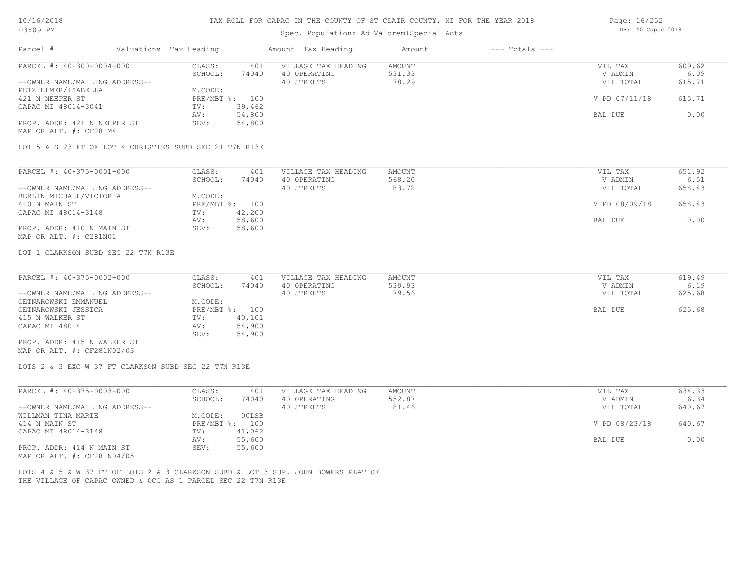### TAX ROLL FOR CAPAC IN THE COUNTY OF ST CLAIR COUNTY, MI FOR THE YEAR 2018

| UJIUY PM                       |                        |       | Spec. Population: Ad Valorem+Special Acts | DB: 40 Capac 2010 |                    |               |        |
|--------------------------------|------------------------|-------|-------------------------------------------|-------------------|--------------------|---------------|--------|
| Parcel #                       | Valuations Tax Heading |       | Amount Tax Heading                        | Amount            | $---$ Totals $---$ |               |        |
| PARCEL #: 40-300-0004-000      | CLASS:                 | 401   | VILLAGE TAX HEADING                       | AMOUNT            |                    | VIL TAX       | 609.62 |
|                                | SCHOOL:                | 74040 | 40 OPERATING                              | 531.33            |                    | V ADMIN       | 6.09   |
| --OWNER NAME/MAILING ADDRESS-- |                        |       | 40 STREETS                                | 78.29             |                    | VIL TOTAL     | 615.71 |
| PETZ ELMER/ISABELLA            | M.CODE:                |       |                                           |                   |                    |               |        |
| 421 N NEEPER ST                | $PRE/MBT$ %:           | 100   |                                           |                   |                    | V PD 07/11/18 | 615.71 |

MAP OR ALT. #: CF281M4 PROP. ADDR: 421 N NEEPER ST SEV: 54,800 AV: 54,800 BAL DUE 0.00

LOT 5 & S 23 FT OF LOT 4 CHRISTIES SUBD SEC 21 T7N R13E

| PARCEL #: 40-375-0001-000      | CLASS:  | 401            | VILLAGE TAX HEADING | AMOUNT | VIL TAX       | 651.92 |
|--------------------------------|---------|----------------|---------------------|--------|---------------|--------|
|                                | SCHOOL: | 74040          | 40 OPERATING        | 568.20 | V ADMIN       | 6.51   |
| --OWNER NAME/MAILING ADDRESS-- |         |                | 40 STREETS          | 83.72  | VIL TOTAL     | 658.43 |
| BERLIN MICHAEL/VICTORIA        | M.CODE: |                |                     |        |               |        |
| 410 N MAIN ST                  |         | PRE/MBT %: 100 |                     |        | V PD 08/09/18 | 658.43 |
| CAPAC MI 48014-3148            | TV:     | 42,200         |                     |        |               |        |
|                                | AV:     | 58,600         |                     |        | BAL DUE       | 0.00   |
| PROP. ADDR: 410 N MAIN ST      | SEV:    | 58,600         |                     |        |               |        |
| MAP OR ALT. #: C281N01         |         |                |                     |        |               |        |

### LOT 1 CLARKSON SUBD SEC 22 T7N R13E

CAPAC MI 48014-3041

| PARCEL #: 40-375-0002-000      | CLASS:       | 401    | VILLAGE TAX HEADING | AMOUNT | VIL TAX   | 619.49 |
|--------------------------------|--------------|--------|---------------------|--------|-----------|--------|
|                                | SCHOOL:      | 74040  | 40 OPERATING        | 539.93 | V ADMIN   | 6.19   |
| --OWNER NAME/MAILING ADDRESS-- |              |        | 40 STREETS          | 79.56  | VIL TOTAL | 625.68 |
| CETNAROWSKI EMMANUEL           | M.CODE:      |        |                     |        |           |        |
| CETNAROWSKI JESSICA            | $PRE/MBT$ %: | 100    |                     |        | BAL DUE   | 625.68 |
| 415 N WALKER ST                | TV:          | 40,101 |                     |        |           |        |
| CAPAC MI 48014                 | AV:          | 54,900 |                     |        |           |        |
|                                | SEV:         | 54,900 |                     |        |           |        |
| PROP. ADDR: 415 N WALKER ST    |              |        |                     |        |           |        |

 $\mathcal{L}_\mathcal{L} = \mathcal{L}_\mathcal{L} = \mathcal{L}_\mathcal{L} = \mathcal{L}_\mathcal{L} = \mathcal{L}_\mathcal{L} = \mathcal{L}_\mathcal{L} = \mathcal{L}_\mathcal{L} = \mathcal{L}_\mathcal{L} = \mathcal{L}_\mathcal{L} = \mathcal{L}_\mathcal{L} = \mathcal{L}_\mathcal{L} = \mathcal{L}_\mathcal{L} = \mathcal{L}_\mathcal{L} = \mathcal{L}_\mathcal{L} = \mathcal{L}_\mathcal{L} = \mathcal{L}_\mathcal{L} = \mathcal{L}_\mathcal{L}$ 

MAP OR ALT. #: CF281N02/03

LOTS 2 & 3 EXC W 37 FT CLARKSON SUBD SEC 22 T7N R13E

| PARCEL #: 40-375-0003-000      | CLASS:     | 401    | VILLAGE TAX HEADING | AMOUNT | VIL TAX       | 634.33 |
|--------------------------------|------------|--------|---------------------|--------|---------------|--------|
|                                | SCHOOL:    | 74040  | 40 OPERATING        | 552.87 | V ADMIN       | 6.34   |
| --OWNER NAME/MAILING ADDRESS-- |            |        | 40 STREETS          | 81.46  | VIL TOTAL     | 640.67 |
| WILLMAN TINA MARIE             | M.CODE:    | 00LSB  |                     |        |               |        |
| 414 N MAIN ST                  | PRE/MBT %: | 100    |                     |        | V PD 08/23/18 | 640.67 |
| CAPAC MI 48014-3148            | TV:        | 41,062 |                     |        |               |        |
|                                | AV:        | 55,600 |                     |        | BAL DUE       | 0.00   |
| PROP. ADDR: 414 N MAIN ST      | SEV:       | 55,600 |                     |        |               |        |
| MAP OR ALT. #: CF281N04/05     |            |        |                     |        |               |        |

THE VILLAGE OF CAPAC OWNED & OCC AS 1 PARCEL SEC 22 T7N R13E LOTS 4 & 5 & W 37 FT OF LOTS 2 & 3 CLARKSON SUBD & LOT 3 SUP. JOHN BOWERS PLAT OF Page: 16/252 DB: 40 Capac 2018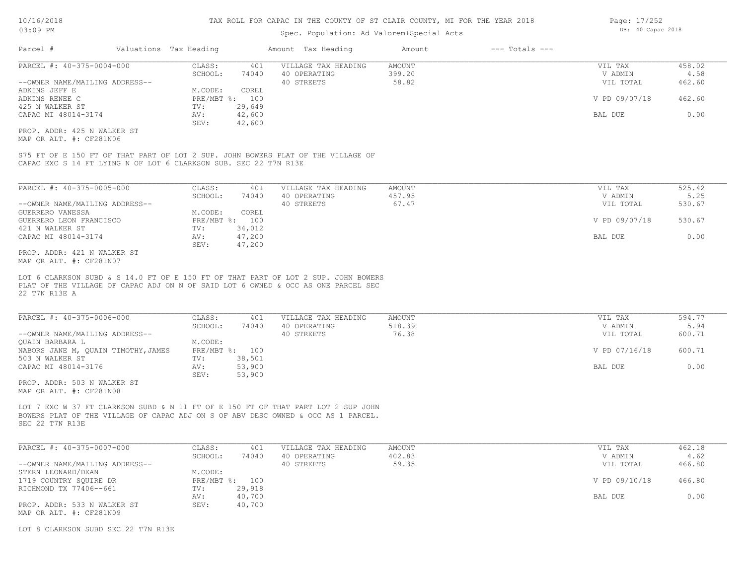### Spec. Population: Ad Valorem+Special Acts

| Parcel #                       | Valuations Tax Heading |                | Amount Tax Heading  | Amount | $---$ Totals $---$ |               |        |
|--------------------------------|------------------------|----------------|---------------------|--------|--------------------|---------------|--------|
| PARCEL #: 40-375-0004-000      | CLASS:                 | 401            | VILLAGE TAX HEADING | AMOUNT |                    | VIL TAX       | 458.02 |
|                                | SCHOOL:                | 74040          | 40 OPERATING        | 399.20 |                    | V ADMIN       | 4.58   |
| --OWNER NAME/MAILING ADDRESS-- |                        |                | 40 STREETS          | 58.82  |                    | VIL TOTAL     | 462.60 |
| ADKINS JEFF E                  | M.CODE:                | COREL          |                     |        |                    |               |        |
| ADKINS RENEE C                 |                        | PRE/MBT %: 100 |                     |        |                    | V PD 09/07/18 | 462.60 |
| 425 N WALKER ST                | TV:                    | 29,649         |                     |        |                    |               |        |
| CAPAC MI 48014-3174            | AV:                    | 42,600         |                     |        |                    | BAL DUE       | 0.00   |
|                                | SEV:                   | 42,600         |                     |        |                    |               |        |
| PROP. ADDR: 425 N WALKER ST    |                        |                |                     |        |                    |               |        |

MAP OR ALT. #: CF281N06

CAPAC EXC S 14 FT LYING N OF LOT 6 CLARKSON SUB. SEC 22 T7N R13E S75 FT OF E 150 FT OF THAT PART OF LOT 2 SUP. JOHN BOWERS PLAT OF THE VILLAGE OF

| PARCEL #: 40-375-0005-000      | CLASS:       | 401    | VILLAGE TAX HEADING | AMOUNT | VIL TAX       | 525.42 |
|--------------------------------|--------------|--------|---------------------|--------|---------------|--------|
|                                | SCHOOL:      | 74040  | 40 OPERATING        | 457.95 | V ADMIN       | 5.25   |
| --OWNER NAME/MAILING ADDRESS-- |              |        | 40 STREETS          | 67.47  | VIL TOTAL     | 530.67 |
| GUERRERO VANESSA               | M.CODE:      | COREL  |                     |        |               |        |
| GUERRERO LEON FRANCISCO        | $PRE/MBT$ %: | 100    |                     |        | V PD 09/07/18 | 530.67 |
| 421 N WALKER ST                | TV:          | 34,012 |                     |        |               |        |
| CAPAC MI 48014-3174            | AV:          | 47,200 |                     |        | BAL DUE       | 0.00   |
|                                | SEV:         | 47,200 |                     |        |               |        |
| PROP. ADDR: 421 N WALKER ST    |              |        |                     |        |               |        |

MAP OR ALT. #: CF281N07

22 T7N R13E A PLAT OF THE VILLAGE OF CAPAC ADJ ON N OF SAID LOT 6 OWNED & OCC AS ONE PARCEL SEC LOT 6 CLARKSON SUBD & S 14.0 FT OF E 150 FT OF THAT PART OF LOT 2 SUP. JOHN BOWERS

| PARCEL #: 40-375-0006-000           | CLASS:  | 401            | VILLAGE TAX HEADING | AMOUNT | VIL TAX       | 594.77 |
|-------------------------------------|---------|----------------|---------------------|--------|---------------|--------|
|                                     | SCHOOL: | 74040          | 40 OPERATING        | 518.39 | V ADMIN       | 5.94   |
| --OWNER NAME/MAILING ADDRESS--      |         |                | 40 STREETS          | 76.38  | VIL TOTAL     | 600.71 |
| QUAIN BARBARA L                     | M.CODE: |                |                     |        |               |        |
| NABORS JANE M, QUAIN TIMOTHY, JAMES |         | PRE/MBT %: 100 |                     |        | V PD 07/16/18 | 600.71 |
| 503 N WALKER ST                     | TV:     | 38,501         |                     |        |               |        |
| CAPAC MI 48014-3176                 | AV:     | 53,900         |                     |        | BAL DUE       | 0.00   |
|                                     | SEV:    | 53,900         |                     |        |               |        |
| PROP. ADDR: 503 N WALKER ST         |         |                |                     |        |               |        |

MAP OR ALT. #: CF281N08

SEC 22 T7N R13E BOWERS PLAT OF THE VILLAGE OF CAPAC ADJ ON S OF ABV DESC OWNED & OCC AS 1 PARCEL. LOT 7 EXC W 37 FT CLARKSON SUBD & N 11 FT OF E 150 FT OF THAT PART LOT 2 SUP JOHN

| PARCEL #: 40-375-0007-000      | CLASS:  | 401            | VILLAGE TAX HEADING | AMOUNT | VIL TAX       | 462.18 |
|--------------------------------|---------|----------------|---------------------|--------|---------------|--------|
|                                | SCHOOL: | 74040          | 40 OPERATING        | 402.83 | V ADMIN       | 4.62   |
| --OWNER NAME/MAILING ADDRESS-- |         |                | 40 STREETS          | 59.35  | VIL TOTAL     | 466.80 |
| STERN LEONARD/DEAN             | M.CODE: |                |                     |        |               |        |
| 1719 COUNTRY SOUIRE DR         |         | PRE/MBT %: 100 |                     |        | V PD 09/10/18 | 466.80 |
| RICHMOND TX 77406--661         | TV:     | 29,918         |                     |        |               |        |
|                                | AV:     | 40,700         |                     |        | BAL DUE       | 0.00   |
| PROP. ADDR: 533 N WALKER ST    | SEV:    | 40,700         |                     |        |               |        |
| MAP OR ALT. #: CF281N09        |         |                |                     |        |               |        |

LOT 8 CLARKSON SUBD SEC 22 T7N R13E

Page: 17/252 DB: 40 Capac 2018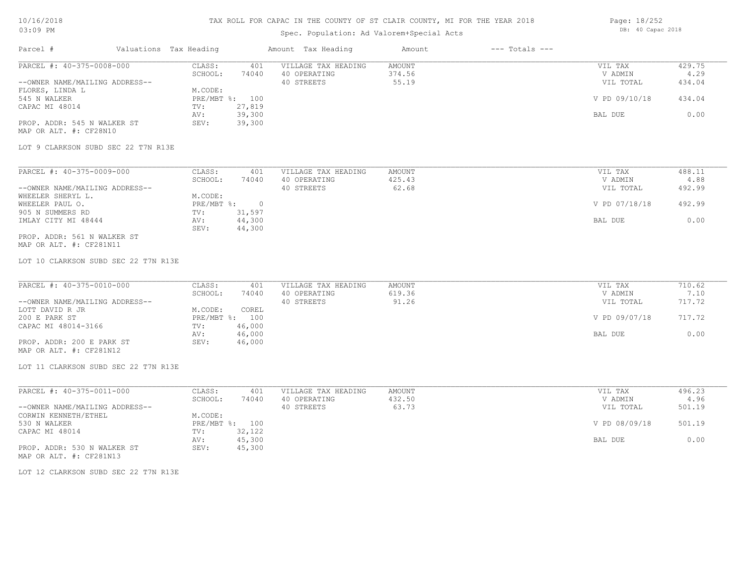### TAX ROLL FOR CAPAC IN THE COUNTY OF ST CLAIR COUNTY, MI FOR THE YEAR 2018

# Spec. Population: Ad Valorem+Special Acts

| Page: 18/252 |                   |  |
|--------------|-------------------|--|
|              | DB: 40 Capac 2018 |  |

| Parcel #                       | Valuations Tax Heading |        | Amount Tax Heading  | Amount | $---$ Totals $---$ |               |        |
|--------------------------------|------------------------|--------|---------------------|--------|--------------------|---------------|--------|
| PARCEL #: 40-375-0008-000      | CLASS:                 | 401    | VILLAGE TAX HEADING | AMOUNT |                    | VIL TAX       | 429.75 |
|                                | SCHOOL:                | 74040  | 40 OPERATING        | 374.56 |                    | V ADMIN       | 4.29   |
| --OWNER NAME/MAILING ADDRESS-- |                        |        | 40 STREETS          | 55.19  |                    | VIL TOTAL     | 434.04 |
| FLORES, LINDA L                | M.CODE:                |        |                     |        |                    |               |        |
| 545 N WALKER                   | PRE/MBT %: 100         |        |                     |        |                    | V PD 09/10/18 | 434.04 |
| CAPAC MI 48014                 | TV:                    | 27,819 |                     |        |                    |               |        |
|                                | AV:                    | 39,300 |                     |        |                    | BAL DUE       | 0.00   |
| PROP. ADDR: 545 N WALKER ST    | SEV:                   | 39,300 |                     |        |                    |               |        |
| MAP OR ALT. #: CF28N10         |                        |        |                     |        |                    |               |        |

LOT 9 CLARKSON SUBD SEC 22 T7N R13E

| PARCEL #: 40-375-0009-000      | CLASS:     | 401    | VILLAGE TAX HEADING | AMOUNT | VIL TAX       | 488.11 |
|--------------------------------|------------|--------|---------------------|--------|---------------|--------|
|                                | SCHOOL:    | 74040  | 40 OPERATING        | 425.43 | V ADMIN       | 4.88   |
| --OWNER NAME/MAILING ADDRESS-- |            |        | 40 STREETS          | 62.68  | VIL TOTAL     | 492.99 |
| WHEELER SHERYL L.              | M.CODE:    |        |                     |        |               |        |
| WHEELER PAUL O.                | PRE/MBT %: |        |                     |        | V PD 07/18/18 | 492.99 |
| 905 N SUMMERS RD               | TV:        | 31,597 |                     |        |               |        |
| IMLAY CITY MI 48444            | AV:        | 44,300 |                     |        | BAL DUE       | 0.00   |
|                                | SEV:       | 44,300 |                     |        |               |        |
| PROP. ADDR: 561 N WALKER ST    |            |        |                     |        |               |        |

MAP OR ALT. #: CF281N11

LOT 10 CLARKSON SUBD SEC 22 T7N R13E

| PARCEL #: 40-375-0010-000      | CLASS:  | 401            | VILLAGE TAX HEADING | AMOUNT | VIL TAX       | 710.62 |
|--------------------------------|---------|----------------|---------------------|--------|---------------|--------|
|                                | SCHOOL: | 74040          | 40 OPERATING        | 619.36 | V ADMIN       | 7.10   |
| --OWNER NAME/MAILING ADDRESS-- |         |                | 40 STREETS          | 91.26  | VIL TOTAL     | 717.72 |
| LOTT DAVID R JR                | M.CODE: | COREL          |                     |        |               |        |
| 200 E PARK ST                  |         | PRE/MBT %: 100 |                     |        | V PD 09/07/18 | 717.72 |
| CAPAC MI 48014-3166            | TV:     | 46,000         |                     |        |               |        |
|                                | AV:     | 46,000         |                     |        | BAL DUE       | 0.00   |
| PROP. ADDR: 200 E PARK ST      | SEV:    | 46,000         |                     |        |               |        |
| MAP OR ALT. #: CF281N12        |         |                |                     |        |               |        |

LOT 11 CLARKSON SUBD SEC 22 T7N R13E

| PARCEL #: 40-375-0011-000      | CLASS:  | 401            | VILLAGE TAX HEADING | AMOUNT | VIL TAX       | 496.23 |
|--------------------------------|---------|----------------|---------------------|--------|---------------|--------|
|                                | SCHOOL: | 74040          | 40 OPERATING        | 432.50 | V ADMIN       | 4.96   |
| --OWNER NAME/MAILING ADDRESS-- |         |                | 40 STREETS          | 63.73  | VIL TOTAL     | 501.19 |
| CORWIN KENNETH/ETHEL           | M.CODE: |                |                     |        |               |        |
| 530 N WALKER                   |         | PRE/MBT %: 100 |                     |        | V PD 08/09/18 | 501.19 |
| CAPAC MI 48014                 | TV:     | 32,122         |                     |        |               |        |
|                                | AV:     | 45,300         |                     |        | BAL DUE       | 0.00   |
| PROP. ADDR: 530 N WALKER ST    | SEV:    | 45,300         |                     |        |               |        |
| MAP OR ALT. #: CF281N13        |         |                |                     |        |               |        |

LOT 12 CLARKSON SUBD SEC 22 T7N R13E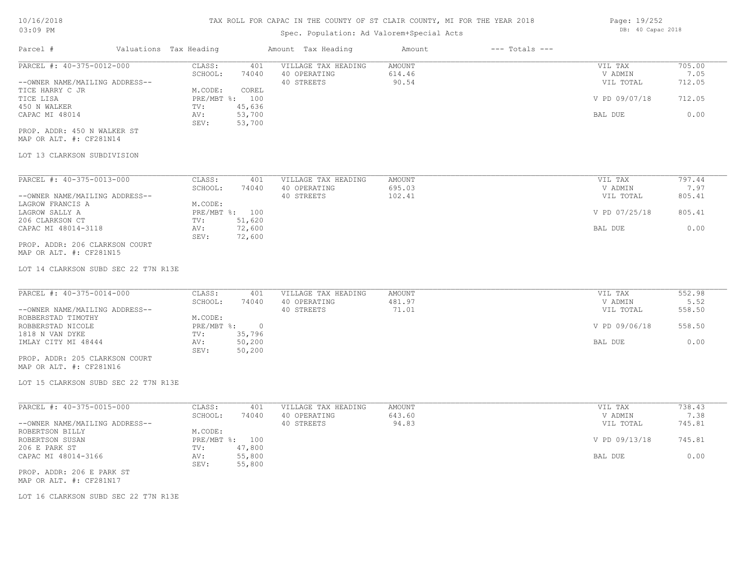# Spec. Population: Ad Valorem+Special Acts

| Parcel #                       | Valuations Tax Heading |        | Amount Tax Heading  | Amount | $---$ Totals $---$ |               |        |
|--------------------------------|------------------------|--------|---------------------|--------|--------------------|---------------|--------|
| PARCEL #: 40-375-0012-000      | CLASS:                 | 401    | VILLAGE TAX HEADING | AMOUNT |                    | VIL TAX       | 705.00 |
|                                | SCHOOL:                | 74040  | 40 OPERATING        | 614.46 |                    | V ADMIN       | 7.05   |
| --OWNER NAME/MAILING ADDRESS-- |                        |        | 40 STREETS          | 90.54  |                    | VIL TOTAL     | 712.05 |
| TICE HARRY C JR                | M.CODE:                | COREL  |                     |        |                    |               |        |
| TICE LISA                      | PRE/MBT %: 100         |        |                     |        |                    | V PD 09/07/18 | 712.05 |
| 450 N WALKER                   | TV:                    | 45,636 |                     |        |                    |               |        |
| CAPAC MI 48014                 | AV:                    | 53,700 |                     |        |                    | BAL DUE       | 0.00   |
|                                | SEV:                   | 53,700 |                     |        |                    |               |        |
|                                |                        |        |                     |        |                    |               |        |

MAP OR ALT. #: CF281N14 PROP. ADDR: 450 N WALKER ST

### LOT 13 CLARKSON SUBDIVISION

| PARCEL #: 40-375-0013-000      | CLASS:     | 401    | VILLAGE TAX HEADING | AMOUNT | VIL TAX       | 797.44 |
|--------------------------------|------------|--------|---------------------|--------|---------------|--------|
|                                | SCHOOL:    | 74040  | 40 OPERATING        | 695.03 | V ADMIN       | 7.97   |
| --OWNER NAME/MAILING ADDRESS-- |            |        | 40 STREETS          | 102.41 | VIL TOTAL     | 805.41 |
| LAGROW FRANCIS A               | M.CODE:    |        |                     |        |               |        |
| LAGROW SALLY A                 | PRE/MBT %: | 100    |                     |        | V PD 07/25/18 | 805.41 |
| 206 CLARKSON CT                | TV:        | 51,620 |                     |        |               |        |
| CAPAC MI 48014-3118            | AV:        | 72,600 |                     |        | BAL DUE       | 0.00   |
|                                | SEV:       | 72,600 |                     |        |               |        |
| PROP. ADDR: 206 CLARKSON COURT |            |        |                     |        |               |        |

MAP OR ALT. #: CF281N15

LOT 14 CLARKSON SUBD SEC 22 T7N R13E

| PARCEL #: 40-375-0014-000      | CLASS:       | 401    | VILLAGE TAX HEADING | AMOUNT | VIL TAX       | 552.98 |
|--------------------------------|--------------|--------|---------------------|--------|---------------|--------|
|                                | SCHOOL:      | 74040  | 40 OPERATING        | 481.97 | V ADMIN       | 5.52   |
| --OWNER NAME/MAILING ADDRESS-- |              |        | 40 STREETS          | 71.01  | VIL TOTAL     | 558.50 |
| ROBBERSTAD TIMOTHY             | M.CODE:      |        |                     |        |               |        |
| ROBBERSTAD NICOLE              | $PRE/MBT$ %: |        |                     |        | V PD 09/06/18 | 558.50 |
| 1818 N VAN DYKE                | TV:          | 35,796 |                     |        |               |        |
| IMLAY CITY MI 48444            | AV:          | 50,200 |                     |        | BAL DUE       | 0.00   |
|                                | SEV:         | 50,200 |                     |        |               |        |
| PROP. ADDR: 205 CLARKSON COURT |              |        |                     |        |               |        |

MAP OR ALT. #: CF281N16

LOT 15 CLARKSON SUBD SEC 22 T7N R13E

| PARCEL #: 40-375-0015-000      | CLASS:       | 401    | VILLAGE TAX HEADING | AMOUNT | VIL TAX       | 738.43 |
|--------------------------------|--------------|--------|---------------------|--------|---------------|--------|
|                                | SCHOOL:      | 74040  | 40 OPERATING        | 643.60 | V ADMIN       | 7.38   |
| --OWNER NAME/MAILING ADDRESS-- |              |        | 40 STREETS          | 94.83  | VIL TOTAL     | 745.81 |
| ROBERTSON BILLY                | M.CODE:      |        |                     |        |               |        |
| ROBERTSON SUSAN                | $PRE/MBT$ %: | 100    |                     |        | V PD 09/13/18 | 745.81 |
| 206 E PARK ST                  | TV:          | 47,800 |                     |        |               |        |
| CAPAC MI 48014-3166            | AV:          | 55,800 |                     |        | BAL DUE       | 0.00   |
|                                | SEV:         | 55,800 |                     |        |               |        |
| PROP. ADDR: 206 E PARK ST      |              |        |                     |        |               |        |

 $\mathcal{L}_\mathcal{L} = \mathcal{L}_\mathcal{L} = \mathcal{L}_\mathcal{L} = \mathcal{L}_\mathcal{L} = \mathcal{L}_\mathcal{L} = \mathcal{L}_\mathcal{L} = \mathcal{L}_\mathcal{L} = \mathcal{L}_\mathcal{L} = \mathcal{L}_\mathcal{L} = \mathcal{L}_\mathcal{L} = \mathcal{L}_\mathcal{L} = \mathcal{L}_\mathcal{L} = \mathcal{L}_\mathcal{L} = \mathcal{L}_\mathcal{L} = \mathcal{L}_\mathcal{L} = \mathcal{L}_\mathcal{L} = \mathcal{L}_\mathcal{L}$ 

MAP OR ALT. #: CF281N17

LOT 16 CLARKSON SUBD SEC 22 T7N R13E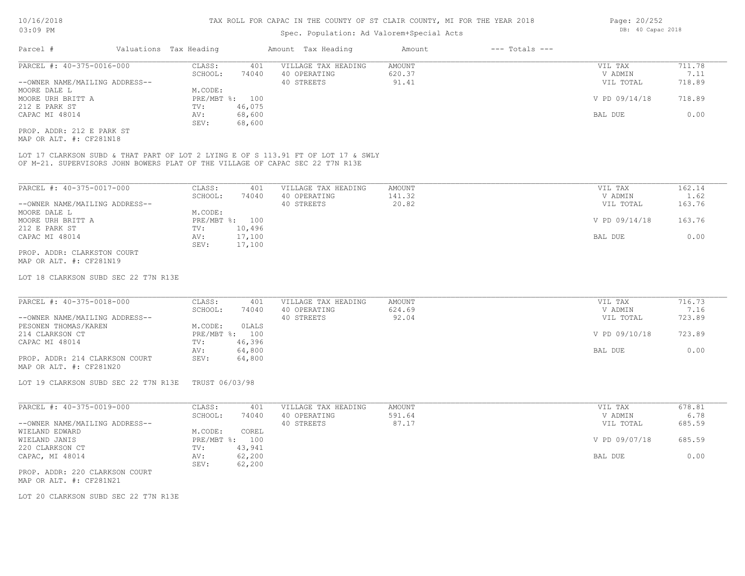### Spec. Population: Ad Valorem+Special Acts

| Parcel #                       | Valuations Tax Heading |        | Amount Tax Heading  | Amount | $---$ Totals $---$ |               |        |
|--------------------------------|------------------------|--------|---------------------|--------|--------------------|---------------|--------|
| PARCEL #: 40-375-0016-000      | CLASS:                 | 401    | VILLAGE TAX HEADING | AMOUNT |                    | VIL TAX       | 711.78 |
|                                | SCHOOL:                | 74040  | 40 OPERATING        | 620.37 |                    | V ADMIN       | 7.11   |
| --OWNER NAME/MAILING ADDRESS-- |                        |        | 40 STREETS          | 91.41  |                    | VIL TOTAL     | 718.89 |
| MOORE DALE L                   | M.CODE:                |        |                     |        |                    |               |        |
| MOORE URH BRITT A              | PRE/MBT %: 100         |        |                     |        |                    | V PD 09/14/18 | 718.89 |
| 212 E PARK ST                  | TV:                    | 46,075 |                     |        |                    |               |        |
| CAPAC MI 48014                 | AV:                    | 68,600 |                     |        |                    | BAL DUE       | 0.00   |
|                                | SEV:                   | 68,600 |                     |        |                    |               |        |
| PROP. ADDR: 212 E PARK ST      |                        |        |                     |        |                    |               |        |

MAP OR ALT. #: CF281N18

OF M-21. SUPERVISORS JOHN BOWERS PLAT OF THE VILLAGE OF CAPAC SEC 22 T7N R13E LOT 17 CLARKSON SUBD & THAT PART OF LOT 2 LYING E OF S 113.91 FT OF LOT 17 & SWLY

| PARCEL #: 40-375-0017-000      | CLASS:         | 401    | VILLAGE TAX HEADING | AMOUNT | VIL TAX       | 162.14 |
|--------------------------------|----------------|--------|---------------------|--------|---------------|--------|
|                                | SCHOOL:        | 74040  | 40 OPERATING        | 141.32 | V ADMIN       | 1.62   |
| --OWNER NAME/MAILING ADDRESS-- |                |        | 40 STREETS          | 20.82  | VIL TOTAL     | 163.76 |
| MOORE DALE L                   | M.CODE:        |        |                     |        |               |        |
| MOORE URH BRITT A              | PRE/MBT %: 100 |        |                     |        | V PD 09/14/18 | 163.76 |
| 212 E PARK ST                  | TV:            | 10,496 |                     |        |               |        |
| CAPAC MI 48014                 | AV:            | 17,100 |                     |        | BAL DUE       | 0.00   |
|                                | SEV:           | 17,100 |                     |        |               |        |
| PROP. ADDR: CLARKSTON COURT    |                |        |                     |        |               |        |

MAP OR ALT. #: CF281N19

LOT 18 CLARKSON SUBD SEC 22 T7N R13E

| PARCEL #: 40-375-0018-000      | CLASS:  | 401            | VILLAGE TAX HEADING | AMOUNT | VIL TAX       | 716.73 |
|--------------------------------|---------|----------------|---------------------|--------|---------------|--------|
|                                | SCHOOL: | 74040          | 40 OPERATING        | 624.69 | V ADMIN       | 7.16   |
| --OWNER NAME/MAILING ADDRESS-- |         |                | 40 STREETS          | 92.04  | VIL TOTAL     | 723.89 |
| PESONEN THOMAS/KAREN           | M.CODE: | OLALS          |                     |        |               |        |
| 214 CLARKSON CT                |         | PRE/MBT %: 100 |                     |        | V PD 09/10/18 | 723.89 |
| CAPAC MI 48014                 | TV:     | 46,396         |                     |        |               |        |
|                                | AV:     | 64,800         |                     |        | BAL DUE       | 0.00   |
| PROP. ADDR: 214 CLARKSON COURT | SEV:    | 64,800         |                     |        |               |        |
| MAP OR ALT. #: CF281N20        |         |                |                     |        |               |        |

LOT 19 CLARKSON SUBD SEC 22 T7N R13E TRUST 06/03/98

| PARCEL #: 40-375-0019-000      | CLASS:       | 401    | VILLAGE TAX HEADING | AMOUNT | VIL TAX       | 678.81 |
|--------------------------------|--------------|--------|---------------------|--------|---------------|--------|
|                                | SCHOOL:      | 74040  | 40 OPERATING        | 591.64 | V ADMIN       | 6.78   |
| --OWNER NAME/MAILING ADDRESS-- |              |        | 40 STREETS          | 87.17  | VIL TOTAL     | 685.59 |
| WIELAND EDWARD                 | M.CODE:      | COREL  |                     |        |               |        |
| WIELAND JANIS                  | $PRE/MBT$ %: | 100    |                     |        | V PD 09/07/18 | 685.59 |
| 220 CLARKSON CT                | TV:          | 43,941 |                     |        |               |        |
| CAPAC, MI 48014                | AV:          | 62,200 |                     |        | BAL DUE       | 0.00   |
|                                | SEV:         | 62,200 |                     |        |               |        |
|                                |              |        |                     |        |               |        |

MAP OR ALT. #: CF281N21 PROP. ADDR: 220 CLARKSON COURT

LOT 20 CLARKSON SUBD SEC 22 T7N R13E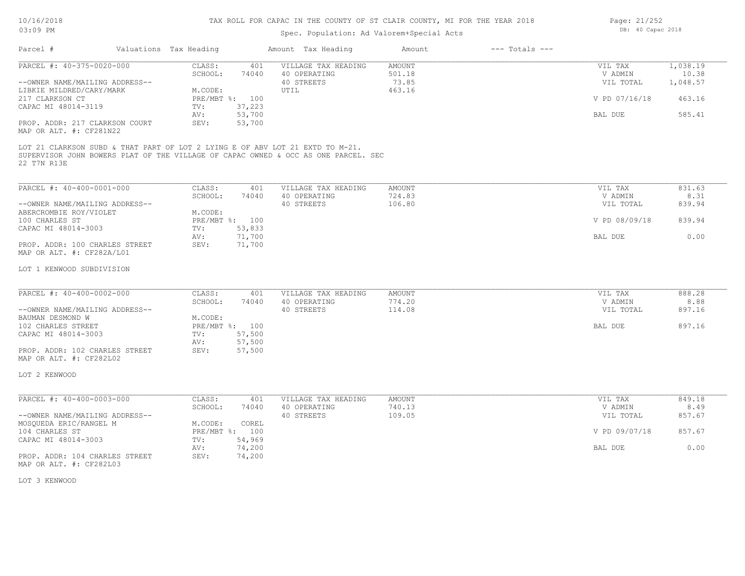# 10/16/2018

## TAX ROLL FOR CAPAC IN THE COUNTY OF ST CLAIR COUNTY, MI FOR THE YEAR 2018

| 10/16/2018                                                |                        | TAX ROLL FOR CAPAC IN THE COUNTY OF ST CLAIR COUNTY, MI FOR THE YEAR 2018 |                                                                                                                                                                     |        |                    |                   | Page: 21/252 |  |  |
|-----------------------------------------------------------|------------------------|---------------------------------------------------------------------------|---------------------------------------------------------------------------------------------------------------------------------------------------------------------|--------|--------------------|-------------------|--------------|--|--|
| 03:09 PM                                                  |                        |                                                                           | Spec. Population: Ad Valorem+Special Acts                                                                                                                           |        |                    | DB: 40 Capac 2018 |              |  |  |
| Parcel #                                                  | Valuations Tax Heading |                                                                           | Amount Tax Heading                                                                                                                                                  | Amount | $---$ Totals $---$ |                   |              |  |  |
| PARCEL #: 40-375-0020-000                                 | CLASS:                 | 401                                                                       | VILLAGE TAX HEADING                                                                                                                                                 | AMOUNT |                    | VIL TAX           | 1,038.19     |  |  |
|                                                           | SCHOOL:                | 74040                                                                     | 40 OPERATING                                                                                                                                                        | 501.18 |                    | V ADMIN           | 10.38        |  |  |
| --OWNER NAME/MAILING ADDRESS--                            |                        |                                                                           | 40 STREETS                                                                                                                                                          | 73.85  |                    | VIL TOTAL         | 1,048.57     |  |  |
| LIBKIE MILDRED/CARY/MARK                                  | M.CODE:                |                                                                           | UTIL                                                                                                                                                                | 463.16 |                    |                   |              |  |  |
| 217 CLARKSON CT                                           |                        | PRE/MBT %: 100                                                            |                                                                                                                                                                     |        |                    | V PD 07/16/18     | 463.16       |  |  |
| CAPAC MI 48014-3119                                       | $\texttt{TV}$ :        | 37,223                                                                    |                                                                                                                                                                     |        |                    |                   |              |  |  |
|                                                           | AV:                    | 53,700                                                                    |                                                                                                                                                                     |        |                    | BAL DUE           | 585.41       |  |  |
| PROP. ADDR: 217 CLARKSON COURT<br>MAP OR ALT. #: CF281N22 | SEV:                   | 53,700                                                                    |                                                                                                                                                                     |        |                    |                   |              |  |  |
| 22 T7N R13E                                               |                        |                                                                           | LOT 21 CLARKSON SUBD & THAT PART OF LOT 2 LYING E OF ABV LOT 21 EXTD TO M-21.<br>SUPERVISOR JOHN BOWERS PLAT OF THE VILLAGE OF CAPAC OWNED & OCC AS ONE PARCEL. SEC |        |                    |                   |              |  |  |
| PARCEL #: 40-400-0001-000                                 | CLASS:                 | 401                                                                       | VILLAGE TAX HEADING                                                                                                                                                 | AMOUNT |                    | VIL TAX           | 831.63       |  |  |
|                                                           | SCHOOL:                | 74040                                                                     | 40 OPERATING                                                                                                                                                        | 724.83 |                    | V ADMIN           | 8.31         |  |  |
| --OWNER NAME/MAILING ADDRESS--                            |                        |                                                                           | 40 STREETS                                                                                                                                                          | 106.80 |                    | VIL TOTAL         | 839.94       |  |  |
| ABERCROMBIE ROY/VIOLET                                    | M.CODE:                |                                                                           |                                                                                                                                                                     |        |                    |                   |              |  |  |
| 100 CHARLES ST                                            |                        | PRE/MBT %: 100                                                            |                                                                                                                                                                     |        |                    | V PD 08/09/18     | 839.94       |  |  |
| CAPAC MI 48014-3003                                       | TV:                    | 53,833                                                                    |                                                                                                                                                                     |        |                    |                   |              |  |  |
|                                                           | AV:                    | 71,700                                                                    |                                                                                                                                                                     |        |                    | BAL DUE           | 0.00         |  |  |
| PROP. ADDR: 100 CHARLES STREET                            | SEV:                   | 71,700                                                                    |                                                                                                                                                                     |        |                    |                   |              |  |  |
| MAP OR ALT. #: CF282A/L01                                 |                        |                                                                           |                                                                                                                                                                     |        |                    |                   |              |  |  |
| LOT 1 KENWOOD SUBDIVISION                                 |                        |                                                                           |                                                                                                                                                                     |        |                    |                   |              |  |  |
|                                                           |                        |                                                                           |                                                                                                                                                                     |        |                    |                   |              |  |  |
| PARCEL #: 40-400-0002-000                                 | CLASS:                 | 401                                                                       | VILLAGE TAX HEADING                                                                                                                                                 | AMOUNT |                    | VIL TAX           | 888.28       |  |  |
|                                                           | SCHOOL:                | 74040                                                                     | 40 OPERATING                                                                                                                                                        | 774.20 |                    | V ADMIN           | 8.88         |  |  |
| --OWNER NAME/MAILING ADDRESS--                            |                        |                                                                           | 40 STREETS                                                                                                                                                          | 114.08 |                    | VIL TOTAL         | 897.16       |  |  |
| BAUMAN DESMOND W                                          | M.CODE:                |                                                                           |                                                                                                                                                                     |        |                    |                   |              |  |  |
| 102 CHARLES STREET                                        |                        | PRE/MBT %: 100                                                            |                                                                                                                                                                     |        |                    | BAL DUE           | 897.16       |  |  |
| CAPAC MI 48014-3003                                       | TV:                    | 57,500                                                                    |                                                                                                                                                                     |        |                    |                   |              |  |  |
|                                                           | AV:                    | 57,500                                                                    |                                                                                                                                                                     |        |                    |                   |              |  |  |
| PROP. ADDR: 102 CHARLES STREET<br>MAP OR ALT. #: CF282L02 | SEV:                   | 57,500                                                                    |                                                                                                                                                                     |        |                    |                   |              |  |  |
| LOT 2 KENWOOD                                             |                        |                                                                           |                                                                                                                                                                     |        |                    |                   |              |  |  |
| PARCEL #: 40-400-0003-000                                 | CLASS:                 | 401                                                                       | VILLAGE TAX HEADING                                                                                                                                                 | AMOUNT |                    | VIL TAX           | 849.18       |  |  |
|                                                           | SCHOOL:                | 74040                                                                     | 40 OPERATING                                                                                                                                                        | 740.13 |                    | V ADMIN           | 8.49         |  |  |
| --OWNER NAME/MAILING ADDRESS--                            |                        |                                                                           | 40 STREETS                                                                                                                                                          | 109.05 |                    | VIL TOTAL         | 857.67       |  |  |
| MOSQUEDA ERIC/RANGEL M                                    | M.CODE:                | COREL                                                                     |                                                                                                                                                                     |        |                    |                   |              |  |  |
| 104 CHARLES ST                                            |                        | PRE/MBT %: 100                                                            |                                                                                                                                                                     |        |                    | V PD 09/07/18     | 857.67       |  |  |
| CAPAC MI 48014-3003                                       | TV:                    | 54,969                                                                    |                                                                                                                                                                     |        |                    |                   |              |  |  |
|                                                           | AV:                    | 74,200                                                                    |                                                                                                                                                                     |        |                    | <b>BAL DUE</b>    | 0.00         |  |  |
| PROP. ADDR: 104 CHARLES STREET                            | SEV:                   | 74,200                                                                    |                                                                                                                                                                     |        |                    |                   |              |  |  |
|                                                           |                        |                                                                           |                                                                                                                                                                     |        |                    |                   |              |  |  |

LOT 3 KENWOOD

MAP OR ALT. #: CF282L03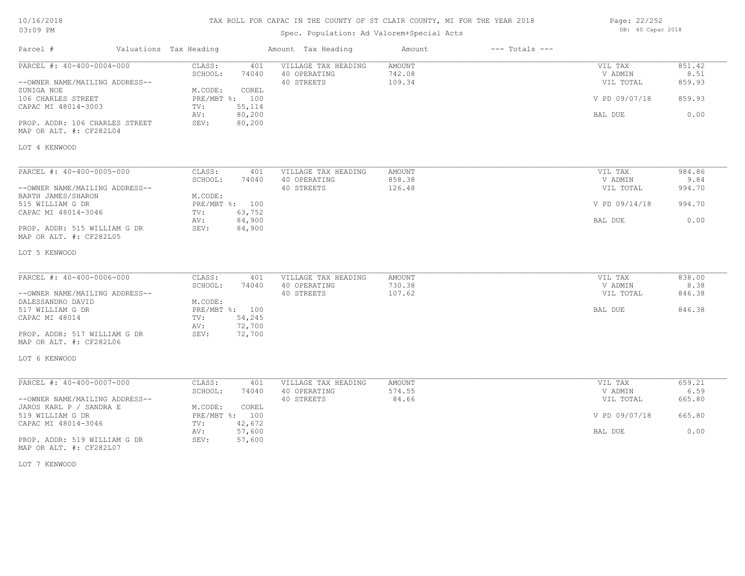## TAX ROLL FOR CAPAC IN THE COUNTY OF ST CLAIR COUNTY, MI FOR THE YEAR 2018

# Spec. Population: Ad Valorem+Special Acts

Parcel # Valuations Tax Heading Amount Tax Heading Amount --- Totals ---

| Page: 22/252 |                   |  |
|--------------|-------------------|--|
|              | DB: 40 Capac 2018 |  |

| PARCEL #: 40-400-0004-000                                 | CLASS:<br>401    | VILLAGE TAX HEADING | AMOUNT | VIL TAX       | 851.42 |
|-----------------------------------------------------------|------------------|---------------------|--------|---------------|--------|
|                                                           | SCHOOL:<br>74040 | 40 OPERATING        | 742.08 | V ADMIN       | 8.51   |
| --OWNER NAME/MAILING ADDRESS--<br>ZUNIGA NOE              | COREL<br>M.CODE: | 40 STREETS          | 109.34 | VIL TOTAL     | 859.93 |
| 106 CHARLES STREET                                        | PRE/MBT %: 100   |                     |        | V PD 09/07/18 | 859.93 |
| CAPAC MI 48014-3003                                       | 55,114<br>TV:    |                     |        |               |        |
|                                                           | 80,200           |                     |        |               | 0.00   |
|                                                           | AV:              |                     |        | BAL DUE       |        |
| PROP. ADDR: 106 CHARLES STREET<br>MAP OR ALT. #: CF282L04 | 80,200<br>SEV:   |                     |        |               |        |
| LOT 4 KENWOOD                                             |                  |                     |        |               |        |
| PARCEL #: 40-400-0005-000                                 | CLASS:<br>401    | VILLAGE TAX HEADING | AMOUNT | VIL TAX       | 984.86 |
|                                                           | SCHOOL:<br>74040 | 40 OPERATING        | 858.38 | V ADMIN       | 9.84   |
| --OWNER NAME/MAILING ADDRESS--                            |                  | 40 STREETS          | 126.48 | VIL TOTAL     | 994.70 |
| BARTH JAMES/SHARON                                        | M.CODE:          |                     |        |               |        |
| 515 WILLIAM G DR                                          | PRE/MBT %: 100   |                     |        | V PD 09/14/18 | 994.70 |
| CAPAC MI 48014-3046                                       | 63,752<br>TV:    |                     |        |               |        |
|                                                           | 84,900<br>AV:    |                     |        | BAL DUE       | 0.00   |
| PROP. ADDR: 515 WILLIAM G DR<br>MAP OR ALT. #: CF282L05   | 84,900<br>SEV:   |                     |        |               |        |
| LOT 5 KENWOOD                                             |                  |                     |        |               |        |
| PARCEL #: 40-400-0006-000                                 | CLASS:<br>401    | VILLAGE TAX HEADING | AMOUNT | VIL TAX       | 838.00 |
|                                                           | SCHOOL:<br>74040 | 40 OPERATING        | 730.38 | V ADMIN       | 8.38   |
| --OWNER NAME/MAILING ADDRESS--                            |                  | 40 STREETS          | 107.62 | VIL TOTAL     | 846.38 |
| DALESSANDRO DAVID                                         | M.CODE:          |                     |        |               |        |
| 517 WILLIAM G DR                                          | PRE/MBT %: 100   |                     |        | BAL DUE       | 846.38 |
| CAPAC MI 48014                                            | 54,245<br>TV:    |                     |        |               |        |
|                                                           | 72,700<br>AV:    |                     |        |               |        |
| PROP. ADDR: 517 WILLIAM G DR                              | SEV:<br>72,700   |                     |        |               |        |
| MAP OR ALT. #: CF282L06                                   |                  |                     |        |               |        |
| LOT 6 KENWOOD                                             |                  |                     |        |               |        |
| PARCEL #: 40-400-0007-000                                 | CLASS:<br>401    | VILLAGE TAX HEADING | AMOUNT | VIL TAX       | 659.21 |
|                                                           | SCHOOL:<br>74040 | 40 OPERATING        | 574.55 | V ADMIN       | 6.59   |
| --OWNER NAME/MAILING ADDRESS--                            |                  | 40 STREETS          | 84.66  | VIL TOTAL     | 665.80 |
| JAROS KARL P / SANDRA E                                   | M.CODE:<br>COREL |                     |        |               |        |
| 519 WILLIAM G DR                                          | PRE/MBT %: 100   |                     |        | V PD 09/07/18 | 665.80 |
| CAPAC MI 48014-3046                                       | 42,672<br>TV:    |                     |        |               |        |
|                                                           | 57,600<br>AV:    |                     |        | BAL DUE       | 0.00   |
| PROP. ADDR: 519 WILLIAM G DR<br>MAP OR ALT. #: CF282L07   | SEV:<br>57,600   |                     |        |               |        |

LOT 7 KENWOOD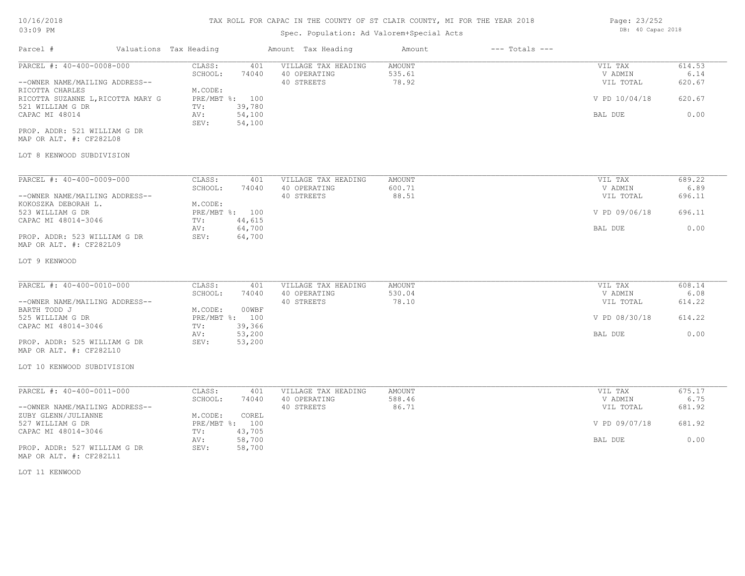### TAX ROLL FOR CAPAC IN THE COUNTY OF ST CLAIR COUNTY, MI FOR THE YEAR 2018 Page: 23/252

# Spec. Population: Ad Valorem+Special Acts

DB: 40 Capac 2018

| Parcel #                                                                                                                                                                                                                                          | Valuations Tax Heading                                                                                                      | Amount Tax Heading                                | Amount                    | $---$ Totals $---$                                          |                                            |
|---------------------------------------------------------------------------------------------------------------------------------------------------------------------------------------------------------------------------------------------------|-----------------------------------------------------------------------------------------------------------------------------|---------------------------------------------------|---------------------------|-------------------------------------------------------------|--------------------------------------------|
| PARCEL #: 40-400-0008-000<br>--OWNER NAME/MAILING ADDRESS--<br>RICOTTA CHARLES<br>RICOTTA SUZANNE L, RICOTTA MARY G<br>521 WILLIAM G DR<br>CAPAC MI 48014<br>PROP. ADDR: 521 WILLIAM G DR<br>MAP OR ALT. #: CF282L08<br>LOT 8 KENWOOD SUBDIVISION | CLASS:<br>401<br>SCHOOL:<br>74040<br>M.CODE:<br>PRE/MBT %: 100<br>39,780<br>TV:<br>54,100<br>AV:<br>54,100<br>SEV:          | VILLAGE TAX HEADING<br>40 OPERATING<br>40 STREETS | AMOUNT<br>535.61<br>78.92 | VIL TAX<br>V ADMIN<br>VIL TOTAL<br>V PD 10/04/18<br>BAL DUE | 614.53<br>6.14<br>620.67<br>620.67<br>0.00 |
| PARCEL #: 40-400-0009-000<br>--OWNER NAME/MAILING ADDRESS--<br>KOKOSZKA DEBORAH L.<br>523 WILLIAM G DR<br>CAPAC MI 48014-3046<br>PROP. ADDR: 523 WILLIAM G DR<br>MAP OR ALT. #: CF282L09                                                          | CLASS:<br>401<br>SCHOOL:<br>74040<br>M.CODE:<br>PRE/MBT %: 100<br>44,615<br>TV:<br>64,700<br>AV:<br>SEV:<br>64,700          | VILLAGE TAX HEADING<br>40 OPERATING<br>40 STREETS | AMOUNT<br>600.71<br>88.51 | VIL TAX<br>V ADMIN<br>VIL TOTAL<br>V PD 09/06/18<br>BAL DUE | 689.22<br>6.89<br>696.11<br>696.11<br>0.00 |
| LOT 9 KENWOOD<br>PARCEL #: 40-400-0010-000<br>--OWNER NAME/MAILING ADDRESS--<br>BARTH TODD J<br>525 WILLIAM G DR<br>CAPAC MI 48014-3046<br>PROP. ADDR: 525 WILLIAM G DR<br>MAP OR ALT. #: CF282L10<br>LOT 10 KENWOOD SUBDIVISION                  | CLASS:<br>401<br>SCHOOL:<br>74040<br>00WBF<br>M.CODE:<br>PRE/MBT %: 100<br>39,366<br>TV:<br>53,200<br>AV:<br>SEV:<br>53,200 | VILLAGE TAX HEADING<br>40 OPERATING<br>40 STREETS | AMOUNT<br>530.04<br>78.10 | VIL TAX<br>V ADMIN<br>VIL TOTAL<br>V PD 08/30/18<br>BAL DUE | 608.14<br>6.08<br>614.22<br>614.22<br>0.00 |
| PARCEL #: 40-400-0011-000<br>--OWNER NAME/MAILING ADDRESS--<br>ZUBY GLENN/JULIANNE<br>527 WILLIAM G DR<br>CAPAC MI 48014-3046<br>PROP. ADDR: 527 WILLIAM G DR<br>MAP OR ALT. #: CF282L11<br>LOT 11 KENWOOD                                        | CLASS:<br>401<br>SCHOOL:<br>74040<br>COREL<br>M.CODE:<br>PRE/MBT %: 100<br>43,705<br>TV:<br>AV:<br>58,700<br>SEV:<br>58,700 | VILLAGE TAX HEADING<br>40 OPERATING<br>40 STREETS | AMOUNT<br>588.46<br>86.71 | VIL TAX<br>V ADMIN<br>VIL TOTAL<br>V PD 09/07/18<br>BAL DUE | 675.17<br>6.75<br>681.92<br>681.92<br>0.00 |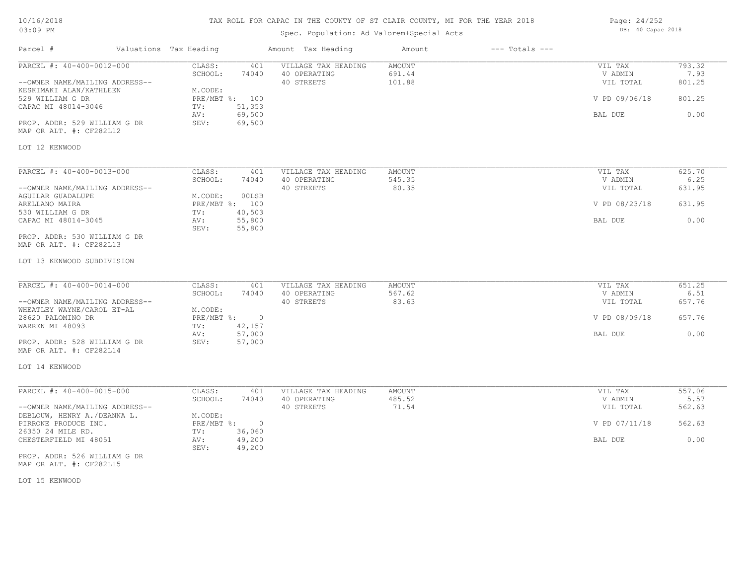## TAX ROLL FOR CAPAC IN THE COUNTY OF ST CLAIR COUNTY, MI FOR THE YEAR 2018

# Spec. Population: Ad Valorem+Special Acts

Page: 24/252 DB: 40 Capac 2018

| Parcel #                                                                                                                          | Valuations Tax Heading                     |                                                    | Amount Tax Heading                                | Amount                            | $---$ Totals $---$ |                                                             |                                            |
|-----------------------------------------------------------------------------------------------------------------------------------|--------------------------------------------|----------------------------------------------------|---------------------------------------------------|-----------------------------------|--------------------|-------------------------------------------------------------|--------------------------------------------|
| PARCEL #: 40-400-0012-000<br>--OWNER NAME/MAILING ADDRESS--<br>KESKIMAKI ALAN/KATHLEEN<br>529 WILLIAM G DR<br>CAPAC MI 48014-3046 | CLASS:<br>SCHOOL:<br>M.CODE:<br>TV:<br>AV: | 401<br>74040<br>PRE/MBT %: 100<br>51,353<br>69,500 | VILLAGE TAX HEADING<br>40 OPERATING<br>40 STREETS | <b>AMOUNT</b><br>691.44<br>101.88 |                    | VIL TAX<br>V ADMIN<br>VIL TOTAL<br>V PD 09/06/18<br>BAL DUE | 793.32<br>7.93<br>801.25<br>801.25<br>0.00 |
| PROP. ADDR: 529 WILLIAM G DR<br>MAP OR ALT. #: CF282L12<br>LOT 12 KENWOOD                                                         | SEV:                                       | 69,500                                             |                                                   |                                   |                    |                                                             |                                            |
| PARCEL #: 40-400-0013-000                                                                                                         | CLASS:                                     | 401                                                | VILLAGE TAX HEADING                               | <b>AMOUNT</b>                     |                    | VIL TAX                                                     | 625.70                                     |
| --OWNER NAME/MAILING ADDRESS--                                                                                                    | SCHOOL:                                    | 74040<br>00LSB                                     | 40 OPERATING<br>40 STREETS                        | 545.35<br>80.35                   |                    | V ADMIN<br>VIL TOTAL                                        | 6.25<br>631.95                             |
| AGUILAR GUADALUPE<br>ARELLANO MAIRA<br>530 WILLIAM G DR                                                                           | M.CODE:<br>TV:                             | PRE/MBT %: 100<br>40,503                           |                                                   |                                   |                    | V PD 08/23/18                                               | 631.95                                     |
| CAPAC MI 48014-3045                                                                                                               | AV:<br>SEV:                                | 55,800<br>55,800                                   |                                                   |                                   |                    | BAL DUE                                                     | 0.00                                       |
| PROP. ADDR: 530 WILLIAM G DR<br>MAP OR ALT. #: CF282L13                                                                           |                                            |                                                    |                                                   |                                   |                    |                                                             |                                            |
| LOT 13 KENWOOD SUBDIVISION                                                                                                        |                                            |                                                    |                                                   |                                   |                    |                                                             |                                            |
| PARCEL #: 40-400-0014-000<br>--OWNER NAME/MAILING ADDRESS--                                                                       | CLASS:<br>SCHOOL:                          | 401<br>74040                                       | VILLAGE TAX HEADING<br>40 OPERATING<br>40 STREETS | AMOUNT<br>567.62<br>83.63         |                    | VIL TAX<br>V ADMIN                                          | 651.25<br>6.51<br>657.76                   |
| WHEATLEY WAYNE/CAROL ET-AL<br>28620 PALOMINO DR                                                                                   | M.CODE:<br>PRE/MBT %: 0                    |                                                    |                                                   |                                   |                    | VIL TOTAL<br>V PD 08/09/18                                  | 657.76                                     |
| WARREN MI 48093                                                                                                                   | TV:<br>AV:                                 | 42,157<br>57,000                                   |                                                   |                                   |                    | BAL DUE                                                     | 0.00                                       |
| PROP. ADDR: 528 WILLIAM G DR<br>MAP OR ALT. #: CF282L14                                                                           | SEV:                                       | 57,000                                             |                                                   |                                   |                    |                                                             |                                            |
| LOT 14 KENWOOD                                                                                                                    |                                            |                                                    |                                                   |                                   |                    |                                                             |                                            |
| PARCEL #: 40-400-0015-000                                                                                                         | CLASS:                                     | 401                                                | VILLAGE TAX HEADING                               | <b>AMOUNT</b>                     |                    | VIL TAX                                                     | 557.06                                     |
| --OWNER NAME/MAILING ADDRESS--<br>DEBLOUW, HENRY A./DEANNA L.                                                                     | SCHOOL:<br>M.CODE:                         | 74040                                              | 40 OPERATING<br>40 STREETS                        | 485.52<br>71.54                   |                    | V ADMIN<br>VIL TOTAL                                        | 5.57<br>562.63                             |
| PIRRONE PRODUCE INC.<br>26350 24 MILE RD.                                                                                         | $PRE/MBT$ $\div$<br>TV:                    | $\circ$<br>36,060                                  |                                                   |                                   |                    | V PD 07/11/18                                               | 562.63                                     |
| CHESTERFIELD MI 48051                                                                                                             | AV:<br>SEV:                                | 49,200<br>49,200                                   |                                                   |                                   |                    | BAL DUE                                                     | 0.00                                       |
| PROP. ADDR: 526 WILLIAM G DR<br>MAP OR ALT. #: CF282L15                                                                           |                                            |                                                    |                                                   |                                   |                    |                                                             |                                            |

LOT 15 KENWOOD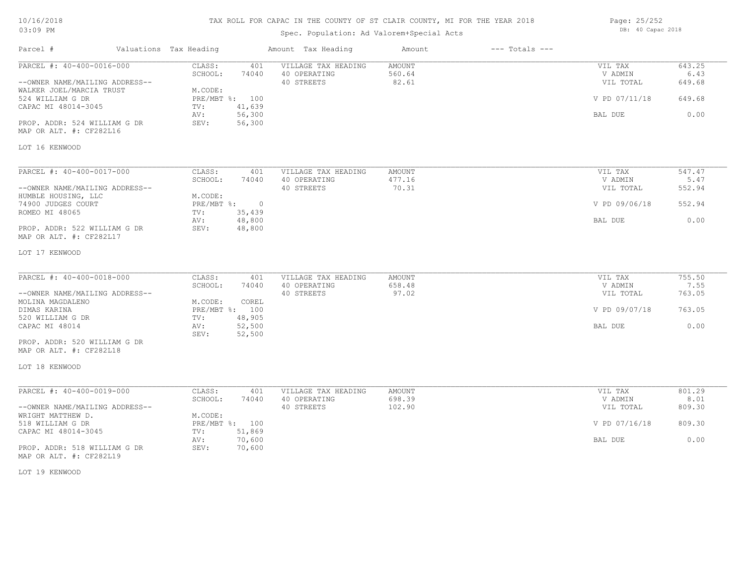# TAX ROLL FOR CAPAC IN THE COUNTY OF ST CLAIR COUNTY, MI FOR THE YEAR 2018

# Spec. Population: Ad Valorem+Special Acts

Parcel # Valuations Tax Heading Amount Tax Heading Amount --- Totals ---

| Page: 25/252 |                   |  |
|--------------|-------------------|--|
|              | DB: 40 Capac 2018 |  |

| PARCEL #: 40-400-0016-000                               | CLASS:<br>401<br>SCHOOL:<br>74040 | VILLAGE TAX HEADING<br>40 OPERATING | <b>AMOUNT</b><br>560.64 | VIL TAX<br>V ADMIN | 643.25<br>6.43 |
|---------------------------------------------------------|-----------------------------------|-------------------------------------|-------------------------|--------------------|----------------|
| --OWNER NAME/MAILING ADDRESS--                          |                                   | 40 STREETS                          | 82.61                   | VIL TOTAL          | 649.68         |
| WALKER JOEL/MARCIA TRUST                                | M.CODE:                           |                                     |                         |                    |                |
| 524 WILLIAM G DR                                        | PRE/MBT %: 100                    |                                     |                         | V PD 07/11/18      | 649.68         |
| CAPAC MI 48014-3045                                     | 41,639<br>TV:                     |                                     |                         |                    |                |
|                                                         | 56,300<br>AV:                     |                                     |                         | BAL DUE            | 0.00           |
| PROP. ADDR: 524 WILLIAM G DR<br>MAP OR ALT. #: CF282L16 | SEV:<br>56,300                    |                                     |                         |                    |                |
| LOT 16 KENWOOD                                          |                                   |                                     |                         |                    |                |
| PARCEL #: 40-400-0017-000                               | CLASS:<br>401                     | VILLAGE TAX HEADING                 | AMOUNT                  | VIL TAX            | 547.47         |
|                                                         | SCHOOL:<br>74040                  | 40 OPERATING                        | 477.16                  | V ADMIN            | 5.47           |
| --OWNER NAME/MAILING ADDRESS--                          |                                   | 40 STREETS                          | 70.31                   | VIL TOTAL          | 552.94         |
| HUMBLE HOUSING, LLC                                     | M.CODE:                           |                                     |                         |                    |                |
| 74900 JUDGES COURT                                      | PRE/MBT %: 0                      |                                     |                         | V PD 09/06/18      | 552.94         |
| ROMEO MI 48065                                          | 35,439<br>TV:                     |                                     |                         |                    |                |
|                                                         | 48,800<br>AV:                     |                                     |                         | BAL DUE            | 0.00           |
| PROP. ADDR: 522 WILLIAM G DR<br>MAP OR ALT. #: CF282L17 | 48,800<br>SEV:                    |                                     |                         |                    |                |
| LOT 17 KENWOOD                                          |                                   |                                     |                         |                    |                |
| PARCEL #: 40-400-0018-000                               | CLASS:<br>401                     | VILLAGE TAX HEADING                 | AMOUNT                  | VIL TAX            | 755.50         |
|                                                         | SCHOOL:<br>74040                  | 40 OPERATING                        | 658.48                  | V ADMIN            | 7.55           |
| --OWNER NAME/MAILING ADDRESS--                          |                                   | 40 STREETS                          | 97.02                   | VIL TOTAL          | 763.05         |
| MOLINA MAGDALENO                                        | M.CODE:<br>COREL                  |                                     |                         |                    |                |
| DIMAS KARINA                                            | PRE/MBT %: 100                    |                                     |                         | V PD 09/07/18      | 763.05         |
| 520 WILLIAM G DR                                        | 48,905<br>TV:                     |                                     |                         |                    |                |
| CAPAC MI 48014                                          | 52,500<br>AV:                     |                                     |                         | BAL DUE            | 0.00           |
|                                                         | SEV:<br>52,500                    |                                     |                         |                    |                |
| PROP. ADDR: 520 WILLIAM G DR<br>MAP OR ALT. #: CF282L18 |                                   |                                     |                         |                    |                |
| LOT 18 KENWOOD                                          |                                   |                                     |                         |                    |                |
| PARCEL #: 40-400-0019-000                               | CLASS:<br>401                     | VILLAGE TAX HEADING                 | AMOUNT                  | VIL TAX            | 801.29         |
|                                                         | SCHOOL:<br>74040                  | 40 OPERATING                        | 698.39                  | V ADMIN            | 8.01           |
| --OWNER NAME/MAILING ADDRESS--                          |                                   | 40 STREETS                          | 102.90                  | VIL TOTAL          | 809.30         |
| WRIGHT MATTHEW D.                                       | M.CODE:                           |                                     |                         |                    |                |
| 518 WILLIAM G DR                                        | PRE/MBT %: 100                    |                                     |                         | V PD 07/16/18      | 809.30         |
| CAPAC MI 48014-3045                                     | 51,869<br>TV:<br>AV:<br>70,600    |                                     |                         | BAL DUE            | 0.00           |
| PROP. ADDR: 518 WILLIAM G DR                            | SEV:<br>70,600                    |                                     |                         |                    |                |
| MAP OR ALT. #: CF282L19                                 |                                   |                                     |                         |                    |                |

LOT 19 KENWOOD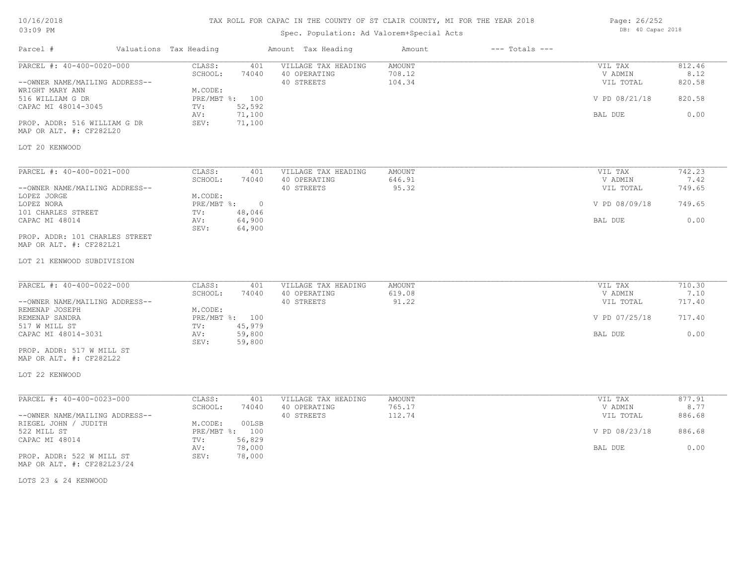# TAX ROLL FOR CAPAC IN THE COUNTY OF ST CLAIR COUNTY, MI FOR THE YEAR 2018

# Spec. Population: Ad Valorem+Special Acts

Page: 26/252 DB: 40 Capac 2018

| Parcel #                                                                                                                                                                                               | Valuations Tax Heading                             |                                                              | Amount Tax Heading                                | Amount                     | $---$ Totals $---$ |                                                             |                                            |
|--------------------------------------------------------------------------------------------------------------------------------------------------------------------------------------------------------|----------------------------------------------------|--------------------------------------------------------------|---------------------------------------------------|----------------------------|--------------------|-------------------------------------------------------------|--------------------------------------------|
| PARCEL #: 40-400-0020-000<br>--OWNER NAME/MAILING ADDRESS--<br>WRIGHT MARY ANN<br>516 WILLIAM G DR<br>CAPAC MI 48014-3045<br>PROP. ADDR: 516 WILLIAM G DR<br>MAP OR ALT. #: CF282L20<br>LOT 20 KENWOOD | CLASS:<br>SCHOOL:<br>M.CODE:<br>TV:<br>AV:<br>SEV: | 401<br>74040<br>PRE/MBT %: 100<br>52,592<br>71,100<br>71,100 | VILLAGE TAX HEADING<br>40 OPERATING<br>40 STREETS | AMOUNT<br>708.12<br>104.34 |                    | VIL TAX<br>V ADMIN<br>VIL TOTAL<br>V PD 08/21/18<br>BAL DUE | 812.46<br>8.12<br>820.58<br>820.58<br>0.00 |
| PARCEL #: 40-400-0021-000                                                                                                                                                                              | CLASS:<br>SCHOOL:                                  | 401<br>74040                                                 | VILLAGE TAX HEADING<br>40 OPERATING               | AMOUNT<br>646.91           |                    | VIL TAX<br>V ADMIN                                          | 742.23<br>7.42                             |
| --OWNER NAME/MAILING ADDRESS--                                                                                                                                                                         |                                                    |                                                              | 40 STREETS                                        | 95.32                      |                    | VIL TOTAL                                                   | 749.65                                     |
| LOPEZ JORGE<br>LOPEZ NORA<br>101 CHARLES STREET                                                                                                                                                        | M.CODE:<br>PRE/MBT %:<br>TV:                       | $\overline{\phantom{0}}$<br>48,046                           |                                                   |                            |                    | V PD 08/09/18                                               | 749.65                                     |
| CAPAC MI 48014                                                                                                                                                                                         | AV:<br>SEV:                                        | 64,900<br>64,900                                             |                                                   |                            |                    | BAL DUE                                                     | 0.00                                       |
| PROP. ADDR: 101 CHARLES STREET<br>MAP OR ALT. #: CF282L21                                                                                                                                              |                                                    |                                                              |                                                   |                            |                    |                                                             |                                            |
| LOT 21 KENWOOD SUBDIVISION                                                                                                                                                                             |                                                    |                                                              |                                                   |                            |                    |                                                             |                                            |
| PARCEL #: 40-400-0022-000                                                                                                                                                                              | CLASS:<br>SCHOOL:                                  | 401<br>74040                                                 | VILLAGE TAX HEADING<br>40 OPERATING               | AMOUNT<br>619.08           |                    | VIL TAX<br>V ADMIN                                          | 710.30<br>7.10                             |
| --OWNER NAME/MAILING ADDRESS--<br>REMENAP JOSEPH                                                                                                                                                       | M.CODE:                                            |                                                              | 40 STREETS                                        | 91.22                      |                    | VIL TOTAL                                                   | 717.40                                     |
| REMENAP SANDRA                                                                                                                                                                                         |                                                    | PRE/MBT %: 100                                               |                                                   |                            |                    | V PD 07/25/18                                               | 717.40                                     |
| 517 W MILL ST<br>CAPAC MI 48014-3031                                                                                                                                                                   | TV:<br>AV:<br>SEV:                                 | 45,979<br>59,800<br>59,800                                   |                                                   |                            |                    | BAL DUE                                                     | 0.00                                       |
| PROP. ADDR: 517 W MILL ST<br>MAP OR ALT. #: CF282L22                                                                                                                                                   |                                                    |                                                              |                                                   |                            |                    |                                                             |                                            |
| LOT 22 KENWOOD                                                                                                                                                                                         |                                                    |                                                              |                                                   |                            |                    |                                                             |                                            |
| PARCEL #: 40-400-0023-000                                                                                                                                                                              | CLASS:                                             | 401                                                          | VILLAGE TAX HEADING                               | AMOUNT                     |                    | VIL TAX                                                     | 877.91                                     |
|                                                                                                                                                                                                        | SCHOOL:                                            | 74040                                                        | 40 OPERATING                                      | 765.17                     |                    | V ADMIN                                                     | 8.77                                       |
| --OWNER NAME/MAILING ADDRESS--<br>RIEGEL JOHN / JUDITH                                                                                                                                                 | M.CODE:                                            | 00LSB                                                        | 40 STREETS                                        | 112.74                     |                    | VIL TOTAL                                                   | 886.68                                     |
| 522 MILL ST<br>CAPAC MI 48014                                                                                                                                                                          | TV:                                                | PRE/MBT %: 100<br>56,829                                     |                                                   |                            |                    | V PD 08/23/18                                               | 886.68                                     |
|                                                                                                                                                                                                        | AV:                                                | 78,000                                                       |                                                   |                            |                    | BAL DUE                                                     | 0.00                                       |
| PROP. ADDR: 522 W MILL ST<br>MAP OR ALT. #: CF282L23/24                                                                                                                                                | SEV:                                               | 78,000                                                       |                                                   |                            |                    |                                                             |                                            |

LOTS 23 & 24 KENWOOD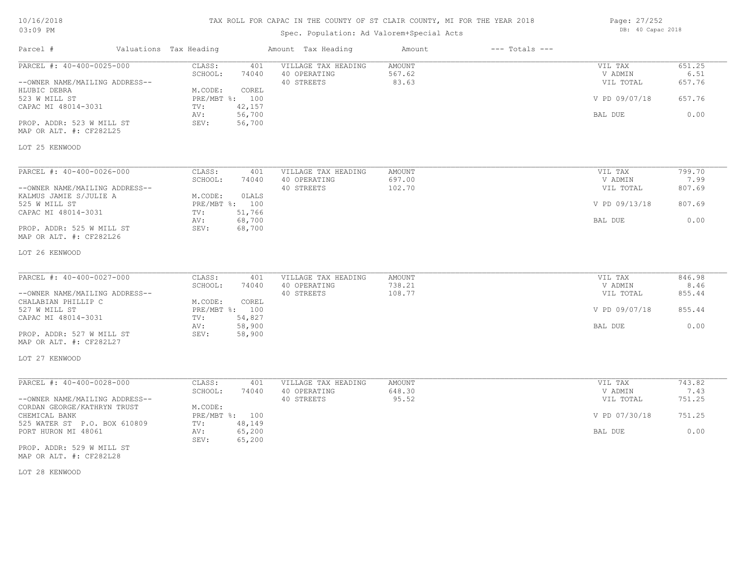# TAX ROLL FOR CAPAC IN THE COUNTY OF ST CLAIR COUNTY, MI FOR THE YEAR 2018

# Spec. Population: Ad Valorem+Special Acts

Page: 27/252 DB: 40 Capac 2018

| Parcel #                                                 | Valuations Tax Heading |                  | Amount Tax Heading                  | Amount                  | $---$ Totals $---$ |                    |                |
|----------------------------------------------------------|------------------------|------------------|-------------------------------------|-------------------------|--------------------|--------------------|----------------|
| PARCEL #: 40-400-0025-000                                | CLASS:<br>SCHOOL:      | 401<br>74040     | VILLAGE TAX HEADING<br>40 OPERATING | <b>AMOUNT</b><br>567.62 |                    | VIL TAX<br>V ADMIN | 651.25<br>6.51 |
| --OWNER NAME/MAILING ADDRESS--<br>HLUBIC DEBRA           | M.CODE:                | COREL            | 40 STREETS                          | 83.63                   |                    | VIL TOTAL          | 657.76         |
| 523 W MILL ST<br>CAPAC MI 48014-3031                     | PRE/MBT %: 100<br>TV:  | 42,157           |                                     |                         |                    | V PD 09/07/18      | 657.76         |
|                                                          | AV:                    | 56,700           |                                     |                         |                    | BAL DUE            | 0.00           |
| PROP. ADDR: 523 W MILL ST<br>MAP OR ALT. #: CF282L25     | SEV:                   | 56,700           |                                     |                         |                    |                    |                |
| LOT 25 KENWOOD                                           |                        |                  |                                     |                         |                    |                    |                |
| PARCEL #: 40-400-0026-000                                | CLASS:                 | 401              | VILLAGE TAX HEADING                 | AMOUNT                  |                    | VIL TAX            | 799.70         |
|                                                          | SCHOOL:                | 74040            | 40 OPERATING                        | 697.00                  |                    | V ADMIN            | 7.99           |
| --OWNER NAME/MAILING ADDRESS--<br>KALMUS JAMIE S/JULIE A | M.CODE:                | OLALS            | 40 STREETS                          | 102.70                  |                    | VIL TOTAL          | 807.69         |
| 525 W MILL ST<br>CAPAC MI 48014-3031                     | PRE/MBT %: 100<br>TV:  | 51,766           |                                     |                         |                    | V PD 09/13/18      | 807.69         |
|                                                          | AV:                    | 68,700           |                                     |                         |                    | BAL DUE            | 0.00           |
| PROP. ADDR: 525 W MILL ST<br>MAP OR ALT. #: CF282L26     | SEV:                   | 68,700           |                                     |                         |                    |                    |                |
| LOT 26 KENWOOD                                           |                        |                  |                                     |                         |                    |                    |                |
| PARCEL #: 40-400-0027-000                                | CLASS:                 | 401              | VILLAGE TAX HEADING                 | AMOUNT                  |                    | VIL TAX            | 846.98         |
|                                                          | SCHOOL:                | 74040            | 40 OPERATING                        | 738.21                  |                    | V ADMIN            | 8.46           |
| --OWNER NAME/MAILING ADDRESS--                           |                        |                  | 40 STREETS                          | 108.77                  |                    | VIL TOTAL          | 855.44         |
| CHALABIAN PHILLIP C                                      | M.CODE:                | COREL            |                                     |                         |                    |                    |                |
| 527 W MILL ST<br>CAPAC MI 48014-3031                     | PRE/MBT %: 100<br>TV:  | 54,827           |                                     |                         |                    | V PD 09/07/18      | 855.44         |
|                                                          | AV:                    | 58,900           |                                     |                         |                    | BAL DUE            | 0.00           |
| PROP. ADDR: 527 W MILL ST<br>MAP OR ALT. #: CF282L27     | SEV:                   | 58,900           |                                     |                         |                    |                    |                |
| LOT 27 KENWOOD                                           |                        |                  |                                     |                         |                    |                    |                |
| PARCEL #: 40-400-0028-000                                | CLASS:                 | 401              | VILLAGE TAX HEADING                 | AMOUNT                  |                    | VIL TAX            | 743.82         |
|                                                          | SCHOOL:                | 74040            | 40 OPERATING                        | 648.30                  |                    | V ADMIN            | 7.43           |
| --OWNER NAME/MAILING ADDRESS--                           |                        |                  | 40 STREETS                          | 95.52                   |                    | VIL TOTAL          | 751.25         |
| CORDAN GEORGE/KATHRYN TRUST                              | M.CODE:                |                  |                                     |                         |                    |                    |                |
| CHEMICAL BANK                                            | PRE/MBT %: 100         |                  |                                     |                         |                    | V PD 07/30/18      | 751.25         |
| 525 WATER ST P.O. BOX 610809<br>PORT HURON MI 48061      | TV:<br>AV:             | 48,149<br>65,200 |                                     |                         |                    | BAL DUE            | 0.00           |
| PROP. ADDR: 529 W MILL ST                                | SEV:                   | 65,200           |                                     |                         |                    |                    |                |

MAP OR ALT. #: CF282L28

LOT 28 KENWOOD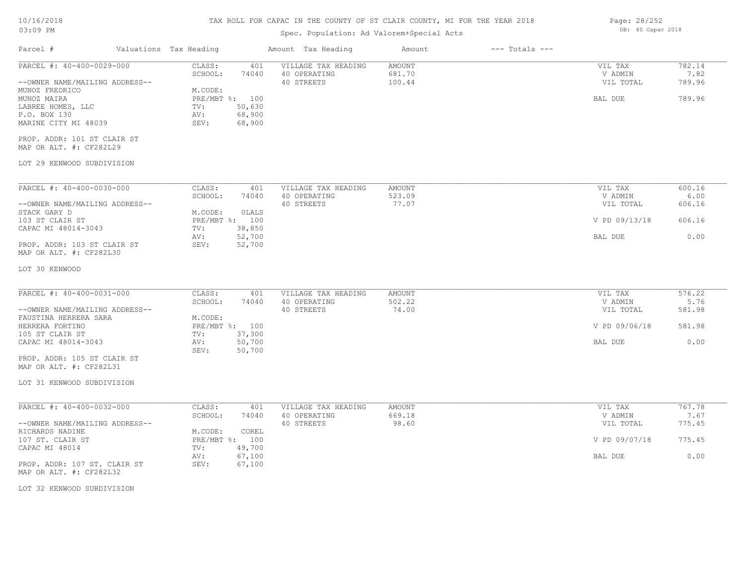# TAX ROLL FOR CAPAC IN THE COUNTY OF ST CLAIR COUNTY, MI FOR THE YEAR 2018

# Spec. Population: Ad Valorem+Special Acts

| Parcel #                                                                                   | Valuations Tax Heading |                                                 |                            | Amount Tax Heading                                | Amount                     | $---$ Totals $---$ |                                 |                          |
|--------------------------------------------------------------------------------------------|------------------------|-------------------------------------------------|----------------------------|---------------------------------------------------|----------------------------|--------------------|---------------------------------|--------------------------|
| PARCEL #: 40-400-0029-000<br>--OWNER NAME/MAILING ADDRESS--                                |                        | CLASS:<br>SCHOOL:                               | 401<br>74040               | VILLAGE TAX HEADING<br>40 OPERATING<br>40 STREETS | AMOUNT<br>681.70<br>100.44 |                    | VIL TAX<br>V ADMIN<br>VIL TOTAL | 782.14<br>7.82<br>789.96 |
| MUNOZ FREDRICO<br>MUNOZ MAIRA<br>LABREE HOMES, LLC<br>P.O. BOX 130<br>MARINE CITY MI 48039 |                        | M.CODE:<br>PRE/MBT %: 100<br>TV:<br>AV:<br>SEV: | 50,630<br>68,900<br>68,900 |                                                   |                            |                    | BAL DUE                         | 789.96                   |
| PROP. ADDR: 101 ST CLAIR ST<br>MAP OR ALT. #: CF282L29                                     |                        |                                                 |                            |                                                   |                            |                    |                                 |                          |
| LOT 29 KENWOOD SUBDIVISION                                                                 |                        |                                                 |                            |                                                   |                            |                    |                                 |                          |
| PARCEL #: 40-400-0030-000                                                                  |                        | CLASS:                                          | 401                        | VILLAGE TAX HEADING                               | <b>AMOUNT</b>              |                    | VIL TAX                         | 600.16                   |
| --OWNER NAME/MAILING ADDRESS--<br>STACK GARY D                                             |                        | SCHOOL:<br>M.CODE:                              | 74040<br>OLALS             | 40 OPERATING<br>40 STREETS                        | 523.09<br>77.07            |                    | V ADMIN<br>VIL TOTAL            | 6.00<br>606.16           |
| 103 ST CLAIR ST<br>CAPAC MI 48014-3043                                                     |                        | PRE/MBT %: 100<br>TV:                           | 38,850                     |                                                   |                            |                    | V PD 09/13/18                   | 606.16                   |
| PROP. ADDR: 103 ST CLAIR ST<br>MAP OR ALT. #: CF282L30                                     |                        | AV:<br>SEV:                                     | 52,700<br>52,700           |                                                   |                            |                    | BAL DUE                         | 0.00                     |
| LOT 30 KENWOOD                                                                             |                        |                                                 |                            |                                                   |                            |                    |                                 |                          |
| PARCEL #: 40-400-0031-000                                                                  |                        | CLASS:<br>SCHOOL:                               | 401<br>74040               | VILLAGE TAX HEADING<br>40 OPERATING               | AMOUNT<br>502.22           |                    | VIL TAX<br>V ADMIN              | 576.22<br>5.76           |
| --OWNER NAME/MAILING ADDRESS--<br>FAUSTINA HERRERA SARA                                    |                        | M.CODE:                                         |                            | 40 STREETS                                        | 74.00                      |                    | VIL TOTAL                       | 581.98                   |
| HERRERA FORTINO<br>105 ST CLAIR ST                                                         |                        | PRE/MBT %: 100<br>TV:                           | 37,300                     |                                                   |                            |                    | V PD 09/06/18                   | 581.98                   |
| CAPAC MI 48014-3043                                                                        |                        | AV:<br>SEV:                                     | 50,700<br>50,700           |                                                   |                            |                    | <b>BAL DUE</b>                  | 0.00                     |
| PROP. ADDR: 105 ST CLAIR ST<br>MAP OR ALT. #: CF282L31                                     |                        |                                                 |                            |                                                   |                            |                    |                                 |                          |
| LOT 31 KENWOOD SUBDIVISION                                                                 |                        |                                                 |                            |                                                   |                            |                    |                                 |                          |
| PARCEL #: 40-400-0032-000                                                                  |                        | CLASS:                                          | 401                        | VILLAGE TAX HEADING                               | AMOUNT                     |                    | VIL TAX                         | 767.78                   |
| --OWNER NAME/MAILING ADDRESS--                                                             |                        | SCHOOL:                                         | 74040                      | 40 OPERATING<br>40 STREETS                        | 669.18<br>98.60            |                    | V ADMIN<br>VIL TOTAL            | 7.67<br>775.45           |
| RICHARDS NADINE<br>107 ST. CLAIR ST<br>CAPAC MI 48014                                      |                        | M.CODE:<br>PRE/MBT %: 100<br>TV:                | COREL<br>49,700            |                                                   |                            |                    | V PD 09/07/18                   | 775.45                   |
| PROP. ADDR: 107 ST. CLAIR ST<br>MAP OR ALT. #: CF282L32                                    |                        | AV:<br>SEV:                                     | 67,100<br>67,100           |                                                   |                            |                    | BAL DUE                         | 0.00                     |
| LOT 32 KENWOOD SUBDIVISION                                                                 |                        |                                                 |                            |                                                   |                            |                    |                                 |                          |
|                                                                                            |                        |                                                 |                            |                                                   |                            |                    |                                 |                          |

Page: 28/252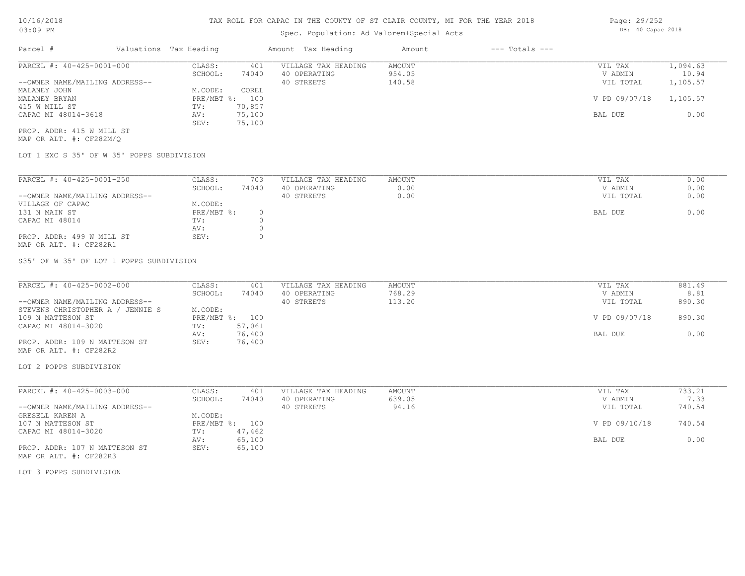# Spec. Population: Ad Valorem+Special Acts

| Parcel #                       | Valuations Tax Heading |        | Amount Tax Heading  | Amount | $---$ Totals $---$ |               |          |
|--------------------------------|------------------------|--------|---------------------|--------|--------------------|---------------|----------|
| PARCEL #: 40-425-0001-000      | CLASS:                 | 401    | VILLAGE TAX HEADING | AMOUNT |                    | VIL TAX       | 1,094.63 |
|                                | SCHOOL:                | 74040  | 40 OPERATING        | 954.05 |                    | V ADMIN       | 10.94    |
| --OWNER NAME/MAILING ADDRESS-- |                        |        | 40 STREETS          | 140.58 |                    | VIL TOTAL     | 1,105.57 |
| MALANEY JOHN                   | M.CODE:                | COREL  |                     |        |                    |               |          |
| MALANEY BRYAN                  | PRE/MBT %: 100         |        |                     |        |                    | V PD 09/07/18 | 1,105.57 |
| 415 W MILL ST                  | TV:                    | 70,857 |                     |        |                    |               |          |
| CAPAC MI 48014-3618            | AV:                    | 75,100 |                     |        |                    | BAL DUE       | 0.00     |
|                                | SEV:                   | 75,100 |                     |        |                    |               |          |
|                                |                        |        |                     |        |                    |               |          |

MAP OR ALT. #: CF282M/Q PROP. ADDR: 415 W MILL ST

LOT 1 EXC S 35' OF W 35' POPPS SUBDIVISION

| PARCEL #: 40-425-0001-250      | CLASS:     | 703   | VILLAGE TAX HEADING | AMOUNT | 0.00<br>VIL TAX   |  |
|--------------------------------|------------|-------|---------------------|--------|-------------------|--|
|                                | SCHOOL:    | 74040 | 40 OPERATING        | 0.00   | 0.00<br>V ADMIN   |  |
| --OWNER NAME/MAILING ADDRESS-- |            |       | 40 STREETS          | 0.00   | 0.00<br>VIL TOTAL |  |
| VILLAGE OF CAPAC               | M.CODE:    |       |                     |        |                   |  |
| 131 N MAIN ST                  | PRE/MBT %: | 0.    |                     |        | 0.00<br>BAL DUE   |  |
| CAPAC MI 48014                 | TV:        |       |                     |        |                   |  |
|                                | AV:        |       |                     |        |                   |  |
| PROP. ADDR: 499 W MILL ST      | SEV:       |       |                     |        |                   |  |
| MAP OR ALT. #: CF282R1         |            |       |                     |        |                   |  |

S35' OF W 35' OF LOT 1 POPPS SUBDIVISION

| PARCEL #: 40-425-0002-000        | CLASS:         | 401    | VILLAGE TAX HEADING | AMOUNT | VIL TAX       | 881.49 |
|----------------------------------|----------------|--------|---------------------|--------|---------------|--------|
|                                  | SCHOOL:        | 74040  | 40 OPERATING        | 768.29 | V ADMIN       | 8.81   |
| --OWNER NAME/MAILING ADDRESS--   |                |        | 40 STREETS          | 113.20 | VIL TOTAL     | 890.30 |
| STEVENS CHRISTOPHER A / JENNIE S | M.CODE:        |        |                     |        |               |        |
| 109 N MATTESON ST                | PRE/MBT %: 100 |        |                     |        | V PD 09/07/18 | 890.30 |
| CAPAC MI 48014-3020              | TV:            | 57,061 |                     |        |               |        |
|                                  | AV:            | 76,400 |                     |        | BAL DUE       | 0.00   |
| PROP. ADDR: 109 N MATTESON ST    | SEV:           | 76,400 |                     |        |               |        |
| MAP OR ALT. #: CF282R2           |                |        |                     |        |               |        |

LOT 2 POPPS SUBDIVISION

| PARCEL #: 40-425-0003-000      | CLASS:     | 401    | VILLAGE TAX HEADING | AMOUNT | VIL TAX       | 733.21 |
|--------------------------------|------------|--------|---------------------|--------|---------------|--------|
|                                | SCHOOL:    | 74040  | 40 OPERATING        | 639.05 | V ADMIN       | 7.33   |
| --OWNER NAME/MAILING ADDRESS-- |            |        | 40 STREETS          | 94.16  | VIL TOTAL     | 740.54 |
| GRESELL KAREN A                | M.CODE:    |        |                     |        |               |        |
| 107 N MATTESON ST              | PRE/MBT %: | 100    |                     |        | V PD 09/10/18 | 740.54 |
| CAPAC MI 48014-3020            | TV:        | 47,462 |                     |        |               |        |
|                                | AV:        | 65,100 |                     |        | BAL DUE       | 0.00   |
| PROP. ADDR: 107 N MATTESON ST  | SEV:       | 65,100 |                     |        |               |        |
| MAP OR ALT. #: CF282R3         |            |        |                     |        |               |        |

LOT 3 POPPS SUBDIVISION

Page: 29/252 DB: 40 Capac 2018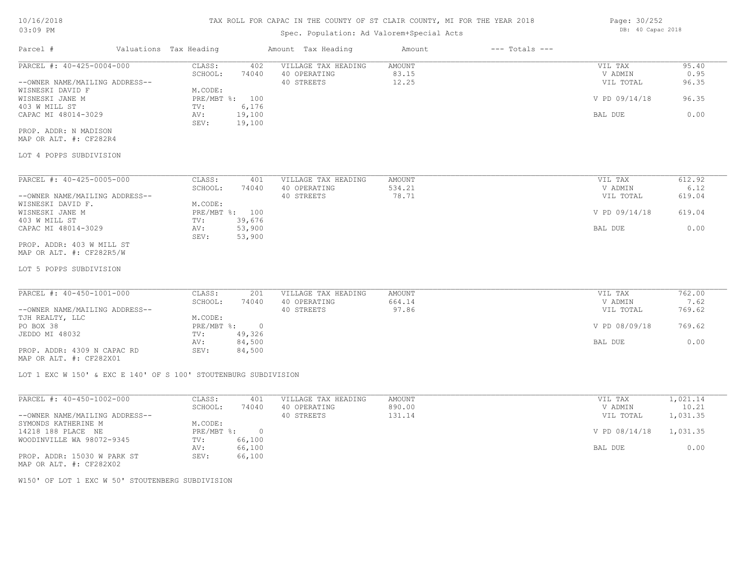# Spec. Population: Ad Valorem+Special Acts

| Parcel #                       |  | Valuations Tax Heading |        | Amount Tax Heading  | Amount | $---$ Totals $---$ |               |       |
|--------------------------------|--|------------------------|--------|---------------------|--------|--------------------|---------------|-------|
| PARCEL #: 40-425-0004-000      |  | CLASS:                 | 402    | VILLAGE TAX HEADING | AMOUNT |                    | VIL TAX       | 95.40 |
|                                |  | SCHOOL:                | 74040  | 40 OPERATING        | 83.15  |                    | V ADMIN       | 0.95  |
| --OWNER NAME/MAILING ADDRESS-- |  |                        |        | 40 STREETS          | 12.25  |                    | VIL TOTAL     | 96.35 |
| WISNESKI DAVID F               |  | M.CODE:                |        |                     |        |                    |               |       |
| WISNESKI JANE M                |  | PRE/MBT %:             | 100    |                     |        |                    | V PD 09/14/18 | 96.35 |
| 403 W MILL ST                  |  | TV:                    | 6,176  |                     |        |                    |               |       |
| CAPAC MI 48014-3029            |  | AV:                    | 19,100 |                     |        |                    | BAL DUE       | 0.00  |
|                                |  | SEV:                   | 19,100 |                     |        |                    |               |       |
| PROP. ADDR: N MADISON          |  |                        |        |                     |        |                    |               |       |

MAP OR ALT. #: CF282R4

### LOT 4 POPPS SUBDIVISION

| PARCEL #: 40-425-0005-000      | CLASS:       | 401    | VILLAGE TAX HEADING | AMOUNT | VIL TAX       | 612.92 |
|--------------------------------|--------------|--------|---------------------|--------|---------------|--------|
|                                | SCHOOL:      | 74040  | 40 OPERATING        | 534.21 | V ADMIN       | 6.12   |
| --OWNER NAME/MAILING ADDRESS-- |              |        | 40 STREETS          | 78.71  | VIL TOTAL     | 619.04 |
| WISNESKI DAVID F.              | M.CODE:      |        |                     |        |               |        |
| WISNESKI JANE M                | $PRE/MBT$ %: | 100    |                     |        | V PD 09/14/18 | 619.04 |
| 403 W MILL ST                  | TV:          | 39,676 |                     |        |               |        |
| CAPAC MI 48014-3029            | AV:          | 53,900 |                     |        | BAL DUE       | 0.00   |
|                                | SEV:         | 53,900 |                     |        |               |        |
| PROP. ADDR: 403 W MILL ST      |              |        |                     |        |               |        |

MAP OR ALT. #: CF282R5/W

LOT 5 POPPS SUBDIVISION

| PARCEL #: 40-450-1001-000      | CLASS:       | 201    | VILLAGE TAX HEADING | AMOUNT | VIL TAX       | 762.00 |
|--------------------------------|--------------|--------|---------------------|--------|---------------|--------|
|                                | SCHOOL:      | 74040  | 40 OPERATING        | 664.14 | V ADMIN       | 7.62   |
| --OWNER NAME/MAILING ADDRESS-- |              |        | 40 STREETS          | 97.86  | VIL TOTAL     | 769.62 |
| TJH REALTY, LLC                | M.CODE:      |        |                     |        |               |        |
| PO BOX 38                      | $PRE/MBT$ %: |        |                     |        | V PD 08/09/18 | 769.62 |
| JEDDO MI 48032                 | TV:          | 49,326 |                     |        |               |        |
|                                | AV:          | 84,500 |                     |        | BAL DUE       | 0.00   |
| PROP. ADDR: 4309 N CAPAC RD    | SEV:         | 84,500 |                     |        |               |        |

MAP OR ALT. #: CF282X01

LOT 1 EXC W 150' & EXC E 140' OF S 100' STOUTENBURG SUBDIVISION

| PARCEL #: 40-450-1002-000      | CLASS:     | 401    | VILLAGE TAX HEADING | AMOUNT | VIL TAX       | 1,021.14 |
|--------------------------------|------------|--------|---------------------|--------|---------------|----------|
|                                | SCHOOL:    | 74040  | 40 OPERATING        | 890.00 | V ADMIN       | 10.21    |
| --OWNER NAME/MAILING ADDRESS-- |            |        | 40 STREETS          | 131.14 | VIL TOTAL     | l,031.35 |
| SYMONDS KATHERINE M            | M.CODE:    |        |                     |        |               |          |
| 14218 188 PLACE NE             | PRE/MBT %: |        |                     |        | V PD 08/14/18 | 1,031.35 |
| WOODINVILLE WA 98072-9345      | TV:        | 66,100 |                     |        |               |          |
|                                | AV:        | 66,100 |                     |        | BAL DUE       | 0.00     |
| PROP. ADDR: 15030 W PARK ST    | SEV:       | 66,100 |                     |        |               |          |
| $\cdots$                       |            |        |                     |        |               |          |

MAP OR ALT. #: CF282X02

W150' OF LOT 1 EXC W 50' STOUTENBERG SUBDIVISION

Page: 30/252 DB: 40 Capac 2018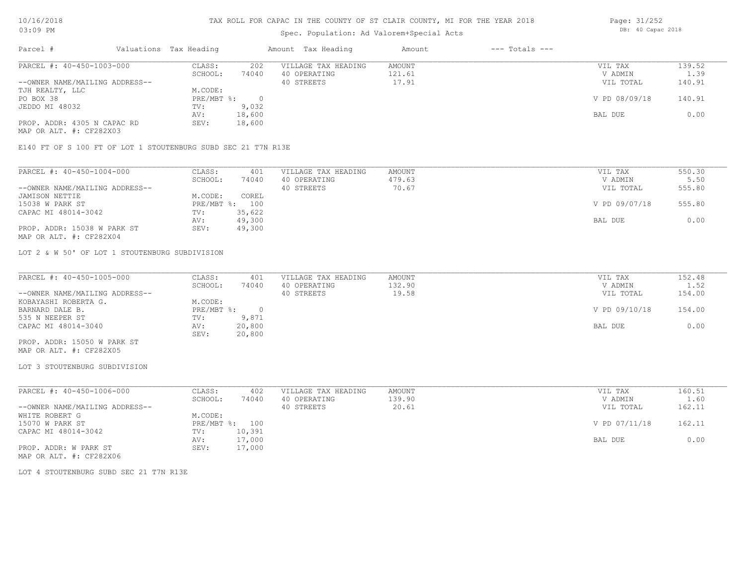# Spec. Population: Ad Valorem+Special Acts

| Page: 31/252 |                   |  |
|--------------|-------------------|--|
|              | DB: 40 Capac 2018 |  |

| Parcel #                       | Valuations Tax Heading |        | Amount Tax Heading  | Amount | $---$ Totals $---$ |               |        |
|--------------------------------|------------------------|--------|---------------------|--------|--------------------|---------------|--------|
| PARCEL #: 40-450-1003-000      | CLASS:                 | 202    | VILLAGE TAX HEADING | AMOUNT |                    | VIL TAX       | 139.52 |
|                                | SCHOOL:                | 74040  | 40 OPERATING        | 121.61 |                    | V ADMIN       | 1.39   |
| --OWNER NAME/MAILING ADDRESS-- |                        |        | 40 STREETS          | 17.91  |                    | VIL TOTAL     | 140.91 |
| TJH REALTY, LLC                | M.CODE:                |        |                     |        |                    |               |        |
| PO BOX 38                      | $PRE/MBT$ %:           |        |                     |        |                    | V PD 08/09/18 | 140.91 |
| JEDDO MI 48032                 | TV:                    | 9,032  |                     |        |                    |               |        |
|                                | AV:                    | 18,600 |                     |        |                    | BAL DUE       | 0.00   |
| PROP. ADDR: 4305 N CAPAC RD    | SEV:                   | 18,600 |                     |        |                    |               |        |
| MAP OR ALT. #: CF282X03        |                        |        |                     |        |                    |               |        |

E140 FT OF S 100 FT OF LOT 1 STOUTENBURG SUBD SEC 21 T7N R13E

| PARCEL #: 40-450-1004-000      | CLASS:  | 401            | VILLAGE TAX HEADING | AMOUNT | VIL TAX       | 550.30 |
|--------------------------------|---------|----------------|---------------------|--------|---------------|--------|
|                                | SCHOOL: | 74040          | 40 OPERATING        | 479.63 | V ADMIN       | 5.50   |
| --OWNER NAME/MAILING ADDRESS-- |         |                | 40 STREETS          | 70.67  | VIL TOTAL     | 555.80 |
| JAMISON NETTIE                 | M.CODE: | COREL          |                     |        |               |        |
| 15038 W PARK ST                |         | PRE/MBT %: 100 |                     |        | V PD 09/07/18 | 555.80 |
| CAPAC MI 48014-3042            | TV:     | 35,622         |                     |        |               |        |
|                                | AV:     | 49,300         |                     |        | BAL DUE       | 0.00   |
| PROP. ADDR: 15038 W PARK ST    | SEV:    | 49,300         |                     |        |               |        |
| MAP OR ALT. #: CF282X04        |         |                |                     |        |               |        |

LOT 2 & W 50' OF LOT 1 STOUTENBURG SUBDIVISION

| PARCEL #: 40-450-1005-000      | CLASS:     | 401    | VILLAGE TAX HEADING | AMOUNT | VIL TAX       | 152.48 |
|--------------------------------|------------|--------|---------------------|--------|---------------|--------|
|                                | SCHOOL:    | 74040  | 40 OPERATING        | 132.90 | V ADMIN       | 1.52   |
| --OWNER NAME/MAILING ADDRESS-- |            |        | 40 STREETS          | 19.58  | VIL TOTAL     | 154.00 |
| KOBAYASHI ROBERTA G.           | M.CODE:    |        |                     |        |               |        |
| BARNARD DALE B.                | PRE/MBT %: |        |                     |        | V PD 09/10/18 | 154.00 |
| 535 N NEEPER ST                | TV:        | 9,871  |                     |        |               |        |
| CAPAC MI 48014-3040            | AV:        | 20,800 |                     |        | BAL DUE       | 0.00   |
|                                | SEV:       | 20,800 |                     |        |               |        |
| PROP. ADDR: 15050 W PARK ST    |            |        |                     |        |               |        |

MAP OR ALT. #: CF282X05

### LOT 3 STOUTENBURG SUBDIVISION

| PARCEL #: 40-450-1006-000      | CLASS:  | 402            | VILLAGE TAX HEADING | AMOUNT | VIL TAX       | 160.51 |
|--------------------------------|---------|----------------|---------------------|--------|---------------|--------|
|                                | SCHOOL: | 74040          | 40 OPERATING        | 139.90 | V ADMIN       | 1.60   |
| --OWNER NAME/MAILING ADDRESS-- |         |                | 40 STREETS          | 20.61  | VIL TOTAL     | 162.11 |
| WHITE ROBERT G                 | M.CODE: |                |                     |        |               |        |
| 15070 W PARK ST                |         | PRE/MBT %: 100 |                     |        | V PD 07/11/18 | 162.11 |
| CAPAC MI 48014-3042            | TV:     | 10,391         |                     |        |               |        |
|                                | AV:     | 17,000         |                     |        | BAL DUE       | 0.00   |
| PROP. ADDR: W PARK ST          | SEV:    | 17,000         |                     |        |               |        |
| MAP OR ALT. #: CF282X06        |         |                |                     |        |               |        |

LOT 4 STOUTENBURG SUBD SEC 21 T7N R13E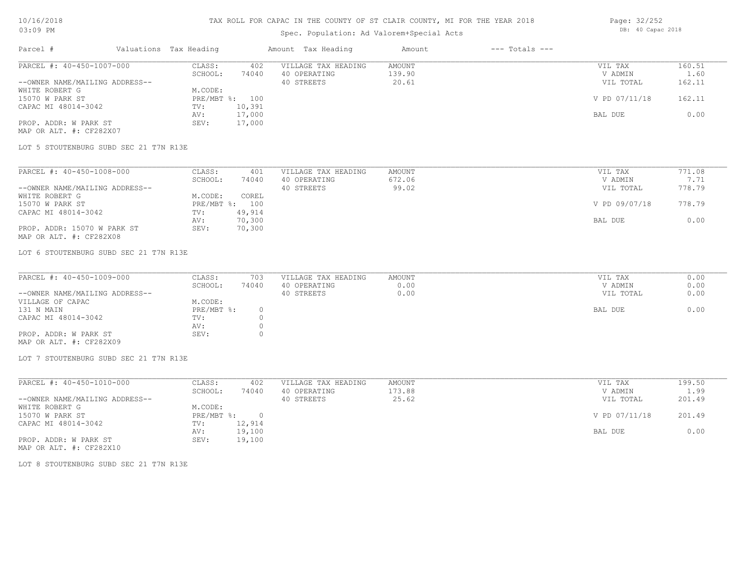# Spec. Population: Ad Valorem+Special Acts

| Page: 32/252 |                   |  |
|--------------|-------------------|--|
|              | DB: 40 Capac 2018 |  |

| Parcel #                       | Valuations Tax Heading |        | Amount Tax Heading  | Amount | $---$ Totals $---$ |               |        |
|--------------------------------|------------------------|--------|---------------------|--------|--------------------|---------------|--------|
| PARCEL #: 40-450-1007-000      | CLASS:                 | 402    | VILLAGE TAX HEADING | AMOUNT |                    | VIL TAX       | 160.51 |
|                                | SCHOOL:                | 74040  | 40 OPERATING        | 139.90 |                    | V ADMIN       | 1.60   |
| --OWNER NAME/MAILING ADDRESS-- |                        |        | 40 STREETS          | 20.61  |                    | VIL TOTAL     | 162.11 |
| WHITE ROBERT G                 | M.CODE:                |        |                     |        |                    |               |        |
| 15070 W PARK ST                | PRE/MBT %: 100         |        |                     |        |                    | V PD 07/11/18 | 162.11 |
| CAPAC MI 48014-3042            | TV:                    | 10,391 |                     |        |                    |               |        |
|                                | AV:                    | 17,000 |                     |        |                    | BAL DUE       | 0.00   |
| PROP. ADDR: W PARK ST          | SEV:                   | 17,000 |                     |        |                    |               |        |
| MAP OR ALT. #: CF282X07        |                        |        |                     |        |                    |               |        |

LOT 5 STOUTENBURG SUBD SEC 21 T7N R13E

| PARCEL #: 40-450-1008-000      | CLASS:  | 401            | VILLAGE TAX HEADING | AMOUNT | VIL TAX       | 771.08 |
|--------------------------------|---------|----------------|---------------------|--------|---------------|--------|
|                                | SCHOOL: | 74040          | 40 OPERATING        | 672.06 | V ADMIN       | 7.71   |
| --OWNER NAME/MAILING ADDRESS-- |         |                | 40 STREETS          | 99.02  | VIL TOTAL     | 778.79 |
| WHITE ROBERT G                 | M.CODE: | COREL          |                     |        |               |        |
| 15070 W PARK ST                |         | PRE/MBT %: 100 |                     |        | V PD 09/07/18 | 778.79 |
| CAPAC MI 48014-3042            | TV:     | 49,914         |                     |        |               |        |
|                                | AV:     | 70,300         |                     |        | BAL DUE       | 0.00   |
| PROP. ADDR: 15070 W PARK ST    | SEV:    | 70,300         |                     |        |               |        |
| MAP OR ALT. #: CF282X08        |         |                |                     |        |               |        |

LOT 6 STOUTENBURG SUBD SEC 21 T7N R13E

| PARCEL #: 40-450-1009-000      | CLASS:     | 703   | VILLAGE TAX HEADING | AMOUNT | VIL TAX   | 0.00 |
|--------------------------------|------------|-------|---------------------|--------|-----------|------|
|                                | SCHOOL:    | 74040 | 40 OPERATING        | 0.00   | V ADMIN   | 0.00 |
| --OWNER NAME/MAILING ADDRESS-- |            |       | 40 STREETS          | 0.00   | VIL TOTAL | 0.00 |
| VILLAGE OF CAPAC               | M.CODE:    |       |                     |        |           |      |
| 131 N MAIN                     | PRE/MBT %: |       |                     |        | BAL DUE   | 0.00 |
| CAPAC MI 48014-3042            | TV:        |       |                     |        |           |      |
|                                | AV:        |       |                     |        |           |      |
| PROP. ADDR: W PARK ST          | SEV:       |       |                     |        |           |      |
| MAP OR ALT. #: CF282X09        |            |       |                     |        |           |      |

LOT 7 STOUTENBURG SUBD SEC 21 T7N R13E

| PARCEL #: 40-450-1010-000      | CLASS:     | 402    | VILLAGE TAX HEADING | AMOUNT | VIL TAX       | 199.50 |
|--------------------------------|------------|--------|---------------------|--------|---------------|--------|
|                                | SCHOOL:    | 74040  | 40 OPERATING        | 173.88 | V ADMIN       | 1.99   |
| --OWNER NAME/MAILING ADDRESS-- |            |        | 40 STREETS          | 25.62  | VIL TOTAL     | 201.49 |
| WHITE ROBERT G                 | M.CODE:    |        |                     |        |               |        |
| 15070 W PARK ST                | PRE/MBT %: | $\cap$ |                     |        | V PD 07/11/18 | 201.49 |
| CAPAC MI 48014-3042            | TV:        | 12,914 |                     |        |               |        |
|                                | AV:        | 19,100 |                     |        | BAL DUE       | 0.00   |
| PROP. ADDR: W PARK ST          | SEV:       | 19,100 |                     |        |               |        |

MAP OR ALT. #: CF282X10

LOT 8 STOUTENBURG SUBD SEC 21 T7N R13E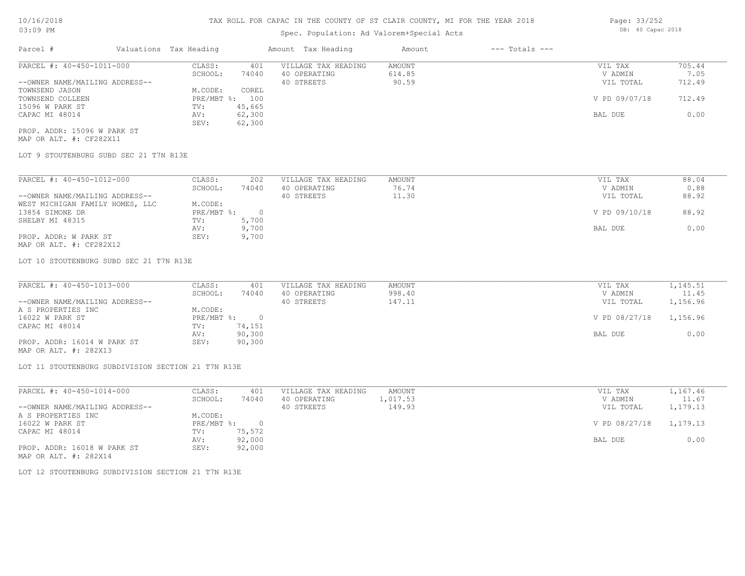# Spec. Population: Ad Valorem+Special Acts

| Parcel #                       | Valuations Tax Heading |        | Amount Tax Heading  | Amount | $---$ Totals $---$ |               |        |
|--------------------------------|------------------------|--------|---------------------|--------|--------------------|---------------|--------|
| PARCEL #: 40-450-1011-000      | CLASS:                 | 401    | VILLAGE TAX HEADING | AMOUNT |                    | VIL TAX       | 705.44 |
|                                | SCHOOL:                | 74040  | 40 OPERATING        | 614.85 |                    | V ADMIN       | 7.05   |
| --OWNER NAME/MAILING ADDRESS-- |                        |        | 40 STREETS          | 90.59  |                    | VIL TOTAL     | 712.49 |
| TOWNSEND JASON                 | M.CODE:                | COREL  |                     |        |                    |               |        |
| TOWNSEND COLLEEN               | $PRE/MBT$ %:           | 100    |                     |        |                    | V PD 09/07/18 | 712.49 |
| 15096 W PARK ST                | TV:                    | 45,665 |                     |        |                    |               |        |
| CAPAC MI 48014                 | AV:                    | 62,300 |                     |        |                    | BAL DUE       | 0.00   |
|                                | SEV:                   | 62,300 |                     |        |                    |               |        |
| PROP. ADDR: 15096 W PARK ST    |                        |        |                     |        |                    |               |        |

MAP OR ALT. #: CF282X11

LOT 9 STOUTENBURG SUBD SEC 21 T7N R13E

| PARCEL #: 40-450-1012-000       | CLASS:     | 202   | VILLAGE TAX HEADING | AMOUNT | VIL TAX       | 88.04 |
|---------------------------------|------------|-------|---------------------|--------|---------------|-------|
|                                 | SCHOOL:    | 74040 | 40 OPERATING        | 76.74  | V ADMIN       | 0.88  |
| --OWNER NAME/MAILING ADDRESS--  |            |       | 40 STREETS          | 11.30  | VIL TOTAL     | 88.92 |
| WEST MICHIGAN FAMILY HOMES, LLC | M.CODE:    |       |                     |        |               |       |
| 13854 SIMONE DR                 | PRE/MBT %: |       |                     |        | V PD 09/10/18 | 88.92 |
| SHELBY MI 48315                 | TV:        | 5,700 |                     |        |               |       |
|                                 | AV:        | 9,700 |                     |        | BAL DUE       | 0.00  |
| PROP. ADDR: W PARK ST           | SEV:       | 9,700 |                     |        |               |       |

MAP OR ALT. #: CF282X12

LOT 10 STOUTENBURG SUBD SEC 21 T7N R13E

| PARCEL #: 40-450-1013-000      | CLASS:     | 401    | VILLAGE TAX HEADING | AMOUNT | VIL TAX       | 1,145.51 |
|--------------------------------|------------|--------|---------------------|--------|---------------|----------|
|                                | SCHOOL:    | 74040  | 40 OPERATING        | 998.40 | V ADMIN       | 11.45    |
| --OWNER NAME/MAILING ADDRESS-- |            |        | 40 STREETS          | 147.11 | VIL TOTAL     | 1,156.96 |
| A S PROPERTIES INC             | M.CODE:    |        |                     |        |               |          |
| 16022 W PARK ST                | PRE/MBT %: |        |                     |        | V PD 08/27/18 | 1,156.96 |
| CAPAC MI 48014                 | TV:        | 74,151 |                     |        |               |          |
|                                | AV:        | 90,300 |                     |        | BAL DUE       | 0.00     |
| PROP. ADDR: 16014 W PARK ST    | SEV:       | 90,300 |                     |        |               |          |
|                                |            |        |                     |        |               |          |

MAP OR ALT. #: 282X13

LOT 11 STOUTENBURG SUBDIVISION SECTION 21 T7N R13E

| PARCEL #: 40-450-1014-000      | CLASS:       | 401    | VILLAGE TAX HEADING | AMOUNT   | VIL TAX       | 1,167.46 |
|--------------------------------|--------------|--------|---------------------|----------|---------------|----------|
|                                | SCHOOL:      | 74040  | 40 OPERATING        | 1,017.53 | V ADMIN       | 11.67    |
| --OWNER NAME/MAILING ADDRESS-- |              |        | 40 STREETS          | 149.93   | VIL TOTAL     | 1,179.13 |
| A S PROPERTIES INC             | M.CODE:      |        |                     |          |               |          |
| 16022 W PARK ST                | $PRE/MBT$ %: |        |                     |          | V PD 08/27/18 | 1,179.13 |
| CAPAC MI 48014                 | TV:          | 75,572 |                     |          |               |          |
|                                | AV:          | 92,000 |                     |          | BAL DUE       | 0.00     |
| PROP. ADDR: 16018 W PARK ST    | SEV:         | 92,000 |                     |          |               |          |
| MAP OR ALT. #: 282X14          |              |        |                     |          |               |          |

LOT 12 STOUTENBURG SUBDIVISION SECTION 21 T7N R13E

Page: 33/252 DB: 40 Capac 2018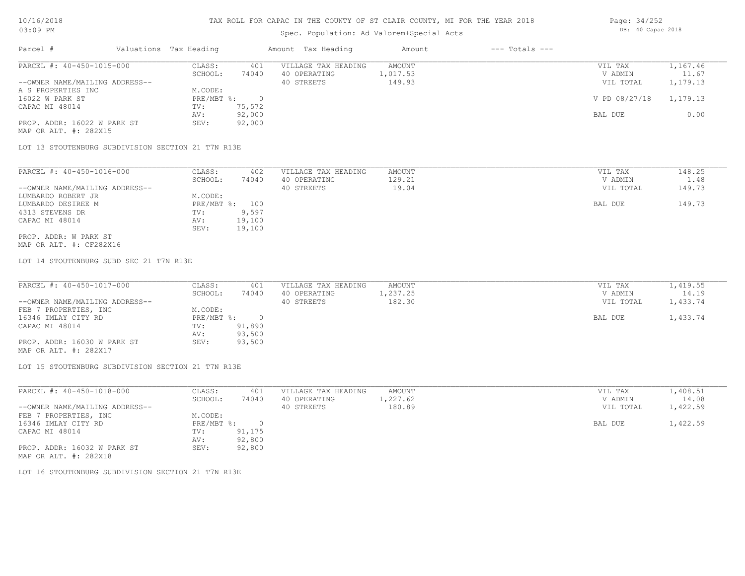# Spec. Population: Ad Valorem+Special Acts

| spec. Population: Ad valorem special Acts |  |                        |        |                     |          |                    |               |          |  |  |  |
|-------------------------------------------|--|------------------------|--------|---------------------|----------|--------------------|---------------|----------|--|--|--|
| Parcel #                                  |  | Valuations Tax Heading |        | Amount Tax Heading  | Amount   | $---$ Totals $---$ |               |          |  |  |  |
| PARCEL #: 40-450-1015-000                 |  | CLASS:                 | 401    | VILLAGE TAX HEADING | AMOUNT   |                    | VIL TAX       | 1,167.46 |  |  |  |
|                                           |  | SCHOOL:                | 74040  | 40 OPERATING        | 1,017.53 |                    | V ADMIN       | 11.67    |  |  |  |
| --OWNER NAME/MAILING ADDRESS--            |  |                        |        | 40 STREETS          | 149.93   |                    | VIL TOTAL     | 1,179.13 |  |  |  |
| A S PROPERTIES INC                        |  | M.CODE:                |        |                     |          |                    |               |          |  |  |  |
| 16022 W PARK ST                           |  | $PRE/MBT$ %:           |        |                     |          |                    | V PD 08/27/18 | 1,179.13 |  |  |  |
| CAPAC MI 48014                            |  | TV:                    | 75,572 |                     |          |                    |               |          |  |  |  |
|                                           |  | AV:                    | 92,000 |                     |          |                    | BAL DUE       | 0.00     |  |  |  |

MAP OR ALT. #: 282X15 PROP. ADDR: 16022 W PARK ST SEV: 92,000

LOT 13 STOUTENBURG SUBDIVISION SECTION 21 T7N R13E

| PARCEL #: 40-450-1016-000      | CLASS:     | 402    | VILLAGE TAX HEADING | AMOUNT | VIL TAX   | 148.25 |
|--------------------------------|------------|--------|---------------------|--------|-----------|--------|
|                                | SCHOOL:    | 74040  | 40 OPERATING        | 129.21 | V ADMIN   | 1.48   |
| --OWNER NAME/MAILING ADDRESS-- |            |        | 40 STREETS          | 19.04  | VIL TOTAL | 149.73 |
| LUMBARDO ROBERT JR             | M.CODE:    |        |                     |        |           |        |
| LUMBARDO DESIREE M             | PRE/MBT %: | 100    |                     |        | BAL DUE   | 149.73 |
| 4313 STEVENS DR                | TV:        | 9,597  |                     |        |           |        |
| CAPAC MI 48014                 | AV:        | 19,100 |                     |        |           |        |
|                                | SEV:       | 19,100 |                     |        |           |        |
| PROP. ADDR: W PARK ST          |            |        |                     |        |           |        |

AV: 92,000 BAL DUE 0.00

MAP OR ALT. #: CF282X16

LOT 14 STOUTENBURG SUBD SEC 21 T7N R13E

| PARCEL #: 40-450-1017-000      | CLASS:     | 401    | VILLAGE TAX HEADING | AMOUNT   | VIL TAX   | 1,419.55 |
|--------------------------------|------------|--------|---------------------|----------|-----------|----------|
|                                | SCHOOL:    | 74040  | 40 OPERATING        | 1,237.25 | V ADMIN   | 14.19    |
| --OWNER NAME/MAILING ADDRESS-- |            |        | 40 STREETS          | 182.30   | VIL TOTAL | 1,433.74 |
| FEB 7 PROPERTIES, INC          | M.CODE:    |        |                     |          |           |          |
| 16346 IMLAY CITY RD            | PRE/MBT %: |        |                     |          | BAL DUE   | 1,433.74 |
| CAPAC MI 48014                 | TV:        | 91,890 |                     |          |           |          |
|                                | AV:        | 93,500 |                     |          |           |          |
| PROP. ADDR: 16030 W PARK ST    | SEV:       | 93,500 |                     |          |           |          |
| MAP OR ALT. #: 282X17          |            |        |                     |          |           |          |

LOT 15 STOUTENBURG SUBDIVISION SECTION 21 T7N R13E

| PARCEL #: 40-450-1018-000      | CLASS:     | 401    | VILLAGE TAX HEADING | AMOUNT   | VIL TAX   | 1,408.51 |
|--------------------------------|------------|--------|---------------------|----------|-----------|----------|
|                                | SCHOOL:    | 74040  | 40 OPERATING        | 1,227.62 | V ADMIN   | 14.08    |
| --OWNER NAME/MAILING ADDRESS-- |            |        | 40 STREETS          | 180.89   | VIL TOTAL | 1,422.59 |
| FEB 7 PROPERTIES, INC          | M.CODE:    |        |                     |          |           |          |
| 16346 IMLAY CITY RD            | PRE/MBT %: |        |                     |          | BAL DUE   | 1,422.59 |
| CAPAC MI 48014                 | TV:        | 91,175 |                     |          |           |          |
|                                | AV:        | 92,800 |                     |          |           |          |
| PROP. ADDR: 16032 W PARK ST    | SEV:       | 92,800 |                     |          |           |          |
| MAP OR ALT. #: 282X18          |            |        |                     |          |           |          |

LOT 16 STOUTENBURG SUBDIVISION SECTION 21 T7N R13E

Page: 34/252 DB: 40 Capac 2018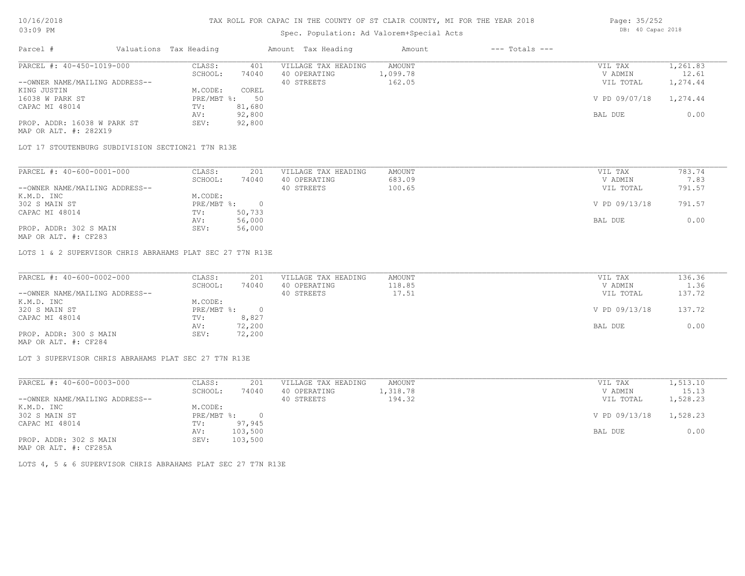# Spec. Population: Ad Valorem+Special Acts

| Page: 35/252 |                   |  |
|--------------|-------------------|--|
|              | DB: 40 Capac 2018 |  |

| Parcel #                       | Valuations Tax Heading |        | Amount Tax Heading  | Amount   | $---$ Totals $---$ |               |          |
|--------------------------------|------------------------|--------|---------------------|----------|--------------------|---------------|----------|
| PARCEL #: 40-450-1019-000      | CLASS:                 | 401    | VILLAGE TAX HEADING | AMOUNT   |                    | VIL TAX       | 1,261.83 |
|                                | SCHOOL:                | 74040  | 40 OPERATING        | 1,099.78 |                    | V ADMIN       | 12.61    |
| --OWNER NAME/MAILING ADDRESS-- |                        |        | 40 STREETS          | 162.05   |                    | VIL TOTAL     | 1,274.44 |
| KING JUSTIN                    | M.CODE:                | COREL  |                     |          |                    |               |          |
| 16038 W PARK ST                | $PRE/MBT$ %:           | 50     |                     |          |                    | V PD 09/07/18 | 1,274.44 |
| CAPAC MI 48014                 | TV:                    | 81,680 |                     |          |                    |               |          |
|                                | AV:                    | 92,800 |                     |          |                    | BAL DUE       | 0.00     |
| PROP. ADDR: 16038 W PARK ST    | SEV:                   | 92,800 |                     |          |                    |               |          |
| MAP OR ALT. #: 282X19          |                        |        |                     |          |                    |               |          |

LOT 17 STOUTENBURG SUBDIVISION SECTION21 T7N R13E

| PARCEL #: 40-600-0001-000      | CLASS:     | 201    | VILLAGE TAX HEADING | AMOUNT | VIL TAX       | 783.74 |
|--------------------------------|------------|--------|---------------------|--------|---------------|--------|
|                                | SCHOOL:    | 74040  | 40 OPERATING        | 683.09 | V ADMIN       | 7.83   |
| --OWNER NAME/MAILING ADDRESS-- |            |        | 40 STREETS          | 100.65 | VIL TOTAL     | 791.57 |
| K.M.D. INC                     | M.CODE:    |        |                     |        |               |        |
| 302 S MAIN ST                  | PRE/MBT %: |        |                     |        | V PD 09/13/18 | 791.57 |
| CAPAC MI 48014                 | TV:        | 50,733 |                     |        |               |        |
|                                | AV:        | 56,000 |                     |        | BAL DUE       | 0.00   |
| PROP. ADDR: 302 S MAIN         | SEV:       | 56,000 |                     |        |               |        |

MAP OR ALT. #: CF283

LOTS 1 & 2 SUPERVISOR CHRIS ABRAHAMS PLAT SEC 27 T7N R13E

| PARCEL #: 40-600-0002-000      | CLASS:     | 201    | VILLAGE TAX HEADING | AMOUNT | VIL TAX       | 136.36 |
|--------------------------------|------------|--------|---------------------|--------|---------------|--------|
|                                | SCHOOL:    | 74040  | 40 OPERATING        | 118.85 | V ADMIN       | 1.36   |
| --OWNER NAME/MAILING ADDRESS-- |            |        | 40 STREETS          | 17.51  | VIL TOTAL     | 137.72 |
| K.M.D. INC                     | M.CODE:    |        |                     |        |               |        |
| 320 S MAIN ST                  | PRE/MBT %: | $\Box$ |                     |        | V PD 09/13/18 | 137.72 |
| CAPAC MI 48014                 | TV:        | 8,827  |                     |        |               |        |
|                                | AV:        | 72,200 |                     |        | BAL DUE       | 0.00   |
| PROP. ADDR: 300 S MAIN         | SEV:       | 72,200 |                     |        |               |        |
| MAP OR ALT. #: CF284           |            |        |                     |        |               |        |

 $\mathcal{L}_\mathcal{L} = \mathcal{L}_\mathcal{L} = \mathcal{L}_\mathcal{L} = \mathcal{L}_\mathcal{L} = \mathcal{L}_\mathcal{L} = \mathcal{L}_\mathcal{L} = \mathcal{L}_\mathcal{L} = \mathcal{L}_\mathcal{L} = \mathcal{L}_\mathcal{L} = \mathcal{L}_\mathcal{L} = \mathcal{L}_\mathcal{L} = \mathcal{L}_\mathcal{L} = \mathcal{L}_\mathcal{L} = \mathcal{L}_\mathcal{L} = \mathcal{L}_\mathcal{L} = \mathcal{L}_\mathcal{L} = \mathcal{L}_\mathcal{L}$ 

LOT 3 SUPERVISOR CHRIS ABRAHAMS PLAT SEC 27 T7N R13E

| PARCEL #: 40-600-0003-000                                                       | CLASS:     | 201      | VILLAGE TAX HEADING | AMOUNT   | VIL TAX       | 1,513.10 |
|---------------------------------------------------------------------------------|------------|----------|---------------------|----------|---------------|----------|
|                                                                                 | SCHOOL:    | 74040    | 40 OPERATING        | 1,318.78 | V ADMIN       | 15.13    |
| --OWNER NAME/MAILING ADDRESS--                                                  |            |          | 40 STREETS          | 194.32   | VIL TOTAL     | 1,528.23 |
| K.M.D. INC                                                                      | M.CODE:    |          |                     |          |               |          |
| 302 S MAIN ST                                                                   | PRE/MBT %: | $\Omega$ |                     |          | V PD 09/13/18 | 1,528.23 |
| CAPAC MI 48014                                                                  | TV:        | 97,945   |                     |          |               |          |
|                                                                                 | AV:        | 103,500  |                     |          | BAL DUE       | 0.00     |
| PROP. ADDR: 302 S MAIN<br>$\cdots$ $\cdots$ $\cdots$ $\cdots$ $\cdots$ $\cdots$ | SEV:       | 103,500  |                     |          |               |          |

MAP OR ALT. #: CF285A

LOTS 4, 5 & 6 SUPERVISOR CHRIS ABRAHAMS PLAT SEC 27 T7N R13E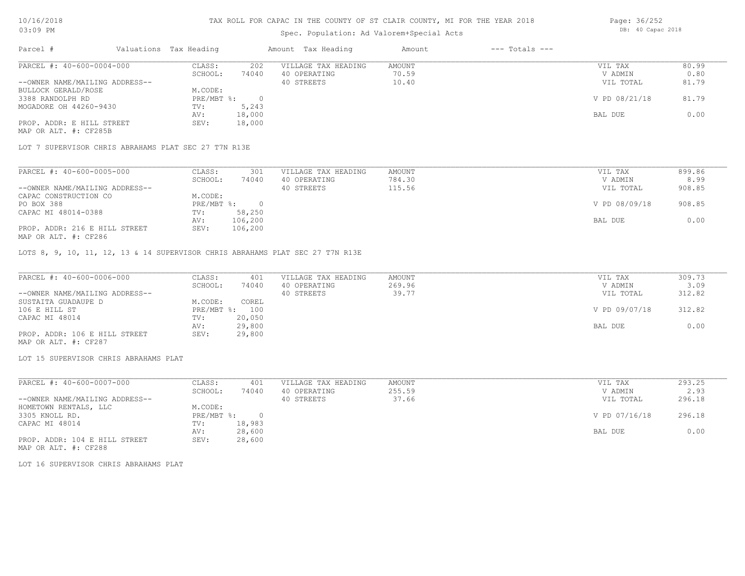# Spec. Population: Ad Valorem+Special Acts

| Parcel #                       | Valuations Tax Heading |        | Amount Tax Heading  | Amount | $---$ Totals $---$ |               |       |
|--------------------------------|------------------------|--------|---------------------|--------|--------------------|---------------|-------|
| PARCEL #: 40-600-0004-000      | CLASS:                 | 202    | VILLAGE TAX HEADING | AMOUNT |                    | VIL TAX       | 80.99 |
|                                | SCHOOL:                | 74040  | 40 OPERATING        | 70.59  |                    | V ADMIN       | 0.80  |
| --OWNER NAME/MAILING ADDRESS-- |                        |        | 40 STREETS          | 10.40  |                    | VIL TOTAL     | 81.79 |
| BULLOCK GERALD/ROSE            | M.CODE:                |        |                     |        |                    |               |       |
| 3388 RANDOLPH RD               | PRE/MBT %:             |        |                     |        |                    | V PD 08/21/18 | 81.79 |
| MOGADORE OH 44260-9430         | TV:                    | 5,243  |                     |        |                    |               |       |
|                                | AV:                    | 18,000 |                     |        |                    | BAL DUE       | 0.00  |
| PROP. ADDR: E HILL STREET      | SEV:                   | 18,000 |                     |        |                    |               |       |

MAP OR ALT. #: CF285B

LOT 7 SUPERVISOR CHRIS ABRAHAMS PLAT SEC 27 T7N R13E

| PARCEL #: 40-600-0005-000      | CLASS:     | 301     | VILLAGE TAX HEADING | AMOUNT | VIL TAX       | 899.86 |
|--------------------------------|------------|---------|---------------------|--------|---------------|--------|
|                                | SCHOOL:    | 74040   | 40 OPERATING        | 784.30 | V ADMIN       | 8.99   |
| --OWNER NAME/MAILING ADDRESS-- |            |         | 40 STREETS          | 115.56 | VIL TOTAL     | 908.85 |
| CAPAC CONSTRUCTION CO          | M.CODE:    |         |                     |        |               |        |
| PO BOX 388                     | PRE/MBT %: |         |                     |        | V PD 08/09/18 | 908.85 |
| CAPAC MI 48014-0388            | TV:        | 58,250  |                     |        |               |        |
|                                | AV:        | 106,200 |                     |        | BAL DUE       | 0.00   |
| PROP. ADDR: 216 E HILL STREET  | SEV:       | 106,200 |                     |        |               |        |
| MAP OR ALT. #: CF286           |            |         |                     |        |               |        |

LOTS 8, 9, 10, 11, 12, 13 & 14 SUPERVISOR CHRIS ABRAHAMS PLAT SEC 27 T7N R13E

| PARCEL #: 40-600-0006-000      | CLASS:  | 401            | VILLAGE TAX HEADING | AMOUNT | VIL TAX       | 309.73 |
|--------------------------------|---------|----------------|---------------------|--------|---------------|--------|
|                                | SCHOOL: | 74040          | 40 OPERATING        | 269.96 | V ADMIN       | 3.09   |
| --OWNER NAME/MAILING ADDRESS-- |         |                | 40 STREETS          | 39.77  | VIL TOTAL     | 312.82 |
| SUSTAITA GUADAUPE D            | M.CODE: | COREL          |                     |        |               |        |
| 106 E HILL ST                  |         | PRE/MBT %: 100 |                     |        | V PD 09/07/18 | 312.82 |
| CAPAC MI 48014                 | TV:     | 20,050         |                     |        |               |        |
|                                | AV:     | 29,800         |                     |        | BAL DUE       | 0.00   |
| PROP. ADDR: 106 E HILL STREET  | SEV:    | 29,800         |                     |        |               |        |
| MAP OR ALT. #: CF287           |         |                |                     |        |               |        |

LOT 15 SUPERVISOR CHRIS ABRAHAMS PLAT

| PARCEL #: 40-600-0007-000      | CLASS:     | 401    | VILLAGE TAX HEADING | AMOUNT | VIL TAX       | 293.25 |
|--------------------------------|------------|--------|---------------------|--------|---------------|--------|
|                                | SCHOOL:    | 74040  | 40 OPERATING        | 255.59 | V ADMIN       | 2.93   |
| --OWNER NAME/MAILING ADDRESS-- |            |        | 40 STREETS          | 37.66  | VIL TOTAL     | 296.18 |
| HOMETOWN RENTALS, LLC          | M.CODE:    |        |                     |        |               |        |
| 3305 KNOLL RD.                 | PRE/MBT %: | $\cap$ |                     |        | V PD 07/16/18 | 296.18 |
| CAPAC MI 48014                 | TV:        | 18,983 |                     |        |               |        |
|                                | AV:        | 28,600 |                     |        | BAL DUE       | 0.00   |
| PROP. ADDR: 104 E HILL STREET  | SEV:       | 28,600 |                     |        |               |        |

MAP OR ALT. #: CF288

LOT 16 SUPERVISOR CHRIS ABRAHAMS PLAT

Page: 36/252 DB: 40 Capac 2018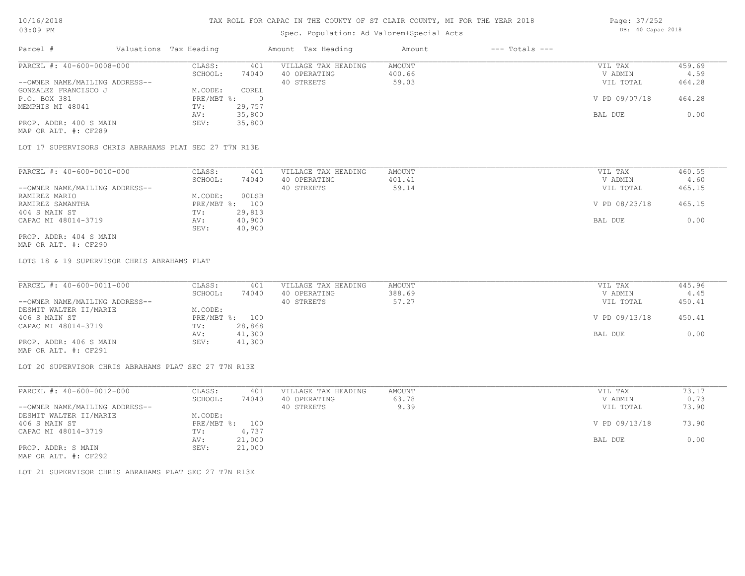#### TAX ROLL FOR CAPAC IN THE COUNTY OF ST CLAIR COUNTY, MI FOR THE YEAR 2018

| UJIUY FIYI                |                        |       | DD. TV Capac LUIU   |        |                    |         |        |
|---------------------------|------------------------|-------|---------------------|--------|--------------------|---------|--------|
| Parcel #                  | Valuations Tax Heading |       | Amount Tax Heading  | Amount | $---$ Totals $---$ |         |        |
| PARCEL #: 40-600-0008-000 | CLASS:                 | 401   | VILLAGE TAX HEADING | AMOUNT |                    | VIL TAX | 459.69 |
|                           | SCHOOL:                | 74040 | 40 OPERATING        | 400.66 |                    | V ADMIN | 4.59   |

|                                | SUNUUI.      | 74040  | 40 UFLKAIING | 400.00 | ALMIN         | 4.JJ   |
|--------------------------------|--------------|--------|--------------|--------|---------------|--------|
| --OWNER NAME/MAILING ADDRESS-- |              |        | 40 STREETS   | 59.03  | VIL TOTAL     | 464.28 |
| GONZALEZ FRANCISCO J           | M.CODE:      | COREL  |              |        |               |        |
| P.O. BOX 381                   | $PRE/MBT$ %: |        |              |        | V PD 09/07/18 | 464.28 |
| MEMPHIS MI 48041               | TV:          | 29,757 |              |        |               |        |
|                                | AV:          | 35,800 |              |        | BAL DUE       | 0.00   |
| PROP. ADDR: 400 S MAIN         | SEV:         | 35,800 |              |        |               |        |
| MAP OR ALT. #: CF289           |              |        |              |        |               |        |

LOT 17 SUPERVISORS CHRIS ABRAHAMS PLAT SEC 27 T7N R13E

| PARCEL #: 40-600-0010-000      | CLASS:  | 401            | VILLAGE TAX HEADING | AMOUNT | VIL TAX       | 460.55 |
|--------------------------------|---------|----------------|---------------------|--------|---------------|--------|
|                                | SCHOOL: | 74040          | 40 OPERATING        | 401.41 | V ADMIN       | 4.60   |
| --OWNER NAME/MAILING ADDRESS-- |         |                | 40 STREETS          | 59.14  | VIL TOTAL     | 465.15 |
| RAMIREZ MARIO                  | M.CODE: | 00LSB          |                     |        |               |        |
| RAMIREZ SAMANTHA               |         | PRE/MBT %: 100 |                     |        | V PD 08/23/18 | 465.15 |
| 404 S MAIN ST                  | TV:     | 29,813         |                     |        |               |        |
| CAPAC MI 48014-3719            | AV:     | 40,900         |                     |        | BAL DUE       | 0.00   |
|                                | SEV:    | 40,900         |                     |        |               |        |
| PROP. ADDR: 404 S MAIN         |         |                |                     |        |               |        |

MAP OR ALT. #: CF290

LOTS 18 & 19 SUPERVISOR CHRIS ABRAHAMS PLAT

| PARCEL #: 40-600-0011-000      | CLASS:  | 401            | VILLAGE TAX HEADING | AMOUNT | VIL TAX       | 445.96 |
|--------------------------------|---------|----------------|---------------------|--------|---------------|--------|
|                                | SCHOOL: | 74040          | 40 OPERATING        | 388.69 | V ADMIN       | 4.45   |
| --OWNER NAME/MAILING ADDRESS-- |         |                | 40 STREETS          | 57.27  | VIL TOTAL     | 450.41 |
| DESMIT WALTER II/MARIE         | M.CODE: |                |                     |        |               |        |
| 406 S MAIN ST                  |         | PRE/MBT %: 100 |                     |        | V PD 09/13/18 | 450.41 |
| CAPAC MI 48014-3719            | TV:     | 28,868         |                     |        |               |        |
|                                | AV:     | 41,300         |                     |        | BAL DUE       | 0.00   |
| PROP. ADDR: 406 S MAIN         | SEV:    | 41,300         |                     |        |               |        |
| MAP OR ALT. #: CF291           |         |                |                     |        |               |        |

LOT 20 SUPERVISOR CHRIS ABRAHAMS PLAT SEC 27 T7N R13E

| PARCEL #: 40-600-0012-000      | CLASS:       | 401    | VILLAGE TAX HEADING | AMOUNT | VIL TAX       | 73.17 |
|--------------------------------|--------------|--------|---------------------|--------|---------------|-------|
|                                | SCHOOL:      | 74040  | 40 OPERATING        | 63.78  | V ADMIN       | 0.73  |
| --OWNER NAME/MAILING ADDRESS-- |              |        | 40 STREETS          | 9.39   | VIL TOTAL     | 73.90 |
| DESMIT WALTER II/MARIE         | M.CODE:      |        |                     |        |               |       |
| 406 S MAIN ST                  | $PRE/MBT$ %: | 100    |                     |        | V PD 09/13/18 | 73.90 |
| CAPAC MI 48014-3719            | TV:          | 4,737  |                     |        |               |       |
|                                | AV:          | 21,000 |                     |        | BAL DUE       | 0.00  |
| PROP. ADDR: S MAIN             | SEV:         | 21,000 |                     |        |               |       |
| MAP OR ALT. #: CF292           |              |        |                     |        |               |       |

LOT 21 SUPERVISOR CHRIS ABRAHAMS PLAT SEC 27 T7N R13E

Page: 37/252 DB: 40 Capac 2018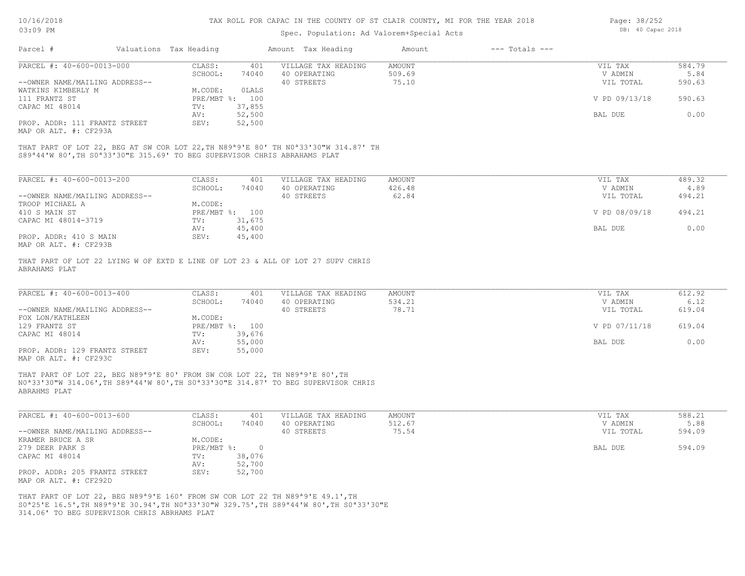Page: 38/252

| 03:09 PM                                                                                                                                                                                                            |                        | Spec. Population: Ad Valorem+Special Acts | DB: 40 Capac 2018 |                    |               |        |
|---------------------------------------------------------------------------------------------------------------------------------------------------------------------------------------------------------------------|------------------------|-------------------------------------------|-------------------|--------------------|---------------|--------|
| Parcel #                                                                                                                                                                                                            | Valuations Tax Heading | Amount Tax Heading                        | Amount            | $---$ Totals $---$ |               |        |
| PARCEL #: 40-600-0013-000                                                                                                                                                                                           | CLASS:                 | VILLAGE TAX HEADING<br>401                | <b>AMOUNT</b>     |                    | VIL TAX       | 584.79 |
|                                                                                                                                                                                                                     | SCHOOL:<br>74040       | 40 OPERATING                              | 509.69            |                    | V ADMIN       | 5.84   |
| --OWNER NAME/MAILING ADDRESS--                                                                                                                                                                                      |                        | 40 STREETS                                | 75.10             |                    | VIL TOTAL     | 590.63 |
| WATKINS KIMBERLY M                                                                                                                                                                                                  | M.CODE:<br>OLALS       |                                           |                   |                    |               |        |
| 111 FRANTZ ST                                                                                                                                                                                                       | PRE/MBT %: 100         |                                           |                   |                    | V PD 09/13/18 | 590.63 |
| CAPAC MI 48014                                                                                                                                                                                                      | 37,855<br>TV:          |                                           |                   |                    |               |        |
|                                                                                                                                                                                                                     | 52,500<br>AV:          |                                           |                   |                    | BAL DUE       | 0.00   |
| PROP. ADDR: 111 FRANTZ STREET<br>MAP OR ALT. #: CF293A                                                                                                                                                              | 52,500<br>SEV:         |                                           |                   |                    |               |        |
| THAT PART OF LOT 22, BEG AT SW COR LOT 22, TH N89 <sup>a</sup> 9'E 80' TH N0 <sup>a</sup> 33'30"W 314.87' TH<br>S89 <sup>ª</sup> 44'W 80', TH S0 <sup>ª</sup> 33'30"E 315.69' TO BEG SUPERVISOR CHRIS ABRAHAMS PLAT |                        |                                           |                   |                    |               |        |
| PARCEL #: 40-600-0013-200                                                                                                                                                                                           | CLASS:                 | VILLAGE TAX HEADING<br>401                | <b>AMOUNT</b>     |                    | VIL TAX       | 489.32 |
|                                                                                                                                                                                                                     | SCHOOL:<br>74040       | 40 OPERATING                              | 426.48            |                    | V ADMIN       | 4.89   |
| --OWNER NAME/MAILING ADDRESS--                                                                                                                                                                                      |                        | 40 STREETS                                | 62.84             |                    | VIL TOTAL     | 494.21 |
| TROOP MICHAEL A                                                                                                                                                                                                     | M.CODE:                |                                           |                   |                    |               |        |
| 410 S MAIN ST                                                                                                                                                                                                       | PRE/MBT %: 100         |                                           |                   |                    | V PD 08/09/18 | 494.21 |
| CAPAC MI 48014-3719                                                                                                                                                                                                 | 31,675<br>TV:          |                                           |                   |                    |               |        |
|                                                                                                                                                                                                                     | 45,400<br>AV:          |                                           |                   |                    | BAL DUE       | 0.00   |
| PROP. ADDR: 410 S MAIN<br>MAP OR ALT. #: CF293B                                                                                                                                                                     | 45,400<br>SEV:         |                                           |                   |                    |               |        |
| THAT PART OF LOT 22 LYING W OF EXTD E LINE OF LOT 23 & ALL OF LOT 27 SUPV CHRIS<br>ABRAHAMS PLAT                                                                                                                    |                        |                                           |                   |                    |               |        |
| PARCEL #: 40-600-0013-400                                                                                                                                                                                           | CLASS:                 | VILLAGE TAX HEADING<br>401                | AMOUNT            |                    | VIL TAX       | 612.92 |
|                                                                                                                                                                                                                     | SCHOOL:<br>74040       | 40 OPERATING                              | 534.21            |                    | V ADMIN       | 6.12   |
| --OWNER NAME/MAILING ADDRESS--                                                                                                                                                                                      |                        | 40 STREETS                                | 78.71             |                    | VIL TOTAL     | 619.04 |
| FOX LON/KATHLEEN                                                                                                                                                                                                    | M.CODE:                |                                           |                   |                    |               |        |
| 129 FRANTZ ST                                                                                                                                                                                                       | PRE/MBT %: 100         |                                           |                   |                    | V PD 07/11/18 | 619.04 |
| CAPAC MI 48014                                                                                                                                                                                                      | 39,676<br>TV:          |                                           |                   |                    |               |        |
|                                                                                                                                                                                                                     | 55,000<br>AV:          |                                           |                   |                    | BAL DUE       | 0.00   |
| PROP. ADDR: 129 FRANTZ STREET                                                                                                                                                                                       | 55,000<br>SEV:         |                                           |                   |                    |               |        |

MAP OR ALT. #: CF293C

ABRAHMS PLAT N0ª33'30"W 314.06',TH S89ª44'W 80',TH S0ª33'30"E 314.87' TO BEG SUPERVISOR CHRIS THAT PART OF LOT 22, BEG N89ª9'E 80' FROM SW COR LOT 22, TH N89ª9'E 80',TH

| PARCEL #: 40-600-0013-600      | CLASS:     | 401      | VILLAGE TAX HEADING | AMOUNT | VIL TAX   | 588.21 |
|--------------------------------|------------|----------|---------------------|--------|-----------|--------|
|                                | SCHOOL:    | 74040    | 40 OPERATING        | 512.67 | V ADMIN   | 5.88   |
| --OWNER NAME/MAILING ADDRESS-- |            |          | 40 STREETS          | 75.54  | VIL TOTAL | 594.09 |
| KRAMER BRUCE A SR              | M.CODE:    |          |                     |        |           |        |
| 279 DEER PARK S                | PRE/MBT %: | $\Omega$ |                     |        | BAL DUE   | 594.09 |
| CAPAC MI 48014                 | TV:        | 38,076   |                     |        |           |        |
|                                | AV:        | 52,700   |                     |        |           |        |
| PROP. ADDR: 205 FRANTZ STREET  | SEV:       | 52,700   |                     |        |           |        |
| MAP OR ALT. #: CF292D          |            |          |                     |        |           |        |

\_\_\_\_\_\_\_\_\_\_\_\_\_\_\_\_\_\_\_\_\_\_\_\_\_\_\_\_\_\_\_\_\_\_\_\_\_\_\_\_\_\_\_\_\_\_\_\_\_\_\_\_\_\_\_\_\_\_\_\_\_\_\_\_\_\_\_\_\_\_\_\_\_\_\_\_\_\_\_\_\_\_\_\_\_\_\_\_\_\_\_\_\_\_\_\_\_\_\_\_\_\_\_\_\_\_\_\_\_\_\_\_\_\_\_\_\_\_\_\_\_\_\_\_\_\_\_\_\_\_\_\_\_\_\_\_\_\_\_\_\_\_\_\_\_\_\_\_\_\_\_\_\_\_\_\_\_\_\_\_\_\_\_\_\_\_\_\_\_\_\_\_\_\_\_

314.06' TO BEG SUPERVISOR CHRIS ABRHAMS PLAT S0ª25'E 16.5',TH N89ª9'E 30.94',TH N0ª33'30"W 329.75',TH S89ª44'W 80',TH S0ª33'30"E THAT PART OF LOT 22, BEG N89<sup>ª9'E</sup> 160' FROM SW COR LOT 22 TH N89<sup>ª9'E</sup> 49.1', TH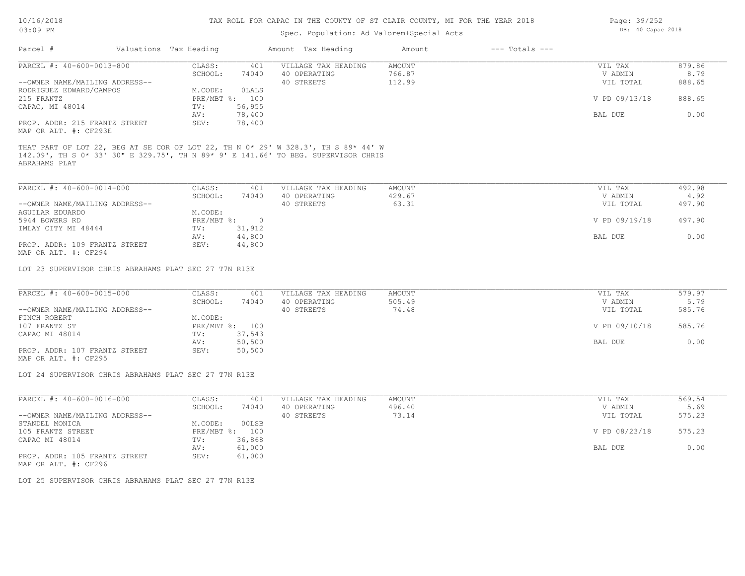### Spec. Population: Ad Valorem+Special Acts

| Parcel #                       |  | Valuations Tax Heading |                | Amount Tax Heading  | Amount | $---$ Totals $---$ |               |        |
|--------------------------------|--|------------------------|----------------|---------------------|--------|--------------------|---------------|--------|
| PARCEL #: 40-600-0013-800      |  | CLASS:                 | 401            | VILLAGE TAX HEADING | AMOUNT |                    | VIL TAX       | 879.86 |
|                                |  | SCHOOL:                | 74040          | 40 OPERATING        | 766.87 |                    | V ADMIN       | 8.79   |
| --OWNER NAME/MAILING ADDRESS-- |  |                        |                | 40 STREETS          | 112.99 |                    | VIL TOTAL     | 888.65 |
| RODRIGUEZ EDWARD/CAMPOS        |  | M.CODE:                | OLALS          |                     |        |                    |               |        |
| 215 FRANTZ                     |  |                        | PRE/MBT %: 100 |                     |        |                    | V PD 09/13/18 | 888.65 |
| CAPAC, MI 48014                |  | TV:                    | 56,955         |                     |        |                    |               |        |
|                                |  | AV:                    | 78,400         |                     |        |                    | BAL DUE       | 0.00   |
| PROP. ADDR: 215 FRANTZ STREET  |  | SEV:                   | 78,400         |                     |        |                    |               |        |
| MAP OR ALT. #: CF293E          |  |                        |                |                     |        |                    |               |        |

ABRAHAMS PLAT 142.09', TH S 0\* 33' 30" E 329.75', TH N 89\* 9' E 141.66' TO BEG. SUPERVISOR CHRIS

MAP OR ALT. #: CF294 PROP. ADDR: 109 FRANTZ STREET SEV: 44,800 AV: 44,800 AV: 44,800 AV: 44,800 AV: 5 AV: 5 AV: 5 AV: 5 AV: 5 AV: 5 AV: 5 AV: 5 AV: 5 AV: 5 AV: 5 AV: 5 AV: 5 AV: 5 AV: 5 AV: 5 AV: 5 AV: 5 AV: 5 AV: 5 AV: 5 AV: 5 AV: 5 AV: 5 AV: 5 AV: 5 AV: 5 AV: 5 AV: 5 AV: 5 AV: 5 AV: IMLAY CITY MI 48444 TV: 31,912<br>AV: 44,800 5944 BOWERS RD PRE/MBT %: 0 V PD 09/19/18 497.90 AGUILAR EDUARDO MONTRE MONTRE MESSAGNERS RD PRE/MBT %: --OWNER NAME/MAILING ADDRESS-- 40 STREETS 63.31 VIL TOTAL 497.90 SCHOOL: 74040 40 OPERATING 429.67 (1999) 429.67 (1999) 4.92 PARCEL #: 40-600-0014-000 CLASS: 401 VILLAGE TAX HEADING AMOUNT VIL TAX 492.98<br>SCHOOL: 74040 40 OPERATING 429.67 VADMIN 4.92  $\mathcal{L}_\mathcal{L} = \mathcal{L}_\mathcal{L} = \mathcal{L}_\mathcal{L} = \mathcal{L}_\mathcal{L} = \mathcal{L}_\mathcal{L} = \mathcal{L}_\mathcal{L} = \mathcal{L}_\mathcal{L} = \mathcal{L}_\mathcal{L} = \mathcal{L}_\mathcal{L} = \mathcal{L}_\mathcal{L} = \mathcal{L}_\mathcal{L} = \mathcal{L}_\mathcal{L} = \mathcal{L}_\mathcal{L} = \mathcal{L}_\mathcal{L} = \mathcal{L}_\mathcal{L} = \mathcal{L}_\mathcal{L} = \mathcal{L}_\mathcal{L}$ 

LOT 23 SUPERVISOR CHRIS ABRAHAMS PLAT SEC 27 T7N R13E

PROP. ADDR: 107 FRANTZ STREET SEV: 50,500 AV: 50,500 BAL DUE 0.00 CAPAC MI 48014 TV: 37,543<br>
AV: 50,500 107 FRANTZ ST PRE/MBT %: 100 V PD 09/10/18 585.76 FINCH ROBERT M.CODE: --OWNER NAME/MAILING ADDRESS-- 40 STREETS 74.48 VIL TOTAL 585.76 SCHOOL: 74040 40 OPERATING 505.49 5.79 5.79 5.79 5.79 PARCEL #: 40-600-0015-000 CLASS: 401 VILLAGE TAX HEADING AMOUNT AMOUNT VIL TAX 579.97<br>SCHOOL: 74040 40 OPERATING 505.49 9 VADMIN 5.79  $\mathcal{L}_\mathcal{L} = \mathcal{L}_\mathcal{L} = \mathcal{L}_\mathcal{L} = \mathcal{L}_\mathcal{L} = \mathcal{L}_\mathcal{L} = \mathcal{L}_\mathcal{L} = \mathcal{L}_\mathcal{L} = \mathcal{L}_\mathcal{L} = \mathcal{L}_\mathcal{L} = \mathcal{L}_\mathcal{L} = \mathcal{L}_\mathcal{L} = \mathcal{L}_\mathcal{L} = \mathcal{L}_\mathcal{L} = \mathcal{L}_\mathcal{L} = \mathcal{L}_\mathcal{L} = \mathcal{L}_\mathcal{L} = \mathcal{L}_\mathcal{L}$ 

MAP OR ALT. #: CF295

LOT 24 SUPERVISOR CHRIS ABRAHAMS PLAT SEC 27 T7N R13E

| PARCEL #: 40-600-0016-000      | CLASS:     | 401    | VILLAGE TAX HEADING | AMOUNT | VIL TAX       | 569.54 |
|--------------------------------|------------|--------|---------------------|--------|---------------|--------|
|                                | SCHOOL:    | 74040  | 40 OPERATING        | 496.40 | V ADMIN       | 5.69   |
| --OWNER NAME/MAILING ADDRESS-- |            |        | 40 STREETS          | 73.14  | VIL TOTAL     | 575.23 |
| STANDEL MONICA                 | M.CODE:    | 00LSB  |                     |        |               |        |
| 105 FRANTZ STREET              | PRE/MBT %: | 100    |                     |        | V PD 08/23/18 | 575.23 |
| CAPAC MI 48014                 | TV:        | 36,868 |                     |        |               |        |
|                                | AV:        | 61,000 |                     |        | BAL DUE       | 0.00   |
| PROP. ADDR: 105 FRANTZ STREET  | SEV:       | 61,000 |                     |        |               |        |

MAP OR ALT. #: CF296

LOT 25 SUPERVISOR CHRIS ABRAHAMS PLAT SEC 27 T7N R13E

Page: 39/252 DB: 40 Capac 2018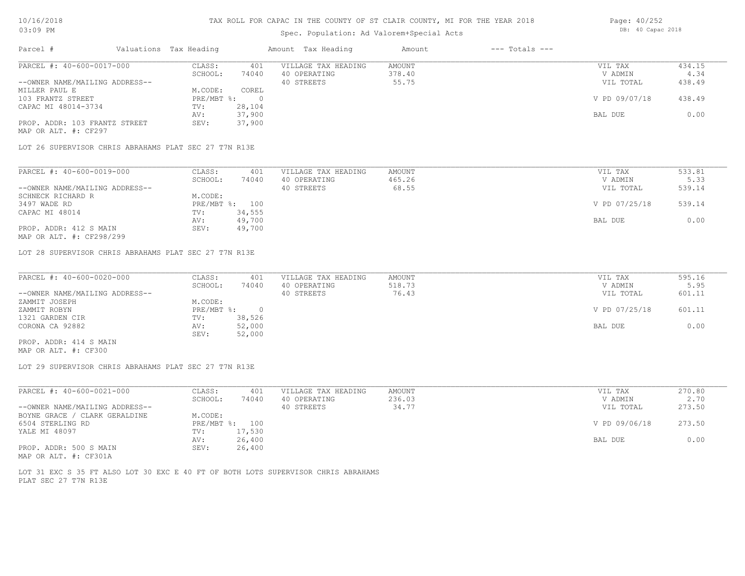### Spec. Population: Ad Valorem+Special Acts

Page: 40/252 DB: 40 Capac 2018

| Parcel #                                              |         | Valuations Tax Heading |              | Amount Tax Heading  | Amount | $---$ Totals $---$ |               |        |
|-------------------------------------------------------|---------|------------------------|--------------|---------------------|--------|--------------------|---------------|--------|
| PARCEL #: 40-600-0017-000                             |         | CLASS:                 | 401          | VILLAGE TAX HEADING | AMOUNT |                    | VIL TAX       | 434.15 |
|                                                       | SCHOOL: | 74040                  | 40 OPERATING | 378.40              |        | V ADMIN            | 4.34          |        |
| --OWNER NAME/MAILING ADDRESS--                        |         |                        |              | 40 STREETS          | 55.75  |                    | VIL TOTAL     | 438.49 |
| MILLER PAUL E                                         |         | M.CODE:                | COREL        |                     |        |                    |               |        |
| 103 FRANTZ STREET                                     |         | PRE/MBT %:             |              |                     |        |                    | V PD 09/07/18 | 438.49 |
| CAPAC MI 48014-3734                                   |         | TV:                    | 28,104       |                     |        |                    |               |        |
|                                                       |         | AV:                    | 37,900       |                     |        |                    | BAL DUE       | 0.00   |
| PROP. ADDR: 103 FRANTZ STREET<br>MAP OR ALT. #: CF297 |         | SEV:                   | 37,900       |                     |        |                    |               |        |

LOT 26 SUPERVISOR CHRIS ABRAHAMS PLAT SEC 27 T7N R13E

| PARCEL #: 40-600-0019-000      | CLASS:  | 401            | VILLAGE TAX HEADING | AMOUNT | VIL TAX       | 533.81 |
|--------------------------------|---------|----------------|---------------------|--------|---------------|--------|
|                                | SCHOOL: | 74040          | 40 OPERATING        | 465.26 | V ADMIN       | 5.33   |
| --OWNER NAME/MAILING ADDRESS-- |         |                | 40 STREETS          | 68.55  | VIL TOTAL     | 539.14 |
| SCHNECK RICHARD R              | M.CODE: |                |                     |        |               |        |
| 3497 WADE RD                   |         | PRE/MBT %: 100 |                     |        | V PD 07/25/18 | 539.14 |
| CAPAC MI 48014                 | TV:     | 34,555         |                     |        |               |        |
|                                | AV:     | 49,700         |                     |        | BAL DUE       | 0.00   |
| PROP. ADDR: 412 S MAIN         | SEV:    | 49,700         |                     |        |               |        |
| MAP OR ALT. #: CF298/299       |         |                |                     |        |               |        |

LOT 28 SUPERVISOR CHRIS ABRAHAMS PLAT SEC 27 T7N R13E

| PARCEL #: 40-600-0020-000      | CLASS:       | 401    | VILLAGE TAX HEADING | AMOUNT | VIL TAX       | 595.16 |
|--------------------------------|--------------|--------|---------------------|--------|---------------|--------|
|                                | SCHOOL:      | 74040  | 40 OPERATING        | 518.73 | V ADMIN       | 5.95   |
| --OWNER NAME/MAILING ADDRESS-- |              |        | 40 STREETS          | 76.43  | VIL TOTAL     | 601.11 |
| ZAMMIT JOSEPH                  | M.CODE:      |        |                     |        |               |        |
| ZAMMIT ROBYN                   | $PRE/MBT$ %: |        |                     |        | V PD 07/25/18 | 601.11 |
| 1321 GARDEN CIR                | TV:          | 38,526 |                     |        |               |        |
| CORONA CA 92882                | AV:          | 52,000 |                     |        | BAL DUE       | 0.00   |
|                                | SEV:         | 52,000 |                     |        |               |        |
| PROP. ADDR: 414 S MAIN         |              |        |                     |        |               |        |

MAP OR ALT. #: CF300

LOT 29 SUPERVISOR CHRIS ABRAHAMS PLAT SEC 27 T7N R13E

| PARCEL #: 40-600-0021-000      | CLASS:  | 401            | VILLAGE TAX HEADING | AMOUNT | VIL TAX       | 270.80 |
|--------------------------------|---------|----------------|---------------------|--------|---------------|--------|
|                                | SCHOOL: | 74040          | 40 OPERATING        | 236.03 | V ADMIN       | 2.70   |
| --OWNER NAME/MAILING ADDRESS-- |         |                | 40 STREETS          | 34.77  | VIL TOTAL     | 273.50 |
| BOYNE GRACE / CLARK GERALDINE  | M.CODE: |                |                     |        |               |        |
| 6504 STERLING RD               |         | PRE/MBT %: 100 |                     |        | V PD 09/06/18 | 273.50 |
| YALE MI 48097                  | TV:     | 17,530         |                     |        |               |        |
|                                | AV:     | 26,400         |                     |        | BAL DUE       | 0.00   |
| PROP. ADDR: 500 S MAIN         | SEV:    | 26,400         |                     |        |               |        |
| MAP OR ALT. #: CF301A          |         |                |                     |        |               |        |

PLAT SEC 27 T7N R13E LOT 31 EXC S 35 FT ALSO LOT 30 EXC E 40 FT OF BOTH LOTS SUPERVISOR CHRIS ABRAHAMS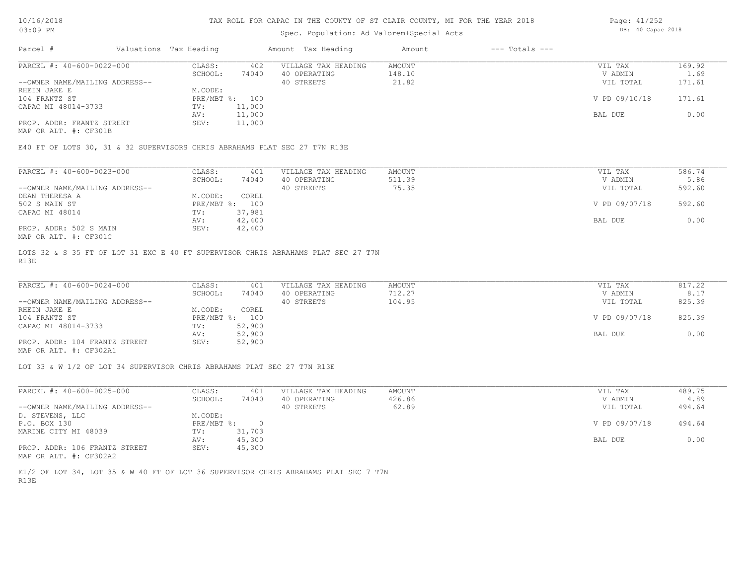### Spec. Population: Ad Valorem+Special Acts

Page: 41/252 DB: 40 Capac 2018

| Parcel #                       | Valuations Tax Heading |        | Amount Tax Heading  | Amount | $---$ Totals $---$ |               |        |
|--------------------------------|------------------------|--------|---------------------|--------|--------------------|---------------|--------|
| PARCEL #: 40-600-0022-000      | CLASS:                 | 402    | VILLAGE TAX HEADING | AMOUNT |                    | VIL TAX       | 169.92 |
|                                | SCHOOL:                | 74040  | 40 OPERATING        | 148.10 |                    | V ADMIN       | 1.69   |
| --OWNER NAME/MAILING ADDRESS-- |                        |        | 40 STREETS          | 21.82  |                    | VIL TOTAL     | 171.61 |
| RHEIN JAKE E                   | M.CODE:                |        |                     |        |                    |               |        |
| 104 FRANTZ ST                  | PRE/MBT %: 100         |        |                     |        |                    | V PD 09/10/18 | 171.61 |
| CAPAC MI 48014-3733            | TV:                    | 11,000 |                     |        |                    |               |        |
|                                | AV:                    | 11,000 |                     |        |                    | BAL DUE       | 0.00   |
| PROP. ADDR: FRANTZ STREET      | SEV:                   | 11,000 |                     |        |                    |               |        |
|                                |                        |        |                     |        |                    |               |        |

MAP OR ALT. #: CF301B

E40 FT OF LOTS 30, 31 & 32 SUPERVISORS CHRIS ABRAHAMS PLAT SEC 27 T7N R13E

| PARCEL #: 40-600-0023-000      | CLASS:  | 401            | VILLAGE TAX HEADING | AMOUNT | VIL TAX       | 586.74 |
|--------------------------------|---------|----------------|---------------------|--------|---------------|--------|
|                                | SCHOOL: | 74040          | 40 OPERATING        | 511.39 | V ADMIN       | 5.86   |
| --OWNER NAME/MAILING ADDRESS-- |         |                | 40 STREETS          | 75.35  | VIL TOTAL     | 592.60 |
| DEAN THERESA A                 | M.CODE: | COREL          |                     |        |               |        |
| 502 S MAIN ST                  |         | PRE/MBT %: 100 |                     |        | V PD 09/07/18 | 592.60 |
| CAPAC MI 48014                 | TV:     | 37,981         |                     |        |               |        |
|                                | AV:     | 42,400         |                     |        | BAL DUE       | 0.00   |
| PROP. ADDR: 502 S MAIN         | SEV:    | 42,400         |                     |        |               |        |
| MAP OR ALT. #: CF301C          |         |                |                     |        |               |        |

R13E LOTS 32 & S 35 FT OF LOT 31 EXC E 40 FT SUPERVISOR CHRIS ABRAHAMS PLAT SEC 27 T7N

| PARCEL #: 40-600-0024-000      | CLASS:       | 401    | VILLAGE TAX HEADING | AMOUNT | VIL TAX       | 817.22 |
|--------------------------------|--------------|--------|---------------------|--------|---------------|--------|
|                                | SCHOOL:      | 74040  | 40 OPERATING        | 712.27 | V ADMIN       | 8.17   |
| --OWNER NAME/MAILING ADDRESS-- |              |        | 40 STREETS          | 104.95 | VIL TOTAL     | 825.39 |
| RHEIN JAKE E                   | M.CODE:      | COREL  |                     |        |               |        |
| 104 FRANTZ ST                  | $PRE/MBT$ %: | 100    |                     |        | V PD 09/07/18 | 825.39 |
| CAPAC MI 48014-3733            | TV:          | 52,900 |                     |        |               |        |
|                                | AV:          | 52,900 |                     |        | BAL DUE       | 0.00   |
| PROP. ADDR: 104 FRANTZ STREET  | SEV:         | 52,900 |                     |        |               |        |
| MAP OR ALT. #: CF302A1         |              |        |                     |        |               |        |

 $\mathcal{L}_\mathcal{L} = \mathcal{L}_\mathcal{L} = \mathcal{L}_\mathcal{L} = \mathcal{L}_\mathcal{L} = \mathcal{L}_\mathcal{L} = \mathcal{L}_\mathcal{L} = \mathcal{L}_\mathcal{L} = \mathcal{L}_\mathcal{L} = \mathcal{L}_\mathcal{L} = \mathcal{L}_\mathcal{L} = \mathcal{L}_\mathcal{L} = \mathcal{L}_\mathcal{L} = \mathcal{L}_\mathcal{L} = \mathcal{L}_\mathcal{L} = \mathcal{L}_\mathcal{L} = \mathcal{L}_\mathcal{L} = \mathcal{L}_\mathcal{L}$ 

LOT 33 & W 1/2 OF LOT 34 SUPERVISOR CHRIS ABRAHAMS PLAT SEC 27 T7N R13E

| PARCEL #: 40-600-0025-000      | CLASS:     | 401    | VILLAGE TAX HEADING | AMOUNT | VIL TAX       | 489.75 |
|--------------------------------|------------|--------|---------------------|--------|---------------|--------|
|                                | SCHOOL:    | 74040  | 40 OPERATING        | 426.86 | V ADMIN       | 4.89   |
| --OWNER NAME/MAILING ADDRESS-- |            |        | 40 STREETS          | 62.89  | VIL TOTAL     | 494.64 |
| D. STEVENS, LLC                | M.CODE:    |        |                     |        |               |        |
| P.O. BOX 130                   | PRE/MBT %: |        |                     |        | V PD 09/07/18 | 494.64 |
| MARINE CITY MI 48039           | TV:        | 31,703 |                     |        |               |        |
|                                | AV:        | 45,300 |                     |        | BAL DUE       | 0.00   |
| PROP. ADDR: 106 FRANTZ STREET  | SEV:       | 45,300 |                     |        |               |        |
| MAP OR ALT. #: CF302A2         |            |        |                     |        |               |        |

R13E E1/2 OF LOT 34, LOT 35 & W 40 FT OF LOT 36 SUPERVISOR CHRIS ABRAHAMS PLAT SEC 7 T7N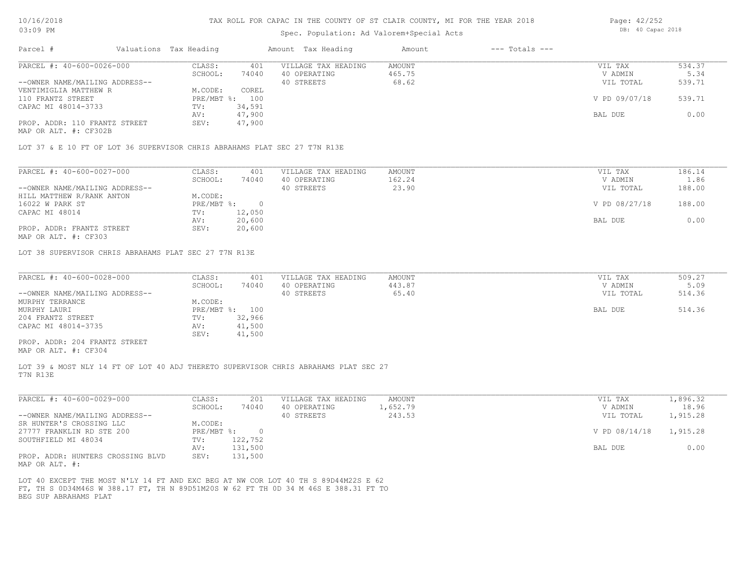### Spec. Population: Ad Valorem+Special Acts

| Parcel #                       | Valuations Tax Heading |        | Amount Tax Heading  | Amount | $---$ Totals $---$ |               |        |
|--------------------------------|------------------------|--------|---------------------|--------|--------------------|---------------|--------|
| PARCEL #: 40-600-0026-000      | CLASS:                 | 401    | VILLAGE TAX HEADING | AMOUNT |                    | VIL TAX       | 534.37 |
|                                | SCHOOL:                | 74040  | 40 OPERATING        | 465.75 |                    | V ADMIN       | 5.34   |
| --OWNER NAME/MAILING ADDRESS-- |                        |        | 40 STREETS          | 68.62  |                    | VIL TOTAL     | 539.71 |
| VENTIMIGLIA MATTHEW R          | M.CODE:                | COREL  |                     |        |                    |               |        |
| 110 FRANTZ STREET              | PRE/MBT %: 100         |        |                     |        |                    | V PD 09/07/18 | 539.71 |
| CAPAC MI 48014-3733            | TV:                    | 34,591 |                     |        |                    |               |        |
|                                | AV:                    | 47,900 |                     |        |                    | BAL DUE       | 0.00   |
| PROP. ADDR: 110 FRANTZ STREET  | SEV:                   | 47,900 |                     |        |                    |               |        |
|                                |                        |        |                     |        |                    |               |        |

MAP OR ALT. #: CF302B

LOT 37 & E 10 FT OF LOT 36 SUPERVISOR CHRIS ABRAHAMS PLAT SEC 27 T7N R13E

| PARCEL #: 40-600-0027-000      | CLASS:     | 401    | VILLAGE TAX HEADING | AMOUNT | VIL TAX       | 186.14 |
|--------------------------------|------------|--------|---------------------|--------|---------------|--------|
|                                | SCHOOL:    | 74040  | 40 OPERATING        | 162.24 | V ADMIN       | 1.86   |
| --OWNER NAME/MAILING ADDRESS-- |            |        | 40 STREETS          | 23.90  | VIL TOTAL     | 188.00 |
| HILL MATTHEW R/RANK ANTON      | M.CODE:    |        |                     |        |               |        |
| 16022 W PARK ST                | PRE/MBT %: |        |                     |        | V PD 08/27/18 | 188.00 |
| CAPAC MI 48014                 | TV:        | 12,050 |                     |        |               |        |
|                                | AV:        | 20,600 |                     |        | BAL DUE       | 0.00   |
| PROP. ADDR: FRANTZ STREET      | SEV:       | 20,600 |                     |        |               |        |
|                                |            |        |                     |        |               |        |

MAP OR ALT. #: CF303

LOT 38 SUPERVISOR CHRIS ABRAHAMS PLAT SEC 27 T7N R13E

| PARCEL #: 40-600-0028-000      | CLASS:         | 401    | VILLAGE TAX HEADING | AMOUNT | VIL TAX   | 509.27 |
|--------------------------------|----------------|--------|---------------------|--------|-----------|--------|
|                                | SCHOOL:        | 74040  | 40 OPERATING        | 443.87 | V ADMIN   | 5.09   |
| --OWNER NAME/MAILING ADDRESS-- |                |        | 40 STREETS          | 65.40  | VIL TOTAL | 514.36 |
| MURPHY TERRANCE                | M.CODE:        |        |                     |        |           |        |
| MURPHY LAURI                   | PRE/MBT %: 100 |        |                     |        | BAL DUE   | 514.36 |
| 204 FRANTZ STREET              | TV:            | 32,966 |                     |        |           |        |
| CAPAC MI 48014-3735            | AV:            | 41,500 |                     |        |           |        |
|                                | SEV:           | 41,500 |                     |        |           |        |
| PROP. ADDR: 204 FRANTZ STREET  |                |        |                     |        |           |        |

MAP OR ALT. #: CF304

T7N R13E LOT 39 & MOST NLY 14 FT OF LOT 40 ADJ THERETO SUPERVISOR CHRIS ABRAHAMS PLAT SEC 27

| PARCEL #: 40-600-0029-000         | CLASS:     | 201     | VILLAGE TAX HEADING | AMOUNT   | VIL TAX       | 1,896.32 |
|-----------------------------------|------------|---------|---------------------|----------|---------------|----------|
|                                   | SCHOOL:    | 74040   | 40 OPERATING        | 1,652.79 | V ADMIN       | 18.96    |
| --OWNER NAME/MAILING ADDRESS--    |            |         | 40 STREETS          | 243.53   | VIL TOTAL     | 1,915.28 |
| SR HUNTER'S CROSSING LLC          | M.CODE:    |         |                     |          |               |          |
| 27777 FRANKLIN RD STE 200         | PRE/MBT %: | $\cap$  |                     |          | V PD 08/14/18 | 1,915.28 |
| SOUTHFIELD MI 48034               | TV:        | 122,752 |                     |          |               |          |
|                                   | AV:        | 131,500 |                     |          | BAL DUE       | 0.00     |
| PROP. ADDR: HUNTERS CROSSING BLVD | SEV:       | 131,500 |                     |          |               |          |
| $\frac{1}{2}$                     |            |         |                     |          |               |          |

MAP OR ALT. #:

BEG SUP ABRAHAMS PLAT FT, TH S 0D34M46S W 388.17 FT, TH N 89D51M20S W 62 FT TH 0D 34 M 46S E 388.31 FT TO LOT 40 EXCEPT THE MOST N'LY 14 FT AND EXC BEG AT NW COR LOT 40 TH S 89D44M22S E 62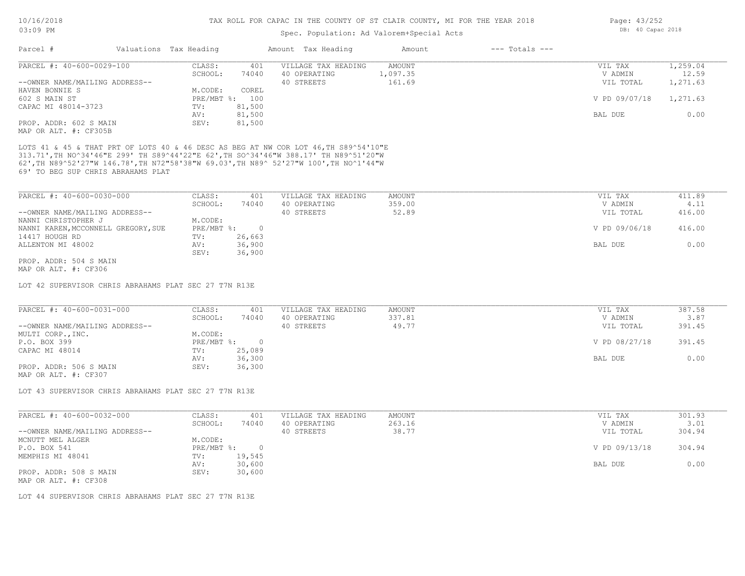### Spec. Population: Ad Valorem+Special Acts

| Parcel #                       | Valuations Tax Heading |                | Amount Tax Heading  | Amount   | $---$ Totals $---$ |               |          |
|--------------------------------|------------------------|----------------|---------------------|----------|--------------------|---------------|----------|
| PARCEL #: 40-600-0029-100      | CLASS:                 | 401            | VILLAGE TAX HEADING | AMOUNT   |                    | VIL TAX       | 1,259.04 |
|                                | SCHOOL:                | 74040          | 40 OPERATING        | 1,097.35 |                    | V ADMIN       | 12.59    |
| --OWNER NAME/MAILING ADDRESS-- |                        |                | 40 STREETS          | 161.69   |                    | VIL TOTAL     | 1,271.63 |
| HAVEN BONNIE S                 | M.CODE:                | COREL          |                     |          |                    |               |          |
| 602 S MAIN ST                  |                        | PRE/MBT %: 100 |                     |          |                    | V PD 09/07/18 | 1,271.63 |
| CAPAC MI 48014-3723            | TV:                    | 81,500         |                     |          |                    |               |          |
|                                | AV:                    | 81,500         |                     |          |                    | BAL DUE       | 0.00     |
| PROP. ADDR: 602 S MAIN         | SEV:                   | 81,500         |                     |          |                    |               |          |
| MAP OR ALT. #: CF305B          |                        |                |                     |          |                    |               |          |
|                                |                        |                |                     |          |                    |               |          |

69' TO BEG SUP CHRIS ABRAHAMS PLAT 62',TH N89^52'27"W 146.78',TH N72"58'38"W 69.03',TH N89^ 52'27"W 100',TH NO^1'44"W 313.71',TH NO^34'46"E 299' TH S89^44'22"E 62',TH SO^34'46"W 388.17' TH N89^51'20"W LOTS 41 & 45 & THAT PRT OF LOTS 40 & 46 DESC AS BEG AT NW COR LOT 46,TH S89^54'10"E

| PARCEL #: 40-600-0030-000           | CLASS:     | 401    | VILLAGE TAX HEADING | AMOUNT | VIL TAX       | 411.89 |
|-------------------------------------|------------|--------|---------------------|--------|---------------|--------|
|                                     | SCHOOL:    | 74040  | 40 OPERATING        | 359.00 | V ADMIN       | 4.11   |
| --OWNER NAME/MAILING ADDRESS--      |            |        | 40 STREETS          | 52.89  | VIL TOTAL     | 416.00 |
| NANNI CHRISTOPHER J                 | M.CODE:    |        |                     |        |               |        |
| NANNI KAREN, MCCONNELL GREGORY, SUE | PRE/MBT %: | ∩.     |                     |        | V PD 09/06/18 | 416.00 |
| 14417 HOUGH RD                      | TV:        | 26,663 |                     |        |               |        |
| ALLENTON MI 48002                   | AV:        | 36,900 |                     |        | BAL DUE       | 0.00   |
|                                     | SEV:       | 36,900 |                     |        |               |        |
| PROP. ADDR: 504 S MAIN              |            |        |                     |        |               |        |

MAP OR ALT. #: CF306

LOT 42 SUPERVISOR CHRIS ABRAHAMS PLAT SEC 27 T7N R13E

| PARCEL #: 40-600-0031-000      | CLASS:     | 401    | VILLAGE TAX HEADING | AMOUNT | VIL TAX       | 387.58 |
|--------------------------------|------------|--------|---------------------|--------|---------------|--------|
|                                | SCHOOL:    | 74040  | 40 OPERATING        | 337.81 | V ADMIN       | 3.87   |
| --OWNER NAME/MAILING ADDRESS-- |            |        | 40 STREETS          | 49.77  | VIL TOTAL     | 391.45 |
| MULTI CORP., INC.              | M.CODE:    |        |                     |        |               |        |
| P.O. BOX 399                   | PRE/MBT %: |        |                     |        | V PD 08/27/18 | 391.45 |
| CAPAC MI 48014                 | TV:        | 25,089 |                     |        |               |        |
|                                | AV:        | 36,300 |                     |        | BAL DUE       | 0.00   |
| PROP. ADDR: 506 S MAIN         | SEV:       | 36,300 |                     |        |               |        |
|                                |            |        |                     |        |               |        |

MAP OR ALT. #: CF307

LOT 43 SUPERVISOR CHRIS ABRAHAMS PLAT SEC 27 T7N R13E

| PARCEL #: 40-600-0032-000      | CLASS:     | 401    | VILLAGE TAX HEADING | AMOUNT | VIL TAX       | 301.93 |
|--------------------------------|------------|--------|---------------------|--------|---------------|--------|
|                                | SCHOOL:    | 74040  | 40 OPERATING        | 263.16 | V ADMIN       | 3.01   |
| --OWNER NAME/MAILING ADDRESS-- |            |        | 40 STREETS          | 38.77  | VIL TOTAL     | 304.94 |
| MCNUTT MEL ALGER               | M.CODE:    |        |                     |        |               |        |
| P.O. BOX 541                   | PRE/MBT %: |        |                     |        | V PD 09/13/18 | 304.94 |
| MEMPHIS MI 48041               | TV:        | 19,545 |                     |        |               |        |
|                                | AV:        | 30,600 |                     |        | BAL DUE       | 0.00   |
| PROP. ADDR: 508 S MAIN         | SEV:       | 30,600 |                     |        |               |        |
| MAP OR ALT. #: CF308           |            |        |                     |        |               |        |

LOT 44 SUPERVISOR CHRIS ABRAHAMS PLAT SEC 27 T7N R13E

Page: 43/252 DB: 40 Capac 2018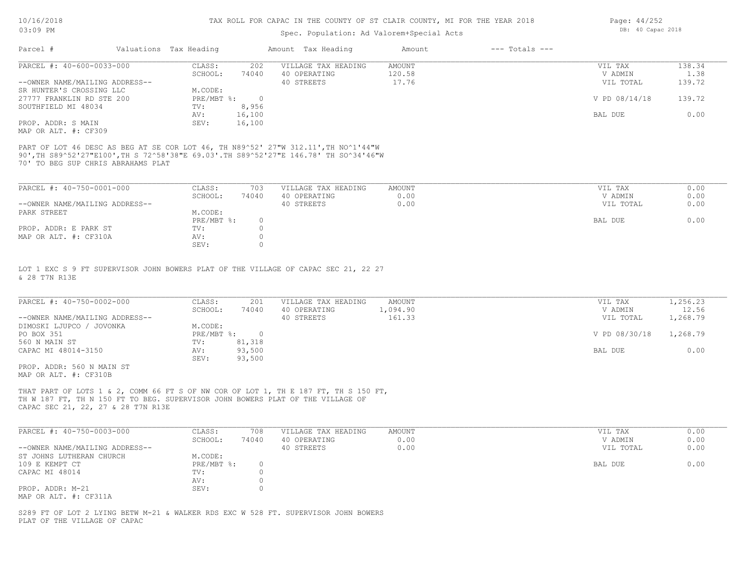### Spec. Population: Ad Valorem+Special Acts

| Parcel #                       | Valuations Tax Heading |        | Amount Tax Heading  | Amount | $---$ Totals $---$ |               |        |
|--------------------------------|------------------------|--------|---------------------|--------|--------------------|---------------|--------|
| PARCEL #: 40-600-0033-000      | CLASS:                 | 202    | VILLAGE TAX HEADING | AMOUNT |                    | VIL TAX       | 138.34 |
|                                | SCHOOL:                | 74040  | 40 OPERATING        | 120.58 |                    | V ADMIN       | 1.38   |
| --OWNER NAME/MAILING ADDRESS-- |                        |        | 40 STREETS          | 17.76  |                    | VIL TOTAL     | 139.72 |
| SR HUNTER'S CROSSING LLC       | M.CODE:                |        |                     |        |                    |               |        |
| 27777 FRANKLIN RD STE 200      | $PRE/MBT$ %:           |        |                     |        |                    | V PD 08/14/18 | 139.72 |
| SOUTHFIELD MI 48034            | TV:                    | 8,956  |                     |        |                    |               |        |
|                                | AV:                    | 16,100 |                     |        |                    | BAL DUE       | 0.00   |
| PROP. ADDR: S MAIN             | SEV:                   | 16,100 |                     |        |                    |               |        |
|                                |                        |        |                     |        |                    |               |        |

MAP OR ALT. #: CF309

70' TO BEG SUP CHRIS ABRAHAMS PLAT 90',TH S89^52'27"E100',TH S 72^58'38"E 69.03'.TH S89^52'27"E 146.78' TH SO^34'46"W PART OF LOT 46 DESC AS BEG AT SE COR LOT 46, TH N89^52' 27"W 312.11',TH NO^1'44"W

| PARCEL #: 40-750-0001-000      | CLASS:     | 703   | VILLAGE TAX HEADING | AMOUNT | VIL TAX   | 0.00 |
|--------------------------------|------------|-------|---------------------|--------|-----------|------|
|                                | SCHOOL:    | 74040 | 40 OPERATING        | 0.00   | V ADMIN   | 0.00 |
| --OWNER NAME/MAILING ADDRESS-- |            |       | 40 STREETS          | 0.00   | VIL TOTAL | 0.00 |
| PARK STREET                    | M.CODE:    |       |                     |        |           |      |
|                                | PRE/MBT %: |       |                     |        | BAL DUE   | 0.00 |
| PROP. ADDR: E PARK ST          | TV:        |       |                     |        |           |      |
| MAP OR ALT. #: CF310A          | AV:        |       |                     |        |           |      |
|                                | SEV:       |       |                     |        |           |      |

& 28 T7N R13E LOT 1 EXC S 9 FT SUPERVISOR JOHN BOWERS PLAT OF THE VILLAGE OF CAPAC SEC 21, 22 27

| PARCEL #: 40-750-0002-000      | CLASS:     | 201    | VILLAGE TAX HEADING | AMOUNT   | VIL TAX       | 1,256.23 |
|--------------------------------|------------|--------|---------------------|----------|---------------|----------|
|                                | SCHOOL:    | 74040  | 40 OPERATING        | 1,094.90 | V ADMIN       | 12.56    |
| --OWNER NAME/MAILING ADDRESS-- |            |        | 40 STREETS          | 161.33   | VIL TOTAL     | 1,268.79 |
| DIMOSKI LJUPCO / JOVONKA       | M.CODE:    |        |                     |          |               |          |
| PO BOX 351                     | PRE/MBT %: |        |                     |          | V PD 08/30/18 | 1,268.79 |
| 560 N MAIN ST                  | TV:        | 81,318 |                     |          |               |          |
| CAPAC MI 48014-3150            | AV:        | 93,500 |                     |          | BAL DUE       | 0.00     |
|                                | SEV:       | 93,500 |                     |          |               |          |
| PROP. ADDR: 560 N MAIN ST      |            |        |                     |          |               |          |

MAP OR ALT. #: CF310B

CAPAC SEC 21, 22, 27 & 28 T7N R13E TH W 187 FT, TH N 150 FT TO BEG. SUPERVISOR JOHN BOWERS PLAT OF THE VILLAGE OF THAT PART OF LOTS 1 & 2, COMM 66 FT S OF NW COR OF LOT 1, TH E 187 FT, TH S 150 FT,

| PARCEL #: 40-750-0003-000      | CLASS:     | 708   | VILLAGE TAX HEADING | AMOUNT | VIL TAX   | 0.00 |
|--------------------------------|------------|-------|---------------------|--------|-----------|------|
|                                | SCHOOL:    | 74040 | 40 OPERATING        | 0.00   | V ADMIN   | 0.00 |
| --OWNER NAME/MAILING ADDRESS-- |            |       | 40 STREETS          | 0.00   | VIL TOTAL | 0.00 |
| ST JOHNS LUTHERAN CHURCH       | M.CODE:    |       |                     |        |           |      |
| 109 E KEMPT CT                 | PRE/MBT %: |       |                     |        | BAL DUE   | 0.00 |
| CAPAC MI 48014                 | TV:        |       |                     |        |           |      |
|                                | AV:        |       |                     |        |           |      |
| PROP. ADDR: M-21               | SEV:       |       |                     |        |           |      |
| MAP OR ALT. #: CF311A          |            |       |                     |        |           |      |

 $\mathcal{L}_\mathcal{L} = \mathcal{L}_\mathcal{L} = \mathcal{L}_\mathcal{L} = \mathcal{L}_\mathcal{L} = \mathcal{L}_\mathcal{L} = \mathcal{L}_\mathcal{L} = \mathcal{L}_\mathcal{L} = \mathcal{L}_\mathcal{L} = \mathcal{L}_\mathcal{L} = \mathcal{L}_\mathcal{L} = \mathcal{L}_\mathcal{L} = \mathcal{L}_\mathcal{L} = \mathcal{L}_\mathcal{L} = \mathcal{L}_\mathcal{L} = \mathcal{L}_\mathcal{L} = \mathcal{L}_\mathcal{L} = \mathcal{L}_\mathcal{L}$ 

PLAT OF THE VILLAGE OF CAPAC S289 FT OF LOT 2 LYING BETW M-21 & WALKER RDS EXC W 528 FT. SUPERVISOR JOHN BOWERS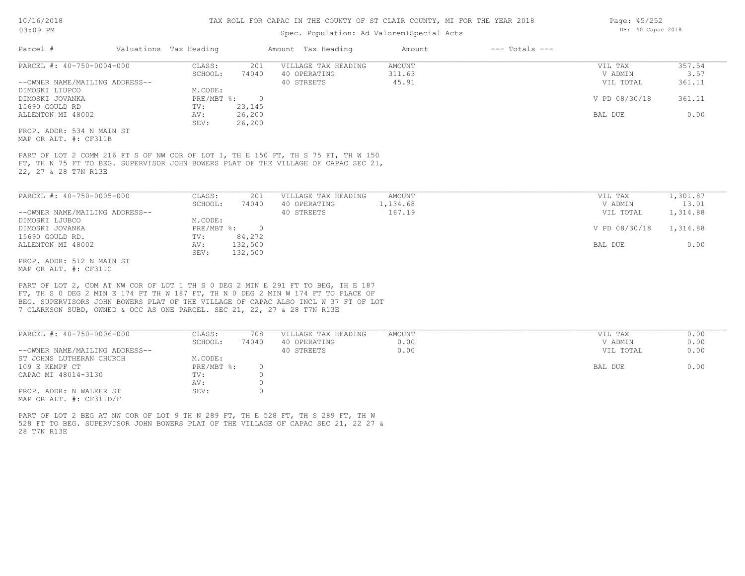### Spec. Population: Ad Valorem+Special Acts

| Parcel #                       | Valuations Tax Heading |        | Amount Tax Heading  | Amount | $---$ Totals $---$ |               |        |
|--------------------------------|------------------------|--------|---------------------|--------|--------------------|---------------|--------|
| PARCEL #: 40-750-0004-000      | CLASS:                 | 201    | VILLAGE TAX HEADING | AMOUNT |                    | VIL TAX       | 357.54 |
|                                | SCHOOL:                | 74040  | 40 OPERATING        | 311.63 |                    | V ADMIN       | 3.57   |
| --OWNER NAME/MAILING ADDRESS-- |                        |        | 40 STREETS          | 45.91  |                    | VIL TOTAL     | 361.11 |
| DIMOSKI LIUPCO                 | M.CODE:                |        |                     |        |                    |               |        |
| DIMOSKI JOVANKA                | PRE/MBT %:             |        |                     |        |                    | V PD 08/30/18 | 361.11 |
| 15690 GOULD RD                 | TV:                    | 23,145 |                     |        |                    |               |        |
| ALLENTON MI 48002              | AV:                    | 26,200 |                     |        |                    | BAL DUE       | 0.00   |
|                                | SEV:                   | 26,200 |                     |        |                    |               |        |
| PROP. ADDR: 534 N MAIN ST      |                        |        |                     |        |                    |               |        |
|                                |                        |        |                     |        |                    |               |        |

MAP OR ALT. #: CF311B

22, 27 & 28 T7N R13E FT, TH N 75 FT TO BEG. SUPERVISOR JOHN BOWERS PLAT OF THE VILLAGE OF CAPAC SEC 21, PART OF LOT 2 COMM 216 FT S OF NW COR OF LOT 1, TH E 150 FT, TH S 75 FT, TH W 150

| PARCEL #: 40-750-0005-000      | CLASS:     | 201      | VILLAGE TAX HEADING | AMOUNT   | VIL TAX       | 1,301.87 |
|--------------------------------|------------|----------|---------------------|----------|---------------|----------|
|                                | SCHOOL:    | 74040    | 40 OPERATING        | 1,134.68 | V ADMIN       | 13.01    |
| --OWNER NAME/MAILING ADDRESS-- |            |          | 40 STREETS          | 167.19   | VIL TOTAL     | 1,314.88 |
| DIMOSKI LJUBCO                 | M.CODE:    |          |                     |          |               |          |
| DIMOSKI JOVANKA                | PRE/MBT %: | $\Omega$ |                     |          | V PD 08/30/18 | 1,314.88 |
| 15690 GOULD RD.                | TV:        | 84,272   |                     |          |               |          |
| ALLENTON MI 48002              | AV:        | 132,500  |                     |          | BAL DUE       | 0.00     |
|                                | SEV:       | 132,500  |                     |          |               |          |
| PROP. ADDR: 512 N MAIN ST      |            |          |                     |          |               |          |

MAP OR ALT. #: CF311C

7 CLARKSON SUBD, OWNED & OCC AS ONE PARCEL. SEC 21, 22, 27 & 28 T7N R13E BEG. SUPERVISORS JOHN BOWERS PLAT OF THE VILLAGE OF CAPAC ALSO INCL W 37 FT OF LOT FT, TH S 0 DEG 2 MIN E 174 FT TH W 187 FT, TH N 0 DEG 2 MIN W 174 FT TO PLACE OF PART OF LOT 2, COM AT NW COR OF LOT 1 TH S 0 DEG 2 MIN E 291 FT TO BEG, TH E 187

| PARCEL #: 40-750-0006-000      | CLASS:       | 708   | VILLAGE TAX HEADING | AMOUNT | VIL TAX   | 0.00 |
|--------------------------------|--------------|-------|---------------------|--------|-----------|------|
|                                | SCHOOL:      | 74040 | 40 OPERATING        | 0.00   | V ADMIN   | 0.00 |
| --OWNER NAME/MAILING ADDRESS-- |              |       | 40 STREETS          | 0.00   | VIL TOTAL | 0.00 |
| ST JOHNS LUTHERAN CHURCH       | M.CODE:      |       |                     |        |           |      |
| 109 E KEMPF CT                 | $PRE/MBT$ %: |       |                     |        | BAL DUE   | 0.00 |
| CAPAC MI 48014-3130            | TV:          |       |                     |        |           |      |
|                                | AV:          |       |                     |        |           |      |
| PROP. ADDR: N WALKER ST        | SEV:         |       |                     |        |           |      |
| MAP OR ALT. #: CF311D/F        |              |       |                     |        |           |      |

28 T7N R13E 528 FT TO BEG. SUPERVISOR JOHN BOWERS PLAT OF THE VILLAGE OF CAPAC SEC 21, 22 27 & PART OF LOT 2 BEG AT NW COR OF LOT 9 TH N 289 FT, TH E 528 FT, TH S 289 FT, TH W

Page: 45/252 DB: 40 Capac 2018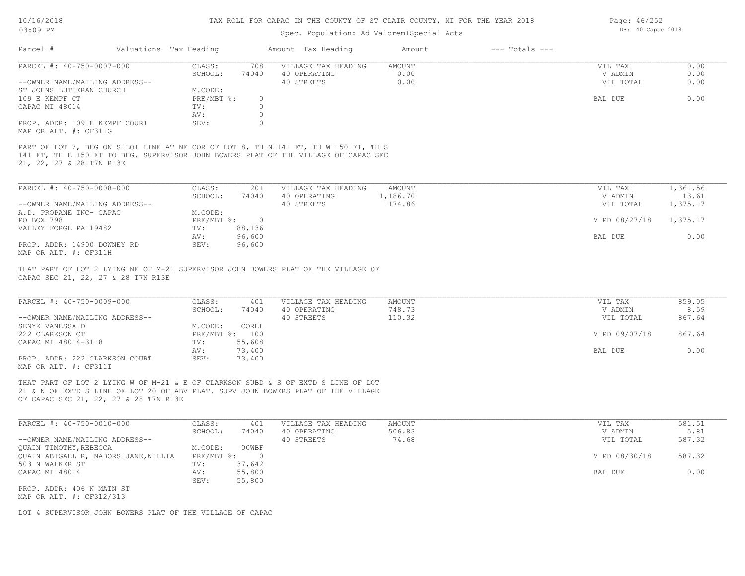## 10/16/2018 03:09 PM

# TAX ROLL FOR CAPAC IN THE COUNTY OF ST CLAIR COUNTY, MI FOR THE YEAR 2018

# Spec. Population: Ad Valorem+Special Acts

| PARCEL #: 40-750-0007-000                                                                                                                                                           | CLASS:                                                                                                                                                                     | VILLAGE TAX HEADING<br>708          | AMOUNT   | VIL TAX       | 0.00     |
|-------------------------------------------------------------------------------------------------------------------------------------------------------------------------------------|----------------------------------------------------------------------------------------------------------------------------------------------------------------------------|-------------------------------------|----------|---------------|----------|
|                                                                                                                                                                                     | SCHOOL:                                                                                                                                                                    | 74040<br>40 OPERATING               | 0.00     | V ADMIN       | 0.00     |
| --OWNER NAME/MAILING ADDRESS--                                                                                                                                                      |                                                                                                                                                                            | 40 STREETS                          | 0.00     | VIL TOTAL     | 0.00     |
| ST JOHNS LUTHERAN CHURCH                                                                                                                                                            | M.CODE:                                                                                                                                                                    |                                     |          |               |          |
| 109 E KEMPF CT                                                                                                                                                                      | PRE/MBT %:                                                                                                                                                                 | $\circ$                             |          | BAL DUE       | 0.00     |
| CAPAC MI 48014                                                                                                                                                                      | TV:                                                                                                                                                                        | $\circ$                             |          |               |          |
|                                                                                                                                                                                     | AV:                                                                                                                                                                        | $\circ$                             |          |               |          |
| PROP. ADDR: 109 E KEMPF COURT<br>MAP OR ALT. #: CF311G                                                                                                                              | SEV:                                                                                                                                                                       | $\Omega$                            |          |               |          |
| 21, 22, 27 & 28 T7N R13E                                                                                                                                                            | PART OF LOT 2, BEG ON S LOT LINE AT NE COR OF LOT 8, TH N 141 FT, TH W 150 FT, TH S<br>141 FT, TH E 150 FT TO BEG. SUPERVISOR JOHN BOWERS PLAT OF THE VILLAGE OF CAPAC SEC |                                     |          |               |          |
| PARCEL #: 40-750-0008-000                                                                                                                                                           |                                                                                                                                                                            |                                     |          |               |          |
|                                                                                                                                                                                     | CLASS:                                                                                                                                                                     | 201<br>VILLAGE TAX HEADING<br>74040 | AMOUNT   | VIL TAX       | 1,361.56 |
|                                                                                                                                                                                     | SCHOOL:                                                                                                                                                                    | 40 OPERATING                        | 1,186.70 | V ADMIN       | 13.61    |
| --OWNER NAME/MAILING ADDRESS--                                                                                                                                                      |                                                                                                                                                                            | 40 STREETS                          | 174.86   | VIL TOTAL     | 1,375.17 |
| A.D. PROPANE INC- CAPAC                                                                                                                                                             | M.CODE:                                                                                                                                                                    |                                     |          |               |          |
| PO BOX 798                                                                                                                                                                          | $PRE/MBT$ $\div$ 0                                                                                                                                                         |                                     |          | V PD 08/27/18 | 1,375.17 |
| VALLEY FORGE PA 19482                                                                                                                                                               | TV:                                                                                                                                                                        | 88,136                              |          |               |          |
|                                                                                                                                                                                     | AV:                                                                                                                                                                        | 96,600                              |          | BAL DUE       | 0.00     |
| PROP. ADDR: 14900 DOWNEY RD                                                                                                                                                         | SEV:                                                                                                                                                                       | 96,600                              |          |               |          |
| MAP OR ALT. #: CF311H                                                                                                                                                               |                                                                                                                                                                            |                                     |          |               |          |
| CAPAC SEC 21, 22, 27 & 28 T7N R13E                                                                                                                                                  | THAT PART OF LOT 2 LYING NE OF M-21 SUPERVISOR JOHN BOWERS PLAT OF THE VILLAGE OF                                                                                          |                                     |          |               |          |
|                                                                                                                                                                                     |                                                                                                                                                                            |                                     |          |               |          |
|                                                                                                                                                                                     | CLASS:                                                                                                                                                                     | VILLAGE TAX HEADING<br>401          | AMOUNT   | VIL TAX       | 859.05   |
|                                                                                                                                                                                     |                                                                                                                                                                            |                                     | 748.73   | V ADMIN       | 8.59     |
|                                                                                                                                                                                     | SCHOOL:                                                                                                                                                                    | 40 OPERATING<br>74040               |          |               |          |
|                                                                                                                                                                                     |                                                                                                                                                                            | 40 STREETS                          | 110.32   | VIL TOTAL     | 867.64   |
|                                                                                                                                                                                     | M.CODE:                                                                                                                                                                    | COREL                               |          |               |          |
|                                                                                                                                                                                     | PRE/MBT %: 100                                                                                                                                                             |                                     |          | V PD 09/07/18 | 867.64   |
|                                                                                                                                                                                     | TV:                                                                                                                                                                        | 55,608                              |          |               |          |
|                                                                                                                                                                                     | AV:                                                                                                                                                                        | 73,400                              |          | BAL DUE       |          |
|                                                                                                                                                                                     | SEV:                                                                                                                                                                       | 73,400                              |          |               |          |
| PARCEL #: 40-750-0009-000<br>--OWNER NAME/MAILING ADDRESS--<br>SENYK VANESSA D<br>222 CLARKSON CT<br>CAPAC MI 48014-3118<br>PROP. ADDR: 222 CLARKSON COURT<br>MAP OR ALT. #: CF311I |                                                                                                                                                                            |                                     |          |               |          |
|                                                                                                                                                                                     | THAT PART OF LOT 2 LYING W OF M-21 & E OF CLARKSON SUBD & S OF EXTD S LINE OF LOT                                                                                          |                                     |          |               | 0.00     |
|                                                                                                                                                                                     | 21 & N OF EXTD S LINE OF LOT 20 OF ABV PLAT. SUPV JOHN BOWERS PLAT OF THE VILLAGE                                                                                          |                                     |          |               |          |

| PARCEL #: 40-750-0010-000            | CLASS:       | 401    | VILLAGE TAX HEADING | AMOUNT | VIL TAX       | 581.51 |
|--------------------------------------|--------------|--------|---------------------|--------|---------------|--------|
|                                      | SCHOOL:      | 74040  | 40 OPERATING        | 506.83 | V ADMIN       | 5.81   |
| --OWNER NAME/MAILING ADDRESS--       |              |        | 40 STREETS          | 74.68  | VIL TOTAL     | 587.32 |
| OUAIN TIMOTHY, REBECCA               | M.CODE:      | 00WBF  |                     |        |               |        |
| QUAIN ABIGAEL R, NABORS JANE, WILLIA | $PRE/MBT$ %: |        |                     |        | V PD 08/30/18 | 587.32 |
| 503 N WALKER ST                      | TV:          | 37,642 |                     |        |               |        |
| CAPAC MI 48014                       | AV:          | 55,800 |                     |        | BAL DUE       | 0.00   |
|                                      | SEV:         | 55,800 |                     |        |               |        |
| PROP. ADDR: 406 N MAIN ST            |              |        |                     |        |               |        |
| MAP OR ALT. #: CF312/313             |              |        |                     |        |               |        |

LOT 4 SUPERVISOR JOHN BOWERS PLAT OF THE VILLAGE OF CAPAC

Page: 46/252 DB: 40 Capac 2018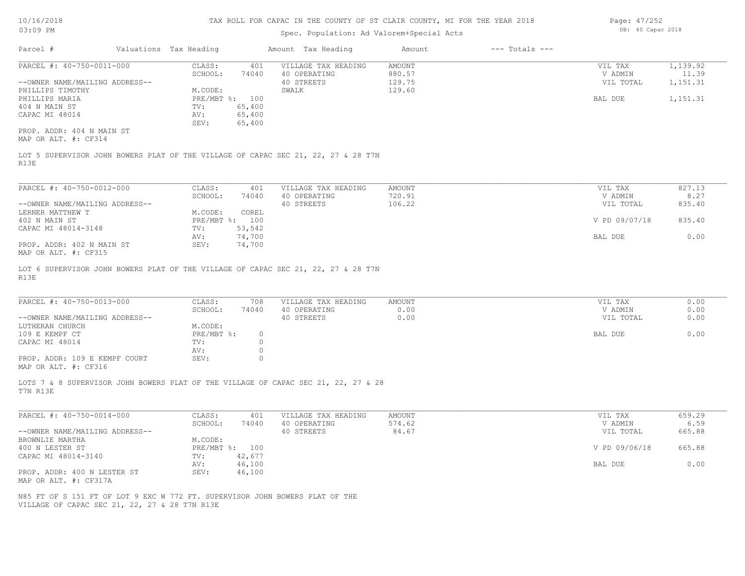### Spec. Population: Ad Valorem+Special Acts

| Parcel #                       | Valuations Tax Heading |        | Amount Tax Heading                                                                | Amount | $---$ Totals $---$ |           |          |
|--------------------------------|------------------------|--------|-----------------------------------------------------------------------------------|--------|--------------------|-----------|----------|
| PARCEL #: 40-750-0011-000      | CLASS:                 | 401    | VILLAGE TAX HEADING                                                               | AMOUNT |                    | VIL TAX   | 1,139.92 |
|                                | SCHOOL:                | 74040  | 40 OPERATING                                                                      | 880.57 |                    | V ADMIN   | 11.39    |
| --OWNER NAME/MAILING ADDRESS-- |                        |        | 40 STREETS                                                                        | 129.75 |                    | VIL TOTAL | 1,151.31 |
| PHILLIPS TIMOTHY               | M.CODE:                |        | SWALK                                                                             | 129.60 |                    |           |          |
| PHILLIPS MARIA                 | PRE/MBT %: 100         |        |                                                                                   |        |                    | BAL DUE   | 1,151.31 |
| 404 N MAIN ST                  | TV:                    | 65,400 |                                                                                   |        |                    |           |          |
| CAPAC MI 48014                 | AV:                    | 65,400 |                                                                                   |        |                    |           |          |
|                                | SEV:                   | 65,400 |                                                                                   |        |                    |           |          |
| PROP. ADDR: 404 N MAIN ST      |                        |        |                                                                                   |        |                    |           |          |
| MAP OR ALT. #: CF314           |                        |        |                                                                                   |        |                    |           |          |
| R13E                           |                        |        | LOT 5 SUPERVISOR JOHN BOWERS PLAT OF THE VILLAGE OF CAPAC SEC 21, 22, 27 & 28 T7N |        |                    |           |          |
|                                |                        |        |                                                                                   |        |                    |           |          |
| PARCEL #: 40-750-0012-000      | CLASS:                 | 401    | VILLAGE TAX HEADING                                                               | AMOUNT |                    | VIL TAX   | 827.13   |
|                                | SCHOOL:                | 74040  | 40 OPERATING                                                                      | 720.91 |                    | V ADMIN   | 8.27     |
| --OWNER NAME/MAILING ADDRESS-- |                        |        | 40 STREETS                                                                        | 106.22 |                    | VIL TOTAL | 835.40   |
|                                |                        |        |                                                                                   |        |                    |           |          |

|                                | JULIUUI .    | ノコソコリ  | TV VILIMITIVU | 749.74 | ALIHIN        | . <i>. .</i> |
|--------------------------------|--------------|--------|---------------|--------|---------------|--------------|
| --OWNER NAME/MAILING ADDRESS-- |              |        | 40 STREETS    | 106.22 | VIL TOTAL     | 835.40       |
| LERNER MATTHEW T               | M.CODE:      | COREL  |               |        |               |              |
| 402 N MAIN ST                  | $PRE/MBT$ %: | 100    |               |        | V PD 09/07/18 | 835.40       |
| CAPAC MI 48014-3148            | TV:          | 53,542 |               |        |               |              |
|                                | AV:          | 74,700 |               |        | BAL DUE       | 0.00         |
| PROP. ADDR: 402 N MAIN ST      | SEV:         | 74,700 |               |        |               |              |
| MAP OR ALT. #: CF315           |              |        |               |        |               |              |

R13E LOT 6 SUPERVISOR JOHN BOWERS PLAT OF THE VILLAGE OF CAPAC SEC 21, 22, 27 & 28 T7N

| PARCEL #: 40-750-0013-000                             | CLASS:     | 708   | VILLAGE TAX HEADING | AMOUNT | VIL TAX   | 0.00 |
|-------------------------------------------------------|------------|-------|---------------------|--------|-----------|------|
|                                                       | SCHOOL:    | 74040 | 40 OPERATING        | 0.00   | V ADMIN   | 0.00 |
| --OWNER NAME/MAILING ADDRESS--                        |            |       | 40 STREETS          | 0.00   | VIL TOTAL | 0.00 |
| LUTHERAN CHURCH                                       | M.CODE:    |       |                     |        |           |      |
| 109 E KEMPF CT                                        | PRE/MBT %: | n.    |                     |        | BAL DUE   | 0.00 |
| CAPAC MI 48014                                        | TV:        |       |                     |        |           |      |
|                                                       | AV:        |       |                     |        |           |      |
| PROP. ADDR: 109 E KEMPF COURT<br>MAP OR ALT. #: CF316 | SEV:       |       |                     |        |           |      |

 $\mathcal{L}_\mathcal{L} = \mathcal{L}_\mathcal{L} = \mathcal{L}_\mathcal{L} = \mathcal{L}_\mathcal{L} = \mathcal{L}_\mathcal{L} = \mathcal{L}_\mathcal{L} = \mathcal{L}_\mathcal{L} = \mathcal{L}_\mathcal{L} = \mathcal{L}_\mathcal{L} = \mathcal{L}_\mathcal{L} = \mathcal{L}_\mathcal{L} = \mathcal{L}_\mathcal{L} = \mathcal{L}_\mathcal{L} = \mathcal{L}_\mathcal{L} = \mathcal{L}_\mathcal{L} = \mathcal{L}_\mathcal{L} = \mathcal{L}_\mathcal{L}$ 

T7N R13E LOTS 7 & 8 SUPERVISOR JOHN BOWERS PLAT OF THE VILLAGE OF CAPAC SEC 21, 22, 27 & 28

| PARCEL #: 40-750-0014-000      | CLASS:  | 401            | VILLAGE TAX HEADING | AMOUNT | VIL TAX       | 659.29 |
|--------------------------------|---------|----------------|---------------------|--------|---------------|--------|
|                                | SCHOOL: | 74040          | 40 OPERATING        | 574.62 | V ADMIN       | 6.59   |
| --OWNER NAME/MAILING ADDRESS-- |         |                | 40 STREETS          | 84.67  | VIL TOTAL     | 665.88 |
| BROWNLIE MARTHA                | M.CODE: |                |                     |        |               |        |
| 400 N LESTER ST                |         | PRE/MBT %: 100 |                     |        | V PD 09/06/18 | 665.88 |
| CAPAC MI 48014-3140            | TV:     | 42,677         |                     |        |               |        |
|                                | AV:     | 46,100         |                     |        | BAL DUE       | 0.00   |
| PROP. ADDR: 400 N LESTER ST    | SEV:    | 46,100         |                     |        |               |        |
| MAP OR ALT. #: CF317A          |         |                |                     |        |               |        |

VILLAGE OF CAPAC SEC 21, 22, 27 & 28 T7N R13E N85 FT OF S 151 FT OF LOT 9 EXC W 772 FT. SUPERVISOR JOHN BOWERS PLAT OF THE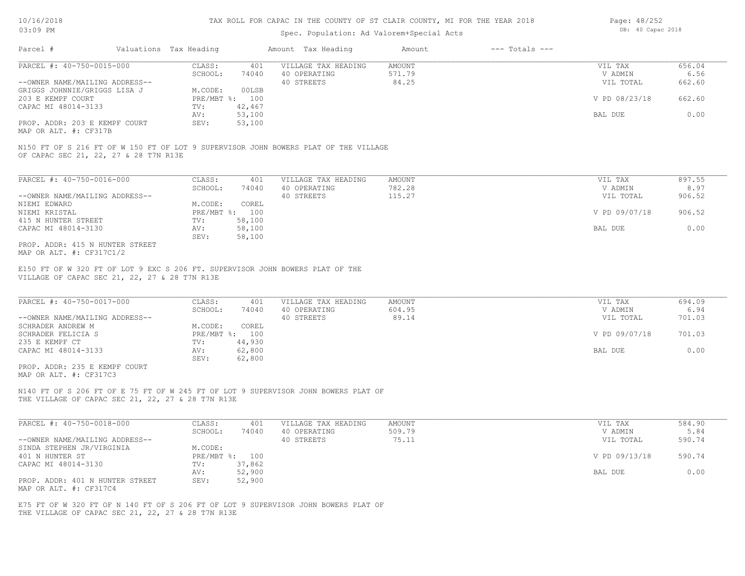### Spec. Population: Ad Valorem+Special Acts

| Page: 48/252 |                   |  |
|--------------|-------------------|--|
|              | DB: 40 Capac 2018 |  |

| 656.04<br>VIL TAX       |
|-------------------------|
| 6.56<br>V ADMIN         |
| 662.60<br>VIL TOTAL     |
|                         |
| V PD 08/23/18<br>662.60 |
|                         |
| 0.00<br>BAL DUE         |
|                         |
|                         |

MAP OR ALT. #: CF317B

OF CAPAC SEC 21, 22, 27 & 28 T7N R13E N150 FT OF S 216 FT OF W 150 FT OF LOT 9 SUPERVISOR JOHN BOWERS PLAT OF THE VILLAGE

| PARCEL #: 40-750-0016-000       | CLASS:       | 401    | VILLAGE TAX HEADING | AMOUNT | VIL TAX       | 897.55 |
|---------------------------------|--------------|--------|---------------------|--------|---------------|--------|
|                                 | SCHOOL:      | 74040  | 40 OPERATING        | 782.28 | V ADMIN       | 8.97   |
| --OWNER NAME/MAILING ADDRESS--  |              |        | 40 STREETS          | 115.27 | VIL TOTAL     | 906.52 |
| NIEMI EDWARD                    | M.CODE:      | COREL  |                     |        |               |        |
| NIEMI KRISTAL                   | $PRE/MBT$ %: | 100    |                     |        | V PD 09/07/18 | 906.52 |
| 415 N HUNTER STREET             | TV:          | 58,100 |                     |        |               |        |
| CAPAC MI 48014-3130             | AV:          | 58,100 |                     |        | BAL DUE       | 0.00   |
|                                 | SEV:         | 58,100 |                     |        |               |        |
| PROP. ADDR: 415 N HUNTER STREET |              |        |                     |        |               |        |

MAP OR ALT. #: CF317C1/2

VILLAGE OF CAPAC SEC 21, 22, 27 & 28 T7N R13E E150 FT OF W 320 FT OF LOT 9 EXC S 206 FT. SUPERVISOR JOHN BOWERS PLAT OF THE

| PARCEL #: 40-750-0017-000      | CLASS:       | 401    | VILLAGE TAX HEADING | AMOUNT | VIL TAX       | 694.09 |
|--------------------------------|--------------|--------|---------------------|--------|---------------|--------|
|                                | SCHOOL:      | 74040  | 40 OPERATING        | 604.95 | V ADMIN       | 6.94   |
| --OWNER NAME/MAILING ADDRESS-- |              |        | 40 STREETS          | 89.14  | VIL TOTAL     | 701.03 |
| SCHRADER ANDREW M              | M.CODE:      | COREL  |                     |        |               |        |
| SCHRADER FELICIA S             | $PRE/MBT$ %: | 100    |                     |        | V PD 09/07/18 | 701.03 |
| 235 E KEMPF CT                 | TV:          | 44,930 |                     |        |               |        |
| CAPAC MI 48014-3133            | AV:          | 62,800 |                     |        | BAL DUE       | 0.00   |
|                                | SEV:         | 62,800 |                     |        |               |        |
| PROP. ADDR: 235 E KEMPF COURT  |              |        |                     |        |               |        |

MAP OR ALT. #: CF317C3

THE VILLAGE OF CAPAC SEC 21, 22, 27 & 28 T7N R13E N140 FT OF S 206 FT OF E 75 FT OF W 245 FT OF LOT 9 SUPERVISOR JOHN BOWERS PLAT OF

| PARCEL #: 40-750-0018-000       | CLASS:  | 401            | VILLAGE TAX HEADING | AMOUNT | VIL TAX       | 584.90 |
|---------------------------------|---------|----------------|---------------------|--------|---------------|--------|
|                                 | SCHOOL: | 74040          | 40 OPERATING        | 509.79 | V ADMIN       | 5.84   |
| --OWNER NAME/MAILING ADDRESS--  |         |                | 40 STREETS          | 75.11  | VIL TOTAL     | 590.74 |
| SINDA STEPHEN JR/VIRGINIA       | M.CODE: |                |                     |        |               |        |
| 401 N HUNTER ST                 |         | PRE/MBT %: 100 |                     |        | V PD 09/13/18 | 590.74 |
| CAPAC MI 48014-3130             | TV:     | 37,862         |                     |        |               |        |
|                                 | AV:     | 52,900         |                     |        | BAL DUE       | 0.00   |
| PROP. ADDR: 401 N HUNTER STREET | SEV:    | 52,900         |                     |        |               |        |
| MAP OR ALT. #: CF317C4          |         |                |                     |        |               |        |

THE VILLAGE OF CAPAC SEC 21, 22, 27 & 28 T7N R13E E75 FT OF W 320 FT OF N 140 FT OF S 206 FT OF LOT 9 SUPERVISOR JOHN BOWERS PLAT OF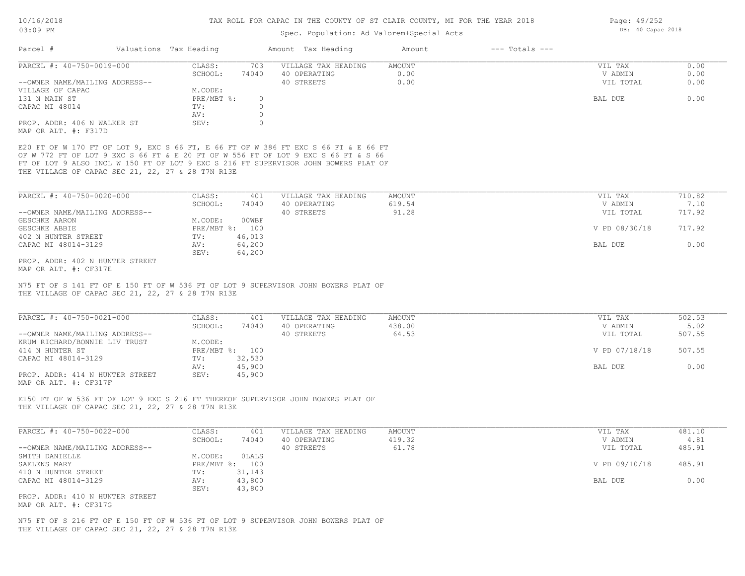# Spec. Population: Ad Valorem+Special Acts

| Parcel #                                                 | Valuations Tax Heading |                           |                  | Amount Tax Heading                                                                  | Amount          | $---$ Totals $---$ |                      |                |
|----------------------------------------------------------|------------------------|---------------------------|------------------|-------------------------------------------------------------------------------------|-----------------|--------------------|----------------------|----------------|
| PARCEL #: 40-750-0019-000                                |                        | CLASS:                    | 703              |                                                                                     | AMOUNT          |                    | VIL TAX              | 0.00           |
|                                                          |                        | SCHOOL:                   | 74040            | VILLAGE TAX HEADING<br>40 OPERATING                                                 | 0.00            |                    | V ADMIN              | 0.00           |
| --OWNER NAME/MAILING ADDRESS--                           |                        |                           |                  | 40 STREETS                                                                          | 0.00            |                    | VIL TOTAL            | 0.00           |
| VILLAGE OF CAPAC                                         |                        | M.CODE:                   |                  |                                                                                     |                 |                    |                      |                |
| 131 N MAIN ST                                            |                        | PRE/MBT %:                | 0                |                                                                                     |                 |                    | BAL DUE              | 0.00           |
| CAPAC MI 48014                                           |                        | TV:                       | $\circ$          |                                                                                     |                 |                    |                      |                |
|                                                          |                        | AV:                       | $\circ$          |                                                                                     |                 |                    |                      |                |
| PROP. ADDR: 406 N WALKER ST<br>MAP OR ALT. #: F317D      |                        | SEV:                      | $\Omega$         |                                                                                     |                 |                    |                      |                |
|                                                          |                        |                           |                  | E20 FT OF W 170 FT OF LOT 9, EXC S 66 FT, E 66 FT OF W 386 FT EXC S 66 FT & E 66 FT |                 |                    |                      |                |
|                                                          |                        |                           |                  | OF W 772 FT OF LOT 9 EXC S 66 FT & E 20 FT OF W 556 FT OF LOT 9 EXC S 66 FT & S 66  |                 |                    |                      |                |
|                                                          |                        |                           |                  | FT OF LOT 9 ALSO INCL W 150 FT OF LOT 9 EXC S 216 FT SUPERVISOR JOHN BOWERS PLAT OF |                 |                    |                      |                |
| THE VILLAGE OF CAPAC SEC 21, 22, 27 & 28 T7N R13E        |                        |                           |                  |                                                                                     |                 |                    |                      |                |
|                                                          |                        |                           |                  |                                                                                     |                 |                    |                      |                |
| PARCEL #: 40-750-0020-000                                |                        | CLASS:                    | 401              | VILLAGE TAX HEADING                                                                 | AMOUNT          |                    | VIL TAX              | 710.82         |
|                                                          |                        | SCHOOL:                   | 74040            | 40 OPERATING                                                                        | 619.54          |                    | V ADMIN              | 7.10           |
| --OWNER NAME/MAILING ADDRESS--                           |                        |                           |                  | 40 STREETS                                                                          | 91.28           |                    | VIL TOTAL            | 717.92         |
| GESCHKE AARON<br>GESCHKE ABBIE                           |                        | M.CODE:<br>PRE/MBT %: 100 | 00WBF            |                                                                                     |                 |                    | V PD 08/30/18        | 717.92         |
| 402 N HUNTER STREET                                      |                        | TV:                       | 46,013           |                                                                                     |                 |                    |                      |                |
| CAPAC MI 48014-3129                                      |                        | AV:                       | 64,200           |                                                                                     |                 |                    | BAL DUE              | 0.00           |
|                                                          |                        | SEV:                      | 64,200           |                                                                                     |                 |                    |                      |                |
| PROP. ADDR: 402 N HUNTER STREET<br>MAP OR ALT. #: CF317E |                        |                           |                  |                                                                                     |                 |                    |                      |                |
|                                                          |                        |                           |                  |                                                                                     |                 |                    |                      |                |
| THE VILLAGE OF CAPAC SEC 21, 22, 27 & 28 T7N R13E        |                        |                           |                  |                                                                                     |                 |                    |                      |                |
| PARCEL #: 40-750-0021-000                                |                        | CLASS:                    | 401              | VILLAGE TAX HEADING                                                                 | AMOUNT          |                    | VIL TAX              | 502.53         |
| --OWNER NAME/MAILING ADDRESS--                           |                        | SCHOOL:                   | 74040            | 40 OPERATING<br>40 STREETS                                                          | 438.00<br>64.53 |                    | V ADMIN<br>VIL TOTAL | 5.02<br>507.55 |
| KRUM RICHARD/BONNIE LIV TRUST                            |                        | M.CODE:                   |                  |                                                                                     |                 |                    |                      |                |
| 414 N HUNTER ST                                          |                        | PRE/MBT %: 100            |                  |                                                                                     |                 |                    | V PD 07/18/18        | 507.55         |
| CAPAC MI 48014-3129                                      |                        | TV:                       | 32,530           |                                                                                     |                 |                    |                      |                |
|                                                          |                        | AV:                       | 45,900           |                                                                                     |                 |                    | BAL DUE              | 0.00           |
| PROP. ADDR: 414 N HUNTER STREET<br>MAP OR ALT. #: CF317F |                        | SEV:                      | 45,900           |                                                                                     |                 |                    |                      |                |
|                                                          |                        |                           |                  | E150 FT OF W 536 FT OF LOT 9 EXC S 216 FT THEREOF SUPERVISOR JOHN BOWERS PLAT OF    |                 |                    |                      |                |
| THE VILLAGE OF CAPAC SEC 21, 22, 27 & 28 T7N R13E        |                        |                           |                  |                                                                                     |                 |                    |                      |                |
| PARCEL #: 40-750-0022-000                                |                        | CLASS:                    | 401              | VILLAGE TAX HEADING                                                                 | AMOUNT          |                    | VIL TAX              | 481.10         |
|                                                          |                        | SCHOOL:                   | 74040            | 40 OPERATING                                                                        | 419.32          |                    | V ADMIN              | 4.81           |
| --OWNER NAME/MAILING ADDRESS--                           |                        |                           |                  | 40 STREETS                                                                          | 61.78           |                    | VIL TOTAL            | 485.91         |
| SMITH DANIELLE                                           |                        | M.CODE: OLALS             |                  |                                                                                     |                 |                    |                      |                |
| SAELENS MARY<br>410 N HUNTER STREET                      |                        | PRE/MBT %: 100            |                  |                                                                                     |                 |                    | V PD 09/10/18        | 485.91         |
| CAPAC MI 48014-3129                                      |                        | TV:<br>AV:                | 31,143<br>43,800 |                                                                                     |                 |                    | BAL DUE              | 0.00           |
|                                                          |                        | SEV:                      | 43,800           |                                                                                     |                 |                    |                      |                |
| PROP. ADDR: 410 N HUNTER STREET                          |                        |                           |                  |                                                                                     |                 |                    |                      |                |
| MAP OR ALT. #: CF317G                                    |                        |                           |                  |                                                                                     |                 |                    |                      |                |
|                                                          |                        |                           |                  |                                                                                     |                 |                    |                      |                |
| THE VILLAGE OF CAPAC SEC 21, 22, 27 & 28 T7N R13E        |                        |                           |                  | N75 FT OF S 216 FT OF E 150 FT OF W 536 FT OF LOT 9 SUPERVISOR JOHN BOWERS PLAT OF  |                 |                    |                      |                |

Page: 49/252 DB: 40 Capac 2018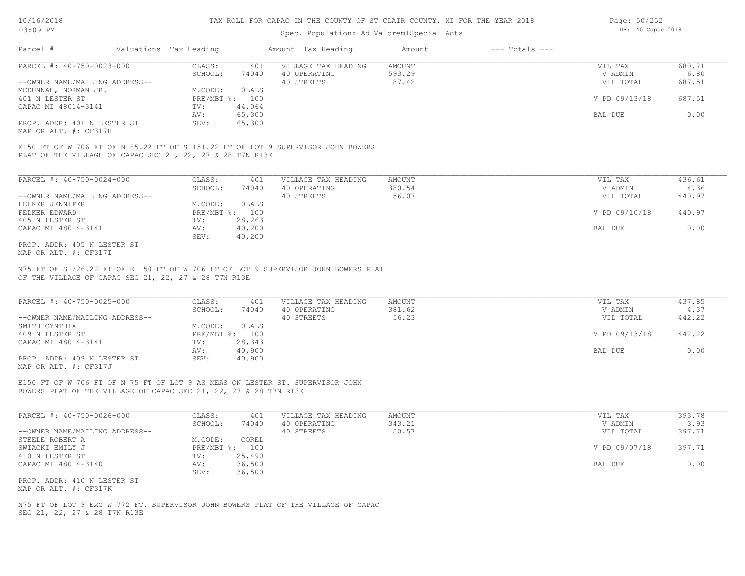### Spec. Population: Ad Valorem+Special Acts

| Parcel #                       | Valuations Tax Heading |        | Amount Tax Heading  | Amount | $---$ Totals $---$ |               |        |
|--------------------------------|------------------------|--------|---------------------|--------|--------------------|---------------|--------|
| PARCEL #: 40-750-0023-000      | CLASS:                 | 401    | VILLAGE TAX HEADING | AMOUNT |                    | VIL TAX       | 680.71 |
|                                | SCHOOL:                | 74040  | 40 OPERATING        | 593.29 |                    | V ADMIN       | 6.80   |
| --OWNER NAME/MAILING ADDRESS-- |                        |        | 40 STREETS          | 87.42  |                    | VIL TOTAL     | 687.51 |
| MCDUNNAH, NORMAN JR.           | M.CODE:                | OLALS  |                     |        |                    |               |        |
| 401 N LESTER ST                | PRE/MBT %: 100         |        |                     |        |                    | V PD 09/13/18 | 687.51 |
| CAPAC MI 48014-3141            | TV:                    | 44,064 |                     |        |                    |               |        |
|                                | AV:                    | 65,300 |                     |        |                    | BAL DUE       | 0.00   |
| PROP. ADDR: 401 N LESTER ST    | SEV:                   | 65,300 |                     |        |                    |               |        |
|                                |                        |        |                     |        |                    |               |        |

MAP OR ALT. #: CF317H

PLAT OF THE VILLAGE OF CAPAC SEC 21, 22, 27 & 28 T7N R13E E150 FT OF W 706 FT OF N 85.22 FT OF S 151.22 FT OF LOT 9 SUPERVISOR JOHN BOWERS

| PARCEL #: 40-750-0024-000      | CLASS:       | 401    | VILLAGE TAX HEADING | AMOUNT | 436.61<br>VIL TAX       |      |
|--------------------------------|--------------|--------|---------------------|--------|-------------------------|------|
|                                | SCHOOL:      | 74040  | 40 OPERATING        | 380.54 | V ADMIN                 | 4.36 |
| --OWNER NAME/MAILING ADDRESS-- |              |        | 40 STREETS          | 56.07  | 440.97<br>VIL TOTAL     |      |
| FELKER JENNIFER                | M.CODE:      | OLALS  |                     |        |                         |      |
| FELKER EDWARD                  | $PRE/MBT$ %: | 100    |                     |        | V PD 09/10/18<br>440.97 |      |
| 405 N LESTER ST                | TV:          | 28,263 |                     |        |                         |      |
| CAPAC MI 48014-3141            | AV:          | 40,200 |                     |        | BAL DUE                 | 0.00 |
|                                | SEV:         | 40,200 |                     |        |                         |      |
| PROP. ADDR: 405 N LESTER ST    |              |        |                     |        |                         |      |

MAP OR ALT. #: CF317I

OF THE VILLAGE OF CAPAC SEC 21, 22, 27 & 28 T7N R13E N75 FT OF S 226.22 FT OF E 150 FT OF W 706 FT OF LOT 9 SUPERVISOR JOHN BOWERS PLAT

| PARCEL #: 40-750-0025-000      | CLASS:       | 401    | VILLAGE TAX HEADING | AMOUNT | VIL TAX       | 437.85 |
|--------------------------------|--------------|--------|---------------------|--------|---------------|--------|
|                                | SCHOOL:      | 74040  | 40 OPERATING        | 381.62 | V ADMIN       | 4.37   |
| --OWNER NAME/MAILING ADDRESS-- |              |        | 40 STREETS          | 56.23  | VIL TOTAL     | 442.22 |
| SMITH CYNTHIA                  | M.CODE:      | OLALS  |                     |        |               |        |
| 409 N LESTER ST                | $PRE/MBT$ %: | 100    |                     |        | V PD 09/13/18 | 442.22 |
| CAPAC MI 48014-3141            | TV:          | 28,343 |                     |        |               |        |
|                                | AV:          | 40,900 |                     |        | BAL DUE       | 0.00   |
| PROP. ADDR: 409 N LESTER ST    | SEV:         | 40,900 |                     |        |               |        |
| MAP OR ALT. #: CF317J          |              |        |                     |        |               |        |

 $\mathcal{L}_\mathcal{L} = \mathcal{L}_\mathcal{L} = \mathcal{L}_\mathcal{L} = \mathcal{L}_\mathcal{L} = \mathcal{L}_\mathcal{L} = \mathcal{L}_\mathcal{L} = \mathcal{L}_\mathcal{L} = \mathcal{L}_\mathcal{L} = \mathcal{L}_\mathcal{L} = \mathcal{L}_\mathcal{L} = \mathcal{L}_\mathcal{L} = \mathcal{L}_\mathcal{L} = \mathcal{L}_\mathcal{L} = \mathcal{L}_\mathcal{L} = \mathcal{L}_\mathcal{L} = \mathcal{L}_\mathcal{L} = \mathcal{L}_\mathcal{L}$ 

BOWERS PLAT OF THE VILLAGE OF CAPAC SEC 21, 22, 27 & 28 T7N R13E E150 FT OF W 706 FT OF N 75 FT OF LOT 9 AS MEAS ON LESTER ST. SUPERVISOR JOHN

| PARCEL #: 40-750-0026-000      | CLASS:     | 401    | VILLAGE TAX HEADING | AMOUNT | VIL TAX       | 393.78 |
|--------------------------------|------------|--------|---------------------|--------|---------------|--------|
|                                | SCHOOL:    | 74040  | 40 OPERATING        | 343.21 | V ADMIN       | 3.93   |
| --OWNER NAME/MAILING ADDRESS-- |            |        | 40 STREETS          | 50.57  | VIL TOTAL     | 397.71 |
| STEELE ROBERT A                | M.CODE:    | COREL  |                     |        |               |        |
| SWIACKI EMILY J                | PRE/MBT %: | 100    |                     |        | V PD 09/07/18 | 397.71 |
| 410 N LESTER ST                | TV:        | 25,490 |                     |        |               |        |
| CAPAC MI 48014-3140            | AV:        | 36,500 |                     |        | BAL DUE       | 0.00   |
|                                | SEV:       | 36,500 |                     |        |               |        |
| PROP. ADDR: 410 N LESTER ST    |            |        |                     |        |               |        |

MAP OR ALT. #: CF317K

SEC 21, 22, 27 & 28 T7N R13E N75 FT OF LOT 9 EXC W 772 FT. SUPERVISOR JOHN BOWERS PLAT OF THE VILLAGE OF CAPAC Page: 50/252 DB: 40 Capac 2018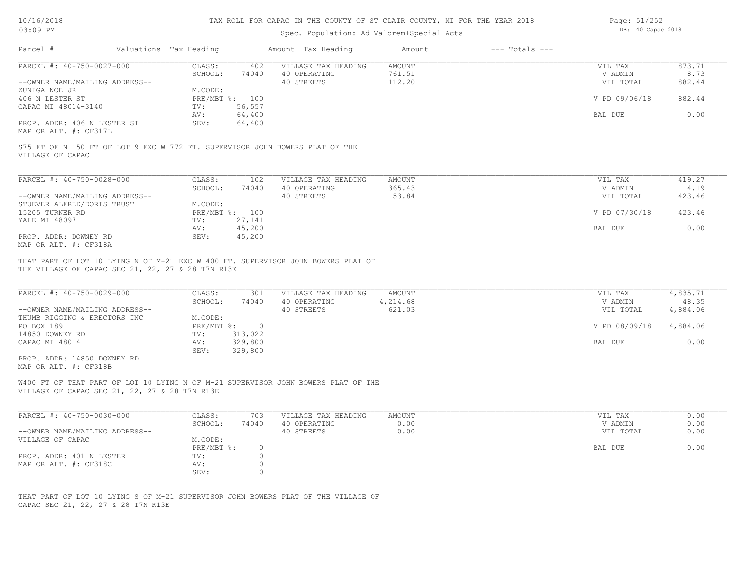# 10/16/2018

### TAX ROLL FOR CAPAC IN THE COUNTY OF ST CLAIR COUNTY, MI FOR THE YEAR 2018

Page: 51/252

| Parcel #<br>Valuations Tax Heading                                                                                                                                                                                                                                            |                                   |                                                   | Amount                              |                    |                                 |                               |
|-------------------------------------------------------------------------------------------------------------------------------------------------------------------------------------------------------------------------------------------------------------------------------|-----------------------------------|---------------------------------------------------|-------------------------------------|--------------------|---------------------------------|-------------------------------|
|                                                                                                                                                                                                                                                                               |                                   | Amount Tax Heading                                |                                     | $---$ Totals $---$ |                                 |                               |
| PARCEL #: 40-750-0027-000                                                                                                                                                                                                                                                     | CLASS:<br>402                     | VILLAGE TAX HEADING                               | AMOUNT                              |                    | VIL TAX                         | 873.71                        |
|                                                                                                                                                                                                                                                                               | SCHOOL:<br>74040                  | 40 OPERATING                                      | 761.51                              |                    | V ADMIN                         | 8.73                          |
| --OWNER NAME/MAILING ADDRESS--                                                                                                                                                                                                                                                |                                   | 40 STREETS                                        | 112.20                              |                    | VIL TOTAL                       | 882.44                        |
| ZUNIGA NOE JR                                                                                                                                                                                                                                                                 | M.CODE:                           |                                                   |                                     |                    |                                 |                               |
| 406 N LESTER ST                                                                                                                                                                                                                                                               | PRE/MBT %: 100                    |                                                   |                                     |                    | V PD 09/06/18                   | 882.44                        |
| CAPAC MI 48014-3140                                                                                                                                                                                                                                                           | 56,557<br>TV:                     |                                                   |                                     |                    |                                 |                               |
|                                                                                                                                                                                                                                                                               | 64,400<br>AV:                     |                                                   |                                     |                    | BAL DUE                         | 0.00                          |
| PROP. ADDR: 406 N LESTER ST                                                                                                                                                                                                                                                   | SEV:<br>64,400                    |                                                   |                                     |                    |                                 |                               |
| MAP OR ALT. #: CF317L                                                                                                                                                                                                                                                         |                                   |                                                   |                                     |                    |                                 |                               |
| S75 FT OF N 150 FT OF LOT 9 EXC W 772 FT. SUPERVISOR JOHN BOWERS PLAT OF THE<br>VILLAGE OF CAPAC                                                                                                                                                                              |                                   |                                                   |                                     |                    |                                 |                               |
| PARCEL #: 40-750-0028-000                                                                                                                                                                                                                                                     | CLASS:<br>102                     | VILLAGE TAX HEADING                               | AMOUNT                              |                    | VIL TAX                         | 419.27                        |
|                                                                                                                                                                                                                                                                               |                                   |                                                   |                                     |                    |                                 |                               |
|                                                                                                                                                                                                                                                                               | SCHOOL:<br>74040                  | 40 OPERATING                                      | 365.43                              |                    | V ADMIN                         | 4.19                          |
| --OWNER NAME/MAILING ADDRESS--                                                                                                                                                                                                                                                |                                   | 40 STREETS                                        | 53.84                               |                    | VIL TOTAL                       | 423.46                        |
| STUEVER ALFRED/DORIS TRUST                                                                                                                                                                                                                                                    | M.CODE:                           |                                                   |                                     |                    |                                 |                               |
| 15205 TURNER RD                                                                                                                                                                                                                                                               | PRE/MBT %: 100                    |                                                   |                                     |                    | V PD 07/30/18                   | 423.46                        |
| YALE MI 48097                                                                                                                                                                                                                                                                 | TV:<br>27,141                     |                                                   |                                     |                    |                                 |                               |
|                                                                                                                                                                                                                                                                               | 45,200<br>AV:                     |                                                   |                                     |                    | BAL DUE                         | 0.00                          |
|                                                                                                                                                                                                                                                                               |                                   |                                                   |                                     |                    |                                 |                               |
|                                                                                                                                                                                                                                                                               | SEV:<br>45,200                    |                                                   |                                     |                    |                                 |                               |
|                                                                                                                                                                                                                                                                               |                                   |                                                   |                                     |                    |                                 |                               |
| PROP. ADDR: DOWNEY RD<br>MAP OR ALT. #: CF318A<br>THAT PART OF LOT 10 LYING N OF M-21 EXC W 400 FT. SUPERVISOR JOHN BOWERS PLAT OF<br>THE VILLAGE OF CAPAC SEC 21, 22, 27 & 28 T7N R13E<br>PARCEL #: 40-750-0029-000<br>--OWNER NAME/MAILING ADDRESS--                        | CLASS:<br>301<br>SCHOOL:<br>74040 | VILLAGE TAX HEADING<br>40 OPERATING<br>40 STREETS | <b>AMOUNT</b><br>4,214.68<br>621.03 |                    | VIL TAX<br>V ADMIN<br>VIL TOTAL | 4,835.71<br>48.35<br>4,884.06 |
|                                                                                                                                                                                                                                                                               | M.CODE:<br>PRE/MBT %: 0           |                                                   |                                     |                    | V PD 08/09/18                   | 4,884.06                      |
|                                                                                                                                                                                                                                                                               | 313,022<br>TV:                    |                                                   |                                     |                    |                                 |                               |
|                                                                                                                                                                                                                                                                               | 329,800<br>AV:                    |                                                   |                                     |                    | BAL DUE                         |                               |
|                                                                                                                                                                                                                                                                               | 329,800<br>SEV:                   |                                                   |                                     |                    |                                 |                               |
|                                                                                                                                                                                                                                                                               |                                   |                                                   |                                     |                    |                                 | 0.00                          |
| THUMB RIGGING & ERECTORS INC<br>PO BOX 189<br>14850 DOWNEY RD<br>CAPAC MI 48014<br>PROP. ADDR: 14850 DOWNEY RD<br>MAP OR ALT. #: CF318B<br>W400 FT OF THAT PART OF LOT 10 LYING N OF M-21 SUPERVISOR JOHN BOWERS PLAT OF THE<br>VILLAGE OF CAPAC SEC 21, 22, 27 & 28 T7N R13E |                                   |                                                   |                                     |                    |                                 |                               |
|                                                                                                                                                                                                                                                                               |                                   |                                                   |                                     |                    |                                 |                               |
|                                                                                                                                                                                                                                                                               | CLASS:<br>703                     | VILLAGE TAX HEADING                               | AMOUNT                              |                    | VIL TAX                         | 0.00                          |
|                                                                                                                                                                                                                                                                               | SCHOOL:<br>74040                  | 40 OPERATING                                      | 0.00                                |                    | V ADMIN                         | 0.00                          |
|                                                                                                                                                                                                                                                                               |                                   | 40 STREETS                                        | 0.00                                |                    | VIL TOTAL                       |                               |
|                                                                                                                                                                                                                                                                               | M.CODE:                           |                                                   |                                     |                    |                                 | 0.00                          |
|                                                                                                                                                                                                                                                                               |                                   |                                                   |                                     |                    |                                 |                               |
|                                                                                                                                                                                                                                                                               | PRE/MBT %: 0                      |                                                   |                                     |                    | BAL DUE                         |                               |
| PARCEL #: 40-750-0030-000<br>--OWNER NAME/MAILING ADDRESS--<br>VILLAGE OF CAPAC<br>PROP. ADDR: 401 N LESTER                                                                                                                                                                   | $\circ$<br>TV:                    |                                                   |                                     |                    |                                 | 0.00                          |
| MAP OR ALT. #: CF318C                                                                                                                                                                                                                                                         | $\circ$<br>AV:<br>$\circ$<br>SEV: |                                                   |                                     |                    |                                 |                               |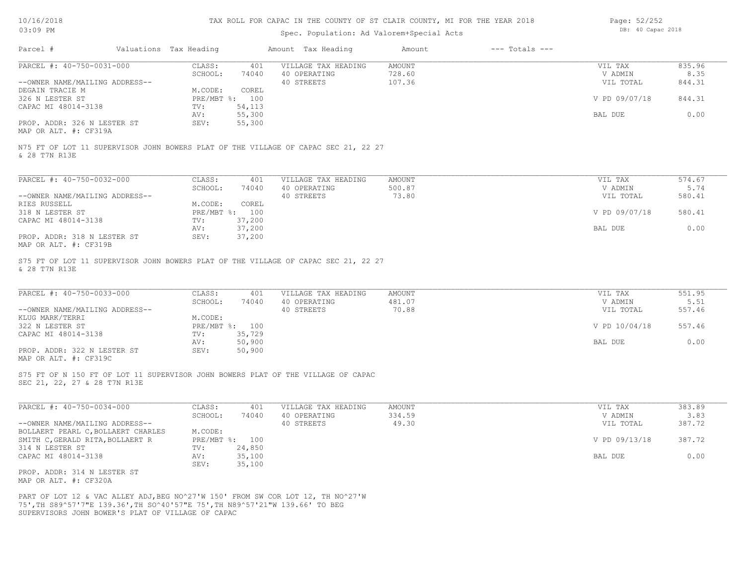# Spec. Population: Ad Valorem+Special Acts

| Page: 52/252 |                   |  |
|--------------|-------------------|--|
|              | DB: 40 Capac 2018 |  |

| PARCEL #: 40-750-0031-000<br>VILLAGE TAX HEADING<br><b>AMOUNT</b><br>CLASS:<br>401<br>728.60<br>SCHOOL:<br>74040<br>40 OPERATING<br>107.36<br>--OWNER NAME/MAILING ADDRESS--<br>40 STREETS<br>COREL<br>DEGAIN TRACIE M<br>M.CODE:<br>326 N LESTER ST<br>PRE/MBT %: 100<br>54,113<br>CAPAC MI 48014-3138<br>TV:<br>55,300<br>AV:<br>PROP. ADDR: 326 N LESTER ST<br>SEV:<br>55,300<br>MAP OR ALT. #: CF319A<br>N75 FT OF LOT 11 SUPERVISOR JOHN BOWERS PLAT OF THE VILLAGE OF CAPAC SEC 21, 22 27<br>& 28 T7N R13E<br>PARCEL #: 40-750-0032-000<br>CLASS:<br>401<br>VILLAGE TAX HEADING<br>AMOUNT<br>500.87<br>SCHOOL:<br>74040<br>40 OPERATING<br>73.80<br>--OWNER NAME/MAILING ADDRESS--<br>40 STREETS<br>RIES RUSSELL<br>M.CODE:<br>COREL<br>318 N LESTER ST<br>PRE/MBT %: 100<br>CAPAC MI 48014-3138<br>37,200<br>TV:<br>37,200<br>AV:<br>SEV:<br>37,200<br>PROP. ADDR: 318 N LESTER ST<br>MAP OR ALT. #: CF319B<br>S75 FT OF LOT 11 SUPERVISOR JOHN BOWERS PLAT OF THE VILLAGE OF CAPAC SEC 21, 22 27<br>& 28 T7N R13E<br>PARCEL #: 40-750-0033-000<br>CLASS:<br>401<br>VILLAGE TAX HEADING<br>AMOUNT<br>SCHOOL:<br>40 OPERATING<br>481.07<br>74040<br>70.88<br>40 STREETS<br>--OWNER NAME/MAILING ADDRESS--<br>KLUG MARK/TERRI<br>M.CODE:<br>322 N LESTER ST<br>PRE/MBT %: 100<br>35,729<br>CAPAC MI 48014-3138<br>TV:<br>50,900<br>AV:<br>PROP. ADDR: 322 N LESTER ST<br>SEV:<br>50,900<br>MAP OR ALT. #: CF319C<br>S75 FT OF N 150 FT OF LOT 11 SUPERVISOR JOHN BOWERS PLAT OF THE VILLAGE OF CAPAC<br>SEC 21, 22, 27 & 28 T7N R13E | VIL TAX<br>V ADMIN<br>VIL TOTAL<br>V PD 09/07/18<br>BAL DUE<br>VIL TAX<br>V ADMIN<br>VIL TOTAL<br>V PD 09/07/18<br>BAL DUE<br>VIL TAX<br>V ADMIN | 835.96<br>8.35<br>844.31<br>844.31<br>0.00<br>574.67<br>5.74<br>580.41<br>580.41<br>0.00<br>551.95<br>5.51 |
|-------------------------------------------------------------------------------------------------------------------------------------------------------------------------------------------------------------------------------------------------------------------------------------------------------------------------------------------------------------------------------------------------------------------------------------------------------------------------------------------------------------------------------------------------------------------------------------------------------------------------------------------------------------------------------------------------------------------------------------------------------------------------------------------------------------------------------------------------------------------------------------------------------------------------------------------------------------------------------------------------------------------------------------------------------------------------------------------------------------------------------------------------------------------------------------------------------------------------------------------------------------------------------------------------------------------------------------------------------------------------------------------------------------------------------------------------------------------------------------------------------------------------------------------|--------------------------------------------------------------------------------------------------------------------------------------------------|------------------------------------------------------------------------------------------------------------|
|                                                                                                                                                                                                                                                                                                                                                                                                                                                                                                                                                                                                                                                                                                                                                                                                                                                                                                                                                                                                                                                                                                                                                                                                                                                                                                                                                                                                                                                                                                                                           |                                                                                                                                                  |                                                                                                            |
|                                                                                                                                                                                                                                                                                                                                                                                                                                                                                                                                                                                                                                                                                                                                                                                                                                                                                                                                                                                                                                                                                                                                                                                                                                                                                                                                                                                                                                                                                                                                           |                                                                                                                                                  |                                                                                                            |
|                                                                                                                                                                                                                                                                                                                                                                                                                                                                                                                                                                                                                                                                                                                                                                                                                                                                                                                                                                                                                                                                                                                                                                                                                                                                                                                                                                                                                                                                                                                                           |                                                                                                                                                  |                                                                                                            |
|                                                                                                                                                                                                                                                                                                                                                                                                                                                                                                                                                                                                                                                                                                                                                                                                                                                                                                                                                                                                                                                                                                                                                                                                                                                                                                                                                                                                                                                                                                                                           |                                                                                                                                                  |                                                                                                            |
|                                                                                                                                                                                                                                                                                                                                                                                                                                                                                                                                                                                                                                                                                                                                                                                                                                                                                                                                                                                                                                                                                                                                                                                                                                                                                                                                                                                                                                                                                                                                           |                                                                                                                                                  |                                                                                                            |
|                                                                                                                                                                                                                                                                                                                                                                                                                                                                                                                                                                                                                                                                                                                                                                                                                                                                                                                                                                                                                                                                                                                                                                                                                                                                                                                                                                                                                                                                                                                                           |                                                                                                                                                  |                                                                                                            |
|                                                                                                                                                                                                                                                                                                                                                                                                                                                                                                                                                                                                                                                                                                                                                                                                                                                                                                                                                                                                                                                                                                                                                                                                                                                                                                                                                                                                                                                                                                                                           |                                                                                                                                                  |                                                                                                            |
|                                                                                                                                                                                                                                                                                                                                                                                                                                                                                                                                                                                                                                                                                                                                                                                                                                                                                                                                                                                                                                                                                                                                                                                                                                                                                                                                                                                                                                                                                                                                           |                                                                                                                                                  |                                                                                                            |
|                                                                                                                                                                                                                                                                                                                                                                                                                                                                                                                                                                                                                                                                                                                                                                                                                                                                                                                                                                                                                                                                                                                                                                                                                                                                                                                                                                                                                                                                                                                                           |                                                                                                                                                  |                                                                                                            |
|                                                                                                                                                                                                                                                                                                                                                                                                                                                                                                                                                                                                                                                                                                                                                                                                                                                                                                                                                                                                                                                                                                                                                                                                                                                                                                                                                                                                                                                                                                                                           |                                                                                                                                                  |                                                                                                            |
|                                                                                                                                                                                                                                                                                                                                                                                                                                                                                                                                                                                                                                                                                                                                                                                                                                                                                                                                                                                                                                                                                                                                                                                                                                                                                                                                                                                                                                                                                                                                           |                                                                                                                                                  |                                                                                                            |
|                                                                                                                                                                                                                                                                                                                                                                                                                                                                                                                                                                                                                                                                                                                                                                                                                                                                                                                                                                                                                                                                                                                                                                                                                                                                                                                                                                                                                                                                                                                                           |                                                                                                                                                  |                                                                                                            |
|                                                                                                                                                                                                                                                                                                                                                                                                                                                                                                                                                                                                                                                                                                                                                                                                                                                                                                                                                                                                                                                                                                                                                                                                                                                                                                                                                                                                                                                                                                                                           |                                                                                                                                                  |                                                                                                            |
|                                                                                                                                                                                                                                                                                                                                                                                                                                                                                                                                                                                                                                                                                                                                                                                                                                                                                                                                                                                                                                                                                                                                                                                                                                                                                                                                                                                                                                                                                                                                           |                                                                                                                                                  |                                                                                                            |
|                                                                                                                                                                                                                                                                                                                                                                                                                                                                                                                                                                                                                                                                                                                                                                                                                                                                                                                                                                                                                                                                                                                                                                                                                                                                                                                                                                                                                                                                                                                                           |                                                                                                                                                  |                                                                                                            |
|                                                                                                                                                                                                                                                                                                                                                                                                                                                                                                                                                                                                                                                                                                                                                                                                                                                                                                                                                                                                                                                                                                                                                                                                                                                                                                                                                                                                                                                                                                                                           |                                                                                                                                                  |                                                                                                            |
|                                                                                                                                                                                                                                                                                                                                                                                                                                                                                                                                                                                                                                                                                                                                                                                                                                                                                                                                                                                                                                                                                                                                                                                                                                                                                                                                                                                                                                                                                                                                           |                                                                                                                                                  |                                                                                                            |
|                                                                                                                                                                                                                                                                                                                                                                                                                                                                                                                                                                                                                                                                                                                                                                                                                                                                                                                                                                                                                                                                                                                                                                                                                                                                                                                                                                                                                                                                                                                                           | VIL TOTAL                                                                                                                                        | 557.46                                                                                                     |
|                                                                                                                                                                                                                                                                                                                                                                                                                                                                                                                                                                                                                                                                                                                                                                                                                                                                                                                                                                                                                                                                                                                                                                                                                                                                                                                                                                                                                                                                                                                                           | V PD 10/04/18                                                                                                                                    | 557.46                                                                                                     |
|                                                                                                                                                                                                                                                                                                                                                                                                                                                                                                                                                                                                                                                                                                                                                                                                                                                                                                                                                                                                                                                                                                                                                                                                                                                                                                                                                                                                                                                                                                                                           |                                                                                                                                                  |                                                                                                            |
|                                                                                                                                                                                                                                                                                                                                                                                                                                                                                                                                                                                                                                                                                                                                                                                                                                                                                                                                                                                                                                                                                                                                                                                                                                                                                                                                                                                                                                                                                                                                           | BAL DUE                                                                                                                                          | 0.00                                                                                                       |
|                                                                                                                                                                                                                                                                                                                                                                                                                                                                                                                                                                                                                                                                                                                                                                                                                                                                                                                                                                                                                                                                                                                                                                                                                                                                                                                                                                                                                                                                                                                                           |                                                                                                                                                  |                                                                                                            |
|                                                                                                                                                                                                                                                                                                                                                                                                                                                                                                                                                                                                                                                                                                                                                                                                                                                                                                                                                                                                                                                                                                                                                                                                                                                                                                                                                                                                                                                                                                                                           |                                                                                                                                                  |                                                                                                            |
| PARCEL #: 40-750-0034-000<br>VILLAGE TAX HEADING<br>CLASS:<br>401<br>AMOUNT                                                                                                                                                                                                                                                                                                                                                                                                                                                                                                                                                                                                                                                                                                                                                                                                                                                                                                                                                                                                                                                                                                                                                                                                                                                                                                                                                                                                                                                               | VIL TAX                                                                                                                                          | 383.89                                                                                                     |
| SCHOOL:<br>74040<br>40 OPERATING<br>334.59                                                                                                                                                                                                                                                                                                                                                                                                                                                                                                                                                                                                                                                                                                                                                                                                                                                                                                                                                                                                                                                                                                                                                                                                                                                                                                                                                                                                                                                                                                | V ADMIN                                                                                                                                          | 3.83                                                                                                       |
| 40 STREETS<br>49.30<br>--OWNER NAME/MAILING ADDRESS--                                                                                                                                                                                                                                                                                                                                                                                                                                                                                                                                                                                                                                                                                                                                                                                                                                                                                                                                                                                                                                                                                                                                                                                                                                                                                                                                                                                                                                                                                     | VIL TOTAL                                                                                                                                        | 387.72                                                                                                     |
| BOLLAERT PEARL C, BOLLAERT CHARLES<br>M.CODE:<br>PRE/MBT %: 100<br>SMITH C, GERALD RITA, BOLLAERT R                                                                                                                                                                                                                                                                                                                                                                                                                                                                                                                                                                                                                                                                                                                                                                                                                                                                                                                                                                                                                                                                                                                                                                                                                                                                                                                                                                                                                                       | V PD 09/13/18                                                                                                                                    | 387.72                                                                                                     |
| 314 N LESTER ST<br>24,850<br>TV:                                                                                                                                                                                                                                                                                                                                                                                                                                                                                                                                                                                                                                                                                                                                                                                                                                                                                                                                                                                                                                                                                                                                                                                                                                                                                                                                                                                                                                                                                                          |                                                                                                                                                  |                                                                                                            |
| 35,100<br>CAPAC MI 48014-3138<br>AV:                                                                                                                                                                                                                                                                                                                                                                                                                                                                                                                                                                                                                                                                                                                                                                                                                                                                                                                                                                                                                                                                                                                                                                                                                                                                                                                                                                                                                                                                                                      | BAL DUE                                                                                                                                          | 0.00                                                                                                       |
| 35,100<br>SEV:                                                                                                                                                                                                                                                                                                                                                                                                                                                                                                                                                                                                                                                                                                                                                                                                                                                                                                                                                                                                                                                                                                                                                                                                                                                                                                                                                                                                                                                                                                                            |                                                                                                                                                  |                                                                                                            |
| PROP. ADDR: 314 N LESTER ST<br>MAP OR ALT. #: CF320A                                                                                                                                                                                                                                                                                                                                                                                                                                                                                                                                                                                                                                                                                                                                                                                                                                                                                                                                                                                                                                                                                                                                                                                                                                                                                                                                                                                                                                                                                      |                                                                                                                                                  |                                                                                                            |
| PART OF LOT 12 & VAC ALLEY ADJ, BEG NO^27'W 150' FROM SW COR LOT 12, TH NO^27'W<br>75', TH S89^57'7"E 139.36', TH SO^40'57"E 75', TH N89^57'21"W 139.66' TO BEG<br>SUPERVISORS JOHN BOWER'S PLAT OF VILLAGE OF CAPAC                                                                                                                                                                                                                                                                                                                                                                                                                                                                                                                                                                                                                                                                                                                                                                                                                                                                                                                                                                                                                                                                                                                                                                                                                                                                                                                      |                                                                                                                                                  |                                                                                                            |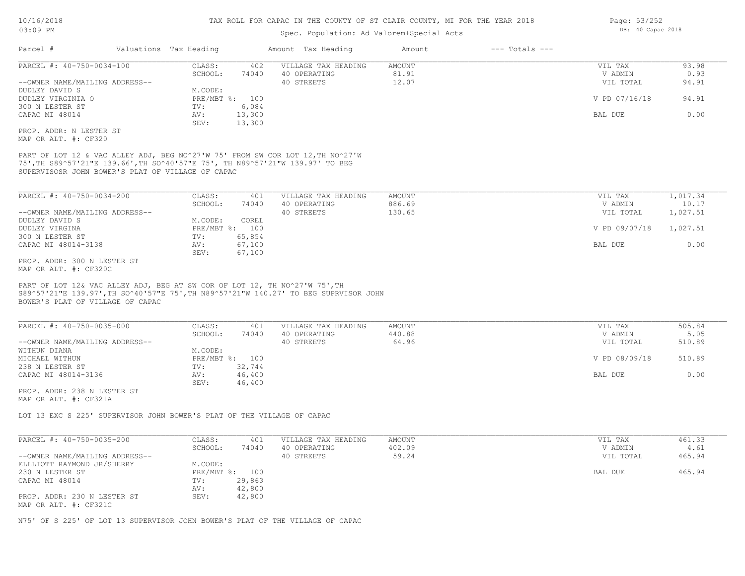Page: 53/252 DB: 40 Capac 2018

# Spec. Population: Ad Valorem+Special Acts

| Parcel #                                                                                                                                                                                                             | Valuations Tax Heading           |                            | Amount Tax Heading                                                                   | Amount                          | $---$ Totals $---$   |                                 |                        |
|----------------------------------------------------------------------------------------------------------------------------------------------------------------------------------------------------------------------|----------------------------------|----------------------------|--------------------------------------------------------------------------------------|---------------------------------|----------------------|---------------------------------|------------------------|
| PARCEL #: 40-750-0034-100<br>--OWNER NAME/MAILING ADDRESS--                                                                                                                                                          | CLASS:<br>SCHOOL:                | 402<br>74040               | VILLAGE TAX HEADING<br>40 OPERATING<br>40 STREETS                                    | <b>AMOUNT</b><br>81.91<br>12.07 |                      | VIL TAX<br>V ADMIN<br>VIL TOTAL | 93.98<br>0.93<br>94.91 |
| DUDLEY DAVID S<br>DUDLEY VIRGINIA O                                                                                                                                                                                  | M.CODE:<br>PRE/MBT %: 100        |                            |                                                                                      |                                 |                      | V PD 07/16/18                   | 94.91                  |
| 300 N LESTER ST<br>CAPAC MI 48014                                                                                                                                                                                    | TV:<br>AV:                       | 6,084<br>13,300            |                                                                                      |                                 |                      | BAL DUE                         | 0.00                   |
| PROP. ADDR: N LESTER ST<br>MAP OR ALT. #: CF320                                                                                                                                                                      | SEV:                             | 13,300                     |                                                                                      |                                 |                      |                                 |                        |
| PART OF LOT 12 & VAC ALLEY ADJ, BEG NO^27'W 75' FROM SW COR LOT 12, TH NO^27'W<br>75', TH S89^57'21"E 139.66', TH SO^40'57"E 75', TH N89^57'21"W 139.97' TO BEG<br>SUPERVISOSR JOHN BOWER'S PLAT OF VILLAGE OF CAPAC |                                  |                            |                                                                                      |                                 |                      |                                 |                        |
| PARCEL #: 40-750-0034-200                                                                                                                                                                                            | CLASS:                           | 401                        | VILLAGE TAX HEADING                                                                  | <b>AMOUNT</b>                   |                      | VIL TAX                         | 1,017.34               |
| --OWNER NAME/MAILING ADDRESS--                                                                                                                                                                                       | SCHOOL:                          | 74040                      | 40 OPERATING<br>40 STREETS                                                           | 886.69<br>130.65                | V ADMIN<br>VIL TOTAL | 10.17<br>1,027.51               |                        |
| DUDLEY DAVID S<br>DUDLEY VIRGINA                                                                                                                                                                                     | M.CODE:<br>PRE/MBT %: 100        | COREL                      |                                                                                      |                                 | V PD 09/07/18        | 1,027.51                        |                        |
| 300 N LESTER ST<br>CAPAC MI 48014-3138                                                                                                                                                                               | TV:<br>AV:                       | 65,854<br>67,100           |                                                                                      |                                 |                      | BAL DUE                         | 0.00                   |
| PROP. ADDR: 300 N LESTER ST<br>MAP OR ALT. #: CF320C                                                                                                                                                                 | SEV:                             | 67,100                     |                                                                                      |                                 |                      |                                 |                        |
| PART OF LOT 12& VAC ALLEY ADJ, BEG AT SW COR OF LOT 12, TH NO^27'W 75', TH<br>BOWER'S PLAT OF VILLAGE OF CAPAC                                                                                                       |                                  |                            | S89^57'21"E 139.97', TH SO^40'57"E 75', TH N89^57'21"W 140.27' TO BEG SUPRVISOR JOHN |                                 |                      |                                 |                        |
| PARCEL #: 40-750-0035-000                                                                                                                                                                                            | CLASS:<br>SCHOOL:                | 401<br>74040               | VILLAGE TAX HEADING<br>40 OPERATING                                                  | <b>AMOUNT</b><br>440.88         |                      | VIL TAX<br>V ADMIN              | 505.84<br>5.05         |
| --OWNER NAME/MAILING ADDRESS--<br>WITHUN DIANA                                                                                                                                                                       | M.CODE:                          |                            | 40 STREETS                                                                           | 64.96                           |                      | VIL TOTAL                       | 510.89                 |
| MICHAEL WITHUN                                                                                                                                                                                                       | PRE/MBT %: 100                   |                            |                                                                                      |                                 | V PD 08/09/18        | 510.89                          |                        |
| 238 N LESTER ST<br>CAPAC MI 48014-3136                                                                                                                                                                               | TV:<br>AV:<br>SEV:               | 32,744<br>46,400<br>46,400 |                                                                                      |                                 | BAL DUE              | 0.00                            |                        |
| PROP. ADDR: 238 N LESTER ST<br>MAP OR ALT. #: CF321A                                                                                                                                                                 |                                  |                            |                                                                                      |                                 |                      |                                 |                        |
| LOT 13 EXC S 225' SUPERVISOR JOHN BOWER'S PLAT OF THE VILLAGE OF CAPAC                                                                                                                                               |                                  |                            |                                                                                      |                                 |                      |                                 |                        |
| PARCEL #: 40-750-0035-200                                                                                                                                                                                            | CLASS:                           | 401                        | VILLAGE TAX HEADING                                                                  | <b>AMOUNT</b>                   |                      | VIL TAX                         | 461.33                 |
| --OWNER NAME/MAILING ADDRESS--                                                                                                                                                                                       | SCHOOL:                          | 74040                      | 40 OPERATING<br>40 STREETS                                                           | 402.09<br>59.24                 |                      | V ADMIN<br>VIL TOTAL            | 4.61<br>465.94         |
| ELLLIOTT RAYMOND JR/SHERRY<br>230 N LESTER ST<br>CAPAC MI 48014                                                                                                                                                      | M.CODE:<br>PRE/MBT %: 100<br>TV: | 29,863                     |                                                                                      |                                 |                      | BAL DUE                         | 465.94                 |
| PROP. ADDR: 230 N LESTER ST                                                                                                                                                                                          | AV:<br>SEV:                      | 42,800<br>42,800           |                                                                                      |                                 |                      |                                 |                        |
| MAP OR ALT. #: CF321C                                                                                                                                                                                                |                                  |                            |                                                                                      |                                 |                      |                                 |                        |

N75' OF S 225' OF LOT 13 SUPERVISOR JOHN BOWER'S PLAT OF THE VILLAGE OF CAPAC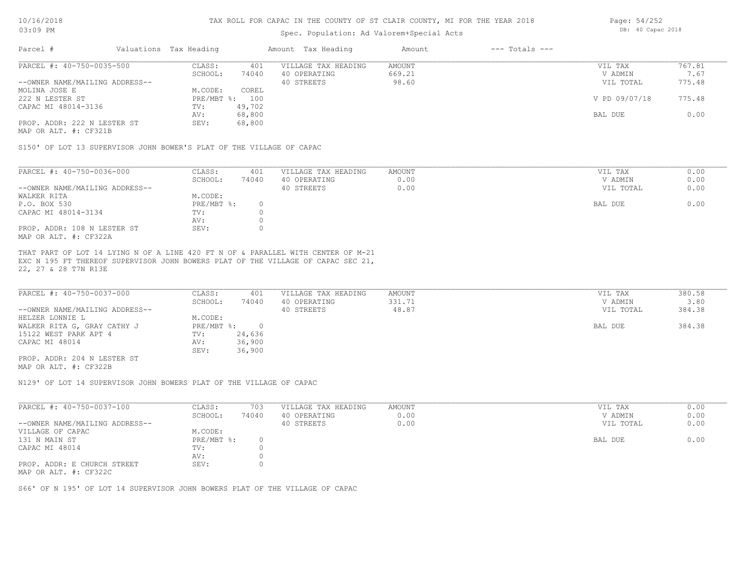### Spec. Population: Ad Valorem+Special Acts

| Parcel #                       | Valuations Tax Heading |        | Amount Tax Heading  | Amount | $---$ Totals $---$ |               |        |
|--------------------------------|------------------------|--------|---------------------|--------|--------------------|---------------|--------|
| PARCEL #: 40-750-0035-500      | CLASS:                 | 401    | VILLAGE TAX HEADING | AMOUNT |                    | VIL TAX       | 767.81 |
|                                | SCHOOL:                | 74040  | 40 OPERATING        | 669.21 |                    | V ADMIN       | 7.67   |
| --OWNER NAME/MAILING ADDRESS-- |                        |        | 40 STREETS          | 98.60  |                    | VIL TOTAL     | 775.48 |
| MOLINA JOSE E                  | M.CODE:                | COREL  |                     |        |                    |               |        |
| 222 N LESTER ST                | PRE/MBT %: 100         |        |                     |        |                    | V PD 09/07/18 | 775.48 |
| CAPAC MI 48014-3136            | TV:                    | 49,702 |                     |        |                    |               |        |
|                                | AV:                    | 68,800 |                     |        |                    | BAL DUE       | 0.00   |
| PROP. ADDR: 222 N LESTER ST    | SEV:                   | 68,800 |                     |        |                    |               |        |
|                                |                        |        |                     |        |                    |               |        |

MAP OR ALT. #: CF321B

S150' OF LOT 13 SUPERVISOR JOHN BOWER'S PLAT OF THE VILLAGE OF CAPAC

| PARCEL #: 40-750-0036-000      | CLASS:     | 401   | VILLAGE TAX HEADING | AMOUNT | VIL TAX   | 0.00 |
|--------------------------------|------------|-------|---------------------|--------|-----------|------|
|                                | SCHOOL:    | 74040 | 40 OPERATING        | 0.00   | V ADMIN   | 0.00 |
| --OWNER NAME/MAILING ADDRESS-- |            |       | 40 STREETS          | 0.00   | VIL TOTAL | 0.00 |
| WALKER RITA                    | M.CODE:    |       |                     |        |           |      |
| P.O. BOX 530                   | PRE/MBT %: |       |                     |        | BAL DUE   | 0.00 |
| CAPAC MI 48014-3134            | TV:        |       |                     |        |           |      |
|                                | AV:        |       |                     |        |           |      |
| PROP. ADDR: 108 N LESTER ST    | SEV:       |       |                     |        |           |      |
| MAP OR ALT. #: CF322A          |            |       |                     |        |           |      |

22, 27 & 28 T7N R13E EXC N 195 FT THEREOF SUPERVISOR JOHN BOWERS PLAT OF THE VILLAGE OF CAPAC SEC 21, THAT PART OF LOT 14 LYING N OF A LINE 420 FT N OF & PARALLEL WITH CENTER OF M-21

| PARCEL #: 40-750-0037-000      | CLASS:     | 401    | VILLAGE TAX HEADING | AMOUNT | VIL TAX   | 380.58 |
|--------------------------------|------------|--------|---------------------|--------|-----------|--------|
|                                | SCHOOL:    | 74040  | 40 OPERATING        | 331.71 | V ADMIN   | 3.80   |
| --OWNER NAME/MAILING ADDRESS-- |            |        | 40 STREETS          | 48.87  | VIL TOTAL | 384.38 |
| HELZER LONNIE L                | M.CODE:    |        |                     |        |           |        |
| WALKER RITA G, GRAY CATHY J    | PRE/MBT %: |        |                     |        | BAL DUE   | 384.38 |
| 15122 WEST PARK APT 4          | TV:        | 24,636 |                     |        |           |        |
| CAPAC MI 48014                 | AV:        | 36,900 |                     |        |           |        |
|                                | SEV:       | 36,900 |                     |        |           |        |
| PROP. ADDR: 204 N LESTER ST    |            |        |                     |        |           |        |

MAP OR ALT. #: CF322B

N129' OF LOT 14 SUPERVISOR JOHN BOWERS PLAT OF THE VILLAGE OF CAPAC

| PARCEL #: 40-750-0037-100      | CLASS:       | 703   | VILLAGE TAX HEADING | AMOUNT | VIL TAX   | 0.00 |
|--------------------------------|--------------|-------|---------------------|--------|-----------|------|
|                                | SCHOOL:      | 74040 | 40 OPERATING        | 0.00   | V ADMIN   | 0.00 |
| --OWNER NAME/MAILING ADDRESS-- |              |       | 40 STREETS          | 0.00   | VIL TOTAL | 0.00 |
| VILLAGE OF CAPAC               | M.CODE:      |       |                     |        |           |      |
| 131 N MAIN ST                  | $PRE/MBT$ %: |       |                     |        | BAL DUE   | 0.00 |
| CAPAC MI 48014                 | TV:          |       |                     |        |           |      |
|                                | AV:          |       |                     |        |           |      |
| PROP. ADDR: E CHURCH STREET    | SEV:         |       |                     |        |           |      |
| MAP OR ALT. #: CF322C          |              |       |                     |        |           |      |

S66' OF N 195' OF LOT 14 SUPERVISOR JOHN BOWERS PLAT OF THE VILLAGE OF CAPAC

Page: 54/252 DB: 40 Capac 2018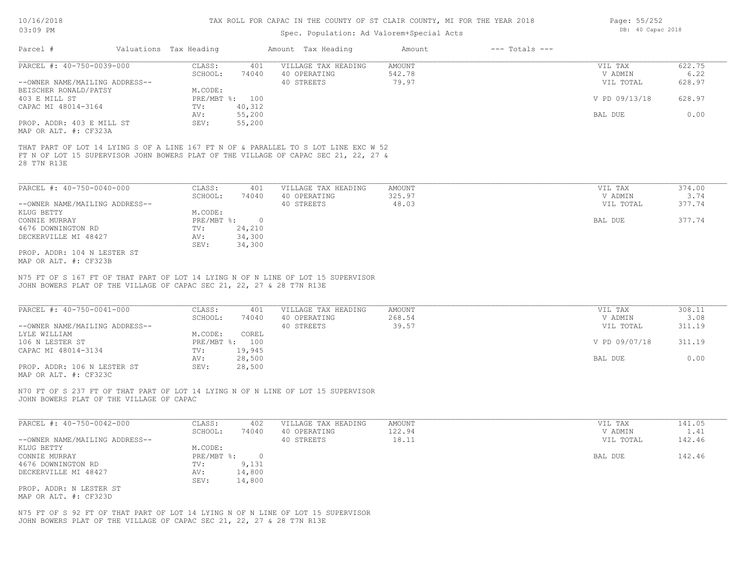### Spec. Population: Ad Valorem+Special Acts

| Parcel #                       | Valuations Tax Heading |                | Amount Tax Heading                                                                                                                                                         | Amount | $---$ Totals $---$ |               |        |
|--------------------------------|------------------------|----------------|----------------------------------------------------------------------------------------------------------------------------------------------------------------------------|--------|--------------------|---------------|--------|
| PARCEL #: 40-750-0039-000      | CLASS:                 | 401            | VILLAGE TAX HEADING                                                                                                                                                        | AMOUNT |                    | VIL TAX       | 622.75 |
|                                | SCHOOL:                | 74040          | 40 OPERATING                                                                                                                                                               | 542.78 |                    | V ADMIN       | 6.22   |
| --OWNER NAME/MAILING ADDRESS-- |                        |                | 40 STREETS                                                                                                                                                                 | 79.97  |                    | VIL TOTAL     | 628.97 |
| BEISCHER RONALD/PATSY          | M.CODE:                |                |                                                                                                                                                                            |        |                    |               |        |
| 403 E MILL ST                  |                        | PRE/MBT %: 100 |                                                                                                                                                                            |        |                    | V PD 09/13/18 | 628.97 |
| CAPAC MI 48014-3164            | TV:                    | 40,312         |                                                                                                                                                                            |        |                    |               |        |
|                                | AV:                    | 55,200         |                                                                                                                                                                            |        |                    | BAL DUE       | 0.00   |
| PROP. ADDR: 403 E MILL ST      | SEV:                   | 55,200         |                                                                                                                                                                            |        |                    |               |        |
| MAP OR ALT. #: CF323A          |                        |                |                                                                                                                                                                            |        |                    |               |        |
| 28 T7N R13E                    |                        |                | THAT PART OF LOT 14 LYING S OF A LINE 167 FT N OF & PARALLEL TO S LOT LINE EXC W 52<br>FT N OF LOT 15 SUPERVISOR JOHN BOWERS PLAT OF THE VILLAGE OF CAPAC SEC 21, 22, 27 & |        |                    |               |        |
| PARCEL #: 40-750-0040-000      | CLASS:                 | 401            | VILLAGE TAX HEADING                                                                                                                                                        | AMOUNT |                    | VIL TAX       | 374.00 |
|                                | SCHOOL:                | 74040          | 40 OPERATING                                                                                                                                                               | 325.97 |                    | V ADMIN       | 3.74   |
| --OWNER NAME/MAILING ADDRESS-- |                        |                | 40 STREETS                                                                                                                                                                 | 48.03  |                    | VIL TOTAL     | 377.74 |
| KLUG BETTY                     | M.CODE:                |                |                                                                                                                                                                            |        |                    |               |        |
| CONNIE MURRAY                  | $PRE/MBT$ $\div$       | $\overline{0}$ |                                                                                                                                                                            |        |                    | BAL DUE       | 377.74 |
| 4676 DOWNINGTON RD             | TV:                    | 24,210         |                                                                                                                                                                            |        |                    |               |        |
| DECKERVILLE MI 48427           | AV:                    | 34,300         |                                                                                                                                                                            |        |                    |               |        |

MAP OR ALT. #: CF323B PROP. ADDR: 104 N LESTER ST

JOHN BOWERS PLAT OF THE VILLAGE OF CAPAC SEC 21, 22, 27 & 28 T7N R13E N75 FT OF S 167 FT OF THAT PART OF LOT 14 LYING N OF N LINE OF LOT 15 SUPERVISOR

SEV: 34,300

| PARCEL #: 40-750-0041-000                                               | CLASS:  | 401            | VILLAGE TAX HEADING | AMOUNT | VIL TAX       | 308.11 |
|-------------------------------------------------------------------------|---------|----------------|---------------------|--------|---------------|--------|
|                                                                         | SCHOOL: | 74040          | 40 OPERATING        | 268.54 | V ADMIN       | 3.08   |
| --OWNER NAME/MAILING ADDRESS--                                          |         |                | 40 STREETS          | 39.57  | VIL TOTAL     | 311.19 |
| LYLE WILLIAM                                                            | M.CODE: | COREL          |                     |        |               |        |
| 106 N LESTER ST                                                         |         | PRE/MBT %: 100 |                     |        | V PD 09/07/18 | 311.19 |
| CAPAC MI 48014-3134                                                     | TV:     | 19,945         |                     |        |               |        |
|                                                                         | AV:     | 28,500         |                     |        | BAL DUE       | 0.00   |
| PROP. ADDR: 106 N LESTER ST                                             | SEV:    | 28,500         |                     |        |               |        |
| $\cdots$ $\cdots$ $\cdots$ $\cdots$ $\cdots$ $\cdots$ $\cdots$ $\cdots$ |         |                |                     |        |               |        |

MAP OR ALT. #: CF323C

JOHN BOWERS PLAT OF THE VILLAGE OF CAPAC N70 FT OF S 237 FT OF THAT PART OF LOT 14 LYING N OF N LINE OF LOT 15 SUPERVISOR

| PARCEL #: 40-750-0042-000      | CLASS:     | 402    | VILLAGE TAX HEADING | AMOUNT | VIL TAX   | 141.05 |
|--------------------------------|------------|--------|---------------------|--------|-----------|--------|
|                                | SCHOOL:    | 74040  | 40 OPERATING        | 122.94 | V ADMIN   | 1.41   |
| --OWNER NAME/MAILING ADDRESS-- |            |        | 40 STREETS          | 18.11  | VIL TOTAL | 142.46 |
| KLUG BETTY                     | M.CODE:    |        |                     |        |           |        |
| CONNIE MURRAY                  | PRE/MBT %: |        |                     |        | BAL DUE   | 142.46 |
| 4676 DOWNINGTON RD             | TV:        | 9,131  |                     |        |           |        |
| DECKERVILLE MI 48427           | AV:        | 14,800 |                     |        |           |        |
|                                | SEV:       | 14,800 |                     |        |           |        |
| PROP. ADDR: N LESTER ST        |            |        |                     |        |           |        |
|                                |            |        |                     |        |           |        |

MAP OR ALT. #: CF323D

JOHN BOWERS PLAT OF THE VILLAGE OF CAPAC SEC 21, 22, 27 & 28 T7N R13E N75 FT OF S 92 FT OF THAT PART OF LOT 14 LYING N OF N LINE OF LOT 15 SUPERVISOR Page: 55/252 DB: 40 Capac 2018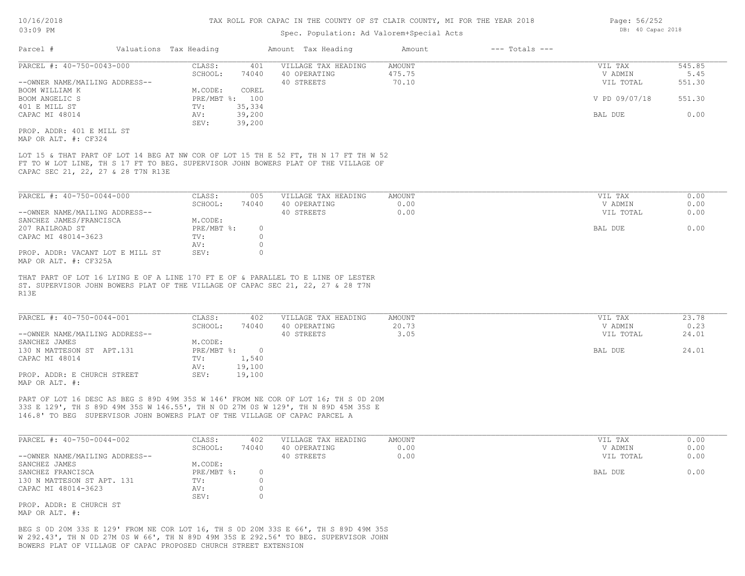# Spec. Population: Ad Valorem+Special Acts

|                                                                                                                                                                                                                                                       |                         | spec. Population: Ad valorem+special Acts |        |                    |               |        |
|-------------------------------------------------------------------------------------------------------------------------------------------------------------------------------------------------------------------------------------------------------|-------------------------|-------------------------------------------|--------|--------------------|---------------|--------|
| Parcel #<br>Valuations Tax Heading                                                                                                                                                                                                                    |                         | Amount Tax Heading                        | Amount | $---$ Totals $---$ |               |        |
| PARCEL #: 40-750-0043-000                                                                                                                                                                                                                             | CLASS:<br>401           | VILLAGE TAX HEADING                       | AMOUNT |                    | VIL TAX       | 545.85 |
|                                                                                                                                                                                                                                                       | SCHOOL:<br>74040        | 40 OPERATING                              | 475.75 |                    | V ADMIN       | 5.45   |
| --OWNER NAME/MAILING ADDRESS--                                                                                                                                                                                                                        |                         | 40 STREETS                                | 70.10  |                    | VIL TOTAL     | 551.30 |
| BOOM WILLIAM K                                                                                                                                                                                                                                        | M.CODE:<br>COREL        |                                           |        |                    |               |        |
| BOOM ANGELIC S                                                                                                                                                                                                                                        | PRE/MBT %: 100          |                                           |        |                    | V PD 09/07/18 | 551.30 |
| 401 E MILL ST                                                                                                                                                                                                                                         | TV:<br>35,334           |                                           |        |                    |               |        |
| CAPAC MI 48014                                                                                                                                                                                                                                        | 39,200<br>AV:           |                                           |        |                    | BAL DUE       | 0.00   |
|                                                                                                                                                                                                                                                       | 39,200<br>SEV:          |                                           |        |                    |               |        |
| PROP. ADDR: 401 E MILL ST                                                                                                                                                                                                                             |                         |                                           |        |                    |               |        |
| MAP OR ALT. #: CF324                                                                                                                                                                                                                                  |                         |                                           |        |                    |               |        |
| LOT 15 & THAT PART OF LOT 14 BEG AT NW COR OF LOT 15 TH E 52 FT, TH N 17 FT TH W 52<br>FT TO W LOT LINE, TH S 17 FT TO BEG. SUPERVISOR JOHN BOWERS PLAT OF THE VILLAGE OF<br>CAPAC SEC 21, 22, 27 & 28 T7N R13E                                       |                         |                                           |        |                    |               |        |
| PARCEL #: 40-750-0044-000                                                                                                                                                                                                                             | CLASS:<br>005           | VILLAGE TAX HEADING                       | AMOUNT |                    | VIL TAX       | 0.00   |
|                                                                                                                                                                                                                                                       | SCHOOL:<br>74040        | 40 OPERATING                              | 0.00   |                    | V ADMIN       | 0.00   |
| --OWNER NAME/MAILING ADDRESS--                                                                                                                                                                                                                        |                         | 40 STREETS                                | 0.00   |                    | VIL TOTAL     | 0.00   |
| SANCHEZ JAMES/FRANCISCA                                                                                                                                                                                                                               | M.CODE:                 |                                           |        |                    |               |        |
| 207 RAILROAD ST                                                                                                                                                                                                                                       | PRE/MBT %:<br>$\circ$   |                                           |        |                    | BAL DUE       | 0.00   |
| CAPAC MI 48014-3623                                                                                                                                                                                                                                   | $\Omega$<br>TV:         |                                           |        |                    |               |        |
|                                                                                                                                                                                                                                                       | $\circ$                 |                                           |        |                    |               |        |
|                                                                                                                                                                                                                                                       | AV:<br>$\Omega$<br>SEV: |                                           |        |                    |               |        |
| PROP. ADDR: VACANT LOT E MILL ST<br>MAP OR ALT. #: CF325A                                                                                                                                                                                             |                         |                                           |        |                    |               |        |
| THAT PART OF LOT 16 LYING E OF A LINE 170 FT E OF & PARALLEL TO E LINE OF LESTER<br>ST. SUPERVISOR JOHN BOWERS PLAT OF THE VILLAGE OF CAPAC SEC 21, 22, 27 & 28 T7N<br>R13E                                                                           |                         |                                           |        |                    |               |        |
| PARCEL #: 40-750-0044-001                                                                                                                                                                                                                             | CLASS:<br>402           | VILLAGE TAX HEADING                       | AMOUNT |                    | VIL TAX       | 23.78  |
|                                                                                                                                                                                                                                                       | SCHOOL:<br>74040        | 40 OPERATING                              | 20.73  |                    | V ADMIN       | 0.23   |
| --OWNER NAME/MAILING ADDRESS--                                                                                                                                                                                                                        |                         | 40 STREETS                                | 3.05   |                    | VIL TOTAL     | 24.01  |
| SANCHEZ JAMES                                                                                                                                                                                                                                         | M.CODE:                 |                                           |        |                    |               |        |
| 130 N MATTESON ST APT.131                                                                                                                                                                                                                             | PRE/MBT %: 0            |                                           |        |                    | BAL DUE       | 24.01  |
| CAPAC MI 48014                                                                                                                                                                                                                                        | 1,540<br>TV:            |                                           |        |                    |               |        |
|                                                                                                                                                                                                                                                       | 19,100<br>AV:           |                                           |        |                    |               |        |
| PROP. ADDR: E CHURCH STREET<br>MAP OR ALT. #:                                                                                                                                                                                                         | SEV:<br>19,100          |                                           |        |                    |               |        |
| PART OF LOT 16 DESC AS BEG S 89D 49M 35S W 146' FROM NE COR OF LOT 16; TH S OD 20M<br>33S E 129', TH S 89D 49M 35S W 146.55', TH N OD 27M OS W 129', TH N 89D 45M 35S E<br>146.8' TO BEG SUPERVISOR JOHN BOWERS PLAT OF THE VILLAGE OF CAPAC PARCEL A |                         |                                           |        |                    |               |        |
| PARCEL #: 40-750-0044-002                                                                                                                                                                                                                             | CLASS:<br>402           | VILLAGE TAX HEADING                       | AMOUNT |                    | VIL TAX       | 0.00   |
|                                                                                                                                                                                                                                                       | SCHOOL:<br>74040        | 40 OPERATING                              | 0.00   |                    | V ADMIN       | 0.00   |
| --OWNER NAME/MAILING ADDRESS--                                                                                                                                                                                                                        |                         | 40 STREETS                                | 0.00   |                    | VIL TOTAL     | 0.00   |
| SANCHEZ JAMES                                                                                                                                                                                                                                         | M.CODE:                 |                                           |        |                    |               |        |
|                                                                                                                                                                                                                                                       |                         |                                           |        |                    |               |        |

SANCHEZ FRANCISCA PRE/MBT %: 0 BAL DUE 0.00

MAP OR ALT. #: PROP. ADDR: E CHURCH ST

BOWERS PLAT OF VILLAGE OF CAPAC PROPOSED CHURCH STREET EXTENSION W 292.43', TH N 0D 27M 0S W 66', TH N 89D 49M 35S E 292.56' TO BEG. SUPERVISOR JOHN BEG S 0D 20M 33S E 129' FROM NE COR LOT 16, TH S 0D 20M 33S E 66', TH S 89D 49M 35S

CAPAC MI 48014-3623 AV: 0 130 N MATTESON ST APT. 131 TV: 0

Av: U<br>SEV: 0

Page: 56/252 DB: 40 Capac 2018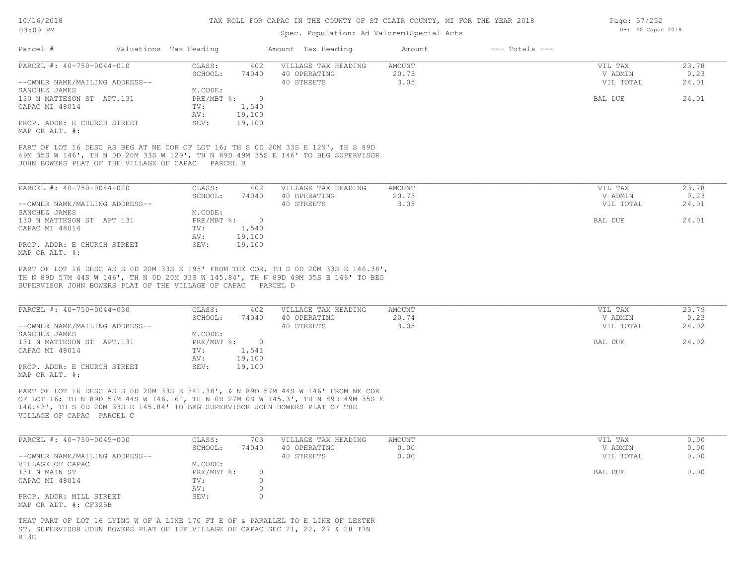### Spec. Population: Ad Valorem+Special Acts

| Parcel #                                      | Valuations Tax Heading |        | Amount Tax Heading  | Amount | $---$ Totals $---$ |           |       |
|-----------------------------------------------|------------------------|--------|---------------------|--------|--------------------|-----------|-------|
| PARCEL #: 40-750-0044-010                     | CLASS:                 | 402    | VILLAGE TAX HEADING | AMOUNT |                    | VIL TAX   | 23.78 |
|                                               | SCHOOL:                | 74040  | 40 OPERATING        | 20.73  |                    | V ADMIN   | 0.23  |
| --OWNER NAME/MAILING ADDRESS--                |                        |        | 40 STREETS          | 3.05   |                    | VIL TOTAL | 24.01 |
| SANCHEZ JAMES                                 | M.CODE:                |        |                     |        |                    |           |       |
| 130 N MATTESON ST APT.131                     | $PRE/MBT$ %:           |        |                     |        |                    | BAL DUE   | 24.01 |
| CAPAC MI 48014                                | TV:                    | 1,540  |                     |        |                    |           |       |
|                                               | AV:                    | 19,100 |                     |        |                    |           |       |
| PROP. ADDR: E CHURCH STREET<br>MAP OR ALT. #: | SEV:                   | 19,100 |                     |        |                    |           |       |

JOHN BOWERS PLAT OF THE VILLAGE OF CAPAC PARCEL B 49M 35S W 146', TH N 0D 20M 33S W 129', TH N 89D 49M 35S E 146' TO BEG SUPERVISOR PART OF LOT 16 DESC AS BEG AT NE COR OF LOT 16; TH S 0D 20M 33S E 129', TH S 89D

| PARCEL #: 40-750-0044-020      | CLASS:     | 402    | VILLAGE TAX HEADING | AMOUNT | VIL TAX   | 23.78 |
|--------------------------------|------------|--------|---------------------|--------|-----------|-------|
|                                | SCHOOL:    | 74040  | 40 OPERATING        | 20.73  | V ADMIN   | 0.23  |
| --OWNER NAME/MAILING ADDRESS-- |            |        | 40 STREETS          | 3.05   | VIL TOTAL | 24.01 |
| SANCHEZ JAMES                  | M.CODE:    |        |                     |        |           |       |
| 130 N MATTESON ST APT 131      | PRE/MBT %: |        |                     |        | BAL DUE   | 24.01 |
| CAPAC MI 48014                 | TV:        | 1,540  |                     |        |           |       |
|                                | AV:        | 19,100 |                     |        |           |       |
| PROP. ADDR: E CHURCH STREET    | SEV:       | 19,100 |                     |        |           |       |
| MAP OR ALT. #:                 |            |        |                     |        |           |       |

SUPERVISOR JOHN BOWERS PLAT OF THE VILLAGE OF CAPAC PARCEL D TH N 89D 57M 44S W 146', TH N 0D 20M 33S W 145.84', TH N 89D 49M 35S E 146' TO BEG PART OF LOT 16 DESC AS S 0D 20M 33S E 195' FROM THE COR, TH S 0D 20M 33S E 146.38',

| PARCEL #: 40-750-0044-030      | CLASS:     | 402    | VILLAGE TAX HEADING | AMOUNT | VIL TAX   | 23.79 |
|--------------------------------|------------|--------|---------------------|--------|-----------|-------|
|                                | SCHOOL:    | 74040  | 40 OPERATING        | 20.74  | V ADMIN   | 0.23  |
| --OWNER NAME/MAILING ADDRESS-- |            |        | 40 STREETS          | 3.05   | VIL TOTAL | 24.02 |
| SANCHEZ JAMES                  | M.CODE:    |        |                     |        |           |       |
| 131 N MATTESON ST APT.131      | PRE/MBT %: |        |                     |        | BAL DUE   | 24.02 |
| CAPAC MI 48014                 | TV:        | 1,541  |                     |        |           |       |
|                                | AV:        | 19,100 |                     |        |           |       |
| PROP. ADDR: E CHURCH STREET    | SEV:       | 19,100 |                     |        |           |       |
| MAP OR ALT. #:                 |            |        |                     |        |           |       |

VILLAGE OF CAPAC PARCEL C 146.43', TH S 0D 20M 33S E 145.84' TO BEG SUPERVISOR JOHN BOWERS PLAT OF THE OF LOT 16; TH N 89D 57M 44S W 146.16', TH N 0D 27M 0S W 145.3', TH N 89D 49M 35S E PART OF LOT 16 DESC AS S 0D 20M 33S E 341.38', & N 89D 57M 44S W 146' FROM NE COR

| PARCEL #: 40-750-0045-000      | CLASS:     | 703   | VILLAGE TAX HEADING | AMOUNT | VIL TAX   | 0.00 |
|--------------------------------|------------|-------|---------------------|--------|-----------|------|
|                                | SCHOOL:    | 74040 | 40 OPERATING        | 0.00   | V ADMIN   | 0.00 |
| --OWNER NAME/MAILING ADDRESS-- |            |       | 40 STREETS          | 0.00   | VIL TOTAL | 0.00 |
| VILLAGE OF CAPAC               | M.CODE:    |       |                     |        |           |      |
| 131 N MAIN ST                  | PRE/MBT %: |       |                     |        | BAL DUE   | 0.00 |
| CAPAC MI 48014                 | TV:        |       |                     |        |           |      |
|                                | AV:        |       |                     |        |           |      |
| PROP. ADDR: MILL STREET        | SEV:       |       |                     |        |           |      |
| MAP OR ALT. #: CF325B          |            |       |                     |        |           |      |

R13E ST. SUPERVISOR JOHN BOWERS PLAT OF THE VILLAGE OF CAPAC SEC 21, 22, 27 & 28 T7N THAT PART OF LOT 16 LYING W OF A LINE 170 FT E OF & PARALLEL TO E LINE OF LESTER Page: 57/252 DB: 40 Capac 2018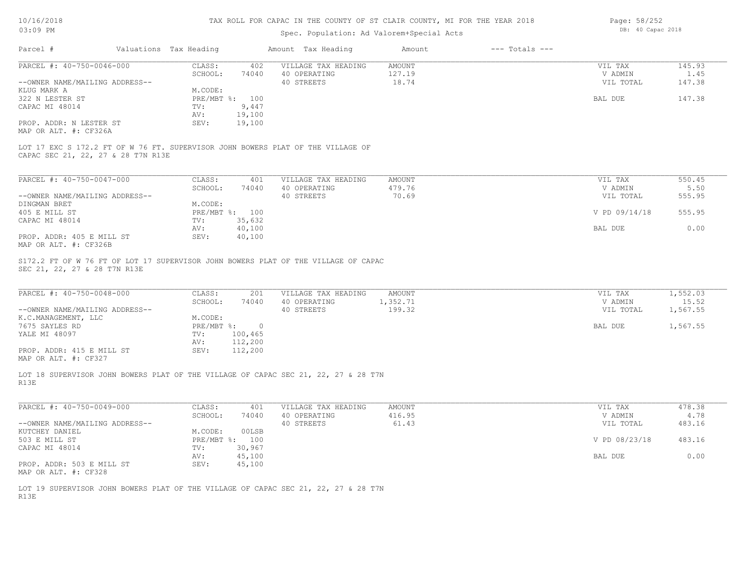# Spec. Population: Ad Valorem+Special Acts

| Page: 58/252 |                   |  |
|--------------|-------------------|--|
|              | DB: 40 Capac 2018 |  |

| PARCEL #: 40-750-0046-000<br>CLASS:<br>402<br>VILLAGE TAX HEADING<br>AMOUNT<br>VIL TAX<br>SCHOOL:<br>74040<br>40 OPERATING<br>127.19<br>V ADMIN<br>40 STREETS<br>18.74<br>VIL TOTAL<br>147.38<br>--OWNER NAME/MAILING ADDRESS--<br>KLUG MARK A<br>M.CODE:<br>322 N LESTER ST<br>PRE/MBT %: 100<br>BAL DUE<br>9,447<br>CAPAC MI 48014<br>TV:<br>19,100<br>AV:<br>PROP. ADDR: N LESTER ST<br>SEV:<br>19,100<br>MAP OR ALT. #: CF326A<br>LOT 17 EXC S 172.2 FT OF W 76 FT. SUPERVISOR JOHN BOWERS PLAT OF THE VILLAGE OF<br>CAPAC SEC 21, 22, 27 & 28 T7N R13E<br>PARCEL #: 40-750-0047-000<br>CLASS:<br>401<br>VILLAGE TAX HEADING<br>AMOUNT<br>VIL TAX<br>479.76<br>SCHOOL:<br>74040<br>40 OPERATING<br>V ADMIN<br>70.69<br>40 STREETS<br>--OWNER NAME/MAILING ADDRESS--<br>VIL TOTAL<br>DINGMAN BRET<br>M.CODE:<br>PRE/MBT %: 100<br>V PD 09/14/18<br>405 E MILL ST<br>CAPAC MI 48014<br>35,632<br>TV:<br>40,100<br>BAL DUE<br>0.00<br>AV:<br>PROP. ADDR: 405 E MILL ST<br>SEV:<br>40,100<br>MAP OR ALT. #: CF326B<br>S172.2 FT OF W 76 FT OF LOT 17 SUPERVISOR JOHN BOWERS PLAT OF THE VILLAGE OF CAPAC<br>SEC 21, 22, 27 & 28 T7N R13E<br>PARCEL #: 40-750-0048-000<br>CLASS:<br>201<br>VILLAGE TAX HEADING<br>AMOUNT<br>VIL TAX<br>SCHOOL:<br>74040<br>40 OPERATING<br>1,352.71<br>V ADMIN<br>40 STREETS<br>199.32<br>VIL TOTAL<br>--OWNER NAME/MAILING ADDRESS--<br>K.C.MANAGEMENT, LLC<br>M.CODE:<br>$PRE/MBT$ %:<br>$\overline{0}$<br>1,567.55<br>7675 SAYLES RD<br>BAL DUE<br>YALE MI 48097<br>TV:<br>100,465<br>112,200<br>AV:<br>SEV:<br>PROP. ADDR: 415 E MILL ST<br>112,200<br>MAP OR ALT. #: CF327<br>LOT 18 SUPERVISOR JOHN BOWERS PLAT OF THE VILLAGE OF CAPAC SEC 21, 22, 27 & 28 T7N<br>R13E<br>PARCEL #: 40-750-0049-000<br>CLASS:<br>401<br>VILLAGE TAX HEADING<br>AMOUNT<br>VIL TAX<br>40 OPERATING<br>416.95<br>V ADMIN<br>4.78<br>SCHOOL:<br>74040<br>61.43<br>--OWNER NAME/MAILING ADDRESS--<br>40 STREETS<br>VIL TOTAL<br>483.16<br>KUTCHEY DANIEL<br>M.CODE:<br>00LSB<br>503 E MILL ST<br>PRE/MBT %: 100<br>V PD 08/23/18 | Parcel # | Valuations Tax Heading | Amount Tax Heading | Amount | $---$ Totals $---$ |                               |
|---------------------------------------------------------------------------------------------------------------------------------------------------------------------------------------------------------------------------------------------------------------------------------------------------------------------------------------------------------------------------------------------------------------------------------------------------------------------------------------------------------------------------------------------------------------------------------------------------------------------------------------------------------------------------------------------------------------------------------------------------------------------------------------------------------------------------------------------------------------------------------------------------------------------------------------------------------------------------------------------------------------------------------------------------------------------------------------------------------------------------------------------------------------------------------------------------------------------------------------------------------------------------------------------------------------------------------------------------------------------------------------------------------------------------------------------------------------------------------------------------------------------------------------------------------------------------------------------------------------------------------------------------------------------------------------------------------------------------------------------------------------------------------------------------------------------------------------------------------------------------------------------------------------------------------------------------------------------------------------------------------------------------------------------------|----------|------------------------|--------------------|--------|--------------------|-------------------------------|
|                                                                                                                                                                                                                                                                                                                                                                                                                                                                                                                                                                                                                                                                                                                                                                                                                                                                                                                                                                                                                                                                                                                                                                                                                                                                                                                                                                                                                                                                                                                                                                                                                                                                                                                                                                                                                                                                                                                                                                                                                                                   |          |                        |                    |        |                    | 145.93<br>1.45                |
|                                                                                                                                                                                                                                                                                                                                                                                                                                                                                                                                                                                                                                                                                                                                                                                                                                                                                                                                                                                                                                                                                                                                                                                                                                                                                                                                                                                                                                                                                                                                                                                                                                                                                                                                                                                                                                                                                                                                                                                                                                                   |          |                        |                    |        |                    |                               |
|                                                                                                                                                                                                                                                                                                                                                                                                                                                                                                                                                                                                                                                                                                                                                                                                                                                                                                                                                                                                                                                                                                                                                                                                                                                                                                                                                                                                                                                                                                                                                                                                                                                                                                                                                                                                                                                                                                                                                                                                                                                   |          |                        |                    |        |                    | 147.38                        |
|                                                                                                                                                                                                                                                                                                                                                                                                                                                                                                                                                                                                                                                                                                                                                                                                                                                                                                                                                                                                                                                                                                                                                                                                                                                                                                                                                                                                                                                                                                                                                                                                                                                                                                                                                                                                                                                                                                                                                                                                                                                   |          |                        |                    |        |                    |                               |
|                                                                                                                                                                                                                                                                                                                                                                                                                                                                                                                                                                                                                                                                                                                                                                                                                                                                                                                                                                                                                                                                                                                                                                                                                                                                                                                                                                                                                                                                                                                                                                                                                                                                                                                                                                                                                                                                                                                                                                                                                                                   |          |                        |                    |        |                    |                               |
|                                                                                                                                                                                                                                                                                                                                                                                                                                                                                                                                                                                                                                                                                                                                                                                                                                                                                                                                                                                                                                                                                                                                                                                                                                                                                                                                                                                                                                                                                                                                                                                                                                                                                                                                                                                                                                                                                                                                                                                                                                                   |          |                        |                    |        |                    |                               |
|                                                                                                                                                                                                                                                                                                                                                                                                                                                                                                                                                                                                                                                                                                                                                                                                                                                                                                                                                                                                                                                                                                                                                                                                                                                                                                                                                                                                                                                                                                                                                                                                                                                                                                                                                                                                                                                                                                                                                                                                                                                   |          |                        |                    |        |                    |                               |
|                                                                                                                                                                                                                                                                                                                                                                                                                                                                                                                                                                                                                                                                                                                                                                                                                                                                                                                                                                                                                                                                                                                                                                                                                                                                                                                                                                                                                                                                                                                                                                                                                                                                                                                                                                                                                                                                                                                                                                                                                                                   |          |                        |                    |        |                    | 550.45                        |
|                                                                                                                                                                                                                                                                                                                                                                                                                                                                                                                                                                                                                                                                                                                                                                                                                                                                                                                                                                                                                                                                                                                                                                                                                                                                                                                                                                                                                                                                                                                                                                                                                                                                                                                                                                                                                                                                                                                                                                                                                                                   |          |                        |                    |        |                    | 5.50                          |
|                                                                                                                                                                                                                                                                                                                                                                                                                                                                                                                                                                                                                                                                                                                                                                                                                                                                                                                                                                                                                                                                                                                                                                                                                                                                                                                                                                                                                                                                                                                                                                                                                                                                                                                                                                                                                                                                                                                                                                                                                                                   |          |                        |                    |        |                    | 555.95                        |
|                                                                                                                                                                                                                                                                                                                                                                                                                                                                                                                                                                                                                                                                                                                                                                                                                                                                                                                                                                                                                                                                                                                                                                                                                                                                                                                                                                                                                                                                                                                                                                                                                                                                                                                                                                                                                                                                                                                                                                                                                                                   |          |                        |                    |        |                    |                               |
|                                                                                                                                                                                                                                                                                                                                                                                                                                                                                                                                                                                                                                                                                                                                                                                                                                                                                                                                                                                                                                                                                                                                                                                                                                                                                                                                                                                                                                                                                                                                                                                                                                                                                                                                                                                                                                                                                                                                                                                                                                                   |          |                        |                    |        |                    | 555.95                        |
|                                                                                                                                                                                                                                                                                                                                                                                                                                                                                                                                                                                                                                                                                                                                                                                                                                                                                                                                                                                                                                                                                                                                                                                                                                                                                                                                                                                                                                                                                                                                                                                                                                                                                                                                                                                                                                                                                                                                                                                                                                                   |          |                        |                    |        |                    |                               |
|                                                                                                                                                                                                                                                                                                                                                                                                                                                                                                                                                                                                                                                                                                                                                                                                                                                                                                                                                                                                                                                                                                                                                                                                                                                                                                                                                                                                                                                                                                                                                                                                                                                                                                                                                                                                                                                                                                                                                                                                                                                   |          |                        |                    |        |                    |                               |
|                                                                                                                                                                                                                                                                                                                                                                                                                                                                                                                                                                                                                                                                                                                                                                                                                                                                                                                                                                                                                                                                                                                                                                                                                                                                                                                                                                                                                                                                                                                                                                                                                                                                                                                                                                                                                                                                                                                                                                                                                                                   |          |                        |                    |        |                    |                               |
|                                                                                                                                                                                                                                                                                                                                                                                                                                                                                                                                                                                                                                                                                                                                                                                                                                                                                                                                                                                                                                                                                                                                                                                                                                                                                                                                                                                                                                                                                                                                                                                                                                                                                                                                                                                                                                                                                                                                                                                                                                                   |          |                        |                    |        |                    | 1,552.03<br>15.52<br>1,567.55 |
|                                                                                                                                                                                                                                                                                                                                                                                                                                                                                                                                                                                                                                                                                                                                                                                                                                                                                                                                                                                                                                                                                                                                                                                                                                                                                                                                                                                                                                                                                                                                                                                                                                                                                                                                                                                                                                                                                                                                                                                                                                                   |          |                        |                    |        |                    |                               |
|                                                                                                                                                                                                                                                                                                                                                                                                                                                                                                                                                                                                                                                                                                                                                                                                                                                                                                                                                                                                                                                                                                                                                                                                                                                                                                                                                                                                                                                                                                                                                                                                                                                                                                                                                                                                                                                                                                                                                                                                                                                   |          |                        |                    |        |                    |                               |
|                                                                                                                                                                                                                                                                                                                                                                                                                                                                                                                                                                                                                                                                                                                                                                                                                                                                                                                                                                                                                                                                                                                                                                                                                                                                                                                                                                                                                                                                                                                                                                                                                                                                                                                                                                                                                                                                                                                                                                                                                                                   |          |                        |                    |        |                    | 478.38                        |
|                                                                                                                                                                                                                                                                                                                                                                                                                                                                                                                                                                                                                                                                                                                                                                                                                                                                                                                                                                                                                                                                                                                                                                                                                                                                                                                                                                                                                                                                                                                                                                                                                                                                                                                                                                                                                                                                                                                                                                                                                                                   |          |                        |                    |        |                    |                               |
|                                                                                                                                                                                                                                                                                                                                                                                                                                                                                                                                                                                                                                                                                                                                                                                                                                                                                                                                                                                                                                                                                                                                                                                                                                                                                                                                                                                                                                                                                                                                                                                                                                                                                                                                                                                                                                                                                                                                                                                                                                                   |          |                        |                    |        |                    |                               |
|                                                                                                                                                                                                                                                                                                                                                                                                                                                                                                                                                                                                                                                                                                                                                                                                                                                                                                                                                                                                                                                                                                                                                                                                                                                                                                                                                                                                                                                                                                                                                                                                                                                                                                                                                                                                                                                                                                                                                                                                                                                   |          |                        |                    |        |                    | 483.16                        |
| 30,967<br>CAPAC MI 48014<br>TV:                                                                                                                                                                                                                                                                                                                                                                                                                                                                                                                                                                                                                                                                                                                                                                                                                                                                                                                                                                                                                                                                                                                                                                                                                                                                                                                                                                                                                                                                                                                                                                                                                                                                                                                                                                                                                                                                                                                                                                                                                   |          |                        |                    |        |                    |                               |
| 45,100<br>AV:<br>BAL DUE                                                                                                                                                                                                                                                                                                                                                                                                                                                                                                                                                                                                                                                                                                                                                                                                                                                                                                                                                                                                                                                                                                                                                                                                                                                                                                                                                                                                                                                                                                                                                                                                                                                                                                                                                                                                                                                                                                                                                                                                                          |          |                        |                    |        |                    | 0.00                          |
| PROP. ADDR: 503 E MILL ST<br>SEV:<br>45,100<br>MAP OR ALT. #: CF328                                                                                                                                                                                                                                                                                                                                                                                                                                                                                                                                                                                                                                                                                                                                                                                                                                                                                                                                                                                                                                                                                                                                                                                                                                                                                                                                                                                                                                                                                                                                                                                                                                                                                                                                                                                                                                                                                                                                                                               |          |                        |                    |        |                    |                               |
| LOT 19 SUPERVISOR JOHN BOWERS PLAT OF THE VILLAGE OF CAPAC SEC 21, 22, 27 & 28 T7N<br>R13E                                                                                                                                                                                                                                                                                                                                                                                                                                                                                                                                                                                                                                                                                                                                                                                                                                                                                                                                                                                                                                                                                                                                                                                                                                                                                                                                                                                                                                                                                                                                                                                                                                                                                                                                                                                                                                                                                                                                                        |          |                        |                    |        |                    |                               |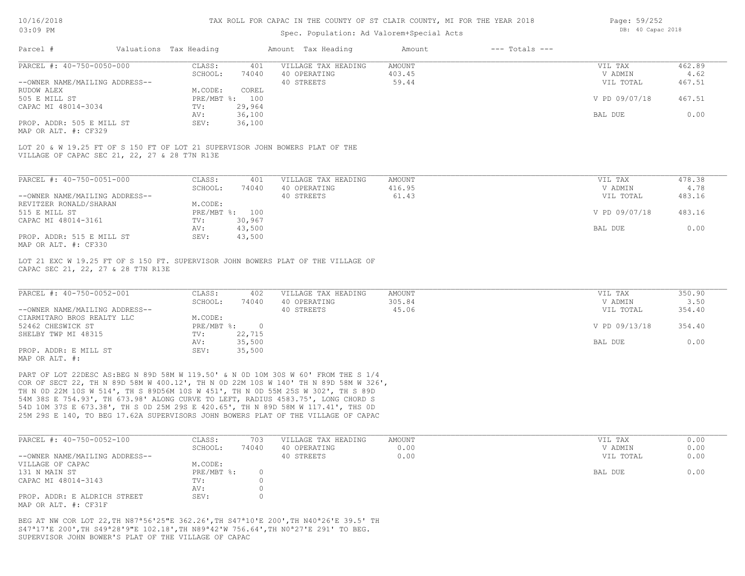### Spec. Population: Ad Valorem+Special Acts

| Page: 59/252 |                   |  |
|--------------|-------------------|--|
|              | DB: 40 Capac 2018 |  |

| PARCEL #: 40-750-0050-000<br>--OWNER NAME/MAILING ADDRESS-- | CLASS:<br>401<br>SCHOOL:<br>74040 |                     |               |               |        |
|-------------------------------------------------------------|-----------------------------------|---------------------|---------------|---------------|--------|
|                                                             |                                   | VILLAGE TAX HEADING | <b>AMOUNT</b> | VIL TAX       | 462.89 |
|                                                             |                                   | 40 OPERATING        | 403.45        | V ADMIN       | 4.62   |
|                                                             |                                   | 40 STREETS          | 59.44         | VIL TOTAL     | 467.51 |
| <b>RUDOW ALEX</b>                                           | M.CODE:<br>COREL                  |                     |               |               |        |
| 505 E MILL ST                                               | PRE/MBT %:<br>100                 |                     |               | V PD 09/07/18 | 467.51 |
| CAPAC MI 48014-3034                                         | 29,964<br>TV:                     |                     |               |               |        |
|                                                             | 36,100<br>AV:                     |                     |               | BAL DUE       | 0.00   |
| PROP. ADDR: 505 E MILL ST                                   | 36,100<br>SEV:                    |                     |               |               |        |
| MAP OR ALT. #: CF329                                        |                                   |                     |               |               |        |
|                                                             |                                   |                     |               |               |        |
| PARCEL #: 40-750-0051-000                                   | CLASS:<br>401                     | VILLAGE TAX HEADING | AMOUNT        | VIL TAX       | 478.38 |
|                                                             | SCHOOL:<br>74040                  | 40 OPERATING        | 416.95        | V ADMIN       | 4.78   |
| --OWNER NAME/MAILING ADDRESS--                              |                                   | 40 STREETS          | 61.43         | VIL TOTAL     | 483.16 |
| REVITZER RONALD/SHARAN                                      | M.CODE:                           |                     |               |               |        |
| 515 E MILL ST                                               | $PRE/MBT$ %:<br>100               |                     |               | V PD 09/07/18 | 483.16 |
| CAPAC MI 48014-3161                                         | 30,967<br>TV:                     |                     |               |               |        |
|                                                             | 43,500<br>AV:                     |                     |               | BAL DUE       | 0.00   |
| PROP. ADDR: 515 E MILL ST<br>MAP OR ALT. #: CF330           | 43,500<br>SEV:                    |                     |               |               |        |

CAPAC SEC 21, 22, 27 & 28 T7N R13E

| PARCEL #: 40-750-0052-001      | CLASS:     | 402    | VILLAGE TAX HEADING | AMOUNT | VIL TAX       | 350.90 |
|--------------------------------|------------|--------|---------------------|--------|---------------|--------|
|                                | SCHOOL:    | 74040  | 40 OPERATING        | 305.84 | V ADMIN       | 3.50   |
| --OWNER NAME/MAILING ADDRESS-- |            |        | 40 STREETS          | 45.06  | VIL TOTAL     | 354.40 |
| CIARMITARO BROS REALTY LLC     | M.CODE:    |        |                     |        |               |        |
| 52462 CHESWICK ST              | PRE/MBT %: |        |                     |        | V PD 09/13/18 | 354.40 |
| SHELBY TWP MI 48315            | TV:        | 22,715 |                     |        |               |        |
|                                | AV:        | 35,500 |                     |        | BAL DUE       | 0.00   |
| PROP. ADDR: E MILL ST          | SEV:       | 35,500 |                     |        |               |        |
| MAP OR ALT. #:                 |            |        |                     |        |               |        |

 $\mathcal{L}_\mathcal{L} = \mathcal{L}_\mathcal{L} = \mathcal{L}_\mathcal{L} = \mathcal{L}_\mathcal{L} = \mathcal{L}_\mathcal{L} = \mathcal{L}_\mathcal{L} = \mathcal{L}_\mathcal{L} = \mathcal{L}_\mathcal{L} = \mathcal{L}_\mathcal{L} = \mathcal{L}_\mathcal{L} = \mathcal{L}_\mathcal{L} = \mathcal{L}_\mathcal{L} = \mathcal{L}_\mathcal{L} = \mathcal{L}_\mathcal{L} = \mathcal{L}_\mathcal{L} = \mathcal{L}_\mathcal{L} = \mathcal{L}_\mathcal{L}$ 

25M 29S E 140, TO BEG 17.62A SUPERVISORS JOHN BOWERS PLAT OF THE VILLAGE OF CAPAC 54D 10M 37S E 673.38', TH S 0D 25M 29S E 420.65', TH N 89D 58M W 117.41', THS 0D 54M 38S E 754.93', TH 673.98' ALONG CURVE TO LEFT, RADIUS 4583.75', LONG CHORD S TH N 0D 22M 10S W 514', TH S 89D56M 10S W 451', TH N 0D 55M 25S W 302', TH S 89D COR OF SECT 22, TH N 89D 58M W 400.12', TH N 0D 22M 10S W 140' TH N 89D 58M W 326', PART OF LOT 22DESC AS:BEG N 89D 58M W 119.50' & N 0D 10M 30S W 60' FROM THE S 1/4

| PARCEL #: 40-750-0052-100      | CLASS:     | 703   | VILLAGE TAX HEADING | AMOUNT | VIL TAX   | 0.00 |
|--------------------------------|------------|-------|---------------------|--------|-----------|------|
|                                | SCHOOL:    | 74040 | 40 OPERATING        | 0.00   | V ADMIN   | 0.00 |
| --OWNER NAME/MAILING ADDRESS-- |            |       | 40 STREETS          | 0.00   | VIL TOTAL | 0.00 |
| VILLAGE OF CAPAC               | M.CODE:    |       |                     |        |           |      |
| 131 N MAIN ST                  | PRE/MBT %: |       |                     |        | BAL DUE   | 0.00 |
| CAPAC MI 48014-3143            | TV:        |       |                     |        |           |      |
|                                | AV:        |       |                     |        |           |      |
| PROP. ADDR: E ALDRICH STREET   | SEV:       |       |                     |        |           |      |
| MAP OR ALT. #: CF31F           |            |       |                     |        |           |      |

SUPERVISOR JOHN BOWER'S PLAT OF THE VILLAGE OF CAPAC S47ª17'E 200',TH S49ª28'9"E 102.18',TH N89ª42'W 756.64',TH N0ª27'E 291' TO BEG. BEG AT NW COR LOT 22,TH N87ª56'25"E 362.26',TH S47ª10'E 200',TH N40ª26'E 39.5' TH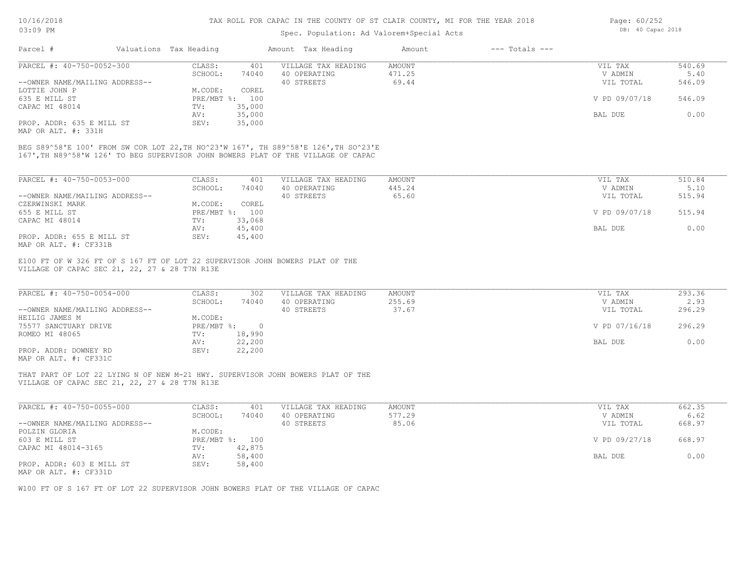### Spec. Population: Ad Valorem+Special Acts

| Page: 60/252      |  |
|-------------------|--|
| DB: 40 Capac 2018 |  |

60/252

| Parcel #                       | Valuations Tax Heading |        | Amount Tax Heading  | Amount | $---$ Totals $---$ |               |        |
|--------------------------------|------------------------|--------|---------------------|--------|--------------------|---------------|--------|
| PARCEL #: 40-750-0052-300      | CLASS:                 | 401    | VILLAGE TAX HEADING | AMOUNT |                    | VIL TAX       | 540.69 |
|                                | SCHOOL:                | 74040  | 40 OPERATING        | 471.25 |                    | V ADMIN       | 5.40   |
| --OWNER NAME/MAILING ADDRESS-- |                        |        | 40 STREETS          | 69.44  |                    | VIL TOTAL     | 546.09 |
| LOTTIE JOHN P                  | M.CODE:                | COREL  |                     |        |                    |               |        |
| 635 E MILL ST                  | PRE/MBT %:             | 100    |                     |        |                    | V PD 09/07/18 | 546.09 |
| CAPAC MI 48014                 | TV:                    | 35,000 |                     |        |                    |               |        |
|                                | AV:                    | 35,000 |                     |        |                    | BAL DUE       | 0.00   |
| PROP. ADDR: 635 E MILL ST      | SEV:                   | 35,000 |                     |        |                    |               |        |
|                                |                        |        |                     |        |                    |               |        |

MAP OR ALT. #: 331H

167',TH N89^58'W 126' TO BEG SUPERVISOR JOHN BOWERS PLAT OF THE VILLAGE OF CAPAC BEG S89^58'E 100' FROM SW COR LOT 22,TH NO^23'W 167', TH S89^58'E 126',TH SO^23'E

| PARCEL #: 40-750-0053-000      | CLASS:       | 401    | VILLAGE TAX HEADING | AMOUNT | VIL TAX       | 510.84 |
|--------------------------------|--------------|--------|---------------------|--------|---------------|--------|
|                                | SCHOOL:      | 74040  | 40 OPERATING        | 445.24 | V ADMIN       | 5.10   |
| --OWNER NAME/MAILING ADDRESS-- |              |        | 40 STREETS          | 65.60  | VIL TOTAL     | 515.94 |
| CZERWINSKI MARK                | M.CODE:      | COREL  |                     |        |               |        |
| 655 E MILL ST                  | $PRE/MBT$ %: | 100    |                     |        | V PD 09/07/18 | 515.94 |
| CAPAC MI 48014                 | TV:          | 33,068 |                     |        |               |        |
|                                | AV:          | 45,400 |                     |        | BAL DUE       | 0.00   |
| PROP. ADDR: 655 E MILL ST      | SEV:         | 45,400 |                     |        |               |        |
| MAP OR ALT. #: CF331B          |              |        |                     |        |               |        |

VILLAGE OF CAPAC SEC 21, 22, 27 & 28 T7N R13E E100 FT OF W 326 FT OF S 167 FT OF LOT 22 SUPERVISOR JOHN BOWERS PLAT OF THE

| PARCEL #: 40-750-0054-000      | CLASS:       | 302    | VILLAGE TAX HEADING | AMOUNT | VIL TAX       | 293.36 |
|--------------------------------|--------------|--------|---------------------|--------|---------------|--------|
|                                | SCHOOL:      | 74040  | 40 OPERATING        | 255.69 | V ADMIN       | 2.93   |
| --OWNER NAME/MAILING ADDRESS-- |              |        | 40 STREETS          | 37.67  | VIL TOTAL     | 296.29 |
| HEILIG JAMES M                 | M.CODE:      |        |                     |        |               |        |
| 75577 SANCTUARY DRIVE          | $PRE/MBT$ %: |        |                     |        | V PD 07/16/18 | 296.29 |
| ROMEO MI 48065                 | TV:          | 18,990 |                     |        |               |        |
|                                | AV:          | 22,200 |                     |        | BAL DUE       | 0.00   |
| PROP. ADDR: DOWNEY RD          | SEV:         | 22,200 |                     |        |               |        |
|                                |              |        |                     |        |               |        |

MAP OR ALT. #: CF331C

VILLAGE OF CAPAC SEC 21, 22, 27 & 28 T7N R13E THAT PART OF LOT 22 LYING N OF NEW M-21 HWY. SUPERVISOR JOHN BOWERS PLAT OF THE

| PARCEL #: 40-750-0055-000      | CLASS:     | 401    | VILLAGE TAX HEADING | AMOUNT | VIL TAX       | 662.35 |
|--------------------------------|------------|--------|---------------------|--------|---------------|--------|
|                                | SCHOOL:    | 74040  | 40 OPERATING        | 577.29 | V ADMIN       | 6.62   |
| --OWNER NAME/MAILING ADDRESS-- |            |        | 40 STREETS          | 85.06  | VIL TOTAL     | 668.97 |
| POLZIN GLORIA                  | M.CODE:    |        |                     |        |               |        |
| 603 E MILL ST                  | PRE/MBT %: | 100    |                     |        | V PD 09/27/18 | 668.97 |
| CAPAC MI 48014-3165            | TV:        | 42,875 |                     |        |               |        |
|                                | AV:        | 58,400 |                     |        | BAL DUE       | 0.00   |
| PROP. ADDR: 603 E MILL ST      | SEV:       | 58,400 |                     |        |               |        |
| MAP OR ALT. #: CF331D          |            |        |                     |        |               |        |

W100 FT OF S 167 FT OF LOT 22 SUPERVISOR JOHN BOWERS PLAT OF THE VILLAGE OF CAPAC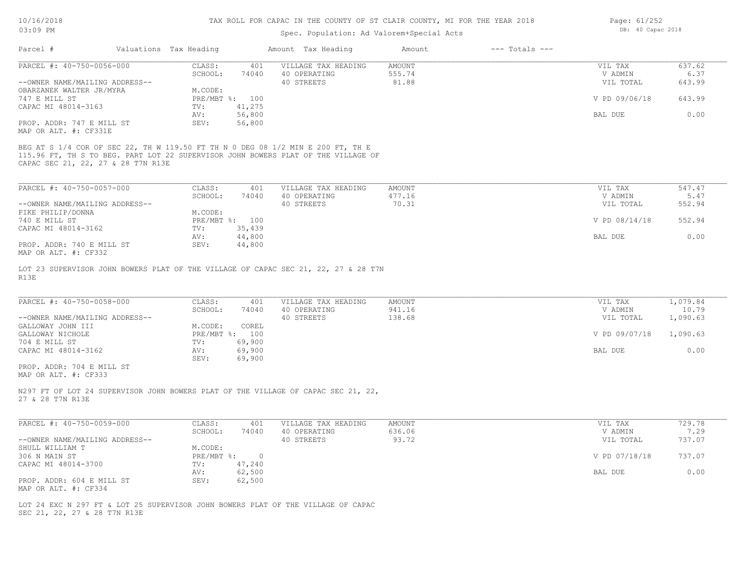### Spec. Population: Ad Valorem+Special Acts

Page: 61/252 DB: 40 Capac 2018

| Parcel #                       | Valuations Tax Heading |        | Amount Tax Heading  | Amount | $---$ Totals $---$ |               |        |
|--------------------------------|------------------------|--------|---------------------|--------|--------------------|---------------|--------|
| PARCEL #: 40-750-0056-000      | CLASS:                 | 401    | VILLAGE TAX HEADING | AMOUNT |                    | VIL TAX       | 637.62 |
|                                | SCHOOL:                | 74040  | 40 OPERATING        | 555.74 |                    | V ADMIN       | 6.37   |
| --OWNER NAME/MAILING ADDRESS-- |                        |        | 40 STREETS          | 81.88  |                    | VIL TOTAL     | 643.99 |
| OBARZANEK WALTER JR/MYRA       | M.CODE:                |        |                     |        |                    |               |        |
| 747 E MILL ST                  | PRE/MBT %: 100         |        |                     |        |                    | V PD 09/06/18 | 643.99 |
| CAPAC MI 48014-3163            | TV:                    | 41,275 |                     |        |                    |               |        |
|                                | AV:                    | 56,800 |                     |        |                    | BAL DUE       | 0.00   |
| PROP. ADDR: 747 E MILL ST      | SEV:                   | 56,800 |                     |        |                    |               |        |
| MAP OR ALT. #: CF331E          |                        |        |                     |        |                    |               |        |

CAPAC SEC 21, 22, 27 & 28 T7N R13E 115.96 FT, TH S TO BEG. PART LOT 22 SUPERVISOR JOHN BOWERS PLAT OF THE VILLAGE OF BEG AT S 1/4 COR OF SEC 22, TH W 119.50 FT TH N 0 DEG 08 1/2 MIN E 200 FT, TH E

| PARCEL #: 40-750-0057-000      | CLASS:  | 401            | VILLAGE TAX HEADING | AMOUNT | VIL TAX       | 547.47 |
|--------------------------------|---------|----------------|---------------------|--------|---------------|--------|
|                                | SCHOOL: | 74040          | 40 OPERATING        | 477.16 | V ADMIN       | 5.47   |
| --OWNER NAME/MAILING ADDRESS-- |         |                | 40 STREETS          | 70.31  | VIL TOTAL     | 552.94 |
| FIKE PHILIP/DONNA              | M.CODE: |                |                     |        |               |        |
| 740 E MILL ST                  |         | PRE/MBT %: 100 |                     |        | V PD 08/14/18 | 552.94 |
| CAPAC MI 48014-3162            | TV:     | 35,439         |                     |        |               |        |
|                                | AV:     | 44,800         |                     |        | BAL DUE       | 0.00   |
| PROP. ADDR: 740 E MILL ST      | SEV:    | 44,800         |                     |        |               |        |
| MAP OR ALT. #: CF332           |         |                |                     |        |               |        |

R13E LOT 23 SUPERVISOR JOHN BOWERS PLAT OF THE VILLAGE OF CAPAC SEC 21, 22, 27 & 28 T7N

| PARCEL #: 40-750-0058-000      | CLASS:  | 401            | VILLAGE TAX HEADING | AMOUNT | VIL TAX       | 1,079.84 |
|--------------------------------|---------|----------------|---------------------|--------|---------------|----------|
|                                | SCHOOL: | 74040          | 40 OPERATING        | 941.16 | V ADMIN       | 10.79    |
| --OWNER NAME/MAILING ADDRESS-- |         |                | 40 STREETS          | 138.68 | VIL TOTAL     | 1,090.63 |
| GALLOWAY JOHN III              | M.CODE: | COREL          |                     |        |               |          |
| GALLOWAY NICHOLE               |         | PRE/MBT %: 100 |                     |        | V PD 09/07/18 | 1,090.63 |
| 704 E MILL ST                  | TV:     | 69,900         |                     |        |               |          |
| CAPAC MI 48014-3162            | AV:     | 69,900         |                     |        | BAL DUE       | 0.00     |
|                                | SEV:    | 69,900         |                     |        |               |          |
| PROP. ADDR: 704 E MILL ST      |         |                |                     |        |               |          |

MAP OR ALT. #: CF333

27 & 28 T7N R13E N297 FT OF LOT 24 SUPERVISOR JOHN BOWERS PLAT OF THE VILLAGE OF CAPAC SEC 21, 22,

| PARCEL #: 40-750-0059-000                         | CLASS:     | 401    | VILLAGE TAX HEADING | AMOUNT | VIL TAX       | 729.78 |
|---------------------------------------------------|------------|--------|---------------------|--------|---------------|--------|
|                                                   | SCHOOL:    | 74040  | 40 OPERATING        | 636.06 | V ADMIN       | 7.29   |
| --OWNER NAME/MAILING ADDRESS--                    |            |        | 40 STREETS          | 93.72  | VIL TOTAL     | 737.07 |
| SHULL WILLIAM T                                   | M.CODE:    |        |                     |        |               |        |
| 306 N MAIN ST                                     | PRE/MBT %: |        |                     |        | V PD 07/18/18 | 737.07 |
| CAPAC MI 48014-3700                               | TV:        | 47,240 |                     |        |               |        |
|                                                   | AV:        | 62,500 |                     |        | BAL DUE       | 0.00   |
| PROP. ADDR: 604 E MILL ST<br>MAP OR ALT. #: CF334 | SEV:       | 62,500 |                     |        |               |        |

SEC 21, 22, 27 & 28 T7N R13E LOT 24 EXC N 297 FT & LOT 25 SUPERVISOR JOHN BOWERS PLAT OF THE VILLAGE OF CAPAC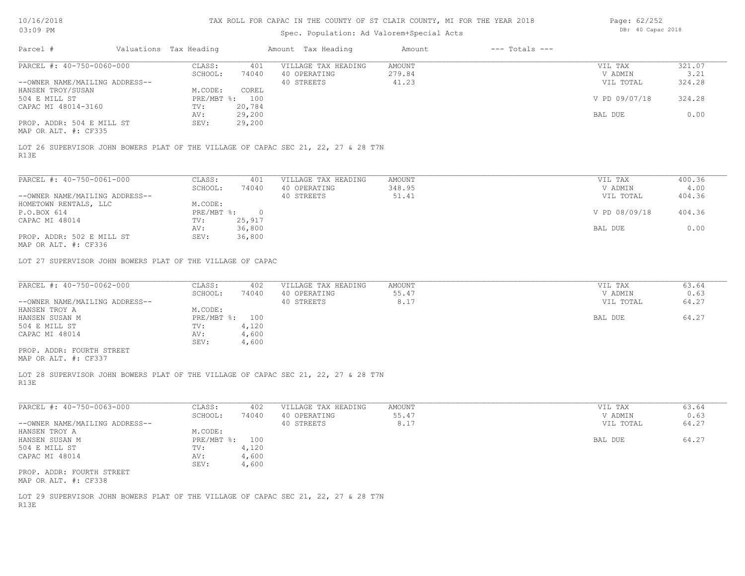# Spec. Population: Ad Valorem+Special Acts

Page: 62/252 DB: 40 Capac 2018

| Parcel #                                                   | Valuations Tax Heading  |                | Amount Tax Heading                                                                 | Amount           | $---$ Totals $---$ |                    |                |
|------------------------------------------------------------|-------------------------|----------------|------------------------------------------------------------------------------------|------------------|--------------------|--------------------|----------------|
| PARCEL #: 40-750-0060-000                                  | CLASS:<br>SCHOOL:       | 401<br>74040   | VILLAGE TAX HEADING<br>40 OPERATING                                                | AMOUNT<br>279.84 |                    | VIL TAX<br>V ADMIN | 321.07<br>3.21 |
| --OWNER NAME/MAILING ADDRESS--                             |                         |                | 40 STREETS                                                                         | 41.23            |                    | VIL TOTAL          | 324.28         |
| HANSEN TROY/SUSAN                                          | M.CODE:                 | COREL          |                                                                                    |                  |                    |                    |                |
| 504 E MILL ST<br>CAPAC MI 48014-3160                       | PRE/MBT %: 100<br>TV:   | 20,784         |                                                                                    |                  |                    | V PD 09/07/18      | 324.28         |
|                                                            | AV:                     | 29,200         |                                                                                    |                  |                    | BAL DUE            | 0.00           |
| PROP. ADDR: 504 E MILL ST<br>MAP OR ALT. #: CF335          | SEV:                    | 29,200         |                                                                                    |                  |                    |                    |                |
|                                                            |                         |                | LOT 26 SUPERVISOR JOHN BOWERS PLAT OF THE VILLAGE OF CAPAC SEC 21, 22, 27 & 28 T7N |                  |                    |                    |                |
| R13E                                                       |                         |                |                                                                                    |                  |                    |                    |                |
| PARCEL #: $40-750-0061-000$                                | CLASS:                  | 401            | VILLAGE TAX HEADING                                                                | AMOUNT           |                    | VIL TAX            | 400.36         |
|                                                            | SCHOOL:                 | 74040          | 40 OPERATING                                                                       | 348.95           |                    | V ADMIN            | 4.00           |
| --OWNER NAME/MAILING ADDRESS--                             |                         |                | 40 STREETS                                                                         | 51.41            |                    | VIL TOTAL          | 404.36         |
| HOMETOWN RENTALS, LLC<br>P.O.BOX 614                       | M.CODE:<br>PRE/MBT %: 0 |                |                                                                                    |                  |                    | V PD 08/09/18      | 404.36         |
| CAPAC MI 48014                                             | TV:                     | 25,917         |                                                                                    |                  |                    |                    |                |
|                                                            | AV:                     | 36,800         |                                                                                    |                  |                    | BAL DUE            | 0.00           |
| PROP. ADDR: 502 E MILL ST<br>MAP OR ALT. #: CF336          | SEV:                    | 36,800         |                                                                                    |                  |                    |                    |                |
| LOT 27 SUPERVISOR JOHN BOWERS PLAT OF THE VILLAGE OF CAPAC |                         |                |                                                                                    |                  |                    |                    |                |
| PARCEL #: 40-750-0062-000                                  | CLASS:                  | 402            | VILLAGE TAX HEADING                                                                | AMOUNT           |                    | VIL TAX            | 63.64          |
|                                                            | SCHOOL:                 | 74040          | 40 OPERATING                                                                       | 55.47            |                    | V ADMIN            | 0.63           |
| --OWNER NAME/MAILING ADDRESS--                             |                         |                | 40 STREETS                                                                         | 8.17             |                    | VIL TOTAL          | 64.27          |
| HANSEN TROY A                                              | M.CODE:                 |                |                                                                                    |                  |                    |                    |                |
| HANSEN SUSAN M                                             | PRE/MBT %: 100          |                |                                                                                    |                  |                    | BAL DUE            | 64.27          |
| 504 E MILL ST                                              | TV:                     | 4,120          |                                                                                    |                  |                    |                    |                |
| CAPAC MI 48014                                             | AV:<br>SEV:             | 4,600<br>4,600 |                                                                                    |                  |                    |                    |                |
| PROP. ADDR: FOURTH STREET                                  |                         |                |                                                                                    |                  |                    |                    |                |
| MAP OR ALT. #: CF337                                       |                         |                |                                                                                    |                  |                    |                    |                |
| R13E                                                       |                         |                | LOT 28 SUPERVISOR JOHN BOWERS PLAT OF THE VILLAGE OF CAPAC SEC 21, 22, 27 & 28 T7N |                  |                    |                    |                |
| PARCEL #: 40-750-0063-000                                  | CLASS:                  | 402            |                                                                                    |                  |                    | VIL TAX            | 63.64          |
|                                                            | SCHOOL:                 | 74040          | VILLAGE TAX HEADING<br>40 OPERATING                                                | AMOUNT<br>55.47  |                    | V ADMIN            | 0.63           |
| --OWNER NAME/MAILING ADDRESS--                             |                         |                | 40 STREETS                                                                         | 8.17             |                    | VIL TOTAL          | 64.27          |
| HANSEN TROY A                                              | M.CODE:                 |                |                                                                                    |                  |                    |                    |                |
| HANSEN SUSAN M                                             | PRE/MBT %: 100          |                |                                                                                    |                  |                    | BAL DUE            | 64.27          |
| 504 E MILL ST                                              | TV:                     | 4,120          |                                                                                    |                  |                    |                    |                |
| CAPAC MI 48014                                             | AV:                     | 4,600          |                                                                                    |                  |                    |                    |                |
| PROP. ADDR: FOURTH STREET                                  | SEV: 4,600              |                |                                                                                    |                  |                    |                    |                |
| MAP OR ALT. #: CF338                                       |                         |                |                                                                                    |                  |                    |                    |                |
|                                                            |                         |                | LOT 29 SUPERVISOR JOHN BOWERS PLAT OF THE VILLAGE OF CAPAC SEC 21, 22, 27 & 28 T7N |                  |                    |                    |                |
| R13E                                                       |                         |                |                                                                                    |                  |                    |                    |                |
|                                                            |                         |                |                                                                                    |                  |                    |                    |                |
|                                                            |                         |                |                                                                                    |                  |                    |                    |                |
|                                                            |                         |                |                                                                                    |                  |                    |                    |                |
|                                                            |                         |                |                                                                                    |                  |                    |                    |                |
|                                                            |                         |                |                                                                                    |                  |                    |                    |                |
|                                                            |                         |                |                                                                                    |                  |                    |                    |                |
|                                                            |                         |                |                                                                                    |                  |                    |                    |                |
|                                                            |                         |                |                                                                                    |                  |                    |                    |                |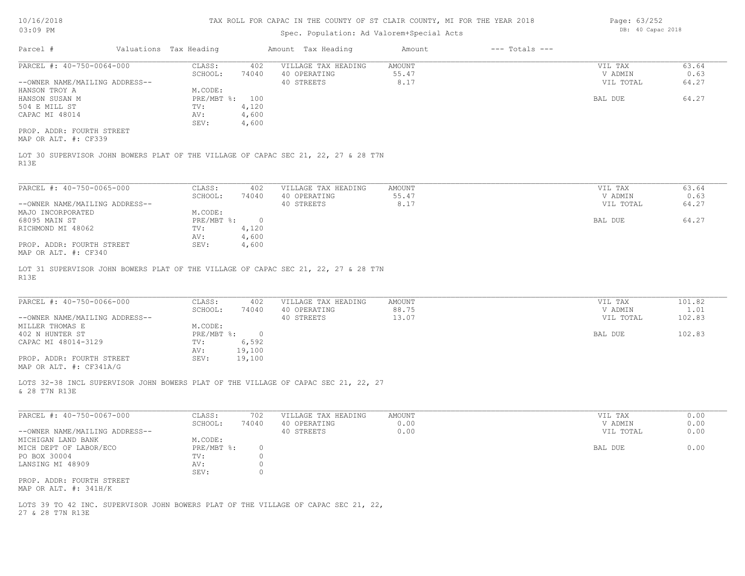Page: 63/252 DB: 40 Capac 2018

# Spec. Population: Ad Valorem+Special Acts

| Parcel #                                                    | Valuations Tax Heading           |                                   | Amount Tax Heading                                                                 | Amount                          | $---$ Totals $---$ |                                 |                          |
|-------------------------------------------------------------|----------------------------------|-----------------------------------|------------------------------------------------------------------------------------|---------------------------------|--------------------|---------------------------------|--------------------------|
| PARCEL #: 40-750-0064-000<br>--OWNER NAME/MAILING ADDRESS-- | CLASS:<br>SCHOOL:                | 402<br>74040                      | VILLAGE TAX HEADING<br>40 OPERATING<br>40 STREETS                                  | AMOUNT<br>55.47<br>8.17         |                    | VIL TAX<br>V ADMIN<br>VIL TOTAL | 63.64<br>0.63<br>64.27   |
| HANSON TROY A<br>HANSON SUSAN M<br>504 E MILL ST            | M.CODE:<br>PRE/MBT %: 100<br>TV: | 4,120                             |                                                                                    |                                 |                    | BAL DUE                         | 64.27                    |
| CAPAC MI 48014                                              | AV:<br>SEV:                      | 4,600<br>4,600                    |                                                                                    |                                 |                    |                                 |                          |
| PROP. ADDR: FOURTH STREET<br>MAP OR ALT. #: CF339           |                                  |                                   |                                                                                    |                                 |                    |                                 |                          |
| R13E                                                        |                                  |                                   | LOT 30 SUPERVISOR JOHN BOWERS PLAT OF THE VILLAGE OF CAPAC SEC 21, 22, 27 & 28 T7N |                                 |                    |                                 |                          |
| PARCEL #: 40-750-0065-000                                   | CLASS:                           | 402                               | VILLAGE TAX HEADING                                                                | AMOUNT                          |                    | VIL TAX                         | 63.64                    |
| --OWNER NAME/MAILING ADDRESS--<br>MAJO INCORPORATED         | SCHOOL:<br>M.CODE:               | 74040                             | 40 OPERATING<br>40 STREETS                                                         | 55.47<br>8.17                   |                    | V ADMIN<br>VIL TOTAL            | 0.63<br>64.27            |
| 68095 MAIN ST<br>RICHMOND MI 48062                          | PRE/MBT %:<br>TV:<br>AV:         | $\overline{0}$<br>4,120<br>4,600  |                                                                                    |                                 |                    | BAL DUE                         | 64.27                    |
| PROP. ADDR: FOURTH STREET<br>MAP OR ALT. #: CF340           | SEV:                             | 4,600                             |                                                                                    |                                 |                    |                                 |                          |
| R13E                                                        |                                  |                                   | LOT 31 SUPERVISOR JOHN BOWERS PLAT OF THE VILLAGE OF CAPAC SEC 21, 22, 27 & 28 T7N |                                 |                    |                                 |                          |
| PARCEL #: 40-750-0066-000<br>--OWNER NAME/MAILING ADDRESS-- | CLASS:<br>SCHOOL:                | 402<br>74040                      | VILLAGE TAX HEADING<br>40 OPERATING<br>40 STREETS                                  | <b>AMOUNT</b><br>88.75<br>13.07 |                    | VIL TAX<br>V ADMIN<br>VIL TOTAL | 101.82<br>1.01<br>102.83 |
| MILLER THOMAS E                                             | M.CODE:<br>$PRE/MBT$ %:          |                                   |                                                                                    |                                 |                    |                                 |                          |
| 402 N HUNTER ST<br>CAPAC MI 48014-3129                      | TV:<br>AV:                       | $\overline{0}$<br>6,592<br>19,100 |                                                                                    |                                 |                    | BAL DUE                         | 102.83                   |
| PROP. ADDR: FOURTH STREET<br>MAP OR ALT. #: CF341A/G        | SEV:                             | 19,100                            |                                                                                    |                                 |                    |                                 |                          |
| & 28 T7N R13E                                               |                                  |                                   | LOTS 32-38 INCL SUPERVISOR JOHN BOWERS PLAT OF THE VILLAGE OF CAPAC SEC 21, 22, 27 |                                 |                    |                                 |                          |
| PARCEL #: 40-750-0067-000                                   | CLASS:<br>SCHOOL:                | 702<br>74040                      | VILLAGE TAX HEADING<br>40 OPERATING                                                | AMOUNT<br>0.00                  |                    | VIL TAX<br>V ADMIN              | 0.00<br>0.00             |
| --OWNER NAME/MAILING ADDRESS--<br>MICHIGAN LAND BANK        | M.CODE:                          |                                   | 40 STREETS                                                                         | 0.00                            |                    | VIL TOTAL                       | 0.00                     |
| MICH DEPT OF LABOR/ECO<br>PO BOX 30004                      | PRE/MBT %:<br>TV:                | $\circ$<br>$\circ$                |                                                                                    |                                 |                    | BAL DUE                         | 0.00                     |
| LANSING MI 48909<br>PROP. ADDR: FOURTH STREET               | AV:<br>SEV:                      | $\circ$<br>$\circ$                |                                                                                    |                                 |                    |                                 |                          |
| MAP OR ALT. #: 341H/K                                       |                                  |                                   |                                                                                    |                                 |                    |                                 |                          |
| 27 & 28 T7N R13E                                            |                                  |                                   | LOTS 39 TO 42 INC. SUPERVISOR JOHN BOWERS PLAT OF THE VILLAGE OF CAPAC SEC 21, 22, |                                 |                    |                                 |                          |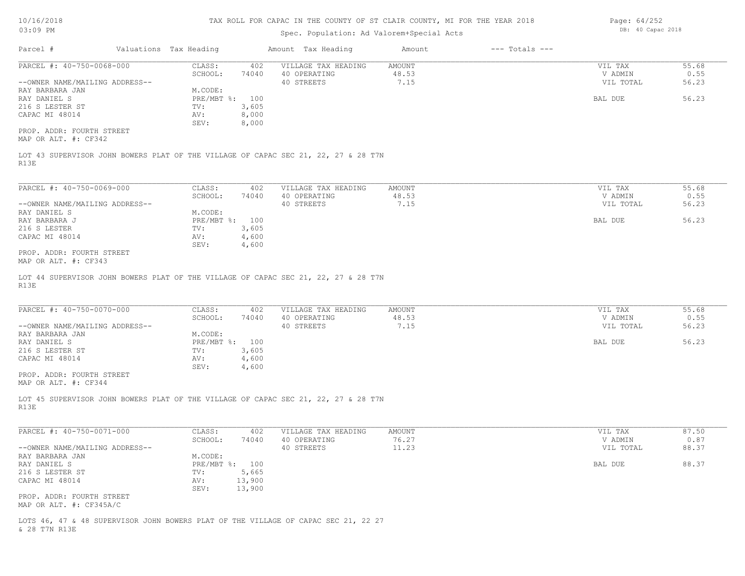|  |  | 10/16/2018 |
|--|--|------------|
|  |  |            |

Parcel # Valuations Tax Heading Amount Tax Heading Amount --- Totals ---Spec. Population: Ad Valorem+Special Acts 03:09 PM R13E LOT 43 SUPERVISOR JOHN BOWERS PLAT OF THE VILLAGE OF CAPAC SEC 21, 22, 27 & 28 T7N MAP OR ALT. #: CF342 PROP. ADDR: FOURTH STREET SEV: 8,000 CAPAC MI 48014 **AV:** 8,000 216 S LESTER ST TV: 3,605 RAY DANIEL S PRE/MBT %: 100 BAL DUE 56.23 RAY BARBARA JAN MONTHANI M.CODE:<br>RAY DANIEL S --OWNER NAME/MAILING ADDRESS-- 40 STREETS 7.15 VIL TOTAL 56.23 SCHOOL: 74040 40 OPERATING 48.53 V ADMIN 0.55 PARCEL #: 40-750-0068-000 CLASS: 402 VILLAGE TAX HEADING AMOUNT VIL TAX VIL TAX 55.68<br>SCHOOL: 74040 40 OPERATING 48.53 48.53 VADMIN 0.55  $\mathcal{L}_\mathcal{L} = \mathcal{L}_\mathcal{L} = \mathcal{L}_\mathcal{L} = \mathcal{L}_\mathcal{L} = \mathcal{L}_\mathcal{L} = \mathcal{L}_\mathcal{L} = \mathcal{L}_\mathcal{L} = \mathcal{L}_\mathcal{L} = \mathcal{L}_\mathcal{L} = \mathcal{L}_\mathcal{L} = \mathcal{L}_\mathcal{L} = \mathcal{L}_\mathcal{L} = \mathcal{L}_\mathcal{L} = \mathcal{L}_\mathcal{L} = \mathcal{L}_\mathcal{L} = \mathcal{L}_\mathcal{L} = \mathcal{L}_\mathcal{L}$ R13E LOT 44 SUPERVISOR JOHN BOWERS PLAT OF THE VILLAGE OF CAPAC SEC 21, 22, 27 & 28 T7N MAP OR ALT. #: CF343 PROP. ADDR: FOURTH STREET SEV: 4,600 CAPAC MI 48014 <br>CAPAC MI 48014 <br>SEV: 4,600 216 S LESTER TV: 3,605 RAY BARBARA J PRE/MBT %: 100 BAL DUE 56.23 RAY DANIEL S<br>
RAY BARBARA J<br>
RAY BARBARA J<br>
M.CODE: NO PRE/MBT %: 100 --OWNER NAME/MAILING ADDRESS-- 40 STREETS 7.15 VIL TOTAL 56.23 SCHOOL: 74040 40 OPERATING 48.53 V ADMIN 0.55 PARCEL #: 40-750-0069-000 CLASS: 402 VILLAGE TAX HEADING AMOUNT VIL TAX VIL TAX 55.68<br>SCHOOL: 74040 40 OPERATING 48.53 VADMIN 0.55  $\mathcal{L}_\mathcal{L} = \mathcal{L}_\mathcal{L} = \mathcal{L}_\mathcal{L} = \mathcal{L}_\mathcal{L} = \mathcal{L}_\mathcal{L} = \mathcal{L}_\mathcal{L} = \mathcal{L}_\mathcal{L} = \mathcal{L}_\mathcal{L} = \mathcal{L}_\mathcal{L} = \mathcal{L}_\mathcal{L} = \mathcal{L}_\mathcal{L} = \mathcal{L}_\mathcal{L} = \mathcal{L}_\mathcal{L} = \mathcal{L}_\mathcal{L} = \mathcal{L}_\mathcal{L} = \mathcal{L}_\mathcal{L} = \mathcal{L}_\mathcal{L}$ R13E LOT 45 SUPERVISOR JOHN BOWERS PLAT OF THE VILLAGE OF CAPAC SEC 21, 22, 27 & 28 T7N MAP OR ALT. #: CF344 PROP. ADDR: FOURTH STREET SEV: 4,600 CAPAC MI 48014 <br>CAPAC MI 48014 <br>SEV: 4,600 216 S LESTER ST TV: 3,605 RAY DANIEL S PRE/MBT %: 100 BAL DUE 56.23 RAY BARBARA JAN M.CODE: --OWNER NAME/MAILING ADDRESS-- 40 STREETS 7.15 VIL TOTAL 56.23 SCHOOL: 74040 40 OPERATING 48.53 V ADMIN 0.55 PARCEL #: 40-750-0070-000 CLASS: 402 VILLAGE TAX HEADING AMOUNT AMOUNT VIL TAX 55.68<br>SCHOOL: 74040 40 OPERATING 48.53 VADMIN 0.55  $\mathcal{L}_\mathcal{L} = \mathcal{L}_\mathcal{L} = \mathcal{L}_\mathcal{L} = \mathcal{L}_\mathcal{L} = \mathcal{L}_\mathcal{L} = \mathcal{L}_\mathcal{L} = \mathcal{L}_\mathcal{L} = \mathcal{L}_\mathcal{L} = \mathcal{L}_\mathcal{L} = \mathcal{L}_\mathcal{L} = \mathcal{L}_\mathcal{L} = \mathcal{L}_\mathcal{L} = \mathcal{L}_\mathcal{L} = \mathcal{L}_\mathcal{L} = \mathcal{L}_\mathcal{L} = \mathcal{L}_\mathcal{L} = \mathcal{L}_\mathcal{L}$ PROP. ADDR: FOURTH STREET SEV: 13,900 CAPAC MT 48014 **AV:** 13,900 216 S LESTER ST TV: 5,665 RAY DANIEL S PRE/MBT %: 100 BAL DUE 88.37 RAY BARBARA JAN MONTHERAY PRE/MBT %: 100 --OWNER NAME/MAILING ADDRESS-- 40 STREETS 11.23 VIL TOTAL 88.37 SCHOOL: 74040 40 OPERATING 76.27 76.27 76.29 76.29 76.29 76.29 76.29 76.29 76.29 76.27 75.287 76.27 76.27 76.287 76.287 76.287 76.287 76.287 76.287 76.287 76.287 76.287 76.287 76.287 76.287 76.287 76.287 76.287 76.287 76.2 PARCEL #: 40-750-0071-000 CLASS: 402 VILLAGE TAX HEADING AMOUNT VIL TAX VIL TAX 87.50<br>SCHOOL: 74040 40 OPERATING 76.27 VADMIN 0.87  $\mathcal{L}_\mathcal{L} = \mathcal{L}_\mathcal{L} = \mathcal{L}_\mathcal{L} = \mathcal{L}_\mathcal{L} = \mathcal{L}_\mathcal{L} = \mathcal{L}_\mathcal{L} = \mathcal{L}_\mathcal{L} = \mathcal{L}_\mathcal{L} = \mathcal{L}_\mathcal{L} = \mathcal{L}_\mathcal{L} = \mathcal{L}_\mathcal{L} = \mathcal{L}_\mathcal{L} = \mathcal{L}_\mathcal{L} = \mathcal{L}_\mathcal{L} = \mathcal{L}_\mathcal{L} = \mathcal{L}_\mathcal{L} = \mathcal{L}_\mathcal{L}$ 

MAP OR ALT. #: CF345A/C

& 28 T7N R13E LOTS 46, 47 & 48 SUPERVISOR JOHN BOWERS PLAT OF THE VILLAGE OF CAPAC SEC 21, 22 27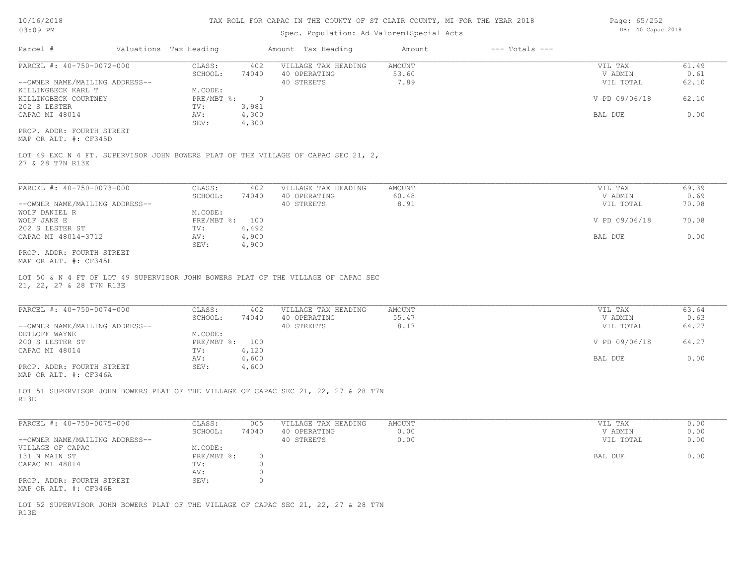### Spec. Population: Ad Valorem+Special Acts

| Parcel #                       | Valuations Tax Heading |       | Amount Tax Heading  | Amount | $---$ Totals $---$ |               |       |
|--------------------------------|------------------------|-------|---------------------|--------|--------------------|---------------|-------|
| PARCEL #: 40-750-0072-000      | CLASS:                 | 402   | VILLAGE TAX HEADING | AMOUNT |                    | VIL TAX       | 61.49 |
|                                | SCHOOL:                | 74040 | 40 OPERATING        | 53.60  |                    | V ADMIN       | 0.61  |
| --OWNER NAME/MAILING ADDRESS-- |                        |       | 40 STREETS          | 7.89   |                    | VIL TOTAL     | 62.10 |
| KILLINGBECK KARL T             | M.CODE:                |       |                     |        |                    |               |       |
| KILLINGBECK COURTNEY           | PRE/MBT %:             |       |                     |        |                    | V PD 09/06/18 | 62.10 |
| 202 S LESTER                   | TV:                    | 3,981 |                     |        |                    |               |       |
| CAPAC MI 48014                 | AV:                    | 4,300 |                     |        |                    | BAL DUE       | 0.00  |
|                                | SEV:                   | 4,300 |                     |        |                    |               |       |
| PROP. ADDR: FOURTH STREET      |                        |       |                     |        |                    |               |       |
| MAP OR ALT. #: CF345D          |                        |       |                     |        |                    |               |       |

27 & 28 T7N R13E LOT 49 EXC N 4 FT. SUPERVISOR JOHN BOWERS PLAT OF THE VILLAGE OF CAPAC SEC 21, 2,

| PARCEL #: 40-750-0073-000      | CLASS:         | 402   | VILLAGE TAX HEADING | AMOUNT | VIL TAX       | 69.39 |
|--------------------------------|----------------|-------|---------------------|--------|---------------|-------|
|                                | SCHOOL:        | 74040 | 40 OPERATING        | 60.48  | V ADMIN       | 0.69  |
| --OWNER NAME/MAILING ADDRESS-- |                |       | 40 STREETS          | 8.91   | VIL TOTAL     | 70.08 |
| WOLF DANIEL R                  | M.CODE:        |       |                     |        |               |       |
| WOLF JANE E                    | PRE/MBT %: 100 |       |                     |        | V PD 09/06/18 | 70.08 |
| 202 S LESTER ST                | TV:            | 4,492 |                     |        |               |       |
| CAPAC MI 48014-3712            | AV:            | 4,900 |                     |        | BAL DUE       | 0.00  |
|                                | SEV:           | 4,900 |                     |        |               |       |
| ppop appp poupou coppon        |                |       |                     |        |               |       |

MAP OR ALT. #: CF345E PROP. ADDR: FOURTH STREET

21, 22, 27 & 28 T7N R13E LOT 50 & N 4 FT OF LOT 49 SUPERVISOR JOHN BOWERS PLAT OF THE VILLAGE OF CAPAC SEC

| PARCEL #: 40-750-0074-000      | CLASS:         | 402   | VILLAGE TAX HEADING | AMOUNT | VIL TAX       | 63.64 |
|--------------------------------|----------------|-------|---------------------|--------|---------------|-------|
|                                | SCHOOL:        | 74040 | 40 OPERATING        | 55.47  | V ADMIN       | 0.63  |
| --OWNER NAME/MAILING ADDRESS-- |                |       | 40 STREETS          | 8.17   | VIL TOTAL     | 64.27 |
| DETLOFF WAYNE                  | M.CODE:        |       |                     |        |               |       |
| 200 S LESTER ST                | PRE/MBT %: 100 |       |                     |        | V PD 09/06/18 | 64.27 |
| CAPAC MI 48014                 | TV:            | 4,120 |                     |        |               |       |
|                                | AV:            | 4,600 |                     |        | BAL DUE       | 0.00  |
| PROP. ADDR: FOURTH STREET      | SEV:           | 4,600 |                     |        |               |       |
|                                |                |       |                     |        |               |       |

MAP OR ALT. #: CF346A

R13E LOT 51 SUPERVISOR JOHN BOWERS PLAT OF THE VILLAGE OF CAPAC SEC 21, 22, 27 & 28 T7N

| PARCEL #: 40-750-0075-000      | CLASS:     | 005   | VILLAGE TAX HEADING | AMOUNT | VIL TAX   | 0.00 |
|--------------------------------|------------|-------|---------------------|--------|-----------|------|
|                                | SCHOOL:    | 74040 | 40 OPERATING        | 0.00   | V ADMIN   | 0.00 |
| --OWNER NAME/MAILING ADDRESS-- |            |       | 40 STREETS          | 0.00   | VIL TOTAL | 0.00 |
| VILLAGE OF CAPAC               | M.CODE:    |       |                     |        |           |      |
| 131 N MAIN ST                  | PRE/MBT %: |       |                     |        | BAL DUE   | 0.00 |
| CAPAC MI 48014                 | TV:        |       |                     |        |           |      |
|                                | AV:        |       |                     |        |           |      |
| PROP. ADDR: FOURTH STREET      | SEV:       |       |                     |        |           |      |
| MAP OR ALT. #: CF346B          |            |       |                     |        |           |      |

R13E LOT 52 SUPERVISOR JOHN BOWERS PLAT OF THE VILLAGE OF CAPAC SEC 21, 22, 27 & 28 T7N Page: 65/252 DB: 40 Capac 2018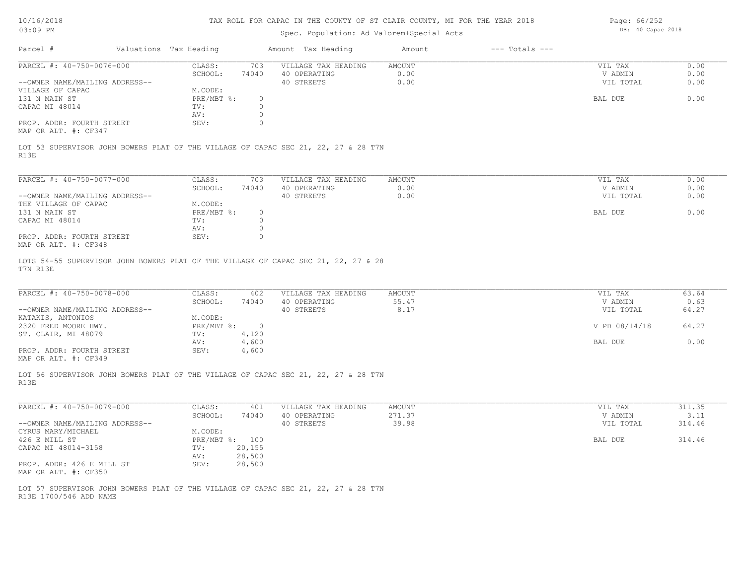| 10/16/2018 |     |
|------------|-----|
| 03:09-     | PM. |

R13E

#### TAX ROLL FOR CAPAC IN THE COUNTY OF ST CLAIR COUNTY, MI FOR THE YEAR 2018

Parcel # Valuations Tax Heading Amount Tax Heading Amount --- Totals ---Spec. Population: Ad Valorem+Special Acts LOT 53 SUPERVISOR JOHN BOWERS PLAT OF THE VILLAGE OF CAPAC SEC 21, 22, 27 & 28 T7N MAP OR ALT. #: CF347 PROP. ADDR: FOURTH STREET SEV: SEV: 0 AV: 0 CAPAC MI  $48014$  TV:  $0$  av:  $0$  av:  $0$ 131 N MAIN ST PRE/MBT %: 0 BAL DUE 0.00 VILLAGE OF CAPAC M.CODE: M.CODE: 131 N MAIN ST ST --OWNER NAME/MAILING ADDRESS-- 40 STREETS 0.00 VIL TOTAL 0.00 SCHOOL: 74040 40 OPERATING 0.00 V ADMIN 0.00 PARCEL #: 40-750-0076-000 CLASS: 703 VILLAGE TAX HEADING AMOUNT AMOUNT VIL TAX 0.00<br>SCHOOL: 74040 40 OPERATING 0.00 000 VADMIN 0.00  $\mathcal{L}_\mathcal{L} = \mathcal{L}_\mathcal{L} = \mathcal{L}_\mathcal{L} = \mathcal{L}_\mathcal{L} = \mathcal{L}_\mathcal{L} = \mathcal{L}_\mathcal{L} = \mathcal{L}_\mathcal{L} = \mathcal{L}_\mathcal{L} = \mathcal{L}_\mathcal{L} = \mathcal{L}_\mathcal{L} = \mathcal{L}_\mathcal{L} = \mathcal{L}_\mathcal{L} = \mathcal{L}_\mathcal{L} = \mathcal{L}_\mathcal{L} = \mathcal{L}_\mathcal{L} = \mathcal{L}_\mathcal{L} = \mathcal{L}_\mathcal{L}$ 

| PARCEL #: 40-750-0077-000      | CLASS:     | 703    | VILLAGE TAX HEADING | AMOUNT | 0.00<br>VIL TAX   |
|--------------------------------|------------|--------|---------------------|--------|-------------------|
|                                | SCHOOL:    | 74040  | 40 OPERATING        | 0.00   | 0.00<br>V ADMIN   |
| --OWNER NAME/MAILING ADDRESS-- |            |        | 40 STREETS          | 0.00   | 0.00<br>VIL TOTAL |
| THE VILLAGE OF CAPAC           | M.CODE:    |        |                     |        |                   |
| 131 N MAIN ST                  | PRE/MBT %: | $\cap$ |                     |        | 0.00<br>BAL DUE   |
| CAPAC MI 48014                 | TV:        |        |                     |        |                   |
|                                | AV:        |        |                     |        |                   |
| PROP. ADDR: FOURTH STREET      | SEV:       |        |                     |        |                   |
| MAP OR ALT. #: CF348           |            |        |                     |        |                   |

T7N R13E LOTS 54-55 SUPERVISOR JOHN BOWERS PLAT OF THE VILLAGE OF CAPAC SEC 21, 22, 27 & 28

| PARCEL #: 40-750-0078-000                                                                                       | CLASS:       | 402   | VILLAGE TAX HEADING | AMOUNT | VIL TAX       | 63.64 |
|-----------------------------------------------------------------------------------------------------------------|--------------|-------|---------------------|--------|---------------|-------|
|                                                                                                                 | SCHOOL:      | 74040 | 40 OPERATING        | 55.47  | V ADMIN       | 0.63  |
| --OWNER NAME/MAILING ADDRESS--                                                                                  |              |       | 40 STREETS          | 8.17   | VIL TOTAL     | 64.27 |
| KATAKIS, ANTONIOS                                                                                               | M.CODE:      |       |                     |        |               |       |
| 2320 FRED MOORE HWY.                                                                                            | $PRE/MBT$ %: |       |                     |        | V PD 08/14/18 | 64.27 |
| ST. CLAIR, MI 48079                                                                                             | TV:          | 4,120 |                     |        |               |       |
|                                                                                                                 | AV:          | 4,600 |                     |        | BAL DUE       | 0.00  |
| PROP. ADDR: FOURTH STREET                                                                                       | SEV:         | 4,600 |                     |        |               |       |
| the contract of the contract of the contract of the contract of the contract of the contract of the contract of |              |       |                     |        |               |       |

MAP OR ALT. #: CF349

R13E LOT 56 SUPERVISOR JOHN BOWERS PLAT OF THE VILLAGE OF CAPAC SEC 21, 22, 27 & 28 T7N

| PARCEL #: 40-750-0079-000      | CLASS:     | 401    | VILLAGE TAX HEADING | AMOUNT | VIL TAX   | 311.35 |
|--------------------------------|------------|--------|---------------------|--------|-----------|--------|
|                                | SCHOOL:    | 74040  | 40 OPERATING        | 271.37 | V ADMIN   | 3.11   |
| --OWNER NAME/MAILING ADDRESS-- |            |        | 40 STREETS          | 39.98  | VIL TOTAL | 314.46 |
| CYRUS MARY/MICHAEL             | M.CODE:    |        |                     |        |           |        |
| 426 E MILL ST                  | PRE/MBT %: | 100    |                     |        | BAL DUE   | 314.46 |
| CAPAC MI 48014-3158            | TV:        | 20,155 |                     |        |           |        |
|                                | AV:        | 28,500 |                     |        |           |        |
| PROP. ADDR: 426 E MILL ST      | SEV:       | 28,500 |                     |        |           |        |
| MAP OR ALT. #: CF350           |            |        |                     |        |           |        |

 $\mathcal{L}_\mathcal{L} = \mathcal{L}_\mathcal{L} = \mathcal{L}_\mathcal{L} = \mathcal{L}_\mathcal{L} = \mathcal{L}_\mathcal{L} = \mathcal{L}_\mathcal{L} = \mathcal{L}_\mathcal{L} = \mathcal{L}_\mathcal{L} = \mathcal{L}_\mathcal{L} = \mathcal{L}_\mathcal{L} = \mathcal{L}_\mathcal{L} = \mathcal{L}_\mathcal{L} = \mathcal{L}_\mathcal{L} = \mathcal{L}_\mathcal{L} = \mathcal{L}_\mathcal{L} = \mathcal{L}_\mathcal{L} = \mathcal{L}_\mathcal{L}$ 

R13E 1700/546 ADD NAME LOT 57 SUPERVISOR JOHN BOWERS PLAT OF THE VILLAGE OF CAPAC SEC 21, 22, 27 & 28 T7N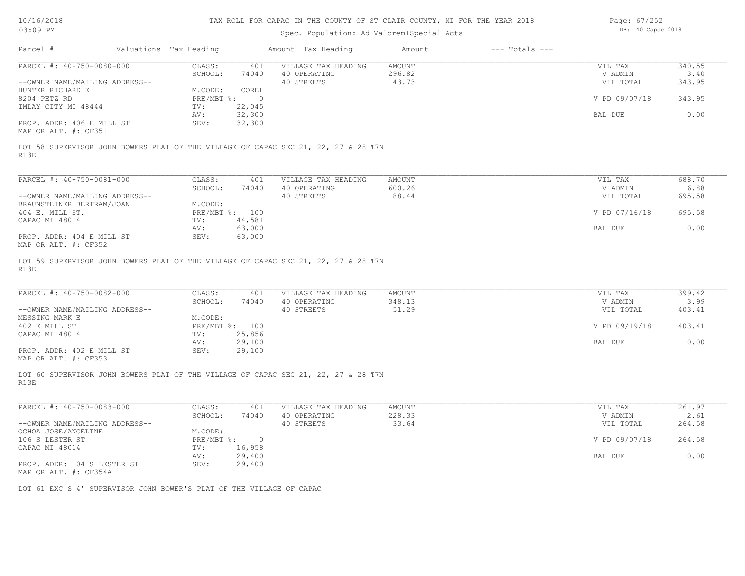|  |  | 10/16/2018 |
|--|--|------------|
|  |  |            |

| 03:09 PM                                                                      |                              |                          | Spec. Population: Ad Valorem+Special Acts                                          |                           |                    | DB: 40 Capac 2018               |                          |  |  |  |
|-------------------------------------------------------------------------------|------------------------------|--------------------------|------------------------------------------------------------------------------------|---------------------------|--------------------|---------------------------------|--------------------------|--|--|--|
| Parcel #                                                                      | Valuations Tax Heading       |                          | Amount Tax Heading                                                                 | Amount                    | $---$ Totals $---$ |                                 |                          |  |  |  |
| PARCEL #: 40-750-0080-000                                                     | CLASS:<br>SCHOOL:            | 401<br>74040             | VILLAGE TAX HEADING<br>40 OPERATING                                                | AMOUNT<br>296.82          |                    | VIL TAX<br>V ADMIN              | 340.55<br>3.40           |  |  |  |
| --OWNER NAME/MAILING ADDRESS--                                                |                              |                          | 40 STREETS                                                                         | 43.73                     |                    | VIL TOTAL                       | 343.95                   |  |  |  |
| HUNTER RICHARD E                                                              | M.CODE:                      | COREL                    |                                                                                    |                           |                    |                                 |                          |  |  |  |
| 8204 PETZ RD<br>IMLAY CITY MI 48444                                           | $PRE/MBT$ $\div$             | $\overline{0}$           |                                                                                    |                           |                    | V PD 09/07/18                   | 343.95                   |  |  |  |
|                                                                               | TV:<br>AV:                   | 22,045<br>32,300         |                                                                                    |                           |                    | BAL DUE                         | 0.00                     |  |  |  |
| PROP. ADDR: 406 E MILL ST                                                     | SEV:                         | 32,300                   |                                                                                    |                           |                    |                                 |                          |  |  |  |
| MAP OR ALT. #: CF351                                                          |                              |                          |                                                                                    |                           |                    |                                 |                          |  |  |  |
| R13E                                                                          |                              |                          | LOT 58 SUPERVISOR JOHN BOWERS PLAT OF THE VILLAGE OF CAPAC SEC 21, 22, 27 & 28 T7N |                           |                    |                                 |                          |  |  |  |
| PARCEL #: 40-750-0081-000                                                     | CLASS:                       |                          | VILLAGE TAX HEADING                                                                | AMOUNT                    |                    | VIL TAX                         | 688.70                   |  |  |  |
|                                                                               | SCHOOL:                      | 401<br>74040             | 40 OPERATING                                                                       | 600.26                    |                    | V ADMIN                         | 6.88                     |  |  |  |
| --OWNER NAME/MAILING ADDRESS--                                                |                              |                          | 40 STREETS                                                                         | 88.44                     |                    | VIL TOTAL                       | 695.58                   |  |  |  |
| BRAUNSTEINER BERTRAM/JOAN                                                     | M.CODE:                      |                          |                                                                                    |                           |                    |                                 |                          |  |  |  |
| 404 E. MILL ST.                                                               |                              | PRE/MBT %: 100           |                                                                                    |                           |                    | V PD 07/16/18                   | 695.58                   |  |  |  |
| CAPAC MI 48014                                                                | TV:                          | 44,581                   |                                                                                    |                           |                    |                                 |                          |  |  |  |
| PROP. ADDR: 404 E MILL ST                                                     | AV:<br>SEV:                  | 63,000<br>63,000         |                                                                                    |                           |                    | BAL DUE                         | 0.00                     |  |  |  |
| MAP OR ALT. #: CF352                                                          |                              |                          |                                                                                    |                           |                    |                                 |                          |  |  |  |
| PARCEL #: 40-750-0082-000<br>--OWNER NAME/MAILING ADDRESS--<br>MESSING MARK E | CLASS:<br>SCHOOL:<br>M.CODE: | 401<br>74040             | VILLAGE TAX HEADING<br>40 OPERATING<br>40 STREETS                                  | AMOUNT<br>348.13<br>51.29 |                    | VIL TAX<br>V ADMIN<br>VIL TOTAL | 399.42<br>3.99<br>403.41 |  |  |  |
| 402 E MILL ST<br>CAPAC MI 48014                                               | TV:                          | PRE/MBT %: 100<br>25,856 |                                                                                    |                           |                    | V PD 09/19/18                   | 403.41                   |  |  |  |
|                                                                               | AV:                          | 29,100                   |                                                                                    |                           |                    | BAL DUE                         | 0.00                     |  |  |  |
| PROP. ADDR: 402 E MILL ST<br>MAP OR ALT. #: CF353                             | SEV:                         | 29,100                   |                                                                                    |                           |                    |                                 |                          |  |  |  |
| R13E                                                                          |                              |                          | LOT 60 SUPERVISOR JOHN BOWERS PLAT OF THE VILLAGE OF CAPAC SEC 21, 22, 27 & 28 T7N |                           |                    |                                 |                          |  |  |  |
| PARCEL #: 40-750-0083-000                                                     | CLASS:                       | 401                      | VILLAGE TAX HEADING                                                                | AMOUNT                    |                    | VIL TAX                         | 261.97                   |  |  |  |
|                                                                               | SCHOOL:                      | 74040                    | 40 OPERATING                                                                       | 228.33                    |                    | V ADMIN                         | 2.61                     |  |  |  |
| --OWNER NAME/MAILING ADDRESS--                                                |                              |                          | 40 STREETS                                                                         | 33.64                     |                    | VIL TOTAL                       | 264.58                   |  |  |  |
| OCHOA JOSE/ANGELINE<br>106 S LESTER ST                                        | M.CODE:                      |                          |                                                                                    |                           |                    |                                 |                          |  |  |  |
| CAPAC MI 48014                                                                | $PRE/MBT$ %:<br>TV:          | $\circ$<br>16,958        |                                                                                    |                           |                    | V PD 09/07/18                   | 264.58                   |  |  |  |
|                                                                               | AV:                          | 29,400                   |                                                                                    |                           |                    | BAL DUE                         | 0.00                     |  |  |  |
| PROP. ADDR: 104 S LESTER ST<br>MAP OR ALT. #: CF354A                          | SEV:                         | 29,400                   |                                                                                    |                           |                    |                                 |                          |  |  |  |
|                                                                               |                              |                          |                                                                                    |                           |                    |                                 |                          |  |  |  |
| LOT 61 EXC S 4' SUPERVISOR JOHN BOWER'S PLAT OF THE VILLAGE OF CAPAC          |                              |                          |                                                                                    |                           |                    |                                 |                          |  |  |  |
|                                                                               |                              |                          |                                                                                    |                           |                    |                                 |                          |  |  |  |
|                                                                               |                              |                          |                                                                                    |                           |                    |                                 |                          |  |  |  |
|                                                                               |                              |                          |                                                                                    |                           |                    |                                 |                          |  |  |  |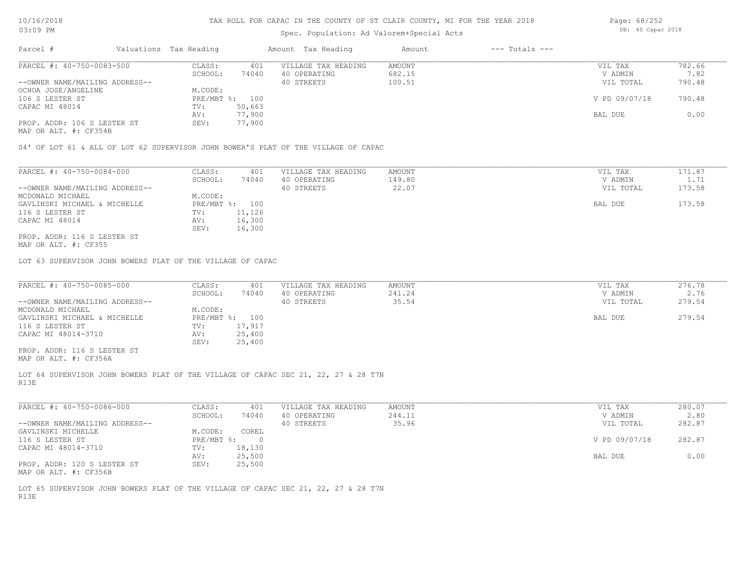### Spec. Population: Ad Valorem+Special Acts

| Parcel #                       | Valuations Tax Heading |                | Amount Tax Heading  | Amount | $---$ Totals $---$ |               |        |
|--------------------------------|------------------------|----------------|---------------------|--------|--------------------|---------------|--------|
| PARCEL #: 40-750-0083-500      | CLASS:                 | 401            | VILLAGE TAX HEADING | AMOUNT |                    | VIL TAX       | 782.66 |
|                                | SCHOOL:                | 74040          | 40 OPERATING        | 682.15 |                    | V ADMIN       | 7.82   |
| --OWNER NAME/MAILING ADDRESS-- |                        |                | 40 STREETS          | 100.51 |                    | VIL TOTAL     | 790.48 |
| OCHOA JOSE/ANGELINE            | M.CODE:                |                |                     |        |                    |               |        |
| 106 S LESTER ST                |                        | PRE/MBT %: 100 |                     |        |                    | V PD 09/07/18 | 790.48 |
| CAPAC MI 48014                 | TV:                    | 50,663         |                     |        |                    |               |        |
|                                | AV:                    | 77,900         |                     |        |                    | BAL DUE       | 0.00   |
| PROP. ADDR: 106 S LESTER ST    | SEV:                   | 77,900         |                     |        |                    |               |        |
|                                |                        |                |                     |        |                    |               |        |

MAP OR ALT. #: CF354B

S4' OF LOT 61 & ALL OF LOT 62 SUPERVISOR JOHN BOWER'S PLAT OF THE VILLAGE OF CAPAC

| PARCEL #: 40-750-0084-000      | CLASS:         | 401    | VILLAGE TAX HEADING | AMOUNT | VIL TAX   | 171.87 |
|--------------------------------|----------------|--------|---------------------|--------|-----------|--------|
|                                | SCHOOL:        | 74040  | 40 OPERATING        | 149.80 | V ADMIN   | 1.71   |
| --OWNER NAME/MAILING ADDRESS-- |                |        | 40 STREETS          | 22.07  | VIL TOTAL | 173.58 |
| MCDONALD MICHAEL               | M.CODE:        |        |                     |        |           |        |
| GAVLINSKI MICHAEL & MICHELLE   | PRE/MBT %: 100 |        |                     |        | BAL DUE   | 173.58 |
| 116 S LESTER ST                | TV:            | 11,126 |                     |        |           |        |
| CAPAC MI 48014                 | AV:            | 16,300 |                     |        |           |        |
|                                | SEV:           | 16,300 |                     |        |           |        |
| PROP. ADDR: 116 S LESTER ST    |                |        |                     |        |           |        |

MAP OR ALT. #: CF355

LOT 63 SUPERVISOR JOHN BOWERS PLAT OF THE VILLAGE OF CAPAC

| PARCEL #: 40-750-0085-000      | CLASS:  | 401            | VILLAGE TAX HEADING | AMOUNT | VIL TAX   | 276.78 |
|--------------------------------|---------|----------------|---------------------|--------|-----------|--------|
|                                | SCHOOL: | 74040          | 40 OPERATING        | 241.24 | V ADMIN   | 2.76   |
| --OWNER NAME/MAILING ADDRESS-- |         |                | 40 STREETS          | 35.54  | VIL TOTAL | 279.54 |
| MCDONALD MICHAEL               | M.CODE: |                |                     |        |           |        |
| GAVLINSKI MICHAEL & MICHELLE   |         | PRE/MBT %: 100 |                     |        | BAL DUE   | 279.54 |
| 116 S LESTER ST                | TV:     | 17,917         |                     |        |           |        |
| CAPAC MI 48014-3710            | AV:     | 25,400         |                     |        |           |        |
|                                | SEV:    | 25,400         |                     |        |           |        |
| PROP. ADDR: 116 S LESTER ST    |         |                |                     |        |           |        |
|                                |         |                |                     |        |           |        |

MAP OR ALT. #: CF356A

R13E LOT 64 SUPERVISOR JOHN BOWERS PLAT OF THE VILLAGE OF CAPAC SEC 21, 22, 27 & 28 T7N

| PARCEL #: 40-750-0086-000      | CLASS:       | 401    | VILLAGE TAX HEADING | AMOUNT | VIL TAX       | 280.07 |
|--------------------------------|--------------|--------|---------------------|--------|---------------|--------|
|                                | SCHOOL:      | 74040  | 40 OPERATING        | 244.11 | V ADMIN       | 2.80   |
| --OWNER NAME/MAILING ADDRESS-- |              |        | 40 STREETS          | 35.96  | VIL TOTAL     | 282.87 |
| GAVLINSKI MICHELLE             | M.CODE:      | COREL  |                     |        |               |        |
| 116 S LESTER ST                | $PRE/MBT$ %: |        |                     |        | V PD 09/07/18 | 282.87 |
| CAPAC MI 48014-3710            | TV:          | 18,130 |                     |        |               |        |
|                                | AV:          | 25,500 |                     |        | BAL DUE       | 0.00   |
| PROP. ADDR: 120 S LESTER ST    | SEV:         | 25,500 |                     |        |               |        |
| MAP OR ALT. #: CF356B          |              |        |                     |        |               |        |

R13E LOT 65 SUPERVISOR JOHN BOWERS PLAT OF THE VILLAGE OF CAPAC SEC 21, 22, 27 & 28 T7N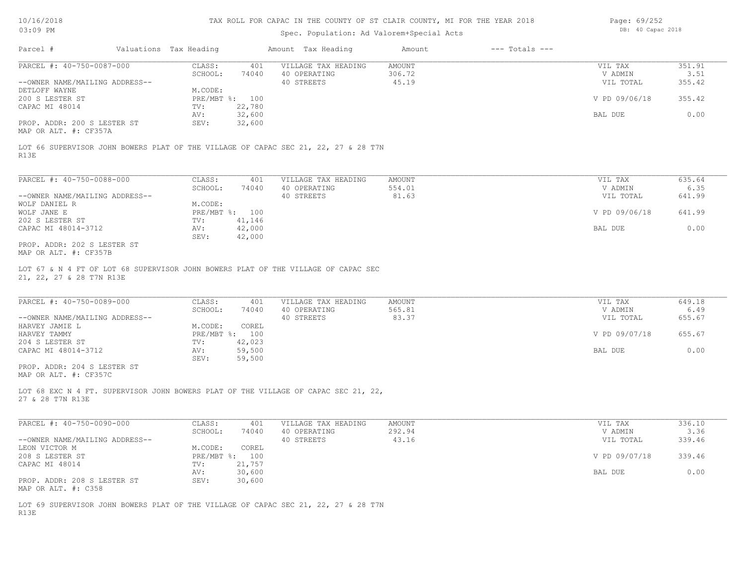### Spec. Population: Ad Valorem+Special Acts

Page: 69/252 DB: 40 Capac 2018

| Parcel #                                             | Valuations Tax Heading |        | Amount Tax Heading  | Amount | $---$ Totals $---$ |               |        |
|------------------------------------------------------|------------------------|--------|---------------------|--------|--------------------|---------------|--------|
| PARCEL #: 40-750-0087-000                            | CLASS:                 | 401    | VILLAGE TAX HEADING | AMOUNT |                    | VIL TAX       | 351.91 |
|                                                      | SCHOOL:                | 74040  | 40 OPERATING        | 306.72 |                    | V ADMIN       | 3.51   |
| --OWNER NAME/MAILING ADDRESS--                       |                        |        | 40 STREETS          | 45.19  |                    | VIL TOTAL     | 355.42 |
| DETLOFF WAYNE                                        | M.CODE:                |        |                     |        |                    |               |        |
| 200 S LESTER ST                                      | PRE/MBT %: 100         |        |                     |        |                    | V PD 09/06/18 | 355.42 |
| CAPAC MI 48014                                       | TV:                    | 22,780 |                     |        |                    |               |        |
|                                                      | AV:                    | 32,600 |                     |        |                    | BAL DUE       | 0.00   |
| PROP. ADDR: 200 S LESTER ST<br>MAP OR ALT. #: CF357A | SEV:                   | 32,600 |                     |        |                    |               |        |

R13E LOT 66 SUPERVISOR JOHN BOWERS PLAT OF THE VILLAGE OF CAPAC SEC 21, 22, 27 & 28 T7N

| PARCEL #: 40-750-0088-000      | CLASS:       | 401    | VILLAGE TAX HEADING | AMOUNT | VIL TAX       | 635.64 |
|--------------------------------|--------------|--------|---------------------|--------|---------------|--------|
|                                | SCHOOL:      | 74040  | 40 OPERATING        | 554.01 | V ADMIN       | 6.35   |
| --OWNER NAME/MAILING ADDRESS-- |              |        | 40 STREETS          | 81.63  | VIL TOTAL     | 641.99 |
| WOLF DANIEL R                  | M.CODE:      |        |                     |        |               |        |
| WOLF JANE E                    | $PRE/MBT$ %: | 100    |                     |        | V PD 09/06/18 | 641.99 |
| 202 S LESTER ST                | TV:          | 41,146 |                     |        |               |        |
| CAPAC MI 48014-3712            | AV:          | 42,000 |                     |        | BAL DUE       | 0.00   |
|                                | SEV:         | 42,000 |                     |        |               |        |
| PROP. ADDR: 202 S LESTER ST    |              |        |                     |        |               |        |

MAP OR ALT. #: CF357B

21, 22, 27 & 28 T7N R13E LOT 67 & N 4 FT OF LOT 68 SUPERVISOR JOHN BOWERS PLAT OF THE VILLAGE OF CAPAC SEC

| PARCEL #: 40-750-0089-000      | CLASS:  | 401            | VILLAGE TAX HEADING | AMOUNT | VIL TAX       | 649.18 |
|--------------------------------|---------|----------------|---------------------|--------|---------------|--------|
|                                | SCHOOL: | 74040          | 40 OPERATING        | 565.81 | V ADMIN       | 6.49   |
| --OWNER NAME/MAILING ADDRESS-- |         |                | 40 STREETS          | 83.37  | VIL TOTAL     | 655.67 |
| HARVEY JAMIE L                 | M.CODE: | COREL          |                     |        |               |        |
| HARVEY TAMMY                   |         | PRE/MBT %: 100 |                     |        | V PD 09/07/18 | 655.67 |
| 204 S LESTER ST                | TV:     | 42,023         |                     |        |               |        |
| CAPAC MI 48014-3712            | AV:     | 59,500         |                     |        | BAL DUE       | 0.00   |
|                                | SEV:    | 59,500         |                     |        |               |        |
| PROP. ADDR: 204 S LESTER ST    |         |                |                     |        |               |        |

MAP OR ALT. #: CF357C

27 & 28 T7N R13E LOT 68 EXC N 4 FT. SUPERVISOR JOHN BOWERS PLAT OF THE VILLAGE OF CAPAC SEC 21, 22,

| PARCEL #: 40-750-0090-000      | CLASS:  | 401            | VILLAGE TAX HEADING | AMOUNT | VIL TAX       | 336.10 |
|--------------------------------|---------|----------------|---------------------|--------|---------------|--------|
|                                | SCHOOL: | 74040          | 40 OPERATING        | 292.94 | V ADMIN       | 3.36   |
| --OWNER NAME/MAILING ADDRESS-- |         |                | 40 STREETS          | 43.16  | VIL TOTAL     | 339.46 |
| LEON VICTOR M                  | M.CODE: | COREL          |                     |        |               |        |
| 208 S LESTER ST                |         | PRE/MBT %: 100 |                     |        | V PD 09/07/18 | 339.46 |
| CAPAC MI 48014                 | TV:     | 21,757         |                     |        |               |        |
|                                | AV:     | 30,600         |                     |        | BAL DUE       | 0.00   |
| PROP. ADDR: 208 S LESTER ST    | SEV:    | 30,600         |                     |        |               |        |
| MAP OR ALT. #: C358            |         |                |                     |        |               |        |

R13E LOT 69 SUPERVISOR JOHN BOWERS PLAT OF THE VILLAGE OF CAPAC SEC 21, 22, 27 & 28 T7N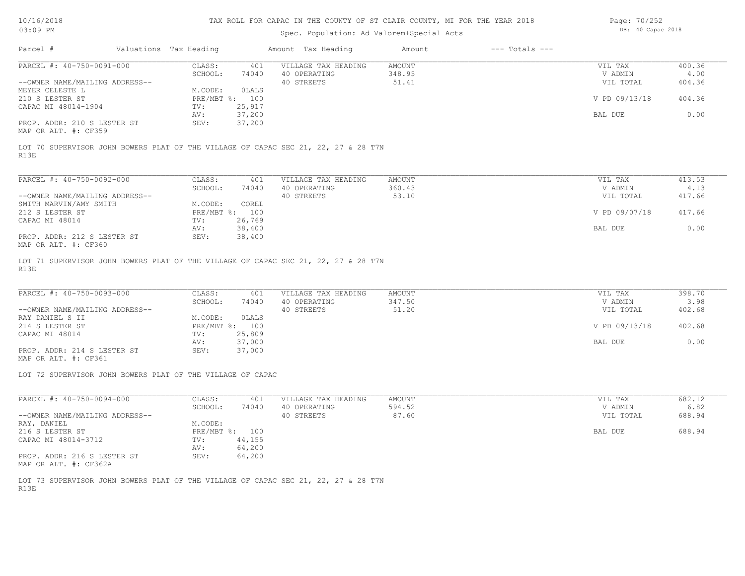### Spec. Population: Ad Valorem+Special Acts

Page: 70/252 DB: 40 Capac 2018

| Parcel #                       | Valuations Tax Heading |                | Amount Tax Heading  | Amount | $---$ Totals $---$ |               |        |
|--------------------------------|------------------------|----------------|---------------------|--------|--------------------|---------------|--------|
| PARCEL #: 40-750-0091-000      | CLASS:                 | 401            | VILLAGE TAX HEADING | AMOUNT |                    | VIL TAX       | 400.36 |
|                                | SCHOOL:                | 74040          | 40 OPERATING        | 348.95 |                    | V ADMIN       | 4.00   |
| --OWNER NAME/MAILING ADDRESS-- |                        |                | 40 STREETS          | 51.41  |                    | VIL TOTAL     | 404.36 |
| MEYER CELESTE L                | M.CODE:                | OLALS          |                     |        |                    |               |        |
| 210 S LESTER ST                |                        | PRE/MBT %: 100 |                     |        |                    | V PD 09/13/18 | 404.36 |
| CAPAC MI 48014-1904            | TV:                    | 25,917         |                     |        |                    |               |        |
|                                | AV:                    | 37,200         |                     |        |                    | BAL DUE       | 0.00   |
| PROP. ADDR: 210 S LESTER ST    | SEV:                   | 37,200         |                     |        |                    |               |        |
| MAP OR ALT. #: CF359           |                        |                |                     |        |                    |               |        |

R13E LOT 70 SUPERVISOR JOHN BOWERS PLAT OF THE VILLAGE OF CAPAC SEC 21, 22, 27 & 28 T7N

| PARCEL #: 40-750-0092-000                                                     | CLASS:                    | 401    | VILLAGE TAX HEADING | AMOUNT | VIL TAX       | 413.53 |
|-------------------------------------------------------------------------------|---------------------------|--------|---------------------|--------|---------------|--------|
|                                                                               | SCHOOL:                   | 74040  | 40 OPERATING        | 360.43 | V ADMIN       | 4.13   |
| --OWNER NAME/MAILING ADDRESS--                                                |                           |        | 40 STREETS          | 53.10  | VIL TOTAL     | 417.66 |
| SMITH MARVIN/AMY SMITH                                                        | M.CODE:                   | COREL  |                     |        |               |        |
| 212 S LESTER ST                                                               | $PRE/MBT$ $\frac{1}{6}$ : | 100    |                     |        | V PD 09/07/18 | 417.66 |
| CAPAC MI 48014                                                                | TV:                       | 26,769 |                     |        |               |        |
|                                                                               | AV:                       | 38,400 |                     |        | BAL DUE       | 0.00   |
| PROP. ADDR: 212 S LESTER ST<br>$\mathbf{M}$ and $\mathbf{M}$ and $\mathbf{M}$ | SEV:                      | 38,400 |                     |        |               |        |

MAP OR ALT. #: CF360

R13E LOT 71 SUPERVISOR JOHN BOWERS PLAT OF THE VILLAGE OF CAPAC SEC 21, 22, 27 & 28 T7N

| PARCEL #: 40-750-0093-000      | CLASS:  | 401            | VILLAGE TAX HEADING | AMOUNT | VIL TAX       | 398.70 |
|--------------------------------|---------|----------------|---------------------|--------|---------------|--------|
|                                | SCHOOL: | 74040          | 40 OPERATING        | 347.50 | V ADMIN       | 3.98   |
| --OWNER NAME/MAILING ADDRESS-- |         |                | 40 STREETS          | 51.20  | VIL TOTAL     | 402.68 |
| RAY DANIEL S II                | M.CODE: | OLALS          |                     |        |               |        |
| 214 S LESTER ST                |         | PRE/MBT %: 100 |                     |        | V PD 09/13/18 | 402.68 |
| CAPAC MI 48014                 | TV:     | 25,809         |                     |        |               |        |
|                                | AV:     | 37,000         |                     |        | BAL DUE       | 0.00   |
| PROP. ADDR: 214 S LESTER ST    | SEV:    | 37,000         |                     |        |               |        |

MAP OR ALT. #: CF361

LOT 72 SUPERVISOR JOHN BOWERS PLAT OF THE VILLAGE OF CAPAC

| PARCEL #: 40-750-0094-000                                                         | CLASS:     | 401    | VILLAGE TAX HEADING | AMOUNT | VIL TAX   | 682.12 |
|-----------------------------------------------------------------------------------|------------|--------|---------------------|--------|-----------|--------|
|                                                                                   | SCHOOL:    | 74040  | 40 OPERATING        | 594.52 | V ADMIN   | 6.82   |
| --OWNER NAME/MAILING ADDRESS--                                                    |            |        | 40 STREETS          | 87.60  | VIL TOTAL | 688.94 |
| RAY, DANIEL                                                                       | M.CODE:    |        |                     |        |           |        |
| 216 S LESTER ST                                                                   | PRE/MBT %: | 100    |                     |        | BAL DUE   | 688.94 |
| CAPAC MI 48014-3712                                                               | TV:        | 44,155 |                     |        |           |        |
|                                                                                   | AV:        | 64,200 |                     |        |           |        |
| PROP. ADDR: 216 S LESTER ST<br>$M \land \cap \cap \cap \cap \cap \cap \cap \dots$ | SEV:       | 64,200 |                     |        |           |        |

MAP OR ALT. #: CF362A

R13E LOT 73 SUPERVISOR JOHN BOWERS PLAT OF THE VILLAGE OF CAPAC SEC 21, 22, 27 & 28 T7N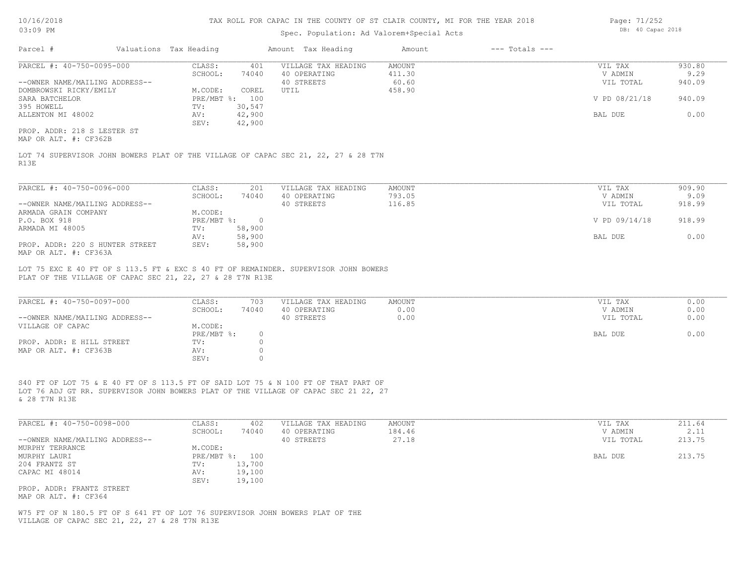### Spec. Population: Ad Valorem+Special Acts

| Page: 71/252      |  |
|-------------------|--|
| DB: 40 Capac 2018 |  |

| Parcel #                       | Valuations Tax Heading |        | Amount Tax Heading  | Amount | $---$ Totals $---$ |               |        |
|--------------------------------|------------------------|--------|---------------------|--------|--------------------|---------------|--------|
| PARCEL #: 40-750-0095-000      | CLASS:                 | 401    | VILLAGE TAX HEADING | AMOUNT |                    | VIL TAX       | 930.80 |
|                                | SCHOOL:                | 74040  | 40 OPERATING        | 411.30 |                    | V ADMIN       | 9.29   |
| --OWNER NAME/MAILING ADDRESS-- |                        |        | 40 STREETS          | 60.60  |                    | VIL TOTAL     | 940.09 |
| DOMBROWSKI RICKY/EMILY         | M.CODE:                | COREL  | UTIL                | 458.90 |                    |               |        |
| SARA BATCHELOR                 | PRE/MBT %: 100         |        |                     |        |                    | V PD 08/21/18 | 940.09 |
| 395 HOWELL                     | TV:                    | 30,547 |                     |        |                    |               |        |
| ALLENTON MI 48002              | AV:                    | 42,900 |                     |        |                    | BAL DUE       | 0.00   |
|                                | SEV:                   | 42,900 |                     |        |                    |               |        |
| PROP. ADDR: 218 S LESTER ST    |                        |        |                     |        |                    |               |        |
|                                |                        |        |                     |        |                    |               |        |

MAP OR ALT. #: CF362B

R13E LOT 74 SUPERVISOR JOHN BOWERS PLAT OF THE VILLAGE OF CAPAC SEC 21, 22, 27 & 28 T7N

| PARCEL #: 40-750-0096-000       | CLASS:     | 201    | VILLAGE TAX HEADING | AMOUNT | VIL TAX       | 909.90 |
|---------------------------------|------------|--------|---------------------|--------|---------------|--------|
|                                 | SCHOOL:    | 74040  | 40 OPERATING        | 793.05 | V ADMIN       | 9.09   |
| --OWNER NAME/MAILING ADDRESS--  |            |        | 40 STREETS          | 116.85 | VIL TOTAL     | 918.99 |
| ARMADA GRAIN COMPANY            | M.CODE:    |        |                     |        |               |        |
| P.O. BOX 918                    | PRE/MBT %: |        |                     |        | V PD 09/14/18 | 918.99 |
| ARMADA MI 48005                 | TV:        | 58,900 |                     |        |               |        |
|                                 | AV:        | 58,900 |                     |        | BAL DUE       | 0.00   |
| PROP. ADDR: 220 S HUNTER STREET | SEV:       | 58,900 |                     |        |               |        |
| MAP OR ALT. #: CF363A           |            |        |                     |        |               |        |

PLAT OF THE VILLAGE OF CAPAC SEC 21, 22, 27 & 28 T7N R13E LOT 75 EXC E 40 FT OF S 113.5 FT & EXC S 40 FT OF REMAINDER. SUPERVISOR JOHN BOWERS

| PARCEL #: 40-750-0097-000      | CLASS:     | 703   | VILLAGE TAX HEADING | AMOUNT | VIL TAX   | 0.00 |
|--------------------------------|------------|-------|---------------------|--------|-----------|------|
|                                | SCHOOL:    | 74040 | 40 OPERATING        | 0.00   | V ADMIN   | 0.00 |
| --OWNER NAME/MAILING ADDRESS-- |            |       | 40 STREETS          | 0.00   | VIL TOTAL | 0.00 |
| VILLAGE OF CAPAC               | M.CODE:    |       |                     |        |           |      |
|                                | PRE/MBT %: | 0.    |                     |        | BAL DUE   | 0.00 |
| PROP. ADDR: E HILL STREET      | TV:        |       |                     |        |           |      |
| MAP OR ALT. #: CF363B          | AV:        |       |                     |        |           |      |
|                                | SEV:       |       |                     |        |           |      |

 $\mathcal{L}_\mathcal{L} = \mathcal{L}_\mathcal{L} = \mathcal{L}_\mathcal{L} = \mathcal{L}_\mathcal{L} = \mathcal{L}_\mathcal{L} = \mathcal{L}_\mathcal{L} = \mathcal{L}_\mathcal{L} = \mathcal{L}_\mathcal{L} = \mathcal{L}_\mathcal{L} = \mathcal{L}_\mathcal{L} = \mathcal{L}_\mathcal{L} = \mathcal{L}_\mathcal{L} = \mathcal{L}_\mathcal{L} = \mathcal{L}_\mathcal{L} = \mathcal{L}_\mathcal{L} = \mathcal{L}_\mathcal{L} = \mathcal{L}_\mathcal{L}$ 

& 28 T7N R13E LOT 76 ADJ GT RR. SUPERVISOR JOHN BOWERS PLAT OF THE VILLAGE OF CAPAC SEC 21 22, 27 S40 FT OF LOT 75 & E 40 FT OF S 113.5 FT OF SAID LOT 75 & N 100 FT OF THAT PART OF

| PARCEL #: 40-750-0098-000      | CLASS:       | 402    | VILLAGE TAX HEADING | AMOUNT | VIL TAX   | 211.64 |
|--------------------------------|--------------|--------|---------------------|--------|-----------|--------|
|                                | SCHOOL:      | 74040  | 40 OPERATING        | 184.46 | V ADMIN   | 2.11   |
| --OWNER NAME/MAILING ADDRESS-- |              |        | 40 STREETS          | 27.18  | VIL TOTAL | 213.75 |
| MURPHY TERRANCE                | M.CODE:      |        |                     |        |           |        |
| MURPHY LAURI                   | $PRE/MBT$ %: | 100    |                     |        | BAL DUE   | 213.75 |
| 204 FRANTZ ST                  | TV:          | 13,700 |                     |        |           |        |
| CAPAC MI 48014                 | AV:          | 19,100 |                     |        |           |        |
|                                | SEV:         | 19,100 |                     |        |           |        |
| PROP. ADDR: FRANTZ STREET      |              |        |                     |        |           |        |
| MAP OR ALT. #: CF364           |              |        |                     |        |           |        |

VILLAGE OF CAPAC SEC 21, 22, 27 & 28 T7N R13E W75 FT OF N 180.5 FT OF S 641 FT OF LOT 76 SUPERVISOR JOHN BOWERS PLAT OF THE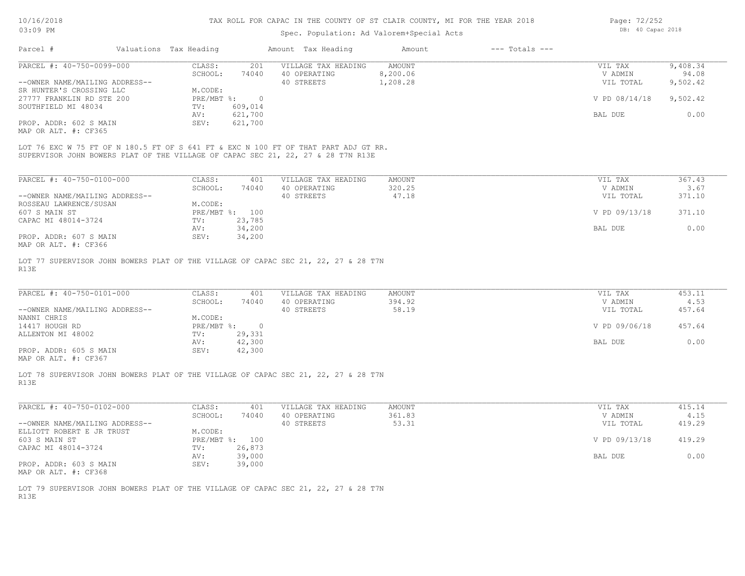### Spec. Population: Ad Valorem+Special Acts

Page: 72/252 DB: 40 Capac 2018

| Parcel #                       | Valuations Tax Heading |         | Amount Tax Heading  | Amount   | $---$ Totals $---$ |               |          |
|--------------------------------|------------------------|---------|---------------------|----------|--------------------|---------------|----------|
| PARCEL #: 40-750-0099-000      | CLASS:                 | 201     | VILLAGE TAX HEADING | AMOUNT   |                    | VIL TAX       | 9,408.34 |
|                                | SCHOOL:                | 74040   | 40 OPERATING        | 8,200.06 |                    | V ADMIN       | 94.08    |
| --OWNER NAME/MAILING ADDRESS-- |                        |         | 40 STREETS          | 1,208.28 |                    | VIL TOTAL     | 9,502.42 |
| SR HUNTER'S CROSSING LLC       | M.CODE:                |         |                     |          |                    |               |          |
| 27777 FRANKLIN RD STE 200      | $PRE/MBT$ %:           |         |                     |          |                    | V PD 08/14/18 | 9,502.42 |
| SOUTHFIELD MI 48034            | TV:                    | 609,014 |                     |          |                    |               |          |
|                                | AV:                    | 621,700 |                     |          |                    | BAL DUE       | 0.00     |
| PROP. ADDR: 602 S MAIN         | SEV:                   | 621,700 |                     |          |                    |               |          |
| MAP OR ALT. #: CF365           |                        |         |                     |          |                    |               |          |

SUPERVISOR JOHN BOWERS PLAT OF THE VILLAGE OF CAPAC SEC 21, 22, 27 & 28 T7N R13E LOT 76 EXC W 75 FT OF N 180.5 FT OF S 641 FT & EXC N 100 FT OF THAT PART ADJ GT RR.

| PARCEL #: 40-750-0100-000      | CLASS:     | 401    | VILLAGE TAX HEADING | AMOUNT | VIL TAX       | 367.43 |
|--------------------------------|------------|--------|---------------------|--------|---------------|--------|
|                                | SCHOOL:    | 74040  | 40 OPERATING        | 320.25 | V ADMIN       | 3.67   |
| --OWNER NAME/MAILING ADDRESS-- |            |        | 40 STREETS          | 47.18  | VIL TOTAL     | 371.10 |
| ROSSEAU LAWRENCE/SUSAN         | M.CODE:    |        |                     |        |               |        |
| 607 S MAIN ST                  | PRE/MBT %: | 100    |                     |        | V PD 09/13/18 | 371.10 |
| CAPAC MI 48014-3724            | TV:        | 23,785 |                     |        |               |        |
|                                | AV:        | 34,200 |                     |        | BAL DUE       | 0.00   |
| PROP. ADDR: 607 S MAIN         | SEV:       | 34,200 |                     |        |               |        |
| MAP OR ALT. #: CF366           |            |        |                     |        |               |        |

R13E LOT 77 SUPERVISOR JOHN BOWERS PLAT OF THE VILLAGE OF CAPAC SEC 21, 22, 27 & 28 T7N

| PARCEL #: 40-750-0101-000      | CLASS:       | 401    | VILLAGE TAX HEADING | AMOUNT | VIL TAX       | 453.11 |
|--------------------------------|--------------|--------|---------------------|--------|---------------|--------|
|                                | SCHOOL:      | 74040  | 40 OPERATING        | 394.92 | V ADMIN       | 4.53   |
| --OWNER NAME/MAILING ADDRESS-- |              |        | 40 STREETS          | 58.19  | VIL TOTAL     | 457.64 |
| NANNI CHRIS                    | M.CODE:      |        |                     |        |               |        |
| 14417 HOUGH RD                 | $PRE/MBT$ %: |        |                     |        | V PD 09/06/18 | 457.64 |
| ALLENTON MI 48002              | TV:          | 29,331 |                     |        |               |        |
|                                | AV:          | 42,300 |                     |        | BAL DUE       | 0.00   |
| PROP. ADDR: 605 S MAIN         | SEV:         | 42,300 |                     |        |               |        |
|                                |              |        |                     |        |               |        |

MAP OR ALT. #: CF367

R13E LOT 78 SUPERVISOR JOHN BOWERS PLAT OF THE VILLAGE OF CAPAC SEC 21, 22, 27 & 28 T7N

| PARCEL #: 40-750-0102-000      | CLASS:  | 401            | VILLAGE TAX HEADING | AMOUNT | VIL TAX       | 415.14 |
|--------------------------------|---------|----------------|---------------------|--------|---------------|--------|
|                                | SCHOOL: | 74040          | 40 OPERATING        | 361.83 | V ADMIN       | 4.15   |
| --OWNER NAME/MAILING ADDRESS-- |         |                | 40 STREETS          | 53.31  | VIL TOTAL     | 419.29 |
| ELLIOTT ROBERT E JR TRUST      | M.CODE: |                |                     |        |               |        |
| 603 S MAIN ST                  |         | PRE/MBT %: 100 |                     |        | V PD 09/13/18 | 419.29 |
| CAPAC MI 48014-3724            | TV:     | 26,873         |                     |        |               |        |
|                                | AV:     | 39,000         |                     |        | BAL DUE       | 0.00   |
| PROP. ADDR: 603 S MAIN         | SEV:    | 39,000         |                     |        |               |        |
| MAP OR ALT. #: CF368           |         |                |                     |        |               |        |

R13E LOT 79 SUPERVISOR JOHN BOWERS PLAT OF THE VILLAGE OF CAPAC SEC 21, 22, 27 & 28 T7N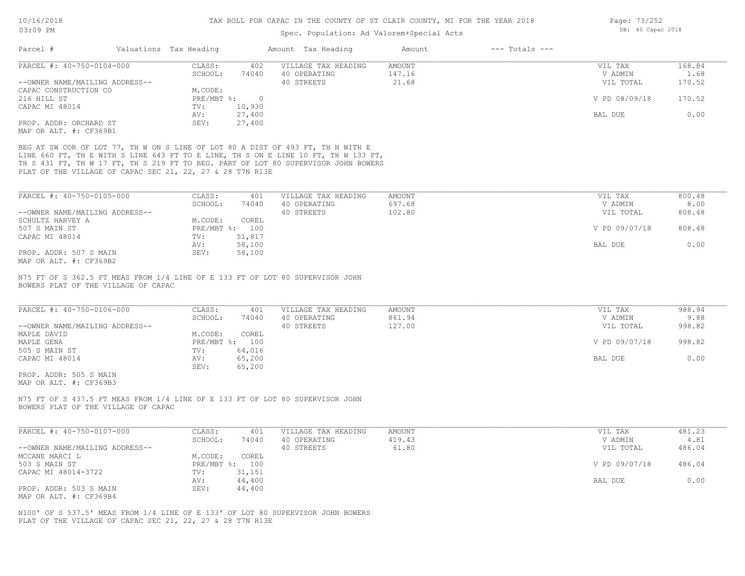# Spec. Population: Ad Valorem+Special Acts

|                                                                                                                                                                                                                                                                                                                          |                                | ppoor formation. http://witch.org/comment. |               |                    |               |        |
|--------------------------------------------------------------------------------------------------------------------------------------------------------------------------------------------------------------------------------------------------------------------------------------------------------------------------|--------------------------------|--------------------------------------------|---------------|--------------------|---------------|--------|
| Parcel #<br>Valuations Tax Heading                                                                                                                                                                                                                                                                                       |                                | Amount Tax Heading                         | Amount        | $---$ Totals $---$ |               |        |
| PARCEL #: 40-750-0104-000                                                                                                                                                                                                                                                                                                | CLASS:<br>402                  | VILLAGE TAX HEADING                        | <b>AMOUNT</b> |                    | VIL TAX       | 168.84 |
|                                                                                                                                                                                                                                                                                                                          | SCHOOL:<br>74040               | 40 OPERATING                               | 147.16        |                    | V ADMIN       | 1.68   |
| --OWNER NAME/MAILING ADDRESS--                                                                                                                                                                                                                                                                                           |                                | 40 STREETS                                 | 21.68         |                    | VIL TOTAL     | 170.52 |
| CAPAC CONSTRUCTION CO                                                                                                                                                                                                                                                                                                    | M.CODE:                        |                                            |               |                    |               |        |
| 216 HILL ST                                                                                                                                                                                                                                                                                                              | $PRE/MBT$ %:<br>$\overline{0}$ |                                            |               |                    | V PD 08/09/18 | 170.52 |
| CAPAC MI 48014                                                                                                                                                                                                                                                                                                           | 10,930<br>$\text{TV}$ :        |                                            |               |                    |               |        |
|                                                                                                                                                                                                                                                                                                                          | 27,400<br>AV:                  |                                            |               |                    | BAL DUE       | 0.00   |
| PROP. ADDR: ORCHARD ST                                                                                                                                                                                                                                                                                                   | SEV:<br>27,400                 |                                            |               |                    |               |        |
| MAP OR ALT. #: CF369B1                                                                                                                                                                                                                                                                                                   |                                |                                            |               |                    |               |        |
|                                                                                                                                                                                                                                                                                                                          |                                |                                            |               |                    |               |        |
| BEG AT SW COR OF LOT 77, TH W ON S LINE OF LOT 80 A DIST OF 493 FT, TH N WITH E<br>LINE 660 FT, TH E WITH S LINE 643 FT TO E LINE, TH S ON E LINE 10 FT, TH W 133 FT,<br>TH S 431 FT, TH W 17 FT, TH S 219 FT TO BEG. PART OF LOT 80 SUPERVISOR JOHN BOWERS<br>PLAT OF THE VILLAGE OF CAPAC SEC 21, 22, 27 & 28 T7N R13E |                                |                                            |               |                    |               |        |
| PARCEL #: 40-750-0105-000                                                                                                                                                                                                                                                                                                | CLASS:<br>401                  | VILLAGE TAX HEADING                        | AMOUNT        |                    | VIL TAX       | 800.48 |
|                                                                                                                                                                                                                                                                                                                          | SCHOOL:<br>74040               | 40 OPERATING                               | 697.68        |                    | V ADMIN       | 8.00   |
| --OWNER NAME/MAILING ADDRESS--                                                                                                                                                                                                                                                                                           |                                | 40 STREETS                                 | 102.80        |                    | VIL TOTAL     | 808.48 |
|                                                                                                                                                                                                                                                                                                                          |                                |                                            |               |                    |               |        |
| SCHULTZ HARVEY A                                                                                                                                                                                                                                                                                                         | M.CODE:<br>COREL               |                                            |               |                    |               |        |
| 507 S MAIN ST                                                                                                                                                                                                                                                                                                            | PRE/MBT %: 100                 |                                            |               |                    | V PD 09/07/18 | 808.48 |
| CAPAC MI 48014                                                                                                                                                                                                                                                                                                           | 51,817<br>TV:                  |                                            |               |                    |               |        |
|                                                                                                                                                                                                                                                                                                                          | 58,100<br>AV:                  |                                            |               |                    | BAL DUE       | 0.00   |
| PROP. ADDR: 507 S MAIN                                                                                                                                                                                                                                                                                                   | SEV:<br>58,100                 |                                            |               |                    |               |        |
| MAP OR ALT. #: CF369B2                                                                                                                                                                                                                                                                                                   |                                |                                            |               |                    |               |        |
| N75 FT OF S 362.5 FT MEAS FROM 1/4 LINE OF E 133 FT OF LOT 80 SUPERVISOR JOHN<br>BOWERS PLAT OF THE VILLAGE OF CAPAC                                                                                                                                                                                                     |                                |                                            |               |                    |               |        |
| PARCEL #: 40-750-0106-000                                                                                                                                                                                                                                                                                                | CLASS:<br>401                  | VILLAGE TAX HEADING                        | <b>AMOUNT</b> |                    | VIL TAX       | 988.94 |
|                                                                                                                                                                                                                                                                                                                          | SCHOOL:<br>74040               | 40 OPERATING                               | 861.94        |                    | V ADMIN       | 9.88   |
| --OWNER NAME/MAILING ADDRESS--                                                                                                                                                                                                                                                                                           |                                | 40 STREETS                                 | 127.00        |                    | VIL TOTAL     | 998.82 |
| MAPLE DAVID                                                                                                                                                                                                                                                                                                              | M.CODE:<br>COREL               |                                            |               |                    |               |        |
|                                                                                                                                                                                                                                                                                                                          |                                |                                            |               |                    |               | 998.82 |
| MAPLE GENA                                                                                                                                                                                                                                                                                                               | PRE/MBT %: 100                 |                                            |               |                    | V PD 09/07/18 |        |
| 505 S MAIN ST                                                                                                                                                                                                                                                                                                            | 64,016<br>TV:                  |                                            |               |                    |               |        |
| CAPAC MI 48014                                                                                                                                                                                                                                                                                                           | AV:<br>65,200                  |                                            |               |                    | BAL DUE       | 0.00   |
|                                                                                                                                                                                                                                                                                                                          | SEV:<br>65,200                 |                                            |               |                    |               |        |
| PROP. ADDR: 505 S MAIN                                                                                                                                                                                                                                                                                                   |                                |                                            |               |                    |               |        |
| MAP OR ALT. #: CF369B3                                                                                                                                                                                                                                                                                                   |                                |                                            |               |                    |               |        |
| N75 FT OF S 437.5 FT MEAS FROM 1/4 LINE OF E 133 FT OF LOT 80 SUPERVISOR JOHN<br>BOWERS PLAT OF THE VILLAGE OF CAPAC                                                                                                                                                                                                     |                                |                                            |               |                    |               |        |
| PARCEL #: 40-750-0107-000                                                                                                                                                                                                                                                                                                | CLASS:<br>401                  | VILLAGE TAX HEADING                        | AMOUNT        |                    | VIL TAX       | 481.23 |
|                                                                                                                                                                                                                                                                                                                          | SCHOOL:<br>74040               | 40 OPERATING                               | 419.43        |                    | V ADMIN       | 4.81   |
| --OWNER NAME/MAILING ADDRESS--                                                                                                                                                                                                                                                                                           |                                | 40 STREETS                                 | 61.80         |                    | VIL TOTAL     | 486.04 |
|                                                                                                                                                                                                                                                                                                                          |                                |                                            |               |                    |               |        |

| MCCANE MARCI L         | M.CODE:        | COREL  |               |        |
|------------------------|----------------|--------|---------------|--------|
| 503 S MAIN ST          | PRE/MBT %: 100 |        | V PD 09/07/18 | 486.04 |
| CAPAC MI 48014-3722    | TV:            | 31,151 |               |        |
|                        | AV:            | 44,400 | BAL DUE       | J.OO   |
| PROP. ADDR: 503 S MAIN | SEV:           | 44,400 |               |        |

MAP OR ALT. #: CF369B4

PLAT OF THE VILLAGE OF CAPAC SEC 21, 22, 27 & 28 T7N R13E N100' OF S 537.5' MEAS FROM 1/4 LINE OF E 133' OF LOT 80 SUPERVISOR JOHN BOWERS Page: 73/252 DB: 40 Capac 2018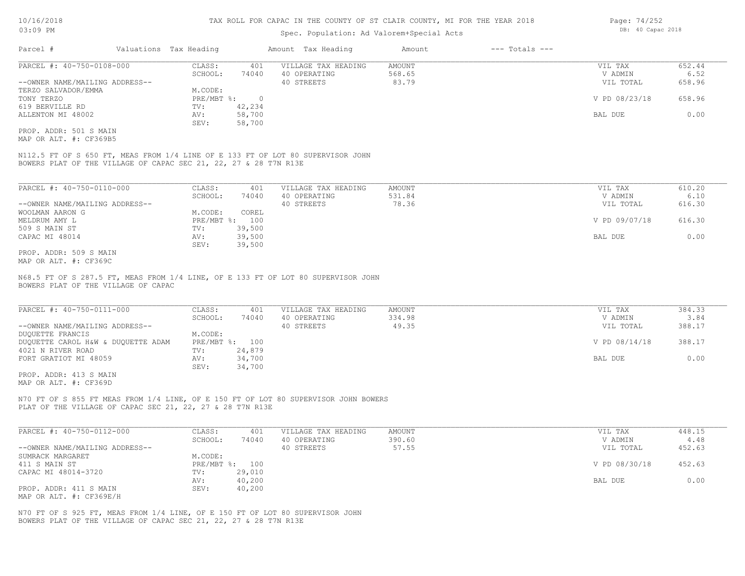## Spec. Population: Ad Valorem+Special Acts

| Parcel #                       | Valuations Tax Heading |        | Amount Tax Heading  | Amount | $---$ Totals $---$ |               |        |
|--------------------------------|------------------------|--------|---------------------|--------|--------------------|---------------|--------|
| PARCEL #: 40-750-0108-000      | CLASS:                 | 401    | VILLAGE TAX HEADING | AMOUNT |                    | VIL TAX       | 652.44 |
|                                | SCHOOL:                | 74040  | 40 OPERATING        | 568.65 |                    | V ADMIN       | 6.52   |
| --OWNER NAME/MAILING ADDRESS-- |                        |        | 40 STREETS          | 83.79  |                    | VIL TOTAL     | 658.96 |
| TERZO SALVADOR/EMMA            | M.CODE:                |        |                     |        |                    |               |        |
| TONY TERZO                     | PRE/MBT %:             |        |                     |        |                    | V PD 08/23/18 | 658.96 |
| 619 BERVILLE RD                | TV:                    | 42,234 |                     |        |                    |               |        |
| ALLENTON MI 48002              | AV:                    | 58,700 |                     |        |                    | BAL DUE       | 0.00   |
|                                | SEV:                   | 58,700 |                     |        |                    |               |        |
| PROP. ADDR: 501 S MAIN         |                        |        |                     |        |                    |               |        |

MAP OR ALT. #: CF369B5

BOWERS PLAT OF THE VILLAGE OF CAPAC SEC 21, 22, 27 & 28 T7N R13E N112.5 FT OF S 650 FT, MEAS FROM 1/4 LINE OF E 133 FT OF LOT 80 SUPERVISOR JOHN

| PARCEL #: 40-750-0110-000      | CLASS:  | 401            | VILLAGE TAX HEADING | AMOUNT | VIL TAX       | 610.20 |
|--------------------------------|---------|----------------|---------------------|--------|---------------|--------|
|                                | SCHOOL: | 74040          | 40 OPERATING        | 531.84 | V ADMIN       | 6.10   |
| --OWNER NAME/MAILING ADDRESS-- |         |                | 40 STREETS          | 78.36  | VIL TOTAL     | 616.30 |
| WOOLMAN AARON G                | M.CODE: | COREL          |                     |        |               |        |
| MELDRUM AMY L                  |         | PRE/MBT %: 100 |                     |        | V PD 09/07/18 | 616.30 |
| 509 S MAIN ST                  | TV:     | 39,500         |                     |        |               |        |
| CAPAC MI 48014                 | AV:     | 39,500         |                     |        | BAL DUE       | 0.00   |
|                                | SEV:    | 39,500         |                     |        |               |        |
| PROP. ADDR: 509 S MAIN         |         |                |                     |        |               |        |

MAP OR ALT. #: CF369C

BOWERS PLAT OF THE VILLAGE OF CAPAC N68.5 FT OF S 287.5 FT, MEAS FROM 1/4 LINE, OF E 133 FT OF LOT 80 SUPERVISOR JOHN

| PARCEL #: 40-750-0111-000          | CLASS:         | 401    | VILLAGE TAX HEADING | AMOUNT | VIL TAX       | 384.33 |
|------------------------------------|----------------|--------|---------------------|--------|---------------|--------|
|                                    | SCHOOL:        | 74040  | 40 OPERATING        | 334.98 | V ADMIN       | 3.84   |
| --OWNER NAME/MAILING ADDRESS--     |                |        | 40 STREETS          | 49.35  | VIL TOTAL     | 388.17 |
| DUQUETTE FRANCIS                   | M.CODE:        |        |                     |        |               |        |
| DUQUETTE CAROL H&W & DUQUETTE ADAM | PRE/MBT %: 100 |        |                     |        | V PD 08/14/18 | 388.17 |
| 4021 N RIVER ROAD                  | TV:            | 24,879 |                     |        |               |        |
| FORT GRATIOT MI 48059              | AV:            | 34,700 |                     |        | BAL DUE       | 0.00   |
|                                    | SEV:           | 34,700 |                     |        |               |        |

MAP OR ALT. #: CF369D PROP. ADDR: 413 S MAIN

PLAT OF THE VILLAGE OF CAPAC SEC 21, 22, 27 & 28 T7N R13E N70 FT OF S 855 FT MEAS FROM 1/4 LINE, OF E 150 FT OF LOT 80 SUPERVISOR JOHN BOWERS

| PARCEL #: 40-750-0112-000      | CLASS:  | 401            | VILLAGE TAX HEADING | AMOUNT | VIL TAX       | 448.15 |
|--------------------------------|---------|----------------|---------------------|--------|---------------|--------|
|                                | SCHOOL: | 74040          | 40 OPERATING        | 390.60 | V ADMIN       | 4.48   |
| --OWNER NAME/MAILING ADDRESS-- |         |                | 40 STREETS          | 57.55  | VIL TOTAL     | 452.63 |
| SUMRACK MARGARET               | M.CODE: |                |                     |        |               |        |
| 411 S MAIN ST                  |         | PRE/MBT %: 100 |                     |        | V PD 08/30/18 | 452.63 |
| CAPAC MI 48014-3720            | TV:     | 29,010         |                     |        |               |        |
|                                | AV:     | 40,200         |                     |        | BAL DUE       | 0.00   |
| PROP. ADDR: 411 S MAIN         | SEV:    | 40,200         |                     |        |               |        |
| MAP OR ALT. $\#$ : CF369E/H    |         |                |                     |        |               |        |

BOWERS PLAT OF THE VILLAGE OF CAPAC SEC 21, 22, 27 & 28 T7N R13E N70 FT OF S 925 FT, MEAS FROM 1/4 LINE, OF E 150 FT OF LOT 80 SUPERVISOR JOHN Page: 74/252 DB: 40 Capac 2018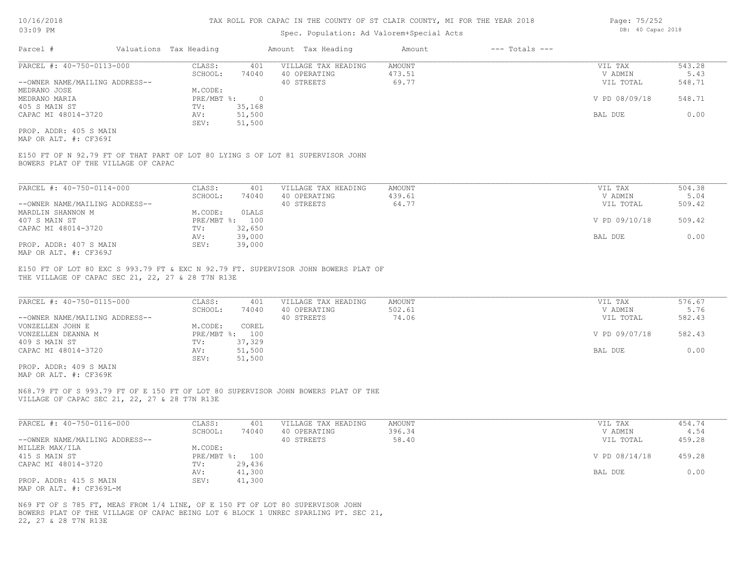## Spec. Population: Ad Valorem+Special Acts

| Parcel #                       | Valuations Tax Heading |        | Amount Tax Heading  | Amount | $---$ Totals $---$ |               |        |
|--------------------------------|------------------------|--------|---------------------|--------|--------------------|---------------|--------|
| PARCEL #: 40-750-0113-000      | CLASS:                 | 401    | VILLAGE TAX HEADING | AMOUNT |                    | VIL TAX       | 543.28 |
|                                | SCHOOL:                | 74040  | 40 OPERATING        | 473.51 |                    | V ADMIN       | 5.43   |
| --OWNER NAME/MAILING ADDRESS-- |                        |        | 40 STREETS          | 69.77  |                    | VIL TOTAL     | 548.71 |
| MEDRANO JOSE                   | M.CODE:                |        |                     |        |                    |               |        |
| MEDRANO MARIA                  | $PRE/MBT$ %:           |        |                     |        |                    | V PD 08/09/18 | 548.71 |
| 405 S MAIN ST                  | TV:                    | 35,168 |                     |        |                    |               |        |
| CAPAC MI 48014-3720            | AV:                    | 51,500 |                     |        |                    | BAL DUE       | 0.00   |
|                                | SEV:                   | 51,500 |                     |        |                    |               |        |
| PROP. ADDR: 405 S MAIN         |                        |        |                     |        |                    |               |        |

MAP OR ALT. #: CF369I

BOWERS PLAT OF THE VILLAGE OF CAPAC E150 FT OF N 92.79 FT OF THAT PART OF LOT 80 LYING S OF LOT 81 SUPERVISOR JOHN

| PARCEL #: 40-750-0114-000      | CLASS:  | 401            | VILLAGE TAX HEADING | AMOUNT | VIL TAX       | 504.38 |
|--------------------------------|---------|----------------|---------------------|--------|---------------|--------|
|                                | SCHOOL: | 74040          | 40 OPERATING        | 439.61 | V ADMIN       | 5.04   |
| --OWNER NAME/MAILING ADDRESS-- |         |                | 40 STREETS          | 64.77  | VIL TOTAL     | 509.42 |
| MARDLIN SHANNON M              | M.CODE: | OLALS          |                     |        |               |        |
| 407 S MAIN ST                  |         | PRE/MBT %: 100 |                     |        | V PD 09/10/18 | 509.42 |
| CAPAC MI 48014-3720            | TV:     | 32,650         |                     |        |               |        |
|                                | AV:     | 39,000         |                     |        | BAL DUE       | 0.00   |
| PROP. ADDR: 407 S MAIN         | SEV:    | 39,000         |                     |        |               |        |
| MAP OR ALT. #: CF369J          |         |                |                     |        |               |        |

THE VILLAGE OF CAPAC SEC 21, 22, 27 & 28 T7N R13E E150 FT OF LOT 80 EXC S 993.79 FT & EXC N 92.79 FT. SUPERVISOR JOHN BOWERS PLAT OF

| PARCEL #: 40-750-0115-000      | CLASS:  | 401            | VILLAGE TAX HEADING | AMOUNT | VIL TAX       | 576.67 |
|--------------------------------|---------|----------------|---------------------|--------|---------------|--------|
|                                | SCHOOL: | 74040          | 40 OPERATING        | 502.61 | V ADMIN       | 5.76   |
| --OWNER NAME/MAILING ADDRESS-- |         |                | 40 STREETS          | 74.06  | VIL TOTAL     | 582.43 |
| VONZELLEN JOHN E               | M.CODE: | COREL          |                     |        |               |        |
| VONZELLEN DEANNA M             |         | PRE/MBT %: 100 |                     |        | V PD 09/07/18 | 582.43 |
| 409 S MAIN ST                  | TV:     | 37,329         |                     |        |               |        |
| CAPAC MI 48014-3720            | AV:     | 51,500         |                     |        | BAL DUE       | 0.00   |
|                                | SEV:    | 51,500         |                     |        |               |        |
| PROP. ADDR: 409 S MAIN         |         |                |                     |        |               |        |

MAP OR ALT. #: CF369K

VILLAGE OF CAPAC SEC 21, 22, 27 & 28 T7N R13E N68.79 FT OF S 993.79 FT OF E 150 FT OF LOT 80 SUPERVISOR JOHN BOWERS PLAT OF THE

| PARCEL #: 40-750-0116-000      | CLASS:  | 401            | VILLAGE TAX HEADING | AMOUNT | VIL TAX       | 454.74 |
|--------------------------------|---------|----------------|---------------------|--------|---------------|--------|
|                                | SCHOOL: | 74040          | 40 OPERATING        | 396.34 | V ADMIN       | 4.54   |
| --OWNER NAME/MAILING ADDRESS-- |         |                | 40 STREETS          | 58.40  | VIL TOTAL     | 459.28 |
| MILLER MAX/ILA                 | M.CODE: |                |                     |        |               |        |
| 415 S MAIN ST                  |         | PRE/MBT %: 100 |                     |        | V PD 08/14/18 | 459.28 |
| CAPAC MI 48014-3720            | TV:     | 29,436         |                     |        |               |        |
|                                | AV:     | 41,300         |                     |        | BAL DUE       | 0.00   |
| PROP. ADDR: 415 S MAIN         | SEV:    | 41,300         |                     |        |               |        |
| MAP OR ALT. #: CF369L-M        |         |                |                     |        |               |        |

22, 27 & 28 T7N R13E BOWERS PLAT OF THE VILLAGE OF CAPAC BEING LOT 6 BLOCK 1 UNREC SPARLING PT. SEC 21, N69 FT OF S 785 FT, MEAS FROM 1/4 LINE, OF E 150 FT OF LOT 80 SUPERVISOR JOHN

Page: 75/252 DB: 40 Capac 2018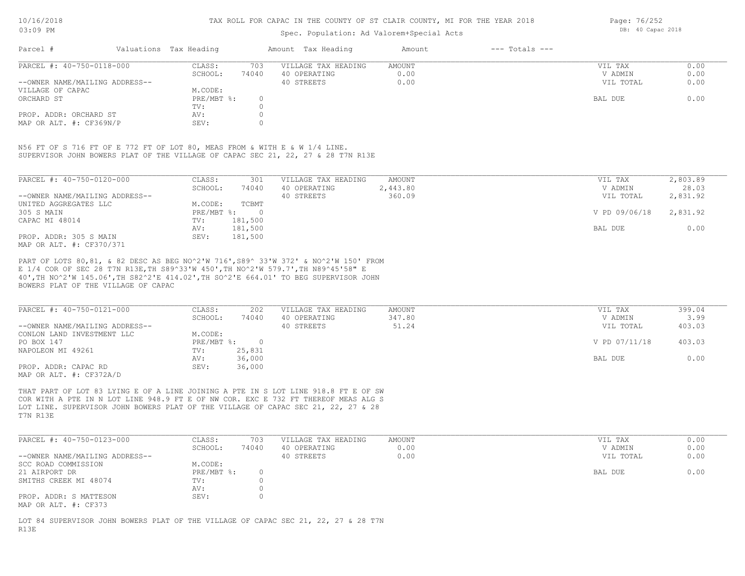## Spec. Population: Ad Valorem+Special Acts

Page: 76/252 DB: 40 Capac 2018

| Parcel #                       | Valuations Tax Heading |       | Amount Tax Heading  | Amount | $---$ Totals $---$ |           |      |
|--------------------------------|------------------------|-------|---------------------|--------|--------------------|-----------|------|
| PARCEL #: 40-750-0118-000      | CLASS:                 | 703   | VILLAGE TAX HEADING | AMOUNT |                    | VIL TAX   | 0.00 |
|                                | SCHOOL:                | 74040 | 40 OPERATING        | 0.00   |                    | V ADMIN   | 0.00 |
| --OWNER NAME/MAILING ADDRESS-- |                        |       | 40 STREETS          | 0.00   |                    | VIL TOTAL | 0.00 |
| VILLAGE OF CAPAC               | M.CODE:                |       |                     |        |                    |           |      |
| ORCHARD ST                     | PRE/MBT %:             |       |                     |        |                    | BAL DUE   | 0.00 |
|                                | TV:                    |       |                     |        |                    |           |      |
| PROP. ADDR: ORCHARD ST         | AV:                    |       |                     |        |                    |           |      |
| MAP OR ALT. $\#$ : CF369N/P    | SEV:                   |       |                     |        |                    |           |      |

SUPERVISOR JOHN BOWERS PLAT OF THE VILLAGE OF CAPAC SEC 21, 22, 27 & 28 T7N R13E N56 FT OF S 716 FT OF E 772 FT OF LOT 80, MEAS FROM & WITH E & W 1/4 LINE.

| PARCEL #: 40-750-0120-000      | CLASS:     | 301      | VILLAGE TAX HEADING | AMOUNT   | VIL TAX       | 2,803.89 |
|--------------------------------|------------|----------|---------------------|----------|---------------|----------|
|                                | SCHOOL:    | 74040    | 40 OPERATING        | 2,443.80 | V ADMIN       | 28.03    |
| --OWNER NAME/MAILING ADDRESS-- |            |          | 40 STREETS          | 360.09   | VIL TOTAL     | 2,831.92 |
| UNITED AGGREGATES LLC          | M.CODE:    | TCBMT    |                     |          |               |          |
| 305 S MAIN                     | PRE/MBT %: | $\Omega$ |                     |          | V PD 09/06/18 | 2,831.92 |
| CAPAC MI 48014                 | TV:        | 181,500  |                     |          |               |          |
|                                | AV:        | 181,500  |                     |          | BAL DUE       | 0.00     |
| PROP. ADDR: 305 S MAIN         | SEV:       | 181,500  |                     |          |               |          |
| MAP OR ALT. #: CF370/371       |            |          |                     |          |               |          |

BOWERS PLAT OF THE VILLAGE OF CAPAC 40',TH NO^2'W 145.06',TH S82^2'E 414.02',TH SO^2'E 664.01' TO BEG SUPERVISOR JOHN E 1/4 COR OF SEC 28 T7N R13E,TH S89^33'W 450',TH NO^2'W 579.7',TH N89^45'58" E PART OF LOTS 80,81, & 82 DESC AS BEG NO^2'W 716',S89^ 33'W 372' & NO^2'W 150' FROM

| PARCEL #: 40-750-0121-000      | CLASS:     | 202    | VILLAGE TAX HEADING | AMOUNT | VIL TAX       | 399.04 |
|--------------------------------|------------|--------|---------------------|--------|---------------|--------|
|                                | SCHOOL:    | 74040  | 40 OPERATING        | 347.80 | V ADMIN       | 3.99   |
| --OWNER NAME/MAILING ADDRESS-- |            |        | 40 STREETS          | 51.24  | VIL TOTAL     | 403.03 |
| CONLON LAND INVESTMENT LLC     | M.CODE:    |        |                     |        |               |        |
| PO BOX 147                     | PRE/MBT %: |        |                     |        | V PD 07/11/18 | 403.03 |
| NAPOLEON MI 49261              | TV:        | 25,831 |                     |        |               |        |
|                                | AV:        | 36,000 |                     |        | BAL DUE       | 0.00   |
| PROP. ADDR: CAPAC RD           | SEV:       | 36,000 |                     |        |               |        |
| MAP OR ALT. #: CF372A/D        |            |        |                     |        |               |        |

T7N R13E LOT LINE. SUPERVISOR JOHN BOWERS PLAT OF THE VILLAGE OF CAPAC SEC 21, 22, 27 & 28 COR WITH A PTE IN N LOT LINE 948.9 FT E OF NW COR. EXC E 732 FT THEREOF MEAS ALG S THAT PART OF LOT 83 LYING E OF A LINE JOINING A PTE IN S LOT LINE 918.8 FT E OF SW

| PARCEL #: 40-750-0123-000      | CLASS:     | 703   | VILLAGE TAX HEADING | AMOUNT | VIL TAX   | 0.00 |
|--------------------------------|------------|-------|---------------------|--------|-----------|------|
|                                | SCHOOL:    | 74040 | 40 OPERATING        | 0.00   | V ADMIN   | 0.00 |
| --OWNER NAME/MAILING ADDRESS-- |            |       | 40 STREETS          | 0.00   | VIL TOTAL | 0.00 |
| SCC ROAD COMMISSION            | M.CODE:    |       |                     |        |           |      |
| 21 AIRPORT DR                  | PRE/MBT %: |       |                     |        | BAL DUE   | 0.00 |
| SMITHS CREEK MI 48074          | TV:        |       |                     |        |           |      |
|                                | AV:        |       |                     |        |           |      |
| PROP. ADDR: S MATTESON         | SEV:       |       |                     |        |           |      |
| MAP OR ALT. #: CF373           |            |       |                     |        |           |      |

R13E LOT 84 SUPERVISOR JOHN BOWERS PLAT OF THE VILLAGE OF CAPAC SEC 21, 22, 27 & 28 T7N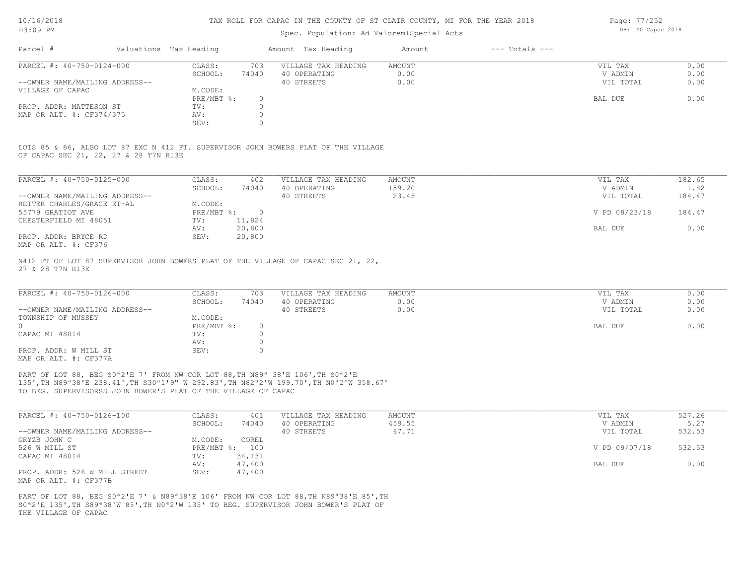## Spec. Population: Ad Valorem+Special Acts

| Parcel #                       | Valuations Tax Heading |       | Amount Tax Heading  | Amount | $---$ Totals $---$ |           |      |
|--------------------------------|------------------------|-------|---------------------|--------|--------------------|-----------|------|
| PARCEL #: 40-750-0124-000      | CLASS:                 | 703   | VILLAGE TAX HEADING | AMOUNT |                    | VIL TAX   | 0.00 |
|                                | SCHOOL:                | 74040 | 40 OPERATING        | 0.00   |                    | V ADMIN   | 0.00 |
| --OWNER NAME/MAILING ADDRESS-- |                        |       | 40 STREETS          | 0.00   |                    | VIL TOTAL | 0.00 |
| VILLAGE OF CAPAC               | M.CODE:                |       |                     |        |                    |           |      |
|                                | PRE/MBT %:             |       |                     |        |                    | BAL DUE   | 0.00 |
| PROP. ADDR: MATTESON ST        | TV:                    |       |                     |        |                    |           |      |
| MAP OR ALT. #: CF374/375       | AV:                    |       |                     |        |                    |           |      |
|                                | SEV:                   |       |                     |        |                    |           |      |

OF CAPAC SEC 21, 22, 27 & 28 T7N R13E LOTS 85 & 86, ALSO LOT 87 EXC N 412 FT. SUPERVISOR JOHN BOWERS PLAT OF THE VILLAGE

| PARCEL #: 40-750-0125-000      | CLASS:     | 402    | VILLAGE TAX HEADING | AMOUNT | VIL TAX       | 182.65 |
|--------------------------------|------------|--------|---------------------|--------|---------------|--------|
|                                | SCHOOL:    | 74040  | 40 OPERATING        | 159.20 | V ADMIN       | 1.82   |
| --OWNER NAME/MAILING ADDRESS-- |            |        | 40 STREETS          | 23.45  | VIL TOTAL     | 184.47 |
| REITER CHARLES/GRACE ET-AL     | M.CODE:    |        |                     |        |               |        |
| 55779 GRATIOT AVE              | PRE/MBT %: |        |                     |        | V PD 08/23/18 | 184.47 |
| CHESTERFIELD MI 48051          | TV:        | 11,824 |                     |        |               |        |
|                                | AV:        | 20,800 |                     |        | BAL DUE       | 0.00   |
| PROP. ADDR: BRYCE RD           | SEV:       | 20,800 |                     |        |               |        |
| MAP OR ALT. #: CF376           |            |        |                     |        |               |        |

27 & 28 T7N R13E N412 FT OF LOT 87 SUPERVISOR JOHN BOWERS PLAT OF THE VILLAGE OF CAPAC SEC 21, 22,

| PARCEL #: 40-750-0126-000      | CLASS:       | 703   | VILLAGE TAX HEADING | AMOUNT | VIL TAX   | 0.00 |
|--------------------------------|--------------|-------|---------------------|--------|-----------|------|
|                                | SCHOOL:      | 74040 | 40 OPERATING        | 0.00   | V ADMIN   | 0.00 |
| --OWNER NAME/MAILING ADDRESS-- |              |       | 40 STREETS          | 0.00   | VIL TOTAL | 0.00 |
| TOWNSHIP OF MUSSEY             | M.CODE:      |       |                     |        |           |      |
| ()                             | $PRE/MBT$ %: |       |                     |        | BAL DUE   | 0.00 |
| CAPAC MI 48014                 | TV:          |       |                     |        |           |      |
|                                | AV:          |       |                     |        |           |      |
| PROP. ADDR: W MILL ST          | SEV:         |       |                     |        |           |      |
| MAP OR ALT. #: CF377A          |              |       |                     |        |           |      |

TO BEG. SUPERVISORSS JOHN BOWER'S PLAT OF THE VILLAGE OF CAPAC 135',TH N89ª38'E 238.41',TH S30ª1'9" W 292.83',TH N82ª2'W 199.70',TH N0ª2'W 358.67' PART OF LOT 88, BEG S0<sup>ª2'E</sup> 7' FROM NW COR LOT 88, TH N89<sup>ª</sup> 38'E 106', TH S0<sup>ª2'E</sup>

| PARCEL #: 40-750-0126-100      | CLASS:  | 401            | VILLAGE TAX HEADING | AMOUNT | VIL TAX       | 527.26 |
|--------------------------------|---------|----------------|---------------------|--------|---------------|--------|
|                                | SCHOOL: | 74040          | 40 OPERATING        | 459.55 | V ADMIN       | 5.27   |
| --OWNER NAME/MAILING ADDRESS-- |         |                | 40 STREETS          | 67.71  | VIL TOTAL     | 532.53 |
| GRYZB JOHN C                   | M.CODE: | COREL          |                     |        |               |        |
| 526 W MILL ST                  |         | PRE/MBT %: 100 |                     |        | V PD 09/07/18 | 532.53 |
| CAPAC MI 48014                 | TV:     | 34,131         |                     |        |               |        |
|                                | AV:     | 47,400         |                     |        | BAL DUE       | 0.00   |
| PROP. ADDR: 526 W MILL STREET  | SEV:    | 47,400         |                     |        |               |        |
| MAP OR ALT. #: CF377B          |         |                |                     |        |               |        |

THE VILLAGE OF CAPAC S0ª2'E 135',TH S89ª38'W 85',TH N0ª2'W 135' TO BEG. SUPERVISOR JOHN BOWER'S PLAT OF PART OF LOT 88, BEG S0ª2'E 7' & N89ª38'E 106' FROM NW COR LOT 88,TH N89ª38'E 85',TH Page: 77/252 DB: 40 Capac 2018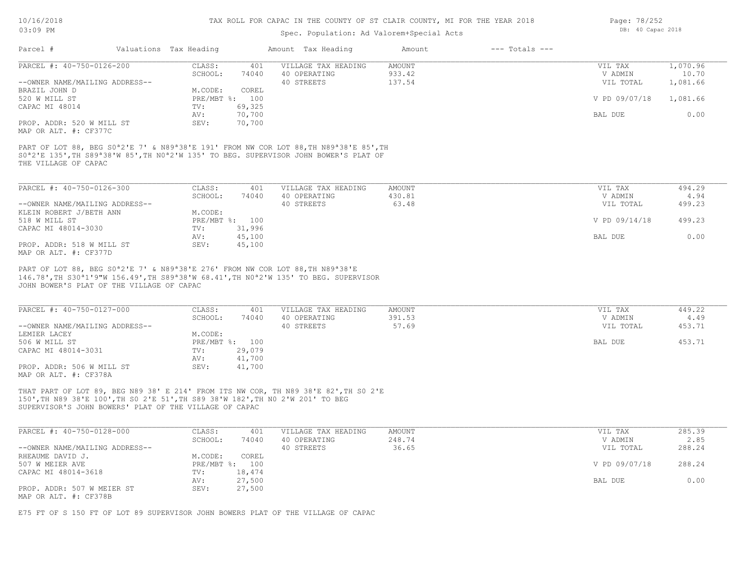# Spec. Population: Ad Valorem+Special Acts

| Parcel #                                      | Valuations Tax Heading |        | Amount Tax Heading                                                                                                                                                                                                                                      | Amount        | $---$ Totals $---$ |               |          |
|-----------------------------------------------|------------------------|--------|---------------------------------------------------------------------------------------------------------------------------------------------------------------------------------------------------------------------------------------------------------|---------------|--------------------|---------------|----------|
| PARCEL #: 40-750-0126-200                     | CLASS:                 | 401    | VILLAGE TAX HEADING                                                                                                                                                                                                                                     | <b>AMOUNT</b> |                    | VIL TAX       | 1,070.96 |
|                                               | SCHOOL:                | 74040  | 40 OPERATING                                                                                                                                                                                                                                            | 933.42        |                    | V ADMIN       | 10.70    |
| --OWNER NAME/MAILING ADDRESS--                |                        |        | 40 STREETS                                                                                                                                                                                                                                              | 137.54        |                    | VIL TOTAL     | 1,081.66 |
| BRAZIL JOHN D                                 | M.CODE:                | COREL  |                                                                                                                                                                                                                                                         |               |                    |               |          |
| 520 W MILL ST                                 | PRE/MBT %: 100         |        |                                                                                                                                                                                                                                                         |               |                    | V PD 09/07/18 | 1,081.66 |
| CAPAC MI 48014                                | TV:                    | 69,325 |                                                                                                                                                                                                                                                         |               |                    |               |          |
|                                               | AV:                    | 70,700 |                                                                                                                                                                                                                                                         |               |                    | BAL DUE       | 0.00     |
| PROP. ADDR: 520 W MILL ST                     | SEV:                   | 70,700 |                                                                                                                                                                                                                                                         |               |                    |               |          |
|                                               |                        |        |                                                                                                                                                                                                                                                         |               |                    |               |          |
| MAP OR ALT. #: CF377C<br>THE VILLAGE OF CAPAC |                        |        | PART OF LOT 88, BEG S0 <sup>a</sup> 2'E 7' & N89 <sup>a</sup> 38'E 191' FROM NW COR LOT 88,TH N89 <sup>a</sup> 38'E 85',TH<br>SO <sup>a</sup> 2'E 135',TH S89 <sup>a</sup> 38'W 85',TH NO <sup>a</sup> 2'W 135' TO BEG. SUPERVISOR JOHN BOWER'S PLAT OF |               |                    |               |          |
| PARCEL #: 40-750-0126-300                     | CLASS:                 | 401    | VILLAGE TAX HEADING                                                                                                                                                                                                                                     | AMOUNT        |                    | VIL TAX       | 494.29   |
|                                               | SCHOOL:                | 74040  | 40 OPERATING                                                                                                                                                                                                                                            | 430.81        |                    | V ADMIN       | 4.94     |
| --OWNER NAME/MAILING ADDRESS--                |                        |        | 40 STREETS                                                                                                                                                                                                                                              | 63.48         |                    | VIL TOTAL     | 499.23   |
| KLEIN ROBERT J/BETH ANN                       | M.CODE:                |        |                                                                                                                                                                                                                                                         |               |                    |               |          |
| 518 W MILL ST                                 | PRE/MBT %: 100         |        |                                                                                                                                                                                                                                                         |               |                    | V PD 09/14/18 | 499.23   |
| CAPAC MI 48014-3030                           | TV:                    | 31,996 |                                                                                                                                                                                                                                                         |               |                    |               |          |
|                                               | AV:                    | 45,100 |                                                                                                                                                                                                                                                         |               |                    | BAL DUE       | 0.00     |
| PROP. ADDR: 518 W MILL ST                     | SEV:                   | 45,100 |                                                                                                                                                                                                                                                         |               |                    |               |          |

JOHN BOWER'S PLAT OF THE VILLAGE OF CAPAC 146.78',TH S30ª1'9"W 156.49',TH S89ª38'W 68.41',TH N0ª2'W 135' TO BEG. SUPERVISOR PART OF LOT 88, BEG S0<sup>ª</sup>2'E 7' & N89<sup>ª38'E</sup> 276' FROM NW COR LOT 88, TH N89<sup>ª38'E</sup>

| PARCEL #: 40-750-0127-000      | CLASS:       | 401    | VILLAGE TAX HEADING | AMOUNT | VIL TAX   | 449.22 |
|--------------------------------|--------------|--------|---------------------|--------|-----------|--------|
|                                | SCHOOL:      | 74040  | 40 OPERATING        | 391.53 | V ADMIN   | 4.49   |
| --OWNER NAME/MAILING ADDRESS-- |              |        | 40 STREETS          | 57.69  | VIL TOTAL | 453.71 |
| LEMIER LACEY                   | M.CODE:      |        |                     |        |           |        |
| 506 W MILL ST                  | $PRE/MBT$ %: | 100    |                     |        | BAL DUE   | 453.71 |
| CAPAC MI 48014-3031            | TV:          | 29,079 |                     |        |           |        |
|                                | AV:          | 41,700 |                     |        |           |        |
| PROP. ADDR: 506 W MILL ST      | SEV:         | 41,700 |                     |        |           |        |
| MAP OR ALT. #: CF378A          |              |        |                     |        |           |        |

SUPERVISOR'S JOHN BOWERS' PLAT OF THE VILLAGE OF CAPAC 150',TH N89 38'E 100',TH S0 2'E 51',TH S89 38'W 182',TH N0 2'W 201' TO BEG THAT PART OF LOT 89, BEG N89 38' E 214' FROM ITS NW COR, TH N89 38'E 82',TH S0 2'E

| PARCEL #: 40-750-0128-000      | CLASS:     | 401    | VILLAGE TAX HEADING | AMOUNT | VIL TAX       | 285.39 |
|--------------------------------|------------|--------|---------------------|--------|---------------|--------|
|                                | SCHOOL:    | 74040  | 40 OPERATING        | 248.74 | V ADMIN       | 2.85   |
| --OWNER NAME/MAILING ADDRESS-- |            |        | 40 STREETS          | 36.65  | VIL TOTAL     | 288.24 |
| RHEAUME DAVID J.               | M.CODE:    | COREL  |                     |        |               |        |
| 507 W MEIER AVE                | PRE/MBT %: | 100    |                     |        | V PD 09/07/18 | 288.24 |
| CAPAC MI 48014-3618            | TV:        | 18,474 |                     |        |               |        |
|                                | AV:        | 27,500 |                     |        | BAL DUE       | 0.00   |
| PROP. ADDR: 507 W MEIER ST     | SEV:       | 27,500 |                     |        |               |        |
| MAP OR ALT. #: CF378B          |            |        |                     |        |               |        |

E75 FT OF S 150 FT OF LOT 89 SUPERVISOR JOHN BOWERS PLAT OF THE VILLAGE OF CAPAC

Page: 78/252 DB: 40 Capac 2018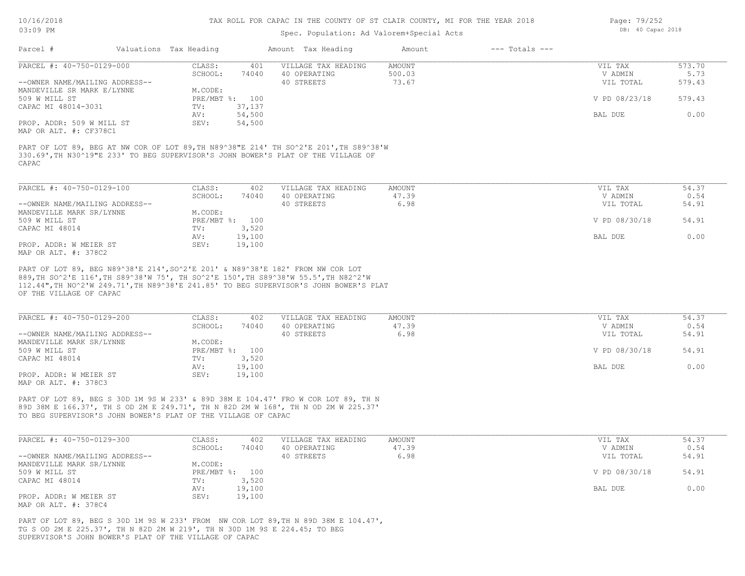## Spec. Population: Ad Valorem+Special Acts

| Parcel #                       | Valuations Tax Heading |        | Amount Tax Heading  | Amount | $---$ Totals $---$ |               |        |
|--------------------------------|------------------------|--------|---------------------|--------|--------------------|---------------|--------|
| PARCEL #: 40-750-0129-000      | CLASS:                 | 401    | VILLAGE TAX HEADING | AMOUNT |                    | VIL TAX       | 573.70 |
|                                | SCHOOL:                | 74040  | 40 OPERATING        | 500.03 |                    | V ADMIN       | 5.73   |
| --OWNER NAME/MAILING ADDRESS-- |                        |        | 40 STREETS          | 73.67  |                    | VIL TOTAL     | 579.43 |
| MANDEVILLE SR MARK E/LYNNE     | M.CODE:                |        |                     |        |                    |               |        |
| 509 W MILL ST                  | PRE/MBT %: 100         |        |                     |        |                    | V PD 08/23/18 | 579.43 |
| CAPAC MI 48014-3031            | TV:                    | 37,137 |                     |        |                    |               |        |
|                                | AV:                    | 54,500 |                     |        |                    | BAL DUE       | 0.00   |
| PROP. ADDR: 509 W MILL ST      | SEV:                   | 54,500 |                     |        |                    |               |        |
| MAP OR ALT. #: CF378C1         |                        |        |                     |        |                    |               |        |

CAPAC 330.69',TH N30^19"E 233' TO BEG SUPERVISOR'S JOHN BOWER'S PLAT OF THE VILLAGE OF PART OF LOT 89, BEG AT NW COR OF LOT 89,TH N89^38"E 214' TH SO^2'E 201',TH S89^38'W

| PARCEL #: 40-750-0129-100      | CLASS:  | 402            | VILLAGE TAX HEADING | AMOUNT | VIL TAX       | 54.37 |
|--------------------------------|---------|----------------|---------------------|--------|---------------|-------|
|                                | SCHOOL: | 74040          | 40 OPERATING        | 47.39  | V ADMIN       | 0.54  |
| --OWNER NAME/MAILING ADDRESS-- |         |                | 40 STREETS          | 6.98   | VIL TOTAL     | 54.91 |
| MANDEVILLE MARK SR/LYNNE       | M.CODE: |                |                     |        |               |       |
| 509 W MILL ST                  |         | PRE/MBT %: 100 |                     |        | V PD 08/30/18 | 54.91 |
| CAPAC MI 48014                 | TV:     | 3,520          |                     |        |               |       |
|                                | AV:     | 19,100         |                     |        | BAL DUE       | 0.00  |
| PROP. ADDR: W MEIER ST         | SEV:    | 19,100         |                     |        |               |       |
| MAP OR ALT. #: 378C2           |         |                |                     |        |               |       |

OF THE VILLAGE OF CAPAC 112.44",TH NO^2'W 249.71',TH N89^38'E 241.85' TO BEG SUPERVISOR'S JOHN BOWER'S PLAT 889,TH SO^2'E 116',TH S89^38'W 75', TH SO^2'E 150',TH S89^38'W 55.5',TH N82^2'W PART OF LOT 89, BEG N89^38'E 214',SO^2'E 201' & N89^38'E 182' FROM NW COR LOT

| PARCEL #: 40-750-0129-200      | CLASS:  | 402            | VILLAGE TAX HEADING | AMOUNT | VIL TAX       | 54.37 |
|--------------------------------|---------|----------------|---------------------|--------|---------------|-------|
|                                | SCHOOL: | 74040          | 40 OPERATING        | 47.39  | V ADMIN       | 0.54  |
| --OWNER NAME/MAILING ADDRESS-- |         |                | 40 STREETS          | 6.98   | VIL TOTAL     | 54.91 |
| MANDEVILLE MARK SR/LYNNE       | M.CODE: |                |                     |        |               |       |
| 509 W MILL ST                  |         | PRE/MBT %: 100 |                     |        | V PD 08/30/18 | 54.91 |
| CAPAC MI 48014                 | TV:     | 3,520          |                     |        |               |       |
|                                | AV:     | 19,100         |                     |        | BAL DUE       | 0.00  |
| PROP. ADDR: W MEIER ST         | SEV:    | 19,100         |                     |        |               |       |
| MAP OR ALT. #: 378C3           |         |                |                     |        |               |       |

TO BEG SUPERVISOR'S JOHN BOWER'S PLAT OF THE VILLAGE OF CAPAC 89D 38M E 166.37', TH S OD 2M E 249.71', TH N 82D 2M W 168', TH N OD 2M W 225.37' PART OF LOT 89, BEG S 30D 1M 9S W 233' & 89D 38M E 104.47' FRO W COR LOT 89, TH N

| PARCEL #: 40-750-0129-300      | CLASS:         | 402    | VILLAGE TAX HEADING | AMOUNT | VIL TAX       | 54.37 |
|--------------------------------|----------------|--------|---------------------|--------|---------------|-------|
|                                | SCHOOL:        | 74040  | 40 OPERATING        | 47.39  | V ADMIN       | 0.54  |
| --OWNER NAME/MAILING ADDRESS-- |                |        | 40 STREETS          | 6.98   | VIL TOTAL     | 54.91 |
| MANDEVILLE MARK SR/LYNNE       | M.CODE:        |        |                     |        |               |       |
| 509 W MILL ST                  | PRE/MBT %: 100 |        |                     |        | V PD 08/30/18 | 54.91 |
| CAPAC MI 48014                 | TV:            | 3,520  |                     |        |               |       |
|                                | AV:            | 19,100 |                     |        | BAL DUE       | 0.00  |
| PROP. ADDR: W MEIER ST         | SEV:           | 19,100 |                     |        |               |       |
| MAP OR ALT. #: 378C4           |                |        |                     |        |               |       |

SUPERVISOR'S JOHN BOWER'S PLAT OF THE VILLAGE OF CAPAC TG S OD 2M E 225.37', TH N 82D 2M W 219', TH N 30D 1M 9S E 224.45; TO BEG PART OF LOT 89, BEG S 30D 1M 9S W 233' FROM NW COR LOT 89,TH N 89D 38M E 104.47', Page: 79/252 DB: 40 Capac 2018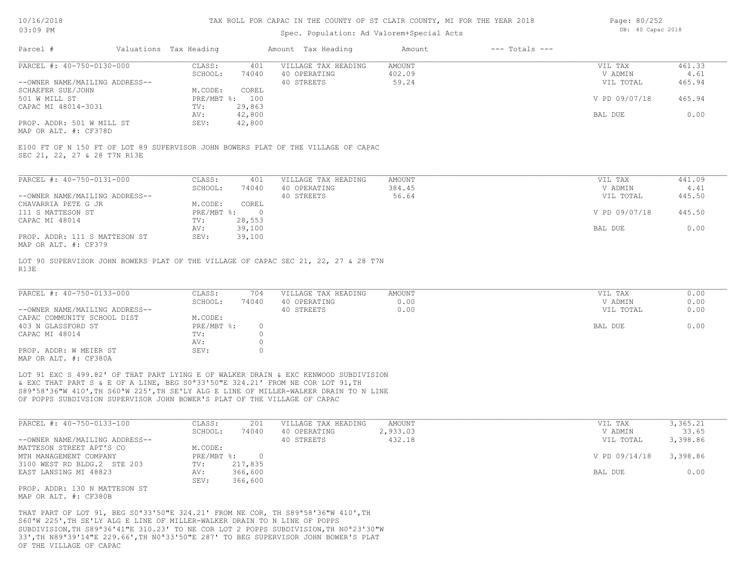## Spec. Population: Ad Valorem+Special Acts

| Page: 80/252 |                   |  |
|--------------|-------------------|--|
|              | DB: 40 Capac 2018 |  |

| Parcel #                       | Valuations Tax Heading |        | Amount Tax Heading  | Amount | $---$ Totals $---$ |               |        |
|--------------------------------|------------------------|--------|---------------------|--------|--------------------|---------------|--------|
| PARCEL #: 40-750-0130-000      | CLASS:                 | 401    | VILLAGE TAX HEADING | AMOUNT |                    | VIL TAX       | 461.33 |
|                                | SCHOOL:                | 74040  | 40 OPERATING        | 402.09 |                    | V ADMIN       | 4.61   |
| --OWNER NAME/MAILING ADDRESS-- |                        |        | 40 STREETS          | 59.24  |                    | VIL TOTAL     | 465.94 |
| SCHAEFER SUE/JOHN              | M.CODE:                | COREL  |                     |        |                    |               |        |
| 501 W MILL ST                  | PRE/MBT %: 100         |        |                     |        |                    | V PD 09/07/18 | 465.94 |
| CAPAC MI 48014-3031            | TV:                    | 29,863 |                     |        |                    |               |        |
|                                | AV:                    | 42,800 |                     |        |                    | BAL DUE       | 0.00   |
| PROP. ADDR: 501 W MILL ST      | SEV:                   | 42,800 |                     |        |                    |               |        |
|                                |                        |        |                     |        |                    |               |        |

MAP OR ALT. #: CF378D

SEC 21, 22, 27 & 28 T7N R13E E100 FT OF N 150 FT OF LOT 89 SUPERVISOR JOHN BOWERS PLAT OF THE VILLAGE OF CAPAC

| PARCEL #: 40-750-0131-000                                     | CLASS:     | 401    | VILLAGE TAX HEADING | AMOUNT | VIL TAX       | 441.09 |
|---------------------------------------------------------------|------------|--------|---------------------|--------|---------------|--------|
|                                                               | SCHOOL:    | 74040  | 40 OPERATING        | 384.45 | V ADMIN       | 4.41   |
| --OWNER NAME/MAILING ADDRESS--                                |            |        | 40 STREETS          | 56.64  | VIL TOTAL     | 445.50 |
| CHAVARRIA PETE G JR                                           | M.CODE:    | COREL  |                     |        |               |        |
| 111 S MATTESON ST                                             | PRE/MBT %: |        |                     |        | V PD 09/07/18 | 445.50 |
| CAPAC MI 48014                                                | TV:        | 28,553 |                     |        |               |        |
|                                                               | AV:        | 39,100 |                     |        | BAL DUE       | 0.00   |
| PROP. ADDR: 111 S MATTESON ST<br>$MAD$ $CD$ $ATM$ $H$ , $CDQ$ | SEV:       | 39,100 |                     |        |               |        |

MAP OR ALT. #: CF379

R13E LOT 90 SUPERVISOR JOHN BOWERS PLAT OF THE VILLAGE OF CAPAC SEC 21, 22, 27 & 28 T7N

| PARCEL #: 40-750-0133-000      | CLASS:     | 704   | VILLAGE TAX HEADING | AMOUNT | VIL TAX   | 0.00 |
|--------------------------------|------------|-------|---------------------|--------|-----------|------|
|                                | SCHOOL:    | 74040 | 40 OPERATING        | 0.00   | V ADMIN   | 0.00 |
| --OWNER NAME/MAILING ADDRESS-- |            |       | 40 STREETS          | 0.00   | VIL TOTAL | 0.00 |
| CAPAC COMMUNITY SCHOOL DIST    | M.CODE:    |       |                     |        |           |      |
| 403 N GLASSFORD ST             | PRE/MBT %: |       |                     |        | BAL DUE   | 0.00 |
| CAPAC MI 48014                 | TV:        |       |                     |        |           |      |
|                                | AV:        |       |                     |        |           |      |
| PROP. ADDR: W MEIER ST         | SEV:       |       |                     |        |           |      |
| MAP OR ALT. #: CF380A          |            |       |                     |        |           |      |

OF POPPS SUBDIVSION SUPERVISOR JOHN BOWER'S PLAT OF THE VILLAGE OF CAPAC S89ª58'36"W 410',TH S60ªW 225',TH SE'LY ALG E LINE OF MILLER-WALKER DRAIN TO N LINE & EXC THAT PART S & E OF A LINE, BEG S0ª33'50"E 324.21' FROM NE COR LOT 91,TH LOT 91 EXC S 499.82' OF THAT PART LYING E OF WALKER DRAIN & EXC KENWOOD SUBDIVISION

| PARCEL #: 40-750-0133-100      | CLASS:     | 201     | VILLAGE TAX HEADING | AMOUNT   | VIL TAX       | 3,365.21 |
|--------------------------------|------------|---------|---------------------|----------|---------------|----------|
|                                | SCHOOL:    | 74040   | 40 OPERATING        | 2,933.03 | V ADMIN       | 33.65    |
| --OWNER NAME/MAILING ADDRESS-- |            |         | 40 STREETS          | 432.18   | VIL TOTAL     | 3,398.86 |
| MATTESON STREET APT'S CO       | M.CODE:    |         |                     |          |               |          |
| MTH MANAGEMENT COMPANY         | PRE/MBT %: |         |                     |          | V PD 09/14/18 | 3,398.86 |
| 3100 WEST RD BLDG.2 STE 203    | TV:        | 217,835 |                     |          |               |          |
| EAST LANSING MI 48823          | AV:        | 366,600 |                     |          | BAL DUE       | 0.00     |
|                                | SEV:       | 366,600 |                     |          |               |          |
| PROP. ADDR: 130 N MATTESON ST  |            |         |                     |          |               |          |

MAP OR ALT. #: CF380B

OF THE VILLAGE OF CAPAC 33',TH N89ª39'14"E 229.66',TH N0ª33'50"E 287' TO BEG SUPERVISOR JOHN BOWER'S PLAT SUBDIVISION,TH S89ª36'41"E 310.23' TO NE COR LOT 2 POPPS SUBDIVISION,TH N0ª23'30"W S60ªW 225',TH SE'LY ALG E LINE OF MILLER-WALKER DRAIN TO N LINE OF POPPS THAT PART OF LOT 91, BEG S0ª33'50"E 324.21' FROM NE COR, TH S89ª58'36"W 410',TH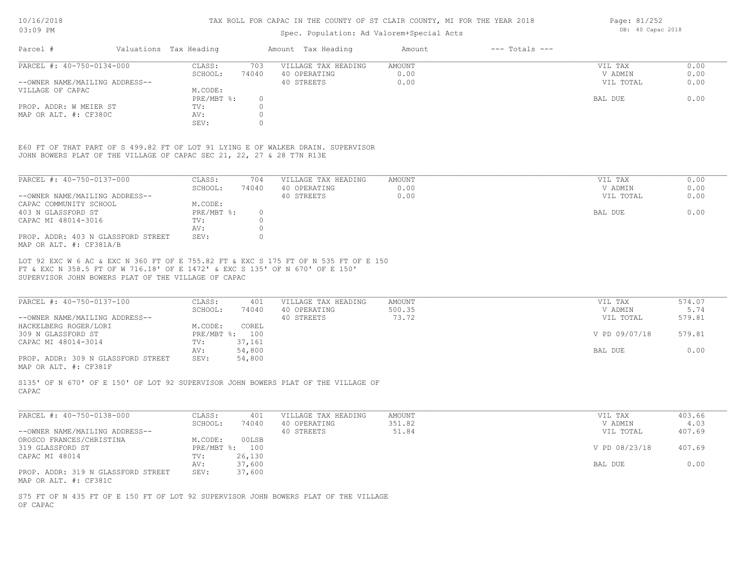## Spec. Population: Ad Valorem+Special Acts

| Parcel #                       | Valuations Tax Heading |       | Amount Tax Heading  | Amount | $---$ Totals $---$ |           |      |
|--------------------------------|------------------------|-------|---------------------|--------|--------------------|-----------|------|
| PARCEL #: 40-750-0134-000      | CLASS:                 | 703   | VILLAGE TAX HEADING | AMOUNT |                    | VIL TAX   | 0.00 |
|                                | SCHOOL:                | 74040 | 40 OPERATING        | 0.00   |                    | V ADMIN   | 0.00 |
| --OWNER NAME/MAILING ADDRESS-- |                        |       | 40 STREETS          | 0.00   |                    | VIL TOTAL | 0.00 |
| VILLAGE OF CAPAC               | M.CODE:                |       |                     |        |                    |           |      |
|                                | $PRE/MBT$ %:           |       |                     |        |                    | BAL DUE   | 0.00 |
| PROP. ADDR: W MEIER ST         | TV:                    |       |                     |        |                    |           |      |
| MAP OR ALT. #: CF380C          | AV:                    |       |                     |        |                    |           |      |
|                                | SEV:                   |       |                     |        |                    |           |      |
|                                |                        |       |                     |        |                    |           |      |

JOHN BOWERS PLAT OF THE VILLAGE OF CAPAC SEC 21, 22, 27 & 28 T7N R13E E60 FT OF THAT PART OF S 499.82 FT OF LOT 91 LYING E OF WALKER DRAIN. SUPERVISOR

| PARCEL #: 40-750-0137-000                                     | CLASS:     | 704   | VILLAGE TAX HEADING | AMOUNT | VIL TAX   | 0.00 |
|---------------------------------------------------------------|------------|-------|---------------------|--------|-----------|------|
|                                                               | SCHOOL:    | 74040 | 40 OPERATING        | 0.00   | V ADMIN   | 0.00 |
| --OWNER NAME/MAILING ADDRESS--                                |            |       | 40 STREETS          | 0.00   | VIL TOTAL | 0.00 |
| CAPAC COMMUNITY SCHOOL                                        | M.CODE:    |       |                     |        |           |      |
| 403 N GLASSFORD ST                                            | PRE/MBT %: | 0.    |                     |        | BAL DUE   | 0.00 |
| CAPAC MI 48014-3016                                           | TV:        |       |                     |        |           |      |
|                                                               | AV:        |       |                     |        |           |      |
| PROP. ADDR: 403 N GLASSFORD STREET<br>MAP OR ALT. #: CF381A/B | SEV:       |       |                     |        |           |      |

SUPERVISOR JOHN BOWERS PLAT OF THE VILLAGE OF CAPAC FT & EXC N 358.5 FT OF W 716.18' OF E 1472' & EXC S 135' OF N 670' OF E 150' LOT 92 EXC W 6 AC & EXC N 360 FT OF E 755.82 FT & EXC S 175 FT OF N 535 FT OF E 150

| PARCEL #: 40-750-0137-100          | CLASS:  | 401            | VILLAGE TAX HEADING | AMOUNT | VIL TAX       | 574.07 |
|------------------------------------|---------|----------------|---------------------|--------|---------------|--------|
|                                    | SCHOOL: | 74040          | 40 OPERATING        | 500.35 | V ADMIN       | 5.74   |
| --OWNER NAME/MAILING ADDRESS--     |         |                | 40 STREETS          | 73.72  | VIL TOTAL     | 579.81 |
| HACKELBERG ROGER/LORI              | M.CODE: | COREL          |                     |        |               |        |
| 309 N GLASSFORD ST                 |         | PRE/MBT %: 100 |                     |        | V PD 09/07/18 | 579.81 |
| CAPAC MI 48014-3014                | TV:     | 37,161         |                     |        |               |        |
|                                    | AV:     | 54,800         |                     |        | BAL DUE       | 0.00   |
| PROP. ADDR: 309 N GLASSFORD STREET | SEV:    | 54,800         |                     |        |               |        |
|                                    |         |                |                     |        |               |        |

MAP OR ALT. #: CF381F

CAPAC S135' OF N 670' OF E 150' OF LOT 92 SUPERVISOR JOHN BOWERS PLAT OF THE VILLAGE OF

| PARCEL #: 40-750-0138-000          | CLASS:  | 401            | VILLAGE TAX HEADING | AMOUNT | VIL TAX       | 403.66 |
|------------------------------------|---------|----------------|---------------------|--------|---------------|--------|
|                                    | SCHOOL: | 74040          | 40 OPERATING        | 351.82 | V ADMIN       | 4.03   |
| --OWNER NAME/MAILING ADDRESS--     |         |                | 40 STREETS          | 51.84  | VIL TOTAL     | 407.69 |
| OROSCO FRANCES/CHRISTINA           | M.CODE: | 00LSB          |                     |        |               |        |
| 319 GLASSFORD ST                   |         | PRE/MBT %: 100 |                     |        | V PD 08/23/18 | 407.69 |
| CAPAC MI 48014                     | TV:     | 26,130         |                     |        |               |        |
|                                    | AV:     | 37,600         |                     |        | BAL DUE       | 0.00   |
| PROP. ADDR: 319 N GLASSFORD STREET | SEV:    | 37,600         |                     |        |               |        |
| MAP OR ALT. #: CF381C              |         |                |                     |        |               |        |

OF CAPAC S75 FT OF N 435 FT OF E 150 FT OF LOT 92 SUPERVISOR JOHN BOWERS PLAT OF THE VILLAGE Page: 81/252 DB: 40 Capac 2018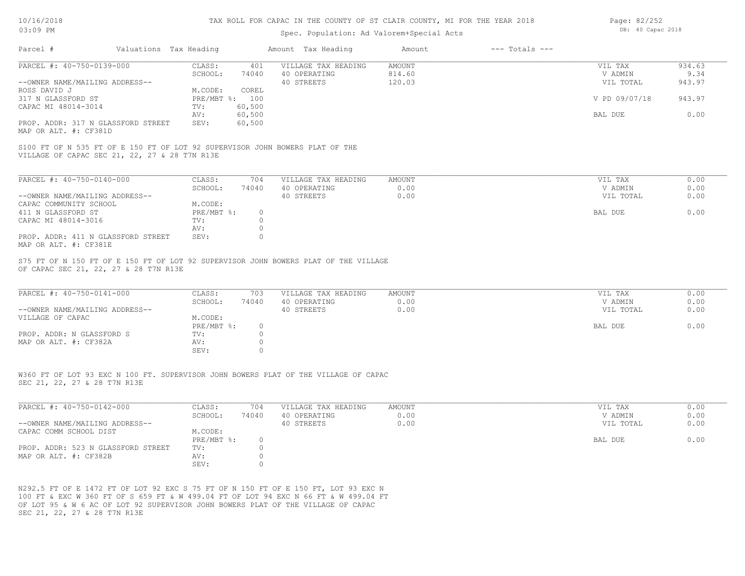## Spec. Population: Ad Valorem+Special Acts

| Page: 82/252 |                   |  |  |  |  |
|--------------|-------------------|--|--|--|--|
|              | DB: 40 Capac 2018 |  |  |  |  |

| Parcel #                                                                                                                                                                                                                                                              | Valuations Tax Heading                                             |                                                            | Amount Tax Heading                                | Amount                 | $---$ Totals $---$ |                                            |                              |
|-----------------------------------------------------------------------------------------------------------------------------------------------------------------------------------------------------------------------------------------------------------------------|--------------------------------------------------------------------|------------------------------------------------------------|---------------------------------------------------|------------------------|--------------------|--------------------------------------------|------------------------------|
| PARCEL #: 40-750-0139-000                                                                                                                                                                                                                                             | CLASS:                                                             | 401                                                        | VILLAGE TAX HEADING                               | <b>AMOUNT</b>          |                    | VIL TAX                                    | 934.63                       |
|                                                                                                                                                                                                                                                                       | SCHOOL:                                                            | 74040                                                      | 40 OPERATING                                      | 814.60                 |                    | V ADMIN                                    | 9.34                         |
| --OWNER NAME/MAILING ADDRESS--                                                                                                                                                                                                                                        |                                                                    |                                                            | 40 STREETS                                        | 120.03                 |                    | VIL TOTAL                                  | 943.97                       |
| ROSS DAVID J                                                                                                                                                                                                                                                          | M.CODE:                                                            | COREL                                                      |                                                   |                        |                    |                                            |                              |
| 317 N GLASSFORD ST                                                                                                                                                                                                                                                    | PRE/MBT %: 100                                                     |                                                            |                                                   |                        |                    | V PD 09/07/18                              | 943.97                       |
| CAPAC MI 48014-3014                                                                                                                                                                                                                                                   | TV:                                                                | 60,500                                                     |                                                   |                        |                    |                                            |                              |
|                                                                                                                                                                                                                                                                       | AV:                                                                | 60,500                                                     |                                                   |                        |                    | BAL DUE                                    | 0.00                         |
| PROP. ADDR: 317 N GLASSFORD STREET                                                                                                                                                                                                                                    | SEV:                                                               | 60,500                                                     |                                                   |                        |                    |                                            |                              |
| MAP OR ALT. #: CF381D                                                                                                                                                                                                                                                 |                                                                    |                                                            |                                                   |                        |                    |                                            |                              |
| S100 FT OF N 535 FT OF E 150 FT OF LOT 92 SUPERVISOR JOHN BOWERS PLAT OF THE<br>VILLAGE OF CAPAC SEC 21, 22, 27 & 28 T7N R13E                                                                                                                                         |                                                                    |                                                            |                                                   |                        |                    |                                            |                              |
| PARCEL #: 40-750-0140-000                                                                                                                                                                                                                                             |                                                                    |                                                            |                                                   |                        |                    |                                            |                              |
|                                                                                                                                                                                                                                                                       | CLASS:                                                             | 704                                                        | VILLAGE TAX HEADING                               | AMOUNT                 |                    | VIL TAX                                    | 0.00                         |
|                                                                                                                                                                                                                                                                       | SCHOOL:                                                            | 74040                                                      | 40 OPERATING                                      | 0.00                   |                    | V ADMIN                                    | 0.00                         |
| --OWNER NAME/MAILING ADDRESS--                                                                                                                                                                                                                                        |                                                                    |                                                            | 40 STREETS                                        | 0.00                   |                    | VIL TOTAL                                  | 0.00                         |
| CAPAC COMMUNITY SCHOOL                                                                                                                                                                                                                                                | M.CODE:                                                            |                                                            |                                                   |                        |                    |                                            |                              |
| 411 N GLASSFORD ST                                                                                                                                                                                                                                                    | PRE/MBT %:                                                         | $\circ$                                                    |                                                   |                        |                    | BAL DUE                                    | 0.00                         |
| CAPAC MI 48014-3016                                                                                                                                                                                                                                                   | TV:                                                                | $\circ$                                                    |                                                   |                        |                    |                                            |                              |
|                                                                                                                                                                                                                                                                       | AV:                                                                | $\circ$                                                    |                                                   |                        |                    |                                            |                              |
| PROP. ADDR: 411 N GLASSFORD STREET<br>MAP OR ALT. #: CF381E                                                                                                                                                                                                           | SEV:                                                               | $\circ$                                                    |                                                   |                        |                    |                                            |                              |
| S75 FT OF N 150 FT OF E 150 FT OF LOT 92 SUPERVISOR JOHN BOWERS PLAT OF THE VILLAGE<br>OF CAPAC SEC 21, 22, 27 & 28 T7N R13E<br>PARCEL #: 40-750-0141-000<br>--OWNER NAME/MAILING ADDRESS--<br>VILLAGE OF CAPAC<br>PROP. ADDR: N GLASSFORD S<br>MAP OR ALT. #: CF382A | CLASS:<br>SCHOOL:<br>M.CODE:<br>$PRE/MBT$ %:<br>TV:<br>AV:<br>SEV: | 703<br>74040<br>$\circ$<br>$\Omega$<br>$\circ$<br>$\Omega$ | VILLAGE TAX HEADING<br>40 OPERATING<br>40 STREETS | AMOUNT<br>0.00<br>0.00 |                    | VIL TAX<br>V ADMIN<br>VIL TOTAL<br>BAL DUE | 0.00<br>0.00<br>0.00<br>0.00 |
|                                                                                                                                                                                                                                                                       |                                                                    |                                                            |                                                   |                        |                    |                                            |                              |
| W360 FT OF LOT 93 EXC N 100 FT. SUPERVISOR JOHN BOWERS PLAT OF THE VILLAGE OF CAPAC<br>SEC 21, 22, 27 & 28 T7N R13E<br>PARCEL #: 40-750-0142-000<br>--OWNER NAME/MAILING ADDRESS--<br>CAPAC COMM SCHOOL DIST                                                          | CLASS:<br>SCHOOL:<br>M.CODE:<br>PRE/MBT %:                         | 704<br>74040<br>$\circ$                                    | VILLAGE TAX HEADING<br>40 OPERATING<br>40 STREETS | AMOUNT<br>0.00<br>0.00 |                    | VIL TAX<br>V ADMIN<br>VIL TOTAL<br>BAL DUE | 0.00<br>0.00<br>0.00<br>0.00 |

SEC 21, 22, 27 & 28 T7N R13E OF LOT 95 & W 6 AC OF LOT 92 SUPERVISOR JOHN BOWERS PLAT OF THE VILLAGE OF CAPAC 100 FT & EXC W 360 FT OF S 659 FT & W 499.04 FT OF LOT 94 EXC N 66 FT & W 499.04 FT N292.5 FT OF E 1472 FT OF LOT 92 EXC S 75 FT OF N 150 FT OF E 150 FT, LOT 93 EXC N

SEV: 0 MAP OR ALT. #: CF382B AV: 0<br>SEV: 0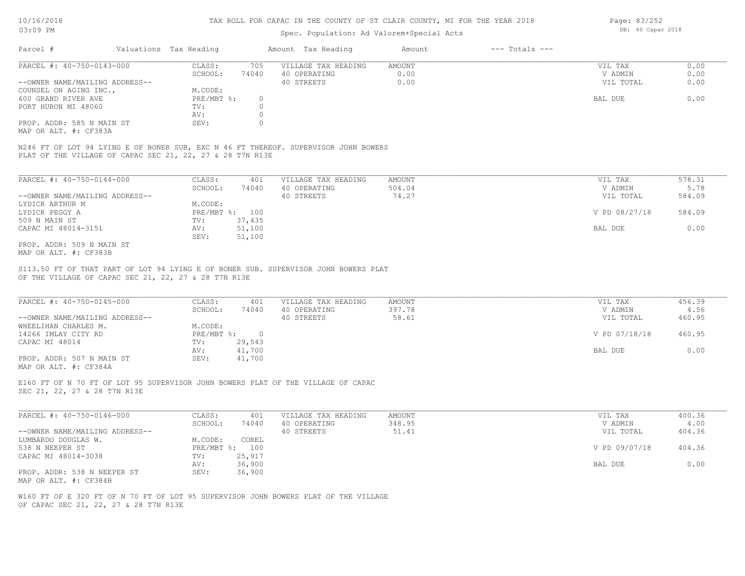## Spec. Population: Ad Valorem+Special Acts

| Parcel #                       | Valuations Tax Heading |       | Amount Tax Heading  | Amount | $---$ Totals $---$ |           |      |
|--------------------------------|------------------------|-------|---------------------|--------|--------------------|-----------|------|
| PARCEL #: 40-750-0143-000      | CLASS:                 | 705   | VILLAGE TAX HEADING | AMOUNT |                    | VIL TAX   | 0.00 |
|                                | SCHOOL:                | 74040 | 40 OPERATING        | 0.00   |                    | V ADMIN   | 0.00 |
| --OWNER NAME/MAILING ADDRESS-- |                        |       | 40 STREETS          | 0.00   |                    | VIL TOTAL | 0.00 |
| COUNSEL ON AGING INC.,         | M.CODE:                |       |                     |        |                    |           |      |
| 600 GRAND RIVER AVE            | PRE/MBT %:             |       |                     |        |                    | BAL DUE   | 0.00 |
| PORT HURON MI 48060            | TV:                    |       |                     |        |                    |           |      |
|                                | AV:                    |       |                     |        |                    |           |      |
| PROP. ADDR: 585 N MAIN ST      | SEV:                   |       |                     |        |                    |           |      |
|                                |                        |       |                     |        |                    |           |      |

MAP OR ALT. #: CF383A

PLAT OF THE VILLAGE OF CAPAC SEC 21, 22, 27 & 28 T7N R13E N246 FT OF LOT 94 LYING E OF BONER SUB, EXC N 46 FT THEREOF. SUPERVISOR JOHN BOWERS

| PARCEL #: 40-750-0144-000      | CLASS:       | 401    | VILLAGE TAX HEADING | AMOUNT | VIL TAX | 578.31                  |  |
|--------------------------------|--------------|--------|---------------------|--------|---------|-------------------------|--|
|                                | SCHOOL:      | 74040  | 40 OPERATING        | 504.04 | V ADMIN | 5.78                    |  |
| --OWNER NAME/MAILING ADDRESS-- |              |        | 40 STREETS          | 74.27  |         | 584.09<br>VIL TOTAL     |  |
| LYDICK ARTHUR M                | M.CODE:      |        |                     |        |         |                         |  |
| LYDICK PEGGY A                 | $PRE/MBT$ %: | 100    |                     |        |         | V PD 08/27/18<br>584.09 |  |
| 509 N MAIN ST                  | TV:          | 37,435 |                     |        |         |                         |  |
| CAPAC MI 48014-3151            | AV:          | 51,100 |                     |        | BAL DUE | 0.00                    |  |
|                                | SEV:         | 51,100 |                     |        |         |                         |  |
| PROP. ADDR: 509 N MAIN ST      |              |        |                     |        |         |                         |  |

MAP OR ALT. #: CF383B

OF THE VILLAGE OF CAPAC SEC 21, 22, 27 & 28 T7N R13E S113.50 FT OF THAT PART OF LOT 94 LYING E OF BONER SUB. SUPERVISOR JOHN BOWERS PLAT

| PARCEL #: 40-750-0145-000      | CLASS:     | 401    | VILLAGE TAX HEADING | AMOUNT | VIL TAX       | 456.39 |  |
|--------------------------------|------------|--------|---------------------|--------|---------------|--------|--|
|                                | SCHOOL:    | 74040  | 40 OPERATING        | 397.78 | V ADMIN       | 4.56   |  |
| --OWNER NAME/MAILING ADDRESS-- |            |        | 40 STREETS          | 58.61  | VIL TOTAL     | 460.95 |  |
| WHEELIHAN CHARLES M.           | M.CODE:    |        |                     |        |               |        |  |
| 14266 IMLAY CITY RD            | PRE/MBT %: |        |                     |        | V PD 07/18/18 | 460.95 |  |
| CAPAC MI 48014                 | TV:        | 29,543 |                     |        |               |        |  |
|                                | AV:        | 41,700 |                     |        | BAL DUE       | 0.00   |  |
| PROP. ADDR: 507 N MAIN ST      | SEV:       | 41,700 |                     |        |               |        |  |

 $\mathcal{L}_\mathcal{L} = \mathcal{L}_\mathcal{L} = \mathcal{L}_\mathcal{L} = \mathcal{L}_\mathcal{L} = \mathcal{L}_\mathcal{L} = \mathcal{L}_\mathcal{L} = \mathcal{L}_\mathcal{L} = \mathcal{L}_\mathcal{L} = \mathcal{L}_\mathcal{L} = \mathcal{L}_\mathcal{L} = \mathcal{L}_\mathcal{L} = \mathcal{L}_\mathcal{L} = \mathcal{L}_\mathcal{L} = \mathcal{L}_\mathcal{L} = \mathcal{L}_\mathcal{L} = \mathcal{L}_\mathcal{L} = \mathcal{L}_\mathcal{L}$ 

MAP OR ALT. #: CF384A

SEC 21, 22, 27 & 28 T7N R13E E160 FT OF N 70 FT OF LOT 95 SUPERVISOR JOHN BOWERS PLAT OF THE VILLAGE OF CAPAC

| PARCEL #: 40-750-0146-000      | CLASS:  | 401            | VILLAGE TAX HEADING | AMOUNT | VIL TAX       | 400.36 |
|--------------------------------|---------|----------------|---------------------|--------|---------------|--------|
|                                | SCHOOL: | 74040          | 40 OPERATING        | 348.95 | V ADMIN       | 4.00   |
| --OWNER NAME/MAILING ADDRESS-- |         |                | 40 STREETS          | 51.41  | VIL TOTAL     | 404.36 |
| LUMBARDO DOUGLAS W.            | M.CODE: | COREL          |                     |        |               |        |
| 538 N NEEPER ST                |         | PRE/MBT %: 100 |                     |        | V PD 09/07/18 | 404.36 |
| CAPAC MI 48014-3038            | TV:     | 25,917         |                     |        |               |        |
|                                | AV:     | 36,900         |                     |        | BAL DUE       | 0.00   |
| PROP. ADDR: 538 N NEEPER ST    | SEV:    | 36,900         |                     |        |               |        |
| MAP OR ALT. #: CF384B          |         |                |                     |        |               |        |

OF CAPAC SEC 21, 22, 27 & 28 T7N R13E W160 FT OF E 320 FT OF N 70 FT OF LOT 95 SUPERVISOR JOHN BOWERS PLAT OF THE VILLAGE Page: 83/252 DB: 40 Capac 2018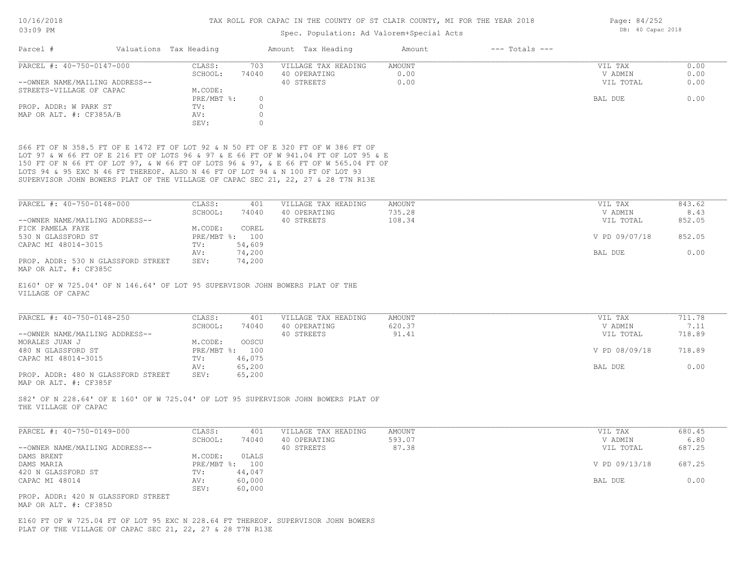## Spec. Population: Ad Valorem+Special Acts

| Parcel #                       | Valuations Tax Heading |       | Amount Tax Heading  | Amount | $---$ Totals $---$ |           |      |
|--------------------------------|------------------------|-------|---------------------|--------|--------------------|-----------|------|
| PARCEL #: 40-750-0147-000      | CLASS:                 | 703   | VILLAGE TAX HEADING | AMOUNT |                    | VIL TAX   | 0.00 |
|                                | SCHOOL:                | 74040 | 40 OPERATING        | 0.00   |                    | V ADMIN   | 0.00 |
| --OWNER NAME/MAILING ADDRESS-- |                        |       | 40 STREETS          | 0.00   |                    | VIL TOTAL | 0.00 |
| STREETS-VILLAGE OF CAPAC       | M.CODE:                |       |                     |        |                    |           |      |
|                                | $PRE/MBT$ $\div$       |       |                     |        |                    | BAL DUE   | 0.00 |
| PROP. ADDR: W PARK ST          | TV:                    |       |                     |        |                    |           |      |
| MAP OR ALT. #: CF385A/B        | AV:                    |       |                     |        |                    |           |      |
|                                | SEV:                   |       |                     |        |                    |           |      |

SUPERVISOR JOHN BOWERS PLAT OF THE VILLAGE OF CAPAC SEC 21, 22, 27 & 28 T7N R13E LOTS 94 & 95 EXC N 46 FT THEREOF. ALSO N 46 FT OF LOT 94 & N 100 FT OF LOT 93 150 FT OF N 66 FT OF LOT 97, & W 66 FT OF LOTS 96 & 97, & E 66 FT OF W 565.04 FT OF LOT 97 & W 66 FT OF E 216 FT OF LOTS 96 & 97 & E 66 FT OF W 941.04 FT OF LOT 95 & E

| PARCEL #: 40-750-0148-000          | CLASS:  | 401            | VILLAGE TAX HEADING | AMOUNT | VIL TAX       | 843.62 |
|------------------------------------|---------|----------------|---------------------|--------|---------------|--------|
|                                    | SCHOOL: | 74040          | 40 OPERATING        | 735.28 | V ADMIN       | 8.43   |
| --OWNER NAME/MAILING ADDRESS--     |         |                | 40 STREETS          | 108.34 | VIL TOTAL     | 852.05 |
| FICK PAMELA FAYE                   | M.CODE: | COREL          |                     |        |               |        |
| 530 N GLASSFORD ST                 |         | PRE/MBT %: 100 |                     |        | V PD 09/07/18 | 852.05 |
| CAPAC MI 48014-3015                | TV:     | 54,609         |                     |        |               |        |
|                                    | AV:     | 74,200         |                     |        | BAL DUE       | 0.00   |
| PROP. ADDR: 530 N GLASSFORD STREET | SEV:    | 74,200         |                     |        |               |        |
|                                    |         |                |                     |        |               |        |

MAP OR ALT. #: CF385C

VILLAGE OF CAPAC E160' OF W 725.04' OF N 146.64' OF LOT 95 SUPERVISOR JOHN BOWERS PLAT OF THE

| PARCEL #: 40-750-0148-250          | CLASS:  | 401            | VILLAGE TAX HEADING | AMOUNT | VIL TAX       | 711.78 |
|------------------------------------|---------|----------------|---------------------|--------|---------------|--------|
|                                    | SCHOOL: | 74040          | 40 OPERATING        | 620.37 | V ADMIN       | 7.11   |
| --OWNER NAME/MAILING ADDRESS--     |         |                | 40 STREETS          | 91.41  | VIL TOTAL     | 718.89 |
| MORALES JUAN J                     | M.CODE: | OOSCU          |                     |        |               |        |
| 480 N GLASSFORD ST                 |         | PRE/MBT %: 100 |                     |        | V PD 08/09/18 | 718.89 |
| CAPAC MI 48014-3015                | TV:     | 46,075         |                     |        |               |        |
|                                    | AV:     | 65,200         |                     |        | BAL DUE       | 0.00   |
| PROP. ADDR: 480 N GLASSFORD STREET | SEV:    | 65,200         |                     |        |               |        |
| MAP OR ALT. #: CF385F              |         |                |                     |        |               |        |

THE VILLAGE OF CAPAC S82' OF N 228.64' OF E 160' OF W 725.04' OF LOT 95 SUPERVISOR JOHN BOWERS PLAT OF

| PARCEL #: 40-750-0149-000          | CLASS:     | 401    | VILLAGE TAX HEADING | AMOUNT | VIL TAX       | 680.45 |
|------------------------------------|------------|--------|---------------------|--------|---------------|--------|
|                                    | SCHOOL:    | 74040  | 40 OPERATING        | 593.07 | V ADMIN       | 6.80   |
| --OWNER NAME/MAILING ADDRESS--     |            |        | 40 STREETS          | 87.38  | VIL TOTAL     | 687.25 |
| DAMS BRENT                         | M.CODE:    | OLALS  |                     |        |               |        |
| DAMS MARIA                         | PRE/MBT %: | 100    |                     |        | V PD 09/13/18 | 687.25 |
| 420 N GLASSFORD ST                 | TV:        | 44,047 |                     |        |               |        |
| CAPAC MI 48014                     | AV:        | 60,000 |                     |        | BAL DUE       | 0.00   |
|                                    | SEV:       | 60,000 |                     |        |               |        |
| PROP. ADDR: 420 N GLASSFORD STREET |            |        |                     |        |               |        |

MAP OR ALT. #: CF385D

PLAT OF THE VILLAGE OF CAPAC SEC 21, 22, 27 & 28 T7N R13E E160 FT OF W 725.04 FT OF LOT 95 EXC N 228.64 FT THEREOF. SUPERVISOR JOHN BOWERS Page: 84/252 DB: 40 Capac 2018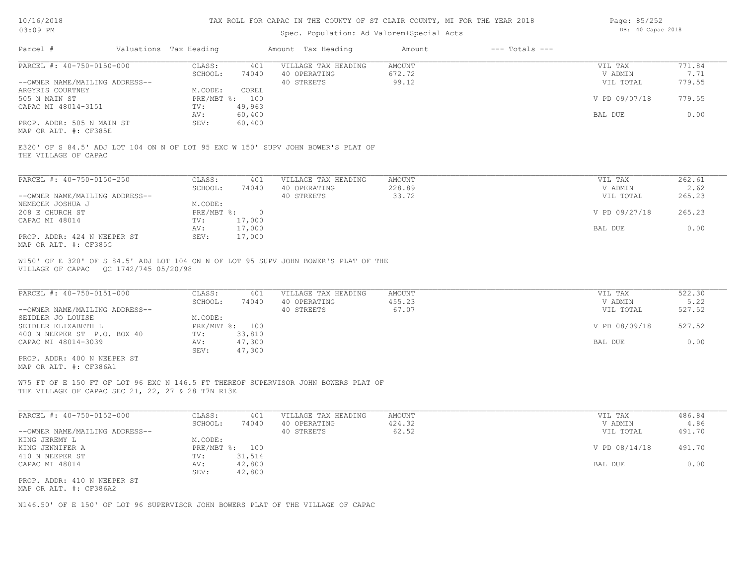# Spec. Population: Ad Valorem+Special Acts

| Page: 85/252 |                   |  |
|--------------|-------------------|--|
|              | DB: 40 Capac 2018 |  |

| Parcel #                                                    | Valuations Tax Heading |                            | Amount Tax Heading                                                                  | Amount                    | $---$ Totals $---$ |                                 |                          |
|-------------------------------------------------------------|------------------------|----------------------------|-------------------------------------------------------------------------------------|---------------------------|--------------------|---------------------------------|--------------------------|
| PARCEL #: 40-750-0150-000<br>--OWNER NAME/MAILING ADDRESS-- | CLASS:<br>SCHOOL:      | 401<br>74040               | VILLAGE TAX HEADING<br>40 OPERATING<br>40 STREETS                                   | AMOUNT<br>672.72<br>99.12 |                    | VIL TAX<br>V ADMIN<br>VIL TOTAL | 771.84<br>7.71<br>779.55 |
| ARGYRIS COURTNEY<br>505 N MAIN ST                           | M.CODE:                | COREL<br>PRE/MBT %: 100    |                                                                                     |                           |                    | V PD 09/07/18                   | 779.55                   |
| CAPAC MI 48014-3151                                         | TV:<br>AV:             | 49,963<br>60,400           |                                                                                     |                           |                    | BAL DUE                         | 0.00                     |
| PROP. ADDR: 505 N MAIN ST<br>MAP OR ALT. #: CF385E          | SEV:                   | 60,400                     |                                                                                     |                           |                    |                                 |                          |
| THE VILLAGE OF CAPAC                                        |                        |                            | E320' OF S 84.5' ADJ LOT 104 ON N OF LOT 95 EXC W 150' SUPV JOHN BOWER'S PLAT OF    |                           |                    |                                 |                          |
| PARCEL #: 40-750-0150-250                                   | CLASS:<br>SCHOOL:      | 401<br>74040               | VILLAGE TAX HEADING<br>40 OPERATING                                                 | <b>AMOUNT</b><br>228.89   |                    | VIL TAX<br>V ADMIN              | 262.61<br>2.62           |
| --OWNER NAME/MAILING ADDRESS--<br>NEMECEK JOSHUA J          | M.CODE:                |                            | 40 STREETS                                                                          | 33.72                     |                    | VIL TOTAL                       | 265.23                   |
| 208 E CHURCH ST<br>CAPAC MI 48014                           | PRE/MBT %:             | $\overline{0}$<br>17,000   |                                                                                     |                           |                    | V PD 09/27/18                   | 265.23                   |
| PROP. ADDR: 424 N NEEPER ST                                 | TV:<br>AV:<br>SEV:     | 17,000<br>17,000           |                                                                                     |                           |                    | BAL DUE                         | 0.00                     |
| MAP OR ALT. #: CF385G                                       |                        |                            |                                                                                     |                           |                    |                                 |                          |
|                                                             |                        |                            | W150' OF E 320' OF S 84.5' ADJ LOT 104 ON N OF LOT 95 SUPV JOHN BOWER'S PLAT OF THE |                           |                    |                                 |                          |
| PARCEL #: 40-750-0151-000                                   | CLASS:<br>SCHOOL:      | 401<br>74040               | VILLAGE TAX HEADING<br>40 OPERATING                                                 | AMOUNT<br>455.23          |                    | VIL TAX<br>V ADMIN              | 522.30<br>5.22           |
| --OWNER NAME/MAILING ADDRESS--<br>SEIDLER JO LOUISE         | M.CODE:                |                            | 40 STREETS                                                                          | 67.07                     |                    | VIL TOTAL                       | 527.52                   |
| SEIDLER ELIZABETH L<br>400 N NEEPER ST P.O. BOX 40          | TV:                    | PRE/MBT %: 100<br>33,810   |                                                                                     |                           |                    | V PD 08/09/18                   | 527.52                   |
| CAPAC MI 48014-3039                                         | AV:<br>SEV:            | 47,300<br>47,300           |                                                                                     |                           |                    | BAL DUE                         | 0.00                     |
| PROP. ADDR: 400 N NEEPER ST<br>MAP OR ALT. #: CF386A1       |                        |                            |                                                                                     |                           |                    |                                 |                          |
| THE VILLAGE OF CAPAC SEC 21, 22, 27 & 28 T7N R13E           |                        |                            | W75 FT OF E 150 FT OF LOT 96 EXC N 146.5 FT THEREOF SUPERVISOR JOHN BOWERS PLAT OF  |                           |                    |                                 |                          |
| PARCEL #: 40-750-0152-000                                   | CLASS:                 | 401                        | VILLAGE TAX HEADING                                                                 | <b>AMOUNT</b>             |                    | VIL TAX                         | 486.84                   |
| --OWNER NAME/MAILING ADDRESS--                              | SCHOOL:                | 74040                      | 40 OPERATING<br>40 STREETS                                                          | 424.32<br>62.52           |                    | V ADMIN<br>VIL TOTAL            | 4.86<br>491.70           |
| KING JEREMY L<br>KING JENNIFER A                            | M.CODE:                | PRE/MBT %: 100             |                                                                                     |                           |                    | V PD 08/14/18                   | 491.70                   |
| 410 N NEEPER ST<br>CAPAC MI 48014                           | TV:<br>AV:<br>SEV:     | 31,514<br>42,800<br>42,800 |                                                                                     |                           |                    | BAL DUE                         | 0.00                     |
| PROP. ADDR: 410 N NEEPER ST<br>MAP OR ALT. #: CF386A2       |                        |                            |                                                                                     |                           |                    |                                 |                          |

N146.50' OF E 150' OF LOT 96 SUPERVISOR JOHN BOWERS PLAT OF THE VILLAGE OF CAPAC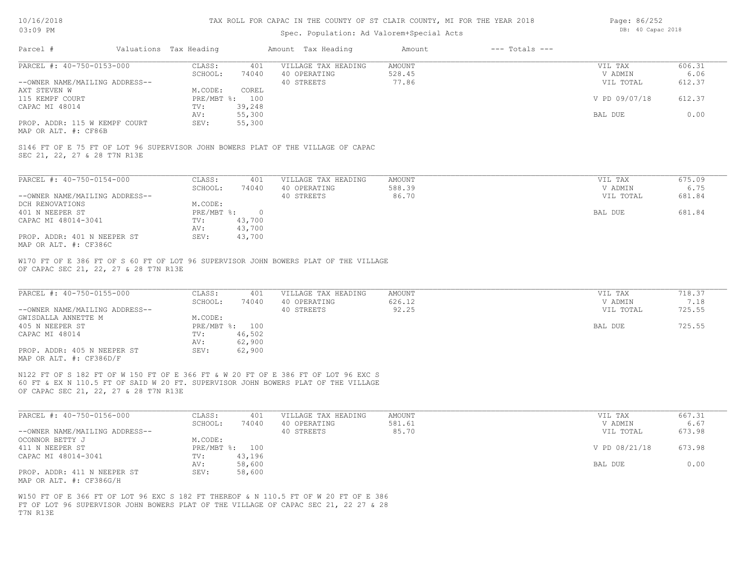# Spec. Population: Ad Valorem+Special Acts

Page: 86/252 DB: 40 Capac 2018

| Parcel #                                                    | Valuations Tax Heading |                             |                          | Amount Tax Heading                                                                                                                                                         | Amount                           | $---$ Totals $---$ |                                 |                          |
|-------------------------------------------------------------|------------------------|-----------------------------|--------------------------|----------------------------------------------------------------------------------------------------------------------------------------------------------------------------|----------------------------------|--------------------|---------------------------------|--------------------------|
| PARCEL #: 40-750-0153-000<br>--OWNER NAME/MAILING ADDRESS-- |                        | CLASS:<br>SCHOOL:           | 401<br>74040             | VILLAGE TAX HEADING<br>40 OPERATING<br>40 STREETS                                                                                                                          | <b>AMOUNT</b><br>528.45<br>77.86 |                    | VIL TAX<br>V ADMIN<br>VIL TOTAL | 606.31<br>6.06<br>612.37 |
| AXT STEVEN W<br>115 KEMPF COURT                             |                        | M.CODE:                     | COREL<br>PRE/MBT %: 100  |                                                                                                                                                                            |                                  |                    | V PD 09/07/18                   | 612.37                   |
| CAPAC MI 48014                                              |                        | TV:<br>AV:                  | 39,248<br>55,300         |                                                                                                                                                                            |                                  |                    | BAL DUE                         | 0.00                     |
| PROP. ADDR: 115 W KEMPF COURT<br>MAP OR ALT. #: CF86B       |                        | SEV:                        | 55,300                   |                                                                                                                                                                            |                                  |                    |                                 |                          |
| SEC 21, 22, 27 & 28 T7N R13E                                |                        |                             |                          | S146 FT OF E 75 FT OF LOT 96 SUPERVISOR JOHN BOWERS PLAT OF THE VILLAGE OF CAPAC                                                                                           |                                  |                    |                                 |                          |
| PARCEL #: 40-750-0154-000                                   |                        | CLASS:                      | 401                      | VILLAGE TAX HEADING                                                                                                                                                        | <b>AMOUNT</b>                    |                    | VIL TAX                         | 675.09                   |
| --OWNER NAME/MAILING ADDRESS--                              |                        | SCHOOL:                     | 74040                    | 40 OPERATING<br>40 STREETS                                                                                                                                                 | 588.39<br>86.70                  |                    | V ADMIN<br>VIL TOTAL            | 6.75<br>681.84           |
| DCH RENOVATIONS<br>401 N NEEPER ST                          |                        | M.CODE:<br>$PRE/MBT$ $\div$ | $\overline{\phantom{0}}$ |                                                                                                                                                                            |                                  |                    | BAL DUE                         | 681.84                   |
| CAPAC MI 48014-3041                                         |                        | TV:                         | 43,700                   |                                                                                                                                                                            |                                  |                    |                                 |                          |
|                                                             |                        | AV:                         | 43,700                   |                                                                                                                                                                            |                                  |                    |                                 |                          |
| PROP. ADDR: 401 N NEEPER ST<br>MAP OR ALT. #: CF386C        |                        | SEV:                        | 43,700                   |                                                                                                                                                                            |                                  |                    |                                 |                          |
| PARCEL #: 40-750-0155-000<br>--OWNER NAME/MAILING ADDRESS-- |                        | CLASS:<br>SCHOOL:           | 401<br>74040             | VILLAGE TAX HEADING<br>40 OPERATING<br>40 STREETS                                                                                                                          | <b>AMOUNT</b><br>626.12<br>92.25 |                    | VIL TAX<br>V ADMIN<br>VIL TOTAL | 718.37<br>7.18<br>725.55 |
| GWISDALLA ANNETTE M                                         |                        | M.CODE:                     |                          |                                                                                                                                                                            |                                  |                    |                                 |                          |
| 405 N NEEPER ST                                             |                        |                             | PRE/MBT %: 100           |                                                                                                                                                                            |                                  |                    | BAL DUE                         | 725.55                   |
| CAPAC MI 48014                                              |                        | TV:                         | 46,502                   |                                                                                                                                                                            |                                  |                    |                                 |                          |
| PROP. ADDR: 405 N NEEPER ST<br>MAP OR ALT. #: CF386D/F      |                        | AV:<br>SEV:                 | 62,900<br>62,900         |                                                                                                                                                                            |                                  |                    |                                 |                          |
| OF CAPAC SEC 21, 22, 27 & 28 T7N R13E                       |                        |                             |                          | N122 FT OF S 182 FT OF W 150 FT OF E 366 FT & W 20 FT OF E 386 FT OF LOT 96 EXC S<br>60 FT & EX N 110.5 FT OF SAID W 20 FT. SUPERVISOR JOHN BOWERS PLAT OF THE VILLAGE     |                                  |                    |                                 |                          |
| PARCEL #: 40-750-0156-000                                   |                        | CLASS:                      | 401                      | VILLAGE TAX HEADING                                                                                                                                                        | <b>AMOUNT</b>                    |                    | VIL TAX                         | 667.31<br>6.67           |
| --OWNER NAME/MAILING ADDRESS--                              |                        | SCHOOL:                     | 74040                    | 40 OPERATING<br>40 STREETS                                                                                                                                                 | 581.61<br>85.70                  |                    | V ADMIN<br>VIL TOTAL            | 673.98                   |
| OCONNOR BETTY J                                             |                        | M.CODE:                     |                          |                                                                                                                                                                            |                                  |                    |                                 |                          |
| 411 N NEEPER ST                                             |                        |                             | PRE/MBT %: 100           |                                                                                                                                                                            |                                  |                    | V PD 08/21/18                   | 673.98                   |
| CAPAC MI 48014-3041                                         |                        | TV:                         | 43,196                   |                                                                                                                                                                            |                                  |                    |                                 |                          |
| PROP. ADDR: 411 N NEEPER ST<br>MAP OR ALT. #: CF386G/H      |                        | AV:<br>SEV:                 | 58,600<br>58,600         |                                                                                                                                                                            |                                  |                    | BAL DUE                         | 0.00                     |
| T7N R13E                                                    |                        |                             |                          | W150 FT OF E 366 FT OF LOT 96 EXC S 182 FT THEREOF & N 110.5 FT OF W 20 FT OF E 386<br>FT OF LOT 96 SUPERVISOR JOHN BOWERS PLAT OF THE VILLAGE OF CAPAC SEC 21, 22 27 & 28 |                                  |                    |                                 |                          |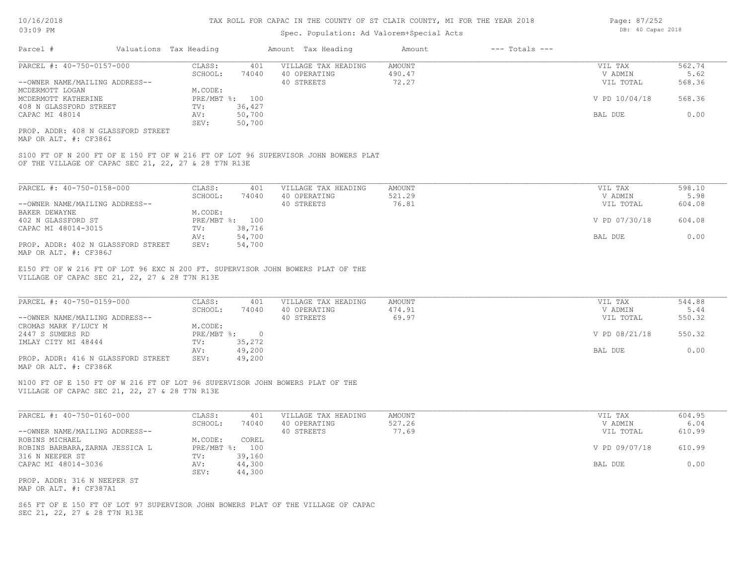## Spec. Population: Ad Valorem+Special Acts

| Parcel #                       | Valuations Tax Heading |        | Amount Tax Heading  | Amount | $---$ Totals $---$ |               |        |
|--------------------------------|------------------------|--------|---------------------|--------|--------------------|---------------|--------|
| PARCEL #: 40-750-0157-000      | CLASS:                 | 401    | VILLAGE TAX HEADING | AMOUNT |                    | VIL TAX       | 562.74 |
|                                | SCHOOL:                | 74040  | 40 OPERATING        | 490.47 |                    | V ADMIN       | 5.62   |
| --OWNER NAME/MAILING ADDRESS-- |                        |        | 40 STREETS          | 72.27  |                    | VIL TOTAL     | 568.36 |
| MCDERMOTT LOGAN                | M.CODE:                |        |                     |        |                    |               |        |
| MCDERMOTT KATHERINE            | PRE/MBT %: 100         |        |                     |        |                    | V PD 10/04/18 | 568.36 |
| 408 N GLASSFORD STREET         | TV:                    | 36,427 |                     |        |                    |               |        |
| CAPAC MI 48014                 | AV:                    | 50,700 |                     |        |                    | BAL DUE       | 0.00   |
|                                | SEV:                   | 50,700 |                     |        |                    |               |        |
|                                |                        |        |                     |        |                    |               |        |

MAP OR ALT. #: CF386I PROP. ADDR: 408 N GLASSFORD STREET

OF THE VILLAGE OF CAPAC SEC 21, 22, 27 & 28 T7N R13E S100 FT OF N 200 FT OF E 150 FT OF W 216 FT OF LOT 96 SUPERVISOR JOHN BOWERS PLAT

| PARCEL #: 40-750-0158-000          | CLASS:  | 401            | VILLAGE TAX HEADING | AMOUNT | VIL TAX       | 598.10 |
|------------------------------------|---------|----------------|---------------------|--------|---------------|--------|
|                                    | SCHOOL: | 74040          | 40 OPERATING        | 521.29 | V ADMIN       | 5.98   |
| --OWNER NAME/MAILING ADDRESS--     |         |                | 40 STREETS          | 76.81  | VIL TOTAL     | 604.08 |
| BAKER DEWAYNE                      | M.CODE: |                |                     |        |               |        |
| 402 N GLASSFORD ST                 |         | PRE/MBT %: 100 |                     |        | V PD 07/30/18 | 604.08 |
| CAPAC MI 48014-3015                | TV:     | 38,716         |                     |        |               |        |
|                                    | AV:     | 54,700         |                     |        | BAL DUE       | 0.00   |
| PROP. ADDR: 402 N GLASSFORD STREET | SEV:    | 54,700         |                     |        |               |        |
| MAP OR ALT. #: CF386J              |         |                |                     |        |               |        |

VILLAGE OF CAPAC SEC 21, 22, 27 & 28 T7N R13E E150 FT OF W 216 FT OF LOT 96 EXC N 200 FT. SUPERVISOR JOHN BOWERS PLAT OF THE

| PARCEL #: 40-750-0159-000          | CLASS:       | 401    | VILLAGE TAX HEADING | AMOUNT | VIL TAX       | 544.88 |
|------------------------------------|--------------|--------|---------------------|--------|---------------|--------|
|                                    | SCHOOL:      | 74040  | 40 OPERATING        | 474.91 | V ADMIN       | 5.44   |
| --OWNER NAME/MAILING ADDRESS--     |              |        | 40 STREETS          | 69.97  | VIL TOTAL     | 550.32 |
| CROMAS MARK F/LUCY M               | M.CODE:      |        |                     |        |               |        |
| 2447 S SUMERS RD                   | $PRE/MBT$ %: | $\cap$ |                     |        | V PD 08/21/18 | 550.32 |
| IMLAY CITY MI 48444                | TV:          | 35,272 |                     |        |               |        |
|                                    | AV:          | 49,200 |                     |        | BAL DUE       | 0.00   |
| PROP. ADDR: 416 N GLASSFORD STREET | SEV:         | 49,200 |                     |        |               |        |
| MAP OR ALT. #: CF386K              |              |        |                     |        |               |        |

 $\mathcal{L}_\mathcal{L} = \mathcal{L}_\mathcal{L} = \mathcal{L}_\mathcal{L} = \mathcal{L}_\mathcal{L} = \mathcal{L}_\mathcal{L} = \mathcal{L}_\mathcal{L} = \mathcal{L}_\mathcal{L} = \mathcal{L}_\mathcal{L} = \mathcal{L}_\mathcal{L} = \mathcal{L}_\mathcal{L} = \mathcal{L}_\mathcal{L} = \mathcal{L}_\mathcal{L} = \mathcal{L}_\mathcal{L} = \mathcal{L}_\mathcal{L} = \mathcal{L}_\mathcal{L} = \mathcal{L}_\mathcal{L} = \mathcal{L}_\mathcal{L}$ 

VILLAGE OF CAPAC SEC 21, 22, 27 & 28 T7N R13E N100 FT OF E 150 FT OF W 216 FT OF LOT 96 SUPERVISOR JOHN BOWERS PLAT OF THE

| PARCEL #: 40-750-0160-000       | CLASS:  | 401            | VILLAGE TAX HEADING | AMOUNT | VIL TAX       | 604.95 |
|---------------------------------|---------|----------------|---------------------|--------|---------------|--------|
|                                 | SCHOOL: | 74040          | 40 OPERATING        | 527.26 | V ADMIN       | 6.04   |
| --OWNER NAME/MAILING ADDRESS--  |         |                | 40 STREETS          | 77.69  | VIL TOTAL     | 610.99 |
| ROBINS MICHAEL                  | M.CODE: | COREL          |                     |        |               |        |
| ROBINS BARBARA, ZARNA JESSICA L |         | PRE/MBT %: 100 |                     |        | V PD 09/07/18 | 610.99 |
| 316 N NEEPER ST                 | TV:     | 39,160         |                     |        |               |        |
| CAPAC MI 48014-3036             | AV:     | 44,300         |                     |        | BAL DUE       | 0.00   |
|                                 | SEV:    | 44,300         |                     |        |               |        |
| PROP. ADDR: 316 N NEEPER ST     |         |                |                     |        |               |        |
| MAP OR ALT. #: CF387A1          |         |                |                     |        |               |        |

S65 FT OF E 150 FT OF LOT 97 SUPERVISOR JOHN BOWERS PLAT OF THE VILLAGE OF CAPAC

SEC 21, 22, 27 & 28 T7N R13E

Page: 87/252 DB: 40 Capac 2018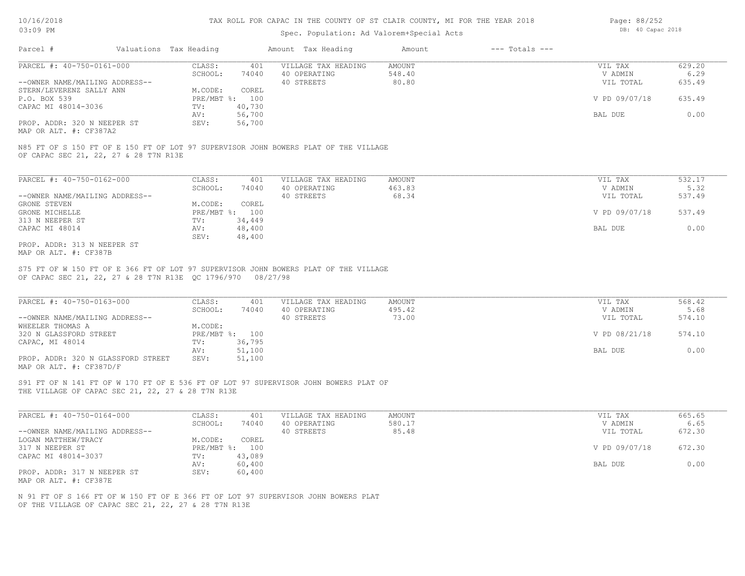## Spec. Population: Ad Valorem+Special Acts

| Parcel #                       | Valuations Tax Heading |        | Amount Tax Heading  | Amount | $---$ Totals $---$ |               |        |
|--------------------------------|------------------------|--------|---------------------|--------|--------------------|---------------|--------|
| PARCEL #: 40-750-0161-000      | CLASS:                 | 401    | VILLAGE TAX HEADING | AMOUNT |                    | VIL TAX       | 629.20 |
|                                | SCHOOL:                | 74040  | 40 OPERATING        | 548.40 |                    | V ADMIN       | 6.29   |
| --OWNER NAME/MAILING ADDRESS-- |                        |        | 40 STREETS          | 80.80  |                    | VIL TOTAL     | 635.49 |
| STERN/LEVERENZ SALLY ANN       | M.CODE:                | COREL  |                     |        |                    |               |        |
| P.O. BOX 539                   | PRE/MBT %: 100         |        |                     |        |                    | V PD 09/07/18 | 635.49 |
| CAPAC MI 48014-3036            | TV:                    | 40,730 |                     |        |                    |               |        |
|                                | AV:                    | 56,700 |                     |        |                    | BAL DUE       | 0.00   |
| PROP. ADDR: 320 N NEEPER ST    | SEV:                   | 56,700 |                     |        |                    |               |        |

MAP OR ALT. #: CF387A2

OF CAPAC SEC 21, 22, 27 & 28 T7N R13E N85 FT OF S 150 FT OF E 150 FT OF LOT 97 SUPERVISOR JOHN BOWERS PLAT OF THE VILLAGE

| PARCEL #: 40-750-0162-000      | CLASS:       | 401    | VILLAGE TAX HEADING | AMOUNT | VIL TAX       | 532.17 |
|--------------------------------|--------------|--------|---------------------|--------|---------------|--------|
|                                | SCHOOL:      | 74040  | 40 OPERATING        | 463.83 | V ADMIN       | 5.32   |
| --OWNER NAME/MAILING ADDRESS-- |              |        | 40 STREETS          | 68.34  | VIL TOTAL     | 537.49 |
| GRONE STEVEN                   | M.CODE:      | COREL  |                     |        |               |        |
| GRONE MICHELLE                 | $PRE/MBT$ %: | 100    |                     |        | V PD 09/07/18 | 537.49 |
| 313 N NEEPER ST                | TV:          | 34,449 |                     |        |               |        |
| CAPAC MI 48014                 | AV:          | 48,400 |                     |        | BAL DUE       | 0.00   |
|                                | SEV:         | 48,400 |                     |        |               |        |
| PROP. ADDR: 313 N NEEPER ST    |              |        |                     |        |               |        |

MAP OR ALT. #: CF387B

OF CAPAC SEC 21, 22, 27 & 28 T7N R13E QC 1796/970 08/27/98 S75 FT OF W 150 FT OF E 366 FT OF LOT 97 SUPERVISOR JOHN BOWERS PLAT OF THE VILLAGE

| PARCEL #: 40-750-0163-000          | CLASS:       | 401    | VILLAGE TAX HEADING | AMOUNT | VIL TAX       | 568.42 |
|------------------------------------|--------------|--------|---------------------|--------|---------------|--------|
|                                    | SCHOOL:      | 74040  | 40 OPERATING        | 495.42 | V ADMIN       | 5.68   |
| --OWNER NAME/MAILING ADDRESS--     |              |        | 40 STREETS          | 73.00  | VIL TOTAL     | 574.10 |
| WHEELER THOMAS A                   | M.CODE:      |        |                     |        |               |        |
| 320 N GLASSFORD STREET             | $PRE/MBT$ %: | 100    |                     |        | V PD 08/21/18 | 574.10 |
| CAPAC, MI 48014                    | TV:          | 36,795 |                     |        |               |        |
|                                    | AV:          | 51,100 |                     |        | BAL DUE       | 0.00   |
| PROP. ADDR: 320 N GLASSFORD STREET | SEV:         | 51,100 |                     |        |               |        |
| MAP OR ALT. #: CF387D/F            |              |        |                     |        |               |        |

 $\mathcal{L}_\mathcal{L} = \mathcal{L}_\mathcal{L} = \mathcal{L}_\mathcal{L} = \mathcal{L}_\mathcal{L} = \mathcal{L}_\mathcal{L} = \mathcal{L}_\mathcal{L} = \mathcal{L}_\mathcal{L} = \mathcal{L}_\mathcal{L} = \mathcal{L}_\mathcal{L} = \mathcal{L}_\mathcal{L} = \mathcal{L}_\mathcal{L} = \mathcal{L}_\mathcal{L} = \mathcal{L}_\mathcal{L} = \mathcal{L}_\mathcal{L} = \mathcal{L}_\mathcal{L} = \mathcal{L}_\mathcal{L} = \mathcal{L}_\mathcal{L}$ 

THE VILLAGE OF CAPAC SEC 21, 22, 27 & 28 T7N R13E S91 FT OF N 141 FT OF W 170 FT OF E 536 FT OF LOT 97 SUPERVISOR JOHN BOWERS PLAT OF

| PARCEL #: 40-750-0164-000      | CLASS:       | 401    | VILLAGE TAX HEADING | AMOUNT | VIL TAX       | 665.65 |
|--------------------------------|--------------|--------|---------------------|--------|---------------|--------|
|                                | SCHOOL:      | 74040  | 40 OPERATING        | 580.17 | V ADMIN       | 6.65   |
| --OWNER NAME/MAILING ADDRESS-- |              |        | 40 STREETS          | 85.48  | VIL TOTAL     | 672.30 |
| LOGAN MATTHEW/TRACY            | M.CODE:      | COREL  |                     |        |               |        |
| 317 N NEEPER ST                | $PRE/MBT$ %: | 100    |                     |        | V PD 09/07/18 | 672.30 |
| CAPAC MI 48014-3037            | TV:          | 43,089 |                     |        |               |        |
|                                | AV:          | 60,400 |                     |        | BAL DUE       | 0.00   |
| PROP. ADDR: 317 N NEEPER ST    | SEV:         | 60,400 |                     |        |               |        |
| MAP OR ALT. #: CF387E          |              |        |                     |        |               |        |

OF THE VILLAGE OF CAPAC SEC 21, 22, 27 & 28 T7N R13E N 91 FT OF S 166 FT OF W 150 FT OF E 366 FT OF LOT 97 SUPERVISOR JOHN BOWERS PLAT Page: 88/252 DB: 40 Capac 2018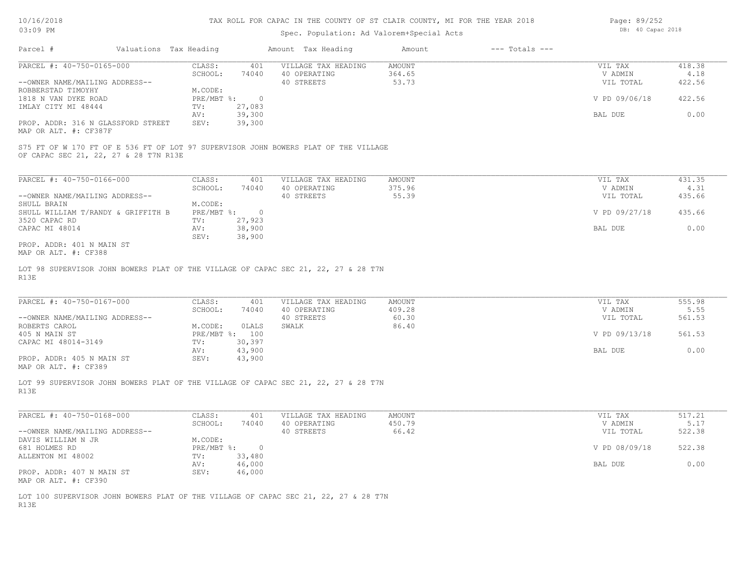## Spec. Population

| 10/16/2018 |                        | TAX ROLL FOR CAPAC IN THE COUNTY OF ST CLAIR COUNTY, MI FOR THE YEAR 2018 |        |                    | Page: 89/252      |
|------------|------------------------|---------------------------------------------------------------------------|--------|--------------------|-------------------|
| $03:09$ PM |                        | Spec. Population: Ad Valorem+Special Acts                                 |        |                    | DB: 40 Capac 2018 |
| Parcel #   | Valuations Tax Heading | Amount Tax Heading                                                        | Amount | $---$ Totals $---$ |                   |

| PARCEL #: 40-750-0165-000          | CLASS:     | 401    | VILLAGE TAX HEADING | AMOUNT | VIL TAX       | 418.38 |
|------------------------------------|------------|--------|---------------------|--------|---------------|--------|
|                                    | SCHOOL:    | 74040  | 40 OPERATING        | 364.65 | V ADMIN       | 4.18   |
| --OWNER NAME/MAILING ADDRESS--     |            |        | 40 STREETS          | 53.73  | VIL TOTAL     | 422.56 |
| ROBBERSTAD TIMOYHY                 | M.CODE:    |        |                     |        |               |        |
| 1818 N VAN DYKE ROAD               | PRE/MBT %: |        |                     |        | V PD 09/06/18 | 422.56 |
| IMLAY CITY MI 48444                | TV:        | 27,083 |                     |        |               |        |
|                                    | AV:        | 39,300 |                     |        | BAL DUE       | 0.00   |
| PROP. ADDR: 316 N GLASSFORD STREET | SEV:       | 39,300 |                     |        |               |        |
|                                    |            |        |                     |        |               |        |

MAP OR ALT. #: CF387F

OF CAPAC SEC 21, 22, 27 & 28 T7N R13E S75 FT OF W 170 FT OF E 536 FT OF LOT 97 SUPERVISOR JOHN BOWERS PLAT OF THE VILLAGE

| PARCEL #: 40-750-0166-000          | CLASS:     | 401    | VILLAGE TAX HEADING | AMOUNT | VIL TAX       | 431.35 |
|------------------------------------|------------|--------|---------------------|--------|---------------|--------|
|                                    | SCHOOL:    | 74040  | 40 OPERATING        | 375.96 | V ADMIN       | 4.31   |
| --OWNER NAME/MAILING ADDRESS--     |            |        | 40 STREETS          | 55.39  | VIL TOTAL     | 435.66 |
| SHULL BRAIN                        | M.CODE:    |        |                     |        |               |        |
| SHULL WILLIAM T/RANDY & GRIFFITH B | PRE/MBT %: |        |                     |        | V PD 09/27/18 | 435.66 |
| 3520 CAPAC RD                      | TV:        | 27,923 |                     |        |               |        |
| CAPAC MI 48014                     | AV:        | 38,900 |                     |        | BAL DUE       | 0.00   |
|                                    | SEV:       | 38,900 |                     |        |               |        |
| PROP. ADDR: 401 N MAIN ST          |            |        |                     |        |               |        |

MAP OR ALT. #: CF388

R13E LOT 98 SUPERVISOR JOHN BOWERS PLAT OF THE VILLAGE OF CAPAC SEC 21, 22, 27 & 28 T7N

| PARCEL #: 40-750-0167-000      | CLASS:  | 401            | VILLAGE TAX HEADING | AMOUNT | VIL TAX       | 555.98 |
|--------------------------------|---------|----------------|---------------------|--------|---------------|--------|
|                                | SCHOOL: | 74040          | 40 OPERATING        | 409.28 | V ADMIN       | 5.55   |
| --OWNER NAME/MAILING ADDRESS-- |         |                | 40 STREETS          | 60.30  | VIL TOTAL     | 561.53 |
| ROBERTS CAROL                  | M.CODE: | OLALS          | SWALK               | 86.40  |               |        |
| 405 N MAIN ST                  |         | PRE/MBT %: 100 |                     |        | V PD 09/13/18 | 561.53 |
| CAPAC MI 48014-3149            | TV:     | 30,397         |                     |        |               |        |
|                                | AV:     | 43,900         |                     |        | BAL DUE       | 0.00   |
| PROP. ADDR: 405 N MAIN ST      | SEV:    | 43,900         |                     |        |               |        |
|                                |         |                |                     |        |               |        |

MAP OR ALT. #: CF389

R13E LOT 99 SUPERVISOR JOHN BOWERS PLAT OF THE VILLAGE OF CAPAC SEC 21, 22, 27 & 28 T7N

| PARCEL #: 40-750-0168-000      | CLASS:       | 401    | VILLAGE TAX HEADING | AMOUNT | VIL TAX       | 517.21 |
|--------------------------------|--------------|--------|---------------------|--------|---------------|--------|
|                                | SCHOOL:      | 74040  | 40 OPERATING        | 450.79 | V ADMIN       | 5.17   |
| --OWNER NAME/MAILING ADDRESS-- |              |        | 40 STREETS          | 66.42  | VIL TOTAL     | 522.38 |
| DAVIS WILLIAM N JR             | M.CODE:      |        |                     |        |               |        |
| 681 HOLMES RD                  | $PRE/MBT$ %: |        |                     |        | V PD 08/09/18 | 522.38 |
| ALLENTON MI 48002              | TV:          | 33,480 |                     |        |               |        |
|                                | AV:          | 46,000 |                     |        | BAL DUE       | 0.00   |
| PROP. ADDR: 407 N MAIN ST      | SEV:         | 46,000 |                     |        |               |        |
| MAP OR ALT. #: CF390           |              |        |                     |        |               |        |

R13E LOT 100 SUPERVISOR JOHN BOWERS PLAT OF THE VILLAGE OF CAPAC SEC 21, 22, 27 & 28 T7N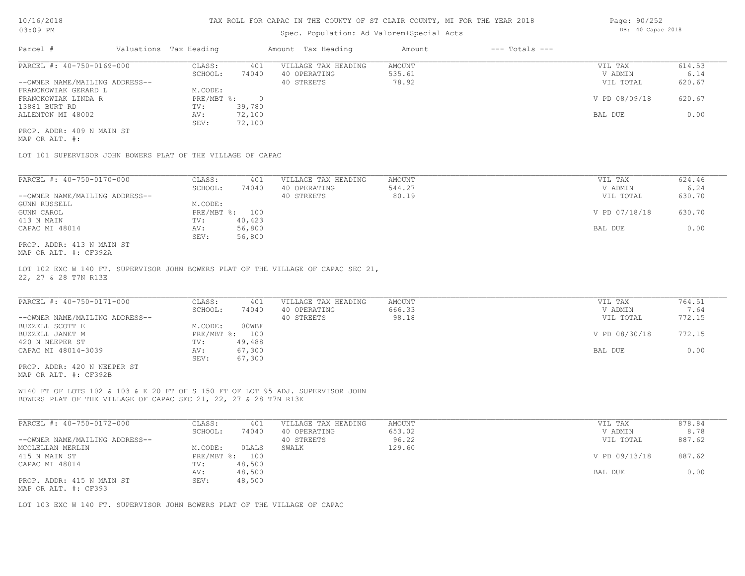## Spec. Population: Ad Valorem+Special Acts

| Parcel #                       | Valuations Tax Heading |        | Amount Tax Heading  | Amount | $---$ Totals $---$ |               |        |
|--------------------------------|------------------------|--------|---------------------|--------|--------------------|---------------|--------|
| PARCEL #: 40-750-0169-000      | CLASS:                 | 401    | VILLAGE TAX HEADING | AMOUNT |                    | VIL TAX       | 614.53 |
|                                | SCHOOL:                | 74040  | 40 OPERATING        | 535.61 |                    | V ADMIN       | 6.14   |
| --OWNER NAME/MAILING ADDRESS-- |                        |        | 40 STREETS          | 78.92  |                    | VIL TOTAL     | 620.67 |
| FRANCKOWIAK GERARD L           | M.CODE:                |        |                     |        |                    |               |        |
| FRANCKOWIAK LINDA R            | PRE/MBT %:             |        |                     |        |                    | V PD 08/09/18 | 620.67 |
| 13881 BURT RD                  | TV:                    | 39,780 |                     |        |                    |               |        |
| ALLENTON MI 48002              | AV:                    | 72,100 |                     |        |                    | BAL DUE       | 0.00   |
|                                | SEV:                   | 72,100 |                     |        |                    |               |        |
| PROP. ADDR: 409 N MAIN ST      |                        |        |                     |        |                    |               |        |

MAP OR ALT. #:

LOT 101 SUPERVISOR JOHN BOWERS PLAT OF THE VILLAGE OF CAPAC

| PARCEL #: 40-750-0170-000      | CLASS:       | 401    | VILLAGE TAX HEADING | AMOUNT | VIL TAX       | 624.46 |
|--------------------------------|--------------|--------|---------------------|--------|---------------|--------|
|                                | SCHOOL:      | 74040  | 40 OPERATING        | 544.27 | V ADMIN       | 6.24   |
| --OWNER NAME/MAILING ADDRESS-- |              |        | 40 STREETS          | 80.19  | VIL TOTAL     | 630.70 |
| GUNN RUSSELL                   | M.CODE:      |        |                     |        |               |        |
| GUNN CAROL                     | $PRE/MBT$ %: | 100    |                     |        | V PD 07/18/18 | 630.70 |
| 413 N MAIN                     | TV:          | 40,423 |                     |        |               |        |
| CAPAC MI 48014                 | AV:          | 56,800 |                     |        | BAL DUE       | 0.00   |
|                                | SEV:         | 56,800 |                     |        |               |        |
| PROP. ADDR: 413 N MAIN ST      |              |        |                     |        |               |        |

MAP OR ALT. #: CF392A

22, 27 & 28 T7N R13E LOT 102 EXC W 140 FT. SUPERVISOR JOHN BOWERS PLAT OF THE VILLAGE OF CAPAC SEC 21,

| PARCEL #: 40-750-0171-000      | CLASS:  | 401            | VILLAGE TAX HEADING | AMOUNT | VIL TAX       | 764.51 |
|--------------------------------|---------|----------------|---------------------|--------|---------------|--------|
|                                | SCHOOL: | 74040          | 40 OPERATING        | 666.33 | V ADMIN       | 7.64   |
| --OWNER NAME/MAILING ADDRESS-- |         |                | 40 STREETS          | 98.18  | VIL TOTAL     | 772.15 |
| BUZZELL SCOTT E                | M.CODE: | 00WBF          |                     |        |               |        |
| BUZZELL JANET M                |         | PRE/MBT %: 100 |                     |        | V PD 08/30/18 | 772.15 |
| 420 N NEEPER ST                | TV:     | 49,488         |                     |        |               |        |
| CAPAC MI 48014-3039            | AV:     | 67,300         |                     |        | BAL DUE       | 0.00   |
|                                | SEV:    | 67,300         |                     |        |               |        |
| PROP. ADDR: 420 N NEEPER ST    |         |                |                     |        |               |        |

MAP OR ALT. #: CF392B

BOWERS PLAT OF THE VILLAGE OF CAPAC SEC 21, 22, 27 & 28 T7N R13E W140 FT OF LOTS 102 & 103 & E 20 FT OF S 150 FT OF LOT 95 ADJ. SUPERVISOR JOHN

| PARCEL #: 40-750-0172-000      | CLASS:     | 401    | VILLAGE TAX HEADING | AMOUNT | VIL TAX       | 878.84 |
|--------------------------------|------------|--------|---------------------|--------|---------------|--------|
|                                | SCHOOL:    | 74040  | 40 OPERATING        | 653.02 | V ADMIN       | 8.78   |
| --OWNER NAME/MAILING ADDRESS-- |            |        | 40 STREETS          | 96.22  | VIL TOTAL     | 887.62 |
| MCCLELLAN MERLIN               | M.CODE:    | OLALS  | SWALK               | 129.60 |               |        |
| 415 N MAIN ST                  | PRE/MBT %: | 100    |                     |        | V PD 09/13/18 | 887.62 |
| CAPAC MI 48014                 | TV:        | 48,500 |                     |        |               |        |
|                                | AV:        | 48,500 |                     |        | BAL DUE       | 0.00   |
| PROP. ADDR: 415 N MAIN ST      | SEV:       | 48,500 |                     |        |               |        |
| MAP OR ALT. #: CF393           |            |        |                     |        |               |        |

LOT 103 EXC W 140 FT. SUPERVISOR JOHN BOWERS PLAT OF THE VILLAGE OF CAPAC

Page: 90/252 DB: 40 Capac 2018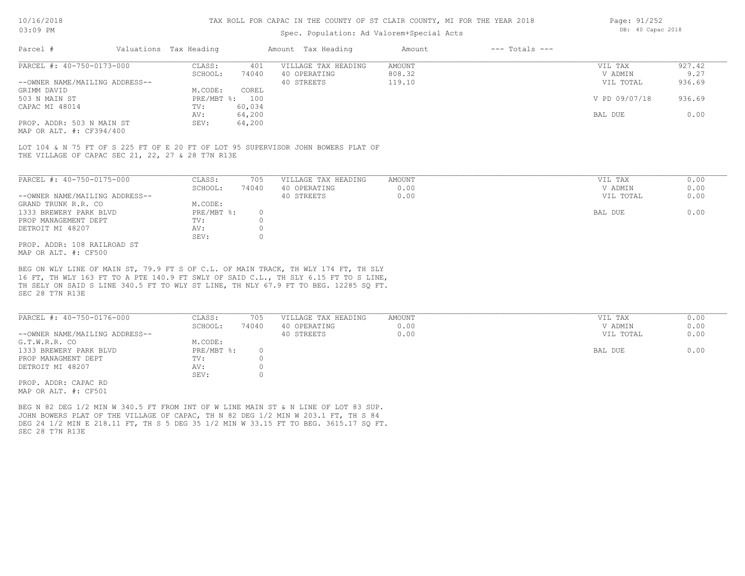## Spec. Population: Ad Valorem+Special Acts

| Page: 91/252 |                   |  |  |  |  |
|--------------|-------------------|--|--|--|--|
|              | DB: 40 Capac 2018 |  |  |  |  |

| Parcel #                       | Valuations Tax Heading |        | Amount Tax Heading  | Amount | $---$ Totals $---$ |               |        |
|--------------------------------|------------------------|--------|---------------------|--------|--------------------|---------------|--------|
| PARCEL #: 40-750-0173-000      | CLASS:                 | 401    | VILLAGE TAX HEADING | AMOUNT |                    | VIL TAX       | 927.42 |
|                                | SCHOOL:                | 74040  | 40 OPERATING        | 808.32 |                    | V ADMIN       | 9.27   |
| --OWNER NAME/MAILING ADDRESS-- |                        |        | 40 STREETS          | 119.10 |                    | VIL TOTAL     | 936.69 |
| GRIMM DAVID                    | M.CODE:                | COREL  |                     |        |                    |               |        |
| 503 N MAIN ST                  | PRE/MBT %: 100         |        |                     |        |                    | V PD 09/07/18 | 936.69 |
| CAPAC MI 48014                 | TV:                    | 60,034 |                     |        |                    |               |        |
|                                | AV:                    | 64,200 |                     |        |                    | BAL DUE       | 0.00   |
| PROP. ADDR: 503 N MAIN ST      | SEV:                   | 64,200 |                     |        |                    |               |        |
|                                |                        |        |                     |        |                    |               |        |

MAP OR ALT. #: CF394/400

THE VILLAGE OF CAPAC SEC 21, 22, 27 & 28 T7N R13E LOT 104 & N 75 FT OF S 225 FT OF E 20 FT OF LOT 95 SUPERVISOR JOHN BOWERS PLAT OF

| PARCEL #: 40-750-0175-000      | CLASS:     | 705   | VILLAGE TAX HEADING | AMOUNT | VIL TAX   | 0.00 |
|--------------------------------|------------|-------|---------------------|--------|-----------|------|
|                                | SCHOOL:    | 74040 | 40 OPERATING        | 0.00   | V ADMIN   | 0.00 |
| --OWNER NAME/MAILING ADDRESS-- |            |       | 40 STREETS          | 0.00   | VIL TOTAL | 0.00 |
| GRAND TRUNK R.R. CO            | M.CODE:    |       |                     |        |           |      |
| 1333 BREWERY PARK BLVD         | PRE/MBT %: |       |                     |        | BAL DUE   | 0.00 |
| PROP MANAGEMENT DEPT           | TV:        |       |                     |        |           |      |
| DETROIT MI 48207               | AV:        |       |                     |        |           |      |
|                                | SEV:       |       |                     |        |           |      |
| PROP. ADDR: 108 RAILROAD ST    |            |       |                     |        |           |      |
| MAP OR ALT. #: CF500           |            |       |                     |        |           |      |

SEC 28 T7N R13E TH SELY ON SAID S LINE 340.5 FT TO WLY ST LINE, TH NLY 67.9 FT TO BEG. 12285 SQ FT. 16 FT, TH WLY 163 FT TO A PTE 140.9 FT SWLY OF SAID C.L., TH SLY 6.15 FT TO S LINE, BEG ON WLY LINE OF MAIN ST, 79.9 FT S OF C.L. OF MAIN TRACK, TH WLY 174 FT, TH SLY

| PARCEL #: 40-750-0176-000      | CLASS:     | 705   | VILLAGE TAX HEADING | AMOUNT | VIL TAX   | 0.00 |
|--------------------------------|------------|-------|---------------------|--------|-----------|------|
|                                | SCHOOL:    | 74040 | 40 OPERATING        | 0.00   | V ADMIN   | 0.00 |
| --OWNER NAME/MAILING ADDRESS-- |            |       | 40 STREETS          | 0.00   | VIL TOTAL | 0.00 |
| G.T.W.R.R. CO                  | M.CODE:    |       |                     |        |           |      |
| 1333 BREWERY PARK BLVD         | PRE/MBT %: |       |                     |        | BAL DUE   | 0.00 |
| PROP MANAGMENT DEPT            | TV:        |       |                     |        |           |      |
| DETROIT MI 48207               | AV:        |       |                     |        |           |      |
|                                | SEV:       |       |                     |        |           |      |
| PROP. ADDR: CAPAC RD           |            |       |                     |        |           |      |

MAP OR ALT. #: CF501

SEC 28 T7N R13E DEG 24 1/2 MIN E 218.11 FT, TH S 5 DEG 35 1/2 MIN W 33.15 FT TO BEG. 3615.17 SQ FT. JOHN BOWERS PLAT OF THE VILLAGE OF CAPAC, TH N 82 DEG 1/2 MIN W 203.1 FT, TH S 84 BEG N 82 DEG 1/2 MIN W 340.5 FT FROM INT OF W LINE MAIN ST & N LINE OF LOT 83 SUP.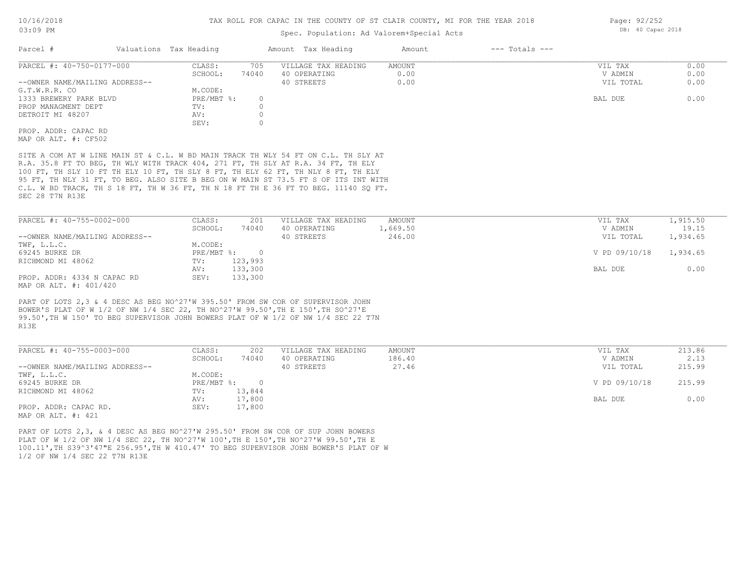## Spec. Population: Ad Valorem+Special Acts

| Parcel #                       | Valuations Tax Heading |       | Amount Tax Heading  | Amount | $---$ Totals $---$ |           |      |
|--------------------------------|------------------------|-------|---------------------|--------|--------------------|-----------|------|
| PARCEL #: 40-750-0177-000      | CLASS:                 | 705   | VILLAGE TAX HEADING | AMOUNT |                    | VIL TAX   | 0.00 |
|                                | SCHOOL:                | 74040 | 40 OPERATING        | 0.00   |                    | V ADMIN   | 0.00 |
| --OWNER NAME/MAILING ADDRESS-- |                        |       | 40 STREETS          | 0.00   |                    | VIL TOTAL | 0.00 |
| G.T.W.R.R. CO                  | M.CODE:                |       |                     |        |                    |           |      |
| 1333 BREWERY PARK BLVD         | PRE/MBT %:             |       |                     |        |                    | BAL DUE   | 0.00 |
| PROP MANAGMENT DEPT            | TV:                    |       |                     |        |                    |           |      |
| DETROIT MI 48207               | AV:                    |       |                     |        |                    |           |      |
|                                | SEV:                   |       |                     |        |                    |           |      |
| PROP. ADDR: CAPAC RD           |                        |       |                     |        |                    |           |      |
| MAP OR ALT. #: CF502           |                        |       |                     |        |                    |           |      |
|                                |                        |       |                     |        |                    |           |      |

SEC 28 T7N R13E C.L. W BD TRACK, TH S 18 FT, TH W 36 FT, TH N 18 FT TH E 36 FT TO BEG. 11140 SQ FT. 95 FT, TH NLY 31 FT, TO BEG. ALSO SITE B BEG ON W MAIN ST 73.5 FT S OF ITS INT WITH 100 FT, TH SLY 10 FT TH ELY 10 FT, TH SLY 8 FT, TH ELY 62 FT, TH NLY 8 FT, TH ELY R.A. 35.8 FT TO BEG, TH WLY WITH TRACK 404, 271 FT, TH SLY AT R.A. 34 FT, TH ELY SITE A COM AT W LINE MAIN ST & C.L. W BD MAIN TRACK TH WLY 54 FT ON C.L. TH SLY AT

| PARCEL #: 40-755-0002-000      | CLASS:       | 201     | VILLAGE TAX HEADING | AMOUNT   | VIL TAX       | 1,915.50 |
|--------------------------------|--------------|---------|---------------------|----------|---------------|----------|
|                                | SCHOOL:      | 74040   | 40 OPERATING        | 1,669.50 | V ADMIN       | 19.15    |
| --OWNER NAME/MAILING ADDRESS-- |              |         | 40 STREETS          | 246.00   | VIL TOTAL     | 1,934.65 |
| TWF, L.L.C.                    | M.CODE:      |         |                     |          |               |          |
| 69245 BURKE DR                 | $PRE/MBT$ %: |         |                     |          | V PD 09/10/18 | 1,934.65 |
| RICHMOND MI 48062              | TV:          | 123,993 |                     |          |               |          |
|                                | AV:          | 133,300 |                     |          | BAL DUE       | 0.00     |
| PROP. ADDR: 4334 N CAPAC RD    | SEV:         | 133,300 |                     |          |               |          |
| MAP OR ALT. #: 401/420         |              |         |                     |          |               |          |

R13E 99.50',TH W 150' TO BEG SUPERVISOR JOHN BOWERS PLAT OF W 1/2 OF NW 1/4 SEC 22 T7N BOWER'S PLAT OF W 1/2 OF NW 1/4 SEC 22, TH NO^27'W 99.50',TH E 150',TH SO^27'E PART OF LOTS 2,3 & 4 DESC AS BEG NO^27'W 395.50' FROM SW COR OF SUPERVISOR JOHN

| PARCEL #: 40-755-0003-000      | CLASS:     | 202    | VILLAGE TAX HEADING | AMOUNT | VIL TAX       | 213.86 |
|--------------------------------|------------|--------|---------------------|--------|---------------|--------|
|                                | SCHOOL:    | 74040  | 40 OPERATING        | 186.40 | V ADMIN       | 2.13   |
| --OWNER NAME/MAILING ADDRESS-- |            |        | 40 STREETS          | 27.46  | VIL TOTAL     | 215.99 |
| TWF, L.L.C.                    | M.CODE:    |        |                     |        |               |        |
| 69245 BURKE DR                 | PRE/MBT %: | $\cap$ |                     |        | V PD 09/10/18 | 215.99 |
| RICHMOND MI 48062              | TV:        | 13,844 |                     |        |               |        |
|                                | AV:        | 17,800 |                     |        | BAL DUE       | 0.00   |
| PROP. ADDR: CAPAC RD.          | SEV:       | 17,800 |                     |        |               |        |
| MAP OR ALT. #: 421             |            |        |                     |        |               |        |

100.11',TH S39^3'47"E 256.95',TH W 410.47' TO BEG SUPERVISOR JOHN BOWER'S PLAT OF W PLAT OF W 1/2 OF NW 1/4 SEC 22, TH NO^27'W 100',TH E 150',TH NO^27'W 99.50',TH E PART OF LOTS 2,3, & 4 DESC AS BEG NO^27'W 295.50' FROM SW COR OF SUP JOHN BOWERS

1/2 OF NW 1/4 SEC 22 T7N R13E

Page: 92/252 DB: 40 Capac 2018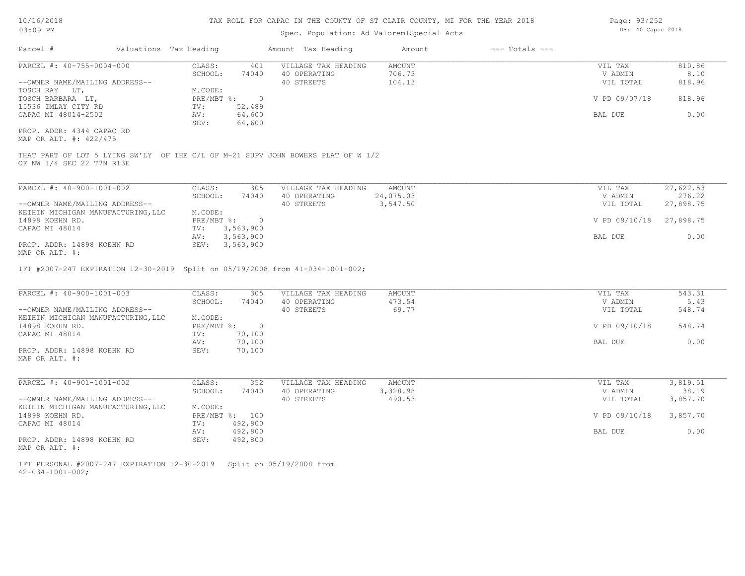# Spec. Population: Ad Valorem+Special Acts

| Page: 93/252 |                   |  |
|--------------|-------------------|--|
|              | DB: 40 Capac 2018 |  |

| Parcel #                                                             | Valuations Tax Heading                                                           | Amount Tax Heading                                | Amount                            | $---$ Totals $---$ |                                 |                          |
|----------------------------------------------------------------------|----------------------------------------------------------------------------------|---------------------------------------------------|-----------------------------------|--------------------|---------------------------------|--------------------------|
| PARCEL #: 40-755-0004-000<br>--OWNER NAME/MAILING ADDRESS--          | CLASS:<br>401<br>SCHOOL:<br>74040                                                | VILLAGE TAX HEADING<br>40 OPERATING<br>40 STREETS | <b>AMOUNT</b><br>706.73<br>104.13 |                    | VIL TAX<br>V ADMIN<br>VIL TOTAL | 810.86<br>8.10<br>818.96 |
| TOSCH RAY LT,<br>TOSCH BARBARA LT,                                   | M.CODE:<br>PRE/MBT %: 0                                                          |                                                   |                                   |                    | V PD 09/07/18                   | 818.96                   |
| 15536 IMLAY CITY RD<br>CAPAC MI 48014-2502                           | TV:<br>52,489<br>64,600<br>AV:<br>SEV:<br>64,600                                 |                                                   |                                   |                    | BAL DUE                         | 0.00                     |
| PROP. ADDR: 4344 CAPAC RD<br>MAP OR ALT. #: 422/475                  |                                                                                  |                                                   |                                   |                    |                                 |                          |
| OF NW 1/4 SEC 22 T7N R13E                                            | THAT PART OF LOT 5 LYING SW'LY OF THE C/L OF M-21 SUPV JOHN BOWERS PLAT OF W 1/2 |                                                   |                                   |                    |                                 |                          |
| PARCEL #: 40-900-1001-002                                            | CLASS:<br>305                                                                    | VILLAGE TAX HEADING                               | AMOUNT                            |                    | VIL TAX                         | 27,622.53                |
|                                                                      | SCHOOL:<br>74040                                                                 | 40 OPERATING                                      | 24,075.03                         |                    | V ADMIN                         | 276.22                   |
| --OWNER NAME/MAILING ADDRESS--<br>KEIHIN MICHIGAN MANUFACTURING, LLC | M.CODE:                                                                          | 40 STREETS                                        | 3,547.50                          |                    | VIL TOTAL                       | 27,898.75                |
| 14898 KOEHN RD.<br>CAPAC MI 48014                                    | $PRE/MBT$ $\div$ 0<br>3,563,900<br>TV:                                           |                                                   |                                   |                    | V PD 09/10/18                   | 27,898.75                |
|                                                                      | 3,563,900<br>AV:                                                                 |                                                   |                                   |                    | BAL DUE                         | 0.00                     |
| PROP. ADDR: 14898 KOEHN RD<br>MAP OR ALT. #:                         | SEV: 3,563,900                                                                   |                                                   |                                   |                    |                                 |                          |
|                                                                      | IFT #2007-247 EXPIRATION 12-30-2019 Split on 05/19/2008 from 41-034-1001-002;    |                                                   |                                   |                    |                                 |                          |
| PARCEL #: 40-900-1001-003                                            | 305<br>CLASS:                                                                    | VILLAGE TAX HEADING                               | AMOUNT                            |                    | VIL TAX                         | 543.31                   |
| --OWNER NAME/MAILING ADDRESS--                                       | SCHOOL:<br>74040                                                                 | 40 OPERATING<br>40 STREETS                        | 473.54<br>69.77                   |                    | V ADMIN<br>VIL TOTAL            | 5.43<br>548.74           |
| KEIHIN MICHIGAN MANUFACTURING, LLC                                   | M.CODE:                                                                          |                                                   |                                   |                    |                                 |                          |
| 14898 KOEHN RD.                                                      | $PRE/MBT$ $\frac{1}{6}$ : 0                                                      |                                                   |                                   |                    | V PD 09/10/18                   | 548.74                   |
| CAPAC MI 48014                                                       | 70,100<br>TV:                                                                    |                                                   |                                   |                    |                                 |                          |
| PROP. ADDR: 14898 KOEHN RD<br>MAP OR ALT. #:                         | 70,100<br>AV:<br>SEV:<br>70,100                                                  |                                                   |                                   |                    | BAL DUE                         | 0.00                     |
| PARCEL #: 40-901-1001-002                                            | 352<br>CLASS:                                                                    | VILLAGE TAX HEADING                               | AMOUNT                            |                    | VIL TAX                         | 3,819.51                 |
|                                                                      | SCHOOL:<br>74040                                                                 | 40 OPERATING                                      | 3,328.98                          |                    | V ADMIN                         | 38.19                    |
| --OWNER NAME/MAILING ADDRESS--<br>KEIHIN MICHIGAN MANUFACTURING, LLC | M.CODE:                                                                          | 40 STREETS                                        | 490.53                            |                    | VIL TOTAL                       | 3,857.70                 |
| 14898 KOEHN RD.                                                      | PRE/MBT %: 100                                                                   |                                                   |                                   |                    | V PD 09/10/18                   | 3,857.70                 |
| CAPAC MI 48014                                                       | 492,800<br>TV:<br>492,800<br>AV:                                                 |                                                   |                                   |                    | BAL DUE                         | 0.00                     |
| PROP. ADDR: 14898 KOEHN RD<br>MAP OR ALT. #:                         | 492,800<br>SEV:                                                                  |                                                   |                                   |                    |                                 |                          |
|                                                                      |                                                                                  |                                                   |                                   |                    |                                 |                          |

42-034-1001-002; IFT PERSONAL #2007-247 EXPIRATION 12-30-2019 Split on 05/19/2008 from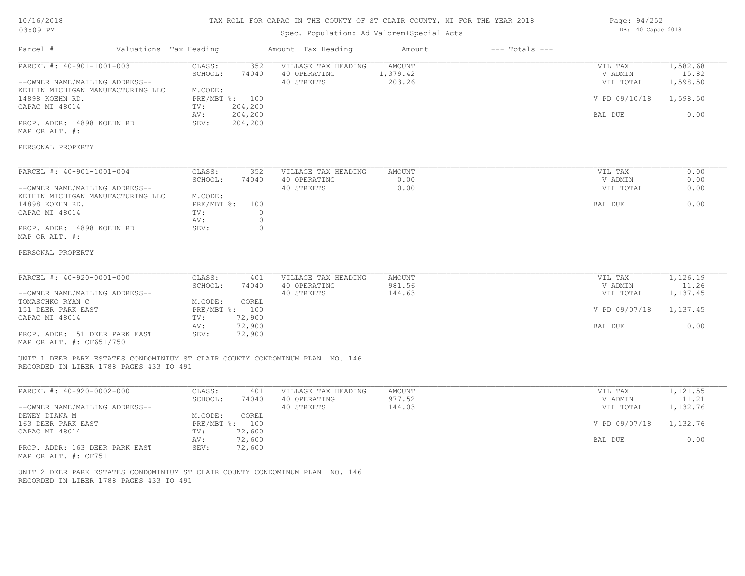# 10/16/2018 03:09 PM

#### TAX ROLL FOR CAPAC IN THE COUNTY OF ST CLAIR COUNTY, MI FOR THE YEAR 2018 Page: 94/252

# Spec. Population: Ad Valorem+Special Acts

| Parcel #                                                                               | Valuations Tax Heading                  |                    |                                      | Amount Tax Heading                                                           | Amount                       | $---$ Totals $---$ |                                 |                      |
|----------------------------------------------------------------------------------------|-----------------------------------------|--------------------|--------------------------------------|------------------------------------------------------------------------------|------------------------------|--------------------|---------------------------------|----------------------|
| PARCEL #: 40-901-1001-003                                                              |                                         | CLASS:<br>SCHOOL:  | 352<br>74040                         | VILLAGE TAX HEADING<br>40 OPERATING<br>40 STREETS                            | AMOUNT<br>1,379.42<br>203.26 |                    | VIL TAX<br>V ADMIN<br>VIL TOTAL | 1,582.68<br>15.82    |
| --OWNER NAME/MAILING ADDRESS--<br>KEIHIN MICHIGAN MANUFACTURING LLC<br>14898 KOEHN RD. |                                         | M.CODE:            | PRE/MBT %: 100                       |                                                                              |                              |                    | V PD 09/10/18                   | 1,598.50<br>1,598.50 |
| CAPAC MI 48014                                                                         |                                         | TV:<br>AV:         | 204,200<br>204,200                   |                                                                              |                              |                    | BAL DUE                         | 0.00                 |
| PROP. ADDR: 14898 KOEHN RD<br>MAP OR ALT. #:                                           |                                         | SEV:               | 204,200                              |                                                                              |                              |                    |                                 |                      |
| PERSONAL PROPERTY                                                                      |                                         |                    |                                      |                                                                              |                              |                    |                                 |                      |
| PARCEL #: 40-901-1001-004                                                              |                                         | CLASS:<br>SCHOOL:  | 352<br>74040                         | VILLAGE TAX HEADING<br>40 OPERATING                                          | <b>AMOUNT</b><br>0.00        |                    | VIL TAX<br>V ADMIN              | 0.00<br>0.00         |
| --OWNER NAME/MAILING ADDRESS--<br>KEIHIN MICHIGAN MANUFACTURING LLC                    |                                         | M.CODE:            |                                      | 40 STREETS                                                                   | 0.00                         |                    | VIL TOTAL                       | 0.00                 |
| 14898 KOEHN RD.<br>CAPAC MI 48014                                                      |                                         | TV:<br>AV:         | PRE/MBT %: 100<br>$\circ$<br>$\circ$ |                                                                              |                              |                    | BAL DUE                         | 0.00                 |
| PROP. ADDR: 14898 KOEHN RD<br>MAP OR ALT. #:                                           |                                         | SEV:               | $\circ$                              |                                                                              |                              |                    |                                 |                      |
| PERSONAL PROPERTY                                                                      |                                         |                    |                                      |                                                                              |                              |                    |                                 |                      |
| PARCEL #: 40-920-0001-000                                                              |                                         | CLASS:             | 401                                  | VILLAGE TAX HEADING                                                          | AMOUNT<br>981.56             |                    | VIL TAX                         | 1,126.19             |
| --OWNER NAME/MAILING ADDRESS--<br>TOMASCHKO RYAN C                                     |                                         | SCHOOL:<br>M.CODE: | 74040<br>COREL                       | 40 OPERATING<br>40 STREETS                                                   | 144.63                       |                    | V ADMIN<br>VIL TOTAL            | 11.26<br>1,137.45    |
| 151 DEER PARK EAST<br>CAPAC MI 48014                                                   |                                         | TV:                | PRE/MBT %: 100<br>72,900             |                                                                              |                              |                    | V PD 09/07/18                   | 1,137.45             |
| PROP. ADDR: 151 DEER PARK EAST<br>MAP OR ALT. #: CF651/750                             |                                         | AV:<br>SEV:        | 72,900<br>72,900                     |                                                                              |                              |                    | BAL DUE                         | 0.00                 |
|                                                                                        | RECORDED IN LIBER 1788 PAGES 433 TO 491 |                    |                                      | UNIT 1 DEER PARK ESTATES CONDOMINIUM ST CLAIR COUNTY CONDOMINUM PLAN NO. 146 |                              |                    |                                 |                      |
| PARCEL #: 40-920-0002-000                                                              |                                         | CLASS:             | 401                                  | VILLAGE TAX HEADING                                                          | AMOUNT                       |                    | VIL TAX                         | 1,121.55             |
| --OWNER NAME/MAILING ADDRESS--                                                         |                                         | SCHOOL:            | 74040                                | 40 OPERATING<br>40 STREETS                                                   | 977.52<br>144.03             |                    | V ADMIN<br>VIL TOTAL            | 11.21<br>1,132.76    |
| DEWEY DIANA M<br>163 DEER PARK EAST<br>CAPAC MI 48014                                  |                                         | M.CODE:<br>TV:     | COREL<br>PRE/MBT %: 100<br>72,600    |                                                                              |                              |                    | V PD 09/07/18                   | 1,132.76             |
| PROP. ADDR: 163 DEER PARK EAST<br>MAP OR ALT. #: CF751                                 |                                         | AV:<br>SEV:        | 72,600<br>72,600                     |                                                                              |                              |                    | BAL DUE                         | 0.00                 |
|                                                                                        |                                         |                    |                                      |                                                                              |                              |                    |                                 |                      |

DB: 40 Capac 2018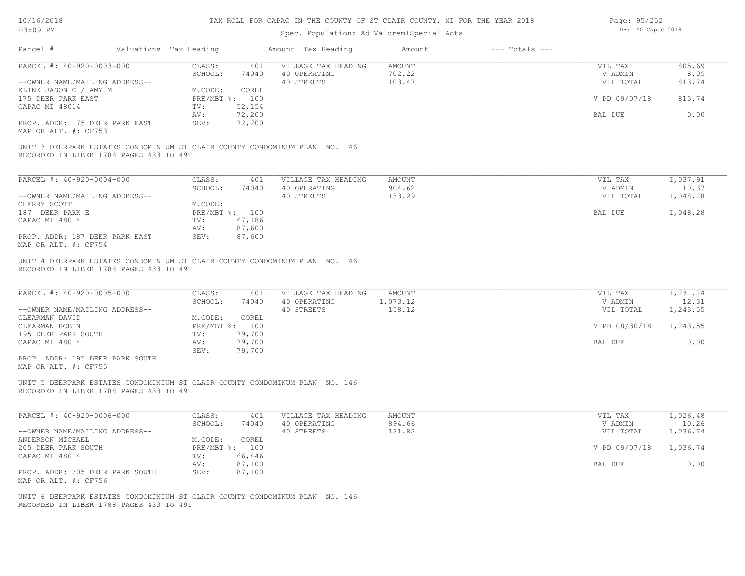| 10/16/2018 |  |
|------------|--|
| 03:09 PM   |  |

| Page: 95/252 |                   |  |
|--------------|-------------------|--|
|              | DB: 40 Capac 2018 |  |

| Parcel #                                                                                                                                                                                                                                       | Valuations Tax Heading |                                                                      |                                                     | Amount Tax Heading                                | Amount                       | $---$ Totals $---$ |                                                             |                                                   |
|------------------------------------------------------------------------------------------------------------------------------------------------------------------------------------------------------------------------------------------------|------------------------|----------------------------------------------------------------------|-----------------------------------------------------|---------------------------------------------------|------------------------------|--------------------|-------------------------------------------------------------|---------------------------------------------------|
| PARCEL #: 40-920-0003-000                                                                                                                                                                                                                      |                        | CLASS:                                                               | 401                                                 | VILLAGE TAX HEADING                               | AMOUNT                       |                    | VIL TAX                                                     | 805.69                                            |
|                                                                                                                                                                                                                                                |                        | SCHOOL:                                                              | 74040                                               | 40 OPERATING                                      | 702.22                       |                    | V ADMIN                                                     | 8.05                                              |
| --OWNER NAME/MAILING ADDRESS--                                                                                                                                                                                                                 |                        |                                                                      |                                                     | 40 STREETS                                        | 103.47                       |                    | VIL TOTAL                                                   | 813.74                                            |
| KLINK JASON C / AMY M<br>175 DEER PARK EAST                                                                                                                                                                                                    |                        | M.CODE:<br>PRE/MBT %: 100                                            | COREL                                               |                                                   |                              |                    | V PD 09/07/18                                               | 813.74                                            |
| CAPAC MI 48014                                                                                                                                                                                                                                 |                        | TV:                                                                  | 52,154                                              |                                                   |                              |                    |                                                             |                                                   |
|                                                                                                                                                                                                                                                |                        | AV:                                                                  | 72,200                                              |                                                   |                              |                    | BAL DUE                                                     | 0.00                                              |
| PROP. ADDR: 175 DEER PARK EAST                                                                                                                                                                                                                 |                        | SEV:                                                                 | 72,200                                              |                                                   |                              |                    |                                                             |                                                   |
| MAP OR ALT. #: CF753                                                                                                                                                                                                                           |                        |                                                                      |                                                     |                                                   |                              |                    |                                                             |                                                   |
| UNIT 3 DEERPARK ESTATES CONDOMINIUM ST CLAIR COUNTY CONDOMINUM PLAN NO. 146<br>RECORDED IN LIBER 1788 PAGES 433 TO 491                                                                                                                         |                        |                                                                      |                                                     |                                                   |                              |                    |                                                             |                                                   |
|                                                                                                                                                                                                                                                |                        |                                                                      |                                                     |                                                   |                              |                    |                                                             |                                                   |
| PARCEL #: 40-920-0004-000                                                                                                                                                                                                                      |                        | CLASS:                                                               | 401                                                 | VILLAGE TAX HEADING                               | AMOUNT                       |                    | VIL TAX                                                     | 1,037.91                                          |
|                                                                                                                                                                                                                                                |                        | SCHOOL:                                                              | 74040                                               | 40 OPERATING                                      | 904.62                       |                    | V ADMIN                                                     | 10.37                                             |
| --OWNER NAME/MAILING ADDRESS--                                                                                                                                                                                                                 |                        |                                                                      |                                                     | 40 STREETS                                        | 133.29                       |                    | VIL TOTAL                                                   | 1,048.28                                          |
| CHERRY SCOTT                                                                                                                                                                                                                                   |                        | M.CODE:                                                              |                                                     |                                                   |                              |                    |                                                             |                                                   |
| 187 DEER PARK E                                                                                                                                                                                                                                |                        | PRE/MBT %: 100                                                       |                                                     |                                                   |                              |                    | BAL DUE                                                     | 1,048.28                                          |
| CAPAC MI 48014                                                                                                                                                                                                                                 |                        | TV:                                                                  | 67,186                                              |                                                   |                              |                    |                                                             |                                                   |
|                                                                                                                                                                                                                                                |                        | AV:                                                                  | 87,600                                              |                                                   |                              |                    |                                                             |                                                   |
| PROP. ADDR: 187 DEER PARK EAST<br>MAP OR ALT. #: CF754                                                                                                                                                                                         |                        | SEV:                                                                 | 87,600                                              |                                                   |                              |                    |                                                             |                                                   |
| RECORDED IN LIBER 1788 PAGES 433 TO 491<br>PARCEL #: 40-920-0005-000<br>--OWNER NAME/MAILING ADDRESS--<br>CLEARMAN DAVID<br>CLEARMAN ROBIN<br>195 DEER PARK SOUTH<br>CAPAC MI 48014<br>PROP. ADDR: 195 DEER PARK SOUTH<br>MAP OR ALT. #: CF755 |                        | CLASS:<br>SCHOOL:<br>M.CODE:<br>PRE/MBT %: 100<br>TV:<br>AV:<br>SEV: | 401<br>74040<br>COREL<br>79,700<br>79,700<br>79,700 | VILLAGE TAX HEADING<br>40 OPERATING<br>40 STREETS | AMOUNT<br>1,073.12<br>158.12 |                    | VIL TAX<br>V ADMIN<br>VIL TOTAL<br>V PD 08/30/18<br>BAL DUE | 1,231.24<br>12.31<br>1,243.55<br>1,243.55<br>0.00 |
| UNIT 5 DEERPARK ESTATES CONDOMINIUM ST CLAIR COUNTY CONDOMINUM PLAN NO. 146<br>RECORDED IN LIBER 1788 PAGES 433 TO 491                                                                                                                         |                        |                                                                      |                                                     |                                                   |                              |                    |                                                             |                                                   |
| PARCEL #: 40-920-0006-000                                                                                                                                                                                                                      |                        | CLASS:                                                               | 401                                                 | VILLAGE TAX HEADING                               | AMOUNT                       |                    | VIL TAX                                                     | 1,026.48                                          |
|                                                                                                                                                                                                                                                |                        | SCHOOL:                                                              | 74040                                               | 40 OPERATING                                      | 894.66                       |                    | V ADMIN                                                     | 10.26                                             |
| --OWNER NAME/MAILING ADDRESS--                                                                                                                                                                                                                 |                        | M.CODE:                                                              | COREL                                               | 40 STREETS                                        | 131.82                       |                    | VIL TOTAL                                                   | 1,036.74                                          |
| ANDERSON MICHAEL<br>205 DEER PARK SOUTH                                                                                                                                                                                                        |                        | PRE/MBT %: 100                                                       |                                                     |                                                   |                              |                    | V PD 09/07/18                                               | 1,036.74                                          |
| CAPAC MI 48014                                                                                                                                                                                                                                 |                        | TV:                                                                  | 66,446                                              |                                                   |                              |                    |                                                             |                                                   |
|                                                                                                                                                                                                                                                |                        | AV:                                                                  | 87,100                                              |                                                   |                              |                    | BAL DUE                                                     | 0.00                                              |
| PROP. ADDR: 205 DEER PARK SOUTH                                                                                                                                                                                                                |                        | SEV:                                                                 | 87,100                                              |                                                   |                              |                    |                                                             |                                                   |
| MAP OR ALT. #: CF756                                                                                                                                                                                                                           |                        |                                                                      |                                                     |                                                   |                              |                    |                                                             |                                                   |
| UNIT 6 DEERPARK ESTATES CONDOMINIUM ST CLAIR COUNTY CONDOMINUM PLAN NO. 146<br>RECORDED IN LIBER 1788 PAGES 433 TO 491                                                                                                                         |                        |                                                                      |                                                     |                                                   |                              |                    |                                                             |                                                   |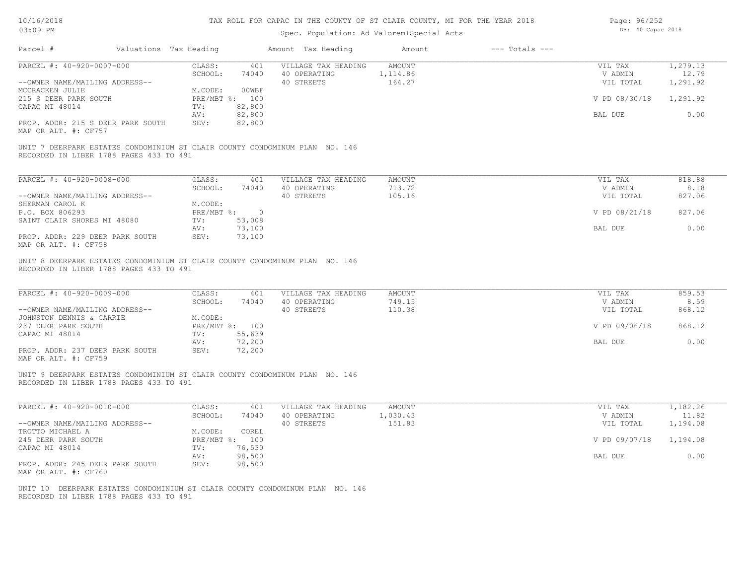| 10/16/2018  |  |
|-------------|--|
| $0.3:09$ PM |  |

| Page: 96/252 |                   |  |
|--------------|-------------------|--|
|              | DB: 40 Capac 2018 |  |

| Parcel #                                                                                                               | Valuations Tax Heading    | Amount Tax Heading                  | Amount             | $---$ Totals $---$ |                      |                   |
|------------------------------------------------------------------------------------------------------------------------|---------------------------|-------------------------------------|--------------------|--------------------|----------------------|-------------------|
| PARCEL #: 40-920-0007-000                                                                                              | CLASS:                    | VILLAGE TAX HEADING<br>401          | AMOUNT             |                    | VIL TAX              | 1,279.13          |
| --OWNER NAME/MAILING ADDRESS--                                                                                         | SCHOOL:                   | 40 OPERATING<br>74040<br>40 STREETS | 1,114.86<br>164.27 |                    | V ADMIN<br>VIL TOTAL | 12.79<br>1,291.92 |
| MCCRACKEN JULIE<br>215 S DEER PARK SOUTH                                                                               | M.CODE:<br>PRE/MBT %: 100 | 00WBF                               |                    |                    | V PD 08/30/18        | 1,291.92          |
| CAPAC MI 48014                                                                                                         | TV:<br>AV:                | 82,800<br>82,800                    |                    |                    | BAL DUE              | 0.00              |
| PROP. ADDR: 215 S DEER PARK SOUTH<br>MAP OR ALT. #: CF757                                                              | SEV:                      | 82,800                              |                    |                    |                      |                   |
| UNIT 7 DEERPARK ESTATES CONDOMINIUM ST CLAIR COUNTY CONDOMINUM PLAN NO. 146<br>RECORDED IN LIBER 1788 PAGES 433 TO 491 |                           |                                     |                    |                    |                      |                   |
| PARCEL #: 40-920-0008-000                                                                                              | CLASS:                    | 401<br>VILLAGE TAX HEADING          | <b>AMOUNT</b>      |                    | VIL TAX              | 818.88            |
|                                                                                                                        | SCHOOL:                   | 74040<br>40 OPERATING               | 713.72             |                    | V ADMIN              | 8.18              |
| --OWNER NAME/MAILING ADDRESS--                                                                                         |                           | 40 STREETS                          | 105.16             |                    | VIL TOTAL            | 827.06            |
| SHERMAN CAROL K                                                                                                        | M.CODE:                   |                                     |                    |                    |                      |                   |
| P.O. BOX 806293                                                                                                        | PRE/MBT %: 0              |                                     |                    |                    | V PD 08/21/18        | 827.06            |
| SAINT CLAIR SHORES MI 48080                                                                                            | $\texttt{TV}$ :           | 53,008                              |                    |                    |                      |                   |
|                                                                                                                        | AV:                       | 73,100                              |                    |                    | BAL DUE              | 0.00              |
| PROP. ADDR: 229 DEER PARK SOUTH<br>MAP OR ALT. #: CF758                                                                | SEV:                      | 73,100                              |                    |                    |                      |                   |
| UNIT 8 DEERPARK ESTATES CONDOMINIUM ST CLAIR COUNTY CONDOMINUM PLAN NO. 146<br>RECORDED IN LIBER 1788 PAGES 433 TO 491 |                           |                                     |                    |                    |                      |                   |
|                                                                                                                        |                           |                                     |                    |                    |                      |                   |
| PARCEL #: 40-920-0009-000                                                                                              | CLASS:                    | VILLAGE TAX HEADING<br>401          | AMOUNT             |                    | VIL TAX              | 859.53            |
|                                                                                                                        | SCHOOL:                   | 40 OPERATING<br>74040               | 749.15             |                    | V ADMIN              | 8.59              |
| --OWNER NAME/MAILING ADDRESS--<br>JOHNSTON DENNIS & CARRIE                                                             | M.CODE:                   | 40 STREETS                          | 110.38             |                    | VIL TOTAL            | 868.12            |
| 237 DEER PARK SOUTH                                                                                                    | PRE/MBT %: 100            |                                     |                    |                    | V PD 09/06/18        | 868.12            |
| CAPAC MI 48014                                                                                                         | 55,639<br>TV:             |                                     |                    |                    |                      |                   |
|                                                                                                                        | AV:                       | 72,200                              |                    |                    | BAL DUE              | 0.00              |
| PROP. ADDR: 237 DEER PARK SOUTH<br>MAP OR ALT. #: CF759                                                                | SEV:                      | 72,200                              |                    |                    |                      |                   |
| UNIT 9 DEERPARK ESTATES CONDOMINIUM ST CLAIR COUNTY CONDOMINUM PLAN NO. 146                                            |                           |                                     |                    |                    |                      |                   |
| RECORDED IN LIBER 1788 PAGES 433 TO 491                                                                                |                           |                                     |                    |                    |                      |                   |
| PARCEL #: 40-920-0010-000                                                                                              | CLASS:                    | 401<br>VILLAGE TAX HEADING          | AMOUNT             |                    | VIL TAX              | 1,182.26          |
|                                                                                                                        | SCHOOL:                   | 74040<br>40 OPERATING               | 1,030.43           |                    | V ADMIN              | 11.82             |
| --OWNER NAME/MAILING ADDRESS--                                                                                         |                           | 40 STREETS                          | 151.83             |                    | VIL TOTAL            | 1,194.08          |
| TROTTO MICHAEL A                                                                                                       | M.CODE:                   | COREL                               |                    |                    |                      |                   |
| 245 DEER PARK SOUTH<br>CAPAC MI 48014                                                                                  | PRE/MBT %: 100<br>TV:     | 76,530                              |                    |                    | V PD 09/07/18        | 1,194.08          |
|                                                                                                                        | AV:                       | 98,500                              |                    |                    | BAL DUE              | 0.00              |
| PROP. ADDR: 245 DEER PARK SOUTH<br>MAP OR ALT. #: CF760                                                                | SEV:                      | 98,500                              |                    |                    |                      |                   |
| UNIT 10 DEERPARK ESTATES CONDOMINIUM ST CLAIR COUNTY CONDOMINUM PLAN NO. 146                                           |                           |                                     |                    |                    |                      |                   |
| RECORDED IN LIBER 1788 PAGES 433 TO 491                                                                                |                           |                                     |                    |                    |                      |                   |
|                                                                                                                        |                           |                                     |                    |                    |                      |                   |
|                                                                                                                        |                           |                                     |                    |                    |                      |                   |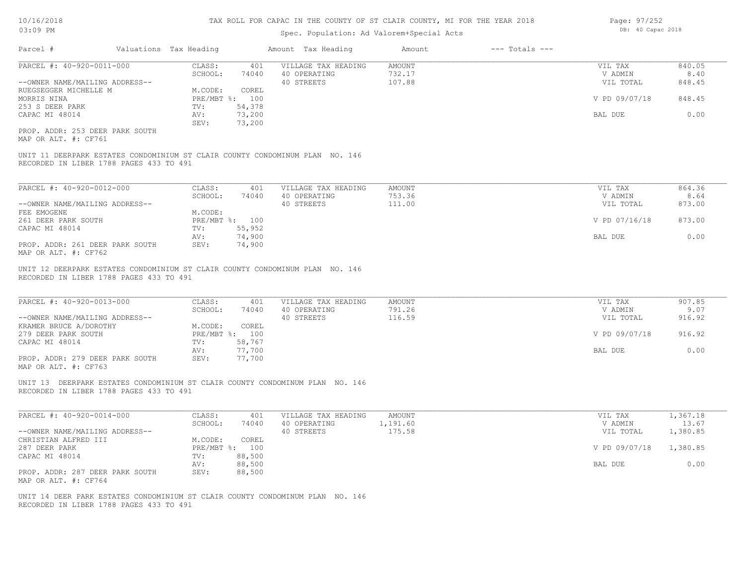## Spec. Population: Ad Valorem+Special Acts

| Parcel #                                                                                                                | Valuations Tax Heading |        | Amount Tax Heading  | Amount | $---$ Totals $---$ |               |        |
|-------------------------------------------------------------------------------------------------------------------------|------------------------|--------|---------------------|--------|--------------------|---------------|--------|
| PARCEL #: 40-920-0011-000                                                                                               | CLASS:                 | 401    | VILLAGE TAX HEADING | AMOUNT |                    | VIL TAX       | 840.05 |
|                                                                                                                         | SCHOOL:                | 74040  | 40 OPERATING        | 732.17 |                    | V ADMIN       | 8.40   |
| --OWNER NAME/MAILING ADDRESS--                                                                                          |                        |        | 40 STREETS          | 107.88 |                    | VIL TOTAL     | 848.45 |
| RUEGSEGGER MICHELLE M                                                                                                   | M.CODE:                | COREL  |                     |        |                    |               |        |
| MORRIS NINA                                                                                                             | $PRE/MBT$ %:           | 100    |                     |        |                    | V PD 09/07/18 | 848.45 |
| 253 S DEER PARK                                                                                                         | TV:                    | 54,378 |                     |        |                    |               |        |
| CAPAC MI 48014                                                                                                          | AV:                    | 73,200 |                     |        |                    | BAL DUE       | 0.00   |
|                                                                                                                         | SEV:                   | 73,200 |                     |        |                    |               |        |
| PROP. ADDR: 253 DEER PARK SOUTH                                                                                         |                        |        |                     |        |                    |               |        |
| MAP OR ALT. #: CF761                                                                                                    |                        |        |                     |        |                    |               |        |
| UNIT 11 DEERPARK ESTATES CONDOMINIUM ST CLAIR COUNTY CONDOMINUM PLAN NO. 146<br>RECORDED IN LIBER 1788 PAGES 433 TO 491 |                        |        |                     |        |                    |               |        |
|                                                                                                                         |                        |        |                     |        |                    |               |        |
| PARCEL #: 40-920-0012-000                                                                                               | CLASS:                 | 401    | VILLAGE TAX HEADING | AMOUNT |                    | VIL TAX       | 864.36 |
|                                                                                                                         | SCHOOL:                | 74040  | 40 OPERATING        | 753.36 |                    | V ADMIN       | 8.64   |
| --OWNER NAME/MAILING ADDRESS--                                                                                          |                        |        | 40 STREETS          | 111.00 |                    | VIL TOTAL     | 873.00 |
| FEE EMOGENE                                                                                                             | M.CODE:                |        |                     |        |                    |               |        |

| FEE EMOGENE                                             | M.CODE: |                |               |        |
|---------------------------------------------------------|---------|----------------|---------------|--------|
| 261 DEER PARK SOUTH                                     |         | PRE/MBT %: 100 | V PD 07/16/18 | 873.00 |
| CAPAC MI 48014                                          | TV:     | 55,952         |               |        |
|                                                         | AV:     | 74,900         | BAL DUE       | 0.00   |
| PROP. ADDR: 261 DEER PARK SOUTH<br>MAP OR ALT. #: CF762 | SEV:    | 74,900         |               |        |

RECORDED IN LIBER 1788 PAGES 433 TO 491 UNIT 12 DEERPARK ESTATES CONDOMINIUM ST CLAIR COUNTY CONDOMINUM PLAN NO. 146

| PARCEL #: 40-920-0013-000       | CLASS:  | 401            | VILLAGE TAX HEADING | AMOUNT | VIL TAX       | 907.85 |
|---------------------------------|---------|----------------|---------------------|--------|---------------|--------|
|                                 | SCHOOL: | 74040          | 40 OPERATING        | 791.26 | V ADMIN       | 9.07   |
| --OWNER NAME/MAILING ADDRESS--  |         |                | 40 STREETS          | 116.59 | VIL TOTAL     | 916.92 |
| KRAMER BRUCE A/DOROTHY          | M.CODE: | COREL          |                     |        |               |        |
| 279 DEER PARK SOUTH             |         | PRE/MBT %: 100 |                     |        | V PD 09/07/18 | 916.92 |
| CAPAC MI 48014                  | TV:     | 58,767         |                     |        |               |        |
|                                 | AV:     | 77,700         |                     |        | BAL DUE       | 0.00   |
| PROP. ADDR: 279 DEER PARK SOUTH | SEV:    | 77,700         |                     |        |               |        |
| MAP OR ALT. #: CF763            |         |                |                     |        |               |        |

RECORDED IN LIBER 1788 PAGES 433 TO 491 UNIT 13 DEERPARK ESTATES CONDOMINIUM ST CLAIR COUNTY CONDOMINUM PLAN NO. 146

| PARCEL #: 40-920-0014-000       | CLASS:       | 401    | VILLAGE TAX HEADING | AMOUNT   | VIL TAX       | 1,367.18 |
|---------------------------------|--------------|--------|---------------------|----------|---------------|----------|
|                                 | SCHOOL:      | 74040  | 40 OPERATING        | 1,191.60 | V ADMIN       | 13.67    |
| --OWNER NAME/MAILING ADDRESS--  |              |        | 40 STREETS          | 175.58   | VIL TOTAL     | 1,380.85 |
| CHRISTIAN ALFRED III            | M.CODE:      | COREL  |                     |          |               |          |
| 287 DEER PARK                   | $PRE/MBT$ %: | 100    |                     |          | V PD 09/07/18 | 1,380.85 |
| CAPAC MI 48014                  | TV:          | 88,500 |                     |          |               |          |
|                                 | AV:          | 88,500 |                     |          | BAL DUE       | 0.00     |
| PROP. ADDR: 287 DEER PARK SOUTH | SEV:         | 88,500 |                     |          |               |          |
| MAP OR ALT. #: CF764            |              |        |                     |          |               |          |

RECORDED IN LIBER 1788 PAGES 433 TO 491 UNIT 14 DEER PARK ESTATES CONDOMINIUM ST CLAIR COUNTY CONDOMINUM PLAN NO. 146 Page: 97/252 DB: 40 Capac 2018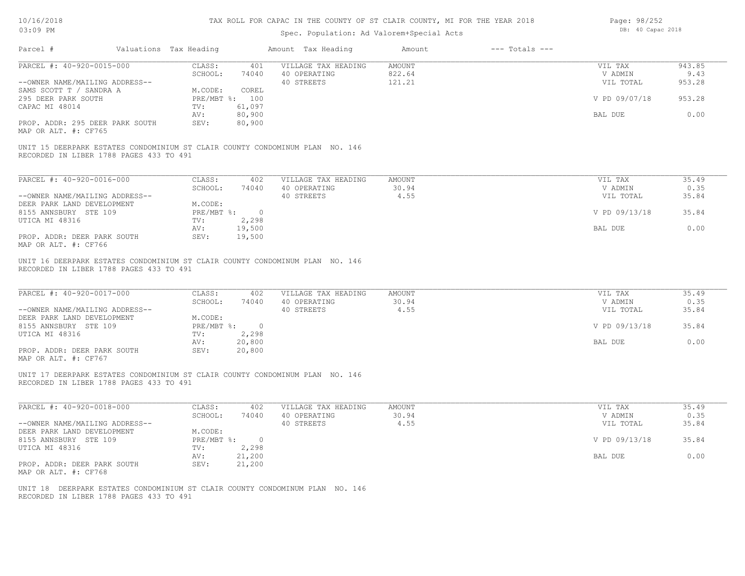| 10/16/2018  |  |
|-------------|--|
| $0.3:09$ PM |  |

| Page: 98/252 |                   |  |
|--------------|-------------------|--|
|              | DB: 40 Capac 2018 |  |

| Parcel #                                                                                                                             | Valuations Tax Heading |                                                            |                                 | Amount Tax Heading                                                           | Amount                            | $---$ Totals $---$ |                                                             |                                         |
|--------------------------------------------------------------------------------------------------------------------------------------|------------------------|------------------------------------------------------------|---------------------------------|------------------------------------------------------------------------------|-----------------------------------|--------------------|-------------------------------------------------------------|-----------------------------------------|
| PARCEL #: 40-920-0015-000<br>--OWNER NAME/MAILING ADDRESS--                                                                          |                        | CLASS:<br>SCHOOL:                                          | 401<br>74040                    | VILLAGE TAX HEADING<br>40 OPERATING<br>40 STREETS                            | <b>AMOUNT</b><br>822.64<br>121.21 |                    | VIL TAX<br>V ADMIN<br>VIL TOTAL                             | 943.85<br>9.43<br>953.28                |
| SAMS SCOTT T / SANDRA A<br>295 DEER PARK SOUTH                                                                                       |                        | M.CODE:<br>PRE/MBT %: 100                                  | COREL                           |                                                                              |                                   |                    | V PD 09/07/18                                               | 953.28                                  |
| CAPAC MI 48014                                                                                                                       |                        | TV:<br>AV:                                                 | 61,097<br>80,900                |                                                                              |                                   |                    | BAL DUE                                                     | 0.00                                    |
| PROP. ADDR: 295 DEER PARK SOUTH<br>MAP OR ALT. #: CF765                                                                              |                        | SEV:                                                       | 80,900                          |                                                                              |                                   |                    |                                                             |                                         |
| RECORDED IN LIBER 1788 PAGES 433 TO 491                                                                                              |                        |                                                            |                                 | UNIT 15 DEERPARK ESTATES CONDOMINIUM ST CLAIR COUNTY CONDOMINUM PLAN NO. 146 |                                   |                    |                                                             |                                         |
| PARCEL #: 40-920-0016-000                                                                                                            |                        | CLASS:                                                     | 402                             | VILLAGE TAX HEADING                                                          | <b>AMOUNT</b>                     |                    | VIL TAX                                                     | 35.49                                   |
| --OWNER NAME/MAILING ADDRESS--                                                                                                       |                        | SCHOOL:                                                    | 74040                           | 40 OPERATING<br>40 STREETS                                                   | 30.94<br>4.55                     |                    | V ADMIN<br>VIL TOTAL                                        | 0.35<br>35.84                           |
| DEER PARK LAND DEVELOPMENT<br>8155 ANNSBURY STE 109                                                                                  |                        | M.CODE:<br>PRE/MBT %: 0                                    |                                 |                                                                              |                                   |                    | V PD 09/13/18                                               | 35.84                                   |
| UTICA MI 48316                                                                                                                       |                        | TV:<br>AV:                                                 | 2,298<br>19,500                 |                                                                              |                                   |                    | BAL DUE                                                     | 0.00                                    |
| PROP. ADDR: DEER PARK SOUTH<br>MAP OR ALT. #: CF766                                                                                  |                        | SEV:                                                       | 19,500                          |                                                                              |                                   |                    |                                                             |                                         |
| PARCEL #: 40-920-0017-000<br>--OWNER NAME/MAILING ADDRESS--<br>DEER PARK LAND DEVELOPMENT<br>8155 ANNSBURY STE 109<br>UTICA MI 48316 |                        | CLASS:<br>SCHOOL:<br>M.CODE:<br>PRE/MBT %: 0<br>TV:<br>AV: | 402<br>74040<br>2,298<br>20,800 | VILLAGE TAX HEADING<br>40 OPERATING<br>40 STREETS                            | <b>AMOUNT</b><br>30.94<br>4.55    |                    | VIL TAX<br>V ADMIN<br>VIL TOTAL<br>V PD 09/13/18<br>BAL DUE | 35.49<br>0.35<br>35.84<br>35.84<br>0.00 |
| PROP. ADDR: DEER PARK SOUTH<br>MAP OR ALT. #: CF767                                                                                  |                        | SEV:                                                       | 20,800                          |                                                                              |                                   |                    |                                                             |                                         |
| RECORDED IN LIBER 1788 PAGES 433 TO 491                                                                                              |                        |                                                            |                                 | UNIT 17 DEERPARK ESTATES CONDOMINIUM ST CLAIR COUNTY CONDOMINUM PLAN NO. 146 |                                   |                    |                                                             |                                         |
| PARCEL #: 40-920-0018-000                                                                                                            |                        | CLASS:<br>SCHOOL:                                          | 402<br>74040                    | VILLAGE TAX HEADING<br>40 OPERATING                                          | <b>AMOUNT</b><br>30.94            |                    | VIL TAX<br>V ADMIN                                          | 35.49<br>0.35                           |
| --OWNER NAME/MAILING ADDRESS--                                                                                                       |                        |                                                            |                                 | 40 STREETS                                                                   | 4.55                              |                    | VIL TOTAL                                                   | 35.84                                   |
| DEER PARK LAND DEVELOPMENT<br>8155 ANNSBURY STE 109                                                                                  |                        | M.CODE:<br>PRE/MBT %: 0                                    |                                 |                                                                              |                                   |                    | V PD 09/13/18                                               | 35.84                                   |
| UTICA MI 48316                                                                                                                       |                        | TV:<br>AV:                                                 | 2,298<br>21,200                 |                                                                              |                                   |                    | BAL DUE                                                     | 0.00                                    |
| PROP. ADDR: DEER PARK SOUTH<br>MAP OR ALT. #: CF768                                                                                  |                        | SEV:                                                       | 21,200                          |                                                                              |                                   |                    |                                                             |                                         |
| RECORDED IN LIBER 1788 PAGES 433 TO 491                                                                                              |                        |                                                            |                                 | UNIT 18 DEERPARK ESTATES CONDOMINIUM ST CLAIR COUNTY CONDOMINUM PLAN NO. 146 |                                   |                    |                                                             |                                         |
|                                                                                                                                      |                        |                                                            |                                 |                                                                              |                                   |                    |                                                             |                                         |
|                                                                                                                                      |                        |                                                            |                                 |                                                                              |                                   |                    |                                                             |                                         |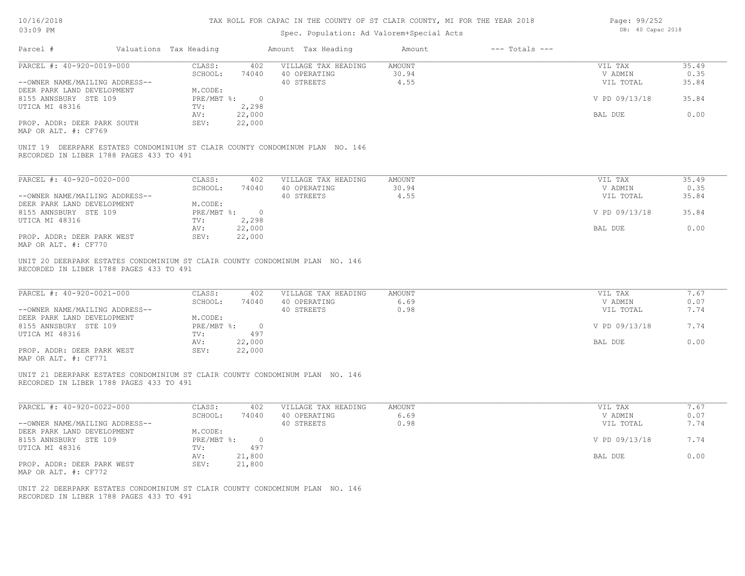| Page: 99/252 |                   |  |
|--------------|-------------------|--|
|              | DB: 40 Capac 2018 |  |

| Parcel #                                                                                                                | Valuations Tax Heading                                | Amount Tax Heading                                | Amount                  | $---$ Totals $---$ |                                 |                        |
|-------------------------------------------------------------------------------------------------------------------------|-------------------------------------------------------|---------------------------------------------------|-------------------------|--------------------|---------------------------------|------------------------|
| PARCEL #: 40-920-0019-000<br>--OWNER NAME/MAILING ADDRESS--                                                             | CLASS:<br>402<br>SCHOOL:<br>74040                     | VILLAGE TAX HEADING<br>40 OPERATING<br>40 STREETS | AMOUNT<br>30.94<br>4.55 |                    | VIL TAX<br>V ADMIN<br>VIL TOTAL | 35.49<br>0.35<br>35.84 |
| DEER PARK LAND DEVELOPMENT<br>8155 ANNSBURY STE 109                                                                     | M.CODE:<br>PRE/MBT %: 0                               |                                                   |                         |                    | V PD 09/13/18                   | 35.84                  |
| UTICA MI 48316<br>PROP. ADDR: DEER PARK SOUTH                                                                           | TV:<br>2,298<br>AV:<br>22,000<br>22,000<br>SEV:       |                                                   |                         |                    | BAL DUE                         | 0.00                   |
| MAP OR ALT. #: CF769                                                                                                    |                                                       |                                                   |                         |                    |                                 |                        |
| UNIT 19 DEERPARK ESTATES CONDOMINIUM ST CLAIR COUNTY CONDOMINUM PLAN NO. 146<br>RECORDED IN LIBER 1788 PAGES 433 TO 491 |                                                       |                                                   |                         |                    |                                 |                        |
| PARCEL #: 40-920-0020-000                                                                                               | CLASS:<br>402                                         | VILLAGE TAX HEADING                               | AMOUNT                  |                    | VIL TAX                         | 35.49                  |
| --OWNER NAME/MAILING ADDRESS--                                                                                          | SCHOOL:<br>74040                                      | 40 OPERATING<br>40 STREETS                        | 30.94<br>4.55           |                    | V ADMIN<br>VIL TOTAL            | 0.35<br>35.84          |
| DEER PARK LAND DEVELOPMENT<br>8155 ANNSBURY STE 109<br>UTICA MI 48316                                                   | M.CODE:<br>PRE/MBT %: 0<br>TV:                        |                                                   |                         |                    | V PD 09/13/18                   | 35.84                  |
| PROP. ADDR: DEER PARK WEST                                                                                              | 2,298<br>AV:<br>22,000<br>SEV:<br>22,000              |                                                   |                         |                    | BAL DUE                         | 0.00                   |
| MAP OR ALT. #: CF770                                                                                                    |                                                       |                                                   |                         |                    |                                 |                        |
| UNIT 20 DEERPARK ESTATES CONDOMINIUM ST CLAIR COUNTY CONDOMINUM PLAN NO. 146<br>RECORDED IN LIBER 1788 PAGES 433 TO 491 |                                                       |                                                   |                         |                    |                                 |                        |
| PARCEL #: 40-920-0021-000                                                                                               | CLASS:<br>402<br>SCHOOL:<br>74040                     | VILLAGE TAX HEADING<br>40 OPERATING               | <b>AMOUNT</b><br>6.69   |                    | VIL TAX<br>V ADMIN              | 7.67<br>0.07           |
| --OWNER NAME/MAILING ADDRESS--<br>DEER PARK LAND DEVELOPMENT                                                            | M.CODE:                                               | 40 STREETS                                        | 0.98                    |                    | VIL TOTAL                       | 7.74                   |
| 8155 ANNSBURY STE 109<br>UTICA MI 48316                                                                                 | PRE/MBT %:<br>$\overline{0}$<br>497<br>TV:            |                                                   |                         |                    | V PD 09/13/18                   | 7.74                   |
| PROP. ADDR: DEER PARK WEST<br>MAP OR ALT. #: CF771                                                                      | 22,000<br>AV:<br>22,000<br>SEV:                       |                                                   |                         |                    | BAL DUE                         | 0.00                   |
| UNIT 21 DEERPARK ESTATES CONDOMINIUM ST CLAIR COUNTY CONDOMINUM PLAN NO. 146<br>RECORDED IN LIBER 1788 PAGES 433 TO 491 |                                                       |                                                   |                         |                    |                                 |                        |
| PARCEL #: 40-920-0022-000                                                                                               | CLASS:<br>402                                         | VILLAGE TAX HEADING                               | <b>AMOUNT</b><br>6.69   |                    | VIL TAX                         | 7.67<br>0.07           |
| --OWNER NAME/MAILING ADDRESS--                                                                                          | SCHOOL:<br>74040                                      | 40 OPERATING<br>40 STREETS                        | 0.98                    |                    | V ADMIN<br>VIL TOTAL            | 7.74                   |
| DEER PARK LAND DEVELOPMENT<br>8155 ANNSBURY STE 109<br>UTICA MI 48316                                                   | M.CODE:<br>PRE/MBT %:<br>$\overline{0}$<br>497<br>TV: |                                                   |                         |                    | V PD 09/13/18                   | 7.74                   |
| PROP. ADDR: DEER PARK WEST                                                                                              | 21,800<br>AV:<br>SEV:<br>21,800                       |                                                   |                         |                    | BAL DUE                         | 0.00                   |
| MAP OR ALT. #: CF772                                                                                                    |                                                       |                                                   |                         |                    |                                 |                        |
| UNIT 22 DEERPARK ESTATES CONDOMINIUM ST CLAIR COUNTY CONDOMINUM PLAN NO. 146<br>RECORDED IN LIBER 1788 PAGES 433 TO 491 |                                                       |                                                   |                         |                    |                                 |                        |
|                                                                                                                         |                                                       |                                                   |                         |                    |                                 |                        |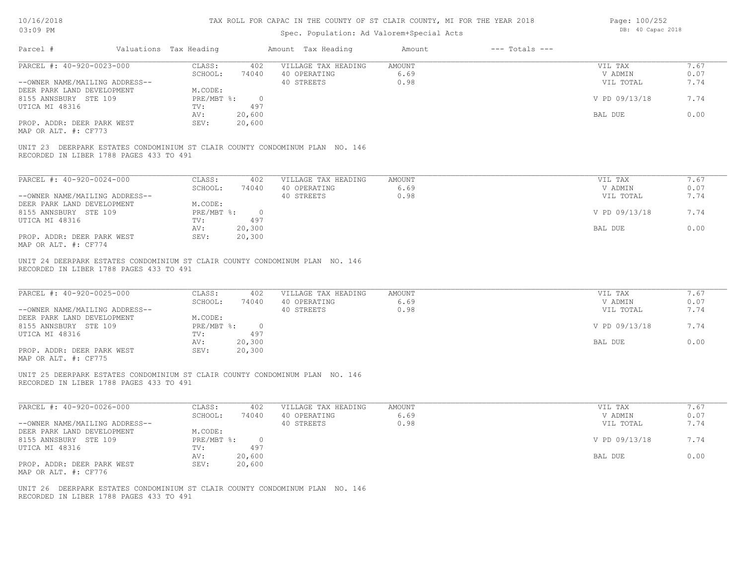| Page: 100/252 |                   |  |
|---------------|-------------------|--|
|               | DB: 40 Capac 2018 |  |

| Parcel #                                                                                                                | Valuations Tax Heading       |                     | Amount Tax Heading                                                           | Amount                        | $---$ Totals $---$ |                                 |                      |
|-------------------------------------------------------------------------------------------------------------------------|------------------------------|---------------------|------------------------------------------------------------------------------|-------------------------------|--------------------|---------------------------------|----------------------|
| PARCEL #: 40-920-0023-000<br>--OWNER NAME/MAILING ADDRESS--<br>DEER PARK LAND DEVELOPMENT                               | CLASS:<br>SCHOOL:<br>M.CODE: | 402<br>74040        | VILLAGE TAX HEADING<br>40 OPERATING<br>40 STREETS                            | <b>AMOUNT</b><br>6.69<br>0.98 |                    | VIL TAX<br>V ADMIN<br>VIL TOTAL | 7.67<br>0.07<br>7.74 |
| 8155 ANNSBURY STE 109<br>UTICA MI 48316                                                                                 | TV:                          | PRE/MBT %: 0<br>497 |                                                                              |                               |                    | V PD 09/13/18                   | 7.74                 |
| PROP. ADDR: DEER PARK WEST<br>MAP OR ALT. #: CF773                                                                      | AV:<br>SEV:                  | 20,600<br>20,600    |                                                                              |                               |                    | BAL DUE                         | 0.00                 |
| RECORDED IN LIBER 1788 PAGES 433 TO 491                                                                                 |                              |                     | UNIT 23 DEERPARK ESTATES CONDOMINIUM ST CLAIR COUNTY CONDOMINUM PLAN NO. 146 |                               |                    |                                 |                      |
| PARCEL #: 40-920-0024-000                                                                                               | CLASS:                       | 402                 | VILLAGE TAX HEADING                                                          | <b>AMOUNT</b>                 |                    | VIL TAX                         | 7.67                 |
| --OWNER NAME/MAILING ADDRESS--                                                                                          | SCHOOL:                      | 74040               | 40 OPERATING<br>40 STREETS                                                   | 6.69<br>0.98                  |                    | V ADMIN<br>VIL TOTAL            | 0.07<br>7.74         |
| DEER PARK LAND DEVELOPMENT<br>8155 ANNSBURY STE 109                                                                     | M.CODE:<br>PRE/MBT %:        | $\overline{0}$      |                                                                              |                               |                    | V PD 09/13/18                   | 7.74                 |
| UTICA MI 48316                                                                                                          | TV:<br>AV:                   | 497<br>20,300       |                                                                              |                               |                    | BAL DUE                         | 0.00                 |
| PROP. ADDR: DEER PARK WEST<br>MAP OR ALT. #: CF774                                                                      | SEV:                         | 20,300              |                                                                              |                               |                    |                                 |                      |
| UNIT 24 DEERPARK ESTATES CONDOMINIUM ST CLAIR COUNTY CONDOMINUM PLAN NO. 146<br>RECORDED IN LIBER 1788 PAGES 433 TO 491 |                              |                     |                                                                              |                               |                    |                                 |                      |
| PARCEL #: 40-920-0025-000                                                                                               | CLASS:<br>SCHOOL:            | 402<br>74040        | VILLAGE TAX HEADING<br>40 OPERATING                                          | AMOUNT<br>6.69                |                    | VIL TAX<br>V ADMIN              | 7.67<br>0.07         |
| --OWNER NAME/MAILING ADDRESS--<br>DEER PARK LAND DEVELOPMENT                                                            | M.CODE:                      |                     | 40 STREETS                                                                   | 0.98                          |                    | VIL TOTAL                       | 7.74                 |
| 8155 ANNSBURY STE 109                                                                                                   | $PRE/MBT$ %:                 | $\overline{0}$      |                                                                              |                               |                    | V PD 09/13/18                   | 7.74                 |
| UTICA MI 48316                                                                                                          | TV:<br>AV:                   | 497<br>20,300       |                                                                              |                               |                    | BAL DUE                         | 0.00                 |
| PROP. ADDR: DEER PARK WEST<br>MAP OR ALT. #: CF775                                                                      | SEV:                         | 20,300              |                                                                              |                               |                    |                                 |                      |
| UNIT 25 DEERPARK ESTATES CONDOMINIUM ST CLAIR COUNTY CONDOMINUM PLAN NO. 146<br>RECORDED IN LIBER 1788 PAGES 433 TO 491 |                              |                     |                                                                              |                               |                    |                                 |                      |
| PARCEL #: 40-920-0026-000                                                                                               | CLASS:                       | 402                 | VILLAGE TAX HEADING                                                          | <b>AMOUNT</b>                 |                    | VIL TAX                         | 7.67                 |
| --OWNER NAME/MAILING ADDRESS--                                                                                          | SCHOOL:                      | 74040               | 40 OPERATING<br>40 STREETS                                                   | 6.69<br>0.98                  |                    | V ADMIN<br>VIL TOTAL            | 0.07<br>7.74         |
| DEER PARK LAND DEVELOPMENT<br>8155 ANNSBURY STE 109                                                                     | M.CODE:                      | PRE/MBT %: 0        |                                                                              |                               |                    | V PD 09/13/18                   | 7.74                 |
| UTICA MI 48316                                                                                                          | TV:<br>AV:                   | 497<br>20,600       |                                                                              |                               |                    | BAL DUE                         | 0.00                 |
| PROP. ADDR: DEER PARK WEST<br>MAP OR ALT. #: CF776                                                                      | SEV:                         | 20,600              |                                                                              |                               |                    |                                 |                      |
| RECORDED IN LIBER 1788 PAGES 433 TO 491                                                                                 |                              |                     | UNIT 26 DEERPARK ESTATES CONDOMINIUM ST CLAIR COUNTY CONDOMINUM PLAN NO. 146 |                               |                    |                                 |                      |
|                                                                                                                         |                              |                     |                                                                              |                               |                    |                                 |                      |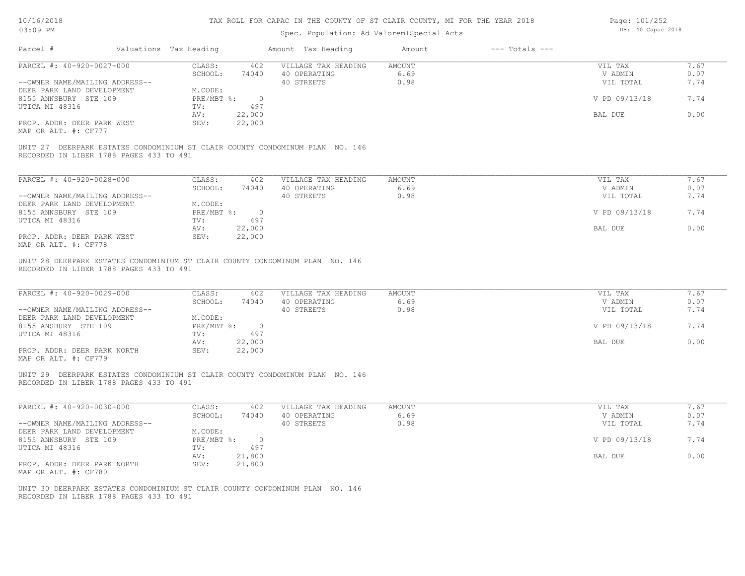# Spec. Population: Ad Valorem+Special Acts

Page: 101/252 DB: 40 Capac 2018

| PARCEL #: 40-920-0027-000<br>CLASS:<br>402<br>VILLAGE TAX HEADING<br>AMOUNT<br>SCHOOL:<br>6.69<br>74040<br>40 OPERATING<br>40 STREETS<br>0.98<br>--OWNER NAME/MAILING ADDRESS--<br>M.CODE:<br>DEER PARK LAND DEVELOPMENT<br>PRE/MBT %: 0<br>8155 ANNSBURY STE 109<br>497<br>UTICA MI 48316<br>TV:<br>22,000<br>AV:<br>PROP. ADDR: DEER PARK WEST<br>SEV:<br>22,000<br>MAP OR ALT. #: CF777<br>UNIT 27 DEERPARK ESTATES CONDOMINIUM ST CLAIR COUNTY CONDOMINUM PLAN NO. 146<br>RECORDED IN LIBER 1788 PAGES 433 TO 491<br>PARCEL #: 40-920-0028-000<br>CLASS:<br>402<br>VILLAGE TAX HEADING<br><b>AMOUNT</b><br>6.69<br>SCHOOL:<br>74040<br>40 OPERATING<br>40 STREETS<br>0.98<br>--OWNER NAME/MAILING ADDRESS--<br>M.CODE:<br>DEER PARK LAND DEVELOPMENT<br>PRE/MBT %: 0<br>8155 ANNSBURY STE 109<br>UTICA MI 48316<br>497<br>TV:<br>AV:<br>22,000<br>22,000<br>PROP. ADDR: DEER PARK WEST<br>SEV:<br>MAP OR ALT. #: CF778<br>UNIT 28 DEERPARK ESTATES CONDOMINIUM ST CLAIR COUNTY CONDOMINUM PLAN NO. 146<br>RECORDED IN LIBER 1788 PAGES 433 TO 491<br>PARCEL #: 40-920-0029-000<br>CLASS:<br>VILLAGE TAX HEADING<br><b>AMOUNT</b><br>402<br>SCHOOL:<br>40 OPERATING<br>6.69<br>74040<br>0.98<br>--OWNER NAME/MAILING ADDRESS--<br>40 STREETS<br>M.CODE:<br>DEER PARK LAND DEVELOPMENT<br>8155 ANSBURY STE 109<br>PRE/MBT %: 0<br>497<br>UTICA MI 48316<br>TV:<br>AV:<br>22,000<br>22,000<br>PROP. ADDR: DEER PARK NORTH<br>SEV:<br>MAP OR ALT. #: CF779<br>UNIT 29 DEERPARK ESTATES CONDOMINIUM ST CLAIR COUNTY CONDOMINUM PLAN NO. 146<br>RECORDED IN LIBER 1788 PAGES 433 TO 491<br>PARCEL #: 40-920-0030-000<br>CLASS:<br>402<br>VILLAGE TAX HEADING<br><b>AMOUNT</b><br>6.69<br>SCHOOL:<br>74040<br>40 OPERATING<br>40 STREETS<br>0.98<br>--OWNER NAME/MAILING ADDRESS-- |                                 |                      |
|---------------------------------------------------------------------------------------------------------------------------------------------------------------------------------------------------------------------------------------------------------------------------------------------------------------------------------------------------------------------------------------------------------------------------------------------------------------------------------------------------------------------------------------------------------------------------------------------------------------------------------------------------------------------------------------------------------------------------------------------------------------------------------------------------------------------------------------------------------------------------------------------------------------------------------------------------------------------------------------------------------------------------------------------------------------------------------------------------------------------------------------------------------------------------------------------------------------------------------------------------------------------------------------------------------------------------------------------------------------------------------------------------------------------------------------------------------------------------------------------------------------------------------------------------------------------------------------------------------------------------------------------------------------------------------------------------------------------------------------------------------------------------------|---------------------------------|----------------------|
|                                                                                                                                                                                                                                                                                                                                                                                                                                                                                                                                                                                                                                                                                                                                                                                                                                                                                                                                                                                                                                                                                                                                                                                                                                                                                                                                                                                                                                                                                                                                                                                                                                                                                                                                                                                 | VIL TAX<br>V ADMIN              | 7.67<br>0.07         |
|                                                                                                                                                                                                                                                                                                                                                                                                                                                                                                                                                                                                                                                                                                                                                                                                                                                                                                                                                                                                                                                                                                                                                                                                                                                                                                                                                                                                                                                                                                                                                                                                                                                                                                                                                                                 | VIL TOTAL                       | 7.74                 |
|                                                                                                                                                                                                                                                                                                                                                                                                                                                                                                                                                                                                                                                                                                                                                                                                                                                                                                                                                                                                                                                                                                                                                                                                                                                                                                                                                                                                                                                                                                                                                                                                                                                                                                                                                                                 | V PD 09/13/18                   | 7.74                 |
|                                                                                                                                                                                                                                                                                                                                                                                                                                                                                                                                                                                                                                                                                                                                                                                                                                                                                                                                                                                                                                                                                                                                                                                                                                                                                                                                                                                                                                                                                                                                                                                                                                                                                                                                                                                 | BAL DUE                         | 0.00                 |
|                                                                                                                                                                                                                                                                                                                                                                                                                                                                                                                                                                                                                                                                                                                                                                                                                                                                                                                                                                                                                                                                                                                                                                                                                                                                                                                                                                                                                                                                                                                                                                                                                                                                                                                                                                                 |                                 |                      |
|                                                                                                                                                                                                                                                                                                                                                                                                                                                                                                                                                                                                                                                                                                                                                                                                                                                                                                                                                                                                                                                                                                                                                                                                                                                                                                                                                                                                                                                                                                                                                                                                                                                                                                                                                                                 |                                 |                      |
|                                                                                                                                                                                                                                                                                                                                                                                                                                                                                                                                                                                                                                                                                                                                                                                                                                                                                                                                                                                                                                                                                                                                                                                                                                                                                                                                                                                                                                                                                                                                                                                                                                                                                                                                                                                 | VIL TAX                         | 7.67                 |
|                                                                                                                                                                                                                                                                                                                                                                                                                                                                                                                                                                                                                                                                                                                                                                                                                                                                                                                                                                                                                                                                                                                                                                                                                                                                                                                                                                                                                                                                                                                                                                                                                                                                                                                                                                                 | V ADMIN                         | 0.07                 |
|                                                                                                                                                                                                                                                                                                                                                                                                                                                                                                                                                                                                                                                                                                                                                                                                                                                                                                                                                                                                                                                                                                                                                                                                                                                                                                                                                                                                                                                                                                                                                                                                                                                                                                                                                                                 | VIL TOTAL                       | 7.74                 |
|                                                                                                                                                                                                                                                                                                                                                                                                                                                                                                                                                                                                                                                                                                                                                                                                                                                                                                                                                                                                                                                                                                                                                                                                                                                                                                                                                                                                                                                                                                                                                                                                                                                                                                                                                                                 | V PD 09/13/18                   | 7.74                 |
|                                                                                                                                                                                                                                                                                                                                                                                                                                                                                                                                                                                                                                                                                                                                                                                                                                                                                                                                                                                                                                                                                                                                                                                                                                                                                                                                                                                                                                                                                                                                                                                                                                                                                                                                                                                 |                                 |                      |
|                                                                                                                                                                                                                                                                                                                                                                                                                                                                                                                                                                                                                                                                                                                                                                                                                                                                                                                                                                                                                                                                                                                                                                                                                                                                                                                                                                                                                                                                                                                                                                                                                                                                                                                                                                                 | BAL DUE                         | 0.00                 |
|                                                                                                                                                                                                                                                                                                                                                                                                                                                                                                                                                                                                                                                                                                                                                                                                                                                                                                                                                                                                                                                                                                                                                                                                                                                                                                                                                                                                                                                                                                                                                                                                                                                                                                                                                                                 | VIL TAX<br>V ADMIN<br>VIL TOTAL | 7.67<br>0.07<br>7.74 |
|                                                                                                                                                                                                                                                                                                                                                                                                                                                                                                                                                                                                                                                                                                                                                                                                                                                                                                                                                                                                                                                                                                                                                                                                                                                                                                                                                                                                                                                                                                                                                                                                                                                                                                                                                                                 | V PD 09/13/18                   | 7.74                 |
|                                                                                                                                                                                                                                                                                                                                                                                                                                                                                                                                                                                                                                                                                                                                                                                                                                                                                                                                                                                                                                                                                                                                                                                                                                                                                                                                                                                                                                                                                                                                                                                                                                                                                                                                                                                 | BAL DUE                         | 0.00                 |
|                                                                                                                                                                                                                                                                                                                                                                                                                                                                                                                                                                                                                                                                                                                                                                                                                                                                                                                                                                                                                                                                                                                                                                                                                                                                                                                                                                                                                                                                                                                                                                                                                                                                                                                                                                                 |                                 |                      |
|                                                                                                                                                                                                                                                                                                                                                                                                                                                                                                                                                                                                                                                                                                                                                                                                                                                                                                                                                                                                                                                                                                                                                                                                                                                                                                                                                                                                                                                                                                                                                                                                                                                                                                                                                                                 |                                 |                      |
|                                                                                                                                                                                                                                                                                                                                                                                                                                                                                                                                                                                                                                                                                                                                                                                                                                                                                                                                                                                                                                                                                                                                                                                                                                                                                                                                                                                                                                                                                                                                                                                                                                                                                                                                                                                 | VIL TAX                         | 7.67                 |
|                                                                                                                                                                                                                                                                                                                                                                                                                                                                                                                                                                                                                                                                                                                                                                                                                                                                                                                                                                                                                                                                                                                                                                                                                                                                                                                                                                                                                                                                                                                                                                                                                                                                                                                                                                                 | V ADMIN<br>VIL TOTAL            | 0.07<br>7.74         |
| DEER PARK LAND DEVELOPMENT<br>M.CODE:                                                                                                                                                                                                                                                                                                                                                                                                                                                                                                                                                                                                                                                                                                                                                                                                                                                                                                                                                                                                                                                                                                                                                                                                                                                                                                                                                                                                                                                                                                                                                                                                                                                                                                                                           |                                 |                      |
| 8155 ANNSBURY STE 109<br>$PRE/MBT$ $\div$ 0<br>497<br>UTICA MI 48316<br>TV:                                                                                                                                                                                                                                                                                                                                                                                                                                                                                                                                                                                                                                                                                                                                                                                                                                                                                                                                                                                                                                                                                                                                                                                                                                                                                                                                                                                                                                                                                                                                                                                                                                                                                                     | V PD 09/13/18                   | 7.74                 |
| AV:<br>21,800                                                                                                                                                                                                                                                                                                                                                                                                                                                                                                                                                                                                                                                                                                                                                                                                                                                                                                                                                                                                                                                                                                                                                                                                                                                                                                                                                                                                                                                                                                                                                                                                                                                                                                                                                                   | BAL DUE                         | 0.00                 |
| SEV:<br>21,800<br>PROP. ADDR: DEER PARK NORTH<br>MAP OR ALT. #: CF780                                                                                                                                                                                                                                                                                                                                                                                                                                                                                                                                                                                                                                                                                                                                                                                                                                                                                                                                                                                                                                                                                                                                                                                                                                                                                                                                                                                                                                                                                                                                                                                                                                                                                                           |                                 |                      |
| UNIT 30 DEERPARK ESTATES CONDOMINIUM ST CLAIR COUNTY CONDOMINUM PLAN NO. 146<br>RECORDED IN LIBER 1788 PAGES 433 TO 491                                                                                                                                                                                                                                                                                                                                                                                                                                                                                                                                                                                                                                                                                                                                                                                                                                                                                                                                                                                                                                                                                                                                                                                                                                                                                                                                                                                                                                                                                                                                                                                                                                                         |                                 |                      |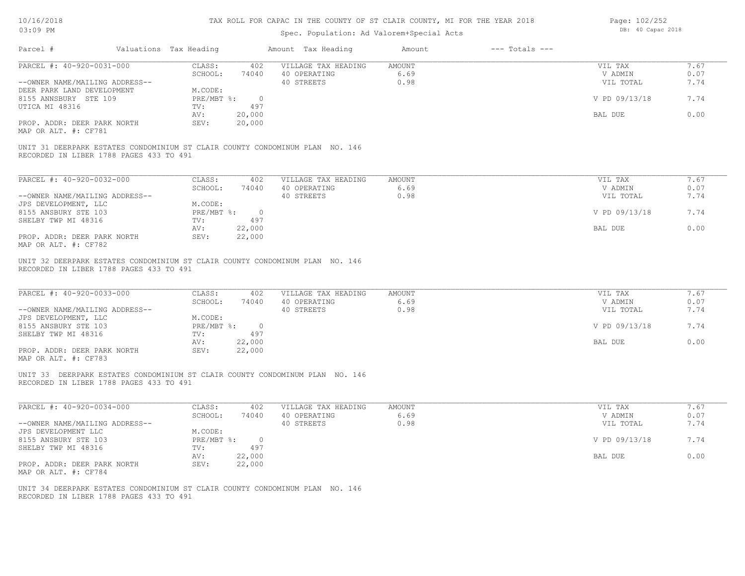| Page: 102/252 |                   |  |
|---------------|-------------------|--|
|               | DB: 40 Capac 2018 |  |

| Parcel #                                                             | Valuations Tax Heading |                         |                       | Amount Tax Heading                                                                                  | Amount                        | $---$ Totals $---$ |                                 |                      |
|----------------------------------------------------------------------|------------------------|-------------------------|-----------------------|-----------------------------------------------------------------------------------------------------|-------------------------------|--------------------|---------------------------------|----------------------|
| PARCEL #: 40-920-0031-000<br>--OWNER NAME/MAILING ADDRESS--          |                        | CLASS:<br>SCHOOL:       | 402<br>74040          | VILLAGE TAX HEADING<br>40 OPERATING<br>40 STREETS                                                   | <b>AMOUNT</b><br>6.69<br>0.98 |                    | VIL TAX<br>V ADMIN<br>VIL TOTAL | 7.67<br>0.07<br>7.74 |
| DEER PARK LAND DEVELOPMENT<br>8155 ANNSBURY STE 109                  |                        | M.CODE:<br>PRE/MBT %:   | $\overline{0}$        |                                                                                                     |                               |                    | V PD 09/13/18                   | 7.74                 |
| UTICA MI 48316                                                       |                        | TV:<br>AV:              | 497<br>20,000         |                                                                                                     |                               |                    | BAL DUE                         | 0.00                 |
| PROP. ADDR: DEER PARK NORTH<br>MAP OR ALT. #: CF781                  |                        | SEV:                    | 20,000                |                                                                                                     |                               |                    |                                 |                      |
| RECORDED IN LIBER 1788 PAGES 433 TO 491                              |                        |                         |                       | UNIT 31 DEERPARK ESTATES CONDOMINIUM ST CLAIR COUNTY CONDOMINUM PLAN NO. 146                        |                               |                    |                                 |                      |
| PARCEL #: 40-920-0032-000                                            |                        | CLASS:                  | 402                   | VILLAGE TAX HEADING                                                                                 | <b>AMOUNT</b>                 |                    | VIL TAX                         | 7.67                 |
| --OWNER NAME/MAILING ADDRESS--                                       |                        | SCHOOL:                 | 74040                 | 40 OPERATING<br>40 STREETS                                                                          | 6.69<br>0.98                  |                    | V ADMIN<br>VIL TOTAL            | 0.07<br>7.74         |
| JPS DEVELOPMENT, LLC<br>8155 ANSBURY STE 103                         |                        | M.CODE:<br>PRE/MBT %:   | $\overline{0}$        |                                                                                                     |                               |                    | V PD 09/13/18                   | 7.74                 |
| SHELBY TWP MI 48316                                                  |                        | TV:<br>AV:              | 497<br>22,000         |                                                                                                     |                               |                    | BAL DUE                         | 0.00                 |
| PROP. ADDR: DEER PARK NORTH<br>MAP OR ALT. #: CF782                  |                        | SEV:                    | 22,000                |                                                                                                     |                               |                    |                                 |                      |
| RECORDED IN LIBER 1788 PAGES 433 TO 491<br>PARCEL #: 40-920-0033-000 |                        | CLASS:                  | 402                   | UNIT 32 DEERPARK ESTATES CONDOMINIUM ST CLAIR COUNTY CONDOMINUM PLAN NO. 146<br>VILLAGE TAX HEADING | <b>AMOUNT</b>                 |                    | VIL TAX                         | 7.67                 |
| --OWNER NAME/MAILING ADDRESS--<br>JPS DEVELOPMENT, LLC               |                        | SCHOOL:<br>M.CODE:      | 74040                 | 40 OPERATING<br>40 STREETS                                                                          | 6.69<br>0.98                  |                    | V ADMIN<br>VIL TOTAL            | 0.07<br>7.74         |
| 8155 ANSBURY STE 103<br>SHELBY TWP MI 48316                          |                        | $PRE/MBT$ %:<br>TV:     | $\overline{0}$<br>497 |                                                                                                     |                               |                    | V PD 09/13/18                   | 7.74                 |
| PROP. ADDR: DEER PARK NORTH                                          |                        | AV:<br>SEV:             | 22,000<br>22,000      |                                                                                                     |                               |                    | BAL DUE                         | 0.00                 |
| MAP OR ALT. #: CF783                                                 |                        |                         |                       |                                                                                                     |                               |                    |                                 |                      |
| RECORDED IN LIBER 1788 PAGES 433 TO 491                              |                        |                         |                       | UNIT 33 DEERPARK ESTATES CONDOMINIUM ST CLAIR COUNTY CONDOMINUM PLAN NO. 146                        |                               |                    |                                 |                      |
| PARCEL #: 40-920-0034-000                                            |                        | CLASS:<br>SCHOOL:       | 402<br>74040          | VILLAGE TAX HEADING<br>40 OPERATING                                                                 | <b>AMOUNT</b><br>6.69         |                    | VIL TAX<br>V ADMIN              | 7.67<br>0.07         |
| --OWNER NAME/MAILING ADDRESS--                                       |                        |                         |                       | 40 STREETS                                                                                          | 0.98                          |                    | VIL TOTAL                       | 7.74                 |
| JPS DEVELOPMENT LLC<br>8155 ANSBURY STE 103<br>SHELBY TWP MI 48316   |                        | M.CODE:<br>$PRE/MBT$ %: | $\overline{0}$<br>497 |                                                                                                     |                               |                    | V PD 09/13/18                   | 7.74                 |
|                                                                      |                        | TV:<br>AV:              | 22,000                |                                                                                                     |                               |                    | BAL DUE                         | 0.00                 |
| PROP. ADDR: DEER PARK NORTH<br>MAP OR ALT. #: CF784                  |                        | SEV:                    | 22,000                |                                                                                                     |                               |                    |                                 |                      |
| RECORDED IN LIBER 1788 PAGES 433 TO 491                              |                        |                         |                       | UNIT 34 DEERPARK ESTATES CONDOMINIUM ST CLAIR COUNTY CONDOMINUM PLAN NO. 146                        |                               |                    |                                 |                      |
|                                                                      |                        |                         |                       |                                                                                                     |                               |                    |                                 |                      |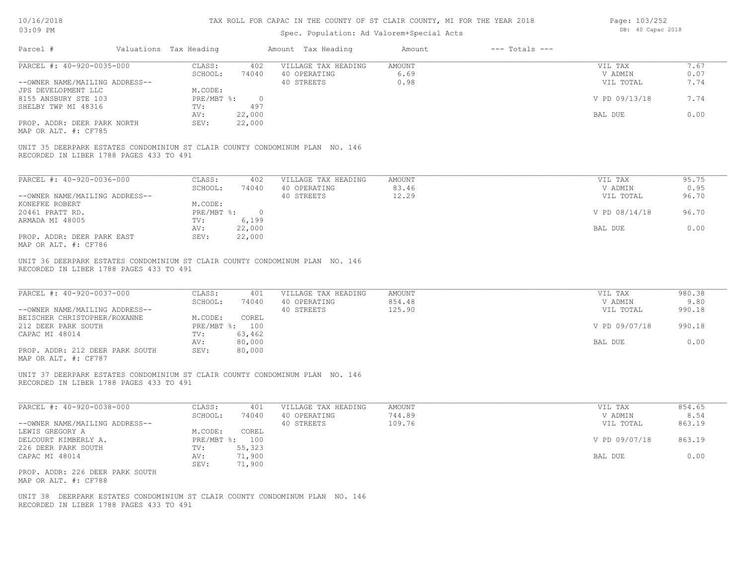# Spec. Population: Ad Valorem+Special Acts

| Parcel #                                                                                                                | Valuations Tax Heading |                            | Amount Tax Heading                                                           | Amount                            | $---$ Totals $---$ |                                 |                          |
|-------------------------------------------------------------------------------------------------------------------------|------------------------|----------------------------|------------------------------------------------------------------------------|-----------------------------------|--------------------|---------------------------------|--------------------------|
| PARCEL #: 40-920-0035-000                                                                                               | CLASS:<br>SCHOOL:      | 402<br>74040               | VILLAGE TAX HEADING<br>40 OPERATING                                          | <b>AMOUNT</b><br>6.69             |                    | VIL TAX<br>V ADMIN              | 7.67<br>0.07             |
| --OWNER NAME/MAILING ADDRESS--<br>JPS DEVELOPMENT LLC                                                                   | M.CODE:                |                            | 40 STREETS                                                                   | 0.98                              |                    | VIL TOTAL                       | 7.74                     |
| 8155 ANSBURY STE 103                                                                                                    | $PRE/MBT$ $\div$       | $\overline{0}$             |                                                                              |                                   |                    | V PD 09/13/18                   | 7.74                     |
| SHELBY TWP MI 48316                                                                                                     | TV:<br>AV:             | 497<br>22,000              |                                                                              |                                   |                    | BAL DUE                         | 0.00                     |
| PROP. ADDR: DEER PARK NORTH<br>MAP OR ALT. #: CF785                                                                     | SEV:                   | 22,000                     |                                                                              |                                   |                    |                                 |                          |
| UNIT 35 DEERPARK ESTATES CONDOMINIUM ST CLAIR COUNTY CONDOMINUM PLAN NO. 146<br>RECORDED IN LIBER 1788 PAGES 433 TO 491 |                        |                            |                                                                              |                                   |                    |                                 |                          |
| PARCEL #: 40-920-0036-000                                                                                               | CLASS:                 | 402                        | VILLAGE TAX HEADING                                                          | <b>AMOUNT</b>                     |                    | VIL TAX                         | 95.75                    |
|                                                                                                                         | SCHOOL:                | 74040                      | 40 OPERATING                                                                 | 83.46                             |                    | V ADMIN                         | 0.95                     |
| --OWNER NAME/MAILING ADDRESS--<br>KONEFKE ROBERT                                                                        | M.CODE:                |                            | 40 STREETS                                                                   | 12.29                             |                    | VIL TOTAL                       | 96.70                    |
| 20461 PRATT RD.                                                                                                         |                        | PRE/MBT %: 0               |                                                                              |                                   |                    | V PD 08/14/18                   | 96.70                    |
| ARMADA MI 48005                                                                                                         | TV:<br>AV:             | 6,199<br>22,000            |                                                                              |                                   |                    | BAL DUE                         | 0.00                     |
| PROP. ADDR: DEER PARK EAST<br>MAP OR ALT. #: CF786                                                                      | SEV:                   | 22,000                     |                                                                              |                                   |                    |                                 |                          |
| PARCEL #: 40-920-0037-000<br>--OWNER NAME/MAILING ADDRESS--                                                             | CLASS:<br>SCHOOL:      | 401<br>74040               | VILLAGE TAX HEADING<br>40 OPERATING<br>40 STREETS                            | <b>AMOUNT</b><br>854.48<br>125.90 |                    | VIL TAX<br>V ADMIN<br>VIL TOTAL | 980.38<br>9.80<br>990.18 |
| BEISCHER CHRISTOPHER/ROXANNE<br>212 DEER PARK SOUTH                                                                     | M.CODE:                | COREL<br>PRE/MBT %: 100    |                                                                              |                                   |                    | V PD 09/07/18                   | 990.18                   |
| CAPAC MI 48014                                                                                                          | TV:                    | 63,462                     |                                                                              |                                   |                    |                                 |                          |
| PROP. ADDR: 212 DEER PARK SOUTH<br>MAP OR ALT. #: CF787                                                                 | AV:<br>SEV:            | 80,000<br>80,000           |                                                                              |                                   |                    | BAL DUE                         | 0.00                     |
| UNIT 37 DEERPARK ESTATES CONDOMINIUM ST CLAIR COUNTY CONDOMINUM PLAN NO. 146<br>RECORDED IN LIBER 1788 PAGES 433 TO 491 |                        |                            |                                                                              |                                   |                    |                                 |                          |
| PARCEL #: 40-920-0038-000                                                                                               | CLASS:                 | 401                        | VILLAGE TAX HEADING                                                          | <b>AMOUNT</b>                     |                    | VIL TAX                         | 854.65                   |
| --OWNER NAME/MAILING ADDRESS--                                                                                          | SCHOOL:                | 74040                      | 40 OPERATING<br>40 STREETS                                                   | 744.89<br>109.76                  |                    | V ADMIN<br>VIL TOTAL            | 8.54<br>863.19           |
| LEWIS GREGORY A                                                                                                         | M.CODE:                | COREL                      |                                                                              |                                   |                    |                                 |                          |
| DELCOURT KIMBERLY A.                                                                                                    |                        | PRE/MBT %: 100             |                                                                              |                                   |                    | V PD 09/07/18                   | 863.19                   |
| 226 DEER PARK SOUTH<br>CAPAC MI 48014                                                                                   | TV:<br>AV:<br>SEV:     | 55,323<br>71,900<br>71,900 |                                                                              |                                   |                    | BAL DUE                         | 0.00                     |
| PROP. ADDR: 226 DEER PARK SOUTH<br>MAP OR ALT. #: CF788                                                                 |                        |                            |                                                                              |                                   |                    |                                 |                          |
| RECORDED IN LIBER 1788 PAGES 433 TO 491                                                                                 |                        |                            | UNIT 38 DEERPARK ESTATES CONDOMINIUM ST CLAIR COUNTY CONDOMINUM PLAN NO. 146 |                                   |                    |                                 |                          |

DB: 40 Capac 2018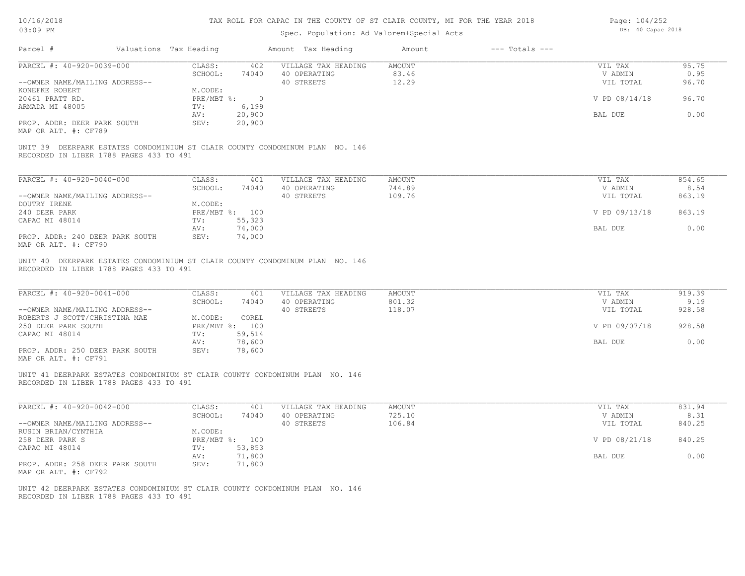| 10/16/2018  |  |
|-------------|--|
| $0.3:09$ PM |  |

# Spec. Population: Ad Valorem+Special Acts

Page: 104/252 DB: 40 Capac 2018

| Parcel #                                                                                                                | Valuations Tax Heading |                   |                  | Amount Tax Heading                  | Amount           | $---$ Totals $---$ |                    |               |
|-------------------------------------------------------------------------------------------------------------------------|------------------------|-------------------|------------------|-------------------------------------|------------------|--------------------|--------------------|---------------|
| PARCEL #: 40-920-0039-000                                                                                               |                        | CLASS:<br>SCHOOL: | 402<br>74040     | VILLAGE TAX HEADING<br>40 OPERATING | AMOUNT<br>83.46  |                    | VIL TAX<br>V ADMIN | 95.75<br>0.95 |
| --OWNER NAME/MAILING ADDRESS--<br>KONEFKE ROBERT                                                                        |                        | M.CODE:           |                  | 40 STREETS                          | 12.29            |                    | VIL TOTAL          | 96.70         |
| 20461 PRATT RD.                                                                                                         |                        |                   | PRE/MBT %: 0     |                                     |                  |                    | V PD 08/14/18      | 96.70         |
| ARMADA MI 48005                                                                                                         |                        | TV:<br>AV:        | 6,199<br>20,900  |                                     |                  |                    | BAL DUE            | 0.00          |
| PROP. ADDR: DEER PARK SOUTH<br>MAP OR ALT. #: CF789                                                                     |                        | SEV:              | 20,900           |                                     |                  |                    |                    |               |
| UNIT 39 DEERPARK ESTATES CONDOMINIUM ST CLAIR COUNTY CONDOMINUM PLAN NO. 146<br>RECORDED IN LIBER 1788 PAGES 433 TO 491 |                        |                   |                  |                                     |                  |                    |                    |               |
| PARCEL #: 40-920-0040-000                                                                                               |                        | CLASS:            | 401              | VILLAGE TAX HEADING                 | AMOUNT           |                    | VIL TAX            | 854.65        |
|                                                                                                                         |                        | SCHOOL:           | 74040            | 40 OPERATING                        | 744.89           |                    | V ADMIN            | 8.54          |
| --OWNER NAME/MAILING ADDRESS--                                                                                          |                        |                   |                  | 40 STREETS                          | 109.76           |                    | VIL TOTAL          | 863.19        |
| DOUTRY IRENE                                                                                                            |                        | M.CODE:           |                  |                                     |                  |                    |                    |               |
| 240 DEER PARK                                                                                                           |                        |                   | PRE/MBT %: 100   |                                     |                  |                    | V PD 09/13/18      | 863.19        |
| CAPAC MI 48014                                                                                                          |                        | TV:<br>AV:        | 55,323<br>74,000 |                                     |                  |                    | BAL DUE            | 0.00          |
| PROP. ADDR: 240 DEER PARK SOUTH<br>MAP OR ALT. #: CF790                                                                 |                        | SEV:              | 74,000           |                                     |                  |                    |                    |               |
| UNIT 40 DEERPARK ESTATES CONDOMINIUM ST CLAIR COUNTY CONDOMINUM PLAN NO. 146<br>RECORDED IN LIBER 1788 PAGES 433 TO 491 |                        |                   |                  |                                     |                  |                    |                    |               |
| PARCEL #: 40-920-0041-000                                                                                               |                        | CLASS:            | 401              | VILLAGE TAX HEADING                 | AMOUNT           |                    | VIL TAX            | 919.39        |
|                                                                                                                         |                        | SCHOOL:           | 74040            | 40 OPERATING                        | 801.32           |                    | V ADMIN            | 9.19          |
| --OWNER NAME/MAILING ADDRESS--<br>ROBERTS J SCOTT/CHRISTINA MAE                                                         |                        | M.CODE:           | COREL            | 40 STREETS                          | 118.07           |                    | VIL TOTAL          | 928.58        |
| 250 DEER PARK SOUTH                                                                                                     |                        |                   | PRE/MBT %: 100   |                                     |                  |                    | V PD 09/07/18      | 928.58        |
| CAPAC MI 48014                                                                                                          |                        | $\texttt{TV}$ :   | 59,514           |                                     |                  |                    |                    |               |
|                                                                                                                         |                        | AV:               | 78,600           |                                     |                  |                    | BAL DUE            | 0.00          |
| PROP. ADDR: 250 DEER PARK SOUTH<br>MAP OR ALT. #: CF791                                                                 |                        | SEV:              | 78,600           |                                     |                  |                    |                    |               |
| UNIT 41 DEERPARK ESTATES CONDOMINIUM ST CLAIR COUNTY CONDOMINUM PLAN NO. 146<br>RECORDED IN LIBER 1788 PAGES 433 TO 491 |                        |                   |                  |                                     |                  |                    |                    |               |
| PARCEL #: 40-920-0042-000                                                                                               |                        | CLASS:            | 401              | VILLAGE TAX HEADING                 | <b>AMOUNT</b>    |                    | VIL TAX            | 831.94        |
|                                                                                                                         |                        | SCHOOL:           | 74040            | 40 OPERATING                        | 725.10<br>106.84 |                    | V ADMIN            | 8.31          |
| --OWNER NAME/MAILING ADDRESS--<br>RUSIN BRIAN/CYNTHIA                                                                   |                        | M.CODE:           |                  | 40 STREETS                          |                  |                    | VIL TOTAL          | 840.25        |
| 258 DEER PARK S                                                                                                         |                        |                   | PRE/MBT %: 100   |                                     |                  |                    | V PD 08/21/18      | 840.25        |
| CAPAC MI 48014                                                                                                          |                        | TV:               | 53,853           |                                     |                  |                    |                    |               |
|                                                                                                                         |                        | AV:               | 71,800           |                                     |                  |                    | BAL DUE            | 0.00          |
| PROP. ADDR: 258 DEER PARK SOUTH<br>MAP OR ALT. #: CF792                                                                 |                        | SEV:              | 71,800           |                                     |                  |                    |                    |               |
| UNIT 42 DEERPARK ESTATES CONDOMINIUM ST CLAIR COUNTY CONDOMINUM PLAN NO. 146<br>RECORDED IN LIBER 1788 PAGES 433 TO 491 |                        |                   |                  |                                     |                  |                    |                    |               |
|                                                                                                                         |                        |                   |                  |                                     |                  |                    |                    |               |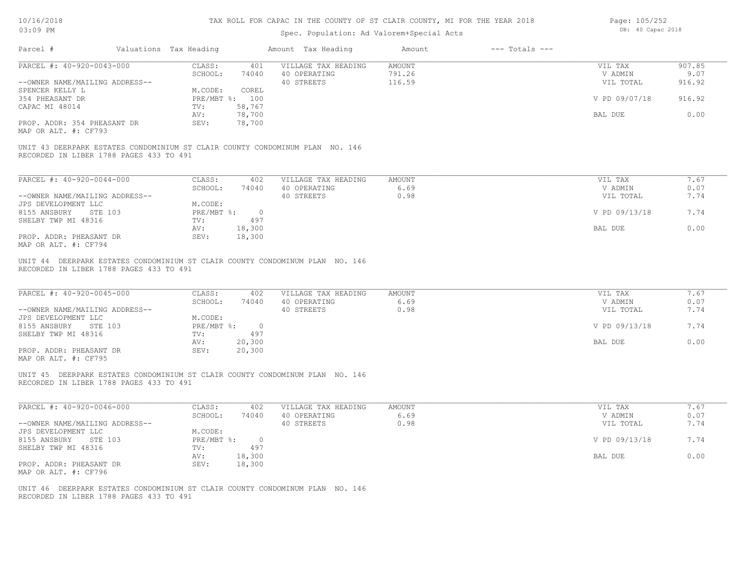MAP OR ALT. #: CF793

RECORDED IN LIBER 1788 PAGES 433 TO 491

PROP. ADDR: 354 PHEASANT DR SEV: 78,700

CAPAC MI 48014 TV: 58,767<br>
AV: 78,700

SPENCER KELLY L<br>354 PHEASANT DR<br>354 PHEASANT DR

#### TAX ROLL FOR CAPAC IN THE COUNTY OF ST CLAIR COUNTY, MI FOR THE YEAR 2018

Parcel # Valuations Tax Heading Amount Tax Heading Amount --- Totals ---Spec. Population: Ad Valorem+Special Acts Page: 105/252 DB: 40 Capac 2018 UNIT 43 DEERPARK ESTATES CONDOMINIUM ST CLAIR COUNTY CONDOMINUM PLAN NO. 146 AV: 78,700 BAL DUE 0.00 354 PHEASANT DR PRE/MBT %: 100 V PD 09/07/18 916.92 --OWNER NAME/MAILING ADDRESS-- 40 STREETS 116.59 VIL TOTAL 916.92 SCHOOL: 74040 40 OPERATING 791.26 V ADMIN 9.07 PARCEL #: 40-920-0043-000 CLASS: 401 VILLAGE TAX HEADING AMOUNT VIL TAX VIL TAX 907.85<br>SCHOOL: 74040 40 OPERATING 791.26 VADMIN 9.07  $\mathcal{L}_\mathcal{L} = \mathcal{L}_\mathcal{L} = \mathcal{L}_\mathcal{L} = \mathcal{L}_\mathcal{L} = \mathcal{L}_\mathcal{L} = \mathcal{L}_\mathcal{L} = \mathcal{L}_\mathcal{L} = \mathcal{L}_\mathcal{L} = \mathcal{L}_\mathcal{L} = \mathcal{L}_\mathcal{L} = \mathcal{L}_\mathcal{L} = \mathcal{L}_\mathcal{L} = \mathcal{L}_\mathcal{L} = \mathcal{L}_\mathcal{L} = \mathcal{L}_\mathcal{L} = \mathcal{L}_\mathcal{L} = \mathcal{L}_\mathcal{L}$ PARCEL #: 40-920-0044-000 CLASS: 402 VILLAGE TAX HEADING AMOUNT VIL TAX 7.67

|                                | SCHOOL:    | 74040  | 40 OPERATING | 6.69 | V ADMIN       | 0.07 |
|--------------------------------|------------|--------|--------------|------|---------------|------|
| --OWNER NAME/MAILING ADDRESS-- |            |        | 40 STREETS   | J.98 | VIL TOTAL     | 7.74 |
| JPS DEVELOPMENT LLC            | M.CODE:    |        |              |      |               |      |
| 8155 ANSBURY<br>STE 103        | PRE/MBT %: |        |              |      | V PD 09/13/18 | 7.74 |
| SHELBY TWP MI 48316            | TV:        | 497    |              |      |               |      |
|                                | AV:        | 18,300 |              |      | BAL DUE       | 0.00 |
| PROP. ADDR: PHEASANT DR        | SEV:       | 18,300 |              |      |               |      |
| MAP OR ALT. #: CF794           |            |        |              |      |               |      |

RECORDED IN LIBER 1788 PAGES 433 TO 491 UNIT 44 DEERPARK ESTATES CONDOMINIUM ST CLAIR COUNTY CONDOMINUM PLAN NO. 146

| PARCEL #: 40-920-0045-000      | CLASS:       | 402    | VILLAGE TAX HEADING | AMOUNT | VIL TAX       | 7.67 |
|--------------------------------|--------------|--------|---------------------|--------|---------------|------|
|                                | SCHOOL:      | 74040  | 40 OPERATING        | 6.69   | V ADMIN       | 0.07 |
| --OWNER NAME/MAILING ADDRESS-- |              |        | 40 STREETS          | 0.98   | VIL TOTAL     | 7.74 |
| JPS DEVELOPMENT LLC            | M.CODE:      |        |                     |        |               |      |
| 8155 ANSBURY<br>STE 103        | $PRE/MBT$ %: |        |                     |        | V PD 09/13/18 | 7.74 |
| SHELBY TWP MI 48316            | TV:          | 497    |                     |        |               |      |
|                                | AV:          | 20,300 |                     |        | BAL DUE       | 0.00 |
| PROP. ADDR: PHEASANT DR        | SEV:         | 20,300 |                     |        |               |      |
| MAP OR ALT. #: CF795           |              |        |                     |        |               |      |

RECORDED IN LIBER 1788 PAGES 433 TO 491 UNIT 45 DEERPARK ESTATES CONDOMINIUM ST CLAIR COUNTY CONDOMINUM PLAN NO. 146

| PARCEL #: 40-920-0046-000      | CLASS:       | 402    | VILLAGE TAX HEADING | AMOUNT | VIL TAX       | , . 67 |
|--------------------------------|--------------|--------|---------------------|--------|---------------|--------|
|                                | SCHOOL:      | 74040  | 40 OPERATING        | 6.69   | V ADMIN       | 0.07   |
| --OWNER NAME/MAILING ADDRESS-- |              |        | 40 STREETS          | 0.98   | VIL TOTAL     | 7.74   |
| JPS DEVELOPMENT LLC            | M.CODE:      |        |                     |        |               |        |
| 8155 ANSBURY<br>STE 103        | $PRE/MBT$ %: |        |                     |        | V PD 09/13/18 | 7.74   |
| SHELBY TWP MI 48316            | TV:          | 497    |                     |        |               |        |
|                                | AV:          | 18,300 |                     |        | BAL DUE       | 0.00   |
| PROP. ADDR: PHEASANT DR        | SEV:         | 18,300 |                     |        |               |        |
| MAP OR ALT. #: CF796           |              |        |                     |        |               |        |

RECORDED IN LIBER 1788 PAGES 433 TO 491 UNIT 46 DEERPARK ESTATES CONDOMINIUM ST CLAIR COUNTY CONDOMINUM PLAN NO. 146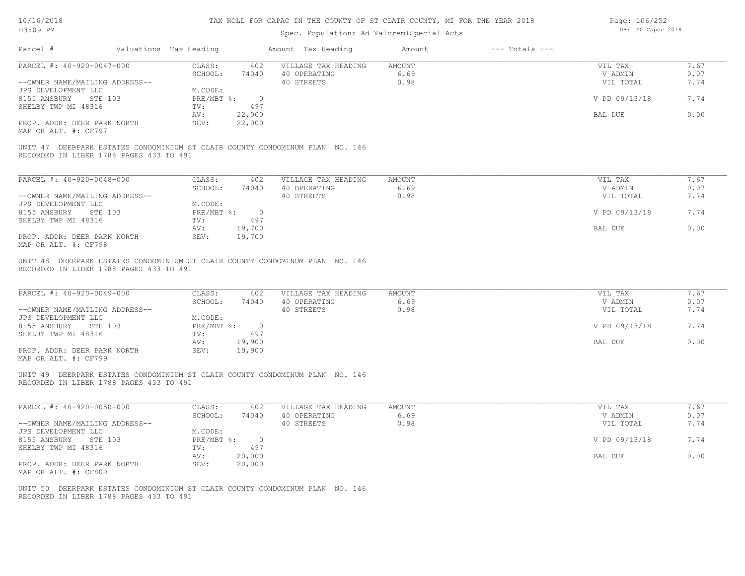| 10/16/2018  |  |
|-------------|--|
| $0.3:09$ PM |  |

# Spec. Population: Ad Valorem+Special Acts

Page: 106/252 DB: 40 Capac 2018

| Parcel #                                                                                                                | Valuations Tax Heading |                                             |                         | Amount Tax Heading                                | Amount                 | $---$ Totals $---$ |                                 |                      |
|-------------------------------------------------------------------------------------------------------------------------|------------------------|---------------------------------------------|-------------------------|---------------------------------------------------|------------------------|--------------------|---------------------------------|----------------------|
| PARCEL #: 40-920-0047-000<br>--OWNER NAME/MAILING ADDRESS--                                                             |                        | CLASS:<br>SCHOOL:                           | 402<br>74040            | VILLAGE TAX HEADING<br>40 OPERATING<br>40 STREETS | AMOUNT<br>6.69<br>0.98 |                    | VIL TAX<br>V ADMIN<br>VIL TOTAL | 7.67<br>0.07<br>7.74 |
| JPS DEVELOPMENT LLC<br>8155 ANSBURY STE 103                                                                             |                        | M.CODE:<br>PRE/MBT %: 0                     |                         |                                                   |                        |                    | V PD 09/13/18                   | 7.74                 |
| SHELBY TWP MI 48316<br>PROP. ADDR: DEER PARK NORTH                                                                      |                        | TV:<br>AV:<br>SEV:                          | 497<br>22,000<br>22,000 |                                                   |                        |                    | BAL DUE                         | 0.00                 |
| MAP OR ALT. #: CF797                                                                                                    |                        |                                             |                         |                                                   |                        |                    |                                 |                      |
| UNIT 47 DEERPARK ESTATES CONDOMINIUM ST CLAIR COUNTY CONDOMINUM PLAN NO. 146<br>RECORDED IN LIBER 1788 PAGES 433 TO 491 |                        |                                             |                         |                                                   |                        |                    |                                 |                      |
| PARCEL #: 40-920-0048-000                                                                                               |                        | CLASS:                                      | 402                     | VILLAGE TAX HEADING                               | AMOUNT                 |                    | VIL TAX                         | 7.67                 |
| --OWNER NAME/MAILING ADDRESS--                                                                                          |                        | SCHOOL:                                     | 74040                   | 40 OPERATING<br>40 STREETS                        | 6.69<br>0.98           |                    | V ADMIN<br>VIL TOTAL            | 0.07<br>7.74         |
| JPS DEVELOPMENT LLC<br>8155 ANSBURY STE 103                                                                             |                        | M.CODE:<br>PRE/MBT %: 0                     |                         |                                                   |                        |                    | V PD 09/13/18                   | 7.74                 |
| SHELBY TWP MI 48316                                                                                                     |                        | TV:<br>AV:                                  | 497<br>19,700           |                                                   |                        |                    | BAL DUE                         | 0.00                 |
| PROP. ADDR: DEER PARK NORTH<br>MAP OR ALT. #: CF798                                                                     |                        | 19,700<br>SEV:                              |                         |                                                   |                        |                    |                                 |                      |
| RECORDED IN LIBER 1788 PAGES 433 TO 491<br>PARCEL #: 40-920-0049-000<br>--OWNER NAME/MAILING ADDRESS--                  |                        | CLASS:<br>SCHOOL:                           | 402<br>74040            | VILLAGE TAX HEADING<br>40 OPERATING<br>40 STREETS | AMOUNT<br>6.69<br>0.98 |                    | VIL TAX<br>V ADMIN<br>VIL TOTAL | 7.67<br>0.07<br>7.74 |
| JPS DEVELOPMENT LLC<br>8155 ANSBURY STE 103<br>SHELBY TWP MI 48316                                                      |                        | M.CODE:<br>$PRE/MBT$ $\div$ 0<br>497<br>TV: |                         |                                                   |                        |                    | V PD 09/13/18                   | 7.74                 |
| PROP. ADDR: DEER PARK NORTH                                                                                             |                        | AV:<br>SEV:                                 | 19,900<br>19,900        |                                                   |                        |                    | BAL DUE                         | 0.00                 |
| MAP OR ALT. #: CF799                                                                                                    |                        |                                             |                         |                                                   |                        |                    |                                 |                      |
| UNIT 49 DEERPARK ESTATES CONDOMINIUM ST CLAIR COUNTY CONDOMINUM PLAN NO. 146<br>RECORDED IN LIBER 1788 PAGES 433 TO 491 |                        |                                             |                         |                                                   |                        |                    |                                 |                      |
| PARCEL #: 40-920-0050-000                                                                                               |                        | CLASS:<br>SCHOOL:                           | 402<br>74040            | VILLAGE TAX HEADING<br>40 OPERATING               | AMOUNT<br>6.69         |                    | VIL TAX<br>V ADMIN              | 7.67<br>0.07         |
| --OWNER NAME/MAILING ADDRESS--<br>JPS DEVELOPMENT LLC                                                                   |                        | M.CODE:                                     |                         | 40 STREETS                                        | 0.98                   |                    | VIL TOTAL                       | 7.74                 |
| 8155 ANSBURY STE 103<br>SHELBY TWP MI 48316                                                                             |                        | PRE/MBT %: 0<br>TV:                         | 497                     |                                                   |                        |                    | V PD 09/13/18                   | 7.74                 |
| PROP. ADDR: DEER PARK NORTH<br>MAP OR ALT. #: CF800                                                                     |                        | AV:<br>SEV:                                 | 20,000<br>20,000        |                                                   |                        |                    | BAL DUE                         | 0.00                 |
| UNIT 50 DEERPARK ESTATES CONDOMINIUM ST CLAIR COUNTY CONDOMINUM PLAN NO. 146<br>RECORDED IN LIBER 1788 PAGES 433 TO 491 |                        |                                             |                         |                                                   |                        |                    |                                 |                      |
|                                                                                                                         |                        |                                             |                         |                                                   |                        |                    |                                 |                      |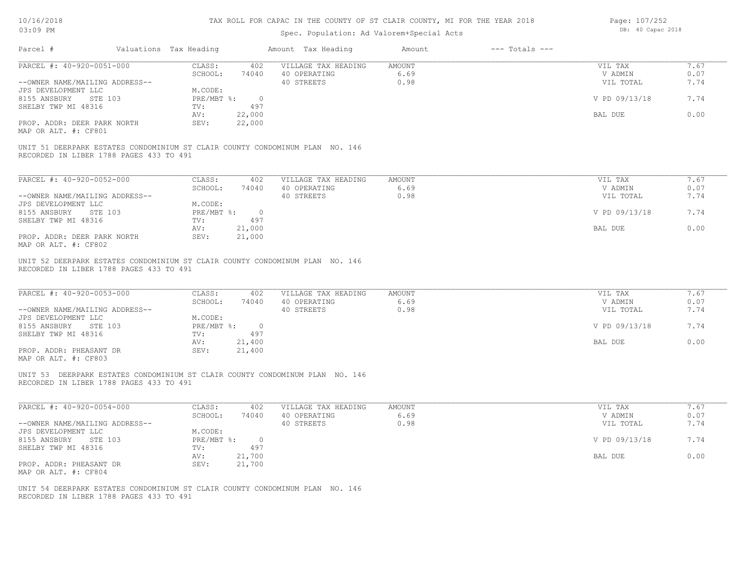| 10/16/2018  |  |
|-------------|--|
| $0.3:09$ PM |  |

| Page: 107/252 |                   |  |
|---------------|-------------------|--|
|               | DB: 40 Capac 2018 |  |

| Parcel #                                              | Valuations Tax Heading |                                            | Amount Tax Heading                                                           | Amount         | $---$ Totals $---$ |                      |              |
|-------------------------------------------------------|------------------------|--------------------------------------------|------------------------------------------------------------------------------|----------------|--------------------|----------------------|--------------|
| PARCEL #: 40-920-0051-000                             |                        | CLASS:<br>SCHOOL:<br>74040                 | 402<br>VILLAGE TAX HEADING<br>40 OPERATING                                   | AMOUNT<br>6.69 |                    | VIL TAX<br>V ADMIN   | 7.67<br>0.07 |
| --OWNER NAME/MAILING ADDRESS--<br>JPS DEVELOPMENT LLC |                        | M.CODE:                                    | 40 STREETS                                                                   | 0.98           |                    | VIL TOTAL            | 7.74         |
| 8155 ANSBURY STE 103<br>SHELBY TWP MI 48316           |                        | PRE/MBT %:<br>$\overline{0}$<br>497<br>TV: |                                                                              |                |                    | V PD 09/13/18        | 7.74         |
| PROP. ADDR: DEER PARK NORTH                           |                        | 22,000<br>AV:<br>SEV:<br>22,000            |                                                                              |                |                    | BAL DUE              | 0.00         |
| MAP OR ALT. #: CF801                                  |                        |                                            |                                                                              |                |                    |                      |              |
| RECORDED IN LIBER 1788 PAGES 433 TO 491               |                        |                                            | UNIT 51 DEERPARK ESTATES CONDOMINIUM ST CLAIR COUNTY CONDOMINUM PLAN NO. 146 |                |                    |                      |              |
|                                                       |                        |                                            |                                                                              |                |                    |                      |              |
| PARCEL #: 40-920-0052-000                             |                        | CLASS:<br>SCHOOL:<br>74040                 | 402<br>VILLAGE TAX HEADING<br>40 OPERATING                                   | AMOUNT<br>6.69 |                    | VIL TAX<br>V ADMIN   | 7.67<br>0.07 |
| --OWNER NAME/MAILING ADDRESS--<br>JPS DEVELOPMENT LLC |                        | M.CODE:                                    | 40 STREETS                                                                   | 0.98           |                    | VIL TOTAL            | 7.74         |
| 8155 ANSBURY STE 103                                  |                        | $PRE/MBT$ %:                               | $\overline{0}$                                                               |                |                    | V PD 09/13/18        | 7.74         |
| SHELBY TWP MI 48316                                   |                        | TV:<br>21,000<br>AV:                       | 497                                                                          |                |                    | BAL DUE              | 0.00         |
| PROP. ADDR: DEER PARK NORTH<br>MAP OR ALT. #: CF802   |                        | SEV:<br>21,000                             |                                                                              |                |                    |                      |              |
|                                                       |                        |                                            | UNIT 52 DEERPARK ESTATES CONDOMINIUM ST CLAIR COUNTY CONDOMINUM PLAN NO. 146 |                |                    |                      |              |
| RECORDED IN LIBER 1788 PAGES 433 TO 491               |                        |                                            |                                                                              |                |                    |                      |              |
| PARCEL #: 40-920-0053-000                             |                        | CLASS:                                     | 402<br>VILLAGE TAX HEADING                                                   | AMOUNT         |                    | VIL TAX              | 7.67         |
| --OWNER NAME/MAILING ADDRESS--                        |                        | SCHOOL:<br>74040                           | 40 OPERATING<br>40 STREETS                                                   | 6.69<br>0.98   |                    | V ADMIN<br>VIL TOTAL | 0.07<br>7.74 |
| JPS DEVELOPMENT LLC                                   |                        | M.CODE:<br>PRE/MBT %: 0                    |                                                                              |                |                    | V PD 09/13/18        | 7.74         |
| 8155 ANSBURY STE 103<br>SHELBY TWP MI 48316           |                        | 497<br>TV:                                 |                                                                              |                |                    |                      |              |
| PROP. ADDR: PHEASANT DR<br>MAP OR ALT. #: CF803       |                        | 21,400<br>AV:<br>SEV:<br>21,400            |                                                                              |                |                    | BAL DUE              | 0.00         |
|                                                       |                        |                                            | UNIT 53 DEERPARK ESTATES CONDOMINIUM ST CLAIR COUNTY CONDOMINUM PLAN NO. 146 |                |                    |                      |              |
| RECORDED IN LIBER 1788 PAGES 433 TO 491               |                        |                                            |                                                                              |                |                    |                      |              |
| PARCEL #: 40-920-0054-000                             |                        | CLASS:                                     | 402<br>VILLAGE TAX HEADING                                                   | AMOUNT         |                    | VIL TAX              | 7.67         |
| --OWNER NAME/MAILING ADDRESS--                        |                        | SCHOOL:<br>74040                           | 40 OPERATING<br>40 STREETS                                                   | 6.69<br>0.98   |                    | V ADMIN<br>VIL TOTAL | 0.07<br>7.74 |
| JPS DEVELOPMENT LLC                                   |                        | M.CODE:<br>PRE/MBT %:                      |                                                                              |                |                    | V PD 09/13/18        | 7.74         |
| 8155 ANSBURY<br>STE 103<br>SHELBY TWP MI 48316        |                        | TV:                                        | $\overline{0}$<br>497                                                        |                |                    |                      |              |
| PROP. ADDR: PHEASANT DR                               |                        | AV:<br>21,700<br>SEV:<br>21,700            |                                                                              |                |                    | BAL DUE              | 0.00         |
| MAP OR ALT. #: CF804                                  |                        |                                            |                                                                              |                |                    |                      |              |
| RECORDED IN LIBER 1788 PAGES 433 TO 491               |                        |                                            | UNIT 54 DEERPARK ESTATES CONDOMINIUM ST CLAIR COUNTY CONDOMINUM PLAN NO. 146 |                |                    |                      |              |
|                                                       |                        |                                            |                                                                              |                |                    |                      |              |
|                                                       |                        |                                            |                                                                              |                |                    |                      |              |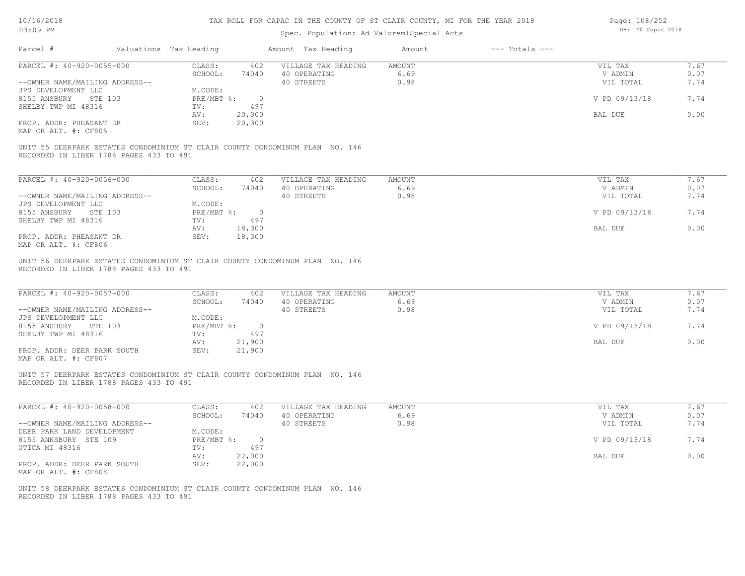# Spec. Population: Ad Valorem+Special Acts

| PARCEL #: 40-920-0055-000                                                                                                                                                                                                                                                                                                                                                                                                                                                                                                                                                                                      | CLASS:<br>402<br>SCHOOL:<br>74040                                 | VILLAGE TAX HEADING<br>40 OPERATING                     | AMOUNT<br>6.69         | VIL TAX<br>V ADMIN                               | 7.67<br>0.07                         |
|----------------------------------------------------------------------------------------------------------------------------------------------------------------------------------------------------------------------------------------------------------------------------------------------------------------------------------------------------------------------------------------------------------------------------------------------------------------------------------------------------------------------------------------------------------------------------------------------------------------|-------------------------------------------------------------------|---------------------------------------------------------|------------------------|--------------------------------------------------|--------------------------------------|
| --OWNER NAME/MAILING ADDRESS--                                                                                                                                                                                                                                                                                                                                                                                                                                                                                                                                                                                 |                                                                   | 40 STREETS                                              | 0.98                   | VIL TOTAL                                        | 7.74                                 |
| JPS DEVELOPMENT LLC                                                                                                                                                                                                                                                                                                                                                                                                                                                                                                                                                                                            | M.CODE:                                                           |                                                         |                        |                                                  |                                      |
| 8155 ANSBURY STE 103                                                                                                                                                                                                                                                                                                                                                                                                                                                                                                                                                                                           | PRE/MBT %: 0                                                      |                                                         |                        | V PD 09/13/18                                    | 7.74                                 |
| SHELBY TWP MI 48316                                                                                                                                                                                                                                                                                                                                                                                                                                                                                                                                                                                            | 497<br>TV:                                                        |                                                         |                        |                                                  |                                      |
|                                                                                                                                                                                                                                                                                                                                                                                                                                                                                                                                                                                                                | 20,300<br>AV:                                                     |                                                         |                        | BAL DUE                                          | 0.00                                 |
| PROP. ADDR: PHEASANT DR<br>MAP OR ALT. #: CF805                                                                                                                                                                                                                                                                                                                                                                                                                                                                                                                                                                | SEV:<br>20,300                                                    |                                                         |                        |                                                  |                                      |
| UNIT 55 DEERPARK ESTATES CONDOMINIUM ST CLAIR COUNTY CONDOMINUM PLAN NO. 146<br>RECORDED IN LIBER 1788 PAGES 433 TO 491                                                                                                                                                                                                                                                                                                                                                                                                                                                                                        |                                                                   |                                                         |                        |                                                  |                                      |
| PARCEL #: 40-920-0056-000                                                                                                                                                                                                                                                                                                                                                                                                                                                                                                                                                                                      | CLASS:<br>402                                                     | VILLAGE TAX HEADING                                     | AMOUNT                 | VIL TAX                                          | 7.67                                 |
|                                                                                                                                                                                                                                                                                                                                                                                                                                                                                                                                                                                                                | SCHOOL:<br>74040                                                  | 40 OPERATING                                            | 6.69                   | V ADMIN                                          | 0.07                                 |
| --OWNER NAME/MAILING ADDRESS--                                                                                                                                                                                                                                                                                                                                                                                                                                                                                                                                                                                 |                                                                   | 40 STREETS                                              | 0.98                   | VIL TOTAL                                        | 7.74                                 |
| JPS DEVELOPMENT LLC                                                                                                                                                                                                                                                                                                                                                                                                                                                                                                                                                                                            | M.CODE:                                                           |                                                         |                        |                                                  |                                      |
| 8155 ANSBURY STE 103                                                                                                                                                                                                                                                                                                                                                                                                                                                                                                                                                                                           | PRE/MBT %: 0                                                      |                                                         |                        | V PD 09/13/18                                    | 7.74                                 |
| SHELBY TWP MI 48316                                                                                                                                                                                                                                                                                                                                                                                                                                                                                                                                                                                            | 497<br>TV:                                                        |                                                         |                        |                                                  |                                      |
|                                                                                                                                                                                                                                                                                                                                                                                                                                                                                                                                                                                                                | 18,300<br>AV:                                                     |                                                         |                        | BAL DUE                                          | 0.00                                 |
|                                                                                                                                                                                                                                                                                                                                                                                                                                                                                                                                                                                                                |                                                                   |                                                         |                        |                                                  |                                      |
| PROP. ADDR: PHEASANT DR                                                                                                                                                                                                                                                                                                                                                                                                                                                                                                                                                                                        | SEV:<br>18,300                                                    |                                                         |                        |                                                  |                                      |
|                                                                                                                                                                                                                                                                                                                                                                                                                                                                                                                                                                                                                |                                                                   |                                                         |                        |                                                  |                                      |
|                                                                                                                                                                                                                                                                                                                                                                                                                                                                                                                                                                                                                | CLASS:<br>402<br>SCHOOL:<br>M.CODE:<br>PRE/MBT %: 0<br>TV:<br>497 | VILLAGE TAX HEADING<br>74040 40 OPERATING<br>40 STREETS | AMOUNT<br>6.69<br>0.98 | VIL TAX<br>V ADMIN<br>VIL TOTAL<br>V PD 09/13/18 | 7.67<br>0.07<br>7.74<br>7.74<br>0.00 |
|                                                                                                                                                                                                                                                                                                                                                                                                                                                                                                                                                                                                                | 21,900<br>AV:<br>SEV:<br>21,900                                   |                                                         |                        | BAL DUE                                          |                                      |
|                                                                                                                                                                                                                                                                                                                                                                                                                                                                                                                                                                                                                |                                                                   |                                                         |                        |                                                  |                                      |
|                                                                                                                                                                                                                                                                                                                                                                                                                                                                                                                                                                                                                | CLASS:<br>402<br>SCHOOL:<br>74040                                 | VILLAGE TAX HEADING<br>40 OPERATING                     | AMOUNT<br>6.69         | VIL TAX<br>V ADMIN                               | 7.67<br>0.07                         |
|                                                                                                                                                                                                                                                                                                                                                                                                                                                                                                                                                                                                                |                                                                   | 40 STREETS                                              | 0.98                   | VIL TOTAL                                        | 7.74                                 |
|                                                                                                                                                                                                                                                                                                                                                                                                                                                                                                                                                                                                                | M.CODE:                                                           |                                                         |                        |                                                  |                                      |
|                                                                                                                                                                                                                                                                                                                                                                                                                                                                                                                                                                                                                | PRE/MBT %: 0                                                      |                                                         |                        | V PD 09/13/18                                    | 7.74                                 |
|                                                                                                                                                                                                                                                                                                                                                                                                                                                                                                                                                                                                                | 497<br>$\text{TV}$ :                                              |                                                         |                        |                                                  |                                      |
| MAP OR ALT. #: CF806<br>UNIT 56 DEERPARK ESTATES CONDOMINIUM ST CLAIR COUNTY CONDOMINUM PLAN NO. 146<br>RECORDED IN LIBER 1788 PAGES 433 TO 491<br>PARCEL #: 40-920-0057-000<br>--OWNER NAME/MAILING ADDRESS--<br>JPS DEVELOPMENT LLC<br>8155 ANSBURY STE 103<br>SHELBY TWP MI 48316<br>PROP. ADDR: DEER PARK SOUTH<br>MAP OR ALT. #: CF807<br>UNIT 57 DEERPARK ESTATES CONDOMINIUM ST CLAIR COUNTY CONDOMINUM PLAN NO. 146<br>RECORDED IN LIBER 1788 PAGES 433 TO 491<br>PARCEL #: 40-920-0058-000<br>--OWNER NAME/MAILING ADDRESS--<br>DEER PARK LAND DEVELOPMENT<br>8155 ANNSBURY STE 109<br>UTICA MI 48316 | 22,000<br>AV:                                                     |                                                         |                        | BAL DUE                                          | 0.00                                 |
| PROP. ADDR: DEER PARK SOUTH<br>MAP OR ALT. #: CF808                                                                                                                                                                                                                                                                                                                                                                                                                                                                                                                                                            | SEV:<br>22,000                                                    |                                                         |                        |                                                  |                                      |

Page: 108/252 DB: 40 Capac 2018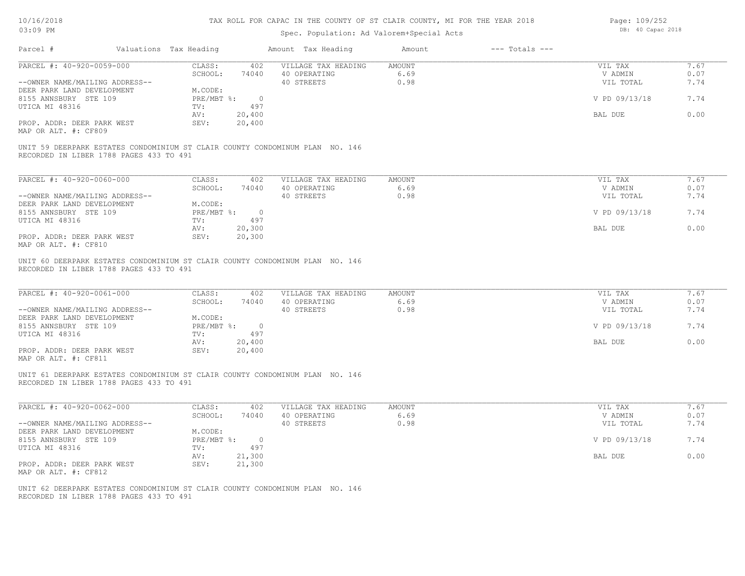# Spec. Population: Ad Valorem+Special Acts

| Page: 109/252     |
|-------------------|
| DB: 40 Capac 2018 |

| Parcel #                                                                                                                                             | Valuations Tax Heading |                                           |                  | Amount Tax Heading                                | Amount                 | $---$ Totals $---$ |                                 |                      |
|------------------------------------------------------------------------------------------------------------------------------------------------------|------------------------|-------------------------------------------|------------------|---------------------------------------------------|------------------------|--------------------|---------------------------------|----------------------|
| PARCEL #: 40-920-0059-000<br>--OWNER NAME/MAILING ADDRESS--<br>DEER PARK LAND DEVELOPMENT                                                            |                        | CLASS:<br>SCHOOL:<br>M.CODE:              | 402<br>74040     | VILLAGE TAX HEADING<br>40 OPERATING<br>40 STREETS | AMOUNT<br>6.69<br>0.98 |                    | VIL TAX<br>V ADMIN<br>VIL TOTAL | 7.67<br>0.07<br>7.74 |
| 8155 ANNSBURY STE 109<br>UTICA MI 48316                                                                                                              |                        | $PRE/MBT$ $\frac{1}{6}$ : 0<br>TV:<br>AV: | 497<br>20,400    |                                                   |                        |                    | V PD 09/13/18<br>BAL DUE        | 7.74<br>0.00         |
| PROP. ADDR: DEER PARK WEST<br>MAP OR ALT. #: CF809                                                                                                   |                        | SEV:                                      | 20,400           |                                                   |                        |                    |                                 |                      |
| UNIT 59 DEERPARK ESTATES CONDOMINIUM ST CLAIR COUNTY CONDOMINUM PLAN NO. 146<br>RECORDED IN LIBER 1788 PAGES 433 TO 491                              |                        |                                           |                  |                                                   |                        |                    |                                 |                      |
| PARCEL #: 40-920-0060-000                                                                                                                            |                        | CLASS:<br>SCHOOL:                         | 402<br>74040     | VILLAGE TAX HEADING<br>40 OPERATING               | AMOUNT<br>6.69         |                    | VIL TAX<br>V ADMIN              | 7.67<br>0.07         |
| --OWNER NAME/MAILING ADDRESS--                                                                                                                       |                        |                                           |                  | 40 STREETS                                        | 0.98                   |                    | VIL TOTAL                       | 7.74                 |
| DEER PARK LAND DEVELOPMENT<br>8155 ANNSBURY STE 109                                                                                                  |                        | M.CODE:<br>$PRE/MBT$ %:                   | $\overline{0}$   |                                                   |                        |                    | V PD 09/13/18                   | 7.74                 |
| UTICA MI 48316                                                                                                                                       |                        | TV:<br>AV:                                | 497<br>20,300    |                                                   |                        |                    | BAL DUE                         | 0.00                 |
| PROP. ADDR: DEER PARK WEST<br>MAP OR ALT. #: CF810                                                                                                   |                        | SEV:                                      | 20,300           |                                                   |                        |                    |                                 |                      |
| UNIT 60 DEERPARK ESTATES CONDOMINIUM ST CLAIR COUNTY CONDOMINUM PLAN NO. 146<br>RECORDED IN LIBER 1788 PAGES 433 TO 491<br>PARCEL #: 40-920-0061-000 |                        | CLASS:                                    | 402              | VILLAGE TAX HEADING                               | AMOUNT                 |                    | VIL TAX                         | 7.67                 |
| --OWNER NAME/MAILING ADDRESS--                                                                                                                       |                        | SCHOOL:                                   | 74040            | 40 OPERATING<br>40 STREETS                        | 6.69<br>0.98           |                    | V ADMIN<br>VIL TOTAL            | 0.07<br>7.74         |
| DEER PARK LAND DEVELOPMENT<br>8155 ANNSBURY STE 109                                                                                                  |                        | M.CODE:<br>PRE/MBT %: 0                   |                  |                                                   |                        |                    | V PD 09/13/18                   | 7.74                 |
| UTICA MI 48316                                                                                                                                       |                        | TV:<br>AV:                                | 497<br>20,400    |                                                   |                        |                    | BAL DUE                         | 0.00                 |
| PROP. ADDR: DEER PARK WEST<br>MAP OR ALT. #: CF811                                                                                                   |                        | SEV:                                      | 20,400           |                                                   |                        |                    |                                 |                      |
| UNIT 61 DEERPARK ESTATES CONDOMINIUM ST CLAIR COUNTY CONDOMINUM PLAN NO. 146<br>RECORDED IN LIBER 1788 PAGES 433 TO 491                              |                        |                                           |                  |                                                   |                        |                    |                                 |                      |
| PARCEL #: 40-920-0062-000                                                                                                                            |                        | CLASS:<br>SCHOOL:                         | 402<br>74040     | VILLAGE TAX HEADING<br>40 OPERATING               | <b>AMOUNT</b><br>6.69  |                    | VIL TAX<br>V ADMIN              | 7.67<br>0.07         |
| --OWNER NAME/MAILING ADDRESS--<br>DEER PARK LAND DEVELOPMENT                                                                                         |                        | M.CODE:                                   |                  | 40 STREETS                                        | 0.98                   |                    | VIL TOTAL                       | 7.74                 |
| 8155 ANNSBURY STE 109<br>UTICA MI 48316                                                                                                              |                        | PRE/MBT %: 0<br>TV:                       | 497              |                                                   |                        |                    | V PD 09/13/18                   | 7.74                 |
| PROP. ADDR: DEER PARK WEST                                                                                                                           |                        | AV:<br>SEV:                               | 21,300<br>21,300 |                                                   |                        |                    | BAL DUE                         | 0.00                 |
| MAP OR ALT. #: CF812                                                                                                                                 |                        |                                           |                  |                                                   |                        |                    |                                 |                      |
| UNIT 62 DEERPARK ESTATES CONDOMINIUM ST CLAIR COUNTY CONDOMINUM PLAN NO. 146<br>RECORDED IN LIBER 1788 PAGES 433 TO 491                              |                        |                                           |                  |                                                   |                        |                    |                                 |                      |
|                                                                                                                                                      |                        |                                           |                  |                                                   |                        |                    |                                 |                      |
|                                                                                                                                                      |                        |                                           |                  |                                                   |                        |                    |                                 |                      |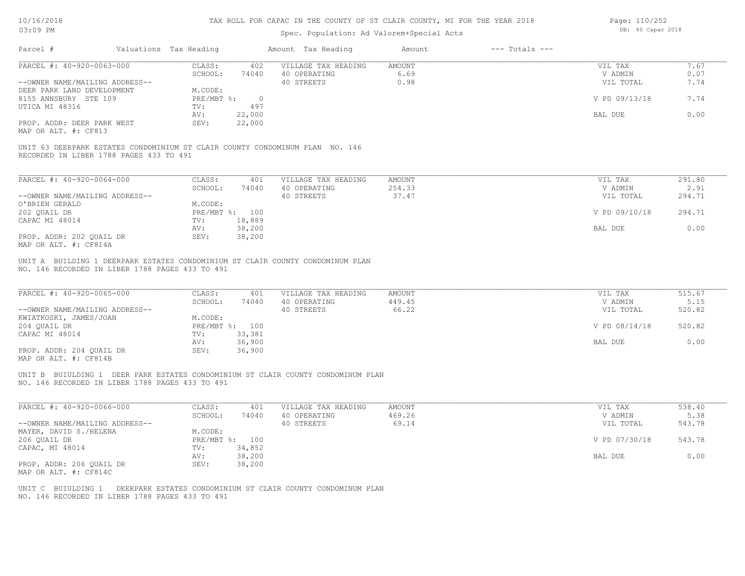# Spec. Population: Ad Valorem+Special Acts

Page: 110/252 DB: 40 Capac 2018

| Parcel #                                                                                                                | Valuations Tax Heading    |                  | Amount Tax Heading                                                               | Amount                  | $---$ Totals $---$ |                      |                |
|-------------------------------------------------------------------------------------------------------------------------|---------------------------|------------------|----------------------------------------------------------------------------------|-------------------------|--------------------|----------------------|----------------|
| PARCEL #: 40-920-0063-000                                                                                               | CLASS:                    | 402              | VILLAGE TAX HEADING                                                              | AMOUNT                  |                    | VIL TAX              | 7.67           |
| --OWNER NAME/MAILING ADDRESS--                                                                                          | SCHOOL:                   | 74040            | 40 OPERATING<br>40 STREETS                                                       | 6.69<br>0.98            |                    | V ADMIN<br>VIL TOTAL | 0.07<br>7.74   |
| DEER PARK LAND DEVELOPMENT                                                                                              | M.CODE:                   |                  |                                                                                  |                         |                    |                      |                |
| 8155 ANNSBURY STE 109                                                                                                   | $PRE/MBT$ %:              | $\overline{0}$   |                                                                                  |                         |                    | V PD 09/13/18        | 7.74           |
| UTICA MI 48316                                                                                                          | TV:                       | 497              |                                                                                  |                         |                    |                      |                |
| PROP. ADDR: DEER PARK WEST                                                                                              | AV:<br>SEV:               | 22,000<br>22,000 |                                                                                  |                         |                    | BAL DUE              | 0.00           |
| MAP OR ALT. #: CF813                                                                                                    |                           |                  |                                                                                  |                         |                    |                      |                |
|                                                                                                                         |                           |                  |                                                                                  |                         |                    |                      |                |
| UNIT 63 DEERPARK ESTATES CONDOMINIUM ST CLAIR COUNTY CONDOMINUM PLAN NO. 146<br>RECORDED IN LIBER 1788 PAGES 433 TO 491 |                           |                  |                                                                                  |                         |                    |                      |                |
|                                                                                                                         |                           |                  |                                                                                  |                         |                    |                      |                |
| PARCEL #: 40-920-0064-000                                                                                               | CLASS:                    | 401              | VILLAGE TAX HEADING                                                              | <b>AMOUNT</b>           |                    | VIL TAX              | 291.80         |
|                                                                                                                         | SCHOOL:                   | 74040            | 40 OPERATING                                                                     | 254.33                  |                    | V ADMIN              | 2.91           |
| --OWNER NAME/MAILING ADDRESS--                                                                                          |                           |                  | 40 STREETS                                                                       | 37.47                   |                    | VIL TOTAL            | 294.71         |
| O'BRIEN GERALD                                                                                                          | M.CODE:                   |                  |                                                                                  |                         |                    |                      |                |
| 202 QUAIL DR                                                                                                            | PRE/MBT %: 100            |                  |                                                                                  |                         |                    | V PD 09/10/18        | 294.71         |
| CAPAC MI 48014                                                                                                          | TV:<br>AV:                | 18,889<br>38,200 |                                                                                  |                         |                    | BAL DUE              | 0.00           |
| PROP. ADDR: 202 QUAIL DR                                                                                                | SEV:                      | 38,200           |                                                                                  |                         |                    |                      |                |
| MAP OR ALT. #: CF814A                                                                                                   |                           |                  |                                                                                  |                         |                    |                      |                |
| NO. 146 RECORDED IN LIBER 1788 PAGES 433 TO 491                                                                         |                           |                  | UNIT A BUILDING 1 DEERPARK ESTATES CONDOMINIUM ST CLAIR COUNTY CONDOMINUM PLAN   |                         |                    |                      |                |
| PARCEL #: 40-920-0065-000                                                                                               | CLASS:<br>SCHOOL:         | 401<br>74040     | VILLAGE TAX HEADING<br>40 OPERATING                                              | <b>AMOUNT</b><br>449.45 |                    | VIL TAX<br>V ADMIN   | 515.67<br>5.15 |
| --OWNER NAME/MAILING ADDRESS--                                                                                          |                           |                  | 40 STREETS                                                                       | 66.22                   |                    | VIL TOTAL            | 520.82         |
| KWIATKOSKI, JAMES/JOAN                                                                                                  | M.CODE:                   |                  |                                                                                  |                         |                    |                      |                |
| 204 QUAIL DR                                                                                                            | PRE/MBT %: 100            |                  |                                                                                  |                         |                    | V PD 08/14/18        | 520.82         |
| CAPAC MI 48014                                                                                                          | TV:                       | 33,381           |                                                                                  |                         |                    |                      |                |
| PROP. ADDR: 204 QUAIL DR                                                                                                | AV:<br>SEV:               | 36,900<br>36,900 |                                                                                  |                         |                    | BAL DUE              | 0.00           |
| MAP OR ALT. #: CF814B                                                                                                   |                           |                  |                                                                                  |                         |                    |                      |                |
|                                                                                                                         |                           |                  |                                                                                  |                         |                    |                      |                |
| NO. 146 RECORDED IN LIBER 1788 PAGES 433 TO 491                                                                         |                           |                  | UNIT B BUIULDING 1 DEER PARK ESTATES CONDOMINIUM ST CLAIR COUNTY CONDOMINUM PLAN |                         |                    |                      |                |
|                                                                                                                         |                           |                  |                                                                                  |                         |                    |                      |                |
| PARCEL #: 40-920-0066-000                                                                                               | CLASS:                    | 401              | VILLAGE TAX HEADING                                                              | <b>AMOUNT</b>           |                    | VIL TAX              | 538.40         |
|                                                                                                                         | SCHOOL:                   | 74040            | 40 OPERATING                                                                     | 469.26                  |                    | V ADMIN              | 5.38           |
| --OWNER NAME/MAILING ADDRESS--                                                                                          |                           |                  | 40 STREETS                                                                       | 69.14                   |                    | VIL TOTAL            | 543.78         |
| MAYER, DAVID S./HELENA                                                                                                  | M.CODE:<br>PRE/MBT %: 100 |                  |                                                                                  |                         |                    | V PD 07/30/18        | 543.78         |
| 206 QUAIL DR<br>CAPAC, MI 48014                                                                                         | TV:                       | 34,852           |                                                                                  |                         |                    |                      |                |
|                                                                                                                         | AV:                       | 38,200           |                                                                                  |                         |                    | BAL DUE              | 0.00           |
| PROP. ADDR: 206 QUAIL DR                                                                                                | SEV:                      | 38,200           |                                                                                  |                         |                    |                      |                |
| MAP OR ALT. #: CF814C                                                                                                   |                           |                  |                                                                                  |                         |                    |                      |                |
| UNIT C BUIULDING 1                                                                                                      |                           |                  | DEERPARK ESTATES CONDOMINIUM ST CLAIR COUNTY CONDOMINUM PLAN                     |                         |                    |                      |                |
| NO. 146 RECORDED IN LIBER 1788 PAGES 433 TO 491                                                                         |                           |                  |                                                                                  |                         |                    |                      |                |
|                                                                                                                         |                           |                  |                                                                                  |                         |                    |                      |                |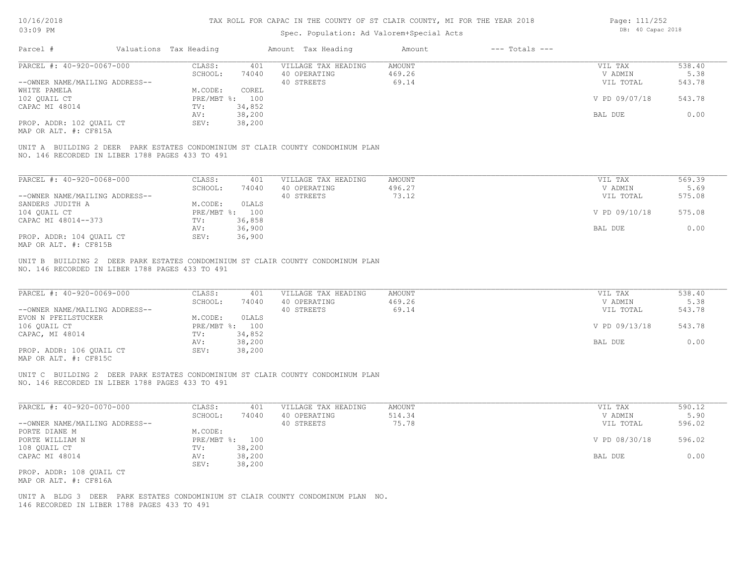| Page: 111/252     |
|-------------------|
| DB: 40 Capac 2018 |

|                                                                                     |                                                                                 |                        |                | Spec. Population: Ad Valorem+Special Acts                                       |               |                    | DB: 40 Capac 2018 |        |
|-------------------------------------------------------------------------------------|---------------------------------------------------------------------------------|------------------------|----------------|---------------------------------------------------------------------------------|---------------|--------------------|-------------------|--------|
| Parcel #                                                                            |                                                                                 | Valuations Tax Heading |                | Amount Tax Heading                                                              | Amount        | $---$ Totals $---$ |                   |        |
| PARCEL #: 40-920-0067-000                                                           |                                                                                 | CLASS:                 | 401            | VILLAGE TAX HEADING                                                             | AMOUNT        |                    | VIL TAX           | 538.40 |
|                                                                                     |                                                                                 | SCHOOL:                | 74040          | 40 OPERATING                                                                    | 469.26        |                    | V ADMIN           | 5.38   |
| --OWNER NAME/MAILING ADDRESS--                                                      |                                                                                 |                        |                | 40 STREETS                                                                      | 69.14         |                    | VIL TOTAL         | 543.78 |
| WHITE PAMELA                                                                        |                                                                                 | M.CODE:                | COREL          |                                                                                 |               |                    |                   |        |
| 102 QUAIL CT                                                                        |                                                                                 |                        | PRE/MBT %: 100 |                                                                                 |               |                    | V PD 09/07/18     | 543.78 |
| CAPAC MI 48014                                                                      |                                                                                 | TV:                    | 34,852         |                                                                                 |               |                    |                   |        |
|                                                                                     |                                                                                 | AV:                    | 38,200         |                                                                                 |               |                    | BAL DUE           | 0.00   |
| PROP. ADDR: 102 QUAIL CT                                                            |                                                                                 | SEV:                   | 38,200         |                                                                                 |               |                    |                   |        |
| MAP OR ALT. #: CF815A                                                               |                                                                                 |                        |                |                                                                                 |               |                    |                   |        |
|                                                                                     | NO. 146 RECORDED IN LIBER 1788 PAGES 433 TO 491                                 |                        |                | UNIT A BUILDING 2 DEER PARK ESTATES CONDOMINIUM ST CLAIR COUNTY CONDOMINUM PLAN |               |                    |                   |        |
|                                                                                     |                                                                                 |                        |                |                                                                                 |               |                    |                   |        |
| PARCEL #: 40-920-0068-000                                                           |                                                                                 | CLASS:                 | 401            | VILLAGE TAX HEADING                                                             | AMOUNT        |                    | VIL TAX           | 569.39 |
|                                                                                     |                                                                                 | SCHOOL:                | 74040          | 40 OPERATING                                                                    | 496.27        |                    | V ADMIN           | 5.69   |
| --OWNER NAME/MAILING ADDRESS--                                                      |                                                                                 |                        |                | 40 STREETS                                                                      | 73.12         |                    | VIL TOTAL         | 575.08 |
| SANDERS JUDITH A                                                                    |                                                                                 | M.CODE:                | <b>OLALS</b>   |                                                                                 |               |                    |                   |        |
| 104 OUAIL CT                                                                        |                                                                                 |                        | PRE/MBT %: 100 |                                                                                 |               |                    | V PD 09/10/18     | 575.08 |
|                                                                                     |                                                                                 |                        | 36,858         |                                                                                 |               |                    |                   |        |
| CAPAC MI 48014--373                                                                 |                                                                                 | TV:                    |                |                                                                                 |               |                    |                   |        |
|                                                                                     |                                                                                 | AV:                    | 36,900         |                                                                                 |               |                    | BAL DUE           | 0.00   |
| PROP. ADDR: 104 QUAIL CT<br>MAP OR ALT. #: CF815B                                   |                                                                                 | SEV:                   | 36,900         |                                                                                 |               |                    |                   |        |
|                                                                                     |                                                                                 |                        |                |                                                                                 |               |                    |                   |        |
|                                                                                     | UNIT B BUILDING 2 DEER PARK ESTATES CONDOMINIUM ST CLAIR COUNTY CONDOMINUM PLAN |                        |                |                                                                                 |               |                    |                   |        |
|                                                                                     | NO. 146 RECORDED IN LIBER 1788 PAGES 433 TO 491                                 |                        |                |                                                                                 |               |                    |                   |        |
|                                                                                     |                                                                                 | CLASS:                 | 401            | VILLAGE TAX HEADING                                                             | <b>AMOUNT</b> |                    | VIL TAX           | 538.40 |
|                                                                                     |                                                                                 | SCHOOL:                | 74040          | 40 OPERATING                                                                    | 469.26        |                    | V ADMIN           | 5.38   |
| --OWNER NAME/MAILING ADDRESS--                                                      |                                                                                 |                        |                | 40 STREETS                                                                      | 69.14         |                    | VIL TOTAL         | 543.78 |
|                                                                                     |                                                                                 | M.CODE:                | OLALS          |                                                                                 |               |                    |                   |        |
|                                                                                     |                                                                                 |                        | PRE/MBT %: 100 |                                                                                 |               |                    | V PD 09/13/18     | 543.78 |
|                                                                                     |                                                                                 | TV:                    | 34,852         |                                                                                 |               |                    |                   |        |
| PARCEL #: 40-920-0069-000<br>EVON N PFEILSTUCKER<br>106 QUAIL CT<br>CAPAC, MI 48014 |                                                                                 |                        |                |                                                                                 |               |                    |                   |        |
|                                                                                     |                                                                                 | AV:<br>SEV:            | 38,200         |                                                                                 |               |                    | BAL DUE           | 0.00   |
|                                                                                     |                                                                                 |                        | 38,200         |                                                                                 |               |                    |                   |        |
| PROP. ADDR: 106 QUAIL CT<br>MAP OR ALT. #: CF815C                                   |                                                                                 |                        |                |                                                                                 |               |                    |                   |        |
|                                                                                     | NO. 146 RECORDED IN LIBER 1788 PAGES 433 TO 491                                 |                        |                | UNIT C BUILDING 2 DEER PARK ESTATES CONDOMINIUM ST CLAIR COUNTY CONDOMINUM PLAN |               |                    |                   |        |

| CLASS:  | 401    | VILLAGE TAX HEADING | AMOUNT |  | 590.12                                                      |
|---------|--------|---------------------|--------|--|-------------------------------------------------------------|
| SCHOOL: | 74040  | 40 OPERATING        | 514.34 |  | 5.90                                                        |
|         |        | 40 STREETS          | 75.78  |  | 596.02                                                      |
| M.CODE: |        |                     |        |  |                                                             |
|         | 100    |                     |        |  | 596.02                                                      |
| TV:     | 38,200 |                     |        |  |                                                             |
| AV:     | 38,200 |                     |        |  | 0.00                                                        |
| SEV:    | 38,200 |                     |        |  |                                                             |
|         |        |                     |        |  |                                                             |
|         |        |                     |        |  |                                                             |
|         |        | $PRE/MBT$ %:        |        |  | VIL TAX<br>V ADMIN<br>VIL TOTAL<br>V PD 08/30/18<br>BAL DUE |

146 RECORDED IN LIBER 1788 PAGES 433 TO 491 UNIT A BLDG 3 DEER PARK ESTATES CONDOMINIUM ST CLAIR COUNTY CONDOMINUM PLAN NO.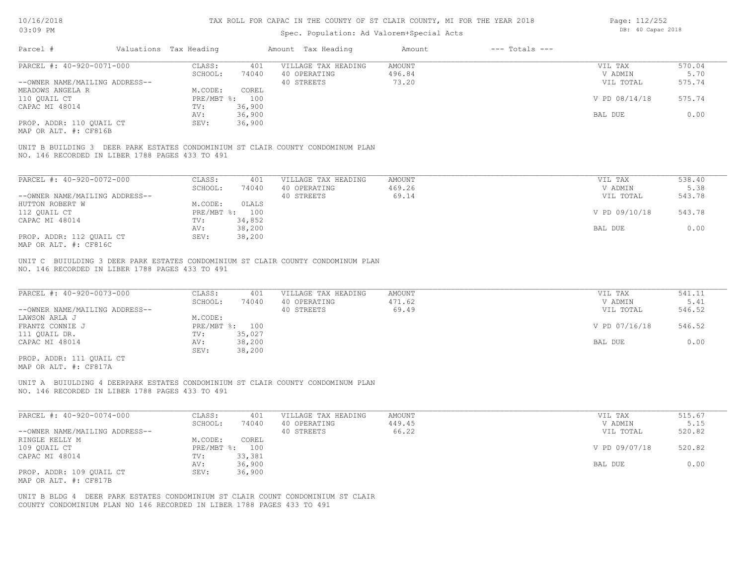## Spec. Population: Ad Valorem+Special Acts

| Parcel #                       | Valuations Tax Heading |                | Amount Tax Heading  | Amount | $---$ Totals $---$ |               |        |
|--------------------------------|------------------------|----------------|---------------------|--------|--------------------|---------------|--------|
| PARCEL #: 40-920-0071-000      | CLASS:                 | 401            | VILLAGE TAX HEADING | AMOUNT |                    | VIL TAX       | 570.04 |
|                                | SCHOOL:                | 74040          | 40 OPERATING        | 496.84 |                    | V ADMIN       | 5.70   |
| --OWNER NAME/MAILING ADDRESS-- |                        |                | 40 STREETS          | 73.20  |                    | VIL TOTAL     | 575.74 |
| MEADOWS ANGELA R               | M.CODE:                | COREL          |                     |        |                    |               |        |
| 110 QUAIL CT                   |                        | PRE/MBT %: 100 |                     |        |                    | V PD 08/14/18 | 575.74 |
| CAPAC MI 48014                 | TV:                    | 36,900         |                     |        |                    |               |        |
|                                | AV:                    | 36,900         |                     |        |                    | BAL DUE       | 0.00   |
| PROP. ADDR: 110 QUAIL CT       | SEV:                   | 36,900         |                     |        |                    |               |        |
| MAP OR ALT. #: CF816B          |                        |                |                     |        |                    |               |        |

NO. 146 RECORDED IN LIBER 1788 PAGES 433 TO 491

| PARCEL #: 40-920-0072-000      | CLASS:     | 401    | VILLAGE TAX HEADING | AMOUNT | VIL TAX       | 538.40 |
|--------------------------------|------------|--------|---------------------|--------|---------------|--------|
|                                | SCHOOL:    | 74040  | 40 OPERATING        | 469.26 | V ADMIN       | 5.38   |
| --OWNER NAME/MAILING ADDRESS-- |            |        | 40 STREETS          | 69.14  | VIL TOTAL     | 543.78 |
| HUTTON ROBERT W                | M.CODE:    | OLALS  |                     |        |               |        |
| 112 OUAIL CT                   | PRE/MBT %: | 100    |                     |        | V PD 09/10/18 | 543.78 |
| CAPAC MI 48014                 | TV:        | 34,852 |                     |        |               |        |
|                                | AV:        | 38,200 |                     |        | BAL DUE       | 0.00   |
| PROP. ADDR: 112 OUAIL CT       | SEV:       | 38,200 |                     |        |               |        |
| MAP OR ALT. #: CF816C          |            |        |                     |        |               |        |

NO. 146 RECORDED IN LIBER 1788 PAGES 433 TO 491 UNIT C BUIULDING 3 DEER PARK ESTATES CONDOMINIUM ST CLAIR COUNTY CONDOMINUM PLAN

| 74040<br>471.62<br>SCHOOL:<br>40 OPERATING<br>V ADMIN<br>69.49<br>40 STREETS<br>VIL TOTAL<br>M.CODE:<br>$PRE/MBT$ %:<br>V PD 07/16/18<br>100 | 5.41   |
|----------------------------------------------------------------------------------------------------------------------------------------------|--------|
| --OWNER NAME/MAILING ADDRESS--                                                                                                               |        |
| LAWSON ARLA J                                                                                                                                | 546.52 |
| FRANTZ CONNIE J                                                                                                                              |        |
|                                                                                                                                              | 546.52 |
| 111 QUAIL DR.<br>35,027<br>TV:                                                                                                               |        |
| CAPAC MI 48014<br>38,200<br>AV:<br>BAL DUE                                                                                                   | 0.00   |
| 38,200<br>SEV:                                                                                                                               |        |

MAP OR ALT. #: CF817A PROP. ADDR: 111 QUAIL CT

NO. 146 RECORDED IN LIBER 1788 PAGES 433 TO 491 UNIT A BUIULDING 4 DEERPARK ESTATES CONDOMINIUM ST CLAIR COUNTY CONDOMINUM PLAN

| PARCEL #: 40-920-0074-000      | CLASS:  | 401            | VILLAGE TAX HEADING | AMOUNT | VIL TAX       | 515.67 |
|--------------------------------|---------|----------------|---------------------|--------|---------------|--------|
|                                | SCHOOL: | 74040          | 40 OPERATING        | 449.45 | V ADMIN       | 5.15   |
| --OWNER NAME/MAILING ADDRESS-- |         |                | 40 STREETS          | 66.22  | VIL TOTAL     | 520.82 |
| RINGLE KELLY M                 | M.CODE: | COREL          |                     |        |               |        |
| 109 QUAIL CT                   |         | PRE/MBT %: 100 |                     |        | V PD 09/07/18 | 520.82 |
| CAPAC MI 48014                 | TV:     | 33,381         |                     |        |               |        |
|                                | AV:     | 36,900         |                     |        | BAL DUE       | 0.00   |
| PROP. ADDR: 109 QUAIL CT       | SEV:    | 36,900         |                     |        |               |        |
| MAP OR ALT. #: CF817B          |         |                |                     |        |               |        |

COUNTY CONDOMINIUM PLAN NO 146 RECORDED IN LIBER 1788 PAGES 433 TO 491 UNIT B BLDG 4 DEER PARK ESTATES CONDOMINIUM ST CLAIR COUNT CONDOMINIUM ST CLAIR Page: 112/252 DB: 40 Capac 2018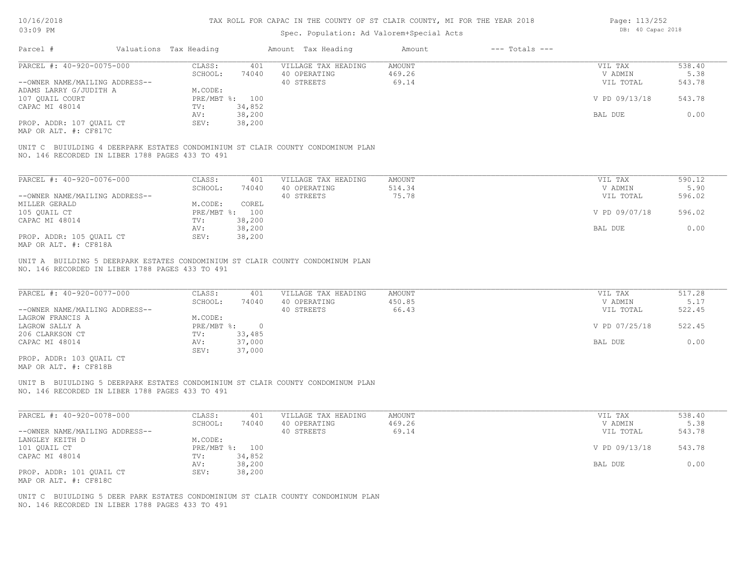## Spec. Population: Ad Valorem+Special Acts

| $---$ Totals $---$<br>Parcel #<br>Valuations Tax Heading<br>Amount Tax Heading<br>Amount<br>PARCEL #: 40-920-0075-000<br>401<br>VILLAGE TAX HEADING<br>AMOUNT<br>VIL TAX<br>CLASS:<br>74040<br>SCHOOL:<br>469.26<br>40 OPERATING<br>V ADMIN<br>--OWNER NAME/MAILING ADDRESS--<br>69.14<br>40 STREETS<br>VIL TOTAL<br>ADAMS LARRY G/JUDITH A<br>M.CODE:<br>V PD 09/13/18<br>PRE/MBT %: 100<br>107 OUAIL COURT<br>34,852<br>CAPAC MI 48014<br>TV: | 538.40<br>5.38<br>543.78 |
|-------------------------------------------------------------------------------------------------------------------------------------------------------------------------------------------------------------------------------------------------------------------------------------------------------------------------------------------------------------------------------------------------------------------------------------------------|--------------------------|
|                                                                                                                                                                                                                                                                                                                                                                                                                                                 |                          |
|                                                                                                                                                                                                                                                                                                                                                                                                                                                 |                          |
|                                                                                                                                                                                                                                                                                                                                                                                                                                                 |                          |
|                                                                                                                                                                                                                                                                                                                                                                                                                                                 |                          |
|                                                                                                                                                                                                                                                                                                                                                                                                                                                 |                          |
|                                                                                                                                                                                                                                                                                                                                                                                                                                                 | 543.78                   |
|                                                                                                                                                                                                                                                                                                                                                                                                                                                 |                          |
| 38,200<br>AV:<br>BAL DUE                                                                                                                                                                                                                                                                                                                                                                                                                        | 0.00                     |
| 38,200<br>PROP. ADDR: 107 OUAIL CT<br>SEV:                                                                                                                                                                                                                                                                                                                                                                                                      |                          |
| MAP OR ALT. #: CF817C                                                                                                                                                                                                                                                                                                                                                                                                                           |                          |

| PARCEL #: 40-920-0076-000      | CLASS:       | 401    | VILLAGE TAX HEADING | AMOUNT | VIL TAX       | 590.12 |
|--------------------------------|--------------|--------|---------------------|--------|---------------|--------|
|                                | SCHOOL:      | 74040  | 40 OPERATING        | 514.34 | V ADMIN       | 5.90   |
| --OWNER NAME/MAILING ADDRESS-- |              |        | 40 STREETS          | 75.78  | VIL TOTAL     | 596.02 |
| MILLER GERALD                  | M.CODE:      | COREL  |                     |        |               |        |
| 105 OUAIL CT                   | $PRE/MBT$ %: | 100    |                     |        | V PD 09/07/18 | 596.02 |
| CAPAC MI 48014                 | TV:          | 38,200 |                     |        |               |        |
|                                | AV:          | 38,200 |                     |        | BAL DUE       | 0.00   |
| PROP. ADDR: 105 OUAIL CT       | SEV:         | 38,200 |                     |        |               |        |
| MAP OR ALT. #: CF818A          |              |        |                     |        |               |        |

NO. 146 RECORDED IN LIBER 1788 PAGES 433 TO 491 UNIT A BUILDING 5 DEERPARK ESTATES CONDOMINIUM ST CLAIR COUNTY CONDOMINUM PLAN

| PARCEL #: 40-920-0077-000      | CLASS:       | 401    | VILLAGE TAX HEADING | AMOUNT | VIL TAX       | 517.28 |
|--------------------------------|--------------|--------|---------------------|--------|---------------|--------|
|                                | SCHOOL:      | 74040  | 40 OPERATING        | 450.85 | V ADMIN       | 5.17   |
| --OWNER NAME/MAILING ADDRESS-- |              |        | 40 STREETS          | 66.43  | VIL TOTAL     | 522.45 |
| LAGROW FRANCIS A               | M.CODE:      |        |                     |        |               |        |
| LAGROW SALLY A                 | $PRE/MBT$ %: |        |                     |        | V PD 07/25/18 | 522.45 |
| 206 CLARKSON CT                | TV:          | 33,485 |                     |        |               |        |
| CAPAC MI 48014                 | AV:          | 37,000 |                     |        | BAL DUE       | 0.00   |
|                                | SEV:         | 37,000 |                     |        |               |        |

MAP OR ALT. #: CF818B PROP. ADDR: 103 QUAIL CT

NO. 146 RECORDED IN LIBER 1788 PAGES 433 TO 491 UNIT B BUIULDING 5 DEERPARK ESTATES CONDOMINIUM ST CLAIR COUNTY CONDOMINUM PLAN

| PARCEL #: 40-920-0078-000      | CLASS:  | 401            | VILLAGE TAX HEADING | AMOUNT | VIL TAX       | 538.40 |
|--------------------------------|---------|----------------|---------------------|--------|---------------|--------|
|                                | SCHOOL: | 74040          | 40 OPERATING        | 469.26 | V ADMIN       | 5.38   |
| --OWNER NAME/MAILING ADDRESS-- |         |                | 40 STREETS          | 69.14  | VIL TOTAL     | 543.78 |
| LANGLEY KEITH D                | M.CODE: |                |                     |        |               |        |
| 101 QUAIL CT                   |         | PRE/MBT %: 100 |                     |        | V PD 09/13/18 | 543.78 |
| CAPAC MI 48014                 | TV:     | 34,852         |                     |        |               |        |
|                                | AV:     | 38,200         |                     |        | BAL DUE       | 0.00   |
| PROP. ADDR: 101 QUAIL CT       | SEV:    | 38,200         |                     |        |               |        |
| MAP OR ALT. #: CF818C          |         |                |                     |        |               |        |

NO. 146 RECORDED IN LIBER 1788 PAGES 433 TO 491 UNIT C BUIULDING 5 DEER PARK ESTATES CONDOMINIUM ST CLAIR COUNTY CONDOMINUM PLAN Page: 113/252 DB: 40 Capac 2018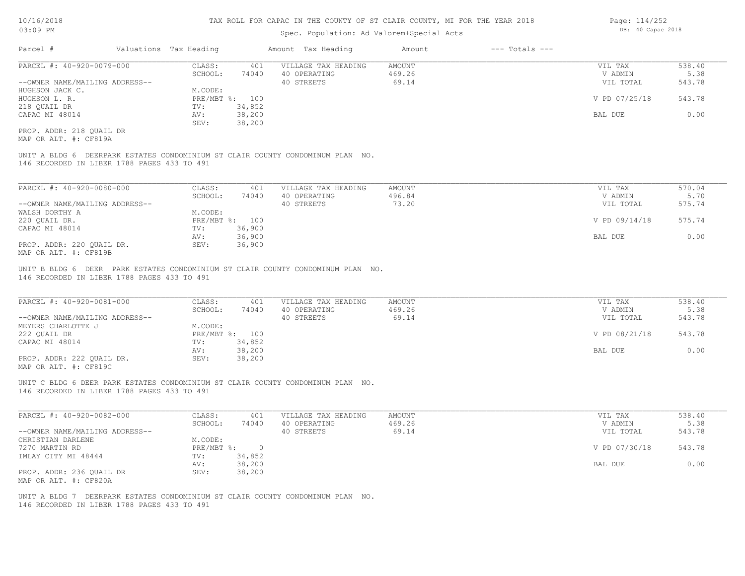## Spec. Population: Ad Valorem+Special Acts

| Parcel #                       | Valuations Tax Heading |        | Amount Tax Heading  | Amount | $---$ Totals $---$ |               |        |
|--------------------------------|------------------------|--------|---------------------|--------|--------------------|---------------|--------|
| PARCEL #: 40-920-0079-000      | CLASS:                 | 401    | VILLAGE TAX HEADING | AMOUNT |                    | VIL TAX       | 538.40 |
|                                | SCHOOL:                | 74040  | 40 OPERATING        | 469.26 |                    | V ADMIN       | 5.38   |
| --OWNER NAME/MAILING ADDRESS-- |                        |        | 40 STREETS          | 69.14  |                    | VIL TOTAL     | 543.78 |
| HUGHSON JACK C.                | M.CODE:                |        |                     |        |                    |               |        |
| HUGHSON L. R.                  | PRE/MBT %: 100         |        |                     |        |                    | V PD 07/25/18 | 543.78 |
| 218 QUAIL DR                   | TV:                    | 34,852 |                     |        |                    |               |        |
| CAPAC MI 48014                 | AV:                    | 38,200 |                     |        |                    | BAL DUE       | 0.00   |
|                                | SEV:                   | 38,200 |                     |        |                    |               |        |
| PROP. ADDR: 218 OUAIL DR       |                        |        |                     |        |                    |               |        |

MAP OR ALT. #: CF819A

146 RECORDED IN LIBER 1788 PAGES 433 TO 491 UNIT A BLDG 6 DEERPARK ESTATES CONDOMINIUM ST CLAIR COUNTY CONDOMINUM PLAN NO.

| PARCEL #: 40-920-0080-000      | CLASS:  | 401            | VILLAGE TAX HEADING | AMOUNT | VIL TAX       | 570.04 |
|--------------------------------|---------|----------------|---------------------|--------|---------------|--------|
|                                | SCHOOL: | 74040          | 40 OPERATING        | 496.84 | V ADMIN       | 5.70   |
| --OWNER NAME/MAILING ADDRESS-- |         |                | 40 STREETS          | 73.20  | VIL TOTAL     | 575.74 |
| WALSH DORTHY A                 | M.CODE: |                |                     |        |               |        |
| 220 OUAIL DR.                  |         | PRE/MBT %: 100 |                     |        | V PD 09/14/18 | 575.74 |
| CAPAC MI 48014                 | TV:     | 36,900         |                     |        |               |        |
|                                | AV:     | 36,900         |                     |        | BAL DUE       | 0.00   |
| PROP. ADDR: 220 QUAIL DR.      | SEV:    | 36,900         |                     |        |               |        |
| MAP OR ALT. #: CF819B          |         |                |                     |        |               |        |

146 RECORDED IN LIBER 1788 PAGES 433 TO 491 UNIT B BLDG 6 DEER PARK ESTATES CONDOMINIUM ST CLAIR COUNTY CONDOMINUM PLAN NO.

| PARCEL #: 40-920-0081-000      | CLASS:     | 401    | VILLAGE TAX HEADING | AMOUNT | VIL TAX       | 538.40 |
|--------------------------------|------------|--------|---------------------|--------|---------------|--------|
|                                | SCHOOL:    | 74040  | 40 OPERATING        | 469.26 | V ADMIN       | 5.38   |
| --OWNER NAME/MAILING ADDRESS-- |            |        | 40 STREETS          | 69.14  | VIL TOTAL     | 543.78 |
| MEYERS CHARLOTTE J             | M.CODE:    |        |                     |        |               |        |
| 222 OUAIL DR                   | PRE/MBT %: | 100    |                     |        | V PD 08/21/18 | 543.78 |
| CAPAC MI 48014                 | TV:        | 34,852 |                     |        |               |        |
|                                | AV:        | 38,200 |                     |        | BAL DUE       | 0.00   |
| PROP. ADDR: 222 OUAIL DR.      | SEV:       | 38,200 |                     |        |               |        |
| $1/25$ $05$ $375$ $\pm 0.0100$ |            |        |                     |        |               |        |

 $\mathcal{L}_\mathcal{L} = \mathcal{L}_\mathcal{L} = \mathcal{L}_\mathcal{L} = \mathcal{L}_\mathcal{L} = \mathcal{L}_\mathcal{L} = \mathcal{L}_\mathcal{L} = \mathcal{L}_\mathcal{L} = \mathcal{L}_\mathcal{L} = \mathcal{L}_\mathcal{L} = \mathcal{L}_\mathcal{L} = \mathcal{L}_\mathcal{L} = \mathcal{L}_\mathcal{L} = \mathcal{L}_\mathcal{L} = \mathcal{L}_\mathcal{L} = \mathcal{L}_\mathcal{L} = \mathcal{L}_\mathcal{L} = \mathcal{L}_\mathcal{L}$ 

MAP OR ALT. #: CF819C

146 RECORDED IN LIBER 1788 PAGES 433 TO 491 UNIT C BLDG 6 DEER PARK ESTATES CONDOMINIUM ST CLAIR COUNTY CONDOMINUM PLAN NO.

| PARCEL #: 40-920-0082-000      | CLASS:       | 401    | VILLAGE TAX HEADING | AMOUNT | VIL TAX       | 538.40 |
|--------------------------------|--------------|--------|---------------------|--------|---------------|--------|
|                                | SCHOOL:      | 74040  | 40 OPERATING        | 469.26 | V ADMIN       | 5.38   |
| --OWNER NAME/MAILING ADDRESS-- |              |        | 40 STREETS          | 69.14  | VIL TOTAL     | 543.78 |
| CHRISTIAN DARLENE              | M.CODE:      |        |                     |        |               |        |
| 7270 MARTIN RD                 | $PRE/MBT$ %: |        |                     |        | V PD 07/30/18 | 543.78 |
| IMLAY CITY MI 48444            | TV:          | 34,852 |                     |        |               |        |
|                                | AV:          | 38,200 |                     |        | BAL DUE       | 0.00   |
| PROP. ADDR: 236 OUAIL DR       | SEV:         | 38,200 |                     |        |               |        |
| MAP OR ALT. #: CF820A          |              |        |                     |        |               |        |

146 RECORDED IN LIBER 1788 PAGES 433 TO 491 UNIT A BLDG 7 DEERPARK ESTATES CONDOMINIUM ST CLAIR COUNTY CONDOMINUM PLAN NO. Page: 114/252 DB: 40 Capac 2018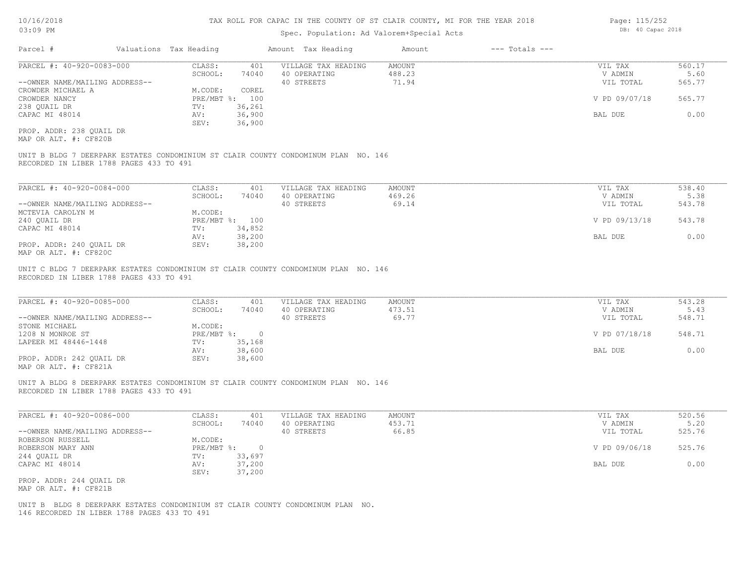## Spec. Population: Ad Valorem+Special Acts

| Parcel #                       | Valuations Tax Heading |        | Amount Tax Heading  | Amount | $---$ Totals $---$ |               |        |
|--------------------------------|------------------------|--------|---------------------|--------|--------------------|---------------|--------|
| PARCEL #: 40-920-0083-000      | CLASS:                 | 401    | VILLAGE TAX HEADING | AMOUNT |                    | VIL TAX       | 560.17 |
|                                | SCHOOL:                | 74040  | 40 OPERATING        | 488.23 |                    | V ADMIN       | 5.60   |
| --OWNER NAME/MAILING ADDRESS-- |                        |        | 40 STREETS          | 71.94  |                    | VIL TOTAL     | 565.77 |
| CROWDER MICHAEL A              | M.CODE:                | COREL  |                     |        |                    |               |        |
| CROWDER NANCY                  | $PRE/MBT$ %:           | 100    |                     |        |                    | V PD 09/07/18 | 565.77 |
| 238 QUAIL DR                   | TV:                    | 36,261 |                     |        |                    |               |        |
| CAPAC MI 48014                 | AV:                    | 36,900 |                     |        |                    | BAL DUE       | 0.00   |
|                                | SEV:                   | 36,900 |                     |        |                    |               |        |
| PROP. ADDR: 238 OUAIL DR       |                        |        |                     |        |                    |               |        |

MAP OR ALT. #: CF820B

RECORDED IN LIBER 1788 PAGES 433 TO 491 UNIT B BLDG 7 DEERPARK ESTATES CONDOMINIUM ST CLAIR COUNTY CONDOMINUM PLAN NO. 146

| PARCEL #: 40-920-0084-000      | CLASS:  | 401            | VILLAGE TAX HEADING | AMOUNT | VIL TAX       | 538.40 |
|--------------------------------|---------|----------------|---------------------|--------|---------------|--------|
|                                | SCHOOL: | 74040          | 40 OPERATING        | 469.26 | V ADMIN       | 5.38   |
| --OWNER NAME/MAILING ADDRESS-- |         |                | 40 STREETS          | 69.14  | VIL TOTAL     | 543.78 |
| MCTEVIA CAROLYN M              | M.CODE: |                |                     |        |               |        |
| 240 OUAIL DR                   |         | PRE/MBT %: 100 |                     |        | V PD 09/13/18 | 543.78 |
| CAPAC MI 48014                 | TV:     | 34,852         |                     |        |               |        |
|                                | AV:     | 38,200         |                     |        | BAL DUE       | 0.00   |
| PROP. ADDR: 240 QUAIL DR       | SEV:    | 38,200         |                     |        |               |        |
| MAP OR ALT. #: CF820C          |         |                |                     |        |               |        |

RECORDED IN LIBER 1788 PAGES 433 TO 491 UNIT C BLDG 7 DEERPARK ESTATES CONDOMINIUM ST CLAIR COUNTY CONDOMINUM PLAN NO. 146

| PARCEL #: 40-920-0085-000      | CLASS:     | 401    | VILLAGE TAX HEADING | AMOUNT | VIL TAX       | 543.28 |  |
|--------------------------------|------------|--------|---------------------|--------|---------------|--------|--|
|                                | SCHOOL:    | 74040  | 40 OPERATING        | 473.51 | V ADMIN       | 5.43   |  |
| --OWNER NAME/MAILING ADDRESS-- |            |        | 40 STREETS          | 69.77  | VIL TOTAL     | 548.71 |  |
| STONE MICHAEL                  | M.CODE:    |        |                     |        |               |        |  |
| 1208 N MONROE ST               | PRE/MBT %: |        |                     |        | V PD 07/18/18 | 548.71 |  |
| LAPEER MI 48446-1448           | TV:        | 35,168 |                     |        |               |        |  |
|                                | AV:        | 38,600 |                     |        | BAL DUE       | 0.00   |  |
| PROP. ADDR: 242 OUAIL DR       | SEV:       | 38,600 |                     |        |               |        |  |
| $\frac{1}{2}$                  |            |        |                     |        |               |        |  |

 $\mathcal{L}_\mathcal{L} = \mathcal{L}_\mathcal{L} = \mathcal{L}_\mathcal{L} = \mathcal{L}_\mathcal{L} = \mathcal{L}_\mathcal{L} = \mathcal{L}_\mathcal{L} = \mathcal{L}_\mathcal{L} = \mathcal{L}_\mathcal{L} = \mathcal{L}_\mathcal{L} = \mathcal{L}_\mathcal{L} = \mathcal{L}_\mathcal{L} = \mathcal{L}_\mathcal{L} = \mathcal{L}_\mathcal{L} = \mathcal{L}_\mathcal{L} = \mathcal{L}_\mathcal{L} = \mathcal{L}_\mathcal{L} = \mathcal{L}_\mathcal{L}$ 

MAP OR ALT. #: CF821A

RECORDED IN LIBER 1788 PAGES 433 TO 491 UNIT A BLDG 8 DEERPARK ESTATES CONDOMINIUM ST CLAIR COUNTY CONDOMINUM PLAN NO. 146

| PARCEL #: 40-920-0086-000      | CLASS:       | 401    | VILLAGE TAX HEADING | AMOUNT | VIL TAX       | 520.56 |
|--------------------------------|--------------|--------|---------------------|--------|---------------|--------|
|                                | SCHOOL:      | 74040  | 40 OPERATING        | 453.71 | V ADMIN       | 5.20   |
| --OWNER NAME/MAILING ADDRESS-- |              |        | 40 STREETS          | 66.85  | VIL TOTAL     | 525.76 |
| ROBERSON RUSSELL               | M.CODE:      |        |                     |        |               |        |
| ROBERSON MARY ANN              | $PRE/MBT$ %: |        |                     |        | V PD 09/06/18 | 525.76 |
| 244 QUAIL DR                   | TV:          | 33,697 |                     |        |               |        |
| CAPAC MI 48014                 | AV:          | 37,200 |                     |        | BAL DUE       | 0.00   |
|                                | SEV:         | 37,200 |                     |        |               |        |
| PROP. ADDR: 244 OUAIL DR       |              |        |                     |        |               |        |

MAP OR ALT. #: CF821B

146 RECORDED IN LIBER 1788 PAGES 433 TO 491 UNIT B BLDG 8 DEERPARK ESTATES CONDOMINIUM ST CLAIR COUNTY CONDOMINUM PLAN NO. Page: 115/252 DB: 40 Capac 2018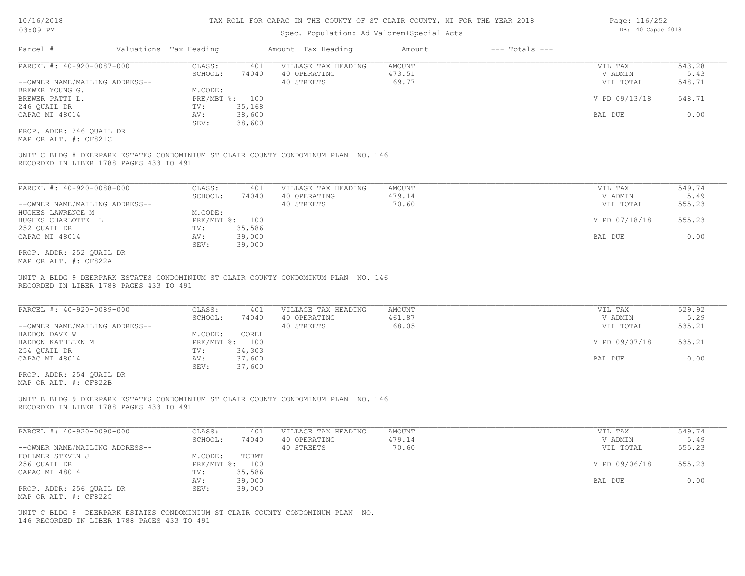## Spec. Population: Ad Valorem+Special Acts

| Parcel #                       | Valuations Tax Heading |        | Amount Tax Heading  | Amount | $---$ Totals $---$ |               |        |
|--------------------------------|------------------------|--------|---------------------|--------|--------------------|---------------|--------|
| PARCEL #: 40-920-0087-000      | CLASS:                 | 401    | VILLAGE TAX HEADING | AMOUNT |                    | VIL TAX       | 543.28 |
|                                | SCHOOL:                | 74040  | 40 OPERATING        | 473.51 |                    | V ADMIN       | 5.43   |
| --OWNER NAME/MAILING ADDRESS-- |                        |        | 40 STREETS          | 69.77  |                    | VIL TOTAL     | 548.71 |
| BREWER YOUNG G.                | M.CODE:                |        |                     |        |                    |               |        |
| BREWER PATTI L.                | PRE/MBT %: 100         |        |                     |        |                    | V PD 09/13/18 | 548.71 |
| 246 OUAIL DR                   | TV:                    | 35,168 |                     |        |                    |               |        |
| CAPAC MI 48014                 | AV:                    | 38,600 |                     |        |                    | BAL DUE       | 0.00   |
|                                | SEV:                   | 38,600 |                     |        |                    |               |        |
| PROP. ADDR: 246 OUAIL DR       |                        |        |                     |        |                    |               |        |

MAP OR ALT. #: CF821C

RECORDED IN LIBER 1788 PAGES 433 TO 491 UNIT C BLDG 8 DEERPARK ESTATES CONDOMINIUM ST CLAIR COUNTY CONDOMINUM PLAN NO. 146

| PARCEL #: 40-920-0088-000      | CLASS:  | 401            | VILLAGE TAX HEADING | AMOUNT | VIL TAX       | 549.74 |
|--------------------------------|---------|----------------|---------------------|--------|---------------|--------|
|                                | SCHOOL: | 74040          | 40 OPERATING        | 479.14 | V ADMIN       | 5.49   |
| --OWNER NAME/MAILING ADDRESS-- |         |                | 40 STREETS          | 70.60  | VIL TOTAL     | 555.23 |
| HUGHES LAWRENCE M              | M.CODE: |                |                     |        |               |        |
| HUGHES CHARLOTTE L             |         | PRE/MBT %: 100 |                     |        | V PD 07/18/18 | 555.23 |
| 252 QUAIL DR                   | TV:     | 35,586         |                     |        |               |        |
| CAPAC MI 48014                 | AV:     | 39,000         |                     |        | BAL DUE       | 0.00   |
|                                | SEV:    | 39,000         |                     |        |               |        |
| PROP. ADDR: 252 QUAIL DR       |         |                |                     |        |               |        |

MAP OR ALT. #: CF822A

RECORDED IN LIBER 1788 PAGES 433 TO 491 UNIT A BLDG 9 DEERPARK ESTATES CONDOMINIUM ST CLAIR COUNTY CONDOMINUM PLAN NO. 146

| PARCEL #: 40-920-0089-000                     | CLASS:  | 401            | VILLAGE TAX HEADING | AMOUNT | VIL TAX       | 529.92 |
|-----------------------------------------------|---------|----------------|---------------------|--------|---------------|--------|
|                                               | SCHOOL: | 74040          | 40 OPERATING        | 461.87 | V ADMIN       | 5.29   |
| --OWNER NAME/MAILING ADDRESS--                |         |                | 40 STREETS          | 68.05  | VIL TOTAL     | 535.21 |
| HADDON DAVE W                                 | M.CODE: | COREL          |                     |        |               |        |
| HADDON KATHLEEN M                             |         | PRE/MBT %: 100 |                     |        | V PD 09/07/18 | 535.21 |
| 254 QUAIL DR                                  | TV:     | 34,303         |                     |        |               |        |
| CAPAC MI 48014                                | AV:     | 37,600         |                     |        | BAL DUE       | 0.00   |
|                                               | SEV:    | 37,600         |                     |        |               |        |
| the property of the control of the control of |         |                |                     |        |               |        |

MAP OR ALT. #: CF822B PROP. ADDR: 254 QUAIL DR

RECORDED IN LIBER 1788 PAGES 433 TO 491 UNIT B BLDG 9 DEERPARK ESTATES CONDOMINIUM ST CLAIR COUNTY CONDOMINUM PLAN NO. 146

| PARCEL #: 40-920-0090-000      | CLASS:  | 401            | VILLAGE TAX HEADING | AMOUNT | VIL TAX       | 549.74 |
|--------------------------------|---------|----------------|---------------------|--------|---------------|--------|
|                                | SCHOOL: | 74040          | 40 OPERATING        | 479.14 | V ADMIN       | 5.49   |
| --OWNER NAME/MAILING ADDRESS-- |         |                | 40 STREETS          | 70.60  | VIL TOTAL     | 555.23 |
| FOLLMER STEVEN J               | M.CODE: | TCBMT          |                     |        |               |        |
| 256 QUAIL DR                   |         | PRE/MBT %: 100 |                     |        | V PD 09/06/18 | 555.23 |
| CAPAC MI 48014                 | TV:     | 35,586         |                     |        |               |        |
|                                | AV:     | 39,000         |                     |        | BAL DUE       | 0.00   |
| PROP. ADDR: 256 OUAIL DR       | SEV:    | 39,000         |                     |        |               |        |
| MAP OR ALT. #: CF822C          |         |                |                     |        |               |        |

146 RECORDED IN LIBER 1788 PAGES 433 TO 491 UNIT C BLDG 9 DEERPARK ESTATES CONDOMINIUM ST CLAIR COUNTY CONDOMINUM PLAN NO. Page: 116/252 DB: 40 Capac 2018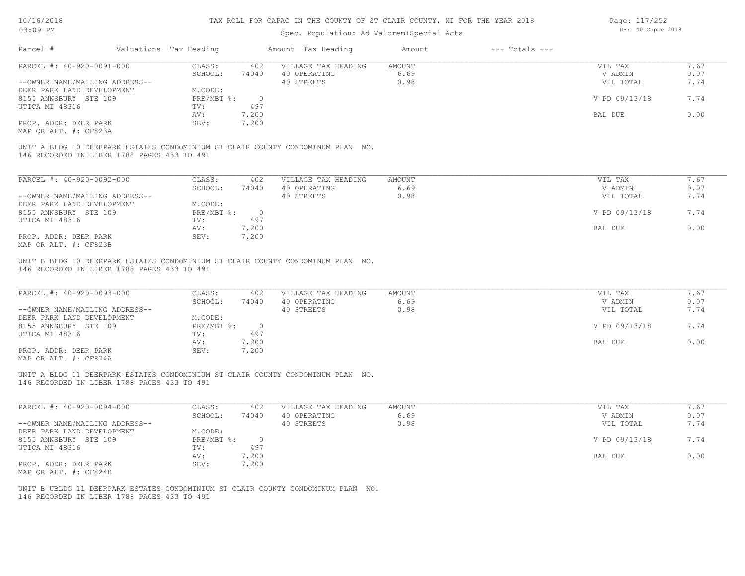## Spec. Population: Ad Valorem+Special Acts

| Page: 117/252 |                   |  |
|---------------|-------------------|--|
|               | DB: 40 Capac 2018 |  |

| Parcel #                       | Valuations Tax Heading |       | Amount Tax Heading                                                              | Amount | $---$ Totals $---$ |               |      |
|--------------------------------|------------------------|-------|---------------------------------------------------------------------------------|--------|--------------------|---------------|------|
| PARCEL #: 40-920-0091-000      | CLASS:                 | 402   | VILLAGE TAX HEADING                                                             | AMOUNT |                    | VIL TAX       | 7.67 |
|                                | SCHOOL:                | 74040 | 40 OPERATING                                                                    | 6.69   |                    | V ADMIN       | 0.07 |
| --OWNER NAME/MAILING ADDRESS-- |                        |       | 40 STREETS                                                                      | 0.98   |                    | VIL TOTAL     | 7.74 |
| DEER PARK LAND DEVELOPMENT     | M.CODE:                |       |                                                                                 |        |                    |               |      |
| 8155 ANNSBURY STE 109          | PRE/MBT %:             |       |                                                                                 |        |                    | V PD 09/13/18 | 7.74 |
| UTICA MI 48316                 | TV:                    | 497   |                                                                                 |        |                    |               |      |
|                                | AV:                    | 7,200 |                                                                                 |        |                    | BAL DUE       | 0.00 |
| PROP. ADDR: DEER PARK          | SEV:                   | 7,200 |                                                                                 |        |                    |               |      |
| MAP OR ALT. #: CF823A          |                        |       |                                                                                 |        |                    |               |      |
|                                |                        |       |                                                                                 |        |                    |               |      |
|                                |                        |       | UNIT A BLDG 10 DEERPARK ESTATES CONDOMINIUM ST CLAIR COUNTY CONDOMINUM PLAN NO. |        |                    |               |      |

146 RECORDED IN LIBER 1788 PAGES 433 TO 491

| PARCEL #: 40-920-0092-000      | CLASS:     | 402   | VILLAGE TAX HEADING | AMOUNT | 7.67<br>VIL TAX       |  |
|--------------------------------|------------|-------|---------------------|--------|-----------------------|--|
|                                | SCHOOL:    | 74040 | 40 OPERATING        | 6.69   | 0.07<br>V ADMIN       |  |
| --OWNER NAME/MAILING ADDRESS-- |            |       | 40 STREETS          | 0.98   | 7.74<br>VIL TOTAL     |  |
| DEER PARK LAND DEVELOPMENT     | M.CODE:    |       |                     |        |                       |  |
| 8155 ANNSBURY STE 109          | PRE/MBT %: |       |                     |        | V PD 09/13/18<br>7.74 |  |
| UTICA MI 48316                 | TV:        | 497   |                     |        |                       |  |
|                                | AV:        | 7,200 |                     |        | BAL DUE<br>0.00       |  |
| PROP. ADDR: DEER PARK          | SEV:       | 7,200 |                     |        |                       |  |
| MAP OR ALT. #: CF823B          |            |       |                     |        |                       |  |

146 RECORDED IN LIBER 1788 PAGES 433 TO 491 UNIT B BLDG 10 DEERPARK ESTATES CONDOMINIUM ST CLAIR COUNTY CONDOMINUM PLAN NO.

| PARCEL #: 40-920-0093-000      | CLASS:     | 402   | VILLAGE TAX HEADING | AMOUNT | VIL TAX       | 7.67 |
|--------------------------------|------------|-------|---------------------|--------|---------------|------|
|                                | SCHOOL:    | 74040 | 40 OPERATING        | 6.69   | V ADMIN       | 0.07 |
| --OWNER NAME/MAILING ADDRESS-- |            |       | 40 STREETS          | 0.98   | VIL TOTAL     | 7.74 |
| DEER PARK LAND DEVELOPMENT     | M.CODE:    |       |                     |        |               |      |
| 8155 ANNSBURY STE 109          | PRE/MBT %: |       |                     |        | V PD 09/13/18 | 7.74 |
| UTICA MI 48316                 | TV:        | 497   |                     |        |               |      |
|                                | AV:        | 7,200 |                     |        | BAL DUE       | 0.00 |
| PROP. ADDR: DEER PARK          | SEV:       | 7,200 |                     |        |               |      |
| MAP OR ALT. #: CF824A          |            |       |                     |        |               |      |

146 RECORDED IN LIBER 1788 PAGES 433 TO 491 UNIT A BLDG 11 DEERPARK ESTATES CONDOMINIUM ST CLAIR COUNTY CONDOMINUM PLAN NO.

| PARCEL #: 40-920-0094-000      | CLASS:     | 402   | VILLAGE TAX HEADING | AMOUNT | VIL TAX       | 1.67 |
|--------------------------------|------------|-------|---------------------|--------|---------------|------|
|                                | SCHOOL:    | 74040 | 40 OPERATING        | 6.69   | V ADMIN       | 0.07 |
| --OWNER NAME/MAILING ADDRESS-- |            |       | 40 STREETS          | 0.98   | VIL TOTAL     | 7.74 |
| DEER PARK LAND DEVELOPMENT     | M.CODE:    |       |                     |        |               |      |
| 8155 ANNSBURY STE 109          | PRE/MBT %: |       |                     |        | V PD 09/13/18 | 7.74 |
| UTICA MI 48316                 | TV:        | 497   |                     |        |               |      |
|                                | AV:        | 7,200 |                     |        | BAL DUE       | 0.00 |
| PROP. ADDR: DEER PARK          | SEV:       | 7,200 |                     |        |               |      |
| MAP OR ALT. #: CF824B          |            |       |                     |        |               |      |

146 RECORDED IN LIBER 1788 PAGES 433 TO 491 UNIT B UBLDG 11 DEERPARK ESTATES CONDOMINIUM ST CLAIR COUNTY CONDOMINUM PLAN NO.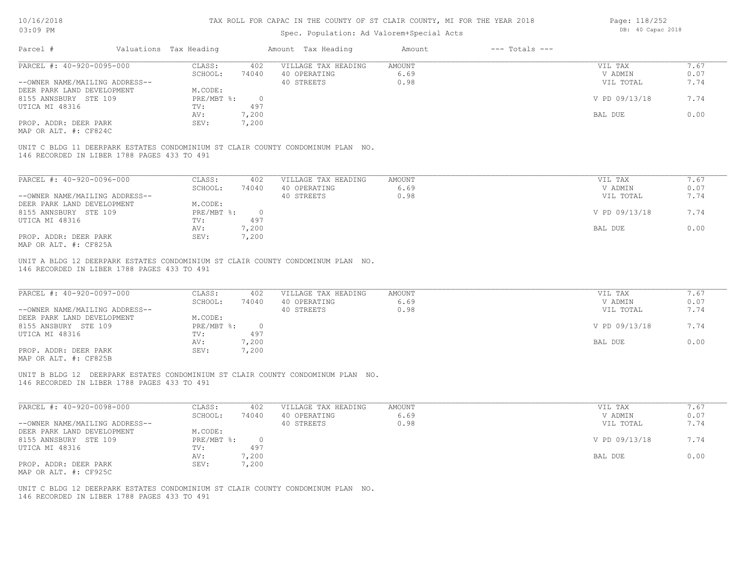| 10/16/2018                                     |                                             |                        |                | TAX ROLL FOR CAPAC IN THE COUNTY OF ST CLAIR COUNTY, MI FOR THE YEAR 2018       | Page: 118/252 |                    |                   |      |  |
|------------------------------------------------|---------------------------------------------|------------------------|----------------|---------------------------------------------------------------------------------|---------------|--------------------|-------------------|------|--|
| 03:09 PM                                       |                                             |                        |                | Spec. Population: Ad Valorem+Special Acts                                       |               |                    | DB: 40 Capac 2018 |      |  |
| Parcel #                                       |                                             | Valuations Tax Heading |                | Amount Tax Heading                                                              | Amount        | $---$ Totals $---$ |                   |      |  |
| PARCEL #: 40-920-0095-000                      |                                             | CLASS:                 | 402            | VILLAGE TAX HEADING                                                             | <b>AMOUNT</b> |                    | VIL TAX           | 7.67 |  |
|                                                |                                             | SCHOOL:                | 74040          | 40 OPERATING                                                                    | 6.69          |                    | V ADMIN           | 0.07 |  |
| --OWNER NAME/MAILING ADDRESS--                 |                                             |                        |                | 40 STREETS                                                                      | 0.98          |                    | VIL TOTAL         | 7.74 |  |
| DEER PARK LAND DEVELOPMENT                     |                                             | M.CODE:                |                |                                                                                 |               |                    |                   |      |  |
| 8155 ANNSBURY STE 109                          |                                             | PRE/MBT %:             | $\overline{0}$ |                                                                                 |               |                    | V PD 09/13/18     | 7.74 |  |
| UTICA MI 48316                                 |                                             | TV:                    | 497            |                                                                                 |               |                    |                   |      |  |
|                                                |                                             | AV:                    | 7,200          |                                                                                 |               |                    | BAL DUE           | 0.00 |  |
| PROP. ADDR: DEER PARK<br>MAP OR ALT. #: CF824C |                                             | SEV:                   | 7,200          |                                                                                 |               |                    |                   |      |  |
|                                                | 146 RECORDED IN LIBER 1788 PAGES 433 TO 491 |                        |                | UNIT C BLDG 11 DEERPARK ESTATES CONDOMINIUM ST CLAIR COUNTY CONDOMINUM PLAN NO. |               |                    |                   |      |  |
|                                                |                                             |                        |                |                                                                                 |               |                    |                   |      |  |
| PARCEL #: 40-920-0096-000                      |                                             | CLASS:                 | 402            | VILLAGE TAX HEADING                                                             | AMOUNT        |                    | VIL TAX           | 7.67 |  |
|                                                |                                             | SCHOOL:                | 74040          | 40 OPERATING                                                                    | 6.69          |                    | V ADMIN           | 0.07 |  |
| --OWNER NAME/MAILING ADDRESS--                 |                                             |                        |                | 40 STREETS                                                                      | 0.98          |                    | VIL TOTAL         | 7.74 |  |
| DEER PARK LAND DEVELOPMENT                     |                                             | M.CODE:                |                |                                                                                 |               |                    |                   |      |  |
| 8155 ANNSBURY STE 109                          |                                             | PRE/MBT %:             | $\overline{0}$ |                                                                                 |               |                    | V PD 09/13/18     | 7.74 |  |
| UTICA MI 48316                                 |                                             | TV:                    | 497            |                                                                                 |               |                    |                   |      |  |
|                                                |                                             | AV:                    | 7,200          |                                                                                 |               |                    | BAL DUE           | 0.00 |  |
| PROP. ADDR: DEER PARK<br>MAP OR ALT. #: CF825A |                                             | SEV:                   | 7,200          |                                                                                 |               |                    |                   |      |  |
| PARCEL #: 40-920-0097-000                      | 146 RECORDED IN LIBER 1788 PAGES 433 TO 491 | CLASS:                 | 402            | VILLAGE TAX HEADING                                                             | AMOUNT        |                    | VIL TAX           | 7.67 |  |
|                                                |                                             | SCHOOL:                | 74040          | 40 OPERATING                                                                    | 6.69          |                    | V ADMIN           | 0.07 |  |
| --OWNER NAME/MAILING ADDRESS--                 |                                             |                        |                | 40 STREETS                                                                      | 0.98          |                    | VIL TOTAL         | 7.74 |  |
| DEER PARK LAND DEVELOPMENT                     |                                             | M.CODE:                |                |                                                                                 |               |                    |                   |      |  |
| 8155 ANSBURY STE 109                           |                                             | PRE/MBT %:             | $\overline{0}$ |                                                                                 |               |                    | V PD 09/13/18     | 7.74 |  |
| UTICA MI 48316                                 |                                             | TV:                    | 497            |                                                                                 |               |                    |                   | 0.00 |  |
| PROP. ADDR: DEER PARK                          |                                             | AV:<br>SEV:            | 7,200          |                                                                                 |               |                    | BAL DUE           |      |  |
| MAP OR ALT. #: CF825B                          |                                             |                        | 7,200          |                                                                                 |               |                    |                   |      |  |
|                                                | 146 RECORDED IN LIBER 1788 PAGES 433 TO 491 |                        |                | UNIT B BLDG 12 DEERPARK ESTATES CONDOMINIUM ST CLAIR COUNTY CONDOMINUM PLAN NO. |               |                    |                   |      |  |
|                                                |                                             |                        |                |                                                                                 |               |                    |                   |      |  |
| PARCEL #: 40-920-0098-000                      |                                             | CLASS:                 | 402            | VILLAGE TAX HEADING                                                             | <b>AMOUNT</b> |                    | VIL TAX           | 7.67 |  |
|                                                |                                             | SCHOOL:                | 74040          | 40 OPERATING                                                                    | 6.69          |                    | V ADMIN           | 0.07 |  |
| --OWNER NAME/MAILING ADDRESS--                 |                                             |                        |                | 40 STREETS                                                                      | 0.98          |                    | VIL TOTAL         | 7.74 |  |
| DEER PARK LAND DEVELOPMENT                     |                                             | M.CODE:                |                |                                                                                 |               |                    |                   |      |  |
| 8155 ANNSBURY STE 109                          |                                             | PRE/MBT %:             | $\overline{0}$ |                                                                                 |               |                    | V PD 09/13/18     | 7.74 |  |
| UTICA MI 48316                                 |                                             | TV:                    | 497            |                                                                                 |               |                    |                   |      |  |
|                                                |                                             | AV:                    | 7,200          |                                                                                 |               |                    | BAL DUE           | 0.00 |  |
| PROP. ADDR: DEER PARK<br>MAP OR ALT. #: CF925C |                                             | SEV:                   | 7,200          |                                                                                 |               |                    |                   |      |  |
|                                                | 146 RECORDED IN LIBER 1788 PAGES 433 TO 491 |                        |                | UNIT C BLDG 12 DEERPARK ESTATES CONDOMINIUM ST CLAIR COUNTY CONDOMINUM PLAN NO. |               |                    |                   |      |  |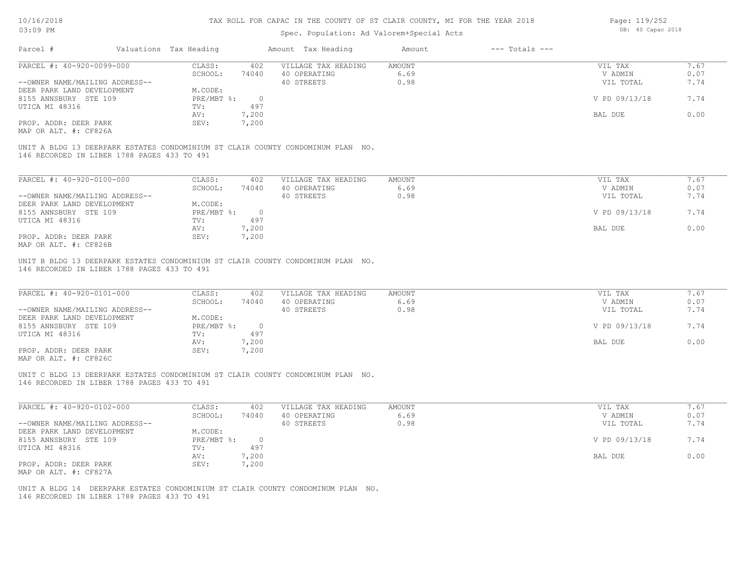## Spec. Population

| 10/16/2018 |                        | TAX ROLL FOR CAPAC IN THE COUNTY OF ST CLAIR COUNTY, MI FOR THE YEAR 2018 |        |                | Page: 119/252     |
|------------|------------------------|---------------------------------------------------------------------------|--------|----------------|-------------------|
| 03:09 PM   |                        | Spec. Population: Ad Valorem+Special Acts                                 |        |                | DB: 40 Capac 2018 |
| Parcel #   | Valuations Tax Heading | Amount Tax Heading                                                        | Amount | --- Totals --- |                   |

| PARCEL #: 40-920-0099-000      | CLASS:     | 402   | VILLAGE TAX HEADING | AMOUNT | VIL TAX       | , . 67 |
|--------------------------------|------------|-------|---------------------|--------|---------------|--------|
|                                | SCHOOL:    | 74040 | 40 OPERATING        | 6.69   | V ADMIN       | 0.07   |
| --OWNER NAME/MAILING ADDRESS-- |            |       | 40 STREETS          | 0.98   | VIL TOTAL     | 7.74   |
| DEER PARK LAND DEVELOPMENT     | M.CODE:    |       |                     |        |               |        |
| 8155 ANNSBURY STE 109          | PRE/MBT %: |       |                     |        | V PD 09/13/18 | 7.74   |
| UTICA MI 48316                 | TV:        | 497   |                     |        |               |        |
|                                | AV:        | 7,200 |                     |        | BAL DUE       | 0.00   |
| PROP. ADDR: DEER PARK          | SEV:       | 7,200 |                     |        |               |        |
|                                |            |       |                     |        |               |        |

MAP OR ALT. #: CF826A

146 RECORDED IN LIBER 1788 PAGES 433 TO 491 UNIT A BLDG 13 DEERPARK ESTATES CONDOMINIUM ST CLAIR COUNTY CONDOMINUM PLAN NO.

| PARCEL #: 40-920-0100-000      | CLASS:     | 402   | VILLAGE TAX HEADING | AMOUNT | VIL TAX       | 7.67 |
|--------------------------------|------------|-------|---------------------|--------|---------------|------|
|                                | SCHOOL:    | 74040 | 40 OPERATING        | 6.69   | V ADMIN       | 0.07 |
| --OWNER NAME/MAILING ADDRESS-- |            |       | 40 STREETS          | 0.98   | VIL TOTAL     | 7.74 |
| DEER PARK LAND DEVELOPMENT     | M.CODE:    |       |                     |        |               |      |
| 8155 ANNSBURY STE 109          | PRE/MBT %: |       |                     |        | V PD 09/13/18 | 7.74 |
| UTICA MI 48316                 | TV:        | 497   |                     |        |               |      |
|                                | AV:        | 7,200 |                     |        | BAL DUE       | 0.00 |
| PROP. ADDR: DEER PARK          | SEV:       | 7,200 |                     |        |               |      |
| MAP OR ALT. #: CF826B          |            |       |                     |        |               |      |

146 RECORDED IN LIBER 1788 PAGES 433 TO 491 UNIT B BLDG 13 DEERPARK ESTATES CONDOMINIUM ST CLAIR COUNTY CONDOMINUM PLAN NO.

| PARCEL #: 40-920-0101-000      | CLASS:     | 402   | VILLAGE TAX HEADING | AMOUNT | VIL TAX       | 7.67 |
|--------------------------------|------------|-------|---------------------|--------|---------------|------|
|                                | SCHOOL:    | 74040 | 40 OPERATING        | 6.69   | V ADMIN       | 0.07 |
| --OWNER NAME/MAILING ADDRESS-- |            |       | 40 STREETS          | 0.98   | VIL TOTAL     | 7.74 |
| DEER PARK LAND DEVELOPMENT     | M.CODE:    |       |                     |        |               |      |
| 8155 ANNSBURY STE 109          | PRE/MBT %: |       |                     |        | V PD 09/13/18 | 7.74 |
| UTICA MI 48316                 | TV:        | 497   |                     |        |               |      |
|                                | AV:        | 7,200 |                     |        | BAL DUE       | 0.00 |
| PROP. ADDR: DEER PARK          | SEV:       | 7,200 |                     |        |               |      |
| MAP OR ALT. #: CF826C          |            |       |                     |        |               |      |

146 RECORDED IN LIBER 1788 PAGES 433 TO 491 UNIT C BLDG 13 DEERPARK ESTATES CONDOMINIUM ST CLAIR COUNTY CONDOMINUM PLAN NO.

| PARCEL #: 40-920-0102-000      | CLASS:     | 402   | VILLAGE TAX HEADING | AMOUNT | VIL TAX       | 1.67 |
|--------------------------------|------------|-------|---------------------|--------|---------------|------|
|                                | SCHOOL:    | 74040 | 40 OPERATING        | 6.69   | V ADMIN       | 0.07 |
| --OWNER NAME/MAILING ADDRESS-- |            |       | 40 STREETS          | 0.98   | VIL TOTAL     | 7.74 |
| DEER PARK LAND DEVELOPMENT     | M.CODE:    |       |                     |        |               |      |
| 8155 ANNSBURY STE 109          | PRE/MBT %: |       |                     |        | V PD 09/13/18 | 7.74 |
| UTICA MI 48316                 | TV:        | 497   |                     |        |               |      |
|                                | AV:        | 7,200 |                     |        | BAL DUE       | 0.00 |
| PROP. ADDR: DEER PARK          | SEV:       | 7,200 |                     |        |               |      |
| MAP OR ALT. #: CF827A          |            |       |                     |        |               |      |

146 RECORDED IN LIBER 1788 PAGES 433 TO 491 UNIT A BLDG 14 DEERPARK ESTATES CONDOMINIUM ST CLAIR COUNTY CONDOMINUM PLAN NO.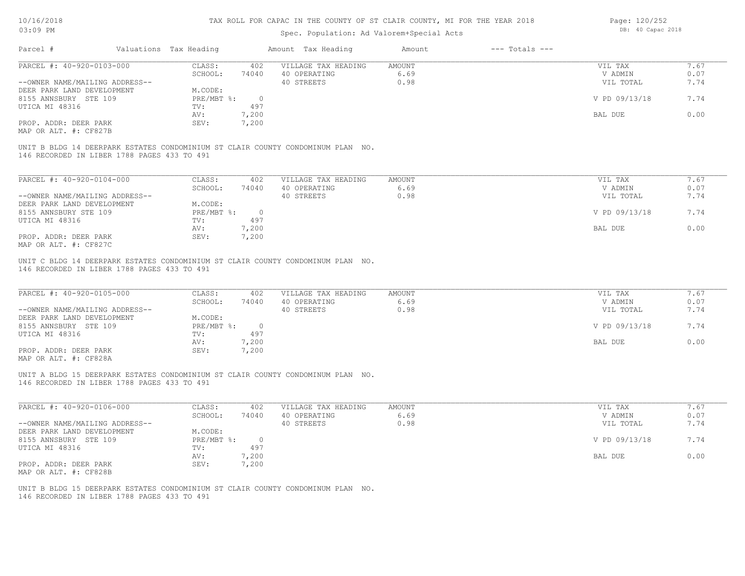| $03:09$ PM                |                        | Spec. Population: Ad Valorem+Special Acts | DB: 40 Capac 2018 |                |         |  |
|---------------------------|------------------------|-------------------------------------------|-------------------|----------------|---------|--|
| Parcel #                  | Valuations Tax Heading | Amount Tax Heading                        | Amount            | --- Totals --- |         |  |
| PARCEL #: 40-920-0103-000 | CLASS:                 | 402<br>VILLAGE TAX HEADING                | AMOUNT            |                | VIL TAX |  |

| PARCEL #: 40-920-0103-000      | CLASS:                    | 402   | VILLAGE TAX HEADING | AMOUNT | VIL TAX       | 7.67 |
|--------------------------------|---------------------------|-------|---------------------|--------|---------------|------|
|                                | SCHOOL:                   | 74040 | 40 OPERATING        | 6.69   | V ADMIN       | 0.07 |
| --OWNER NAME/MAILING ADDRESS-- |                           |       | 40 STREETS          | 0.98   | VIL TOTAL     | 7.74 |
| DEER PARK LAND DEVELOPMENT     | M.CODE:                   |       |                     |        |               |      |
| 8155 ANNSBURY STE 109          | $PRE/MBT$ $\frac{1}{6}$ : |       |                     |        | V PD 09/13/18 | 7.74 |
| UTICA MI 48316                 | TV:                       | 497   |                     |        |               |      |
|                                | AV:                       | ,200  |                     |        | BAL DUE       | 0.00 |
| PROP. ADDR: DEER PARK          | SEV:                      | 7,200 |                     |        |               |      |
|                                |                           |       |                     |        |               |      |

MAP OR ALT. #: CF827B

146 RECORDED IN LIBER 1788 PAGES 433 TO 491 UNIT B BLDG 14 DEERPARK ESTATES CONDOMINIUM ST CLAIR COUNTY CONDOMINUM PLAN NO.

| PARCEL #: 40-920-0104-000      | CLASS:     | 402      | VILLAGE TAX HEADING | AMOUNT | VIL TAX       | 7.67 |
|--------------------------------|------------|----------|---------------------|--------|---------------|------|
|                                | SCHOOL:    | 74040    | 40 OPERATING        | 6.69   | V ADMIN       | 0.07 |
| --OWNER NAME/MAILING ADDRESS-- |            |          | 40 STREETS          | 0.98   | VIL TOTAL     | 7.74 |
| DEER PARK LAND DEVELOPMENT     | M.CODE:    |          |                     |        |               |      |
| 8155 ANNSBURY STE 109          | PRE/MBT %: | $\Omega$ |                     |        | V PD 09/13/18 | 7.74 |
| UTICA MI 48316                 | TV:        | 497      |                     |        |               |      |
|                                | AV:        | ,200     |                     |        | BAL DUE       | 0.00 |
| PROP. ADDR: DEER PARK          | SEV:       | ,200     |                     |        |               |      |
| MAP OR ALT. #: CF827C          |            |          |                     |        |               |      |

146 RECORDED IN LIBER 1788 PAGES 433 TO 491 UNIT C BLDG 14 DEERPARK ESTATES CONDOMINIUM ST CLAIR COUNTY CONDOMINUM PLAN NO.

| PARCEL #: 40-920-0105-000      | CLASS:     | 402   | VILLAGE TAX HEADING | AMOUNT | VIL TAX       | 7.67 |
|--------------------------------|------------|-------|---------------------|--------|---------------|------|
|                                | SCHOOL:    | 74040 | 40 OPERATING        | 6.69   | V ADMIN       | 0.07 |
| --OWNER NAME/MAILING ADDRESS-- |            |       | 40 STREETS          | 0.98   | VIL TOTAL     | 7.74 |
| DEER PARK LAND DEVELOPMENT     | M.CODE:    |       |                     |        |               |      |
| 8155 ANNSBURY STE 109          | PRE/MBT %: |       |                     |        | V PD 09/13/18 | 7.74 |
| UTICA MI 48316                 | TV:        | 497   |                     |        |               |      |
|                                | AV:        | 7,200 |                     |        | BAL DUE       | 0.00 |
| PROP. ADDR: DEER PARK          | SEV:       | 7,200 |                     |        |               |      |
| MAP OR ALT. #: CF828A          |            |       |                     |        |               |      |

146 RECORDED IN LIBER 1788 PAGES 433 TO 491 UNIT A BLDG 15 DEERPARK ESTATES CONDOMINIUM ST CLAIR COUNTY CONDOMINUM PLAN NO.

| PARCEL #: 40-920-0106-000      | CLASS:       | 402   | VILLAGE TAX HEADING | AMOUNT | VIL TAX       | 1.67 |
|--------------------------------|--------------|-------|---------------------|--------|---------------|------|
|                                | SCHOOL:      | 74040 | 40 OPERATING        | 6.69   | V ADMIN       | 0.07 |
| --OWNER NAME/MAILING ADDRESS-- |              |       | 40 STREETS          | 0.98   | VIL TOTAL     | 7.74 |
| DEER PARK LAND DEVELOPMENT     | M.CODE:      |       |                     |        |               |      |
| 8155 ANNSBURY STE 109          | $PRE/MBT$ %: |       |                     |        | V PD 09/13/18 | 7.74 |
| UTICA MI 48316                 | TV:          | 497   |                     |        |               |      |
|                                | AV:          | 7,200 |                     |        | BAL DUE       | 0.00 |
| PROP. ADDR: DEER PARK          | SEV:         | 7,200 |                     |        |               |      |
| MAP OR ALT. #: CF828B          |              |       |                     |        |               |      |

146 RECORDED IN LIBER 1788 PAGES 433 TO 491 UNIT B BLDG 15 DEERPARK ESTATES CONDOMINIUM ST CLAIR COUNTY CONDOMINUM PLAN NO. Page: 120/252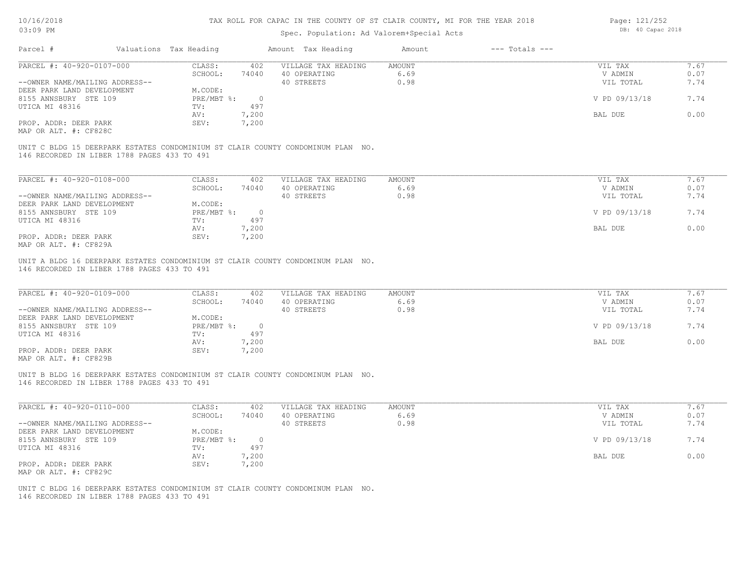## Spec. Population: Ad Valorem+Special Acts

| Page: 121/252 |  |                   |  |
|---------------|--|-------------------|--|
|               |  | DB: 40 Capac 2018 |  |

| Parcel #                       | Valuations Tax Heading |       | Amount Tax Heading  | Amount | $---$ Totals $---$ |               |      |
|--------------------------------|------------------------|-------|---------------------|--------|--------------------|---------------|------|
| PARCEL #: 40-920-0107-000      | CLASS:                 | 402   | VILLAGE TAX HEADING | AMOUNT |                    | VIL TAX       | 7.67 |
|                                | SCHOOL:                | 74040 | 40 OPERATING        | 6.69   |                    | V ADMIN       | 0.07 |
| --OWNER NAME/MAILING ADDRESS-- |                        |       | 40 STREETS          | 0.98   |                    | VIL TOTAL     | 7.74 |
| DEER PARK LAND DEVELOPMENT     | M.CODE:                |       |                     |        |                    |               |      |
| 8155 ANNSBURY STE 109          | PRE/MBT %:             |       |                     |        |                    | V PD 09/13/18 | 7.74 |
| UTICA MI 48316                 | TV:                    | 497   |                     |        |                    |               |      |
|                                | AV:                    | 7,200 |                     |        |                    | BAL DUE       | 0.00 |
| PROP. ADDR: DEER PARK          | SEV:                   | 7,200 |                     |        |                    |               |      |
| MAP OR ALT. #: CF828C          |                        |       |                     |        |                    |               |      |
|                                |                        |       |                     |        |                    |               |      |

146 RECORDED IN LIBER 1788 PAGES 433 TO 491 UNIT C BLDG 15 DEERPARK ESTATES CONDOMINIUM ST CLAIR COUNTY CONDOMINUM PLAN NO.

| PARCEL #: 40-920-0108-000      | CLASS:     | 402   | VILLAGE TAX HEADING | AMOUNT | VIL TAX       | 7.67 |
|--------------------------------|------------|-------|---------------------|--------|---------------|------|
|                                | SCHOOL:    | 74040 | 40 OPERATING        | 6.69   | V ADMIN       | 0.07 |
| --OWNER NAME/MAILING ADDRESS-- |            |       | 40 STREETS          | 0.98   | VIL TOTAL     | 7.74 |
| DEER PARK LAND DEVELOPMENT     | M.CODE:    |       |                     |        |               |      |
| 8155 ANNSBURY STE 109          | PRE/MBT %: |       |                     |        | V PD 09/13/18 | 7.74 |
| UTICA MI 48316                 | TV:        | 497   |                     |        |               |      |
|                                | AV:        | 1,200 |                     |        | BAL DUE       | 0.00 |
| PROP. ADDR: DEER PARK          | SEV:       | 7,200 |                     |        |               |      |
| MAP OR ALT. #: CF829A          |            |       |                     |        |               |      |

146 RECORDED IN LIBER 1788 PAGES 433 TO 491 UNIT A BLDG 16 DEERPARK ESTATES CONDOMINIUM ST CLAIR COUNTY CONDOMINUM PLAN NO.

| PARCEL #: 40-920-0109-000      | CLASS:     | 402   | VILLAGE TAX HEADING | AMOUNT | VIL TAX       | 7.67 |
|--------------------------------|------------|-------|---------------------|--------|---------------|------|
|                                | SCHOOL:    | 74040 | 40 OPERATING        | 6.69   | V ADMIN       | 0.07 |
| --OWNER NAME/MAILING ADDRESS-- |            |       | 40 STREETS          | 0.98   | VIL TOTAL     | 7.74 |
| DEER PARK LAND DEVELOPMENT     | M.CODE:    |       |                     |        |               |      |
| 8155 ANNSBURY STE 109          | PRE/MBT %: |       |                     |        | V PD 09/13/18 | 7.74 |
| UTICA MI 48316                 | TV:        | 497   |                     |        |               |      |
|                                | AV:        | 7,200 |                     |        | BAL DUE       | 0.00 |
| PROP. ADDR: DEER PARK          | SEV:       | 7,200 |                     |        |               |      |
| MAP OR ALT. #: CF829B          |            |       |                     |        |               |      |

146 RECORDED IN LIBER 1788 PAGES 433 TO 491 UNIT B BLDG 16 DEERPARK ESTATES CONDOMINIUM ST CLAIR COUNTY CONDOMINUM PLAN NO.

| PARCEL #: 40-920-0110-000      | CLASS:     | 402   | VILLAGE TAX HEADING | AMOUNT | VIL TAX       | 1.67 |
|--------------------------------|------------|-------|---------------------|--------|---------------|------|
|                                | SCHOOL:    | 74040 | 40 OPERATING        | 6.69   | V ADMIN       | 0.07 |
| --OWNER NAME/MAILING ADDRESS-- |            |       | 40 STREETS          | 0.98   | VIL TOTAL     | 7.74 |
| DEER PARK LAND DEVELOPMENT     | M.CODE:    |       |                     |        |               |      |
| 8155 ANNSBURY STE 109          | PRE/MBT %: |       |                     |        | V PD 09/13/18 | 7.74 |
| UTICA MI 48316                 | TV:        | 497   |                     |        |               |      |
|                                | AV:        | 7,200 |                     |        | BAL DUE       | 0.00 |
| PROP. ADDR: DEER PARK          | SEV:       | 7,200 |                     |        |               |      |
| MAP OR ALT. #: CF829C          |            |       |                     |        |               |      |

146 RECORDED IN LIBER 1788 PAGES 433 TO 491 UNIT C BLDG 16 DEERPARK ESTATES CONDOMINIUM ST CLAIR COUNTY CONDOMINUM PLAN NO.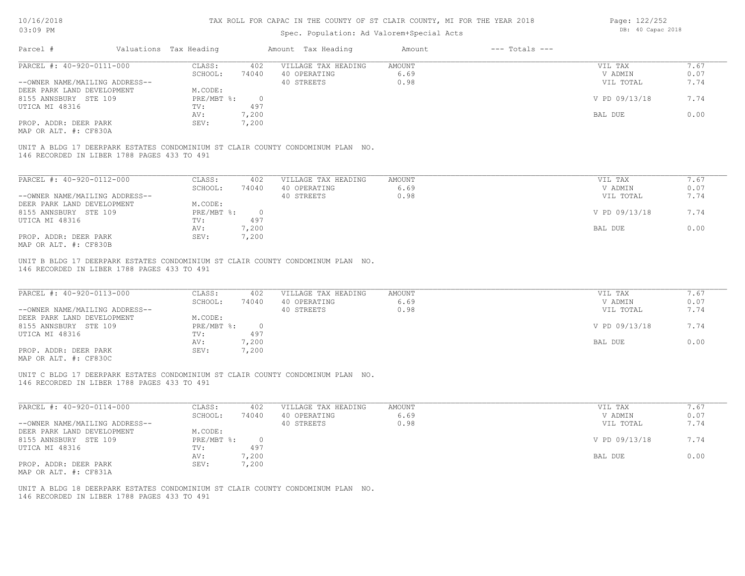## Spec. Population: Ad Valorem+Special Acts

| Page: 122/252 |                   |  |
|---------------|-------------------|--|
|               | DB: 40 Capac 2018 |  |
|               |                   |  |

| Parcel #                       | Valuations Tax Heading |       | Amount Tax Heading                                                              | Amount | $---$ Totals $---$ |               |      |
|--------------------------------|------------------------|-------|---------------------------------------------------------------------------------|--------|--------------------|---------------|------|
| PARCEL #: 40-920-0111-000      | CLASS:                 | 402   | VILLAGE TAX HEADING                                                             | AMOUNT |                    | VIL TAX       | 7.67 |
|                                | SCHOOL:                | 74040 | 40 OPERATING                                                                    | 6.69   |                    | V ADMIN       | 0.07 |
| --OWNER NAME/MAILING ADDRESS-- |                        |       | 40 STREETS                                                                      | 0.98   |                    | VIL TOTAL     | 7.74 |
| DEER PARK LAND DEVELOPMENT     | M.CODE:                |       |                                                                                 |        |                    |               |      |
| 8155 ANNSBURY STE 109          | $PRE/MBT$ $\div$       |       |                                                                                 |        |                    | V PD 09/13/18 | 7.74 |
| UTICA MI 48316                 | TV:                    | 497   |                                                                                 |        |                    |               |      |
|                                | AV:                    | 7,200 |                                                                                 |        |                    | BAL DUE       | 0.00 |
| PROP. ADDR: DEER PARK          | SEV:                   | 7,200 |                                                                                 |        |                    |               |      |
| MAP OR ALT. #: CF830A          |                        |       |                                                                                 |        |                    |               |      |
|                                |                        |       |                                                                                 |        |                    |               |      |
|                                |                        |       | UNIT A BLDG 17 DEERPARK ESTATES CONDOMINIUM ST CLAIR COUNTY CONDOMINUM PLAN NO. |        |                    |               |      |

146 RECORDED IN LIBER 1788 PAGES 433 TO 491

| PARCEL #: 40-920-0112-000      | CLASS:     | 402   | VILLAGE TAX HEADING | AMOUNT | VIL TAX       | 7.67 |
|--------------------------------|------------|-------|---------------------|--------|---------------|------|
|                                | SCHOOL:    | 74040 | 40 OPERATING        | 6.69   | V ADMIN       | 0.07 |
| --OWNER NAME/MAILING ADDRESS-- |            |       | 40 STREETS          | 0.98   | VIL TOTAL     | 7.74 |
| DEER PARK LAND DEVELOPMENT     | M.CODE:    |       |                     |        |               |      |
| 8155 ANNSBURY STE 109          | PRE/MBT %: |       |                     |        | V PD 09/13/18 | 7.74 |
| UTICA MI 48316                 | TV:        | 497   |                     |        |               |      |
|                                | AV:        | ,200  |                     |        | BAL DUE       | 0.00 |
| PROP. ADDR: DEER PARK          | SEV:       | ,200  |                     |        |               |      |
| MAP OR ALT. #: CF830B          |            |       |                     |        |               |      |

146 RECORDED IN LIBER 1788 PAGES 433 TO 491 UNIT B BLDG 17 DEERPARK ESTATES CONDOMINIUM ST CLAIR COUNTY CONDOMINUM PLAN NO.

| PARCEL #: 40-920-0113-000      | CLASS:     | 402   | VILLAGE TAX HEADING | AMOUNT | VIL TAX       | 7.67 |
|--------------------------------|------------|-------|---------------------|--------|---------------|------|
|                                | SCHOOL:    | 74040 | 40 OPERATING        | 6.69   | V ADMIN       | 0.07 |
| --OWNER NAME/MAILING ADDRESS-- |            |       | 40 STREETS          | 0.98   | VIL TOTAL     | 7.74 |
| DEER PARK LAND DEVELOPMENT     | M.CODE:    |       |                     |        |               |      |
| 8155 ANNSBURY STE 109          | PRE/MBT %: |       |                     |        | V PD 09/13/18 | 7.74 |
| UTICA MI 48316                 | TV:        | 497   |                     |        |               |      |
|                                | AV:        | 7,200 |                     |        | BAL DUE       | 0.00 |
| PROP. ADDR: DEER PARK          | SEV:       | 7,200 |                     |        |               |      |
| MAP OR ALT. #: CF830C          |            |       |                     |        |               |      |

146 RECORDED IN LIBER 1788 PAGES 433 TO 491 UNIT C BLDG 17 DEERPARK ESTATES CONDOMINIUM ST CLAIR COUNTY CONDOMINUM PLAN NO.

| PARCEL #: 40-920-0114-000      | CLASS:     | 402   | VILLAGE TAX HEADING | AMOUNT | VIL TAX       | 1.67 |
|--------------------------------|------------|-------|---------------------|--------|---------------|------|
|                                | SCHOOL:    | 74040 | 40 OPERATING        | 6.69   | V ADMIN       | 0.07 |
| --OWNER NAME/MAILING ADDRESS-- |            |       | 40 STREETS          | 0.98   | VIL TOTAL     | 7.74 |
| DEER PARK LAND DEVELOPMENT     | M.CODE:    |       |                     |        |               |      |
| 8155 ANNSBURY STE 109          | PRE/MBT %: |       |                     |        | V PD 09/13/18 | 7.74 |
| UTICA MI 48316                 | TV:        | 497   |                     |        |               |      |
|                                | AV:        | 7,200 |                     |        | BAL DUE       | 0.00 |
| PROP. ADDR: DEER PARK          | SEV:       | 7,200 |                     |        |               |      |
| MAP OR ALT. #: CF831A          |            |       |                     |        |               |      |

146 RECORDED IN LIBER 1788 PAGES 433 TO 491 UNIT A BLDG 18 DEERPARK ESTATES CONDOMINIUM ST CLAIR COUNTY CONDOMINUM PLAN NO.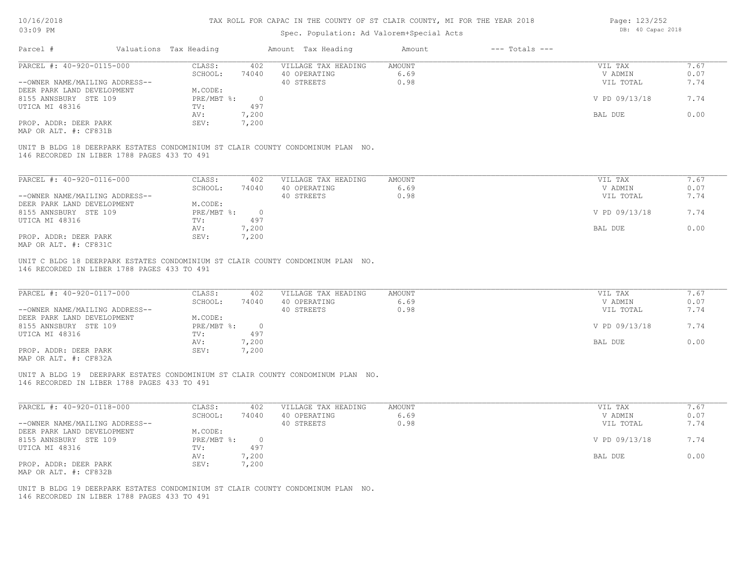## Spec. Population: Ad Valorem+Special Acts

| Page: 123/252 |                   |  |
|---------------|-------------------|--|
|               | DB: 40 Capac 2018 |  |

| Parcel #                                                                                                                                                | Valuations Tax Heading  |                | Amount Tax Heading  | Amount | $---$ Totals $---$ |               |      |
|---------------------------------------------------------------------------------------------------------------------------------------------------------|-------------------------|----------------|---------------------|--------|--------------------|---------------|------|
| PARCEL #: 40-920-0115-000                                                                                                                               | CLASS:                  | 402            | VILLAGE TAX HEADING | AMOUNT |                    | VIL TAX       | 7.67 |
|                                                                                                                                                         | SCHOOL:                 | 74040          | 40 OPERATING        | 6.69   |                    | V ADMIN       | 0.07 |
| --OWNER NAME/MAILING ADDRESS--                                                                                                                          |                         |                | 40 STREETS          | 0.98   |                    | VIL TOTAL     | 7.74 |
| DEER PARK LAND DEVELOPMENT                                                                                                                              | M.CODE:                 |                |                     |        |                    |               |      |
| 8155 ANNSBURY STE 109                                                                                                                                   | PRE/MBT %:              | $\overline{0}$ |                     |        |                    | V PD 09/13/18 | 7.74 |
| UTICA MI 48316                                                                                                                                          | TV:                     | 497            |                     |        |                    |               |      |
|                                                                                                                                                         | AV:                     | 7,200          |                     |        |                    | BAL DUE       | 0.00 |
| PROP. ADDR: DEER PARK                                                                                                                                   | SEV:                    | 7,200          |                     |        |                    |               |      |
|                                                                                                                                                         |                         |                |                     |        |                    |               |      |
| MAP OR ALT. #: CF831B<br>UNIT B BLDG 18 DEERPARK ESTATES CONDOMINIUM ST CLAIR COUNTY CONDOMINUM PLAN NO.<br>146 RECORDED IN LIBER 1788 PAGES 433 TO 491 |                         |                |                     |        |                    |               |      |
|                                                                                                                                                         |                         |                |                     |        |                    |               |      |
| PARCEL #: 40-920-0116-000                                                                                                                               | CLASS:                  | 402            | VILLAGE TAX HEADING | AMOUNT |                    | VIL TAX       | 7.67 |
|                                                                                                                                                         | SCHOOL:                 | 74040          | 40 OPERATING        | 6.69   |                    | V ADMIN       | 0.07 |
| --OWNER NAME/MAILING ADDRESS--<br>DEER PARK LAND DEVELOPMENT                                                                                            |                         |                | 40 STREETS          | 0.98   |                    | VIL TOTAL     | 7.74 |
| 8155 ANNSBURY STE 109                                                                                                                                   | M.CODE:<br>$PRE/MBT$ %: | $\overline{0}$ |                     |        |                    | V PD 09/13/18 | 7.74 |
|                                                                                                                                                         |                         |                |                     |        |                    |               |      |
| UTICA MI 48316                                                                                                                                          | TV:<br>AV:              | 497            |                     |        |                    | BAL DUE       | 0.00 |
| PROP. ADDR: DEER PARK                                                                                                                                   | SEV:                    | 7,200<br>7,200 |                     |        |                    |               |      |

146 RECORDED IN LIBER 1788 PAGES 433 TO 491

| PARCEL #: 40-920-0117-000      | CLASS:     | 402   | VILLAGE TAX HEADING | AMOUNT | VIL TAX       | 7.67 |
|--------------------------------|------------|-------|---------------------|--------|---------------|------|
|                                | SCHOOL:    | 74040 | 40 OPERATING        | 6.69   | V ADMIN       | 0.07 |
| --OWNER NAME/MAILING ADDRESS-- |            |       | 40 STREETS          | 0.98   | VIL TOTAL     | 7.74 |
| DEER PARK LAND DEVELOPMENT     | M.CODE:    |       |                     |        |               |      |
| 8155 ANNSBURY STE 109          | PRE/MBT %: |       |                     |        | V PD 09/13/18 | 7.74 |
| UTICA MI 48316                 | TV:        | 497   |                     |        |               |      |
|                                | AV:        | 7,200 |                     |        | BAL DUE       | 0.00 |
| PROP. ADDR: DEER PARK          | SEV:       | 7,200 |                     |        |               |      |
| MAP OR ALT. #: CF832A          |            |       |                     |        |               |      |

146 RECORDED IN LIBER 1788 PAGES 433 TO 491 UNIT A BLDG 19 DEERPARK ESTATES CONDOMINIUM ST CLAIR COUNTY CONDOMINUM PLAN NO.

| PARCEL #: 40-920-0118-000      | CLASS:     | 402   | VILLAGE TAX HEADING | AMOUNT | VIL TAX       | 7.67 |
|--------------------------------|------------|-------|---------------------|--------|---------------|------|
|                                | SCHOOL:    | 74040 | 40 OPERATING        | 6.69   | V ADMIN       | 0.07 |
| --OWNER NAME/MAILING ADDRESS-- |            |       | 40 STREETS          | 0.98   | VIL TOTAL     | 7.74 |
| DEER PARK LAND DEVELOPMENT     | M.CODE:    |       |                     |        |               |      |
| 8155 ANNSBURY STE 109          | PRE/MBT %: |       |                     |        | V PD 09/13/18 | 7.74 |
| UTICA MI 48316                 | TV:        | 497   |                     |        |               |      |
|                                | AV:        | ,200  |                     |        | BAL DUE       | 0.00 |
| PROP. ADDR: DEER PARK          | SEV:       | 7,200 |                     |        |               |      |
| MAP OR ALT. #: CF832B          |            |       |                     |        |               |      |

 $\mathcal{L}_\mathcal{L} = \mathcal{L}_\mathcal{L} = \mathcal{L}_\mathcal{L} = \mathcal{L}_\mathcal{L} = \mathcal{L}_\mathcal{L} = \mathcal{L}_\mathcal{L} = \mathcal{L}_\mathcal{L} = \mathcal{L}_\mathcal{L} = \mathcal{L}_\mathcal{L} = \mathcal{L}_\mathcal{L} = \mathcal{L}_\mathcal{L} = \mathcal{L}_\mathcal{L} = \mathcal{L}_\mathcal{L} = \mathcal{L}_\mathcal{L} = \mathcal{L}_\mathcal{L} = \mathcal{L}_\mathcal{L} = \mathcal{L}_\mathcal{L}$ 

146 RECORDED IN LIBER 1788 PAGES 433 TO 491 UNIT B BLDG 19 DEERPARK ESTATES CONDOMINIUM ST CLAIR COUNTY CONDOMINUM PLAN NO.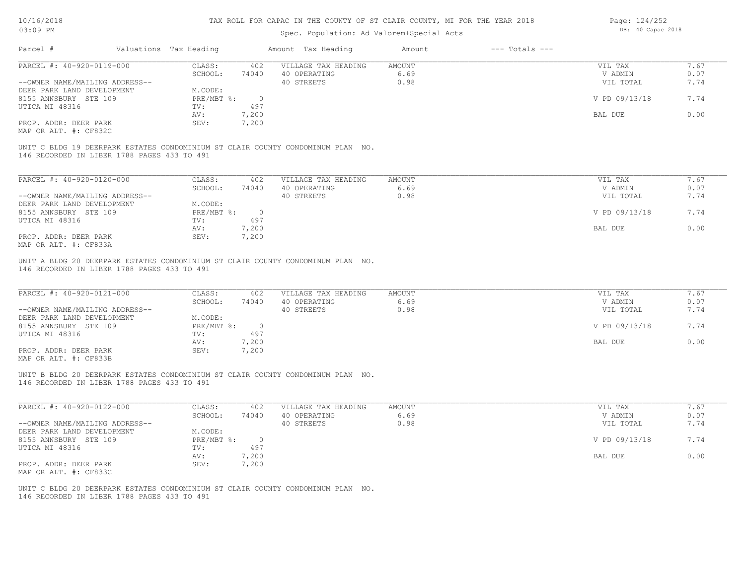## Spec. Population: Ad Valorem+Special Acts

| २ 2018 | Page: 124/252 |                   |  |  |
|--------|---------------|-------------------|--|--|
|        |               | DB: 40 Capac 2018 |  |  |
|        |               |                   |  |  |

| Parcel #                       | Valuations Tax Heading |       | Amount Tax Heading  | Amount | $---$ Totals $---$ |               |      |
|--------------------------------|------------------------|-------|---------------------|--------|--------------------|---------------|------|
| PARCEL #: 40-920-0119-000      | CLASS:                 | 402   | VILLAGE TAX HEADING | AMOUNT |                    | VIL TAX       | 7.67 |
|                                | SCHOOL:                | 74040 | 40 OPERATING        | 6.69   |                    | V ADMIN       | 0.07 |
| --OWNER NAME/MAILING ADDRESS-- |                        |       | 40 STREETS          | 0.98   |                    | VIL TOTAL     | 7.74 |
| DEER PARK LAND DEVELOPMENT     | M.CODE:                |       |                     |        |                    |               |      |
| 8155 ANNSBURY STE 109          | $PRE/MBT$ %:           |       |                     |        |                    | V PD 09/13/18 | 7.74 |
| UTICA MI 48316                 | TV:                    | 497   |                     |        |                    |               |      |
|                                | AV:                    | 7,200 |                     |        |                    | BAL DUE       | 0.00 |
| PROP. ADDR: DEER PARK          | SEV:                   | 7,200 |                     |        |                    |               |      |
| MAP OR ALT. #: CF832C          |                        |       |                     |        |                    |               |      |

146 RECORDED IN LIBER 1788 PAGES 433 TO 491 UNIT C BLDG 19 DEERPARK ESTATES CONDOMINIUM ST CLAIR COUNTY CONDOMINUM PLAN NO.

| PARCEL #: 40-920-0120-000      | CLASS:     | 402      | VILLAGE TAX HEADING | AMOUNT | VIL TAX       | 7.67 |
|--------------------------------|------------|----------|---------------------|--------|---------------|------|
|                                | SCHOOL:    | 74040    | 40 OPERATING        | 6.69   | V ADMIN       | 0.07 |
| --OWNER NAME/MAILING ADDRESS-- |            |          | 40 STREETS          | 0.98   | VIL TOTAL     | 7.74 |
| DEER PARK LAND DEVELOPMENT     | M.CODE:    |          |                     |        |               |      |
| 8155 ANNSBURY STE 109          | PRE/MBT %: | $\Omega$ |                     |        | V PD 09/13/18 | 7.74 |
| UTICA MI 48316                 | TV:        | 497      |                     |        |               |      |
|                                | AV:        | 7,200    |                     |        | BAL DUE       | 0.00 |
| PROP. ADDR: DEER PARK          | SEV:       | 7,200    |                     |        |               |      |
| MAP OR ALT. #: CF833A          |            |          |                     |        |               |      |

146 RECORDED IN LIBER 1788 PAGES 433 TO 491 UNIT A BLDG 20 DEERPARK ESTATES CONDOMINIUM ST CLAIR COUNTY CONDOMINUM PLAN NO.

| PARCEL #: 40-920-0121-000      | CLASS:     | 402   | VILLAGE TAX HEADING | AMOUNT | VIL TAX       | 7.67 |
|--------------------------------|------------|-------|---------------------|--------|---------------|------|
|                                | SCHOOL:    | 74040 | 40 OPERATING        | 6.69   | V ADMIN       | 0.07 |
| --OWNER NAME/MAILING ADDRESS-- |            |       | 40 STREETS          | 0.98   | VIL TOTAL     | 7.74 |
| DEER PARK LAND DEVELOPMENT     | M.CODE:    |       |                     |        |               |      |
| 8155 ANNSBURY STE 109          | PRE/MBT %: |       |                     |        | V PD 09/13/18 | 7.74 |
| UTICA MI 48316                 | TV:        | 497   |                     |        |               |      |
|                                | AV:        | 7,200 |                     |        | BAL DUE       | 0.00 |
| PROP. ADDR: DEER PARK          | SEV:       | 7,200 |                     |        |               |      |
| MAP OR ALT. #: CF833B          |            |       |                     |        |               |      |

146 RECORDED IN LIBER 1788 PAGES 433 TO 491 UNIT B BLDG 20 DEERPARK ESTATES CONDOMINIUM ST CLAIR COUNTY CONDOMINUM PLAN NO.

| PARCEL #: 40-920-0122-000      | CLASS:     | 402   | VILLAGE TAX HEADING | AMOUNT | VIL TAX       | 1.67 |
|--------------------------------|------------|-------|---------------------|--------|---------------|------|
|                                | SCHOOL:    | 74040 | 40 OPERATING        | 6.69   | V ADMIN       | 0.07 |
| --OWNER NAME/MAILING ADDRESS-- |            |       | 40 STREETS          | 0.98   | VIL TOTAL     | 7.74 |
| DEER PARK LAND DEVELOPMENT     | M.CODE:    |       |                     |        |               |      |
| 8155 ANNSBURY STE 109          | PRE/MBT %: |       |                     |        | V PD 09/13/18 | 7.74 |
| UTICA MI 48316                 | TV:        | 497   |                     |        |               |      |
|                                | AV:        | 7,200 |                     |        | BAL DUE       | 0.00 |
| PROP. ADDR: DEER PARK          | SEV:       | 7,200 |                     |        |               |      |
| MAP OR ALT. #: CF833C          |            |       |                     |        |               |      |

146 RECORDED IN LIBER 1788 PAGES 433 TO 491 UNIT C BLDG 20 DEERPARK ESTATES CONDOMINIUM ST CLAIR COUNTY CONDOMINUM PLAN NO.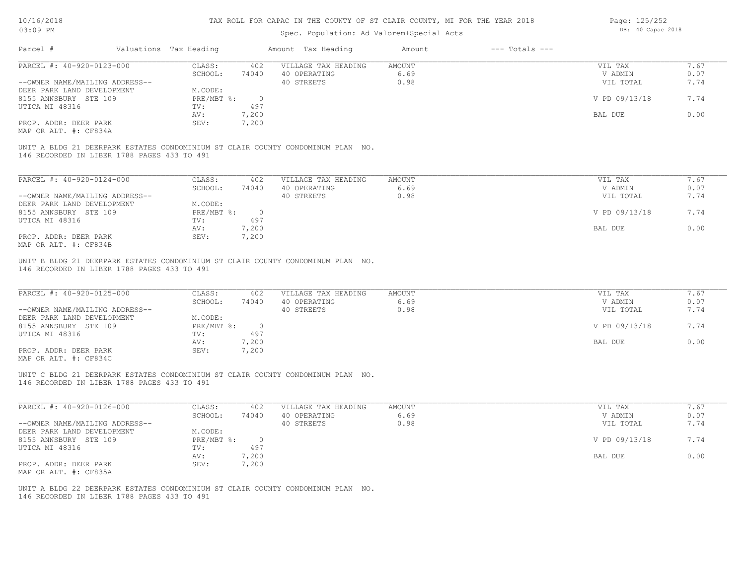## Spec. Population: Ad Valorem+Special Acts

| 107107201<br>$03:09$ PM |                        | THU ROBB FOR CHENC IN INB COONIT OF OF CHITER COONITY NE FOR IND IBM AUTO<br>Spec. Population: Ad Valorem+Special Acts |        |                | LUYU. LAVILVA<br>DB: 40 Capac 2018 |
|-------------------------|------------------------|------------------------------------------------------------------------------------------------------------------------|--------|----------------|------------------------------------|
| Parcel #                | Valuations Tax Heading | Amount Tax Heading                                                                                                     | Amount | --- Totals --- |                                    |

| PARCEL #: 40-920-0123-000      | CLASS:     | 402   | VILLAGE TAX HEADING | AMOUNT | VIL TAX       | 1.67 |
|--------------------------------|------------|-------|---------------------|--------|---------------|------|
|                                | SCHOOL:    | 74040 | 40 OPERATING        | 6.69   | V ADMIN       | 0.07 |
| --OWNER NAME/MAILING ADDRESS-- |            |       | 40 STREETS          | 0.98   | VIL TOTAL     | 7.74 |
| DEER PARK LAND DEVELOPMENT     | M.CODE:    |       |                     |        |               |      |
| 8155 ANNSBURY STE 109          | PRE/MBT %: |       |                     |        | V PD 09/13/18 | 7.74 |
| UTICA MI 48316                 | TV:        | 497   |                     |        |               |      |
|                                | AV:        | 7,200 |                     |        | BAL DUE       | 0.00 |
| PROP. ADDR: DEER PARK          | SEV:       | 7,200 |                     |        |               |      |
|                                |            |       |                     |        |               |      |

MAP OR ALT. #: CF834A

146 RECORDED IN LIBER 1788 PAGES 433 TO 491 UNIT A BLDG 21 DEERPARK ESTATES CONDOMINIUM ST CLAIR COUNTY CONDOMINUM PLAN NO.

| PARCEL #: 40-920-0124-000      | CLASS:     | 402   | VILLAGE TAX HEADING | AMOUNT | VIL TAX       | 7.67 |
|--------------------------------|------------|-------|---------------------|--------|---------------|------|
|                                | SCHOOL:    | 74040 | 40 OPERATING        | 6.69   | V ADMIN       | 0.07 |
| --OWNER NAME/MAILING ADDRESS-- |            |       | 40 STREETS          | 0.98   | VIL TOTAL     | 7.74 |
| DEER PARK LAND DEVELOPMENT     | M.CODE:    |       |                     |        |               |      |
| 8155 ANNSBURY STE 109          | PRE/MBT %: |       |                     |        | V PD 09/13/18 | 7.74 |
| UTICA MI 48316                 | TV:        | 497   |                     |        |               |      |
|                                | AV:        | 7,200 |                     |        | BAL DUE       | 0.00 |
| PROP. ADDR: DEER PARK          | SEV:       | 7,200 |                     |        |               |      |
| MAP OR ALT. #: CF834B          |            |       |                     |        |               |      |

146 RECORDED IN LIBER 1788 PAGES 433 TO 491 UNIT B BLDG 21 DEERPARK ESTATES CONDOMINIUM ST CLAIR COUNTY CONDOMINUM PLAN NO.

| PARCEL #: 40-920-0125-000                    | CLASS:     | 402   | VILLAGE TAX HEADING | AMOUNT | VIL TAX       | 7.67 |
|----------------------------------------------|------------|-------|---------------------|--------|---------------|------|
|                                              | SCHOOL:    | 74040 | 40 OPERATING        | 6.69   | V ADMIN       | 0.07 |
| --OWNER NAME/MAILING ADDRESS--               |            |       | 40 STREETS          | 0.98   | VIL TOTAL     | 7.74 |
| DEER PARK LAND DEVELOPMENT                   | M.CODE:    |       |                     |        |               |      |
| 8155 ANNSBURY STE 109                        | PRE/MBT %: |       |                     |        | V PD 09/13/18 | 7.74 |
| UTICA MI 48316                               | TV:        | 497   |                     |        |               |      |
|                                              | AV:        | 7,200 |                     |        | BAL DUE       | 0.00 |
| PROP. ADDR: DEER PARK                        | SEV:       | 7,200 |                     |        |               |      |
| $\cdots$ $\cdots$ $\cdots$ $\cdots$ $\cdots$ |            |       |                     |        |               |      |

MAP OR ALT. #: CF834C

146 RECORDED IN LIBER 1788 PAGES 433 TO 491 UNIT C BLDG 21 DEERPARK ESTATES CONDOMINIUM ST CLAIR COUNTY CONDOMINUM PLAN NO.

| PARCEL #: 40-920-0126-000      | CLASS:       | 402   | VILLAGE TAX HEADING | AMOUNT | VIL TAX       | 1.67 |
|--------------------------------|--------------|-------|---------------------|--------|---------------|------|
|                                | SCHOOL:      | 74040 | 40 OPERATING        | 6.69   | V ADMIN       | 0.07 |
| --OWNER NAME/MAILING ADDRESS-- |              |       | 40 STREETS          | 0.98   | VIL TOTAL     | 7.74 |
| DEER PARK LAND DEVELOPMENT     | M.CODE:      |       |                     |        |               |      |
| 8155 ANNSBURY STE 109          | $PRE/MBT$ %: |       |                     |        | V PD 09/13/18 | 7.74 |
| UTICA MI 48316                 | TV:          | 497   |                     |        |               |      |
|                                | AV:          | 7,200 |                     |        | BAL DUE       | 0.00 |
| PROP. ADDR: DEER PARK          | SEV:         | 7,200 |                     |        |               |      |
| MAP OR ALT. #: CF835A          |              |       |                     |        |               |      |

146 RECORDED IN LIBER 1788 PAGES 433 TO 491 UNIT A BLDG 22 DEERPARK ESTATES CONDOMINIUM ST CLAIR COUNTY CONDOMINUM PLAN NO.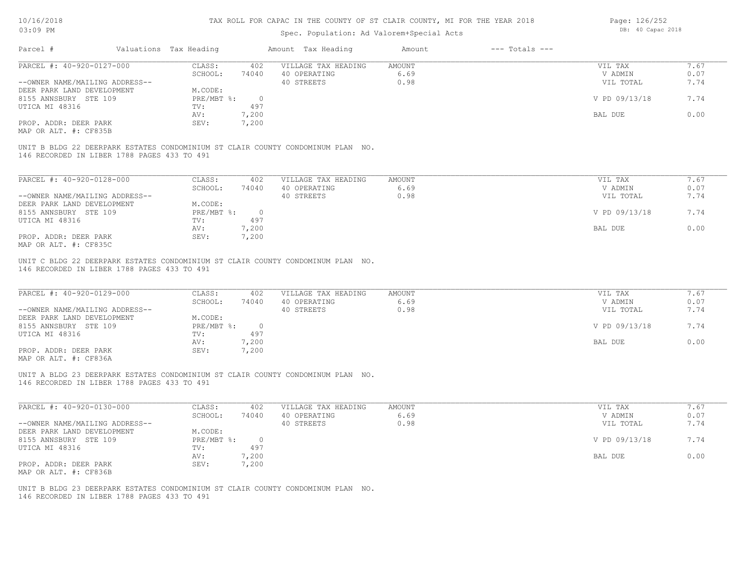| 03:09 PM                  |                        |        |                            | Spec. Population: Ad Valorem+Special Acts |                | DB: 40 Capac 2018 |  |  |
|---------------------------|------------------------|--------|----------------------------|-------------------------------------------|----------------|-------------------|--|--|
| Parcel                    | Valuations Tax Heading |        | Amount Tax Heading         | Amount                                    | --- Totals --- |                   |  |  |
| PARCEL #: 40-920-0127-000 |                        | CLASS: | 402<br>VILLAGE TAX HEADING | AMOUNT                                    |                | VIL TAX           |  |  |

| PARCEL #: 40-920-0127-000      | CLASS:     | 402   | VILLAGE TAX HEADING | AMOUNT | VIL TAX       | 7.67 |
|--------------------------------|------------|-------|---------------------|--------|---------------|------|
|                                | SCHOOL:    | 74040 | 40 OPERATING        | 6.69   | V ADMIN       | 0.07 |
| --OWNER NAME/MAILING ADDRESS-- |            |       | 40 STREETS          | 0.98   | VIL TOTAL     | 7.74 |
| DEER PARK LAND DEVELOPMENT     | M.CODE:    |       |                     |        |               |      |
| 8155 ANNSBURY STE 109          | PRE/MBT %: |       |                     |        | V PD 09/13/18 | 7.74 |
| UTICA MI 48316                 | TV:        | 497   |                     |        |               |      |
|                                | AV:        | ,200  |                     |        | BAL DUE       | 0.00 |
| PROP. ADDR: DEER PARK          | SEV:       | ,200  |                     |        |               |      |

MAP OR ALT. #: CF835B

146 RECORDED IN LIBER 1788 PAGES 433 TO 491 UNIT B BLDG 22 DEERPARK ESTATES CONDOMINIUM ST CLAIR COUNTY CONDOMINUM PLAN NO.

| PARCEL #: 40-920-0128-000      | CLASS:     | 402      | VILLAGE TAX HEADING | AMOUNT | VIL TAX       | 7.67 |
|--------------------------------|------------|----------|---------------------|--------|---------------|------|
|                                | SCHOOL:    | 74040    | 40 OPERATING        | 6.69   | V ADMIN       | 0.07 |
| --OWNER NAME/MAILING ADDRESS-- |            |          | 40 STREETS          | 0.98   | VIL TOTAL     | 7.74 |
| DEER PARK LAND DEVELOPMENT     | M.CODE:    |          |                     |        |               |      |
| 8155 ANNSBURY STE 109          | PRE/MBT %: | $\Omega$ |                     |        | V PD 09/13/18 | 7.74 |
| UTICA MI 48316                 | TV:        | 497      |                     |        |               |      |
|                                | AV:        | ,200     |                     |        | BAL DUE       | 0.00 |
| PROP. ADDR: DEER PARK          | SEV:       | ,200     |                     |        |               |      |
| MAP OR ALT. #: CF835C          |            |          |                     |        |               |      |

146 RECORDED IN LIBER 1788 PAGES 433 TO 491 UNIT C BLDG 22 DEERPARK ESTATES CONDOMINIUM ST CLAIR COUNTY CONDOMINUM PLAN NO.

| PARCEL #: 40-920-0129-000      | CLASS:     | 402   | VILLAGE TAX HEADING | AMOUNT | VIL TAX       | 7.67 |
|--------------------------------|------------|-------|---------------------|--------|---------------|------|
|                                | SCHOOL:    | 74040 | 40 OPERATING        | 6.69   | V ADMIN       | 0.07 |
| --OWNER NAME/MAILING ADDRESS-- |            |       | 40 STREETS          | 0.98   | VIL TOTAL     | 7.74 |
| DEER PARK LAND DEVELOPMENT     | M.CODE:    |       |                     |        |               |      |
| 8155 ANNSBURY STE 109          | PRE/MBT %: |       |                     |        | V PD 09/13/18 | 7.74 |
| UTICA MI 48316                 | TV:        | 497   |                     |        |               |      |
|                                | AV:        | 7,200 |                     |        | BAL DUE       | 0.00 |
| PROP. ADDR: DEER PARK          | SEV:       | 7,200 |                     |        |               |      |
| MAP OR ALT. #: CF836A          |            |       |                     |        |               |      |

146 RECORDED IN LIBER 1788 PAGES 433 TO 491 UNIT A BLDG 23 DEERPARK ESTATES CONDOMINIUM ST CLAIR COUNTY CONDOMINUM PLAN NO.

| PARCEL #: 40-920-0130-000      | CLASS:     | 402   | VILLAGE TAX HEADING | AMOUNT | VIL TAX       | 1.67 |
|--------------------------------|------------|-------|---------------------|--------|---------------|------|
|                                | SCHOOL:    | 74040 | 40 OPERATING        | 6.69   | V ADMIN       | 0.07 |
| --OWNER NAME/MAILING ADDRESS-- |            |       | 40 STREETS          | 0.98   | VIL TOTAL     | 7.74 |
| DEER PARK LAND DEVELOPMENT     | M.CODE:    |       |                     |        |               |      |
| 8155 ANNSBURY STE 109          | PRE/MBT %: |       |                     |        | V PD 09/13/18 | 7.74 |
| UTICA MI 48316                 | TV:        | 497   |                     |        |               |      |
|                                | AV:        | 7,200 |                     |        | BAL DUE       | 0.00 |
| PROP. ADDR: DEER PARK          | SEV:       | 7,200 |                     |        |               |      |
| MAP OR ALT. #: CF836B          |            |       |                     |        |               |      |

146 RECORDED IN LIBER 1788 PAGES 433 TO 491 UNIT B BLDG 23 DEERPARK ESTATES CONDOMINIUM ST CLAIR COUNTY CONDOMINUM PLAN NO.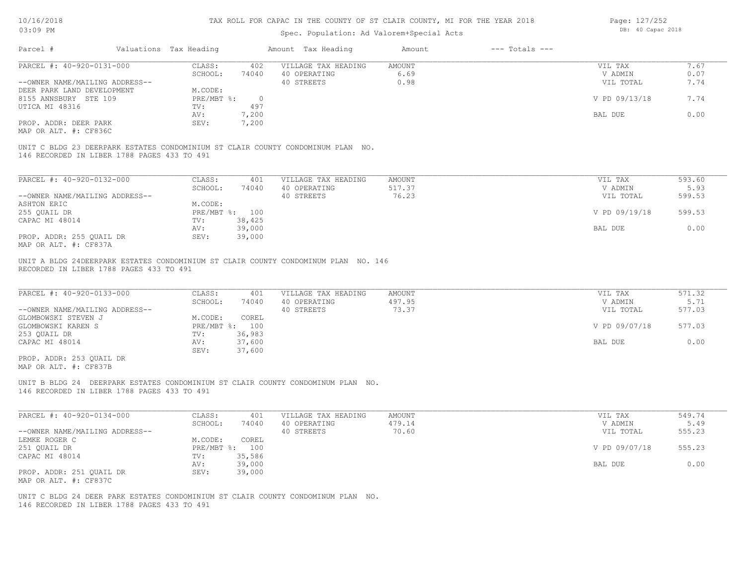| Page: 127/252 |                   |  |
|---------------|-------------------|--|
|               | DB: 40 Capac 2018 |  |

| 03:09 PM                                    |  |                        |                | Spec. Population: Ad Valorem+Special Acts                                          | DB: 40 Capac 2018       |                    |                    |                |
|---------------------------------------------|--|------------------------|----------------|------------------------------------------------------------------------------------|-------------------------|--------------------|--------------------|----------------|
| Parcel #                                    |  | Valuations Tax Heading |                | Amount Tax Heading                                                                 | Amount                  | $---$ Totals $---$ |                    |                |
| PARCEL #: 40-920-0131-000                   |  | CLASS:                 | 402            | VILLAGE TAX HEADING                                                                | <b>AMOUNT</b>           |                    | VIL TAX            | 7.67           |
|                                             |  | SCHOOL:                | 74040          | 40 OPERATING                                                                       | 6.69                    |                    | V ADMIN            | 0.07           |
| --OWNER NAME/MAILING ADDRESS--              |  |                        |                | 40 STREETS                                                                         | 0.98                    |                    | VIL TOTAL          | 7.74           |
| DEER PARK LAND DEVELOPMENT                  |  | M.CODE:                |                |                                                                                    |                         |                    |                    |                |
| 8155 ANNSBURY STE 109                       |  | PRE/MBT %:             | $\circ$        |                                                                                    |                         |                    | V PD 09/13/18      | 7.74           |
| UTICA MI 48316                              |  | TV:                    | 497            |                                                                                    |                         |                    |                    |                |
|                                             |  | AV:                    | 7,200          |                                                                                    |                         |                    | BAL DUE            | 0.00           |
| PROP. ADDR: DEER PARK                       |  | SEV:                   | 7,200          |                                                                                    |                         |                    |                    |                |
| MAP OR ALT. #: CF836C                       |  |                        |                |                                                                                    |                         |                    |                    |                |
|                                             |  |                        |                |                                                                                    |                         |                    |                    |                |
|                                             |  |                        |                | UNIT C BLDG 23 DEERPARK ESTATES CONDOMINIUM ST CLAIR COUNTY CONDOMINUM PLAN NO.    |                         |                    |                    |                |
| 146 RECORDED IN LIBER 1788 PAGES 433 TO 491 |  |                        |                |                                                                                    |                         |                    |                    |                |
|                                             |  |                        |                |                                                                                    |                         |                    |                    |                |
| PARCEL #: 40-920-0132-000                   |  |                        |                |                                                                                    |                         |                    |                    |                |
|                                             |  | CLASS:<br>SCHOOL:      | 401<br>74040   | VILLAGE TAX HEADING<br>40 OPERATING                                                | <b>AMOUNT</b><br>517.37 |                    | VIL TAX<br>V ADMIN | 593.60<br>5.93 |
|                                             |  |                        |                |                                                                                    |                         |                    |                    |                |
| --OWNER NAME/MAILING ADDRESS--              |  |                        |                | 40 STREETS                                                                         | 76.23                   |                    | VIL TOTAL          | 599.53         |
| <b>ASHTON ERIC</b>                          |  | M.CODE:                |                |                                                                                    |                         |                    |                    |                |
| 255 QUAIL DR                                |  |                        | PRE/MBT %: 100 |                                                                                    |                         |                    | V PD 09/19/18      | 599.53         |
| CAPAC MI 48014                              |  | TV:                    | 38,425         |                                                                                    |                         |                    |                    |                |
|                                             |  | AV:                    | 39,000         |                                                                                    |                         |                    | BAL DUE            | 0.00           |
| PROP. ADDR: 255 QUAIL DR                    |  | SEV:                   | 39,000         |                                                                                    |                         |                    |                    |                |
| MAP OR ALT. #: CF837A                       |  |                        |                |                                                                                    |                         |                    |                    |                |
|                                             |  |                        |                |                                                                                    |                         |                    |                    |                |
|                                             |  |                        |                | UNIT A BLDG 24DEERPARK ESTATES CONDOMINIUM ST CLAIR COUNTY CONDOMINUM PLAN NO. 146 |                         |                    |                    |                |
| RECORDED IN LIBER 1788 PAGES 433 TO 491     |  |                        |                |                                                                                    |                         |                    |                    |                |
|                                             |  |                        |                |                                                                                    |                         |                    |                    |                |
| PARCEL #: 40-920-0133-000                   |  | CLASS:                 | 401            | VILLAGE TAX HEADING                                                                | <b>AMOUNT</b>           |                    | VIL TAX            | 571.32         |
|                                             |  | SCHOOL:                | 74040          | 40 OPERATING                                                                       | 497.95                  |                    | V ADMIN            | 5.71           |
| --OWNER NAME/MAILING ADDRESS--              |  |                        |                | 40 STREETS                                                                         | 73.37                   |                    | VIL TOTAL          | 577.03         |
| GLOMBOWSKI STEVEN J                         |  | M.CODE:                | COREL          |                                                                                    |                         |                    |                    |                |
| GLOMBOWSKI KAREN S                          |  |                        | PRE/MBT %: 100 |                                                                                    |                         |                    | V PD 09/07/18      | 577.03         |
| 253 QUAIL DR                                |  | TV:                    | 36,983         |                                                                                    |                         |                    |                    |                |
| CAPAC MI 48014                              |  | AV:                    | 37,600         |                                                                                    |                         |                    | BAL DUE            | 0.00           |
|                                             |  | SEV:                   | 37,600         |                                                                                    |                         |                    |                    |                |
| PROP. ADDR: 253 QUAIL DR                    |  |                        |                |                                                                                    |                         |                    |                    |                |
|                                             |  |                        |                |                                                                                    |                         |                    |                    |                |

MAP OR ALT. #: CF837B

146 RECORDED IN LIBER 1788 PAGES 433 TO 491 UNIT B BLDG 24 DEERPARK ESTATES CONDOMINIUM ST CLAIR COUNTY CONDOMINUM PLAN NO.

| PARCEL #: 40-920-0134-000      | CLASS:       | 401    | VILLAGE TAX HEADING | AMOUNT | VIL TAX       | 549.74 |
|--------------------------------|--------------|--------|---------------------|--------|---------------|--------|
|                                | SCHOOL:      | 74040  | 40 OPERATING        | 479.14 | V ADMIN       | 5.49   |
| --OWNER NAME/MAILING ADDRESS-- |              |        | 40 STREETS          | 70.60  | VIL TOTAL     | 555.23 |
| LEMKE ROGER C                  | M.CODE:      | COREL  |                     |        |               |        |
| 251 QUAIL DR                   | $PRE/MBT$ %: | 100    |                     |        | V PD 09/07/18 | 555.23 |
| CAPAC MI 48014                 | TV:          | 35,586 |                     |        |               |        |
|                                | AV:          | 39,000 |                     |        | BAL DUE       | 0.00   |
| PROP. ADDR: 251 QUAIL DR       | SEV:         | 39,000 |                     |        |               |        |
| MAP OR ALT. #: CF837C          |              |        |                     |        |               |        |

146 RECORDED IN LIBER 1788 PAGES 433 TO 491 UNIT C BLDG 24 DEER PARK ESTATES CONDOMINIUM ST CLAIR COUNTY CONDOMINUM PLAN NO.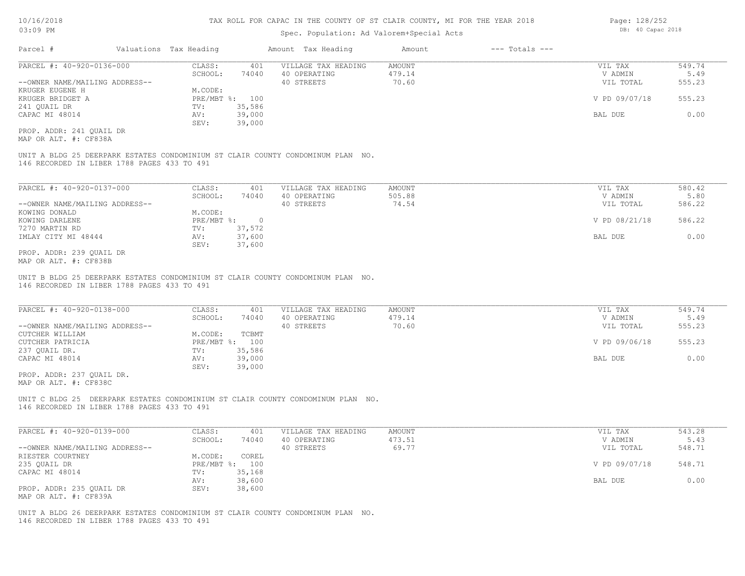## Spec. Population: Ad Valorem+Special Acts

| Parcel #                       | Valuations Tax Heading |        | Amount Tax Heading  | Amount | $---$ Totals $---$ |               |        |
|--------------------------------|------------------------|--------|---------------------|--------|--------------------|---------------|--------|
| PARCEL #: 40-920-0136-000      | CLASS:                 | 401    | VILLAGE TAX HEADING | AMOUNT |                    | VIL TAX       | 549.74 |
|                                | SCHOOL:                | 74040  | 40 OPERATING        | 479.14 |                    | V ADMIN       | 5.49   |
| --OWNER NAME/MAILING ADDRESS-- |                        |        | 40 STREETS          | 70.60  |                    | VIL TOTAL     | 555.23 |
| KRUGER EUGENE H                | M.CODE:                |        |                     |        |                    |               |        |
| KRUGER BRIDGET A               | PRE/MBT %:             | 100    |                     |        |                    | V PD 09/07/18 | 555.23 |
| 241 QUAIL DR                   | TV:                    | 35,586 |                     |        |                    |               |        |
| CAPAC MI 48014                 | AV:                    | 39,000 |                     |        |                    | BAL DUE       | 0.00   |
|                                | SEV:                   | 39,000 |                     |        |                    |               |        |
| PROP. ADDR: 241 OUAIL DR       |                        |        |                     |        |                    |               |        |

MAP OR ALT. #: CF838A

146 RECORDED IN LIBER 1788 PAGES 433 TO 491 UNIT A BLDG 25 DEERPARK ESTATES CONDOMINIUM ST CLAIR COUNTY CONDOMINUM PLAN NO.

| PARCEL #: 40-920-0137-000      | CLASS:       | 401    | VILLAGE TAX HEADING | AMOUNT | VIL TAX       | 580.42 |
|--------------------------------|--------------|--------|---------------------|--------|---------------|--------|
|                                | SCHOOL:      | 74040  | 40 OPERATING        | 505.88 | V ADMIN       | 5.80   |
| --OWNER NAME/MAILING ADDRESS-- |              |        | 40 STREETS          | 74.54  | VIL TOTAL     | 586.22 |
| KOWING DONALD                  | M.CODE:      |        |                     |        |               |        |
| KOWING DARLENE                 | $PRE/MBT$ %: |        |                     |        | V PD 08/21/18 | 586.22 |
| 7270 MARTIN RD                 | TV:          | 37,572 |                     |        |               |        |
| IMLAY CITY MI 48444            | AV:          | 37,600 |                     |        | BAL DUE       | 0.00   |
|                                | SEV:         | 37,600 |                     |        |               |        |
| PROP. ADDR: 239 OUAIL DR       |              |        |                     |        |               |        |

MAP OR ALT. #: CF838B

146 RECORDED IN LIBER 1788 PAGES 433 TO 491 UNIT B BLDG 25 DEERPARK ESTATES CONDOMINIUM ST CLAIR COUNTY CONDOMINUM PLAN NO.

| PARCEL #: 40-920-0138-000      | CLASS:         | 401    | VILLAGE TAX HEADING | AMOUNT | VIL TAX       | 549.74 |
|--------------------------------|----------------|--------|---------------------|--------|---------------|--------|
|                                | SCHOOL:        | 74040  | 40 OPERATING        | 479.14 | V ADMIN       | 5.49   |
| --OWNER NAME/MAILING ADDRESS-- |                |        | 40 STREETS          | 70.60  | VIL TOTAL     | 555.23 |
| CUTCHER WILLIAM                | M.CODE:        | TCBMT  |                     |        |               |        |
| CUTCHER PATRICIA               | PRE/MBT %: 100 |        |                     |        | V PD 09/06/18 | 555.23 |
| 237 OUAIL DR.                  | TV:            | 35,586 |                     |        |               |        |
| CAPAC MI 48014                 | AV:            | 39,000 |                     |        | BAL DUE       | 0.00   |
|                                | SEV:           | 39,000 |                     |        |               |        |

MAP OR ALT. #: CF838C PROP. ADDR: 237 QUAIL DR.

146 RECORDED IN LIBER 1788 PAGES 433 TO 491 UNIT C BLDG 25 DEERPARK ESTATES CONDOMINIUM ST CLAIR COUNTY CONDOMINUM PLAN NO.

| PARCEL #: 40-920-0139-000      | CLASS:  | 401            | VILLAGE TAX HEADING | AMOUNT | VIL TAX       | 543.28 |
|--------------------------------|---------|----------------|---------------------|--------|---------------|--------|
|                                | SCHOOL: | 74040          | 40 OPERATING        | 473.51 | V ADMIN       | 5.43   |
| --OWNER NAME/MAILING ADDRESS-- |         |                | 40 STREETS          | 69.77  | VIL TOTAL     | 548.71 |
| RIESTER COURTNEY               | M.CODE: | COREL          |                     |        |               |        |
| 235 QUAIL DR                   |         | PRE/MBT %: 100 |                     |        | V PD 09/07/18 | 548.71 |
| CAPAC MI 48014                 | TV:     | 35,168         |                     |        |               |        |
|                                | AV:     | 38,600         |                     |        | BAL DUE       | 0.00   |
| PROP. ADDR: 235 OUAIL DR       | SEV:    | 38,600         |                     |        |               |        |
| MAP OR ALT. #: CF839A          |         |                |                     |        |               |        |

146 RECORDED IN LIBER 1788 PAGES 433 TO 491 UNIT A BLDG 26 DEERPARK ESTATES CONDOMINIUM ST CLAIR COUNTY CONDOMINUM PLAN NO. Page: 128/252 DB: 40 Capac 2018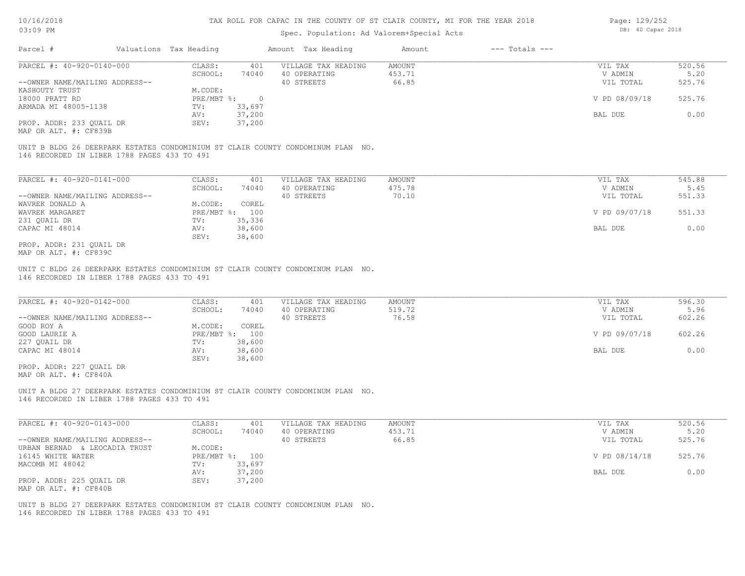## Spec. Population: Ad Valorem+Special Acts

AV: 37,200 BAL DUE 0.00

| Parcel #                       | Valuations Tax Heading |        | Amount Tax Heading  | Amount | $---$ Totals $---$ |               |        |
|--------------------------------|------------------------|--------|---------------------|--------|--------------------|---------------|--------|
| PARCEL #: 40-920-0140-000      | CLASS:                 | 401    | VILLAGE TAX HEADING | AMOUNT |                    | VIL TAX       | 520.56 |
|                                | SCHOOL:                | 74040  | 40 OPERATING        | 453.71 |                    | V ADMIN       | 5.20   |
| --OWNER NAME/MAILING ADDRESS-- |                        |        | 40 STREETS          | 66.85  |                    | VIL TOTAL     | 525.76 |
| KASHOUTY TRUST                 | M.CODE:                |        |                     |        |                    |               |        |
| 18000 PRATT RD                 | PRE/MBT %:             |        |                     |        |                    | V PD 08/09/18 | 525.76 |
| ARMADA MI 48005-1138           | TV:                    | 33,697 |                     |        |                    |               |        |
|                                | AV:                    | 37,200 |                     |        |                    | BAL DUE       | 0.00   |

146 RECORDED IN LIBER 1788 PAGES 433 TO 491 UNIT B BLDG 26 DEERPARK ESTATES CONDOMINIUM ST CLAIR COUNTY CONDOMINUM PLAN NO.

PROP. ADDR: 233 QUAIL DR SEV: 37,200

| PARCEL #: 40-920-0141-000      | CLASS:     | 401    | VILLAGE TAX HEADING | AMOUNT | VIL TAX       | 545.88 |
|--------------------------------|------------|--------|---------------------|--------|---------------|--------|
|                                | SCHOOL:    | 74040  | 40 OPERATING        | 475.78 | V ADMIN       | 5.45   |
| --OWNER NAME/MAILING ADDRESS-- |            |        | 40 STREETS          | 70.10  | VIL TOTAL     | 551.33 |
| WAVREK DONALD A                | M.CODE:    | COREL  |                     |        |               |        |
| WAVREK MARGARET                | PRE/MBT %: | 100    |                     |        | V PD 09/07/18 | 551.33 |
| 231 OUAIL DR                   | TV:        | 35,336 |                     |        |               |        |
| CAPAC MI 48014                 | AV:        | 38,600 |                     |        | BAL DUE       | 0.00   |
|                                | SEV:       | 38,600 |                     |        |               |        |
| PROP. ADDR: 231 QUAIL DR       |            |        |                     |        |               |        |

MAP OR ALT. #: CF839C

MAP OR ALT. #: CF839B

146 RECORDED IN LIBER 1788 PAGES 433 TO 491 UNIT C BLDG 26 DEERPARK ESTATES CONDOMINIUM ST CLAIR COUNTY CONDOMINUM PLAN NO.

| PARCEL #: 40-920-0142-000      | CLASS:  | 401            | VILLAGE TAX HEADING | AMOUNT | VIL TAX       | 596.30 |
|--------------------------------|---------|----------------|---------------------|--------|---------------|--------|
|                                | SCHOOL: | 74040          | 40 OPERATING        | 519.72 | V ADMIN       | 5.96   |
| --OWNER NAME/MAILING ADDRESS-- |         |                | 40 STREETS          | 76.58  | VIL TOTAL     | 602.26 |
| GOOD ROY A                     | M.CODE: | COREL          |                     |        |               |        |
| GOOD LAURIE A                  |         | PRE/MBT %: 100 |                     |        | V PD 09/07/18 | 602.26 |
| 227 QUAIL DR                   | TV:     | 38,600         |                     |        |               |        |
| CAPAC MI 48014                 | AV:     | 38,600         |                     |        | BAL DUE       | 0.00   |
|                                | SEV:    | 38,600         |                     |        |               |        |
| PROP. ADDR: 227 QUAIL DR       |         |                |                     |        |               |        |

MAP OR ALT. #: CF840A

146 RECORDED IN LIBER 1788 PAGES 433 TO 491 UNIT A BLDG 27 DEERPARK ESTATES CONDOMINIUM ST CLAIR COUNTY CONDOMINUM PLAN NO.

| PARCEL #: 40-920-0143-000      | CLASS:  | 401            | VILLAGE TAX HEADING | AMOUNT | VIL TAX       | 520.56 |
|--------------------------------|---------|----------------|---------------------|--------|---------------|--------|
|                                | SCHOOL: | 74040          | 40 OPERATING        | 453.71 | V ADMIN       | 5.20   |
| --OWNER NAME/MAILING ADDRESS-- |         |                | 40 STREETS          | 66.85  | VIL TOTAL     | 525.76 |
| URBAN BERNAD & LEOCADIA TRUST  | M.CODE: |                |                     |        |               |        |
| 16145 WHITE WATER              |         | PRE/MBT %: 100 |                     |        | V PD 08/14/18 | 525.76 |
| MACOMB MI 48042                | TV:     | 33,697         |                     |        |               |        |
|                                | AV:     | 37,200         |                     |        | BAL DUE       | 0.00   |
| PROP. ADDR: 225 QUAIL DR       | SEV:    | 37,200         |                     |        |               |        |
| MAP OR ALT. #: CF840B          |         |                |                     |        |               |        |

146 RECORDED IN LIBER 1788 PAGES 433 TO 491 UNIT B BLDG 27 DEERPARK ESTATES CONDOMINIUM ST CLAIR COUNTY CONDOMINUM PLAN NO. Page: 129/252 DB: 40 Capac 2018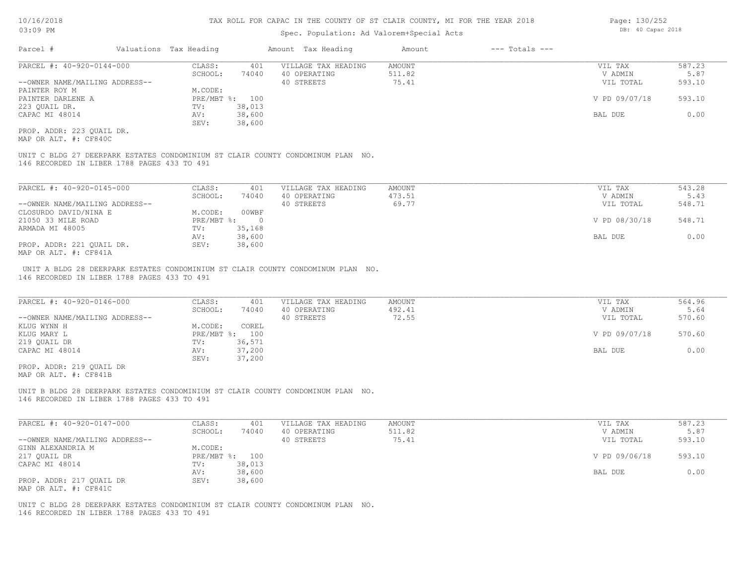## Spec. Population: Ad Valorem+Special Acts

| Parcel #                       | Valuations Tax Heading |        | Amount Tax Heading  | Amount | $---$ Totals $---$ |               |        |
|--------------------------------|------------------------|--------|---------------------|--------|--------------------|---------------|--------|
| PARCEL #: 40-920-0144-000      | CLASS:                 | 401    | VILLAGE TAX HEADING | AMOUNT |                    | VIL TAX       | 587.23 |
|                                | SCHOOL:                | 74040  | 40 OPERATING        | 511.82 |                    | V ADMIN       | 5.87   |
| --OWNER NAME/MAILING ADDRESS-- |                        |        | 40 STREETS          | 75.41  |                    | VIL TOTAL     | 593.10 |
| PAINTER ROY M                  | M.CODE:                |        |                     |        |                    |               |        |
| PAINTER DARLENE A              | PRE/MBT %: 100         |        |                     |        |                    | V PD 09/07/18 | 593.10 |
| 223 OUAIL DR.                  | TV:                    | 38,013 |                     |        |                    |               |        |
| CAPAC MI 48014                 | AV:                    | 38,600 |                     |        |                    | BAL DUE       | 0.00   |
|                                | SEV:                   | 38,600 |                     |        |                    |               |        |
|                                |                        |        |                     |        |                    |               |        |

MAP OR ALT. #: CF840C PROP. ADDR: 223 QUAIL DR.

146 RECORDED IN LIBER 1788 PAGES 433 TO 491 UNIT C BLDG 27 DEERPARK ESTATES CONDOMINIUM ST CLAIR COUNTY CONDOMINUM PLAN NO.

| PARCEL #: 40-920-0145-000      | CLASS:     | 401    | VILLAGE TAX HEADING | AMOUNT | VIL TAX       | 543.28 |
|--------------------------------|------------|--------|---------------------|--------|---------------|--------|
|                                | SCHOOL:    | 74040  | 40 OPERATING        | 473.51 | V ADMIN       | 5.43   |
| --OWNER NAME/MAILING ADDRESS-- |            |        | 40 STREETS          | 69.77  | VIL TOTAL     | 548.71 |
| CLOSURDO DAVID/NINA E          | M.CODE:    | 00WBF  |                     |        |               |        |
| 21050 33 MILE ROAD             | PRE/MBT %: |        |                     |        | V PD 08/30/18 | 548.71 |
| ARMADA MI 48005                | TV:        | 35,168 |                     |        |               |        |
|                                | AV:        | 38,600 |                     |        | BAL DUE       | 0.00   |
| PROP. ADDR: 221 OUAIL DR.      | SEV:       | 38,600 |                     |        |               |        |
| MAP OR ALT. #: CF841A          |            |        |                     |        |               |        |

146 RECORDED IN LIBER 1788 PAGES 433 TO 491 UNIT A BLDG 28 DEERPARK ESTATES CONDOMINIUM ST CLAIR COUNTY CONDOMINUM PLAN NO.

| PARCEL #: 40-920-0146-000      | CLASS:       | 401    | VILLAGE TAX HEADING | AMOUNT | VIL TAX       | 564.96 |
|--------------------------------|--------------|--------|---------------------|--------|---------------|--------|
|                                | SCHOOL:      | 74040  | 40 OPERATING        | 492.41 | V ADMIN       | 5.64   |
| --OWNER NAME/MAILING ADDRESS-- |              |        | 40 STREETS          | 72.55  | VIL TOTAL     | 570.60 |
| KLUG WYNN H                    | M.CODE:      | COREL  |                     |        |               |        |
| KLUG MARY L                    | $PRE/MBT$ %: | 100    |                     |        | V PD 09/07/18 | 570.60 |
| 219 QUAIL DR                   | TV:          | 36,571 |                     |        |               |        |
| CAPAC MI 48014                 | AV:          | 37,200 |                     |        | BAL DUE       | 0.00   |
|                                | SEV:         | 37,200 |                     |        |               |        |
| PROP. ADDR: 219 OUAIL DR       |              |        |                     |        |               |        |

MAP OR ALT. #: CF841B

146 RECORDED IN LIBER 1788 PAGES 433 TO 491 UNIT B BLDG 28 DEERPARK ESTATES CONDOMINIUM ST CLAIR COUNTY CONDOMINUM PLAN NO.

| PARCEL #: 40-920-0147-000      | CLASS:         | 401    | VILLAGE TAX HEADING | AMOUNT | VIL TAX       | 587.23 |
|--------------------------------|----------------|--------|---------------------|--------|---------------|--------|
|                                | SCHOOL:        | 74040  | 40 OPERATING        | 511.82 | V ADMIN       | 5.87   |
| --OWNER NAME/MAILING ADDRESS-- |                |        | 40 STREETS          | 75.41  | VIL TOTAL     | 593.10 |
| GINN ALEXANDRIA M              | M.CODE:        |        |                     |        |               |        |
| 217 QUAIL DR                   | PRE/MBT %: 100 |        |                     |        | V PD 09/06/18 | 593.10 |
| CAPAC MI 48014                 | TV:            | 38,013 |                     |        |               |        |
|                                | AV:            | 38,600 |                     |        | BAL DUE       | 0.00   |
| PROP. ADDR: 217 QUAIL DR       | SEV:           | 38,600 |                     |        |               |        |
| MAP OR ALT. #: CF841C          |                |        |                     |        |               |        |

146 RECORDED IN LIBER 1788 PAGES 433 TO 491 UNIT C BLDG 28 DEERPARK ESTATES CONDOMINIUM ST CLAIR COUNTY CONDOMINUM PLAN NO. Page: 130/252 DB: 40 Capac 2018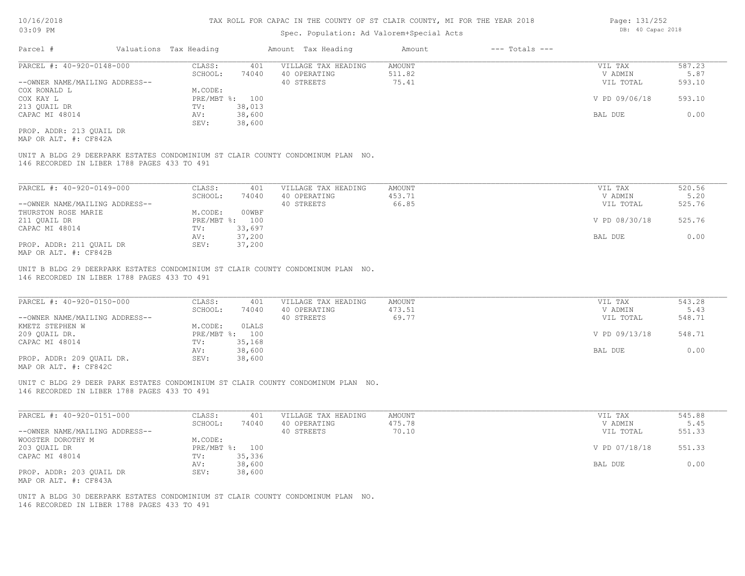## Spec. Population: Ad Valorem+Special Acts

| Parcel #                       |  | Valuations Tax Heading | Amount Tax Heading |                     | Amount | $---$ Totals $---$ |               |        |
|--------------------------------|--|------------------------|--------------------|---------------------|--------|--------------------|---------------|--------|
| PARCEL #: 40-920-0148-000      |  | CLASS:                 | 401                | VILLAGE TAX HEADING | AMOUNT |                    | VIL TAX       | 587.23 |
|                                |  | SCHOOL:                | 74040              | 40 OPERATING        | 511.82 |                    | V ADMIN       | 5.87   |
| --OWNER NAME/MAILING ADDRESS-- |  |                        |                    | 40 STREETS          | 75.41  |                    | VIL TOTAL     | 593.10 |
| COX RONALD L                   |  | M.CODE:                |                    |                     |        |                    |               |        |
| COX KAY L                      |  | PRE/MBT %: 100         |                    |                     |        |                    | V PD 09/06/18 | 593.10 |
| 213 QUAIL DR                   |  | TV:                    | 38,013             |                     |        |                    |               |        |
| CAPAC MI 48014                 |  | AV:                    | 38,600             |                     |        |                    | BAL DUE       | 0.00   |
|                                |  | SEV:                   | 38,600             |                     |        |                    |               |        |
| PROP. ADDR: 213 OUAIL DR       |  |                        |                    |                     |        |                    |               |        |

MAP OR ALT. #: CF842A

146 RECORDED IN LIBER 1788 PAGES 433 TO 491 UNIT A BLDG 29 DEERPARK ESTATES CONDOMINIUM ST CLAIR COUNTY CONDOMINUM PLAN NO.

| PARCEL #: 40-920-0149-000      | CLASS:  | 401            | VILLAGE TAX HEADING | AMOUNT | VIL TAX       | 520.56 |
|--------------------------------|---------|----------------|---------------------|--------|---------------|--------|
|                                | SCHOOL: | 74040          | 40 OPERATING        | 453.71 | V ADMIN       | 5.20   |
| --OWNER NAME/MAILING ADDRESS-- |         |                | 40 STREETS          | 66.85  | VIL TOTAL     | 525.76 |
| THURSTON ROSE MARIE            | M.CODE: | 00WBF          |                     |        |               |        |
| 211 OUAIL DR                   |         | PRE/MBT %: 100 |                     |        | V PD 08/30/18 | 525.76 |
| CAPAC MI 48014                 | TV:     | 33,697         |                     |        |               |        |
|                                | AV:     | 37,200         |                     |        | BAL DUE       | 0.00   |
| PROP. ADDR: 211 QUAIL DR       | SEV:    | 37,200         |                     |        |               |        |
| MAP OR ALT. #: CF842B          |         |                |                     |        |               |        |

146 RECORDED IN LIBER 1788 PAGES 433 TO 491 UNIT B BLDG 29 DEERPARK ESTATES CONDOMINIUM ST CLAIR COUNTY CONDOMINUM PLAN NO.

| PARCEL #: 40-920-0150-000      | CLASS:       | 401    | VILLAGE TAX HEADING | AMOUNT | VIL TAX       | 543.28 |
|--------------------------------|--------------|--------|---------------------|--------|---------------|--------|
|                                | SCHOOL:      | 74040  | 40 OPERATING        | 473.51 | V ADMIN       | 5.43   |
| --OWNER NAME/MAILING ADDRESS-- |              |        | 40 STREETS          | 69.77  | VIL TOTAL     | 548.71 |
| KMETZ STEPHEN W                | M.CODE:      | OLALS  |                     |        |               |        |
| 209 OUAIL DR.                  | $PRE/MBT$ %: | 100    |                     |        | V PD 09/13/18 | 548.71 |
| CAPAC MI 48014                 | TV:          | 35,168 |                     |        |               |        |
|                                | AV:          | 38,600 |                     |        | BAL DUE       | 0.00   |
| PROP. ADDR: 209 OUAIL DR.      | SEV:         | 38,600 |                     |        |               |        |
| $\cdots$                       |              |        |                     |        |               |        |

 $\mathcal{L}_\mathcal{L} = \mathcal{L}_\mathcal{L} = \mathcal{L}_\mathcal{L} = \mathcal{L}_\mathcal{L} = \mathcal{L}_\mathcal{L} = \mathcal{L}_\mathcal{L} = \mathcal{L}_\mathcal{L} = \mathcal{L}_\mathcal{L} = \mathcal{L}_\mathcal{L} = \mathcal{L}_\mathcal{L} = \mathcal{L}_\mathcal{L} = \mathcal{L}_\mathcal{L} = \mathcal{L}_\mathcal{L} = \mathcal{L}_\mathcal{L} = \mathcal{L}_\mathcal{L} = \mathcal{L}_\mathcal{L} = \mathcal{L}_\mathcal{L}$ 

MAP OR ALT. #: CF842C

146 RECORDED IN LIBER 1788 PAGES 433 TO 491 UNIT C BLDG 29 DEER PARK ESTATES CONDOMINIUM ST CLAIR COUNTY CONDOMINUM PLAN NO.

| PARCEL #: 40-920-0151-000      | CLASS:  | 401            | VILLAGE TAX HEADING | AMOUNT | VIL TAX       | 545.88 |
|--------------------------------|---------|----------------|---------------------|--------|---------------|--------|
|                                | SCHOOL: | 74040          | 40 OPERATING        | 475.78 | V ADMIN       | 5.45   |
| --OWNER NAME/MAILING ADDRESS-- |         |                | 40 STREETS          | 70.10  | VIL TOTAL     | 551.33 |
| WOOSTER DOROTHY M              | M.CODE: |                |                     |        |               |        |
| 203 QUAIL DR                   |         | PRE/MBT %: 100 |                     |        | V PD 07/18/18 | 551.33 |
| CAPAC MI 48014                 | TV:     | 35,336         |                     |        |               |        |
|                                | AV:     | 38,600         |                     |        | BAL DUE       | 0.00   |
| PROP. ADDR: 203 QUAIL DR       | SEV:    | 38,600         |                     |        |               |        |
| MAP OR ALT. #: CF843A          |         |                |                     |        |               |        |

146 RECORDED IN LIBER 1788 PAGES 433 TO 491 UNIT A BLDG 30 DEERPARK ESTATES CONDOMINIUM ST CLAIR COUNTY CONDOMINUM PLAN NO. Page: 131/252 DB: 40 Capac 2018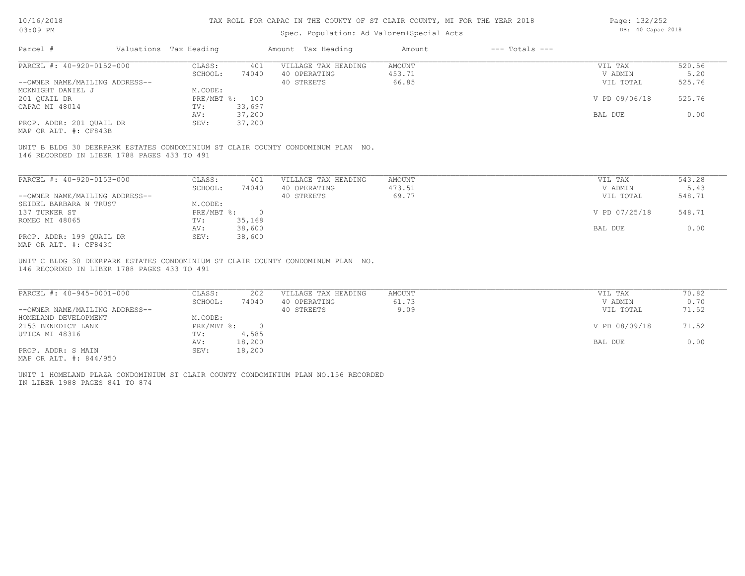## Spec. Population: Ad Valorem+Special Acts

| Parcel #                       | Valuations Tax Heading |                | Amount Tax Heading  | Amount | $---$ Totals $---$ |               |        |
|--------------------------------|------------------------|----------------|---------------------|--------|--------------------|---------------|--------|
| PARCEL #: 40-920-0152-000      | CLASS:                 | 401            | VILLAGE TAX HEADING | AMOUNT |                    | VIL TAX       | 520.56 |
|                                | SCHOOL:                | 74040          | 40 OPERATING        | 453.71 |                    | V ADMIN       | 5.20   |
| --OWNER NAME/MAILING ADDRESS-- |                        |                | 40 STREETS          | 66.85  |                    | VIL TOTAL     | 525.76 |
| MCKNIGHT DANIEL J              | M.CODE:                |                |                     |        |                    |               |        |
| 201 QUAIL DR                   |                        | PRE/MBT %: 100 |                     |        |                    | V PD 09/06/18 | 525.76 |
| CAPAC MI 48014                 | TV:                    | 33,697         |                     |        |                    |               |        |
|                                | AV:                    | 37,200         |                     |        |                    | BAL DUE       | 0.00   |
| PROP. ADDR: 201 OUAIL DR       | SEV:                   | 37,200         |                     |        |                    |               |        |
|                                |                        |                |                     |        |                    |               |        |

MAP OR ALT. #: CF843B

146 RECORDED IN LIBER 1788 PAGES 433 TO 491 UNIT B BLDG 30 DEERPARK ESTATES CONDOMINIUM ST CLAIR COUNTY CONDOMINUM PLAN NO.

| PARCEL #: 40-920-0153-000      | CLASS:     | 401    | VILLAGE TAX HEADING | AMOUNT | VIL TAX       | 543.28 |
|--------------------------------|------------|--------|---------------------|--------|---------------|--------|
|                                | SCHOOL:    | 74040  | 40 OPERATING        | 473.51 | V ADMIN       | 5.43   |
| --OWNER NAME/MAILING ADDRESS-- |            |        | 40 STREETS          | 69.77  | VIL TOTAL     | 548.71 |
| SEIDEL BARBARA N TRUST         | M.CODE:    |        |                     |        |               |        |
| 137 TURNER ST                  | PRE/MBT %: | $\cap$ |                     |        | V PD 07/25/18 | 548.71 |
| ROMEO MI 48065                 | TV:        | 35,168 |                     |        |               |        |
|                                | AV:        | 38,600 |                     |        | BAL DUE       | 0.00   |
| PROP. ADDR: 199 OUAIL DR       | SEV:       | 38,600 |                     |        |               |        |
| MAP OR ALT. #: CF843C          |            |        |                     |        |               |        |

146 RECORDED IN LIBER 1788 PAGES 433 TO 491 UNIT C BLDG 30 DEERPARK ESTATES CONDOMINIUM ST CLAIR COUNTY CONDOMINUM PLAN NO.

| PARCEL #: 40-945-0001-000      | CLASS:     | 202    | VILLAGE TAX HEADING | AMOUNT | VIL TAX       | 70.82 |
|--------------------------------|------------|--------|---------------------|--------|---------------|-------|
|                                | SCHOOL:    | 74040  | 40 OPERATING        | 61.73  | V ADMIN       | 0.70  |
| --OWNER NAME/MAILING ADDRESS-- |            |        | 40 STREETS          | 9.09   | VIL TOTAL     | 71.52 |
| HOMELAND DEVELOPMENT           | M.CODE:    |        |                     |        |               |       |
| 2153 BENEDICT LANE             | PRE/MBT %: |        |                     |        | V PD 08/09/18 | 71.52 |
| UTICA MI 48316                 | TV:        | 4,585  |                     |        |               |       |
|                                | AV:        | 18,200 |                     |        | BAL DUE       | 0.00  |
| PROP. ADDR: S MAIN             | SEV:       | 18,200 |                     |        |               |       |
|                                |            |        |                     |        |               |       |

MAP OR ALT. #: 844/950

IN LIBER 1988 PAGES 841 TO 874 UNIT 1 HOMELAND PLAZA CONDOMINIUM ST CLAIR COUNTY CONDOMINIUM PLAN NO.156 RECORDED Page: 132/252 DB: 40 Capac 2018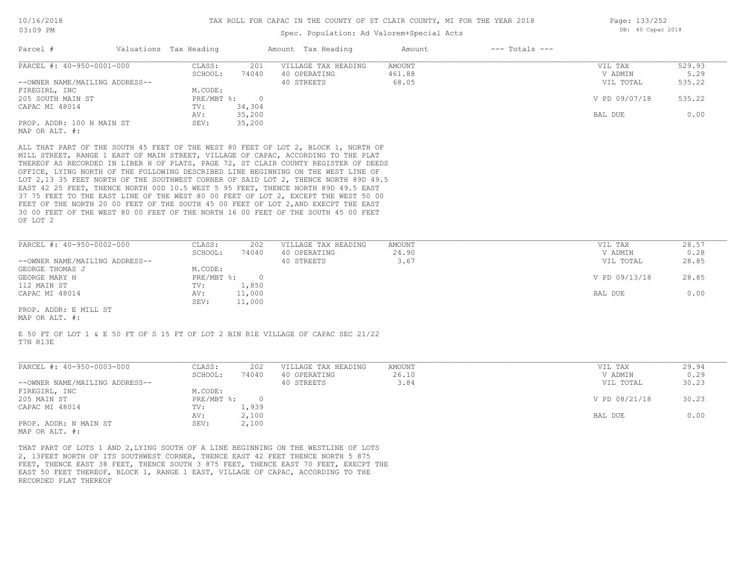## Spec. Population: Ad Valorem+Special Acts

| Parcel #                                    | Valuations Tax Heading |        | Amount Tax Heading  | Amount | $---$ Totals $---$ |               |        |
|---------------------------------------------|------------------------|--------|---------------------|--------|--------------------|---------------|--------|
| PARCEL #: 40-950-0001-000                   | CLASS:                 | 201    | VILLAGE TAX HEADING | AMOUNT |                    | VIL TAX       | 529.93 |
|                                             | SCHOOL:                | 74040  | 40 OPERATING        | 461.88 |                    | V ADMIN       | 5.29   |
| --OWNER NAME/MAILING ADDRESS--              |                        |        | 40 STREETS          | 68.05  |                    | VIL TOTAL     | 535.22 |
| FIREGIRL, INC                               | M.CODE:                |        |                     |        |                    |               |        |
| 205 SOUTH MAIN ST                           | $PRE/MBT$ $\div$       | $\cap$ |                     |        |                    | V PD 09/07/18 | 535.22 |
| CAPAC MI 48014                              | TV:                    | 34,304 |                     |        |                    |               |        |
|                                             | AV:                    | 35,200 |                     |        |                    | BAL DUE       | 0.00   |
| PROP. ADDR: 100 N MAIN ST<br>MAP OR ALT. #: | SEV:                   | 35,200 |                     |        |                    |               |        |

OF LOT 2 30 00 FEET OF THE WEST 80 00 FEET OF THE NORTH 16 00 FEET OF THE SOUTH 45 00 FEET FEET OF THE NORTH 20 00 FEET OF THE SOUTH 45 00 FEET OF LOT 2, AND EXECPT THE EAST 37 75 FEET TO THE EAST LINE OF THE WEST 80 00 FEET OF LOT 2, EXCEPT THE WEST 50 00 EAST 42 25 FEET, THENCE NORTH 00D 10.5 WEST 5 95 FEET, THENCE NORTH 89D 49.5 EAST LOT 2,13 35 FEET NORTH OF THE SOUTHWEST CORNER OF SAID LOT 2, THENCE NORTH 89D 49.5 OFFICE, LYING NORTH OF THE FOLLOWING DESCRIBED LINE BEGINNING ON THE WEST LINE OF THEREOF AS RECORDED IN LIBER H OF PLATS, PAGE 72, ST CLAIR COUNTY REGISTER OF DEEDS MILL STREET, RANGE 1 EAST OF MAIN STREET, VILLAGE OF CAPAC, ACCORDING TO THE PLAT ALL THAT PART OF THE SOUTH 45 FEET OF THE WEST 80 FEET OF LOT 2, BLOCK 1, NORTH OF

| PARCEL #: 40-950-0002-000      | CLASS:       | 202    | VILLAGE TAX HEADING | AMOUNT | VIL TAX       | 28.57 |
|--------------------------------|--------------|--------|---------------------|--------|---------------|-------|
|                                | SCHOOL:      | 74040  | 40 OPERATING        | 24.90  | V ADMIN       | 0.28  |
| --OWNER NAME/MAILING ADDRESS-- |              |        | 40 STREETS          | 3.67   | VIL TOTAL     | 28.85 |
| GEORGE THOMAS J                | M.CODE:      |        |                     |        |               |       |
| GEORGE MARY H                  | $PRE/MBT$ %: |        |                     |        | V PD 09/13/18 | 28.85 |
| 112 MAIN ST                    | TV:          | 1,850  |                     |        |               |       |
| CAPAC MI 48014                 | AV:          | 11,000 |                     |        | BAL DUE       | 0.00  |
|                                | SEV:         | 11,000 |                     |        |               |       |
| PROP. ADDR: E MILL ST          |              |        |                     |        |               |       |

MAP OR ALT. #:

T7N R13E E 50 FT OF LOT 1 & E 50 FT OF S 15 FT OF LOT 2 BIN R1E VILLAGE OF CAPAC SEC 21/22

| PARCEL #: 40-950-0003-000      | CLASS:     | 202   | VILLAGE TAX HEADING | AMOUNT | 29.94<br>VIL TAX       |  |
|--------------------------------|------------|-------|---------------------|--------|------------------------|--|
|                                | SCHOOL:    | 74040 | 40 OPERATING        | 26.10  | 0.29<br>V ADMIN        |  |
| --OWNER NAME/MAILING ADDRESS-- |            |       | 40 STREETS          | 3.84   | 30.23<br>VIL TOTAL     |  |
| FIREGIRL, INC                  | M.CODE:    |       |                     |        |                        |  |
| 205 MAIN ST                    | PRE/MBT %: |       |                     |        | V PD 08/21/18<br>30.23 |  |
| CAPAC MI 48014                 | TV:        | 939ء  |                     |        |                        |  |
|                                | AV:        | 2,100 |                     |        | 0.00<br>BAL DUE        |  |
| PROP. ADDR: N MAIN ST          | SEV:       | 2,100 |                     |        |                        |  |
| MAP OR ALT. #:                 |            |       |                     |        |                        |  |

RECORDED PLAT THEREOF EAST 50 FEET THEREOF, BLOCK 1, RANGE 1 EAST, VILLAGE OF CAPAC, ACCORDING TO THE FEET, THENCE EAST 38 FEET, THENCE SOUTH 3 875 FEET, THENCE EAST 70 FEET, EXECPT THE 2, 13FEET NORTH OF ITS SOUTHWEST CORNER, THENCE EAST 42 FEET THENCE NORTH 5 875 THAT PART OF LOTS 1 AND 2,LYING SOUTH OF A LINE BEGINNING ON THE WESTLINE OF LOTS

Page: 133/252 DB: 40 Capac 2018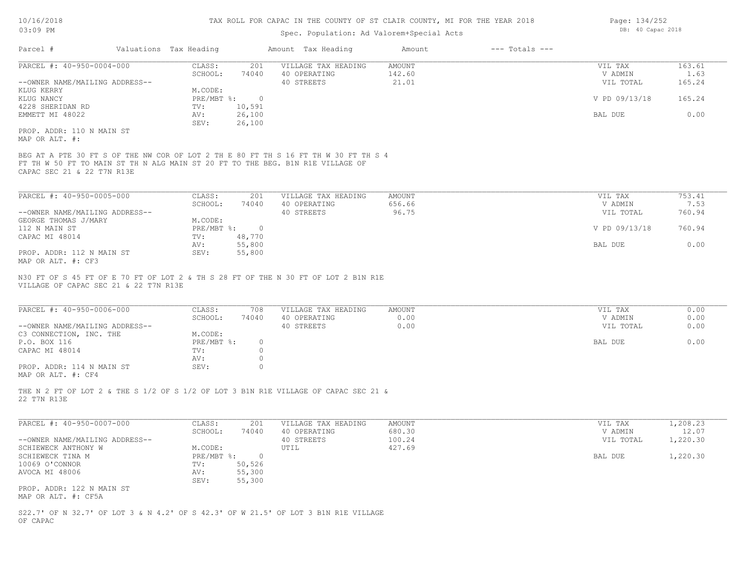# Spec. Population: Ad Valorem+Special Acts

| Parcel #                                                                                                                                                                                            | Valuations Tax Heading |                         |                    | Amount Tax Heading  | Amount        | $---$ Totals $---$ |               |          |
|-----------------------------------------------------------------------------------------------------------------------------------------------------------------------------------------------------|------------------------|-------------------------|--------------------|---------------------|---------------|--------------------|---------------|----------|
| PARCEL #: 40-950-0004-000                                                                                                                                                                           |                        | CLASS:                  | 201                | VILLAGE TAX HEADING | AMOUNT        |                    | VIL TAX       | 163.61   |
|                                                                                                                                                                                                     |                        | SCHOOL:                 | 74040              | 40 OPERATING        | 142.60        |                    | V ADMIN       | 1.63     |
| --OWNER NAME/MAILING ADDRESS--                                                                                                                                                                      |                        |                         |                    | 40 STREETS          | 21.01         |                    | VIL TOTAL     | 165.24   |
| KLUG KERRY                                                                                                                                                                                          |                        | M.CODE:                 |                    |                     |               |                    |               |          |
| KLUG NANCY                                                                                                                                                                                          |                        | $PRE/MBT$ %:            | $\circ$            |                     |               |                    | V PD 09/13/18 | 165.24   |
| 4228 SHERIDAN RD                                                                                                                                                                                    |                        | TV:                     | 10,591             |                     |               |                    |               |          |
| EMMETT MI 48022                                                                                                                                                                                     |                        | AV:<br>SEV:             | 26,100<br>26,100   |                     |               |                    | BAL DUE       | 0.00     |
| PROP. ADDR: 110 N MAIN ST                                                                                                                                                                           |                        |                         |                    |                     |               |                    |               |          |
| MAP OR ALT. #:                                                                                                                                                                                      |                        |                         |                    |                     |               |                    |               |          |
| BEG AT A PTE 30 FT S OF THE NW COR OF LOT 2 TH E 80 FT TH S 16 FT TH W 30 FT TH S 4<br>FT TH W 50 FT TO MAIN ST TH N ALG MAIN ST 20 FT TO THE BEG. B1N R1E VILLAGE OF<br>CAPAC SEC 21 & 22 T7N R13E |                        |                         |                    |                     |               |                    |               |          |
| PARCEL #: 40-950-0005-000                                                                                                                                                                           |                        | CLASS:                  | 201                | VILLAGE TAX HEADING | <b>AMOUNT</b> |                    | VIL TAX       | 753.41   |
|                                                                                                                                                                                                     |                        | SCHOOL:                 | 74040              | 40 OPERATING        | 656.66        |                    | V ADMIN       | 7.53     |
| --OWNER NAME/MAILING ADDRESS--                                                                                                                                                                      |                        |                         |                    | 40 STREETS          | 96.75         |                    | VIL TOTAL     | 760.94   |
|                                                                                                                                                                                                     |                        |                         |                    |                     |               |                    |               |          |
| GEORGE THOMAS J/MARY<br>112 N MAIN ST                                                                                                                                                               |                        | M.CODE:<br>PRE/MBT %: 0 |                    |                     |               |                    | V PD 09/13/18 | 760.94   |
|                                                                                                                                                                                                     |                        |                         |                    |                     |               |                    |               |          |
| CAPAC MI 48014                                                                                                                                                                                      |                        | TV:                     | 48,770             |                     |               |                    |               |          |
|                                                                                                                                                                                                     |                        | AV:                     | 55,800             |                     |               |                    | BAL DUE       | 0.00     |
| PROP. ADDR: 112 N MAIN ST<br>MAP OR ALT. #: CF3                                                                                                                                                     |                        | SEV:                    | 55,800             |                     |               |                    |               |          |
| N30 FT OF S 45 FT OF E 70 FT OF LOT 2 & TH S 28 FT OF THE N 30 FT OF LOT 2 B1N R1E<br>VILLAGE OF CAPAC SEC 21 & 22 T7N R13E                                                                         |                        |                         |                    |                     |               |                    |               |          |
| PARCEL #: 40-950-0006-000                                                                                                                                                                           |                        | CLASS:                  | 708                | VILLAGE TAX HEADING | <b>AMOUNT</b> |                    | VIL TAX       | 0.00     |
|                                                                                                                                                                                                     |                        | SCHOOL:                 | 74040              | 40 OPERATING        | 0.00          |                    | V ADMIN       | 0.00     |
| --OWNER NAME/MAILING ADDRESS--                                                                                                                                                                      |                        |                         |                    | 40 STREETS          | 0.00          |                    | VIL TOTAL     | 0.00     |
| C3 CONNECTION, INC. THE                                                                                                                                                                             |                        | M.CODE:                 |                    |                     |               |                    |               |          |
| P.O. BOX 116                                                                                                                                                                                        |                        | PRE/MBT %:              | $\circ$            |                     |               |                    | BAL DUE       | 0.00     |
| CAPAC MI 48014                                                                                                                                                                                      |                        | TV:<br>AV:              | $\circ$<br>$\circ$ |                     |               |                    |               |          |
| PROP. ADDR: 114 N MAIN ST                                                                                                                                                                           |                        | SEV:                    | $\circ$            |                     |               |                    |               |          |
| MAP OR ALT. #: CF4                                                                                                                                                                                  |                        |                         |                    |                     |               |                    |               |          |
| THE N 2 FT OF LOT 2 & THE S 1/2 OF S 1/2 OF LOT 3 B1N R1E VILLAGE OF CAPAC SEC 21 &<br>22 T7N R13E                                                                                                  |                        |                         |                    |                     |               |                    |               |          |
| PARCEL #: 40-950-0007-000                                                                                                                                                                           |                        | CLASS:                  | 201                | VILLAGE TAX HEADING | AMOUNT        |                    | VIL TAX       | 1,208.23 |
|                                                                                                                                                                                                     |                        | SCHOOL:                 | 74040              | 40 OPERATING        | 680.30        |                    | V ADMIN       | 12.07    |
| --OWNER NAME/MAILING ADDRESS--                                                                                                                                                                      |                        |                         |                    | 40 STREETS          | 100.24        |                    | VIL TOTAL     | 1,220.30 |

|                                | SCHOOL:    | 74040  | 40 OPERATING | 680.30 | V ADMIN   | 12.07    |
|--------------------------------|------------|--------|--------------|--------|-----------|----------|
| --OWNER NAME/MAILING ADDRESS-- |            |        | 40 STREETS   | 100.24 | VIL TOTAL | 1,220.30 |
| SCHIEWECK ANTHONY W            | M.CODE:    |        | UTIL         | 427.69 |           |          |
| SCHIEWECK TINA M               | PRE/MBT %: |        |              |        | BAL DUE   | 1,220.30 |
| 10069 O'CONNOR                 | TV:        | 50,526 |              |        |           |          |
| AVOCA MI 48006                 | AV:        | 55,300 |              |        |           |          |
|                                | SEV:       | 55,300 |              |        |           |          |
| PROP. ADDR: 122 N MAIN ST      |            |        |              |        |           |          |
| MAP OR ALT. #: CF5A            |            |        |              |        |           |          |
|                                |            |        |              |        |           |          |

OF CAPAC S22.7' OF N 32.7' OF LOT 3 & N 4.2' OF S 42.3' OF W 21.5' OF LOT 3 B1N R1E VILLAGE Page: 134/252 DB: 40 Capac 2018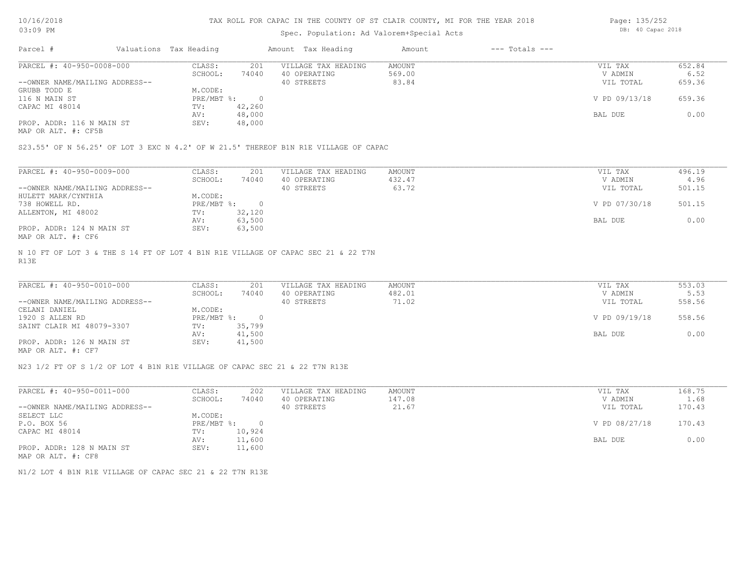# Spec. Population: Ad Valorem+Special Acts

| Page: 135/252 |                   |  |  |  |  |  |
|---------------|-------------------|--|--|--|--|--|
|               | DB: 40 Capac 2018 |  |  |  |  |  |

| Parcel #                       | Valuations Tax Heading |        | Amount Tax Heading  | Amount | $---$ Totals $---$ |               |        |
|--------------------------------|------------------------|--------|---------------------|--------|--------------------|---------------|--------|
| PARCEL #: 40-950-0008-000      | CLASS:                 | 201    | VILLAGE TAX HEADING | AMOUNT |                    | VIL TAX       | 652.84 |
|                                | SCHOOL:                | 74040  | 40 OPERATING        | 569.00 |                    | V ADMIN       | 6.52   |
| --OWNER NAME/MAILING ADDRESS-- |                        |        | 40 STREETS          | 83.84  |                    | VIL TOTAL     | 659.36 |
| GRUBB TODD E                   | M.CODE:                |        |                     |        |                    |               |        |
| 116 N MAIN ST                  | $PRE/MBT$ %:           |        |                     |        |                    | V PD 09/13/18 | 659.36 |
| CAPAC MI 48014                 | TV:                    | 42,260 |                     |        |                    |               |        |
|                                | AV:                    | 48,000 |                     |        |                    | BAL DUE       | 0.00   |
| PROP. ADDR: 116 N MAIN ST      | SEV:                   | 48,000 |                     |        |                    |               |        |
|                                |                        |        |                     |        |                    |               |        |

MAP OR ALT. #: CF5B

S23.55' OF N 56.25' OF LOT 3 EXC N 4.2' OF W 21.5' THEREOF B1N R1E VILLAGE OF CAPAC

| PARCEL #: 40-950-0009-000      | CLASS:     | 201    | VILLAGE TAX HEADING | AMOUNT | VIL TAX       | 496.19 |
|--------------------------------|------------|--------|---------------------|--------|---------------|--------|
|                                | SCHOOL:    | 74040  | 40 OPERATING        | 432.47 | V ADMIN       | 4.96   |
| --OWNER NAME/MAILING ADDRESS-- |            |        | 40 STREETS          | 63.72  | VIL TOTAL     | 501.15 |
| HULETT MARK/CYNTHIA            | M.CODE:    |        |                     |        |               |        |
| 738 HOWELL RD.                 | PRE/MBT %: |        |                     |        | V PD 07/30/18 | 501.15 |
| ALLENTON, MI 48002             | TV:        | 32,120 |                     |        |               |        |
|                                | AV:        | 63,500 |                     |        | BAL DUE       | 0.00   |
| PROP. ADDR: 124 N MAIN ST      | SEV:       | 63,500 |                     |        |               |        |
| MAP OR ALT. #: CF6             |            |        |                     |        |               |        |

R13E N 10 FT OF LOT 3 & THE S 14 FT OF LOT 4 B1N R1E VILLAGE OF CAPAC SEC 21 & 22 T7N

| PARCEL #: 40-950-0010-000      | CLASS:     | 201    | VILLAGE TAX HEADING | AMOUNT | VIL TAX       | 553.03 |
|--------------------------------|------------|--------|---------------------|--------|---------------|--------|
|                                | SCHOOL:    | 74040  | 40 OPERATING        | 482.01 | V ADMIN       | 5.53   |
| --OWNER NAME/MAILING ADDRESS-- |            |        | 40 STREETS          | 71.02  | VIL TOTAL     | 558.56 |
| CELANI DANIEL                  | M.CODE:    |        |                     |        |               |        |
| 1920 S ALLEN RD                | PRE/MBT %: | $\cap$ |                     |        | V PD 09/19/18 | 558.56 |
| SAINT CLAIR MI 48079-3307      | TV:        | 35,799 |                     |        |               |        |
|                                | AV:        | 41,500 |                     |        | BAL DUE       | 0.00   |
| PROP. ADDR: 126 N MAIN ST      | SEV:       | 41,500 |                     |        |               |        |
| MAP OR ALT. #: CF7             |            |        |                     |        |               |        |

 $\mathcal{L}_\mathcal{L} = \mathcal{L}_\mathcal{L} = \mathcal{L}_\mathcal{L} = \mathcal{L}_\mathcal{L} = \mathcal{L}_\mathcal{L} = \mathcal{L}_\mathcal{L} = \mathcal{L}_\mathcal{L} = \mathcal{L}_\mathcal{L} = \mathcal{L}_\mathcal{L} = \mathcal{L}_\mathcal{L} = \mathcal{L}_\mathcal{L} = \mathcal{L}_\mathcal{L} = \mathcal{L}_\mathcal{L} = \mathcal{L}_\mathcal{L} = \mathcal{L}_\mathcal{L} = \mathcal{L}_\mathcal{L} = \mathcal{L}_\mathcal{L}$ 

N23 1/2 FT OF S 1/2 OF LOT 4 B1N R1E VILLAGE OF CAPAC SEC 21 & 22 T7N R13E

| PARCEL #: 40-950-0011-000      | CLASS:       | 202    | VILLAGE TAX HEADING | AMOUNT | VIL TAX       | 168.75 |
|--------------------------------|--------------|--------|---------------------|--------|---------------|--------|
|                                | SCHOOL:      | 74040  | 40 OPERATING        | 147.08 | V ADMIN       | 1.68   |
| --OWNER NAME/MAILING ADDRESS-- |              |        | 40 STREETS          | 21.67  | VIL TOTAL     | 170.43 |
| SELECT LLC                     | M.CODE:      |        |                     |        |               |        |
| P.O. BOX 56                    | $PRE/MBT$ %: |        |                     |        | V PD 08/27/18 | 170.43 |
| CAPAC MI 48014                 | TV:          | 10,924 |                     |        |               |        |
|                                | AV:          | 11,600 |                     |        | BAL DUE       | 0.00   |
| PROP. ADDR: 128 N MAIN ST      | SEV:         | 11,600 |                     |        |               |        |
| MAP OR ALT. #: CF8             |              |        |                     |        |               |        |

N1/2 LOT 4 B1N R1E VILLAGE OF CAPAC SEC 21 & 22 T7N R13E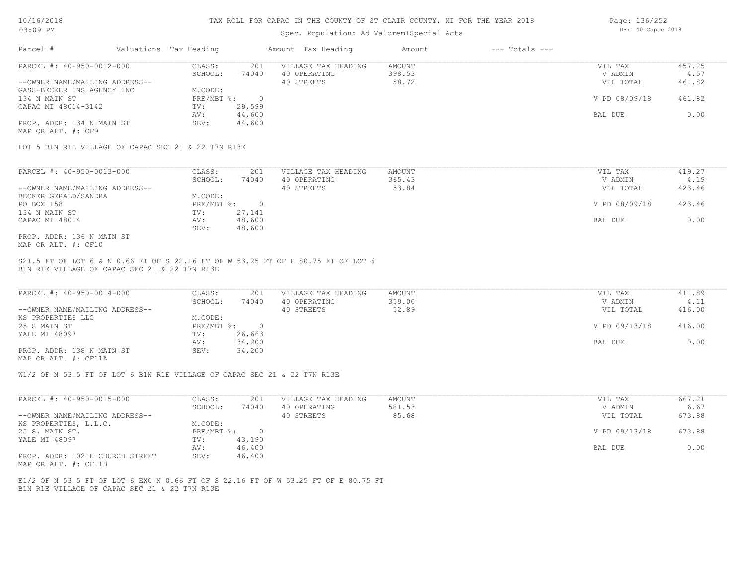## Spec. Population: Ad Valorem+Special Acts

| Parcel #                       | Valuations Tax Heading |        | Amount Tax Heading  | Amount | $---$ Totals $---$ |               |        |
|--------------------------------|------------------------|--------|---------------------|--------|--------------------|---------------|--------|
| PARCEL #: 40-950-0012-000      | CLASS:                 | 201    | VILLAGE TAX HEADING | AMOUNT |                    | VIL TAX       | 457.25 |
|                                | SCHOOL:                | 74040  | 40 OPERATING        | 398.53 |                    | V ADMIN       | 4.57   |
| --OWNER NAME/MAILING ADDRESS-- |                        |        | 40 STREETS          | 58.72  |                    | VIL TOTAL     | 461.82 |
| GASS-BECKER INS AGENCY INC     | M.CODE:                |        |                     |        |                    |               |        |
| 134 N MAIN ST                  | $PRE/MBT$ %:           |        |                     |        |                    | V PD 08/09/18 | 461.82 |
| CAPAC MI 48014-3142            | TV:                    | 29,599 |                     |        |                    |               |        |
|                                | AV:                    | 44,600 |                     |        |                    | BAL DUE       | 0.00   |
| PROP. ADDR: 134 N MAIN ST      | SEV:                   | 44,600 |                     |        |                    |               |        |
|                                |                        |        |                     |        |                    |               |        |

MAP OR ALT. #: CF9

LOT 5 B1N R1E VILLAGE OF CAPAC SEC 21 & 22 T7N R13E

| PARCEL #: 40-950-0013-000      | CLASS:     | 201    | VILLAGE TAX HEADING | AMOUNT | VIL TAX       | 419.27 |
|--------------------------------|------------|--------|---------------------|--------|---------------|--------|
|                                | SCHOOL:    | 74040  | 40 OPERATING        | 365.43 | V ADMIN       | 4.19   |
| --OWNER NAME/MAILING ADDRESS-- |            |        | 40 STREETS          | 53.84  | VIL TOTAL     | 423.46 |
| BECKER GERALD/SANDRA           | M.CODE:    |        |                     |        |               |        |
| PO BOX 158                     | PRE/MBT %: |        |                     |        | V PD 08/09/18 | 423.46 |
| 134 N MAIN ST                  | TV:        | 27,141 |                     |        |               |        |
| CAPAC MI 48014                 | AV:        | 48,600 |                     |        | BAL DUE       | 0.00   |
|                                | SEV:       | 48,600 |                     |        |               |        |
| PROP. ADDR: 136 N MAIN ST      |            |        |                     |        |               |        |

MAP OR ALT. #: CF10

B1N R1E VILLAGE OF CAPAC SEC 21 & 22 T7N R13E S21.5 FT OF LOT 6 & N 0.66 FT OF S 22.16 FT OF W 53.25 FT OF E 80.75 FT OF LOT 6

| PARCEL #: 40-950-0014-000      | CLASS:     | 201    | VILLAGE TAX HEADING | AMOUNT | VIL TAX       | 411.89 |
|--------------------------------|------------|--------|---------------------|--------|---------------|--------|
|                                | SCHOOL:    | 74040  | 40 OPERATING        | 359.00 | V ADMIN       | 4.11   |
| --OWNER NAME/MAILING ADDRESS-- |            |        | 40 STREETS          | 52.89  | VIL TOTAL     | 416.00 |
| KS PROPERTIES LLC              | M.CODE:    |        |                     |        |               |        |
| 25 S MAIN ST                   | PRE/MBT %: |        |                     |        | V PD 09/13/18 | 416.00 |
| YALE MI 48097                  | TV:        | 26,663 |                     |        |               |        |
|                                | AV:        | 34,200 |                     |        | BAL DUE       | 0.00   |
| PROP. ADDR: 138 N MAIN ST      | SEV:       | 34,200 |                     |        |               |        |
|                                |            |        |                     |        |               |        |

MAP OR ALT. #: CF11A

W1/2 OF N 53.5 FT OF LOT 6 B1N R1E VILLAGE OF CAPAC SEC 21 & 22 T7N R13E

| PARCEL #: 40-950-0015-000       | CLASS:     | 201    | VILLAGE TAX HEADING | AMOUNT | VIL TAX       | 667.21 |
|---------------------------------|------------|--------|---------------------|--------|---------------|--------|
|                                 | SCHOOL:    | 74040  | 40 OPERATING        | 581.53 | V ADMIN       | 6.67   |
| --OWNER NAME/MAILING ADDRESS--  |            |        | 40 STREETS          | 85.68  | VIL TOTAL     | 673.88 |
| KS PROPERTIES, L.L.C.           | M.CODE:    |        |                     |        |               |        |
| 25 S. MAIN ST.                  | PRE/MBT %: |        |                     |        | V PD 09/13/18 | 673.88 |
| YALE MI 48097                   | TV:        | 43,190 |                     |        |               |        |
|                                 | AV:        | 46,400 |                     |        | BAL DUE       | 0.00   |
| PROP. ADDR: 102 E CHURCH STREET | SEV:       | 46,400 |                     |        |               |        |

MAP OR ALT. #: CF11B

B1N R1E VILLAGE OF CAPAC SEC 21 & 22 T7N R13E E1/2 OF N 53.5 FT OF LOT 6 EXC N 0.66 FT OF S 22.16 FT OF W 53.25 FT OF E 80.75 FT Page: 136/252 DB: 40 Capac 2018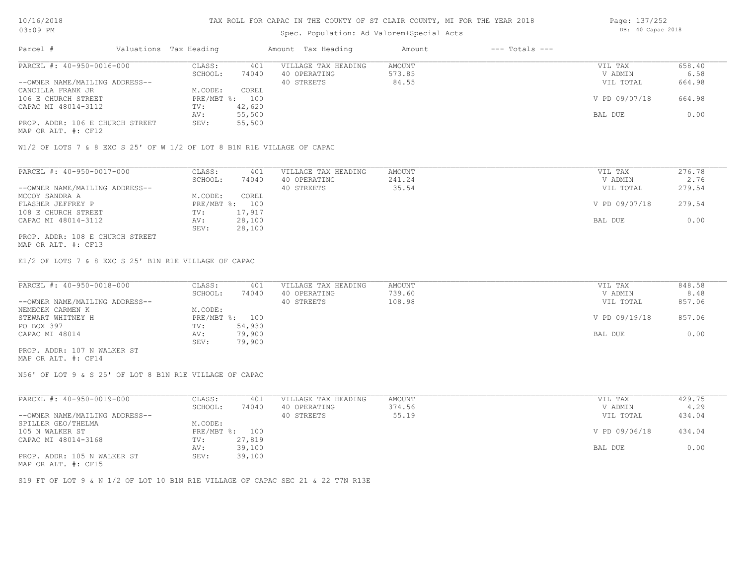## Spec.

| 03:09 PM |                        | DB: 40 Capac 2018  |        |                |  |
|----------|------------------------|--------------------|--------|----------------|--|
| Parcel   | Valuations Tax Heading | Amount Tax Heading | Amount | --- Totals --- |  |

Page: 137/252

| PARCEL #: 40-950-0016-000       | CLASS:       | 401    | VILLAGE TAX HEADING | AMOUNT | VIL TAX       | 658.40 |
|---------------------------------|--------------|--------|---------------------|--------|---------------|--------|
|                                 | SCHOOL:      | 74040  | 40 OPERATING        | 573.85 | V ADMIN       | 6.58   |
| --OWNER NAME/MAILING ADDRESS--  |              |        | 40 STREETS          | 84.55  | VIL TOTAL     | 664.98 |
| CANCILLA FRANK JR               | M.CODE:      | COREL  |                     |        |               |        |
| 106 E CHURCH STREET             | $PRE/MBT$ %: | 100    |                     |        | V PD 09/07/18 | 664.98 |
| CAPAC MI 48014-3112             | TV:          | 42,620 |                     |        |               |        |
|                                 | AV:          | 55,500 |                     |        | BAL DUE       | 0.00   |
| PROP. ADDR: 106 E CHURCH STREET | SEV:         | 55,500 |                     |        |               |        |

MAP OR ALT. #: CF12

W1/2 OF LOTS 7 & 8 EXC S 25' OF W 1/2 OF LOT 8 B1N R1E VILLAGE OF CAPAC

| PARCEL #: 40-950-0017-000       | CLASS:  | 401            | VILLAGE TAX HEADING | AMOUNT | VIL TAX       | 276.78 |
|---------------------------------|---------|----------------|---------------------|--------|---------------|--------|
|                                 | SCHOOL: | 74040          | 40 OPERATING        | 241.24 | V ADMIN       | 2.76   |
| --OWNER NAME/MAILING ADDRESS--  |         |                | 40 STREETS          | 35.54  | VIL TOTAL     | 279.54 |
| MCCOY SANDRA A                  | M.CODE: | COREL          |                     |        |               |        |
| FLASHER JEFFREY P               |         | PRE/MBT %: 100 |                     |        | V PD 09/07/18 | 279.54 |
| 108 E CHURCH STREET             | TV:     | 17,917         |                     |        |               |        |
| CAPAC MI 48014-3112             | AV:     | 28,100         |                     |        | BAL DUE       | 0.00   |
|                                 | SEV:    | 28,100         |                     |        |               |        |
| PROP. ADDR: 108 E CHURCH STREET |         |                |                     |        |               |        |

MAP OR ALT. #: CF13

E1/2 OF LOTS 7 & 8 EXC S 25' B1N R1E VILLAGE OF CAPAC

| PARCEL #: 40-950-0018-000      | CLASS:         | 401    | VILLAGE TAX HEADING | AMOUNT | VIL TAX       | 848.58 |
|--------------------------------|----------------|--------|---------------------|--------|---------------|--------|
|                                | SCHOOL:        | 74040  | 40 OPERATING        | 739.60 | V ADMIN       | 8.48   |
| --OWNER NAME/MAILING ADDRESS-- |                |        | 40 STREETS          | 108.98 | VIL TOTAL     | 857.06 |
| NEMECEK CARMEN K               | M.CODE:        |        |                     |        |               |        |
| STEWART WHITNEY H              | PRE/MBT %: 100 |        |                     |        | V PD 09/19/18 | 857.06 |
| PO BOX 397                     | TV:            | 54,930 |                     |        |               |        |
| CAPAC MI 48014                 | AV:            | 79,900 |                     |        | BAL DUE       | 0.00   |
|                                | SEV:           | 79,900 |                     |        |               |        |
| PROP. ADDR: 107 N WALKER ST    |                |        |                     |        |               |        |

MAP OR ALT. #: CF14

N56' OF LOT 9 & S 25' OF LOT 8 B1N R1E VILLAGE OF CAPAC

| PARCEL #: 40-950-0019-000      | CLASS:       | 401    | VILLAGE TAX HEADING | AMOUNT | VIL TAX       | 429.75 |
|--------------------------------|--------------|--------|---------------------|--------|---------------|--------|
|                                | SCHOOL:      | 74040  | 40 OPERATING        | 374.56 | V ADMIN       | 4.29   |
| --OWNER NAME/MAILING ADDRESS-- |              |        | 40 STREETS          | 55.19  | VIL TOTAL     | 434.04 |
| SPILLER GEO/THELMA             | M.CODE:      |        |                     |        |               |        |
| 105 N WALKER ST                | $PRE/MBT$ %: | 100    |                     |        | V PD 09/06/18 | 434.04 |
| CAPAC MI 48014-3168            | TV:          | 27,819 |                     |        |               |        |
|                                | AV:          | 39,100 |                     |        | BAL DUE       | 0.00   |
| PROP. ADDR: 105 N WALKER ST    | SEV:         | 39,100 |                     |        |               |        |
|                                |              |        |                     |        |               |        |

MAP OR ALT. #: CF15

S19 FT OF LOT 9 & N 1/2 OF LOT 10 B1N R1E VILLAGE OF CAPAC SEC 21 & 22 T7N R13E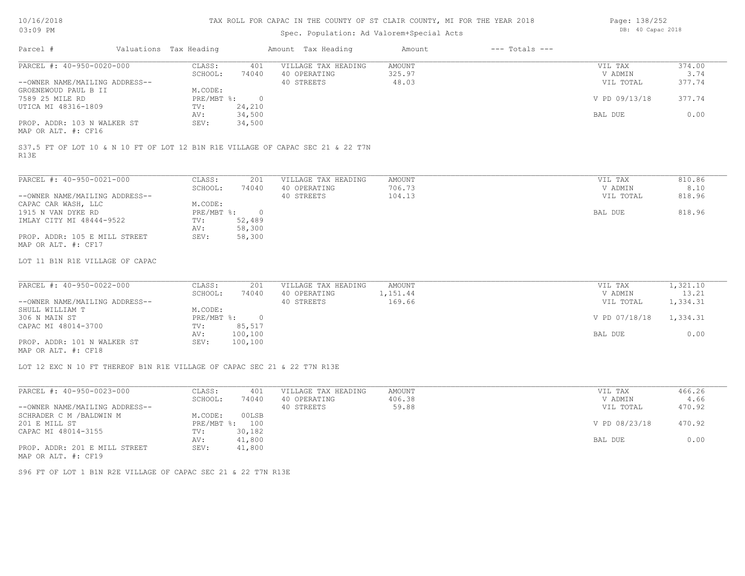# Spec. Population: Ad Valorem+Special Acts

Page: 138/252 DB: 40 Capac 2018

| Parcel #                                                                                | Valuations Tax Heading    |        | Amount Tax Heading  | Amount | $---$ Totals $---$ |               |        |
|-----------------------------------------------------------------------------------------|---------------------------|--------|---------------------|--------|--------------------|---------------|--------|
| PARCEL #: 40-950-0020-000                                                               | CLASS:                    | 401    | VILLAGE TAX HEADING | AMOUNT |                    | VIL TAX       | 374.00 |
|                                                                                         | SCHOOL:                   | 74040  | 40 OPERATING        | 325.97 |                    | V ADMIN       | 3.74   |
| --OWNER NAME/MAILING ADDRESS--                                                          |                           |        | 40 STREETS          | 48.03  |                    | VIL TOTAL     | 377.74 |
| GROENEWOUD PAUL B II                                                                    | M.CODE:                   |        |                     |        |                    |               |        |
| 7589 25 MILE RD                                                                         | $PRE/MBT$ $\frac{6}{3}$ : |        |                     |        |                    | V PD 09/13/18 | 377.74 |
| UTICA MI 48316-1809                                                                     | TV:                       | 24,210 |                     |        |                    |               |        |
|                                                                                         | AV:                       | 34,500 |                     |        |                    | BAL DUE       | 0.00   |
| PROP. ADDR: 103 N WALKER ST<br>MAP OR ALT. #: CF16                                      | SEV:                      | 34,500 |                     |        |                    |               |        |
| S37.5 FT OF LOT 10 & N 10 FT OF LOT 12 B1N R1E VILLAGE OF CAPAC SEC 21 & 22 T7N<br>R13E |                           |        |                     |        |                    |               |        |
| PARCEL #: 40-950-0021-000                                                               | CLASS:                    | 201    | VILLAGE TAX HEADING | AMOUNT |                    | VIL TAX       | 810.86 |
|                                                                                         | SCHOOL:                   | 74040  | 40 OPERATING        | 706.73 |                    | V ADMIN       | 8.10   |
| --OWNER NAME/MAILING ADDRESS--                                                          |                           |        | 40 STREETS          | 104.13 |                    | VIL TOTAL     | 818.96 |
| יחיד נוסגואים מגרי מגתגים                                                               | M CODE.                   |        |                     |        |                    |               |        |

| CAPAC CAR WASH, LLC           | M.CODE:      |        |  |         |        |
|-------------------------------|--------------|--------|--|---------|--------|
| 1915 N VAN DYKE RD            | $PRE/MBT$ %: |        |  | BAL DUE | 818.96 |
| IMLAY CITY MI 48444-9522      | TV:          | 52,489 |  |         |        |
|                               | AV:          | 58,300 |  |         |        |
| PROP. ADDR: 105 E MILL STREET | SEV:         | 58,300 |  |         |        |
| MAP OR ALT. #: CF17           |              |        |  |         |        |

#### LOT 11 B1N R1E VILLAGE OF CAPAC

| PARCEL #: 40-950-0022-000                    | CLASS:     | 201      | VILLAGE TAX HEADING | AMOUNT   | VIL TAX                | 1,321.10 |
|----------------------------------------------|------------|----------|---------------------|----------|------------------------|----------|
|                                              | SCHOOL:    | 74040    | 40 OPERATING        | 1,151.44 | V ADMIN                | 13.21    |
| --OWNER NAME/MAILING ADDRESS--               |            |          | 40 STREETS          | 169.66   | VIL TOTAL              | 1,334.31 |
| SHULL WILLIAM T                              | M.CODE:    |          |                     |          |                        |          |
| 306 N MAIN ST                                | PRE/MBT %: | $\Omega$ |                     |          | V PD 07/18/18 1,334.31 |          |
| CAPAC MI 48014-3700                          | TV:        | 85,517   |                     |          |                        |          |
|                                              | AV:        | 100,100  |                     |          | BAL DUE                | 0.00     |
| PROP. ADDR: 101 N WALKER ST<br>$\frac{1}{2}$ | SEV:       | 100,100  |                     |          |                        |          |

 $\mathcal{L}_\mathcal{L} = \mathcal{L}_\mathcal{L} = \mathcal{L}_\mathcal{L} = \mathcal{L}_\mathcal{L} = \mathcal{L}_\mathcal{L} = \mathcal{L}_\mathcal{L} = \mathcal{L}_\mathcal{L} = \mathcal{L}_\mathcal{L} = \mathcal{L}_\mathcal{L} = \mathcal{L}_\mathcal{L} = \mathcal{L}_\mathcal{L} = \mathcal{L}_\mathcal{L} = \mathcal{L}_\mathcal{L} = \mathcal{L}_\mathcal{L} = \mathcal{L}_\mathcal{L} = \mathcal{L}_\mathcal{L} = \mathcal{L}_\mathcal{L}$ 

MAP OR ALT. #: CF18

LOT 12 EXC N 10 FT THEREOF B1N R1E VILLAGE OF CAPAC SEC 21 & 22 T7N R13E

| PARCEL #: 40-950-0023-000      | CLASS:  | 401            | VILLAGE TAX HEADING | AMOUNT | VIL TAX       | 466.26 |
|--------------------------------|---------|----------------|---------------------|--------|---------------|--------|
|                                | SCHOOL: | 74040          | 40 OPERATING        | 406.38 | V ADMIN       | 4.66   |
| --OWNER NAME/MAILING ADDRESS-- |         |                | 40 STREETS          | 59.88  | VIL TOTAL     | 470.92 |
| SCHRADER C M /BALDWIN M        | M.CODE: | 00LSB          |                     |        |               |        |
| 201 E MILL ST                  |         | PRE/MBT %: 100 |                     |        | V PD 08/23/18 | 470.92 |
| CAPAC MI 48014-3155            | TV:     | 30,182         |                     |        |               |        |
|                                | AV:     | 41,800         |                     |        | BAL DUE       | 0.00   |
| PROP. ADDR: 201 E MILL STREET  | SEV:    | 41,800         |                     |        |               |        |
| MAP OR ALT. #: CF19            |         |                |                     |        |               |        |

S96 FT OF LOT 1 B1N R2E VILLAGE OF CAPAC SEC 21 & 22 T7N R13E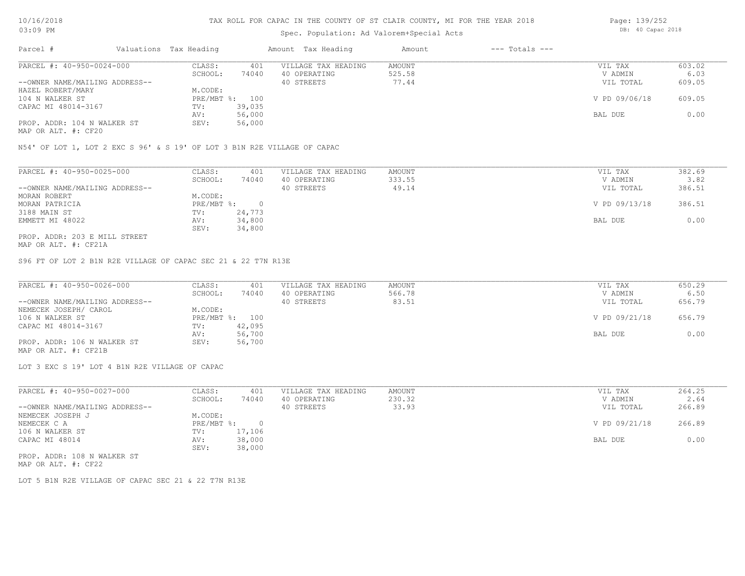## Spec. Population: Ad Valorem+Special Acts

| Parcel #                       | Valuations Tax Heading |        | Amount Tax Heading  | Amount | $---$ Totals $---$ |               |        |
|--------------------------------|------------------------|--------|---------------------|--------|--------------------|---------------|--------|
| PARCEL #: 40-950-0024-000      | CLASS:                 | 401    | VILLAGE TAX HEADING | AMOUNT |                    | VIL TAX       | 603.02 |
|                                | SCHOOL:                | 74040  | 40 OPERATING        | 525.58 |                    | V ADMIN       | 6.03   |
| --OWNER NAME/MAILING ADDRESS-- |                        |        | 40 STREETS          | 77.44  |                    | VIL TOTAL     | 609.05 |
| HAZEL ROBERT/MARY              | M.CODE:                |        |                     |        |                    |               |        |
| 104 N WALKER ST                | PRE/MBT %: 100         |        |                     |        |                    | V PD 09/06/18 | 609.05 |
| CAPAC MI 48014-3167            | TV:                    | 39,035 |                     |        |                    |               |        |
|                                | AV:                    | 56,000 |                     |        |                    | BAL DUE       | 0.00   |
| PROP. ADDR: 104 N WALKER ST    | SEV:                   | 56,000 |                     |        |                    |               |        |

MAP OR ALT. #: CF20

N54' OF LOT 1, LOT 2 EXC S 96' & S 19' OF LOT 3 B1N R2E VILLAGE OF CAPAC

| PARCEL #: 40-950-0025-000      | CLASS:       | 401    | VILLAGE TAX HEADING | AMOUNT | VIL TAX       | 382.69 |
|--------------------------------|--------------|--------|---------------------|--------|---------------|--------|
|                                | SCHOOL:      | 74040  | 40 OPERATING        | 333.55 | V ADMIN       | 3.82   |
| --OWNER NAME/MAILING ADDRESS-- |              |        | 40 STREETS          | 49.14  | VIL TOTAL     | 386.51 |
| MORAN ROBERT                   | M.CODE:      |        |                     |        |               |        |
| MORAN PATRICIA                 | $PRE/MBT$ %: |        |                     |        | V PD 09/13/18 | 386.51 |
| 3188 MAIN ST                   | TV:          | 24,773 |                     |        |               |        |
| EMMETT MI 48022                | AV:          | 34,800 |                     |        | BAL DUE       | 0.00   |
|                                | SEV:         | 34,800 |                     |        |               |        |
| PROP. ADDR: 203 E MILL STREET  |              |        |                     |        |               |        |

MAP OR ALT. #: CF21A

S96 FT OF LOT 2 B1N R2E VILLAGE OF CAPAC SEC 21 & 22 T7N R13E

| PARCEL #: 40-950-0026-000      | CLASS:  | 401            | VILLAGE TAX HEADING | AMOUNT | VIL TAX       | 650.29 |
|--------------------------------|---------|----------------|---------------------|--------|---------------|--------|
|                                | SCHOOL: | 74040          | 40 OPERATING        | 566.78 | V ADMIN       | 6.50   |
| --OWNER NAME/MAILING ADDRESS-- |         |                | 40 STREETS          | 83.51  | VIL TOTAL     | 656.79 |
| NEMECEK JOSEPH/ CAROL          | M.CODE: |                |                     |        |               |        |
| 106 N WALKER ST                |         | PRE/MBT %: 100 |                     |        | V PD 09/21/18 | 656.79 |
| CAPAC MI 48014-3167            | TV:     | 42,095         |                     |        |               |        |
|                                | AV:     | 56,700         |                     |        | BAL DUE       | 0.00   |
| PROP. ADDR: 106 N WALKER ST    | SEV:    | 56,700         |                     |        |               |        |
| MAP OR ALT. #: CF21B           |         |                |                     |        |               |        |

LOT 3 EXC S 19' LOT 4 B1N R2E VILLAGE OF CAPAC

| PARCEL #: 40-950-0027-000      | CLASS:     | 401    | VILLAGE TAX HEADING | AMOUNT | VIL TAX       | 264.25 |
|--------------------------------|------------|--------|---------------------|--------|---------------|--------|
|                                | SCHOOL:    | 74040  | 40 OPERATING        | 230.32 | V ADMIN       | 2.64   |
| --OWNER NAME/MAILING ADDRESS-- |            |        | 40 STREETS          | 33.93  | VIL TOTAL     | 266.89 |
| NEMECEK JOSEPH J               | M.CODE:    |        |                     |        |               |        |
| NEMECEK C A                    | PRE/MBT %: |        |                     |        | V PD 09/21/18 | 266.89 |
| 106 N WALKER ST                | TV:        | 17,106 |                     |        |               |        |
| CAPAC MI 48014                 | AV:        | 38,000 |                     |        | BAL DUE       | 0.00   |
|                                | SEV:       | 38,000 |                     |        |               |        |
| PROP. ADDR: 108 N WALKER ST    |            |        |                     |        |               |        |

MAP OR ALT. #: CF22

LOT 5 B1N R2E VILLAGE OF CAPAC SEC 21 & 22 T7N R13E

Page: 139/252 DB: 40 Capac 2018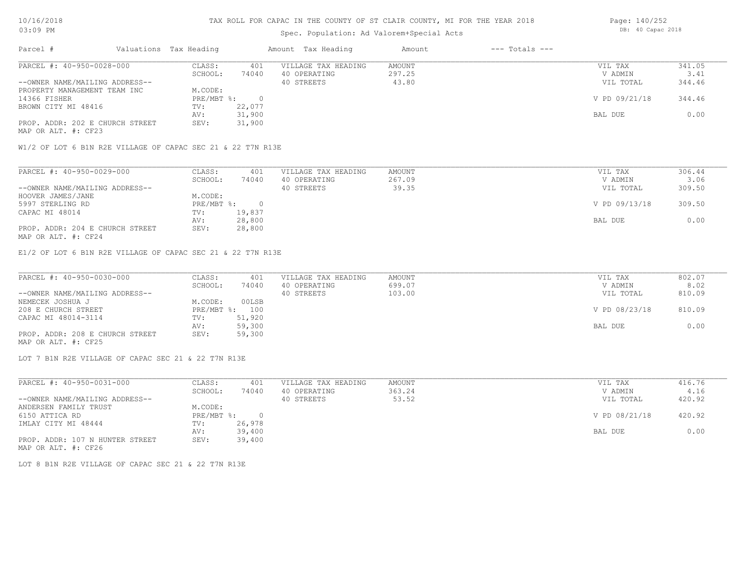# Spec. Population: Ad Valorem+Special Acts

| Parcel #                        | Valuations Tax Heading |        | Amount Tax Heading  | Amount | $---$ Totals $---$ |               |        |
|---------------------------------|------------------------|--------|---------------------|--------|--------------------|---------------|--------|
| PARCEL #: 40-950-0028-000       | CLASS:                 | 401    | VILLAGE TAX HEADING | AMOUNT |                    | VIL TAX       | 341.05 |
|                                 | SCHOOL:                | 74040  | 40 OPERATING        | 297.25 |                    | V ADMIN       | 3.41   |
| --OWNER NAME/MAILING ADDRESS--  |                        |        | 40 STREETS          | 43.80  |                    | VIL TOTAL     | 344.46 |
| PROPERTY MANAGEMENT TEAM INC    | M.CODE:                |        |                     |        |                    |               |        |
| 14366 FISHER                    | $PRE/MBT$ %:           |        |                     |        |                    | V PD 09/21/18 | 344.46 |
| BROWN CITY MI 48416             | TV:                    | 22,077 |                     |        |                    |               |        |
|                                 | AV:                    | 31,900 |                     |        |                    | BAL DUE       | 0.00   |
| PROP. ADDR: 202 E CHURCH STREET | SEV:                   | 31,900 |                     |        |                    |               |        |
|                                 |                        |        |                     |        |                    |               |        |

MAP OR ALT. #: CF23

W1/2 OF LOT 6 B1N R2E VILLAGE OF CAPAC SEC 21 & 22 T7N R13E

| PARCEL #: 40-950-0029-000       | CLASS:     | 401    | VILLAGE TAX HEADING | AMOUNT | VIL TAX       | 306.44 |
|---------------------------------|------------|--------|---------------------|--------|---------------|--------|
|                                 | SCHOOL:    | 74040  | 40 OPERATING        | 267.09 | V ADMIN       | 3.06   |
| --OWNER NAME/MAILING ADDRESS--  |            |        | 40 STREETS          | 39.35  | VIL TOTAL     | 309.50 |
| HOOVER JAMES/JANE               | M.CODE:    |        |                     |        |               |        |
| 5997 STERLING RD                | PRE/MBT %: |        |                     |        | V PD 09/13/18 | 309.50 |
| CAPAC MI 48014                  | TV:        | 19,837 |                     |        |               |        |
|                                 | AV:        | 28,800 |                     |        | BAL DUE       | 0.00   |
| PROP. ADDR: 204 E CHURCH STREET | SEV:       | 28,800 |                     |        |               |        |
| MAP OR ALT. #: CF24             |            |        |                     |        |               |        |

E1/2 OF LOT 6 B1N R2E VILLAGE OF CAPAC SEC 21 & 22 T7N R13E

| PARCEL #: 40-950-0030-000       | CLASS:  | 401            | VILLAGE TAX HEADING | AMOUNT | VIL TAX       | 802.07 |
|---------------------------------|---------|----------------|---------------------|--------|---------------|--------|
|                                 | SCHOOL: | 74040          | 40 OPERATING        | 699.07 | V ADMIN       | 8.02   |
| --OWNER NAME/MAILING ADDRESS--  |         |                | 40 STREETS          | 103.00 | VIL TOTAL     | 810.09 |
| NEMECEK JOSHUA J                | M.CODE: | 00LSB          |                     |        |               |        |
| 208 E CHURCH STREET             |         | PRE/MBT %: 100 |                     |        | V PD 08/23/18 | 810.09 |
| CAPAC MI 48014-3114             | TV:     | 51,920         |                     |        |               |        |
|                                 | AV:     | 59,300         |                     |        | BAL DUE       | 0.00   |
| PROP. ADDR: 208 E CHURCH STREET | SEV:    | 59,300         |                     |        |               |        |
| MAP OR ALT. #: CF25             |         |                |                     |        |               |        |

LOT 7 B1N R2E VILLAGE OF CAPAC SEC 21 & 22 T7N R13E

| PARCEL #: 40-950-0031-000       | CLASS:     | 401      | VILLAGE TAX HEADING | AMOUNT | VIL TAX       | 416.76 |
|---------------------------------|------------|----------|---------------------|--------|---------------|--------|
|                                 | SCHOOL:    | 74040    | 40 OPERATING        | 363.24 | V ADMIN       | 4.16   |
| --OWNER NAME/MAILING ADDRESS--  |            |          | 40 STREETS          | 53.52  | VIL TOTAL     | 420.92 |
| ANDERSEN FAMILY TRUST           | M.CODE:    |          |                     |        |               |        |
| 6150 ATTICA RD                  | PRE/MBT %: | $\Omega$ |                     |        | V PD 08/21/18 | 420.92 |
| IMLAY CITY MI 48444             | TV:        | 26,978   |                     |        |               |        |
|                                 | AV:        | 39,400   |                     |        | BAL DUE       | 0.00   |
| PROP. ADDR: 107 N HUNTER STREET | SEV:       | 39,400   |                     |        |               |        |
| MAP OR ALT. #: CF26             |            |          |                     |        |               |        |

LOT 8 B1N R2E VILLAGE OF CAPAC SEC 21 & 22 T7N R13E

Page: 140/252 DB: 40 Capac 2018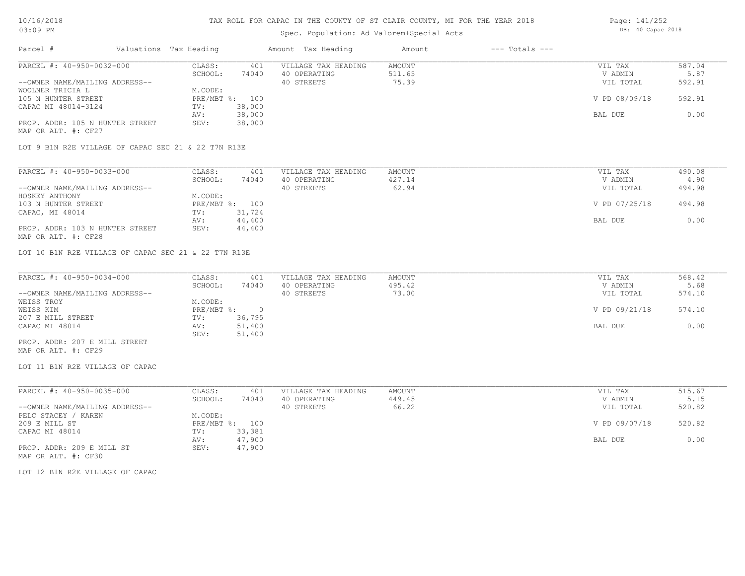## 10/16/2018 03:09 PM

## TAX ROLL FOR CAPAC IN THE COUNTY OF ST CLAIR COUNTY, MI FOR THE YEAR 2018

# Spec. Population: Ad Valorem+Special Acts

| Parcel #                        | Valuations Tax Heading |                | Amount Tax Heading  | Amount | $---$ Totals $---$ |               |        |
|---------------------------------|------------------------|----------------|---------------------|--------|--------------------|---------------|--------|
| PARCEL #: 40-950-0032-000       | CLASS:                 | 401            | VILLAGE TAX HEADING | AMOUNT |                    | VIL TAX       | 587.04 |
|                                 | SCHOOL:                | 74040          | 40 OPERATING        | 511.65 |                    | V ADMIN       | 5.87   |
| --OWNER NAME/MAILING ADDRESS--  |                        |                | 40 STREETS          | 75.39  |                    | VIL TOTAL     | 592.91 |
| WOOLNER TRICIA L                | M.CODE:                |                |                     |        |                    |               |        |
| 105 N HUNTER STREET             |                        | PRE/MBT %: 100 |                     |        |                    | V PD 08/09/18 | 592.91 |
| CAPAC MI 48014-3124             | TV:                    | 38,000         |                     |        |                    |               |        |
|                                 | AV:                    | 38,000         |                     |        |                    | BAL DUE       | 0.00   |
| PROP. ADDR: 105 N HUNTER STREET | SEV:                   | 38,000         |                     |        |                    |               |        |
| MAP OR ALT. #: CF27             |                        |                |                     |        |                    |               |        |
|                                 |                        |                |                     |        |                    |               |        |

LOT 9 B1N R2E VILLAGE OF CAPAC SEC 21 & 22 T7N R13E

| PARCEL #: 40-950-0033-000       | CLASS:  | 401            | VILLAGE TAX HEADING | AMOUNT | VIL TAX       | 490.08 |
|---------------------------------|---------|----------------|---------------------|--------|---------------|--------|
|                                 | SCHOOL: | 74040          | 40 OPERATING        | 427.14 | V ADMIN       | 4.90   |
| --OWNER NAME/MAILING ADDRESS--  |         |                | 40 STREETS          | 62.94  | VIL TOTAL     | 494.98 |
| HOSKEY ANTHONY                  | M.CODE: |                |                     |        |               |        |
| 103 N HUNTER STREET             |         | PRE/MBT %: 100 |                     |        | V PD 07/25/18 | 494.98 |
| CAPAC, MI 48014                 | TV:     | 31,724         |                     |        |               |        |
|                                 | AV:     | 44,400         |                     |        | BAL DUE       | 0.00   |
| PROP. ADDR: 103 N HUNTER STREET | SEV:    | 44,400         |                     |        |               |        |
| MAP OR ALT. #: CF28             |         |                |                     |        |               |        |

LOT 10 B1N R2E VILLAGE OF CAPAC SEC 21 & 22 T7N R13E

| PARCEL #: 40-950-0034-000      | CLASS:     | 401    | VILLAGE TAX HEADING | AMOUNT | VIL TAX       | 568.42 |
|--------------------------------|------------|--------|---------------------|--------|---------------|--------|
|                                | SCHOOL:    | 74040  | 40 OPERATING        | 495.42 | V ADMIN       | 5.68   |
| --OWNER NAME/MAILING ADDRESS-- |            |        | 40 STREETS          | 73.00  | VIL TOTAL     | 574.10 |
| WEISS TROY                     | M.CODE:    |        |                     |        |               |        |
| WEISS KIM                      | PRE/MBT %: |        |                     |        | V PD 09/21/18 | 574.10 |
| 207 E MILL STREET              | TV:        | 36,795 |                     |        |               |        |
| CAPAC MI 48014                 | AV:        | 51,400 |                     |        | BAL DUE       | 0.00   |
|                                | SEV:       | 51,400 |                     |        |               |        |
| PROP. ADDR: 207 E MILL STREET  |            |        |                     |        |               |        |

MAP OR ALT. #: CF29

LOT 11 B1N R2E VILLAGE OF CAPAC

| PARCEL #: 40-950-0035-000      | CLASS:  | 401            | VILLAGE TAX HEADING | AMOUNT | VIL TAX       | 515.67 |
|--------------------------------|---------|----------------|---------------------|--------|---------------|--------|
|                                | SCHOOL: | 74040          | 40 OPERATING        | 449.45 | V ADMIN       | 5.15   |
| --OWNER NAME/MAILING ADDRESS-- |         |                | 40 STREETS          | 66.22  | VIL TOTAL     | 520.82 |
| PELC STACEY / KAREN            | M.CODE: |                |                     |        |               |        |
| 209 E MILL ST                  |         | PRE/MBT %: 100 |                     |        | V PD 09/07/18 | 520.82 |
| CAPAC MI 48014                 | TV:     | 33,381         |                     |        |               |        |
|                                | AV:     | 47,900         |                     |        | BAL DUE       | 0.00   |
| PROP. ADDR: 209 E MILL ST      | SEV:    | 47,900         |                     |        |               |        |
| MAP OR ALT. #: CF30            |         |                |                     |        |               |        |

LOT 12 B1N R2E VILLAGE OF CAPAC

Page: 141/252 DB: 40 Capac 2018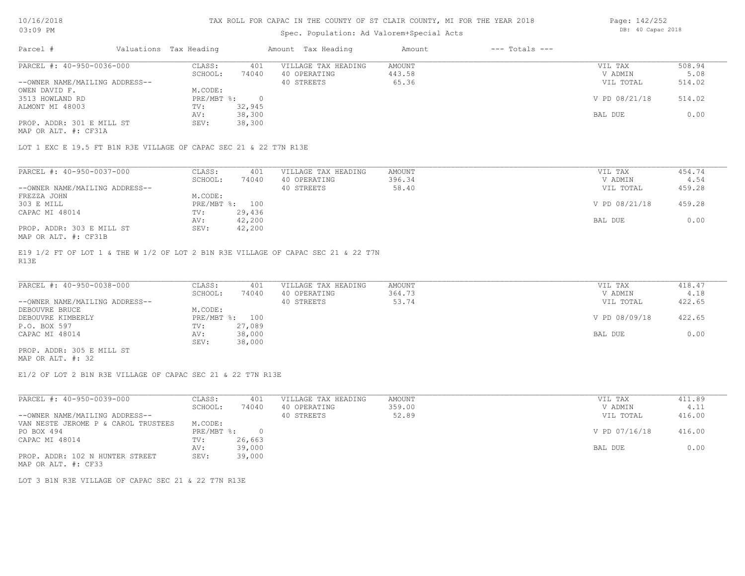## Spec. Population: Ad Valorem+Special Acts

| Page: 142/252 |                   |  |
|---------------|-------------------|--|
|               | DB: 40 Capac 2018 |  |

| Parcel #                       | Valuations Tax Heading |        | Amount Tax Heading  | Amount | $---$ Totals $---$ |               |        |
|--------------------------------|------------------------|--------|---------------------|--------|--------------------|---------------|--------|
| PARCEL #: 40-950-0036-000      | CLASS:                 | 401    | VILLAGE TAX HEADING | AMOUNT |                    | VIL TAX       | 508.94 |
|                                | SCHOOL:                | 74040  | 40 OPERATING        | 443.58 |                    | V ADMIN       | 5.08   |
| --OWNER NAME/MAILING ADDRESS-- |                        |        | 40 STREETS          | 65.36  |                    | VIL TOTAL     | 514.02 |
| OWEN DAVID F.                  | M.CODE:                |        |                     |        |                    |               |        |
| 3513 HOWLAND RD                | $PRE/MBT$ %:           |        |                     |        |                    | V PD 08/21/18 | 514.02 |
| ALMONT MI 48003                | TV:                    | 32,945 |                     |        |                    |               |        |
|                                | AV:                    | 38,300 |                     |        |                    | BAL DUE       | 0.00   |
| PROP. ADDR: 301 E MILL ST      | SEV:                   | 38,300 |                     |        |                    |               |        |
|                                |                        |        |                     |        |                    |               |        |

MAP OR ALT. #: CF31A

LOT 1 EXC E 19.5 FT B1N R3E VILLAGE OF CAPAC SEC 21 & 22 T7N R13E

| PARCEL #: 40-950-0037-000      | CLASS:     | 401    | VILLAGE TAX HEADING | AMOUNT | VIL TAX       | 454.74 |
|--------------------------------|------------|--------|---------------------|--------|---------------|--------|
|                                | SCHOOL:    | 74040  | 40 OPERATING        | 396.34 | V ADMIN       | 4.54   |
| --OWNER NAME/MAILING ADDRESS-- |            |        | 40 STREETS          | 58.40  | VIL TOTAL     | 459.28 |
| FREZZA JOHN                    | M.CODE:    |        |                     |        |               |        |
| 303 E MILL                     | PRE/MBT %: | 100    |                     |        | V PD 08/21/18 | 459.28 |
| CAPAC MI 48014                 | TV:        | 29,436 |                     |        |               |        |
|                                | AV:        | 42,200 |                     |        | BAL DUE       | 0.00   |
| PROP. ADDR: 303 E MILL ST      | SEV:       | 42,200 |                     |        |               |        |
| MAP OR ALT. #: CF31B           |            |        |                     |        |               |        |

R13E E19 1/2 FT OF LOT 1 & THE W 1/2 OF LOT 2 B1N R3E VILLAGE OF CAPAC SEC 21 & 22 T7N

| PARCEL #: 40-950-0038-000      | CLASS:  | 401            | VILLAGE TAX HEADING | AMOUNT | VIL TAX       | 418.47 |
|--------------------------------|---------|----------------|---------------------|--------|---------------|--------|
|                                | SCHOOL: | 74040          | 40 OPERATING        | 364.73 | V ADMIN       | 4.18   |
| --OWNER NAME/MAILING ADDRESS-- |         |                | 40 STREETS          | 53.74  | VIL TOTAL     | 422.65 |
| DEBOUVRE BRUCE                 | M.CODE: |                |                     |        |               |        |
| DEBOUVRE KIMBERLY              |         | PRE/MBT %: 100 |                     |        | V PD 08/09/18 | 422.65 |
| P.O. BOX 597                   | TV:     | 27,089         |                     |        |               |        |
| CAPAC MI 48014                 | AV:     | 38,000         |                     |        | BAL DUE       | 0.00   |
|                                | SEV:    | 38,000         |                     |        |               |        |
| PROP. ADDR: 305 E MILL ST      |         |                |                     |        |               |        |

MAP OR ALT. #: 32

E1/2 OF LOT 2 B1N R3E VILLAGE OF CAPAC SEC 21 & 22 T7N R13E

| PARCEL #: 40-950-0039-000           | CLASS:     | 401          | VILLAGE TAX HEADING | AMOUNT | 411.89<br>VIL TAX       |  |
|-------------------------------------|------------|--------------|---------------------|--------|-------------------------|--|
|                                     | SCHOOL:    | 74040        | 40 OPERATING        | 359.00 | 4.11<br>V ADMIN         |  |
| --OWNER NAME/MAILING ADDRESS--      |            |              | 40 STREETS          | 52.89  | 416.00<br>VIL TOTAL     |  |
| VAN NESTE JEROME P & CAROL TRUSTEES | M.CODE:    |              |                     |        |                         |  |
| PO BOX 494                          | PRE/MBT %: | <sup>n</sup> |                     |        | V PD 07/16/18<br>416.00 |  |
| CAPAC MI 48014                      | TV:        | 26,663       |                     |        |                         |  |
|                                     | AV:        | 39,000       |                     |        | BAL DUE<br>0.00         |  |
| PROP. ADDR: 102 N HUNTER STREET     | SEV:       | 39,000       |                     |        |                         |  |
| MAP OR ALT. #: CF33                 |            |              |                     |        |                         |  |

LOT 3 B1N R3E VILLAGE OF CAPAC SEC 21 & 22 T7N R13E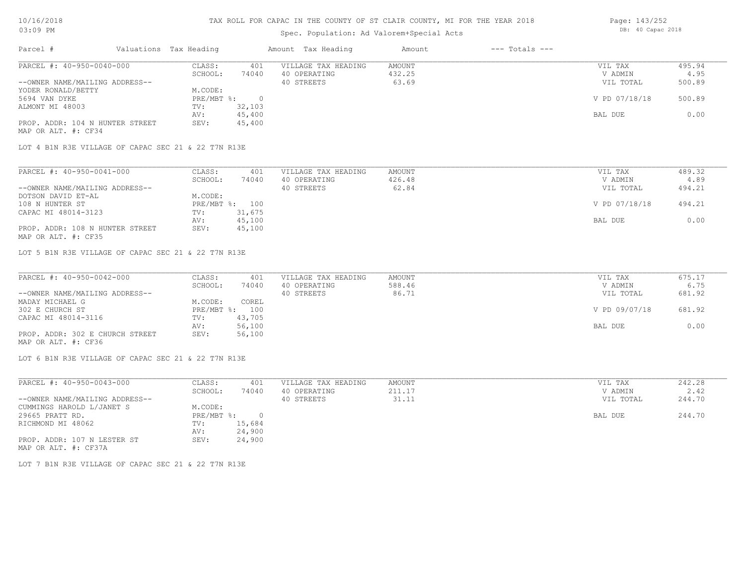# 10/16/2018 03:09 PM

## TAX ROLL FOR CAPAC IN THE COUNTY OF ST CLAIR COUNTY, MI FOR THE YEAR 2018

# Spec. Population: Ad Valorem+Special Acts

| Parcel #                        | Valuations Tax Heading |        | Amount Tax Heading  | Amount | $---$ Totals $---$ |               |        |
|---------------------------------|------------------------|--------|---------------------|--------|--------------------|---------------|--------|
| PARCEL #: 40-950-0040-000       | CLASS:                 | 401    | VILLAGE TAX HEADING | AMOUNT |                    | VIL TAX       | 495.94 |
|                                 | SCHOOL:                | 74040  | 40 OPERATING        | 432.25 |                    | V ADMIN       | 4.95   |
| --OWNER NAME/MAILING ADDRESS--  |                        |        | 40 STREETS          | 63.69  |                    | VIL TOTAL     | 500.89 |
| YODER RONALD/BETTY              | M.CODE:                |        |                     |        |                    |               |        |
| 5694 VAN DYKE                   | $PRE/MBT$ %:           |        |                     |        |                    | V PD 07/18/18 | 500.89 |
| ALMONT MI 48003                 | TV:                    | 32,103 |                     |        |                    |               |        |
|                                 | AV:                    | 45,400 |                     |        |                    | BAL DUE       | 0.00   |
| PROP. ADDR: 104 N HUNTER STREET | SEV:                   | 45,400 |                     |        |                    |               |        |
|                                 |                        |        |                     |        |                    |               |        |

MAP OR ALT. #: CF34

LOT 4 B1N R3E VILLAGE OF CAPAC SEC 21 & 22 T7N R13E

| PARCEL #: 40-950-0041-000       | CLASS:  | 401            | VILLAGE TAX HEADING | AMOUNT | VIL TAX       | 489.32 |
|---------------------------------|---------|----------------|---------------------|--------|---------------|--------|
|                                 | SCHOOL: | 74040          | 40 OPERATING        | 426.48 | V ADMIN       | 4.89   |
| --OWNER NAME/MAILING ADDRESS--  |         |                | 40 STREETS          | 62.84  | VIL TOTAL     | 494.21 |
| DOTSON DAVID ET-AL              | M.CODE: |                |                     |        |               |        |
| 108 N HUNTER ST                 |         | PRE/MBT %: 100 |                     |        | V PD 07/18/18 | 494.21 |
| CAPAC MI 48014-3123             | TV:     | 31,675         |                     |        |               |        |
|                                 | AV:     | 45,100         |                     |        | BAL DUE       | 0.00   |
| PROP. ADDR: 108 N HUNTER STREET | SEV:    | 45,100         |                     |        |               |        |
| MAP OR ALT. #: CF35             |         |                |                     |        |               |        |

LOT 5 B1N R3E VILLAGE OF CAPAC SEC 21 & 22 T7N R13E

| PARCEL #: 40-950-0042-000       | CLASS:  | 401            | VILLAGE TAX HEADING | AMOUNT | VIL TAX       | 675.17 |
|---------------------------------|---------|----------------|---------------------|--------|---------------|--------|
|                                 | SCHOOL: | 74040          | 40 OPERATING        | 588.46 | V ADMIN       | 6.75   |
| --OWNER NAME/MAILING ADDRESS--  |         |                | 40 STREETS          | 86.71  | VIL TOTAL     | 681.92 |
| MADAY MICHAEL G                 | M.CODE: | COREL          |                     |        |               |        |
| 302 E CHURCH ST                 |         | PRE/MBT %: 100 |                     |        | V PD 09/07/18 | 681.92 |
| CAPAC MI 48014-3116             | TV:     | 43,705         |                     |        |               |        |
|                                 | AV:     | 56,100         |                     |        | BAL DUE       | 0.00   |
| PROP. ADDR: 302 E CHURCH STREET | SEV:    | 56,100         |                     |        |               |        |
| MAP OR ALT. #: CF36             |         |                |                     |        |               |        |

LOT 6 B1N R3E VILLAGE OF CAPAC SEC 21 & 22 T7N R13E

| PARCEL #: 40-950-0043-000      | CLASS:     | 401    | VILLAGE TAX HEADING | AMOUNT | VIL TAX   | 242.28 |
|--------------------------------|------------|--------|---------------------|--------|-----------|--------|
|                                | SCHOOL:    | 74040  | 40 OPERATING        | 211.17 | V ADMIN   | 2.42   |
| --OWNER NAME/MAILING ADDRESS-- |            |        | 40 STREETS          | 31.11  | VIL TOTAL | 244.70 |
| CUMMINGS HAROLD L/JANET S      | M.CODE:    |        |                     |        |           |        |
| 29665 PRATT RD.                | PRE/MBT %: | $\cap$ |                     |        | BAL DUE   | 244.70 |
| RICHMOND MI 48062              | TV:        | 15,684 |                     |        |           |        |
|                                | AV:        | 24,900 |                     |        |           |        |
| PROP. ADDR: 107 N LESTER ST    | SEV:       | 24,900 |                     |        |           |        |
| MAP OR ALT. #: CF37A           |            |        |                     |        |           |        |

LOT 7 B1N R3E VILLAGE OF CAPAC SEC 21 & 22 T7N R13E

Page: 143/252 DB: 40 Capac 2018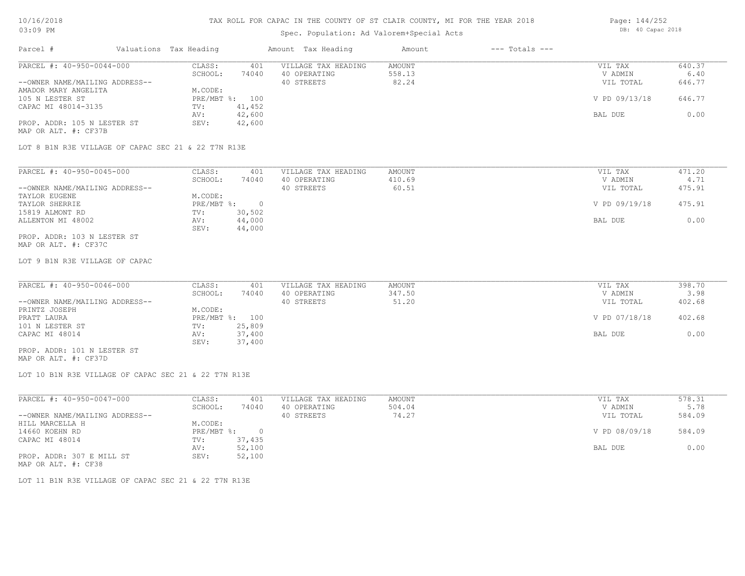## 10/16/2018 03:09 PM

#### TAX ROLL FOR CAPAC IN THE COUNTY OF ST CLAIR COUNTY, MI FOR THE YEAR 2018

# Spec. Population: Ad Valorem+Special Acts

| Parcel #                       | Valuations Tax Heading |        | Amount Tax Heading  | Amount | $---$ Totals $---$ |               |        |
|--------------------------------|------------------------|--------|---------------------|--------|--------------------|---------------|--------|
| PARCEL #: 40-950-0044-000      | CLASS:                 | 401    | VILLAGE TAX HEADING | AMOUNT |                    | VIL TAX       | 640.37 |
|                                | SCHOOL:                | 74040  | 40 OPERATING        | 558.13 |                    | V ADMIN       | 6.40   |
| --OWNER NAME/MAILING ADDRESS-- |                        |        | 40 STREETS          | 82.24  |                    | VIL TOTAL     | 646.77 |
| AMADOR MARY ANGELITA           | M.CODE:                |        |                     |        |                    |               |        |
| 105 N LESTER ST                | PRE/MBT %: 100         |        |                     |        |                    | V PD 09/13/18 | 646.77 |
| CAPAC MI 48014-3135            | TV:                    | 41,452 |                     |        |                    |               |        |
|                                | AV:                    | 42,600 |                     |        |                    | BAL DUE       | 0.00   |
| PROP. ADDR: 105 N LESTER ST    | SEV:                   | 42,600 |                     |        |                    |               |        |

MAP OR ALT. #: CF37B

LOT 8 B1N R3E VILLAGE OF CAPAC SEC 21 & 22 T7N R13E

| PARCEL #: 40-950-0045-000      | CLASS:     | 401    | VILLAGE TAX HEADING | AMOUNT | VIL TAX       | 471.20 |
|--------------------------------|------------|--------|---------------------|--------|---------------|--------|
|                                | SCHOOL:    | 74040  | 40 OPERATING        | 410.69 | V ADMIN       | 4.71   |
| --OWNER NAME/MAILING ADDRESS-- |            |        | 40 STREETS          | 60.51  | VIL TOTAL     | 475.91 |
| TAYLOR EUGENE                  | M.CODE:    |        |                     |        |               |        |
| TAYLOR SHERRIE                 | PRE/MBT %: |        |                     |        | V PD 09/19/18 | 475.91 |
| 15819 ALMONT RD                | TV:        | 30,502 |                     |        |               |        |
| ALLENTON MI 48002              | AV:        | 44,000 |                     |        | BAL DUE       | 0.00   |
|                                | SEV:       | 44,000 |                     |        |               |        |
| PROP. ADDR: 103 N LESTER ST    |            |        |                     |        |               |        |

MAP OR ALT. #: CF37C

LOT 9 B1N R3E VILLAGE OF CAPAC

| PARCEL #: 40-950-0046-000      | CLASS:  | 401            | VILLAGE TAX HEADING | AMOUNT | VIL TAX       | 398.70 |
|--------------------------------|---------|----------------|---------------------|--------|---------------|--------|
|                                | SCHOOL: | 74040          | 40 OPERATING        | 347.50 | V ADMIN       | 3.98   |
| --OWNER NAME/MAILING ADDRESS-- |         |                | 40 STREETS          | 51.20  | VIL TOTAL     | 402.68 |
| PRINTZ JOSEPH                  | M.CODE: |                |                     |        |               |        |
| PRATT LAURA                    |         | PRE/MBT %: 100 |                     |        | V PD 07/18/18 | 402.68 |
| 101 N LESTER ST                | TV:     | 25,809         |                     |        |               |        |
| CAPAC MI 48014                 | AV:     | 37,400         |                     |        | BAL DUE       | 0.00   |
|                                | SEV:    | 37,400         |                     |        |               |        |
| PROP. ADDR: 101 N LESTER ST    |         |                |                     |        |               |        |

MAP OR ALT. #: CF37D

LOT 10 B1N R3E VILLAGE OF CAPAC SEC 21 & 22 T7N R13E

| PARCEL #: 40-950-0047-000      | CLASS:     | 401    | VILLAGE TAX HEADING | AMOUNT | VIL TAX       | 578.31 |
|--------------------------------|------------|--------|---------------------|--------|---------------|--------|
|                                | SCHOOL:    | 74040  | 40 OPERATING        | 504.04 | V ADMIN       | 5.78   |
| --OWNER NAME/MAILING ADDRESS-- |            |        | 40 STREETS          | 74.27  | VIL TOTAL     | 584.09 |
| HILL MARCELLA H                | M.CODE:    |        |                     |        |               |        |
| 14660 KOEHN RD                 | PRE/MBT %: |        |                     |        | V PD 08/09/18 | 584.09 |
| CAPAC MI 48014                 | TV:        | 37,435 |                     |        |               |        |
|                                | AV:        | 52,100 |                     |        | BAL DUE       | 0.00   |
| PROP. ADDR: 307 E MILL ST      | SEV:       | 52,100 |                     |        |               |        |
|                                |            |        |                     |        |               |        |

MAP OR ALT. #: CF38

LOT 11 B1N R3E VILLAGE OF CAPAC SEC 21 & 22 T7N R13E

Page: 144/252 DB: 40 Capac 2018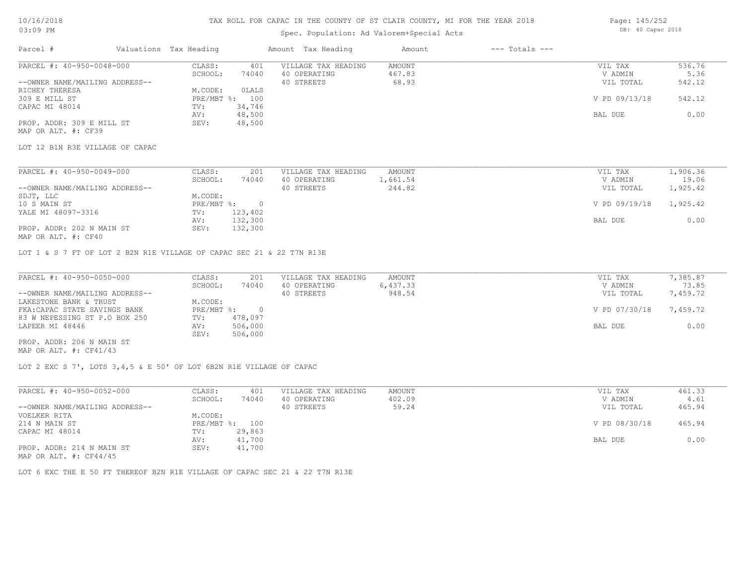#### Spec. Population: Ad Valorem+Special Acts

| Page: 145/252 |                   |  |
|---------------|-------------------|--|
|               | DB: 40 Capac 2018 |  |

| Parcel #                       | Valuations Tax Heading |        | Amount Tax Heading  | Amount | $---$ Totals $---$ |               |        |
|--------------------------------|------------------------|--------|---------------------|--------|--------------------|---------------|--------|
| PARCEL #: 40-950-0048-000      | CLASS:                 | 401    | VILLAGE TAX HEADING | AMOUNT |                    | VIL TAX       | 536.76 |
|                                | SCHOOL:                | 74040  | 40 OPERATING        | 467.83 |                    | V ADMIN       | 5.36   |
| --OWNER NAME/MAILING ADDRESS-- |                        |        | 40 STREETS          | 68.93  |                    | VIL TOTAL     | 542.12 |
| RICHEY THERESA                 | M.CODE:                | OLALS  |                     |        |                    |               |        |
| 309 E MILL ST                  | PRE/MBT %: 100         |        |                     |        |                    | V PD 09/13/18 | 542.12 |
| CAPAC MI 48014                 | TV:                    | 34,746 |                     |        |                    |               |        |
|                                | AV:                    | 48,500 |                     |        |                    | BAL DUE       | 0.00   |
| PROP. ADDR: 309 E MILL ST      | SEV:                   | 48,500 |                     |        |                    |               |        |
|                                |                        |        |                     |        |                    |               |        |

MAP OR ALT. #: CF39

LOT 12 B1N R3E VILLAGE OF CAPAC

| PARCEL #: 40-950-0049-000      | CLASS:     | 201     | VILLAGE TAX HEADING | AMOUNT   | VIL TAX       | 1,906.36 |
|--------------------------------|------------|---------|---------------------|----------|---------------|----------|
|                                | SCHOOL:    | 74040   | 40 OPERATING        | 1,661.54 | V ADMIN       | 19.06    |
| --OWNER NAME/MAILING ADDRESS-- |            |         | 40 STREETS          | 244.82   | VIL TOTAL     | 1,925.42 |
| SDJT, LLC                      | M.CODE:    |         |                     |          |               |          |
| 10 S MAIN ST                   | PRE/MBT %: |         |                     |          | V PD 09/19/18 | 1,925.42 |
| YALE MI 48097-3316             | TV:        | 123,402 |                     |          |               |          |
|                                | AV:        | 132,300 |                     |          | BAL DUE       | 0.00     |
| PROP. ADDR: 202 N MAIN ST      | SEV:       | 132,300 |                     |          |               |          |
|                                |            |         |                     |          |               |          |

MAP OR ALT. #: CF40

LOT 1 & S 7 FT OF LOT 2 B2N R1E VILLAGE OF CAPAC SEC 21 & 22 T7N R13E

| PARCEL #: 40-950-0050-000      | CLASS:       | 201     | VILLAGE TAX HEADING | AMOUNT   | VIL TAX       | 7,385.87 |
|--------------------------------|--------------|---------|---------------------|----------|---------------|----------|
|                                | SCHOOL:      | 74040   | 40 OPERATING        | 6,437.33 | V ADMIN       | 73.85    |
| --OWNER NAME/MAILING ADDRESS-- |              |         | 40 STREETS          | 948.54   | VIL TOTAL     | 7,459.72 |
| LAKESTONE BANK & TRUST         | M.CODE:      |         |                     |          |               |          |
| FKA: CAPAC STATE SAVINGS BANK  | $PRE/MBT$ %: |         |                     |          | V PD 07/30/18 | 7,459.72 |
| 83 W NEPESSING ST P.O BOX 250  | TV:          | 478,097 |                     |          |               |          |
| LAPEER MI 48446                | AV:          | 506,000 |                     |          | BAL DUE       | 0.00     |
|                                | SEV:         | 506,000 |                     |          |               |          |
| PROP. ADDR: 206 N MAIN ST      |              |         |                     |          |               |          |

MAP OR ALT. #: CF41/43

LOT 2 EXC S 7', LOTS 3,4,5 & E 50' OF LOT 6B2N R1E VILLAGE OF CAPAC

| PARCEL #: 40-950-0052-000      | CLASS:  | 401            | VILLAGE TAX HEADING | AMOUNT | VIL TAX       | 461.33 |
|--------------------------------|---------|----------------|---------------------|--------|---------------|--------|
|                                | SCHOOL: | 74040          | 40 OPERATING        | 402.09 | V ADMIN       | 4.61   |
| --OWNER NAME/MAILING ADDRESS-- |         |                | 40 STREETS          | 59.24  | VIL TOTAL     | 465.94 |
| VOELKER RITA                   | M.CODE: |                |                     |        |               |        |
| 214 N MAIN ST                  |         | PRE/MBT %: 100 |                     |        | V PD 08/30/18 | 465.94 |
| CAPAC MI 48014                 | TV:     | 29,863         |                     |        |               |        |
|                                | AV:     | 41,700         |                     |        | BAL DUE       | 0.00   |
| PROP. ADDR: 214 N MAIN ST      | SEV:    | 41,700         |                     |        |               |        |
| MAP OR ALT. $\#$ : CF44/45     |         |                |                     |        |               |        |

LOT 6 EXC THE E 50 FT THEREOF B2N R1E VILLAGE OF CAPAC SEC 21 & 22 T7N R13E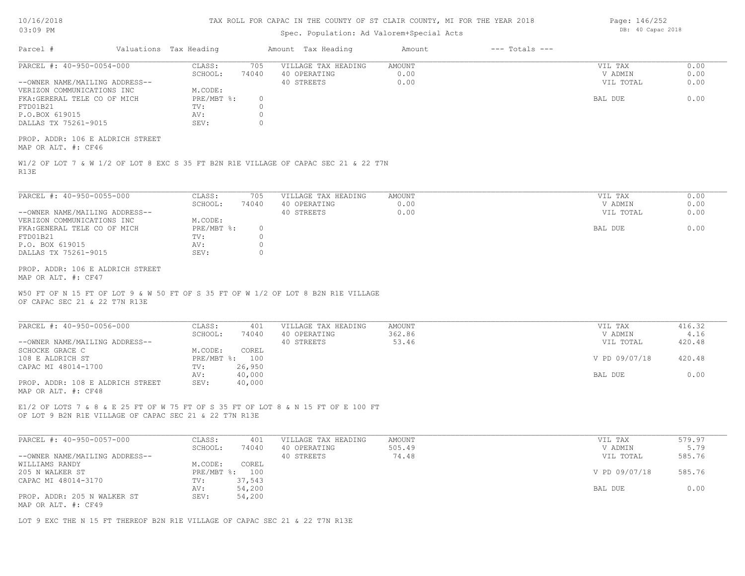| 10/16/2018 |  |
|------------|--|
| 03:09 PM   |  |

## Spec. Population: Ad Valorem+Special Acts

| Parcel #                                                   | Valuations Tax Heading | Amount Tax Heading                                                                  | Amount                | $---$ Totals $---$ |                    |              |
|------------------------------------------------------------|------------------------|-------------------------------------------------------------------------------------|-----------------------|--------------------|--------------------|--------------|
| PARCEL #: 40-950-0054-000                                  | CLASS:<br>SCHOOL:      | 705<br>VILLAGE TAX HEADING<br>74040<br>40 OPERATING                                 | <b>AMOUNT</b><br>0.00 |                    | VIL TAX<br>V ADMIN | 0.00<br>0.00 |
| --OWNER NAME/MAILING ADDRESS--                             |                        | 40 STREETS                                                                          | 0.00                  |                    | VIL TOTAL          | 0.00         |
| VERIZON COMMUNICATIONS INC<br>FKA: GERERAL TELE CO OF MICH | M.CODE:<br>PRE/MBT %:  | $\circ$                                                                             |                       |                    | BAL DUE            | 0.00         |
| FTD01B21                                                   | TV:                    | $\circ$                                                                             |                       |                    |                    |              |
| P.O.BOX 619015                                             | AV:                    | $\circ$                                                                             |                       |                    |                    |              |
| DALLAS TX 75261-9015                                       | SEV:                   | $\circ$                                                                             |                       |                    |                    |              |
| PROP. ADDR: 106 E ALDRICH STREET<br>MAP OR ALT. #: CF46    |                        |                                                                                     |                       |                    |                    |              |
| R13E                                                       |                        | W1/2 OF LOT 7 & W 1/2 OF LOT 8 EXC S 35 FT B2N R1E VILLAGE OF CAPAC SEC 21 & 22 T7N |                       |                    |                    |              |
| PARCEL #: 40-950-0055-000                                  | CLASS:                 | 705<br>VILLAGE TAX HEADING                                                          | AMOUNT                |                    | VIL TAX            | 0.00         |
|                                                            | SCHOOL:                | 74040<br>40 OPERATING                                                               | 0.00                  |                    | V ADMIN            | 0.00         |
| --OWNER NAME/MAILING ADDRESS--                             |                        | 40 STREETS                                                                          | 0.00                  |                    | VIL TOTAL          | 0.00         |
| VERIZON COMMUNICATIONS INC                                 | M.CODE:                |                                                                                     |                       |                    |                    |              |
| FKA: GENERAL TELE CO OF MICH                               | $PRE/MBT$ %:           | $\circ$                                                                             |                       |                    | BAL DUE            | 0.00         |
| FTD01B21                                                   | TV:                    | $\circ$                                                                             |                       |                    |                    |              |
| P.O. BOX 619015                                            | AV:                    | $\circ$<br>$\Omega$                                                                 |                       |                    |                    |              |
| DALLAS TX 75261-9015                                       | SEV:                   |                                                                                     |                       |                    |                    |              |
| PROP. ADDR: 106 E ALDRICH STREET<br>MAP OR ALT. #: CF47    |                        |                                                                                     |                       |                    |                    |              |
|                                                            |                        |                                                                                     |                       |                    |                    |              |
| OF CAPAC SEC 21 & 22 T7N R13E                              |                        | W50 FT OF N 15 FT OF LOT 9 & W 50 FT OF S 35 FT OF W 1/2 OF LOT 8 B2N R1E VILLAGE   |                       |                    |                    |              |
|                                                            |                        |                                                                                     |                       |                    |                    |              |
| PARCEL #: 40-950-0056-000                                  | CLASS:                 | 401<br>VILLAGE TAX HEADING                                                          | <b>AMOUNT</b>         |                    | VIL TAX            | 416.32       |
|                                                            | SCHOOL:                | 74040<br>40 OPERATING                                                               | 362.86                |                    | V ADMIN            | 4.16         |
| --OWNER NAME/MAILING ADDRESS--<br>SCHOCKE GRACE C          | M.CODE:                | 40 STREETS<br>COREL                                                                 | 53.46                 |                    | VIL TOTAL          | 420.48       |
| 108 E ALDRICH ST                                           | PRE/MBT %: 100         |                                                                                     |                       |                    | V PD 09/07/18      | 420.48       |
| CAPAC MI 48014-1700                                        | TV:                    | 26,950                                                                              |                       |                    |                    |              |
|                                                            | AV:                    | 40,000                                                                              |                       |                    | BAL DUE            | 0.00         |
| PROP. ADDR: 108 E ALDRICH STREET<br>MAP OR ALT. #: CF48    | SEV:                   | 40,000                                                                              |                       |                    |                    |              |
|                                                            |                        | E1/2 OF LOTS 7 & 8 & E 25 FT OF W 75 FT OF S 35 FT OF LOT 8 & N 15 FT OF E 100 FT   |                       |                    |                    |              |
| OF LOT 9 B2N R1E VILLAGE OF CAPAC SEC 21 & 22 T7N R13E     |                        |                                                                                     |                       |                    |                    |              |
|                                                            |                        |                                                                                     |                       |                    |                    |              |
| PARCEL #: 40-950-0057-000                                  | CLASS:                 | 401<br>VILLAGE TAX HEADING                                                          | <b>AMOUNT</b>         |                    | VIL TAX            | 579.97       |
|                                                            | SCHOOL:                | 74040<br>40 OPERATING                                                               | 505.49                |                    | V ADMIN            | 5.79         |
| --OWNER NAME/MAILING ADDRESS--                             |                        | 40 STREETS                                                                          | 74.48                 |                    | VIL TOTAL          | 585.76       |
| WILLIAMS RANDY                                             | M.CODE:                | COREL                                                                               |                       |                    |                    |              |
| 205 N WALKER ST<br>CAPAC MI 48014-3170                     | PRE/MBT %: 100<br>TV:  | 37,543                                                                              |                       |                    | V PD 09/07/18      | 585.76       |
|                                                            | AV:                    | 54,200                                                                              |                       |                    | BAL DUE            | 0.00         |
| PROP. ADDR: 205 N WALKER ST                                | SEV:                   | 54,200                                                                              |                       |                    |                    |              |
| MAP OR ALT. #: CF49                                        |                        |                                                                                     |                       |                    |                    |              |
|                                                            |                        |                                                                                     |                       |                    |                    |              |

LOT 9 EXC THE N 15 FT THEREOF B2N R1E VILLAGE OF CAPAC SEC 21 & 22 T7N R13E

Page: 146/252 DB: 40 Capac 2018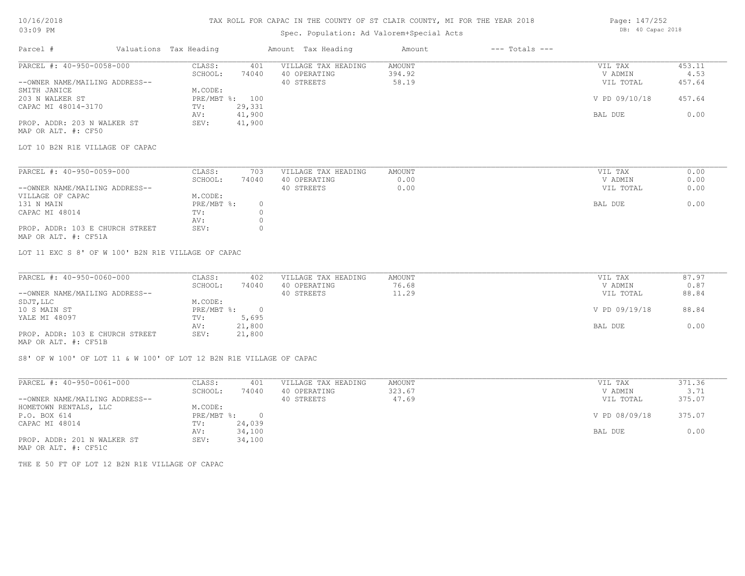#### TAX ROLL FOR CAPAC IN THE COUNTY OF ST CLAIR COUNTY, MI FOR THE YEAR 2018

## Spec. Population: Ad Valorem+Special Acts

| Parcel #                       | Valuations Tax Heading |        | Amount Tax Heading  | Amount | $---$ Totals $---$ |               |        |
|--------------------------------|------------------------|--------|---------------------|--------|--------------------|---------------|--------|
| PARCEL #: 40-950-0058-000      | CLASS:                 | 401    | VILLAGE TAX HEADING | AMOUNT |                    | VIL TAX       | 453.11 |
|                                | SCHOOL:                | 74040  | 40 OPERATING        | 394.92 |                    | V ADMIN       | 4.53   |
| --OWNER NAME/MAILING ADDRESS-- |                        |        | 40 STREETS          | 58.19  |                    | VIL TOTAL     | 457.64 |
| SMITH JANICE                   | M.CODE:                |        |                     |        |                    |               |        |
| 203 N WALKER ST                | PRE/MBT %: 100         |        |                     |        |                    | V PD 09/10/18 | 457.64 |
| CAPAC MI 48014-3170            | TV:                    | 29,331 |                     |        |                    |               |        |
|                                | AV:                    | 41,900 |                     |        |                    | BAL DUE       | 0.00   |
| PROP. ADDR: 203 N WALKER ST    | SEV:                   | 41,900 |                     |        |                    |               |        |
|                                |                        |        |                     |        |                    |               |        |

MAP OR ALT. #: CF50

LOT 10 B2N R1E VILLAGE OF CAPAC

| PARCEL #: 40-950-0059-000                                                                                       | CLASS:     | 703   | VILLAGE TAX HEADING | AMOUNT | VIL TAX   | 0.00 |
|-----------------------------------------------------------------------------------------------------------------|------------|-------|---------------------|--------|-----------|------|
|                                                                                                                 | SCHOOL:    | 74040 | 40 OPERATING        | 0.00   | V ADMIN   | 0.00 |
| --OWNER NAME/MAILING ADDRESS--                                                                                  |            |       | 40 STREETS          | 0.00   | VIL TOTAL | 0.00 |
| VILLAGE OF CAPAC                                                                                                | M.CODE:    |       |                     |        |           |      |
| 131 N MAIN                                                                                                      | PRE/MBT %: |       |                     |        | BAL DUE   | 0.00 |
| CAPAC MI 48014                                                                                                  | TV:        |       |                     |        |           |      |
|                                                                                                                 | AV:        |       |                     |        |           |      |
| PROP. ADDR: 103 E CHURCH STREET                                                                                 | SEV:       |       |                     |        |           |      |
| the contract of the contract of the contract of the contract of the contract of the contract of the contract of |            |       |                     |        |           |      |

MAP OR ALT. #: CF51A

LOT 11 EXC S 8' OF W 100' B2N R1E VILLAGE OF CAPAC

| PARCEL #: 40-950-0060-000                    | CLASS:     | 402    | VILLAGE TAX HEADING | AMOUNT | VIL TAX       | 87.97 |
|----------------------------------------------|------------|--------|---------------------|--------|---------------|-------|
|                                              | SCHOOL:    | 74040  | 40 OPERATING        | 76.68  | V ADMIN       | 0.87  |
| --OWNER NAME/MAILING ADDRESS--               |            |        | 40 STREETS          | 11.29  | VIL TOTAL     | 88.84 |
| SDJT, LLC                                    | M.CODE:    |        |                     |        |               |       |
| 10 S MAIN ST                                 | PRE/MBT %: |        |                     |        | V PD 09/19/18 | 88.84 |
| YALE MI 48097                                | TV:        | 5,695  |                     |        |               |       |
|                                              | AV:        | 21,800 |                     |        | BAL DUE       | 0.00  |
| PROP. ADDR: 103 E CHURCH STREET              | SEV:       | 21,800 |                     |        |               |       |
| $\cdots$ $\cdots$ $\cdots$ $\cdots$ $\cdots$ |            |        |                     |        |               |       |

MAP OR ALT. #: CF51B

S8' OF W 100' OF LOT 11 & W 100' OF LOT 12 B2N R1E VILLAGE OF CAPAC

| PARCEL #: 40-950-0061-000                                                   | CLASS:     | 401    | VILLAGE TAX HEADING | AMOUNT | VIL TAX       | 371.36 |
|-----------------------------------------------------------------------------|------------|--------|---------------------|--------|---------------|--------|
|                                                                             | SCHOOL:    | 74040  | 40 OPERATING        | 323.67 | V ADMIN       | 3.71   |
| --OWNER NAME/MAILING ADDRESS--                                              |            |        | 40 STREETS          | 47.69  | VIL TOTAL     | 375.07 |
| HOMETOWN RENTALS, LLC                                                       | M.CODE:    |        |                     |        |               |        |
| P.O. BOX 614                                                                | PRE/MBT %: |        |                     |        | V PD 08/09/18 | 375.07 |
| CAPAC MI 48014                                                              | TV:        | 24,039 |                     |        |               |        |
|                                                                             | AV:        | 34,100 |                     |        | BAL DUE       | 0.00   |
| PROP. ADDR: 201 N WALKER ST<br>$\cdots$ $\cdots$ $\cdots$ $\cdots$ $\cdots$ | SEV:       | 34,100 |                     |        |               |        |

MAP OR ALT. #: CF51C

THE E 50 FT OF LOT 12 B2N R1E VILLAGE OF CAPAC

Page: 147/252 DB: 40 Capac 2018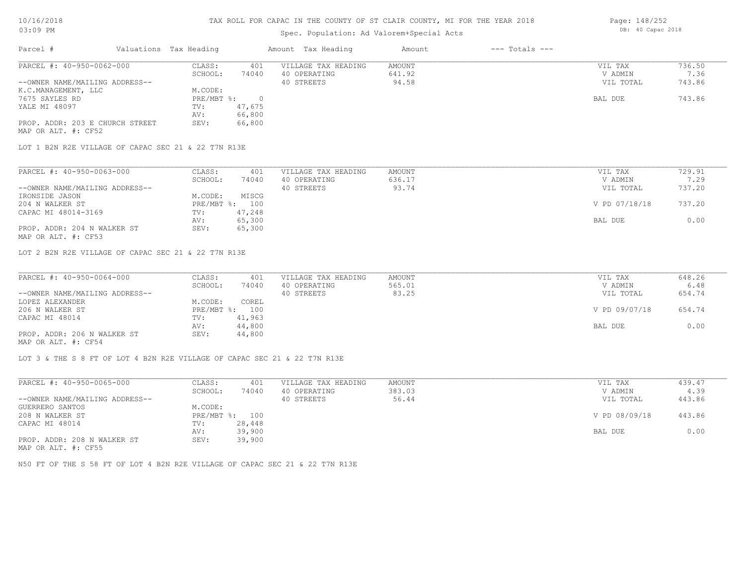### Spec. Population: Ad Valorem+Special Acts

| Parcel #                        | Valuations Tax Heading |        | Amount Tax Heading  | Amount | $---$ Totals $---$ |           |        |
|---------------------------------|------------------------|--------|---------------------|--------|--------------------|-----------|--------|
| PARCEL #: 40-950-0062-000       | CLASS:                 | 401    | VILLAGE TAX HEADING | AMOUNT |                    | VIL TAX   | 736.50 |
|                                 | SCHOOL:                | 74040  | 40 OPERATING        | 641.92 |                    | V ADMIN   | 7.36   |
| --OWNER NAME/MAILING ADDRESS--  |                        |        | 40 STREETS          | 94.58  |                    | VIL TOTAL | 743.86 |
| K.C.MANAGEMENT, LLC             | M.CODE:                |        |                     |        |                    |           |        |
| 7675 SAYLES RD                  | $PRE/MBT$ %:           |        |                     |        |                    | BAL DUE   | 743.86 |
| YALE MI 48097                   | TV:                    | 47,675 |                     |        |                    |           |        |
|                                 | AV:                    | 66,800 |                     |        |                    |           |        |
| PROP. ADDR: 203 E CHURCH STREET | SEV:                   | 66,800 |                     |        |                    |           |        |
| MAP OR ALT. #: CF52             |                        |        |                     |        |                    |           |        |

LOT 1 B2N R2E VILLAGE OF CAPAC SEC 21 & 22 T7N R13E

| PARCEL #: 40-950-0063-000      | CLASS:  | 401            | VILLAGE TAX HEADING | AMOUNT | VIL TAX       | 729.91 |
|--------------------------------|---------|----------------|---------------------|--------|---------------|--------|
|                                | SCHOOL: | 74040          | 40 OPERATING        | 636.17 | V ADMIN       | 7.29   |
| --OWNER NAME/MAILING ADDRESS-- |         |                | 40 STREETS          | 93.74  | VIL TOTAL     | 737.20 |
| IRONSIDE JASON                 | M.CODE: | MISCG          |                     |        |               |        |
| 204 N WALKER ST                |         | PRE/MBT %: 100 |                     |        | V PD 07/18/18 | 737.20 |
| CAPAC MI 48014-3169            | TV:     | 47,248         |                     |        |               |        |
|                                | AV:     | 65,300         |                     |        | BAL DUE       | 0.00   |
| PROP. ADDR: 204 N WALKER ST    | SEV:    | 65,300         |                     |        |               |        |
| MAP OR ALT. #: CF53            |         |                |                     |        |               |        |

LOT 2 B2N R2E VILLAGE OF CAPAC SEC 21 & 22 T7N R13E

| PARCEL #: 40-950-0064-000                    | CLASS:     | 401    | VILLAGE TAX HEADING | AMOUNT | VIL TAX       | 648.26 |
|----------------------------------------------|------------|--------|---------------------|--------|---------------|--------|
|                                              | SCHOOL:    | 74040  | 40 OPERATING        | 565.01 | V ADMIN       | 6.48   |
| --OWNER NAME/MAILING ADDRESS--               |            |        | 40 STREETS          | 83.25  | VIL TOTAL     | 654.74 |
| LOPEZ ALEXANDER                              | M.CODE:    | COREL  |                     |        |               |        |
| 206 N WALKER ST                              | PRE/MBT %: | 100    |                     |        | V PD 09/07/18 | 654.74 |
| CAPAC MI 48014                               | TV:        | 41,963 |                     |        |               |        |
|                                              | AV:        | 44,800 |                     |        | BAL DUE       | 0.00   |
| PROP. ADDR: 206 N WALKER ST                  | SEV:       | 44,800 |                     |        |               |        |
| $\cdots$ $\cdots$ $\cdots$ $\cdots$ $\cdots$ |            |        |                     |        |               |        |

MAP OR ALT. #: CF54

LOT 3 & THE S 8 FT OF LOT 4 B2N R2E VILLAGE OF CAPAC SEC 21 & 22 T7N R13E

| PARCEL #: 40-950-0065-000                         | CLASS:       | 401    | VILLAGE TAX HEADING | AMOUNT | VIL TAX       | 439.47 |
|---------------------------------------------------|--------------|--------|---------------------|--------|---------------|--------|
|                                                   | SCHOOL:      | 74040  | 40 OPERATING        | 383.03 | V ADMIN       | 4.39   |
| --OWNER NAME/MAILING ADDRESS--                    |              |        | 40 STREETS          | 56.44  | VIL TOTAL     | 443.86 |
| GUERRERO SANTOS                                   | M.CODE:      |        |                     |        |               |        |
| 208 N WALKER ST                                   | $PRE/MBT$ %: | 100    |                     |        | V PD 08/09/18 | 443.86 |
| CAPAC MI 48014                                    | TV:          | 28,448 |                     |        |               |        |
|                                                   | AV:          | 39,900 |                     |        | BAL DUE       | 0.00   |
| PROP. ADDR: 208 N WALKER ST<br>MAD OD ATM 4. OBEE | SEV:         | 39,900 |                     |        |               |        |

MAP OR ALT. #: CF55

N50 FT OF THE S 58 FT OF LOT 4 B2N R2E VILLAGE OF CAPAC SEC 21 & 22 T7N R13E

Page: 148/252 DB: 40 Capac 2018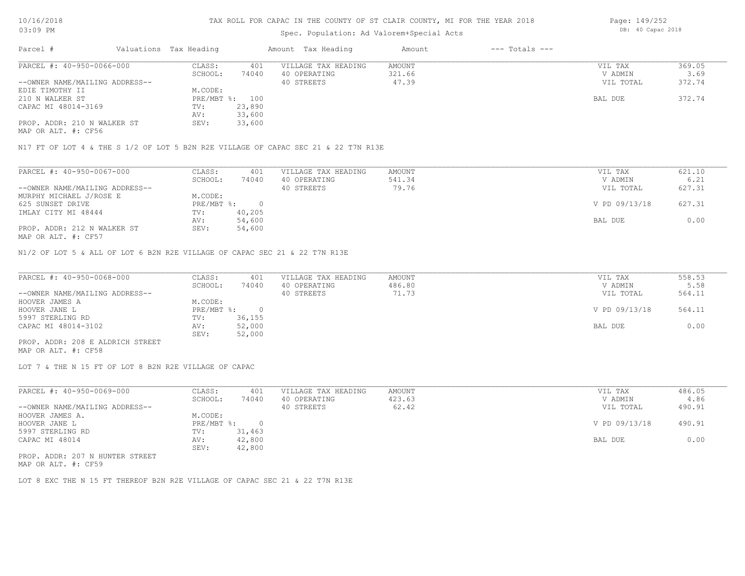#### Spec. Population: Ad Valorem+Special Acts

| Parcel #                       | Valuations Tax Heading |                | Amount Tax Heading  | Amount | $---$ Totals $---$ |           |        |
|--------------------------------|------------------------|----------------|---------------------|--------|--------------------|-----------|--------|
| PARCEL #: 40-950-0066-000      | CLASS:                 | 401            | VILLAGE TAX HEADING | AMOUNT |                    | VIL TAX   | 369.05 |
|                                | SCHOOL:                | 74040          | 40 OPERATING        | 321.66 |                    | V ADMIN   | 3.69   |
| --OWNER NAME/MAILING ADDRESS-- |                        |                | 40 STREETS          | 47.39  |                    | VIL TOTAL | 372.74 |
| EDIE TIMOTHY II                | M.CODE:                |                |                     |        |                    |           |        |
| 210 N WALKER ST                |                        | PRE/MBT %: 100 |                     |        |                    | BAL DUE   | 372.74 |
| CAPAC MI 48014-3169            | TV:                    | 23,890         |                     |        |                    |           |        |
|                                | AV:                    | 33,600         |                     |        |                    |           |        |
| PROP. ADDR: 210 N WALKER ST    | SEV:                   | 33,600         |                     |        |                    |           |        |
|                                |                        |                |                     |        |                    |           |        |

MAP OR ALT. #: CF56

N17 FT OF LOT 4 & THE S 1/2 OF LOT 5 B2N R2E VILLAGE OF CAPAC SEC 21 & 22 T7N R13E

| PARCEL #: 40-950-0067-000      | CLASS:     | 401    | VILLAGE TAX HEADING | AMOUNT | VIL TAX       | 621.10 |
|--------------------------------|------------|--------|---------------------|--------|---------------|--------|
|                                | SCHOOL:    | 74040  | 40 OPERATING        | 541.34 | V ADMIN       | 6.21   |
| --OWNER NAME/MAILING ADDRESS-- |            |        | 40 STREETS          | 79.76  | VIL TOTAL     | 627.31 |
| MURPHY MICHAEL J/ROSE E        | M.CODE:    |        |                     |        |               |        |
| 625 SUNSET DRIVE               | PRE/MBT %: |        |                     |        | V PD 09/13/18 | 627.31 |
| IMLAY CITY MI 48444            | TV:        | 40,205 |                     |        |               |        |
|                                | AV:        | 54,600 |                     |        | BAL DUE       | 0.00   |
| PROP. ADDR: 212 N WALKER ST    | SEV:       | 54,600 |                     |        |               |        |
| MAP OR ALT. #: CF57            |            |        |                     |        |               |        |

N1/2 OF LOT 5 & ALL OF LOT 6 B2N R2E VILLAGE OF CAPAC SEC 21 & 22 T7N R13E

| PARCEL #: 40-950-0068-000        | CLASS:     | 401    | VILLAGE TAX HEADING | AMOUNT | VIL TAX       | 558.53 |
|----------------------------------|------------|--------|---------------------|--------|---------------|--------|
|                                  | SCHOOL:    | 74040  | 40 OPERATING        | 486.80 | V ADMIN       | 5.58   |
| --OWNER NAME/MAILING ADDRESS--   |            |        | 40 STREETS          | 71.73  | VIL TOTAL     | 564.11 |
| HOOVER JAMES A                   | M.CODE:    |        |                     |        |               |        |
| HOOVER JANE L                    | PRE/MBT %: |        |                     |        | V PD 09/13/18 | 564.11 |
| 5997 STERLING RD                 | TV:        | 36,155 |                     |        |               |        |
| CAPAC MI 48014-3102              | AV:        | 52,000 |                     |        | BAL DUE       | 0.00   |
|                                  | SEV:       | 52,000 |                     |        |               |        |
| PROP. ADDR: 208 E ALDRICH STREET |            |        |                     |        |               |        |

MAP OR ALT. #: CF58

LOT 7 & THE N 15 FT OF LOT 8 B2N R2E VILLAGE OF CAPAC

| PARCEL #: 40-950-0069-000       | CLASS:     | 401    | VILLAGE TAX HEADING | AMOUNT | VIL TAX       | 486.05 |
|---------------------------------|------------|--------|---------------------|--------|---------------|--------|
|                                 | SCHOOL:    | 74040  | 40 OPERATING        | 423.63 | V ADMIN       | 4.86   |
| --OWNER NAME/MAILING ADDRESS--  |            |        | 40 STREETS          | 62.42  | VIL TOTAL     | 490.91 |
| HOOVER JAMES A.                 | M.CODE:    |        |                     |        |               |        |
| HOOVER JANE L                   | PRE/MBT %: |        |                     |        | V PD 09/13/18 | 490.91 |
| 5997 STERLING RD                | TV:        | 31,463 |                     |        |               |        |
| CAPAC MI 48014                  | AV:        | 42,800 |                     |        | BAL DUE       | 0.00   |
|                                 | SEV:       | 42,800 |                     |        |               |        |
| PROP. ADDR: 207 N HUNTER STREET |            |        |                     |        |               |        |

MAP OR ALT. #: CF59

LOT 8 EXC THE N 15 FT THEREOF B2N R2E VILLAGE OF CAPAC SEC 21 & 22 T7N R13E

Page: 149/252 DB: 40 Capac 2018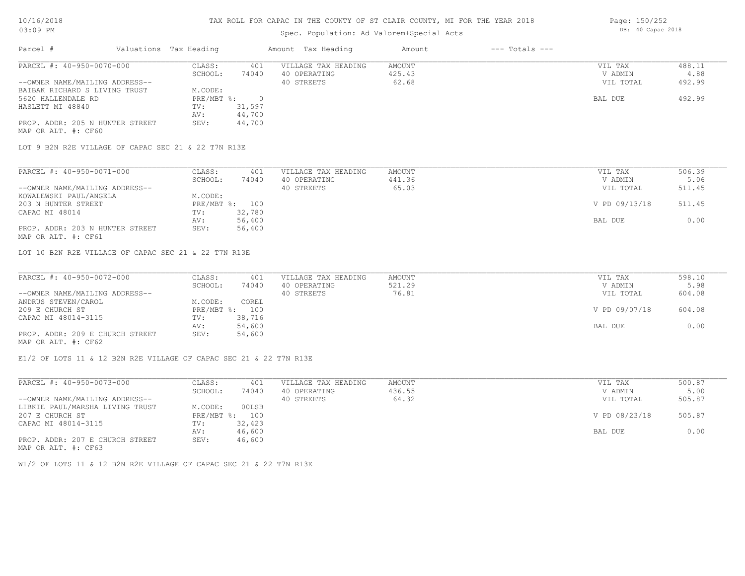### Spec. Population: Ad Valorem+Special Acts

| Parcel #                        | Valuations Tax Heading |        | Amount Tax Heading  | Amount | $---$ Totals $---$ |           |        |
|---------------------------------|------------------------|--------|---------------------|--------|--------------------|-----------|--------|
| PARCEL #: 40-950-0070-000       | CLASS:                 | 401    | VILLAGE TAX HEADING | AMOUNT |                    | VIL TAX   | 488.11 |
|                                 | SCHOOL:                | 74040  | 40 OPERATING        | 425.43 |                    | V ADMIN   | 4.88   |
| --OWNER NAME/MAILING ADDRESS--  |                        |        | 40 STREETS          | 62.68  |                    | VIL TOTAL | 492.99 |
| BAIBAK RICHARD S LIVING TRUST   | M.CODE:                |        |                     |        |                    |           |        |
| 5620 HALLENDALE RD              | PRE/MBT %:             |        |                     |        |                    | BAL DUE   | 492.99 |
| HASLETT MI 48840                | TV:                    | 31,597 |                     |        |                    |           |        |
|                                 | AV:                    | 44,700 |                     |        |                    |           |        |
| PROP. ADDR: 205 N HUNTER STREET | SEV:                   | 44,700 |                     |        |                    |           |        |
| MAP OR ALT. #: CF60             |                        |        |                     |        |                    |           |        |

LOT 9 B2N R2E VILLAGE OF CAPAC SEC 21 & 22 T7N R13E

| PARCEL #: 40-950-0071-000       | CLASS:  | 401            | VILLAGE TAX HEADING | AMOUNT | VIL TAX       | 506.39 |
|---------------------------------|---------|----------------|---------------------|--------|---------------|--------|
|                                 | SCHOOL: | 74040          | 40 OPERATING        | 441.36 | V ADMIN       | 5.06   |
| --OWNER NAME/MAILING ADDRESS--  |         |                | 40 STREETS          | 65.03  | VIL TOTAL     | 511.45 |
| KOWALEWSKI PAUL/ANGELA          | M.CODE: |                |                     |        |               |        |
| 203 N HUNTER STREET             |         | PRE/MBT %: 100 |                     |        | V PD 09/13/18 | 511.45 |
| CAPAC MI 48014                  | TV:     | 32,780         |                     |        |               |        |
|                                 | AV:     | 56,400         |                     |        | BAL DUE       | 0.00   |
| PROP. ADDR: 203 N HUNTER STREET | SEV:    | 56,400         |                     |        |               |        |
| MAP OR ALT. #: CF61             |         |                |                     |        |               |        |

LOT 10 B2N R2E VILLAGE OF CAPAC SEC 21 & 22 T7N R13E

| PARCEL #: 40-950-0072-000       | CLASS:  | 401            | VILLAGE TAX HEADING | AMOUNT | VIL TAX       | 598.10 |
|---------------------------------|---------|----------------|---------------------|--------|---------------|--------|
|                                 | SCHOOL: | 74040          | 40 OPERATING        | 521.29 | V ADMIN       | 5.98   |
| --OWNER NAME/MAILING ADDRESS--  |         |                | 40 STREETS          | 76.81  | VIL TOTAL     | 604.08 |
| ANDRUS STEVEN/CAROL             | M.CODE: | COREL          |                     |        |               |        |
| 209 E CHURCH ST                 |         | PRE/MBT %: 100 |                     |        | V PD 09/07/18 | 604.08 |
| CAPAC MI 48014-3115             | TV:     | 38,716         |                     |        |               |        |
|                                 | AV:     | 54,600         |                     |        | BAL DUE       | 0.00   |
| PROP. ADDR: 209 E CHURCH STREET | SEV:    | 54,600         |                     |        |               |        |
| MAP OR ALT. #: CF62             |         |                |                     |        |               |        |

E1/2 OF LOTS 11 & 12 B2N R2E VILLAGE OF CAPAC SEC 21 & 22 T7N R13E

| PARCEL #: 40-950-0073-000       | CLASS:       | 401    | VILLAGE TAX HEADING | AMOUNT | VIL TAX       | 500.87 |
|---------------------------------|--------------|--------|---------------------|--------|---------------|--------|
|                                 | SCHOOL:      | 74040  | 40 OPERATING        | 436.55 | V ADMIN       | 5.00   |
| --OWNER NAME/MAILING ADDRESS--  |              |        | 40 STREETS          | 64.32  | VIL TOTAL     | 505.87 |
| LIBKIE PAUL/MARSHA LIVING TRUST | M.CODE:      | 00LSB  |                     |        |               |        |
| 207 E CHURCH ST                 | $PRE/MBT$ %: | 100    |                     |        | V PD 08/23/18 | 505.87 |
| CAPAC MI 48014-3115             | TV:          | 32,423 |                     |        |               |        |
|                                 | AV:          | 46,600 |                     |        | BAL DUE       | 0.00   |
| PROP. ADDR: 207 E CHURCH STREET | SEV:         | 46,600 |                     |        |               |        |
| MAP OR ALT. #: CF63             |              |        |                     |        |               |        |

W1/2 OF LOTS 11 & 12 B2N R2E VILLAGE OF CAPAC SEC 21 & 22 T7N R13E

Page: 150/252 DB: 40 Capac 2018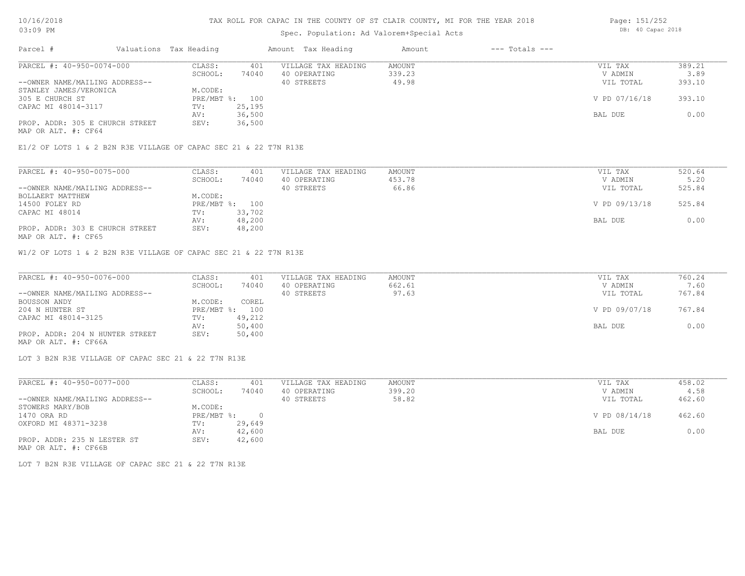### Spec. Population: Ad Valorem+Special Acts

| Parcel #                        | Valuations Tax Heading |                | Amount Tax Heading  | Amount | $---$ Totals $---$ |               |        |
|---------------------------------|------------------------|----------------|---------------------|--------|--------------------|---------------|--------|
| PARCEL #: 40-950-0074-000       | CLASS:                 | 401            | VILLAGE TAX HEADING | AMOUNT |                    | VIL TAX       | 389.21 |
|                                 | SCHOOL:                | 74040          | 40 OPERATING        | 339.23 |                    | V ADMIN       | 3.89   |
| --OWNER NAME/MAILING ADDRESS--  |                        |                | 40 STREETS          | 49.98  |                    | VIL TOTAL     | 393.10 |
| STANLEY JAMES/VERONICA          | M.CODE:                |                |                     |        |                    |               |        |
| 305 E CHURCH ST                 |                        | PRE/MBT %: 100 |                     |        |                    | V PD 07/16/18 | 393.10 |
| CAPAC MI 48014-3117             | TV:                    | 25,195         |                     |        |                    |               |        |
|                                 | AV:                    | 36,500         |                     |        |                    | BAL DUE       | 0.00   |
| PROP. ADDR: 305 E CHURCH STREET | SEV:                   | 36,500         |                     |        |                    |               |        |
|                                 |                        |                |                     |        |                    |               |        |

MAP OR ALT. #: CF64

E1/2 OF LOTS 1 & 2 B2N R3E VILLAGE OF CAPAC SEC 21 & 22 T7N R13E

| PARCEL #: 40-950-0075-000       | CLASS:  | 401            | VILLAGE TAX HEADING | AMOUNT | VIL TAX       | 520.64 |
|---------------------------------|---------|----------------|---------------------|--------|---------------|--------|
|                                 | SCHOOL: | 74040          | 40 OPERATING        | 453.78 | V ADMIN       | 5.20   |
| --OWNER NAME/MAILING ADDRESS--  |         |                | 40 STREETS          | 66.86  | VIL TOTAL     | 525.84 |
| BOLLAERT MATTHEW                | M.CODE: |                |                     |        |               |        |
| 14500 FOLEY RD                  |         | PRE/MBT %: 100 |                     |        | V PD 09/13/18 | 525.84 |
| CAPAC MI 48014                  | TV:     | 33,702         |                     |        |               |        |
|                                 | AV:     | 48,200         |                     |        | BAL DUE       | 0.00   |
| PROP. ADDR: 303 E CHURCH STREET | SEV:    | 48,200         |                     |        |               |        |
| MAP OR ALT. #: CF65             |         |                |                     |        |               |        |

W1/2 OF LOTS 1 & 2 B2N R3E VILLAGE OF CAPAC SEC 21 & 22 T7N R13E

| PARCEL #: 40-950-0076-000       | CLASS:  | 401            | VILLAGE TAX HEADING | AMOUNT | VIL TAX       | 760.24 |
|---------------------------------|---------|----------------|---------------------|--------|---------------|--------|
|                                 | SCHOOL: | 74040          | 40 OPERATING        | 662.61 | V ADMIN       | 7.60   |
| --OWNER NAME/MAILING ADDRESS--  |         |                | 40 STREETS          | 97.63  | VIL TOTAL     | 767.84 |
| BOUSSON ANDY                    | M.CODE: | COREL          |                     |        |               |        |
| 204 N HUNTER ST                 |         | PRE/MBT %: 100 |                     |        | V PD 09/07/18 | 767.84 |
| CAPAC MI 48014-3125             | TV:     | 49,212         |                     |        |               |        |
|                                 | AV:     | 50,400         |                     |        | BAL DUE       | 0.00   |
| PROP. ADDR: 204 N HUNTER STREET | SEV:    | 50,400         |                     |        |               |        |
| MAP OR ALT. #: CF66A            |         |                |                     |        |               |        |

LOT 3 B2N R3E VILLAGE OF CAPAC SEC 21 & 22 T7N R13E

| PARCEL #: 40-950-0077-000      | CLASS:     | 401    | VILLAGE TAX HEADING | AMOUNT | VIL TAX       | 458.02 |
|--------------------------------|------------|--------|---------------------|--------|---------------|--------|
|                                | SCHOOL:    | 74040  | 40 OPERATING        | 399.20 | V ADMIN       | 4.58   |
| --OWNER NAME/MAILING ADDRESS-- |            |        | 40 STREETS          | 58.82  | VIL TOTAL     | 462.60 |
| STOWERS MARY/BOB               | M.CODE:    |        |                     |        |               |        |
| 1470 ORA RD                    | PRE/MBT %: |        |                     |        | V PD 08/14/18 | 462.60 |
| OXFORD MI 48371-3238           | TV:        | 29,649 |                     |        |               |        |
|                                | AV:        | 42,600 |                     |        | BAL DUE       | 0.00   |
| PROP. ADDR: 235 N LESTER ST    | SEV:       | 42,600 |                     |        |               |        |
| MAP OR ALT. #: CF66B           |            |        |                     |        |               |        |

LOT 7 B2N R3E VILLAGE OF CAPAC SEC 21 & 22 T7N R13E

Page: 151/252 DB: 40 Capac 2018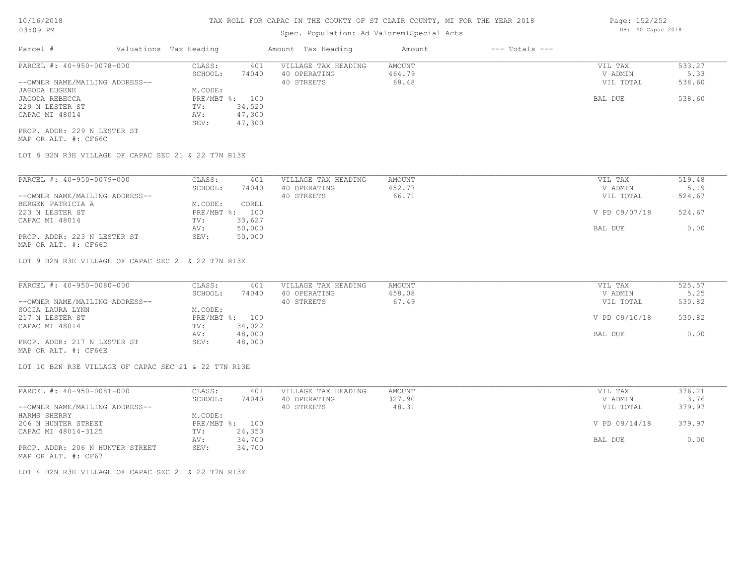### Spec. Population: Ad Valorem+Special Acts

| Parcel #                       |        | Valuations Tax Heading |                     | Amount Tax Heading | Amount | $---$ Totals $---$ |           |        |
|--------------------------------|--------|------------------------|---------------------|--------------------|--------|--------------------|-----------|--------|
| PARCEL #: 40-950-0078-000      | CLASS: | 401                    | VILLAGE TAX HEADING | AMOUNT             |        | VIL TAX            | 533.27    |        |
|                                |        | SCHOOL:                | 74040               | 40 OPERATING       | 464.79 |                    | V ADMIN   | 5.33   |
| --OWNER NAME/MAILING ADDRESS-- |        |                        |                     | 40 STREETS         | 68.48  |                    | VIL TOTAL | 538.60 |
| JAGODA EUGENE                  |        | M.CODE:                |                     |                    |        |                    |           |        |
| JAGODA REBECCA                 |        | PRE/MBT %: 100         |                     |                    |        |                    | BAL DUE   | 538.60 |
| 229 N LESTER ST                |        | TV:                    | 34,520              |                    |        |                    |           |        |
| CAPAC MI 48014                 |        | AV:                    | 47,300              |                    |        |                    |           |        |
|                                |        | SEV:                   | 47,300              |                    |        |                    |           |        |
| PROP. ADDR: 229 N LESTER ST    |        |                        |                     |                    |        |                    |           |        |

MAP OR ALT. #: CF66C

LOT 8 B2N R3E VILLAGE OF CAPAC SEC 21 & 22 T7N R13E

| PARCEL #: 40-950-0079-000      | CLASS:     | 401    | VILLAGE TAX HEADING | AMOUNT | VIL TAX       | 519.48 |
|--------------------------------|------------|--------|---------------------|--------|---------------|--------|
|                                | SCHOOL:    | 74040  | 40 OPERATING        | 452.77 | V ADMIN       | 5.19   |
| --OWNER NAME/MAILING ADDRESS-- |            |        | 40 STREETS          | 66.71  | VIL TOTAL     | 524.67 |
| BERGEN PATRICIA A              | M.CODE:    | COREL  |                     |        |               |        |
| 223 N LESTER ST                | PRE/MBT %: | 100    |                     |        | V PD 09/07/18 | 524.67 |
| CAPAC MI 48014                 | TV:        | 33,627 |                     |        |               |        |
|                                | AV:        | 50,000 |                     |        | BAL DUE       | 0.00   |
| PROP. ADDR: 223 N LESTER ST    | SEV:       | 50,000 |                     |        |               |        |
|                                |            |        |                     |        |               |        |

MAP OR ALT. #: CF66D

LOT 9 B2N R3E VILLAGE OF CAPAC SEC 21 & 22 T7N R13E

| PARCEL #: 40-950-0080-000      | CLASS:         | 401    | VILLAGE TAX HEADING | AMOUNT | VIL TAX       | 525.57 |
|--------------------------------|----------------|--------|---------------------|--------|---------------|--------|
|                                | SCHOOL:        | 74040  | 40 OPERATING        | 458.08 | V ADMIN       | 5.25   |
| --OWNER NAME/MAILING ADDRESS-- |                |        | 40 STREETS          | 67.49  | VIL TOTAL     | 530.82 |
| SOCIA LAURA LYNN               | M.CODE:        |        |                     |        |               |        |
| 217 N LESTER ST                | PRE/MBT %: 100 |        |                     |        | V PD 09/10/18 | 530.82 |
| CAPAC MI 48014                 | TV:            | 34,022 |                     |        |               |        |
|                                | AV:            | 48,000 |                     |        | BAL DUE       | 0.00   |
| PROP. ADDR: 217 N LESTER ST    | SEV:           | 48,000 |                     |        |               |        |
|                                |                |        |                     |        |               |        |

MAP OR ALT. #: CF66E

LOT 10 B2N R3E VILLAGE OF CAPAC SEC 21 & 22 T7N R13E

| PARCEL #: 40-950-0081-000       | CLASS:  | 401            | VILLAGE TAX HEADING | AMOUNT | VIL TAX       | 376.21 |
|---------------------------------|---------|----------------|---------------------|--------|---------------|--------|
|                                 | SCHOOL: | 74040          | 40 OPERATING        | 327.90 | V ADMIN       | 3.76   |
| --OWNER NAME/MAILING ADDRESS--  |         |                | 40 STREETS          | 48.31  | VIL TOTAL     | 379.97 |
| HARMS SHERRY                    | M.CODE: |                |                     |        |               |        |
| 206 N HUNTER STREET             |         | PRE/MBT %: 100 |                     |        | V PD 09/14/18 | 379.97 |
| CAPAC MI 48014-3125             | TV:     | 24,353         |                     |        |               |        |
|                                 | AV:     | 34,700         |                     |        | BAL DUE       | 0.00   |
| PROP. ADDR: 206 N HUNTER STREET | SEV:    | 34,700         |                     |        |               |        |
| MAP OR ALT. #: CF67             |         |                |                     |        |               |        |

LOT 4 B2N R3E VILLAGE OF CAPAC SEC 21 & 22 T7N R13E

Page: 152/252 DB: 40 Capac 2018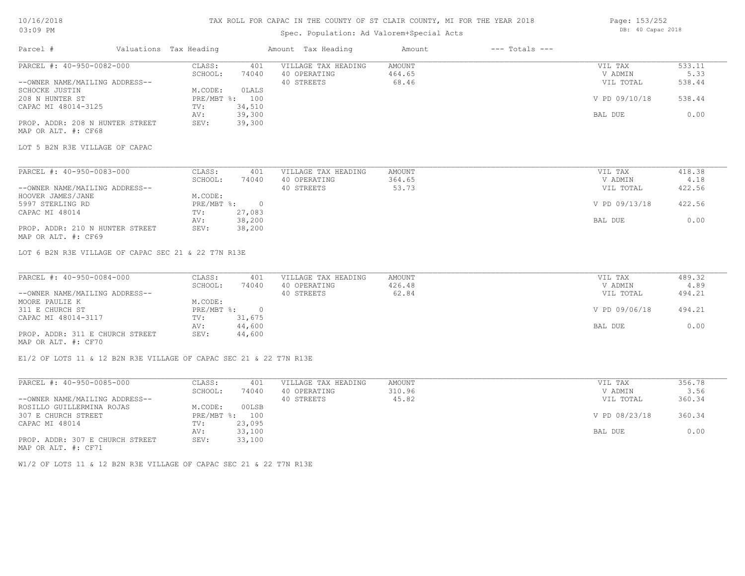## TAX ROLL FOR CAPAC IN THE COUNTY OF ST CLAIR COUNTY, MI FOR THE YEAR 2018

## Spec. Population: Ad Valorem+Special Acts

| Page: 153/252 |                   |  |
|---------------|-------------------|--|
|               | DB: 40 Capac 2018 |  |

|                                                        | Valuations Tax Heading |                | Amount Tax Heading  | Amount        | $---$ Totals $---$ |               |        |
|--------------------------------------------------------|------------------------|----------------|---------------------|---------------|--------------------|---------------|--------|
| PARCEL #: 40-950-0082-000                              | CLASS:                 | 401            | VILLAGE TAX HEADING | AMOUNT        |                    | VIL TAX       | 533.11 |
|                                                        | SCHOOL:                | 74040          | 40 OPERATING        | 464.65        |                    | V ADMIN       | 5.33   |
| --OWNER NAME/MAILING ADDRESS--                         |                        |                | 40 STREETS          | 68.46         |                    | VIL TOTAL     | 538.44 |
| SCHOCKE JUSTIN                                         | M.CODE:                | OLALS          |                     |               |                    |               |        |
| 208 N HUNTER ST                                        | $PRE/MBT$ %:           | 100            |                     |               |                    | V PD 09/10/18 | 538.44 |
| CAPAC MI 48014-3125                                    | TV:                    | 34,510         |                     |               |                    |               |        |
|                                                        | AV:                    | 39,300         |                     |               |                    | BAL DUE       | 0.00   |
| PROP. ADDR: 208 N HUNTER STREET<br>MAP OR ALT. #: CF68 | SEV:                   | 39,300         |                     |               |                    |               |        |
|                                                        |                        |                |                     |               |                    |               |        |
| LOT 5 B2N R3E VILLAGE OF CAPAC                         |                        |                |                     |               |                    |               |        |
| PARCEL #: 40-950-0083-000                              | CLASS:                 | 401            | VILLAGE TAX HEADING | <b>AMOUNT</b> |                    | VIL TAX       | 418.38 |
|                                                        | SCHOOL:                | 74040          | 40 OPERATING        | 364.65        |                    | V ADMIN       | 4.18   |
| --OWNER NAME/MAILING ADDRESS--                         |                        |                | 40 STREETS          | 53.73         |                    | VIL TOTAL     | 422.56 |
| HOOVER JAMES/JANE                                      | M.CODE:                |                |                     |               |                    |               |        |
| 5997 STERLING RD                                       | $PRE/MBT$ %:           | $\overline{0}$ |                     |               |                    | V PD 09/13/18 | 422.56 |
| CAPAC MI 48014                                         | TV:                    | 27,083         |                     |               |                    |               |        |
|                                                        | AV:                    | 38,200         |                     |               |                    | BAL DUE       | 0.00   |
| PROP. ADDR: 210 N HUNTER STREET<br>MAP OR ALT. #: CF69 | SEV:                   | 38,200         |                     |               |                    |               |        |

| PARCEL #: 40-950-0084-000       | CLASS:     | 401    | VILLAGE TAX HEADING | AMOUNT | VIL TAX       | 489.32 |
|---------------------------------|------------|--------|---------------------|--------|---------------|--------|
|                                 | SCHOOL:    | 74040  | 40 OPERATING        | 426.48 | V ADMIN       | 4.89   |
| --OWNER NAME/MAILING ADDRESS--  |            |        | 40 STREETS          | 62.84  | VIL TOTAL     | 494.21 |
| MOORE PAULIE K                  | M.CODE:    |        |                     |        |               |        |
| 311 E CHURCH ST                 | PRE/MBT %: |        |                     |        | V PD 09/06/18 | 494.21 |
| CAPAC MI 48014-3117             | TV:        | 31,675 |                     |        |               |        |
|                                 | AV:        | 44,600 |                     |        | BAL DUE       | 0.00   |
| PROP. ADDR: 311 E CHURCH STREET | SEV:       | 44,600 |                     |        |               |        |
| MAP OR ALT. #: CF70             |            |        |                     |        |               |        |

E1/2 OF LOTS 11 & 12 B2N R3E VILLAGE OF CAPAC SEC 21 & 22 T7N R13E

| PARCEL #: 40-950-0085-000       | CLASS:       | 401    | VILLAGE TAX HEADING | AMOUNT | VIL TAX       | 356.78 |
|---------------------------------|--------------|--------|---------------------|--------|---------------|--------|
|                                 | SCHOOL:      | 74040  | 40 OPERATING        | 310.96 | V ADMIN       | 3.56   |
| --OWNER NAME/MAILING ADDRESS--  |              |        | 40 STREETS          | 45.82  | VIL TOTAL     | 360.34 |
| ROSILLO GUILLERMINA ROJAS       | M.CODE:      | 00LSB  |                     |        |               |        |
| 307 E CHURCH STREET             | $PRE/MBT$ %: | 100    |                     |        | V PD 08/23/18 | 360.34 |
| CAPAC MI 48014                  | TV:          | 23,095 |                     |        |               |        |
|                                 | AV:          | 33,100 |                     |        | BAL DUE       | 0.00   |
| PROP. ADDR: 307 E CHURCH STREET | SEV:         | 33,100 |                     |        |               |        |
| MAP OR ALT. #: CF71             |              |        |                     |        |               |        |

W1/2 OF LOTS 11 & 12 B2N R3E VILLAGE OF CAPAC SEC 21 & 22 T7N R13E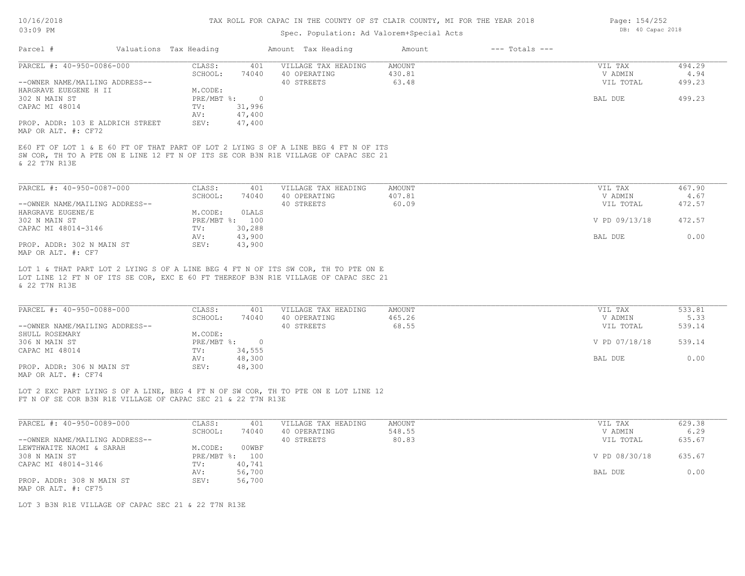### Spec. Population: Ad Valorem+Special Acts

| PARCEL #: 40-950-0086-000                                                                      |                |                  | Amount Tax Heading                                                                                                                                                         | Amount | --- Totals --- |               |        |
|------------------------------------------------------------------------------------------------|----------------|------------------|----------------------------------------------------------------------------------------------------------------------------------------------------------------------------|--------|----------------|---------------|--------|
|                                                                                                | CLASS:         | 401              | VILLAGE TAX HEADING                                                                                                                                                        | AMOUNT |                | VIL TAX       | 494.29 |
|                                                                                                | SCHOOL:        | 74040            | 40 OPERATING                                                                                                                                                               | 430.81 |                | V ADMIN       | 4.94   |
| --OWNER NAME/MAILING ADDRESS--                                                                 |                |                  | 40 STREETS                                                                                                                                                                 | 63.48  |                | VIL TOTAL     | 499.23 |
| HARGRAVE EUEGENE H II                                                                          | M.CODE:        |                  |                                                                                                                                                                            |        |                |               |        |
| 302 N MAIN ST                                                                                  | PRE/MBT %: 0   |                  |                                                                                                                                                                            |        |                | BAL DUE       | 499.23 |
| CAPAC MI 48014                                                                                 | TV:            | 31,996           |                                                                                                                                                                            |        |                |               |        |
|                                                                                                | AV:            | 47,400           |                                                                                                                                                                            |        |                |               |        |
| PROP. ADDR: 103 E ALDRICH STREET<br>MAP OR ALT. #: CF72                                        | SEV:           | 47,400           |                                                                                                                                                                            |        |                |               |        |
| & 22 T7N R13E                                                                                  |                |                  | E60 FT OF LOT 1 & E 60 FT OF THAT PART OF LOT 2 LYING S OF A LINE BEG 4 FT N OF ITS<br>SW COR, TH TO A PTE ON E LINE 12 FT N OF ITS SE COR B3N R1E VILLAGE OF CAPAC SEC 21 |        |                |               |        |
| PARCEL #: 40-950-0087-000                                                                      | CLASS:         | 401              | VILLAGE TAX HEADING                                                                                                                                                        | AMOUNT |                | VIL TAX       | 467.90 |
|                                                                                                | SCHOOL:        | 74040            | 40 OPERATING                                                                                                                                                               | 407.81 |                | V ADMIN       | 4.67   |
| --OWNER NAME/MAILING ADDRESS--                                                                 |                |                  | 40 STREETS                                                                                                                                                                 | 60.09  |                | VIL TOTAL     | 472.57 |
| HARGRAVE EUGENE/E                                                                              | M.CODE:        | <b>OLALS</b>     |                                                                                                                                                                            |        |                |               |        |
| 302 N MAIN ST                                                                                  | PRE/MBT %: 100 |                  |                                                                                                                                                                            |        |                | V PD 09/13/18 | 472.57 |
|                                                                                                |                |                  |                                                                                                                                                                            |        |                |               |        |
| CAPAC MI 48014-3146                                                                            | TV:            | 30,288<br>43,900 |                                                                                                                                                                            |        |                | BAL DUE       | 0.00   |
|                                                                                                | AV:<br>SEV:    | 43,900           |                                                                                                                                                                            |        |                |               |        |
|                                                                                                |                |                  |                                                                                                                                                                            |        |                |               |        |
|                                                                                                |                |                  |                                                                                                                                                                            |        |                |               |        |
| PROP. ADDR: 302 N MAIN ST<br>MAP OR ALT. #: CF7<br>& 22 T7N R13E                               |                |                  | LOT 1 & THAT PART LOT 2 LYING S OF A LINE BEG 4 FT N OF ITS SW COR, TH TO PTE ON E<br>LOT LINE 12 FT N OF ITS SE COR, EXC E 60 FT THEREOF B3N R1E VILLAGE OF CAPAC SEC 21  |        |                |               |        |
|                                                                                                |                |                  |                                                                                                                                                                            |        |                |               |        |
|                                                                                                | CLASS:         | 401              | VILLAGE TAX HEADING                                                                                                                                                        | AMOUNT |                | VIL TAX       | 533.81 |
|                                                                                                | SCHOOL:        | 74040            | 40 OPERATING                                                                                                                                                               | 465.26 |                | V ADMIN       | 5.33   |
|                                                                                                |                |                  | 40 STREETS                                                                                                                                                                 | 68.55  |                | VIL TOTAL     | 539.14 |
|                                                                                                | M.CODE:        |                  |                                                                                                                                                                            |        |                |               |        |
| PARCEL #: 40-950-0088-000<br>--OWNER NAME/MAILING ADDRESS--<br>SHULL ROSEMARY<br>306 N MAIN ST | PRE/MBT %: 0   |                  |                                                                                                                                                                            |        |                | V PD 07/18/18 | 539.14 |
| CAPAC MI 48014                                                                                 | TV:            | 34,555           |                                                                                                                                                                            |        |                |               |        |
|                                                                                                | AV:            | 48,300           |                                                                                                                                                                            |        |                | BAL DUE       | 0.00   |
|                                                                                                | SEV:           | 48,300           |                                                                                                                                                                            |        |                |               |        |
| PROP. ADDR: 306 N MAIN ST<br>MAP OR ALT. #: CF74                                               |                |                  |                                                                                                                                                                            |        |                |               |        |

| PARCEL #: 40-950-0089-000      | CLASS:     | 401    | VILLAGE TAX HEADING | AMOUNT | VIL TAX       | 629.38 |
|--------------------------------|------------|--------|---------------------|--------|---------------|--------|
|                                | SCHOOL:    | 74040  | 40 OPERATING        | 548.55 | V ADMIN       | 6.29   |
| --OWNER NAME/MAILING ADDRESS-- |            |        | 40 STREETS          | 80.83  | VIL TOTAL     | 635.67 |
| LEWTHWAITE NAOMI & SARAH       | M.CODE:    | 00WBF  |                     |        |               |        |
| 308 N MAIN ST                  | PRE/MBT %: | 100    |                     |        | V PD 08/30/18 | 635.67 |
| CAPAC MI 48014-3146            | TV:        | 40,741 |                     |        |               |        |
|                                | AV:        | 56,700 |                     |        | BAL DUE       | 0.00   |
| PROP. ADDR: 308 N MAIN ST      | SEV:       | 56,700 |                     |        |               |        |
| MAP OR ALT. #: CF75            |            |        |                     |        |               |        |

LOT 3 B3N R1E VILLAGE OF CAPAC SEC 21 & 22 T7N R13E

Page: 154/252 DB: 40 Capac 2018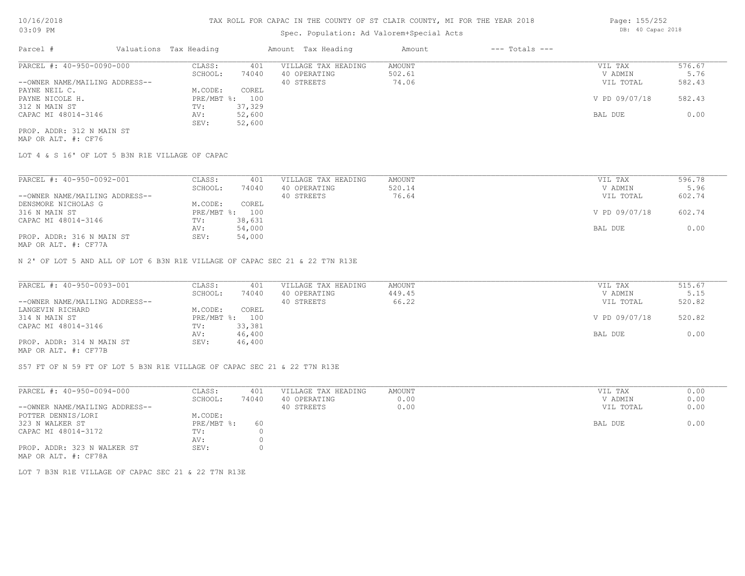## Spec. Population: Ad Valorem+Special Acts

| Parcel #                       | Valuations Tax Heading |        | Amount Tax Heading  | Amount | $---$ Totals $---$ |               |        |
|--------------------------------|------------------------|--------|---------------------|--------|--------------------|---------------|--------|
| PARCEL #: 40-950-0090-000      | CLASS:                 | 401    | VILLAGE TAX HEADING | AMOUNT |                    | VIL TAX       | 576.67 |
|                                | SCHOOL:                | 74040  | 40 OPERATING        | 502.61 |                    | V ADMIN       | 5.76   |
| --OWNER NAME/MAILING ADDRESS-- |                        |        | 40 STREETS          | 74.06  |                    | VIL TOTAL     | 582.43 |
| PAYNE NEIL C.                  | M.CODE:                | COREL  |                     |        |                    |               |        |
| PAYNE NICOLE H.                | $PRE/MBT$ %:           | 100    |                     |        |                    | V PD 09/07/18 | 582.43 |
| 312 N MAIN ST                  | TV:                    | 37,329 |                     |        |                    |               |        |
| CAPAC MI 48014-3146            | AV:                    | 52,600 |                     |        |                    | BAL DUE       | 0.00   |
|                                | SEV:                   | 52,600 |                     |        |                    |               |        |
| PROP. ADDR: 312 N MAIN ST      |                        |        |                     |        |                    |               |        |

MAP OR ALT. #: CF76

LOT 4 & S 16' OF LOT 5 B3N R1E VILLAGE OF CAPAC

| PARCEL #: 40-950-0092-001                                                                        | CLASS:       | 401    | VILLAGE TAX HEADING | AMOUNT | VIL TAX        | 596.78 |
|--------------------------------------------------------------------------------------------------|--------------|--------|---------------------|--------|----------------|--------|
|                                                                                                  | SCHOOL:      | 74040  | 40 OPERATING        | 520.14 | V ADMIN        | 5.96   |
| --OWNER NAME/MAILING ADDRESS--                                                                   |              |        | 40 STREETS          | 76.64  | VIL TOTAL      | 602.74 |
| DENSMORE NICHOLAS G                                                                              | M.CODE:      | COREL  |                     |        |                |        |
| 316 N MAIN ST                                                                                    | $PRE/MBT$ %: | 100    |                     |        | V PD 09/07/18  | 602.74 |
| CAPAC MI 48014-3146                                                                              | TV:          | 38,631 |                     |        |                |        |
|                                                                                                  | AV:          | 54,000 |                     |        | <b>BAL DUE</b> | 0.00   |
| PROP. ADDR: 316 N MAIN ST<br>$M \wedge D$ $\wedge D$ $\wedge T$ $\wedge T$ $\wedge T$ $\wedge T$ | SEV:         | 54,000 |                     |        |                |        |

MAP OR ALT. #: CF77A

N 2' OF LOT 5 AND ALL OF LOT 6 B3N R1E VILLAGE OF CAPAC SEC 21 & 22 T7N R13E

| PARCEL #: 40-950-0093-001                             | CLASS:  | 401            | VILLAGE TAX HEADING | AMOUNT | VIL TAX       | 515.67 |
|-------------------------------------------------------|---------|----------------|---------------------|--------|---------------|--------|
|                                                       | SCHOOL: | 74040          | 40 OPERATING        | 449.45 | V ADMIN       | 5.15   |
| --OWNER NAME/MAILING ADDRESS--                        |         |                | 40 STREETS          | 66.22  | VIL TOTAL     | 520.82 |
| LANGEVIN RICHARD                                      | M.CODE: | COREL          |                     |        |               |        |
| 314 N MAIN ST                                         |         | PRE/MBT %: 100 |                     |        | V PD 09/07/18 | 520.82 |
| CAPAC MI 48014-3146                                   | TV:     | 33,381         |                     |        |               |        |
|                                                       | AV:     | 46,400         |                     |        | BAL DUE       | 0.00   |
| PROP. ADDR: 314 N MAIN ST                             | SEV:    | 46,400         |                     |        |               |        |
| $\cdots$ $\cdots$ $\cdots$ $\cdots$ $\cdots$ $\cdots$ |         |                |                     |        |               |        |

MAP OR ALT. #: CF77B

S57 FT OF N 59 FT OF LOT 5 B3N R1E VILLAGE OF CAPAC SEC 21 & 22 T7N R13E

| PARCEL #: 40-950-0094-000                           | CLASS:       | 401   | VILLAGE TAX HEADING | AMOUNT | VIL TAX   | 0.00 |
|-----------------------------------------------------|--------------|-------|---------------------|--------|-----------|------|
|                                                     | SCHOOL:      | 74040 | 40 OPERATING        | 0.00   | V ADMIN   | 0.00 |
| --OWNER NAME/MAILING ADDRESS--                      |              |       | 40 STREETS          | 0.00   | VIL TOTAL | 0.00 |
| POTTER DENNIS/LORI                                  | M.CODE:      |       |                     |        |           |      |
| 323 N WALKER ST                                     | $PRE/MBT$ %: | 60    |                     |        | BAL DUE   | 0.00 |
| CAPAC MI 48014-3172                                 | TV:          |       |                     |        |           |      |
|                                                     | AV:          |       |                     |        |           |      |
| PROP. ADDR: 323 N WALKER ST<br>MAP OR ALT. #: CF78A | SEV:         |       |                     |        |           |      |

LOT 7 B3N R1E VILLAGE OF CAPAC SEC 21 & 22 T7N R13E

Page: 155/252 DB: 40 Capac 2018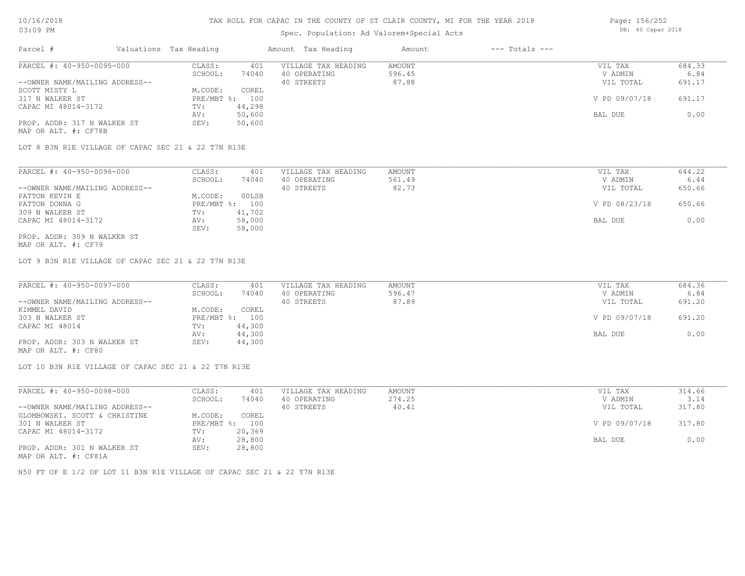### Spec. Population: Ad Valorem+Special Acts

| Parcel #                       | Valuations Tax Heading |        | Amount Tax Heading  | Amount | $---$ Totals $---$ |               |        |
|--------------------------------|------------------------|--------|---------------------|--------|--------------------|---------------|--------|
| PARCEL #: 40-950-0095-000      | CLASS:                 | 401    | VILLAGE TAX HEADING | AMOUNT |                    | VIL TAX       | 684.33 |
|                                | SCHOOL:                | 74040  | 40 OPERATING        | 596.45 |                    | V ADMIN       | 6.84   |
| --OWNER NAME/MAILING ADDRESS-- |                        |        | 40 STREETS          | 87.88  |                    | VIL TOTAL     | 691.17 |
| SCOTT MISTY L                  | M.CODE:                | COREL  |                     |        |                    |               |        |
| 317 N WALKER ST                | PRE/MBT %: 100         |        |                     |        |                    | V PD 09/07/18 | 691.17 |
| CAPAC MI 48014-3172            | TV:                    | 44,298 |                     |        |                    |               |        |
|                                | AV:                    | 50,600 |                     |        |                    | BAL DUE       | 0.00   |
| PROP. ADDR: 317 N WALKER ST    | SEV:                   | 50,600 |                     |        |                    |               |        |

MAP OR ALT. #: CF78B

LOT 8 B3N R1E VILLAGE OF CAPAC SEC 21 & 22 T7N R13E

| PARCEL #: 40-950-0096-000      | CLASS:     | 401    | VILLAGE TAX HEADING | AMOUNT | VIL TAX       | 644.22 |
|--------------------------------|------------|--------|---------------------|--------|---------------|--------|
|                                | SCHOOL:    | 74040  | 40 OPERATING        | 561.49 | V ADMIN       | 6.44   |
| --OWNER NAME/MAILING ADDRESS-- |            |        | 40 STREETS          | 82.73  | VIL TOTAL     | 650.66 |
| PATTON KEVIN E                 | M.CODE:    | 00LSB  |                     |        |               |        |
| PATTON DONNA G                 | PRE/MBT %: | 100    |                     |        | V PD 08/23/18 | 650.66 |
| 309 N WALKER ST                | TV:        | 41,702 |                     |        |               |        |
| CAPAC MI 48014-3172            | AV:        | 58,000 |                     |        | BAL DUE       | 0.00   |
|                                | SEV:       | 58,000 |                     |        |               |        |
| PROP. ADDR: 309 N WALKER ST    |            |        |                     |        |               |        |

MAP OR ALT. #: CF79

LOT 9 B3N R1E VILLAGE OF CAPAC SEC 21 & 22 T7N R13E

| PARCEL #: 40-950-0097-000      | CLASS:         | 401    | VILLAGE TAX HEADING | AMOUNT | VIL TAX       | 684.36 |
|--------------------------------|----------------|--------|---------------------|--------|---------------|--------|
|                                | SCHOOL:        | 74040  | 40 OPERATING        | 596.47 | V ADMIN       | 6.84   |
| --OWNER NAME/MAILING ADDRESS-- |                |        | 40 STREETS          | 87.89  | VIL TOTAL     | 691.20 |
| KIMMEL DAVID                   | M.CODE:        | COREL  |                     |        |               |        |
| 303 N WALKER ST                | PRE/MBT %: 100 |        |                     |        | V PD 09/07/18 | 691.20 |
| CAPAC MI 48014                 | TV:            | 44,300 |                     |        |               |        |
|                                | AV:            | 44,300 |                     |        | BAL DUE       | 0.00   |
| PROP. ADDR: 303 N WALKER ST    | SEV:           | 44,300 |                     |        |               |        |
|                                |                |        |                     |        |               |        |

MAP OR ALT. #: CF80

LOT 10 B3N R1E VILLAGE OF CAPAC SEC 21 & 22 T7N R13E

| PARCEL #: 40-950-0098-000      | CLASS:  | 401            | VILLAGE TAX HEADING | AMOUNT | VIL TAX       | 314.66 |
|--------------------------------|---------|----------------|---------------------|--------|---------------|--------|
|                                | SCHOOL: | 74040          | 40 OPERATING        | 274.25 | V ADMIN       | 3.14   |
| --OWNER NAME/MAILING ADDRESS-- |         |                | 40 STREETS          | 40.41  | VIL TOTAL     | 317.80 |
| GLOMBOWSKI. SCOTT & CHRISTINE  | M.CODE: | COREL          |                     |        |               |        |
| 301 N WALKER ST                |         | PRE/MBT %: 100 |                     |        | V PD 09/07/18 | 317.80 |
| CAPAC MI 48014-3172            | TV:     | 20,369         |                     |        |               |        |
|                                | AV:     | 28,800         |                     |        | BAL DUE       | 0.00   |
| PROP. ADDR: 301 N WALKER ST    | SEV:    | 28,800         |                     |        |               |        |
| MAP OR ALT. #: CF81A           |         |                |                     |        |               |        |

N50 FT OF E 1/2 OF LOT 11 B3N R1E VILLAGE OF CAPAC SEC 21 & 22 T7N R13E

Page: 156/252 DB: 40 Capac 2018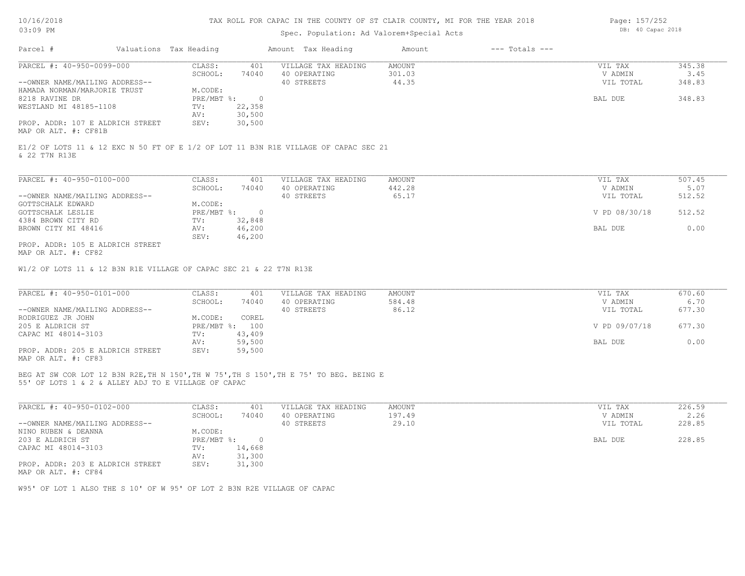#### TAX ROLL FOR CAPAC IN THE COUNTY OF ST CLAIR COUNTY, MI FOR THE YEAR 2018

## Spec. Population: Ad Valorem+Special Acts

| Parcel #                         | Valuations Tax Heading |        | Amount Tax Heading  | Amount | $---$ Totals $---$ |           |        |
|----------------------------------|------------------------|--------|---------------------|--------|--------------------|-----------|--------|
| PARCEL #: 40-950-0099-000        | CLASS:                 | 401    | VILLAGE TAX HEADING | AMOUNT |                    | VIL TAX   | 345.38 |
|                                  | SCHOOL:                | 74040  | 40 OPERATING        | 301.03 |                    | V ADMIN   | 3.45   |
| --OWNER NAME/MAILING ADDRESS--   |                        |        | 40 STREETS          | 44.35  |                    | VIL TOTAL | 348.83 |
| HAMADA NORMAN/MARJORIE TRUST     | M.CODE:                |        |                     |        |                    |           |        |
| 8218 RAVINE DR                   | PRE/MBT %:             |        |                     |        |                    | BAL DUE   | 348.83 |
| WESTLAND MI 48185-1108           | TV:                    | 22,358 |                     |        |                    |           |        |
|                                  | AV:                    | 30,500 |                     |        |                    |           |        |
| PROP. ADDR: 107 E ALDRICH STREET | SEV:                   | 30,500 |                     |        |                    |           |        |
| MAP OR ALT. #: CF81B             |                        |        |                     |        |                    |           |        |

& 22 T7N R13E E1/2 OF LOTS 11 & 12 EXC N 50 FT OF E 1/2 OF LOT 11 B3N R1E VILLAGE OF CAPAC SEC 21

| PARCEL #: 40-950-0100-000        | CLASS:     | 401    | VILLAGE TAX HEADING | AMOUNT | VIL TAX       | 507.45 |
|----------------------------------|------------|--------|---------------------|--------|---------------|--------|
|                                  | SCHOOL:    | 74040  | 40 OPERATING        | 442.28 | V ADMIN       | 5.07   |
| --OWNER NAME/MAILING ADDRESS--   |            |        | 40 STREETS          | 65.17  | VIL TOTAL     | 512.52 |
| GOTTSCHALK EDWARD                | M.CODE:    |        |                     |        |               |        |
| GOTTSCHALK LESLIE                | PRE/MBT %: |        |                     |        | V PD 08/30/18 | 512.52 |
| 4384 BROWN CITY RD               | TV:        | 32,848 |                     |        |               |        |
| BROWN CITY MI 48416              | AV:        | 46,200 |                     |        | BAL DUE       | 0.00   |
|                                  | SEV:       | 46,200 |                     |        |               |        |
| PROP. ADDR: 105 E ALDRICH STREET |            |        |                     |        |               |        |

MAP OR ALT. #: CF82

W1/2 OF LOTS 11 & 12 B3N R1E VILLAGE OF CAPAC SEC 21 & 22 T7N R13E

| PARCEL #: 40-950-0101-000        | CLASS:  | 401            | VILLAGE TAX HEADING | AMOUNT | VIL TAX       | 670.60 |
|----------------------------------|---------|----------------|---------------------|--------|---------------|--------|
|                                  | SCHOOL: | 74040          | 40 OPERATING        | 584.48 | V ADMIN       | 6.70   |
| --OWNER NAME/MAILING ADDRESS--   |         |                | 40 STREETS          | 86.12  | VIL TOTAL     | 677.30 |
| RODRIGUEZ JR JOHN                | M.CODE: | COREL          |                     |        |               |        |
| 205 E ALDRICH ST                 |         | PRE/MBT %: 100 |                     |        | V PD 09/07/18 | 677.30 |
| CAPAC MI 48014-3103              | TV:     | 43,409         |                     |        |               |        |
|                                  | AV:     | 59,500         |                     |        | BAL DUE       | 0.00   |
| PROP. ADDR: 205 E ALDRICH STREET | SEV:    | 59,500         |                     |        |               |        |
| MAP OR ALT. #: CF83              |         |                |                     |        |               |        |

55' OF LOTS 1 & 2 & ALLEY ADJ TO E VILLAGE OF CAPAC BEG AT SW COR LOT 12 B3N R2E,TH N 150',TH W 75',TH S 150',TH E 75' TO BEG. BEING E

| PARCEL #: 40-950-0102-000        | CLASS:     | 401    | VILLAGE TAX HEADING | AMOUNT | VIL TAX   | 226.59 |
|----------------------------------|------------|--------|---------------------|--------|-----------|--------|
|                                  | SCHOOL:    | 74040  | 40 OPERATING        | 197.49 | V ADMIN   | 2.26   |
| --OWNER NAME/MAILING ADDRESS--   |            |        | 40 STREETS          | 29.10  | VIL TOTAL | 228.85 |
| NINO RUBEN & DEANNA              | M.CODE:    |        |                     |        |           |        |
| 203 E ALDRICH ST                 | PRE/MBT %: |        |                     |        | BAL DUE   | 228.85 |
| CAPAC MI 48014-3103              | TV:        | 14,668 |                     |        |           |        |
|                                  | AV:        | 31,300 |                     |        |           |        |
| PROP. ADDR: 203 E ALDRICH STREET | SEV:       | 31,300 |                     |        |           |        |
| MAP OR ALT. #: CF84              |            |        |                     |        |           |        |

W95' OF LOT 1 ALSO THE S 10' OF W 95' OF LOT 2 B3N R2E VILLAGE OF CAPAC

Page: 157/252 DB: 40 Capac 2018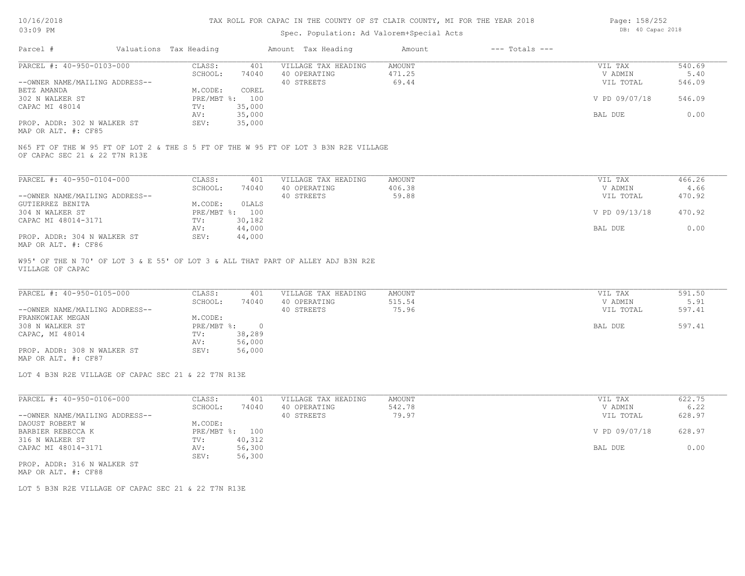#### Spec. Population: Ad Valorem+Special Acts

| Page: 158/252 |                   |  |
|---------------|-------------------|--|
|               | DB: 40 Capac 2018 |  |

| Parcel #                       | Valuations Tax Heading |                | Amount Tax Heading  | Amount | $---$ Totals $---$ |               |        |
|--------------------------------|------------------------|----------------|---------------------|--------|--------------------|---------------|--------|
| PARCEL #: 40-950-0103-000      | CLASS:                 | 401            | VILLAGE TAX HEADING | AMOUNT |                    | VIL TAX       | 540.69 |
|                                | SCHOOL:                | 74040          | 40 OPERATING        | 471.25 |                    | V ADMIN       | 5.40   |
| --OWNER NAME/MAILING ADDRESS-- |                        |                | 40 STREETS          | 69.44  |                    | VIL TOTAL     | 546.09 |
| BETZ AMANDA                    | M.CODE:                | COREL          |                     |        |                    |               |        |
| 302 N WALKER ST                |                        | PRE/MBT %: 100 |                     |        |                    | V PD 09/07/18 | 546.09 |
| CAPAC MI 48014                 | TV:                    | 35,000         |                     |        |                    |               |        |
|                                | AV:                    | 35,000         |                     |        |                    | BAL DUE       | 0.00   |
| PROP. ADDR: 302 N WALKER ST    | SEV:                   | 35,000         |                     |        |                    |               |        |
|                                |                        |                |                     |        |                    |               |        |

MAP OR ALT. #: CF85

OF CAPAC SEC 21 & 22 T7N R13E N65 FT OF THE W 95 FT OF LOT 2 & THE S 5 FT OF THE W 95 FT OF LOT 3 B3N R2E VILLAGE

| PARCEL #: 40-950-0104-000      | CLASS:       | 401    | VILLAGE TAX HEADING | AMOUNT | VIL TAX       | 466.26 |
|--------------------------------|--------------|--------|---------------------|--------|---------------|--------|
|                                | SCHOOL:      | 74040  | 40 OPERATING        | 406.38 | V ADMIN       | 4.66   |
| --OWNER NAME/MAILING ADDRESS-- |              |        | 40 STREETS          | 59.88  | VIL TOTAL     | 470.92 |
| GUTIERREZ BENITA               | M.CODE:      | OLALS  |                     |        |               |        |
| 304 N WALKER ST                | $PRE/MBT$ %: | 100    |                     |        | V PD 09/13/18 | 470.92 |
| CAPAC MI 48014-3171            | TV:          | 30,182 |                     |        |               |        |
|                                | AV:          | 44,000 |                     |        | BAL DUE       | 0.00   |
| PROP. ADDR: 304 N WALKER ST    | SEV:         | 44,000 |                     |        |               |        |
| MAP OR ALT. #: CF86            |              |        |                     |        |               |        |

W95' OF THE N 70' OF LOT 3 & E 55' OF LOT 3 & ALL THAT PART OF ALLEY ADJ B3N R2E

VILLAGE OF CAPAC

| PARCEL #: 40-950-0105-000      | CLASS:     | 401    | VILLAGE TAX HEADING | AMOUNT | VIL TAX   | 591.50 |
|--------------------------------|------------|--------|---------------------|--------|-----------|--------|
|                                | SCHOOL:    | 74040  | 40 OPERATING        | 515.54 | V ADMIN   | 5.91   |
| --OWNER NAME/MAILING ADDRESS-- |            |        | 40 STREETS          | 75.96  | VIL TOTAL | 597.41 |
| FRANKOWIAK MEGAN               | M.CODE:    |        |                     |        |           |        |
| 308 N WALKER ST                | PRE/MBT %: |        |                     |        | BAL DUE   | 597.41 |
| CAPAC, MI 48014                | TV:        | 38,289 |                     |        |           |        |
|                                | AV:        | 56,000 |                     |        |           |        |
| PROP. ADDR: 308 N WALKER ST    | SEV:       | 56,000 |                     |        |           |        |
|                                |            |        |                     |        |           |        |

MAP OR ALT. #: CF87

LOT 4 B3N R2E VILLAGE OF CAPAC SEC 21 & 22 T7N R13E

| PARCEL #: 40-950-0106-000      | CLASS:       | 401    | VILLAGE TAX HEADING | AMOUNT | 622.75<br>VIL TAX       |  |
|--------------------------------|--------------|--------|---------------------|--------|-------------------------|--|
|                                | SCHOOL:      | 74040  | 40 OPERATING        | 542.78 | 6.22<br>V ADMIN         |  |
| --OWNER NAME/MAILING ADDRESS-- |              |        | 40 STREETS          | 79.97  | 628.97<br>VIL TOTAL     |  |
| DAOUST ROBERT W                | M.CODE:      |        |                     |        |                         |  |
| BARBIER REBECCA K              | $PRE/MBT$ %: | 100    |                     |        | V PD 09/07/18<br>628.97 |  |
| 316 N WALKER ST                | TV:          | 40,312 |                     |        |                         |  |
| CAPAC MI 48014-3171            | AV:          | 56,300 |                     |        | 0.00<br>BAL DUE         |  |
|                                | SEV:         | 56,300 |                     |        |                         |  |
| PROP. ADDR: 316 N WALKER ST    |              |        |                     |        |                         |  |

MAP OR ALT. #: CF88

LOT 5 B3N R2E VILLAGE OF CAPAC SEC 21 & 22 T7N R13E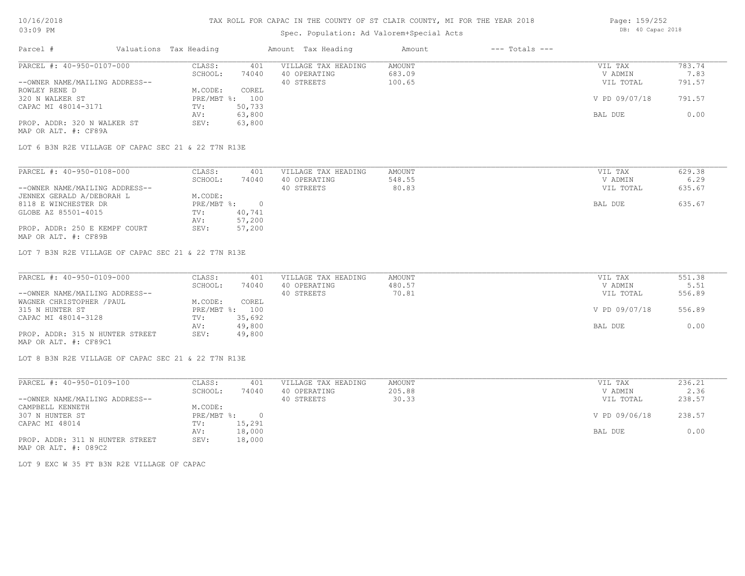### Spec. Population: Ad Valorem+Special Acts

| Parcel #                       | Valuations Tax Heading |        | Amount Tax Heading  | Amount | $---$ Totals $---$ |               |        |
|--------------------------------|------------------------|--------|---------------------|--------|--------------------|---------------|--------|
| PARCEL #: 40-950-0107-000      | CLASS:                 | 401    | VILLAGE TAX HEADING | AMOUNT |                    | VIL TAX       | 783.74 |
|                                | SCHOOL:                | 74040  | 40 OPERATING        | 683.09 |                    | V ADMIN       | 7.83   |
| --OWNER NAME/MAILING ADDRESS-- |                        |        | 40 STREETS          | 100.65 |                    | VIL TOTAL     | 791.57 |
| ROWLEY RENE D                  | M.CODE:                | COREL  |                     |        |                    |               |        |
| 320 N WALKER ST                | PRE/MBT %: 100         |        |                     |        |                    | V PD 09/07/18 | 791.57 |
| CAPAC MI 48014-3171            | TV:                    | 50,733 |                     |        |                    |               |        |
|                                | AV:                    | 63,800 |                     |        |                    | BAL DUE       | 0.00   |
| PROP. ADDR: 320 N WALKER ST    | SEV:                   | 63,800 |                     |        |                    |               |        |
|                                |                        |        |                     |        |                    |               |        |

MAP OR ALT. #: CF89A

LOT 6 B3N R2E VILLAGE OF CAPAC SEC 21 & 22 T7N R13E

| PARCEL #: 40-950-0108-000      | CLASS:     | 401    | VILLAGE TAX HEADING | AMOUNT | VIL TAX   | 629.38 |
|--------------------------------|------------|--------|---------------------|--------|-----------|--------|
|                                | SCHOOL:    | 74040  | 40 OPERATING        | 548.55 | V ADMIN   | 6.29   |
| --OWNER NAME/MAILING ADDRESS-- |            |        | 40 STREETS          | 80.83  | VIL TOTAL | 635.67 |
| JENNEX GERALD A/DEBORAH L      | M.CODE:    |        |                     |        |           |        |
| 8118 E WINCHESTER DR           | PRE/MBT %: |        |                     |        | BAL DUE   | 635.67 |
| GLOBE AZ 85501-4015            | TV:        | 40,741 |                     |        |           |        |
|                                | AV:        | 57,200 |                     |        |           |        |
| PROP. ADDR: 250 E KEMPF COURT  | SEV:       | 57,200 |                     |        |           |        |
| MAP OR ALT. #: CF89B           |            |        |                     |        |           |        |

LOT 7 B3N R2E VILLAGE OF CAPAC SEC 21 & 22 T7N R13E

| PARCEL #: 40-950-0109-000       | CLASS:  | 401            | VILLAGE TAX HEADING | AMOUNT | VIL TAX       | 551.38 |
|---------------------------------|---------|----------------|---------------------|--------|---------------|--------|
|                                 | SCHOOL: | 74040          | 40 OPERATING        | 480.57 | V ADMIN       | 5.51   |
| --OWNER NAME/MAILING ADDRESS--  |         |                | 40 STREETS          | 70.81  | VIL TOTAL     | 556.89 |
| WAGNER CHRISTOPHER / PAUL       | M.CODE: | COREL          |                     |        |               |        |
| 315 N HUNTER ST                 |         | PRE/MBT %: 100 |                     |        | V PD 09/07/18 | 556.89 |
| CAPAC MI 48014-3128             | TV:     | 35,692         |                     |        |               |        |
|                                 | AV:     | 49,800         |                     |        | BAL DUE       | 0.00   |
| PROP. ADDR: 315 N HUNTER STREET | SEV:    | 49,800         |                     |        |               |        |
| MAP OR ALT. #: CF89C1           |         |                |                     |        |               |        |

LOT 8 B3N R2E VILLAGE OF CAPAC SEC 21 & 22 T7N R13E

| PARCEL #: 40-950-0109-100       | CLASS:     | 401    | VILLAGE TAX HEADING | AMOUNT | VIL TAX       | 236.21 |  |
|---------------------------------|------------|--------|---------------------|--------|---------------|--------|--|
|                                 | SCHOOL:    | 74040  | 40 OPERATING        | 205.88 | V ADMIN       | 2.36   |  |
| --OWNER NAME/MAILING ADDRESS--  |            |        | 40 STREETS          | 30.33  | VIL TOTAL     | 238.57 |  |
| CAMPBELL KENNETH                | M.CODE:    |        |                     |        |               |        |  |
| 307 N HUNTER ST                 | PRE/MBT %: |        |                     |        | V PD 09/06/18 | 238.57 |  |
| CAPAC MI 48014                  | TV:        | 15,291 |                     |        |               |        |  |
|                                 | AV:        | 18,000 |                     |        | BAL DUE       | 0.00   |  |
| PROP. ADDR: 311 N HUNTER STREET | SEV:       | 18,000 |                     |        |               |        |  |

MAP OR ALT. #: 089C2

LOT 9 EXC W 35 FT B3N R2E VILLAGE OF CAPAC

Page: 159/252 DB: 40 Capac 2018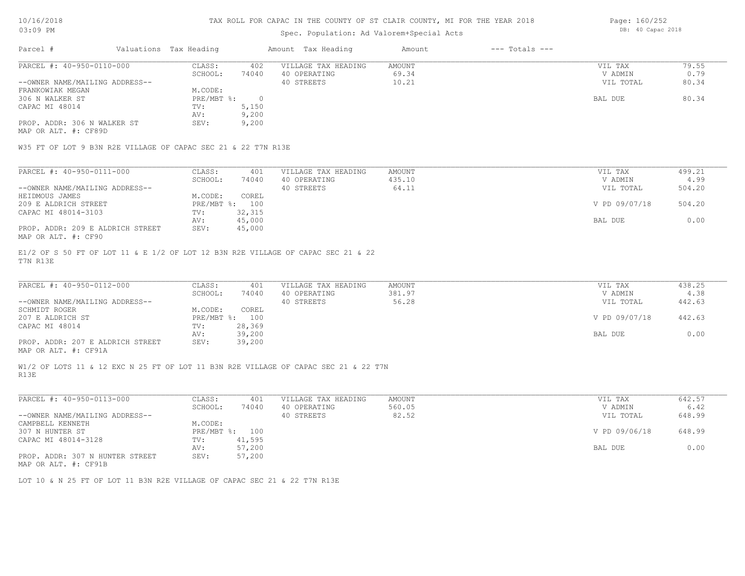# Spec. Population: Ad Valorem+Special Acts

|                                |         |                        |                     | Amount             | $---$ Totals $---$ |                                           |       |
|--------------------------------|---------|------------------------|---------------------|--------------------|--------------------|-------------------------------------------|-------|
| PARCEL #: 40-950-0110-000      | CLASS:  | 402                    | VILLAGE TAX HEADING | AMOUNT             |                    | VIL TAX                                   | 79.55 |
|                                | SCHOOL: | 74040                  | 40 OPERATING        | 69.34              |                    | V ADMIN                                   | 0.79  |
| --OWNER NAME/MAILING ADDRESS-- |         |                        | 40 STREETS          | 10.21              |                    | VIL TOTAL                                 | 80.34 |
|                                | M.CODE: |                        |                     |                    |                    |                                           |       |
|                                |         |                        |                     |                    |                    | BAL DUE                                   | 80.34 |
|                                |         | Valuations Tax Heading | PRE/MBT %:          | Amount Tax Heading |                    | spec. Population: Ad valorem+special Acts |       |

 $\_$  , and the state of the state of the state of the state of the state of the state of the state of the state of the state of the state of the state of the state of the state of the state of the state of the state of the

 $\_$  , and the state of the state of the state of the state of the state of the state of the state of the state of the state of the state of the state of the state of the state of the state of the state of the state of the

MAP OR ALT. #: CF89D PROP. ADDR: 306 N WALKER ST SEV: 9,200 AV: 9,200 CAPAC MI 48014 TV: 5,150<br>
AV: 9,200

W35 FT OF LOT 9 B3N R2E VILLAGE OF CAPAC SEC 21 & 22 T7N R13E

| PARCEL #: 40-950-0111-000        | CLASS:       | 401    | VILLAGE TAX HEADING | AMOUNT | VIL TAX       | 499.21 |
|----------------------------------|--------------|--------|---------------------|--------|---------------|--------|
|                                  | SCHOOL:      | 74040  | 40 OPERATING        | 435.10 | V ADMIN       | 4.99   |
| --OWNER NAME/MAILING ADDRESS--   |              |        | 40 STREETS          | 64.11  | VIL TOTAL     | 504.20 |
| HEIDMOUS JAMES                   | M.CODE:      | COREL  |                     |        |               |        |
| 209 E ALDRICH STREET             | $PRE/MBT$ %: | 100    |                     |        | V PD 09/07/18 | 504.20 |
| CAPAC MI 48014-3103              | TV:          | 32,315 |                     |        |               |        |
|                                  | AV:          | 45,000 |                     |        | BAL DUE       | 0.00   |
| PROP. ADDR: 209 E ALDRICH STREET | SEV:         | 45,000 |                     |        |               |        |
| MAP OR ALT. #: CF90              |              |        |                     |        |               |        |

T7N R13E E1/2 OF S 50 FT OF LOT 11 & E 1/2 OF LOT 12 B3N R2E VILLAGE OF CAPAC SEC 21 & 22

| PARCEL #: 40-950-0112-000        | CLASS:     | 401    | VILLAGE TAX HEADING | AMOUNT | VIL TAX       | 438.25 |
|----------------------------------|------------|--------|---------------------|--------|---------------|--------|
|                                  | SCHOOL:    | 74040  | 40 OPERATING        | 381.97 | V ADMIN       | 4.38   |
| --OWNER NAME/MAILING ADDRESS--   |            |        | 40 STREETS          | 56.28  | VIL TOTAL     | 442.63 |
| SCHMIDT ROGER                    | M.CODE:    | COREL  |                     |        |               |        |
| 207 E ALDRICH ST                 | PRE/MBT %: | 100    |                     |        | V PD 09/07/18 | 442.63 |
| CAPAC MI 48014                   | TV:        | 28,369 |                     |        |               |        |
|                                  | AV:        | 39,200 |                     |        | BAL DUE       | 0.00   |
| PROP. ADDR: 207 E ALDRICH STREET | SEV:       | 39,200 |                     |        |               |        |
|                                  |            |        |                     |        |               |        |

MAP OR ALT. #: CF91A

R13E W1/2 OF LOTS 11 & 12 EXC N 25 FT OF LOT 11 B3N R2E VILLAGE OF CAPAC SEC 21 & 22 T7N

| PARCEL #: 40-950-0113-000                             | CLASS:       | 401    | VILLAGE TAX HEADING | AMOUNT | VIL TAX       | 642.57 |  |
|-------------------------------------------------------|--------------|--------|---------------------|--------|---------------|--------|--|
|                                                       | SCHOOL:      | 74040  | 40 OPERATING        | 560.05 | V ADMIN       | 6.42   |  |
| --OWNER NAME/MAILING ADDRESS--                        |              |        | 40 STREETS          | 82.52  | VIL TOTAL     | 648.99 |  |
| CAMPBELL KENNETH                                      | M.CODE:      |        |                     |        |               |        |  |
| 307 N HUNTER ST                                       | $PRE/MBT$ %: | 100    |                     |        | V PD 09/06/18 | 648.99 |  |
| CAPAC MI 48014-3128                                   | TV:          | 41,595 |                     |        |               |        |  |
|                                                       | AV:          | 57,200 |                     |        | BAL DUE       | 0.00   |  |
| PROP. ADDR: 307 N HUNTER STREET                       | SEV:         | 57,200 |                     |        |               |        |  |
| $\cdots$ $\cdots$ $\cdots$ $\cdots$ $\cdots$ $\cdots$ |              |        |                     |        |               |        |  |

MAP OR ALT. #: CF91B

LOT 10 & N 25 FT OF LOT 11 B3N R2E VILLAGE OF CAPAC SEC 21 & 22 T7N R13E

Page: 160/252 DB: 40 Capac 2018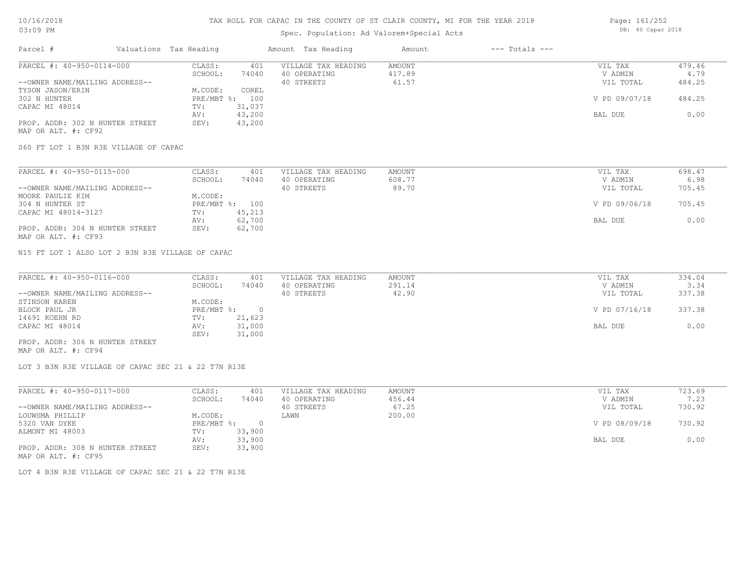### Spec. Population: Ad Valo

| orem+Special Acts |                    | DB: 40 Capac 2018 |  |
|-------------------|--------------------|-------------------|--|
| Amount            | $---$ Totals $---$ |                   |  |

| PARCEL #: 40-950-0114-000       | CLASS:  | 401            | VILLAGE TAX HEADING | AMOUNT | VIL TAX       | 479.46 |
|---------------------------------|---------|----------------|---------------------|--------|---------------|--------|
|                                 | SCHOOL: | 74040          | 40 OPERATING        | 417.89 | V ADMIN       | 4.79   |
| --OWNER NAME/MAILING ADDRESS--  |         |                | 40 STREETS          | 61.57  | VIL TOTAL     | 484.25 |
| TYSON JASON/ERIN                | M.CODE: | COREL          |                     |        |               |        |
| 302 N HUNTER                    |         | PRE/MBT %: 100 |                     |        | V PD 09/07/18 | 484.25 |
| CAPAC MI 48014                  | TV:     | 31,037         |                     |        |               |        |
|                                 | AV:     | 43,200         |                     |        | BAL DUE       | 0.00   |
| PROP. ADDR: 302 N HUNTER STREET | SEV:    | 43,200         |                     |        |               |        |
| MAP OR ALT. #: CF92             |         |                |                     |        |               |        |

S60 FT LOT 1 B3N R3E VILLAGE OF CAPAC

| PARCEL #: 40-950-0115-000       | CLASS:  | 401            | VILLAGE TAX HEADING | AMOUNT | VIL TAX       | 698.47 |
|---------------------------------|---------|----------------|---------------------|--------|---------------|--------|
|                                 | SCHOOL: | 74040          | 40 OPERATING        | 608.77 | V ADMIN       | 6.98   |
| --OWNER NAME/MAILING ADDRESS--  |         |                | 40 STREETS          | 89.70  | VIL TOTAL     | 705.45 |
| MOORE PAULIE KIM                | M.CODE: |                |                     |        |               |        |
| 304 N HUNTER ST                 |         | PRE/MBT %: 100 |                     |        | V PD 09/06/18 | 705.45 |
| CAPAC MI 48014-3127             | TV:     | 45,213         |                     |        |               |        |
|                                 | AV:     | 62,700         |                     |        | BAL DUE       | 0.00   |
| PROP. ADDR: 304 N HUNTER STREET | SEV:    | 62,700         |                     |        |               |        |
| MAP OR ALT. #: CF93             |         |                |                     |        |               |        |

N15 FT LOT 1 ALSO LOT 2 B3N R3E VILLAGE OF CAPAC

Parcel # Valuations Tax Heading --- Amount Tax Heading

| PARCEL #: 40-950-0116-000       | CLASS:     | 401    | VILLAGE TAX HEADING | AMOUNT | VIL TAX       | 334.04 |
|---------------------------------|------------|--------|---------------------|--------|---------------|--------|
|                                 | SCHOOL:    | 74040  | 40 OPERATING        | 291.14 | V ADMIN       | 3.34   |
| --OWNER NAME/MAILING ADDRESS--  |            |        | 40 STREETS          | 42.90  | VIL TOTAL     | 337.38 |
| STINSON KAREN                   | M.CODE:    |        |                     |        |               |        |
| BLOCK PAUL JR                   | PRE/MBT %: |        |                     |        | V PD 07/16/18 | 337.38 |
| 14691 KOEHN RD                  | TV:        | 21,623 |                     |        |               |        |
| CAPAC MI 48014                  | AV:        | 31,000 |                     |        | BAL DUE       | 0.00   |
|                                 | SEV:       | 31,000 |                     |        |               |        |
| PROP. ADDR: 306 N HUNTER STREET |            |        |                     |        |               |        |

MAP OR ALT. #: CF94

LOT 3 B3N R3E VILLAGE OF CAPAC SEC 21 & 22 T7N R13E

| PARCEL #: 40-950-0117-000       | CLASS:     | 401    | VILLAGE TAX HEADING | AMOUNT | VIL TAX       | 723.69 |
|---------------------------------|------------|--------|---------------------|--------|---------------|--------|
|                                 | SCHOOL:    | 74040  | 40 OPERATING        | 456.44 | V ADMIN       | 7.23   |
| --OWNER NAME/MAILING ADDRESS--  |            |        | 40 STREETS          | 67.25  | VIL TOTAL     | 730.92 |
| LOUWSMA PHILLIP                 | M.CODE:    |        | LAWN                | 200.00 |               |        |
| 5320 VAN DYKE                   | PRE/MBT %: |        |                     |        | V PD 08/09/18 | 730.92 |
| ALMONT MI 48003                 | TV:        | 33,900 |                     |        |               |        |
|                                 | AV:        | 33,900 |                     |        | BAL DUE       | 0.00   |
| PROP. ADDR: 308 N HUNTER STREET | SEV:       | 33,900 |                     |        |               |        |
| MAP OR ALT. #: CF95             |            |        |                     |        |               |        |

LOT 4 B3N R3E VILLAGE OF CAPAC SEC 21 & 22 T7N R13E

Page: 161/252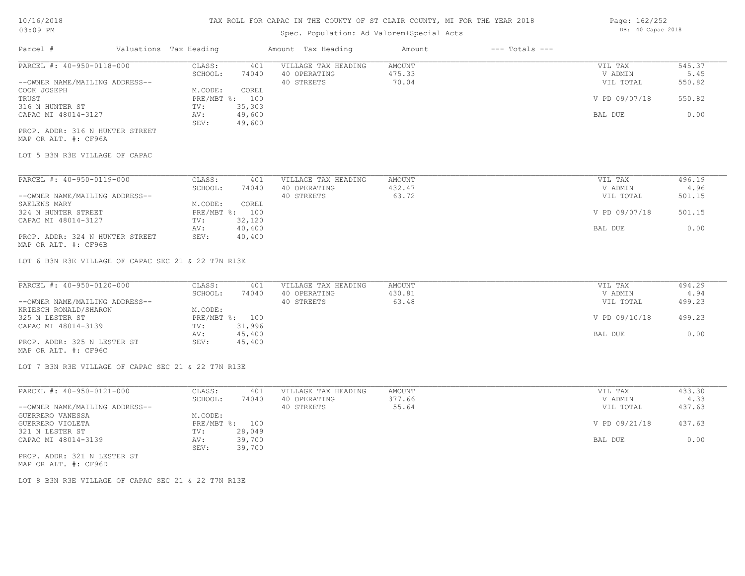### Spec. Population: Ad Valorem+Special Acts

| Parcel #                       | Valuations Tax Heading |        | Amount Tax Heading  | Amount | --- Totals --- |               |        |
|--------------------------------|------------------------|--------|---------------------|--------|----------------|---------------|--------|
| PARCEL #: 40-950-0118-000      | CLASS:                 | 401    | VILLAGE TAX HEADING | AMOUNT |                | VIL TAX       | 545.37 |
|                                | SCHOOL:                | 74040  | 40 OPERATING        | 475.33 |                | V ADMIN       | 5.45   |
| --OWNER NAME/MAILING ADDRESS-- |                        |        | 40 STREETS          | 70.04  |                | VIL TOTAL     | 550.82 |
| COOK JOSEPH                    | M.CODE:                | COREL  |                     |        |                |               |        |
| TRUST                          | PRE/MBT %: 100         |        |                     |        |                | V PD 09/07/18 | 550.82 |
| 316 N HUNTER ST                | TV:                    | 35,303 |                     |        |                |               |        |
| CAPAC MI 48014-3127            | AV:                    | 49,600 |                     |        |                | BAL DUE       | 0.00   |
|                                | SEV:                   | 49,600 |                     |        |                |               |        |
|                                |                        |        |                     |        |                |               |        |

MAP OR ALT. #: CF96A PROP. ADDR: 316 N HUNTER STREET

LOT 5 B3N R3E VILLAGE OF CAPAC

| PARCEL #: 40-950-0119-000       | CLASS:       | 401    | VILLAGE TAX HEADING | AMOUNT | VIL TAX       | 496.19 |
|---------------------------------|--------------|--------|---------------------|--------|---------------|--------|
|                                 | SCHOOL:      | 74040  | 40 OPERATING        | 432.47 | V ADMIN       | 4.96   |
| --OWNER NAME/MAILING ADDRESS--  |              |        | 40 STREETS          | 63.72  | VIL TOTAL     | 501.15 |
| SAELENS MARY                    | M.CODE:      | COREL  |                     |        |               |        |
| 324 N HUNTER STREET             | $PRE/MBT$ %: | 100    |                     |        | V PD 09/07/18 | 501.15 |
| CAPAC MI 48014-3127             | TV:          | 32,120 |                     |        |               |        |
|                                 | AV:          | 40,400 |                     |        | BAL DUE       | 0.00   |
| PROP. ADDR: 324 N HUNTER STREET | SEV:         | 40,400 |                     |        |               |        |

MAP OR ALT. #: CF96B

LOT 6 B3N R3E VILLAGE OF CAPAC SEC 21 & 22 T7N R13E

| PARCEL #: 40-950-0120-000      | CLASS:  | 401            | VILLAGE TAX HEADING | AMOUNT | VIL TAX       | 494.29 |
|--------------------------------|---------|----------------|---------------------|--------|---------------|--------|
|                                | SCHOOL: | 74040          | 40 OPERATING        | 430.81 | V ADMIN       | 4.94   |
| --OWNER NAME/MAILING ADDRESS-- |         |                | 40 STREETS          | 63.48  | VIL TOTAL     | 499.23 |
| KRIESCH RONALD/SHARON          | M.CODE: |                |                     |        |               |        |
| 325 N LESTER ST                |         | PRE/MBT %: 100 |                     |        | V PD 09/10/18 | 499.23 |
| CAPAC MI 48014-3139            | TV:     | 31,996         |                     |        |               |        |
|                                | AV:     | 45,400         |                     |        | BAL DUE       | 0.00   |
| PROP. ADDR: 325 N LESTER ST    | SEV:    | 45,400         |                     |        |               |        |
| MAP OR ALT. #: CF96C           |         |                |                     |        |               |        |

LOT 7 B3N R3E VILLAGE OF CAPAC SEC 21 & 22 T7N R13E

| PARCEL #: 40-950-0121-000      | CLASS:       | 401    | VILLAGE TAX HEADING | AMOUNT | VIL TAX       | 433.30 |
|--------------------------------|--------------|--------|---------------------|--------|---------------|--------|
|                                | SCHOOL:      | 74040  | 40 OPERATING        | 377.66 | V ADMIN       | 4.33   |
| --OWNER NAME/MAILING ADDRESS-- |              |        | 40 STREETS          | 55.64  | VIL TOTAL     | 437.63 |
| GUERRERO VANESSA               | M.CODE:      |        |                     |        |               |        |
| GUERRERO VIOLETA               | $PRE/MBT$ %: | 100    |                     |        | V PD 09/21/18 | 437.63 |
| 321 N LESTER ST                | TV:          | 28,049 |                     |        |               |        |
| CAPAC MI 48014-3139            | AV:          | 39,700 |                     |        | BAL DUE       | 0.00   |
|                                | SEV:         | 39,700 |                     |        |               |        |
| PROP. ADDR: 321 N LESTER ST    |              |        |                     |        |               |        |

MAP OR ALT. #: CF96D

LOT 8 B3N R3E VILLAGE OF CAPAC SEC 21 & 22 T7N R13E

Page: 162/252 DB: 40 Capac 2018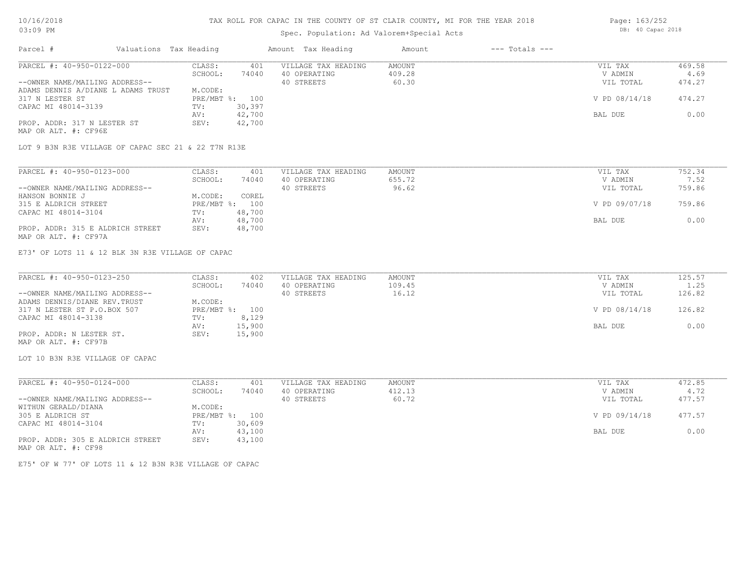### Spec. Population: Ad Valorem+Special Acts

| Parcel #                                            | Valuations Tax Heading |              |        | Amount Tax Heading  | Amount | $---$ Totals $---$ |               |        |
|-----------------------------------------------------|------------------------|--------------|--------|---------------------|--------|--------------------|---------------|--------|
| PARCEL #: 40-950-0122-000                           |                        | CLASS:       | 401    | VILLAGE TAX HEADING | AMOUNT |                    | VIL TAX       | 469.58 |
|                                                     |                        | SCHOOL:      | 74040  | 40 OPERATING        | 409.28 |                    | V ADMIN       | 4.69   |
| --OWNER NAME/MAILING ADDRESS--                      |                        |              |        | 40 STREETS          | 60.30  |                    | VIL TOTAL     | 474.27 |
| ADAMS DENNIS A/DIANE L ADAMS TRUST                  |                        | M.CODE:      |        |                     |        |                    |               |        |
| 317 N LESTER ST                                     |                        | $PRE/MBT$ %: | 100    |                     |        |                    | V PD 08/14/18 | 474.27 |
| CAPAC MI 48014-3139                                 |                        | TV:          | 30,397 |                     |        |                    |               |        |
|                                                     |                        | AV:          | 42,700 |                     |        |                    | BAL DUE       | 0.00   |
| PROP. ADDR: 317 N LESTER ST<br>MAP OR ALT. #: CF96E |                        | SEV:         | 42,700 |                     |        |                    |               |        |

LOT 9 B3N R3E VILLAGE OF CAPAC SEC 21 & 22 T7N R13E

| PARCEL #: 40-950-0123-000        | CLASS:  | 401            | VILLAGE TAX HEADING | AMOUNT | VIL TAX       | 752.34 |
|----------------------------------|---------|----------------|---------------------|--------|---------------|--------|
|                                  | SCHOOL: | 74040          | 40 OPERATING        | 655.72 | V ADMIN       | 7.52   |
| --OWNER NAME/MAILING ADDRESS--   |         |                | 40 STREETS          | 96.62  | VIL TOTAL     | 759.86 |
| HANSON BONNIE J                  | M.CODE: | COREL          |                     |        |               |        |
| 315 E ALDRICH STREET             |         | PRE/MBT %: 100 |                     |        | V PD 09/07/18 | 759.86 |
| CAPAC MI 48014-3104              | TV:     | 48,700         |                     |        |               |        |
|                                  | AV:     | 48,700         |                     |        | BAL DUE       | 0.00   |
| PROP. ADDR: 315 E ALDRICH STREET | SEV:    | 48,700         |                     |        |               |        |
| MAP OR ALT. #: CF97A             |         |                |                     |        |               |        |

E73' OF LOTS 11 & 12 BLK 3N R3E VILLAGE OF CAPAC

| PARCEL #: 40-950-0123-250      | CLASS:         | 402    | VILLAGE TAX HEADING | AMOUNT | VIL TAX       | 125.57 |
|--------------------------------|----------------|--------|---------------------|--------|---------------|--------|
|                                | SCHOOL:        | 74040  | 40 OPERATING        | 109.45 | V ADMIN       | 1.25   |
| --OWNER NAME/MAILING ADDRESS-- |                |        | 40 STREETS          | 16.12  | VIL TOTAL     | 126.82 |
| ADAMS DENNIS/DIANE REV. TRUST  | M.CODE:        |        |                     |        |               |        |
| 317 N LESTER ST P.O.BOX 507    | PRE/MBT %: 100 |        |                     |        | V PD 08/14/18 | 126.82 |
| CAPAC MI 48014-3138            | TV:            | 8,129  |                     |        |               |        |
|                                | AV:            | 15,900 |                     |        | BAL DUE       | 0.00   |
| PROP. ADDR: N LESTER ST.       | SEV:           | 15,900 |                     |        |               |        |
| MAP OR ALT. #: CF97B           |                |        |                     |        |               |        |

LOT 10 B3N R3E VILLAGE OF CAPAC

| PARCEL #: 40-950-0124-000        | CLASS:       | 401    | VILLAGE TAX HEADING | AMOUNT | VIL TAX       | 472.85 |
|----------------------------------|--------------|--------|---------------------|--------|---------------|--------|
|                                  | SCHOOL:      | 74040  | 40 OPERATING        | 412.13 | V ADMIN       | 4.72   |
| --OWNER NAME/MAILING ADDRESS--   |              |        | 40 STREETS          | 60.72  | VIL TOTAL     | 477.57 |
| WITHUN GERALD/DIANA              | M.CODE:      |        |                     |        |               |        |
| 305 E ALDRICH ST                 | $PRE/MBT$ %: | 100    |                     |        | V PD 09/14/18 | 477.57 |
| CAPAC MI 48014-3104              | TV:          | 30,609 |                     |        |               |        |
|                                  | AV:          | 43,100 |                     |        | BAL DUE       | 0.00   |
| PROP. ADDR: 305 E ALDRICH STREET | SEV:         | 43,100 |                     |        |               |        |
| MAP OR ALT. #: CF98              |              |        |                     |        |               |        |

E75' OF W 77' OF LOTS 11 & 12 B3N R3E VILLAGE OF CAPAC

Page: 163/252 DB: 40 Capac 2018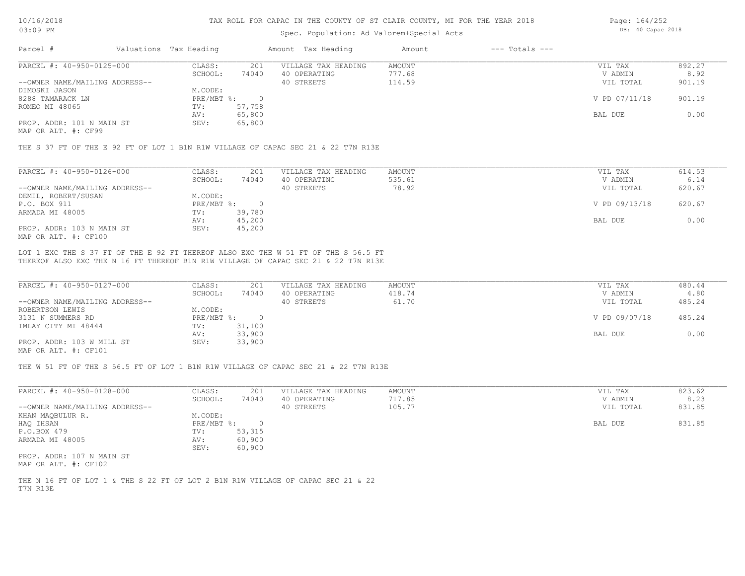#### Spec. Population: Ad Valorem+Special Acts

Page: 164/252 DB: 40 Capac 2018

| Parcel #                       | Valuations Tax Heading |        | Amount Tax Heading  | Amount | $---$ Totals $---$ |               |        |
|--------------------------------|------------------------|--------|---------------------|--------|--------------------|---------------|--------|
| PARCEL #: 40-950-0125-000      | CLASS:                 | 201    | VILLAGE TAX HEADING | AMOUNT |                    | VIL TAX       | 892.27 |
|                                | SCHOOL:                | 74040  | 40 OPERATING        | 777.68 |                    | V ADMIN       | 8.92   |
| --OWNER NAME/MAILING ADDRESS-- |                        |        | 40 STREETS          | 114.59 |                    | VIL TOTAL     | 901.19 |
| DIMOSKI JASON                  | M.CODE:                |        |                     |        |                    |               |        |
| 8288 TAMARACK LN               | PRE/MBT %:             |        |                     |        |                    | V PD 07/11/18 | 901.19 |
| ROMEO MI 48065                 | TV:                    | 57,758 |                     |        |                    |               |        |
|                                | AV:                    | 65,800 |                     |        |                    | BAL DUE       | 0.00   |
| PROP. ADDR: 101 N MAIN ST      | SEV:                   | 65,800 |                     |        |                    |               |        |
|                                |                        |        |                     |        |                    |               |        |

MAP OR ALT. #: CF99

THE S 37 FT OF THE E 92 FT OF LOT 1 B1N R1W VILLAGE OF CAPAC SEC 21 & 22 T7N R13E

| PARCEL #: 40-950-0126-000      | CLASS:     | 201    | VILLAGE TAX HEADING | AMOUNT | VIL TAX       | 614.53 |
|--------------------------------|------------|--------|---------------------|--------|---------------|--------|
|                                | SCHOOL:    | 74040  | 40 OPERATING        | 535.61 | V ADMIN       | 6.14   |
| --OWNER NAME/MAILING ADDRESS-- |            |        | 40 STREETS          | 78.92  | VIL TOTAL     | 620.67 |
| DEMIL, ROBERT/SUSAN            | M.CODE:    |        |                     |        |               |        |
| P.O. BOX 911                   | PRE/MBT %: |        |                     |        | V PD 09/13/18 | 620.67 |
| ARMADA MI 48005                | TV:        | 39,780 |                     |        |               |        |
|                                | AV:        | 45,200 |                     |        | BAL DUE       | 0.00   |
| PROP. ADDR: 103 N MAIN ST      | SEV:       | 45,200 |                     |        |               |        |
| MAP OR ALT. #: CF100           |            |        |                     |        |               |        |

THEREOF ALSO EXC THE N 16 FT THEREOF B1N R1W VILLAGE OF CAPAC SEC 21 & 22 T7N R13E LOT 1 EXC THE S 37 FT OF THE E 92 FT THEREOF ALSO EXC THE W 51 FT OF THE S 56.5 FT

| PARCEL #: 40-950-0127-000      | CLASS:     | 201    | VILLAGE TAX HEADING | AMOUNT | VIL TAX       | 480.44 |
|--------------------------------|------------|--------|---------------------|--------|---------------|--------|
|                                | SCHOOL:    | 74040  | 40 OPERATING        | 418.74 | V ADMIN       | 4.80   |
| --OWNER NAME/MAILING ADDRESS-- |            |        | 40 STREETS          | 61.70  | VIL TOTAL     | 485.24 |
| ROBERTSON LEWIS                | M.CODE:    |        |                     |        |               |        |
| 3131 N SUMMERS RD              | PRE/MBT %: |        |                     |        | V PD 09/07/18 | 485.24 |
| IMLAY CITY MI 48444            | TV:        | 31,100 |                     |        |               |        |
|                                | AV:        | 33,900 |                     |        | BAL DUE       | 0.00   |
| PROP. ADDR: 103 W MILL ST      | SEV:       | 33,900 |                     |        |               |        |
| $\frac{1}{2}$                  |            |        |                     |        |               |        |

MAP OR ALT. #: CF101

THE W 51 FT OF THE S 56.5 FT OF LOT 1 B1N R1W VILLAGE OF CAPAC SEC 21 & 22 T7N R13E

| PARCEL #: 40-950-0128-000      | CLASS:     | 201    | VILLAGE TAX HEADING | AMOUNT | VIL TAX   | 823.62 |
|--------------------------------|------------|--------|---------------------|--------|-----------|--------|
|                                | SCHOOL:    | 74040  | 40 OPERATING        | 717.85 | V ADMIN   | 8.23   |
| --OWNER NAME/MAILING ADDRESS-- |            |        | 40 STREETS          | 105.77 | VIL TOTAL | 831.85 |
| KHAN MAOBULUR R.               | M.CODE:    |        |                     |        |           |        |
| HAQ IHSAN                      | PRE/MBT %: |        |                     |        | BAL DUE   | 831.85 |
| P.O.BOX 479                    | TV:        | 53,315 |                     |        |           |        |
| ARMADA MI 48005                | AV:        | 60,900 |                     |        |           |        |
|                                | SEV:       | 60,900 |                     |        |           |        |
| PROP. ADDR: 107 N MAIN ST      |            |        |                     |        |           |        |

MAP OR ALT. #: CF102

T7N R13E THE N 16 FT OF LOT 1 & THE S 22 FT OF LOT 2 B1N R1W VILLAGE OF CAPAC SEC 21 & 22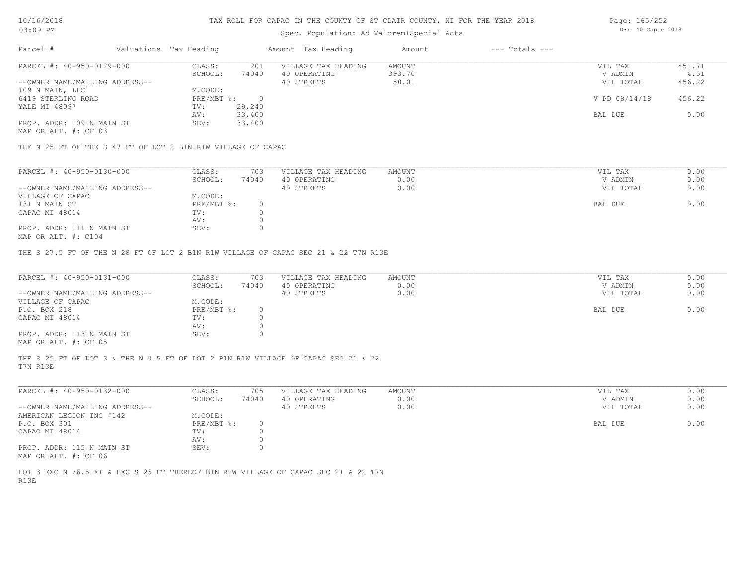### Spec. Population: Ad Valorem+Special Acts

| Parcel #                       | Valuations Tax Heading |        | Amount Tax Heading  | Amount | $---$ Totals $---$ |               |        |
|--------------------------------|------------------------|--------|---------------------|--------|--------------------|---------------|--------|
| PARCEL #: 40-950-0129-000      | CLASS:                 | 201    | VILLAGE TAX HEADING | AMOUNT |                    | VIL TAX       | 451.71 |
|                                | SCHOOL:                | 74040  | 40 OPERATING        | 393.70 |                    | V ADMIN       | 4.51   |
| --OWNER NAME/MAILING ADDRESS-- |                        |        | 40 STREETS          | 58.01  |                    | VIL TOTAL     | 456.22 |
| 109 N MAIN, LLC                | M.CODE:                |        |                     |        |                    |               |        |
| 6419 STERLING ROAD             | $PRE/MBT$ %:           |        |                     |        |                    | V PD 08/14/18 | 456.22 |
| YALE MI 48097                  | TV:                    | 29,240 |                     |        |                    |               |        |
|                                | AV:                    | 33,400 |                     |        |                    | BAL DUE       | 0.00   |
| PROP. ADDR: 109 N MAIN ST      | SEV:                   | 33,400 |                     |        |                    |               |        |
|                                |                        |        |                     |        |                    |               |        |

MAP OR ALT. #: CF103

THE N 25 FT OF THE S 47 FT OF LOT 2 B1N R1W VILLAGE OF CAPAC

| PARCEL #: 40-950-0130-000      | CLASS:     | 703   | VILLAGE TAX HEADING | AMOUNT | VIL TAX   | 0.00 |
|--------------------------------|------------|-------|---------------------|--------|-----------|------|
|                                | SCHOOL:    | 74040 | 40 OPERATING        | 0.00   | V ADMIN   | 0.00 |
| --OWNER NAME/MAILING ADDRESS-- |            |       | 40 STREETS          | 0.00   | VIL TOTAL | 0.00 |
| VILLAGE OF CAPAC               | M.CODE:    |       |                     |        |           |      |
| 131 N MAIN ST                  | PRE/MBT %: |       |                     |        | BAL DUE   | 0.00 |
| CAPAC MI 48014                 | TV:        |       |                     |        |           |      |
|                                | AV:        |       |                     |        |           |      |
| PROP. ADDR: 111 N MAIN ST      | SEV:       |       |                     |        |           |      |
|                                |            |       |                     |        |           |      |

MAP OR ALT. #: C104

THE S 27.5 FT OF THE N 28 FT OF LOT 2 B1N R1W VILLAGE OF CAPAC SEC 21 & 22 T7N R13E

| PARCEL #: 40-950-0131-000      | CLASS:       | 703   | VILLAGE TAX HEADING | AMOUNT | VIL TAX   | 0.00 |
|--------------------------------|--------------|-------|---------------------|--------|-----------|------|
|                                | SCHOOL:      | 74040 | 40 OPERATING        | 0.00   | V ADMIN   | 0.00 |
| --OWNER NAME/MAILING ADDRESS-- |              |       | 40 STREETS          | 0.00   | VIL TOTAL | 0.00 |
| VILLAGE OF CAPAC               | M.CODE:      |       |                     |        |           |      |
| P.O. BOX 218                   | $PRE/MBT$ %: |       |                     |        | BAL DUE   | 0.00 |
| CAPAC MI 48014                 | TV:          |       |                     |        |           |      |
|                                | AV:          |       |                     |        |           |      |
| PROP. ADDR: 113 N MAIN ST      | SEV:         |       |                     |        |           |      |
| MAP OR ALT. #: CF105           |              |       |                     |        |           |      |

T7N R13E THE S 25 FT OF LOT 3 & THE N 0.5 FT OF LOT 2 B1N R1W VILLAGE OF CAPAC SEC 21 & 22

| PARCEL #: 40-950-0132-000      | CLASS:       | 705   | VILLAGE TAX HEADING | AMOUNT | VIL TAX   | 0.00 |
|--------------------------------|--------------|-------|---------------------|--------|-----------|------|
|                                | SCHOOL:      | 74040 | 40 OPERATING        | 0.00   | V ADMIN   | 0.00 |
| --OWNER NAME/MAILING ADDRESS-- |              |       | 40 STREETS          | 0.00   | VIL TOTAL | 0.00 |
| AMERICAN LEGION INC #142       | M.CODE:      |       |                     |        |           |      |
| P.O. BOX 301                   | $PRE/MBT$ %: |       |                     |        | BAL DUE   | 0.00 |
| CAPAC MI 48014                 | TV:          |       |                     |        |           |      |
|                                | AV:          |       |                     |        |           |      |
| PROP. ADDR: 115 N MAIN ST      | SEV:         |       |                     |        |           |      |
| MAP OR ALT. #: CF106           |              |       |                     |        |           |      |

R13E LOT 3 EXC N 26.5 FT & EXC S 25 FT THEREOF B1N R1W VILLAGE OF CAPAC SEC 21 & 22 T7N Page: 165/252 DB: 40 Capac 2018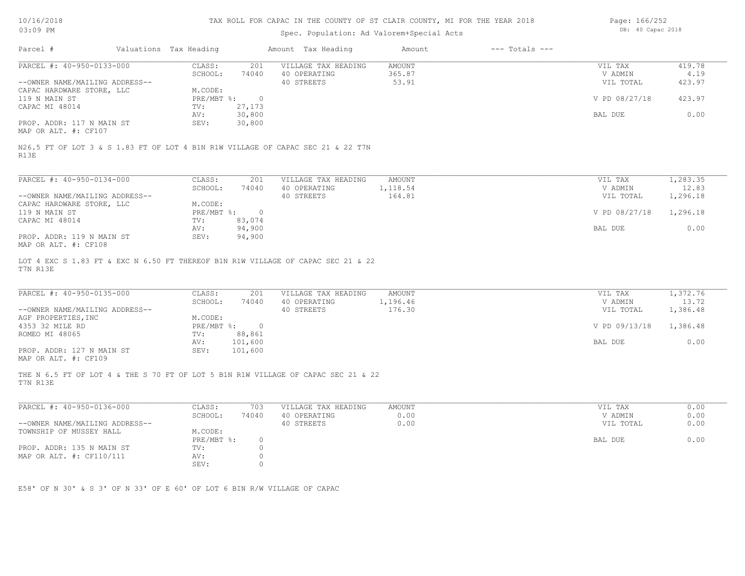| 10/16/2018  |  |
|-------------|--|
| $0.3:09$ PM |  |

## Spec. Population: Ad Valorem+Special Acts

Page: 166/252 DB: 40 Capac 2018

| PARCEL #: 40-950-0133-000                                                                                                                          | CLASS:<br>201<br>SCHOOL:<br>74040 | VILLAGE TAX HEADING<br>40 OPERATING | AMOUNT<br>365.87 | VIL TAX<br>V ADMIN | 419.78<br>4.19 |
|----------------------------------------------------------------------------------------------------------------------------------------------------|-----------------------------------|-------------------------------------|------------------|--------------------|----------------|
| --OWNER NAME/MAILING ADDRESS--                                                                                                                     |                                   | 40 STREETS                          | 53.91            | VIL TOTAL          | 423.97         |
| CAPAC HARDWARE STORE, LLC                                                                                                                          | M.CODE:                           |                                     |                  |                    |                |
| 119 N MAIN ST                                                                                                                                      | $PRE/MBT$ %:<br>$\circ$           |                                     |                  | V PD 08/27/18      | 423.97         |
| CAPAC MI 48014                                                                                                                                     | 27,173<br>TV:                     |                                     |                  |                    |                |
|                                                                                                                                                    | 30,800<br>AV:                     |                                     |                  | BAL DUE            | 0.00           |
| PROP. ADDR: 117 N MAIN ST                                                                                                                          | SEV:<br>30,800                    |                                     |                  |                    |                |
| MAP OR ALT. #: CF107                                                                                                                               |                                   |                                     |                  |                    |                |
| N26.5 FT OF LOT 3 & S 1.83 FT OF LOT 4 B1N R1W VILLAGE OF CAPAC SEC 21 & 22 T7N<br>R13E                                                            |                                   |                                     |                  |                    |                |
| PARCEL #: 40-950-0134-000                                                                                                                          | CLASS:<br>201                     | VILLAGE TAX HEADING                 | AMOUNT           | VIL TAX            | 1,283.35       |
|                                                                                                                                                    | SCHOOL:<br>74040                  | 40 OPERATING                        | 1,118.54         | V ADMIN            | 12.83          |
| --OWNER NAME/MAILING ADDRESS--                                                                                                                     |                                   | 40 STREETS                          | 164.81           | VIL TOTAL          | 1,296.18       |
| CAPAC HARDWARE STORE, LLC                                                                                                                          | M.CODE:                           |                                     |                  |                    |                |
| 119 N MAIN ST                                                                                                                                      | PRE/MBT %: 0                      |                                     |                  | V PD 08/27/18      | 1,296.18       |
| CAPAC MI 48014                                                                                                                                     | TV:<br>83,074                     |                                     |                  |                    |                |
|                                                                                                                                                    | 94,900<br>AV:                     |                                     |                  | BAL DUE            | 0.00           |
|                                                                                                                                                    |                                   |                                     |                  |                    |                |
| PROP. ADDR: 119 N MAIN ST<br>MAP OR ALT. #: CF108<br>LOT 4 EXC S 1.83 FT & EXC N 6.50 FT THEREOF B1N R1W VILLAGE OF CAPAC SEC 21 & 22<br>T7N R13E  | SEV:<br>94,900                    |                                     |                  |                    |                |
| PARCEL #: 40-950-0135-000                                                                                                                          | CLASS:<br>201                     | VILLAGE TAX HEADING                 | AMOUNT           | VIL TAX            | 1,372.76       |
|                                                                                                                                                    | SCHOOL:<br>74040                  | 40 OPERATING                        | 1,196.46         | V ADMIN            | 13.72          |
|                                                                                                                                                    |                                   | 40 STREETS                          | 176.30           | VIL TOTAL          | 1,386.48       |
|                                                                                                                                                    | M.CODE:                           |                                     |                  |                    |                |
|                                                                                                                                                    | PRE/MBT %:<br>$\overline{0}$      |                                     |                  | V PD 09/13/18      | 1,386.48       |
| --OWNER NAME/MAILING ADDRESS--<br>AGF PROPERTIES, INC<br>4353 32 MILE RD<br>ROMEO MI 48065                                                         | TV:<br>88,861                     |                                     |                  |                    |                |
|                                                                                                                                                    | AV:<br>101,600                    |                                     |                  | BAL DUE            | 0.00           |
|                                                                                                                                                    | SEV:<br>101,600                   |                                     |                  |                    |                |
| PROP. ADDR: 127 N MAIN ST<br>MAP OR ALT. #: CF109<br>THE N 6.5 FT OF LOT 4 & THE S 70 FT OF LOT 5 B1N R1W VILLAGE OF CAPAC SEC 21 & 22<br>T7N R13E |                                   |                                     |                  |                    |                |
|                                                                                                                                                    |                                   |                                     |                  |                    |                |
|                                                                                                                                                    | CLASS:<br>703                     | VILLAGE TAX HEADING                 | AMOUNT           | VIL TAX            | 0.00           |
|                                                                                                                                                    | SCHOOL:<br>74040                  | 40 OPERATING                        | 0.00             | V ADMIN            | 0.00           |
|                                                                                                                                                    |                                   | 40 STREETS                          | 0.00             | VIL TOTAL          | 0.00           |
|                                                                                                                                                    | M.CODE:                           |                                     |                  |                    |                |
| PARCEL #: 40-950-0136-000<br>--OWNER NAME/MAILING ADDRESS--<br>TOWNSHIP OF MUSSEY HALL                                                             | PRE/MBT %:<br>$\circ$<br>$\Omega$ |                                     |                  | BAL DUE            | 0.00           |
| PROP. ADDR: 135 N MAIN ST<br>MAP OR ALT. #: CF110/111                                                                                              | TV:<br>$\circ$<br>AV:             |                                     |                  |                    |                |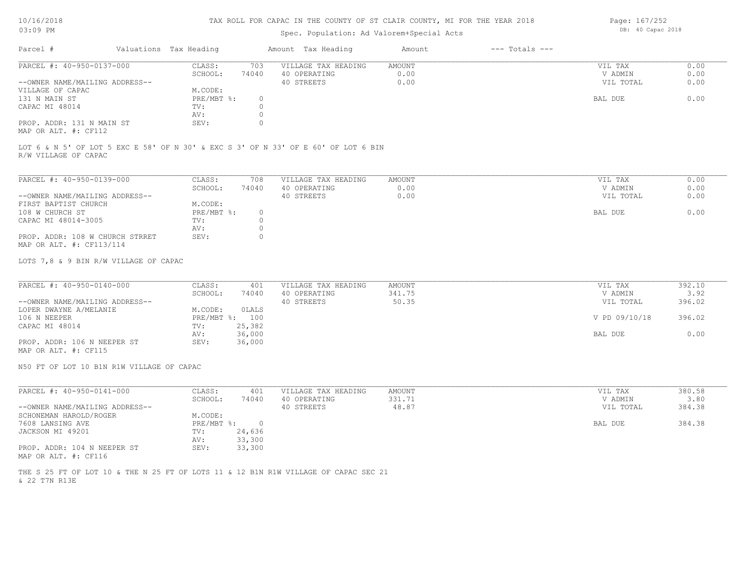### Spec. Population: Ad Valorem+Special Acts

| Parcel #                                                                           |        | Valuations Tax Heading |                     | Amount Tax Heading | Amount | $---$ Totals $---$ |           |      |
|------------------------------------------------------------------------------------|--------|------------------------|---------------------|--------------------|--------|--------------------|-----------|------|
| PARCEL #: 40-950-0137-000                                                          | CLASS: | 703                    | VILLAGE TAX HEADING | AMOUNT             |        | VIL TAX            | 0.00      |      |
|                                                                                    |        | SCHOOL:                | 74040               | 40 OPERATING       | 0.00   |                    | V ADMIN   | 0.00 |
| --OWNER NAME/MAILING ADDRESS--                                                     |        |                        |                     | 40 STREETS         | 0.00   |                    | VIL TOTAL | 0.00 |
| VILLAGE OF CAPAC                                                                   |        | M.CODE:                |                     |                    |        |                    |           |      |
| 131 N MAIN ST                                                                      |        | PRE/MBT %:             |                     |                    |        |                    | BAL DUE   | 0.00 |
| CAPAC MI 48014                                                                     |        | TV:                    |                     |                    |        |                    |           |      |
|                                                                                    |        | AV:                    |                     |                    |        |                    |           |      |
| PROP. ADDR: 131 N MAIN ST<br>$\cdots$ $\cdots$ $\cdots$ $\cdots$ $\cdots$ $\cdots$ |        | SEV:                   |                     |                    |        |                    |           |      |

MAP OR ALT. #: CF112

R/W VILLAGE OF CAPAC LOT 6 & N 5' OF LOT 5 EXC E 58' OF N 30' & EXC S 3' OF N 33' OF E 60' OF LOT 6 BIN

| PARCEL #: 40-950-0139-000       | CLASS:     | 708   | VILLAGE TAX HEADING | AMOUNT | VIL TAX | 0.00              |
|---------------------------------|------------|-------|---------------------|--------|---------|-------------------|
|                                 | SCHOOL:    | 74040 | 40 OPERATING        | 0.00   |         | 0.00<br>V ADMIN   |
| --OWNER NAME/MAILING ADDRESS--  |            |       | 40 STREETS          | 0.00   |         | 0.00<br>VIL TOTAL |
| FIRST BAPTIST CHURCH            | M.CODE:    |       |                     |        |         |                   |
| 108 W CHURCH ST                 | PRE/MBT %: |       |                     |        | BAL DUE | 0.00              |
| CAPAC MI 48014-3005             | TV:        |       |                     |        |         |                   |
|                                 | AV:        |       |                     |        |         |                   |
| PROP. ADDR: 108 W CHURCH STRRET | SEV:       |       |                     |        |         |                   |
| MAP OR ALT. #: CF113/114        |            |       |                     |        |         |                   |

LOTS 7,8 & 9 BIN R/W VILLAGE OF CAPAC

| PARCEL #: 40-950-0140-000      | CLASS:  | 401            | VILLAGE TAX HEADING | AMOUNT | VIL TAX       | 392.10 |
|--------------------------------|---------|----------------|---------------------|--------|---------------|--------|
|                                | SCHOOL: | 74040          | 40 OPERATING        | 341.75 | V ADMIN       | 3.92   |
| --OWNER NAME/MAILING ADDRESS-- |         |                | 40 STREETS          | 50.35  | VIL TOTAL     | 396.02 |
| LOPER DWAYNE A/MELANIE         | M.CODE: | OLALS          |                     |        |               |        |
| 106 N NEEPER                   |         | PRE/MBT %: 100 |                     |        | V PD 09/10/18 | 396.02 |
| CAPAC MI 48014                 | TV:     | 25,382         |                     |        |               |        |
|                                | AV:     | 36,000         |                     |        | BAL DUE       | 0.00   |
| PROP. ADDR: 106 N NEEPER ST    | SEV:    | 36,000         |                     |        |               |        |
|                                |         |                |                     |        |               |        |

MAP OR ALT. #: CF115

N50 FT OF LOT 10 B1N R1W VILLAGE OF CAPAC

| PARCEL #: 40-950-0141-000      | CLASS:       | 401    | VILLAGE TAX HEADING | AMOUNT | VIL TAX   | 380.58 |
|--------------------------------|--------------|--------|---------------------|--------|-----------|--------|
|                                | SCHOOL:      | 74040  | 40 OPERATING        | 331.71 | V ADMIN   | 3.80   |
| --OWNER NAME/MAILING ADDRESS-- |              |        | 40 STREETS          | 48.87  | VIL TOTAL | 384.38 |
| SCHONEMAN HAROLD/ROGER         | M.CODE:      |        |                     |        |           |        |
| 7608 LANSING AVE               | $PRE/MBT$ %: |        |                     |        | BAL DUE   | 384.38 |
| JACKSON MI 49201               | TV:          | 24,636 |                     |        |           |        |
|                                | AV:          | 33,300 |                     |        |           |        |
| PROP. ADDR: 104 N NEEPER ST    | SEV:         | 33,300 |                     |        |           |        |
| MAP OR ALT. #: CF116           |              |        |                     |        |           |        |

& 22 T7N R13E THE S 25 FT OF LOT 10 & THE N 25 FT OF LOTS 11 & 12 B1N R1W VILLAGE OF CAPAC SEC 21 Page: 167/252 DB: 40 Capac 2018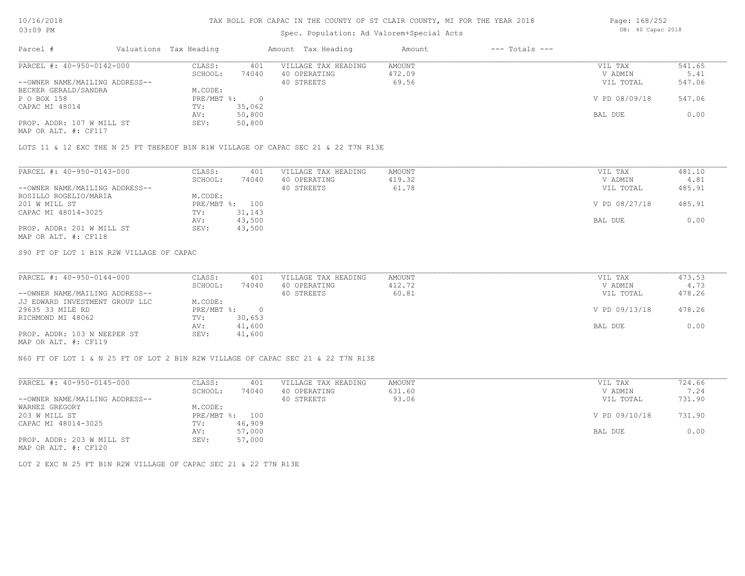### Spec. Population: Ad Valorem+Special Acts

Page: 168/252 DB: 40 Capac 2018

| Parcel #                       | Valuations Tax Heading |        | Amount Tax Heading  | Amount | $---$ Totals $---$ |               |        |
|--------------------------------|------------------------|--------|---------------------|--------|--------------------|---------------|--------|
| PARCEL #: 40-950-0142-000      | CLASS:                 | 401    | VILLAGE TAX HEADING | AMOUNT |                    | VIL TAX       | 541.65 |
|                                | SCHOOL:                | 74040  | 40 OPERATING        | 472.09 |                    | V ADMIN       | 5.41   |
| --OWNER NAME/MAILING ADDRESS-- |                        |        | 40 STREETS          | 69.56  |                    | VIL TOTAL     | 547.06 |
| BECKER GERALD/SANDRA           | M.CODE:                |        |                     |        |                    |               |        |
| P O BOX 158                    | $PRE/MBT$ %:           |        |                     |        |                    | V PD 08/09/18 | 547.06 |
| CAPAC MI 48014                 | TV:                    | 35,062 |                     |        |                    |               |        |
|                                | AV:                    | 50,800 |                     |        |                    | BAL DUE       | 0.00   |
| PROP. ADDR: 107 W MILL ST      | SEV:                   | 50,800 |                     |        |                    |               |        |
| MAP OR ALT. #: CF117           |                        |        |                     |        |                    |               |        |

LOTS 11 & 12 EXC THE N 25 FT THEREOF B1N R1W VILLAGE OF CAPAC SEC 21 & 22 T7N R13E

| PARCEL #: 40-950-0143-000      | CLASS:     | 401    | VILLAGE TAX HEADING | AMOUNT | VIL TAX       | 481.10 |
|--------------------------------|------------|--------|---------------------|--------|---------------|--------|
|                                | SCHOOL:    | 74040  | 40 OPERATING        | 419.32 | V ADMIN       | 4.81   |
| --OWNER NAME/MAILING ADDRESS-- |            |        | 40 STREETS          | 61.78  | VIL TOTAL     | 485.91 |
| ROSILLO ROGELIO/MARIA          | M.CODE:    |        |                     |        |               |        |
| 201 W MILL ST                  | PRE/MBT %: | 100    |                     |        | V PD 08/27/18 | 485.91 |
| CAPAC MI 48014-3025            | TV:        | 31,143 |                     |        |               |        |
|                                | AV:        | 43,500 |                     |        | BAL DUE       | 0.00   |
| PROP. ADDR: 201 W MILL ST      | SEV:       | 43,500 |                     |        |               |        |
| MAP OR ALT. #: CF118           |            |        |                     |        |               |        |

S90 FT OF LOT 1 B1N R2W VILLAGE OF CAPAC

| PARCEL #: 40-950-0144-000      | CLASS:     | 401    | VILLAGE TAX HEADING | AMOUNT | VIL TAX       | 473.53 |
|--------------------------------|------------|--------|---------------------|--------|---------------|--------|
|                                | SCHOOL:    | 74040  | 40 OPERATING        | 412.72 | V ADMIN       | 4.73   |
| --OWNER NAME/MAILING ADDRESS-- |            |        | 40 STREETS          | 60.81  | VIL TOTAL     | 478.26 |
| JJ EDWARD INVESTMENT GROUP LLC | M.CODE:    |        |                     |        |               |        |
| 29635 33 MILE RD               | PRE/MBT %: |        |                     |        | V PD 09/13/18 | 478.26 |
| RICHMOND MI 48062              | TV:        | 30,653 |                     |        |               |        |
|                                | AV:        | 41,600 |                     |        | BAL DUE       | 0.00   |
| PROP. ADDR: 103 N NEEPER ST    | SEV:       | 41,600 |                     |        |               |        |
| $\frac{1}{2}$                  |            |        |                     |        |               |        |

MAP OR ALT. #: CF119

N60 FT OF LOT 1 & N 25 FT OF LOT 2 B1N R2W VILLAGE OF CAPAC SEC 21 & 22 T7N R13E

| PARCEL #: 40-950-0145-000      | CLASS:       | 401    | VILLAGE TAX HEADING | AMOUNT | VIL TAX       | 724.66 |
|--------------------------------|--------------|--------|---------------------|--------|---------------|--------|
|                                | SCHOOL:      | 74040  | 40 OPERATING        | 631.60 | V ADMIN       | 7.24   |
| --OWNER NAME/MAILING ADDRESS-- |              |        | 40 STREETS          | 93.06  | VIL TOTAL     | 731.90 |
| WARNEZ GREGORY                 | M.CODE:      |        |                     |        |               |        |
| 203 W MILL ST                  | $PRE/MBT$ %: | 100    |                     |        | V PD 09/10/18 | 731.90 |
| CAPAC MI 48014-3025            | TV:          | 46,909 |                     |        |               |        |
|                                | AV:          | 57,000 |                     |        | BAL DUE       | 0.00   |
| PROP. ADDR: 203 W MILL ST      | SEV:         | 57,000 |                     |        |               |        |
| MAP OR ALT. #: CF120           |              |        |                     |        |               |        |

LOT 2 EXC N 25 FT B1N R2W VILLAGE OF CAPAC SEC 21 & 22 T7N R13E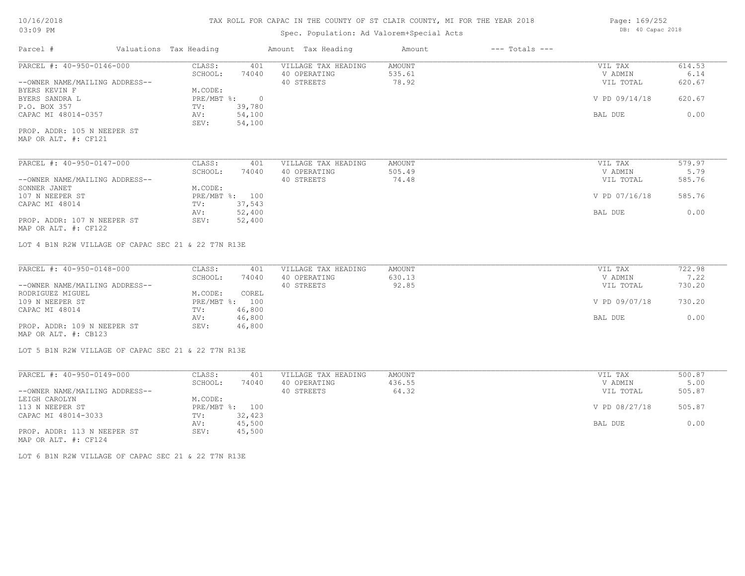## Spec. Population: Ad Valorem+Special Acts

Page: 169/252 DB: 40 Capac 2018

| Parcel #                                            | Valuations Tax Heading |                | Amount Tax Heading  | Amount        | $---$ Totals $---$ |               |        |
|-----------------------------------------------------|------------------------|----------------|---------------------|---------------|--------------------|---------------|--------|
| PARCEL #: 40-950-0146-000                           | CLASS:                 | 401            | VILLAGE TAX HEADING | <b>AMOUNT</b> |                    | VIL TAX       | 614.53 |
|                                                     | SCHOOL:                | 74040          | 40 OPERATING        | 535.61        |                    | V ADMIN       | 6.14   |
| --OWNER NAME/MAILING ADDRESS--                      |                        |                | 40 STREETS          | 78.92         |                    | VIL TOTAL     | 620.67 |
| BYERS KEVIN F                                       | M.CODE:                |                |                     |               |                    |               |        |
| BYERS SANDRA L                                      | PRE/MBT %:             | $\overline{0}$ |                     |               |                    | V PD 09/14/18 | 620.67 |
| P.O. BOX 357                                        | TV:                    | 39,780         |                     |               |                    |               |        |
| CAPAC MI 48014-0357                                 | AV:                    | 54,100         |                     |               |                    | BAL DUE       | 0.00   |
|                                                     | SEV:                   | 54,100         |                     |               |                    |               |        |
| PROP. ADDR: 105 N NEEPER ST                         |                        |                |                     |               |                    |               |        |
| MAP OR ALT. #: CF121                                |                        |                |                     |               |                    |               |        |
|                                                     |                        |                |                     |               |                    |               |        |
| PARCEL #: 40-950-0147-000                           | CLASS:                 | 401            | VILLAGE TAX HEADING | <b>AMOUNT</b> |                    | VIL TAX       | 579.97 |
|                                                     | SCHOOL:                | 74040          | 40 OPERATING        | 505.49        |                    | V ADMIN       | 5.79   |
| --OWNER NAME/MAILING ADDRESS--                      |                        |                | 40 STREETS          | 74.48         |                    | VIL TOTAL     | 585.76 |
| SONNER JANET                                        | M.CODE:                |                |                     |               |                    |               |        |
| 107 N NEEPER ST                                     |                        | PRE/MBT %: 100 |                     |               |                    | V PD 07/16/18 | 585.76 |
| CAPAC MI 48014                                      | TV:                    | 37,543         |                     |               |                    |               |        |
|                                                     | AV:                    | 52,400         |                     |               |                    | BAL DUE       | 0.00   |
| PROP. ADDR: 107 N NEEPER ST                         | SEV:                   | 52,400         |                     |               |                    |               |        |
| MAP OR ALT. #: CF122                                |                        |                |                     |               |                    |               |        |
|                                                     |                        |                |                     |               |                    |               |        |
| LOT 4 B1N R2W VILLAGE OF CAPAC SEC 21 & 22 T7N R13E |                        |                |                     |               |                    |               |        |
|                                                     |                        |                |                     |               |                    |               |        |
| PARCEL #: 40-950-0148-000                           | CLASS:                 | 401            | VILLAGE TAX HEADING | <b>AMOUNT</b> |                    | VIL TAX       | 722.98 |
|                                                     | SCHOOL:                | 74040          | 40 OPERATING        | 630.13        |                    | V ADMIN       | 7.22   |
| --OWNER NAME/MAILING ADDRESS--                      |                        |                | 40 STREETS          | 92.85         |                    | VIL TOTAL     | 730.20 |
| RODRIGUEZ MIGUEL                                    | M.CODE:                | COREL          |                     |               |                    |               |        |
| 109 N NEEPER ST                                     |                        | PRE/MBT %: 100 |                     |               |                    | V PD 09/07/18 | 730.20 |
| CAPAC MI 48014                                      | TV:                    | 46,800         |                     |               |                    |               |        |
|                                                     | AV:                    | 46,800         |                     |               |                    | BAL DUE       | 0.00   |
| PROP. ADDR: 109 N NEEPER ST                         | SEV:                   | 46,800         |                     |               |                    |               |        |
| MAP OR ALT. #: CB123                                |                        |                |                     |               |                    |               |        |
|                                                     |                        |                |                     |               |                    |               |        |
| LOT 5 B1N R2W VILLAGE OF CAPAC SEC 21 & 22 T7N R13E |                        |                |                     |               |                    |               |        |
|                                                     |                        |                |                     |               |                    |               |        |
| PARCEL #: 40-950-0149-000                           | CLASS:                 | 401            | VILLAGE TAX HEADING | AMOUNT        |                    | VIL TAX       | 500.87 |
|                                                     | SCHOOL:                | 74040          | 40 OPERATING        | 436.55        |                    | V ADMIN       | 5.00   |
| --OWNER NAME/MAILING ADDRESS--                      |                        |                | 40 STREETS          | 64.32         |                    | VIL TOTAL     | 505.87 |
| LEIGH CAROLYN                                       | M.CODE:                |                |                     |               |                    |               |        |
| 113 N NEEPER ST                                     | $PRE/MBT$ %:           | 100            |                     |               |                    | V PD 08/27/18 | 505.87 |
|                                                     |                        |                |                     |               |                    |               |        |

AV: 45,500 AV: 45,500 AV: 45,500 AV: 45,500 BAL DUE D.00

MAP OR ALT. #: CF124 PROP. ADDR: 113 N NEEPER ST SEV: 45,500

LOT 6 B1N R2W VILLAGE OF CAPAC SEC 21 & 22 T7N R13E

CAPAC MI 48014-3033 TV: 32,423<br>
AV: 45,500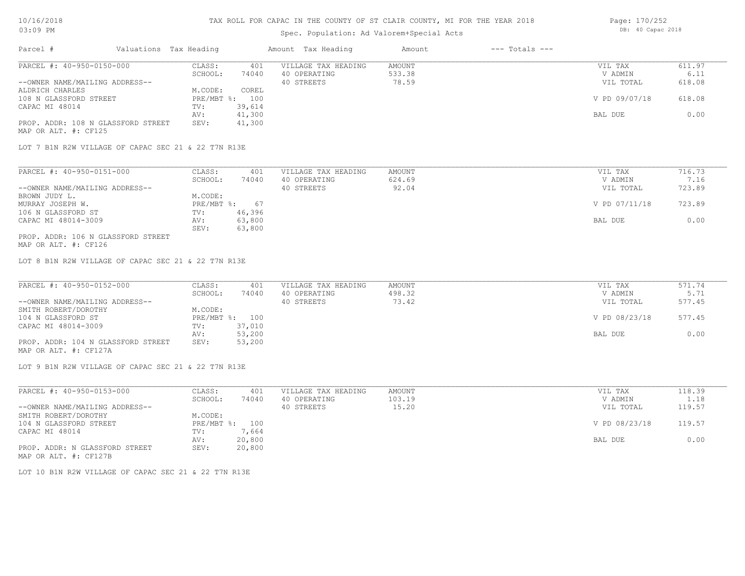#### Spec. Population: Ad Valorem+Special Acts

| Page: 170/252 |                   |
|---------------|-------------------|
|               | DB: 40 Capac 2018 |

| Parcel #                           | Valuations Tax Heading |        | Amount Tax Heading  | Amount | $---$ Totals $---$ |               |        |
|------------------------------------|------------------------|--------|---------------------|--------|--------------------|---------------|--------|
| PARCEL #: 40-950-0150-000          | CLASS:                 | 401    | VILLAGE TAX HEADING | AMOUNT |                    | VIL TAX       | 611.97 |
|                                    | SCHOOL:                | 74040  | 40 OPERATING        | 533.38 |                    | V ADMIN       | 6.11   |
| --OWNER NAME/MAILING ADDRESS--     |                        |        | 40 STREETS          | 78.59  |                    | VIL TOTAL     | 618.08 |
| ALDRICH CHARLES                    | M.CODE:                | COREL  |                     |        |                    |               |        |
| 108 N GLASSFORD STREET             | $PRE/MBT$ %:           | 100    |                     |        |                    | V PD 09/07/18 | 618.08 |
| CAPAC MI 48014                     | TV:                    | 39,614 |                     |        |                    |               |        |
|                                    | AV:                    | 41,300 |                     |        |                    | BAL DUE       | 0.00   |
| PROP. ADDR: 108 N GLASSFORD STREET | SEV:                   | 41,300 |                     |        |                    |               |        |
| MAP OR ALT. #: CF125               |                        |        |                     |        |                    |               |        |

LOT 7 B1N R2W VILLAGE OF CAPAC SEC 21 & 22 T7N R13E

| PARCEL #: 40-950-0151-000          | CLASS:       | 401    | VILLAGE TAX HEADING | AMOUNT | VIL TAX       | 716.73 |
|------------------------------------|--------------|--------|---------------------|--------|---------------|--------|
|                                    | SCHOOL:      | 74040  | 40 OPERATING        | 624.69 | V ADMIN       | 7.16   |
| --OWNER NAME/MAILING ADDRESS--     |              |        | 40 STREETS          | 92.04  | VIL TOTAL     | 723.89 |
| BROWN JUDY L.                      | M.CODE:      |        |                     |        |               |        |
| MURRAY JOSEPH W.                   | $PRE/MBT$ %: | 67     |                     |        | V PD 07/11/18 | 723.89 |
| 106 N GLASSFORD ST                 | TV:          | 46,396 |                     |        |               |        |
| CAPAC MI 48014-3009                | AV:          | 63,800 |                     |        | BAL DUE       | 0.00   |
|                                    | SEV:         | 63,800 |                     |        |               |        |
| PROP. ADDR: 106 N GLASSFORD STREET |              |        |                     |        |               |        |

MAP OR ALT. #: CF126

LOT 8 B1N R2W VILLAGE OF CAPAC SEC 21 & 22 T7N R13E

| PARCEL #: 40-950-0152-000          | CLASS:  | 401            | VILLAGE TAX HEADING | AMOUNT | VIL TAX       | 571.74 |
|------------------------------------|---------|----------------|---------------------|--------|---------------|--------|
|                                    | SCHOOL: | 74040          | 40 OPERATING        | 498.32 | V ADMIN       | 5.71   |
| --OWNER NAME/MAILING ADDRESS--     |         |                | 40 STREETS          | 73.42  | VIL TOTAL     | 577.45 |
| SMITH ROBERT/DOROTHY               | M.CODE: |                |                     |        |               |        |
| 104 N GLASSFORD ST                 |         | PRE/MBT %: 100 |                     |        | V PD 08/23/18 | 577.45 |
| CAPAC MI 48014-3009                | TV:     | 37,010         |                     |        |               |        |
|                                    | AV:     | 53,200         |                     |        | BAL DUE       | 0.00   |
| PROP. ADDR: 104 N GLASSFORD STREET | SEV:    | 53,200         |                     |        |               |        |
| MAP OR ALT. #: CF127A              |         |                |                     |        |               |        |

LOT 9 B1N R2W VILLAGE OF CAPAC SEC 21 & 22 T7N R13E

| PARCEL #: 40-950-0153-000      | CLASS:  | 401            | VILLAGE TAX HEADING | AMOUNT | VIL TAX       | 118.39 |
|--------------------------------|---------|----------------|---------------------|--------|---------------|--------|
|                                | SCHOOL: | 74040          | 40 OPERATING        | 103.19 | V ADMIN       | 1.18   |
| --OWNER NAME/MAILING ADDRESS-- |         |                | 40 STREETS          | 15.20  | VIL TOTAL     | 119.57 |
| SMITH ROBERT/DOROTHY           | M.CODE: |                |                     |        |               |        |
| 104 N GLASSFORD STREET         |         | PRE/MBT %: 100 |                     |        | V PD 08/23/18 | 119.57 |
| CAPAC MI 48014                 | TV:     | 7,664          |                     |        |               |        |
|                                | AV:     | 20,800         |                     |        | BAL DUE       | 0.00   |
| PROP. ADDR: N GLASSFORD STREET | SEV:    | 20,800         |                     |        |               |        |
| MAP OR ALT. #: CF127B          |         |                |                     |        |               |        |

LOT 10 B1N R2W VILLAGE OF CAPAC SEC 21 & 22 T7N R13E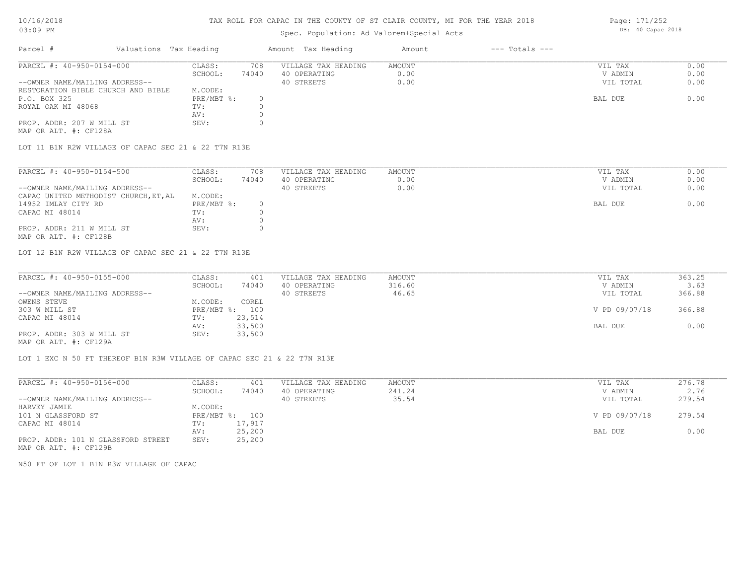#### TAX ROLL FOR CAPAC IN THE COUNTY OF ST CLAIR COUNTY, MI FOR THE YEAR 2018

### Spec. Population: Ad Valorem+Special Acts

| Parcel #                           | Valuations Tax Heading |       | Amount Tax Heading  | Amount | $---$ Totals $---$ |           |      |
|------------------------------------|------------------------|-------|---------------------|--------|--------------------|-----------|------|
| PARCEL #: 40-950-0154-000          | CLASS:                 | 708   | VILLAGE TAX HEADING | AMOUNT |                    | VIL TAX   | 0.00 |
|                                    | SCHOOL:                | 74040 | 40 OPERATING        | 0.00   |                    | V ADMIN   | 0.00 |
| --OWNER NAME/MAILING ADDRESS--     |                        |       | 40 STREETS          | 0.00   |                    | VIL TOTAL | 0.00 |
| RESTORATION BIBLE CHURCH AND BIBLE | M.CODE:                |       |                     |        |                    |           |      |
| P.O. BOX 325                       | PRE/MBT %:             |       |                     |        |                    | BAL DUE   | 0.00 |
| ROYAL OAK MI 48068                 | TV:                    |       |                     |        |                    |           |      |
|                                    | AV:                    |       |                     |        |                    |           |      |
| PROP. ADDR: 207 W MILL ST          | SEV:                   |       |                     |        |                    |           |      |
|                                    |                        |       |                     |        |                    |           |      |

MAP OR ALT. #: CF128A

LOT 11 B1N R2W VILLAGE OF CAPAC SEC 21 & 22 T7N R13E

| PARCEL #: 40-950-0154-500             | CLASS:     | 708   | VILLAGE TAX HEADING | AMOUNT | VIL TAX   | 0.00 |
|---------------------------------------|------------|-------|---------------------|--------|-----------|------|
|                                       | SCHOOL:    | 74040 | 40 OPERATING        | 0.00   | V ADMIN   | 0.00 |
| --OWNER NAME/MAILING ADDRESS--        |            |       | 40 STREETS          | 0.00   | VIL TOTAL | 0.00 |
| CAPAC UNITED METHODIST CHURCH, ET, AL | M.CODE:    |       |                     |        |           |      |
| 14952 IMLAY CITY RD                   | PRE/MBT %: |       |                     |        | BAL DUE   | 0.00 |
| CAPAC MI 48014                        | TV:        |       |                     |        |           |      |
|                                       | AV:        |       |                     |        |           |      |
| PROP. ADDR: 211 W MILL ST             | SEV:       |       |                     |        |           |      |
|                                       |            |       |                     |        |           |      |

MAP OR ALT. #: CF128B

LOT 12 B1N R2W VILLAGE OF CAPAC SEC 21 & 22 T7N R13E

| PARCEL #: 40-950-0155-000      | CLASS:  | 401            | VILLAGE TAX HEADING | AMOUNT | VIL TAX       | 363.25 |
|--------------------------------|---------|----------------|---------------------|--------|---------------|--------|
|                                | SCHOOL: | 74040          | 40 OPERATING        | 316.60 | V ADMIN       | 3.63   |
| --OWNER NAME/MAILING ADDRESS-- |         |                | 40 STREETS          | 46.65  | VIL TOTAL     | 366.88 |
| OWENS STEVE                    | M.CODE: | COREL          |                     |        |               |        |
| 303 W MILL ST                  |         | PRE/MBT %: 100 |                     |        | V PD 09/07/18 | 366.88 |
| CAPAC MI 48014                 | TV:     | 23,514         |                     |        |               |        |
|                                | AV:     | 33,500         |                     |        | BAL DUE       | 0.00   |
| PROP. ADDR: 303 W MILL ST      | SEV:    | 33,500         |                     |        |               |        |
| MAP OR ALT. #: CF129A          |         |                |                     |        |               |        |

LOT 1 EXC N 50 FT THEREOF B1N R3W VILLAGE OF CAPAC SEC 21 & 22 T7N R13E

| PARCEL #: 40-950-0156-000          | CLASS:     | 401    | VILLAGE TAX HEADING | AMOUNT | 276.78<br>VIL TAX       |  |
|------------------------------------|------------|--------|---------------------|--------|-------------------------|--|
|                                    | SCHOOL:    | 74040  | 40 OPERATING        | 241.24 | 2.76<br>V ADMIN         |  |
| --OWNER NAME/MAILING ADDRESS--     |            |        | 40 STREETS          | 35.54  | 279.54<br>VIL TOTAL     |  |
| HARVEY JAMIE                       | M.CODE:    |        |                     |        |                         |  |
| 101 N GLASSFORD ST                 | PRE/MBT %: | 100    |                     |        | V PD 09/07/18<br>279.54 |  |
| CAPAC MI 48014                     | TV:        | 17,917 |                     |        |                         |  |
|                                    | AV:        | 25,200 |                     |        | BAL DUE<br>0.00         |  |
| PROP. ADDR: 101 N GLASSFORD STREET | SEV:       | 25,200 |                     |        |                         |  |
| MAP OR ALT. #: CF129B              |            |        |                     |        |                         |  |

N50 FT OF LOT 1 B1N R3W VILLAGE OF CAPAC

Page: 171/252 DB: 40 Capac 2018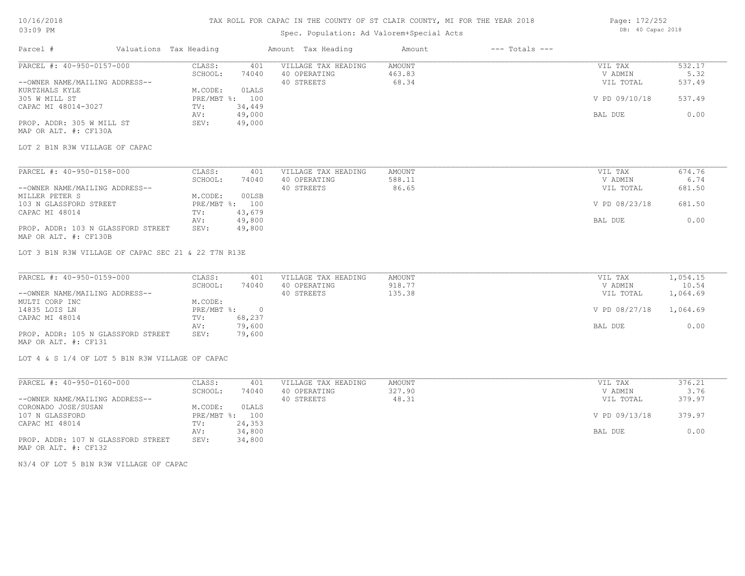#### TAX ROLL FOR CAPAC IN THE COUNTY OF ST CLAIR COUNTY, MI FOR THE YEAR 2018

### Spec. Population: Ad Valorem+Special Acts

| Page: 172/252 |                   |  |
|---------------|-------------------|--|
|               | DB: 40 Capac 2018 |  |
|               |                   |  |

| Parcel #                       | Valuations Tax Heading |        | Amount Tax Heading  | Amount | $---$ Totals $---$ |               |        |
|--------------------------------|------------------------|--------|---------------------|--------|--------------------|---------------|--------|
| PARCEL #: 40-950-0157-000      | CLASS:                 | 401    | VILLAGE TAX HEADING | AMOUNT |                    | VIL TAX       | 532.17 |
|                                | SCHOOL:                | 74040  | 40 OPERATING        | 463.83 |                    | V ADMIN       | 5.32   |
| --OWNER NAME/MAILING ADDRESS-- |                        |        | 40 STREETS          | 68.34  |                    | VIL TOTAL     | 537.49 |
| KURTZHALS KYLE                 | M.CODE:                | OLALS  |                     |        |                    |               |        |
| 305 W MILL ST                  | $PRE/MBT$ $\div$ :     | 100    |                     |        |                    | V PD 09/10/18 | 537.49 |
| CAPAC MI 48014-3027            | TV:                    | 34,449 |                     |        |                    |               |        |
|                                | AV:                    | 49,000 |                     |        |                    | BAL DUE       | 0.00   |
| PROP. ADDR: 305 W MILL ST      | SEV:                   | 49,000 |                     |        |                    |               |        |
| MAP OR ALT. #: CF130A          |                        |        |                     |        |                    |               |        |
|                                |                        |        |                     |        |                    |               |        |

LOT 2 B1N R3W VILLAGE OF CAPAC

| PARCEL #: 40-950-0158-000          | CLASS:  | 401            | VILLAGE TAX HEADING | AMOUNT | VIL TAX       | 674.76 |
|------------------------------------|---------|----------------|---------------------|--------|---------------|--------|
|                                    | SCHOOL: | 74040          | 40 OPERATING        | 588.11 | V ADMIN       | 6.74   |
| --OWNER NAME/MAILING ADDRESS--     |         |                | 40 STREETS          | 86.65  | VIL TOTAL     | 681.50 |
| MILLER PETER S                     | M.CODE: | 00LSB          |                     |        |               |        |
| 103 N GLASSFORD STREET             |         | PRE/MBT %: 100 |                     |        | V PD 08/23/18 | 681.50 |
| CAPAC MI 48014                     | TV:     | 43,679         |                     |        |               |        |
|                                    | AV:     | 49,800         |                     |        | BAL DUE       | 0.00   |
| PROP. ADDR: 103 N GLASSFORD STREET | SEV:    | 49,800         |                     |        |               |        |
| MAP OR ALT. #: CF130B              |         |                |                     |        |               |        |

LOT 3 B1N R3W VILLAGE OF CAPAC SEC 21 & 22 T7N R13E

| PARCEL #: 40-950-0159-000          | CLASS:       | 401    | VILLAGE TAX HEADING | AMOUNT | VIL TAX       | 1,054.15 |
|------------------------------------|--------------|--------|---------------------|--------|---------------|----------|
|                                    | SCHOOL:      | 74040  | 40 OPERATING        | 918.77 | V ADMIN       | 10.54    |
| --OWNER NAME/MAILING ADDRESS--     |              |        | 40 STREETS          | 135.38 | VIL TOTAL     | 1,064.69 |
| MULTI CORP INC                     | M.CODE:      |        |                     |        |               |          |
| 14835 LOIS LN                      | $PRE/MBT$ %: |        |                     |        | V PD 08/27/18 | 1,064.69 |
| CAPAC MI 48014                     | TV:          | 68,237 |                     |        |               |          |
|                                    | AV:          | 79,600 |                     |        | BAL DUE       | 0.00     |
| PROP. ADDR: 105 N GLASSFORD STREET | SEV:         | 79,600 |                     |        |               |          |
| MAP OR ALT. #: CF131               |              |        |                     |        |               |          |

LOT 4 & S 1/4 OF LOT 5 B1N R3W VILLAGE OF CAPAC

| PARCEL #: 40-950-0160-000          | CLASS:       | 401    | VILLAGE TAX HEADING | AMOUNT | VIL TAX       | 376.21 |
|------------------------------------|--------------|--------|---------------------|--------|---------------|--------|
|                                    | SCHOOL:      | 74040  | 40 OPERATING        | 327.90 | V ADMIN       | 3.76   |
| --OWNER NAME/MAILING ADDRESS--     |              |        | 40 STREETS          | 48.31  | VIL TOTAL     | 379.97 |
| CORONADO JOSE/SUSAN                | M.CODE:      | OLALS  |                     |        |               |        |
| 107 N GLASSFORD                    | $PRE/MBT$ %: | 100    |                     |        | V PD 09/13/18 | 379.97 |
| CAPAC MI 48014                     | TV:          | 24,353 |                     |        |               |        |
|                                    | AV:          | 34,800 |                     |        | BAL DUE       | 0.00   |
| PROP. ADDR: 107 N GLASSFORD STREET | SEV:         | 34,800 |                     |        |               |        |

MAP OR ALT. #: CF132

N3/4 OF LOT 5 B1N R3W VILLAGE OF CAPAC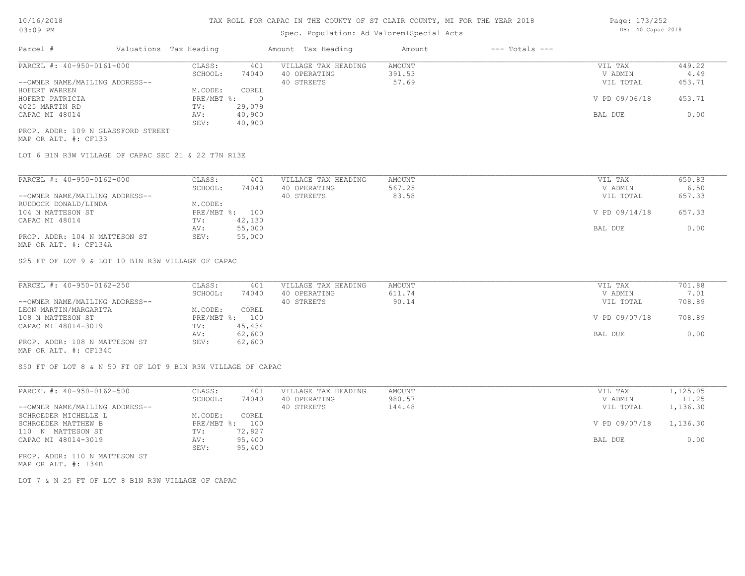### Spec. Population: Ad Valorem+Special Acts

| Parcel #                       | Valuations Tax Heading |        | Amount Tax Heading  | Amount | $---$ Totals $---$ |               |        |
|--------------------------------|------------------------|--------|---------------------|--------|--------------------|---------------|--------|
| PARCEL #: 40-950-0161-000      | CLASS:                 | 401    | VILLAGE TAX HEADING | AMOUNT |                    | VIL TAX       | 449.22 |
|                                | SCHOOL:                | 74040  | 40 OPERATING        | 391.53 |                    | V ADMIN       | 4.49   |
| --OWNER NAME/MAILING ADDRESS-- |                        |        | 40 STREETS          | 57.69  |                    | VIL TOTAL     | 453.71 |
| HOFERT WARREN                  | M.CODE:                | COREL  |                     |        |                    |               |        |
| HOFERT PATRICIA                | $PRE/MBT$ %:           |        |                     |        |                    | V PD 09/06/18 | 453.71 |
| 4025 MARTIN RD                 | TV:                    | 29,079 |                     |        |                    |               |        |
| CAPAC MI 48014                 | AV:                    | 40,900 |                     |        |                    | BAL DUE       | 0.00   |
|                                | SEV:                   | 40,900 |                     |        |                    |               |        |
|                                |                        |        |                     |        |                    |               |        |

MAP OR ALT. #: CF133 PROP. ADDR: 109 N GLASSFORD STREET

LOT 6 B1N R3W VILLAGE OF CAPAC SEC 21 & 22 T7N R13E

| PARCEL #: 40-950-0162-000                                                                                                                        | CLASS:  | 401            | VILLAGE TAX HEADING | AMOUNT | VIL TAX       | 650.83 |
|--------------------------------------------------------------------------------------------------------------------------------------------------|---------|----------------|---------------------|--------|---------------|--------|
|                                                                                                                                                  | SCHOOL: | 74040          | 40 OPERATING        | 567.25 | V ADMIN       | 6.50   |
| --OWNER NAME/MAILING ADDRESS--                                                                                                                   |         |                | 40 STREETS          | 83.58  | VIL TOTAL     | 657.33 |
| RUDDOCK DONALD/LINDA                                                                                                                             | M.CODE: |                |                     |        |               |        |
| 104 N MATTESON ST                                                                                                                                |         | PRE/MBT %: 100 |                     |        | V PD 09/14/18 | 657.33 |
| CAPAC MI 48014                                                                                                                                   | TV:     | 42,130         |                     |        |               |        |
|                                                                                                                                                  | AV:     | 55,000         |                     |        | BAL DUE       | 0.00   |
| PROP. ADDR: 104 N MATTESON ST<br>the contract of the contract of the contract of the contract of the contract of the contract of the contract of | SEV:    | 55,000         |                     |        |               |        |

MAP OR ALT. #: CF134A

S25 FT OF LOT 9 & LOT 10 B1N R3W VILLAGE OF CAPAC

| PARCEL #: 40-950-0162-250      | CLASS:  | 401            | VILLAGE TAX HEADING | AMOUNT | VIL TAX       | 701.88 |
|--------------------------------|---------|----------------|---------------------|--------|---------------|--------|
|                                | SCHOOL: | 74040          | 40 OPERATING        | 611.74 | V ADMIN       | 7.01   |
| --OWNER NAME/MAILING ADDRESS-- |         |                | 40 STREETS          | 90.14  | VIL TOTAL     | 708.89 |
| LEON MARTIN/MARGARITA          | M.CODE: | COREL          |                     |        |               |        |
| 108 N MATTESON ST              |         | PRE/MBT %: 100 |                     |        | V PD 09/07/18 | 708.89 |
| CAPAC MI 48014-3019            | TV:     | 45,434         |                     |        |               |        |
|                                | AV:     | 62,600         |                     |        | BAL DUE       | 0.00   |
| PROP. ADDR: 108 N MATTESON ST  | SEV:    | 62,600         |                     |        |               |        |
|                                |         |                |                     |        |               |        |

MAP OR ALT. #: CF134C

S50 FT OF LOT 8 & N 50 FT OF LOT 9 B1N R3W VILLAGE OF CAPAC

| PARCEL #: 40-950-0162-500      | CLASS:  | 401            | VILLAGE TAX HEADING | AMOUNT | VIL TAX       | 1,125.05 |
|--------------------------------|---------|----------------|---------------------|--------|---------------|----------|
|                                | SCHOOL: | 74040          | 40 OPERATING        | 980.57 | V ADMIN       | 11.25    |
| --OWNER NAME/MAILING ADDRESS-- |         |                | 40 STREETS          | 144.48 | VIL TOTAL     | 1,136.30 |
| SCHROEDER MICHELLE L           | M.CODE: | COREL          |                     |        |               |          |
| SCHROEDER MATTHEW B            |         | PRE/MBT %: 100 |                     |        | V PD 09/07/18 | 1,136.30 |
| 110 N MATTESON ST              | TV:     | 72,827         |                     |        |               |          |
| CAPAC MI 48014-3019            | AV:     | 95,400         |                     |        | BAL DUE       | 0.00     |
|                                | SEV:    | 95,400         |                     |        |               |          |
| PROP. ADDR: 110 N MATTESON ST  |         |                |                     |        |               |          |

MAP OR ALT. #: 134B

LOT 7 & N 25 FT OF LOT 8 B1N R3W VILLAGE OF CAPAC

Page: 173/252 DB: 40 Capac 2018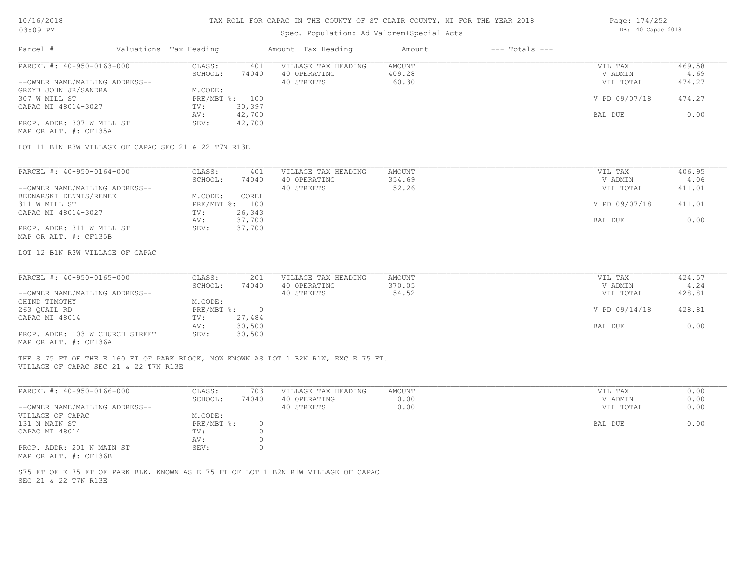#### TAX ROLL FOR CAPAC IN THE COUNTY OF ST CLAIR COUNTY, MI FOR THE YEAR 2018

### Spec. Population: Ad Valorem+Special Acts

|                                                    |         |                        |                     | Amount             | $---$ Totals $---$ |               |        |
|----------------------------------------------------|---------|------------------------|---------------------|--------------------|--------------------|---------------|--------|
| PARCEL #: 40-950-0163-000                          | CLASS:  | 401                    | VILLAGE TAX HEADING | AMOUNT             |                    | VIL TAX       | 469.58 |
|                                                    | SCHOOL: | 74040                  | 40 OPERATING        | 409.28             |                    | V ADMIN       | 4.69   |
| --OWNER NAME/MAILING ADDRESS--                     |         |                        | 40 STREETS          | 60.30              |                    | VIL TOTAL     | 474.27 |
| GRZYB JOHN JR/SANDRA                               | M.CODE: |                        |                     |                    |                    |               |        |
|                                                    |         |                        |                     |                    |                    | V PD 09/07/18 | 474.27 |
| CAPAC MI 48014-3027                                | TV:     | 30,397                 |                     |                    |                    |               |        |
|                                                    | AV:     | 42,700                 |                     |                    |                    | BAL DUE       | 0.00   |
| PROP. ADDR: 307 W MILL ST<br>MAP OR ALT. #: CF135A | SEV:    | 42,700                 |                     |                    |                    |               |        |
|                                                    |         | Valuations Tax Heading | PRE/MBT %: 100      | Amount Tax Heading |                    |               |        |

LOT 11 B1N R3W VILLAGE OF CAPAC SEC 21 & 22 T7N R13E

| PARCEL #: 40-950-0164-000      | CLASS:     | 401    | VILLAGE TAX HEADING | AMOUNT | VIL TAX       | 406.95 |
|--------------------------------|------------|--------|---------------------|--------|---------------|--------|
|                                | SCHOOL:    | 74040  | 40 OPERATING        | 354.69 | V ADMIN       | 4.06   |
| --OWNER NAME/MAILING ADDRESS-- |            |        | 40 STREETS          | 52.26  | VIL TOTAL     | 411.01 |
| BEDNARSKI DENNIS/RENEE         | M.CODE:    | COREL  |                     |        |               |        |
| 311 W MILL ST                  | PRE/MBT %: | 100    |                     |        | V PD 09/07/18 | 411.01 |
| CAPAC MI 48014-3027            | TV:        | 26,343 |                     |        |               |        |
|                                | AV:        | 37,700 |                     |        | BAL DUE       | 0.00   |
| PROP. ADDR: 311 W MILL ST      | SEV:       | 37,700 |                     |        |               |        |
| MAP OR ALT. #: CF135B          |            |        |                     |        |               |        |

#### LOT 12 B1N R3W VILLAGE OF CAPAC

| PARCEL #: 40-950-0165-000       | CLASS:     | 201    | VILLAGE TAX HEADING | AMOUNT | VIL TAX       | 424.57 |
|---------------------------------|------------|--------|---------------------|--------|---------------|--------|
|                                 | SCHOOL:    | 74040  | 40 OPERATING        | 370.05 | V ADMIN       | 4.24   |
| --OWNER NAME/MAILING ADDRESS--  |            |        | 40 STREETS          | 54.52  | VIL TOTAL     | 428.81 |
| CHIND TIMOTHY                   | M.CODE:    |        |                     |        |               |        |
| 263 OUAIL RD                    | PRE/MBT %: | $\cap$ |                     |        | V PD 09/14/18 | 428.81 |
| CAPAC MI 48014                  | TV:        | 27,484 |                     |        |               |        |
|                                 | AV:        | 30,500 |                     |        | BAL DUE       | 0.00   |
| PROP. ADDR: 103 W CHURCH STREET | SEV:       | 30,500 |                     |        |               |        |
| MAP OR ALT. #: CF136A           |            |        |                     |        |               |        |

 $\_$  , and the state of the state of the state of the state of the state of the state of the state of the state of the state of the state of the state of the state of the state of the state of the state of the state of the

VILLAGE OF CAPAC SEC 21 & 22 T7N R13E THE S 75 FT OF THE E 160 FT OF PARK BLOCK, NOW KNOWN AS LOT 1 B2N R1W, EXC E 75 FT.

| PARCEL #: 40-950-0166-000      | CLASS:       | 703   | VILLAGE TAX HEADING | AMOUNT | VIL TAX   | 0.00 |
|--------------------------------|--------------|-------|---------------------|--------|-----------|------|
|                                | SCHOOL:      | 74040 | 40 OPERATING        | 0.00   | V ADMIN   | 0.00 |
| --OWNER NAME/MAILING ADDRESS-- |              |       | 40 STREETS          | 0.00   | VIL TOTAL | 0.00 |
| VILLAGE OF CAPAC               | M.CODE:      |       |                     |        |           |      |
| 131 N MAIN ST                  | $PRE/MBT$ %: |       |                     |        | BAL DUE   | 0.00 |
| CAPAC MI 48014                 | TV:          |       |                     |        |           |      |
|                                | AV:          |       |                     |        |           |      |
| PROP. ADDR: 201 N MAIN ST      | SEV:         |       |                     |        |           |      |
| MAP OR ALT. #: CF136B          |              |       |                     |        |           |      |

SEC 21 & 22 T7N R13E S75 FT OF E 75 FT OF PARK BLK, KNOWN AS E 75 FT OF LOT 1 B2N R1W VILLAGE OF CAPAC Page: 174/252 DB: 40 Capac 2018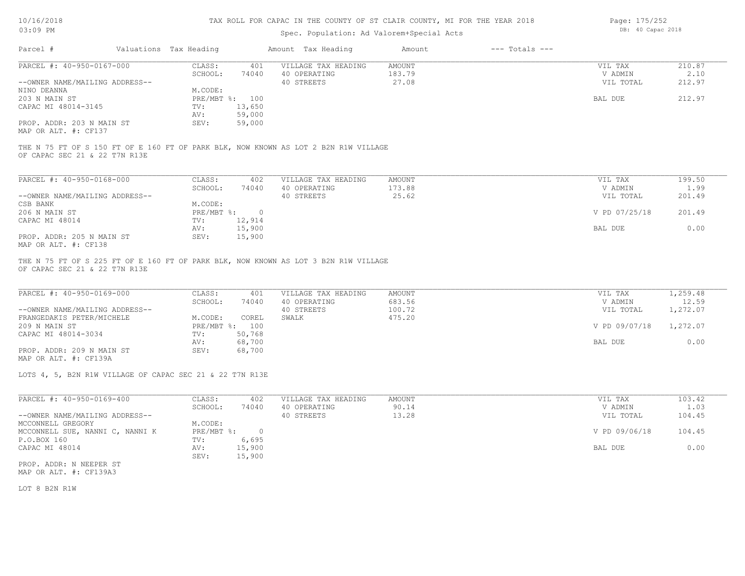## Spec. Population: Ad Valorem+Special Acts

Page: 175/252 DB: 40 Capac 2018

| Parcel #                                                                                                             | Valuations Tax Heading |                |                | Amount Tax Heading                                                                  | Amount        | $---$ Totals $---$ |               |          |
|----------------------------------------------------------------------------------------------------------------------|------------------------|----------------|----------------|-------------------------------------------------------------------------------------|---------------|--------------------|---------------|----------|
| PARCEL #: 40-950-0167-000                                                                                            |                        | CLASS:         | 401            | VILLAGE TAX HEADING                                                                 | <b>AMOUNT</b> |                    | VIL TAX       | 210.87   |
|                                                                                                                      |                        | SCHOOL:        | 74040          | 40 OPERATING                                                                        | 183.79        |                    | V ADMIN       | 2.10     |
| --OWNER NAME/MAILING ADDRESS--                                                                                       |                        |                |                | 40 STREETS                                                                          | 27.08         |                    | VIL TOTAL     | 212.97   |
| NINO DEANNA                                                                                                          |                        | M.CODE:        |                |                                                                                     |               |                    |               |          |
| 203 N MAIN ST                                                                                                        |                        | PRE/MBT %: 100 |                |                                                                                     |               |                    | BAL DUE       | 212.97   |
| CAPAC MI 48014-3145                                                                                                  |                        | TV:            | 13,650         |                                                                                     |               |                    |               |          |
|                                                                                                                      |                        | AV:            | 59,000         |                                                                                     |               |                    |               |          |
| PROP. ADDR: 203 N MAIN ST                                                                                            |                        | SEV:           | 59,000         |                                                                                     |               |                    |               |          |
| MAP OR ALT. #: CF137                                                                                                 |                        |                |                |                                                                                     |               |                    |               |          |
| THE N 75 FT OF S 150 FT OF E 160 FT OF PARK BLK, NOW KNOWN AS LOT 2 B2N R1W VILLAGE<br>OF CAPAC SEC 21 & 22 T7N R13E |                        |                |                |                                                                                     |               |                    |               |          |
|                                                                                                                      |                        |                |                |                                                                                     |               |                    |               |          |
| PARCEL #: 40-950-0168-000                                                                                            |                        | CLASS:         | 402            | VILLAGE TAX HEADING                                                                 | <b>AMOUNT</b> |                    | VIL TAX       | 199.50   |
|                                                                                                                      |                        | SCHOOL:        | 74040          | 40 OPERATING                                                                        | 173.88        |                    | V ADMIN       | 1.99     |
| --OWNER NAME/MAILING ADDRESS--                                                                                       |                        |                |                | 40 STREETS                                                                          | 25.62         |                    | VIL TOTAL     | 201.49   |
| CSB BANK                                                                                                             |                        | M.CODE:        |                |                                                                                     |               |                    |               |          |
| 206 N MAIN ST                                                                                                        |                        | PRE/MBT %:     | $\overline{0}$ |                                                                                     |               |                    | V PD 07/25/18 | 201.49   |
| CAPAC MI 48014                                                                                                       |                        | TV:            | 12,914         |                                                                                     |               |                    |               |          |
|                                                                                                                      |                        | AV:            | 15,900         |                                                                                     |               |                    | BAL DUE       | 0.00     |
| PROP. ADDR: 205 N MAIN ST                                                                                            |                        | SEV:           | 15,900         |                                                                                     |               |                    |               |          |
| MAP OR ALT. #: CF138                                                                                                 |                        |                |                |                                                                                     |               |                    |               |          |
|                                                                                                                      |                        |                |                | THE N 75 FT OF S 225 FT OF E 160 FT OF PARK BLK, NOW KNOWN AS LOT 3 B2N R1W VILLAGE |               |                    |               |          |
| OF CAPAC SEC 21 & 22 T7N R13E                                                                                        |                        |                |                |                                                                                     |               |                    |               |          |
| PARCEL #: 40-950-0169-000                                                                                            |                        | CLASS:         | 401            | VILLAGE TAX HEADING                                                                 | <b>AMOUNT</b> |                    | VIL TAX       | 1,259.48 |
|                                                                                                                      |                        | SCHOOL •       | 74040          | 40 OPERATING                                                                        | 68356         |                    | V ADMIN       | 12.59    |

|                                | SCHOOL:      | 74040  | 40 OPERATING | 683.56 | V ADMIN                | 12.59    |
|--------------------------------|--------------|--------|--------------|--------|------------------------|----------|
| --OWNER NAME/MAILING ADDRESS-- |              |        | 40 STREETS   | 100.72 | VIL TOTAL              | 1,272.07 |
| FRANGEDAKIS PETER/MICHELE      | M.CODE:      | COREL  | SWALK        | 475.20 |                        |          |
| 209 N MAIN ST                  | $PRE/MBT$ %: | 100    |              |        | V PD 09/07/18 1,272.07 |          |
| CAPAC MI 48014-3034            | TV:          | 50,768 |              |        |                        |          |
|                                | AV:          | 68,700 |              |        | BAL DUE                | 0.00     |
| PROP. ADDR: 209 N MAIN ST      | SEV:         | 68,700 |              |        |                        |          |

MAP OR ALT. #: CF139A

LOTS 4, 5, B2N R1W VILLAGE OF CAPAC SEC 21 & 22 T7N R13E

| PARCEL #: 40-950-0169-400       | CLASS:     | 402      | VILLAGE TAX HEADING | AMOUNT | VIL TAX       | 103.42 |  |
|---------------------------------|------------|----------|---------------------|--------|---------------|--------|--|
|                                 | SCHOOL:    | 74040    | 40 OPERATING        | 90.14  | V ADMIN       | 1.03   |  |
| --OWNER NAME/MAILING ADDRESS--  |            |          | 40 STREETS          | 13.28  | VIL TOTAL     | 104.45 |  |
| MCCONNELL GREGORY               | M.CODE:    |          |                     |        |               |        |  |
| MCCONNELL SUE, NANNI C, NANNI K | PRE/MBT %: | $\Omega$ |                     |        | V PD 09/06/18 | 104.45 |  |
| P.O.BOX 160                     | TV:        | 6,695    |                     |        |               |        |  |
| CAPAC MI 48014                  | AV:        | 15,900   |                     |        | BAL DUE       | 0.00   |  |
|                                 | SEV:       | 15,900   |                     |        |               |        |  |
| PROP. ADDR: N NEEPER ST         |            |          |                     |        |               |        |  |

MAP OR ALT. #: CF139A3

LOT 8 B2N R1W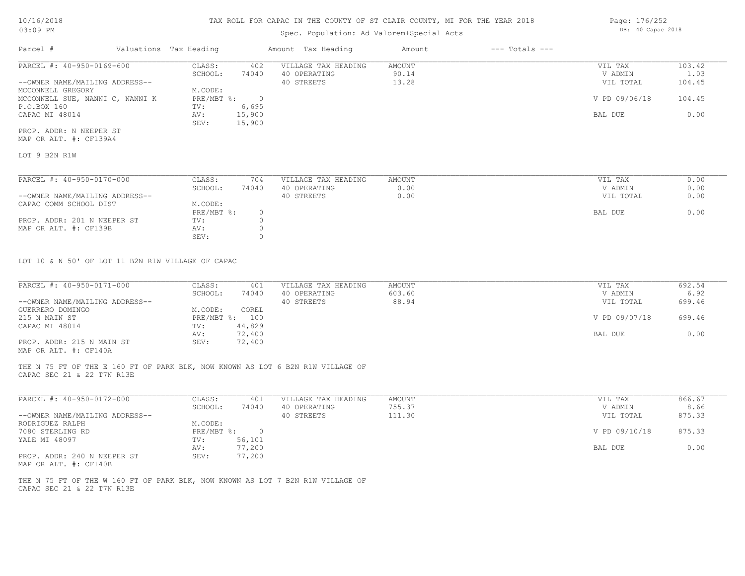### TAX ROLL FOR CAPAC IN THE COUNTY OF ST CLAIR COUNTY, MI FOR THE YEAR 2018

### Spec. Population: Ad Valorem+Special Acts

| Parcel #                        | Valuations Tax Heading |        | Amount Tax Heading  | Amount | $---$ Totals $---$ |               |        |
|---------------------------------|------------------------|--------|---------------------|--------|--------------------|---------------|--------|
| PARCEL #: 40-950-0169-600       | CLASS:                 | 402    | VILLAGE TAX HEADING | AMOUNT |                    | VIL TAX       | 103.42 |
|                                 | SCHOOL:                | 74040  | 40 OPERATING        | 90.14  |                    | V ADMIN       | 1.03   |
| --OWNER NAME/MAILING ADDRESS--  |                        |        | 40 STREETS          | 13.28  |                    | VIL TOTAL     | 104.45 |
| MCCONNELL GREGORY               | M.CODE:                |        |                     |        |                    |               |        |
| MCCONNELL SUE, NANNI C, NANNI K | $PRE/MBT$ %:           |        |                     |        |                    | V PD 09/06/18 | 104.45 |
| P.O.BOX 160                     | TV:                    | 6,695  |                     |        |                    |               |        |
| CAPAC MI 48014                  | AV:                    | 15,900 |                     |        |                    | BAL DUE       | 0.00   |
|                                 | SEV:                   | 15,900 |                     |        |                    |               |        |
| PROP. ADDR: N NEEPER ST         |                        |        |                     |        |                    |               |        |

MAP OR ALT. #: CF139A4

LOT 9 B2N R1W

| PARCEL #: 40-950-0170-000      | CLASS:     | 704   | VILLAGE TAX HEADING | AMOUNT | VIL TAX   | 0.00 |
|--------------------------------|------------|-------|---------------------|--------|-----------|------|
|                                | SCHOOL:    | 74040 | 40 OPERATING        | 0.00   | V ADMIN   | 0.00 |
| --OWNER NAME/MAILING ADDRESS-- |            |       | 40 STREETS          | 0.00   | VIL TOTAL | 0.00 |
| CAPAC COMM SCHOOL DIST         | M.CODE:    |       |                     |        |           |      |
|                                | PRE/MBT %: |       |                     |        | BAL DUE   | 0.00 |
| PROP. ADDR: 201 N NEEPER ST    | TV:        |       |                     |        |           |      |
| MAP OR ALT. #: CF139B          | AV:        |       |                     |        |           |      |
|                                | SEV:       |       |                     |        |           |      |

LOT 10 & N 50' OF LOT 11 B2N R1W VILLAGE OF CAPAC

| PARCEL #: 40-950-0171-000      | CLASS:       | 401    | VILLAGE TAX HEADING | AMOUNT | VIL TAX       | 692.54 |
|--------------------------------|--------------|--------|---------------------|--------|---------------|--------|
|                                | SCHOOL:      | 74040  | 40 OPERATING        | 603.60 | V ADMIN       | 6.92   |
| --OWNER NAME/MAILING ADDRESS-- |              |        | 40 STREETS          | 88.94  | VIL TOTAL     | 699.46 |
| GUERRERO DOMINGO               | M.CODE:      | COREL  |                     |        |               |        |
| 215 N MAIN ST                  | $PRE/MBT$ %: | 100    |                     |        | V PD 09/07/18 | 699.46 |
| CAPAC MI 48014                 | TV:          | 44,829 |                     |        |               |        |
|                                | AV:          | 72,400 |                     |        | BAL DUE       | 0.00   |
| PROP. ADDR: 215 N MAIN ST      | SEV:         | 72,400 |                     |        |               |        |
|                                |              |        |                     |        |               |        |

MAP OR ALT. #: CF140A

CAPAC SEC 21 & 22 T7N R13E THE N 75 FT OF THE E 160 FT OF PARK BLK, NOW KNOWN AS LOT 6 B2N R1W VILLAGE OF

| PARCEL #: 40-950-0172-000                                                                                                                      | CLASS:     | 401    | VILLAGE TAX HEADING | AMOUNT | VIL TAX       | 866.67 |
|------------------------------------------------------------------------------------------------------------------------------------------------|------------|--------|---------------------|--------|---------------|--------|
|                                                                                                                                                | SCHOOL:    | 74040  | 40 OPERATING        | 755.37 | V ADMIN       | 8.66   |
| --OWNER NAME/MAILING ADDRESS--                                                                                                                 |            |        | 40 STREETS          | 111.30 | VIL TOTAL     | 875.33 |
| RODRIGUEZ RALPH                                                                                                                                | M.CODE:    |        |                     |        |               |        |
| 7080 STERLING RD                                                                                                                               | PRE/MBT %: |        |                     |        | V PD 09/10/18 | 875.33 |
| YALE MI 48097                                                                                                                                  | TV:        | 56,101 |                     |        |               |        |
|                                                                                                                                                | AV:        | 77,200 |                     |        | BAL DUE       | 0.00   |
| PROP. ADDR: 240 N NEEPER ST<br>the contract of the contract of the contract of the contract of the contract of the contract of the contract of | SEV:       | 77,200 |                     |        |               |        |

MAP OR ALT. #: CF140B

CAPAC SEC 21 & 22 T7N R13E THE N 75 FT OF THE W 160 FT OF PARK BLK, NOW KNOWN AS LOT 7 B2N R1W VILLAGE OF Page: 176/252 DB: 40 Capac 2018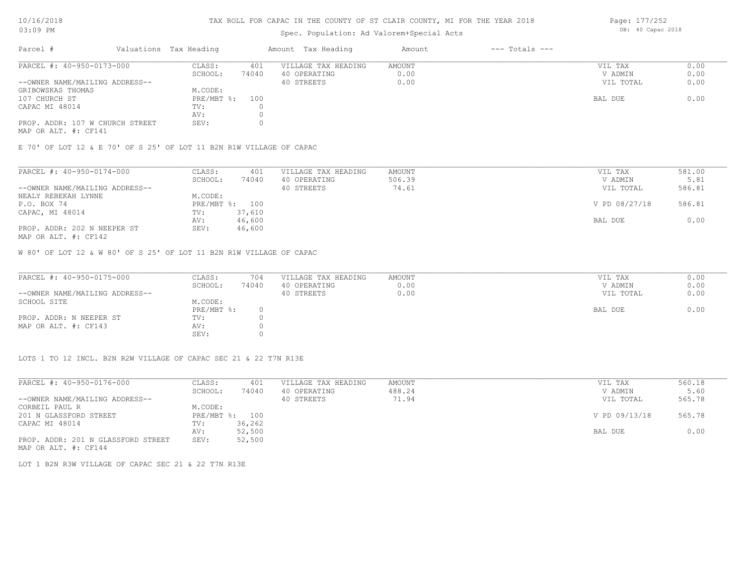### Spec. Population: Ad Valorem+Special Acts

| Parcel #                        | Valuations Tax Heading |       | Amount Tax Heading  | Amount | $---$ Totals $---$ |           |      |
|---------------------------------|------------------------|-------|---------------------|--------|--------------------|-----------|------|
| PARCEL #: 40-950-0173-000       | CLASS:                 | 401   | VILLAGE TAX HEADING | AMOUNT |                    | VIL TAX   | 0.00 |
|                                 | SCHOOL:                | 74040 | 40 OPERATING        | 0.00   |                    | V ADMIN   | 0.00 |
| --OWNER NAME/MAILING ADDRESS--  |                        |       | 40 STREETS          | 0.00   |                    | VIL TOTAL | 0.00 |
| GRIBOWSKAS THOMAS               | M.CODE:                |       |                     |        |                    |           |      |
| 107 CHURCH ST                   | PRE/MBT %: 100         |       |                     |        |                    | BAL DUE   | 0.00 |
| CAPAC MI 48014                  | TV:                    |       |                     |        |                    |           |      |
|                                 | AV:                    |       |                     |        |                    |           |      |
| PROP. ADDR: 107 W CHURCH STREET | SEV:                   |       |                     |        |                    |           |      |
|                                 |                        |       |                     |        |                    |           |      |

MAP OR ALT. #: CF141

E 70' OF LOT 12 & E 70' OF S 25' OF LOT 11 B2N R1W VILLAGE OF CAPAC

| PARCEL #: 40-950-0174-000                                                                                       | CLASS:     | 401    | VILLAGE TAX HEADING | AMOUNT | VIL TAX       | 581.00 |
|-----------------------------------------------------------------------------------------------------------------|------------|--------|---------------------|--------|---------------|--------|
|                                                                                                                 | SCHOOL:    | 74040  | 40 OPERATING        | 506.39 | V ADMIN       | 5.81   |
| --OWNER NAME/MAILING ADDRESS--                                                                                  |            |        | 40 STREETS          | 74.61  | VIL TOTAL     | 586.81 |
| NEALY REBEKAH LYNNE                                                                                             | M.CODE:    |        |                     |        |               |        |
| P.O. BOX 74                                                                                                     | PRE/MBT %: | 100    |                     |        | V PD 08/27/18 | 586.81 |
| CAPAC, MI 48014                                                                                                 | TV:        | 37,610 |                     |        |               |        |
|                                                                                                                 | AV:        | 46,600 |                     |        | BAL DUE       | 0.00   |
| PROP. ADDR: 202 N NEEPER ST                                                                                     | SEV:       | 46,600 |                     |        |               |        |
| the contract of the contract of the contract of the contract of the contract of the contract of the contract of |            |        |                     |        |               |        |

MAP OR ALT. #: CF142

W 80' OF LOT 12 & W 80' OF S 25' OF LOT 11 B2N R1W VILLAGE OF CAPAC

| PARCEL #: 40-950-0175-000      | CLASS:       | 704   | VILLAGE TAX HEADING | AMOUNT | VIL TAX   | 0.00 |
|--------------------------------|--------------|-------|---------------------|--------|-----------|------|
|                                | SCHOOL:      | 74040 | 40 OPERATING        | 0.00   | V ADMIN   | 0.00 |
| --OWNER NAME/MAILING ADDRESS-- |              |       | 40 STREETS          | 0.00   | VIL TOTAL | 0.00 |
| SCHOOL SITE                    | M.CODE:      |       |                     |        |           |      |
|                                | $PRE/MBT$ %: |       |                     |        | BAL DUE   | 0.00 |
| PROP. ADDR: N NEEPER ST        | TV:          |       |                     |        |           |      |
| MAP OR ALT. #: CF143           | AV:          |       |                     |        |           |      |
|                                | SEV:         |       |                     |        |           |      |

LOTS 1 TO 12 INCL. B2N R2W VILLAGE OF CAPAC SEC 21 & 22 T7N R13E

| PARCEL #: 40-950-0176-000          | CLASS:  | 401            | VILLAGE TAX HEADING | AMOUNT | VIL TAX       | 560.18 |
|------------------------------------|---------|----------------|---------------------|--------|---------------|--------|
|                                    | SCHOOL: | 74040          | 40 OPERATING        | 488.24 | V ADMIN       | 5.60   |
| --OWNER NAME/MAILING ADDRESS--     |         |                | 40 STREETS          | 71.94  | VIL TOTAL     | 565.78 |
| CORBEIL PAUL R                     | M.CODE: |                |                     |        |               |        |
| 201 N GLASSFORD STREET             |         | PRE/MBT %: 100 |                     |        | V PD 09/13/18 | 565.78 |
| CAPAC MI 48014                     | TV:     | 36,262         |                     |        |               |        |
|                                    | AV:     | 52,500         |                     |        | BAL DUE       | 0.00   |
| PROP. ADDR: 201 N GLASSFORD STREET | SEV:    | 52,500         |                     |        |               |        |
| MAP OR ALT. #: CF144               |         |                |                     |        |               |        |

LOT 1 B2N R3W VILLAGE OF CAPAC SEC 21 & 22 T7N R13E

Page: 177/252 DB: 40 Capac 2018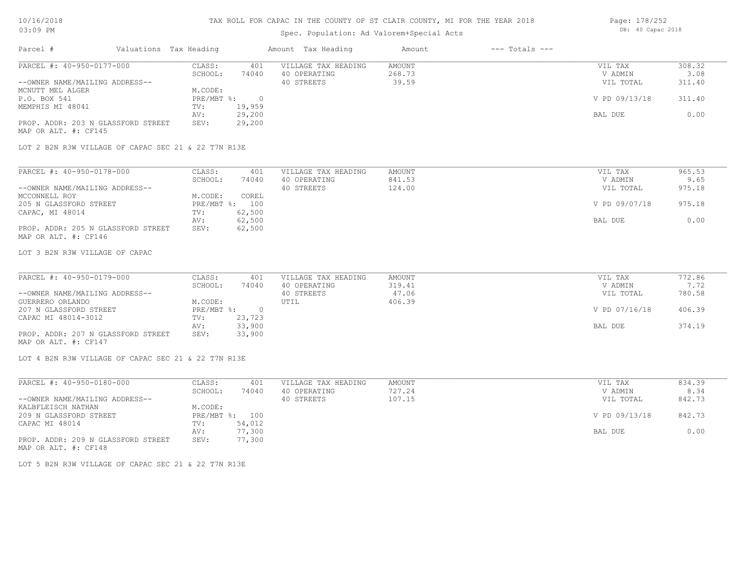## TAX ROLL FOR CAPAC IN THE COUNTY OF ST CLAIR COUNTY, MI FOR THE YEAR 2018

### Spec. Population: Ad Valorem+Special Acts

| Parcel #                           | Valuations Tax Heading |        | Amount Tax Heading  | Amount | $---$ Totals $---$ |               |        |
|------------------------------------|------------------------|--------|---------------------|--------|--------------------|---------------|--------|
| PARCEL #: 40-950-0177-000          | CLASS:                 | 401    | VILLAGE TAX HEADING | AMOUNT |                    | VIL TAX       | 308.32 |
|                                    | SCHOOL:                | 74040  | 40 OPERATING        | 268.73 |                    | V ADMIN       | 3.08   |
| --OWNER NAME/MAILING ADDRESS--     |                        |        | 40 STREETS          | 39.59  |                    | VIL TOTAL     | 311.40 |
| MCNUTT MEL ALGER                   | M.CODE:                |        |                     |        |                    |               |        |
| P.O. BOX 541                       | PRE/MBT %:             |        |                     |        |                    | V PD 09/13/18 | 311.40 |
| MEMPHIS MI 48041                   | TV:                    | 19,959 |                     |        |                    |               |        |
|                                    | AV:                    | 29,200 |                     |        |                    | BAL DUE       | 0.00   |
| PROP. ADDR: 203 N GLASSFORD STREET | SEV:                   | 29,200 |                     |        |                    |               |        |
| MAP OR ALT. #: CF145               |                        |        |                     |        |                    |               |        |

LOT 2 B2N R3W VILLAGE OF CAPAC SEC 21 & 22 T7N R13E

| PARCEL #: 40-950-0178-000          | CLASS:       | 401    | VILLAGE TAX HEADING | AMOUNT | VIL TAX       | 965.53 |
|------------------------------------|--------------|--------|---------------------|--------|---------------|--------|
|                                    | SCHOOL:      | 74040  | 40 OPERATING        | 841.53 | V ADMIN       | 9.65   |
| --OWNER NAME/MAILING ADDRESS--     |              |        | 40 STREETS          | 124.00 | VIL TOTAL     | 975.18 |
| MCCONNELL ROY                      | M.CODE:      | COREL  |                     |        |               |        |
| 205 N GLASSFORD STREET             | $PRE/MBT$ %: | 100    |                     |        | V PD 09/07/18 | 975.18 |
| CAPAC, MI 48014                    | TV:          | 62,500 |                     |        |               |        |
|                                    | AV:          | 62,500 |                     |        | BAL DUE       | 0.00   |
| PROP. ADDR: 205 N GLASSFORD STREET | SEV:         | 62,500 |                     |        |               |        |

MAP OR ALT. #: CF146

#### LOT 3 B2N R3W VILLAGE OF CAPAC

| PARCEL #: 40-950-0179-000          | CLASS:     | 401      | VILLAGE TAX HEADING | AMOUNT | VIL TAX       | 772.86 |
|------------------------------------|------------|----------|---------------------|--------|---------------|--------|
|                                    | SCHOOL:    | 74040    | 40 OPERATING        | 319.41 | V ADMIN       | 7.72   |
| --OWNER NAME/MAILING ADDRESS--     |            |          | 40 STREETS          | 47.06  | VIL TOTAL     | 780.58 |
| GUERRERO ORLANDO                   | M.CODE:    |          | UTIL                | 406.39 |               |        |
| 207 N GLASSFORD STREET             | PRE/MBT %: | $\Omega$ |                     |        | V PD 07/16/18 | 406.39 |
| CAPAC MI 48014-3012                | TV:        | 23,723   |                     |        |               |        |
|                                    | AV:        | 33,900   |                     |        | BAL DUE       | 374.19 |
| PROP. ADDR: 207 N GLASSFORD STREET | SEV:       | 33,900   |                     |        |               |        |
| MAP OR ALT. #: CF147               |            |          |                     |        |               |        |

 $\_$  , and the state of the state of the state of the state of the state of the state of the state of the state of the state of the state of the state of the state of the state of the state of the state of the state of the

LOT 4 B2N R3W VILLAGE OF CAPAC SEC 21 & 22 T7N R13E

| PARCEL #: 40-950-0180-000                                                                                                                             | CLASS:     | 401    | VILLAGE TAX HEADING | AMOUNT | VIL TAX       | 834.39 |
|-------------------------------------------------------------------------------------------------------------------------------------------------------|------------|--------|---------------------|--------|---------------|--------|
|                                                                                                                                                       | SCHOOL:    | 74040  | 40 OPERATING        | 727.24 | V ADMIN       | 8.34   |
| --OWNER NAME/MAILING ADDRESS--                                                                                                                        |            |        | 40 STREETS          | 107.15 | VIL TOTAL     | 842.73 |
| KALBFLEISCH NATHAN                                                                                                                                    | M.CODE:    |        |                     |        |               |        |
| 209 N GLASSFORD STREET                                                                                                                                | PRE/MBT %: | 100    |                     |        | V PD 09/13/18 | 842.73 |
| CAPAC MI 48014                                                                                                                                        | TV:        | 54,012 |                     |        |               |        |
|                                                                                                                                                       | AV:        | 77,300 |                     |        | BAL DUE       | 0.00   |
| PROP. ADDR: 209 N GLASSFORD STREET<br>the contract of the contract of the contract of the contract of the contract of the contract of the contract of | SEV:       | 77,300 |                     |        |               |        |

MAP OR ALT. #: CF148

LOT 5 B2N R3W VILLAGE OF CAPAC SEC 21 & 22 T7N R13E

Page: 178/252 DB: 40 Capac 2018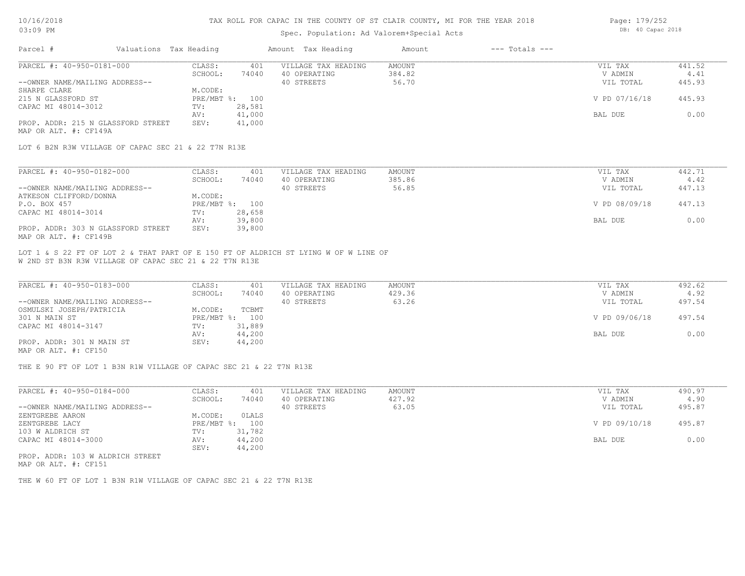#### TAX ROLL FOR CAPAC IN THE COUNTY OF ST CLAIR COUNTY, MI FOR THE YEAR 2018

#### Spec. Population: Ad Valorem+Special Acts

| Parcel #                           | Valuations Tax Heading |        | Amount Tax Heading  | Amount | $---$ Totals $---$ |               |        |
|------------------------------------|------------------------|--------|---------------------|--------|--------------------|---------------|--------|
| PARCEL #: 40-950-0181-000          | CLASS:                 | 401    | VILLAGE TAX HEADING | AMOUNT |                    | VIL TAX       | 441.52 |
|                                    | SCHOOL:                | 74040  | 40 OPERATING        | 384.82 |                    | V ADMIN       | 4.41   |
| --OWNER NAME/MAILING ADDRESS--     |                        |        | 40 STREETS          | 56.70  |                    | VIL TOTAL     | 445.93 |
| SHARPE CLARE                       | M.CODE:                |        |                     |        |                    |               |        |
| 215 N GLASSFORD ST                 | PRE/MBT %: 100         |        |                     |        |                    | V PD 07/16/18 | 445.93 |
| CAPAC MI 48014-3012                | TV:                    | 28,581 |                     |        |                    |               |        |
|                                    | AV:                    | 41,000 |                     |        |                    | BAL DUE       | 0.00   |
| PROP. ADDR: 215 N GLASSFORD STREET | SEV:                   | 41,000 |                     |        |                    |               |        |
|                                    |                        |        |                     |        |                    |               |        |

MAP OR ALT. #: CF149A

LOT 6 B2N R3W VILLAGE OF CAPAC SEC 21 & 22 T7N R13E

| PARCEL #: 40-950-0182-000          | CLASS:     | 401    | VILLAGE TAX HEADING | AMOUNT | VIL TAX       | 442.71 |
|------------------------------------|------------|--------|---------------------|--------|---------------|--------|
|                                    | SCHOOL:    | 74040  | 40 OPERATING        | 385.86 | V ADMIN       | 4.42   |
| --OWNER NAME/MAILING ADDRESS--     |            |        | 40 STREETS          | 56.85  | VIL TOTAL     | 447.13 |
| ATKESON CLIFFORD/DONNA             | M.CODE:    |        |                     |        |               |        |
| P.O. BOX 457                       | PRE/MBT %: | 100    |                     |        | V PD 08/09/18 | 447.13 |
| CAPAC MI 48014-3014                | TV:        | 28,658 |                     |        |               |        |
|                                    | AV:        | 39,800 |                     |        | BAL DUE       | 0.00   |
| PROP. ADDR: 303 N GLASSFORD STREET | SEV:       | 39,800 |                     |        |               |        |
| MAP OR ALT. #: CF149B              |            |        |                     |        |               |        |

W 2ND ST B3N R3W VILLAGE OF CAPAC SEC 21 & 22 T7N R13E LOT 1 & S 22 FT OF LOT 2 & THAT PART OF E 150 FT OF ALDRICH ST LYING W OF W LINE OF

| PARCEL #: 40-950-0183-000      | CLASS:  | 401            | VILLAGE TAX HEADING | AMOUNT | VIL TAX       | 492.62 |
|--------------------------------|---------|----------------|---------------------|--------|---------------|--------|
|                                | SCHOOL: | 74040          | 40 OPERATING        | 429.36 | V ADMIN       | 4.92   |
| --OWNER NAME/MAILING ADDRESS-- |         |                | 40 STREETS          | 63.26  | VIL TOTAL     | 497.54 |
| OSMULSKI JOSEPH/PATRICIA       | M.CODE: | TCBMT          |                     |        |               |        |
| 301 N MAIN ST                  |         | PRE/MBT %: 100 |                     |        | V PD 09/06/18 | 497.54 |
| CAPAC MI 48014-3147            | TV:     | 31,889         |                     |        |               |        |
|                                | AV:     | 44,200         |                     |        | BAL DUE       | 0.00   |
| PROP. ADDR: 301 N MAIN ST      | SEV:    | 44,200         |                     |        |               |        |
| MAP OR ALT. #: CF150           |         |                |                     |        |               |        |

THE E 90 FT OF LOT 1 B3N R1W VILLAGE OF CAPAC SEC 21 & 22 T7N R13E

| PARCEL #: 40-950-0184-000        | CLASS:  | 401            | VILLAGE TAX HEADING | AMOUNT | VIL TAX       | 490.97 |
|----------------------------------|---------|----------------|---------------------|--------|---------------|--------|
|                                  | SCHOOL: | 74040          | 40 OPERATING        | 427.92 | V ADMIN       | 4.90   |
| --OWNER NAME/MAILING ADDRESS--   |         |                | 40 STREETS          | 63.05  | VIL TOTAL     | 495.87 |
| ZENTGREBE AARON                  | M.CODE: | OLALS          |                     |        |               |        |
| ZENTGREBE LACY                   |         | PRE/MBT %: 100 |                     |        | V PD 09/10/18 | 495.87 |
| 103 W ALDRICH ST                 | TV:     | 31,782         |                     |        |               |        |
| CAPAC MI 48014-3000              | AV:     | 44,200         |                     |        | BAL DUE       | 0.00   |
|                                  | SEV:    | 44,200         |                     |        |               |        |
| DDOD 1000, 100 M 11DDTOU OFFDREE |         |                |                     |        |               |        |

MAP OR ALT. #: CF151 PROP. ADDR: 103 W ALDRICH STREET

THE W 60 FT OF LOT 1 B3N R1W VILLAGE OF CAPAC SEC 21 & 22 T7N R13E

Page: 179/252 DB: 40 Capac 2018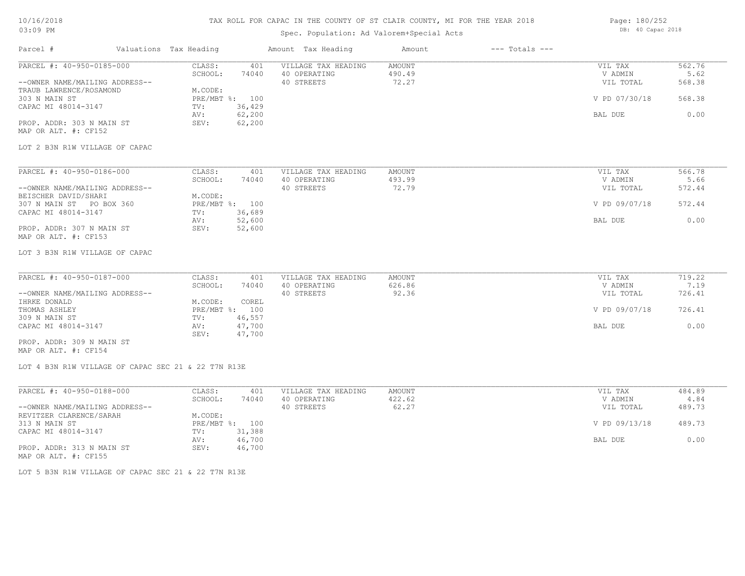### TAX ROLL FOR CAPAC IN THE COUNTY OF ST CLAIR COUNTY, MI FOR THE YEAR 2018

## Spec. Population: Ad Valorem+Special Acts

| Page: 180/252     |
|-------------------|
| DB: 40 Capac 2018 |

| Parcel #                       | Valuations Tax Heading |                | Amount Tax Heading  | Amount | $---$ Totals $---$ |               |        |
|--------------------------------|------------------------|----------------|---------------------|--------|--------------------|---------------|--------|
| PARCEL #: 40-950-0185-000      | CLASS:                 | 401            | VILLAGE TAX HEADING | AMOUNT |                    | VIL TAX       | 562.76 |
|                                | SCHOOL:                | 74040          | 40 OPERATING        | 490.49 |                    | V ADMIN       | 5.62   |
| --OWNER NAME/MAILING ADDRESS-- |                        |                | 40 STREETS          | 72.27  |                    | VIL TOTAL     | 568.38 |
| TRAUB LAWRENCE/ROSAMOND        | M.CODE:                |                |                     |        |                    |               |        |
| 303 N MAIN ST                  |                        | PRE/MBT %: 100 |                     |        |                    | V PD 07/30/18 | 568.38 |
| CAPAC MI 48014-3147            | TV:                    | 36,429         |                     |        |                    |               |        |
|                                | AV:                    | 62,200         |                     |        |                    | BAL DUE       | 0.00   |
| PROP. ADDR: 303 N MAIN ST      | SEV:                   | 62,200         |                     |        |                    |               |        |
| MAP OR ALT. #: CF152           |                        |                |                     |        |                    |               |        |
| LOT 2 B3N R1W VILLAGE OF CAPAC |                        |                |                     |        |                    |               |        |
|                                |                        |                |                     |        |                    |               |        |
| PARCEL #: 40-950-0186-000      | CLASS:                 | 401            | VILLAGE TAX HEADING | AMOUNT |                    | VIL TAX       | 566.78 |
|                                | SCHOOL:                | 74040          | 40 OPERATING        | 493.99 |                    | V ADMIN       | 5.66   |
| --OWNER NAME/MAILING ADDRESS-- |                        |                | 40 STREETS          | 72.79  |                    | VIL TOTAL     | 572.44 |
| BEISCHER DAVID/SHARI           | M.CODE:                |                |                     |        |                    |               |        |
| 307 N MAIN ST PO BOX 360       |                        | PRE/MBT %: 100 |                     |        |                    | V PD 09/07/18 | 572.44 |
| CAPAC MI 48014-3147            | TV:                    | 36,689         |                     |        |                    |               |        |
|                                | AV:                    | 52,600         |                     |        |                    | BAL DUE       | 0.00   |
| PROP. ADDR: 307 N MAIN ST      | SEV:                   | 52,600         |                     |        |                    |               |        |
| MAP OR ALT. #: CF153           |                        |                |                     |        |                    |               |        |
| LOT 3 B3N R1W VILLAGE OF CAPAC |                        |                |                     |        |                    |               |        |
|                                |                        |                |                     |        |                    |               |        |

| PARCEL #: 40-950-0187-000      | CLASS:       | 401    | VILLAGE TAX HEADING | AMOUNT | VIL TAX       | 719.22 |
|--------------------------------|--------------|--------|---------------------|--------|---------------|--------|
|                                | SCHOOL:      | 74040  | 40 OPERATING        | 626.86 | V ADMIN       | 7.19   |
| --OWNER NAME/MAILING ADDRESS-- |              |        | 40 STREETS          | 92.36  | VIL TOTAL     | 726.41 |
| IHRKE DONALD                   | M.CODE:      | COREL  |                     |        |               |        |
| THOMAS ASHLEY                  | $PRE/MBT$ %: | 100    |                     |        | V PD 09/07/18 | 726.41 |
| 309 N MAIN ST                  | TV:          | 46,557 |                     |        |               |        |
| CAPAC MI 48014-3147            | AV:          | 47,700 |                     |        | BAL DUE       | 0.00   |
|                                | SEV:         | 47,700 |                     |        |               |        |
| PROP. ADDR: 309 N MAIN ST      |              |        |                     |        |               |        |

MAP OR ALT. #: CF154

LOT 4 B3N R1W VILLAGE OF CAPAC SEC 21 & 22 T7N R13E

| PARCEL #: 40-950-0188-000      | CLASS:  | 401            | VILLAGE TAX HEADING | AMOUNT | VIL TAX       | 484.89 |
|--------------------------------|---------|----------------|---------------------|--------|---------------|--------|
|                                | SCHOOL: | 74040          | 40 OPERATING        | 422.62 | V ADMIN       | 4.84   |
| --OWNER NAME/MAILING ADDRESS-- |         |                | 40 STREETS          | 62.27  | VIL TOTAL     | 489.73 |
| REVITZER CLARENCE/SARAH        | M.CODE: |                |                     |        |               |        |
| 313 N MAIN ST                  |         | PRE/MBT %: 100 |                     |        | V PD 09/13/18 | 489.73 |
| CAPAC MI 48014-3147            | TV:     | 31,388         |                     |        |               |        |
|                                | AV:     | 46,700         |                     |        | BAL DUE       | 0.00   |
| PROP. ADDR: 313 N MAIN ST      | SEV:    | 46,700         |                     |        |               |        |
| MAP OR ALT. #: CF155           |         |                |                     |        |               |        |

LOT 5 B3N R1W VILLAGE OF CAPAC SEC 21 & 22 T7N R13E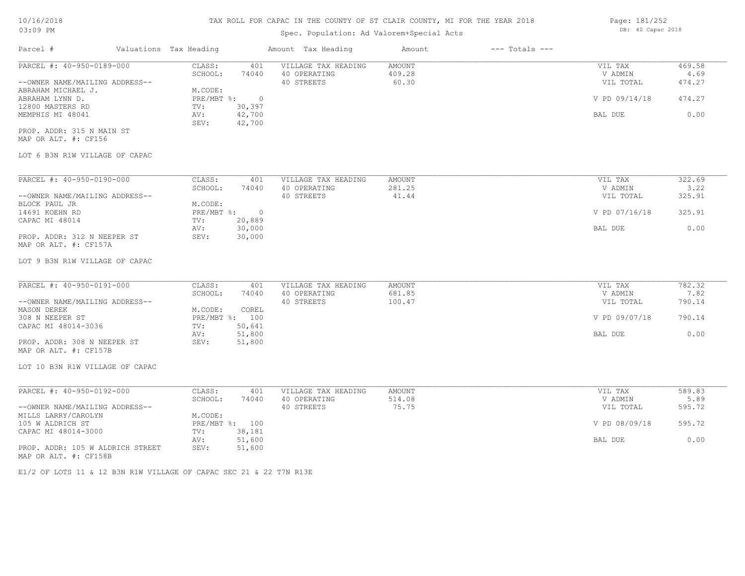# Spec. Population: Ad Valorem+Special Acts

| Parcel #                       | Valuations Tax Heading |        | Amount Tax Heading  | Amount | $---$ Totals $---$ |               |        |
|--------------------------------|------------------------|--------|---------------------|--------|--------------------|---------------|--------|
| PARCEL #: 40-950-0189-000      | CLASS:                 | 401    | VILLAGE TAX HEADING | AMOUNT |                    | VIL TAX       | 469.58 |
|                                | SCHOOL:                | 74040  | 40 OPERATING        | 409.28 |                    | V ADMIN       | 4.69   |
| --OWNER NAME/MAILING ADDRESS-- |                        |        | 40 STREETS          | 60.30  |                    | VIL TOTAL     | 474.27 |
| ABRAHAM MICHAEL J.             | M.CODE:                |        |                     |        |                    |               |        |
| ABRAHAM LYNN D.                | PRE/MBT %:             |        |                     |        |                    | V PD 09/14/18 | 474.27 |
| 12800 MASTERS RD               | TV:                    | 30,397 |                     |        |                    |               |        |
| MEMPHIS MI 48041               | AV:                    | 42,700 |                     |        |                    | BAL DUE       | 0.00   |
|                                | SEV:                   | 42,700 |                     |        |                    |               |        |
| PROP. ADDR: 315 N MAIN ST      |                        |        |                     |        |                    |               |        |
|                                |                        |        |                     |        |                    |               |        |

MAP OR ALT. #: CF156

## LOT 6 B3N R1W VILLAGE OF CAPAC

| PARCEL #: 40-950-0190-000      | CLASS:     | 401    | VILLAGE TAX HEADING | AMOUNT | VIL TAX       | 322.69 |
|--------------------------------|------------|--------|---------------------|--------|---------------|--------|
|                                | SCHOOL:    | 74040  | 40 OPERATING        | 281.25 | V ADMIN       | 3.22   |
| --OWNER NAME/MAILING ADDRESS-- |            |        | 40 STREETS          | 41.44  | VIL TOTAL     | 325.91 |
| BLOCK PAUL JR                  | M.CODE:    |        |                     |        |               |        |
| 14691 KOEHN RD                 | PRE/MBT %: | 0      |                     |        | V PD 07/16/18 | 325.91 |
| CAPAC MI 48014                 | TV:        | 20,889 |                     |        |               |        |
|                                | AV:        | 30,000 |                     |        | BAL DUE       | 0.00   |
| PROP. ADDR: 312 N NEEPER ST    | SEV:       | 30,000 |                     |        |               |        |
| MAP OR ALT. #: CF157A          |            |        |                     |        |               |        |

#### LOT 9 B3N R1W VILLAGE OF CAPAC

| PARCEL #: 40-950-0191-000      | CLASS:       | 401    | VILLAGE TAX HEADING | AMOUNT | VIL TAX       | 782.32 |
|--------------------------------|--------------|--------|---------------------|--------|---------------|--------|
|                                | SCHOOL:      | 74040  | 40 OPERATING        | 681.85 | V ADMIN       | 7.82   |
| --OWNER NAME/MAILING ADDRESS-- |              |        | 40 STREETS          | 100.47 | VIL TOTAL     | 790.14 |
| MASON DEREK                    | M.CODE:      | COREL  |                     |        |               |        |
| 308 N NEEPER ST                | $PRE/MBT$ %: | 100    |                     |        | V PD 09/07/18 | 790.14 |
| CAPAC MI 48014-3036            | TV:          | 50,641 |                     |        |               |        |
|                                | AV:          | 51,800 |                     |        | BAL DUE       | 0.00   |
| PROP. ADDR: 308 N NEEPER ST    | SEV:         | 51,800 |                     |        |               |        |

MAP OR ALT. #: CF157B

LOT 10 B3N R1W VILLAGE OF CAPAC

| PARCEL #: 40-950-0192-000        | CLASS:     | 401    | VILLAGE TAX HEADING | AMOUNT | VIL TAX       | 589.83 |
|----------------------------------|------------|--------|---------------------|--------|---------------|--------|
|                                  | SCHOOL:    | 74040  | 40 OPERATING        | 514.08 | V ADMIN       | 5.89   |
| --OWNER NAME/MAILING ADDRESS--   |            |        | 40 STREETS          | 75.75  | VIL TOTAL     | 595.72 |
| MILLS LARRY/CAROLYN              | M.CODE:    |        |                     |        |               |        |
| 105 W ALDRICH ST                 | PRE/MBT %: | 100    |                     |        | V PD 08/09/18 | 595.72 |
| CAPAC MI 48014-3000              | TV:        | 38,181 |                     |        |               |        |
|                                  | AV:        | 51,600 |                     |        | BAL DUE       | 0.00   |
| PROP. ADDR: 105 W ALDRICH STREET | SEV:       | 51,600 |                     |        |               |        |
| MAP OR ALT. #: CF158B            |            |        |                     |        |               |        |

E1/2 OF LOTS 11 & 12 B3N R1W VILLAGE OF CAPAC SEC 21 & 22 T7N R13E

Page: 181/252 DB: 40 Capac 2018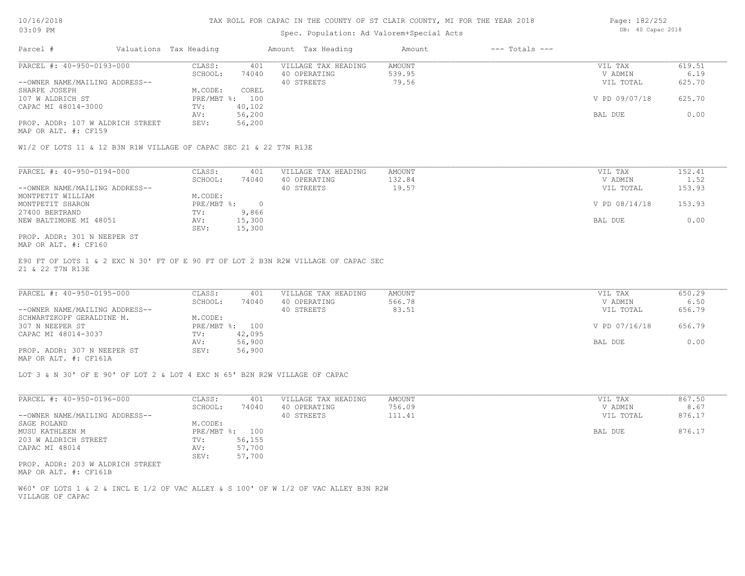# Spec. Population: Ad Valorem+Special Acts

| Parcel #                         | Valuations Tax Heading |        | Amount Tax Heading  | Amount | $---$ Totals $---$ |               |        |
|----------------------------------|------------------------|--------|---------------------|--------|--------------------|---------------|--------|
| PARCEL #: 40-950-0193-000        | CLASS:                 | 401    | VILLAGE TAX HEADING | AMOUNT |                    | VIL TAX       | 619.51 |
|                                  | SCHOOL:                | 74040  | 40 OPERATING        | 539.95 |                    | V ADMIN       | 6.19   |
| --OWNER NAME/MAILING ADDRESS--   |                        |        | 40 STREETS          | 79.56  |                    | VIL TOTAL     | 625.70 |
| SHARPE JOSEPH                    | M.CODE:                | COREL  |                     |        |                    |               |        |
| 107 W ALDRICH ST                 | PRE/MBT %: 100         |        |                     |        |                    | V PD 09/07/18 | 625.70 |
| CAPAC MI 48014-3000              | TV:                    | 40,102 |                     |        |                    |               |        |
|                                  | AV:                    | 56,200 |                     |        |                    | BAL DUE       | 0.00   |
| PROP. ADDR: 107 W ALDRICH STREET | SEV:                   | 56,200 |                     |        |                    |               |        |
|                                  |                        |        |                     |        |                    |               |        |

MAP OR ALT. #: CF159

W1/2 OF LOTS 11 & 12 B3N R1W VILLAGE OF CAPAC SEC 21 & 22 T7N R13E

| PARCEL #: 40-950-0194-000      | CLASS:     | 401    | VILLAGE TAX HEADING | AMOUNT | VIL TAX       | 152.41 |
|--------------------------------|------------|--------|---------------------|--------|---------------|--------|
|                                | SCHOOL:    | 74040  | 40 OPERATING        | 132.84 | V ADMIN       | 1.52   |
| --OWNER NAME/MAILING ADDRESS-- |            |        | 40 STREETS          | 19.57  | VIL TOTAL     | 153.93 |
| MONTPETIT WILLIAM              | M.CODE:    |        |                     |        |               |        |
| MONTPETIT SHARON               | PRE/MBT %: |        |                     |        | V PD 08/14/18 | 153.93 |
| 27400 BERTRAND                 | TV:        | 9,866  |                     |        |               |        |
| NEW BALTIMORE MI 48051         | AV:        | 15,300 |                     |        | BAL DUE       | 0.00   |
|                                | SEV:       | 15,300 |                     |        |               |        |
| PROP. ADDR: 301 N NEEPER ST    |            |        |                     |        |               |        |

MAP OR ALT. #: CF160

21 & 22 T7N R13E E90 FT OF LOTS 1 & 2 EXC N 30' FT OF E 90 FT OF LOT 2 B3N R2W VILLAGE OF CAPAC SEC

| PARCEL #: 40-950-0195-000      | CLASS:  | 401            | VILLAGE TAX HEADING | AMOUNT | VIL TAX       | 650.29 |
|--------------------------------|---------|----------------|---------------------|--------|---------------|--------|
|                                | SCHOOL: | 74040          | 40 OPERATING        | 566.78 | V ADMIN       | 6.50   |
| --OWNER NAME/MAILING ADDRESS-- |         |                | 40 STREETS          | 83.51  | VIL TOTAL     | 656.79 |
| SCHWARTZKOPF GERALDINE M.      | M.CODE: |                |                     |        |               |        |
| 307 N NEEPER ST                |         | PRE/MBT %: 100 |                     |        | V PD 07/16/18 | 656.79 |
| CAPAC MI 48014-3037            | TV:     | 42,095         |                     |        |               |        |
|                                | AV:     | 56,900         |                     |        | BAL DUE       | 0.00   |
| PROP. ADDR: 307 N NEEPER ST    | SEV:    | 56,900         |                     |        |               |        |
|                                |         |                |                     |        |               |        |

MAP OR ALT. #: CF161A

LOT 3 & N 30' OF E 90' OF LOT 2 & LOT 4 EXC N 65' B2N R2W VILLAGE OF CAPAC

| PARCEL #: 40-950-0196-000                                 | CLASS:     | 401    | VILLAGE TAX HEADING | AMOUNT | 867.50<br>VIL TAX   |  |
|-----------------------------------------------------------|------------|--------|---------------------|--------|---------------------|--|
|                                                           | SCHOOL:    | 74040  | 40 OPERATING        | 756.09 | 8.67<br>V ADMIN     |  |
| --OWNER NAME/MAILING ADDRESS--                            |            |        | 40 STREETS          | 111.41 | 876.17<br>VIL TOTAL |  |
| SAGE ROLAND                                               | M.CODE:    |        |                     |        |                     |  |
| MUSU KATHLEEN M                                           | PRE/MBT %: | 100    |                     |        | 876.17<br>BAL DUE   |  |
| 203 W ALDRICH STREET                                      | TV:        | 56,155 |                     |        |                     |  |
| CAPAC MI 48014                                            | AV:        | 57,700 |                     |        |                     |  |
|                                                           | SEV:       | 57,700 |                     |        |                     |  |
| PROP. ADDR: 203 W ALDRICH STREET<br>MAP OR ALT. #: CF161B |            |        |                     |        |                     |  |

VILLAGE OF CAPAC W60' OF LOTS 1 & 2 & INCL E 1/2 OF VAC ALLEY & S 100' OF W 1/2 OF VAC ALLEY B3N R2W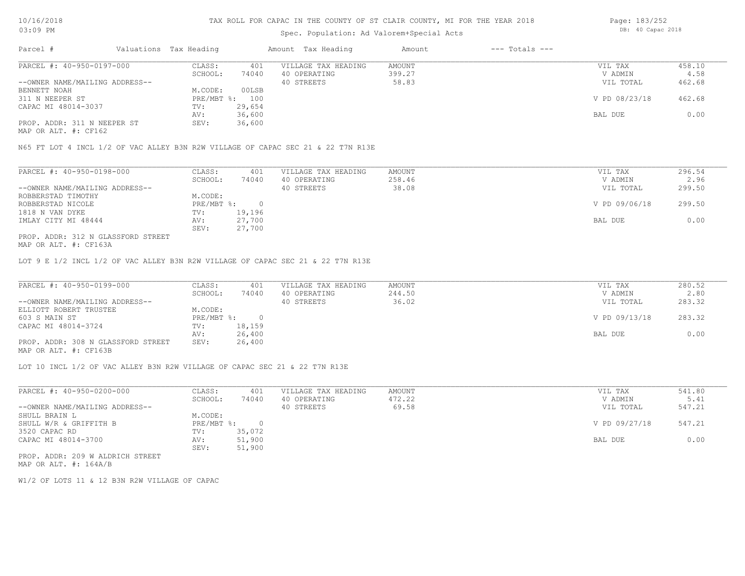## Spec. Population: Ad Valorem+Special Acts

| Page: 183/252     |
|-------------------|
| DB: 40 Capac 2018 |

| Parcel #                       | Valuations Tax Heading |        | Amount Tax Heading  | Amount | $---$ Totals $---$ |               |        |
|--------------------------------|------------------------|--------|---------------------|--------|--------------------|---------------|--------|
| PARCEL #: 40-950-0197-000      | CLASS:                 | 401    | VILLAGE TAX HEADING | AMOUNT |                    | VIL TAX       | 458.10 |
|                                | SCHOOL:                | 74040  | 40 OPERATING        | 399.27 |                    | V ADMIN       | 4.58   |
| --OWNER NAME/MAILING ADDRESS-- |                        |        | 40 STREETS          | 58.83  |                    | VIL TOTAL     | 462.68 |
| BENNETT NOAH                   | M.CODE:                | 00LSB  |                     |        |                    |               |        |
| 311 N NEEPER ST                | PRE/MBT %: 100         |        |                     |        |                    | V PD 08/23/18 | 462.68 |
| CAPAC MI 48014-3037            | TV:                    | 29,654 |                     |        |                    |               |        |
|                                | AV:                    | 36,600 |                     |        |                    | BAL DUE       | 0.00   |
| PROP. ADDR: 311 N NEEPER ST    | SEV:                   | 36,600 |                     |        |                    |               |        |
|                                |                        |        |                     |        |                    |               |        |

MAP OR ALT. #: CF162

N65 FT LOT 4 INCL 1/2 OF VAC ALLEY B3N R2W VILLAGE OF CAPAC SEC 21 & 22 T7N R13E

| PARCEL #: 40-950-0198-000          | CLASS:     | 401    | VILLAGE TAX HEADING | AMOUNT | VIL TAX       | 296.54 |
|------------------------------------|------------|--------|---------------------|--------|---------------|--------|
|                                    | SCHOOL:    | 74040  | 40 OPERATING        | 258.46 | V ADMIN       | 2.96   |
| --OWNER NAME/MAILING ADDRESS--     |            |        | 40 STREETS          | 38.08  | VIL TOTAL     | 299.50 |
| ROBBERSTAD TIMOTHY                 | M.CODE:    |        |                     |        |               |        |
| ROBBERSTAD NICOLE                  | PRE/MBT %: |        |                     |        | V PD 09/06/18 | 299.50 |
| 1818 N VAN DYKE                    | TV:        | 19,196 |                     |        |               |        |
| IMLAY CITY MI 48444                | AV:        | 27,700 |                     |        | BAL DUE       | 0.00   |
|                                    | SEV:       | 27,700 |                     |        |               |        |
| PROP. ADDR: 312 N GLASSFORD STREET |            |        |                     |        |               |        |

MAP OR ALT. #: CF163A

LOT 9 E 1/2 INCL 1/2 OF VAC ALLEY B3N R2W VILLAGE OF CAPAC SEC 21 & 22 T7N R13E

| PARCEL #: 40-950-0199-000                                                                   | CLASS:       | 401    | VILLAGE TAX HEADING | AMOUNT | VIL TAX       | 280.52 |
|---------------------------------------------------------------------------------------------|--------------|--------|---------------------|--------|---------------|--------|
|                                                                                             | SCHOOL:      | 74040  | 40 OPERATING        | 244.50 | V ADMIN       | 2.80   |
| --OWNER NAME/MAILING ADDRESS--                                                              |              |        | 40 STREETS          | 36.02  | VIL TOTAL     | 283.32 |
| ELLIOTT ROBERT TRUSTEE                                                                      | M.CODE:      |        |                     |        |               |        |
| 603 S MAIN ST                                                                               | $PRE/MBT$ %: |        |                     |        | V PD 09/13/18 | 283.32 |
| CAPAC MI 48014-3724                                                                         | TV:          | 18,159 |                     |        |               |        |
|                                                                                             | AV:          | 26,400 |                     |        | BAL DUE       | 0.00   |
| PROP. ADDR: 308 N GLASSFORD STREET<br>$\cdots$ $\cdots$ $\cdots$ $\cdots$ $\cdots$ $\cdots$ | SEV:         | 26,400 |                     |        |               |        |

MAP OR ALT. #: CF163B

LOT 10 INCL 1/2 OF VAC ALLEY B3N R2W VILLAGE OF CAPAC SEC 21 & 22 T7N R13E

| PARCEL #: 40-950-0200-000        | CLASS:       | 401    | VILLAGE TAX HEADING | AMOUNT | VIL TAX       | 541.80 |
|----------------------------------|--------------|--------|---------------------|--------|---------------|--------|
|                                  | SCHOOL:      | 74040  | 40 OPERATING        | 472.22 | V ADMIN       | 5.41   |
| --OWNER NAME/MAILING ADDRESS--   |              |        | 40 STREETS          | 69.58  | VIL TOTAL     | 547.21 |
| SHULL BRAIN L                    | M.CODE:      |        |                     |        |               |        |
| SHULL W/R & GRIFFITH B           | $PRE/MBT$ %: |        |                     |        | V PD 09/27/18 | 547.21 |
| 3520 CAPAC RD                    | TV:          | 35,072 |                     |        |               |        |
| CAPAC MI 48014-3700              | AV:          | 51,900 |                     |        | BAL DUE       | 0.00   |
|                                  | SEV:         | 51,900 |                     |        |               |        |
| PROP. ADDR: 209 W ALDRICH STREET |              |        |                     |        |               |        |

MAP OR ALT. #: 164A/B

W1/2 OF LOTS 11 & 12 B3N R2W VILLAGE OF CAPAC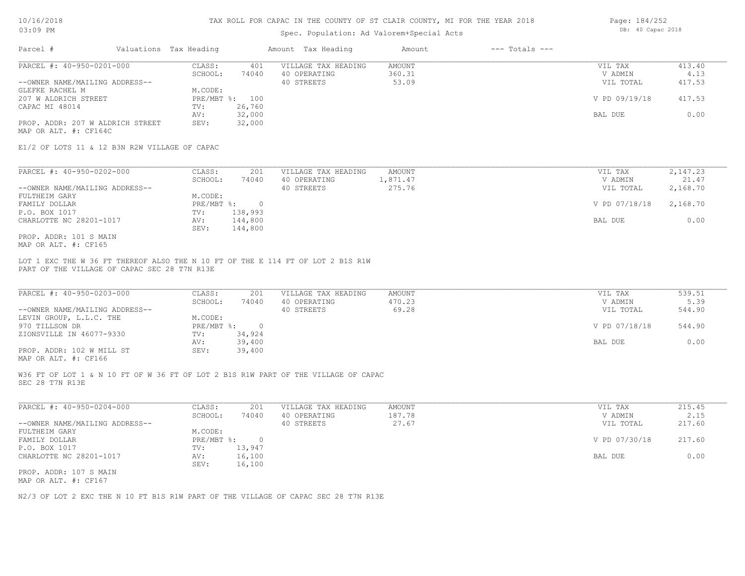### Spec. Population: Ad Valorem+Special Acts

| Parcel #                         | Valuations Tax Heading |        | Amount Tax Heading  | Amount | $---$ Totals $---$ |               |        |
|----------------------------------|------------------------|--------|---------------------|--------|--------------------|---------------|--------|
| PARCEL #: 40-950-0201-000        | CLASS:                 | 401    | VILLAGE TAX HEADING | AMOUNT |                    | VIL TAX       | 413.40 |
|                                  | SCHOOL:                | 74040  | 40 OPERATING        | 360.31 |                    | V ADMIN       | 4.13   |
| --OWNER NAME/MAILING ADDRESS--   |                        |        | 40 STREETS          | 53.09  |                    | VIL TOTAL     | 417.53 |
| GLEFKE RACHEL M                  | M.CODE:                |        |                     |        |                    |               |        |
| 207 W ALDRICH STREET             | PRE/MBT %: 100         |        |                     |        |                    | V PD 09/19/18 | 417.53 |
| CAPAC MI 48014                   | TV:                    | 26,760 |                     |        |                    |               |        |
|                                  | AV:                    | 32,000 |                     |        |                    | BAL DUE       | 0.00   |
| PROP. ADDR: 207 W ALDRICH STREET | SEV:                   | 32,000 |                     |        |                    |               |        |
|                                  |                        |        |                     |        |                    |               |        |

MAP OR ALT. #: CF164C

E1/2 OF LOTS 11 & 12 B3N R2W VILLAGE OF CAPAC

| PARCEL #: 40-950-0202-000      | 201<br>VILLAGE TAX HEADING<br>AMOUNT<br>CLASS: | 2,147.23<br>VIL TAX       |
|--------------------------------|------------------------------------------------|---------------------------|
|                                | 74040<br>1,871.47<br>SCHOOL:<br>40 OPERATING   | 21.47<br>V ADMIN          |
| --OWNER NAME/MAILING ADDRESS-- | 275.76<br>40 STREETS                           | 2,168.70<br>VIL TOTAL     |
| FULTHEIM GARY                  | M.CODE:                                        |                           |
| FAMILY DOLLAR                  | $PRE/MBT$ %:                                   | V PD 07/18/18<br>2,168.70 |
| P.O. BOX 1017                  | 138,993<br>TV:                                 |                           |
| CHARLOTTE NC 28201-1017        | 144,800<br>AV:                                 | 0.00<br>BAL DUE           |
|                                | 144,800<br>SEV:                                |                           |
| PROP. ADDR: 101 S MAIN         |                                                |                           |

MAP OR ALT. #: CF165

PART OF THE VILLAGE OF CAPAC SEC 28 T7N R13E LOT 1 EXC THE W 36 FT THEREOF ALSO THE N 10 FT OF THE E 114 FT OF LOT 2 B1S R1W

| PARCEL #: 40-950-0203-000      | CLASS:     | 201    | VILLAGE TAX HEADING | AMOUNT | VIL TAX       | 539.51 |
|--------------------------------|------------|--------|---------------------|--------|---------------|--------|
|                                | SCHOOL:    | 74040  | 40 OPERATING        | 470.23 | V ADMIN       | 5.39   |
| --OWNER NAME/MAILING ADDRESS-- |            |        | 40 STREETS          | 69.28  | VIL TOTAL     | 544.90 |
| LEVIN GROUP, L.L.C. THE        | M.CODE:    |        |                     |        |               |        |
| 970 TILLSON DR                 | PRE/MBT %: |        |                     |        | V PD 07/18/18 | 544.90 |
| ZIONSVILLE IN 46077-9330       | TV:        | 34,924 |                     |        |               |        |
|                                | AV:        | 39,400 |                     |        | BAL DUE       | 0.00   |
| PROP. ADDR: 102 W MILL ST      | SEV:       | 39,400 |                     |        |               |        |
|                                |            |        |                     |        |               |        |

MAP OR ALT. #: CF166

SEC 28 T7N R13E W36 FT OF LOT 1 & N 10 FT OF W 36 FT OF LOT 2 B1S R1W PART OF THE VILLAGE OF CAPAC

| PARCEL #: 40-950-0204-000      | CLASS:       | 201    | VILLAGE TAX HEADING | AMOUNT | VIL TAX       | 215.45 |
|--------------------------------|--------------|--------|---------------------|--------|---------------|--------|
|                                | SCHOOL:      | 74040  | 40 OPERATING        | 187.78 | V ADMIN       | 2.15   |
| --OWNER NAME/MAILING ADDRESS-- |              |        | 40 STREETS          | 27.67  | VIL TOTAL     | 217.60 |
| FULTHEIM GARY                  | M.CODE:      |        |                     |        |               |        |
| FAMILY DOLLAR                  | $PRE/MBT$ %: |        |                     |        | V PD 07/30/18 | 217.60 |
| P.O. BOX 1017                  | TV:          | 13,947 |                     |        |               |        |
| CHARLOTTE NC 28201-1017        | AV:          | 16,100 |                     |        | BAL DUE       | 0.00   |
|                                | SEV:         | 16,100 |                     |        |               |        |
| PROP. ADDR: 107 S MAIN         |              |        |                     |        |               |        |

MAP OR ALT. #: CF167

N2/3 OF LOT 2 EXC THE N 10 FT B1S R1W PART OF THE VILLAGE OF CAPAC SEC 28 T7N R13E

Page: 184/252 DB: 40 Capac 2018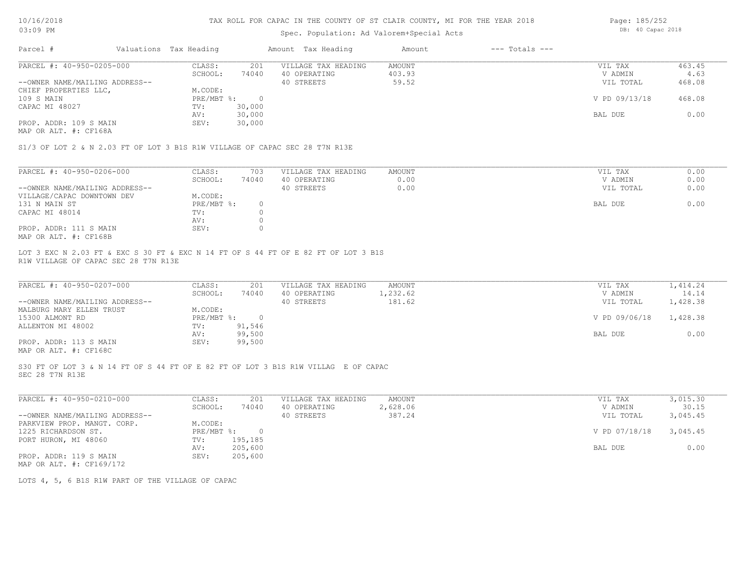## Spec. Population: Ad Valorem+Special Acts

| Page: 185/252 |                   |  |
|---------------|-------------------|--|
|               | DB: 40 Capac 2018 |  |

| Parcel #                       | Valuations Tax Heading |        | Amount Tax Heading  | Amount | $---$ Totals $---$ |               |        |
|--------------------------------|------------------------|--------|---------------------|--------|--------------------|---------------|--------|
| PARCEL #: 40-950-0205-000      | CLASS:                 | 201    | VILLAGE TAX HEADING | AMOUNT |                    | VIL TAX       | 463.45 |
|                                | SCHOOL:                | 74040  | 40 OPERATING        | 403.93 |                    | V ADMIN       | 4.63   |
| --OWNER NAME/MAILING ADDRESS-- |                        |        | 40 STREETS          | 59.52  |                    | VIL TOTAL     | 468.08 |
| CHIEF PROPERTIES LLC,          | M.CODE:                |        |                     |        |                    |               |        |
| 109 S MAIN                     | PRE/MBT %:             |        |                     |        |                    | V PD 09/13/18 | 468.08 |
| CAPAC MI 48027                 | TV:                    | 30,000 |                     |        |                    |               |        |
|                                | AV:                    | 30,000 |                     |        |                    | BAL DUE       | 0.00   |
| PROP. ADDR: 109 S MAIN         | SEV:                   | 30,000 |                     |        |                    |               |        |
|                                |                        |        |                     |        |                    |               |        |

MAP OR ALT. #: CF168A

S1/3 OF LOT 2 & N 2.03 FT OF LOT 3 B1S R1W VILLAGE OF CAPAC SEC 28 T7N R13E

| PARCEL #: 40-950-0206-000      | CLASS:     | 703   | VILLAGE TAX HEADING | AMOUNT | VIL TAX   | 0.00 |
|--------------------------------|------------|-------|---------------------|--------|-----------|------|
|                                | SCHOOL:    | 74040 | 40 OPERATING        | 0.00   | V ADMIN   | 0.00 |
| --OWNER NAME/MAILING ADDRESS-- |            |       | 40 STREETS          | 0.00   | VIL TOTAL | 0.00 |
| VILLAGE/CAPAC DOWNTOWN DEV     | M.CODE:    |       |                     |        |           |      |
| 131 N MAIN ST                  | PRE/MBT %: |       |                     |        | BAL DUE   | 0.00 |
| CAPAC MI 48014                 | TV:        |       |                     |        |           |      |
|                                | AV:        |       |                     |        |           |      |
| PROP. ADDR: 111 S MAIN         | SEV:       |       |                     |        |           |      |
| MAP OR ALT. #: CF168B          |            |       |                     |        |           |      |

LOT 3 EXC N 2.03 FT & EXC S 30 FT & EXC N 14 FT OF S 44 FT OF E 82 FT OF LOT 3 B1S

R1W VILLAGE OF CAPAC SEC 28 T7N R13E

| PARCEL #: 40-950-0207-000      | CLASS:     | 201    | VILLAGE TAX HEADING | AMOUNT   | VIL TAX       | 1,414.24 |
|--------------------------------|------------|--------|---------------------|----------|---------------|----------|
|                                | SCHOOL:    | 74040  | 40 OPERATING        | 1,232.62 | V ADMIN       | 14.14    |
| --OWNER NAME/MAILING ADDRESS-- |            |        | 40 STREETS          | 181.62   | VIL TOTAL     | 1,428.38 |
| MALBURG MARY ELLEN TRUST       | M.CODE:    |        |                     |          |               |          |
| 15300 ALMONT RD                | PRE/MBT %: |        |                     |          | V PD 09/06/18 | 1,428.38 |
| ALLENTON MI 48002              | TV:        | 91,546 |                     |          |               |          |
|                                | AV:        | 99,500 |                     |          | BAL DUE       | 0.00     |
| PROP. ADDR: 113 S MAIN         | SEV:       | 99,500 |                     |          |               |          |
|                                |            |        |                     |          |               |          |

MAP OR ALT. #: CF168C

SEC 28 T7N R13E S30 FT OF LOT 3 & N 14 FT OF S 44 FT OF E 82 FT OF LOT 3 B1S R1W VILLAG E OF CAPAC

| PARCEL #: 40-950-0210-000      | CLASS:     | 201     | VILLAGE TAX HEADING | AMOUNT   | VIL TAX       | 3,015.30 |
|--------------------------------|------------|---------|---------------------|----------|---------------|----------|
|                                | SCHOOL:    | 74040   | 40 OPERATING        | 2,628.06 | V ADMIN       | 30.15    |
| --OWNER NAME/MAILING ADDRESS-- |            |         | 40 STREETS          | 387.24   | VIL TOTAL     | 3,045.45 |
| PARKVIEW PROP. MANGT. CORP.    | M.CODE:    |         |                     |          |               |          |
| 1225 RICHARDSON ST.            | PRE/MBT %: | $\cap$  |                     |          | V PD 07/18/18 | 3,045.45 |
| PORT HURON, MI 48060           | TV:        | 195,185 |                     |          |               |          |
|                                | AV:        | 205,600 |                     |          | BAL DUE       | 0.00     |
| PROP. ADDR: 119 S MAIN         | SEV:       | 205,600 |                     |          |               |          |
| MAP OR ALT. #: CF169/172       |            |         |                     |          |               |          |

LOTS 4, 5, 6 B1S R1W PART OF THE VILLAGE OF CAPAC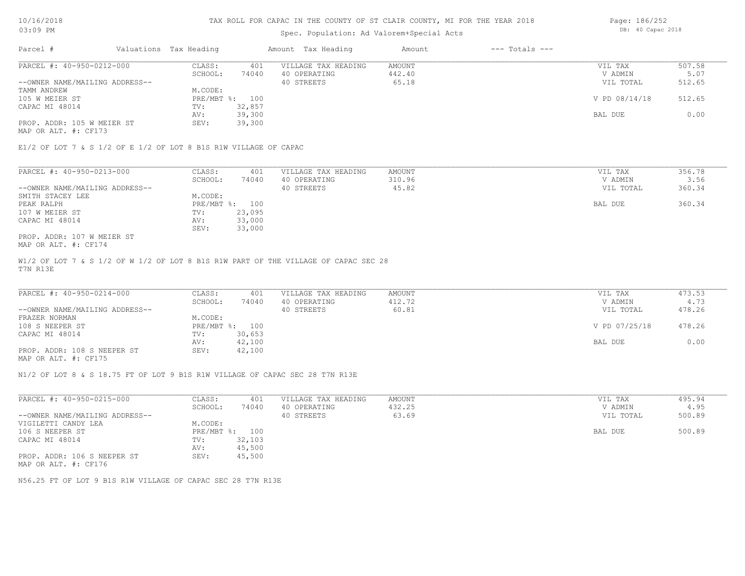# Spec. Population: Ad Valorem+Special Acts

| Parcel #                       | Valuations Tax Heading |        | Amount Tax Heading  | Amount | $---$ Totals $---$ |               |        |
|--------------------------------|------------------------|--------|---------------------|--------|--------------------|---------------|--------|
| PARCEL #: 40-950-0212-000      | CLASS:                 | 401    | VILLAGE TAX HEADING | AMOUNT |                    | VIL TAX       | 507.58 |
|                                | SCHOOL:                | 74040  | 40 OPERATING        | 442.40 |                    | V ADMIN       | 5.07   |
| --OWNER NAME/MAILING ADDRESS-- |                        |        | 40 STREETS          | 65.18  |                    | VIL TOTAL     | 512.65 |
| TAMM ANDREW                    | M.CODE:                |        |                     |        |                    |               |        |
| 105 W MEIER ST                 | PRE/MBT %: 100         |        |                     |        |                    | V PD 08/14/18 | 512.65 |
| CAPAC MI 48014                 | TV:                    | 32,857 |                     |        |                    |               |        |
|                                | AV:                    | 39,300 |                     |        |                    | BAL DUE       | 0.00   |
| PROP. ADDR: 105 W MEIER ST     | SEV:                   | 39,300 |                     |        |                    |               |        |
|                                |                        |        |                     |        |                    |               |        |

MAP OR ALT. #: CF173

E1/2 OF LOT 7 & S 1/2 OF E 1/2 OF LOT 8 B1S R1W VILLAGE OF CAPAC

| PARCEL #: 40-950-0213-000      | CLASS:  | 401            | VILLAGE TAX HEADING | AMOUNT | VIL TAX   | 356.78 |
|--------------------------------|---------|----------------|---------------------|--------|-----------|--------|
|                                | SCHOOL: | 74040          | 40 OPERATING        | 310.96 | V ADMIN   | 3.56   |
| --OWNER NAME/MAILING ADDRESS-- |         |                | 40 STREETS          | 45.82  | VIL TOTAL | 360.34 |
| SMITH STACEY LEE               | M.CODE: |                |                     |        |           |        |
| PEAK RALPH                     |         | PRE/MBT %: 100 |                     |        | BAL DUE   | 360.34 |
| 107 W MEIER ST                 | TV:     | 23,095         |                     |        |           |        |
| CAPAC MI 48014                 | AV:     | 33,000         |                     |        |           |        |
|                                | SEV:    | 33,000         |                     |        |           |        |
| PROP. ADDR: 107 W MEIER ST     |         |                |                     |        |           |        |

MAP OR ALT. #: CF174

T7N R13E W1/2 OF LOT 7 & S 1/2 OF W 1/2 OF LOT 8 B1S R1W PART OF THE VILLAGE OF CAPAC SEC 28

| PARCEL #: 40-950-0214-000      | CLASS:  | 401            | VILLAGE TAX HEADING | AMOUNT | VIL TAX       | 473.53 |
|--------------------------------|---------|----------------|---------------------|--------|---------------|--------|
|                                | SCHOOL: | 74040          | 40 OPERATING        | 412.72 | V ADMIN       | 4.73   |
| --OWNER NAME/MAILING ADDRESS-- |         |                | 40 STREETS          | 60.81  | VIL TOTAL     | 478.26 |
| FRAZER NORMAN                  | M.CODE: |                |                     |        |               |        |
| 108 S NEEPER ST                |         | PRE/MBT %: 100 |                     |        | V PD 07/25/18 | 478.26 |
| CAPAC MI 48014                 | TV:     | 30,653         |                     |        |               |        |
|                                | AV:     | 42,100         |                     |        | BAL DUE       | 0.00   |
| PROP. ADDR: 108 S NEEPER ST    | SEV:    | 42,100         |                     |        |               |        |
|                                |         |                |                     |        |               |        |

MAP OR ALT. #: CF175

N1/2 OF LOT 8 & S 18.75 FT OF LOT 9 B1S R1W VILLAGE OF CAPAC SEC 28 T7N R13E

| PARCEL #: 40-950-0215-000      | CLASS:     | 401    | VILLAGE TAX HEADING | AMOUNT | VIL TAX   | 495.94 |
|--------------------------------|------------|--------|---------------------|--------|-----------|--------|
|                                | SCHOOL:    | 74040  | 40 OPERATING        | 432.25 | V ADMIN   | 4.95   |
| --OWNER NAME/MAILING ADDRESS-- |            |        | 40 STREETS          | 63.69  | VIL TOTAL | 500.89 |
| VIGILETTI CANDY LEA            | M.CODE:    |        |                     |        |           |        |
| 106 S NEEPER ST                | PRE/MBT %: | 100    |                     |        | BAL DUE   | 500.89 |
| CAPAC MI 48014                 | TV:        | 32,103 |                     |        |           |        |
|                                | AV:        | 45,500 |                     |        |           |        |
| PROP. ADDR: 106 S NEEPER ST    | SEV:       | 45,500 |                     |        |           |        |
| MAP OR ALT. #: CF176           |            |        |                     |        |           |        |

N56.25 FT OF LOT 9 B1S R1W VILLAGE OF CAPAC SEC 28 T7N R13E

Page: 186/252 DB: 40 Capac 2018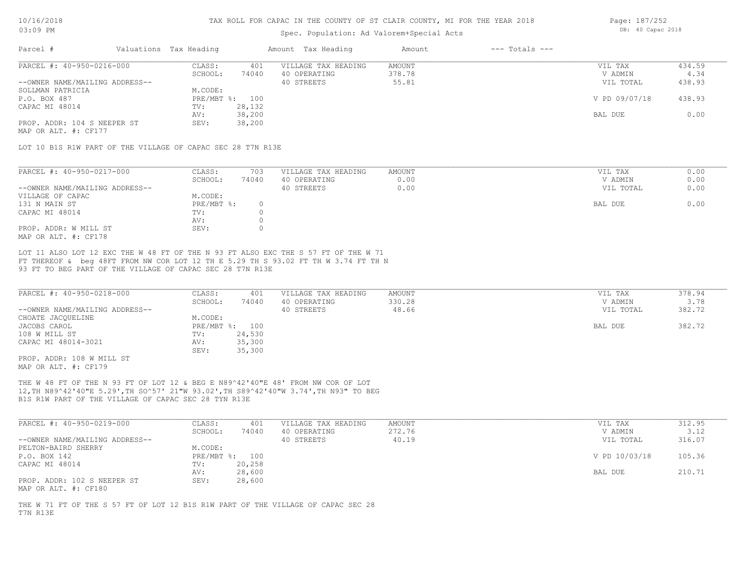| UJIUY FIMI                |                        |       | Spec. Population: Ad Valorem+Special Acts |        | DD. TV Capac LUIU |         |        |
|---------------------------|------------------------|-------|-------------------------------------------|--------|-------------------|---------|--------|
| Parcel #                  | Valuations Tax Heading |       | Amount Tax Heading                        | Amount | --- Totals ---    |         |        |
| PARCEL #: 40-950-0216-000 | CLASS:                 | 401   | VILLAGE TAX HEADING                       | AMOUNT |                   | VIL TAX | 434.59 |
|                           | SCHOOL.                | 74040 | 40 OPERATING                              | 378 78 |                   | V ADMIN |        |

|                                | SCHOOL:        | 74040  | 40 OPERATING | 378.78 | V ADMIN       | 4.34   |
|--------------------------------|----------------|--------|--------------|--------|---------------|--------|
| --OWNER NAME/MAILING ADDRESS-- |                |        | 40 STREETS   | 55.81  | VIL TOTAL     | 438.93 |
| SOLLMAN PATRICIA               | M.CODE:        |        |              |        |               |        |
| P.O. BOX 487                   | PRE/MBT %: 100 |        |              |        | V PD 09/07/18 | 438.93 |
| CAPAC MI 48014                 | TV:            | 28,132 |              |        |               |        |
|                                | AV:            | 38,200 |              |        | BAL DUE       | 0.00   |
| PROP. ADDR: 104 S NEEPER ST    | SEV:           | 38,200 |              |        |               |        |

MAP OR ALT. #: CF177

LOT 10 B1S R1W PART OF THE VILLAGE OF CAPAC SEC 28 T7N R13E

| PARCEL #: 40-950-0217-000      | CLASS:     | 703   | VILLAGE TAX HEADING | AMOUNT | VIL TAX   | 0.00 |
|--------------------------------|------------|-------|---------------------|--------|-----------|------|
|                                | SCHOOL:    | 74040 | 40 OPERATING        | 0.00   | V ADMIN   | 0.00 |
| --OWNER NAME/MAILING ADDRESS-- |            |       | 40 STREETS          | 0.00   | VIL TOTAL | 0.00 |
| VILLAGE OF CAPAC               | M.CODE:    |       |                     |        |           |      |
| 131 N MAIN ST                  | PRE/MBT %: |       |                     |        | BAL DUE   | 0.00 |
| CAPAC MI 48014                 | TV:        |       |                     |        |           |      |
|                                | AV:        |       |                     |        |           |      |
| PROP. ADDR: W MILL ST          | SEV:       |       |                     |        |           |      |
| MAP OR ALT. #: CF178           |            |       |                     |        |           |      |

93 FT TO BEG PART OF THE VILLAGE OF CAPAC SEC 28 T7N R13E FT THEREOF & beg 48FT FROM NW COR LOT 12 TH E 5.29 TH S 93.02 FT TH W 3.74 FT TH N LOT 11 ALSO LOT 12 EXC THE W 48 FT OF THE N 93 FT ALSO EXC THE S 57 FT OF THE W 71

| PARCEL #: 40-950-0218-000      | CLASS:       | 401    | VILLAGE TAX HEADING | AMOUNT | VIL TAX   | 378.94 |
|--------------------------------|--------------|--------|---------------------|--------|-----------|--------|
|                                | SCHOOL:      | 74040  | 40 OPERATING        | 330.28 | V ADMIN   | 3.78   |
| --OWNER NAME/MAILING ADDRESS-- |              |        | 40 STREETS          | 48.66  | VIL TOTAL | 382.72 |
| CHOATE JACQUELINE              | M.CODE:      |        |                     |        |           |        |
| JACOBS CAROL                   | $PRE/MBT$ %: | 100    |                     |        | BAL DUE   | 382.72 |
| 108 W MILL ST                  | TV:          | 24,530 |                     |        |           |        |
| CAPAC MI 48014-3021            | AV:          | 35,300 |                     |        |           |        |
|                                | SEV:         | 35,300 |                     |        |           |        |
| PROP. ADDR: 108 W MILL ST      |              |        |                     |        |           |        |

MAP OR ALT. #: CF179

B1S R1W PART OF THE VILLAGE OF CAPAC SEC 28 TYN R13E 12,TH N89^42'40"E 5.29',TH SO^57' 21"W 93.02',TH S89^42'40"W 3.74',TH N93" TO BEG THE W 48 FT OF THE N 93 FT OF LOT 12 & BEG E N89^42'40"E 48' FROM NW COR OF LOT

| PARCEL #: 40-950-0219-000      | CLASS:  | 401            | VILLAGE TAX HEADING | AMOUNT | VIL TAX       | 312.95 |
|--------------------------------|---------|----------------|---------------------|--------|---------------|--------|
|                                | SCHOOL: | 74040          | 40 OPERATING        | 272.76 | V ADMIN       | 3.12   |
| --OWNER NAME/MAILING ADDRESS-- |         |                | 40 STREETS          | 40.19  | VIL TOTAL     | 316.07 |
| PELTON-BAIRD SHERRY            | M.CODE: |                |                     |        |               |        |
| P.O. BOX 142                   |         | PRE/MBT %: 100 |                     |        | V PD 10/03/18 | 105.36 |
| CAPAC MI 48014                 | TV:     | 20,258         |                     |        |               |        |
|                                | AV:     | 28,600         |                     |        | BAL DUE       | 210.71 |
| PROP. ADDR: 102 S NEEPER ST    | SEV:    | 28,600         |                     |        |               |        |
| MAP OR ALT. #: CF180           |         |                |                     |        |               |        |

T7N R13E THE W 71 FT OF THE S 57 FT OF LOT 12 B1S R1W PART OF THE VILLAGE OF CAPAC SEC 28 Page: 187/252 DB: 40 Capac 2018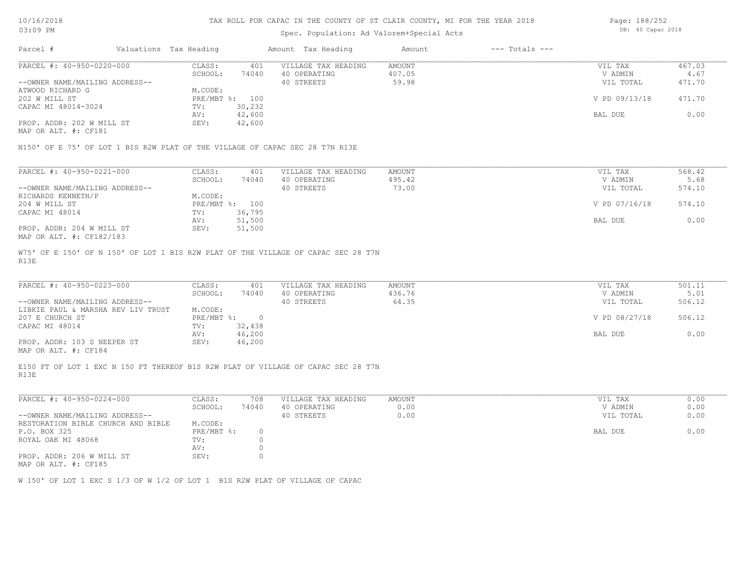#### Spec. Population: Ad Valorem+Special Acts

| VU.VU LII                      |                        |        | Spec. Population: Ad Valorem+Special Acts | --. -- ----- --- |                    |               |        |
|--------------------------------|------------------------|--------|-------------------------------------------|------------------|--------------------|---------------|--------|
| Parcel #                       | Valuations Tax Heading |        | Amount Tax Heading                        | Amount           | $---$ Totals $---$ |               |        |
| PARCEL #: 40-950-0220-000      | CLASS:                 | 401    | VILLAGE TAX HEADING                       | AMOUNT           |                    | VIL TAX       | 467.03 |
|                                | SCHOOL:                | 74040  | 40 OPERATING                              | 407.05           |                    | V ADMIN       | 4.67   |
| --OWNER NAME/MAILING ADDRESS-- |                        |        | 40 STREETS                                | 59.98            |                    | VIL TOTAL     | 471.70 |
| ATWOOD RICHARD G               | M.CODE:                |        |                                           |                  |                    |               |        |
| 202 W MILL ST                  | PRE/MBT %: 100         |        |                                           |                  |                    | V PD 09/13/18 | 471.70 |
| CAPAC MI 48014-3024            | TV:                    | 30,232 |                                           |                  |                    |               |        |
|                                | AV:                    | 42,600 |                                           |                  |                    | BAL DUE       | 0.00   |

MAP OR ALT. #: CF181 PROP. ADDR: 202 W MILL ST SEV: 42,600

N150' OF E 75' OF LOT 1 BIS R2W PLAT OF THE VILLAGE OF CAPAC SEC 28 T7N R13E

| PARCEL #: 40-950-0221-000      | CLASS:  | 401            | VILLAGE TAX HEADING | AMOUNT | VIL TAX       | 568.42 |
|--------------------------------|---------|----------------|---------------------|--------|---------------|--------|
|                                | SCHOOL: | 74040          | 40 OPERATING        | 495.42 | V ADMIN       | 5.68   |
| --OWNER NAME/MAILING ADDRESS-- |         |                | 40 STREETS          | 73.00  | VIL TOTAL     | 574.10 |
| RICHARDS KENNETH/P             | M.CODE: |                |                     |        |               |        |
| 204 W MILL ST                  |         | PRE/MBT %: 100 |                     |        | V PD 07/16/18 | 574.10 |
| CAPAC MI 48014                 | TV:     | 36,795         |                     |        |               |        |
|                                | AV:     | 51,500         |                     |        | BAL DUE       | 0.00   |
| PROP. ADDR: 204 W MILL ST      | SEV:    | 51,500         |                     |        |               |        |
| MAP OR ALT. #: CF182/183       |         |                |                     |        |               |        |

AV: 42,600 BAL DUE 0.00

R13E W75' OF E 150' OF N 150' OF LOT 1 BIS R2W PLAT OF THE VILLAGE OF CAPAC SEC 28 T7N

| PARCEL #: 40-950-0223-000          | CLASS:       | 401    | VILLAGE TAX HEADING | AMOUNT | VIL TAX       | 501.11 |
|------------------------------------|--------------|--------|---------------------|--------|---------------|--------|
|                                    | SCHOOL:      | 74040  | 40 OPERATING        | 436.76 | V ADMIN       | 5.01   |
| --OWNER NAME/MAILING ADDRESS--     |              |        | 40 STREETS          | 64.35  | VIL TOTAL     | 506.12 |
| LIBKIE PAUL & MARSHA REV LIV TRUST | M.CODE:      |        |                     |        |               |        |
| 207 E CHURCH ST                    | $PRE/MBT$ %: |        |                     |        | V PD 08/27/18 | 506.12 |
| CAPAC MI 48014                     | TV:          | 32,438 |                     |        |               |        |
|                                    | AV:          | 46,200 |                     |        | BAL DUE       | 0.00   |
| PROP. ADDR: 103 S NEEPER ST        | SEV:         | 46,200 |                     |        |               |        |
|                                    |              |        |                     |        |               |        |

MAP OR ALT. #: CF184

R13E E150 FT OF LOT 1 EXC N 150 FT THEREOF B1S R2W PLAT OF VILLAGE OF CAPAC SEC 28 T7N

| PARCEL #: 40-950-0224-000                  | CLASS:     | 708   | VILLAGE TAX HEADING | AMOUNT | 0.00<br>VIL TAX   |
|--------------------------------------------|------------|-------|---------------------|--------|-------------------|
|                                            | SCHOOL:    | 74040 | 40 OPERATING        | 0.00   | 0.00<br>V ADMIN   |
| --OWNER NAME/MAILING ADDRESS--             |            |       | 40 STREETS          | 0.00   | 0.00<br>VIL TOTAL |
| RESTORATION BIBLE CHURCH AND BIBLE         | M.CODE:    |       |                     |        |                   |
| P.O. BOX 325                               | PRE/MBT %: |       |                     |        | BAL DUE<br>0.00   |
| ROYAL OAK MI 48068                         | TV:        |       |                     |        |                   |
|                                            | AV:        |       |                     |        |                   |
| PROP. ADDR: 206 W MILL ST<br>$\frac{1}{2}$ | SEV:       |       |                     |        |                   |

MAP OR ALT. #: CF185

W 150' OF LOT 1 EXC S 1/3 OF W 1/2 OF LOT 1 B1S R2W PLAT OF VILLAGE OF CAPAC

Page: 188/252 DB: 40 Capac 2018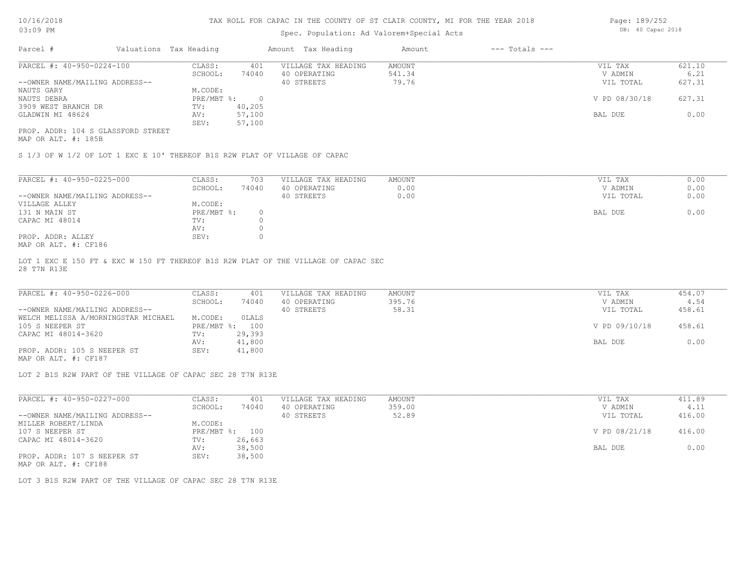## Spec. Population: Ad Valorem+Special Acts

Page: 189/252 DB: 40 Capac 2018

| Parcel #                           | Valuations Tax Heading | Amount Tax Heading |                     | Amount | $---$ Totals $---$ |               |        |  |
|------------------------------------|------------------------|--------------------|---------------------|--------|--------------------|---------------|--------|--|
| PARCEL #: 40-950-0224-100          | CLASS:                 | 401                | VILLAGE TAX HEADING | AMOUNT |                    | VIL TAX       | 621.10 |  |
|                                    | SCHOOL:                | 74040              | 40 OPERATING        | 541.34 |                    | V ADMIN       | 6.21   |  |
| --OWNER NAME/MAILING ADDRESS--     |                        |                    | 40 STREETS          | 79.76  |                    | VIL TOTAL     | 627.31 |  |
| NAUTS GARY                         | M.CODE:                |                    |                     |        |                    |               |        |  |
| NAUTS DEBRA                        | PRE/MBT %:             |                    |                     |        |                    | V PD 08/30/18 | 627.31 |  |
| 3909 WEST BRANCH DR                | TV:                    | 40,205             |                     |        |                    |               |        |  |
| GLADWIN MI 48624                   | AV:                    | 57,100             |                     |        |                    | BAL DUE       | 0.00   |  |
|                                    | SEV:                   | 57,100             |                     |        |                    |               |        |  |
| PROP. ADDR: 104 S GLASSFORD STREET |                        |                    |                     |        |                    |               |        |  |

MAP OR ALT. #: 185B

S 1/3 OF W 1/2 OF LOT 1 EXC E 10' THEREOF B1S R2W PLAT OF VILLAGE OF CAPAC

| PARCEL #: 40-950-0225-000      | CLASS:     | 703   | VILLAGE TAX HEADING | AMOUNT | 0.00<br>VIL TAX   |
|--------------------------------|------------|-------|---------------------|--------|-------------------|
|                                | SCHOOL:    | 74040 | 40 OPERATING        | 0.00   | 0.00<br>V ADMIN   |
| --OWNER NAME/MAILING ADDRESS-- |            |       | 40 STREETS          | 0.00   | 0.00<br>VIL TOTAL |
| VILLAGE ALLEY                  | M.CODE:    |       |                     |        |                   |
| 131 N MAIN ST                  | PRE/MBT %: |       |                     |        | 0.00<br>BAL DUE   |
| CAPAC MI 48014                 | TV:        |       |                     |        |                   |
|                                | AV:        |       |                     |        |                   |
| PROP. ADDR: ALLEY              | SEV:       |       |                     |        |                   |
| $MAD$ $CD$ $BTD$ $H$ , $CDTOC$ |            |       |                     |        |                   |

MAP OR ALT. #: CF186

28 T7N R13E LOT 1 EXC E 150 FT & EXC W 150 FT THEREOF B1S R2W PLAT OF THE VILLAGE OF CAPAC SEC

| PARCEL #: 40-950-0226-000           | CLASS:  | 401            | VILLAGE TAX HEADING | AMOUNT | VIL TAX       | 454.07 |
|-------------------------------------|---------|----------------|---------------------|--------|---------------|--------|
|                                     | SCHOOL: | 74040          | 40 OPERATING        | 395.76 | V ADMIN       | 4.54   |
| --OWNER NAME/MAILING ADDRESS--      |         |                | 40 STREETS          | 58.31  | VIL TOTAL     | 458.61 |
| WELCH MELISSA A/MORNINGSTAR MICHAEL | M.CODE: | OLALS          |                     |        |               |        |
| 105 S NEEPER ST                     |         | PRE/MBT %: 100 |                     |        | V PD 09/10/18 | 458.61 |
| CAPAC MI 48014-3620                 | TV:     | 29,393         |                     |        |               |        |
|                                     | AV:     | 41,800         |                     |        | BAL DUE       | 0.00   |
| PROP. ADDR: 105 S NEEPER ST         | SEV:    | 41,800         |                     |        |               |        |

MAP OR ALT. #: CF187

LOT 2 B1S R2W PART OF THE VILLAGE OF CAPAC SEC 28 T7N R13E

| PARCEL #: 40-950-0227-000      | CLASS:       | 401    | VILLAGE TAX HEADING | AMOUNT | VIL TAX       | 411.89 |
|--------------------------------|--------------|--------|---------------------|--------|---------------|--------|
|                                | SCHOOL:      | 74040  | 40 OPERATING        | 359.00 | V ADMIN       | 4.11   |
| --OWNER NAME/MAILING ADDRESS-- |              |        | 40 STREETS          | 52.89  | VIL TOTAL     | 416.00 |
| MILLER ROBERT/LINDA            | M.CODE:      |        |                     |        |               |        |
| 107 S NEEPER ST                | $PRE/MBT$ %: | 100    |                     |        | V PD 08/21/18 | 416.00 |
| CAPAC MI 48014-3620            | TV:          | 26,663 |                     |        |               |        |
|                                | AV:          | 38,500 |                     |        | BAL DUE       | 0.00   |
| PROP. ADDR: 107 S NEEPER ST    | SEV:         | 38,500 |                     |        |               |        |
|                                |              |        |                     |        |               |        |

MAP OR ALT. #: CF188

LOT 3 B1S R2W PART OF THE VILLAGE OF CAPAC SEC 28 T7N R13E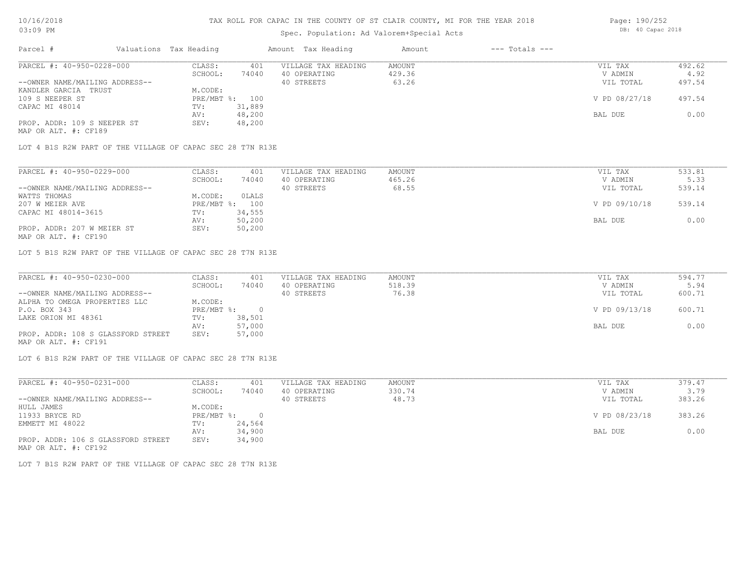# Spec. Population: Ad Valorem+Special Acts

| Parcel #                       | Valuations Tax Heading |        | Amount Tax Heading  | Amount | $---$ Totals $---$ |               |        |
|--------------------------------|------------------------|--------|---------------------|--------|--------------------|---------------|--------|
| PARCEL #: 40-950-0228-000      | CLASS:                 | 401    | VILLAGE TAX HEADING | AMOUNT |                    | VIL TAX       | 492.62 |
|                                | SCHOOL:                | 74040  | 40 OPERATING        | 429.36 |                    | V ADMIN       | 4.92   |
| --OWNER NAME/MAILING ADDRESS-- |                        |        | 40 STREETS          | 63.26  |                    | VIL TOTAL     | 497.54 |
| KANDLER GARCIA TRUST           | M.CODE:                |        |                     |        |                    |               |        |
| 109 S NEEPER ST                | PRE/MBT %: 100         |        |                     |        |                    | V PD 08/27/18 | 497.54 |
| CAPAC MI 48014                 | TV:                    | 31,889 |                     |        |                    |               |        |
|                                | AV:                    | 48,200 |                     |        |                    | BAL DUE       | 0.00   |
| PROP. ADDR: 109 S NEEPER ST    | SEV:                   | 48,200 |                     |        |                    |               |        |

MAP OR ALT. #: CF189

LOT 4 B1S R2W PART OF THE VILLAGE OF CAPAC SEC 28 T7N R13E

| PARCEL #: 40-950-0229-000      | CLASS:     | 401    | VILLAGE TAX HEADING | AMOUNT | VIL TAX       | 533.81 |
|--------------------------------|------------|--------|---------------------|--------|---------------|--------|
|                                | SCHOOL:    | 74040  | 40 OPERATING        | 465.26 | V ADMIN       | 5.33   |
| --OWNER NAME/MAILING ADDRESS-- |            |        | 40 STREETS          | 68.55  | VIL TOTAL     | 539.14 |
| WATTS THOMAS                   | M.CODE:    | OLALS  |                     |        |               |        |
| 207 W MEIER AVE                | PRE/MBT %: | 100    |                     |        | V PD 09/10/18 | 539.14 |
| CAPAC MI 48014-3615            | TV:        | 34,555 |                     |        |               |        |
|                                | AV:        | 50,200 |                     |        | BAL DUE       | 0.00   |
| PROP. ADDR: 207 W MEIER ST     | SEV:       | 50,200 |                     |        |               |        |
|                                |            |        |                     |        |               |        |

MAP OR ALT. #: CF190

LOT 5 B1S R2W PART OF THE VILLAGE OF CAPAC SEC 28 T7N R13E

| PARCEL #: 40-950-0230-000          | CLASS:       | 401    | VILLAGE TAX HEADING | AMOUNT | VIL TAX       | 594.77 |
|------------------------------------|--------------|--------|---------------------|--------|---------------|--------|
|                                    | SCHOOL:      | 74040  | 40 OPERATING        | 518.39 | V ADMIN       | 5.94   |
| --OWNER NAME/MAILING ADDRESS--     |              |        | 40 STREETS          | 76.38  | VIL TOTAL     | 600.71 |
| ALPHA TO OMEGA PROPERTIES LLC      | M.CODE:      |        |                     |        |               |        |
| P.O. BOX 343                       | $PRE/MBT$ %: |        |                     |        | V PD 09/13/18 | 600.71 |
| LAKE ORION MI 48361                | TV:          | 38,501 |                     |        |               |        |
|                                    | AV:          | 57,000 |                     |        | BAL DUE       | 0.00   |
| PROP. ADDR: 108 S GLASSFORD STREET | SEV:         | 57,000 |                     |        |               |        |
| MAP OR ALT. #: CF191               |              |        |                     |        |               |        |

LOT 6 B1S R2W PART OF THE VILLAGE OF CAPAC SEC 28 T7N R13E

| PARCEL #: 40-950-0231-000          | CLASS:     | 401    | VILLAGE TAX HEADING | AMOUNT | VIL TAX       | 379.47 |
|------------------------------------|------------|--------|---------------------|--------|---------------|--------|
|                                    | SCHOOL:    | 74040  | 40 OPERATING        | 330.74 | V ADMIN       | 3.79   |
| --OWNER NAME/MAILING ADDRESS--     |            |        | 40 STREETS          | 48.73  | VIL TOTAL     | 383.26 |
| HULL JAMES                         | M.CODE:    |        |                     |        |               |        |
| 11933 BRYCE RD                     | PRE/MBT %: | $\cap$ |                     |        | V PD 08/23/18 | 383.26 |
| EMMETT MI 48022                    | TV:        | 24,564 |                     |        |               |        |
|                                    | AV:        | 34,900 |                     |        | BAL DUE       | 0.00   |
| PROP. ADDR: 106 S GLASSFORD STREET | SEV:       | 34,900 |                     |        |               |        |
| MAP OR ALT. #: CF192               |            |        |                     |        |               |        |

LOT 7 B1S R2W PART OF THE VILLAGE OF CAPAC SEC 28 T7N R13E

Page: 190/252 DB: 40 Capac 2018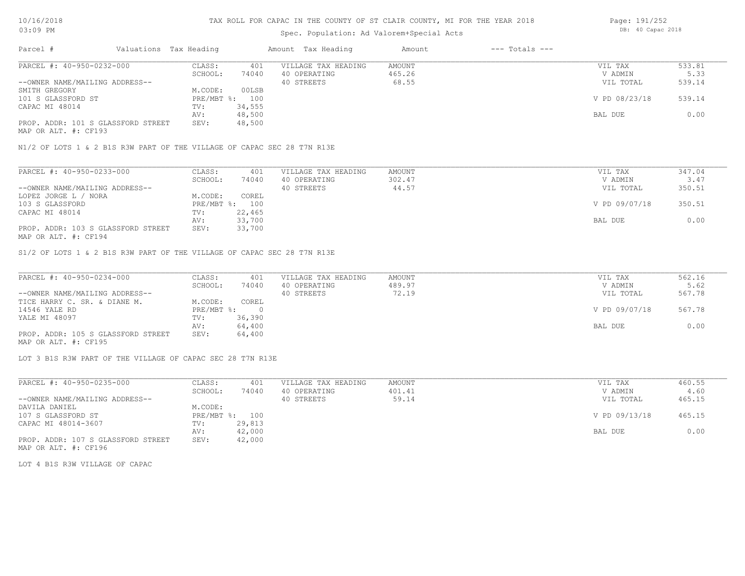# Spec. Population: Ad Valorem+Special Acts

| Parcel #                           | Valuations Tax Heading |                | Amount Tax Heading  | Amount | $---$ Totals $---$ |               |        |
|------------------------------------|------------------------|----------------|---------------------|--------|--------------------|---------------|--------|
| PARCEL #: 40-950-0232-000          | CLASS:                 | 401            | VILLAGE TAX HEADING | AMOUNT |                    | VIL TAX       | 533.81 |
|                                    | SCHOOL:                | 74040          | 40 OPERATING        | 465.26 |                    | V ADMIN       | 5.33   |
| --OWNER NAME/MAILING ADDRESS--     |                        |                | 40 STREETS          | 68.55  |                    | VIL TOTAL     | 539.14 |
| SMITH GREGORY                      | M.CODE:                | 00LSB          |                     |        |                    |               |        |
| 101 S GLASSFORD ST                 |                        | PRE/MBT %: 100 |                     |        |                    | V PD 08/23/18 | 539.14 |
| CAPAC MI 48014                     | TV:                    | 34,555         |                     |        |                    |               |        |
|                                    | AV:                    | 48,500         |                     |        |                    | BAL DUE       | 0.00   |
| PROP. ADDR: 101 S GLASSFORD STREET | SEV:                   | 48,500         |                     |        |                    |               |        |

MAP OR ALT. #: CF193

N1/2 OF LOTS 1 & 2 B1S R3W PART OF THE VILLAGE OF CAPAC SEC 28 T7N R13E

| PARCEL #: 40-950-0233-000          | CLASS:       | 401    | VILLAGE TAX HEADING | AMOUNT | VIL TAX       | 347.04 |
|------------------------------------|--------------|--------|---------------------|--------|---------------|--------|
|                                    | SCHOOL:      | 74040  | 40 OPERATING        | 302.47 | V ADMIN       | 3.47   |
| --OWNER NAME/MAILING ADDRESS--     |              |        | 40 STREETS          | 44.57  | VIL TOTAL     | 350.51 |
| LOPEZ JORGE L / NORA               | M.CODE:      | COREL  |                     |        |               |        |
| 103 S GLASSFORD                    | $PRE/MBT$ %: | 100    |                     |        | V PD 09/07/18 | 350.51 |
| CAPAC MI 48014                     | TV:          | 22,465 |                     |        |               |        |
|                                    | AV:          | 33,700 |                     |        | BAL DUE       | 0.00   |
| PROP. ADDR: 103 S GLASSFORD STREET | SEV:         | 33,700 |                     |        |               |        |
| MAP OR ALT. #: CF194               |              |        |                     |        |               |        |

S1/2 OF LOTS 1 & 2 B1S R3W PART OF THE VILLAGE OF CAPAC SEC 28 T7N R13E

| PARCEL #: 40-950-0234-000          | CLASS:       | 401    | VILLAGE TAX HEADING | AMOUNT | VIL TAX       | 562.16 |
|------------------------------------|--------------|--------|---------------------|--------|---------------|--------|
|                                    | SCHOOL:      | 74040  | 40 OPERATING        | 489.97 | V ADMIN       | 5.62   |
| --OWNER NAME/MAILING ADDRESS--     |              |        | 40 STREETS          | 72.19  | VIL TOTAL     | 567.78 |
| TICE HARRY C. SR. & DIANE M.       | M.CODE:      | COREL  |                     |        |               |        |
| 14546 YALE RD                      | $PRE/MBT$ %: |        |                     |        | V PD 09/07/18 | 567.78 |
| YALE MI 48097                      | TV:          | 36,390 |                     |        |               |        |
|                                    | AV:          | 64,400 |                     |        | BAL DUE       | 0.00   |
| PROP. ADDR: 105 S GLASSFORD STREET | SEV:         | 64,400 |                     |        |               |        |
| MAP OR ALT. #: CF195               |              |        |                     |        |               |        |

LOT 3 B1S R3W PART OF THE VILLAGE OF CAPAC SEC 28 T7N R13E

| PARCEL #: 40-950-0235-000          | CLASS:         | 401    | VILLAGE TAX HEADING | AMOUNT | VIL TAX       | 460.55 |
|------------------------------------|----------------|--------|---------------------|--------|---------------|--------|
|                                    | SCHOOL:        | 74040  | 40 OPERATING        | 401.41 | V ADMIN       | 4.60   |
| --OWNER NAME/MAILING ADDRESS--     |                |        | 40 STREETS          | 59.14  | VIL TOTAL     | 465.15 |
| DAVILA DANIEL                      | M.CODE:        |        |                     |        |               |        |
| 107 S GLASSFORD ST                 | PRE/MBT %: 100 |        |                     |        | V PD 09/13/18 | 465.15 |
| CAPAC MI 48014-3607                | TV:            | 29,813 |                     |        |               |        |
|                                    | AV:            | 42,000 |                     |        | BAL DUE       | 0.00   |
| PROP. ADDR: 107 S GLASSFORD STREET | SEV:           | 42,000 |                     |        |               |        |

MAP OR ALT. #: CF196

LOT 4 B1S R3W VILLAGE OF CAPAC

Page: 191/252 DB: 40 Capac 2018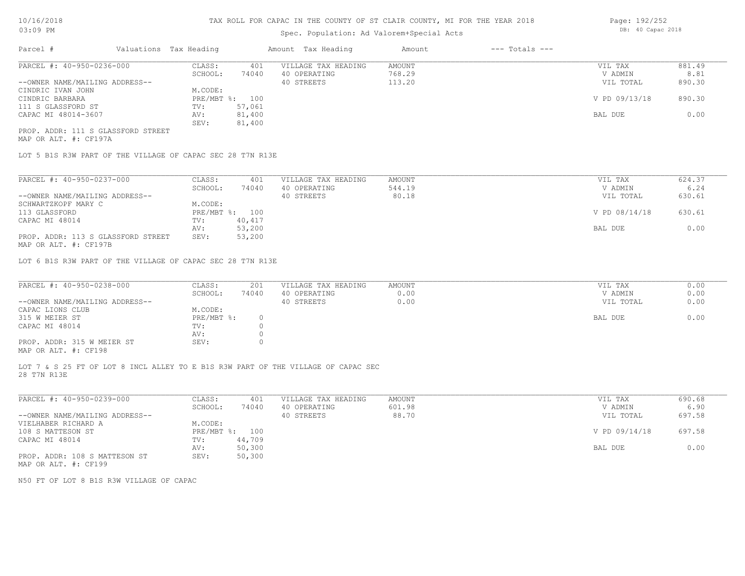# Spec. Population: Ad Valorem+Special Acts

| Parcel #                           |        | Valuations Tax Heading |                     | Amount Tax Heading | Amount | $---$ Totals $---$ |               |        |
|------------------------------------|--------|------------------------|---------------------|--------------------|--------|--------------------|---------------|--------|
| PARCEL #: 40-950-0236-000          | CLASS: | 401                    | VILLAGE TAX HEADING | AMOUNT             |        | VIL TAX            | 881.49        |        |
|                                    |        | SCHOOL:                | 74040               | 40 OPERATING       | 768.29 |                    | V ADMIN       | 8.81   |
| --OWNER NAME/MAILING ADDRESS--     |        |                        |                     | 40 STREETS         | 113.20 |                    | VIL TOTAL     | 890.30 |
| CINDRIC IVAN JOHN                  |        | M.CODE:                |                     |                    |        |                    |               |        |
| CINDRIC BARBARA                    |        | PRE/MBT %: 100         |                     |                    |        |                    | V PD 09/13/18 | 890.30 |
| 111 S GLASSFORD ST                 |        | TV:                    | 57,061              |                    |        |                    |               |        |
| CAPAC MI 48014-3607                |        | AV:                    | 81,400              |                    |        |                    | BAL DUE       | 0.00   |
|                                    |        | SEV:                   | 81,400              |                    |        |                    |               |        |
| PROP. ADDR: 111 S GLASSFORD STREET |        |                        |                     |                    |        |                    |               |        |

MAP OR ALT. #: CF197A

LOT 5 B1S R3W PART OF THE VILLAGE OF CAPAC SEC 28 T7N R13E

| PARCEL #: 40-950-0237-000                                      | CLASS:     | 401    | VILLAGE TAX HEADING | AMOUNT | VIL TAX       | 624.37 |
|----------------------------------------------------------------|------------|--------|---------------------|--------|---------------|--------|
|                                                                | SCHOOL:    | 74040  | 40 OPERATING        | 544.19 | V ADMIN       | 6.24   |
| --OWNER NAME/MAILING ADDRESS--                                 |            |        | 40 STREETS          | 80.18  | VIL TOTAL     | 630.61 |
| SCHWARTZKOPF MARY C                                            | M.CODE:    |        |                     |        |               |        |
| 113 GLASSFORD                                                  | PRE/MBT %: | 100    |                     |        | V PD 08/14/18 | 630.61 |
| CAPAC MI 48014                                                 | TV:        | 40,417 |                     |        |               |        |
|                                                                | AV:        | 53,200 |                     |        | BAL DUE       | 0.00   |
| PROP. ADDR: 113 S GLASSFORD STREET                             | SEV:       | 53,200 |                     |        |               |        |
| $\cdots$ $\cdots$ $\cdots$ $\cdots$ $\cdots$ $\cdots$ $\cdots$ |            |        |                     |        |               |        |

MAP OR ALT. #: CF197B

LOT 6 B1S R3W PART OF THE VILLAGE OF CAPAC SEC 28 T7N R13E

| PARCEL #: 40-950-0238-000      | CLASS:     | 201   | VILLAGE TAX HEADING | AMOUNT | VIL TAX   | 0.00 |
|--------------------------------|------------|-------|---------------------|--------|-----------|------|
|                                | SCHOOL:    | 74040 | 40 OPERATING        | 0.00   | V ADMIN   | 0.00 |
| --OWNER NAME/MAILING ADDRESS-- |            |       | 40 STREETS          | 0.00   | VIL TOTAL | 0.00 |
| CAPAC LIONS CLUB               | M.CODE:    |       |                     |        |           |      |
| 315 W MEIER ST                 | PRE/MBT %: |       |                     |        | BAL DUE   | 0.00 |
| CAPAC MI 48014                 | TV:        |       |                     |        |           |      |
|                                | AV:        |       |                     |        |           |      |
| PROP. ADDR: 315 W MEIER ST     | SEV:       |       |                     |        |           |      |
|                                |            |       |                     |        |           |      |

MAP OR ALT. #: CF198

28 T7N R13E LOT 7 & S 25 FT OF LOT 8 INCL ALLEY TO E B1S R3W PART OF THE VILLAGE OF CAPAC SEC

| PARCEL #: 40-950-0239-000      | CLASS:     | 401    | VILLAGE TAX HEADING | AMOUNT | 690.68<br>VIL TAX       |  |
|--------------------------------|------------|--------|---------------------|--------|-------------------------|--|
|                                | SCHOOL:    | 74040  | 40 OPERATING        | 601.98 | 6.90<br>V ADMIN         |  |
| --OWNER NAME/MAILING ADDRESS-- |            |        | 40 STREETS          | 88.70  | 697.58<br>VIL TOTAL     |  |
| VIELHABER RICHARD A            | M.CODE:    |        |                     |        |                         |  |
| 108 S MATTESON ST              | PRE/MBT %: | 100    |                     |        | V PD 09/14/18<br>697.58 |  |
| CAPAC MI 48014                 | TV:        | 44,709 |                     |        |                         |  |
|                                | AV:        | 50,300 |                     |        | BAL DUE<br>0.00         |  |
| PROP. ADDR: 108 S MATTESON ST  | SEV:       | 50,300 |                     |        |                         |  |
| MAP OR ALT. #: CF199           |            |        |                     |        |                         |  |

N50 FT OF LOT 8 B1S R3W VILLAGE OF CAPAC

Page: 192/252 DB: 40 Capac 2018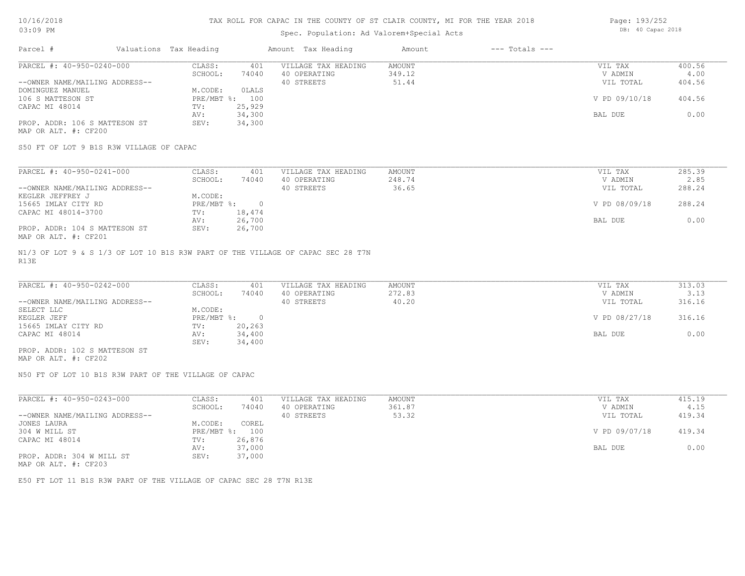# Spec. Population: Ad Valorem+Special Acts

| Page: 193/252     |  |
|-------------------|--|
| DB: 40 Capac 2018 |  |

| Parcel #                       | Valuations Tax Heading |        | Amount Tax Heading  | Amount | $---$ Totals $---$ |               |        |
|--------------------------------|------------------------|--------|---------------------|--------|--------------------|---------------|--------|
| PARCEL #: 40-950-0240-000      | CLASS:                 | 401    | VILLAGE TAX HEADING | AMOUNT |                    | VIL TAX       | 400.56 |
|                                | SCHOOL:                | 74040  | 40 OPERATING        | 349.12 |                    | V ADMIN       | 4.00   |
| --OWNER NAME/MAILING ADDRESS-- |                        |        | 40 STREETS          | 51.44  |                    | VIL TOTAL     | 404.56 |
| DOMINGUEZ MANUEL               | M.CODE:                | OLALS  |                     |        |                    |               |        |
| 106 S MATTESON ST              | $PRE/MBT$ %:           | 100    |                     |        |                    | V PD 09/10/18 | 404.56 |
| CAPAC MI 48014                 | TV:                    | 25,929 |                     |        |                    |               |        |
|                                | AV:                    | 34,300 |                     |        |                    | BAL DUE       | 0.00   |
| PROP. ADDR: 106 S MATTESON ST  | SEV:                   | 34,300 |                     |        |                    |               |        |
| MAP OR ALT. #: CF200           |                        |        |                     |        |                    |               |        |

S50 FT OF LOT 9 B1S R3W VILLAGE OF CAPAC

| PARCEL #: 40-950-0241-000      | CLASS:     | 401    | VILLAGE TAX HEADING | AMOUNT | VIL TAX       | 285.39 |
|--------------------------------|------------|--------|---------------------|--------|---------------|--------|
|                                | SCHOOL:    | 74040  | 40 OPERATING        | 248.74 | V ADMIN       | 2.85   |
| --OWNER NAME/MAILING ADDRESS-- |            |        | 40 STREETS          | 36.65  | VIL TOTAL     | 288.24 |
| KEGLER JEFFREY J               | M.CODE:    |        |                     |        |               |        |
| 15665 IMLAY CITY RD            | PRE/MBT %: |        |                     |        | V PD 08/09/18 | 288.24 |
| CAPAC MI 48014-3700            | TV:        | 18,474 |                     |        |               |        |
|                                | AV:        | 26,700 |                     |        | BAL DUE       | 0.00   |
| PROP. ADDR: 104 S MATTESON ST  | SEV:       | 26,700 |                     |        |               |        |
| MAP OR ALT. #: CF201           |            |        |                     |        |               |        |

R13E N1/3 OF LOT 9 & S 1/3 OF LOT 10 B1S R3W PART OF THE VILLAGE OF CAPAC SEC 28 T7N

| PARCEL #: 40-950-0242-000      | CLASS:     | 401    | VILLAGE TAX HEADING | AMOUNT | VIL TAX       | 313.03 |
|--------------------------------|------------|--------|---------------------|--------|---------------|--------|
|                                | SCHOOL:    | 74040  | 40 OPERATING        | 272.83 | V ADMIN       | 3.13   |
| --OWNER NAME/MAILING ADDRESS-- |            |        | 40 STREETS          | 40.20  | VIL TOTAL     | 316.16 |
| SELECT LLC                     | M.CODE:    |        |                     |        |               |        |
| KEGLER JEFF                    | PRE/MBT %: |        |                     |        | V PD 08/27/18 | 316.16 |
| 15665 IMLAY CITY RD            | TV:        | 20,263 |                     |        |               |        |
| CAPAC MI 48014                 | AV:        | 34,400 |                     |        | BAL DUE       | 0.00   |
|                                | SEV:       | 34,400 |                     |        |               |        |
| PROP. ADDR: 102 S MATTESON ST  |            |        |                     |        |               |        |

MAP OR ALT. #: CF202

N50 FT OF LOT 10 B1S R3W PART OF THE VILLAGE OF CAPAC

| PARCEL #: 40-950-0243-000      | CLASS:       | 401    | VILLAGE TAX HEADING | AMOUNT | VIL TAX       | 415.19 |
|--------------------------------|--------------|--------|---------------------|--------|---------------|--------|
|                                | SCHOOL:      | 74040  | 40 OPERATING        | 361.87 | V ADMIN       | 4.15   |
| --OWNER NAME/MAILING ADDRESS-- |              |        | 40 STREETS          | 53.32  | VIL TOTAL     | 419.34 |
| JONES LAURA                    | M.CODE:      | COREL  |                     |        |               |        |
| 304 W MILL ST                  | $PRE/MBT$ %: | 100    |                     |        | V PD 09/07/18 | 419.34 |
| CAPAC MI 48014                 | TV:          | 26,876 |                     |        |               |        |
|                                | AV:          | 37,000 |                     |        | BAL DUE       | 0.00   |
| PROP. ADDR: 304 W MILL ST      | SEV:         | 37,000 |                     |        |               |        |
|                                |              |        |                     |        |               |        |

MAP OR ALT. #: CF203

E50 FT LOT 11 B1S R3W PART OF THE VILLAGE OF CAPAC SEC 28 T7N R13E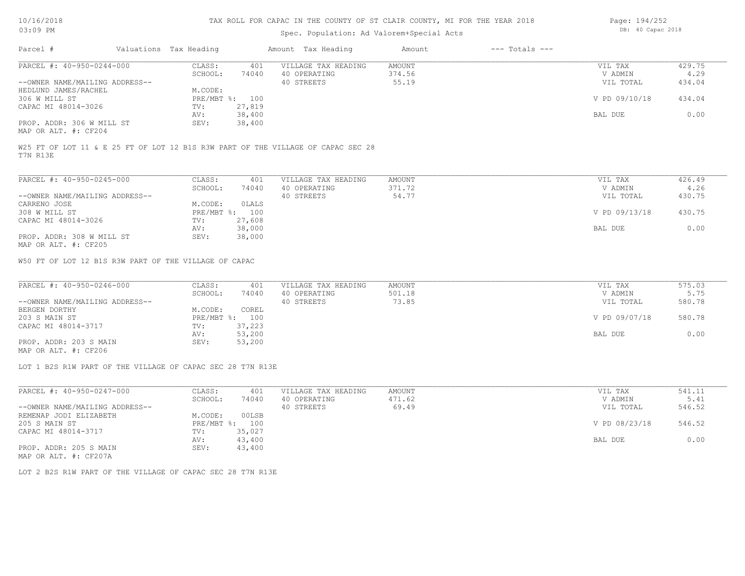## Spec. Population: Ad Valorem+Special Acts

Page: 194/252 DB: 40 Capac 2018

| Parcel #                       | Valuations Tax Heading |                | Amount Tax Heading  | Amount | $---$ Totals $---$ |               |        |
|--------------------------------|------------------------|----------------|---------------------|--------|--------------------|---------------|--------|
| PARCEL #: 40-950-0244-000      | CLASS:                 | 401            | VILLAGE TAX HEADING | AMOUNT |                    | VIL TAX       | 429.75 |
|                                | SCHOOL:                | 74040          | 40 OPERATING        | 374.56 |                    | V ADMIN       | 4.29   |
| --OWNER NAME/MAILING ADDRESS-- |                        |                | 40 STREETS          | 55.19  |                    | VIL TOTAL     | 434.04 |
| HEDLUND JAMES/RACHEL           | M.CODE:                |                |                     |        |                    |               |        |
| 306 W MILL ST                  |                        | PRE/MBT %: 100 |                     |        |                    | V PD 09/10/18 | 434.04 |
| CAPAC MI 48014-3026            | TV:                    | 27,819         |                     |        |                    |               |        |
|                                | AV:                    | 38,400         |                     |        |                    | BAL DUE       | 0.00   |
| PROP. ADDR: 306 W MILL ST      | SEV:                   | 38,400         |                     |        |                    |               |        |
| MAP OR ALT. #: CF204           |                        |                |                     |        |                    |               |        |

T7N R13E

| PARCEL #: 40-950-0245-000      | CLASS:       | 401    | VILLAGE TAX HEADING | AMOUNT | VIL TAX       | 426.49 |
|--------------------------------|--------------|--------|---------------------|--------|---------------|--------|
|                                | SCHOOL:      | 74040  | 40 OPERATING        | 371.72 | V ADMIN       | 4.26   |
| --OWNER NAME/MAILING ADDRESS-- |              |        | 40 STREETS          | 54.77  | VIL TOTAL     | 430.75 |
| CARRENO JOSE                   | M.CODE:      | OLALS  |                     |        |               |        |
| 308 W MILL ST                  | $PRE/MBT$ %: | 100    |                     |        | V PD 09/13/18 | 430.75 |
| CAPAC MI 48014-3026            | TV:          | 27,608 |                     |        |               |        |
|                                | AV:          | 38,000 |                     |        | BAL DUE       | 0.00   |
| PROP. ADDR: 308 W MILL ST      | SEV:         | 38,000 |                     |        |               |        |
| MAP OR ALT. #: CF205           |              |        |                     |        |               |        |

W50 FT OF LOT 12 B1S R3W PART OF THE VILLAGE OF CAPAC

| PARCEL #: 40-950-0246-000      | CLASS:  | 401            | VILLAGE TAX HEADING | AMOUNT | VIL TAX       | 575.03 |
|--------------------------------|---------|----------------|---------------------|--------|---------------|--------|
|                                | SCHOOL: | 74040          | 40 OPERATING        | 501.18 | V ADMIN       | 5.75   |
| --OWNER NAME/MAILING ADDRESS-- |         |                | 40 STREETS          | 73.85  | VIL TOTAL     | 580.78 |
| BERGEN DORTHY                  | M.CODE: | COREL          |                     |        |               |        |
| 203 S MAIN ST                  |         | PRE/MBT %: 100 |                     |        | V PD 09/07/18 | 580.78 |
| CAPAC MI 48014-3717            | TV:     | 37,223         |                     |        |               |        |
|                                | AV:     | 53,200         |                     |        | BAL DUE       | 0.00   |
| PROP. ADDR: 203 S MAIN         | SEV:    | 53,200         |                     |        |               |        |
|                                |         |                |                     |        |               |        |

MAP OR ALT. #: CF206

LOT 1 B2S R1W PART OF THE VILLAGE OF CAPAC SEC 28 T7N R13E

| PARCEL #: 40-950-0247-000      | CLASS:       | 401    | VILLAGE TAX HEADING | AMOUNT | VIL TAX       | 541.11 |
|--------------------------------|--------------|--------|---------------------|--------|---------------|--------|
|                                | SCHOOL:      | 74040  | 40 OPERATING        | 471.62 | V ADMIN       | 5.41   |
| --OWNER NAME/MAILING ADDRESS-- |              |        | 40 STREETS          | 69.49  | VIL TOTAL     | 546.52 |
| REMENAP JODI ELIZABETH         | M.CODE:      | 00LSB  |                     |        |               |        |
| 205 S MAIN ST                  | $PRE/MBT$ %: | 100    |                     |        | V PD 08/23/18 | 546.52 |
| CAPAC MI 48014-3717            | TV:          | 35,027 |                     |        |               |        |
|                                | AV:          | 43,400 |                     |        | BAL DUE       | 0.00   |
| PROP. ADDR: 205 S MAIN         | SEV:         | 43,400 |                     |        |               |        |
| MAP OR ALT. #: CF207A          |              |        |                     |        |               |        |

LOT 2 B2S R1W PART OF THE VILLAGE OF CAPAC SEC 28 T7N R13E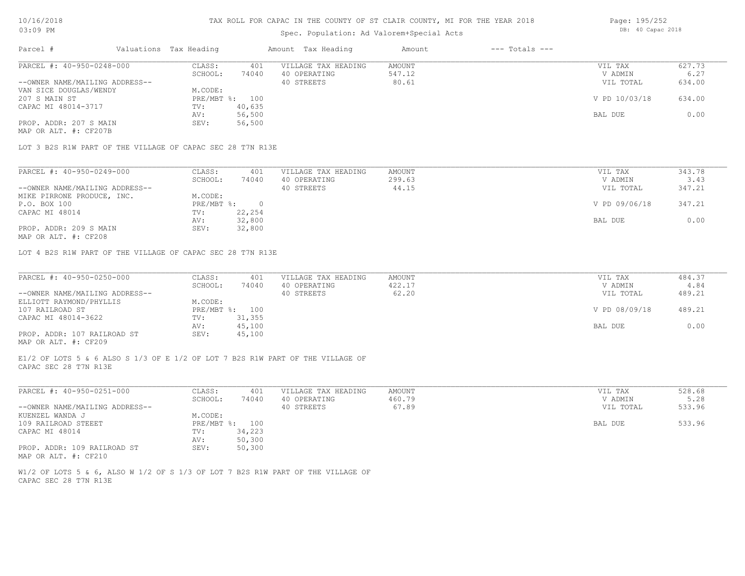## Spec. Population: Ad Valorem+Special Acts

| Page: 195/252 |                   |  |
|---------------|-------------------|--|
|               | DB: 40 Capac 2018 |  |

| Parcel #                       | Valuations Tax Heading |        | Amount Tax Heading  | Amount | $---$ Totals $---$ |               |        |
|--------------------------------|------------------------|--------|---------------------|--------|--------------------|---------------|--------|
| PARCEL #: 40-950-0248-000      | CLASS:                 | 401    | VILLAGE TAX HEADING | AMOUNT |                    | VIL TAX       | 627.73 |
|                                | SCHOOL:                | 74040  | 40 OPERATING        | 547.12 |                    | V ADMIN       | 6.27   |
| --OWNER NAME/MAILING ADDRESS-- |                        |        | 40 STREETS          | 80.61  |                    | VIL TOTAL     | 634.00 |
| VAN SICE DOUGLAS/WENDY         | M.CODE:                |        |                     |        |                    |               |        |
| 207 S MAIN ST                  | $PRE/MBT$ %:           | 100    |                     |        |                    | V PD 10/03/18 | 634.00 |
| CAPAC MI 48014-3717            | TV:                    | 40,635 |                     |        |                    |               |        |
|                                | AV:                    | 56,500 |                     |        |                    | BAL DUE       | 0.00   |
| PROP. ADDR: 207 S MAIN         | SEV:                   | 56,500 |                     |        |                    |               |        |
| MAP OR ALT. #: CF207B          |                        |        |                     |        |                    |               |        |

LOT 3 B2S R1W PART OF THE VILLAGE OF CAPAC SEC 28 T7N R13E

| CLASS:  | 401    | VILLAGE TAX HEADING | AMOUNT | VIL TAX       | 343.78 |
|---------|--------|---------------------|--------|---------------|--------|
| SCHOOL: | 74040  | 40 OPERATING        | 299.63 | V ADMIN       | 3.43   |
|         |        | 40 STREETS          | 44.15  | VIL TOTAL     | 347.21 |
| M.CODE: |        |                     |        |               |        |
|         |        |                     |        | V PD 09/06/18 | 347.21 |
| TV:     | 22,254 |                     |        |               |        |
| AV:     | 32,800 |                     |        | BAL DUE       | 0.00   |
| SEV:    | 32,800 |                     |        |               |        |
|         |        | PRE/MBT %:          |        |               |        |

MAP OR ALT. #: CF208

LOT 4 B2S R1W PART OF THE VILLAGE OF CAPAC SEC 28 T7N R13E

| PARCEL #: 40-950-0250-000      | CLASS:  | 401            | VILLAGE TAX HEADING | AMOUNT | VIL TAX       | 484.37 |
|--------------------------------|---------|----------------|---------------------|--------|---------------|--------|
|                                | SCHOOL: | 74040          | 40 OPERATING        | 422.17 | V ADMIN       | 4.84   |
| --OWNER NAME/MAILING ADDRESS-- |         |                | 40 STREETS          | 62.20  | VIL TOTAL     | 489.21 |
| ELLIOTT RAYMOND/PHYLLIS        | M.CODE: |                |                     |        |               |        |
| 107 RAILROAD ST                |         | PRE/MBT %: 100 |                     |        | V PD 08/09/18 | 489.21 |
| CAPAC MI 48014-3622            | TV:     | 31,355         |                     |        |               |        |
|                                | AV:     | 45,100         |                     |        | BAL DUE       | 0.00   |
| PROP. ADDR: 107 RAILROAD ST    | SEV:    | 45,100         |                     |        |               |        |
| MAP OR ALT. #: CF209           |         |                |                     |        |               |        |

CAPAC SEC 28 T7N R13E E1/2 OF LOTS 5 & 6 ALSO S 1/3 OF E 1/2 OF LOT 7 B2S R1W PART OF THE VILLAGE OF

| PARCEL #: 40-950-0251-000      | CLASS:  | 401            | VILLAGE TAX HEADING | AMOUNT | VIL TAX   | 528.68 |
|--------------------------------|---------|----------------|---------------------|--------|-----------|--------|
|                                | SCHOOL: | 74040          | 40 OPERATING        | 460.79 | V ADMIN   | 5.28   |
| --OWNER NAME/MAILING ADDRESS-- |         |                | 40 STREETS          | 67.89  | VIL TOTAL | 533.96 |
| KUENZEL WANDA J                | M.CODE: |                |                     |        |           |        |
| 109 RAILROAD STEEET            |         | PRE/MBT %: 100 |                     |        | BAL DUE   | 533.96 |
| CAPAC MI 48014                 | TV:     | 34,223         |                     |        |           |        |
|                                | AV:     | 50,300         |                     |        |           |        |
| PROP. ADDR: 109 RAILROAD ST    | SEV:    | 50,300         |                     |        |           |        |
| MAP OR ALT. #: CF210           |         |                |                     |        |           |        |

CAPAC SEC 28 T7N R13E W1/2 OF LOTS 5 & 6, ALSO W 1/2 OF S 1/3 OF LOT 7 B2S R1W PART OF THE VILLAGE OF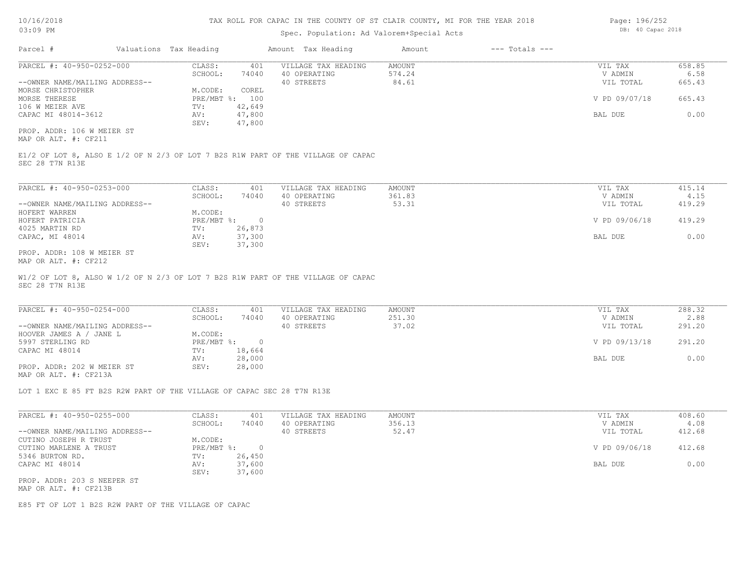## Spec. Population: Ad Valorem+Special Acts

| Parcel #                       | Valuations Tax Heading |        | Amount Tax Heading  | Amount | $---$ Totals $---$ |               |        |
|--------------------------------|------------------------|--------|---------------------|--------|--------------------|---------------|--------|
| PARCEL #: 40-950-0252-000      | CLASS:                 | 401    | VILLAGE TAX HEADING | AMOUNT |                    | VIL TAX       | 658.85 |
|                                | SCHOOL:                | 74040  | 40 OPERATING        | 574.24 |                    | V ADMIN       | 6.58   |
| --OWNER NAME/MAILING ADDRESS-- |                        |        | 40 STREETS          | 84.61  |                    | VIL TOTAL     | 665.43 |
| MORSE CHRISTOPHER              | M.CODE:                | COREL  |                     |        |                    |               |        |
| MORSE THERESE                  | PRE/MBT %: 100         |        |                     |        |                    | V PD 09/07/18 | 665.43 |
| 106 W MEIER AVE                | TV:                    | 42,649 |                     |        |                    |               |        |
| CAPAC MI 48014-3612            | AV:                    | 47,800 |                     |        |                    | BAL DUE       | 0.00   |
|                                | SEV:                   | 47,800 |                     |        |                    |               |        |
| PROP. ADDR: 106 W MEIER ST     |                        |        |                     |        |                    |               |        |

MAP OR ALT. #: CF211

SEC 28 T7N R13E E1/2 OF LOT 8, ALSO E 1/2 OF N 2/3 OF LOT 7 B2S R1W PART OF THE VILLAGE OF CAPAC

| PARCEL #: 40-950-0253-000      | CLASS:     | 401    | VILLAGE TAX HEADING | AMOUNT | VIL TAX       | 415.14 |
|--------------------------------|------------|--------|---------------------|--------|---------------|--------|
|                                | SCHOOL:    | 74040  | 40 OPERATING        | 361.83 | V ADMIN       | 4.15   |
| --OWNER NAME/MAILING ADDRESS-- |            |        | 40 STREETS          | 53.31  | VIL TOTAL     | 419.29 |
| HOFERT WARREN                  | M.CODE:    |        |                     |        |               |        |
| HOFERT PATRICIA                | PRE/MBT %: |        |                     |        | V PD 09/06/18 | 419.29 |
| 4025 MARTIN RD                 | TV:        | 26,873 |                     |        |               |        |
| CAPAC, MI 48014                | AV:        | 37,300 |                     |        | BAL DUE       | 0.00   |
|                                | SEV:       | 37,300 |                     |        |               |        |
| PROP. ADDR: 108 W MEIER ST     |            |        |                     |        |               |        |

MAP OR ALT. #: CF212

SEC 28 T7N R13E W1/2 OF LOT 8, ALSO W 1/2 OF N 2/3 OF LOT 7 B2S R1W PART OF THE VILLAGE OF CAPAC

| PARCEL #: 40-950-0254-000      | CLASS:       | 401    | VILLAGE TAX HEADING | AMOUNT | VIL TAX       | 288.32 |
|--------------------------------|--------------|--------|---------------------|--------|---------------|--------|
|                                | SCHOOL:      | 74040  | 40 OPERATING        | 251.30 | V ADMIN       | 2.88   |
| --OWNER NAME/MAILING ADDRESS-- |              |        | 40 STREETS          | 37.02  | VIL TOTAL     | 291.20 |
| HOOVER JAMES A / JANE L        | M.CODE:      |        |                     |        |               |        |
| 5997 STERLING RD               | $PRE/MBT$ %: |        |                     |        | V PD 09/13/18 | 291.20 |
| CAPAC MI 48014                 | TV:          | 18,664 |                     |        |               |        |
|                                | AV:          | 28,000 |                     |        | BAL DUE       | 0.00   |
| PROP. ADDR: 202 W MEIER ST     | SEV:         | 28,000 |                     |        |               |        |
| MAP OR ALT. #: CF213A          |              |        |                     |        |               |        |

LOT 1 EXC E 85 FT B2S R2W PART OF THE VILLAGE OF CAPAC SEC 28 T7N R13E

| PARCEL #: 40-950-0255-000      | CLASS:     | 401    | VILLAGE TAX HEADING | AMOUNT | VIL TAX       | 408.60 |
|--------------------------------|------------|--------|---------------------|--------|---------------|--------|
|                                | SCHOOL:    | 74040  | 40 OPERATING        | 356.13 | V ADMIN       | 4.08   |
| --OWNER NAME/MAILING ADDRESS-- |            |        | 40 STREETS          | 52.47  | VIL TOTAL     | 412.68 |
| CUTINO JOSEPH R TRUST          | M.CODE:    |        |                     |        |               |        |
| CUTINO MARLENE A TRUST         | PRE/MBT %: |        |                     |        | V PD 09/06/18 | 412.68 |
| 5346 BURTON RD.                | TV:        | 26,450 |                     |        |               |        |
| CAPAC MI 48014                 | AV:        | 37,600 |                     |        | BAL DUE       | 0.00   |
|                                | SEV:       | 37,600 |                     |        |               |        |
| PROP. ADDR: 203 S NEEPER ST    |            |        |                     |        |               |        |
| MAP OR ALT. #: CF213B          |            |        |                     |        |               |        |

E85 FT OF LOT 1 B2S R2W PART OF THE VILLAGE OF CAPAC

Page: 196/252 DB: 40 Capac 2018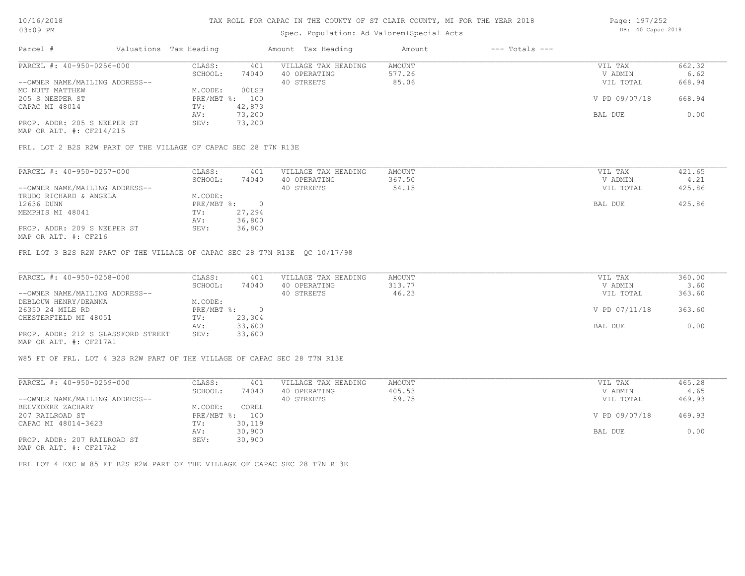# Spec. Population: Ad Valorem+Special Acts

| Page: 197/252 |  |                   |
|---------------|--|-------------------|
|               |  | DB: 40 Capac 2018 |

| Parcel #                       | Valuations Tax Heading |        | Amount Tax Heading  | Amount | $---$ Totals $---$ |               |        |
|--------------------------------|------------------------|--------|---------------------|--------|--------------------|---------------|--------|
| PARCEL #: 40-950-0256-000      | CLASS:                 | 401    | VILLAGE TAX HEADING | AMOUNT |                    | VIL TAX       | 662.32 |
|                                | SCHOOL:                | 74040  | 40 OPERATING        | 577.26 |                    | V ADMIN       | 6.62   |
| --OWNER NAME/MAILING ADDRESS-- |                        |        | 40 STREETS          | 85.06  |                    | VIL TOTAL     | 668.94 |
| MC NUTT MATTHEW                | M.CODE:                | 00LSB  |                     |        |                    |               |        |
| 205 S NEEPER ST                | PRE/MBT %: 100         |        |                     |        |                    | V PD 09/07/18 | 668.94 |
| CAPAC MI 48014                 | TV:                    | 42,873 |                     |        |                    |               |        |
|                                | AV:                    | 73,200 |                     |        |                    | BAL DUE       | 0.00   |
| PROP. ADDR: 205 S NEEPER ST    | SEV:                   | 73,200 |                     |        |                    |               |        |
|                                |                        |        |                     |        |                    |               |        |

MAP OR ALT. #: CF214/215

FRL. LOT 2 B2S R2W PART OF THE VILLAGE OF CAPAC SEC 28 T7N R13E

| PARCEL #: 40-950-0257-000                                                                                       | CLASS:     | 401    | VILLAGE TAX HEADING | AMOUNT | VIL TAX   | 421.65 |
|-----------------------------------------------------------------------------------------------------------------|------------|--------|---------------------|--------|-----------|--------|
|                                                                                                                 | SCHOOL:    | 74040  | 40 OPERATING        | 367.50 | V ADMIN   | 4.21   |
| --OWNER NAME/MAILING ADDRESS--                                                                                  |            |        | 40 STREETS          | 54.15  | VIL TOTAL | 425.86 |
| TRUDO RICHARD & ANGELA                                                                                          | M.CODE:    |        |                     |        |           |        |
| 12636 DUNN                                                                                                      | PRE/MBT %: |        |                     |        | BAL DUE   | 425.86 |
| MEMPHIS MI 48041                                                                                                | TV:        | 27,294 |                     |        |           |        |
|                                                                                                                 | AV:        | 36,800 |                     |        |           |        |
| PROP. ADDR: 209 S NEEPER ST                                                                                     | SEV:       | 36,800 |                     |        |           |        |
| the contract of the contract of the contract of the contract of the contract of the contract of the contract of |            |        |                     |        |           |        |

MAP OR ALT. #: CF216

FRL LOT 3 B2S R2W PART OF THE VILLAGE OF CAPAC SEC 28 T7N R13E QC 10/17/98

| PARCEL #: 40-950-0258-000          | CLASS:       | 401    | VILLAGE TAX HEADING | AMOUNT | VIL TAX       | 360.00 |
|------------------------------------|--------------|--------|---------------------|--------|---------------|--------|
|                                    | SCHOOL:      | 74040  | 40 OPERATING        | 313.77 | V ADMIN       | 3.60   |
| --OWNER NAME/MAILING ADDRESS--     |              |        | 40 STREETS          | 46.23  | VIL TOTAL     | 363.60 |
| DEBLOUW HENRY/DEANNA               | M.CODE:      |        |                     |        |               |        |
| 26350 24 MILE RD                   | $PRE/MBT$ %: |        |                     |        | V PD 07/11/18 | 363.60 |
| CHESTERFIELD MI 48051              | TV:          | 23,304 |                     |        |               |        |
|                                    | AV:          | 33,600 |                     |        | BAL DUE       | 0.00   |
| PROP. ADDR: 212 S GLASSFORD STREET | SEV:         | 33,600 |                     |        |               |        |
| MAP OR ALT. #: CF217A1             |              |        |                     |        |               |        |

W85 FT OF FRL. LOT 4 B2S R2W PART OF THE VILLAGE OF CAPAC SEC 28 T7N R13E

| PARCEL #: 40-950-0259-000      | CLASS:     | 401    | VILLAGE TAX HEADING | AMOUNT | VIL TAX       | 465.28 |
|--------------------------------|------------|--------|---------------------|--------|---------------|--------|
|                                | SCHOOL:    | 74040  | 40 OPERATING        | 405.53 | V ADMIN       | 4.65   |
| --OWNER NAME/MAILING ADDRESS-- |            |        | 40 STREETS          | 59.75  | VIL TOTAL     | 469.93 |
| BELVEDERE ZACHARY              | M.CODE:    | COREL  |                     |        |               |        |
| 207 RAILROAD ST                | PRE/MBT %: | 100    |                     |        | V PD 09/07/18 | 469.93 |
| CAPAC MI 48014-3623            | TV:        | 30,119 |                     |        |               |        |
|                                | AV:        | 30,900 |                     |        | BAL DUE       | 0.00   |
| PROP. ADDR: 207 RAILROAD ST    | SEV:       | 30,900 |                     |        |               |        |
| MAP OR ALT. #: CF217A2         |            |        |                     |        |               |        |

FRL LOT 4 EXC W 85 FT B2S R2W PART OF THE VILLAGE OF CAPAC SEC 28 T7N R13E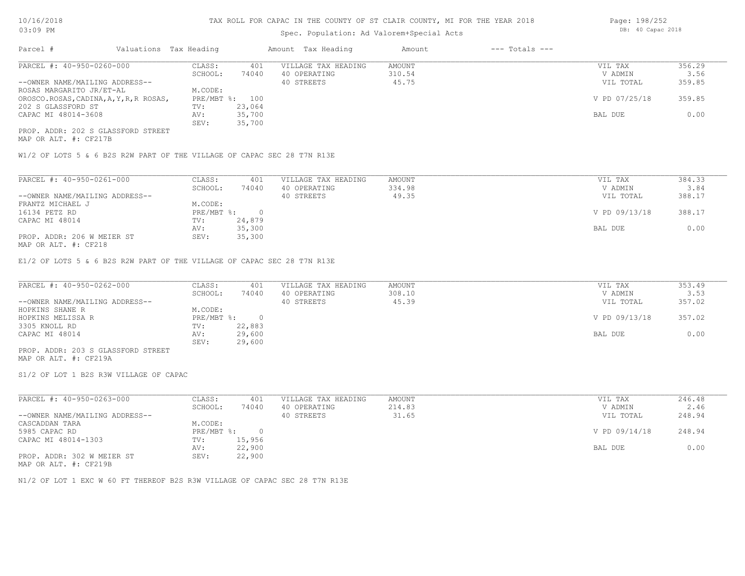## Spec. Population: Ad Valorem+Special Acts

| Parcel #                                | Valuations Tax Heading |        | Amount Tax Heading  | Amount | $---$ Totals $---$ |               |        |
|-----------------------------------------|------------------------|--------|---------------------|--------|--------------------|---------------|--------|
| PARCEL #: 40-950-0260-000               | CLASS:                 | 401    | VILLAGE TAX HEADING | AMOUNT |                    | VIL TAX       | 356.29 |
|                                         | SCHOOL:                | 74040  | 40 OPERATING        | 310.54 |                    | V ADMIN       | 3.56   |
| --OWNER NAME/MAILING ADDRESS--          |                        |        | 40 STREETS          | 45.75  |                    | VIL TOTAL     | 359.85 |
| ROSAS MARGARITO JR/ET-AL                | M.CODE:                |        |                     |        |                    |               |        |
| OROSCO.ROSAS, CADINA, A, Y, R, R ROSAS, | PRE/MBT %:             | 100    |                     |        |                    | V PD 07/25/18 | 359.85 |
| 202 S GLASSFORD ST                      | TV:                    | 23,064 |                     |        |                    |               |        |
| CAPAC MI 48014-3608                     | AV:                    | 35,700 |                     |        |                    | BAL DUE       | 0.00   |
|                                         | SEV:                   | 35,700 |                     |        |                    |               |        |
| PROP. ADDR: 202 S GLASSFORD STREET      |                        |        |                     |        |                    |               |        |

MAP OR ALT. #: CF217B

W1/2 OF LOTS 5 & 6 B2S R2W PART OF THE VILLAGE OF CAPAC SEC 28 T7N R13E

| PARCEL #: 40-950-0261-000                                    | CLASS:     | 401    | VILLAGE TAX HEADING | AMOUNT | VIL TAX       | 384.33 |
|--------------------------------------------------------------|------------|--------|---------------------|--------|---------------|--------|
|                                                              | SCHOOL:    | 74040  | 40 OPERATING        | 334.98 | V ADMIN       | 3.84   |
| --OWNER NAME/MAILING ADDRESS--                               |            |        | 40 STREETS          | 49.35  | VIL TOTAL     | 388.17 |
| FRANTZ MICHAEL J                                             | M.CODE:    |        |                     |        |               |        |
| 16134 PETZ RD                                                | PRE/MBT %: | $\cap$ |                     |        | V PD 09/13/18 | 388.17 |
| CAPAC MI 48014                                               | TV:        | 24,879 |                     |        |               |        |
|                                                              | AV:        | 35,300 |                     |        | BAL DUE       | 0.00   |
| PROP. ADDR: 206 W MEIER ST<br>$MAD$ $CD$ $BTD$ $L$ , $CDQ1Q$ | SEV:       | 35,300 |                     |        |               |        |
|                                                              |            |        |                     |        |               |        |

MAP OR ALT. #: CF218

E1/2 OF LOTS 5 & 6 B2S R2W PART OF THE VILLAGE OF CAPAC SEC 28 T7N R13E

| PARCEL #: 40-950-0262-000          | CLASS:     | 401    | VILLAGE TAX HEADING | AMOUNT | VIL TAX       | 353.49 |
|------------------------------------|------------|--------|---------------------|--------|---------------|--------|
|                                    | SCHOOL:    | 74040  | 40 OPERATING        | 308.10 | V ADMIN       | 3.53   |
| --OWNER NAME/MAILING ADDRESS--     |            |        | 40 STREETS          | 45.39  | VIL TOTAL     | 357.02 |
| HOPKINS SHANE R                    | M.CODE:    |        |                     |        |               |        |
| HOPKINS MELISSA R                  | PRE/MBT %: |        |                     |        | V PD 09/13/18 | 357.02 |
| 3305 KNOLL RD                      | TV:        | 22,883 |                     |        |               |        |
| CAPAC MI 48014                     | AV:        | 29,600 |                     |        | BAL DUE       | 0.00   |
|                                    | SEV:       | 29,600 |                     |        |               |        |
| PROP. ADDR: 203 S GLASSFORD STREET |            |        |                     |        |               |        |

MAP OR ALT. #: CF219A

S1/2 OF LOT 1 B2S R3W VILLAGE OF CAPAC

| PARCEL #: 40-950-0263-000      | CLASS:     | 401    | VILLAGE TAX HEADING | AMOUNT | VIL TAX       | 246.48 |
|--------------------------------|------------|--------|---------------------|--------|---------------|--------|
|                                | SCHOOL:    | 74040  | 40 OPERATING        | 214.83 | V ADMIN       | 2.46   |
| --OWNER NAME/MAILING ADDRESS-- |            |        | 40 STREETS          | 31.65  | VIL TOTAL     | 248.94 |
| CASCADDAN TARA                 | M.CODE:    |        |                     |        |               |        |
| 5985 CAPAC RD                  | PRE/MBT %: |        |                     |        | V PD 09/14/18 | 248.94 |
| CAPAC MI 48014-1303            | TV:        | 15,956 |                     |        |               |        |
|                                | AV:        | 22,900 |                     |        | BAL DUE       | 0.00   |
| PROP. ADDR: 302 W MEIER ST     | SEV:       | 22,900 |                     |        |               |        |

MAP OR ALT. #: CF219B

N1/2 OF LOT 1 EXC W 60 FT THEREOF B2S R3W VILLAGE OF CAPAC SEC 28 T7N R13E

Page: 198/252 DB: 40 Capac 2018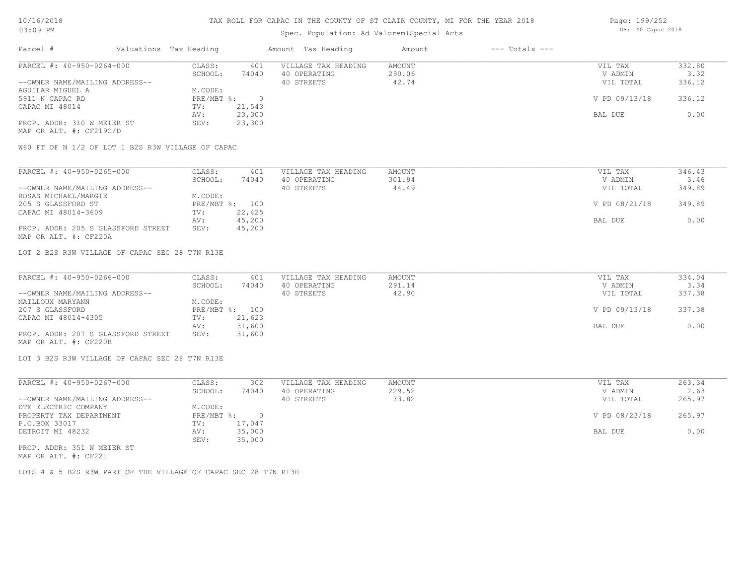MAP OR ALT. #: CF219C/D

#### TAX ROLL FOR CAPAC IN THE COUNTY OF ST CLAIR COUNTY, MI FOR THE YEAR 2018

# Spec. Population: Ad Valorem+Special Acts

|                                |                        |        | Spec. ropulation. Au valorem special Acts |        |                    |               |        |
|--------------------------------|------------------------|--------|-------------------------------------------|--------|--------------------|---------------|--------|
| Parcel #                       | Valuations Tax Heading |        | Amount Tax Heading                        | Amount | $---$ Totals $---$ |               |        |
| PARCEL #: 40-950-0264-000      | CLASS:                 | 401    | VILLAGE TAX HEADING                       | AMOUNT |                    | VIL TAX       | 332.80 |
|                                | SCHOOL:                | 74040  | 40 OPERATING                              | 290.06 |                    | V ADMIN       | 3.32   |
| --OWNER NAME/MAILING ADDRESS-- |                        |        | 40 STREETS                                | 42.74  |                    | VIL TOTAL     | 336.12 |
| AGUILAR MIGUEL A               | M.CODE:                |        |                                           |        |                    |               |        |
| 5911 N CAPAC RD                | PRE/MBT %:             |        |                                           |        |                    | V PD 09/13/18 | 336.12 |
| CAPAC MI 48014                 | TV:                    | 21,543 |                                           |        |                    |               |        |
|                                | AV:                    | 23,300 |                                           |        |                    | BAL DUE       | 0.00   |

W60 FT OF N 1/2 OF LOT 1 B2S R3W VILLAGE OF CAPAC

PROP. ADDR: 310 W MEIER ST SEV: 23,300

| PARCEL #: 40-950-0265-000          | CLASS:  | 401            | VILLAGE TAX HEADING | AMOUNT | VIL TAX       | 346.43 |
|------------------------------------|---------|----------------|---------------------|--------|---------------|--------|
|                                    | SCHOOL: | 74040          | 40 OPERATING        | 301.94 | V ADMIN       | 3.46   |
| --OWNER NAME/MAILING ADDRESS--     |         |                | 40 STREETS          | 44.49  | VIL TOTAL     | 349.89 |
| ROSAS MICHAEL/MARGIE               | M.CODE: |                |                     |        |               |        |
| 205 S GLASSFORD ST                 |         | PRE/MBT %: 100 |                     |        | V PD 08/21/18 | 349.89 |
| CAPAC MI 48014-3609                | TV:     | 22,425         |                     |        |               |        |
|                                    | AV:     | 45,200         |                     |        | BAL DUE       | 0.00   |
| PROP. ADDR: 205 S GLASSFORD STREET | SEV:    | 45,200         |                     |        |               |        |
| MAP OR ALT. #: CF220A              |         |                |                     |        |               |        |

LOT 2 B2S R3W VILLAGE OF CAPAC SEC 28 T7N R13E

| PARCEL #: 40-950-0266-000          | CLASS:  | 401            | VILLAGE TAX HEADING | AMOUNT | VIL TAX       | 334.04 |
|------------------------------------|---------|----------------|---------------------|--------|---------------|--------|
|                                    | SCHOOL: | 74040          | 40 OPERATING        | 291.14 | V ADMIN       | 3.34   |
| --OWNER NAME/MAILING ADDRESS--     |         |                | 40 STREETS          | 42.90  | VIL TOTAL     | 337.38 |
| MAILLOUX MARYANN                   | M.CODE: |                |                     |        |               |        |
| 207 S GLASSFORD                    |         | PRE/MBT %: 100 |                     |        | V PD 09/13/18 | 337.38 |
| CAPAC MI 48014-4305                | TV:     | 21,623         |                     |        |               |        |
|                                    | AV:     | 31,600         |                     |        | BAL DUE       | 0.00   |
| PROP. ADDR: 207 S GLASSFORD STREET | SEV:    | 31,600         |                     |        |               |        |
| MAP OR ALT. #: CF220B              |         |                |                     |        |               |        |

LOT 3 B2S R3W VILLAGE OF CAPAC SEC 28 T7N R13E

| PARCEL #: 40-950-0267-000      | CLASS:       | 302    | VILLAGE TAX HEADING | AMOUNT | VIL TAX       | 263.34 |
|--------------------------------|--------------|--------|---------------------|--------|---------------|--------|
|                                | SCHOOL:      | 74040  | 40 OPERATING        | 229.52 | V ADMIN       | 2.63   |
| --OWNER NAME/MAILING ADDRESS-- |              |        | 40 STREETS          | 33.82  | VIL TOTAL     | 265.97 |
| DTE ELECTRIC COMPANY           | M.CODE:      |        |                     |        |               |        |
| PROPERTY TAX DEPARTMENT        | $PRE/MBT$ %: |        |                     |        | V PD 08/23/18 | 265.97 |
| P.O.BOX 33017                  | TV:          | 17,047 |                     |        |               |        |
| DETROIT MI 48232               | AV:          | 35,000 |                     |        | BAL DUE       | 0.00   |
|                                | SEV:         | 35,000 |                     |        |               |        |
| PROP. ADDR: 351 W MEIER ST     |              |        |                     |        |               |        |

MAP OR ALT. #: CF221

LOTS 4 & 5 B2S R3W PART OF THE VILLAGE OF CAPAC SEC 28 T7N R13E

Page: 199/252 DB: 40 Capac 2018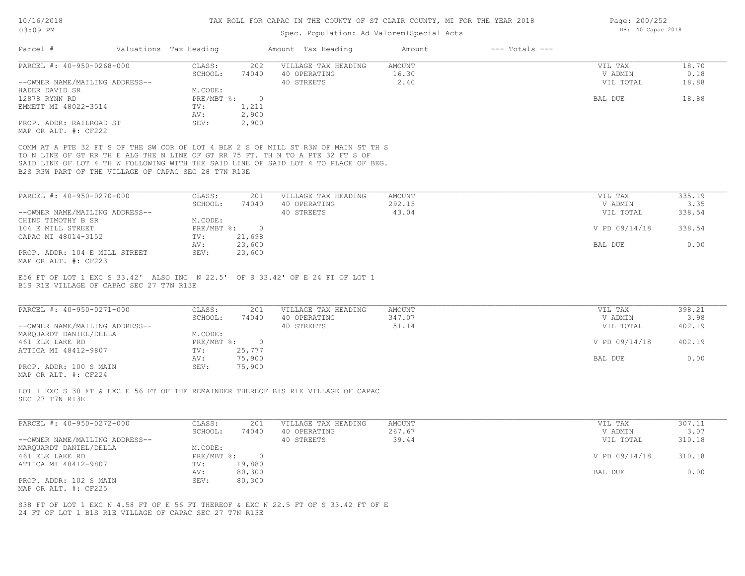## Spec. Population: Ad Valorem+Special Acts

| PARCEL #: 40-950-0268-000                                                                                                                      | CLASS:<br>202               | VILLAGE TAX HEADING | <b>AMOUNT</b> | VIL TAX       | 18.70  |
|------------------------------------------------------------------------------------------------------------------------------------------------|-----------------------------|---------------------|---------------|---------------|--------|
|                                                                                                                                                | SCHOOL:<br>74040            | 40 OPERATING        | 16.30         | V ADMIN       | 0.18   |
| --OWNER NAME/MAILING ADDRESS--                                                                                                                 |                             | 40 STREETS          | 2.40          | VIL TOTAL     | 18.88  |
| HADER DAVID SR                                                                                                                                 | M.CODE:                     |                     |               |               |        |
| 12878 RYNN RD                                                                                                                                  | PRE/MBT %:<br>$\circ$       |                     |               | BAL DUE       | 18.88  |
| EMMETT MI 48022-3514                                                                                                                           | 1,211<br>TV:<br>2,900       |                     |               |               |        |
| PROP. ADDR: RAILROAD ST                                                                                                                        | AV:<br>2,900<br>SEV:        |                     |               |               |        |
| MAP OR ALT. #: CF222                                                                                                                           |                             |                     |               |               |        |
|                                                                                                                                                |                             |                     |               |               |        |
| COMM AT A PTE 32 FT S OF THE SW COR OF LOT 4 BLK 2 S OF MILL ST R3W OF MAIN ST TH S                                                            |                             |                     |               |               |        |
| TO N LINE OF GT RR TH E ALG THE N LINE OF GT RR 75 FT. TH N TO A PTE 32 FT S OF                                                                |                             |                     |               |               |        |
| SAID LINE OF LOT 4 TH W FOLLOWING WITH THE SAID LINE OF SAID LOT 4 TO PLACE OF BEG.                                                            |                             |                     |               |               |        |
| B2S R3W PART OF THE VILLAGE OF CAPAC SEC 28 T7N R13E                                                                                           |                             |                     |               |               |        |
|                                                                                                                                                |                             |                     |               |               |        |
| PARCEL #: 40-950-0270-000                                                                                                                      | CLASS:<br>201               | VILLAGE TAX HEADING | AMOUNT        | VIL TAX       | 335.19 |
|                                                                                                                                                | SCHOOL:<br>74040            | 40 OPERATING        | 292.15        | V ADMIN       | 3.35   |
| --OWNER NAME/MAILING ADDRESS--                                                                                                                 |                             | 40 STREETS          | 43.04         | VIL TOTAL     | 338.54 |
| CHIND TIMOTHY B SR                                                                                                                             | M.CODE:                     |                     |               |               |        |
| 104 E MILL STREET                                                                                                                              | $PRE/MBT$ $\div$<br>$\circ$ |                     |               | V PD 09/14/18 | 338.54 |
| CAPAC MI 48014-3152                                                                                                                            | 21,698<br>TV:<br>AV:        |                     |               | BAL DUE       | 0.00   |
| PROP. ADDR: 104 E MILL STREET                                                                                                                  | 23,600<br>SEV:<br>23,600    |                     |               |               |        |
| MAP OR ALT. #: CF223                                                                                                                           |                             |                     |               |               |        |
|                                                                                                                                                |                             |                     |               |               |        |
| B1S R1E VILLAGE OF CAPAC SEC 27 T7N R13E                                                                                                       |                             |                     |               |               |        |
| PARCEL #: 40-950-0271-000                                                                                                                      | CLASS:<br>2.01              | VILLAGE TAX HEADING | <b>AMOUNT</b> | VIL TAX       | 398.21 |
|                                                                                                                                                | SCHOOL:<br>74040            | 40 OPERATING        | 347.07        | V ADMIN       | 3.98   |
| --OWNER NAME/MAILING ADDRESS--                                                                                                                 |                             | 40 STREETS          | 51.14         | VIL TOTAL     | 402.19 |
| MARQUARDT DANIEL/DELLA                                                                                                                         | M.CODE:                     |                     |               |               |        |
| 461 ELK LAKE RD                                                                                                                                | PRE/MBT %:<br>$\circ$       |                     |               | V PD 09/14/18 | 402.19 |
| ATTICA MI 48412-9807                                                                                                                           | TV:<br>25,777               |                     |               |               |        |
|                                                                                                                                                |                             |                     |               |               | 0.00   |
|                                                                                                                                                | 75,900<br>AV:               |                     |               | BAL DUE       |        |
| PROP. ADDR: 100 S MAIN                                                                                                                         | SEV:<br>75,900              |                     |               |               |        |
| MAP OR ALT. #: CF224                                                                                                                           |                             |                     |               |               |        |
|                                                                                                                                                |                             |                     |               |               |        |
| LOT 1 EXC S 38 FT & EXC E 56 FT OF THE REMAINDER THEREOF B1S R1E VILLAGE OF CAPAC<br>SEC 27 T7N R13E<br>PARCEL #: 40-950-0272-000              | CLASS:<br>201               | VILLAGE TAX HEADING | AMOUNT        | VIL TAX       | 307.11 |
|                                                                                                                                                | SCHOOL:<br>74040            | 40 OPERATING        | 267.67        | V ADMIN       | 3.07   |
|                                                                                                                                                |                             | 40 STREETS          | 39.44         | VIL TOTAL     | 310.18 |
|                                                                                                                                                | M.CODE:                     |                     |               |               |        |
|                                                                                                                                                | PRE/MBT %:<br>$\circ$       |                     |               | V PD 09/14/18 | 310.18 |
|                                                                                                                                                | 19,880<br>TV:               |                     |               |               |        |
| --OWNER NAME/MAILING ADDRESS--<br>MAROUARDT DANIEL/DELLA<br>461 ELK LAKE RD<br>ATTICA MI 48412-9807                                            | 80,300<br>AV:               |                     |               | BAL DUE       | 0.00   |
| PROP. ADDR: 102 S MAIN                                                                                                                         | SEV:<br>80,300              |                     |               |               |        |
| MAP OR ALT. #: CF225                                                                                                                           |                             |                     |               |               |        |
|                                                                                                                                                |                             |                     |               |               |        |
| S38 FT OF LOT 1 EXC N 4.58 FT OF E 56 FT THEREOF & EXC N 22.5 FT OF S 33.42 FT OF E<br>24 FT OF LOT 1 B1S R1E VILLAGE OF CAPAC SEC 27 T7N R13E |                             |                     |               |               |        |

Page: 200/252 DB: 40 Capac 2018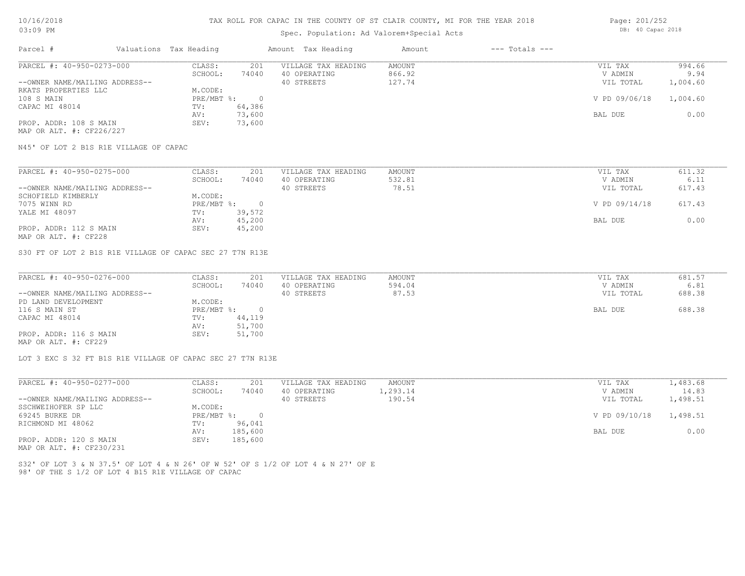## Spec. Population: Ad Valorem+Special Acts

| Page: 201/252 |                   |  |  |  |  |
|---------------|-------------------|--|--|--|--|
|               | DB: 40 Capac 2018 |  |  |  |  |

| Parcel #                       | Valuations Tax Heading |        | Amount Tax Heading  | Amount | $---$ Totals $---$ |               |          |
|--------------------------------|------------------------|--------|---------------------|--------|--------------------|---------------|----------|
| PARCEL #: 40-950-0273-000      | CLASS:                 | 201    | VILLAGE TAX HEADING | AMOUNT |                    | VIL TAX       | 994.66   |
|                                | SCHOOL:                | 74040  | 40 OPERATING        | 866.92 |                    | V ADMIN       | 9.94     |
| --OWNER NAME/MAILING ADDRESS-- |                        |        | 40 STREETS          | 127.74 |                    | VIL TOTAL     | 1,004.60 |
| RKATS PROPERTIES LLC           | M.CODE:                |        |                     |        |                    |               |          |
| 108 S MAIN                     | $PRE/MBT$ %:           |        |                     |        |                    | V PD 09/06/18 | 1,004.60 |
| CAPAC MI 48014                 | TV:                    | 64,386 |                     |        |                    |               |          |
|                                | AV:                    | 73,600 |                     |        |                    | BAL DUE       | 0.00     |
| PROP. ADDR: 108 S MAIN         | SEV:                   | 73,600 |                     |        |                    |               |          |
| MAP OR ALT. #: CF226/227       |                        |        |                     |        |                    |               |          |

N45' OF LOT 2 B1S R1E VILLAGE OF CAPAC

| PARCEL #: 40-950-0275-000      | CLASS:     | 201    | VILLAGE TAX HEADING | AMOUNT | VIL TAX       | 611.32 |
|--------------------------------|------------|--------|---------------------|--------|---------------|--------|
|                                | SCHOOL:    | 74040  | 40 OPERATING        | 532.81 | V ADMIN       | 6.11   |
| --OWNER NAME/MAILING ADDRESS-- |            |        | 40 STREETS          | 78.51  | VIL TOTAL     | 617.43 |
| SCHOFIELD KIMBERLY             | M.CODE:    |        |                     |        |               |        |
| 7075 WINN RD                   | PRE/MBT %: |        |                     |        | V PD 09/14/18 | 617.43 |
| YALE MI 48097                  | TV:        | 39,572 |                     |        |               |        |
|                                | AV:        | 45,200 |                     |        | BAL DUE       | 0.00   |
| PROP. ADDR: 112 S MAIN         | SEV:       | 45,200 |                     |        |               |        |
|                                |            |        |                     |        |               |        |

MAP OR ALT. #: CF228

S30 FT OF LOT 2 B1S R1E VILLAGE OF CAPAC SEC 27 T7N R13E

| PARCEL #: 40-950-0276-000      | CLASS:       | 201    | VILLAGE TAX HEADING | AMOUNT | VIL TAX   | 681.57 |
|--------------------------------|--------------|--------|---------------------|--------|-----------|--------|
|                                | SCHOOL:      | 74040  | 40 OPERATING        | 594.04 | V ADMIN   | 6.81   |
| --OWNER NAME/MAILING ADDRESS-- |              |        | 40 STREETS          | 87.53  | VIL TOTAL | 688.38 |
| PD LAND DEVELOPMENT            | M.CODE:      |        |                     |        |           |        |
| 116 S MAIN ST                  | $PRE/MBT$ %: |        |                     |        | BAL DUE   | 688.38 |
| CAPAC MI 48014                 | TV:          | 44,119 |                     |        |           |        |
|                                | AV:          | 51,700 |                     |        |           |        |
| PROP. ADDR: 116 S MAIN         | SEV:         | 51,700 |                     |        |           |        |
| MAP OR ALT. #: CF229           |              |        |                     |        |           |        |

LOT 3 EXC S 32 FT B1S R1E VILLAGE OF CAPAC SEC 27 T7N R13E

| PARCEL #: 40-950-0277-000      | CLASS:     | 201     | VILLAGE TAX HEADING | AMOUNT   | VIL TAX       | 1,483.68 |
|--------------------------------|------------|---------|---------------------|----------|---------------|----------|
|                                | SCHOOL:    | 74040   | 40 OPERATING        | 1,293.14 | V ADMIN       | 14.83    |
| --OWNER NAME/MAILING ADDRESS-- |            |         | 40 STREETS          | 190.54   | VIL TOTAL     | 1,498.51 |
| SSCHWEIHOFER SP LLC            | M.CODE:    |         |                     |          |               |          |
| 69245 BURKE DR                 | PRE/MBT %: |         |                     |          | V PD 09/10/18 | 1,498.51 |
| RICHMOND MI 48062              | TV:        | 96,041  |                     |          |               |          |
|                                | AV:        | 185,600 |                     |          | BAL DUE       | 0.00     |
| PROP. ADDR: 120 S MAIN         | SEV:       | 185,600 |                     |          |               |          |

MAP OR ALT. #: CF230/231

98' OF THE S 1/2 OF LOT 4 B15 R1E VILLAGE OF CAPAC S32' OF LOT 3 & N 37.5' OF LOT 4 & N 26' OF W 52' OF S 1/2 OF LOT 4 & N 27' OF E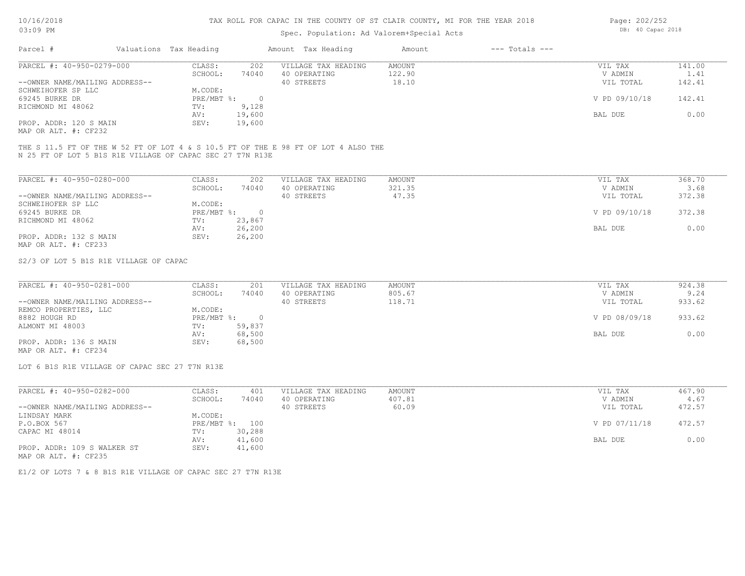### Spec. Population: Ad Valorem+Special Acts

| Parcel #                       | Valuations Tax Heading |        | Amount Tax Heading  | Amount | $---$ Totals $---$ |               |        |
|--------------------------------|------------------------|--------|---------------------|--------|--------------------|---------------|--------|
| PARCEL #: 40-950-0279-000      | CLASS:                 | 202    | VILLAGE TAX HEADING | AMOUNT |                    | VIL TAX       | 141.00 |
|                                | SCHOOL:                | 74040  | 40 OPERATING        | 122.90 |                    | V ADMIN       | 1.41   |
| --OWNER NAME/MAILING ADDRESS-- |                        |        | 40 STREETS          | 18.10  |                    | VIL TOTAL     | 142.41 |
| SCHWEIHOFER SP LLC             | M.CODE:                |        |                     |        |                    |               |        |
| 69245 BURKE DR                 | PRE/MBT %:             |        |                     |        |                    | V PD 09/10/18 | 142.41 |
| RICHMOND MI 48062              | TV:                    | 9,128  |                     |        |                    |               |        |
|                                | AV:                    | 19,600 |                     |        |                    | BAL DUE       | 0.00   |
| PROP. ADDR: 120 S MAIN         | SEV:                   | 19,600 |                     |        |                    |               |        |
|                                |                        |        |                     |        |                    |               |        |

MAP OR ALT. #: CF232

N 25 FT OF LOT 5 B1S R1E VILLAGE OF CAPAC SEC 27 T7N R13E THE S 11.5 FT OF THE W 52 FT OF LOT 4 & S 10.5 FT OF THE E 98 FT OF LOT 4 ALSO THE

| PARCEL #: 40-950-0280-000      | CLASS:     | 202    | VILLAGE TAX HEADING | AMOUNT | VIL TAX       | 368.70 |
|--------------------------------|------------|--------|---------------------|--------|---------------|--------|
|                                | SCHOOL:    | 74040  | 40 OPERATING        | 321.35 | V ADMIN       | 3.68   |
| --OWNER NAME/MAILING ADDRESS-- |            |        | 40 STREETS          | 47.35  | VIL TOTAL     | 372.38 |
| SCHWEIHOFER SP LLC             | M.CODE:    |        |                     |        |               |        |
| 69245 BURKE DR                 | PRE/MBT %: | $\cap$ |                     |        | V PD 09/10/18 | 372.38 |
| RICHMOND MI 48062              | TV:        | 23,867 |                     |        |               |        |
|                                | AV:        | 26,200 |                     |        | BAL DUE       | 0.00   |
| PROP. ADDR: 132 S MAIN         | SEV:       | 26,200 |                     |        |               |        |
| MAP OR ALT. #: CF233           |            |        |                     |        |               |        |

### S2/3 OF LOT 5 B1S R1E VILLAGE OF CAPAC

| PARCEL #: 40-950-0281-000      | CLASS:     | 201    | VILLAGE TAX HEADING | AMOUNT | VIL TAX       | 924.38 |
|--------------------------------|------------|--------|---------------------|--------|---------------|--------|
|                                | SCHOOL:    | 74040  | 40 OPERATING        | 805.67 | V ADMIN       | 9.24   |
| --OWNER NAME/MAILING ADDRESS-- |            |        | 40 STREETS          | 118.71 | VIL TOTAL     | 933.62 |
| REMCO PROPERTIES, LLC          | M.CODE:    |        |                     |        |               |        |
| 8882 HOUGH RD                  | PRE/MBT %: |        |                     |        | V PD 08/09/18 | 933.62 |
| ALMONT MI 48003                | TV:        | 59,837 |                     |        |               |        |
|                                | AV:        | 68,500 |                     |        | BAL DUE       | 0.00   |
| PROP. ADDR: 136 S MAIN         | SEV:       | 68,500 |                     |        |               |        |
| MAP OR ALT. #: CF234           |            |        |                     |        |               |        |

LOT 6 B1S R1E VILLAGE OF CAPAC SEC 27 T7N R13E

MAP OR ALT. #: CF235 PROP. ADDR: 109 S WALKER ST SEV: 41,600 AV: 41,600 AV: 41,600 AV: 41,600 BAL DUE 0.00 CAPAC MI 48014 TV: 30,288<br>AV: 41,600 P.O.BOX 567 PRE/MBT %: 100 V PD 07/11/18 472.57 LINDSAY MARK M.CODE:<br>
P.O.BOX 567 PRE/MBT %: 100 --OWNER NAME/MAILING ADDRESS-- 40 STREETS 60.09 VIL TOTAL 472.57 SCHOOL: 74040 40 OPERATING 407.81 4.67 407.81 V ADMIN 4.67 PARCEL #: 40-950-0282-000 CLASS: 401 VILLAGE TAX HEADING AMOUNT NUL TAX VIL TAX 467.90<br>SCHOOL: 74040 40 OPERATING 407.81 VADMIN 4.67  $\mathcal{L}_\mathcal{L} = \mathcal{L}_\mathcal{L} = \mathcal{L}_\mathcal{L} = \mathcal{L}_\mathcal{L} = \mathcal{L}_\mathcal{L} = \mathcal{L}_\mathcal{L} = \mathcal{L}_\mathcal{L} = \mathcal{L}_\mathcal{L} = \mathcal{L}_\mathcal{L} = \mathcal{L}_\mathcal{L} = \mathcal{L}_\mathcal{L} = \mathcal{L}_\mathcal{L} = \mathcal{L}_\mathcal{L} = \mathcal{L}_\mathcal{L} = \mathcal{L}_\mathcal{L} = \mathcal{L}_\mathcal{L} = \mathcal{L}_\mathcal{L}$ 

E1/2 OF LOTS 7 & 8 B1S R1E VILLAGE OF CAPAC SEC 27 T7N R13E

Page: 202/252 DB: 40 Capac 2018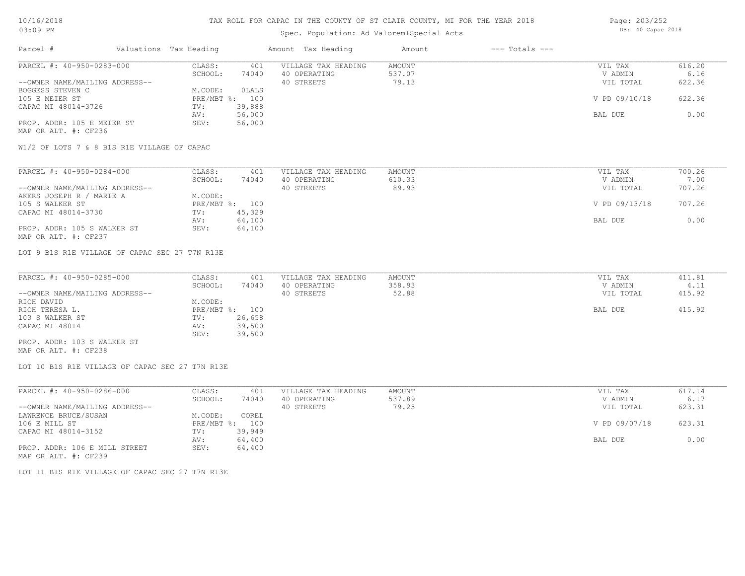## Spec. Population: Ad Valorem+Special Acts

Page: 203/252 DB: 40 Capac 2018

| Parcel #                       | Valuations Tax Heading |        | Amount Tax Heading  | Amount | $---$ Totals $---$ |               |        |
|--------------------------------|------------------------|--------|---------------------|--------|--------------------|---------------|--------|
| PARCEL #: 40-950-0283-000      | CLASS:                 | 401    | VILLAGE TAX HEADING | AMOUNT |                    | VIL TAX       | 616.20 |
|                                | SCHOOL:                | 74040  | 40 OPERATING        | 537.07 |                    | V ADMIN       | 6.16   |
| --OWNER NAME/MAILING ADDRESS-- |                        |        | 40 STREETS          | 79.13  |                    | VIL TOTAL     | 622.36 |
| BOGGESS STEVEN C               | M.CODE:                | OLALS  |                     |        |                    |               |        |
| 105 E MEIER ST                 | $PRE/MBT$ %:           | 100    |                     |        |                    | V PD 09/10/18 | 622.36 |
| CAPAC MI 48014-3726            | TV:                    | 39,888 |                     |        |                    |               |        |
|                                | AV:                    | 56,000 |                     |        |                    | BAL DUE       | 0.00   |
| PROP. ADDR: 105 E MEIER ST     | SEV:                   | 56,000 |                     |        |                    |               |        |
| MAP OR ALT. #: CF236           |                        |        |                     |        |                    |               |        |

W1/2 OF LOTS 7 & 8 B1S R1E VILLAGE OF CAPAC

| PARCEL #: 40-950-0284-000      | CLASS:  | 401            | VILLAGE TAX HEADING | AMOUNT | VIL TAX       | 700.26 |
|--------------------------------|---------|----------------|---------------------|--------|---------------|--------|
|                                | SCHOOL: | 74040          | 40 OPERATING        | 610.33 | V ADMIN       | 7.00   |
| --OWNER NAME/MAILING ADDRESS-- |         |                | 40 STREETS          | 89.93  | VIL TOTAL     | 707.26 |
| AKERS JOSEPH R / MARIE A       | M.CODE: |                |                     |        |               |        |
| 105 S WALKER ST                |         | PRE/MBT %: 100 |                     |        | V PD 09/13/18 | 707.26 |
| CAPAC MI 48014-3730            | TV:     | 45,329         |                     |        |               |        |
|                                | AV:     | 64,100         |                     |        | BAL DUE       | 0.00   |
| PROP. ADDR: 105 S WALKER ST    | SEV:    | 64,100         |                     |        |               |        |
| MAP OR ALT. #: CF237           |         |                |                     |        |               |        |

LOT 9 B1S R1E VILLAGE OF CAPAC SEC 27 T7N R13E

| PARCEL #: 40-950-0285-000      | CLASS:         | 401    | VILLAGE TAX HEADING | AMOUNT | VIL TAX   | 411.81 |
|--------------------------------|----------------|--------|---------------------|--------|-----------|--------|
|                                | SCHOOL:        | 74040  | 40 OPERATING        | 358.93 | V ADMIN   | 4.11   |
| --OWNER NAME/MAILING ADDRESS-- |                |        | 40 STREETS          | 52.88  | VIL TOTAL | 415.92 |
| RICH DAVID                     | M.CODE:        |        |                     |        |           |        |
| RICH TERESA L.                 | PRE/MBT %: 100 |        |                     |        | BAL DUE   | 415.92 |
| 103 S WALKER ST                | TV:            | 26,658 |                     |        |           |        |
| CAPAC MI 48014                 | AV:            | 39,500 |                     |        |           |        |
|                                | SEV:           | 39,500 |                     |        |           |        |
| PROP. ADDR: 103 S WALKER ST    |                |        |                     |        |           |        |

MAP OR ALT. #: CF238

LOT 10 B1S R1E VILLAGE OF CAPAC SEC 27 T7N R13E

| PARCEL #: 40-950-0286-000      | CLASS:  | 401            | VILLAGE TAX HEADING | AMOUNT | VIL TAX       | 617.14 |
|--------------------------------|---------|----------------|---------------------|--------|---------------|--------|
|                                | SCHOOL: | 74040          | 40 OPERATING        | 537.89 | V ADMIN       | 6.17   |
| --OWNER NAME/MAILING ADDRESS-- |         |                | 40 STREETS          | 79.25  | VIL TOTAL     | 623.31 |
| LAWRENCE BRUCE/SUSAN           | M.CODE: | COREL          |                     |        |               |        |
| 106 E MILL ST                  |         | PRE/MBT %: 100 |                     |        | V PD 09/07/18 | 623.31 |
| CAPAC MI 48014-3152            | TV:     | 39,949         |                     |        |               |        |
|                                | AV:     | 64,400         |                     |        | BAL DUE       | 0.00   |
| PROP. ADDR: 106 E MILL STREET  | SEV:    | 64,400         |                     |        |               |        |
| MAP OR ALT. #: CF239           |         |                |                     |        |               |        |

LOT 11 B1S R1E VILLAGE OF CAPAC SEC 27 T7N R13E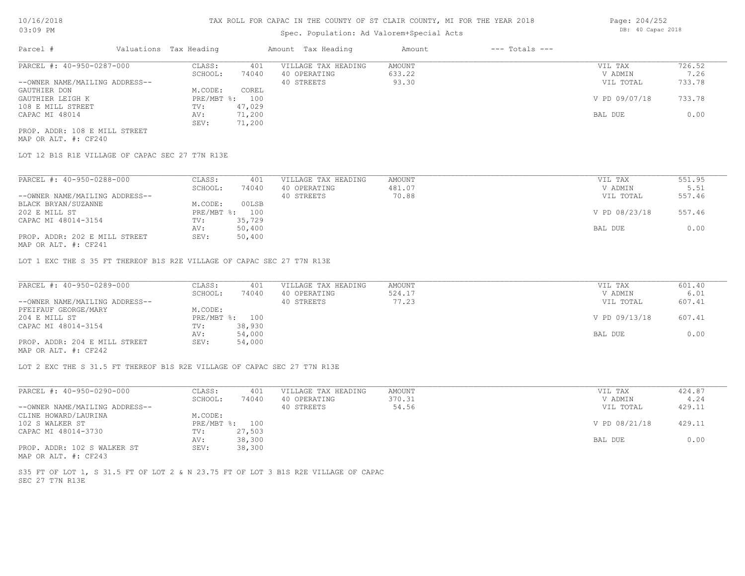# Spec. Population: Ad Valorem+Special Acts

| Parcel #                       | Valuations Tax Heading |        | Amount Tax Heading  | Amount | $---$ Totals $---$ |               |        |
|--------------------------------|------------------------|--------|---------------------|--------|--------------------|---------------|--------|
| PARCEL #: 40-950-0287-000      | CLASS:                 | 401    | VILLAGE TAX HEADING | AMOUNT |                    | VIL TAX       | 726.52 |
|                                | SCHOOL:                | 74040  | 40 OPERATING        | 633.22 |                    | V ADMIN       | 7.26   |
| --OWNER NAME/MAILING ADDRESS-- |                        |        | 40 STREETS          | 93.30  |                    | VIL TOTAL     | 733.78 |
| GAUTHIER DON                   | M.CODE:                | COREL  |                     |        |                    |               |        |
| GAUTHIER LEIGH K               | $PRE/MBT$ %:           | 100    |                     |        |                    | V PD 09/07/18 | 733.78 |
| 108 E MILL STREET              | TV:                    | 47,029 |                     |        |                    |               |        |
| CAPAC MI 48014                 | AV:                    | 71,200 |                     |        |                    | BAL DUE       | 0.00   |
|                                | SEV:                   | 71,200 |                     |        |                    |               |        |
| PROP. ADDR: 108 E MILL STREET  |                        |        |                     |        |                    |               |        |

MAP OR ALT. #: CF240

LOT 12 B1S R1E VILLAGE OF CAPAC SEC 27 T7N R13E

| PARCEL #: 40-950-0288-000                    | CLASS:       | 401    | VILLAGE TAX HEADING | AMOUNT | VIL TAX       | 551.95 |
|----------------------------------------------|--------------|--------|---------------------|--------|---------------|--------|
|                                              | SCHOOL:      | 74040  | 40 OPERATING        | 481.07 | V ADMIN       | 5.51   |
| --OWNER NAME/MAILING ADDRESS--               |              |        | 40 STREETS          | 70.88  | VIL TOTAL     | 557.46 |
| BLACK BRYAN/SUZANNE                          | M.CODE:      | 00LSB  |                     |        |               |        |
| 202 E MILL ST                                | $PRE/MBT$ %: | 100    |                     |        | V PD 08/23/18 | 557.46 |
| CAPAC MI 48014-3154                          | TV:          | 35,729 |                     |        |               |        |
|                                              | AV:          | 50,400 |                     |        | BAL DUE       | 0.00   |
| PROP. ADDR: 202 E MILL STREET                | SEV:         | 50,400 |                     |        |               |        |
| $\cdots$ $\cdots$ $\cdots$ $\cdots$ $\cdots$ |              |        |                     |        |               |        |

MAP OR ALT. #: CF241

LOT 1 EXC THE S 35 FT THEREOF B1S R2E VILLAGE OF CAPAC SEC 27 T7N R13E

| PARCEL #: 40-950-0289-000      | CLASS:  | 401            | VILLAGE TAX HEADING | AMOUNT | VIL TAX       | 601.40 |
|--------------------------------|---------|----------------|---------------------|--------|---------------|--------|
|                                | SCHOOL: | 74040          | 40 OPERATING        | 524.17 | V ADMIN       | 6.01   |
| --OWNER NAME/MAILING ADDRESS-- |         |                | 40 STREETS          | 77.23  | VIL TOTAL     | 607.41 |
| PFEIFAUF GEORGE/MARY           | M.CODE: |                |                     |        |               |        |
| 204 E MILL ST                  |         | PRE/MBT %: 100 |                     |        | V PD 09/13/18 | 607.41 |
| CAPAC MI 48014-3154            | TV:     | 38,930         |                     |        |               |        |
|                                | AV:     | 54,000         |                     |        | BAL DUE       | 0.00   |
| PROP. ADDR: 204 E MILL STREET  | SEV:    | 54,000         |                     |        |               |        |
| $\cdots$                       |         |                |                     |        |               |        |

MAP OR ALT. #: CF242

LOT 2 EXC THE S 31.5 FT THEREOF B1S R2E VILLAGE OF CAPAC SEC 27 T7N R13E

| PARCEL #: 40-950-0290-000      | CLASS:  | 401            | VILLAGE TAX HEADING | AMOUNT | VIL TAX       | 424.87 |
|--------------------------------|---------|----------------|---------------------|--------|---------------|--------|
|                                | SCHOOL: | 74040          | 40 OPERATING        | 370.31 | V ADMIN       | 4.24   |
| --OWNER NAME/MAILING ADDRESS-- |         |                | 40 STREETS          | 54.56  | VIL TOTAL     | 429.11 |
| CLINE HOWARD/LAURINA           | M.CODE: |                |                     |        |               |        |
| 102 S WALKER ST                |         | PRE/MBT %: 100 |                     |        | V PD 08/21/18 | 429.11 |
| CAPAC MI 48014-3730            | TV:     | 27,503         |                     |        |               |        |
|                                | AV:     | 38,300         |                     |        | BAL DUE       | 0.00   |
| PROP. ADDR: 102 S WALKER ST    | SEV:    | 38,300         |                     |        |               |        |
| MAP OR ALT. #: CF243           |         |                |                     |        |               |        |

SEC 27 T7N R13E S35 FT OF LOT 1, S 31.5 FT OF LOT 2 & N 23.75 FT OF LOT 3 B1S R2E VILLAGE OF CAPAC Page: 204/252 DB: 40 Capac 2018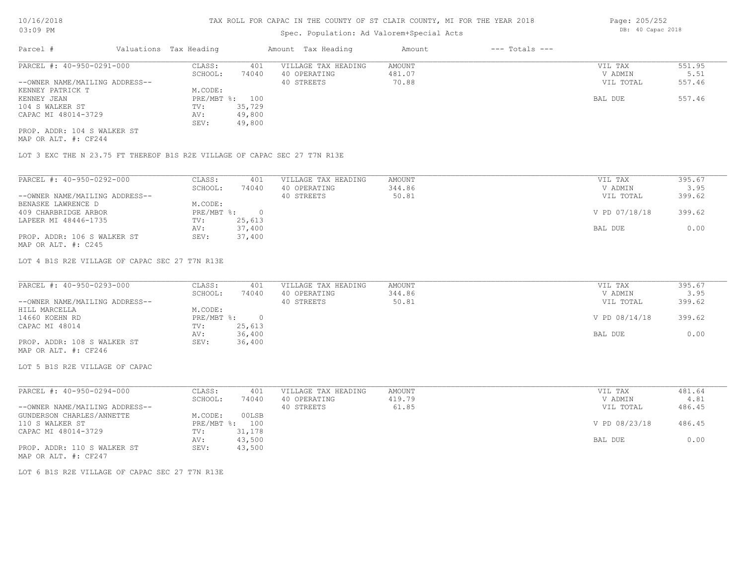# Spec. Population: Ad Valorem+Special Acts

| Parcel #                       | Valuations Tax Heading |        | Amount Tax Heading  | Amount | $---$ Totals $---$ |           |        |
|--------------------------------|------------------------|--------|---------------------|--------|--------------------|-----------|--------|
| PARCEL #: 40-950-0291-000      | CLASS:                 | 401    | VILLAGE TAX HEADING | AMOUNT |                    | VIL TAX   | 551.95 |
|                                | SCHOOL:                | 74040  | 40 OPERATING        | 481.07 |                    | V ADMIN   | 5.51   |
| --OWNER NAME/MAILING ADDRESS-- |                        |        | 40 STREETS          | 70.88  |                    | VIL TOTAL | 557.46 |
| KENNEY PATRICK T               | M.CODE:                |        |                     |        |                    |           |        |
| KENNEY JEAN                    | PRE/MBT %: 100         |        |                     |        |                    | BAL DUE   | 557.46 |
| 104 S WALKER ST                | TV:                    | 35,729 |                     |        |                    |           |        |
| CAPAC MI 48014-3729            | AV:                    | 49,800 |                     |        |                    |           |        |
|                                | SEV:                   | 49,800 |                     |        |                    |           |        |
| PROP. ADDR: 104 S WALKER ST    |                        |        |                     |        |                    |           |        |

MAP OR ALT. #: CF244

LOT 3 EXC THE N 23.75 FT THEREOF B1S R2E VILLAGE OF CAPAC SEC 27 T7N R13E

| PARCEL #: 40-950-0292-000      | CLASS:     | 401    | VILLAGE TAX HEADING | AMOUNT | VIL TAX       | 395.67 |
|--------------------------------|------------|--------|---------------------|--------|---------------|--------|
|                                | SCHOOL:    | 74040  | 40 OPERATING        | 344.86 | V ADMIN       | 3.95   |
| --OWNER NAME/MAILING ADDRESS-- |            |        | 40 STREETS          | 50.81  | VIL TOTAL     | 399.62 |
| BENASKE LAWRENCE D             | M.CODE:    |        |                     |        |               |        |
| 409 CHARBRIDGE ARBOR           | PRE/MBT %: | $\cap$ |                     |        | V PD 07/18/18 | 399.62 |
| LAPEER MI 48446-1735           | TV:        | 25,613 |                     |        |               |        |
|                                | AV:        | 37,400 |                     |        | BAL DUE       | 0.00   |
| PROP. ADDR: 106 S WALKER ST    | SEV:       | 37,400 |                     |        |               |        |
| MAP OR ALT. #: C245            |            |        |                     |        |               |        |

LOT 4 B1S R2E VILLAGE OF CAPAC SEC 27 T7N R13E

| PARCEL #: 40-950-0293-000      | CLASS:     | 401    | VILLAGE TAX HEADING | AMOUNT | VIL TAX       | 395.67 |
|--------------------------------|------------|--------|---------------------|--------|---------------|--------|
|                                | SCHOOL:    | 74040  | 40 OPERATING        | 344.86 | V ADMIN       | 3.95   |
| --OWNER NAME/MAILING ADDRESS-- |            |        | 40 STREETS          | 50.81  | VIL TOTAL     | 399.62 |
| HILL MARCELLA                  | M.CODE:    |        |                     |        |               |        |
| 14660 KOEHN RD                 | PRE/MBT %: |        |                     |        | V PD 08/14/18 | 399.62 |
| CAPAC MI 48014                 | TV:        | 25,613 |                     |        |               |        |
|                                | AV:        | 36,400 |                     |        | BAL DUE       | 0.00   |
| PROP. ADDR: 108 S WALKER ST    | SEV:       | 36,400 |                     |        |               |        |
| MAP OR ALT. #: CF246           |            |        |                     |        |               |        |

LOT 5 B1S R2E VILLAGE OF CAPAC

| PARCEL #: 40-950-0294-000      | CLASS:     | 401    | VILLAGE TAX HEADING | AMOUNT | VIL TAX       | 481.64 |
|--------------------------------|------------|--------|---------------------|--------|---------------|--------|
|                                | SCHOOL:    | 74040  | 40 OPERATING        | 419.79 | V ADMIN       | 4.81   |
| --OWNER NAME/MAILING ADDRESS-- |            |        | 40 STREETS          | 61.85  | VIL TOTAL     | 486.45 |
| GUNDERSON CHARLES/ANNETTE      | M.CODE:    | 00LSB  |                     |        |               |        |
| 110 S WALKER ST                | PRE/MBT %: | 100    |                     |        | V PD 08/23/18 | 486.45 |
| CAPAC MI 48014-3729            | TV:        | 31,178 |                     |        |               |        |
|                                | AV:        | 43,500 |                     |        | BAL DUE       | 0.00   |
| PROP. ADDR: 110 S WALKER ST    | SEV:       | 43,500 |                     |        |               |        |
| MAP OR ALT. #: CF247           |            |        |                     |        |               |        |

LOT 6 B1S R2E VILLAGE OF CAPAC SEC 27 T7N R13E

Page: 205/252 DB: 40 Capac 2018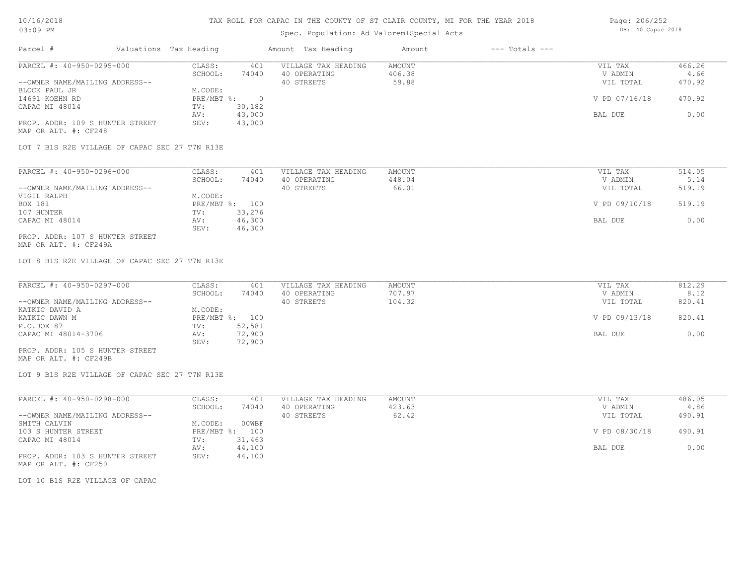# Spec. Population: Ad Valorem+Special Acts

| Parcel #                        | Valuations Tax Heading |        | Amount Tax Heading  | Amount | $---$ Totals $---$ |               |        |
|---------------------------------|------------------------|--------|---------------------|--------|--------------------|---------------|--------|
| PARCEL #: 40-950-0295-000       | CLASS:                 | 401    | VILLAGE TAX HEADING | AMOUNT |                    | VIL TAX       | 466.26 |
|                                 | SCHOOL:                | 74040  | 40 OPERATING        | 406.38 |                    | V ADMIN       | 4.66   |
| --OWNER NAME/MAILING ADDRESS--  |                        |        | 40 STREETS          | 59.88  |                    | VIL TOTAL     | 470.92 |
| BLOCK PAUL JR                   | M.CODE:                |        |                     |        |                    |               |        |
| 14691 KOEHN RD                  | $PRE/MBT$ %:           |        |                     |        |                    | V PD 07/16/18 | 470.92 |
| CAPAC MI 48014                  | TV:                    | 30,182 |                     |        |                    |               |        |
|                                 | AV:                    | 43,000 |                     |        |                    | BAL DUE       | 0.00   |
| PROP. ADDR: 109 S HUNTER STREET | SEV:                   | 43,000 |                     |        |                    |               |        |
|                                 |                        |        |                     |        |                    |               |        |

MAP OR ALT. #: CF248

LOT 7 B1S R2E VILLAGE OF CAPAC SEC 27 T7N R13E

| PARCEL #: 40-950-0296-000       | CLASS:  | 401            | VILLAGE TAX HEADING | AMOUNT | VIL TAX       | 514.05 |
|---------------------------------|---------|----------------|---------------------|--------|---------------|--------|
|                                 | SCHOOL: | 74040          | 40 OPERATING        | 448.04 | V ADMIN       | 5.14   |
| --OWNER NAME/MAILING ADDRESS--  |         |                | 40 STREETS          | 66.01  | VIL TOTAL     | 519.19 |
| VIGIL RALPH                     | M.CODE: |                |                     |        |               |        |
| BOX 181                         |         | PRE/MBT %: 100 |                     |        | V PD 09/10/18 | 519.19 |
| 107 HUNTER                      | TV:     | 33,276         |                     |        |               |        |
| CAPAC MI 48014                  | AV:     | 46,300         |                     |        | BAL DUE       | 0.00   |
|                                 | SEV:    | 46,300         |                     |        |               |        |
| PROP. ADDR: 107 S HUNTER STREET |         |                |                     |        |               |        |

MAP OR ALT. #: CF249A

LOT 8 B1S R2E VILLAGE OF CAPAC SEC 27 T7N R13E

| PARCEL #: 40-950-0297-000       | CLASS:  | 401            | VILLAGE TAX HEADING | AMOUNT | VIL TAX       | 812.29 |
|---------------------------------|---------|----------------|---------------------|--------|---------------|--------|
|                                 | SCHOOL: | 74040          | 40 OPERATING        | 707.97 | V ADMIN       | 8.12   |
| --OWNER NAME/MAILING ADDRESS--  |         |                | 40 STREETS          | 104.32 | VIL TOTAL     | 820.41 |
| KATKIC DAVID A                  | M.CODE: |                |                     |        |               |        |
| KATKIC DAWN M                   |         | PRE/MBT %: 100 |                     |        | V PD 09/13/18 | 820.41 |
| P.O.BOX 87                      | TV:     | 52,581         |                     |        |               |        |
| CAPAC MI 48014-3706             | AV:     | 72,900         |                     |        | BAL DUE       | 0.00   |
|                                 | SEV:    | 72,900         |                     |        |               |        |
| PROP. ADDR: 105 S HUNTER STREET |         |                |                     |        |               |        |

MAP OR ALT. #: CF249B

LOT 9 B1S R2E VILLAGE OF CAPAC SEC 27 T7N R13E

| PARCEL #: 40-950-0298-000       | CLASS:       | 401    | VILLAGE TAX HEADING | AMOUNT | VIL TAX       | 486.05 |
|---------------------------------|--------------|--------|---------------------|--------|---------------|--------|
|                                 | SCHOOL:      | 74040  | 40 OPERATING        | 423.63 | V ADMIN       | 4.86   |
| --OWNER NAME/MAILING ADDRESS--  |              |        | 40 STREETS          | 62.42  | VIL TOTAL     | 490.91 |
| SMITH CALVIN                    | M.CODE:      | 00WBF  |                     |        |               |        |
| 103 S HUNTER STREET             | $PRE/MBT$ %: | 100    |                     |        | V PD 08/30/18 | 490.91 |
| CAPAC MI 48014                  | TV:          | 31,463 |                     |        |               |        |
|                                 | AV:          | 44,100 |                     |        | BAL DUE       | 0.00   |
| PROP. ADDR: 103 S HUNTER STREET | SEV:         | 44,100 |                     |        |               |        |
| MAP OR ALT. #: CF250            |              |        |                     |        |               |        |

LOT 10 B1S R2E VILLAGE OF CAPAC

Page: 206/252 DB: 40 Capac 2018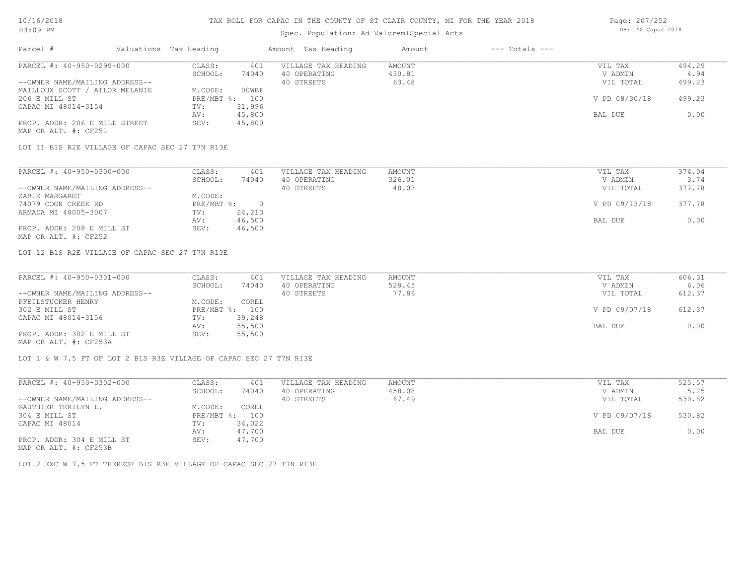# Spec. Population: Ad Valorem+Special Acts

| Parcel #                       | Valuations Tax Heading |        | Amount Tax Heading  | Amount | $---$ Totals $---$ |               |        |
|--------------------------------|------------------------|--------|---------------------|--------|--------------------|---------------|--------|
| PARCEL #: 40-950-0299-000      | CLASS:                 | 401    | VILLAGE TAX HEADING | AMOUNT |                    | VIL TAX       | 494.29 |
|                                | SCHOOL:                | 74040  | 40 OPERATING        | 430.81 |                    | V ADMIN       | 4.94   |
| --OWNER NAME/MAILING ADDRESS-- |                        |        | 40 STREETS          | 63.48  |                    | VIL TOTAL     | 499.23 |
| MAILLOUX SCOTT / AILOR MELANIE | M.CODE:                | 00WBF  |                     |        |                    |               |        |
| 206 E MILL ST                  | PRE/MBT %: 100         |        |                     |        |                    | V PD 08/30/18 | 499.23 |
| CAPAC MI 48014-3154            | TV:                    | 31,996 |                     |        |                    |               |        |
|                                | AV:                    | 45,800 |                     |        |                    | BAL DUE       | 0.00   |
| PROP. ADDR: 206 E MILL STREET  | SEV:                   | 45,800 |                     |        |                    |               |        |
|                                |                        |        |                     |        |                    |               |        |

MAP OR ALT. #: CF251

LOT 11 B1S R2E VILLAGE OF CAPAC SEC 27 T7N R13E

| PARCEL #: 40-950-0300-000      | CLASS:     | 401    | VILLAGE TAX HEADING | AMOUNT | VIL TAX       | 374.04 |
|--------------------------------|------------|--------|---------------------|--------|---------------|--------|
|                                | SCHOOL:    | 74040  | 40 OPERATING        | 326.01 | V ADMIN       | 3.74   |
| --OWNER NAME/MAILING ADDRESS-- |            |        | 40 STREETS          | 48.03  | VIL TOTAL     | 377.78 |
| ZABIK MARGARET                 | M.CODE:    |        |                     |        |               |        |
| 74079 COON CREEK RD            | PRE/MBT %: |        |                     |        | V PD 09/13/18 | 377.78 |
| ARMADA MI 48005-3007           | TV:        | 24,213 |                     |        |               |        |
|                                | AV:        | 46,500 |                     |        | BAL DUE       | 0.00   |
| PROP. ADDR: 208 E MILL ST      | SEV:       | 46,500 |                     |        |               |        |
| MAP OR ALT. #: CF252           |            |        |                     |        |               |        |

LOT 12 B1S R2E VILLAGE OF CAPAC SEC 27 T7N R13E

| PARCEL #: 40-950-0301-000      | CLASS:  | 401            | VILLAGE TAX HEADING | AMOUNT | VIL TAX       | 606.31 |
|--------------------------------|---------|----------------|---------------------|--------|---------------|--------|
|                                | SCHOOL: | 74040          | 40 OPERATING        | 528.45 | V ADMIN       | 6.06   |
| --OWNER NAME/MAILING ADDRESS-- |         |                | 40 STREETS          | 77.86  | VIL TOTAL     | 612.37 |
| PFEILSTUCKER HENRY             | M.CODE: | COREL          |                     |        |               |        |
| 302 E MILL ST                  |         | PRE/MBT %: 100 |                     |        | V PD 09/07/18 | 612.37 |
| CAPAC MI 48014-3156            | TV:     | 39,248         |                     |        |               |        |
|                                | AV:     | 55,500         |                     |        | BAL DUE       | 0.00   |
| PROP. ADDR: 302 E MILL ST      | SEV:    | 55,500         |                     |        |               |        |
| MAP OR ALT. #: CF253A          |         |                |                     |        |               |        |

LOT 1 & W 7.5 FT OF LOT 2 B1S R3E VILLAGE OF CAPAC SEC 27 T7N R13E

| PARCEL #: 40-950-0302-000                                                                                            | CLASS:       | 401    | VILLAGE TAX HEADING | AMOUNT | VIL TAX       | 525.57 |
|----------------------------------------------------------------------------------------------------------------------|--------------|--------|---------------------|--------|---------------|--------|
|                                                                                                                      | SCHOOL:      | 74040  | 40 OPERATING        | 458.08 | V ADMIN       | 5.25   |
| --OWNER NAME/MAILING ADDRESS--                                                                                       |              |        | 40 STREETS          | 67.49  | VIL TOTAL     | 530.82 |
| GAUTHIER TERILYN L.                                                                                                  | M.CODE:      | COREL  |                     |        |               |        |
| 304 E MILL ST                                                                                                        | $PRE/MBT$ %: | 100    |                     |        | V PD 09/07/18 | 530.82 |
| CAPAC MI 48014                                                                                                       | TV:          | 34,022 |                     |        |               |        |
|                                                                                                                      | AV:          | 47,700 |                     |        | BAL DUE       | 0.00   |
| PROP. ADDR: 304 E MILL ST<br>$\overline{1000}$ $\overline{200}$ $\overline{250}$ $\overline{2100}$ $\overline{2100}$ | SEV:         | 47,700 |                     |        |               |        |

MAP OR ALT. #: CF253B

LOT 2 EXC W 7.5 FT THEREOF B1S R3E VILLAGE OF CAPAC SEC 27 T7N R13E

Page: 207/252 DB: 40 Capac 2018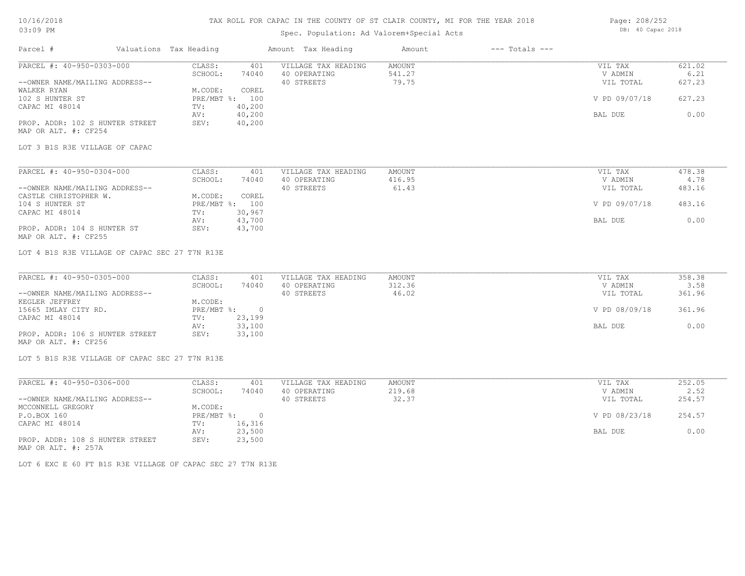## 10/16/2018 03:09 PM

## TAX ROLL FOR CAPAC IN THE COUNTY OF ST CLAIR COUNTY, MI FOR THE YEAR 2018

# Spec. Population: Ad Valorem+Special Acts

| Parcel #                                                | Valuations Tax Heading |        | Amount Tax Heading  | Amount | $---$ Totals $---$ |               |        |
|---------------------------------------------------------|------------------------|--------|---------------------|--------|--------------------|---------------|--------|
| PARCEL #: 40-950-0303-000                               | CLASS:                 | 401    | VILLAGE TAX HEADING | AMOUNT |                    | VIL TAX       | 621.02 |
|                                                         | SCHOOL:                | 74040  | 40 OPERATING        | 541.27 |                    | V ADMIN       | 6.21   |
| --OWNER NAME/MAILING ADDRESS--                          |                        |        | 40 STREETS          | 79.75  |                    | VIL TOTAL     | 627.23 |
| WALKER RYAN                                             | M.CODE:                | COREL  |                     |        |                    |               |        |
| 102 S HUNTER ST                                         | PRE/MBT %: 100         |        |                     |        |                    | V PD 09/07/18 | 627.23 |
| CAPAC MI 48014                                          | TV:                    | 40,200 |                     |        |                    |               |        |
|                                                         | AV:                    | 40,200 |                     |        |                    | BAL DUE       | 0.00   |
| PROP. ADDR: 102 S HUNTER STREET<br>MAP OR ALT. #: CF254 | SEV:                   | 40,200 |                     |        |                    |               |        |

LOT 3 B1S R3E VILLAGE OF CAPAC

| PARCEL #: 40-950-0304-000      | CLASS:  | 401            | VILLAGE TAX HEADING | AMOUNT | VIL TAX       | 478.38 |
|--------------------------------|---------|----------------|---------------------|--------|---------------|--------|
|                                | SCHOOL: | 74040          | 40 OPERATING        | 416.95 | V ADMIN       | 4.78   |
| --OWNER NAME/MAILING ADDRESS-- |         |                | 40 STREETS          | 61.43  | VIL TOTAL     | 483.16 |
| CASTLE CHRISTOPHER W.          | M.CODE: | COREL          |                     |        |               |        |
| 104 S HUNTER ST                |         | PRE/MBT %: 100 |                     |        | V PD 09/07/18 | 483.16 |
| CAPAC MI 48014                 | TV:     | 30,967         |                     |        |               |        |
|                                | AV:     | 43,700         |                     |        | BAL DUE       | 0.00   |
| PROP. ADDR: 104 S HUNTER ST    | SEV:    | 43,700         |                     |        |               |        |
| MAP OR ALT. #: CF255           |         |                |                     |        |               |        |

LOT 4 B1S R3E VILLAGE OF CAPAC SEC 27 T7N R13E

| PARCEL #: 40-950-0305-000       | CLASS:     | 401    | VILLAGE TAX HEADING | AMOUNT | VIL TAX       | 358.38 |
|---------------------------------|------------|--------|---------------------|--------|---------------|--------|
|                                 | SCHOOL:    | 74040  | 40 OPERATING        | 312.36 | V ADMIN       | 3.58   |
| --OWNER NAME/MAILING ADDRESS--  |            |        | 40 STREETS          | 46.02  | VIL TOTAL     | 361.96 |
| KEGLER JEFFREY                  | M.CODE:    |        |                     |        |               |        |
| 15665 IMLAY CITY RD.            | PRE/MBT %: |        |                     |        | V PD 08/09/18 | 361.96 |
| CAPAC MI 48014                  | TV:        | 23,199 |                     |        |               |        |
|                                 | AV:        | 33,100 |                     |        | BAL DUE       | 0.00   |
| PROP. ADDR: 106 S HUNTER STREET | SEV:       | 33,100 |                     |        |               |        |
| MAP OR ALT. #: CF256            |            |        |                     |        |               |        |

LOT 5 B1S R3E VILLAGE OF CAPAC SEC 27 T7N R13E

| PARCEL #: 40-950-0306-000       | CLASS:     | 401    | VILLAGE TAX HEADING | AMOUNT | VIL TAX       | 252.05 |
|---------------------------------|------------|--------|---------------------|--------|---------------|--------|
|                                 | SCHOOL:    | 74040  | 40 OPERATING        | 219.68 | V ADMIN       | 2.52   |
| --OWNER NAME/MAILING ADDRESS--  |            |        | 40 STREETS          | 32.37  | VIL TOTAL     | 254.57 |
| MCCONNELL GREGORY               | M.CODE:    |        |                     |        |               |        |
| P.O.BOX 160                     | PRE/MBT %: |        |                     |        | V PD 08/23/18 | 254.57 |
| CAPAC MI 48014                  | TV:        | 16,316 |                     |        |               |        |
|                                 | AV:        | 23,500 |                     |        | BAL DUE       | 0.00   |
| PROP. ADDR: 108 S HUNTER STREET | SEV:       | 23,500 |                     |        |               |        |
| MAP OR ALT. #: 257A             |            |        |                     |        |               |        |

LOT 6 EXC E 60 FT B1S R3E VILLAGE OF CAPAC SEC 27 T7N R13E

Page: 208/252 DB: 40 Capac 2018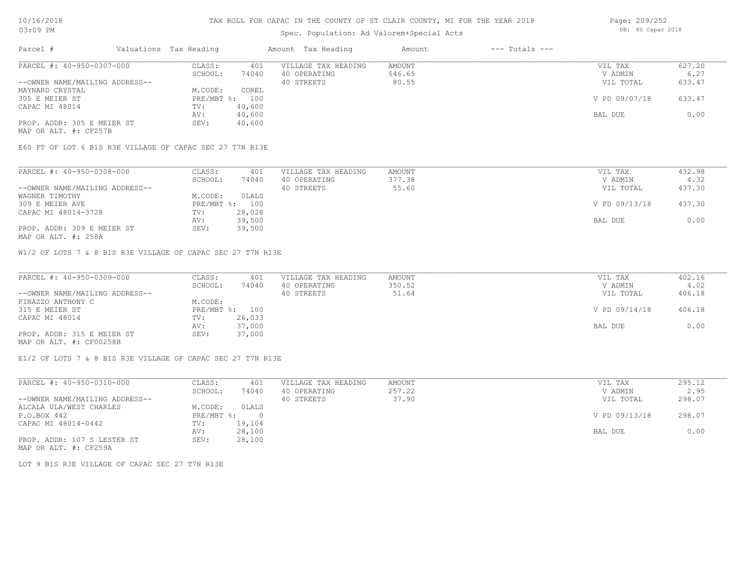# Spec. Population: Ad Valorem+Special Acts

| Parcel #                       | Valuations Tax Heading |        | Amount Tax Heading  | Amount | $---$ Totals $---$ |               |        |
|--------------------------------|------------------------|--------|---------------------|--------|--------------------|---------------|--------|
| PARCEL #: 40-950-0307-000      | CLASS:                 | 401    | VILLAGE TAX HEADING | AMOUNT |                    | VIL TAX       | 627.20 |
|                                | SCHOOL:                | 74040  | 40 OPERATING        | 546.65 |                    | V ADMIN       | 6.27   |
| --OWNER NAME/MAILING ADDRESS-- |                        |        | 40 STREETS          | 80.55  |                    | VIL TOTAL     | 633.47 |
| MAYNARD CRYSTAL                | M.CODE:                | COREL  |                     |        |                    |               |        |
| 305 E MEIER ST                 | PRE/MBT %: 100         |        |                     |        |                    | V PD 09/07/18 | 633.47 |
| CAPAC MI 48014                 | TV:                    | 40,600 |                     |        |                    |               |        |
|                                | AV:                    | 40,600 |                     |        |                    | BAL DUE       | 0.00   |
| PROP. ADDR: 305 E MEIER ST     | SEV:                   | 40,600 |                     |        |                    |               |        |
|                                |                        |        |                     |        |                    |               |        |

MAP OR ALT. #: CF257B

E60 FT OF LOT 6 B1S R3E VILLAGE OF CAPAC SEC 27 T7N R13E

| PARCEL #: 40-950-0308-000      | CLASS:         | 401    | VILLAGE TAX HEADING | AMOUNT | VIL TAX       | 432.98 |
|--------------------------------|----------------|--------|---------------------|--------|---------------|--------|
|                                | SCHOOL:        | 74040  | 40 OPERATING        | 377.38 | V ADMIN       | 4.32   |
| --OWNER NAME/MAILING ADDRESS-- |                |        | 40 STREETS          | 55.60  | VIL TOTAL     | 437.30 |
| WAGNER TIMOTHY                 | M.CODE:        | OLALS  |                     |        |               |        |
| 309 E MEIER AVE                | PRE/MBT %: 100 |        |                     |        | V PD 09/13/18 | 437.30 |
| CAPAC MI 48014-3728            | TV:            | 28,028 |                     |        |               |        |
|                                | AV:            | 39,500 |                     |        | BAL DUE       | 0.00   |
| PROP. ADDR: 309 E MEIER ST     | SEV:           | 39,500 |                     |        |               |        |

MAP OR ALT. #: 258A

W1/2 OF LOTS 7 & 8 B1S R3E VILLAGE OF CAPAC SEC 27 T7N R13E

| PARCEL #: 40-950-0309-000      | CLASS:  | 401            | VILLAGE TAX HEADING | AMOUNT | VIL TAX       | 402.16 |
|--------------------------------|---------|----------------|---------------------|--------|---------------|--------|
|                                | SCHOOL: | 74040          | 40 OPERATING        | 350.52 | V ADMIN       | 4.02   |
| --OWNER NAME/MAILING ADDRESS-- |         |                | 40 STREETS          | 51.64  | VIL TOTAL     | 406.18 |
| FINAZZO ANTHONY C              | M.CODE: |                |                     |        |               |        |
| 315 E MEIER ST                 |         | PRE/MBT %: 100 |                     |        | V PD 09/14/18 | 406.18 |
| CAPAC MI 48014                 | TV:     | 26,033         |                     |        |               |        |
|                                | AV:     | 37,000         |                     |        | BAL DUE       | 0.00   |
| PROP. ADDR: 315 E MEIER ST     | SEV:    | 37,000         |                     |        |               |        |
| MAP OR ALT. #: CF00258B        |         |                |                     |        |               |        |

E1/2 OF LOTS 7 & 8 B1S R3E VILLAGE OF CAPAC SEC 27 T7N R13E

| PARCEL #: 40-950-0310-000      | CLASS:     | 401      | VILLAGE TAX HEADING | AMOUNT | VIL TAX       | 295.12 |
|--------------------------------|------------|----------|---------------------|--------|---------------|--------|
|                                | SCHOOL:    | 74040    | 40 OPERATING        | 257.22 | V ADMIN       | 2.95   |
| --OWNER NAME/MAILING ADDRESS-- |            |          | 40 STREETS          | 37.90  | VIL TOTAL     | 298.07 |
| ALCALA ULA/WEST CHARLES        | M.CODE:    | OLALS    |                     |        |               |        |
| P.O.BOX 442                    | PRE/MBT %: | $\Omega$ |                     |        | V PD 09/13/18 | 298.07 |
| CAPAC MI 48014-0442            | TV:        | 19,104   |                     |        |               |        |
|                                | AV:        | 28,100   |                     |        | BAL DUE       | 0.00   |
| PROP. ADDR: 107 S LESTER ST    | SEV:       | 28,100   |                     |        |               |        |

MAP OR ALT. #: CF259A

LOT 9 B1S R3E VILLAGE OF CAPAC SEC 27 T7N R13E

Page: 209/252 DB: 40 Capac 2018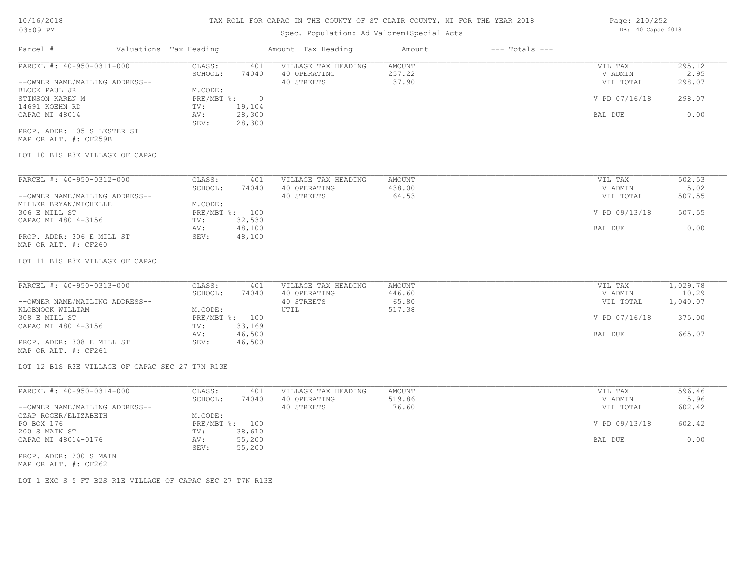# Spec. Population: Ad Valorem+Special Acts

| Parcel #                       | Valuations Tax Heading |        | Amount Tax Heading  | Amount | $---$ Totals $---$ |               |        |
|--------------------------------|------------------------|--------|---------------------|--------|--------------------|---------------|--------|
| PARCEL #: 40-950-0311-000      | CLASS:                 | 401    | VILLAGE TAX HEADING | AMOUNT |                    | VIL TAX       | 295.12 |
|                                | SCHOOL:                | 74040  | 40 OPERATING        | 257.22 |                    | V ADMIN       | 2.95   |
| --OWNER NAME/MAILING ADDRESS-- |                        |        | 40 STREETS          | 37.90  |                    | VIL TOTAL     | 298.07 |
| BLOCK PAUL JR                  | M.CODE:                |        |                     |        |                    |               |        |
| STINSON KAREN M                | PRE/MBT %:             |        |                     |        |                    | V PD 07/16/18 | 298.07 |
| 14691 KOEHN RD                 | TV:                    | 19,104 |                     |        |                    |               |        |
| CAPAC MI 48014                 | AV:                    | 28,300 |                     |        |                    | BAL DUE       | 0.00   |
|                                | SEV:                   | 28,300 |                     |        |                    |               |        |
| PROP. ADDR: 105 S LESTER ST    |                        |        |                     |        |                    |               |        |

MAP OR ALT. #: CF259B

## LOT 10 B1S R3E VILLAGE OF CAPAC

| PARCEL #: 40-950-0312-000      | CLASS:     | 401    | VILLAGE TAX HEADING | AMOUNT | VIL TAX       | 502.53 |
|--------------------------------|------------|--------|---------------------|--------|---------------|--------|
|                                | SCHOOL:    | 74040  | 40 OPERATING        | 438.00 | V ADMIN       | 5.02   |
| --OWNER NAME/MAILING ADDRESS-- |            |        | 40 STREETS          | 64.53  | VIL TOTAL     | 507.55 |
| MILLER BRYAN/MICHELLE          | M.CODE:    |        |                     |        |               |        |
| 306 E MILL ST                  | PRE/MBT %: | 100    |                     |        | V PD 09/13/18 | 507.55 |
| CAPAC MI 48014-3156            | TV:        | 32,530 |                     |        |               |        |
|                                | AV:        | 48,100 |                     |        | BAL DUE       | 0.00   |
| PROP. ADDR: 306 E MILL ST      | SEV:       | 48,100 |                     |        |               |        |
| MAP OR ALT. #: CF260           |            |        |                     |        |               |        |

#### LOT 11 B1S R3E VILLAGE OF CAPAC

| PARCEL #: 40-950-0313-000      | CLASS:       | 401    | VILLAGE TAX HEADING | AMOUNT | VIL TAX       | 1,029.78 |  |
|--------------------------------|--------------|--------|---------------------|--------|---------------|----------|--|
|                                | SCHOOL:      | 74040  | 40 OPERATING        | 446.60 | V ADMIN       | 10.29    |  |
| --OWNER NAME/MAILING ADDRESS-- |              |        | 40 STREETS          | 65.80  | VIL TOTAL     | 1,040.07 |  |
| KLOBNOCK WILLIAM               | M.CODE:      |        | UTIL                | 517.38 |               |          |  |
| 308 E MILL ST                  | $PRE/MBT$ %: | 100    |                     |        | V PD 07/16/18 | 375.00   |  |
| CAPAC MI 48014-3156            | TV:          | 33,169 |                     |        |               |          |  |
|                                | AV:          | 46,500 |                     |        | BAL DUE       | 665.07   |  |
| PROP. ADDR: 308 E MILL ST      | SEV:         | 46,500 |                     |        |               |          |  |

 $\mathcal{L}_\mathcal{L} = \mathcal{L}_\mathcal{L} = \mathcal{L}_\mathcal{L} = \mathcal{L}_\mathcal{L} = \mathcal{L}_\mathcal{L} = \mathcal{L}_\mathcal{L} = \mathcal{L}_\mathcal{L} = \mathcal{L}_\mathcal{L} = \mathcal{L}_\mathcal{L} = \mathcal{L}_\mathcal{L} = \mathcal{L}_\mathcal{L} = \mathcal{L}_\mathcal{L} = \mathcal{L}_\mathcal{L} = \mathcal{L}_\mathcal{L} = \mathcal{L}_\mathcal{L} = \mathcal{L}_\mathcal{L} = \mathcal{L}_\mathcal{L}$ 

MAP OR ALT. #: CF261

#### LOT 12 B1S R3E VILLAGE OF CAPAC SEC 27 T7N R13E

| PARCEL #: 40-950-0314-000      | CLASS:  | 401            | VILLAGE TAX HEADING | AMOUNT | VIL TAX       | 596.46 |
|--------------------------------|---------|----------------|---------------------|--------|---------------|--------|
|                                | SCHOOL: | 74040          | 40 OPERATING        | 519.86 | V ADMIN       | 5.96   |
| --OWNER NAME/MAILING ADDRESS-- |         |                | 40 STREETS          | 76.60  | VIL TOTAL     | 602.42 |
| CZAP ROGER/ELIZABETH           | M.CODE: |                |                     |        |               |        |
| PO BOX 176                     |         | PRE/MBT %: 100 |                     |        | V PD 09/13/18 | 602.42 |
| 200 S MAIN ST                  | TV:     | 38,610         |                     |        |               |        |
| CAPAC MI 48014-0176            | AV:     | 55,200         |                     |        | BAL DUE       | 0.00   |
|                                | SEV:    | 55,200         |                     |        |               |        |
| PROP. ADDR: 200 S MAIN         |         |                |                     |        |               |        |

MAP OR ALT. #: CF262

LOT 1 EXC S 5 FT B2S R1E VILLAGE OF CAPAC SEC 27 T7N R13E

Page: 210/252 DB: 40 Capac 2018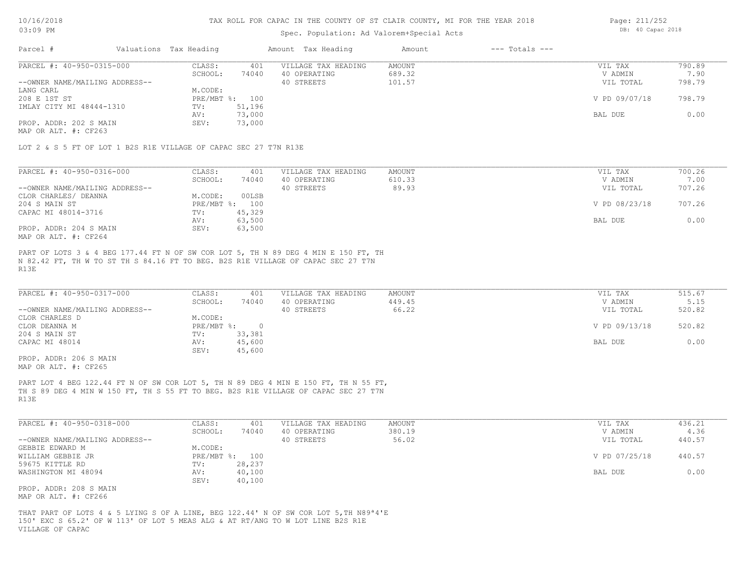## Spec. Population: Ad Valorem+Special Acts

| Page: 211/252 |                   |  |
|---------------|-------------------|--|
|               | DB: 40 Capac 2018 |  |

| Parcel #                       | Valuations Tax Heading |        | Amount Tax Heading  | Amount | $---$ Totals $---$ |               |        |
|--------------------------------|------------------------|--------|---------------------|--------|--------------------|---------------|--------|
| PARCEL #: 40-950-0315-000      | CLASS:                 | 401    | VILLAGE TAX HEADING | AMOUNT |                    | VIL TAX       | 790.89 |
|                                | SCHOOL:                | 74040  | 40 OPERATING        | 689.32 |                    | V ADMIN       | 7.90   |
| --OWNER NAME/MAILING ADDRESS-- |                        |        | 40 STREETS          | 101.57 |                    | VIL TOTAL     | 798.79 |
| LANG CARL                      | M.CODE:                |        |                     |        |                    |               |        |
| 208 E 1ST ST                   | PRE/MBT %: 100         |        |                     |        |                    | V PD 09/07/18 | 798.79 |
| IMLAY CITY MI 48444-1310       | TV:                    | 51,196 |                     |        |                    |               |        |
|                                | AV:                    | 73,000 |                     |        |                    | BAL DUE       | 0.00   |
| PROP. ADDR: 202 S MAIN         | SEV:                   | 73,000 |                     |        |                    |               |        |
|                                |                        |        |                     |        |                    |               |        |

MAP OR ALT. #: CF263

LOT 2 & S 5 FT OF LOT 1 B2S R1E VILLAGE OF CAPAC SEC 27 T7N R13E

| PARCEL #: 40-950-0316-000      | CLASS:       | 401    | VILLAGE TAX HEADING | AMOUNT | VIL TAX       | 700.26 |
|--------------------------------|--------------|--------|---------------------|--------|---------------|--------|
|                                | SCHOOL:      | 74040  | 40 OPERATING        | 610.33 | V ADMIN       | 7.00   |
| --OWNER NAME/MAILING ADDRESS-- |              |        | 40 STREETS          | 89.93  | VIL TOTAL     | 707.26 |
| CLOR CHARLES/ DEANNA           | M.CODE:      | 00LSB  |                     |        |               |        |
| 204 S MAIN ST                  | $PRE/MBT$ %: | 100    |                     |        | V PD 08/23/18 | 707.26 |
| CAPAC MI 48014-3716            | TV:          | 45,329 |                     |        |               |        |
|                                | AV:          | 63,500 |                     |        | BAL DUE       | 0.00   |
| PROP. ADDR: 204 S MAIN         | SEV:         | 63,500 |                     |        |               |        |
| MAP OR ALT. #: CF264           |              |        |                     |        |               |        |

R13E N 82.42 FT, TH W TO ST TH S 84.16 FT TO BEG. B2S R1E VILLAGE OF CAPAC SEC 27 T7N PART OF LOTS 3 & 4 BEG 177.44 FT N OF SW COR LOT 5, TH N 89 DEG 4 MIN E 150 FT, TH

| PARCEL #: 40-950-0317-000      | CLASS:     | 401    | VILLAGE TAX HEADING | AMOUNT | VIL TAX       | 515.67 |
|--------------------------------|------------|--------|---------------------|--------|---------------|--------|
|                                | SCHOOL:    | 74040  | 40 OPERATING        | 449.45 | V ADMIN       | 5.15   |
| --OWNER NAME/MAILING ADDRESS-- |            |        | 40 STREETS          | 66.22  | VIL TOTAL     | 520.82 |
| CLOR CHARLES D                 | M.CODE:    |        |                     |        |               |        |
| CLOR DEANNA M                  | PRE/MBT %: |        |                     |        | V PD 09/13/18 | 520.82 |
| 204 S MAIN ST                  | TV:        | 33,381 |                     |        |               |        |
| CAPAC MI 48014                 | AV:        | 45,600 |                     |        | BAL DUE       | 0.00   |
|                                | SEV:       | 45,600 |                     |        |               |        |

MAP OR ALT. #: CF265 PROP. ADDR: 206 S MAIN

R13E TH S 89 DEG 4 MIN W 150 FT, TH S 55 FT TO BEG. B2S R1E VILLAGE OF CAPAC SEC 27 T7N PART LOT 4 BEG 122.44 FT N OF SW COR LOT 5, TH N 89 DEG 4 MIN E 150 FT, TH N 55 FT,

| PARCEL #: 40-950-0318-000      | CLASS:       | 401    | VILLAGE TAX HEADING | AMOUNT | VIL TAX       | 436.21 |
|--------------------------------|--------------|--------|---------------------|--------|---------------|--------|
|                                | SCHOOL:      | 74040  | 40 OPERATING        | 380.19 | V ADMIN       | 4.36   |
| --OWNER NAME/MAILING ADDRESS-- |              |        | 40 STREETS          | 56.02  | VIL TOTAL     | 440.57 |
| GEBBIE EDWARD M                | M.CODE:      |        |                     |        |               |        |
| WILLIAM GEBBIE JR              | $PRE/MBT$ %: | 100    |                     |        | V PD 07/25/18 | 440.57 |
| 59675 KITTLE RD                | TV:          | 28,237 |                     |        |               |        |
| WASHINGTON MI 48094            | AV:          | 40,100 |                     |        | BAL DUE       | 0.00   |
|                                | SEV:         | 40,100 |                     |        |               |        |
| PROP. ADDR: 208 S MAIN         |              |        |                     |        |               |        |

MAP OR ALT. #: CF266

VILLAGE OF CAPAC 150' EXC S 65.2' OF W 113' OF LOT 5 MEAS ALG & AT RT/ANG TO W LOT LINE B2S R1E THAT PART OF LOTS 4 & 5 LYING S OF A LINE, BEG 122.44' N OF SW COR LOT 5,TH N89ª4'E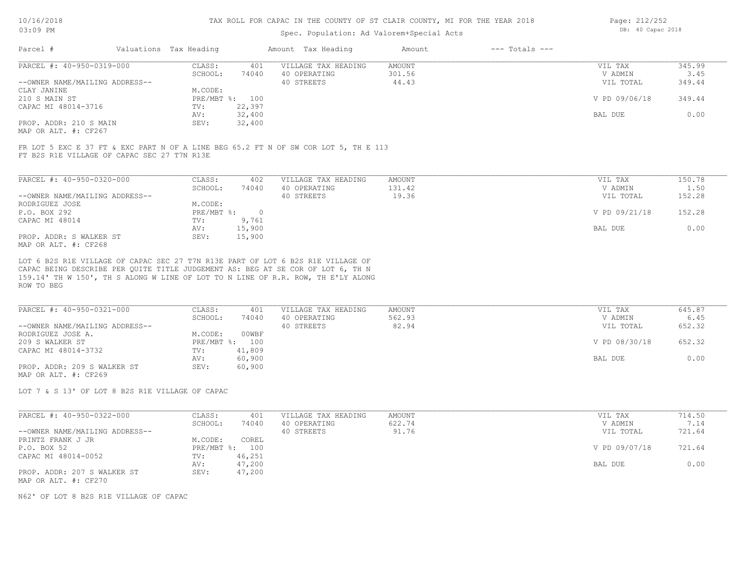### Spec. Population: Ad Valorem+Special Acts

Page: 212/252 DB: 40 Capac 2018

| Parcel #                       | Valuations Tax Heading |        | Amount Tax Heading  | Amount | $---$ Totals $---$ |               |        |
|--------------------------------|------------------------|--------|---------------------|--------|--------------------|---------------|--------|
| PARCEL #: 40-950-0319-000      | CLASS:                 | 401    | VILLAGE TAX HEADING | AMOUNT |                    | VIL TAX       | 345.99 |
|                                | SCHOOL:                | 74040  | 40 OPERATING        | 301.56 |                    | V ADMIN       | 3.45   |
| --OWNER NAME/MAILING ADDRESS-- |                        |        | 40 STREETS          | 44.43  |                    | VIL TOTAL     | 349.44 |
| CLAY JANINE                    | M.CODE:                |        |                     |        |                    |               |        |
| 210 S MAIN ST                  | PRE/MBT %: 100         |        |                     |        |                    | V PD 09/06/18 | 349.44 |
| CAPAC MI 48014-3716            | TV:                    | 22,397 |                     |        |                    |               |        |
|                                | AV:                    | 32,400 |                     |        |                    | BAL DUE       | 0.00   |
| PROP. ADDR: 210 S MAIN         | SEV:                   | 32,400 |                     |        |                    |               |        |
| MAP OR ALT. #: CF267           |                        |        |                     |        |                    |               |        |

FT B2S R1E VILLAGE OF CAPAC SEC 27 T7N R13E FR LOT 5 EXC E 37 FT & EXC PART N OF A LINE BEG 65.2 FT N OF SW COR LOT 5, TH E 113

| PARCEL #: 40-950-0320-000                                                                                                                                                                                                                                                                                                                                                                                                                                                                            | CLASS:     | 402    | VILLAGE TAX HEADING | AMOUNT | VIL TAX       | 150.78 |
|------------------------------------------------------------------------------------------------------------------------------------------------------------------------------------------------------------------------------------------------------------------------------------------------------------------------------------------------------------------------------------------------------------------------------------------------------------------------------------------------------|------------|--------|---------------------|--------|---------------|--------|
|                                                                                                                                                                                                                                                                                                                                                                                                                                                                                                      | SCHOOL:    | 74040  | 40 OPERATING        | 131.42 | V ADMIN       | 1.50   |
| --OWNER NAME/MAILING ADDRESS--                                                                                                                                                                                                                                                                                                                                                                                                                                                                       |            |        | 40 STREETS          | 19.36  | VIL TOTAL     | 152.28 |
| RODRIGUEZ JOSE                                                                                                                                                                                                                                                                                                                                                                                                                                                                                       | M.CODE:    |        |                     |        |               |        |
| P.O. BOX 292                                                                                                                                                                                                                                                                                                                                                                                                                                                                                         | PRE/MBT %: |        |                     |        | V PD 09/21/18 | 152.28 |
| CAPAC MI 48014                                                                                                                                                                                                                                                                                                                                                                                                                                                                                       | TV:        | 9,761  |                     |        |               |        |
|                                                                                                                                                                                                                                                                                                                                                                                                                                                                                                      | AV:        | 15,900 |                     |        | BAL DUE       | 0.00   |
| PROP. ADDR: S WALKER ST                                                                                                                                                                                                                                                                                                                                                                                                                                                                              | SEV:       | 15,900 |                     |        |               |        |
| $M\lambda D$ $\cap$ $\overline{\lambda}$ $\overline{\Gamma}$ $\overline{\Gamma}$ $\overline{\Gamma}$ $\overline{\Gamma}$ $\overline{\Gamma}$ $\overline{\Gamma}$ $\overline{\Gamma}$ $\overline{\Gamma}$ $\overline{\Gamma}$ $\overline{\Gamma}$ $\overline{\Gamma}$ $\overline{\Gamma}$ $\overline{\Gamma}$ $\overline{\Gamma}$ $\overline{\Gamma}$ $\overline{\Gamma}$ $\overline{\Gamma}$ $\overline{\Gamma}$ $\overline{\Gamma}$ $\overline{\Gamma}$ $\overline{\Gamma}$ $\overline{\Gamma}$ $\$ |            |        |                     |        |               |        |

MAP OR ALT. #: CF268

ROW TO BEG 159.14' TH W 150', TH S ALONG W LINE OF LOT TO N LINE OF R.R. ROW, TH E'LY ALONG CAPAC BEING DESCRIBE PER QUITE TITLE JUDGEMENT AS: BEG AT SE COR OF LOT 6, TH N LOT 6 B2S R1E VILLAGE OF CAPAC SEC 27 T7N R13E PART OF LOT 6 B2S R1E VILLAGE OF

| PARCEL #: 40-950-0321-000      | CLASS:  | 401            | VILLAGE TAX HEADING | AMOUNT | VIL TAX       | 645.87 |
|--------------------------------|---------|----------------|---------------------|--------|---------------|--------|
|                                | SCHOOL: | 74040          | 40 OPERATING        | 562.93 | V ADMIN       | 6.45   |
| --OWNER NAME/MAILING ADDRESS-- |         |                | 40 STREETS          | 82.94  | VIL TOTAL     | 652.32 |
| RODRIGUEZ JOSE A.              | M.CODE: | 00WBF          |                     |        |               |        |
| 209 S WALKER ST                |         | PRE/MBT %: 100 |                     |        | V PD 08/30/18 | 652.32 |
| CAPAC MI 48014-3732            | TV:     | 41,809         |                     |        |               |        |
|                                | AV:     | 60,900         |                     |        | BAL DUE       | 0.00   |
| PROP. ADDR: 209 S WALKER ST    | SEV:    | 60,900         |                     |        |               |        |
| MAP OR ALT. #: CF269           |         |                |                     |        |               |        |

LOT 7 & S 13' OF LOT 8 B2S R1E VILLAGE OF CAPAC

| PARCEL #: 40-950-0322-000      | CLASS:  | 401            | VILLAGE TAX HEADING | AMOUNT | VIL TAX       | 714.50 |
|--------------------------------|---------|----------------|---------------------|--------|---------------|--------|
|                                | SCHOOL: | 74040          | 40 OPERATING        | 622.74 | V ADMIN       | 7.14   |
| --OWNER NAME/MAILING ADDRESS-- |         |                | 40 STREETS          | 91.76  | VIL TOTAL     | 721.64 |
| PRINTZ FRANK J JR              | M.CODE: | COREL          |                     |        |               |        |
| P.O. BOX 52                    |         | PRE/MBT %: 100 |                     |        | V PD 09/07/18 | 721.64 |
| CAPAC MI 48014-0052            | TV:     | 46,251         |                     |        |               |        |
|                                | AV:     | 47,200         |                     |        | BAL DUE       | 0.00   |
| PROP. ADDR: 207 S WALKER ST    | SEV:    | 47,200         |                     |        |               |        |
| MAP OR ALT. #: CF270           |         |                |                     |        |               |        |

N62' OF LOT 8 B2S R1E VILLAGE OF CAPAC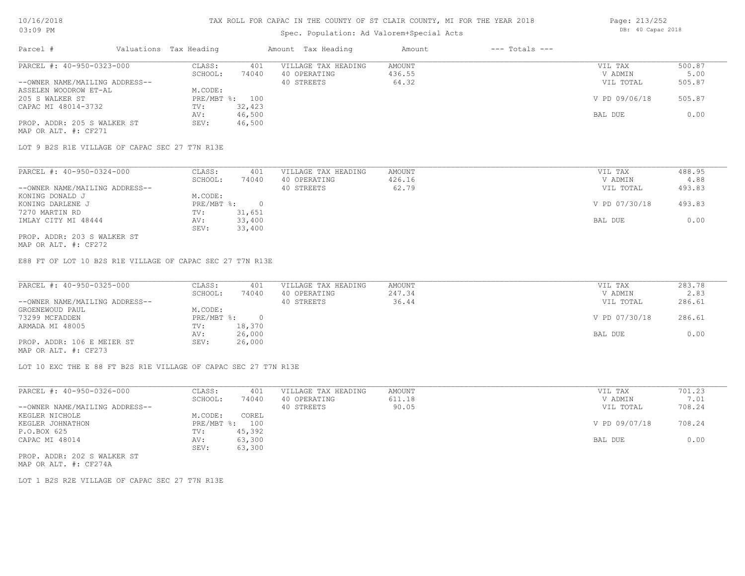# Spec. Population: Ad Valorem+Special Acts

| Parcel #                       | Valuations Tax Heading |                | Amount Tax Heading  | Amount | $---$ Totals $---$ |               |        |
|--------------------------------|------------------------|----------------|---------------------|--------|--------------------|---------------|--------|
| PARCEL #: 40-950-0323-000      | CLASS:                 | 401            | VILLAGE TAX HEADING | AMOUNT |                    | VIL TAX       | 500.87 |
|                                | SCHOOL:                | 74040          | 40 OPERATING        | 436.55 |                    | V ADMIN       | 5.00   |
| --OWNER NAME/MAILING ADDRESS-- |                        |                | 40 STREETS          | 64.32  |                    | VIL TOTAL     | 505.87 |
| ASSELEN WOODROW ET-AL          | M.CODE:                |                |                     |        |                    |               |        |
| 205 S WALKER ST                |                        | PRE/MBT %: 100 |                     |        |                    | V PD 09/06/18 | 505.87 |
| CAPAC MI 48014-3732            | TV:                    | 32,423         |                     |        |                    |               |        |
|                                | AV:                    | 46,500         |                     |        |                    | BAL DUE       | 0.00   |
| PROP. ADDR: 205 S WALKER ST    | SEV:                   | 46,500         |                     |        |                    |               |        |
|                                |                        |                |                     |        |                    |               |        |

MAP OR ALT. #: CF271

LOT 9 B2S R1E VILLAGE OF CAPAC SEC 27 T7N R13E

| PARCEL #: 40-950-0324-000      | CLASS:     | 401    | VILLAGE TAX HEADING | AMOUNT | VIL TAX       | 488.95 |
|--------------------------------|------------|--------|---------------------|--------|---------------|--------|
|                                | SCHOOL:    | 74040  | 40 OPERATING        | 426.16 | V ADMIN       | 4.88   |
| --OWNER NAME/MAILING ADDRESS-- |            |        | 40 STREETS          | 62.79  | VIL TOTAL     | 493.83 |
| KONING DONALD J                | M.CODE:    |        |                     |        |               |        |
| KONING DARLENE J               | PRE/MBT %: |        |                     |        | V PD 07/30/18 | 493.83 |
| 7270 MARTIN RD                 | TV:        | 31,651 |                     |        |               |        |
| IMLAY CITY MI 48444            | AV:        | 33,400 |                     |        | BAL DUE       | 0.00   |
|                                | SEV:       | 33,400 |                     |        |               |        |
| PROP. ADDR: 203 S WALKER ST    |            |        |                     |        |               |        |

MAP OR ALT. #: CF272

E88 FT OF LOT 10 B2S R1E VILLAGE OF CAPAC SEC 27 T7N R13E

| PARCEL #: 40-950-0325-000                    | CLASS:     | 401    | VILLAGE TAX HEADING | AMOUNT | VIL TAX       | 283.78 |
|----------------------------------------------|------------|--------|---------------------|--------|---------------|--------|
|                                              | SCHOOL:    | 74040  | 40 OPERATING        | 247.34 | V ADMIN       | 2.83   |
| --OWNER NAME/MAILING ADDRESS--               |            |        | 40 STREETS          | 36.44  | VIL TOTAL     | 286.61 |
| GROENEWOUD PAUL                              | M.CODE:    |        |                     |        |               |        |
| 73299 MCFADDEN                               | PRE/MBT %: |        |                     |        | V PD 07/30/18 | 286.61 |
| ARMADA MI 48005                              | TV:        | 18,370 |                     |        |               |        |
|                                              | AV:        | 26,000 |                     |        | BAL DUE       | 0.00   |
| PROP. ADDR: 106 E MEIER ST                   | SEV:       | 26,000 |                     |        |               |        |
| $\cdots$ $\cdots$ $\cdots$ $\cdots$ $\cdots$ |            |        |                     |        |               |        |

MAP OR ALT. #: CF273

LOT 10 EXC THE E 88 FT B2S R1E VILLAGE OF CAPAC SEC 27 T7N R13E

| PARCEL #: 40-950-0326-000      | CLASS:       | 401    | VILLAGE TAX HEADING | AMOUNT | VIL TAX       | 701.23 |
|--------------------------------|--------------|--------|---------------------|--------|---------------|--------|
|                                | SCHOOL:      | 74040  | 40 OPERATING        | 611.18 | V ADMIN       | 7.01   |
| --OWNER NAME/MAILING ADDRESS-- |              |        | 40 STREETS          | 90.05  | VIL TOTAL     | 708.24 |
| KEGLER NICHOLE                 | M.CODE:      | COREL  |                     |        |               |        |
| KEGLER JOHNATHON               | $PRE/MBT$ %: | 100    |                     |        | V PD 09/07/18 | 708.24 |
| P.O.BOX 625                    | TV:          | 45,392 |                     |        |               |        |
| CAPAC MI 48014                 | AV:          | 63,300 |                     |        | BAL DUE       | 0.00   |
|                                | SEV:         | 63,300 |                     |        |               |        |
| PROP. ADDR: 202 S WALKER ST    |              |        |                     |        |               |        |

MAP OR ALT. #: CF274A

LOT 1 B2S R2E VILLAGE OF CAPAC SEC 27 T7N R13E

Page: 213/252 DB: 40 Capac 2018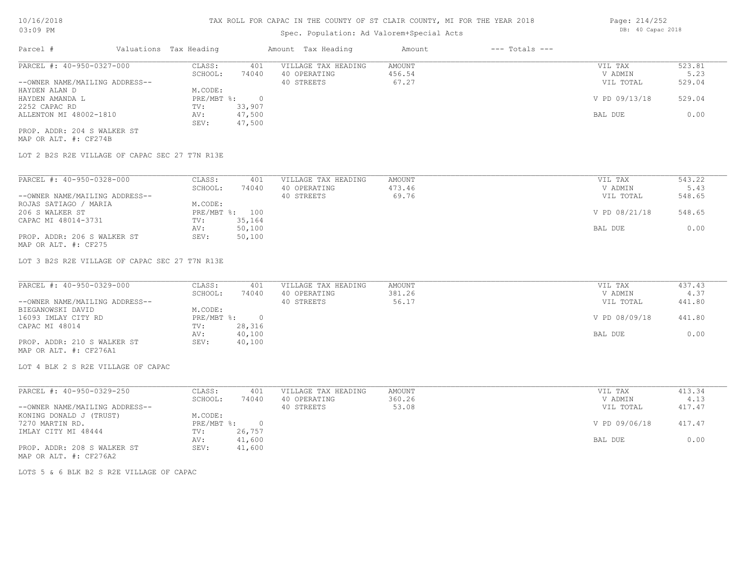## Spec. Population: Ad Valorem+Special Acts

| Parcel #                       | Valuations Tax Heading |        | Amount Tax Heading  | Amount | $---$ Totals $---$ |               |        |
|--------------------------------|------------------------|--------|---------------------|--------|--------------------|---------------|--------|
| PARCEL #: 40-950-0327-000      | CLASS:                 | 401    | VILLAGE TAX HEADING | AMOUNT |                    | VIL TAX       | 523.81 |
|                                | SCHOOL:                | 74040  | 40 OPERATING        | 456.54 |                    | V ADMIN       | 5.23   |
| --OWNER NAME/MAILING ADDRESS-- |                        |        | 40 STREETS          | 67.27  |                    | VIL TOTAL     | 529.04 |
| HAYDEN ALAN D                  | M.CODE:                |        |                     |        |                    |               |        |
| HAYDEN AMANDA L                | $PRE/MBT$ %:           |        |                     |        |                    | V PD 09/13/18 | 529.04 |
| 2252 CAPAC RD                  | TV:                    | 33,907 |                     |        |                    |               |        |
| ALLENTON MI 48002-1810         | AV:                    | 47,500 |                     |        |                    | BAL DUE       | 0.00   |
|                                | SEV:                   | 47,500 |                     |        |                    |               |        |
| PROP. ADDR: 204 S WALKER ST    |                        |        |                     |        |                    |               |        |

MAP OR ALT. #: CF274B

LOT 2 B2S R2E VILLAGE OF CAPAC SEC 27 T7N R13E

| PARCEL #: 40-950-0328-000      | CLASS:  | 401            | VILLAGE TAX HEADING | AMOUNT | VIL TAX       | 543.22 |
|--------------------------------|---------|----------------|---------------------|--------|---------------|--------|
|                                | SCHOOL: | 74040          | 40 OPERATING        | 473.46 | V ADMIN       | 5.43   |
| --OWNER NAME/MAILING ADDRESS-- |         |                | 40 STREETS          | 69.76  | VIL TOTAL     | 548.65 |
| ROJAS SATIAGO / MARIA          | M.CODE: |                |                     |        |               |        |
| 206 S WALKER ST                |         | PRE/MBT %: 100 |                     |        | V PD 08/21/18 | 548.65 |
| CAPAC MI 48014-3731            | TV:     | 35,164         |                     |        |               |        |
|                                | AV:     | 50,100         |                     |        | BAL DUE       | 0.00   |
| PROP. ADDR: 206 S WALKER ST    | SEV:    | 50,100         |                     |        |               |        |
| MAP OR ALT. #: CF275           |         |                |                     |        |               |        |

LOT 3 B2S R2E VILLAGE OF CAPAC SEC 27 T7N R13E

| PARCEL #: 40-950-0329-000      | CLASS:     | 401    | VILLAGE TAX HEADING | AMOUNT | VIL TAX       | 437.43 |
|--------------------------------|------------|--------|---------------------|--------|---------------|--------|
|                                | SCHOOL:    | 74040  | 40 OPERATING        | 381.26 | V ADMIN       | 4.37   |
| --OWNER NAME/MAILING ADDRESS-- |            |        | 40 STREETS          | 56.17  | VIL TOTAL     | 441.80 |
| BIEGANOWSKI DAVID              | M.CODE:    |        |                     |        |               |        |
| 16093 IMLAY CITY RD            | PRE/MBT %: |        |                     |        | V PD 08/09/18 | 441.80 |
| CAPAC MI 48014                 | TV:        | 28,316 |                     |        |               |        |
|                                | AV:        | 40,100 |                     |        | BAL DUE       | 0.00   |
| PROP. ADDR: 210 S WALKER ST    | SEV:       | 40,100 |                     |        |               |        |
| MAP OR ALT. #: CF276A1         |            |        |                     |        |               |        |

LOT 4 BLK 2 S R2E VILLAGE OF CAPAC

| PARCEL #: 40-950-0329-250      | CLASS:     | 401    | VILLAGE TAX HEADING | AMOUNT | VIL TAX       | 413.34 |
|--------------------------------|------------|--------|---------------------|--------|---------------|--------|
|                                | SCHOOL:    | 74040  | 40 OPERATING        | 360.26 | V ADMIN       | 4.13   |
| --OWNER NAME/MAILING ADDRESS-- |            |        | 40 STREETS          | 53.08  | VIL TOTAL     | 417.47 |
| KONING DONALD J (TRUST)        | M.CODE:    |        |                     |        |               |        |
| 7270 MARTIN RD.                | PRE/MBT %: |        |                     |        | V PD 09/06/18 | 417.47 |
| IMLAY CITY MI 48444            | TV:        | 26,757 |                     |        |               |        |
|                                | AV:        | 41,600 |                     |        | BAL DUE       | 0.00   |
| PROP. ADDR: 208 S WALKER ST    | SEV:       | 41,600 |                     |        |               |        |
| MAP OR ALT. #: CF276A2         |            |        |                     |        |               |        |

LOTS 5 & 6 BLK B2 S R2E VILLAGE OF CAPAC

Page: 214/252 DB: 40 Capac 2018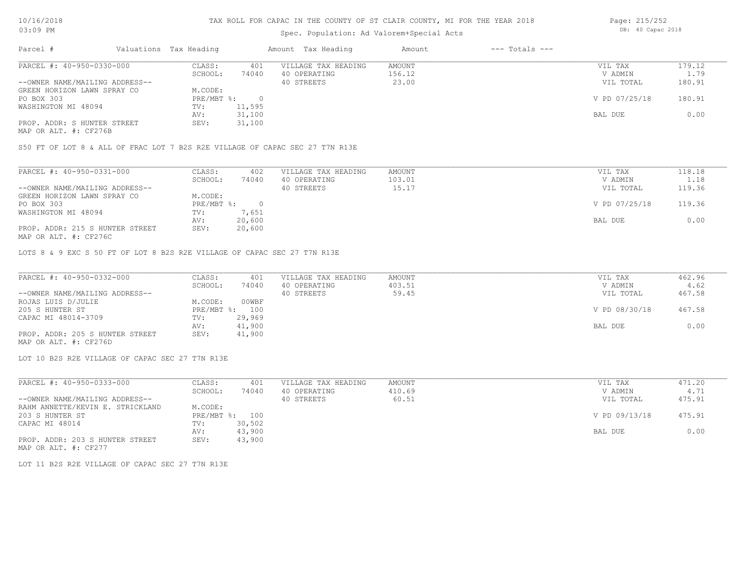# Spec. Population: Ad Valorem+Special Acts

| Page: 215/252 |                   |  |
|---------------|-------------------|--|
|               | DB: 40 Capac 2018 |  |

| Parcel #                       | Valuations Tax Heading |        | Amount Tax Heading  | Amount | $---$ Totals $---$ |               |        |
|--------------------------------|------------------------|--------|---------------------|--------|--------------------|---------------|--------|
| PARCEL #: 40-950-0330-000      | CLASS:                 | 401    | VILLAGE TAX HEADING | AMOUNT |                    | VIL TAX       | 179.12 |
|                                | SCHOOL:                | 74040  | 40 OPERATING        | 156.12 |                    | V ADMIN       | 1.79   |
| --OWNER NAME/MAILING ADDRESS-- |                        |        | 40 STREETS          | 23.00  |                    | VIL TOTAL     | 180.91 |
| GREEN HORIZON LAWN SPRAY CO    | M.CODE:                |        |                     |        |                    |               |        |
| PO BOX 303                     | $PRE/MBT$ %:           |        |                     |        |                    | V PD 07/25/18 | 180.91 |
| WASHINGTON MI 48094            | TV:                    | 11,595 |                     |        |                    |               |        |
|                                | AV:                    | 31,100 |                     |        |                    | BAL DUE       | 0.00   |
| PROP. ADDR: S HUNTER STREET    | SEV:                   | 31,100 |                     |        |                    |               |        |
|                                |                        |        |                     |        |                    |               |        |

MAP OR ALT. #: CF276B

S50 FT OF LOT 8 & ALL OF FRAC LOT 7 B2S R2E VILLAGE OF CAPAC SEC 27 T7N R13E

| PARCEL #: 40-950-0331-000       | CLASS:     | 402    | VILLAGE TAX HEADING | AMOUNT | VIL TAX       | 118.18 |
|---------------------------------|------------|--------|---------------------|--------|---------------|--------|
|                                 | SCHOOL:    | 74040  | 40 OPERATING        | 103.01 | V ADMIN       | 1.18   |
| --OWNER NAME/MAILING ADDRESS--  |            |        | 40 STREETS          | 15.17  | VIL TOTAL     | 119.36 |
| GREEN HORIZON LAWN SPRAY CO     | M.CODE:    |        |                     |        |               |        |
| PO BOX 303                      | PRE/MBT %: |        |                     |        | V PD 07/25/18 | 119.36 |
| WASHINGTON MI 48094             | TV:        | 7,651  |                     |        |               |        |
|                                 | AV:        | 20,600 |                     |        | BAL DUE       | 0.00   |
| PROP. ADDR: 215 S HUNTER STREET | SEV:       | 20,600 |                     |        |               |        |
| MAP OR ALT. #: CF276C           |            |        |                     |        |               |        |

LOTS 8 & 9 EXC S 50 FT OF LOT 8 B2S R2E VILLAGE OF CAPAC SEC 27 T7N R13E

| PARCEL #: 40-950-0332-000       | CLASS:  | 401            | VILLAGE TAX HEADING | AMOUNT | VIL TAX       | 462.96 |
|---------------------------------|---------|----------------|---------------------|--------|---------------|--------|
|                                 | SCHOOL: | 74040          | 40 OPERATING        | 403.51 | V ADMIN       | 4.62   |
| --OWNER NAME/MAILING ADDRESS--  |         |                | 40 STREETS          | 59.45  | VIL TOTAL     | 467.58 |
| ROJAS LUIS D/JULIE              | M.CODE: | 00WBF          |                     |        |               |        |
| 205 S HUNTER ST                 |         | PRE/MBT %: 100 |                     |        | V PD 08/30/18 | 467.58 |
| CAPAC MI 48014-3709             | TV:     | 29,969         |                     |        |               |        |
|                                 | AV:     | 41,900         |                     |        | BAL DUE       | 0.00   |
| PROP. ADDR: 205 S HUNTER STREET | SEV:    | 41,900         |                     |        |               |        |
| MAP OR ALT. #: CF276D           |         |                |                     |        |               |        |

LOT 10 B2S R2E VILLAGE OF CAPAC SEC 27 T7N R13E

| PARCEL #: 40-950-0333-000        | CLASS:       | 401    | VILLAGE TAX HEADING | AMOUNT | VIL TAX       | 471.20 |
|----------------------------------|--------------|--------|---------------------|--------|---------------|--------|
|                                  | SCHOOL:      | 74040  | 40 OPERATING        | 410.69 | V ADMIN       | 4.71   |
| --OWNER NAME/MAILING ADDRESS--   |              |        | 40 STREETS          | 60.51  | VIL TOTAL     | 475.91 |
| RAHM ANNETTE/KEVIN E. STRICKLAND | M.CODE:      |        |                     |        |               |        |
| 203 S HUNTER ST                  | $PRE/MBT$ %: | 100    |                     |        | V PD 09/13/18 | 475.91 |
| CAPAC MI 48014                   | TV:          | 30,502 |                     |        |               |        |
|                                  | AV:          | 43,900 |                     |        | BAL DUE       | 0.00   |
| PROP. ADDR: 203 S HUNTER STREET  | SEV:         | 43,900 |                     |        |               |        |

MAP OR ALT. #: CF277

LOT 11 B2S R2E VILLAGE OF CAPAC SEC 27 T7N R13E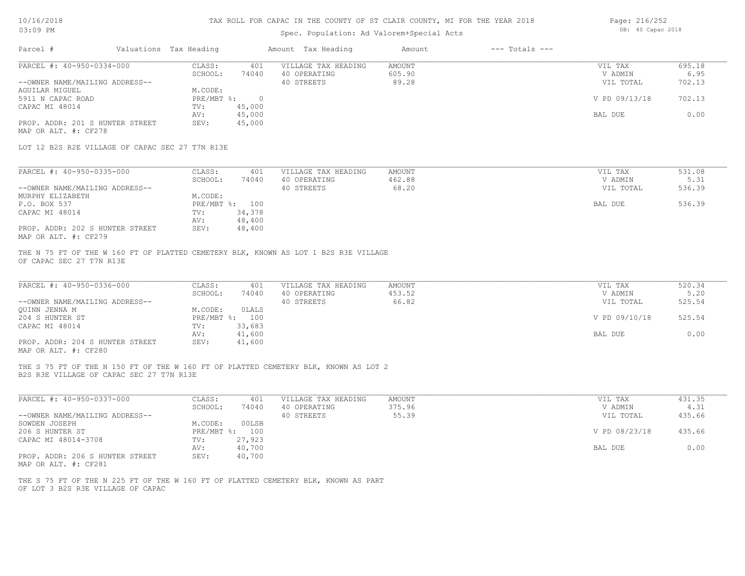## 10/16/2018 03:09 PM

# TAX ROLL FOR CAPAC IN THE COUNTY OF ST CLAIR COUNTY, MI FOR THE YEAR 2018

# Spec. Population: Ad Valorem+Special Acts

| Page: 216/252 |                   |  |
|---------------|-------------------|--|
|               | DB: 40 Capac 2018 |  |

| Parcel #                                                                                | Valuations Tax Heading    |                  | Amount Tax Heading                                                                  | Amount                           | $---$ Totals $---$ |                                 |                          |
|-----------------------------------------------------------------------------------------|---------------------------|------------------|-------------------------------------------------------------------------------------|----------------------------------|--------------------|---------------------------------|--------------------------|
| PARCEL #: 40-950-0334-000<br>--OWNER NAME/MAILING ADDRESS--                             | CLASS:<br>SCHOOL:         | 401<br>74040     | VILLAGE TAX HEADING<br>40 OPERATING<br>40 STREETS                                   | <b>AMOUNT</b><br>605.90<br>89.28 |                    | VIL TAX<br>V ADMIN<br>VIL TOTAL | 695.18<br>6.95<br>702.13 |
| AGUILAR MIGUEL<br>5911 N CAPAC ROAD                                                     | M.CODE:<br>PRE/MBT %: 0   |                  |                                                                                     |                                  |                    | V PD 09/13/18                   | 702.13                   |
| CAPAC MI 48014                                                                          | TV:                       | 45,000           |                                                                                     |                                  |                    |                                 |                          |
| PROP. ADDR: 201 S HUNTER STREET<br>MAP OR ALT. #: CF278                                 | AV:<br>SEV:               | 45,000<br>45,000 |                                                                                     |                                  |                    | BAL DUE                         | 0.00                     |
| LOT 12 B2S R2E VILLAGE OF CAPAC SEC 27 T7N R13E                                         |                           |                  |                                                                                     |                                  |                    |                                 |                          |
| PARCEL #: 40-950-0335-000                                                               | CLASS:                    | 401              | VILLAGE TAX HEADING                                                                 | <b>AMOUNT</b>                    |                    | VIL TAX                         | 531.08                   |
|                                                                                         | SCHOOL:                   | 74040            | 40 OPERATING                                                                        | 462.88                           |                    | V ADMIN                         | 5.31                     |
| --OWNER NAME/MAILING ADDRESS--                                                          |                           |                  | 40 STREETS                                                                          | 68.20                            |                    | VIL TOTAL                       | 536.39                   |
| MURPHY ELIZABETH<br>P.O. BOX 537                                                        | M.CODE:<br>PRE/MBT %: 100 |                  |                                                                                     |                                  |                    | BAL DUE                         | 536.39                   |
| CAPAC MI 48014                                                                          | TV:                       | 34,378           |                                                                                     |                                  |                    |                                 |                          |
|                                                                                         | AV:                       | 48,400           |                                                                                     |                                  |                    |                                 |                          |
| PROP. ADDR: 202 S HUNTER STREET<br>MAP OR ALT. #: CF279                                 | SEV:                      | 48,400           |                                                                                     |                                  |                    |                                 |                          |
| OF CAPAC SEC 27 T7N R13E<br>PARCEL #: 40-950-0336-000<br>--OWNER NAME/MAILING ADDRESS-- | CLASS:<br>SCHOOL:         | 401<br>74040     | VILLAGE TAX HEADING<br>40 OPERATING<br>40 STREETS                                   | AMOUNT<br>453.52<br>66.82        |                    | VIL TAX<br>V ADMIN<br>VIL TOTAL | 520.34<br>5.20<br>525.54 |
| <b>OUINN JENNA M</b><br>204 S HUNTER ST                                                 | M.CODE:<br>PRE/MBT %: 100 | OLALS            |                                                                                     |                                  |                    | V PD 09/10/18                   | 525.54                   |
| CAPAC MI 48014                                                                          | TV:<br>AV:                | 33,683<br>41,600 |                                                                                     |                                  |                    | BAL DUE                         | 0.00                     |
| PROP. ADDR: 204 S HUNTER STREET<br>MAP OR ALT. #: CF280                                 | SEV:                      | 41,600           |                                                                                     |                                  |                    |                                 |                          |
| B2S R3E VILLAGE OF CAPAC SEC 27 T7N R13E                                                |                           |                  | THE S 75 FT OF THE N 150 FT OF THE W 160 FT OF PLATTED CEMETERY BLK, KNOWN AS LOT 2 |                                  |                    |                                 |                          |
| PARCEL #: 40-950-0337-000                                                               | CLASS:                    | 401              | VILLAGE TAX HEADING                                                                 | <b>AMOUNT</b>                    |                    | VIL TAX                         | 431.35                   |
| --OWNER NAME/MAILING ADDRESS--                                                          | SCHOOL:                   | 74040            | 40 OPERATING<br>40 STREETS                                                          | 375.96<br>55.39                  |                    | V ADMIN<br>VIL TOTAL            | 4.31<br>435.66           |
| SOWDEN JOSEPH                                                                           | M.CODE:                   | 00LSB            |                                                                                     |                                  |                    |                                 |                          |
| 206 S HUNTER ST<br>CAPAC MI 48014-3708                                                  | PRE/MBT %: 100<br>TV:     | 27,923           |                                                                                     |                                  |                    | V PD 08/23/18                   | 435.66                   |
|                                                                                         | AV:                       | 40,700           |                                                                                     |                                  |                    | BAL DUE                         | 0.00                     |
| PROP. ADDR: 206 S HUNTER STREET<br>MAP OR ALT. #: CF281                                 | SEV:                      | 40,700           |                                                                                     |                                  |                    |                                 |                          |
|                                                                                         |                           |                  | THE S 75 FT OF THE N 225 FT OF THE W 160 FT OF PLATTED CEMETERY BLK, KNOWN AS PART  |                                  |                    |                                 |                          |

OF LOT 3 B2S R3E VILLAGE OF CAPAC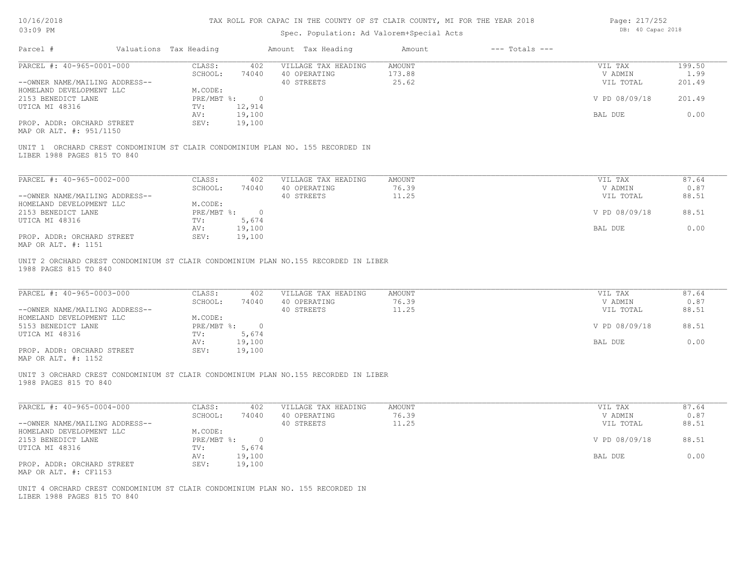# Spec. Population: Ad Valorem+Special Acts

| Page: 217/252 |                   |  |
|---------------|-------------------|--|
|               | DB: 40 Capac 2018 |  |

| Parcel #                                              | Valuations Tax Heading |                                        | Amount Tax Heading                                                                  | Amount        | $---$ Totals $---$ |                    |        |
|-------------------------------------------------------|------------------------|----------------------------------------|-------------------------------------------------------------------------------------|---------------|--------------------|--------------------|--------|
| PARCEL #: 40-965-0001-000                             |                        | CLASS:<br>402                          | VILLAGE TAX HEADING                                                                 | <b>AMOUNT</b> |                    | VIL TAX            | 199.50 |
|                                                       |                        | SCHOOL:<br>74040                       | 40 OPERATING                                                                        | 173.88        |                    | V ADMIN            | 1.99   |
| --OWNER NAME/MAILING ADDRESS--                        |                        |                                        | 40 STREETS                                                                          | 25.62         |                    | VIL TOTAL          | 201.49 |
| HOMELAND DEVELOPMENT LLC                              |                        | M.CODE:                                |                                                                                     |               |                    |                    |        |
| 2153 BENEDICT LANE                                    |                        | $PRE/MBT$ $\frac{1}{6}$ : 0            |                                                                                     |               |                    | V PD 08/09/18      | 201.49 |
| UTICA MI 48316                                        |                        | 12,914<br>TV:                          |                                                                                     |               |                    |                    |        |
|                                                       |                        | 19,100<br>AV:                          |                                                                                     |               |                    | BAL DUE            | 0.00   |
| PROP. ADDR: ORCHARD STREET<br>MAP OR ALT. #: 951/1150 |                        | 19,100<br>SEV:                         |                                                                                     |               |                    |                    |        |
| LIBER 1988 PAGES 815 TO 840                           |                        |                                        | UNIT 1 ORCHARD CREST CONDOMINIUM ST CLAIR CONDOMINIUM PLAN NO. 155 RECORDED IN      |               |                    |                    |        |
|                                                       |                        |                                        |                                                                                     |               |                    |                    |        |
| PARCEL #: 40-965-0002-000                             |                        | CLASS:<br>402                          | VILLAGE TAX HEADING                                                                 | <b>AMOUNT</b> |                    | VIL TAX            | 87.64  |
|                                                       |                        | SCHOOL:<br>74040                       | 40 OPERATING                                                                        | 76.39         |                    | V ADMIN            | 0.87   |
| --OWNER NAME/MAILING ADDRESS--                        |                        |                                        | 40 STREETS                                                                          | 11.25         |                    | VIL TOTAL          | 88.51  |
| HOMELAND DEVELOPMENT LLC                              |                        | M.CODE:                                |                                                                                     |               |                    |                    |        |
| 2153 BENEDICT LANE                                    |                        | $PRE/MBT$ $\div$ 0                     |                                                                                     |               |                    | V PD 08/09/18      | 88.51  |
| UTICA MI 48316                                        |                        | 5,674<br>TV:                           |                                                                                     |               |                    |                    |        |
|                                                       |                        | 19,100<br>AV:                          |                                                                                     |               |                    | BAL DUE            | 0.00   |
| PROP. ADDR: ORCHARD STREET<br>MAP OR ALT. #: 1151     |                        | SEV:<br>19,100                         |                                                                                     |               |                    |                    |        |
| 1988 PAGES 815 TO 840<br>PARCEL #: 40-965-0003-000    |                        | 402                                    |                                                                                     | <b>AMOUNT</b> |                    |                    | 87.64  |
|                                                       |                        | CLASS:                                 | VILLAGE TAX HEADING                                                                 | 76.39         |                    | VIL TAX<br>V ADMIN | 0.87   |
|                                                       |                        | SCHOOL:<br>74040                       | 40 OPERATING<br>40 STREETS                                                          | 11.25         |                    | VIL TOTAL          | 88.51  |
| --OWNER NAME/MAILING ADDRESS--                        |                        |                                        |                                                                                     |               |                    |                    |        |
| HOMELAND DEVELOPMENT LLC<br>5153 BENEDICT LANE        |                        | M.CODE:<br>$PRE/MBT$ $\frac{1}{6}$ : 0 |                                                                                     |               |                    | V PD 08/09/18      | 88.51  |
|                                                       |                        | TV:                                    |                                                                                     |               |                    |                    |        |
| UTICA MI 48316                                        |                        | 5,674                                  |                                                                                     |               |                    |                    |        |
|                                                       |                        | 19,100<br>AV:                          |                                                                                     |               |                    | BAL DUE            | 0.00   |
| PROP. ADDR: ORCHARD STREET<br>MAP OR ALT. #: 1152     |                        | SEV:<br>19,100                         |                                                                                     |               |                    |                    |        |
| 1988 PAGES 815 TO 840                                 |                        |                                        | UNIT 3 ORCHARD CREST CONDOMINIUM ST CLAIR CONDOMINIUM PLAN NO.155 RECORDED IN LIBER |               |                    |                    |        |
| PARCEL #: 40-965-0004-000                             |                        | CLASS:<br>402                          | VILLAGE TAX HEADING                                                                 | <b>AMOUNT</b> |                    | VIL TAX            | 87.64  |
|                                                       |                        | SCHOOL:<br>74040                       | 40 OPERATING                                                                        | 76.39         |                    | V ADMIN            | 0.87   |
| --OWNER NAME/MAILING ADDRESS--                        |                        |                                        | 40 STREETS                                                                          | 11.25         |                    | VIL TOTAL          | 88.51  |
| HOMELAND DEVELOPMENT LLC                              |                        | M.CODE:                                |                                                                                     |               |                    |                    |        |
| 2153 BENEDICT LANE                                    |                        | $PRE/MBT$ $\frac{1}{6}$ : 0            |                                                                                     |               |                    | V PD 08/09/18      | 88.51  |
| UTICA MI 48316                                        |                        | 5,674<br>TV:                           |                                                                                     |               |                    |                    |        |
|                                                       |                        | 19,100<br>AV:                          |                                                                                     |               |                    | BAL DUE            | 0.00   |
| PROP. ADDR: ORCHARD STREET                            |                        | 19,100<br>SEV:                         |                                                                                     |               |                    |                    |        |
| MAP OR ALT. #: CF1153                                 |                        |                                        |                                                                                     |               |                    |                    |        |
|                                                       |                        |                                        |                                                                                     |               |                    |                    |        |
| LIBER 1988 PAGES 815 TO 840                           |                        |                                        | UNIT 4 ORCHARD CREST CONDOMINIUM ST CLAIR CONDOMINIUM PLAN NO. 155 RECORDED IN      |               |                    |                    |        |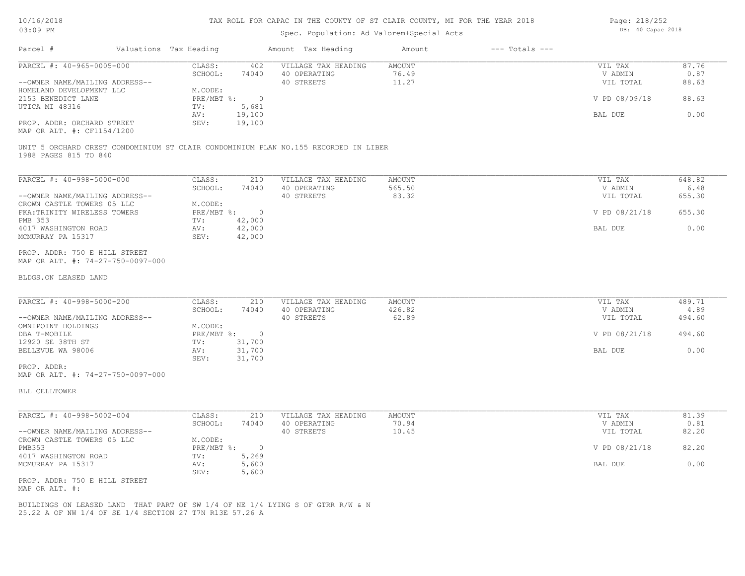#### Spec. Population: Ad Valorem+Special Acts

Page: 218/252 DB: 40 Capac 2018

| Parcel #                       |         | Valuations Tax Heading |              | Amount Tax Heading  | Amount | $---$ Totals $---$ |               |       |
|--------------------------------|---------|------------------------|--------------|---------------------|--------|--------------------|---------------|-------|
| PARCEL #: 40-965-0005-000      |         | CLASS:                 | 402          | VILLAGE TAX HEADING | AMOUNT |                    | VIL TAX       | 87.76 |
|                                | SCHOOL: | 74040                  | 40 OPERATING | 76.49               |        | V ADMIN            | 0.87          |       |
| --OWNER NAME/MAILING ADDRESS-- |         |                        |              | 40 STREETS          | 11.27  |                    | VIL TOTAL     | 88.63 |
| HOMELAND DEVELOPMENT LLC       |         | M.CODE:                |              |                     |        |                    |               |       |
| 2153 BENEDICT LANE             |         | PRE/MBT %:             |              |                     |        |                    | V PD 08/09/18 | 88.63 |
| UTICA MI 48316                 |         | TV:                    | 5,681        |                     |        |                    |               |       |
|                                |         | AV:                    | 19,100       |                     |        |                    | BAL DUE       | 0.00  |
| PROP. ADDR: ORCHARD STREET     |         | SEV:                   | 19,100       |                     |        |                    |               |       |
|                                |         |                        |              |                     |        |                    |               |       |

MAP OR ALT. #: CF1154/1200

1988 PAGES 815 TO 840 UNIT 5 ORCHARD CREST CONDOMINIUM ST CLAIR CONDOMINIUM PLAN NO.155 RECORDED IN LIBER

| PARCEL #: 40-998-5000-000      | CLASS:     | 210    | VILLAGE TAX HEADING | AMOUNT | VIL TAX       | 648.82 |
|--------------------------------|------------|--------|---------------------|--------|---------------|--------|
|                                | SCHOOL:    | 74040  | 40 OPERATING        | 565.50 | V ADMIN       | 6.48   |
| --OWNER NAME/MAILING ADDRESS-- |            |        | 40 STREETS          | 83.32  | VIL TOTAL     | 655.30 |
| CROWN CASTLE TOWERS 05 LLC     | M.CODE:    |        |                     |        |               |        |
| FKA: TRINITY WIRELESS TOWERS   | PRE/MBT %: | 0.     |                     |        | V PD 08/21/18 | 655.30 |
| PMB 353                        | TV:        | 42,000 |                     |        |               |        |
| 4017 WASHINGTON ROAD           | AV:        | 42,000 |                     |        | BAL DUE       | 0.00   |
| MCMURRAY PA 15317              | SEV:       | 42,000 |                     |        |               |        |
|                                |            |        |                     |        |               |        |

MAP OR ALT. #: 74-27-750-0097-000 PROP. ADDR: 750 E HILL STREET

#### BLDGS.ON LEASED LAND

| PARCEL #: 40-998-5000-200      | CLASS:     | 210    | VILLAGE TAX HEADING | AMOUNT | VIL TAX       | 489.71 |
|--------------------------------|------------|--------|---------------------|--------|---------------|--------|
|                                | SCHOOL:    | 74040  | 40 OPERATING        | 426.82 | V ADMIN       | 4.89   |
| --OWNER NAME/MAILING ADDRESS-- |            |        | 40 STREETS          | 62.89  | VIL TOTAL     | 494.60 |
| OMNIPOINT HOLDINGS             | M.CODE:    |        |                     |        |               |        |
| DBA T-MOBILE                   | PRE/MBT %: |        |                     |        | V PD 08/21/18 | 494.60 |
| 12920 SE 38TH ST               | TV:        | 31,700 |                     |        |               |        |
| BELLEVUE WA 98006              | AV:        | 31,700 |                     |        | BAL DUE       | 0.00   |
|                                | SEV:       | 31,700 |                     |        |               |        |
| PROP. ADDR:                    |            |        |                     |        |               |        |

 $\mathcal{L}_\mathcal{L} = \mathcal{L}_\mathcal{L} = \mathcal{L}_\mathcal{L} = \mathcal{L}_\mathcal{L} = \mathcal{L}_\mathcal{L} = \mathcal{L}_\mathcal{L} = \mathcal{L}_\mathcal{L} = \mathcal{L}_\mathcal{L} = \mathcal{L}_\mathcal{L} = \mathcal{L}_\mathcal{L} = \mathcal{L}_\mathcal{L} = \mathcal{L}_\mathcal{L} = \mathcal{L}_\mathcal{L} = \mathcal{L}_\mathcal{L} = \mathcal{L}_\mathcal{L} = \mathcal{L}_\mathcal{L} = \mathcal{L}_\mathcal{L}$ 

MAP OR ALT. #: 74-27-750-0097-000

BLL CELLTOWER

| PARCEL #: 40-998-5002-004      | CLASS:     | 210   | VILLAGE TAX HEADING | AMOUNT | VIL TAX       | 81.39 |
|--------------------------------|------------|-------|---------------------|--------|---------------|-------|
|                                | SCHOOL:    | 74040 | 40 OPERATING        | 70.94  | V ADMIN       | 0.81  |
| --OWNER NAME/MAILING ADDRESS-- |            |       | 40 STREETS          | 10.45  | VIL TOTAL     | 82.20 |
| CROWN CASTLE TOWERS 05 LLC     | M.CODE:    |       |                     |        |               |       |
| PMB353                         | PRE/MBT %: |       |                     |        | V PD 08/21/18 | 82.20 |
| 4017 WASHINGTON ROAD           | TV:        | 5,269 |                     |        |               |       |
| MCMURRAY PA 15317              | AV:        | 5,600 |                     |        | BAL DUE       | 0.00  |
|                                | SEV:       | 5,600 |                     |        |               |       |
| PROP. ADDR: 750 E HILL STREET  |            |       |                     |        |               |       |

MAP OR ALT. #:

25.22 A OF NW 1/4 OF SE 1/4 SECTION 27 T7N R13E 57.26 A BUILDINGS ON LEASED LAND THAT PART OF SW 1/4 OF NE 1/4 LYING S OF GTRR R/W & N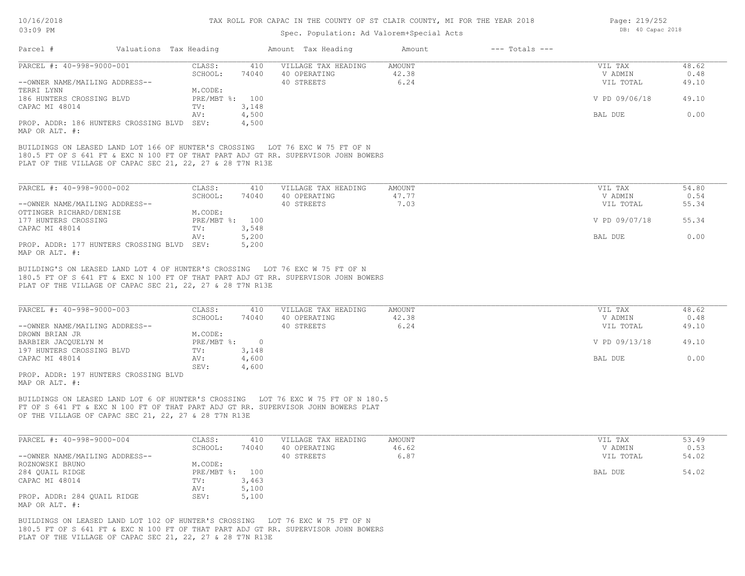#### Spec. Population: Ad Valorem+Special Acts

| Parcel #                                   | Valuations Tax Heading |                | Amount Tax Heading  | Amount | $---$ Totals $---$ |               |       |
|--------------------------------------------|------------------------|----------------|---------------------|--------|--------------------|---------------|-------|
| PARCEL #: 40-998-9000-001                  | CLASS:                 | 410            | VILLAGE TAX HEADING | AMOUNT |                    | VIL TAX       | 48.62 |
|                                            | SCHOOL:                | 74040          | 40 OPERATING        | 42.38  |                    | V ADMIN       | 0.48  |
| --OWNER NAME/MAILING ADDRESS--             |                        |                | 40 STREETS          | 6.24   |                    | VIL TOTAL     | 49.10 |
| TERRI LYNN                                 | M.CODE:                |                |                     |        |                    |               |       |
| 186 HUNTERS CROSSING BLVD                  |                        | PRE/MBT %: 100 |                     |        |                    | V PD 09/06/18 | 49.10 |
| CAPAC MI 48014                             | TV:                    | 3,148          |                     |        |                    |               |       |
|                                            | AV:                    | 4,500          |                     |        |                    | BAL DUE       | 0.00  |
| PROP. ADDR: 186 HUNTERS CROSSING BLVD SEV: |                        | 4,500          |                     |        |                    |               |       |
| MAP OR ALT. #:                             |                        |                |                     |        |                    |               |       |

PLAT OF THE VILLAGE OF CAPAC SEC 21, 22, 27 & 28 T7N R13E 180.5 FT OF S 641 FT & EXC N 100 FT OF THAT PART ADJ GT RR. SUPERVISOR JOHN BOWERS

| PARCEL #: 40-998-9000-002                  | CLASS:         | 410   | VILLAGE TAX HEADING | AMOUNT | VIL TAX       | 54.80 |
|--------------------------------------------|----------------|-------|---------------------|--------|---------------|-------|
|                                            | SCHOOL:        | 74040 | 40 OPERATING        | 47.77  | V ADMIN       | 0.54  |
| --OWNER NAME/MAILING ADDRESS--             |                |       | 40 STREETS          | 7.03   | VIL TOTAL     | 55.34 |
| OTTINGER RICHARD/DENISE                    | M.CODE:        |       |                     |        |               |       |
| 177 HUNTERS CROSSING                       | PRE/MBT %: 100 |       |                     |        | V PD 09/07/18 | 55.34 |
| CAPAC MI 48014                             | TV:            | 3,548 |                     |        |               |       |
|                                            | AV:            | 5,200 |                     |        | BAL DUE       | 0.00  |
| PROP. ADDR: 177 HUNTERS CROSSING BLVD SEV: |                | 5,200 |                     |        |               |       |
| MAP OR ALT. #:                             |                |       |                     |        |               |       |

PLAT OF THE VILLAGE OF CAPAC SEC 21, 22, 27 & 28 T7N R13E 180.5 FT OF S 641 FT & EXC N 100 FT OF THAT PART ADJ GT RR. SUPERVISOR JOHN BOWERS BUILDING'S ON LEASED LAND LOT 4 OF HUNTER'S CROSSING LOT 76 EXC W 75 FT OF N

| PARCEL #: 40-998-9000-003            | CLASS:     | 410   | VILLAGE TAX HEADING | AMOUNT | VIL TAX       | 48.62 |
|--------------------------------------|------------|-------|---------------------|--------|---------------|-------|
|                                      | SCHOOL:    | 74040 | 40 OPERATING        | 42.38  | V ADMIN       | 0.48  |
| --OWNER NAME/MAILING ADDRESS--       |            |       | 40 STREETS          | 6.24   | VIL TOTAL     | 49.10 |
| DROWN BRIAN JR                       | M.CODE:    |       |                     |        |               |       |
| BARBIER JACOUELYN M                  | PRE/MBT %: |       |                     |        | V PD 09/13/18 | 49.10 |
| 197 HUNTERS CROSSING BLVD            | TV:        | 3,148 |                     |        |               |       |
| CAPAC MI 48014                       | AV:        | 4,600 |                     |        | BAL DUE       | 0.00  |
|                                      | SEV:       | 4,600 |                     |        |               |       |
| DOOR ADD . 197 HINTERS CROSSING RIVE |            |       |                     |        |               |       |

MAP OR ALT. #: PROP. ADDR: 197 HUNTERS CROSSING BLVD

OF THE VILLAGE OF CAPAC SEC 21, 22, 27 & 28 T7N R13E FT OF S 641 FT & EXC N 100 FT OF THAT PART ADJ GT RR. SUPERVISOR JOHN BOWERS PLAT BUILDINGS ON LEASED LAND LOT 6 OF HUNTER'S CROSSING LOT 76 EXC W 75 FT OF N 180.5

| PARCEL #: 40-998-9000-004      | CLASS:     | 410   | VILLAGE TAX HEADING | AMOUNT | VIL TAX   | 53.49 |
|--------------------------------|------------|-------|---------------------|--------|-----------|-------|
|                                | SCHOOL:    | 74040 | 40 OPERATING        | 46.62  | V ADMIN   | 0.53  |
| --OWNER NAME/MAILING ADDRESS-- |            |       | 40 STREETS          | 6.87   | VIL TOTAL | 54.02 |
| ROZNOWSKI BRUNO                | M.CODE:    |       |                     |        |           |       |
| 284 QUAIL RIDGE                | PRE/MBT %: | 100   |                     |        | BAL DUE   | 54.02 |
| CAPAC MI 48014                 | TV:        | 3,463 |                     |        |           |       |
|                                | AV:        | 5,100 |                     |        |           |       |
| PROP. ADDR: 284 QUAIL RIDGE    | SEV:       | 5,100 |                     |        |           |       |
| MAP OR ALT. #:                 |            |       |                     |        |           |       |

PLAT OF THE VILLAGE OF CAPAC SEC 21, 22, 27 & 28 T7N R13E 180.5 FT OF S 641 FT & EXC N 100 FT OF THAT PART ADJ GT RR. SUPERVISOR JOHN BOWERS BUILDINGS ON LEASED LAND LOT 102 OF HUNTER'S CROSSING LOT 76 EXC W 75 FT OF N

Page: 219/252 DB: 40 Capac 2018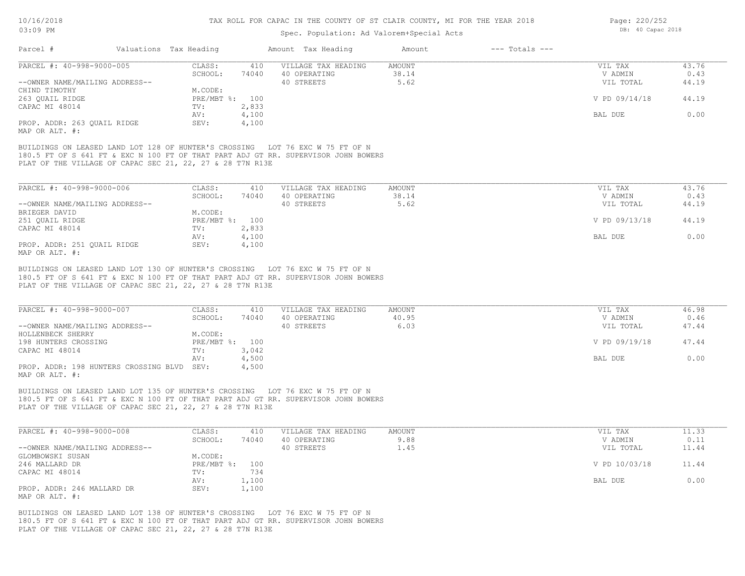#### Spec. Population: Ad Valorem+Special Acts

| Parcel #                       | Valuations Tax Heading |       | Amount Tax Heading  | Amount | $---$ Totals $---$ |               |       |
|--------------------------------|------------------------|-------|---------------------|--------|--------------------|---------------|-------|
| PARCEL #: 40-998-9000-005      | CLASS:                 | 410   | VILLAGE TAX HEADING | AMOUNT |                    | VIL TAX       | 43.76 |
|                                | SCHOOL:                | 74040 | 40 OPERATING        | 38.14  |                    | V ADMIN       | 0.43  |
| --OWNER NAME/MAILING ADDRESS-- |                        |       | 40 STREETS          | 5.62   |                    | VIL TOTAL     | 44.19 |
| CHIND TIMOTHY                  | M.CODE:                |       |                     |        |                    |               |       |
| 263 OUAIL RIDGE                | $PRE/MBT$ %:           | 100   |                     |        |                    | V PD 09/14/18 | 44.19 |
| CAPAC MI 48014                 | TV:                    | 2,833 |                     |        |                    |               |       |
|                                | AV:                    | 4,100 |                     |        |                    | BAL DUE       | 0.00  |
| PROP. ADDR: 263 QUAIL RIDGE    | SEV:                   | 4,100 |                     |        |                    |               |       |
| MAP OR ALT. #:                 |                        |       |                     |        |                    |               |       |

PLAT OF THE VILLAGE OF CAPAC SEC 21, 22, 27 & 28 T7N R13E 180.5 FT OF S 641 FT & EXC N 100 FT OF THAT PART ADJ GT RR. SUPERVISOR JOHN BOWERS

| PARCEL #: 40-998-9000-006      | CLASS:         | 410   | VILLAGE TAX HEADING | AMOUNT | VIL TAX       | 43.76 |
|--------------------------------|----------------|-------|---------------------|--------|---------------|-------|
|                                | SCHOOL:        | 74040 | 40 OPERATING        | 38.14  | V ADMIN       | 0.43  |
| --OWNER NAME/MAILING ADDRESS-- |                |       | 40 STREETS          | 5.62   | VIL TOTAL     | 44.19 |
| BRIEGER DAVID                  | M.CODE:        |       |                     |        |               |       |
| 251 OUAIL RIDGE                | PRE/MBT %: 100 |       |                     |        | V PD 09/13/18 | 44.19 |
| CAPAC MI 48014                 | TV:            | 2,833 |                     |        |               |       |
|                                | AV:            | 4,100 |                     |        | BAL DUE       | 0.00  |
| PROP. ADDR: 251 OUAIL RIDGE    | SEV:           | 4,100 |                     |        |               |       |
| MAP OR ALT. #:                 |                |       |                     |        |               |       |

PLAT OF THE VILLAGE OF CAPAC SEC 21, 22, 27 & 28 T7N R13E 180.5 FT OF S 641 FT & EXC N 100 FT OF THAT PART ADJ GT RR. SUPERVISOR JOHN BOWERS BUILDINGS ON LEASED LAND LOT 130 OF HUNTER'S CROSSING LOT 76 EXC W 75 FT OF N

| PARCEL #: 40-998-9000-007                  | CLASS:         | 410   | VILLAGE TAX HEADING | AMOUNT | VIL TAX |               | 46.98 |
|--------------------------------------------|----------------|-------|---------------------|--------|---------|---------------|-------|
|                                            | SCHOOL:        | 74040 | 40 OPERATING        | 40.95  | V ADMIN |               | 0.46  |
| --OWNER NAME/MAILING ADDRESS--             |                |       | 40 STREETS          | 6.03   |         | VIL TOTAL     | 47.44 |
| HOLLENBECK SHERRY                          | M.CODE:        |       |                     |        |         |               |       |
| 198 HUNTERS CROSSING                       | PRE/MBT %: 100 |       |                     |        |         | V PD 09/19/18 | 47.44 |
| CAPAC MI 48014                             | TV:            | 3,042 |                     |        |         |               |       |
|                                            | AV:            | 4,500 |                     |        | BAL DUE |               | 0.00  |
| PROP. ADDR: 198 HUNTERS CROSSING BLVD SEV: |                | 4,500 |                     |        |         |               |       |
| MAP OR ALT. #:                             |                |       |                     |        |         |               |       |

PLAT OF THE VILLAGE OF CAPAC SEC 21, 22, 27 & 28 T7N R13E 180.5 FT OF S 641 FT & EXC N 100 FT OF THAT PART ADJ GT RR. SUPERVISOR JOHN BOWERS BUILDINGS ON LEASED LAND LOT 135 OF HUNTER'S CROSSING LOT 76 EXC W 75 FT OF N

| PARCEL #: 40-998-9000-008      | CLASS:         | 410   | VILLAGE TAX HEADING | AMOUNT | VIL TAX       | 11.33 |
|--------------------------------|----------------|-------|---------------------|--------|---------------|-------|
|                                | SCHOOL:        | 74040 | 40 OPERATING        | 9.88   | V ADMIN       | 0.11  |
| --OWNER NAME/MAILING ADDRESS-- |                |       | 40 STREETS          | 1.45   | VIL TOTAL     | 11.44 |
| GLOMBOWSKI SUSAN               | M.CODE:        |       |                     |        |               |       |
| 246 MALLARD DR                 | PRE/MBT %: 100 |       |                     |        | V PD 10/03/18 | 11.44 |
| CAPAC MI 48014                 | TV:            | 734   |                     |        |               |       |
|                                | AV:            | 1,100 |                     |        | BAL DUE       | 0.00  |
| PROP. ADDR: 246 MALLARD DR     | SEV:           | 1,100 |                     |        |               |       |
| MAP OR ALT. #:                 |                |       |                     |        |               |       |

PLAT OF THE VILLAGE OF CAPAC SEC 21, 22, 27 & 28 T7N R13E 180.5 FT OF S 641 FT & EXC N 100 FT OF THAT PART ADJ GT RR. SUPERVISOR JOHN BOWERS BUILDINGS ON LEASED LAND LOT 138 OF HUNTER'S CROSSING LOT 76 EXC W 75 FT OF N

Page: 220/252 DB: 40 Capac 2018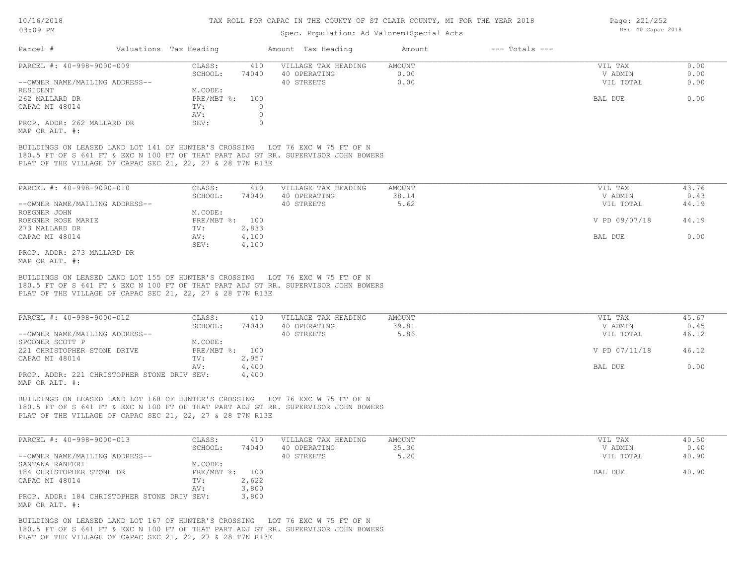#### Spec. Population: Ad Valorem+Special Acts

| Parcel #                       | Valuations Tax Heading |       | Amount Tax Heading  | Amount | $---$ Totals $---$ |           |      |
|--------------------------------|------------------------|-------|---------------------|--------|--------------------|-----------|------|
| PARCEL #: 40-998-9000-009      | CLASS:                 | 410   | VILLAGE TAX HEADING | AMOUNT |                    | VIL TAX   | 0.00 |
|                                | SCHOOL:                | 74040 | 40 OPERATING        | 0.00   |                    | V ADMIN   | 0.00 |
| --OWNER NAME/MAILING ADDRESS-- |                        |       | 40 STREETS          | 0.00   |                    | VIL TOTAL | 0.00 |
| RESIDENT                       | M.CODE:                |       |                     |        |                    |           |      |
| 262 MALLARD DR                 | PRE/MBT %:             | 100   |                     |        |                    | BAL DUE   | 0.00 |
| CAPAC MI 48014                 | TV:                    |       |                     |        |                    |           |      |
|                                | AV:                    |       |                     |        |                    |           |      |
| PROP. ADDR: 262 MALLARD DR     | SEV:                   |       |                     |        |                    |           |      |
| MAP OR ALT. #:                 |                        |       |                     |        |                    |           |      |

PLAT OF THE VILLAGE OF CAPAC SEC 21, 22, 27 & 28 T7N R13E 180.5 FT OF S 641 FT & EXC N 100 FT OF THAT PART ADJ GT RR. SUPERVISOR JOHN BOWERS BUILDINGS ON LEASED LAND LOT 141 OF HUNTER'S CROSSING LOT 76 EXC W 75 FT OF N

| PARCEL #: 40-998-9000-010      | CLASS:  | 410            | VILLAGE TAX HEADING | AMOUNT | VIL TAX       | 43.76 |
|--------------------------------|---------|----------------|---------------------|--------|---------------|-------|
|                                | SCHOOL: | 74040          | 40 OPERATING        | 38.14  | V ADMIN       | 0.43  |
| --OWNER NAME/MAILING ADDRESS-- |         |                | 40 STREETS          | 5.62   | VIL TOTAL     | 44.19 |
| ROEGNER JOHN                   | M.CODE: |                |                     |        |               |       |
| ROEGNER ROSE MARIE             |         | PRE/MBT %: 100 |                     |        | V PD 09/07/18 | 44.19 |
| 273 MALLARD DR                 | TV:     | 2,833          |                     |        |               |       |
| CAPAC MI 48014                 | AV:     | 4,100          |                     |        | BAL DUE       | 0.00  |
|                                | SEV:    | 4,100          |                     |        |               |       |
| PROP. ADDR: 273 MALLARD DR     |         |                |                     |        |               |       |

MAP OR ALT. #:

PLAT OF THE VILLAGE OF CAPAC SEC 21, 22, 27 & 28 T7N R13E 180.5 FT OF S 641 FT & EXC N 100 FT OF THAT PART ADJ GT RR. SUPERVISOR JOHN BOWERS BUILDINGS ON LEASED LAND LOT 155 OF HUNTER'S CROSSING LOT 76 EXC W 75 FT OF N

| PARCEL #: 40-998-9000-012                   | CLASS:         | 410   | VILLAGE TAX HEADING | AMOUNT | VIL TAX       | 45.67 |
|---------------------------------------------|----------------|-------|---------------------|--------|---------------|-------|
|                                             | SCHOOL:        | 74040 | 40 OPERATING        | 39.81  | V ADMIN       | 0.45  |
| --OWNER NAME/MAILING ADDRESS--              |                |       | 40 STREETS          | 5.86   | VIL TOTAL     | 46.12 |
| SPOONER SCOTT P                             | M.CODE:        |       |                     |        |               |       |
| 221 CHRISTOPHER STONE DRIVE                 | PRE/MBT %: 100 |       |                     |        | V PD 07/11/18 | 46.12 |
| CAPAC MI 48014                              | TV:            | 2,957 |                     |        |               |       |
|                                             | AV:            | 4,400 |                     |        | BAL DUE       | 0.00  |
| PROP. ADDR: 221 CHRISTOPHER STONE DRIV SEV: |                | 4,400 |                     |        |               |       |
| MAP OR ALT. #:                              |                |       |                     |        |               |       |

PLAT OF THE VILLAGE OF CAPAC SEC 21, 22, 27 & 28 T7N R13E 180.5 FT OF S 641 FT & EXC N 100 FT OF THAT PART ADJ GT RR. SUPERVISOR JOHN BOWERS BUILDINGS ON LEASED LAND LOT 168 OF HUNTER'S CROSSING LOT 76 EXC W 75 FT OF N

| PARCEL #: 40-998-9000-013                   | CLASS:         | 410   | VILLAGE TAX HEADING | AMOUNT | VIL TAX   | 40.50 |
|---------------------------------------------|----------------|-------|---------------------|--------|-----------|-------|
|                                             | SCHOOL:        | 74040 | 40 OPERATING        | 35.30  | V ADMIN   | 0.40  |
| --OWNER NAME/MAILING ADDRESS--              |                |       | 40 STREETS          | 5.20   | VIL TOTAL | 40.90 |
| SANTANA RANFERI                             | M.CODE:        |       |                     |        |           |       |
| 184 CHRISTOPHER STONE DR                    | PRE/MBT %: 100 |       |                     |        | BAL DUE   | 40.90 |
| CAPAC MI 48014                              | TV:            | 2,622 |                     |        |           |       |
|                                             | AV:            | 3,800 |                     |        |           |       |
| PROP. ADDR: 184 CHRISTOPHER STONE DRIV SEV: |                | 3,800 |                     |        |           |       |
| MAP OR ALT. #:                              |                |       |                     |        |           |       |

PLAT OF THE VILLAGE OF CAPAC SEC 21, 22, 27 & 28 T7N R13E 180.5 FT OF S 641 FT & EXC N 100 FT OF THAT PART ADJ GT RR. SUPERVISOR JOHN BOWERS BUILDINGS ON LEASED LAND LOT 167 OF HUNTER'S CROSSING LOT 76 EXC W 75 FT OF N

Page: 221/252 DB: 40 Capac 2018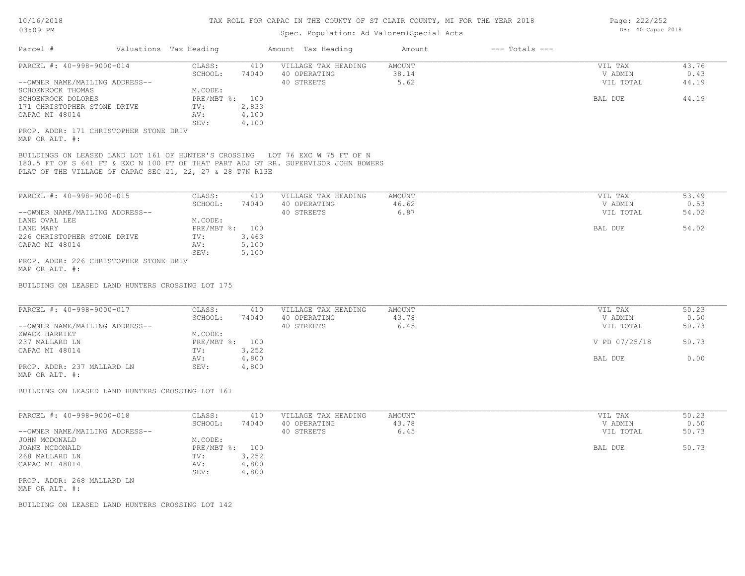#### Spec. Population: Ad Valorem+Special Acts

| Parcel #                                                                                                                                                                                                                         | Valuations Tax Heading        | Amount Tax Heading                         | Amount          | $---$ Totals $---$ |                    |               |
|----------------------------------------------------------------------------------------------------------------------------------------------------------------------------------------------------------------------------------|-------------------------------|--------------------------------------------|-----------------|--------------------|--------------------|---------------|
| PARCEL #: 40-998-9000-014                                                                                                                                                                                                        | CLASS:                        | VILLAGE TAX HEADING<br>410                 | AMOUNT          |                    | VIL TAX            | 43.76         |
|                                                                                                                                                                                                                                  | SCHOOL:<br>74040              | 40 OPERATING                               | 38.14           |                    | V ADMIN            | 0.43          |
| --OWNER NAME/MAILING ADDRESS--                                                                                                                                                                                                   |                               | 40 STREETS                                 | 5.62            |                    | VIL TOTAL          | 44.19         |
| SCHOENROCK THOMAS                                                                                                                                                                                                                | M.CODE:                       |                                            |                 |                    |                    |               |
| SCHOENROCK DOLORES                                                                                                                                                                                                               | PRE/MBT %: 100                |                                            |                 |                    | BAL DUE            | 44.19         |
| 171 CHRISTOPHER STONE DRIVE                                                                                                                                                                                                      | 2,833<br>TV:                  |                                            |                 |                    |                    |               |
| CAPAC MI 48014                                                                                                                                                                                                                   | AV:<br>4,100<br>SEV:<br>4,100 |                                            |                 |                    |                    |               |
| PROP. ADDR: 171 CHRISTOPHER STONE DRIV<br>MAP OR ALT. #:                                                                                                                                                                         |                               |                                            |                 |                    |                    |               |
| BUILDINGS ON LEASED LAND LOT 161 OF HUNTER'S CROSSING LOT 76 EXC W 75 FT OF N<br>180.5 FT OF S 641 FT & EXC N 100 FT OF THAT PART ADJ GT RR. SUPERVISOR JOHN BOWERS<br>PLAT OF THE VILLAGE OF CAPAC SEC 21, 22, 27 & 28 T7N R13E |                               |                                            |                 |                    |                    |               |
| PARCEL #: 40-998-9000-015                                                                                                                                                                                                        | CLASS:<br>410                 | VILLAGE TAX HEADING                        | AMOUNT          |                    | VIL TAX            | 53.49         |
|                                                                                                                                                                                                                                  | SCHOOL:<br>74040              | 40 OPERATING                               | 46.62           |                    | V ADMIN            | 0.53          |
| --OWNER NAME/MAILING ADDRESS--                                                                                                                                                                                                   |                               | 40 STREETS                                 | 6.87            |                    | VIL TOTAL          | 54.02         |
| LANE OVAL LEE                                                                                                                                                                                                                    | M.CODE:                       |                                            |                 |                    |                    |               |
| LANE MARY                                                                                                                                                                                                                        | PRE/MBT %: 100                |                                            |                 |                    | BAL DUE            | 54.02         |
| 226 CHRISTOPHER STONE DRIVE                                                                                                                                                                                                      | TV:<br>3,463                  |                                            |                 |                    |                    |               |
| CAPAC MI 48014                                                                                                                                                                                                                   | 5,100<br>AV:<br>SEV:<br>5,100 |                                            |                 |                    |                    |               |
| PROP. ADDR: 226 CHRISTOPHER STONE DRIV<br>MAP OR ALT. #:<br>BUILDING ON LEASED LAND HUNTERS CROSSING LOT 175                                                                                                                     |                               |                                            |                 |                    |                    |               |
|                                                                                                                                                                                                                                  |                               |                                            |                 |                    |                    |               |
| PARCEL #: 40-998-9000-017                                                                                                                                                                                                        | CLASS:<br>SCHOOL:<br>74040    | 410<br>VILLAGE TAX HEADING<br>40 OPERATING | AMOUNT<br>43.78 |                    | VIL TAX<br>V ADMIN | 50.23<br>0.50 |
| --OWNER NAME/MAILING ADDRESS--                                                                                                                                                                                                   |                               | 40 STREETS                                 | 6.45            |                    | VIL TOTAL          | 50.73         |
| ZWACK HARRIET                                                                                                                                                                                                                    | M.CODE:                       |                                            |                 |                    |                    |               |
| 237 MALLARD LN                                                                                                                                                                                                                   | PRE/MBT %: 100                |                                            |                 |                    | V PD 07/25/18      | 50.73         |
| CAPAC MI 48014                                                                                                                                                                                                                   | 3,252<br>TV:                  |                                            |                 |                    |                    |               |
|                                                                                                                                                                                                                                  | 4,800<br>AV:                  |                                            |                 |                    | BAL DUE            | 0.00          |
| PROP. ADDR: 237 MALLARD LN<br>MAP OR ALT. #:                                                                                                                                                                                     | SEV:<br>4,800                 |                                            |                 |                    |                    |               |
| BUILDING ON LEASED LAND HUNTERS CROSSING LOT 161                                                                                                                                                                                 |                               |                                            |                 |                    |                    |               |
| PARCEL #: 40-998-9000-018                                                                                                                                                                                                        | CLASS:<br>410                 | VILLAGE TAX HEADING                        | AMOUNT          |                    | VIL TAX            | 50.23         |
|                                                                                                                                                                                                                                  | SCHOOL:<br>74040              | 40 OPERATING                               | 43.78           |                    | V ADMIN            | 0.50          |
| --OWNER NAME/MAILING ADDRESS--                                                                                                                                                                                                   |                               | 40 STREETS                                 | 6.45            |                    | VIL TOTAL          | 50.73         |
| JOHN MCDONALD                                                                                                                                                                                                                    | M.CODE:                       |                                            |                 |                    |                    |               |
| JOANE MCDONALD                                                                                                                                                                                                                   | PRE/MBT %: 100                |                                            |                 |                    | BAL DUE            | 50.73         |
| 268 MALLARD LN                                                                                                                                                                                                                   | 3,252<br>TV:                  |                                            |                 |                    |                    |               |
| CAPAC MI 48014                                                                                                                                                                                                                   | 4,800<br>AV:                  |                                            |                 |                    |                    |               |
|                                                                                                                                                                                                                                  | 4,800<br>SEV:                 |                                            |                 |                    |                    |               |
| PROP. ADDR: 268 MALLARD LN                                                                                                                                                                                                       |                               |                                            |                 |                    |                    |               |
| MAP OR ALT. #:                                                                                                                                                                                                                   |                               |                                            |                 |                    |                    |               |
|                                                                                                                                                                                                                                  |                               |                                            |                 |                    |                    |               |

BUILDING ON LEASED LAND HUNTERS CROSSING LOT 142

Page: 222/252 DB: 40 Capac 2018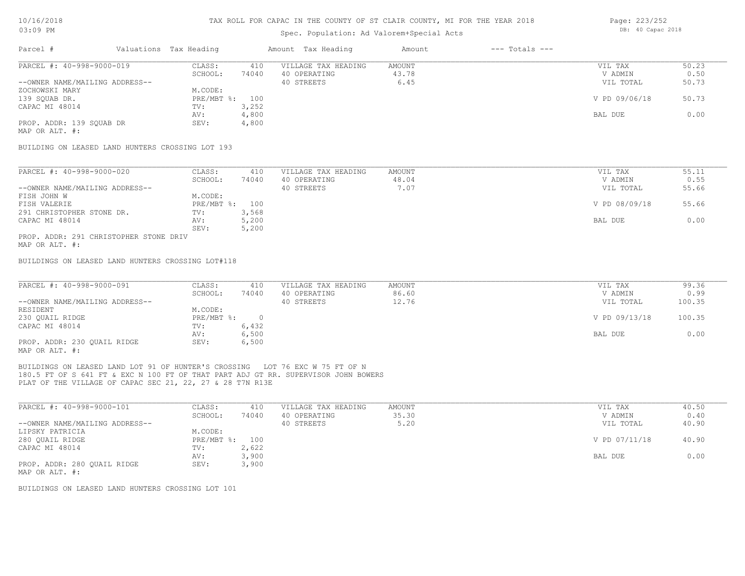#### Spec. Population: Ad Valorem+Special Acts

| Parcel #                       | Valuations Tax Heading | Amount Tax Heading |                     | Amount | $---$ Totals $---$ |               |       |  |
|--------------------------------|------------------------|--------------------|---------------------|--------|--------------------|---------------|-------|--|
| PARCEL #: 40-998-9000-019      | CLASS:                 | 410                | VILLAGE TAX HEADING | AMOUNT |                    | VIL TAX       | 50.23 |  |
|                                | SCHOOL:                | 74040              | 40 OPERATING        | 43.78  |                    | V ADMIN       | 0.50  |  |
| --OWNER NAME/MAILING ADDRESS-- |                        |                    | 40 STREETS          | 6.45   |                    | VIL TOTAL     | 50.73 |  |
| ZOCHOWSKI MARY                 | M.CODE:                |                    |                     |        |                    |               |       |  |
| 139 SOUAB DR.                  | PRE/MBT %: 100         |                    |                     |        |                    | V PD 09/06/18 | 50.73 |  |
| CAPAC MI 48014                 | TV:                    | 3,252              |                     |        |                    |               |       |  |
|                                | AV:                    | 4,800              |                     |        |                    | BAL DUE       | 0.00  |  |
| PROP. ADDR: 139 SOUAB DR       | SEV:                   | 4,800              |                     |        |                    |               |       |  |
|                                |                        |                    |                     |        |                    |               |       |  |

MAP OR ALT. #:

BUILDING ON LEASED LAND HUNTERS CROSSING LOT 193

| PARCEL #: 40-998-9000-020              | CLASS:         | 410   | VILLAGE TAX HEADING | AMOUNT | VIL TAX       | 55.11 |
|----------------------------------------|----------------|-------|---------------------|--------|---------------|-------|
|                                        | SCHOOL:        | 74040 | 40 OPERATING        | 48.04  | V ADMIN       | 0.55  |
| --OWNER NAME/MAILING ADDRESS--         |                |       | 40 STREETS          | 7.07   | VIL TOTAL     | 55.66 |
| FISH JOHN W                            | M.CODE:        |       |                     |        |               |       |
| FISH VALERIE                           | PRE/MBT %: 100 |       |                     |        | V PD 08/09/18 | 55.66 |
| 291 CHRISTOPHER STONE DR.              | TV:            | 3,568 |                     |        |               |       |
| CAPAC MI 48014                         | AV:            | 5,200 |                     |        | BAL DUE       | 0.00  |
|                                        | SEV:           | 5,200 |                     |        |               |       |
| PROP. ADDR: 291 CHRISTOPHER STONE DRIV |                |       |                     |        |               |       |

MAP OR ALT. #:

BUILDINGS ON LEASED LAND HUNTERS CROSSING LOT#118

| PARCEL #: 40-998-9000-091      | CLASS:     | 410   | VILLAGE TAX HEADING | AMOUNT | VIL TAX       | 99.36  |
|--------------------------------|------------|-------|---------------------|--------|---------------|--------|
|                                | SCHOOL:    | 74040 | 40 OPERATING        | 86.60  | V ADMIN       | 0.99   |
| --OWNER NAME/MAILING ADDRESS-- |            |       | 40 STREETS          | 12.76  | VIL TOTAL     | 100.35 |
| RESIDENT                       | M.CODE:    |       |                     |        |               |        |
| 230 OUAIL RIDGE                | PRE/MBT %: |       |                     |        | V PD 09/13/18 | 100.35 |
| CAPAC MI 48014                 | TV:        | 6,432 |                     |        |               |        |
|                                | AV:        | 6,500 |                     |        | BAL DUE       | 0.00   |
| PROP. ADDR: 230 OUAIL RIDGE    | SEV:       | 6,500 |                     |        |               |        |
| MAP OR ALT. #:                 |            |       |                     |        |               |        |

PLAT OF THE VILLAGE OF CAPAC SEC 21, 22, 27 & 28 T7N R13E 180.5 FT OF S 641 FT & EXC N 100 FT OF THAT PART ADJ GT RR. SUPERVISOR JOHN BOWERS BUILDINGS ON LEASED LAND LOT 91 OF HUNTER'S CROSSING LOT 76 EXC W 75 FT OF N

| PARCEL #: 40-998-9000-101      | CLASS:       | 410   | VILLAGE TAX HEADING | AMOUNT | VIL TAX       | 40.50 |
|--------------------------------|--------------|-------|---------------------|--------|---------------|-------|
|                                | SCHOOL:      | 74040 | 40 OPERATING        | 35.30  | V ADMIN       | 0.40  |
| --OWNER NAME/MAILING ADDRESS-- |              |       | 40 STREETS          | 5.20   | VIL TOTAL     | 40.90 |
| LIPSKY PATRICIA                | M.CODE:      |       |                     |        |               |       |
| 280 QUAIL RIDGE                | $PRE/MBT$ %: | 100   |                     |        | V PD 07/11/18 | 40.90 |
| CAPAC MI 48014                 | TV:          | 2,622 |                     |        |               |       |
|                                | AV:          | 3,900 |                     |        | BAL DUE       | 0.00  |
| PROP. ADDR: 280 QUAIL RIDGE    | SEV:         | 3,900 |                     |        |               |       |
| MAP OR ALT. #:                 |              |       |                     |        |               |       |

BUILDINGS ON LEASED LAND HUNTERS CROSSING LOT 101

Page: 223/252 DB: 40 Capac 2018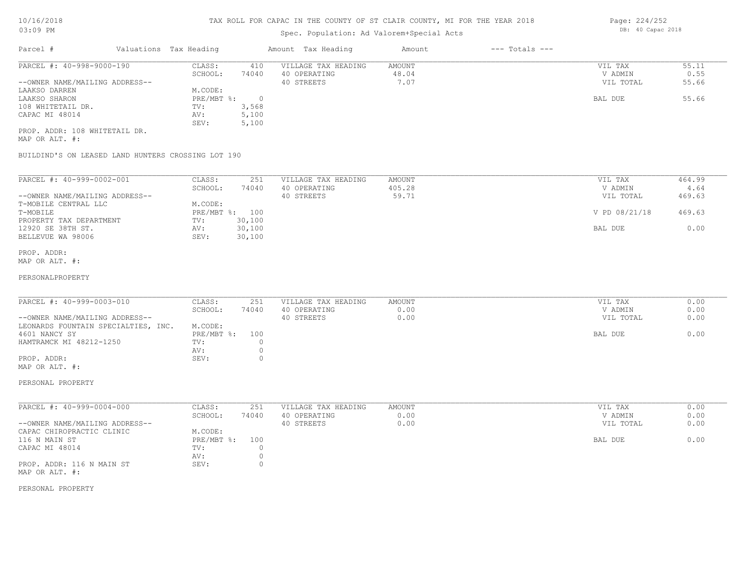# Spec. Population: Ad Valorem+Special Acts

| Parcel #                       |  | Valuations Tax Heading |       | Amount Tax Heading  | Amount | $---$ Totals $---$ |           |       |
|--------------------------------|--|------------------------|-------|---------------------|--------|--------------------|-----------|-------|
| PARCEL #: 40-998-9000-190      |  | CLASS:                 | 410   | VILLAGE TAX HEADING | AMOUNT |                    | VIL TAX   | 55.11 |
|                                |  | SCHOOL:                | 74040 | 40 OPERATING        | 48.04  |                    | V ADMIN   | 0.55  |
| --OWNER NAME/MAILING ADDRESS-- |  |                        |       | 40 STREETS          | 7.07   |                    | VIL TOTAL | 55.66 |
| LAAKSO DARREN                  |  | M.CODE:                |       |                     |        |                    |           |       |
| LAAKSO SHARON                  |  | $PRE/MBT$ %:           |       |                     |        |                    | BAL DUE   | 55.66 |
| 108 WHITETAIL DR.              |  | TV:                    | 3,568 |                     |        |                    |           |       |
| CAPAC MI 48014                 |  | AV:                    | 5,100 |                     |        |                    |           |       |
|                                |  | SEV:                   | 5,100 |                     |        |                    |           |       |
| PROP. ADDR: 108 WHITETAIL DR.  |  |                        |       |                     |        |                    |           |       |

MAP OR ALT. #:

BUILDIND'S ON LEASED LAND HUNTERS CROSSING LOT 190

| PARCEL #: 40-999-0002-001      | CLASS:     | 251    | VILLAGE TAX HEADING | AMOUNT | VIL TAX       | 464.99 |
|--------------------------------|------------|--------|---------------------|--------|---------------|--------|
|                                | SCHOOL:    | 74040  | 40 OPERATING        | 405.28 | V ADMIN       | 4.64   |
| --OWNER NAME/MAILING ADDRESS-- |            |        | 40 STREETS          | 59.71  | VIL TOTAL     | 469.63 |
| T-MOBILE CENTRAL LLC           | M.CODE:    |        |                     |        |               |        |
| T-MOBILE                       | PRE/MBT %: | 100    |                     |        | V PD 08/21/18 | 469.63 |
| PROPERTY TAX DEPARTMENT        | TV:        | 30,100 |                     |        |               |        |
| 12920 SE 38TH ST.              | AV:        | 30,100 |                     |        | BAL DUE       | 0.00   |
| BELLEVUE WA 98006              | SEV:       | 30,100 |                     |        |               |        |

MAP OR ALT. #: PROP. ADDR:

#### PERSONALPROPERTY

| PARCEL #: 40-999-0003-010           | CLASS:       | 251   | VILLAGE TAX HEADING | AMOUNT | VIL TAX   | 0.00 |
|-------------------------------------|--------------|-------|---------------------|--------|-----------|------|
|                                     | SCHOOL:      | 74040 | 40 OPERATING        | 0.00   | V ADMIN   | 0.00 |
| --OWNER NAME/MAILING ADDRESS--      |              |       | 40 STREETS          | 0.00   | VIL TOTAL | 0.00 |
| LEONARDS FOUNTAIN SPECIALTIES, INC. | M.CODE:      |       |                     |        |           |      |
| 4601 NANCY SY                       | $PRE/MBT$ %: | 100   |                     |        | BAL DUE   | 0.00 |
| HAMTRAMCK MI 48212-1250             | TV:          |       |                     |        |           |      |
|                                     | AV:          |       |                     |        |           |      |
| PROP. ADDR:                         | SEV:         |       |                     |        |           |      |
| MAP OR ALT. #:                      |              |       |                     |        |           |      |

 $\mathcal{L}_\mathcal{L} = \mathcal{L}_\mathcal{L} = \mathcal{L}_\mathcal{L} = \mathcal{L}_\mathcal{L} = \mathcal{L}_\mathcal{L} = \mathcal{L}_\mathcal{L} = \mathcal{L}_\mathcal{L} = \mathcal{L}_\mathcal{L} = \mathcal{L}_\mathcal{L} = \mathcal{L}_\mathcal{L} = \mathcal{L}_\mathcal{L} = \mathcal{L}_\mathcal{L} = \mathcal{L}_\mathcal{L} = \mathcal{L}_\mathcal{L} = \mathcal{L}_\mathcal{L} = \mathcal{L}_\mathcal{L} = \mathcal{L}_\mathcal{L}$ 

PERSONAL PROPERTY

| PARCEL #: 40-999-0004-000      | CLASS:       | 251   | VILLAGE TAX HEADING | AMOUNT | VIL TAX   | 0.00 |
|--------------------------------|--------------|-------|---------------------|--------|-----------|------|
|                                | SCHOOL:      | 74040 | 40 OPERATING        | 0.00   | V ADMIN   | 0.00 |
| --OWNER NAME/MAILING ADDRESS-- |              |       | 40 STREETS          | 0.00   | VIL TOTAL | 0.00 |
| CAPAC CHIROPRACTIC CLINIC      | M.CODE:      |       |                     |        |           |      |
| 116 N MAIN ST                  | $PRE/MBT$ %: | 100   |                     |        | BAL DUE   | 0.00 |
| CAPAC MI 48014                 | TV:          |       |                     |        |           |      |
|                                | AV:          |       |                     |        |           |      |
| PROP. ADDR: 116 N MAIN ST      | SEV:         |       |                     |        |           |      |
| MAP OR ALT. #:                 |              |       |                     |        |           |      |

PERSONAL PROPERTY

Page: 224/252 DB: 40 Capac 2018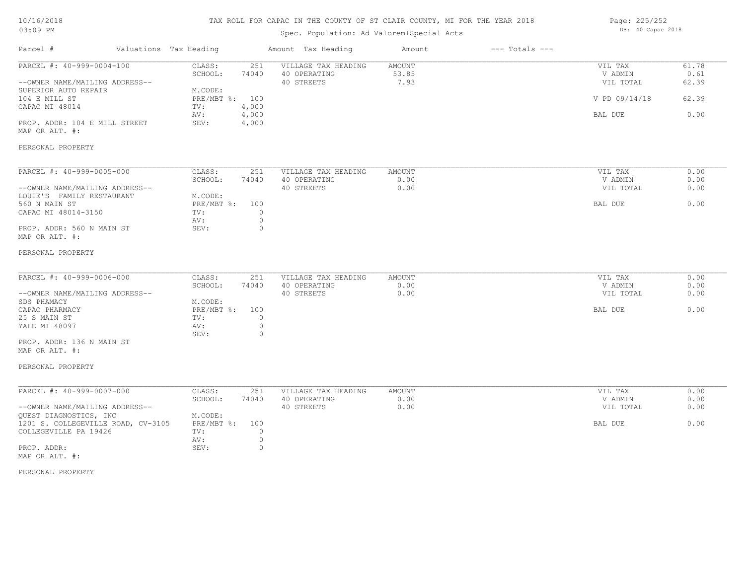#### TAX ROLL FOR CAPAC IN THE COUNTY OF ST CLAIR COUNTY, MI FOR THE YEAR 2018

# Spec. Population: Ad Valorem+Special Acts

| Page: 225/252 |                   |  |
|---------------|-------------------|--|
|               | DB: 40 Capac 2018 |  |

| Parcel #                                                                            | Valuations Tax Heading                         | Amount Tax Heading                                | Amount                  | $---$ Totals $---$ |                                 |                        |
|-------------------------------------------------------------------------------------|------------------------------------------------|---------------------------------------------------|-------------------------|--------------------|---------------------------------|------------------------|
| PARCEL #: 40-999-0004-100<br>--OWNER NAME/MAILING ADDRESS--<br>SUPERIOR AUTO REPAIR | CLASS:<br>251<br>SCHOOL:<br>74040<br>M.CODE:   | VILLAGE TAX HEADING<br>40 OPERATING<br>40 STREETS | AMOUNT<br>53.85<br>7.93 |                    | VIL TAX<br>V ADMIN<br>VIL TOTAL | 61.78<br>0.61<br>62.39 |
| 104 E MILL ST<br>CAPAC MI 48014                                                     | PRE/MBT %: 100<br>4,000<br>TV:<br>4,000<br>AV: |                                                   |                         |                    | V PD 09/14/18<br>BAL DUE        | 62.39<br>0.00          |
| PROP. ADDR: 104 E MILL STREET<br>MAP OR ALT. #:                                     | 4,000<br>SEV:                                  |                                                   |                         |                    |                                 |                        |
| PERSONAL PROPERTY                                                                   |                                                |                                                   |                         |                    |                                 |                        |
| PARCEL #: 40-999-0005-000                                                           | CLASS:<br>251                                  | VILLAGE TAX HEADING                               | <b>AMOUNT</b>           |                    | VIL TAX                         | 0.00                   |
|                                                                                     | SCHOOL:<br>74040                               | 40 OPERATING                                      | 0.00                    |                    | V ADMIN                         | 0.00                   |
| --OWNER NAME/MAILING ADDRESS--                                                      |                                                | 40 STREETS                                        | 0.00                    |                    | VIL TOTAL                       | 0.00                   |
| LOUIE'S FAMILY RESTAURANT<br>560 N MAIN ST                                          | M.CODE:<br>PRE/MBT %:<br>100                   |                                                   |                         |                    | BAL DUE                         | 0.00                   |
| CAPAC MI 48014-3150                                                                 | $\circ$<br>TV:<br>$\circ$<br>AV:               |                                                   |                         |                    |                                 |                        |
| PROP. ADDR: 560 N MAIN ST<br>MAP OR ALT. #:                                         | $\circ$<br>SEV:                                |                                                   |                         |                    |                                 |                        |
| PERSONAL PROPERTY                                                                   |                                                |                                                   |                         |                    |                                 |                        |
| PARCEL #: 40-999-0006-000                                                           | CLASS:<br>251                                  | VILLAGE TAX HEADING                               | AMOUNT                  |                    | VIL TAX                         | 0.00                   |
|                                                                                     | SCHOOL:<br>74040                               | 40 OPERATING                                      | 0.00                    |                    | V ADMIN                         | 0.00                   |
| --OWNER NAME/MAILING ADDRESS--                                                      |                                                | 40 STREETS                                        | 0.00                    |                    | VIL TOTAL                       | 0.00                   |
| SDS PHAMACY                                                                         | M.CODE:                                        |                                                   |                         |                    |                                 |                        |
| CAPAC PHARMACY                                                                      | $PRE/MBT$ $\div$<br>100                        |                                                   |                         |                    | BAL DUE                         | 0.00                   |
| 25 S MAIN ST                                                                        | $\circ$<br>TV:                                 |                                                   |                         |                    |                                 |                        |
| YALE MI 48097                                                                       | $\mathbb O$<br>AV:<br>$\circ$<br>SEV:          |                                                   |                         |                    |                                 |                        |
| PROP. ADDR: 136 N MAIN ST                                                           |                                                |                                                   |                         |                    |                                 |                        |
| MAP OR ALT. #:                                                                      |                                                |                                                   |                         |                    |                                 |                        |
| PERSONAL PROPERTY                                                                   |                                                |                                                   |                         |                    |                                 |                        |
|                                                                                     |                                                |                                                   |                         |                    |                                 |                        |
| PARCEL #: 40-999-0007-000                                                           | CLASS:<br>251<br>SCHOOL:<br>74040              | VILLAGE TAX HEADING<br>40 OPERATING               | <b>AMOUNT</b><br>0.00   |                    | VIL TAX<br>V ADMIN              | 0.00<br>0.00           |
| --OWNER NAME/MAILING ADDRESS--                                                      |                                                | 40 STREETS                                        | 0.00                    |                    | VIL TOTAL                       | 0.00                   |
| QUEST DIAGNOSTICS, INC                                                              | M.CODE:                                        |                                                   |                         |                    |                                 |                        |
| 1201 S. COLLEGEVILLE ROAD, CV-3105                                                  | PRE/MBT %:<br>100                              |                                                   |                         |                    | BAL DUE                         | 0.00                   |
| COLLEGEVILLE PA 19426                                                               | $\circ$<br>TV:                                 |                                                   |                         |                    |                                 |                        |
|                                                                                     | $\circ$<br>AV:                                 |                                                   |                         |                    |                                 |                        |
| PROP. ADDR:                                                                         | SEV:<br>$\circ$                                |                                                   |                         |                    |                                 |                        |

MAP OR ALT. #:

PERSONAL PROPERTY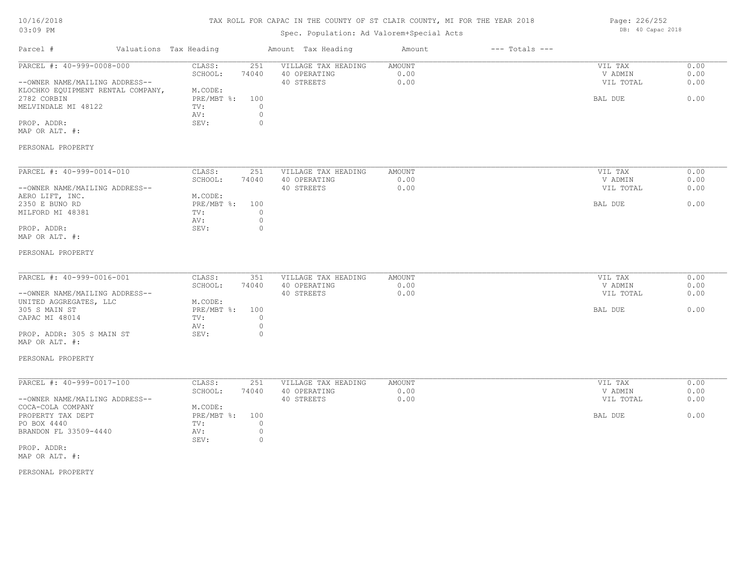# TAX ROLL FOR CAPAC IN THE COUNTY OF ST CLAIR COUNTY, MI FOR THE YEAR 2018

# Spec. Population: Ad Valorem+Special Acts

| Parcel #                                                                                                                                                                | Valuations Tax Heading |                                                                                 |                                                      | Amount Tax Heading                                | Amount                        | $---$ Totals $---$ |                                            |                              |
|-------------------------------------------------------------------------------------------------------------------------------------------------------------------------|------------------------|---------------------------------------------------------------------------------|------------------------------------------------------|---------------------------------------------------|-------------------------------|--------------------|--------------------------------------------|------------------------------|
| PARCEL #: 40-999-0008-000<br>--OWNER NAME/MAILING ADDRESS--<br>KLOCHKO EQUIPMENT RENTAL COMPANY,<br>2782 CORBIN<br>MELVINDALE MI 48122<br>PROP. ADDR:<br>MAP OR ALT. #: |                        | CLASS:<br>SCHOOL:<br>M.CODE:<br>$PRE/MBT$ $\div$<br>TV:<br>AV:<br>SEV:          | 251<br>74040<br>100<br>$\circ$<br>$\circ$<br>$\circ$ | VILLAGE TAX HEADING<br>40 OPERATING<br>40 STREETS | AMOUNT<br>0.00<br>0.00        |                    | VIL TAX<br>V ADMIN<br>VIL TOTAL<br>BAL DUE | 0.00<br>0.00<br>0.00<br>0.00 |
| PERSONAL PROPERTY                                                                                                                                                       |                        |                                                                                 |                                                      |                                                   |                               |                    |                                            |                              |
| PARCEL #: 40-999-0014-010<br>--OWNER NAME/MAILING ADDRESS--<br>AERO LIFT, INC.<br>2350 E BUNO RD<br>MILFORD MI 48381<br>PROP. ADDR:<br>MAP OR ALT. #:                   |                        | CLASS:<br>SCHOOL:<br>M.CODE:<br>$PRE/MBT$ $\frac{1}{6}$ :<br>TV:<br>AV:<br>SEV: | 251<br>74040<br>100<br>$\circ$<br>$\circ$<br>0       | VILLAGE TAX HEADING<br>40 OPERATING<br>40 STREETS | AMOUNT<br>0.00<br>0.00        |                    | VIL TAX<br>V ADMIN<br>VIL TOTAL<br>BAL DUE | 0.00<br>0.00<br>0.00<br>0.00 |
| PERSONAL PROPERTY<br>PARCEL #: 40-999-0016-001<br>--OWNER NAME/MAILING ADDRESS--                                                                                        |                        | CLASS:<br>SCHOOL:                                                               | 351<br>74040                                         | VILLAGE TAX HEADING<br>40 OPERATING<br>40 STREETS | <b>AMOUNT</b><br>0.00<br>0.00 |                    | VIL TAX<br>V ADMIN<br>VIL TOTAL            | 0.00<br>0.00<br>0.00         |
| UNITED AGGREGATES, LLC<br>305 S MAIN ST<br>CAPAC MI 48014<br>PROP. ADDR: 305 S MAIN ST<br>MAP OR ALT. #:<br>PERSONAL PROPERTY                                           |                        | M.CODE:<br>PRE/MBT %: 100<br>TV:<br>AV:<br>SEV:                                 | $\circ$<br>$\circ$<br>$\circ$                        |                                                   |                               |                    | BAL DUE                                    | 0.00                         |
| PARCEL #: 40-999-0017-100                                                                                                                                               |                        | CLASS:                                                                          | 251                                                  | VILLAGE TAX HEADING                               | <b>AMOUNT</b>                 |                    | VIL TAX                                    | 0.00                         |
| --OWNER NAME/MAILING ADDRESS--                                                                                                                                          |                        | SCHOOL:                                                                         | 74040                                                | 40 OPERATING<br>40 STREETS                        | 0.00<br>0.00                  |                    | V ADMIN<br>VIL TOTAL                       | 0.00<br>0.00                 |
| COCA-COLA COMPANY<br>PROPERTY TAX DEPT<br>PO BOX 4440<br>BRANDON FL 33509-4440<br>PROP. ADDR:<br>MAP OR ALT. #:                                                         |                        | M.CODE:<br>PRE/MBT %: 100<br>TV:<br>AV:<br>SEV:                                 | $\circ$<br>$\circ$<br>$\circ$                        |                                                   |                               |                    | BAL DUE                                    | 0.00                         |
| PERSONAL PROPERTY                                                                                                                                                       |                        |                                                                                 |                                                      |                                                   |                               |                    |                                            |                              |

Page: 226/252 DB: 40 Capac 2018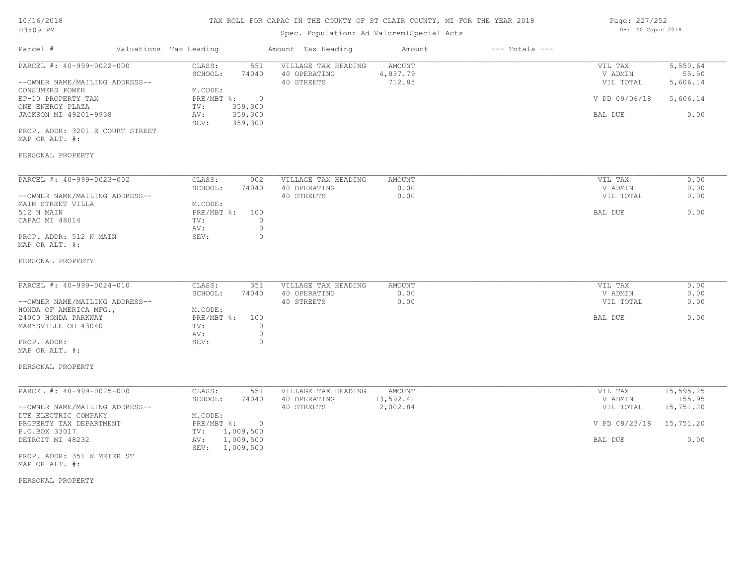#### TAX ROLL FOR CAPAC IN THE COUNTY OF ST CLAIR COUNTY, MI FOR THE YEAR 2018

# Spec. Population: Ad Valorem+Special Acts

| VIL TAX       | 5,550.64 |
|---------------|----------|
| V ADMIN       | 55.50    |
| VIL TOTAL     | 5,606.14 |
|               |          |
| V PD 09/06/18 | 5,606.14 |
|               |          |
| BAL DUE       | 0.00     |
|               |          |
|               |          |
|               |          |

MAP OR ALT. #:

#### PERSONAL PROPERTY

| PARCEL #: 40-999-0023-002      | CLASS:     | 002   | VILLAGE TAX HEADING | AMOUNT | VIL TAX   | 0.00 |
|--------------------------------|------------|-------|---------------------|--------|-----------|------|
|                                | SCHOOL:    | 74040 | 40 OPERATING        | 0.00   | V ADMIN   | 0.00 |
| --OWNER NAME/MAILING ADDRESS-- |            |       | 40 STREETS          | 0.00   | VIL TOTAL | 0.00 |
| MAIN STREET VILLA              | M.CODE:    |       |                     |        |           |      |
| 512 N MAIN                     | PRE/MBT %: | 100   |                     |        | BAL DUE   | 0.00 |
| CAPAC MI 48014                 | TV:        |       |                     |        |           |      |
|                                | AV:        |       |                     |        |           |      |
| PROP. ADDR: 512 N MAIN         | SEV:       |       |                     |        |           |      |
| MAP OR ALT. #:                 |            |       |                     |        |           |      |

#### PERSONAL PROPERTY

| PARCEL #: 40-999-0024-010      | CLASS:         | 351   | VILLAGE TAX HEADING | AMOUNT | VIL TAX   | 0.00 |
|--------------------------------|----------------|-------|---------------------|--------|-----------|------|
|                                | SCHOOL:        | 74040 | 40 OPERATING        | 0.00   | V ADMIN   | 0.00 |
| --OWNER NAME/MAILING ADDRESS-- |                |       | 40 STREETS          | 0.00   | VIL TOTAL | 0.00 |
| HONDA OF AMERICA MFG.,         | M.CODE:        |       |                     |        |           |      |
| 24000 HONDA PARKWAY            | PRE/MBT %: 100 |       |                     |        | BAL DUE   | 0.00 |
| MARYSVILLE OH 43040            | TV:            |       |                     |        |           |      |
|                                | AV:            |       |                     |        |           |      |
| PROP. ADDR:                    | SEV:           |       |                     |        |           |      |
| MAP OR ALT. #:                 |                |       |                     |        |           |      |

# PERSONAL PROPERTY

| PARCEL #: 40-999-0025-000      | CLASS:       | 551       | VILLAGE TAX HEADING | AMOUNT    | VIL TAX                 | 15,595.25 |
|--------------------------------|--------------|-----------|---------------------|-----------|-------------------------|-----------|
|                                | SCHOOL:      | 74040     | 40 OPERATING        | 13,592.41 | V ADMIN                 | 155.95    |
| --OWNER NAME/MAILING ADDRESS-- |              |           | 40 STREETS          | 2,002.84  | VIL TOTAL               | 15,751.20 |
| DTE ELECTRIC COMPANY           | M.CODE:      |           |                     |           |                         |           |
| PROPERTY TAX DEPARTMENT        | $PRE/MBT$ %: |           |                     |           | V PD 08/23/18 15,751.20 |           |
| P.O.BOX 33017                  | TV:          | 1,009,500 |                     |           |                         |           |
| DETROIT MI 48232               | AV:          | 1,009,500 |                     |           | BAL DUE                 | 0.00      |
|                                | SEV:         | 1,009,500 |                     |           |                         |           |

MAP OR ALT. #: PROP. ADDR: 351 W MEIER ST

#### PERSONAL PROPERTY

Page: 227/252 DB: 40 Capac 2018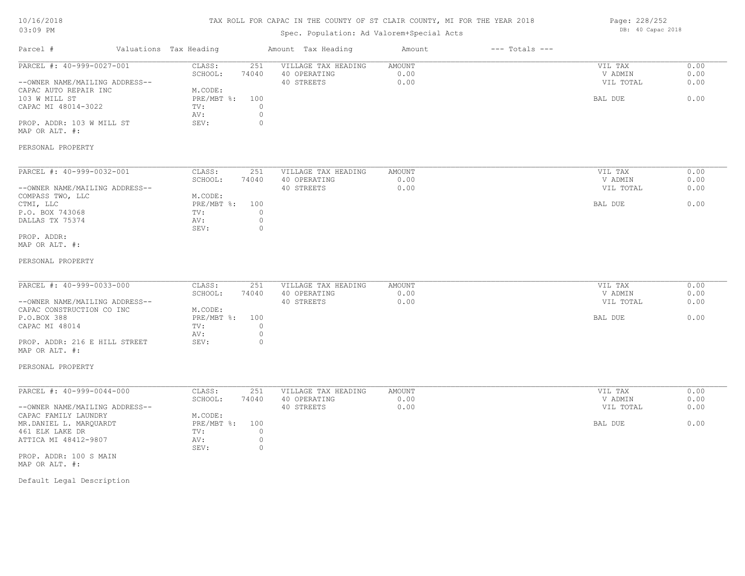#### TAX ROLL FOR CAPAC IN THE COUNTY OF ST CLAIR COUNTY, MI FOR THE YEAR 2018

| TO \ TO \ \COTQ                |                        |                         | TAX ROLL FOR CAPAC IN THE COUNTI OF ST CLAIR COUNTI, MI FOR THE IEAR ZUIS |               |                    | Page: 228/202        |              |
|--------------------------------|------------------------|-------------------------|---------------------------------------------------------------------------|---------------|--------------------|----------------------|--------------|
| 03:09 PM                       |                        |                         | Spec. Population: Ad Valorem+Special Acts                                 |               |                    | DB: 40 Capac 2018    |              |
| Parcel #                       | Valuations Tax Heading |                         | Amount Tax Heading                                                        | Amount        | $---$ Totals $---$ |                      |              |
| PARCEL #: 40-999-0027-001      | CLASS:                 | 251                     | VILLAGE TAX HEADING                                                       | AMOUNT        |                    | VIL TAX              | 0.00         |
| --OWNER NAME/MAILING ADDRESS-- | SCHOOL:                | 74040                   | 40 OPERATING<br>40 STREETS                                                | 0.00<br>0.00  |                    | V ADMIN<br>VIL TOTAL | 0.00<br>0.00 |
| CAPAC AUTO REPAIR INC          | M.CODE:                |                         |                                                                           |               |                    |                      |              |
| 103 W MILL ST                  | PRE/MBT %:             | 100                     |                                                                           |               |                    | BAL DUE              | 0.00         |
| CAPAC MI 48014-3022            | TV:                    | $\Omega$<br>$\mathbb O$ |                                                                           |               |                    |                      |              |
| PROP. ADDR: 103 W MILL ST      | AV:<br>SEV:            | $\circ$                 |                                                                           |               |                    |                      |              |
| MAP OR ALT. #:                 |                        |                         |                                                                           |               |                    |                      |              |
| PERSONAL PROPERTY              |                        |                         |                                                                           |               |                    |                      |              |
| PARCEL #: 40-999-0032-001      | CLASS:                 | 251                     | VILLAGE TAX HEADING                                                       | AMOUNT        |                    | VIL TAX              | 0.00         |
|                                | SCHOOL:                | 74040                   | 40 OPERATING                                                              | 0.00          |                    | V ADMIN              | 0.00         |
| --OWNER NAME/MAILING ADDRESS-- |                        |                         | 40 STREETS                                                                | 0.00          |                    | VIL TOTAL            | 0.00         |
| COMPASS TWO, LLC               | M.CODE:                |                         |                                                                           |               |                    |                      |              |
| CTMI, LLC                      | PRE/MBT %:             | 100                     |                                                                           |               |                    | BAL DUE              | 0.00         |
| P.O. BOX 743068                | TV:                    | $\circ$                 |                                                                           |               |                    |                      |              |
| DALLAS TX 75374                | AV:<br>SEV:            | $\mathbb O$<br>$\circ$  |                                                                           |               |                    |                      |              |
| PROP. ADDR:                    |                        |                         |                                                                           |               |                    |                      |              |
| MAP OR ALT. #:                 |                        |                         |                                                                           |               |                    |                      |              |
| PERSONAL PROPERTY              |                        |                         |                                                                           |               |                    |                      |              |
| PARCEL #: 40-999-0033-000      | CLASS:                 | 251                     | VILLAGE TAX HEADING                                                       | <b>AMOUNT</b> |                    | VIL TAX              | 0.00         |
|                                | SCHOOL:                | 74040                   | 40 OPERATING                                                              | 0.00          |                    | V ADMIN              | 0.00         |
| --OWNER NAME/MAILING ADDRESS-- |                        |                         | 40 STREETS                                                                | 0.00          |                    | VIL TOTAL            | 0.00         |
| CAPAC CONSTRUCTION CO INC      | M.CODE:                |                         |                                                                           |               |                    |                      |              |
| P.O.BOX 388                    | $PRE/MBT$ $\div$       | 100                     |                                                                           |               |                    | BAL DUE              | 0.00         |
| CAPAC MI 48014                 | TV:                    | $\circ$                 |                                                                           |               |                    |                      |              |
| PROP. ADDR: 216 E HILL STREET  | AV:<br>SEV:            | $\mathbb O$<br>$\circ$  |                                                                           |               |                    |                      |              |
| MAP OR ALT. #:                 |                        |                         |                                                                           |               |                    |                      |              |
| PERSONAL PROPERTY              |                        |                         |                                                                           |               |                    |                      |              |
| PARCEL #: 40-999-0044-000      | CLASS:                 | 251                     | VILLAGE TAX HEADING                                                       | <b>AMOUNT</b> |                    | VIL TAX              | 0.00         |
|                                | SCHOOL:                | 74040                   | 40 OPERATING                                                              | 0.00          |                    | V ADMIN              | 0.00         |
| --OWNER NAME/MAILING ADDRESS-- |                        |                         | 40 STREETS                                                                | 0.00          |                    | VIL TOTAL            | 0.00         |
| CAPAC FAMILY LAUNDRY           | M.CODE:                |                         |                                                                           |               |                    |                      |              |
| MR.DANIEL L. MARQUARDT         | $PRE/MBT$ $\div$       | 100                     |                                                                           |               |                    | BAL DUE              | 0.00         |
| 461 ELK LAKE DR                | TV:                    | $\circ$                 |                                                                           |               |                    |                      |              |
| ATTICA MI 48412-9807           | AV:<br>SEV:            | $\mathbb O$<br>$\circ$  |                                                                           |               |                    |                      |              |
| PROP. ADDR: 100 S MAIN         |                        |                         |                                                                           |               |                    |                      |              |
| MAP OR ALT. #:                 |                        |                         |                                                                           |               |                    |                      |              |
| Default Legal Description      |                        |                         |                                                                           |               |                    |                      |              |
|                                |                        |                         |                                                                           |               |                    |                      |              |

Page: 228/252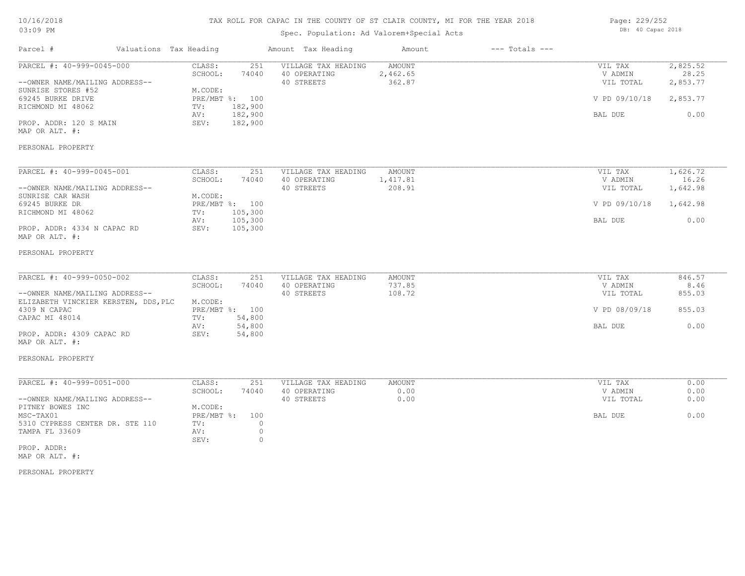# TAX ROLL FOR CAPAC IN THE COUNTY OF ST CLAIR COUNTY, MI FOR THE YEAR 2018

# Spec. Population: Ad Valorem+Special Acts

| Page: 229/252 |                   |  |
|---------------|-------------------|--|
|               | DB: 40 Capac 2018 |  |

| Parcel #                                                    | Valuations Tax Heading            | Amount Tax Heading                                | Amount                       | $---$ Totals $---$ |                                 |                               |
|-------------------------------------------------------------|-----------------------------------|---------------------------------------------------|------------------------------|--------------------|---------------------------------|-------------------------------|
| PARCEL #: 40-999-0045-000<br>--OWNER NAME/MAILING ADDRESS-- | CLASS:<br>251<br>SCHOOL:<br>74040 | VILLAGE TAX HEADING<br>40 OPERATING<br>40 STREETS | AMOUNT<br>2,462.65<br>362.87 |                    | VIL TAX<br>V ADMIN<br>VIL TOTAL | 2,825.52<br>28.25<br>2,853.77 |
| SUNRISE STORES #52<br>69245 BURKE DRIVE                     | M.CODE:<br>PRE/MBT %: 100         |                                                   |                              |                    | V PD 09/10/18                   | 2,853.77                      |
| RICHMOND MI 48062                                           | 182,900<br>TV:<br>182,900<br>AV:  |                                                   |                              |                    | BAL DUE                         | 0.00                          |
| PROP. ADDR: 120 S MAIN<br>MAP OR ALT. #:                    | 182,900<br>SEV:                   |                                                   |                              |                    |                                 |                               |
| PERSONAL PROPERTY                                           |                                   |                                                   |                              |                    |                                 |                               |
| PARCEL #: 40-999-0045-001                                   | CLASS:<br>251                     | VILLAGE TAX HEADING                               | AMOUNT                       |                    | VIL TAX                         | 1,626.72                      |
|                                                             | SCHOOL:<br>74040                  | 40 OPERATING                                      | 1,417.81                     |                    | V ADMIN                         | 16.26                         |
| --OWNER NAME/MAILING ADDRESS--<br>SUNRISE CAR WASH          | M.CODE:                           | 40 STREETS                                        | 208.91                       |                    | VIL TOTAL                       | 1,642.98                      |
| 69245 BURKE DR                                              | PRE/MBT %: 100                    |                                                   |                              |                    | V PD 09/10/18                   | 1,642.98                      |
| RICHMOND MI 48062                                           | 105,300<br>TV:                    |                                                   |                              |                    |                                 |                               |
|                                                             | 105,300<br>AV:                    |                                                   |                              |                    | BAL DUE                         | 0.00                          |
| PROP. ADDR: 4334 N CAPAC RD<br>MAP OR ALT. #:               | SEV:<br>105,300                   |                                                   |                              |                    |                                 |                               |
| PERSONAL PROPERTY                                           |                                   |                                                   |                              |                    |                                 |                               |
|                                                             |                                   |                                                   |                              |                    |                                 |                               |
| PARCEL #: 40-999-0050-002                                   | CLASS:<br>251<br>SCHOOL:<br>74040 | VILLAGE TAX HEADING<br>40 OPERATING               | AMOUNT<br>737.85             |                    | VIL TAX<br>V ADMIN              | 846.57<br>8.46                |
| --OWNER NAME/MAILING ADDRESS--                              |                                   | 40 STREETS                                        | 108.72                       |                    | VIL TOTAL                       | 855.03                        |
| ELIZABETH VINCKIER KERSTEN, DDS, PLC                        | M.CODE:                           |                                                   |                              |                    |                                 |                               |
| 4309 N CAPAC                                                | PRE/MBT %: 100                    |                                                   |                              |                    | V PD 08/09/18                   | 855.03                        |
| CAPAC MI 48014                                              | 54,800<br>TV:                     |                                                   |                              |                    |                                 |                               |
|                                                             | 54,800<br>AV:                     |                                                   |                              |                    | BAL DUE                         | 0.00                          |
| PROP. ADDR: 4309 CAPAC RD<br>MAP OR ALT. #:                 | SEV:<br>54,800                    |                                                   |                              |                    |                                 |                               |
| PERSONAL PROPERTY                                           |                                   |                                                   |                              |                    |                                 |                               |
|                                                             |                                   |                                                   |                              |                    |                                 |                               |
| PARCEL #: 40-999-0051-000                                   | CLASS:<br>251<br>SCHOOL:<br>74040 | VILLAGE TAX HEADING<br>40 OPERATING               | AMOUNT<br>0.00               |                    | VIL TAX<br>V ADMIN              | 0.00<br>0.00                  |
| --OWNER NAME/MAILING ADDRESS--                              |                                   | 40 STREETS                                        | 0.00                         |                    | VIL TOTAL                       | 0.00                          |
| PITNEY BOWES INC                                            | M.CODE:                           |                                                   |                              |                    |                                 |                               |
| MSC-TAX01                                                   | PRE/MBT %: 100                    |                                                   |                              |                    | BAL DUE                         | 0.00                          |
| 5310 CYPRESS CENTER DR. STE 110                             | TV:<br>$\circ$                    |                                                   |                              |                    |                                 |                               |
| TAMPA FL 33609                                              | $\circ$<br>AV:<br>SEV:<br>$\circ$ |                                                   |                              |                    |                                 |                               |
| PROP. ADDR:<br>MAP OR ALT. #:                               |                                   |                                                   |                              |                    |                                 |                               |

PERSONAL PROPERTY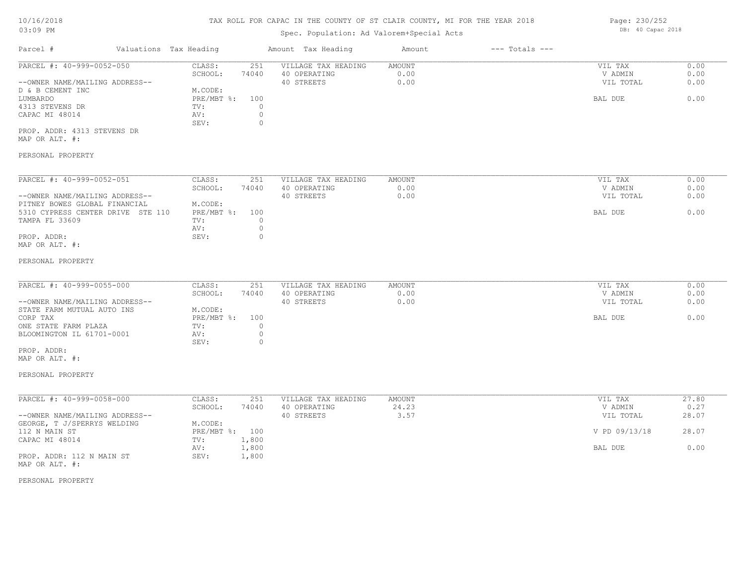# TAX ROLL FOR CAPAC IN THE COUNTY OF ST CLAIR COUNTY, MI FOR THE YEAR 2018

# Spec. Population: Ad Valorem+Special Acts

| Parcel #                       | Valuations Tax Heading |       | Amount Tax Heading  | Amount | $---$ Totals $---$ |           |      |
|--------------------------------|------------------------|-------|---------------------|--------|--------------------|-----------|------|
| PARCEL #: 40-999-0052-050      | CLASS:                 | 251   | VILLAGE TAX HEADING | AMOUNT |                    | VIL TAX   | 0.00 |
|                                | SCHOOL:                | 74040 | 40 OPERATING        | 0.00   |                    | V ADMIN   | 0.00 |
| --OWNER NAME/MAILING ADDRESS-- |                        |       | 40 STREETS          | 0.00   |                    | VIL TOTAL | 0.00 |
| D & B CEMENT INC               | M.CODE:                |       |                     |        |                    |           |      |
| LUMBARDO                       | PRE/MBT %: 100         |       |                     |        |                    | BAL DUE   | 0.00 |
| 4313 STEVENS DR                | TV:                    |       |                     |        |                    |           |      |
| CAPAC MI 48014                 | AV:                    |       |                     |        |                    |           |      |
|                                | SEV:                   |       |                     |        |                    |           |      |
| PROP. ADDR: 4313 STEVENS DR    |                        |       |                     |        |                    |           |      |
|                                |                        |       |                     |        |                    |           |      |

MAP OR ALT. #:

#### PERSONAL PROPERTY

| PARCEL #: 40-999-0052-051         | CLASS:     | 251   | VILLAGE TAX HEADING | AMOUNT | VIL TAX   | 0.00 |
|-----------------------------------|------------|-------|---------------------|--------|-----------|------|
|                                   | SCHOOL:    | 74040 | 40 OPERATING        | 0.00   | V ADMIN   | 0.00 |
| --OWNER NAME/MAILING ADDRESS--    |            |       | 40 STREETS          | 0.00   | VIL TOTAL | 0.00 |
| PITNEY BOWES GLOBAL FINANCIAL     | M.CODE:    |       |                     |        |           |      |
| 5310 CYPRESS CENTER DRIVE STE 110 | PRE/MBT %: | 100   |                     |        | BAL DUE   | 0.00 |
| TAMPA FL 33609                    | TV:        |       |                     |        |           |      |
|                                   | AV:        |       |                     |        |           |      |
| PROP. ADDR:                       | SEV:       |       |                     |        |           |      |
| MAP OR ALT. #:                    |            |       |                     |        |           |      |

#### PERSONAL PROPERTY

| PARCEL #: 40-999-0055-000      | CLASS:         | 251   | VILLAGE TAX HEADING | AMOUNT | VIL TAX   | 0.00 |
|--------------------------------|----------------|-------|---------------------|--------|-----------|------|
|                                | SCHOOL:        | 74040 | 40 OPERATING        | 0.00   | V ADMIN   | 0.00 |
| --OWNER NAME/MAILING ADDRESS-- |                |       | 40 STREETS          | 0.00   | VIL TOTAL | 0.00 |
| STATE FARM MUTUAL AUTO INS     | M.CODE:        |       |                     |        |           |      |
| CORP TAX                       | PRE/MBT %: 100 |       |                     |        | BAL DUE   | 0.00 |
| ONE STATE FARM PLAZA           | TV:            |       |                     |        |           |      |
| BLOOMINGTON IL 61701-0001      | AV:            |       |                     |        |           |      |
|                                | SEV:           |       |                     |        |           |      |
| PROP. ADDR:                    |                |       |                     |        |           |      |

MAP OR ALT. #:

# PERSONAL PROPERTY

| PARCEL #: 40-999-0058-000      | CLASS:     | 251   | VILLAGE TAX HEADING | AMOUNT | 27.80<br>VIL TAX       |  |
|--------------------------------|------------|-------|---------------------|--------|------------------------|--|
|                                | SCHOOL:    | 74040 | 40 OPERATING        | 24.23  | 0.27<br>V ADMIN        |  |
| --OWNER NAME/MAILING ADDRESS-- |            |       | 40 STREETS          | 3.57   | 28.07<br>VIL TOTAL     |  |
| GEORGE, T J/SPERRYS WELDING    | M.CODE:    |       |                     |        |                        |  |
| 112 N MAIN ST                  | PRE/MBT %: | 100   |                     |        | V PD 09/13/18<br>28.07 |  |
| CAPAC MI 48014                 | TV:        | 1,800 |                     |        |                        |  |
|                                | AV:        | 1,800 |                     |        | 0.00<br>BAL DUE        |  |
| PROP. ADDR: 112 N MAIN ST      | SEV:       | 1,800 |                     |        |                        |  |
| MAP OR ALT. #:                 |            |       |                     |        |                        |  |

PERSONAL PROPERTY

Page: 230/252 DB: 40 Capac 2018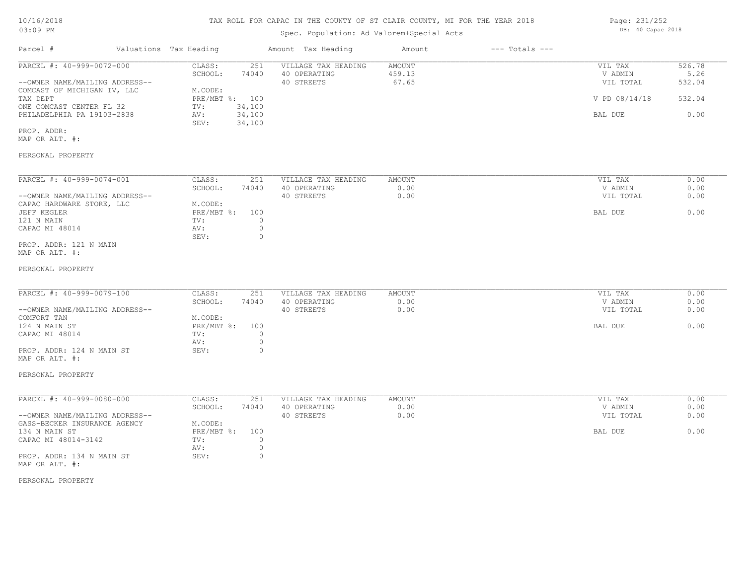# TAX ROLL FOR CAPAC IN THE COUNTY OF ST CLAIR COUNTY, MI FOR THE YEAR 2018

# Spec. Population: Ad Valorem+Special Acts

| Parcel #                       | Valuations Tax Heading |                | Amount Tax Heading  | Amount | $---$ Totals $---$ |               |        |
|--------------------------------|------------------------|----------------|---------------------|--------|--------------------|---------------|--------|
| PARCEL #: 40-999-0072-000      | CLASS:                 | 251            | VILLAGE TAX HEADING | AMOUNT |                    | VIL TAX       | 526.78 |
|                                | SCHOOL:                | 74040          | 40 OPERATING        | 459.13 |                    | V ADMIN       | 5.26   |
| --OWNER NAME/MAILING ADDRESS-- |                        |                | 40 STREETS          | 67.65  |                    | VIL TOTAL     | 532.04 |
| COMCAST OF MICHIGAN IV, LLC    | M.CODE:                |                |                     |        |                    |               |        |
| TAX DEPT                       |                        | PRE/MBT %: 100 |                     |        |                    | V PD 08/14/18 | 532.04 |
| ONE COMCAST CENTER FL 32       | TV:                    | 34,100         |                     |        |                    |               |        |
| PHILADELPHIA PA 19103-2838     | AV:                    | 34,100         |                     |        |                    | BAL DUE       | 0.00   |
|                                | SEV:                   | 34,100         |                     |        |                    |               |        |

PROP. ADDR:

MAP OR ALT. #:

# PERSONAL PROPERTY

| PARCEL #: 40-999-0074-001      | CLASS:     | 251   | VILLAGE TAX HEADING | AMOUNT | VIL TAX   | 0.00 |
|--------------------------------|------------|-------|---------------------|--------|-----------|------|
|                                | SCHOOL:    | 74040 | 40 OPERATING        | 0.00   | V ADMIN   | 0.00 |
| --OWNER NAME/MAILING ADDRESS-- |            |       | 40 STREETS          | 0.00   | VIL TOTAL | 0.00 |
| CAPAC HARDWARE STORE, LLC      | M.CODE:    |       |                     |        |           |      |
| JEFF KEGLER                    | PRE/MBT %: | 100   |                     |        | BAL DUE   | 0.00 |
| 121 N MAIN                     | TV:        |       |                     |        |           |      |
| CAPAC MI 48014                 | AV:        |       |                     |        |           |      |
|                                | SEV:       |       |                     |        |           |      |
| PROP. ADDR: 121 N MAIN         |            |       |                     |        |           |      |

MAP OR ALT. #:

#### PERSONAL PROPERTY

| PARCEL #: 40-999-0079-100      | CLASS:       | 251   | VILLAGE TAX HEADING | AMOUNT | VIL TAX   | 0.00 |
|--------------------------------|--------------|-------|---------------------|--------|-----------|------|
|                                | SCHOOL:      | 74040 | 40 OPERATING        | 0.00   | V ADMIN   | 0.00 |
| --OWNER NAME/MAILING ADDRESS-- |              |       | 40 STREETS          | 0.00   | VIL TOTAL | 0.00 |
| COMFORT TAN                    | M.CODE:      |       |                     |        |           |      |
| 124 N MAIN ST                  | $PRE/MBT$ %: | 100   |                     |        | BAL DUE   | 0.00 |
| CAPAC MI 48014                 | TV:          |       |                     |        |           |      |
|                                | AV:          |       |                     |        |           |      |
| PROP. ADDR: 124 N MAIN ST      | SEV:         |       |                     |        |           |      |

#### PERSONAL PROPERTY

MAP OR ALT. #:

| PARCEL #: 40-999-0080-000      | CLASS:       | 251   | VILLAGE TAX HEADING | AMOUNT | VIL TAX   | 0.00 |
|--------------------------------|--------------|-------|---------------------|--------|-----------|------|
|                                | SCHOOL:      | 74040 | 40 OPERATING        | 0.00   | V ADMIN   | 0.00 |
| --OWNER NAME/MAILING ADDRESS-- |              |       | 40 STREETS          | 0.00   | VIL TOTAL | 0.00 |
| GASS-BECKER INSURANCE AGENCY   | M.CODE:      |       |                     |        |           |      |
| 134 N MAIN ST                  | $PRE/MBT$ %: | 100   |                     |        | BAL DUE   | 0.00 |
| CAPAC MI 48014-3142            | TV:          |       |                     |        |           |      |
|                                | AV:          |       |                     |        |           |      |
| PROP. ADDR: 134 N MAIN ST      | SEV:         |       |                     |        |           |      |
| MAP OR ALT. #:                 |              |       |                     |        |           |      |

PERSONAL PROPERTY

Page: 231/252 DB: 40 Capac 2018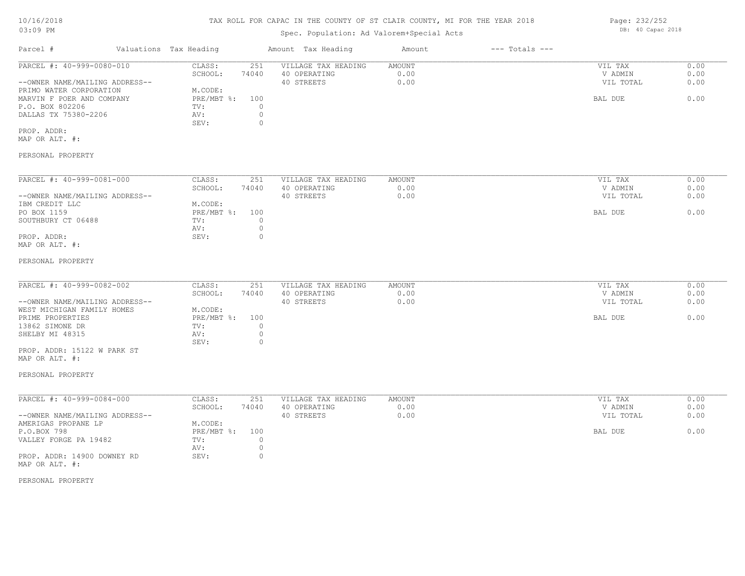# TAX ROLL FOR CAPAC IN THE COUNTY OF ST CLAIR COUNTY, MI FOR THE YEAR 2018

# Spec. Population: Ad Valorem+Special Acts

| Parcel #                       | Valuations Tax Heading |       | Amount Tax Heading  | Amount | $---$ Totals $---$ |           |      |
|--------------------------------|------------------------|-------|---------------------|--------|--------------------|-----------|------|
| PARCEL #: 40-999-0080-010      | CLASS:                 | 251   | VILLAGE TAX HEADING | AMOUNT |                    | VIL TAX   | 0.00 |
|                                | SCHOOL:                | 74040 | 40 OPERATING        | 0.00   |                    | V ADMIN   | 0.00 |
| --OWNER NAME/MAILING ADDRESS-- |                        |       | 40 STREETS          | 0.00   |                    | VIL TOTAL | 0.00 |
| PRIMO WATER CORPORATION        | M.CODE:                |       |                     |        |                    |           |      |
| MARVIN F POER AND COMPANY      | PRE/MBT %:             | 100   |                     |        |                    | BAL DUE   | 0.00 |
| P.O. BOX 802206                | TV:                    |       |                     |        |                    |           |      |
| DALLAS TX 75380-2206           | AV:                    |       |                     |        |                    |           |      |
|                                | SEV:                   |       |                     |        |                    |           |      |
| PROP. ADDR:                    |                        |       |                     |        |                    |           |      |
| MAP OR ALT. #:                 |                        |       |                     |        |                    |           |      |
|                                |                        |       |                     |        |                    |           |      |
| PERSONAL PROPERTY              |                        |       |                     |        |                    |           |      |
|                                |                        |       |                     |        |                    |           |      |

| PARCEL #: 40-999-0081-000      | CLASS:     | 251      | VILLAGE TAX HEADING | AMOUNT | VIL TAX   | 0.00 |
|--------------------------------|------------|----------|---------------------|--------|-----------|------|
|                                | SCHOOL:    | 74040    | 40 OPERATING        | 0.00   | V ADMIN   | 0.00 |
| --OWNER NAME/MAILING ADDRESS-- |            |          | 40 STREETS          | 0.00   | VIL TOTAL | 0.00 |
| IBM CREDIT LLC                 | M.CODE:    |          |                     |        |           |      |
| PO BOX 1159                    | PRE/MBT %: | 100      |                     |        | BAL DUE   | 0.00 |
| SOUTHBURY CT 06488             | TV:        |          |                     |        |           |      |
|                                | AV:        |          |                     |        |           |      |
| PROP. ADDR:                    | SEV:       | $^{(1)}$ |                     |        |           |      |
| MAP OR ALT. #:                 |            |          |                     |        |           |      |

#### PERSONAL PROPERTY

| PARCEL #: 40-999-0082-002      | CLASS:       | 251   | VILLAGE TAX HEADING | AMOUNT | VIL TAX   | 0.00 |
|--------------------------------|--------------|-------|---------------------|--------|-----------|------|
|                                | SCHOOL:      | 74040 | 40 OPERATING        | 0.00   | V ADMIN   | 0.00 |
| --OWNER NAME/MAILING ADDRESS-- |              |       | 40 STREETS          | 0.00   | VIL TOTAL | 0.00 |
| WEST MICHIGAN FAMILY HOMES     | M.CODE:      |       |                     |        |           |      |
| PRIME PROPERTIES               | $PRE/MBT$ %: | 100   |                     |        | BAL DUE   | 0.00 |
| 13862 SIMONE DR                | TV:          |       |                     |        |           |      |
| SHELBY MI 48315                | AV:          |       |                     |        |           |      |
|                                | SEV:         |       |                     |        |           |      |

MAP OR ALT. #: PROP. ADDR: 15122 W PARK ST

#### PERSONAL PROPERTY

| PARCEL #: 40-999-0084-000      | CLASS:     | 251   | VILLAGE TAX HEADING | AMOUNT | VIL TAX   | 0.00 |
|--------------------------------|------------|-------|---------------------|--------|-----------|------|
|                                | SCHOOL:    | 74040 | 40 OPERATING        | 0.00   | V ADMIN   | 0.00 |
| --OWNER NAME/MAILING ADDRESS-- |            |       | 40 STREETS          | 0.00   | VIL TOTAL | 0.00 |
| AMERIGAS PROPANE LP            | M.CODE:    |       |                     |        |           |      |
| P.O.BOX 798                    | PRE/MBT %: | 100   |                     |        | BAL DUE   | 0.00 |
| VALLEY FORGE PA 19482          | TV:        |       |                     |        |           |      |
|                                | AV:        |       |                     |        |           |      |
| PROP. ADDR: 14900 DOWNEY RD    | SEV:       |       |                     |        |           |      |
| MAP OR ALT. #:                 |            |       |                     |        |           |      |

PERSONAL PROPERTY

Page: 232/252 DB: 40 Capac 2018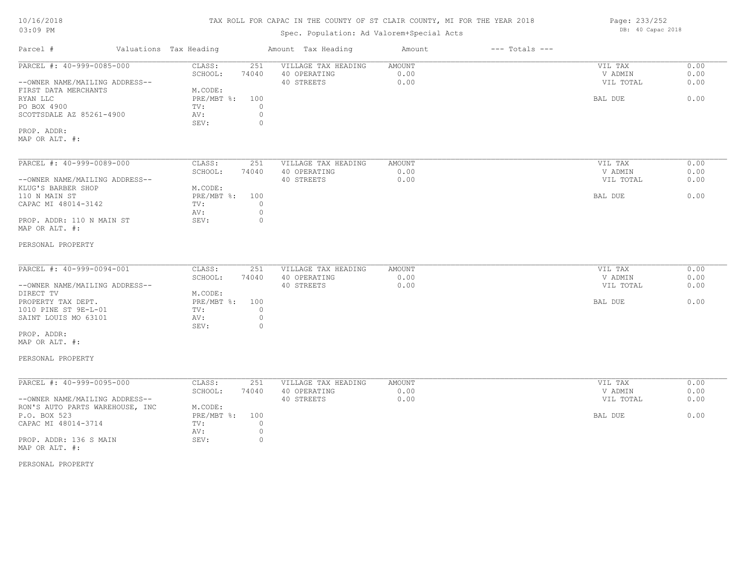# TAX ROLL FOR CAPAC IN THE COUNTY OF ST CLAIR COUNTY, MI FOR THE YEAR 2018

# Spec. Population: Ad Valorem+Special Acts

| Parcel #                                                                                                                                                                                                                  | Valuations Tax Heading                                                                  | Amount Tax Heading                                                                 | Amount                        | $---$ Totals $---$ |                                            |                              |
|---------------------------------------------------------------------------------------------------------------------------------------------------------------------------------------------------------------------------|-----------------------------------------------------------------------------------------|------------------------------------------------------------------------------------|-------------------------------|--------------------|--------------------------------------------|------------------------------|
| PARCEL #: 40-999-0085-000<br>--OWNER NAME/MAILING ADDRESS--<br>FIRST DATA MERCHANTS<br>RYAN LLC<br>PO BOX 4900<br>SCOTTSDALE AZ 85261-4900<br>PROP. ADDR:<br>MAP OR ALT. #:                                               | CLASS:<br>251<br>74040<br>SCHOOL:<br>M.CODE:<br>PRE/MBT %:<br>100<br>TV:<br>AV:<br>SEV: | VILLAGE TAX HEADING<br>40 OPERATING<br>40 STREETS<br>$\circ$<br>$\circ$<br>0       | <b>AMOUNT</b><br>0.00<br>0.00 |                    | VIL TAX<br>V ADMIN<br>VIL TOTAL<br>BAL DUE | 0.00<br>0.00<br>0.00<br>0.00 |
| PARCEL #: 40-999-0089-000<br>--OWNER NAME/MAILING ADDRESS--<br>KLUG'S BARBER SHOP<br>110 N MAIN ST<br>CAPAC MI 48014-3142<br>PROP. ADDR: 110 N MAIN ST<br>MAP OR ALT. #:                                                  | 251<br>CLASS:<br>SCHOOL:<br>74040<br>M.CODE:<br>PRE/MBT %:<br>100<br>TV:<br>AV:<br>SEV: | VILLAGE TAX HEADING<br>40 OPERATING<br>40 STREETS<br>$\circ$<br>0<br>$\circ$       | AMOUNT<br>0.00<br>0.00        |                    | VIL TAX<br>V ADMIN<br>VIL TOTAL<br>BAL DUE | 0.00<br>0.00<br>0.00<br>0.00 |
| PERSONAL PROPERTY<br>PARCEL #: 40-999-0094-001<br>--OWNER NAME/MAILING ADDRESS--<br>DIRECT TV<br>PROPERTY TAX DEPT.<br>1010 PINE ST 9E-L-01<br>SAINT LOUIS MO 63101<br>PROP. ADDR:<br>MAP OR ALT. #:<br>PERSONAL PROPERTY | CLASS:<br>251<br>SCHOOL:<br>74040<br>M.CODE:<br>PRE/MBT %:<br>100<br>TV:<br>AV:<br>SEV: | VILLAGE TAX HEADING<br>40 OPERATING<br>40 STREETS<br>$\circ$<br>$\circ$<br>0       | <b>AMOUNT</b><br>0.00<br>0.00 |                    | VIL TAX<br>V ADMIN<br>VIL TOTAL<br>BAL DUE | 0.00<br>0.00<br>0.00<br>0.00 |
| PARCEL #: 40-999-0095-000<br>--OWNER NAME/MAILING ADDRESS--<br>RON'S AUTO PARTS WAREHOUSE, INC<br>P.O. BOX 523<br>CAPAC MI 48014-3714<br>PROP. ADDR: 136 S MAIN<br>MAP OR ALT. #:<br>PERSONAL PROPERTY                    | CLASS:<br>251<br>SCHOOL:<br>74040<br>M.CODE:<br>100<br>PRE/MBT %:<br>TV:<br>AV:<br>SEV: | VILLAGE TAX HEADING<br>40 OPERATING<br>40 STREETS<br>$\circ$<br>$\circ$<br>$\circ$ | <b>AMOUNT</b><br>0.00<br>0.00 |                    | VIL TAX<br>V ADMIN<br>VIL TOTAL<br>BAL DUE | 0.00<br>0.00<br>0.00<br>0.00 |

Page: 233/252 DB: 40 Capac 2018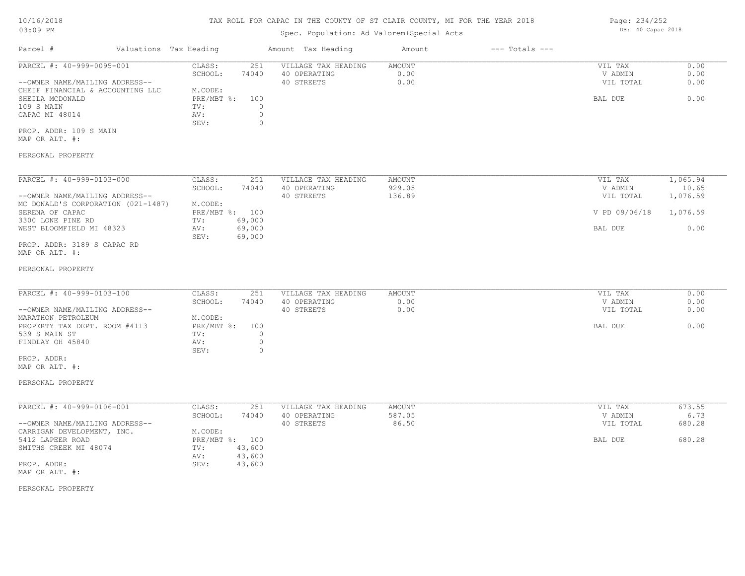# TAX ROLL FOR CAPAC IN THE COUNTY OF ST CLAIR COUNTY, MI FOR THE YEAR 2018

# Spec. Population: Ad Valorem+Special Acts

| Parcel #                         | Valuations Tax Heading |       | Amount Tax Heading  | Amount | $---$ Totals $---$ |           |      |
|----------------------------------|------------------------|-------|---------------------|--------|--------------------|-----------|------|
| PARCEL #: 40-999-0095-001        | CLASS:                 | 251   | VILLAGE TAX HEADING | AMOUNT |                    | VIL TAX   | 0.00 |
|                                  | SCHOOL:                | 74040 | 40 OPERATING        | 0.00   |                    | V ADMIN   | 0.00 |
| --OWNER NAME/MAILING ADDRESS--   |                        |       | 40 STREETS          | 0.00   |                    | VIL TOTAL | 0.00 |
| CHEIF FINANCIAL & ACCOUNTING LLC | M.CODE:                |       |                     |        |                    |           |      |
| SHEILA MCDONALD                  | PRE/MBT %: 100         |       |                     |        |                    | BAL DUE   | 0.00 |
| 109 S MAIN                       | TV:                    |       |                     |        |                    |           |      |
| CAPAC MI 48014                   | AV:                    |       |                     |        |                    |           |      |
|                                  | SEV:                   |       |                     |        |                    |           |      |
| PROP. ADDR: 109 S MAIN           |                        |       |                     |        |                    |           |      |

MAP OR ALT. #:

#### PERSONAL PROPERTY

| PARCEL #: 40-999-0103-000          | CLASS:     | 251    | VILLAGE TAX HEADING | AMOUNT | VIL TAX       | 1,065.94 |
|------------------------------------|------------|--------|---------------------|--------|---------------|----------|
|                                    | SCHOOL:    | 74040  | 40 OPERATING        | 929.05 | V ADMIN       | 10.65    |
| --OWNER NAME/MAILING ADDRESS--     |            |        | 40 STREETS          | 136.89 | VIL TOTAL     | 1,076.59 |
| MC DONALD'S CORPORATION (021-1487) | M.CODE:    |        |                     |        |               |          |
| SERENA OF CAPAC                    | PRE/MBT %: | 100    |                     |        | V PD 09/06/18 | 1,076.59 |
| 3300 LONE PINE RD                  | TV:        | 69,000 |                     |        |               |          |
| WEST BLOOMFIELD MI 48323           | AV:        | 69,000 |                     |        | BAL DUE       | 0.00     |
|                                    | SEV:       | 69,000 |                     |        |               |          |
| PROP. ADDR: 3189 S CAPAC RD        |            |        |                     |        |               |          |

MAP OR ALT. #:

#### PERSONAL PROPERTY

| PARCEL #: 40-999-0103-100      | CLASS:     | 251   | VILLAGE TAX HEADING | AMOUNT | VIL TAX   | 0.00 |
|--------------------------------|------------|-------|---------------------|--------|-----------|------|
|                                | SCHOOL:    | 74040 | 40 OPERATING        | 0.00   | V ADMIN   | 0.00 |
| --OWNER NAME/MAILING ADDRESS-- |            |       | 40 STREETS          | 0.00   | VIL TOTAL | 0.00 |
| MARATHON PETROLEUM             | M.CODE:    |       |                     |        |           |      |
| PROPERTY TAX DEPT. ROOM #4113  | PRE/MBT %: | 100   |                     |        | BAL DUE   | 0.00 |
| 539 S MAIN ST                  | TV:        |       |                     |        |           |      |
| FINDLAY OH 45840               | AV:        |       |                     |        |           |      |
|                                | SEV:       |       |                     |        |           |      |

MAP OR ALT. #: PROP. ADDR:

PERSONAL PROPERTY

| PARCEL #: 40-999-0106-001      | CLASS:       | 251    | VILLAGE TAX HEADING | AMOUNT | VIL TAX   | 673.55 |
|--------------------------------|--------------|--------|---------------------|--------|-----------|--------|
|                                | SCHOOL:      | 74040  | 40 OPERATING        | 587.05 | V ADMIN   | 6.73   |
| --OWNER NAME/MAILING ADDRESS-- |              |        | 40 STREETS          | 86.50  | VIL TOTAL | 680.28 |
| CARRIGAN DEVELOPMENT, INC.     | M.CODE:      |        |                     |        |           |        |
| 5412 LAPEER ROAD               | $PRE/MBT$ %: | 100    |                     |        | BAL DUE   | 680.28 |
| SMITHS CREEK MI 48074          | TV:          | 43,600 |                     |        |           |        |
|                                | AV:          | 43,600 |                     |        |           |        |
| PROP. ADDR:                    | SEV:         | 43,600 |                     |        |           |        |
| MAP OR ALT. #:                 |              |        |                     |        |           |        |

PERSONAL PROPERTY

Page: 234/252 DB: 40 Capac 2018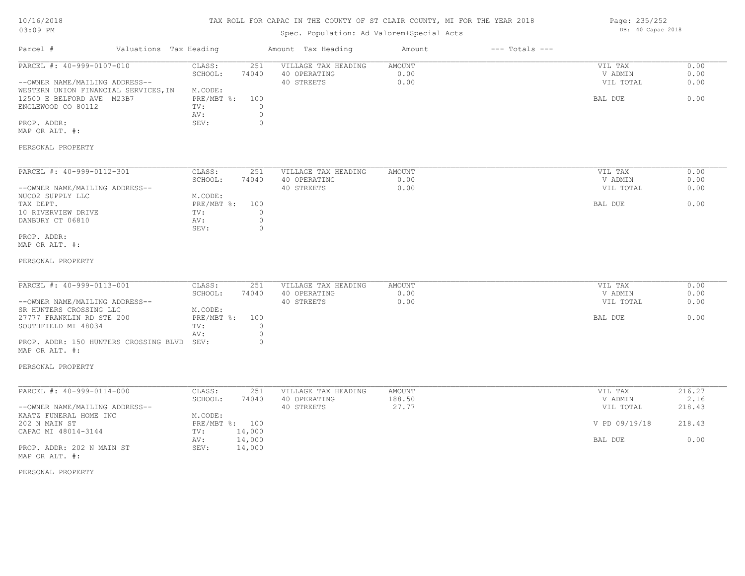#### TAX ROLL FOR CAPAC IN THE COUNTY OF ST CLAIR COUNTY, MI FOR THE YEAR 2018

# Spec. Population: Ad Valorem+Special Acts

Parcel # Valuations Tax Heading Amount Tax Heading Amount --- Totals ---PERSONAL PROPERTY MAP OR ALT. #: PROP. ADDR: 0 and 0 and 0 several services of the services of  $\mathbb{S}$ EV: 0 and 0 and 0 and 0 and 0 and 0 and 0 and 0 and 0 and 0 and 0 and 0 and 0 and 0 and 0 and 0 and 0 and 0 and 0 and 0 and 0 and 0 and 0 and 0 and 0 an AV: 0 ENGLEWOOD CO 80112 TV:  $0$ <br>AV: 0 12500 E BELFORD AVE M23B7 PRE/MBT %: 100 BAL DUE 0.00 WESTERN UNION FINANCIAL SERVICES.IN M.CODE: --OWNER NAME/MAILING ADDRESS-- 40 STREETS 0.00 VIL TOTAL 0.00 SCHOOL: 74040 40 OPERATING 0.00 V ADMIN 0.00 PARCEL #: 40-999-0107-010 CLASS: 251 VILLAGE TAX HEADING AMOUNT VIL TAX VIL TAX 0.00<br>SCHOOL: 74040 40 OPERATING 0.00 000 VADMIN 0.00  $\mathcal{L}_\mathcal{L} = \mathcal{L}_\mathcal{L} = \mathcal{L}_\mathcal{L} = \mathcal{L}_\mathcal{L} = \mathcal{L}_\mathcal{L} = \mathcal{L}_\mathcal{L} = \mathcal{L}_\mathcal{L} = \mathcal{L}_\mathcal{L} = \mathcal{L}_\mathcal{L} = \mathcal{L}_\mathcal{L} = \mathcal{L}_\mathcal{L} = \mathcal{L}_\mathcal{L} = \mathcal{L}_\mathcal{L} = \mathcal{L}_\mathcal{L} = \mathcal{L}_\mathcal{L} = \mathcal{L}_\mathcal{L} = \mathcal{L}_\mathcal{L}$ PERSONAL PROPERTY MAP OR ALT. #: PROP. ADDR: SEV: 0 DANBURY CT 06810  $AV:$  0  $SEV:$  0 0 10 RIVERVIEW DRIVE TV: 0 TAX DEPT. THE SALUTE STATE OF DEPTH ON THE PRE/MBT 8: 100 SET AND DEVELOPED A RELATION BAL DUE O .00 NUCO2 SUPPLY LLC M.CODE: --OWNER NAME/MAILING ADDRESS-- 40 STREETS 0.00 VIL TOTAL 0.00 SCHOOL: 74040 40 OPERATING 0.00 V ADMIN 0.00 PARCEL #: 40-999-0112-301 CLASS: 251 VILLAGE TAX HEADING AMOUNT VIL TAX VIL TAX 0.00<br>SCHOOL: 74040 40 OPERATING 0.00 000 VADMIN 0.00  $\mathcal{L}_\mathcal{L} = \mathcal{L}_\mathcal{L} = \mathcal{L}_\mathcal{L} = \mathcal{L}_\mathcal{L} = \mathcal{L}_\mathcal{L} = \mathcal{L}_\mathcal{L} = \mathcal{L}_\mathcal{L} = \mathcal{L}_\mathcal{L} = \mathcal{L}_\mathcal{L} = \mathcal{L}_\mathcal{L} = \mathcal{L}_\mathcal{L} = \mathcal{L}_\mathcal{L} = \mathcal{L}_\mathcal{L} = \mathcal{L}_\mathcal{L} = \mathcal{L}_\mathcal{L} = \mathcal{L}_\mathcal{L} = \mathcal{L}_\mathcal{L}$ PERSONAL PROPERTY MAP OR ALT. #: PROP. ADDR: 150 HUNTERS CROSSING BLVD SEV: 0 AV: 0 SOUTHFIELD MI 48034 TV: 0<br>AV: 0 27777 FRANKLIN RD STE 200 PRE/MBT %: 100 **PRE/MBT %: 100** BAL DUE BAL DUE 6.00 SR HUNTERS CROSSING LLC M.CODE: --OWNER NAME/MAILING ADDRESS-- 40 STREETS 0.00 VIL TOTAL 0.00 SCHOOL: 74040 40 OPERATING 0.00 V ADMIN 0.00 PARCEL #: 40-999-0113-001 CLASS: 251 VILLAGE TAX HEADING AMOUNT VIL TAX 0.00  $\mathcal{L}_\mathcal{L} = \mathcal{L}_\mathcal{L} = \mathcal{L}_\mathcal{L} = \mathcal{L}_\mathcal{L} = \mathcal{L}_\mathcal{L} = \mathcal{L}_\mathcal{L} = \mathcal{L}_\mathcal{L} = \mathcal{L}_\mathcal{L} = \mathcal{L}_\mathcal{L} = \mathcal{L}_\mathcal{L} = \mathcal{L}_\mathcal{L} = \mathcal{L}_\mathcal{L} = \mathcal{L}_\mathcal{L} = \mathcal{L}_\mathcal{L} = \mathcal{L}_\mathcal{L} = \mathcal{L}_\mathcal{L} = \mathcal{L}_\mathcal{L}$ PERSONAL PROPERTY MAP OR ALT. #: PROP. ADDR: 202 N MAIN ST SEV: 14,000 AV: 14,000 BAL DUE 0.00 CAPAC MI 48014-3144 TV: 14,000<br>av: 14,000 202 N MAIN ST PRE/MBT %: 100 V PD 09/19/18 218.43 KAATZ FUNERAL HOME INC<br>
202 N MAIN ST<br>
202 N MAIN ST --OWNER NAME/MAILING ADDRESS-- 40 STREETS 27.77 VIL TOTAL 218.43 SCHOOL: 74040 40 OPERATING 188.50 189.50 V ADMIN 2.16 PARCEL #: 40-999-0114-000 CLASS: 251 VILLAGE TAX HEADING AMOUNT VIL TAX VIL TAX 216.27<br>SCHOOL: 74040 40 OPERATING 188.50 VADMIN 2.16  $\mathcal{L}_\mathcal{L} = \mathcal{L}_\mathcal{L} = \mathcal{L}_\mathcal{L} = \mathcal{L}_\mathcal{L} = \mathcal{L}_\mathcal{L} = \mathcal{L}_\mathcal{L} = \mathcal{L}_\mathcal{L} = \mathcal{L}_\mathcal{L} = \mathcal{L}_\mathcal{L} = \mathcal{L}_\mathcal{L} = \mathcal{L}_\mathcal{L} = \mathcal{L}_\mathcal{L} = \mathcal{L}_\mathcal{L} = \mathcal{L}_\mathcal{L} = \mathcal{L}_\mathcal{L} = \mathcal{L}_\mathcal{L} = \mathcal{L}_\mathcal{L}$ 

Page: 235/252 DB: 40 Capac 2018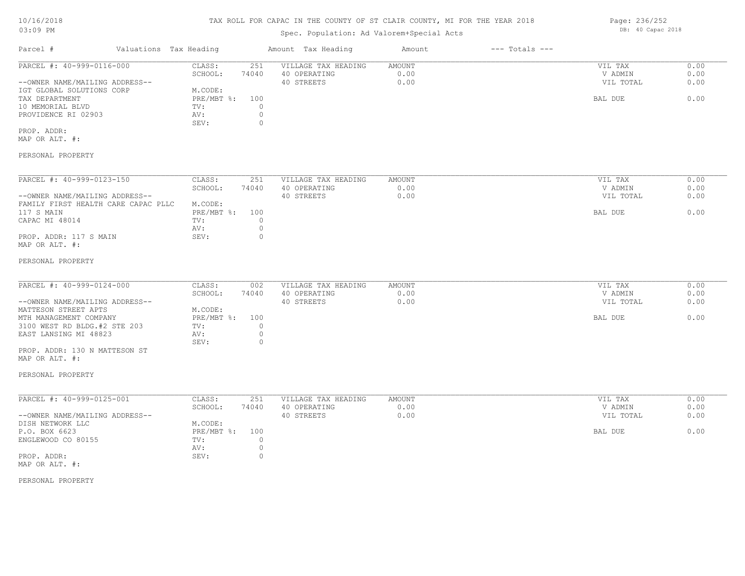# TAX ROLL FOR CAPAC IN THE COUNTY OF ST CLAIR COUNTY, MI FOR THE YEAR 2018

# Spec. Population: Ad Valorem+Special Acts

| Parcel #                       | Valuations Tax Heading |       | Amount Tax Heading  | Amount | $---$ Totals $---$ |           |      |
|--------------------------------|------------------------|-------|---------------------|--------|--------------------|-----------|------|
| PARCEL #: 40-999-0116-000      | CLASS:                 | 251   | VILLAGE TAX HEADING | AMOUNT |                    | VIL TAX   | 0.00 |
|                                | SCHOOL:                | 74040 | 40 OPERATING        | 0.00   |                    | V ADMIN   | 0.00 |
| --OWNER NAME/MAILING ADDRESS-- |                        |       | 40 STREETS          | 0.00   |                    | VIL TOTAL | 0.00 |
| IGT GLOBAL SOLUTIONS CORP      | M.CODE:                |       |                     |        |                    |           |      |
| TAX DEPARTMENT                 | PRE/MBT %:             | 100   |                     |        |                    | BAL DUE   | 0.00 |
| 10 MEMORIAL BLVD               | TV:                    |       |                     |        |                    |           |      |
| PROVIDENCE RI 02903            | AV:                    |       |                     |        |                    |           |      |
|                                | SEV:                   |       |                     |        |                    |           |      |
| PROP. ADDR:                    |                        |       |                     |        |                    |           |      |

MAP OR ALT. #:

#### PERSONAL PROPERTY

| PARCEL #: 40-999-0123-150           | CLASS:     | 251   | VILLAGE TAX HEADING | AMOUNT | 0.00<br>VIL TAX   |
|-------------------------------------|------------|-------|---------------------|--------|-------------------|
|                                     | SCHOOL:    | 74040 | 40 OPERATING        | 0.00   | 0.00<br>V ADMIN   |
| --OWNER NAME/MAILING ADDRESS--      |            |       | 40 STREETS          | 0.00   | 0.00<br>VIL TOTAL |
| FAMILY FIRST HEALTH CARE CAPAC PLLC | M.CODE:    |       |                     |        |                   |
| 117 S MAIN                          | PRE/MBT %: | 100   |                     |        | 0.00<br>BAL DUE   |
| CAPAC MI 48014                      | TV:        |       |                     |        |                   |
|                                     | AV:        |       |                     |        |                   |
| PROP. ADDR: 117 S MAIN              | SEV:       |       |                     |        |                   |
| MAP OR ALT. #:                      |            |       |                     |        |                   |

#### PERSONAL PROPERTY

| PARCEL #: 40-999-0124-000      | CLASS:     | 002   | VILLAGE TAX HEADING | AMOUNT | VIL TAX   | 0.00 |
|--------------------------------|------------|-------|---------------------|--------|-----------|------|
|                                | SCHOOL:    | 74040 | 40 OPERATING        | 0.00   | V ADMIN   | 0.00 |
| --OWNER NAME/MAILING ADDRESS-- |            |       | 40 STREETS          | 0.00   | VIL TOTAL | 0.00 |
| MATTESON STREET APTS           | M.CODE:    |       |                     |        |           |      |
| MTH MANAGEMENT COMPANY         | PRE/MBT %: | 100   |                     |        | BAL DUE   | 0.00 |
| 3100 WEST RD BLDG.#2 STE 203   | TV:        |       |                     |        |           |      |
| EAST LANSING MI 48823          | AV:        |       |                     |        |           |      |
|                                | SEV:       |       |                     |        |           |      |

MAP OR ALT. #: PROP. ADDR: 130 N MATTESON ST

#### PERSONAL PROPERTY

| PARCEL #: 40-999-0125-001      | CLASS:     | 251   | VILLAGE TAX HEADING | AMOUNT | VIL TAX   | 0.00 |
|--------------------------------|------------|-------|---------------------|--------|-----------|------|
|                                | SCHOOL:    | 74040 | 40 OPERATING        | 0.00   | V ADMIN   | 0.00 |
| --OWNER NAME/MAILING ADDRESS-- |            |       | 40 STREETS          | 0.00   | VIL TOTAL | 0.00 |
| DISH NETWORK LLC               | M.CODE:    |       |                     |        |           |      |
| P.O. BOX 6623                  | PRE/MBT %: | 100   |                     |        | BAL DUE   | 0.00 |
| ENGLEWOOD CO 80155             | TV:        |       |                     |        |           |      |
|                                | AV:        |       |                     |        |           |      |
| PROP. ADDR:                    | SEV:       |       |                     |        |           |      |
| MAP OR ALT. #:                 |            |       |                     |        |           |      |

PERSONAL PROPERTY

Page: 236/252 DB: 40 Capac 2018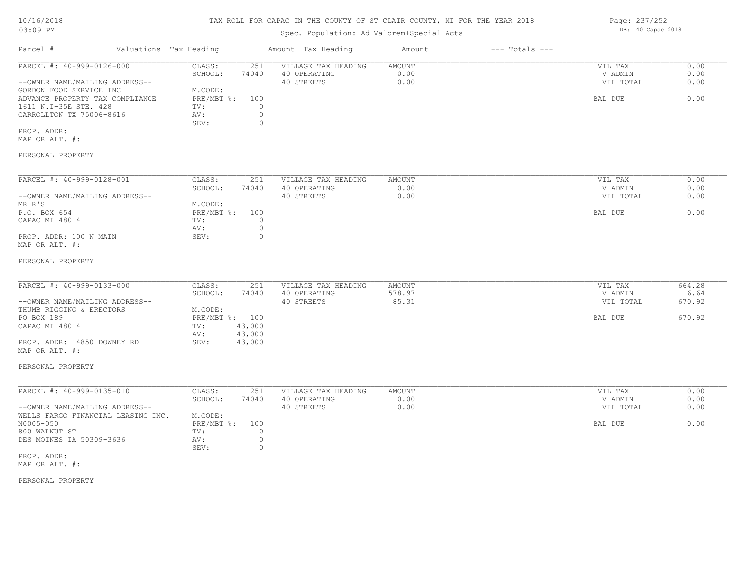# TAX ROLL FOR CAPAC IN THE COUNTY OF ST CLAIR COUNTY, MI FOR THE YEAR 2018

# Spec. Population: Ad Valorem+Special Acts

| Parcel #                        | Valuations Tax Heading |       | Amount Tax Heading  | Amount | $---$ Totals $---$ |           |      |
|---------------------------------|------------------------|-------|---------------------|--------|--------------------|-----------|------|
| PARCEL #: 40-999-0126-000       | CLASS:                 | 251   | VILLAGE TAX HEADING | AMOUNT |                    | VIL TAX   | 0.00 |
|                                 | SCHOOL:                | 74040 | 40 OPERATING        | 0.00   |                    | V ADMIN   | 0.00 |
| --OWNER NAME/MAILING ADDRESS--  |                        |       | 40 STREETS          | 0.00   |                    | VIL TOTAL | 0.00 |
| GORDON FOOD SERVICE INC         | M.CODE:                |       |                     |        |                    |           |      |
| ADVANCE PROPERTY TAX COMPLIANCE | PRE/MBT %: 100         |       |                     |        |                    | BAL DUE   | 0.00 |
| 1611 N.I-35E STE. 428           | TV:                    |       |                     |        |                    |           |      |
| CARROLLTON TX 75006-8616        | AV:                    |       |                     |        |                    |           |      |
|                                 | SEV:                   |       |                     |        |                    |           |      |
| PROP. ADDR:                     |                        |       |                     |        |                    |           |      |

MAP OR ALT. #:

#### PERSONAL PROPERTY

| PARCEL #: 40-999-0128-001      | CLASS:     | 251   | VILLAGE TAX HEADING | AMOUNT | VIL TAX   | 0.00 |
|--------------------------------|------------|-------|---------------------|--------|-----------|------|
|                                | SCHOOL:    | 74040 | 40 OPERATING        | 0.00   | V ADMIN   | 0.00 |
| --OWNER NAME/MAILING ADDRESS-- |            |       | 40 STREETS          | 0.00   | VIL TOTAL | 0.00 |
| MR R'S                         | M.CODE:    |       |                     |        |           |      |
| P.O. BOX 654                   | PRE/MBT %: | 100   |                     |        | BAL DUE   | 0.00 |
| CAPAC MI 48014                 | TV:        |       |                     |        |           |      |
|                                | AV:        |       |                     |        |           |      |
| PROP. ADDR: 100 N MAIN         | SEV:       |       |                     |        |           |      |
| MAP OR ALT. #:                 |            |       |                     |        |           |      |

#### PERSONAL PROPERTY

| PARCEL #: 40-999-0133-000      | CLASS:  | 251            | VILLAGE TAX HEADING | AMOUNT | VIL TAX   | 664.28 |
|--------------------------------|---------|----------------|---------------------|--------|-----------|--------|
|                                | SCHOOL: | 74040          | 40 OPERATING        | 578.97 | V ADMIN   | 6.64   |
| --OWNER NAME/MAILING ADDRESS-- |         |                | 40 STREETS          | 85.31  | VIL TOTAL | 670.92 |
| THUMB RIGGING & ERECTORS       | M.CODE: |                |                     |        |           |        |
| PO BOX 189                     |         | PRE/MBT %: 100 |                     |        | BAL DUE   | 670.92 |
| CAPAC MI 48014                 | TV:     | 43,000         |                     |        |           |        |
|                                | AV:     | 43,000         |                     |        |           |        |
| PROP. ADDR: 14850 DOWNEY RD    | SEV:    | 43,000         |                     |        |           |        |
| MAP OR ALT. #:                 |         |                |                     |        |           |        |

#### PERSONAL PROPERTY

| PARCEL #: 40-999-0135-010          | CLASS:     | 251   | VILLAGE TAX HEADING | AMOUNT | VIL TAX   | 0.00 |
|------------------------------------|------------|-------|---------------------|--------|-----------|------|
|                                    | SCHOOL:    | 74040 | 40 OPERATING        | 0.00   | V ADMIN   | 0.00 |
| --OWNER NAME/MAILING ADDRESS--     |            |       | 40 STREETS          | 0.00   | VIL TOTAL | 0.00 |
| WELLS FARGO FINANCIAL LEASING INC. | M.CODE:    |       |                     |        |           |      |
| N0005-050                          | PRE/MBT %: | 100   |                     |        | BAL DUE   | 0.00 |
| 800 WALNUT ST                      | TV:        |       |                     |        |           |      |
| DES MOINES IA 50309-3636           | AV:        |       |                     |        |           |      |
|                                    | SEV:       |       |                     |        |           |      |
| PROP. ADDR:                        |            |       |                     |        |           |      |

MAP OR ALT. #:

PERSONAL PROPERTY

Page: 237/252 DB: 40 Capac 2018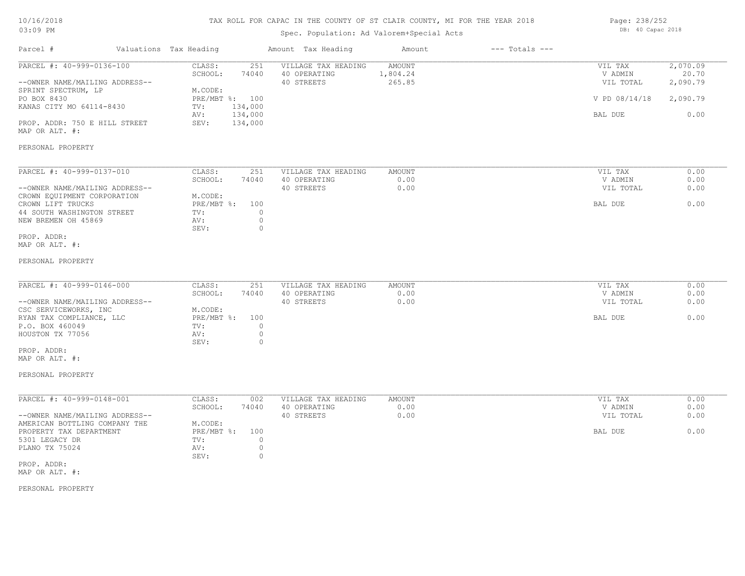# TAX ROLL FOR CAPAC IN THE COUNTY OF ST CLAIR COUNTY, MI FOR THE YEAR 2018

# Spec. Population: Ad Valorem+Special Acts

| Page: 238/252 |                   |  |  |  |  |
|---------------|-------------------|--|--|--|--|
|               | DB: 40 Capac 2018 |  |  |  |  |

| Parcel #                                                                                                                                                                                                      | Valuations Tax Heading                                                 |                                                      | Amount Tax Heading                                | Amount                       | $---$ Totals $---$ |                                                             |                                                   |
|---------------------------------------------------------------------------------------------------------------------------------------------------------------------------------------------------------------|------------------------------------------------------------------------|------------------------------------------------------|---------------------------------------------------|------------------------------|--------------------|-------------------------------------------------------------|---------------------------------------------------|
| PARCEL #: 40-999-0136-100<br>--OWNER NAME/MAILING ADDRESS--<br>SPRINT SPECTRUM, LP<br>PO BOX 8430<br>KANAS CITY MO 64114-8430<br>PROP. ADDR: 750 E HILL STREET<br>MAP OR ALT. #:<br>PERSONAL PROPERTY         | CLASS:<br>SCHOOL:<br>M.CODE:<br>PRE/MBT %: 100<br>TV:<br>AV:<br>SEV:   | 251<br>74040<br>134,000<br>134,000<br>134,000        | VILLAGE TAX HEADING<br>40 OPERATING<br>40 STREETS | AMOUNT<br>1,804.24<br>265.85 |                    | VIL TAX<br>V ADMIN<br>VIL TOTAL<br>V PD 08/14/18<br>BAL DUE | 2,070.09<br>20.70<br>2,090.79<br>2,090.79<br>0.00 |
| PARCEL #: 40-999-0137-010<br>--OWNER NAME/MAILING ADDRESS--<br>CROWN EQUIPMENT CORPORATION<br>CROWN LIFT TRUCKS<br>44 SOUTH WASHINGTON STREET<br>NEW BREMEN OH 45869<br>PROP. ADDR:<br>MAP OR ALT. #:         | CLASS:<br>SCHOOL:<br>M.CODE:<br>PRE/MBT %:<br>TV:<br>AV:<br>SEV:       | 251<br>74040<br>100<br>$\circ$<br>$\circ$<br>$\circ$ | VILLAGE TAX HEADING<br>40 OPERATING<br>40 STREETS | AMOUNT<br>0.00<br>0.00       |                    | VIL TAX<br>V ADMIN<br>VIL TOTAL<br>BAL DUE                  | 0.00<br>0.00<br>0.00<br>0.00                      |
| PERSONAL PROPERTY<br>PARCEL #: 40-999-0146-000<br>--OWNER NAME/MAILING ADDRESS--<br>CSC SERVICEWORKS, INC<br>RYAN TAX COMPLIANCE, LLC<br>P.O. BOX 460049<br>HOUSTON TX 77056<br>PROP. ADDR:<br>MAP OR ALT. #: | CLASS:<br>SCHOOL:<br>M.CODE:<br>PRE/MBT %:<br>TV:<br>AV:<br>SEV:       | 251<br>74040<br>100<br>$\circ$<br>$\circ$<br>$\circ$ | VILLAGE TAX HEADING<br>40 OPERATING<br>40 STREETS | AMOUNT<br>0.00<br>0.00       |                    | VIL TAX<br>V ADMIN<br>VIL TOTAL<br>BAL DUE                  | 0.00<br>0.00<br>0.00<br>0.00                      |
| PERSONAL PROPERTY<br>PARCEL #: 40-999-0148-001<br>--OWNER NAME/MAILING ADDRESS--<br>AMERICAN BOTTLING COMPANY THE<br>PROPERTY TAX DEPARTMENT<br>5301 LEGACY DR<br>PLANO TX 75024<br>PROP. ADDR:               | CLASS:<br>SCHOOL:<br>M.CODE:<br>$PRE/MBT$ $\div$<br>TV:<br>AV:<br>SEV: | 002<br>74040<br>100<br>$\circ$<br>$\circ$<br>$\circ$ | VILLAGE TAX HEADING<br>40 OPERATING<br>40 STREETS | AMOUNT<br>0.00<br>0.00       |                    | VIL TAX<br>V ADMIN<br>VIL TOTAL<br>BAL DUE                  | 0.00<br>0.00<br>0.00<br>0.00                      |

MAP OR ALT. #:

PERSONAL PROPERTY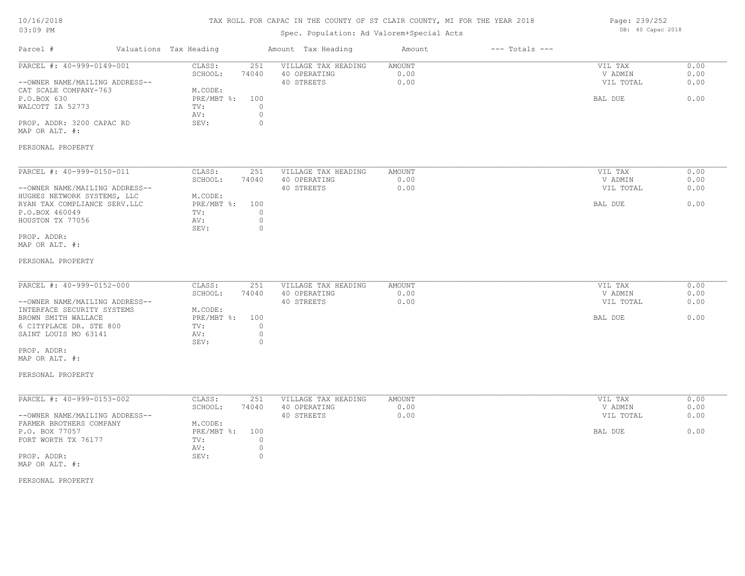# TAX ROLL FOR CAPAC IN THE COUNTY OF ST CLAIR COUNTY, MI FOR THE YEAR 2018

# Spec. Population: Ad Valorem+Special Acts

| Parcel #                                                                                                                                                                                             | Valuations Tax Heading                                                                                                              | Amount Tax Heading                                | Amount                        | $---$ Totals $---$ |                                            |                              |
|------------------------------------------------------------------------------------------------------------------------------------------------------------------------------------------------------|-------------------------------------------------------------------------------------------------------------------------------------|---------------------------------------------------|-------------------------------|--------------------|--------------------------------------------|------------------------------|
| PARCEL #: 40-999-0149-001<br>--OWNER NAME/MAILING ADDRESS--<br>CAT SCALE COMPANY-763<br>P.O.BOX 630<br>WALCOTT IA 52773<br>PROP. ADDR: 3200 CAPAC RD<br>MAP OR ALT. #:                               | CLASS:<br>251<br>SCHOOL:<br>74040<br>M.CODE:<br>PRE/MBT %: 100<br>$\circ$<br>TV:<br>$\circ$<br>AV:<br>$\circ$<br>SEV:               | VILLAGE TAX HEADING<br>40 OPERATING<br>40 STREETS | AMOUNT<br>0.00<br>0.00        |                    | VIL TAX<br>V ADMIN<br>VIL TOTAL<br>BAL DUE | 0.00<br>0.00<br>0.00<br>0.00 |
| PERSONAL PROPERTY                                                                                                                                                                                    |                                                                                                                                     |                                                   |                               |                    |                                            |                              |
| PARCEL #: 40-999-0150-011<br>--OWNER NAME/MAILING ADDRESS--<br>HUGHES NETWORK SYSTEMS, LLC<br>RYAN TAX COMPLIANCE SERV.LLC<br>P.O.BOX 460049<br>HOUSTON TX 77056<br>PROP. ADDR:<br>MAP OR ALT. #:    | CLASS:<br>251<br>SCHOOL:<br>74040<br>M.CODE:<br>$PRE/MBT$ $\div$<br>100<br>$\circ$<br>TV:<br>$\mathbf{0}$<br>AV:<br>SEV:<br>$\circ$ | VILLAGE TAX HEADING<br>40 OPERATING<br>40 STREETS | AMOUNT<br>0.00<br>0.00        |                    | VIL TAX<br>V ADMIN<br>VIL TOTAL<br>BAL DUE | 0.00<br>0.00<br>0.00<br>0.00 |
| PERSONAL PROPERTY                                                                                                                                                                                    |                                                                                                                                     |                                                   |                               |                    |                                            |                              |
| PARCEL #: 40-999-0152-000<br>--OWNER NAME/MAILING ADDRESS--<br>INTERFACE SECURITY SYSTEMS<br>BROWN SMITH WALLACE<br>6 CITYPLACE DR. STE 800<br>SAINT LOUIS MO 63141<br>PROP. ADDR:<br>MAP OR ALT. #: | CLASS:<br>251<br>SCHOOL:<br>74040<br>M.CODE:<br>PRE/MBT %:<br>100<br>TV:<br>$\circ$<br>$\circ$<br>AV:<br>SEV:<br>$\circ$            | VILLAGE TAX HEADING<br>40 OPERATING<br>40 STREETS | AMOUNT<br>0.00<br>0.00        |                    | VIL TAX<br>V ADMIN<br>VIL TOTAL<br>BAL DUE | 0.00<br>0.00<br>0.00<br>0.00 |
| PERSONAL PROPERTY                                                                                                                                                                                    |                                                                                                                                     |                                                   |                               |                    |                                            |                              |
| PARCEL #: 40-999-0153-002<br>--OWNER NAME/MAILING ADDRESS--<br>FARMER BROTHERS COMPANY<br>P.O. BOX 77057<br>FORT WORTH TX 76177<br>PROP. ADDR:<br>MAP OR ALT. #:                                     | CLASS:<br>251<br>SCHOOL:<br>74040<br>M.CODE:<br>PRE/MBT %:<br>100<br>$\circ$<br>TV:<br>$\circ$<br>AV:<br>$\circ$<br>SEV:            | VILLAGE TAX HEADING<br>40 OPERATING<br>40 STREETS | <b>AMOUNT</b><br>0.00<br>0.00 |                    | VIL TAX<br>V ADMIN<br>VIL TOTAL<br>BAL DUE | 0.00<br>0.00<br>0.00<br>0.00 |
| DERGOHAT PRODEDELL                                                                                                                                                                                   |                                                                                                                                     |                                                   |                               |                    |                                            |                              |

PERSONAL PROPERTY

Page: 239/252 DB: 40 Capac 2018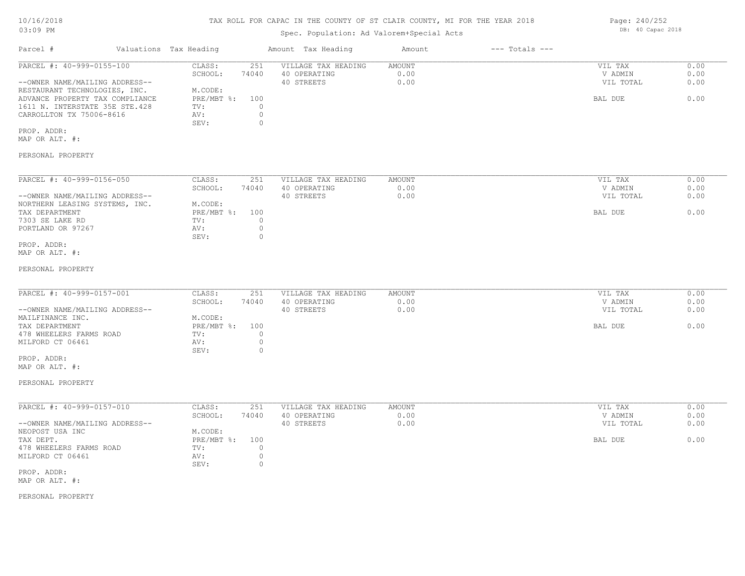#### TAX ROLL FOR CAPAC IN THE COUNTY OF ST CLAIR COUNTY, MI FOR THE YEAR 2018

# Spec. Population: Ad Valorem+Special Acts

| Parcel #                        | Valuations Tax Heading |       | Amount Tax Heading  | Amount | $---$ Totals $---$ |           |      |
|---------------------------------|------------------------|-------|---------------------|--------|--------------------|-----------|------|
| PARCEL #: 40-999-0155-100       | CLASS:                 | 251   | VILLAGE TAX HEADING | AMOUNT |                    | VIL TAX   | 0.00 |
|                                 | SCHOOL:                | 74040 | 40 OPERATING        | 0.00   |                    | V ADMIN   | 0.00 |
| --OWNER NAME/MAILING ADDRESS--  |                        |       | 40 STREETS          | 0.00   |                    | VIL TOTAL | 0.00 |
| RESTAURANT TECHNOLOGIES, INC.   | M.CODE:                |       |                     |        |                    |           |      |
| ADVANCE PROPERTY TAX COMPLIANCE | $PRE/MBT$ %:           | 100   |                     |        |                    | BAL DUE   | 0.00 |
| 1611 N. INTERSTATE 35E STE.428  | TV:                    |       |                     |        |                    |           |      |
| CARROLLTON TX 75006-8616        | AV:                    |       |                     |        |                    |           |      |
|                                 | SEV:                   |       |                     |        |                    |           |      |
|                                 |                        |       |                     |        |                    |           |      |

PROP. ADDR:

MAP OR ALT. #:

#### PERSONAL PROPERTY

| PARCEL #: 40-999-0156-050      | CLASS:     | 251   | VILLAGE TAX HEADING | AMOUNT | 0.00<br>VIL TAX   |
|--------------------------------|------------|-------|---------------------|--------|-------------------|
|                                | SCHOOL:    | 74040 | 40 OPERATING        | 0.00   | 0.00<br>V ADMIN   |
| --OWNER NAME/MAILING ADDRESS-- |            |       | 40 STREETS          | 0.00   | 0.00<br>VIL TOTAL |
| NORTHERN LEASING SYSTEMS, INC. | M.CODE:    |       |                     |        |                   |
| TAX DEPARTMENT                 | PRE/MBT %: | 100   |                     |        | 0.00<br>BAL DUE   |
| 7303 SE LAKE RD                | TV:        |       |                     |        |                   |
| PORTLAND OR 97267              | AV:        |       |                     |        |                   |
|                                | SEV:       |       |                     |        |                   |
| PROP. ADDR:                    |            |       |                     |        |                   |

MAP OR ALT. #:

#### PERSONAL PROPERTY

| PARCEL #: 40-999-0157-001      | CLASS:     | 251   | VILLAGE TAX HEADING | AMOUNT | VIL TAX   | 0.00 |
|--------------------------------|------------|-------|---------------------|--------|-----------|------|
|                                | SCHOOL:    | 74040 | 40 OPERATING        | 0.00   | V ADMIN   | 0.00 |
| --OWNER NAME/MAILING ADDRESS-- |            |       | 40 STREETS          | 0.00   | VIL TOTAL | 0.00 |
| MAILFINANCE INC.               | M.CODE:    |       |                     |        |           |      |
| TAX DEPARTMENT                 | PRE/MBT %: | 100   |                     |        | BAL DUE   | 0.00 |
| 478 WHEELERS FARMS ROAD        | TV:        |       |                     |        |           |      |
| MILFORD CT 06461               | AV:        |       |                     |        |           |      |
|                                | SEV:       |       |                     |        |           |      |

MAP OR ALT. #: PROP. ADDR:

#### PERSONAL PROPERTY

| PARCEL #: 40-999-0157-010      | CLASS:     | 251   | VILLAGE TAX HEADING | AMOUNT | VIL TAX   | 0.00 |
|--------------------------------|------------|-------|---------------------|--------|-----------|------|
|                                | SCHOOL:    | 74040 | 40 OPERATING        | 0.00   | V ADMIN   | 0.00 |
| --OWNER NAME/MAILING ADDRESS-- |            |       | 40 STREETS          | 0.00   | VIL TOTAL | 0.00 |
| NEOPOST USA INC                | M.CODE:    |       |                     |        |           |      |
| TAX DEPT.                      | PRE/MBT %: | 100   |                     |        | BAL DUE   | 0.00 |
| 478 WHEELERS FARMS ROAD        | TV:        |       |                     |        |           |      |
| MILFORD CT 06461               | AV:        |       |                     |        |           |      |
|                                | SEV:       |       |                     |        |           |      |
| PROP, ADDR:                    |            |       |                     |        |           |      |

MAP OR ALT. #:

PERSONAL PROPERTY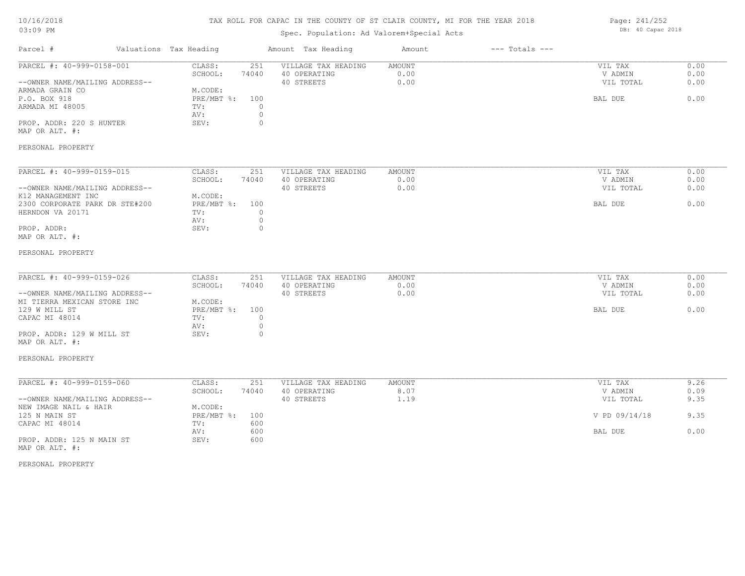# TAX ROLL FOR CAPAC IN THE COUNTY OF ST CLAIR COUNTY, MI FOR THE YEAR 2018

# Spec. Population: Ad Valorem+Special Acts

Parcel # Valuations Tax Heading Amount Tax Heading Amount --- Totals ---

Page: 241/252 DB: 40 Capac 2018

| PARCEL #: 40-999-0158-001      | CLASS:<br>251           | VILLAGE TAX HEADING | AMOUNT        | VIL TAX       | 0.00 |
|--------------------------------|-------------------------|---------------------|---------------|---------------|------|
|                                | SCHOOL:<br>74040        | 40 OPERATING        | 0.00          | V ADMIN       | 0.00 |
| --OWNER NAME/MAILING ADDRESS-- |                         | 40 STREETS          | 0.00          | VIL TOTAL     | 0.00 |
| ARMADA GRAIN CO                | M.CODE:                 |                     |               |               |      |
| P.O. BOX 918                   | PRE/MBT %:<br>100       |                     |               | BAL DUE       | 0.00 |
| ARMADA MI 48005                | $\circ$<br>TV:          |                     |               |               |      |
|                                | $\circ$<br>AV:          |                     |               |               |      |
| PROP. ADDR: 220 S HUNTER       | $\circ$<br>SEV:         |                     |               |               |      |
| MAP OR ALT. #:                 |                         |                     |               |               |      |
| PERSONAL PROPERTY              |                         |                     |               |               |      |
|                                |                         |                     |               |               |      |
| PARCEL #: 40-999-0159-015      | CLASS:<br>251           | VILLAGE TAX HEADING | <b>AMOUNT</b> | VIL TAX       | 0.00 |
|                                | SCHOOL:<br>74040        | 40 OPERATING        | 0.00          | V ADMIN       | 0.00 |
| --OWNER NAME/MAILING ADDRESS-- |                         | 40 STREETS          | 0.00          | VIL TOTAL     | 0.00 |
| K12 MANAGEMENT INC             | M.CODE:                 |                     |               |               |      |
| 2300 CORPORATE PARK DR STE#200 | PRE/MBT %:<br>100       |                     |               | BAL DUE       | 0.00 |
| HERNDON VA 20171               | $\circ$<br>TV:          |                     |               |               |      |
|                                | $\circ$<br>AV:          |                     |               |               |      |
| PROP. ADDR:                    | $\circ$<br>SEV:         |                     |               |               |      |
| MAP OR ALT. #:                 |                         |                     |               |               |      |
|                                |                         |                     |               |               |      |
| PERSONAL PROPERTY              |                         |                     |               |               |      |
|                                |                         |                     |               |               |      |
| PARCEL #: 40-999-0159-026      | CLASS:<br>251           | VILLAGE TAX HEADING | AMOUNT        | VIL TAX       | 0.00 |
|                                | SCHOOL:<br>74040        | 40 OPERATING        | 0.00          | V ADMIN       | 0.00 |
| --OWNER NAME/MAILING ADDRESS-- |                         | 40 STREETS          | 0.00          | VIL TOTAL     | 0.00 |
| MI TIERRA MEXICAN STORE INC    | M.CODE:                 |                     |               |               |      |
| 129 W MILL ST                  | PRE/MBT %:<br>100       |                     |               | BAL DUE       | 0.00 |
| CAPAC MI 48014                 | $\circ$<br>TV:          |                     |               |               |      |
|                                | $\circ$<br>AV:          |                     |               |               |      |
| PROP. ADDR: 129 W MILL ST      | $\circ$<br>SEV:         |                     |               |               |      |
| MAP OR ALT. #:                 |                         |                     |               |               |      |
| PERSONAL PROPERTY              |                         |                     |               |               |      |
|                                |                         |                     |               |               |      |
| PARCEL #: 40-999-0159-060      | CLASS:<br>251           | VILLAGE TAX HEADING | AMOUNT        | VIL TAX       | 9.26 |
|                                | SCHOOL:<br>74040        | 40 OPERATING        | 8.07          | V ADMIN       | 0.09 |
| --OWNER NAME/MAILING ADDRESS-- |                         | 40 STREETS          | 1.19          | VIL TOTAL     | 9.35 |
| NEW IMAGE NAIL & HAIR          | M.CODE:                 |                     |               |               |      |
| 125 N MAIN ST                  | $PRE/MBT$ $\div$<br>100 |                     |               | V PD 09/14/18 | 9.35 |
| CAPAC MI 48014                 | 600<br>TV:              |                     |               |               |      |
|                                | AV:<br>600              |                     |               | BAL DUE       | 0.00 |
| PROP. ADDR: 125 N MAIN ST      | 600<br>SEV:             |                     |               |               |      |

MAP OR ALT. #:

PERSONAL PROPERTY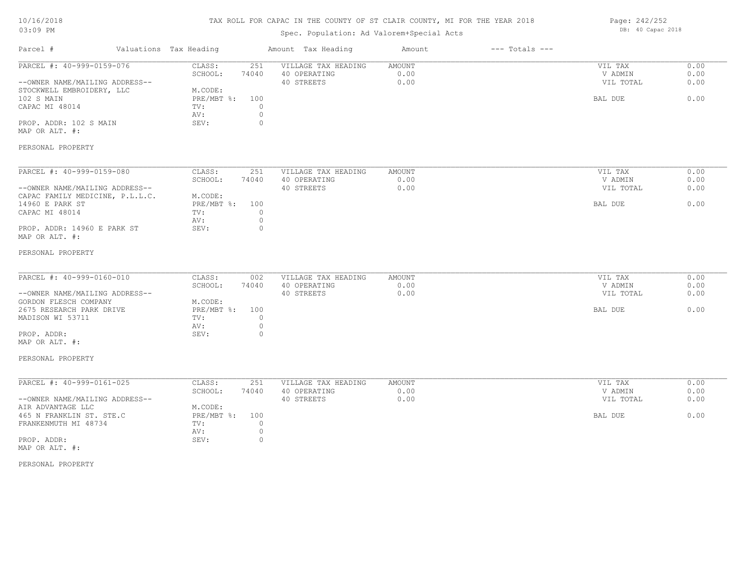# TAX ROLL FOR CAPAC IN THE COUNTY OF ST CLAIR COUNTY, MI FOR THE YEAR 2018

# Spec. Population: Ad Valorem+Special Acts

| Parcel #                                                                                                                                                                                                        | Valuations Tax Heading                                               | Amount Tax Heading                                                                                               | Amount                 | $---$ Totals $---$ |                                            |                              |
|-----------------------------------------------------------------------------------------------------------------------------------------------------------------------------------------------------------------|----------------------------------------------------------------------|------------------------------------------------------------------------------------------------------------------|------------------------|--------------------|--------------------------------------------|------------------------------|
| PARCEL #: 40-999-0159-076<br>--OWNER NAME/MAILING ADDRESS--<br>STOCKWELL EMBROIDERY, LLC<br>102 S MAIN<br>CAPAC MI 48014<br>PROP. ADDR: 102 S MAIN<br>MAP OR ALT. #:<br>PERSONAL PROPERTY                       | CLASS:<br>SCHOOL:<br>M.CODE:<br>PRE/MBT %: 100<br>TV:<br>AV:<br>SEV: | VILLAGE TAX HEADING<br>251<br>74040<br>40 OPERATING<br>40 STREETS<br>0<br>$\circ$<br>$\circ$                     | AMOUNT<br>0.00<br>0.00 |                    | VIL TAX<br>V ADMIN<br>VIL TOTAL<br>BAL DUE | 0.00<br>0.00<br>0.00<br>0.00 |
| PARCEL #: 40-999-0159-080<br>--OWNER NAME/MAILING ADDRESS--<br>CAPAC FAMILY MEDICINE, P.L.L.C.<br>14960 E PARK ST<br>CAPAC MI 48014<br>PROP. ADDR: 14960 E PARK ST<br>MAP OR ALT. #:                            | CLASS:<br>SCHOOL:<br>M.CODE:<br>PRE/MBT %:<br>TV:<br>AV:<br>SEV:     | 251<br>VILLAGE TAX HEADING<br>74040<br>40 OPERATING<br>40 STREETS<br>100<br>$\circ$<br>$\circ$<br>$\overline{0}$ | AMOUNT<br>0.00<br>0.00 |                    | VIL TAX<br>V ADMIN<br>VIL TOTAL<br>BAL DUE | 0.00<br>0.00<br>0.00<br>0.00 |
| PERSONAL PROPERTY<br>PARCEL #: 40-999-0160-010<br>--OWNER NAME/MAILING ADDRESS--<br>GORDON FLESCH COMPANY<br>2675 RESEARCH PARK DRIVE<br>MADISON WI 53711<br>PROP. ADDR:<br>MAP OR ALT. #:<br>PERSONAL PROPERTY | CLASS:<br>SCHOOL:<br>M.CODE:<br>PRE/MBT %: 100<br>TV:<br>AV:<br>SEV: | 002<br>VILLAGE TAX HEADING<br>74040<br>40 OPERATING<br>40 STREETS<br>$\circ$<br>$\circ$<br>$\circ$               | AMOUNT<br>0.00<br>0.00 |                    | VIL TAX<br>V ADMIN<br>VIL TOTAL<br>BAL DUE | 0.00<br>0.00<br>0.00<br>0.00 |
| PARCEL #: 40-999-0161-025<br>--OWNER NAME/MAILING ADDRESS--<br>AIR ADVANTAGE LLC<br>465 N FRANKLIN ST. STE.C<br>FRANKENMUTH MI 48734<br>PROP. ADDR:<br>MAP OR ALT. #:<br>PERSONAL PROPERTY                      | CLASS:<br>SCHOOL:<br>M.CODE:<br>PRE/MBT %: 100<br>TV:<br>AV:<br>SEV: | 251<br>VILLAGE TAX HEADING<br>74040<br>40 OPERATING<br>40 STREETS<br>$\overline{0}$<br>$\circ$<br>$\circ$        | AMOUNT<br>0.00<br>0.00 |                    | VIL TAX<br>V ADMIN<br>VIL TOTAL<br>BAL DUE | 0.00<br>0.00<br>0.00<br>0.00 |

Page: 242/252 DB: 40 Capac 2018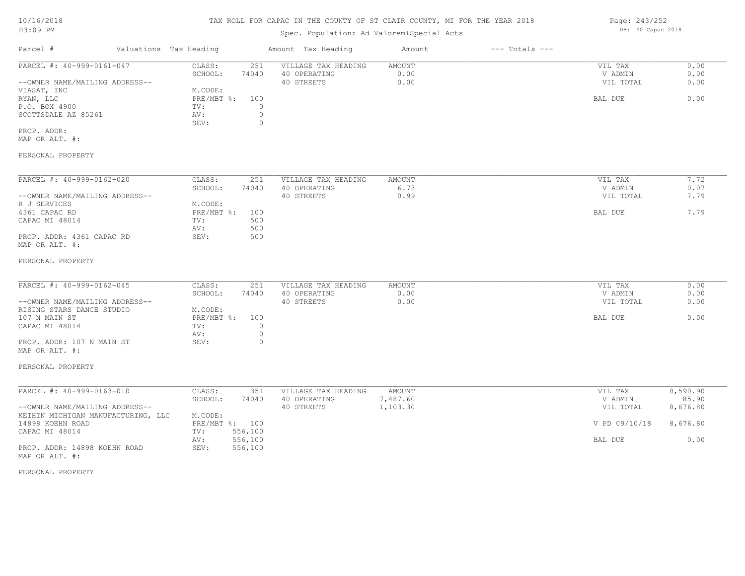#### TAX ROLL FOR CAPAC IN THE COUNTY OF ST CLAIR COUNTY, MI FOR THE YEAR 2018

# Spec. Population: Ad Valorem+Special Acts

| Parcel #                       | Valuations Tax Heading |       | Amount Tax Heading  | Amount | $---$ Totals $---$ |           |      |
|--------------------------------|------------------------|-------|---------------------|--------|--------------------|-----------|------|
| PARCEL #: 40-999-0161-047      | CLASS:                 | 251   | VILLAGE TAX HEADING | AMOUNT |                    | VIL TAX   | 0.00 |
|                                | SCHOOL:                | 74040 | 40 OPERATING        | 0.00   |                    | V ADMIN   | 0.00 |
| --OWNER NAME/MAILING ADDRESS-- |                        |       | 40 STREETS          | 0.00   |                    | VIL TOTAL | 0.00 |
| VIASAT, INC                    | M.CODE:                |       |                     |        |                    |           |      |
| RYAN, LLC                      | PRE/MBT %: 100         |       |                     |        |                    | BAL DUE   | 0.00 |
| P.O. BOX 4900                  | TV:                    |       |                     |        |                    |           |      |
| SCOTTSDALE AZ 85261            | AV:                    |       |                     |        |                    |           |      |
|                                | SEV:                   |       |                     |        |                    |           |      |
| PROP. ADDR:                    |                        |       |                     |        |                    |           |      |

MAP OR ALT. #:

#### PERSONAL PROPERTY

| PARCEL #: 40-999-0162-020      | CLASS:     | 251   | VILLAGE TAX HEADING | AMOUNT | VIL TAX   | 7.72 |
|--------------------------------|------------|-------|---------------------|--------|-----------|------|
|                                | SCHOOL:    | 74040 | 40 OPERATING        | 6.73   | V ADMIN   | 0.07 |
| --OWNER NAME/MAILING ADDRESS-- |            |       | 40 STREETS          | 0.99   | VIL TOTAL | 7.79 |
| R J SERVICES                   | M.CODE:    |       |                     |        |           |      |
| 4361 CAPAC RD                  | PRE/MBT %: | 100   |                     |        | BAL DUE   | 7.79 |
| CAPAC MI 48014                 | TV:        | 500   |                     |        |           |      |
|                                | AV:        | 500   |                     |        |           |      |
| PROP. ADDR: 4361 CAPAC RD      | SEV:       | 500   |                     |        |           |      |
| MAP OR ALT. #:                 |            |       |                     |        |           |      |

#### PERSONAL PROPERTY

| PARCEL #: 40-999-0162-045      | CLASS:         | 251   | VILLAGE TAX HEADING | AMOUNT | VIL TAX   | 0.00 |
|--------------------------------|----------------|-------|---------------------|--------|-----------|------|
|                                | SCHOOL:        | 74040 | 40 OPERATING        | 0.00   | V ADMIN   | 0.00 |
| --OWNER NAME/MAILING ADDRESS-- |                |       | 40 STREETS          | 0.00   | VIL TOTAL | 0.00 |
| RISING STARS DANCE STUDIO      | M.CODE:        |       |                     |        |           |      |
| 107 N MAIN ST                  | PRE/MBT %: 100 |       |                     |        | BAL DUE   | 0.00 |
| CAPAC MI 48014                 | TV:            |       |                     |        |           |      |
|                                | AV:            |       |                     |        |           |      |
| PROP. ADDR: 107 N MAIN ST      | SEV:           |       |                     |        |           |      |
| MAP OR ALT. #:                 |                |       |                     |        |           |      |

#### PERSONAL PROPERTY

| PARCEL #: 40-999-0163-010          | CLASS:  | 351            | VILLAGE TAX HEADING | AMOUNT   | VIL TAX       | 8,590.90 |
|------------------------------------|---------|----------------|---------------------|----------|---------------|----------|
|                                    | SCHOOL: | 74040          | 40 OPERATING        | 7,487.60 | V ADMIN       | 85.90    |
| --OWNER NAME/MAILING ADDRESS--     |         |                | 40 STREETS          | 1,103.30 | VIL TOTAL     | 8,676.80 |
| KEIHIN MICHIGAN MANUFACTURING, LLC | M.CODE: |                |                     |          |               |          |
| 14898 KOEHN ROAD                   |         | PRE/MBT %: 100 |                     |          | V PD 09/10/18 | 8,676.80 |
| CAPAC MI 48014                     | TV:     | 556,100        |                     |          |               |          |
|                                    | AV:     | 556,100        |                     |          | BAL DUE       | 0.00     |
| PROP. ADDR: 14898 KOEHN ROAD       | SEV:    | 556,100        |                     |          |               |          |
| MAP OR ALT. #:                     |         |                |                     |          |               |          |

#### PERSONAL PROPERTY

Page: 243/252 DB: 40 Capac 2018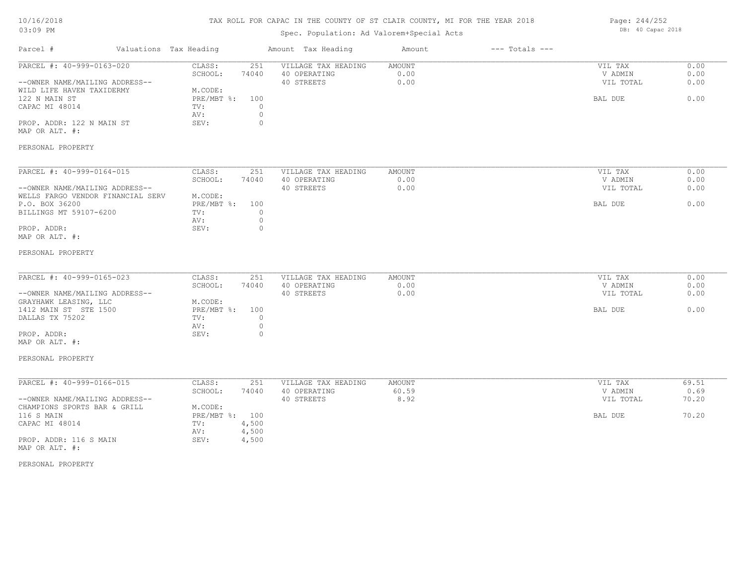# TAX ROLL FOR CAPAC IN THE COUNTY OF ST CLAIR COUNTY, MI FOR THE YEAR 2018

# Spec. Population: Ad Valorem+Special Acts

| Parcel #                                                                                                                                                                                     | Valuations Tax Heading |                                                                                                                          | Amount Tax Heading                                | Amount                  | $---$ Totals $---$ |                                            |                                 |
|----------------------------------------------------------------------------------------------------------------------------------------------------------------------------------------------|------------------------|--------------------------------------------------------------------------------------------------------------------------|---------------------------------------------------|-------------------------|--------------------|--------------------------------------------|---------------------------------|
| PARCEL #: 40-999-0163-020<br>--OWNER NAME/MAILING ADDRESS--<br>WILD LIFE HAVEN TAXIDERMY<br>122 N MAIN ST<br>CAPAC MI 48014<br>PROP. ADDR: 122 N MAIN ST<br>MAP OR ALT. #:                   |                        | CLASS:<br>251<br>SCHOOL:<br>74040<br>M.CODE:<br>PRE/MBT %:<br>100<br>$\circ$<br>TV:<br>$\circ$<br>AV:<br>$\circ$<br>SEV: | VILLAGE TAX HEADING<br>40 OPERATING<br>40 STREETS | AMOUNT<br>0.00<br>0.00  |                    | VIL TAX<br>V ADMIN<br>VIL TOTAL<br>BAL DUE | 0.00<br>0.00<br>0.00<br>0.00    |
| PERSONAL PROPERTY                                                                                                                                                                            |                        |                                                                                                                          |                                                   |                         |                    |                                            |                                 |
| PARCEL #: 40-999-0164-015<br>--OWNER NAME/MAILING ADDRESS--<br>WELLS FARGO VENDOR FINANCIAL SERV<br>P.O. BOX 36200<br>BILLINGS MT 59107-6200<br>PROP. ADDR:<br>MAP OR ALT. #:                |                        | CLASS:<br>251<br>SCHOOL:<br>74040<br>M.CODE:<br>PRE/MBT %:<br>100<br>$\circ$<br>TV:<br>AV:<br>$\circ$<br>SEV:<br>$\circ$ | VILLAGE TAX HEADING<br>40 OPERATING<br>40 STREETS | AMOUNT<br>0.00<br>0.00  |                    | VIL TAX<br>V ADMIN<br>VIL TOTAL<br>BAL DUE | 0.00<br>0.00<br>0.00<br>0.00    |
| PERSONAL PROPERTY                                                                                                                                                                            |                        |                                                                                                                          |                                                   |                         |                    |                                            |                                 |
| PARCEL #: 40-999-0165-023<br>--OWNER NAME/MAILING ADDRESS--<br>GRAYHAWK LEASING, LLC<br>1412 MAIN ST STE 1500<br>DALLAS TX 75202<br>PROP. ADDR:<br>MAP OR ALT. #:<br>PERSONAL PROPERTY       |                        | CLASS:<br>251<br>SCHOOL:<br>74040<br>M.CODE:<br>$PRE/MBT$ $\div$<br>100<br>TV:<br>$\circ$<br>$\circ$<br>AV:<br>SEV:<br>0 | VILLAGE TAX HEADING<br>40 OPERATING<br>40 STREETS | AMOUNT<br>0.00<br>0.00  |                    | VIL TAX<br>V ADMIN<br>VIL TOTAL<br>BAL DUE | 0.00<br>0.00<br>0.00<br>0.00    |
| PARCEL #: 40-999-0166-015<br>--OWNER NAME/MAILING ADDRESS--<br>CHAMPIONS SPORTS BAR & GRILL<br>116 S MAIN<br>CAPAC MI 48014<br>PROP. ADDR: 116 S MAIN<br>MAP OR ALT. #:<br>PERSONAL PROPERTY |                        | CLASS:<br>251<br>SCHOOL:<br>74040<br>M.CODE:<br>PRE/MBT %: 100<br>4,500<br>TV:<br>AV:<br>4,500<br>SEV:<br>4,500          | VILLAGE TAX HEADING<br>40 OPERATING<br>40 STREETS | AMOUNT<br>60.59<br>8.92 |                    | VIL TAX<br>V ADMIN<br>VIL TOTAL<br>BAL DUE | 69.51<br>0.69<br>70.20<br>70.20 |

Page: 244/252 DB: 40 Capac 2018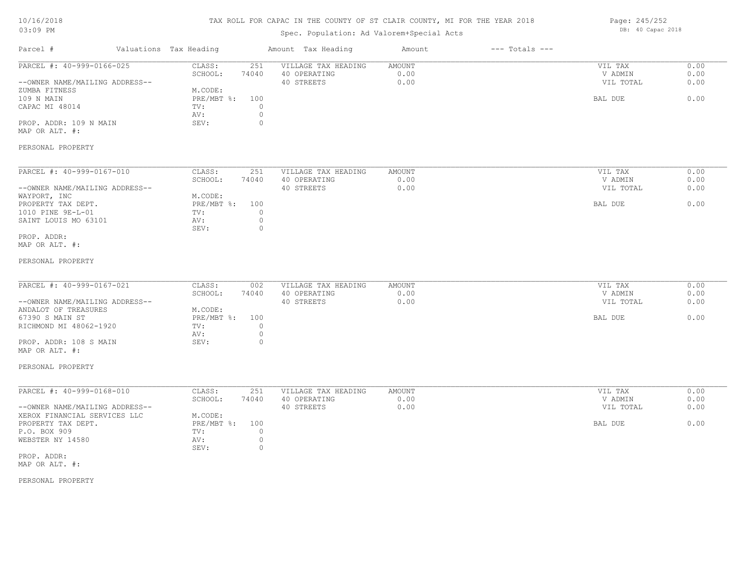# TAX ROLL FOR CAPAC IN THE COUNTY OF ST CLAIR COUNTY, MI FOR THE YEAR 2018

# Spec. Population: Ad Valorem+Special Acts

Page: 245/252 DB: 40 Capac 2018

| Parcel #                                                                                                                                                                                                    | Valuations Tax Heading                                                                                                         | Amount Tax Heading                                | Amount                        | $---$ Totals $---$ |                                            |                              |
|-------------------------------------------------------------------------------------------------------------------------------------------------------------------------------------------------------------|--------------------------------------------------------------------------------------------------------------------------------|---------------------------------------------------|-------------------------------|--------------------|--------------------------------------------|------------------------------|
| PARCEL #: 40-999-0166-025<br>--OWNER NAME/MAILING ADDRESS--<br>ZUMBA FITNESS<br>109 N MAIN<br>CAPAC MI 48014<br>PROP. ADDR: 109 N MAIN<br>MAP OR ALT. #:                                                    | CLASS:<br>251<br>SCHOOL:<br>74040<br>M.CODE:<br>PRE/MBT %:<br>100<br>$\circ$<br>TV:<br>$\circ$<br>AV:<br>$\circ$<br>SEV:       | VILLAGE TAX HEADING<br>40 OPERATING<br>40 STREETS | <b>AMOUNT</b><br>0.00<br>0.00 |                    | VIL TAX<br>V ADMIN<br>VIL TOTAL<br>BAL DUE | 0.00<br>0.00<br>0.00<br>0.00 |
| PERSONAL PROPERTY                                                                                                                                                                                           |                                                                                                                                |                                                   |                               |                    |                                            |                              |
| PARCEL #: 40-999-0167-010<br>--OWNER NAME/MAILING ADDRESS--<br>WAYPORT, INC<br>PROPERTY TAX DEPT.<br>1010 PINE 9E-L-01<br>SAINT LOUIS MO 63101<br>PROP. ADDR:<br>MAP OR ALT. #:                             | CLASS:<br>251<br>SCHOOL:<br>74040<br>M.CODE:<br>PRE/MBT %:<br>100<br>$\circ$<br>TV:<br>$\circ$<br>AV:<br>SEV:<br>$\circ$       | VILLAGE TAX HEADING<br>40 OPERATING<br>40 STREETS | AMOUNT<br>0.00<br>0.00        |                    | VIL TAX<br>V ADMIN<br>VIL TOTAL<br>BAL DUE | 0.00<br>0.00<br>0.00<br>0.00 |
| PERSONAL PROPERTY                                                                                                                                                                                           |                                                                                                                                |                                                   |                               |                    |                                            |                              |
| PARCEL #: 40-999-0167-021<br>--OWNER NAME/MAILING ADDRESS--<br>ANDALOT OF TREASURES<br>67390 S MAIN ST<br>RICHMOND MI 48062-1920<br>PROP. ADDR: 108 S MAIN<br>MAP OR ALT. #:<br>PERSONAL PROPERTY           | CLASS:<br>002<br>SCHOOL:<br>74040<br>M.CODE:<br>$PRE/MBT$ $\div$<br>100<br>TV:<br>$\circ$<br>$\circ$<br>AV:<br>$\circ$<br>SEV: | VILLAGE TAX HEADING<br>40 OPERATING<br>40 STREETS | AMOUNT<br>0.00<br>0.00        |                    | VIL TAX<br>V ADMIN<br>VIL TOTAL<br>BAL DUE | 0.00<br>0.00<br>0.00<br>0.00 |
| PARCEL #: 40-999-0168-010<br>--OWNER NAME/MAILING ADDRESS--<br>XEROX FINANCIAL SERVICES LLC<br>PROPERTY TAX DEPT.<br>P.O. BOX 909<br>WEBSTER NY 14580<br>PROP. ADDR:<br>MAP OR ALT. #:<br>PERSONAL PROPERTY | CLASS:<br>251<br>SCHOOL:<br>74040<br>M.CODE:<br>$PRE/MBT$ $\div$<br>100<br>$\circ$<br>TV:<br>$\circ$<br>AV:<br>SEV:<br>$\circ$ | VILLAGE TAX HEADING<br>40 OPERATING<br>40 STREETS | AMOUNT<br>0.00<br>0.00        |                    | VIL TAX<br>V ADMIN<br>VIL TOTAL<br>BAL DUE | 0.00<br>0.00<br>0.00<br>0.00 |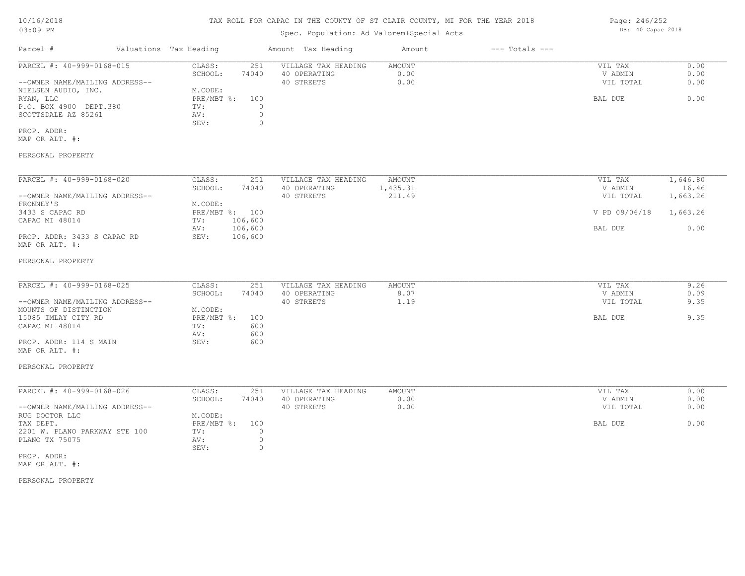# TAX ROLL FOR CAPAC IN THE COUNTY OF ST CLAIR COUNTY, MI FOR THE YEAR 2018

# Spec. Population: Ad Valorem+Special Acts

| Parcel #                       | Valuations Tax Heading |       | Amount Tax Heading  | Amount | $---$ Totals $---$ |           |      |
|--------------------------------|------------------------|-------|---------------------|--------|--------------------|-----------|------|
| PARCEL #: 40-999-0168-015      | CLASS:                 | 251   | VILLAGE TAX HEADING | AMOUNT |                    | VIL TAX   | 0.00 |
|                                | SCHOOL:                | 74040 | 40 OPERATING        | 0.00   |                    | V ADMIN   | 0.00 |
| --OWNER NAME/MAILING ADDRESS-- |                        |       | 40 STREETS          | 0.00   |                    | VIL TOTAL | 0.00 |
| NIELSEN AUDIO, INC.            | M.CODE:                |       |                     |        |                    |           |      |
| RYAN, LLC                      | PRE/MBT %: 100         |       |                     |        |                    | BAL DUE   | 0.00 |
| P.O. BOX 4900 DEPT.380         | TV:                    |       |                     |        |                    |           |      |
| SCOTTSDALE AZ 85261            | AV:                    |       |                     |        |                    |           |      |
|                                | SEV:                   |       |                     |        |                    |           |      |
| PROP. ADDR:                    |                        |       |                     |        |                    |           |      |

MAP OR ALT. #:

#### PERSONAL PROPERTY

| PARCEL #: 40-999-0168-020      | CLASS:     | 251     | VILLAGE TAX HEADING | AMOUNT   | VIL TAX       | 1,646.80 |
|--------------------------------|------------|---------|---------------------|----------|---------------|----------|
|                                | SCHOOL:    | 74040   | 40 OPERATING        | 1,435.31 | V ADMIN       | 16.46    |
| --OWNER NAME/MAILING ADDRESS-- |            |         | 40 STREETS          | 211.49   | VIL TOTAL     | 1,663.26 |
| FRONNEY'S                      | M.CODE:    |         |                     |          |               |          |
| 3433 S CAPAC RD                | PRE/MBT %: | 100     |                     |          | V PD 09/06/18 | 1,663.26 |
| CAPAC MI 48014                 | TV:        | 106,600 |                     |          |               |          |
|                                | AV:        | 106,600 |                     |          | BAL DUE       | 0.00     |
| PROP. ADDR: 3433 S CAPAC RD    | SEV:       | 106,600 |                     |          |               |          |
| MAP OR ALT. #:                 |            |         |                     |          |               |          |

#### PERSONAL PROPERTY

| PARCEL #: 40-999-0168-025      | CLASS:     | 251   | VILLAGE TAX HEADING | AMOUNT      | VIL TAX   | 9.26 |
|--------------------------------|------------|-------|---------------------|-------------|-----------|------|
|                                | SCHOOL:    | 74040 | 40 OPERATING        | 8.07        | V ADMIN   | 0.09 |
| --OWNER NAME/MAILING ADDRESS-- |            |       | 40 STREETS          | $\ldots$ 19 | VIL TOTAL | 9.35 |
| MOUNTS OF DISTINCTION          | M.CODE:    |       |                     |             |           |      |
| 15085 IMLAY CITY RD            | PRE/MBT %: | 100   |                     |             | BAL DUE   | 9.35 |
| CAPAC MI 48014                 | TV:        | 600   |                     |             |           |      |
|                                | AV:        | 600   |                     |             |           |      |
| PROP. ADDR: 114 S MAIN         | SEV:       | 600   |                     |             |           |      |
|                                |            |       |                     |             |           |      |

# MAP OR ALT. #:

#### PERSONAL PROPERTY

| PARCEL #: 40-999-0168-026      | CLASS:         | 251   | VILLAGE TAX HEADING | AMOUNT | VIL TAX   | 0.00 |
|--------------------------------|----------------|-------|---------------------|--------|-----------|------|
|                                | SCHOOL:        | 74040 | 40 OPERATING        | 0.00   | V ADMIN   | 0.00 |
| --OWNER NAME/MAILING ADDRESS-- |                |       | 40 STREETS          | 0.00   | VIL TOTAL | 0.00 |
| RUG DOCTOR LLC                 | M.CODE:        |       |                     |        |           |      |
| TAX DEPT.                      | PRE/MBT %: 100 |       |                     |        | BAL DUE   | 0.00 |
| 2201 W. PLANO PARKWAY STE 100  | TV:            |       |                     |        |           |      |
| PLANO TX 75075                 | AV:            |       |                     |        |           |      |
|                                | SEV:           |       |                     |        |           |      |
| PROP. ADDR:                    |                |       |                     |        |           |      |

MAP OR ALT. #:

PERSONAL PROPERTY

Page: 246/252 DB: 40 Capac 2018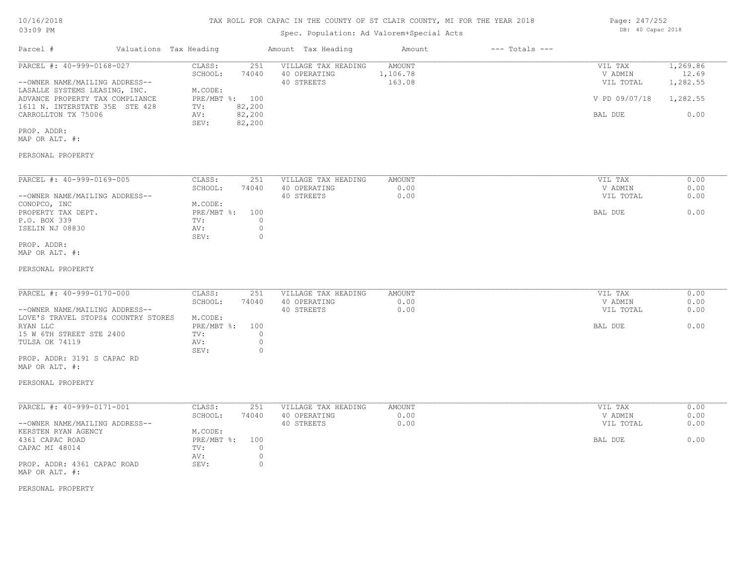# TAX ROLL FOR CAPAC IN THE COUNTY OF ST CLAIR COUNTY, MI FOR THE YEAR 2018

# Spec. Population: Ad Valorem+Special Acts

| Parcel #                        | Valuations Tax Heading |        | Amount Tax Heading  | Amount   | $---$ Totals $---$ |               |          |
|---------------------------------|------------------------|--------|---------------------|----------|--------------------|---------------|----------|
| PARCEL #: 40-999-0168-027       | CLASS:                 | 251    | VILLAGE TAX HEADING | AMOUNT   |                    | VIL TAX       | 1,269.86 |
|                                 | SCHOOL:                | 74040  | 40 OPERATING        | 1,106.78 |                    | V ADMIN       | 12.69    |
| --OWNER NAME/MAILING ADDRESS--  |                        |        | 40 STREETS          | 163.08   |                    | VIL TOTAL     | 1,282.55 |
| LASALLE SYSTEMS LEASING, INC.   | M.CODE:                |        |                     |          |                    |               |          |
| ADVANCE PROPERTY TAX COMPLIANCE | PRE/MBT %: 100         |        |                     |          |                    | V PD 09/07/18 | 1,282.55 |
| 1611 N. INTERSTATE 35E STE 428  | TV:                    | 82,200 |                     |          |                    |               |          |
| CARROLLTON TX 75006             | AV:                    | 82,200 |                     |          |                    | BAL DUE       | 0.00     |
|                                 | SEV:                   | 82,200 |                     |          |                    |               |          |
|                                 |                        |        |                     |          |                    |               |          |

PROP. ADDR:

MAP OR ALT. #:

# PERSONAL PROPERTY

| PARCEL #: 40-999-0169-005      | CLASS:     | 251   | VILLAGE TAX HEADING | AMOUNT | 0.00<br>VIL TAX   |  |
|--------------------------------|------------|-------|---------------------|--------|-------------------|--|
|                                | SCHOOL:    | 74040 | 40 OPERATING        | 0.00   | 0.00<br>V ADMIN   |  |
| --OWNER NAME/MAILING ADDRESS-- |            |       | 40 STREETS          | 0.00   | 0.00<br>VIL TOTAL |  |
| CONOPCO, INC                   | M.CODE:    |       |                     |        |                   |  |
| PROPERTY TAX DEPT.             | PRE/MBT %: | 100   |                     |        | 0.00<br>BAL DUE   |  |
| P.O. BOX 339                   | TV:        |       |                     |        |                   |  |
| ISELIN NJ 08830                | AV:        |       |                     |        |                   |  |
|                                | SEV:       |       |                     |        |                   |  |
| PROP. ADDR:                    |            |       |                     |        |                   |  |

MAP OR ALT. #:

#### PERSONAL PROPERTY

| PARCEL #: 40-999-0170-000           | CLASS:         | 251   | VILLAGE TAX HEADING | AMOUNT | VIL TAX   | 0.00 |
|-------------------------------------|----------------|-------|---------------------|--------|-----------|------|
|                                     | SCHOOL:        | 74040 | 40 OPERATING        | 0.00   | V ADMIN   | 0.00 |
| --OWNER NAME/MAILING ADDRESS--      |                |       | 40 STREETS          | 0.00   | VIL TOTAL | 0.00 |
| LOVE'S TRAVEL STOPS& COUNTRY STORES | M.CODE:        |       |                     |        |           |      |
| RYAN LLC                            | PRE/MBT %: 100 |       |                     |        | BAL DUE   | 0.00 |
| 15 W 6TH STREET STE 2400            | TV:            |       |                     |        |           |      |
| TULSA OK 74119                      | AV:            |       |                     |        |           |      |
|                                     | SEV:           |       |                     |        |           |      |
|                                     |                |       |                     |        |           |      |

MAP OR ALT. #: PROP. ADDR: 3191 S CAPAC RD

#### PERSONAL PROPERTY

| PARCEL #: 40-999-0171-001      | CLASS:       | 251   | VILLAGE TAX HEADING | AMOUNT | VIL TAX   | 0.00 |
|--------------------------------|--------------|-------|---------------------|--------|-----------|------|
|                                | SCHOOL:      | 74040 | 40 OPERATING        | 0.00   | V ADMIN   | 0.00 |
| --OWNER NAME/MAILING ADDRESS-- |              |       | 40 STREETS          | 0.00   | VIL TOTAL | 0.00 |
| KERSTEN RYAN AGENCY            | M.CODE:      |       |                     |        |           |      |
| 4361 CAPAC ROAD                | $PRE/MBT$ %: | 100   |                     |        | BAL DUE   | 0.00 |
| CAPAC MI 48014                 | TV:          |       |                     |        |           |      |
|                                | AV:          |       |                     |        |           |      |
| PROP. ADDR: 4361 CAPAC ROAD    | SEV:         |       |                     |        |           |      |
| MAP OR ALT. #:                 |              |       |                     |        |           |      |

#### PERSONAL PROPERTY

Page: 247/252 DB: 40 Capac 2018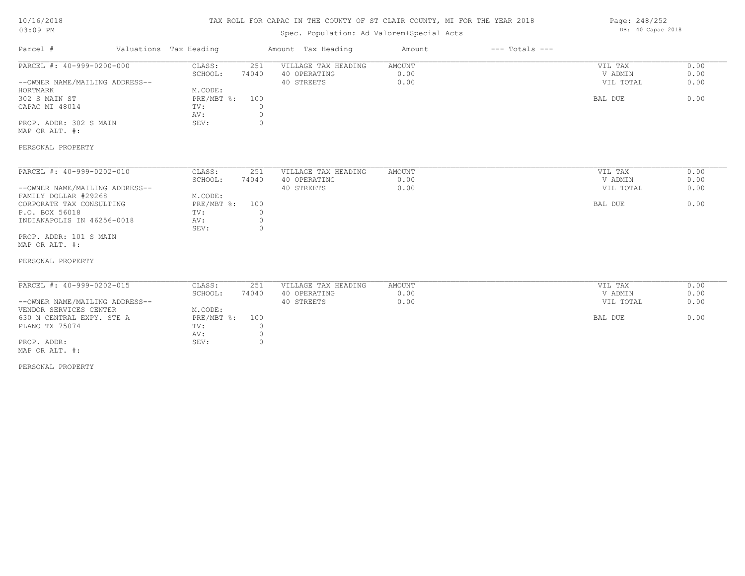# TAX ROLL FOR CAPAC IN THE COUNTY OF ST CLAIR COUNTY, MI FOR THE YEAR 2018

# Spec. Population: Ad Valorem+Special Acts

| Page: 248/252 |                   |  |  |
|---------------|-------------------|--|--|
|               | DB: 40 Capac 2018 |  |  |

| Parcel #                                 | Valuations Tax Heading |            |          | Amount Tax Heading  | Amount        | $---$ Totals $---$ |           |      |
|------------------------------------------|------------------------|------------|----------|---------------------|---------------|--------------------|-----------|------|
| PARCEL #: 40-999-0200-000                |                        | CLASS:     | 251      | VILLAGE TAX HEADING | <b>AMOUNT</b> |                    | VIL TAX   | 0.00 |
|                                          |                        | SCHOOL:    | 74040    | 40 OPERATING        | 0.00          |                    | V ADMIN   | 0.00 |
| --OWNER NAME/MAILING ADDRESS--           |                        |            |          | 40 STREETS          | 0.00          |                    | VIL TOTAL | 0.00 |
| HORTMARK                                 |                        | M.CODE:    |          |                     |               |                    |           |      |
| 302 S MAIN ST                            |                        | PRE/MBT %: | 100      |                     |               |                    | BAL DUE   | 0.00 |
| CAPAC MI 48014                           |                        | TV:        | $\circ$  |                     |               |                    |           |      |
|                                          |                        | AV:        | $\circ$  |                     |               |                    |           |      |
| PROP. ADDR: 302 S MAIN<br>MAP OR ALT. #: |                        | SEV:       | $\circ$  |                     |               |                    |           |      |
| PERSONAL PROPERTY                        |                        |            |          |                     |               |                    |           |      |
| PARCEL #: 40-999-0202-010                |                        | CLASS:     | 251      | VILLAGE TAX HEADING | AMOUNT        |                    | VIL TAX   | 0.00 |
|                                          |                        | SCHOOL:    | 74040    | 40 OPERATING        | 0.00          |                    | V ADMIN   | 0.00 |
| --OWNER NAME/MAILING ADDRESS--           |                        |            |          | 40 STREETS          | 0.00          |                    | VIL TOTAL | 0.00 |
| FAMILY DOLLAR #29268                     |                        | M.CODE:    |          |                     |               |                    |           |      |
| CORPORATE TAX CONSULTING                 |                        | PRE/MBT %: | 100      |                     |               |                    | BAL DUE   | 0.00 |
| P.O. BOX 56018                           |                        | TV:        | $\circ$  |                     |               |                    |           |      |
| INDIANAPOLIS IN 46256-0018               |                        | AV:        | $\circ$  |                     |               |                    |           |      |
|                                          |                        | SEV:       | $\circ$  |                     |               |                    |           |      |
|                                          |                        |            |          |                     |               |                    |           |      |
| PROP. ADDR: 101 S MAIN<br>MAP OR ALT. #: |                        |            |          |                     |               |                    |           |      |
| PERSONAL PROPERTY                        |                        |            |          |                     |               |                    |           |      |
|                                          |                        |            |          |                     |               |                    |           |      |
| PARCEL #: 40-999-0202-015                |                        | CLASS:     | 251      | VILLAGE TAX HEADING | <b>AMOUNT</b> |                    | VIL TAX   | 0.00 |
|                                          |                        | SCHOOL:    | 74040    | 40 OPERATING        | 0.00          |                    | V ADMIN   | 0.00 |
| --OWNER NAME/MAILING ADDRESS--           |                        |            |          | 40 STREETS          | 0.00          |                    | VIL TOTAL | 0.00 |
| VENDOR SERVICES CENTER                   |                        | M.CODE:    |          |                     |               |                    |           |      |
| 630 N CENTRAL EXPY. STE A                |                        | PRE/MBT %: | 100      |                     |               |                    | BAL DUE   | 0.00 |
| PLANO TX 75074                           |                        | TV:        | $\circ$  |                     |               |                    |           |      |
|                                          |                        | AV:        | 0        |                     |               |                    |           |      |
| PROP. ADDR:                              |                        | SEV:       | $\Omega$ |                     |               |                    |           |      |
|                                          |                        |            |          |                     |               |                    |           |      |

MAP OR ALT. #:

PERSONAL PROPERTY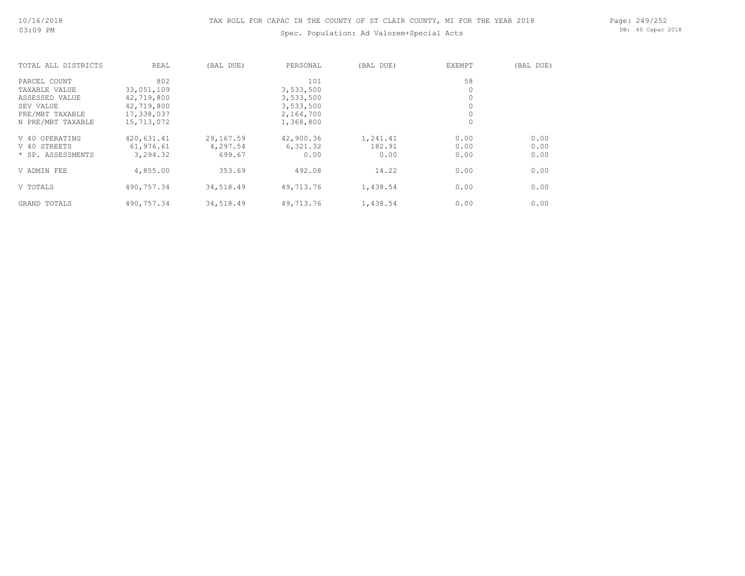# Spec. Population: Ad Valorem+Special Acts

Page: 249/252 DB: 40 Capac 2018

| TOTAL ALL DISTRICTS | REAL       | (BAL DUE) | PERSONAL  | (BAL DUE) | EXEMPT | (BAL DUE) |
|---------------------|------------|-----------|-----------|-----------|--------|-----------|
| PARCEL COUNT        | 802        |           | 101       |           | 58     |           |
| TAXABLE VALUE       | 33,051,109 |           | 3,533,500 |           |        |           |
| ASSESSED VALUE      | 42,719,800 |           | 3,533,500 |           | 0      |           |
| SEV VALUE           | 42,719,800 |           | 3,533,500 |           |        |           |
| PRE/MBT TAXABLE     | 17,338,037 |           | 2,164,700 |           | 0      |           |
| N PRE/MBT TAXABLE   | 15,713,072 |           | 1,368,800 |           | 0      |           |
| V 40 OPERATING      | 420,631.41 | 29,167.59 | 42,900.36 | 1,241.41  | 0.00   | 0.00      |
| V 40 STREETS        | 61,976.61  | 4,297.54  | 6,321.32  | 182.91    | 0.00   | 0.00      |
| * SP. ASSESSMENTS   | 3,294.32   | 699.67    | 0.00      | 0.00      | 0.00   | 0.00      |
| V ADMIN FEE         | 4,855.00   | 353.69    | 492.08    | 14.22     | 0.00   | 0.00      |
| V TOTALS            | 490,757.34 | 34,518.49 | 49,713.76 | 1,438.54  | 0.00   | 0.00      |
| GRAND TOTALS        | 490,757.34 | 34,518.49 | 49,713.76 | 1,438.54  | 0.00   | 0.00      |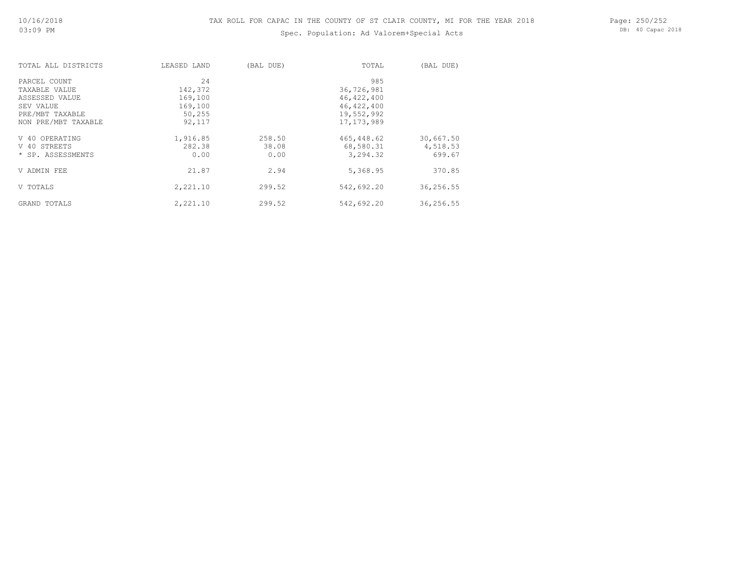# Spec. Population: Ad Valorem+Special Acts

Page: 250/252 DB: 40 Capac 2018

| TOTAL ALL DISTRICTS | LEASED LAND | (BAL DUE) | TOTAL        | (BAL DUE) |
|---------------------|-------------|-----------|--------------|-----------|
| PARCEL COUNT        | 24          |           | 985          |           |
| TAXABLE VALUE       | 142,372     |           | 36,726,981   |           |
| ASSESSED VALUE      | 169,100     |           | 46,422,400   |           |
| SEV VALUE           | 169,100     |           | 46,422,400   |           |
| PRE/MBT TAXABLE     | 50,255      |           | 19,552,992   |           |
| NON PRE/MBT TAXABLE | 92,117      |           | 17, 173, 989 |           |
| V 40 OPERATING      | 1,916.85    | 258.50    | 465,448.62   | 30,667.50 |
| V 40 STREETS        | 282.38      | 38.08     | 68,580.31    | 4,518.53  |
| * SP. ASSESSMENTS   | 0.00        | 0.00      | 3,294.32     | 699.67    |
| V ADMIN FEE         | 21.87       | 2.94      | 5,368.95     | 370.85    |
| V TOTALS            | 2,221.10    | 299.52    | 542,692.20   | 36,256.55 |
| GRAND TOTALS        | 2,221.10    | 299.52    | 542,692.20   | 36,256.55 |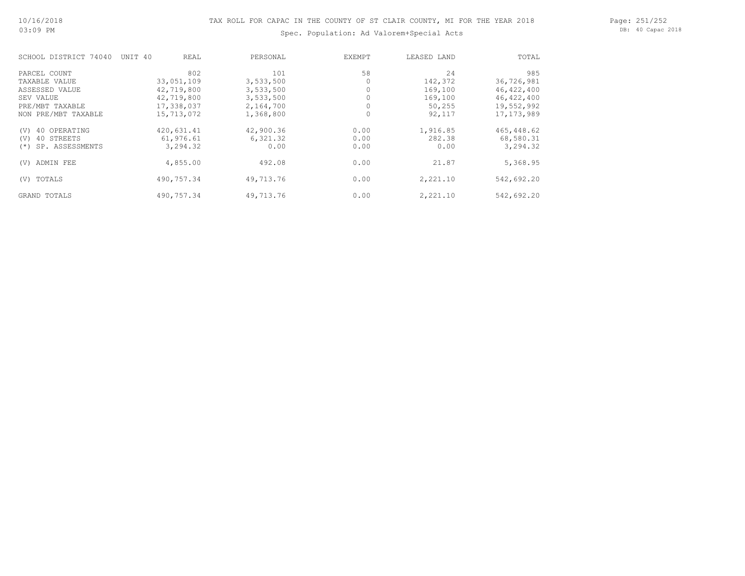# Spec. Population: Ad Valorem+Special Acts

Page: 251/252 DB: 40 Capac 2018

| SCHOOL DISTRICT 74040    | UNIT 40<br>REAL | PERSONAL  | EXEMPT | LEASED LAND | TOTAL        |
|--------------------------|-----------------|-----------|--------|-------------|--------------|
| PARCEL COUNT             | 802             | 101       | 58     | 24          | 985          |
| TAXABLE VALUE            | 33,051,109      | 3,533,500 |        | 142,372     | 36,726,981   |
| ASSESSED VALUE           | 42,719,800      | 3,533,500 |        | 169,100     | 46, 422, 400 |
| SEV VALUE                | 42,719,800      | 3,533,500 |        | 169,100     | 46, 422, 400 |
| PRE/MBT TAXABLE          | 17,338,037      | 2,164,700 |        | 50,255      | 19,552,992   |
| NON PRE/MBT TAXABLE      | 15,713,072      | 1,368,800 |        | 92,117      | 17, 173, 989 |
| 40 OPERATING<br>(V)      | 420,631.41      | 42,900.36 | 0.00   | 1,916.85    | 465,448.62   |
| (V)<br>40 STREETS        | 61,976.61       | 6,321.32  | 0.00   | 282.38      | 68,580.31    |
| SP. ASSESSMENTS<br>$(*)$ | 3,294.32        | 0.00      | 0.00   | 0.00        | 3,294.32     |
| ADMIN FEE<br>(V)         | 4,855.00        | 492.08    | 0.00   | 21.87       | 5,368.95     |
| TOTALS<br>(V)            | 490,757.34      | 49,713.76 | 0.00   | 2,221.10    | 542,692.20   |
| GRAND TOTALS             | 490,757.34      | 49,713.76 | 0.00   | 2,221.10    | 542,692.20   |